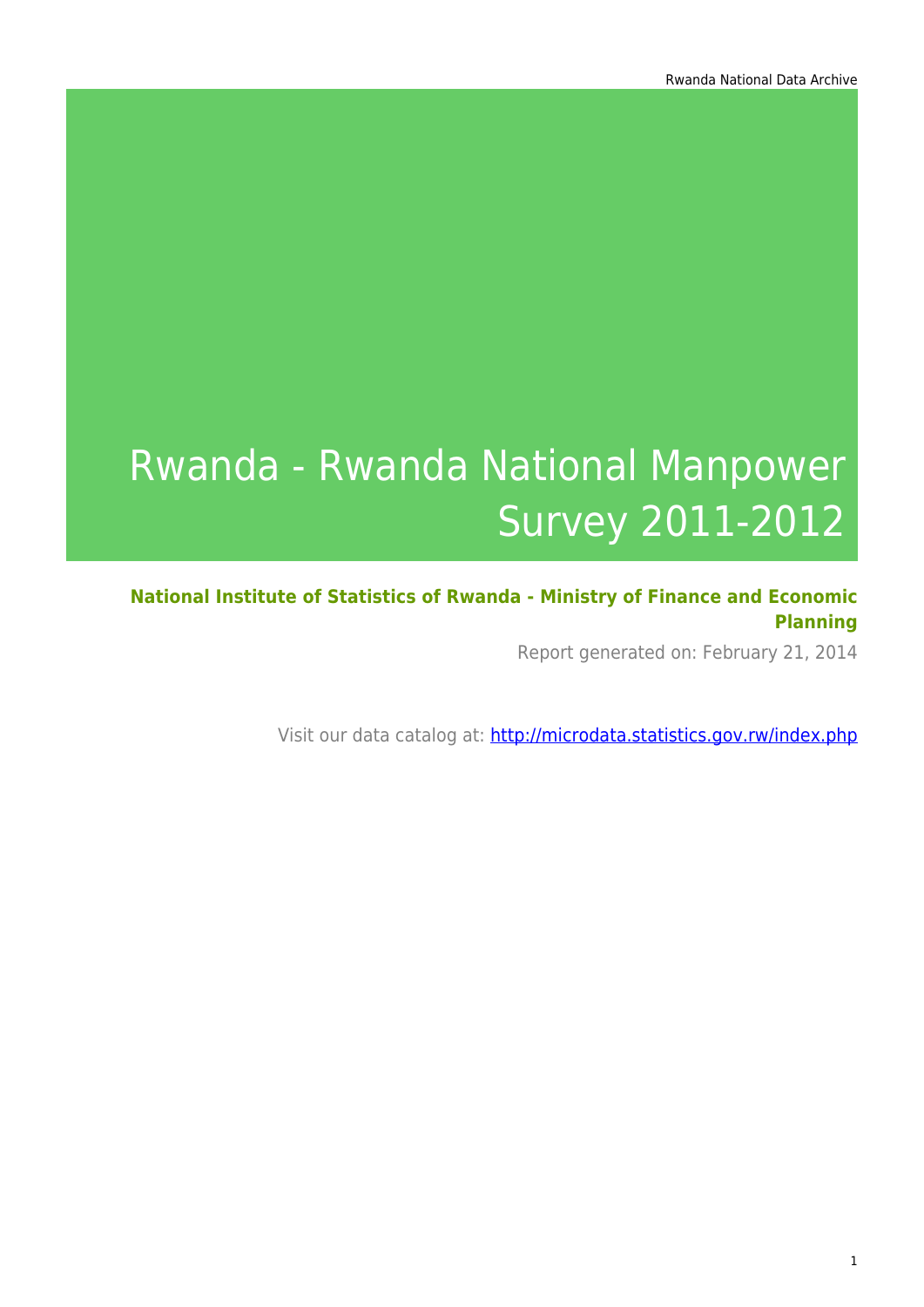# Rwanda - Rwanda National Manpower Survey 2011-2012

### **National Institute of Statistics of Rwanda - Ministry of Finance and Economic Planning**

Report generated on: February 21, 2014

Visit our data catalog at: http://microdata.statistics.gov.rw/index.php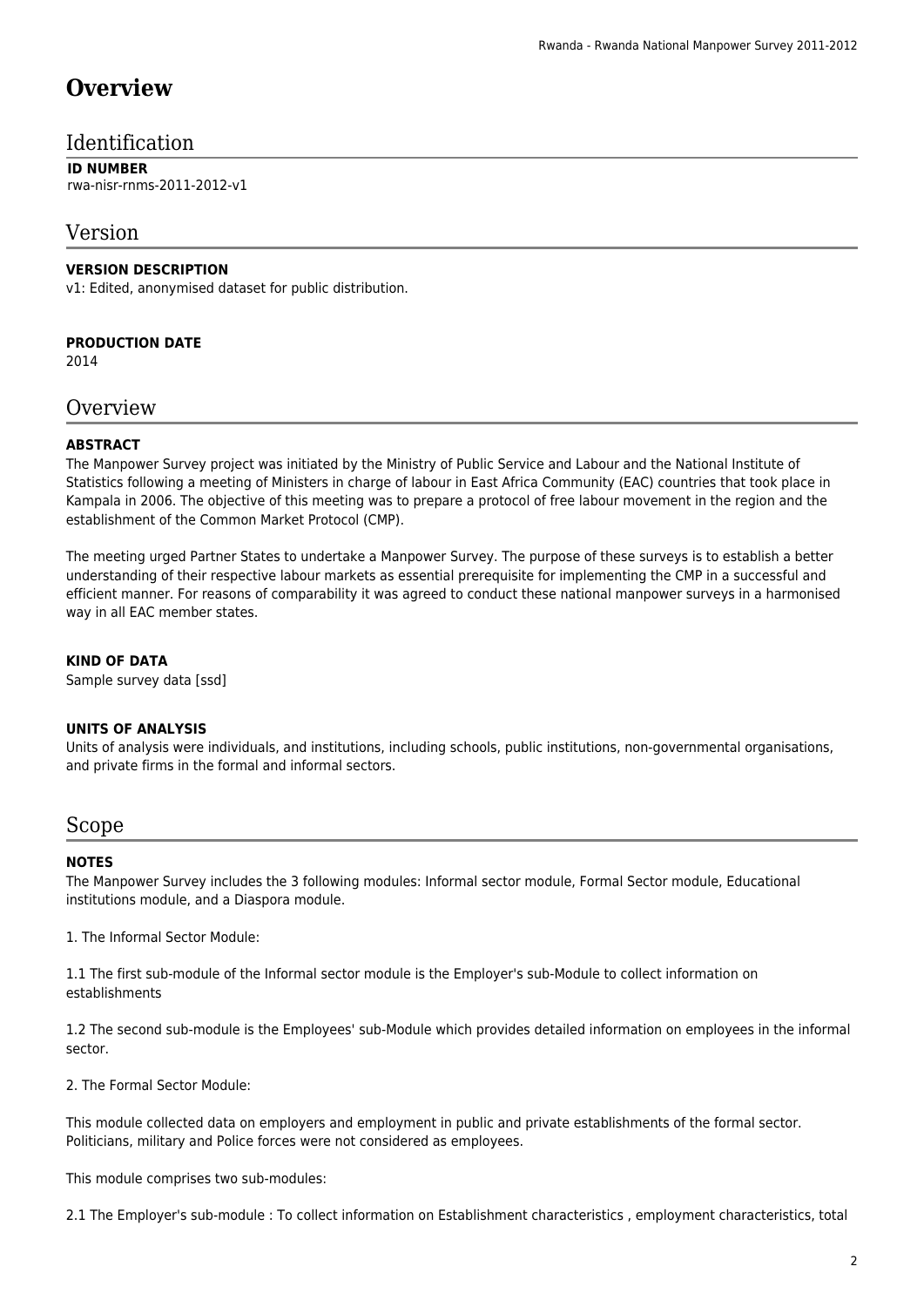### **Overview**

### Identification

### **ID NUMBER**

rwa-nisr-rnms-2011-2012-v1

### Version

#### **VERSION DESCRIPTION**

v1: Edited, anonymised dataset for public distribution.

#### **PRODUCTION DATE**

2014

### **Overview**

#### **ABSTRACT**

The Manpower Survey project was initiated by the Ministry of Public Service and Labour and the National Institute of Statistics following a meeting of Ministers in charge of labour in East Africa Community (EAC) countries that took place in Kampala in 2006. The objective of this meeting was to prepare a protocol of free labour movement in the region and the establishment of the Common Market Protocol (CMP).

The meeting urged Partner States to undertake a Manpower Survey. The purpose of these surveys is to establish a better understanding of their respective labour markets as essential prerequisite for implementing the CMP in a successful and efficient manner. For reasons of comparability it was agreed to conduct these national manpower surveys in a harmonised way in all EAC member states.

#### **KIND OF DATA**

Sample survey data [ssd]

#### **UNITS OF ANALYSIS**

Units of analysis were individuals, and institutions, including schools, public institutions, non-governmental organisations, and private firms in the formal and informal sectors.

#### Scope

#### **NOTES**

The Manpower Survey includes the 3 following modules: Informal sector module, Formal Sector module, Educational institutions module, and a Diaspora module.

1. The Informal Sector Module:

1.1 The first sub-module of the Informal sector module is the Employer's sub-Module to collect information on establishments

1.2 The second sub-module is the Employees' sub-Module which provides detailed information on employees in the informal sector.

2. The Formal Sector Module:

This module collected data on employers and employment in public and private establishments of the formal sector. Politicians, military and Police forces were not considered as employees.

This module comprises two sub-modules:

2.1 The Employer's sub-module : To collect information on Establishment characteristics , employment characteristics, total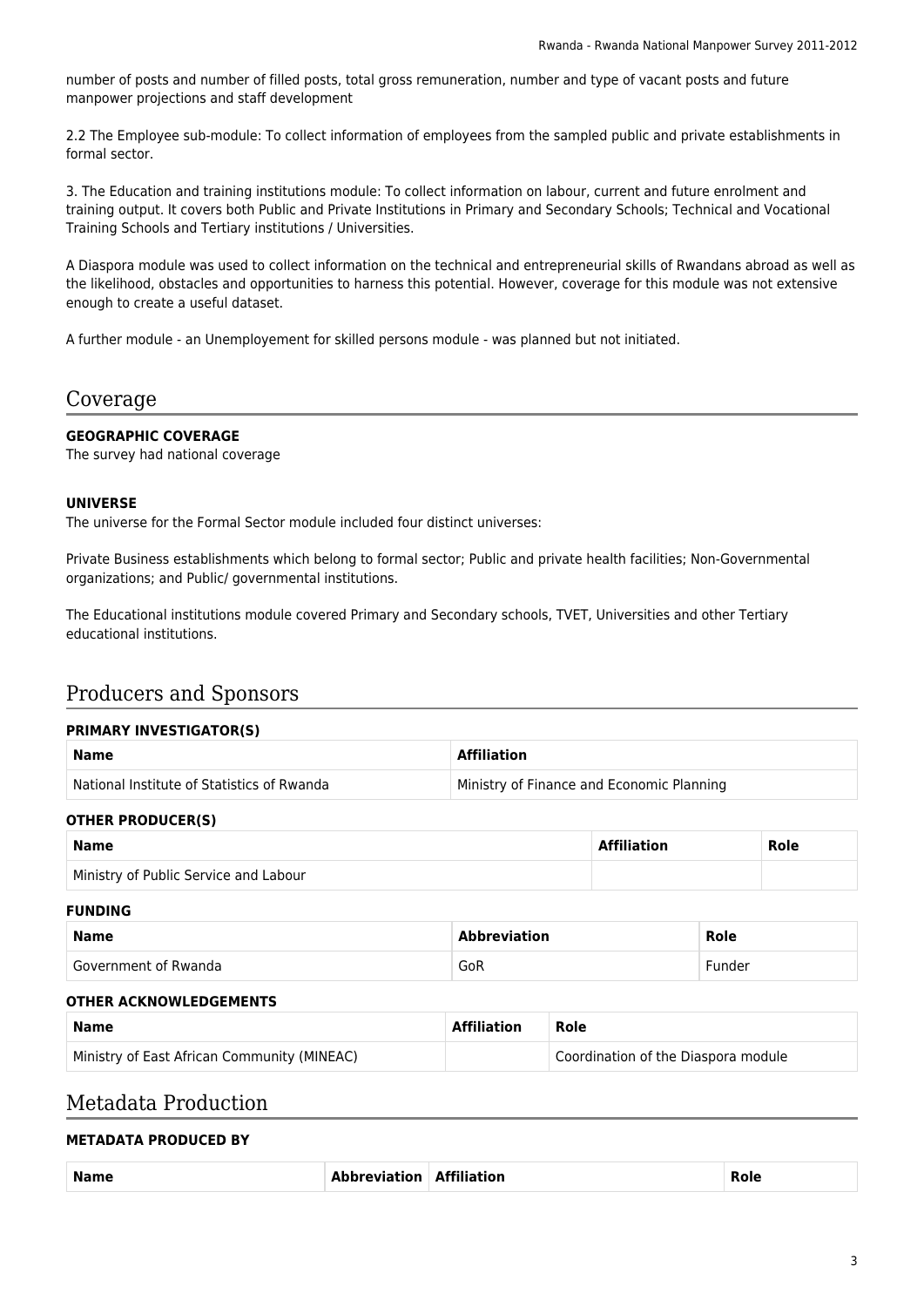number of posts and number of filled posts, total gross remuneration, number and type of vacant posts and future manpower projections and staff development

2.2 The Employee sub-module: To collect information of employees from the sampled public and private establishments in formal sector.

3. The Education and training institutions module: To collect information on labour, current and future enrolment and training output. It covers both Public and Private Institutions in Primary and Secondary Schools; Technical and Vocational Training Schools and Tertiary institutions / Universities.

A Diaspora module was used to collect information on the technical and entrepreneurial skills of Rwandans abroad as well as the likelihood, obstacles and opportunities to harness this potential. However, coverage for this module was not extensive enough to create a useful dataset.

A further module - an Unemployement for skilled persons module - was planned but not initiated.

### Coverage

#### **GEOGRAPHIC COVERAGE**

The survey had national coverage

#### **UNIVERSE**

The universe for the Formal Sector module included four distinct universes:

Private Business establishments which belong to formal sector; Public and private health facilities; Non-Governmental organizations; and Public/ governmental institutions.

The Educational institutions module covered Primary and Secondary schools, TVET, Universities and other Tertiary educational institutions.

### Producers and Sponsors

#### **PRIMARY INVESTIGATOR(S)**

| <b>Name</b>                                | <b>Affiliation</b>                        |
|--------------------------------------------|-------------------------------------------|
| National Institute of Statistics of Rwanda | Ministry of Finance and Economic Planning |

#### **OTHER PRODUCER(S)**

| <b>Name</b>                           | <b>Affiliation</b> | Role |
|---------------------------------------|--------------------|------|
| Ministry of Public Service and Labour |                    |      |

#### **FUNDING**

| <b>Name</b>          | <b>Abbreviation</b> | Role   |
|----------------------|---------------------|--------|
| Government of Rwanda | GoR                 | -under |

#### **OTHER ACKNOWLEDGEMENTS**

| <b>Name</b>                                 | <b>Affiliation</b> | Role                                |
|---------------------------------------------|--------------------|-------------------------------------|
| Ministry of East African Community (MINEAC) |                    | Coordination of the Diaspora module |

### Metadata Production

#### **METADATA PRODUCED BY**

| <b>Affiliation</b><br><b>Name</b><br>$\blacksquare$ Abbreviation $\blacksquare$<br>Role<br>___<br>. |  |
|-----------------------------------------------------------------------------------------------------|--|
|-----------------------------------------------------------------------------------------------------|--|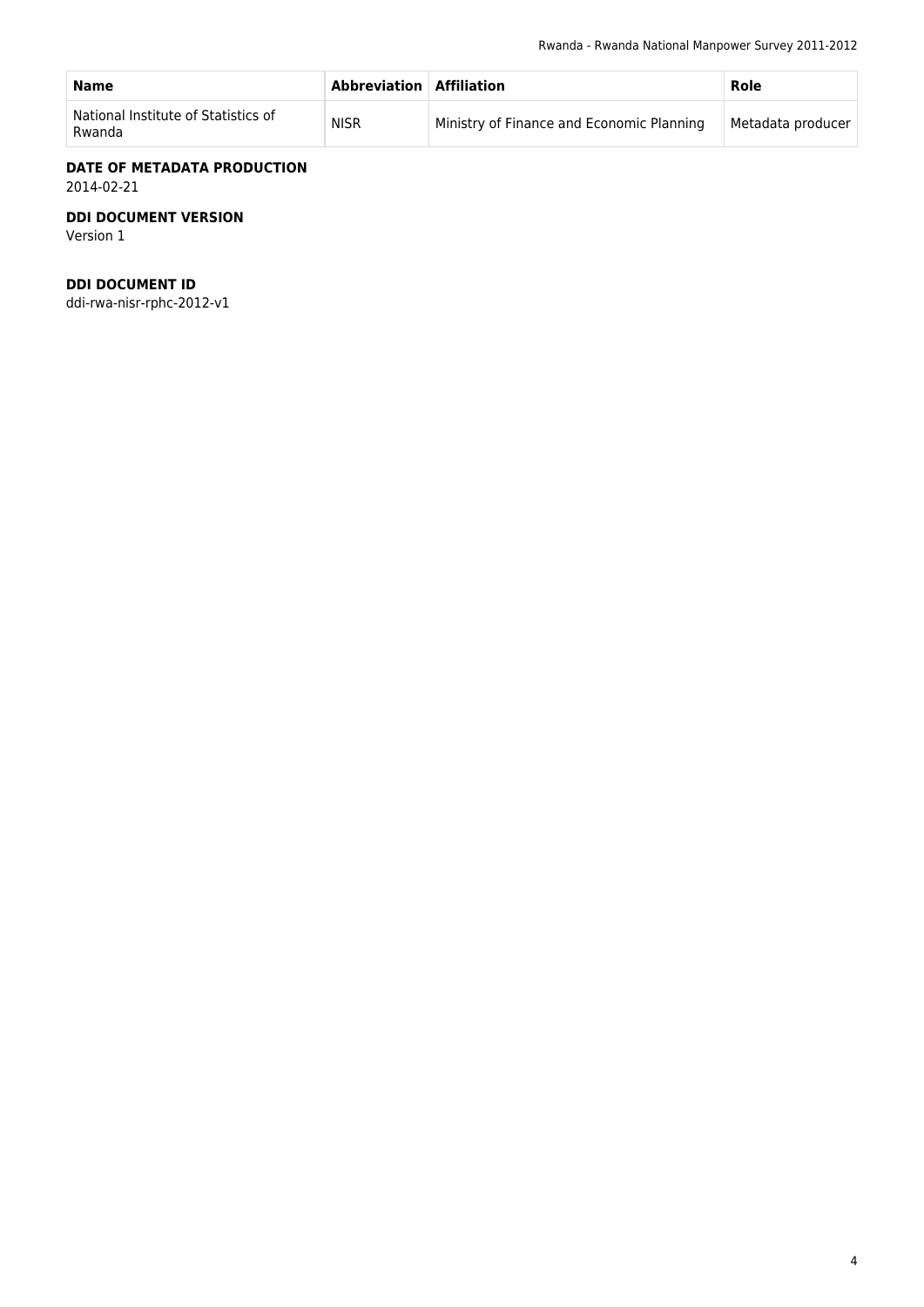| <b>Name</b>                                   | Abbreviation   Affiliation |                                           | Role              |
|-----------------------------------------------|----------------------------|-------------------------------------------|-------------------|
| National Institute of Statistics of<br>Rwanda | <b>NISR</b>                | Ministry of Finance and Economic Planning | Metadata producer |

#### **DATE OF METADATA PRODUCTION** 2014-02-21

#### **DDI DOCUMENT VERSION**

Version 1

#### **DDI DOCUMENT ID**

ddi-rwa-nisr-rphc-2012-v1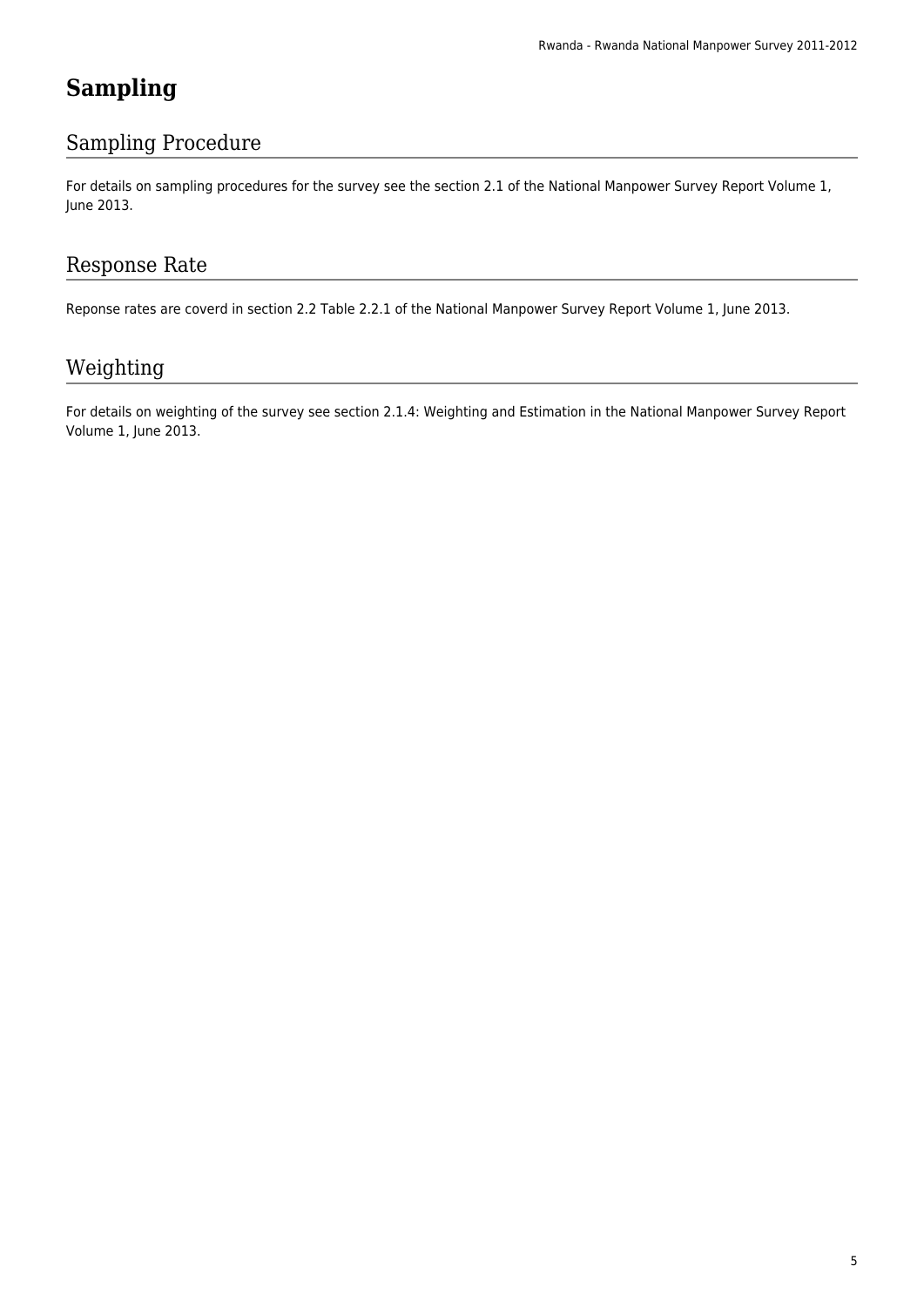## **Sampling**

### Sampling Procedure

For details on sampling procedures for the survey see the section 2.1 of the National Manpower Survey Report Volume 1, June 2013.

### Response Rate

Reponse rates are coverd in section 2.2 Table 2.2.1 of the National Manpower Survey Report Volume 1, June 2013.

### Weighting

For details on weighting of the survey see section 2.1.4: Weighting and Estimation in the National Manpower Survey Report Volume 1, June 2013.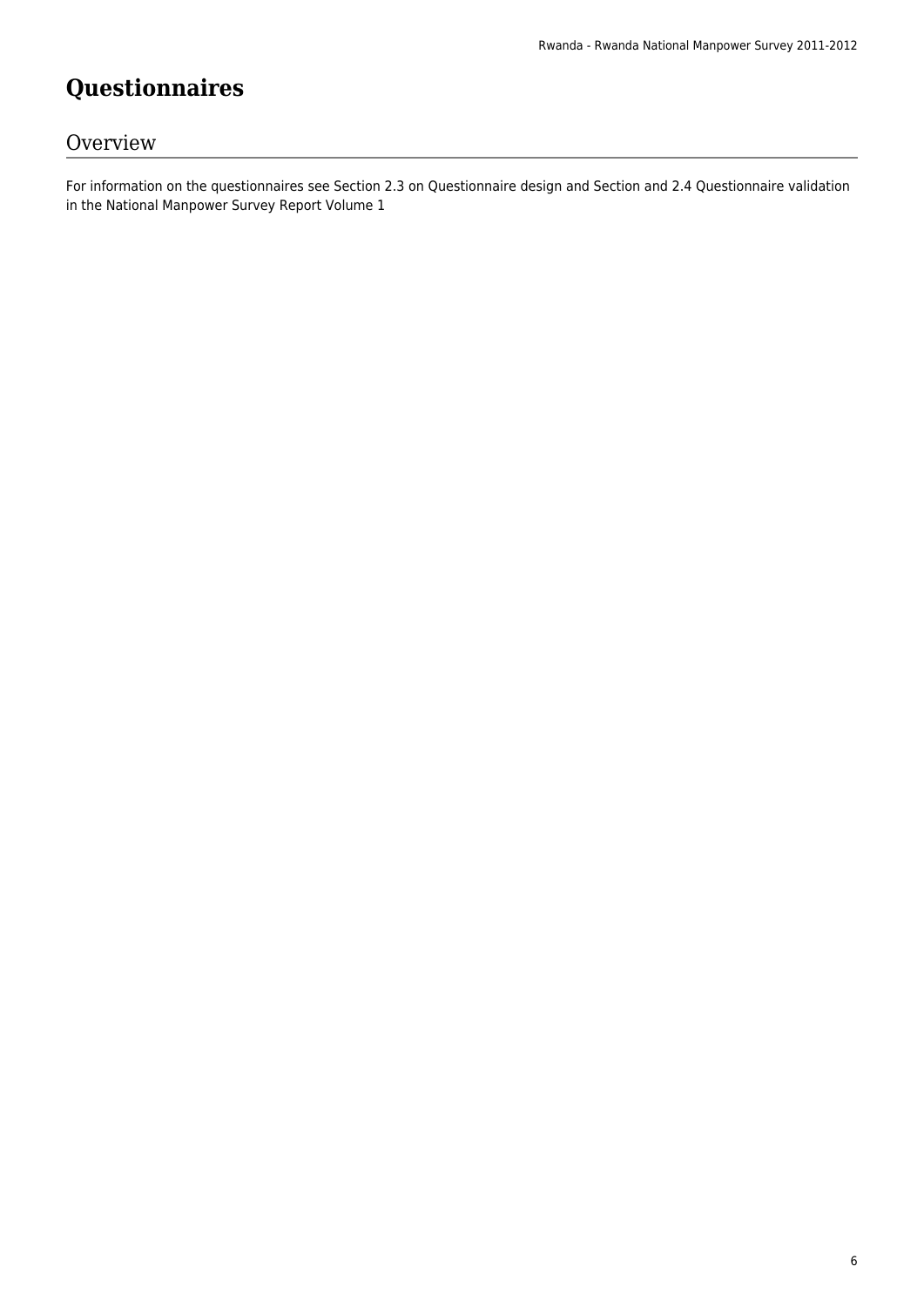# **Questionnaires**

### **Overview**

For information on the questionnaires see Section 2.3 on Questionnaire design and Section and 2.4 Questionnaire validation in the National Manpower Survey Report Volume 1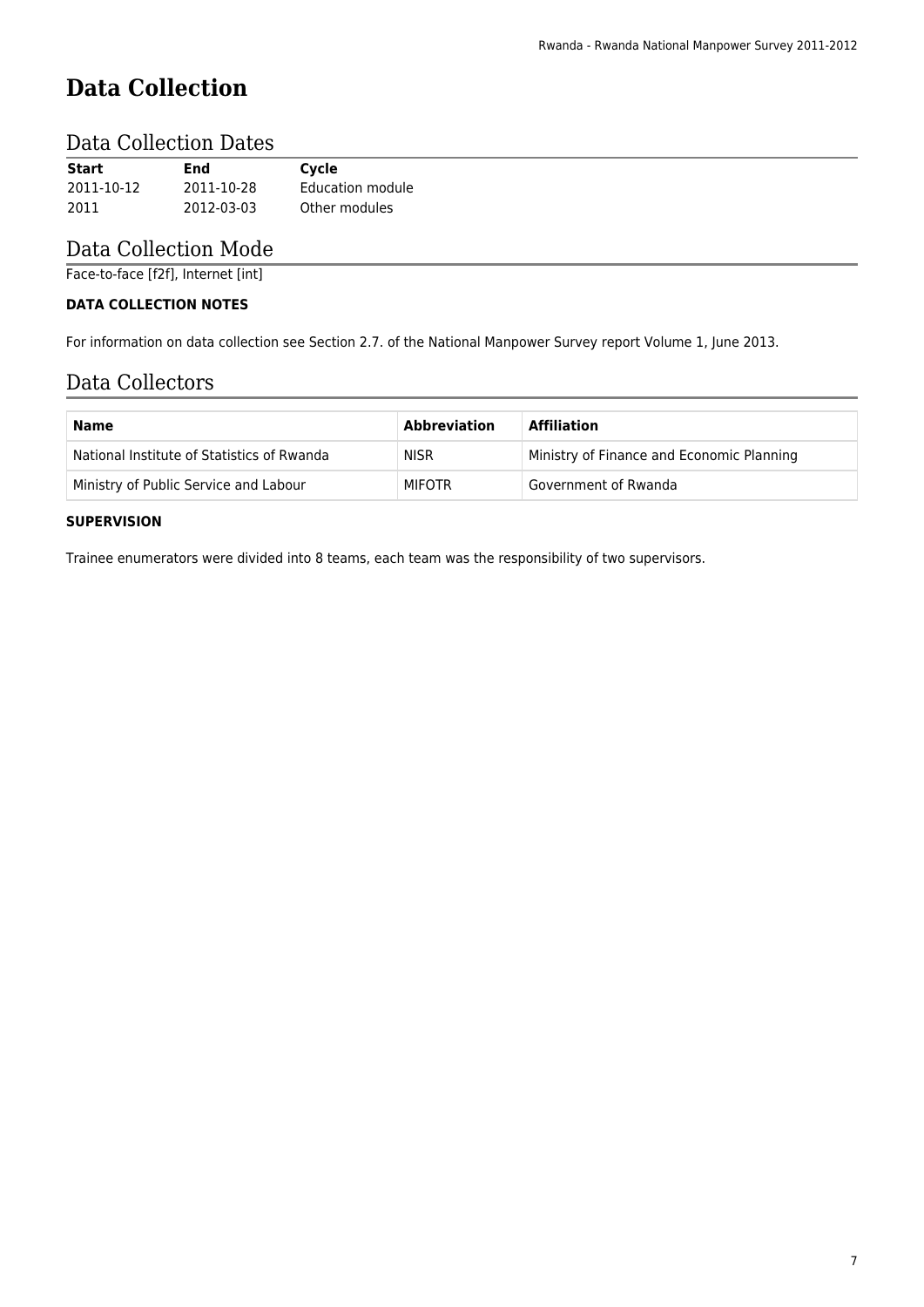# **Data Collection**

### Data Collection Dates

| Start      | End        | Cycle            |
|------------|------------|------------------|
| 2011-10-12 | 2011-10-28 | Education module |
| 2011       | 2012-03-03 | Other modules    |

### Data Collection Mode

Face-to-face [f2f], Internet [int]

#### **DATA COLLECTION NOTES**

For information on data collection see Section 2.7. of the National Manpower Survey report Volume 1, June 2013.

### Data Collectors

| <b>Name</b>                                | <b>Abbreviation</b> | Affiliation                               |
|--------------------------------------------|---------------------|-------------------------------------------|
| National Institute of Statistics of Rwanda | <b>NISR</b>         | Ministry of Finance and Economic Planning |
| Ministry of Public Service and Labour      | <b>MIFOTR</b>       | Government of Rwanda                      |

#### **SUPERVISION**

Trainee enumerators were divided into 8 teams, each team was the responsibility of two supervisors.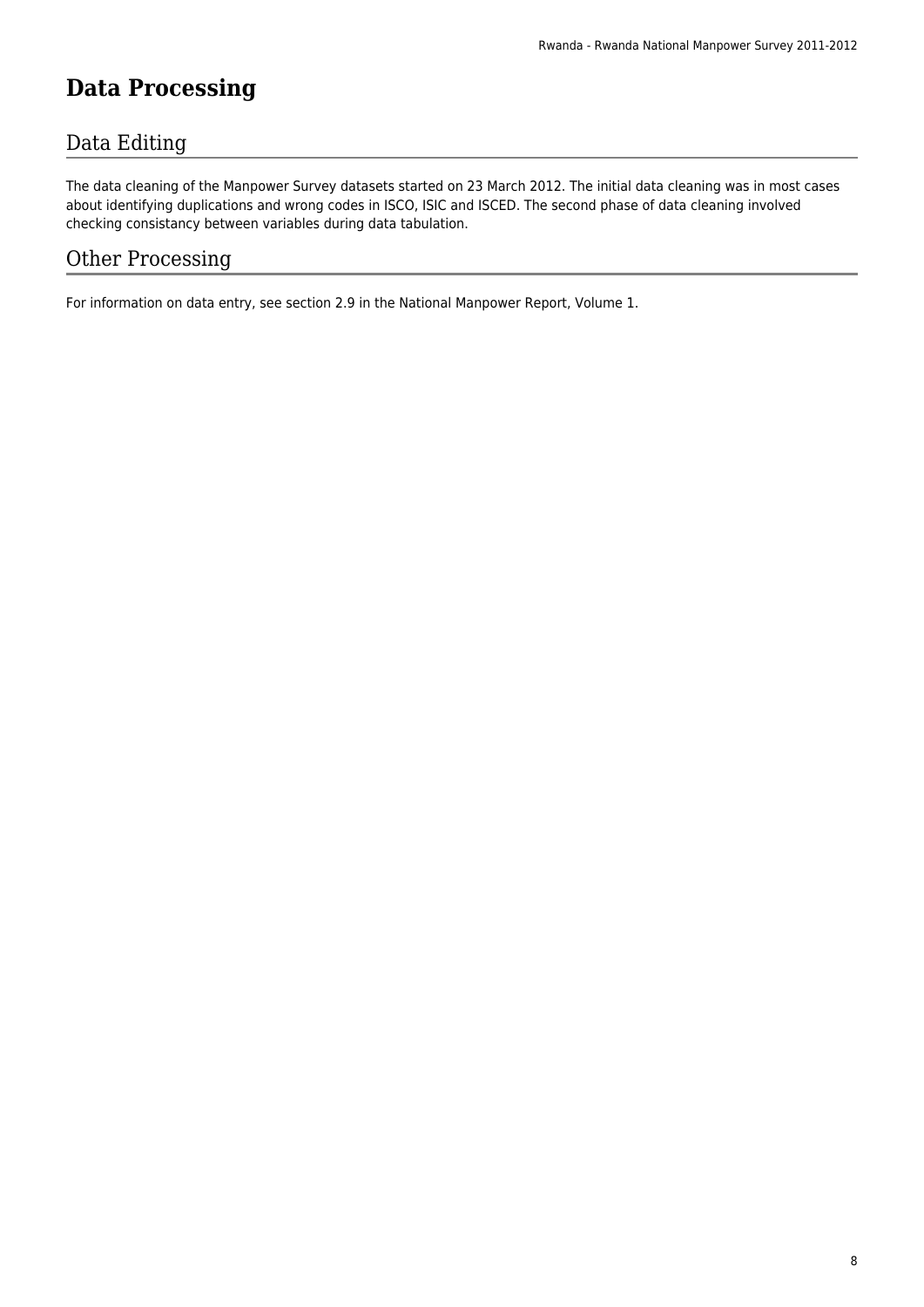# **Data Processing**

### Data Editing

The data cleaning of the Manpower Survey datasets started on 23 March 2012. The initial data cleaning was in most cases about identifying duplications and wrong codes in ISCO, ISIC and ISCED. The second phase of data cleaning involved checking consistancy between variables during data tabulation.

### Other Processing

For information on data entry, see section 2.9 in the National Manpower Report, Volume 1.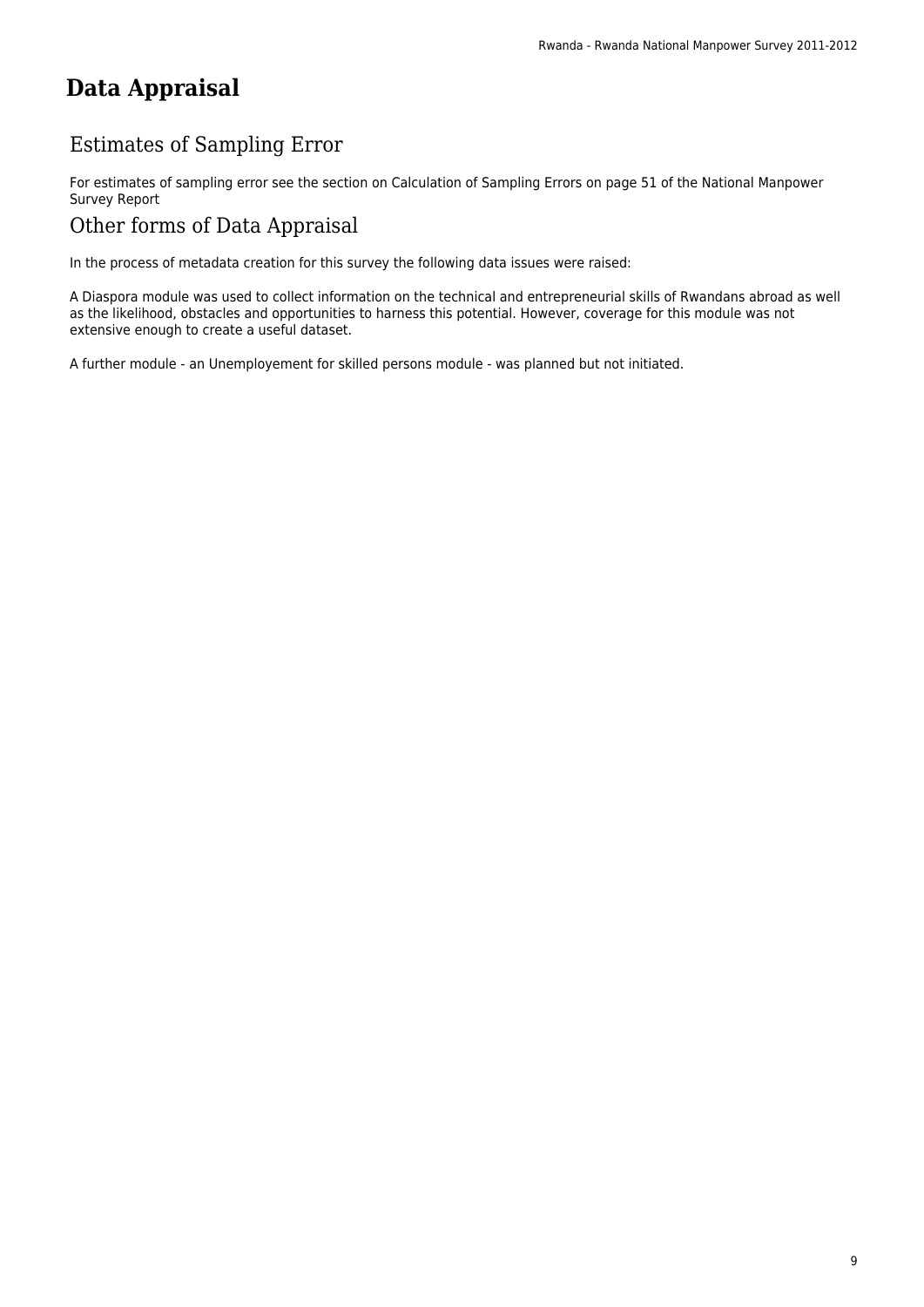# **Data Appraisal**

### Estimates of Sampling Error

For estimates of sampling error see the section on Calculation of Sampling Errors on page 51 of the National Manpower Survey Report

### Other forms of Data Appraisal

In the process of metadata creation for this survey the following data issues were raised:

A Diaspora module was used to collect information on the technical and entrepreneurial skills of Rwandans abroad as well as the likelihood, obstacles and opportunities to harness this potential. However, coverage for this module was not extensive enough to create a useful dataset.

A further module - an Unemployement for skilled persons module - was planned but not initiated.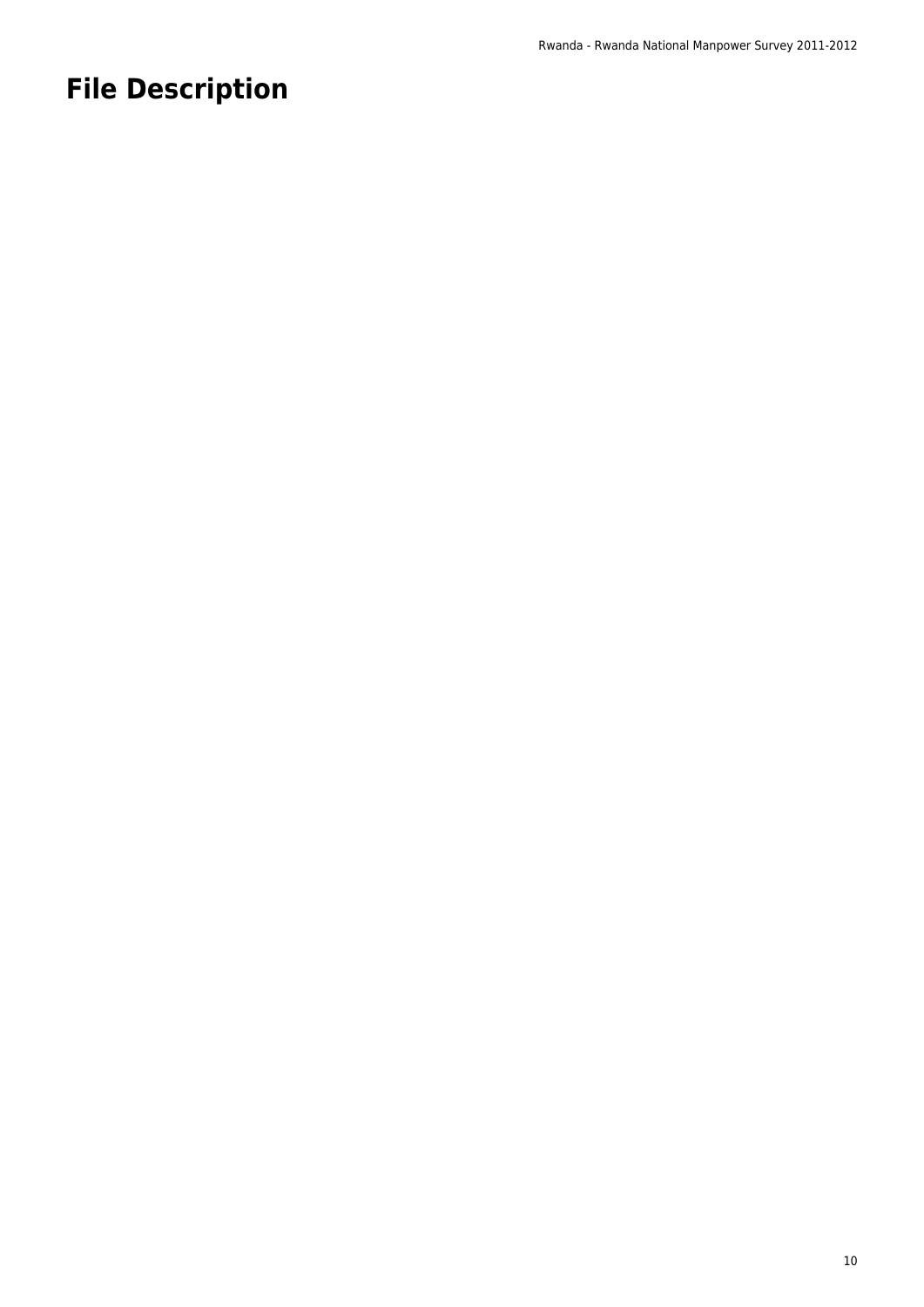# **File Description**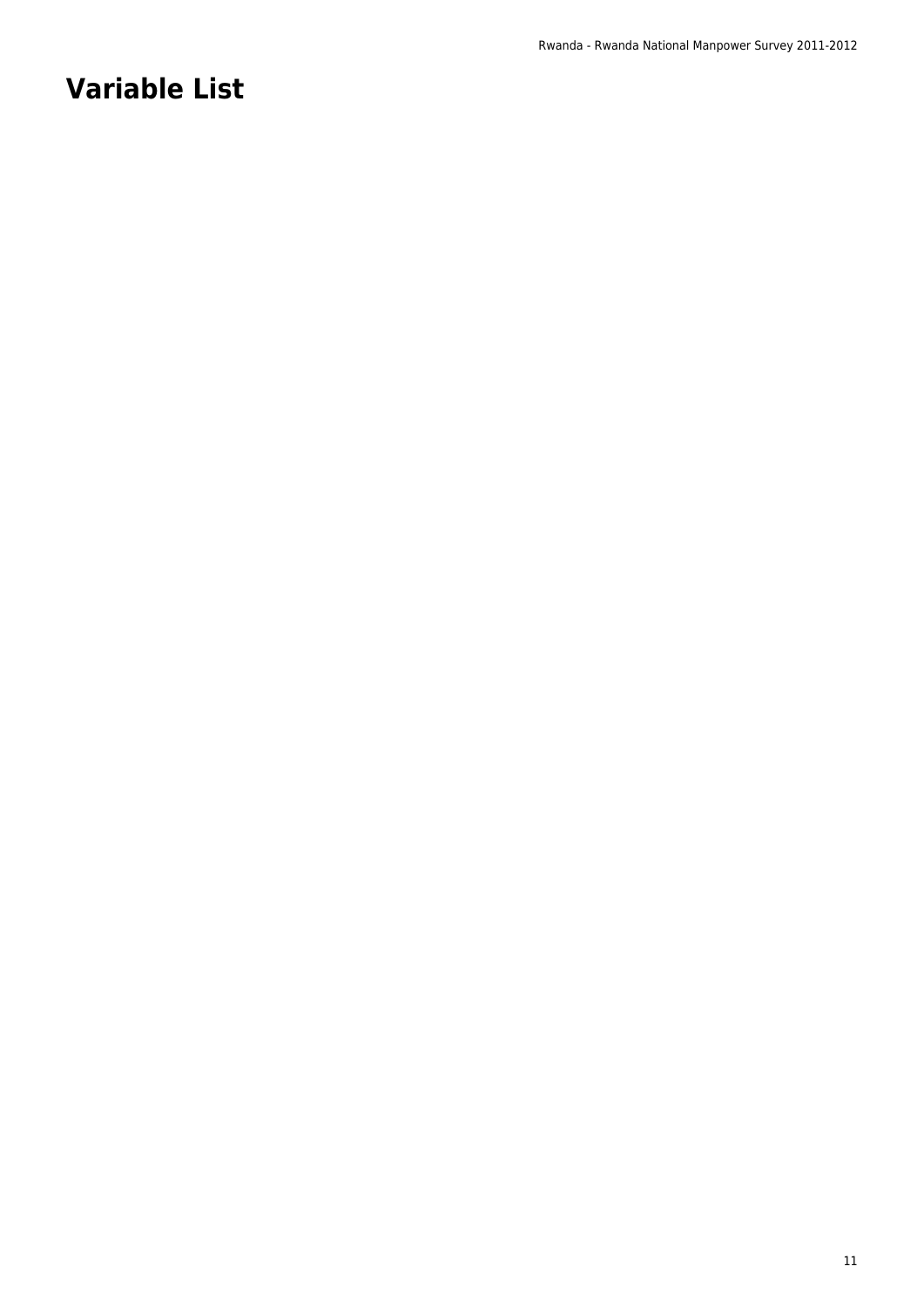# **Variable List**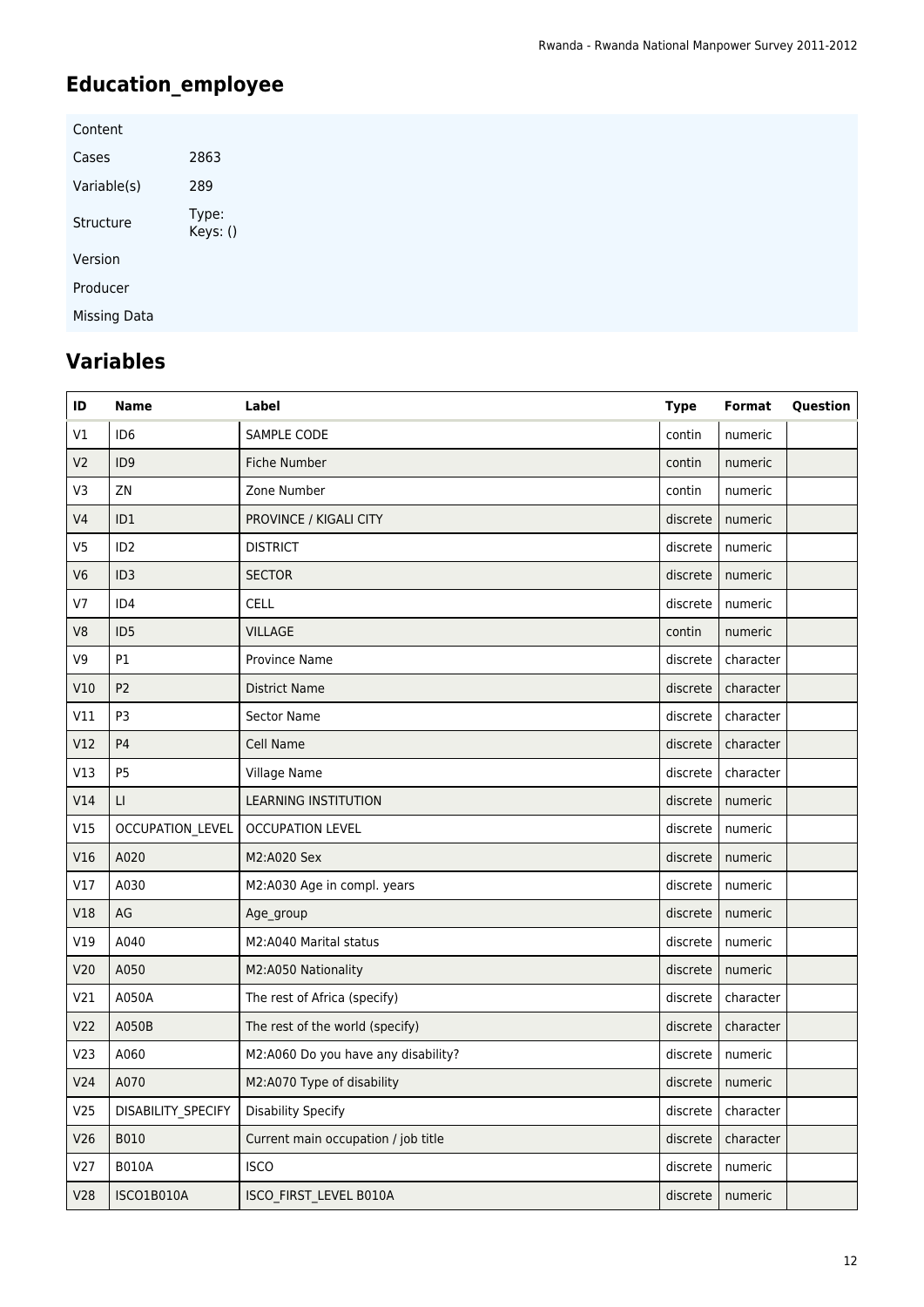# **Education\_employee**

| Content             |                   |
|---------------------|-------------------|
| Cases               | 2863              |
| Variable(s)         | 289               |
| Structure           | Type:<br>Keys: () |
| Version             |                   |
| Producer            |                   |
| <b>Missing Data</b> |                   |

# **Variables**

| ID              | <b>Name</b>        | Label                               | <b>Type</b> | Format             | Question |
|-----------------|--------------------|-------------------------------------|-------------|--------------------|----------|
| V1              | ID <sub>6</sub>    | SAMPLE CODE                         | contin      | numeric            |          |
| V <sub>2</sub>  | ID <sub>9</sub>    | Fiche Number                        | contin      | numeric            |          |
| V3              | ZN                 | Zone Number                         | contin      | numeric            |          |
| V4              | ID1                | PROVINCE / KIGALI CITY              | discrete    | numeric            |          |
| V5              | ID <sub>2</sub>    | <b>DISTRICT</b>                     | discrete    | numeric            |          |
| V <sub>6</sub>  | ID <sub>3</sub>    | <b>SECTOR</b>                       | discrete    | numeric            |          |
| V7              | ID <sub>4</sub>    | <b>CELL</b>                         | discrete    | numeric            |          |
| V <sub>8</sub>  | ID <sub>5</sub>    | <b>VILLAGE</b>                      | contin      | numeric            |          |
| V9              | P1                 | Province Name                       | discrete    | character          |          |
| V10             | P <sub>2</sub>     | <b>District Name</b>                | discrete    | character          |          |
| V11             | P <sub>3</sub>     | Sector Name                         | discrete    | character          |          |
| V12             | P <sub>4</sub>     | Cell Name                           | discrete    | character          |          |
| V13             | P5                 | Village Name                        | discrete    | character          |          |
| V14             | $\mathsf{L}$       | <b>LEARNING INSTITUTION</b>         | discrete    | numeric            |          |
| V15             | OCCUPATION_LEVEL   | <b>OCCUPATION LEVEL</b>             | discrete    | numeric            |          |
| V16             | A020               | M2:A020 Sex                         | discrete    | numeric            |          |
| V17             | A030               | M2:A030 Age in compl. years         | discrete    | numeric            |          |
| V18             | AG                 | Age group                           | discrete    | numeric            |          |
| V19             | A040               | M2:A040 Marital status              | discrete    | numeric            |          |
| V20             | A050               | M2:A050 Nationality                 | discrete    | numeric            |          |
| V21             | A050A              | The rest of Africa (specify)        | discrete    | character          |          |
| V <sub>22</sub> | A050B              | The rest of the world (specify)     | discrete    | character          |          |
| V23             | A060               | M2:A060 Do you have any disability? | discrete    | numeric            |          |
| V <sub>24</sub> | A070               | M2:A070 Type of disability          | discrete    | numeric            |          |
| V25             | DISABILITY_SPECIFY | <b>Disability Specify</b>           | discrete    | character          |          |
| V26             | <b>B010</b>        | Current main occupation / job title | discrete    | character          |          |
| V <sub>27</sub> | B010A              | <b>ISCO</b>                         | discrete    | numeric            |          |
| V28             | <b>ISCO1B010A</b>  | ISCO_FIRST_LEVEL B010A              |             | discrete   numeric |          |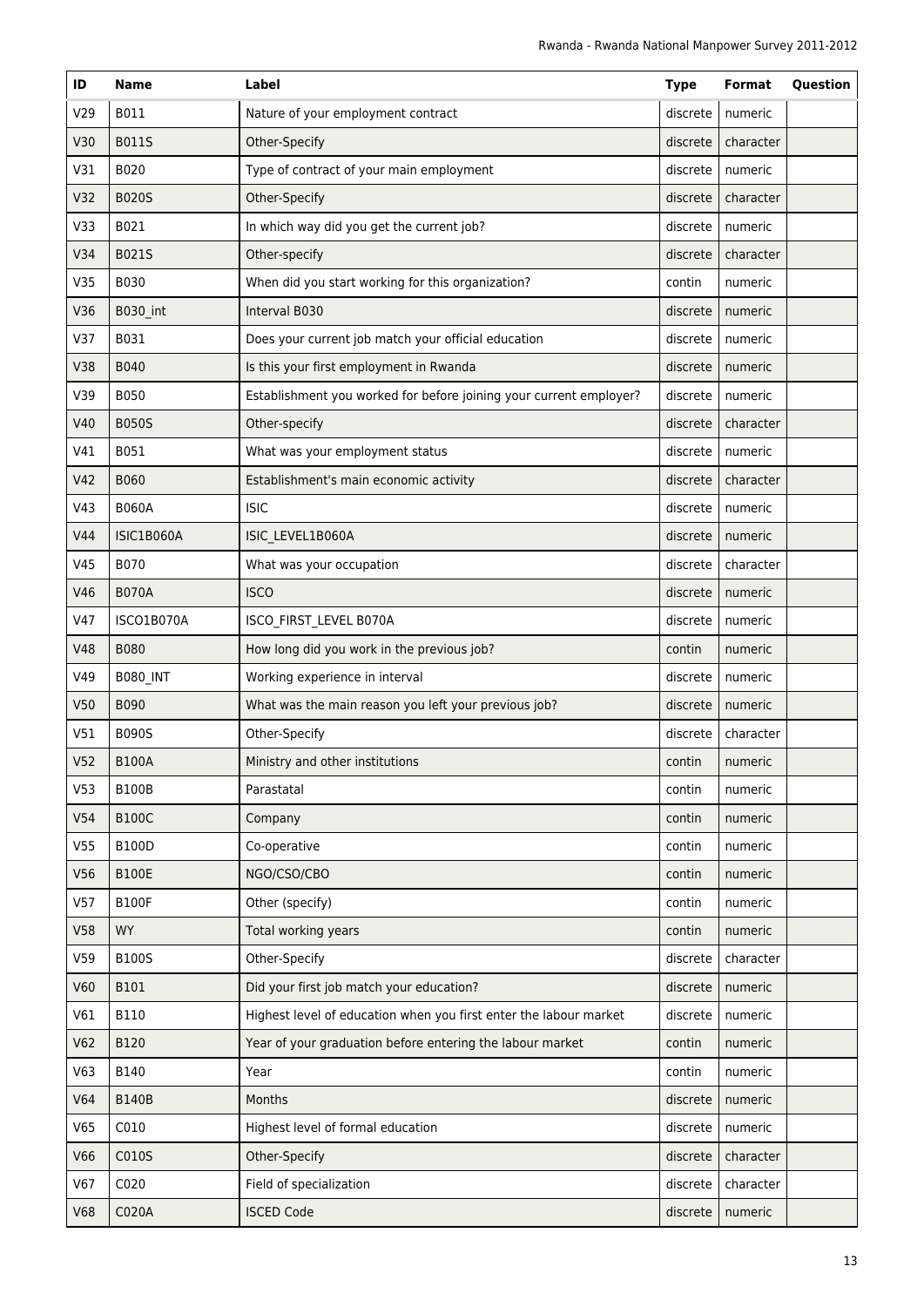| ID              | <b>Name</b>      | Label                                                              | <b>Type</b> | <b>Format</b> | Question |
|-----------------|------------------|--------------------------------------------------------------------|-------------|---------------|----------|
| V29             | B011             | Nature of your employment contract                                 | discrete    | numeric       |          |
| V30             | <b>B011S</b>     | Other-Specify                                                      | discrete    | character     |          |
| V31             | B020             | Type of contract of your main employment                           | discrete    | numeric       |          |
| V32             | <b>B020S</b>     | Other-Specify                                                      | discrete    | character     |          |
| V33             | B021             | In which way did you get the current job?                          | discrete    | numeric       |          |
| V34             | B021S            | Other-specify                                                      | discrete    | character     |          |
| V35             | B030             | When did you start working for this organization?                  | contin      | numeric       |          |
| V36             | B030_int         | Interval B030                                                      | discrete    | numeric       |          |
| V37             | B031             | Does your current job match your official education                | discrete    | numeric       |          |
| V38             | <b>B040</b>      | Is this your first employment in Rwanda                            | discrete    | numeric       |          |
| V39             | B050             | Establishment you worked for before joining your current employer? | discrete    | numeric       |          |
| V40             | <b>B050S</b>     | Other-specify                                                      | discrete    | character     |          |
| V41             | B051             | What was your employment status                                    | discrete    | numeric       |          |
| V42             | <b>B060</b>      | Establishment's main economic activity                             | discrete    | character     |          |
| V43             | <b>B060A</b>     | <b>ISIC</b>                                                        | discrete    | numeric       |          |
| V44             | ISIC1B060A       | ISIC LEVEL1B060A                                                   | discrete    | numeric       |          |
| V45             | <b>B070</b>      | What was your occupation                                           | discrete    | character     |          |
| V46             | <b>B070A</b>     | <b>ISCO</b>                                                        | discrete    | numeric       |          |
| V47             | ISCO1B070A       | ISCO_FIRST_LEVEL B070A                                             | discrete    | numeric       |          |
| <b>V48</b>      | <b>B080</b>      | How long did you work in the previous job?                         | contin      | numeric       |          |
| V49             | <b>B080_INT</b>  | Working experience in interval                                     | discrete    | numeric       |          |
| V <sub>50</sub> | B090             | What was the main reason you left your previous job?               | discrete    | numeric       |          |
| V51             | <b>B090S</b>     | Other-Specify                                                      | discrete    | character     |          |
| V <sub>52</sub> | <b>B100A</b>     | Ministry and other institutions                                    | contin      | numeric       |          |
| V <sub>53</sub> | <b>B100B</b>     | Parastatal                                                         | contin      | numeric       |          |
| V <sub>54</sub> | <b>B100C</b>     | Company                                                            | contin      | numeric       |          |
| V <sub>55</sub> | <b>B100D</b>     | Co-operative                                                       | contin      | numeric       |          |
| V56             | <b>B100E</b>     | NGO/CSO/CBO                                                        | contin      | numeric       |          |
| V57             | <b>B100F</b>     | Other (specify)                                                    | contin      | numeric       |          |
| V58             | <b>WY</b>        | Total working years                                                | contin      | numeric       |          |
| V59             | <b>B100S</b>     | Other-Specify                                                      | discrete    | character     |          |
| V60             | <b>B101</b>      | Did your first job match your education?                           | discrete    | numeric       |          |
| V61             | <b>B110</b>      | Highest level of education when you first enter the labour market  | discrete    | numeric       |          |
| V62             | <b>B120</b>      | Year of your graduation before entering the labour market          | contin      | numeric       |          |
| V63             | <b>B140</b>      | Year                                                               | contin      | numeric       |          |
| V64             | <b>B140B</b>     | Months                                                             | discrete    | numeric       |          |
| V65             | C <sub>010</sub> | Highest level of formal education                                  | discrete    | numeric       |          |
| V66             | C010S            | Other-Specify                                                      | discrete    | character     |          |
| V67             | C020             | Field of specialization                                            | discrete    | character     |          |
| <b>V68</b>      | C020A            | <b>ISCED Code</b>                                                  | discrete    | numeric       |          |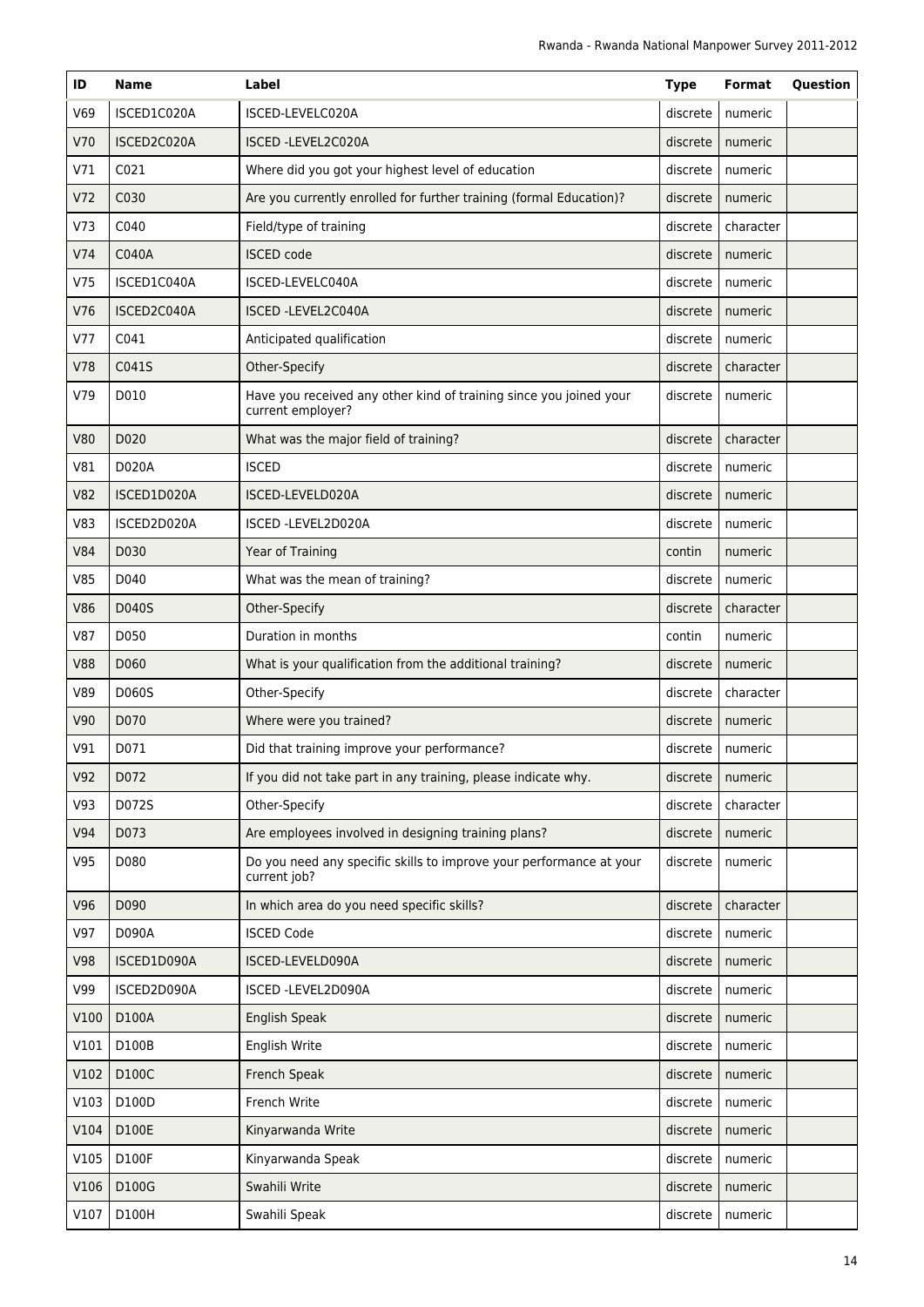| ID              | <b>Name</b> | Label                                                                                   | <b>Type</b> | Format    | Question |
|-----------------|-------------|-----------------------------------------------------------------------------------------|-------------|-----------|----------|
| V69             | ISCED1C020A | ISCED-LEVELC020A                                                                        | discrete    | numeric   |          |
| V70             | ISCED2C020A | ISCED -LEVEL2C020A                                                                      | discrete    | numeric   |          |
| V71             | C021        | Where did you got your highest level of education                                       | discrete    | numeric   |          |
| V <sub>72</sub> | C030        | Are you currently enrolled for further training (formal Education)?                     | discrete    | numeric   |          |
| V73             | C040        | Field/type of training                                                                  | discrete    | character |          |
| V74             | C040A       | <b>ISCED</b> code                                                                       | discrete    | numeric   |          |
| V75             | ISCED1C040A | ISCED-LEVELC040A                                                                        | discrete    | numeric   |          |
| V76             | ISCED2C040A | ISCED -LEVEL2C040A                                                                      | discrete    | numeric   |          |
| V77             | C041        | Anticipated qualification                                                               | discrete    | numeric   |          |
| V78             | C041S       | Other-Specify                                                                           | discrete    | character |          |
| V79             | D010        | Have you received any other kind of training since you joined your<br>current employer? | discrete    | numeric   |          |
| <b>V80</b>      | D020        | What was the major field of training?                                                   | discrete    | character |          |
| V81             | D020A       | <b>ISCED</b>                                                                            | discrete    | numeric   |          |
| <b>V82</b>      | ISCED1D020A | ISCED-LEVELD020A                                                                        | discrete    | numeric   |          |
| V83             | ISCED2D020A | ISCED-LEVEL2D020A                                                                       | discrete    | numeric   |          |
| <b>V84</b>      | D030        | Year of Training                                                                        | contin      | numeric   |          |
| V85             | D040        | What was the mean of training?                                                          | discrete    | numeric   |          |
| <b>V86</b>      | D040S       | Other-Specify                                                                           | discrete    | character |          |
| V87             | D050        | Duration in months                                                                      | contin      | numeric   |          |
| <b>V88</b>      | D060        | What is your qualification from the additional training?                                | discrete    | numeric   |          |
| V89             | D060S       | Other-Specify                                                                           | discrete    | character |          |
| V90             | D070        | Where were you trained?                                                                 | discrete    | numeric   |          |
| V91             | D071        | Did that training improve your performance?                                             | discrete    | numeric   |          |
| V92             | D072        | If you did not take part in any training, please indicate why.                          | discrete    | numeric   |          |
| V93             | D072S       | Other-Specify                                                                           | discrete    | character |          |
| V94             | D073        | Are employees involved in designing training plans?                                     | discrete    | numeric   |          |
| V95             | D080        | Do you need any specific skills to improve your performance at your<br>current job?     | discrete    | numeric   |          |
| V96             | D090        | In which area do you need specific skills?                                              | discrete    | character |          |
| V97             | D090A       | <b>ISCED Code</b>                                                                       | discrete    | numeric   |          |
| V98             | ISCED1D090A | ISCED-LEVELD090A                                                                        | discrete    | numeric   |          |
| V99             | ISCED2D090A | ISCED -LEVEL2D090A                                                                      | discrete    | numeric   |          |
| V100            | D100A       | English Speak                                                                           | discrete    | numeric   |          |
| V101            | D100B       | English Write                                                                           | discrete    | numeric   |          |
| V102            | D100C       | French Speak                                                                            | discrete    | numeric   |          |
| V103            | D100D       | French Write                                                                            | discrete    | numeric   |          |
| V104            | D100E       | Kinyarwanda Write                                                                       | discrete    | numeric   |          |
| V105            | D100F       | Kinyarwanda Speak                                                                       | discrete    | numeric   |          |
| V106            | D100G       | Swahili Write                                                                           | discrete    | numeric   |          |
| V107            | D100H       | Swahili Speak                                                                           | discrete    | numeric   |          |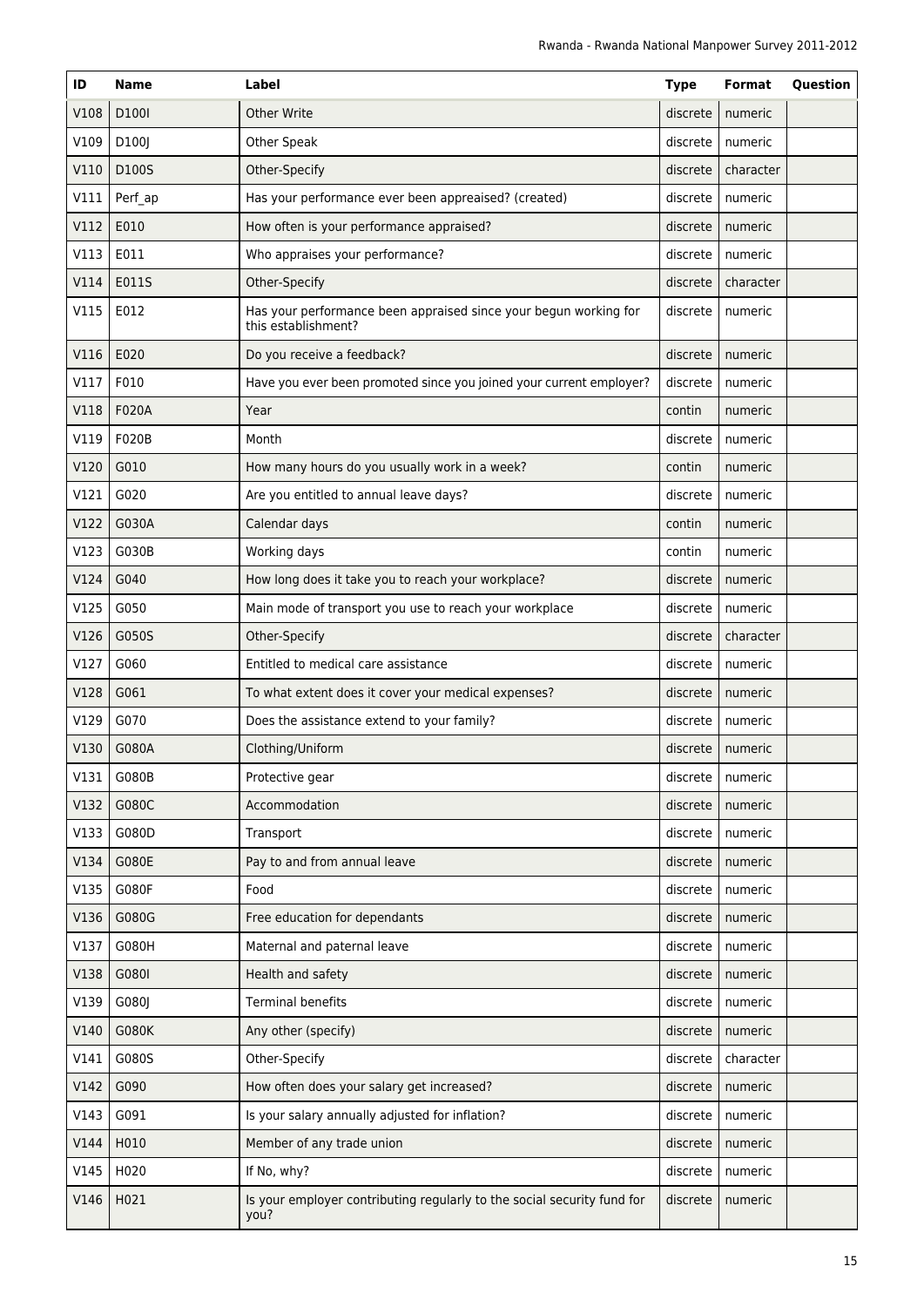| ID          | <b>Name</b> | Label                                                                                   | <b>Type</b> | Format    | Question |
|-------------|-------------|-----------------------------------------------------------------------------------------|-------------|-----------|----------|
| V108        | D1001       | <b>Other Write</b>                                                                      | discrete    | numeric   |          |
| V109        | D100J       | Other Speak                                                                             | discrete    | numeric   |          |
| V110        | D100S       | Other-Specify                                                                           | discrete    | character |          |
| <b>V111</b> | Perf_ap     | Has your performance ever been appreaised? (created)                                    | discrete    | numeric   |          |
| V112        | E010        | How often is your performance appraised?                                                | discrete    | numeric   |          |
| V113        | E011        | Who appraises your performance?                                                         | discrete    | numeric   |          |
| V114        | E011S       | Other-Specify                                                                           | discrete    | character |          |
| V115        | E012        | Has your performance been appraised since your begun working for<br>this establishment? | discrete    | numeric   |          |
| V116        | E020        | Do you receive a feedback?                                                              | discrete    | numeric   |          |
| V117        | F010        | Have you ever been promoted since you joined your current employer?                     | discrete    | numeric   |          |
| V118        | F020A       | Year                                                                                    | contin      | numeric   |          |
| V119        | F020B       | Month                                                                                   | discrete    | numeric   |          |
| V120        | G010        | How many hours do you usually work in a week?                                           | contin      | numeric   |          |
| V121        | G020        | Are you entitled to annual leave days?                                                  | discrete    | numeric   |          |
| V122        | G030A       | Calendar days                                                                           | contin      | numeric   |          |
| V123        | G030B       | Working days                                                                            | contin      | numeric   |          |
| V124        | G040        | How long does it take you to reach your workplace?                                      | discrete    | numeric   |          |
| V125        | G050        | Main mode of transport you use to reach your workplace                                  | discrete    | numeric   |          |
| V126        | G050S       | Other-Specify                                                                           | discrete    | character |          |
| V127        | G060        | Entitled to medical care assistance                                                     | discrete    | numeric   |          |
| V128        | G061        | To what extent does it cover your medical expenses?                                     | discrete    | numeric   |          |
| V129        | G070        | Does the assistance extend to your family?                                              | discrete    | numeric   |          |
| V130        | G080A       | Clothing/Uniform                                                                        | discrete    | numeric   |          |
| V131        | G080B       | Protective gear                                                                         | discrete    | numeric   |          |
| V132        | G080C       | Accommodation                                                                           | discrete    | numeric   |          |
| V133        | G080D       | Transport                                                                               | discrete    | numeric   |          |
| V134        | G080E       | Pay to and from annual leave                                                            | discrete    | numeric   |          |
| V135        | G080F       | Food                                                                                    | discrete    | numeric   |          |
| V136        | G080G       | Free education for dependants                                                           | discrete    | numeric   |          |
| V137        | G080H       | Maternal and paternal leave                                                             | discrete    | numeric   |          |
| V138        | G080I       | Health and safety                                                                       | discrete    | numeric   |          |
| V139        | G080J       | <b>Terminal benefits</b>                                                                | discrete    | numeric   |          |
| V140        | G080K       | Any other (specify)                                                                     | discrete    | numeric   |          |
| V141        | G080S       | Other-Specify                                                                           | discrete    | character |          |
| V142        | G090        | How often does your salary get increased?                                               | discrete    | numeric   |          |
| V143        | G091        | Is your salary annually adjusted for inflation?                                         | discrete    | numeric   |          |
| V144        | H010        | Member of any trade union                                                               | discrete    | numeric   |          |
| V145        | H020        | If No, why?                                                                             | discrete    | numeric   |          |
| V146        | H021        | Is your employer contributing regularly to the social security fund for<br>you?         | discrete    | numeric   |          |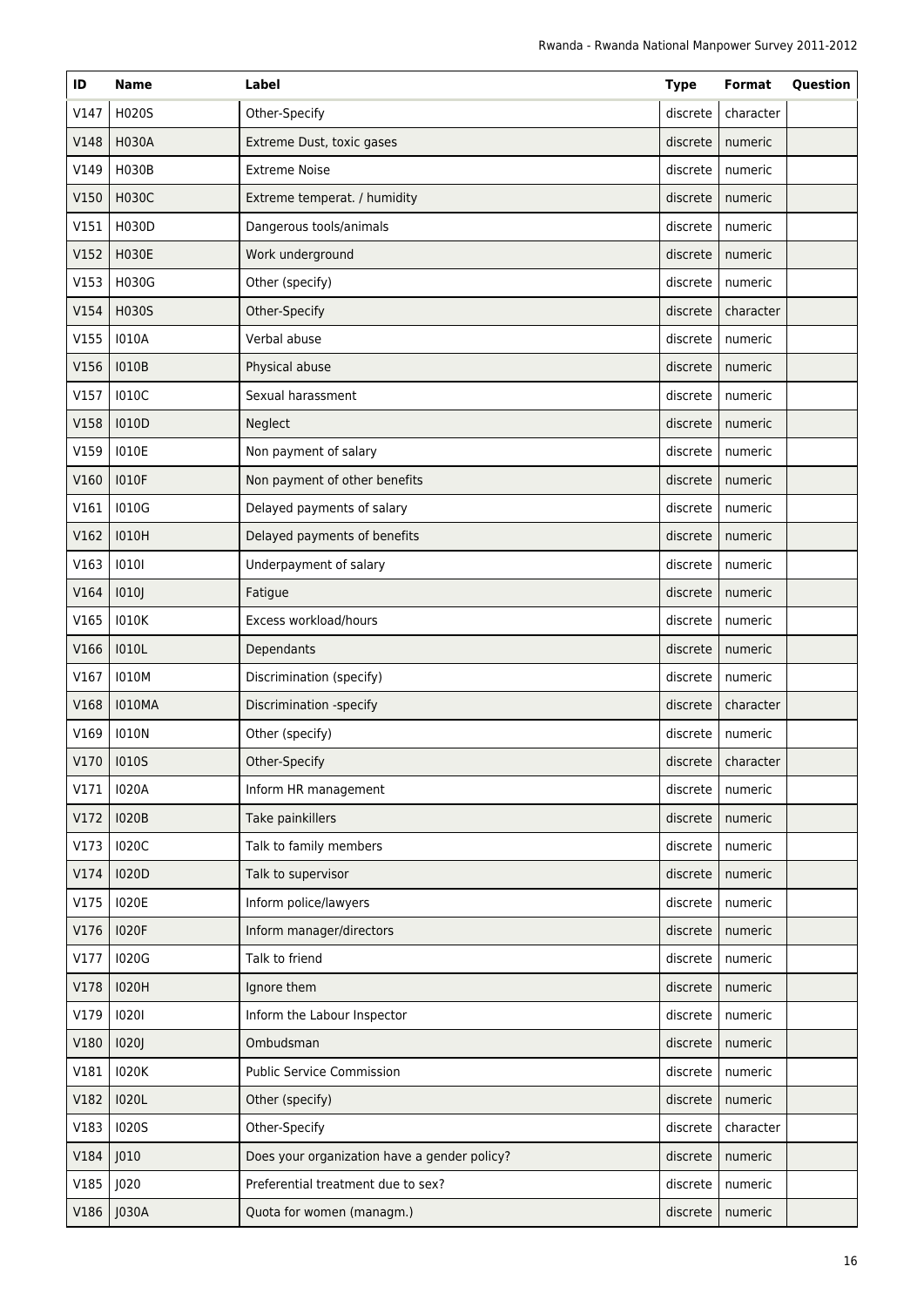| ID   | <b>Name</b>   | Label                                        | <b>Type</b> | Format                 | Question |
|------|---------------|----------------------------------------------|-------------|------------------------|----------|
| V147 | H020S         | Other-Specify                                | discrete    | character              |          |
| V148 | H030A         | Extreme Dust, toxic gases                    | discrete    | numeric                |          |
| V149 | H030B         | <b>Extreme Noise</b>                         | discrete    | numeric                |          |
| V150 | H030C         | Extreme temperat. / humidity                 | discrete    | numeric                |          |
| V151 | H030D         | Dangerous tools/animals                      | discrete    | numeric                |          |
| V152 | H030E         | Work underground                             | discrete    | numeric                |          |
| V153 | H030G         | Other (specify)                              | discrete    | numeric                |          |
| V154 | H030S         | Other-Specify                                | discrete    | character              |          |
| V155 | <b>I010A</b>  | Verbal abuse                                 | discrete    | numeric                |          |
| V156 | <b>I010B</b>  | Physical abuse                               | discrete    | numeric                |          |
| V157 | <b>I010C</b>  | Sexual harassment                            | discrete    | numeric                |          |
| V158 | <b>I010D</b>  | Neglect                                      | discrete    | numeric                |          |
| V159 | <b>I010E</b>  | Non payment of salary                        | discrete    | numeric                |          |
| V160 | <b>I010F</b>  | Non payment of other benefits                | discrete    | numeric                |          |
| V161 | <b>I010G</b>  | Delayed payments of salary                   | discrete    | numeric                |          |
| V162 | <b>I010H</b>  | Delayed payments of benefits                 | discrete    | numeric                |          |
| V163 | 10101         | Underpayment of salary                       | discrete    | numeric                |          |
| V164 | 1010          | Fatigue                                      | discrete    | numeric                |          |
| V165 | 1010K         | Excess workload/hours                        | discrete    | numeric                |          |
| V166 | <b>I010L</b>  | Dependants                                   | discrete    | numeric                |          |
| V167 | <b>I010M</b>  | Discrimination (specify)                     | discrete    | numeric                |          |
| V168 | <b>I010MA</b> | Discrimination -specify                      | discrete    | character              |          |
| V169 | <b>I010N</b>  | Other (specify)                              | discrete    | numeric                |          |
| V170 | <b>1010S</b>  | Other-Specify                                |             | $discrete$   character |          |
| V171 | <b>I020A</b>  | Inform HR management                         | discrete    | numeric                |          |
| V172 | <b>I020B</b>  | Take painkillers                             | discrete    | numeric                |          |
| V173 | <b>I020C</b>  | Talk to family members                       | discrete    | numeric                |          |
| V174 | <b>I020D</b>  | Talk to supervisor                           | discrete    | numeric                |          |
| V175 | <b>I020E</b>  | Inform police/lawyers                        | discrete    | numeric                |          |
| V176 | <b>I020F</b>  | Inform manager/directors                     | discrete    | numeric                |          |
| V177 | <b>I020G</b>  | Talk to friend                               | discrete    | numeric                |          |
| V178 | <b>I020H</b>  | Ignore them                                  | discrete    | numeric                |          |
| V179 | 10201         | Inform the Labour Inspector                  | discrete    | numeric                |          |
| V180 | 1020          | Ombudsman                                    | discrete    | numeric                |          |
| V181 | 1020K         | <b>Public Service Commission</b>             | discrete    | numeric                |          |
| V182 | <b>I020L</b>  | Other (specify)                              | discrete    | numeric                |          |
| V183 | <b>1020S</b>  | Other-Specify                                | discrete    | character              |          |
| V184 | J010          | Does your organization have a gender policy? | discrete    | numeric                |          |
| V185 | J020          | Preferential treatment due to sex?           | discrete    | numeric                |          |
| V186 | J030A         | Quota for women (managm.)                    | discrete    | numeric                |          |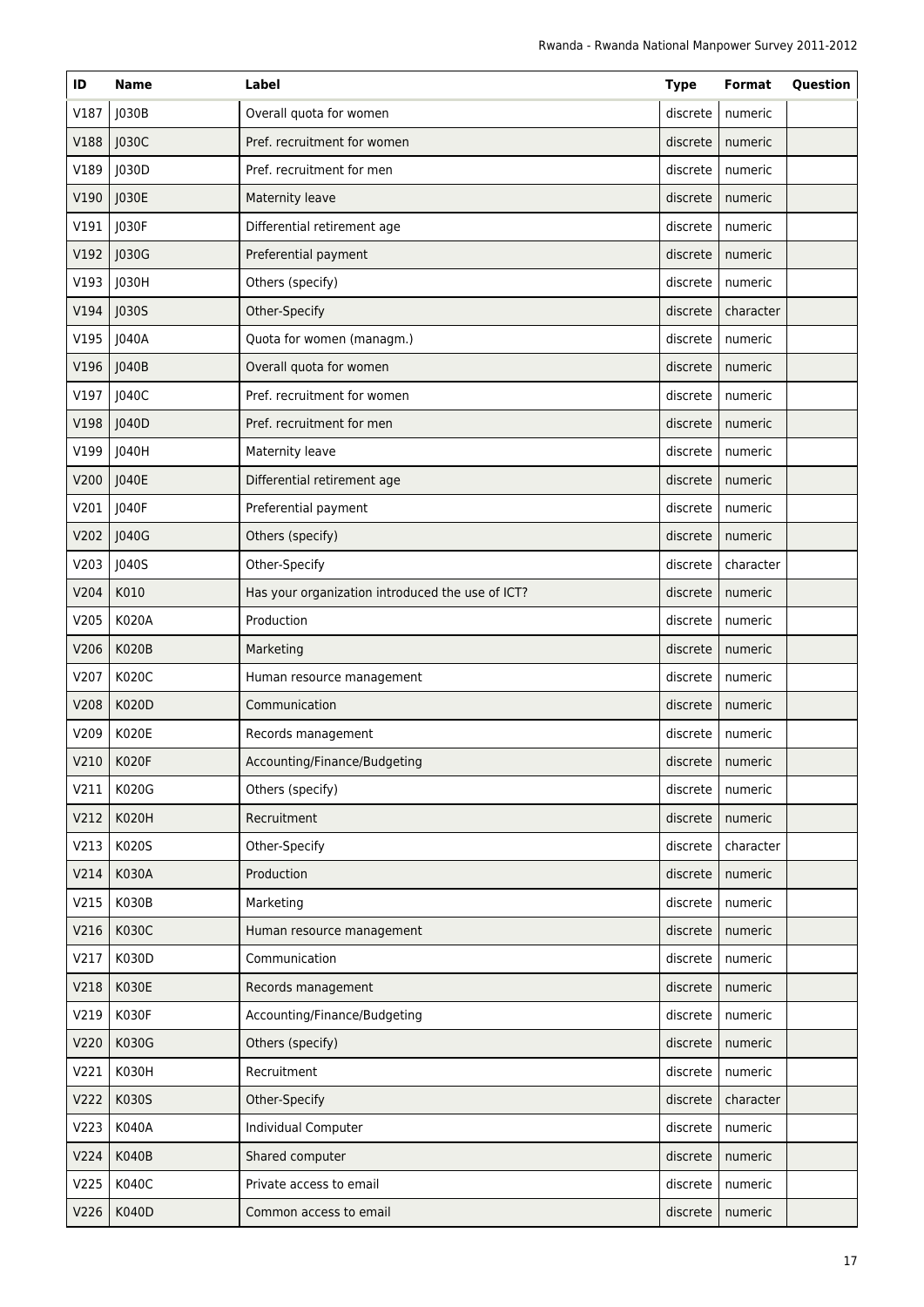| ID   | <b>Name</b>  | Label                                            | <b>Type</b> | <b>Format</b>      | Question |
|------|--------------|--------------------------------------------------|-------------|--------------------|----------|
| V187 | J030B        | Overall quota for women                          | discrete    | numeric            |          |
| V188 | J030C        | Pref. recruitment for women                      | discrete    | numeric            |          |
| V189 | J030D        | Pref. recruitment for men                        | discrete    | numeric            |          |
| V190 | J030E        | Maternity leave                                  | discrete    | numeric            |          |
| V191 | J030F        | Differential retirement age                      | discrete    | numeric            |          |
| V192 | J030G        | Preferential payment                             | discrete    | numeric            |          |
| V193 | J030H        | Others (specify)                                 | discrete    | numeric            |          |
| V194 | J030S        | Other-Specify                                    | discrete    | character          |          |
| V195 | J040A        | Quota for women (managm.)                        | discrete    | numeric            |          |
| V196 | J040B        | Overall quota for women                          | discrete    | numeric            |          |
| V197 | J040C        | Pref. recruitment for women                      | discrete    | numeric            |          |
| V198 | J040D        | Pref. recruitment for men                        | discrete    | numeric            |          |
| V199 | J040H        | Maternity leave                                  | discrete    | numeric            |          |
| V200 | J040E        | Differential retirement age                      | discrete    | numeric            |          |
| V201 | J040F        | Preferential payment                             | discrete    | numeric            |          |
| V202 | J040G        | Others (specify)                                 | discrete    | numeric            |          |
| V203 | J040S        | Other-Specify                                    | discrete    | character          |          |
| V204 | K010         | Has your organization introduced the use of ICT? | discrete    | numeric            |          |
| V205 | K020A        | Production                                       | discrete    | numeric            |          |
| V206 | <b>K020B</b> | Marketing                                        | discrete    | numeric            |          |
| V207 | K020C        | Human resource management                        | discrete    | numeric            |          |
| V208 | K020D        | Communication                                    | discrete    | numeric            |          |
| V209 | K020E        | Records management                               | discrete    | numeric            |          |
| V210 | <b>K020F</b> | Accounting/Finance/Budgeting                     |             | discrete   numeric |          |
| V211 | K020G        | Others (specify)                                 | discrete    | numeric            |          |
| V212 | K020H        | Recruitment                                      | discrete    | numeric            |          |
| V213 | K020S        | Other-Specify                                    | discrete    | character          |          |
| V214 | K030A        | Production                                       | discrete    | numeric            |          |
| V215 | K030B        | Marketing                                        | discrete    | numeric            |          |
| V216 | K030C        | Human resource management                        | discrete    | numeric            |          |
| V217 | K030D        | Communication                                    | discrete    | numeric            |          |
| V218 | K030E        | Records management                               | discrete    | numeric            |          |
| V219 | <b>K030F</b> | Accounting/Finance/Budgeting                     | discrete    | numeric            |          |
| V220 | K030G        | Others (specify)                                 | discrete    | numeric            |          |
| V221 | K030H        | Recruitment                                      | discrete    | numeric            |          |
| V222 | K030S        | Other-Specify                                    | discrete    | character          |          |
| V223 | <b>K040A</b> | Individual Computer                              | discrete    | numeric            |          |
| V224 | <b>K040B</b> | Shared computer                                  | discrete    | numeric            |          |
| V225 | K040C        | Private access to email                          | discrete    | numeric            |          |
| V226 | K040D        | Common access to email                           |             | discrete   numeric |          |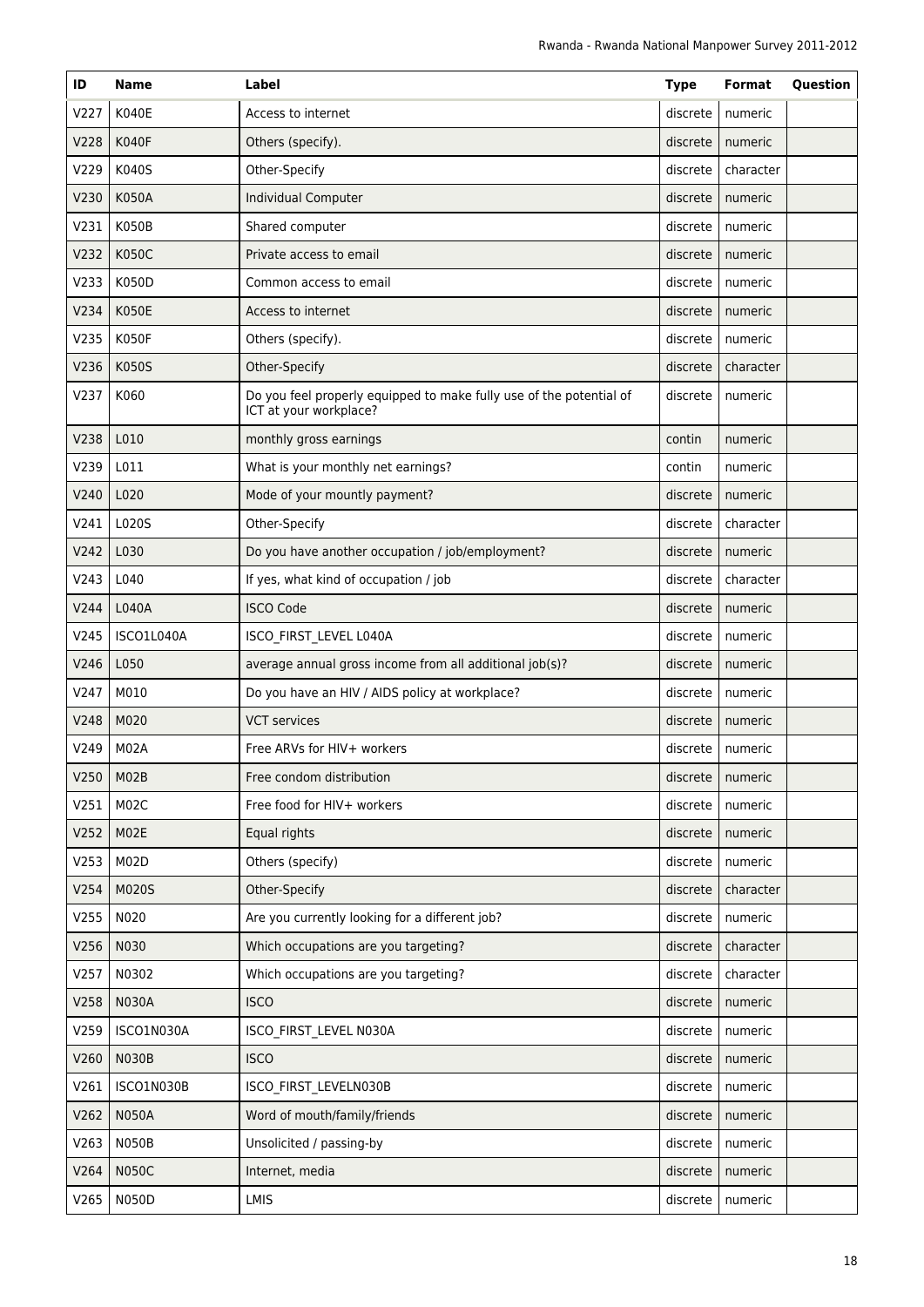| ID   | <b>Name</b>  | Label                                                                                         | <b>Type</b> | Format    | Question |
|------|--------------|-----------------------------------------------------------------------------------------------|-------------|-----------|----------|
| V227 | <b>K040E</b> | Access to internet                                                                            | discrete    | numeric   |          |
| V228 | <b>K040F</b> | Others (specify).                                                                             | discrete    | numeric   |          |
| V229 | K040S        | Other-Specify                                                                                 | discrete    | character |          |
| V230 | <b>K050A</b> | Individual Computer                                                                           | discrete    | numeric   |          |
| V231 | K050B        | Shared computer                                                                               | discrete    | numeric   |          |
| V232 | <b>K050C</b> | Private access to email                                                                       | discrete    | numeric   |          |
| V233 | <b>K050D</b> | Common access to email                                                                        | discrete    | numeric   |          |
| V234 | <b>K050E</b> | Access to internet                                                                            | discrete    | numeric   |          |
| V235 | <b>K050F</b> | Others (specify).                                                                             | discrete    | numeric   |          |
| V236 | K050S        | Other-Specify                                                                                 | discrete    | character |          |
| V237 | K060         | Do you feel properly equipped to make fully use of the potential of<br>ICT at your workplace? | discrete    | numeric   |          |
| V238 | L010         | monthly gross earnings                                                                        | contin      | numeric   |          |
| V239 | L011         | What is your monthly net earnings?                                                            | contin      | numeric   |          |
| V240 | L020         | Mode of your mountly payment?                                                                 | discrete    | numeric   |          |
| V241 | L020S        | Other-Specify                                                                                 | discrete    | character |          |
| V242 | L030         | Do you have another occupation / job/employment?                                              | discrete    | numeric   |          |
| V243 | L040         | If yes, what kind of occupation / job                                                         | discrete    | character |          |
| V244 | L040A        | <b>ISCO Code</b>                                                                              | discrete    | numeric   |          |
| V245 | ISCO1L040A   | ISCO_FIRST_LEVEL L040A                                                                        | discrete    | numeric   |          |
| V246 | L050         | average annual gross income from all additional job(s)?                                       | discrete    | numeric   |          |
| V247 | M010         | Do you have an HIV / AIDS policy at workplace?                                                | discrete    | numeric   |          |
| V248 | M020         | <b>VCT</b> services                                                                           | discrete    | numeric   |          |
| V249 | M02A         | Free ARVs for HIV+ workers                                                                    | discrete    | numeric   |          |
| V250 | M02B         | Free condom distribution                                                                      | discrete    | numeric   |          |
| V251 | M02C         | Free food for HIV+ workers                                                                    | discrete    | numeric   |          |
| V252 | M02E         | Equal rights                                                                                  | discrete    | numeric   |          |
| V253 | M02D         | Others (specify)                                                                              | discrete    | numeric   |          |
| V254 | M020S        | Other-Specify                                                                                 | discrete    | character |          |
| V255 | N020         | Are you currently looking for a different job?                                                | discrete    | numeric   |          |
| V256 | N030         | Which occupations are you targeting?                                                          | discrete    | character |          |
| V257 | N0302        | Which occupations are you targeting?                                                          | discrete    | character |          |
| V258 | <b>N030A</b> | <b>ISCO</b>                                                                                   | discrete    | numeric   |          |
| V259 | ISCO1N030A   | ISCO_FIRST_LEVEL N030A                                                                        | discrete    | numeric   |          |
| V260 | <b>N030B</b> | <b>ISCO</b>                                                                                   | discrete    | numeric   |          |
| V261 | ISCO1N030B   | ISCO_FIRST_LEVELN030B                                                                         | discrete    | numeric   |          |
| V262 | <b>N050A</b> | Word of mouth/family/friends                                                                  | discrete    | numeric   |          |
| V263 | <b>N050B</b> | Unsolicited / passing-by                                                                      | discrete    | numeric   |          |
| V264 | <b>N050C</b> | Internet, media                                                                               | discrete    | numeric   |          |
| V265 | N050D        | <b>LMIS</b>                                                                                   | discrete    | numeric   |          |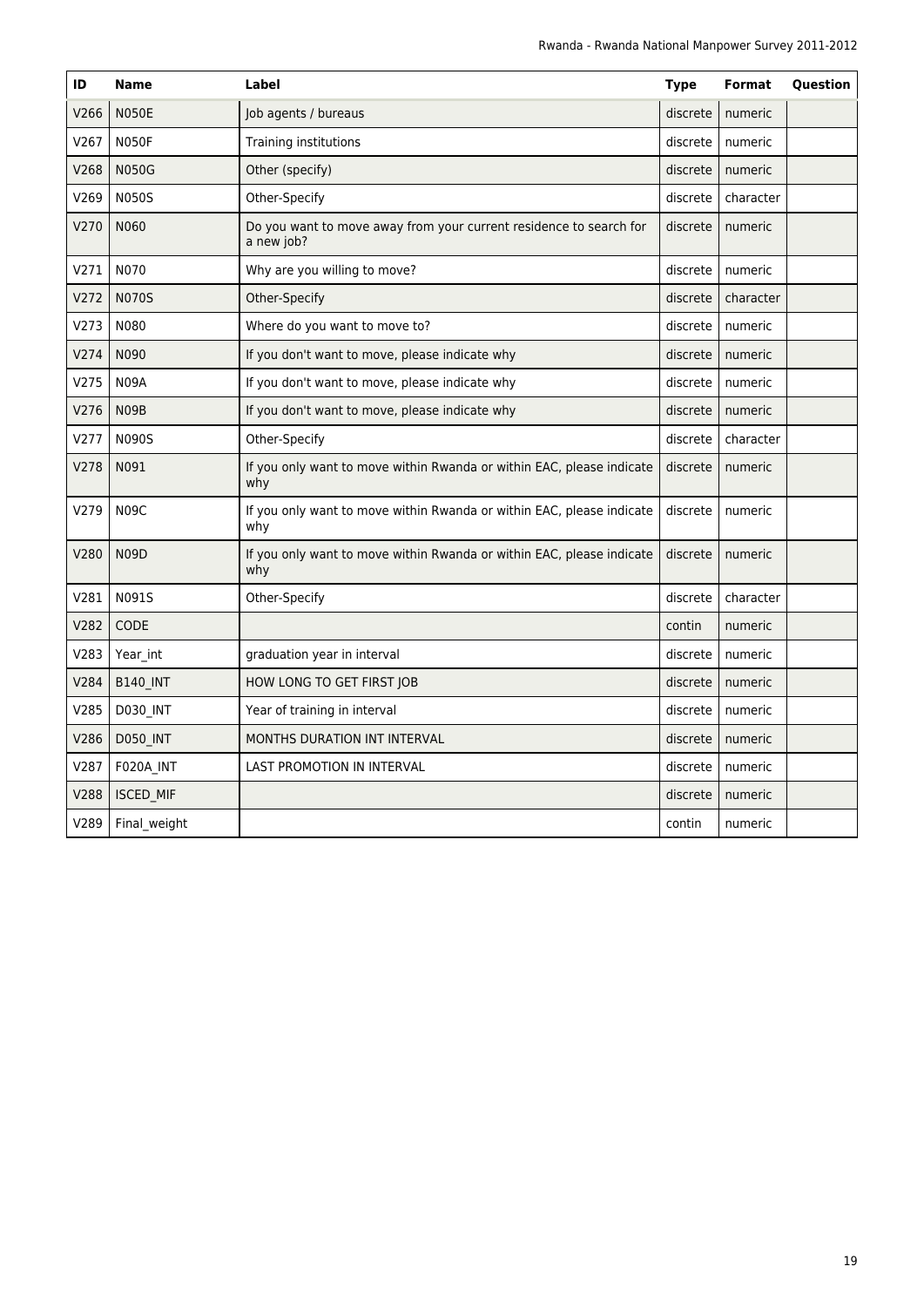| ID   | <b>Name</b>       | Label                                                                            | <b>Type</b> | Format    | <b>Question</b> |
|------|-------------------|----------------------------------------------------------------------------------|-------------|-----------|-----------------|
| V266 | <b>N050E</b>      | Job agents / bureaus                                                             | discrete    | numeric   |                 |
| V267 | <b>N050F</b>      | Training institutions                                                            | discrete    | numeric   |                 |
| V268 | <b>N050G</b>      | Other (specify)                                                                  | discrete    | numeric   |                 |
| V269 | <b>N050S</b>      | Other-Specify                                                                    | discrete    | character |                 |
| V270 | N060              | Do you want to move away from your current residence to search for<br>a new job? | discrete    | numeric   |                 |
| V271 | N070              | Why are you willing to move?                                                     | discrete    | numeric   |                 |
| V272 | <b>N070S</b>      | Other-Specify                                                                    | discrete    | character |                 |
| V273 | N080              | Where do you want to move to?                                                    | discrete    | numeric   |                 |
| V274 | N090              | If you don't want to move, please indicate why                                   | discrete    | numeric   |                 |
| V275 | <b>N09A</b>       | If you don't want to move, please indicate why                                   | discrete    | numeric   |                 |
| V276 | N <sub>09</sub> B | If you don't want to move, please indicate why                                   | discrete    | numeric   |                 |
| V277 | <b>N090S</b>      | Other-Specify                                                                    | discrete    | character |                 |
| V278 | N091              | If you only want to move within Rwanda or within EAC, please indicate<br>why     | discrete    | numeric   |                 |
| V279 | N <sub>09</sub> C | If you only want to move within Rwanda or within EAC, please indicate<br>why     | discrete    | numeric   |                 |
| V280 | <b>N09D</b>       | If you only want to move within Rwanda or within EAC, please indicate<br>why     | discrete    | numeric   |                 |
| V281 | N091S             | Other-Specify                                                                    | discrete    | character |                 |
| V282 | CODE              |                                                                                  | contin      | numeric   |                 |
| V283 | Year_int          | graduation year in interval                                                      | discrete    | numeric   |                 |
| V284 | <b>B140_INT</b>   | HOW LONG TO GET FIRST JOB                                                        | discrete    | numeric   |                 |
| V285 | D030_INT          | Year of training in interval                                                     | discrete    | numeric   |                 |
| V286 | D050_INT          | MONTHS DURATION INT INTERVAL                                                     | discrete    | numeric   |                 |
| V287 | F020A_INT         | LAST PROMOTION IN INTERVAL                                                       | discrete    | numeric   |                 |
| V288 | ISCED_MIF         |                                                                                  | discrete    | numeric   |                 |
| V289 | Final_weight      |                                                                                  | contin      | numeric   |                 |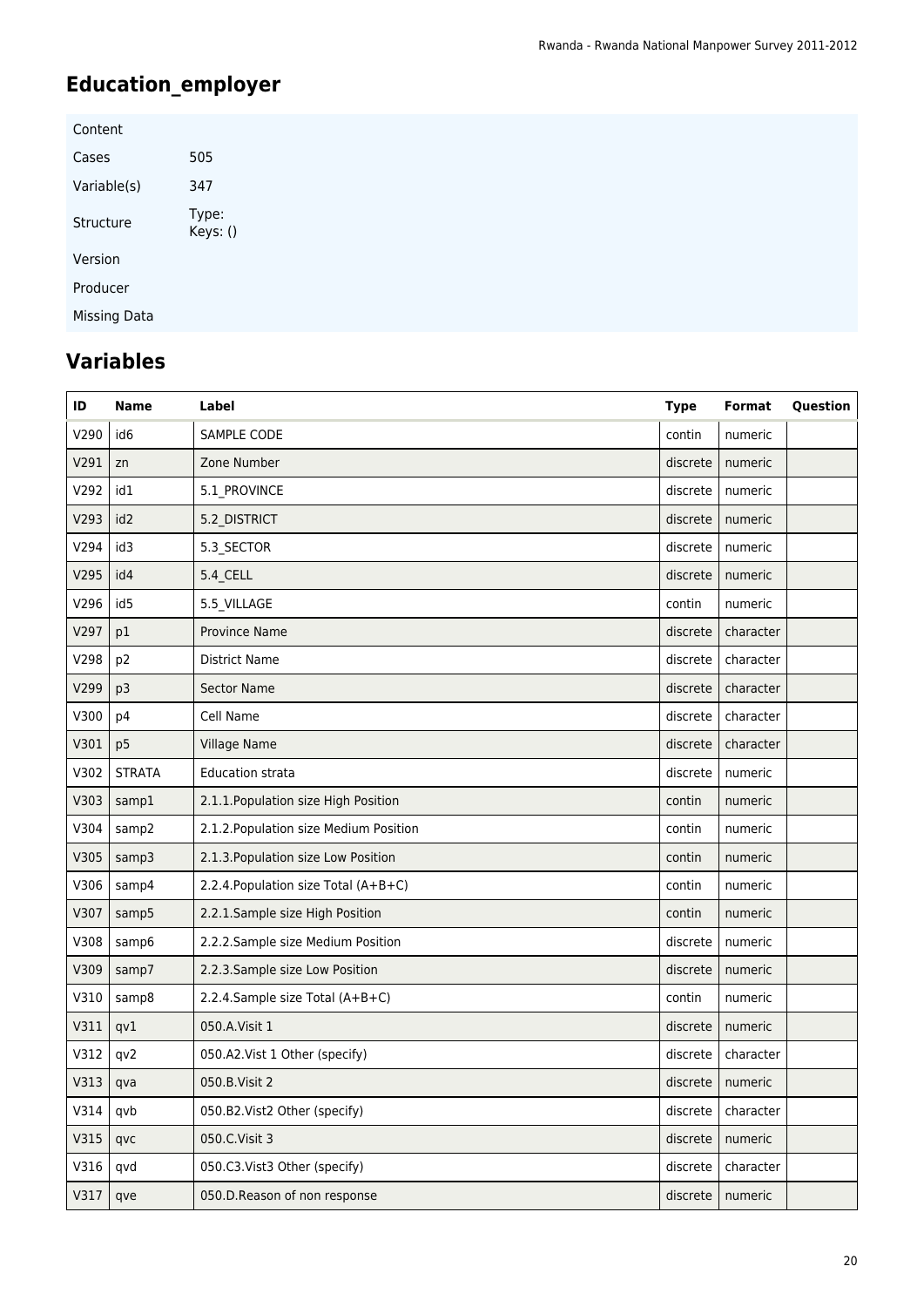# **Education\_employer**

| Content             |                   |  |  |
|---------------------|-------------------|--|--|
| Cases               | 505               |  |  |
| Variable(s)         | 347               |  |  |
| Structure           | Type:<br>Keys: () |  |  |
| Version             |                   |  |  |
| Producer            |                   |  |  |
| <b>Missing Data</b> |                   |  |  |

# **Variables**

| ID   | <b>Name</b>     | Label                                  | <b>Type</b> | Format             | Question |
|------|-----------------|----------------------------------------|-------------|--------------------|----------|
| V290 | id <sub>6</sub> | SAMPLE CODE                            | contin      | numeric            |          |
| V291 | zn              | Zone Number                            | discrete    | numeric            |          |
| V292 | id1             | 5.1_PROVINCE                           | discrete    | numeric            |          |
| V293 | id <sub>2</sub> | 5.2_DISTRICT                           | discrete    | numeric            |          |
| V294 | id3             | 5.3_SECTOR                             | discrete    | numeric            |          |
| V295 | id4             | 5.4_CELL                               | discrete    | numeric            |          |
| V296 | id5             | 5.5_VILLAGE                            | contin      | numeric            |          |
| V297 | p1              | <b>Province Name</b>                   | discrete    | character          |          |
| V298 | p <sub>2</sub>  | <b>District Name</b>                   | discrete    | character          |          |
| V299 | p <sub>3</sub>  | <b>Sector Name</b>                     | discrete    | character          |          |
| V300 | p4              | Cell Name                              | discrete    | character          |          |
| V301 | p <sub>5</sub>  | Village Name                           | discrete    | character          |          |
| V302 | <b>STRATA</b>   | <b>Education strata</b>                | discrete    | numeric            |          |
| V303 | samp1           | 2.1.1. Population size High Position   | contin      | numeric            |          |
| V304 | samp2           | 2.1.2. Population size Medium Position | contin      | numeric            |          |
| V305 | samp3           | 2.1.3. Population size Low Position    | contin      | numeric            |          |
| V306 | samp4           | 2.2.4. Population size Total (A+B+C)   | contin      | numeric            |          |
| V307 | samp5           | 2.2.1.Sample size High Position        | contin      | numeric            |          |
| V308 | samp6           | 2.2.2.Sample size Medium Position      | discrete    | numeric            |          |
| V309 | samp7           | 2.2.3. Sample size Low Position        | discrete    | numeric            |          |
| V310 | samp8           | 2.2.4. Sample size Total (A+B+C)       | contin      | numeric            |          |
| V311 | qv1             | 050.A.Visit 1                          | discrete    | numeric            |          |
| V312 | qv2             | 050.A2.Vist 1 Other (specify)          | discrete    | character          |          |
| V313 | qva             | 050.B.Visit 2                          |             | discrete   numeric |          |
| V314 | qvb             | 050.B2.Vist2 Other (specify)           | discrete    | character          |          |
| V315 | qvc             | 050.C.Visit 3                          | discrete    | numeric            |          |
| V316 | qvd             | 050.C3.Vist3 Other (specify)           | discrete    | character          |          |
| V317 | qve             | 050.D.Reason of non response           | discrete    | numeric            |          |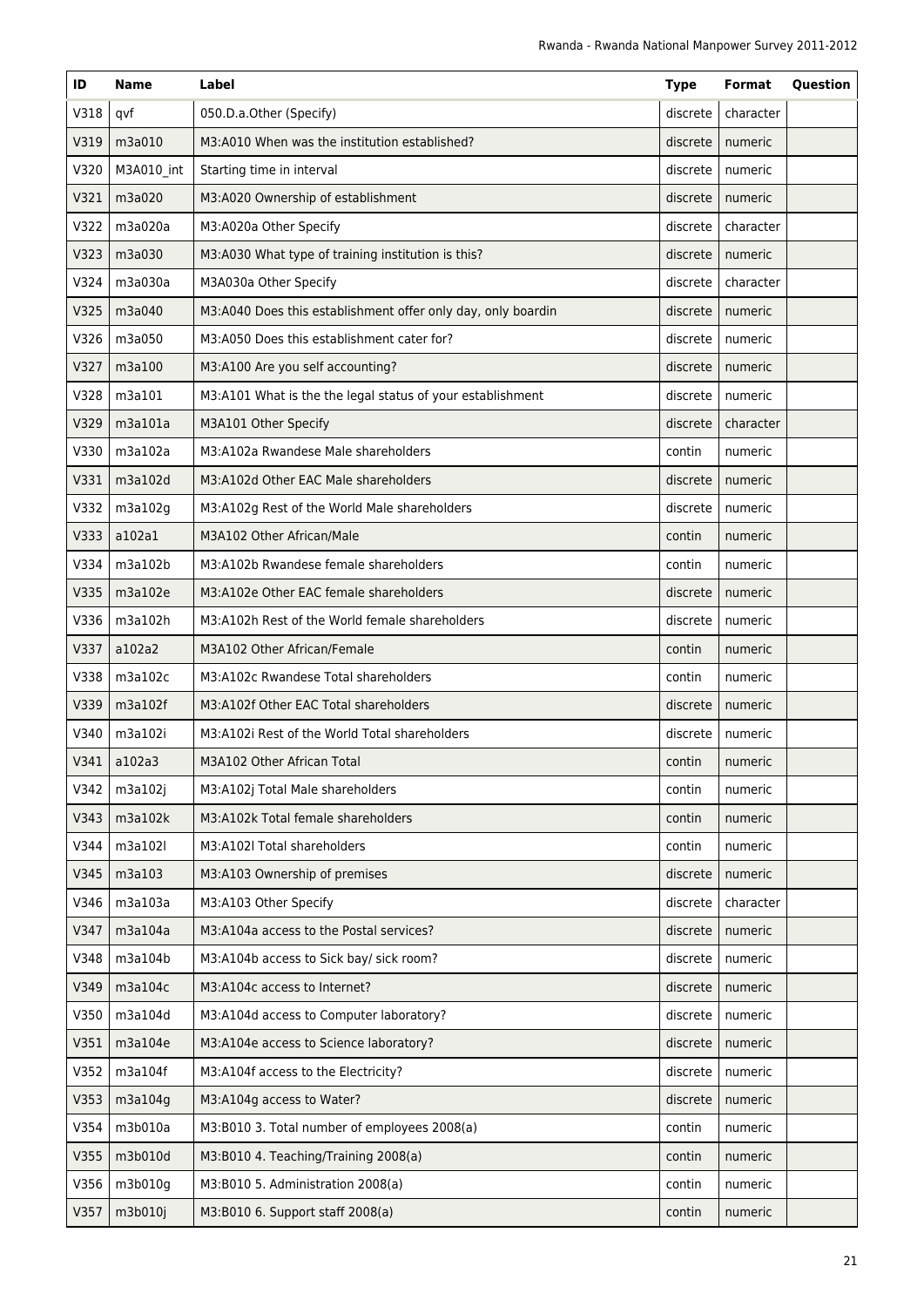| ID   | <b>Name</b> | Label                                                        | <b>Type</b> | Format    | Question |
|------|-------------|--------------------------------------------------------------|-------------|-----------|----------|
| V318 | qvf         | 050.D.a.Other (Specify)                                      | discrete    | character |          |
| V319 | m3a010      | M3:A010 When was the institution established?                | discrete    | numeric   |          |
| V320 | M3A010_int  | Starting time in interval                                    | discrete    | numeric   |          |
| V321 | m3a020      | M3:A020 Ownership of establishment                           | discrete    | numeric   |          |
| V322 | m3a020a     | M3:A020a Other Specify                                       | discrete    | character |          |
| V323 | m3a030      | M3:A030 What type of training institution is this?           | discrete    | numeric   |          |
| V324 | m3a030a     | M3A030a Other Specify                                        | discrete    | character |          |
| V325 | m3a040      | M3:A040 Does this establishment offer only day, only boardin | discrete    | numeric   |          |
| V326 | m3a050      | M3:A050 Does this establishment cater for?                   | discrete    | numeric   |          |
| V327 | m3a100      | M3:A100 Are you self accounting?                             | discrete    | numeric   |          |
| V328 | m3a101      | M3:A101 What is the the legal status of your establishment   | discrete    | numeric   |          |
| V329 | m3a101a     | M3A101 Other Specify                                         | discrete    | character |          |
| V330 | m3a102a     | M3:A102a Rwandese Male shareholders                          | contin      | numeric   |          |
| V331 | m3a102d     | M3:A102d Other EAC Male shareholders                         | discrete    | numeric   |          |
| V332 | m3a102g     | M3:A102g Rest of the World Male shareholders                 | discrete    | numeric   |          |
| V333 | a102a1      | M3A102 Other African/Male                                    | contin      | numeric   |          |
| V334 | m3a102b     | M3:A102b Rwandese female shareholders                        | contin      | numeric   |          |
| V335 | m3a102e     | M3:A102e Other EAC female shareholders                       | discrete    | numeric   |          |
| V336 | m3a102h     | M3:A102h Rest of the World female shareholders               | discrete    | numeric   |          |
| V337 | a102a2      | M3A102 Other African/Female                                  | contin      | numeric   |          |
| V338 | m3a102c     | M3:A102c Rwandese Total shareholders                         | contin      | numeric   |          |
| V339 | m3a102f     | M3:A102f Other EAC Total shareholders                        | discrete    | numeric   |          |
| V340 | m3a102i     | M3:A102i Rest of the World Total shareholders                | discrete    | numeric   |          |
| V341 | a102a3      | M3A102 Other African Total                                   | contin      | numeric   |          |
| V342 | m3a102j     | M3:A102j Total Male shareholders                             | contin      | numeric   |          |
| V343 | m3a102k     | M3:A102k Total female shareholders                           | contin      | numeric   |          |
| V344 | m3a102l     | M3:A102l Total shareholders                                  | contin      | numeric   |          |
| V345 | m3a103      | M3:A103 Ownership of premises                                | discrete    | numeric   |          |
| V346 | m3a103a     | M3:A103 Other Specify                                        | discrete    | character |          |
| V347 | m3a104a     | M3:A104a access to the Postal services?                      | discrete    | numeric   |          |
| V348 | m3a104b     | M3:A104b access to Sick bay/ sick room?                      | discrete    | numeric   |          |
| V349 | m3a104c     | M3:A104c access to Internet?                                 | discrete    | numeric   |          |
| V350 | m3a104d     | M3:A104d access to Computer laboratory?                      | discrete    | numeric   |          |
| V351 | m3a104e     | M3:A104e access to Science laboratory?                       | discrete    | numeric   |          |
| V352 | m3a104f     | M3:A104f access to the Electricity?                          | discrete    | numeric   |          |
| V353 | m3a104g     | M3:A104g access to Water?                                    | discrete    | numeric   |          |
| V354 | m3b010a     | M3:B010 3. Total number of employees 2008(a)                 | contin      | numeric   |          |
| V355 | m3b010d     | M3:B010 4. Teaching/Training 2008(a)                         | contin      | numeric   |          |
| V356 | m3b010g     | M3:B010 5. Administration 2008(a)                            | contin      | numeric   |          |
| V357 | m3b010j     | M3:B010 6. Support staff 2008(a)                             | contin      | numeric   |          |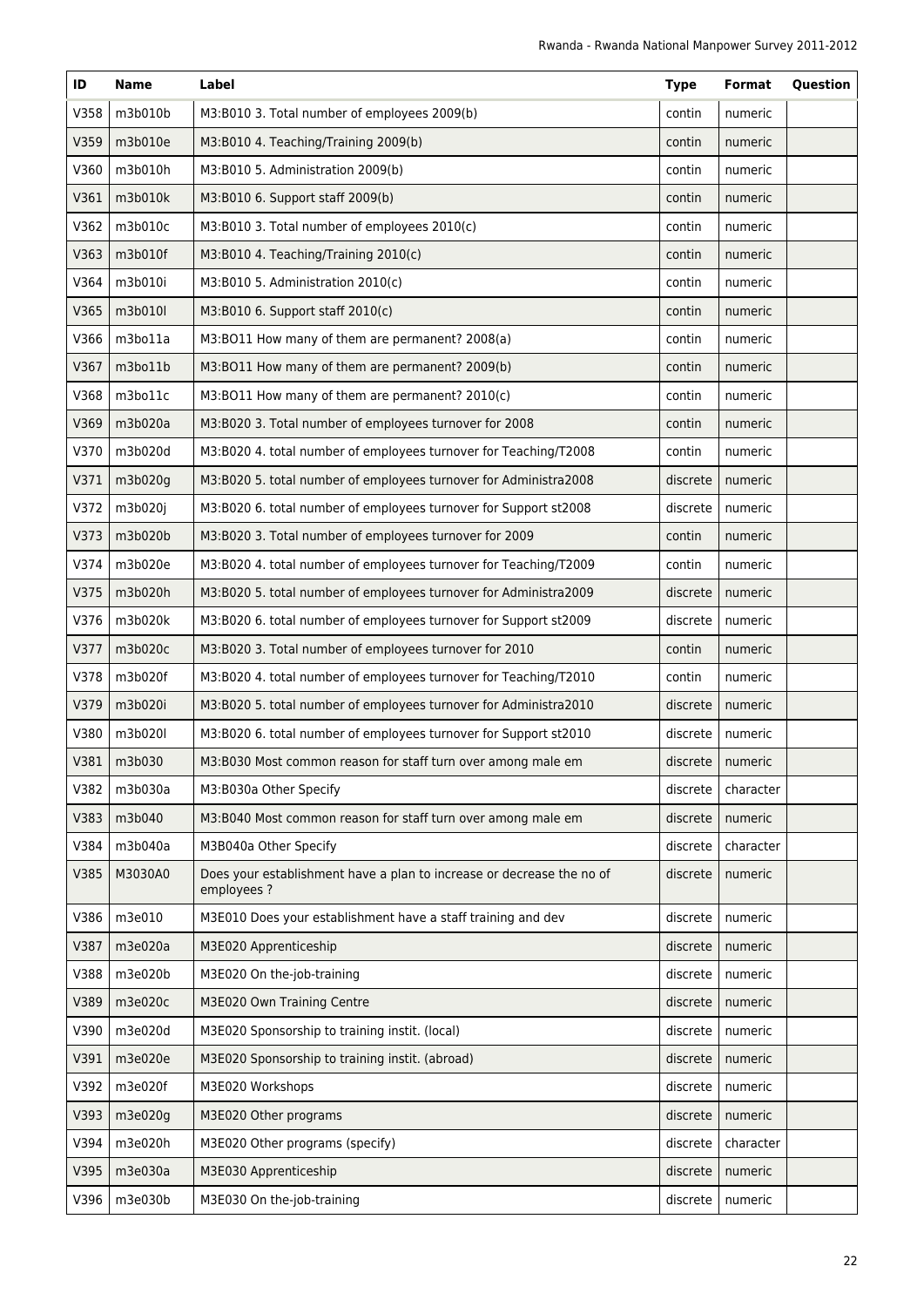| ID   | <b>Name</b> | Label                                                                               | <b>Type</b> | <b>Format</b>      | Question |
|------|-------------|-------------------------------------------------------------------------------------|-------------|--------------------|----------|
| V358 | m3b010b     | M3:B010 3. Total number of employees 2009(b)                                        | contin      | numeric            |          |
| V359 | m3b010e     | M3:B010 4. Teaching/Training 2009(b)                                                | contin      | numeric            |          |
| V360 | m3b010h     | M3:B010 5. Administration 2009(b)                                                   | contin      | numeric            |          |
| V361 | m3b010k     | M3:B010 6. Support staff 2009(b)                                                    | contin      | numeric            |          |
| V362 | m3b010c     | M3:B010 3. Total number of employees 2010(c)                                        | contin      | numeric            |          |
| V363 | m3b010f     | M3:B010 4. Teaching/Training 2010(c)                                                | contin      | numeric            |          |
| V364 | m3b010i     | M3:B010 5. Administration 2010(c)                                                   | contin      | numeric            |          |
| V365 | m3b010l     | M3:B010 6. Support staff 2010(c)                                                    | contin      | numeric            |          |
| V366 | m3bo11a     | M3:BO11 How many of them are permanent? 2008(a)                                     | contin      | numeric            |          |
| V367 | m3bo11b     | M3:BO11 How many of them are permanent? 2009(b)                                     | contin      | numeric            |          |
| V368 | m3bo11c     | M3:BO11 How many of them are permanent? 2010(c)                                     | contin      | numeric            |          |
| V369 | m3b020a     | M3:B020 3. Total number of employees turnover for 2008                              | contin      | numeric            |          |
| V370 | m3b020d     | M3:B020 4. total number of employees turnover for Teaching/T2008                    | contin      | numeric            |          |
| V371 | m3b020g     | M3:B020 5. total number of employees turnover for Administra2008                    | discrete    | numeric            |          |
| V372 | m3b020j     | M3:B020 6. total number of employees turnover for Support st2008                    | discrete    | numeric            |          |
| V373 | m3b020b     | M3:B020 3. Total number of employees turnover for 2009                              | contin      | numeric            |          |
| V374 | m3b020e     | M3:B020 4. total number of employees turnover for Teaching/T2009                    | contin      | numeric            |          |
| V375 | m3b020h     | M3:B020 5. total number of employees turnover for Administra2009                    | discrete    | numeric            |          |
| V376 | m3b020k     | M3:B020 6. total number of employees turnover for Support st2009                    | discrete    | numeric            |          |
| V377 | m3b020c     | M3:B020 3. Total number of employees turnover for 2010                              | contin      | numeric            |          |
| V378 | m3b020f     | M3:B020 4. total number of employees turnover for Teaching/T2010                    | contin      | numeric            |          |
| V379 | m3b020i     | M3:B020 5. total number of employees turnover for Administra2010                    | discrete    | numeric            |          |
| V380 | m3b020l     | M3:B020 6. total number of employees turnover for Support st2010                    | discrete    | numeric            |          |
| V381 | m3b030      | M3:B030 Most common reason for staff turn over among male em                        |             | discrete   numeric |          |
| V382 | m3b030a     | M3:B030a Other Specify                                                              | discrete    | character          |          |
| V383 | m3b040      | M3:B040 Most common reason for staff turn over among male em                        | discrete    | numeric            |          |
| V384 | m3b040a     | M3B040a Other Specify                                                               | discrete    | character          |          |
| V385 | M3030A0     | Does your establishment have a plan to increase or decrease the no of<br>employees? | discrete    | numeric            |          |
| V386 | m3e010      | M3E010 Does your establishment have a staff training and dev                        | discrete    | numeric            |          |
| V387 | m3e020a     | M3E020 Apprenticeship                                                               | discrete    | numeric            |          |
| V388 | m3e020b     | M3E020 On the-job-training                                                          | discrete    | numeric            |          |
| V389 | m3e020c     | M3E020 Own Training Centre                                                          | discrete    | numeric            |          |
| V390 | m3e020d     | M3E020 Sponsorship to training instit. (local)                                      | discrete    | numeric            |          |
| V391 | m3e020e     | M3E020 Sponsorship to training instit. (abroad)                                     | discrete    | numeric            |          |
| V392 | m3e020f     | M3E020 Workshops                                                                    | discrete    | numeric            |          |
| V393 | m3e020g     | M3E020 Other programs                                                               | discrete    | numeric            |          |
| V394 | m3e020h     | M3E020 Other programs (specify)                                                     | discrete    | character          |          |
| V395 | m3e030a     | M3E030 Apprenticeship                                                               | discrete    | numeric            |          |
| V396 | m3e030b     | M3E030 On the-job-training                                                          | discrete    | numeric            |          |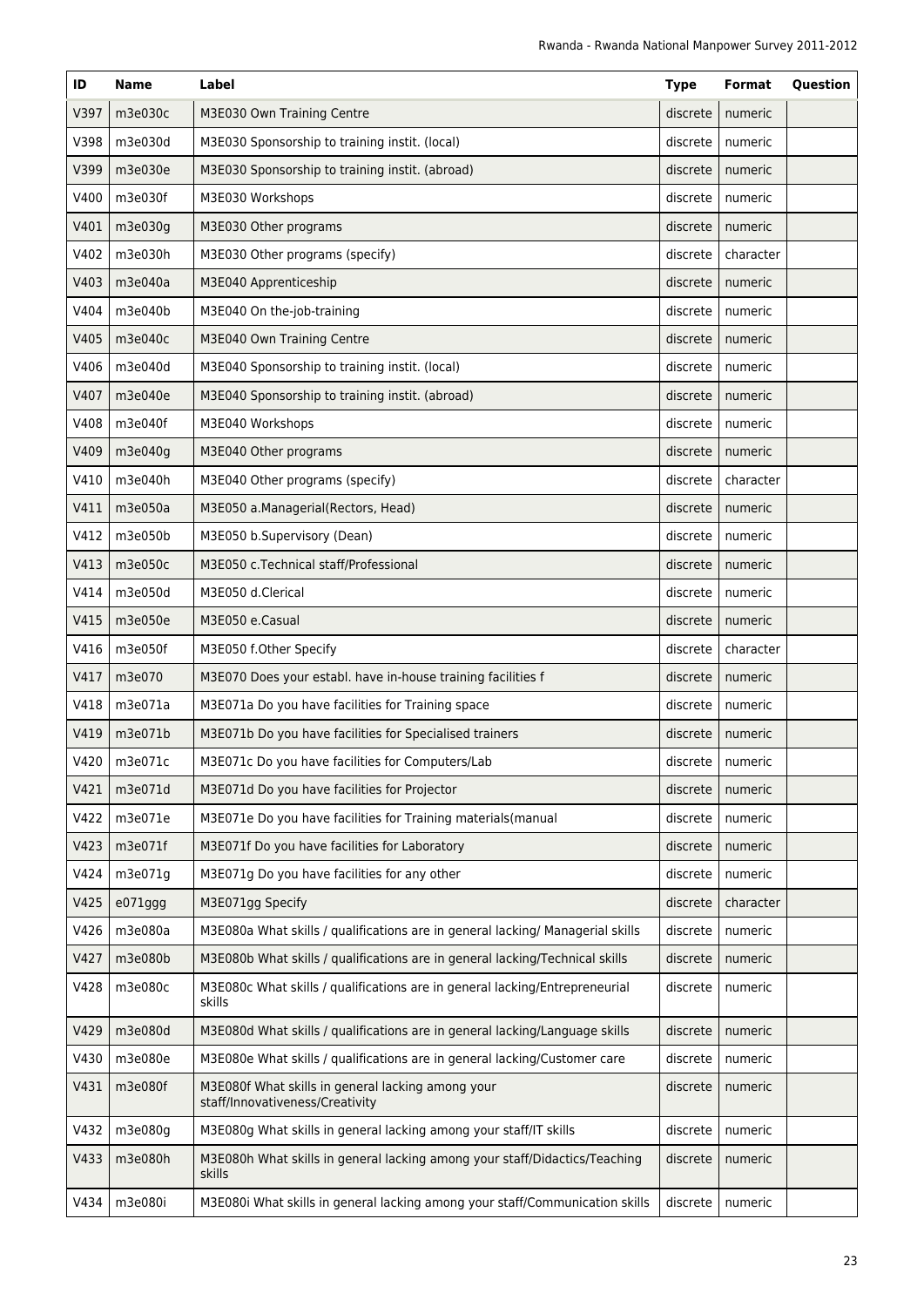| ID   | <b>Name</b> | Label                                                                                 | <b>Type</b> | <b>Format</b> | Question |
|------|-------------|---------------------------------------------------------------------------------------|-------------|---------------|----------|
| V397 | m3e030c     | M3E030 Own Training Centre                                                            | discrete    | numeric       |          |
| V398 | m3e030d     | M3E030 Sponsorship to training instit. (local)                                        | discrete    | numeric       |          |
| V399 | m3e030e     | M3E030 Sponsorship to training instit. (abroad)                                       | discrete    | numeric       |          |
| V400 | m3e030f     | M3E030 Workshops                                                                      | discrete    | numeric       |          |
| V401 | m3e030g     | M3E030 Other programs                                                                 | discrete    | numeric       |          |
| V402 | m3e030h     | M3E030 Other programs (specify)                                                       | discrete    | character     |          |
| V403 | m3e040a     | M3E040 Apprenticeship                                                                 | discrete    | numeric       |          |
| V404 | m3e040b     | M3E040 On the-job-training                                                            | discrete    | numeric       |          |
| V405 | m3e040c     | M3E040 Own Training Centre                                                            | discrete    | numeric       |          |
| V406 | m3e040d     | M3E040 Sponsorship to training instit. (local)                                        | discrete    | numeric       |          |
| V407 | m3e040e     | M3E040 Sponsorship to training instit. (abroad)                                       | discrete    | numeric       |          |
| V408 | m3e040f     | M3E040 Workshops                                                                      | discrete    | numeric       |          |
| V409 | m3e040g     | M3E040 Other programs                                                                 | discrete    | numeric       |          |
| V410 | m3e040h     | M3E040 Other programs (specify)                                                       | discrete    | character     |          |
| V411 | m3e050a     | M3E050 a.Managerial(Rectors, Head)                                                    | discrete    | numeric       |          |
| V412 | m3e050b     | M3E050 b.Supervisory (Dean)                                                           | discrete    | numeric       |          |
| V413 | m3e050c     | M3E050 c.Technical staff/Professional                                                 | discrete    | numeric       |          |
| V414 | m3e050d     | M3E050 d.Clerical                                                                     | discrete    | numeric       |          |
| V415 | m3e050e     | M3E050 e.Casual                                                                       | discrete    | numeric       |          |
| V416 | m3e050f     | M3E050 f.Other Specify                                                                | discrete    | character     |          |
| V417 | m3e070      | M3E070 Does your establ. have in-house training facilities f                          | discrete    | numeric       |          |
| V418 | m3e071a     | M3E071a Do you have facilities for Training space                                     | discrete    | numeric       |          |
| V419 | m3e071b     | M3E071b Do you have facilities for Specialised trainers                               | discrete    | numeric       |          |
| V420 | m3e071c     | M3E071c Do you have facilities for Computers/Lab                                      | discrete    | numeric       |          |
| V421 | m3e071d     | M3E071d Do you have facilities for Projector                                          | discrete    | numeric       |          |
| V422 | m3e071e     | M3E071e Do you have facilities for Training materials(manual                          | discrete    | numeric       |          |
| V423 | m3e071f     | M3E071f Do you have facilities for Laboratory                                         | discrete    | numeric       |          |
| V424 | m3e071g     | M3E071g Do you have facilities for any other                                          | discrete    | numeric       |          |
| V425 | e071ggg     | M3E071gg Specify                                                                      | discrete    | character     |          |
| V426 | m3e080a     | M3E080a What skills / qualifications are in general lacking/ Managerial skills        | discrete    | numeric       |          |
| V427 | m3e080b     | M3E080b What skills / qualifications are in general lacking/Technical skills          | discrete    | numeric       |          |
| V428 | m3e080c     | M3E080c What skills / qualifications are in general lacking/Entrepreneurial<br>skills | discrete    | numeric       |          |
| V429 | m3e080d     | M3E080d What skills / qualifications are in general lacking/Language skills           | discrete    | numeric       |          |
| V430 | m3e080e     | M3E080e What skills / qualifications are in general lacking/Customer care             | discrete    | numeric       |          |
| V431 | m3e080f     | M3E080f What skills in general lacking among your<br>staff/Innovativeness/Creativity  | discrete    | numeric       |          |
| V432 | m3e080g     | M3E080g What skills in general lacking among your staff/IT skills                     | discrete    | numeric       |          |
| V433 | m3e080h     | M3E080h What skills in general lacking among your staff/Didactics/Teaching<br>skills  | discrete    | numeric       |          |
| V434 | m3e080i     | M3E080i What skills in general lacking among your staff/Communication skills          | discrete    | numeric       |          |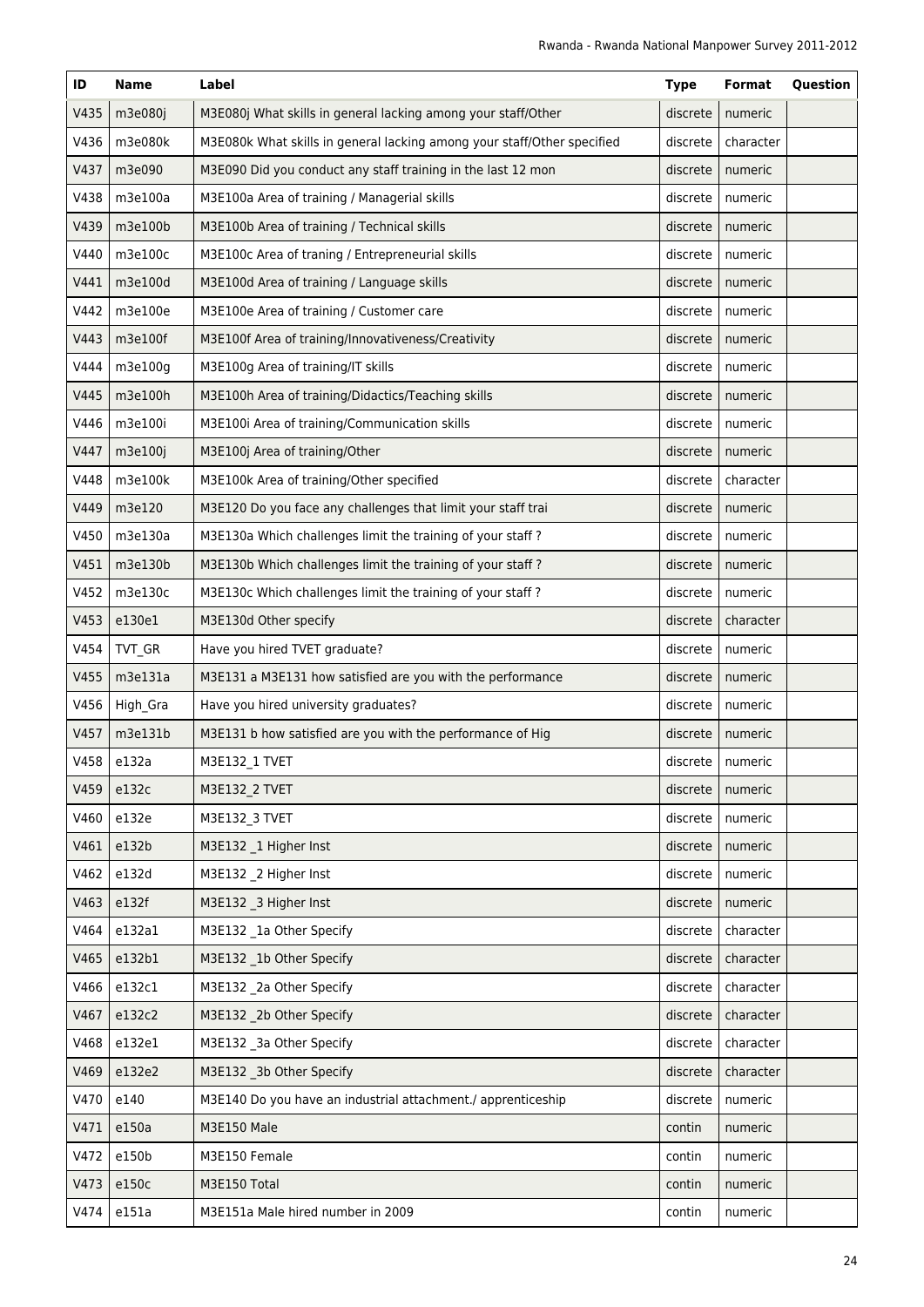| ID   | Name     | Label                                                                   | <b>Type</b> | Format             | <b>Question</b> |
|------|----------|-------------------------------------------------------------------------|-------------|--------------------|-----------------|
| V435 | m3e080j  | M3E080j What skills in general lacking among your staff/Other           | discrete    | numeric            |                 |
| V436 | m3e080k  | M3E080k What skills in general lacking among your staff/Other specified | discrete    | character          |                 |
| V437 | m3e090   | M3E090 Did you conduct any staff training in the last 12 mon            | discrete    | numeric            |                 |
| V438 | m3e100a  | M3E100a Area of training / Managerial skills                            | discrete    | numeric            |                 |
| V439 | m3e100b  | M3E100b Area of training / Technical skills                             | discrete    | numeric            |                 |
| V440 | m3e100c  | M3E100c Area of traning / Entrepreneurial skills                        | discrete    | numeric            |                 |
| V441 | m3e100d  | M3E100d Area of training / Language skills                              | discrete    | numeric            |                 |
| V442 | m3e100e  | M3E100e Area of training / Customer care                                | discrete    | numeric            |                 |
| V443 | m3e100f  | M3E100f Area of training/Innovativeness/Creativity                      | discrete    | numeric            |                 |
| V444 | m3e100g  | M3E100g Area of training/IT skills                                      | discrete    | numeric            |                 |
| V445 | m3e100h  | M3E100h Area of training/Didactics/Teaching skills                      | discrete    | numeric            |                 |
| V446 | m3e100i  | M3E100i Area of training/Communication skills                           | discrete    | numeric            |                 |
| V447 | m3e100j  | M3E100j Area of training/Other                                          | discrete    | numeric            |                 |
| V448 | m3e100k  | M3E100k Area of training/Other specified                                | discrete    | character          |                 |
| V449 | m3e120   | M3E120 Do you face any challenges that limit your staff trai            | discrete    | numeric            |                 |
| V450 | m3e130a  | M3E130a Which challenges limit the training of your staff?              | discrete    | numeric            |                 |
| V451 | m3e130b  | M3E130b Which challenges limit the training of your staff?              | discrete    | numeric            |                 |
| V452 | m3e130c  | M3E130c Which challenges limit the training of your staff?              | discrete    | numeric            |                 |
| V453 | e130e1   | M3E130d Other specify                                                   | discrete    | character          |                 |
| V454 | TVT_GR   | Have you hired TVET graduate?                                           | discrete    | numeric            |                 |
| V455 | m3e131a  | M3E131 a M3E131 how satisfied are you with the performance              | discrete    | numeric            |                 |
| V456 | High_Gra | Have you hired university graduates?                                    | discrete    | numeric            |                 |
| V457 | m3e131b  | M3E131 b how satisfied are you with the performance of Hig              | discrete    | numeric            |                 |
| V458 | e132a    | M3E132 1 TVET                                                           |             | discrete   numeric |                 |
| V459 | e132c    | M3E132_2 TVET                                                           | discrete    | numeric            |                 |
| V460 | e132e    | M3E132_3 TVET                                                           | discrete    | numeric            |                 |
| V461 | e132b    | M3E132_1 Higher Inst                                                    | discrete    | numeric            |                 |
| V462 | e132d    | M3E132 _2 Higher Inst                                                   | discrete    | numeric            |                 |
| V463 | e132f    | M3E132 _3 Higher Inst                                                   | discrete    | numeric            |                 |
| V464 | e132a1   | M3E132 _1a Other Specify                                                | discrete    | character          |                 |
| V465 | e132b1   | M3E132 _1b Other Specify                                                | discrete    | character          |                 |
| V466 | e132c1   | M3E132 _2a Other Specify                                                | discrete    | character          |                 |
| V467 | e132c2   | M3E132 _2b Other Specify                                                | discrete    | character          |                 |
| V468 | e132e1   | M3E132 _3a Other Specify                                                | discrete    | character          |                 |
| V469 | e132e2   | M3E132 _3b Other Specify                                                | discrete    | character          |                 |
| V470 | e140     | M3E140 Do you have an industrial attachment./ apprenticeship            | discrete    | numeric            |                 |
| V471 | e150a    | M3E150 Male                                                             | contin      | numeric            |                 |
| V472 | e150b    | M3E150 Female                                                           | contin      | numeric            |                 |
| V473 | e150c    | M3E150 Total                                                            | contin      | numeric            |                 |
| V474 | e151a    | M3E151a Male hired number in 2009                                       | contin      | numeric            |                 |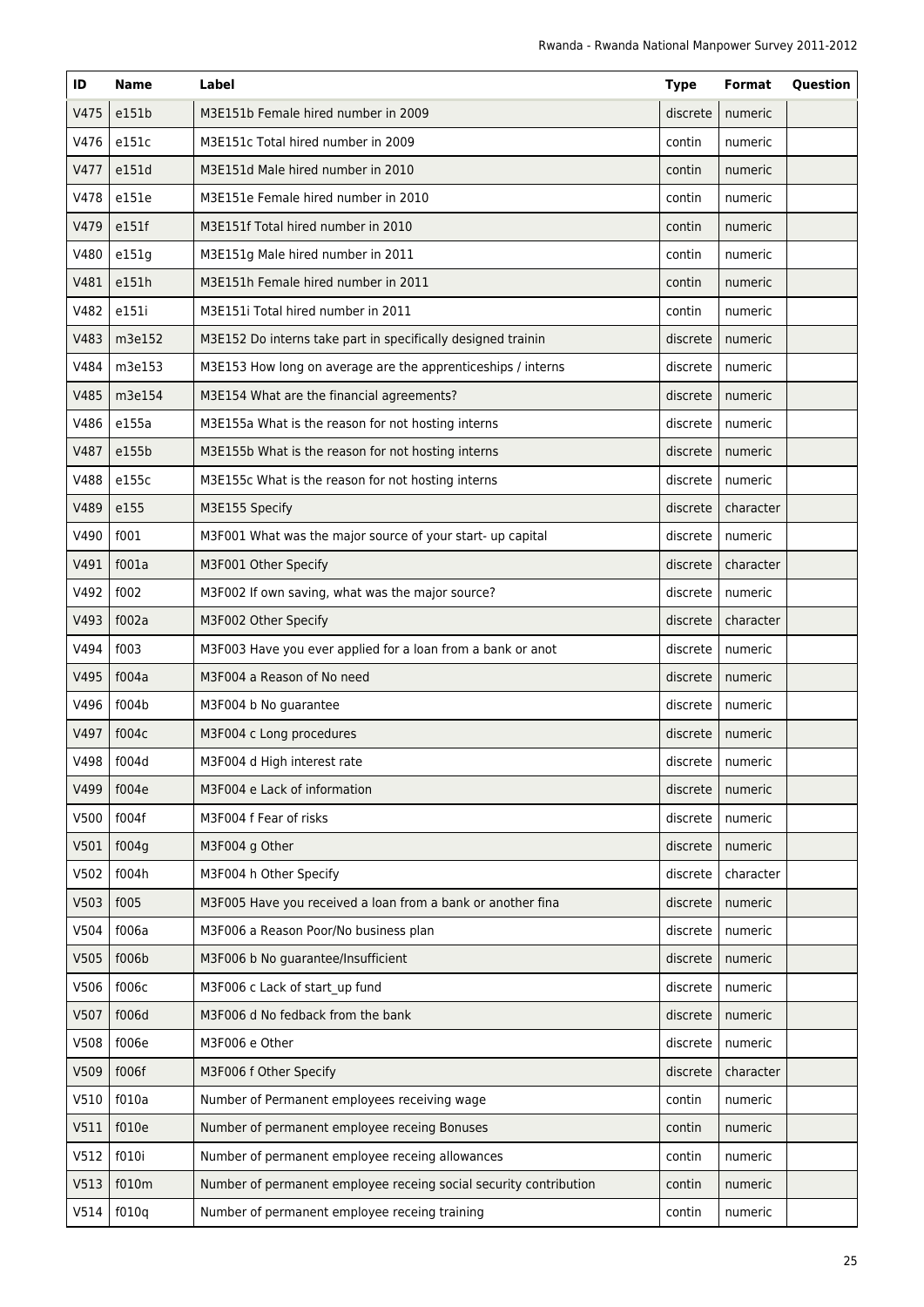| ID   | <b>Name</b> | Label                                                             | <b>Type</b> | Format             | <b>Question</b> |
|------|-------------|-------------------------------------------------------------------|-------------|--------------------|-----------------|
| V475 | e151b       | M3E151b Female hired number in 2009                               | discrete    | numeric            |                 |
| V476 | e151c       | M3E151c Total hired number in 2009                                | contin      | numeric            |                 |
| V477 | e151d       | M3E151d Male hired number in 2010                                 | contin      | numeric            |                 |
| V478 | e151e       | M3E151e Female hired number in 2010                               | contin      | numeric            |                 |
| V479 | e151f       | M3E151f Total hired number in 2010                                | contin      | numeric            |                 |
| V480 | e151g       | M3E151g Male hired number in 2011                                 | contin      | numeric            |                 |
| V481 | e151h       | M3E151h Female hired number in 2011                               | contin      | numeric            |                 |
| V482 | e151i       | M3E151i Total hired number in 2011                                | contin      | numeric            |                 |
| V483 | m3e152      | M3E152 Do interns take part in specifically designed trainin      | discrete    | numeric            |                 |
| V484 | m3e153      | M3E153 How long on average are the apprenticeships / interns      | discrete    | numeric            |                 |
| V485 | m3e154      | M3E154 What are the financial agreements?                         | discrete    | numeric            |                 |
| V486 | e155a       | M3E155a What is the reason for not hosting interns                | discrete    | numeric            |                 |
| V487 | e155b       | M3E155b What is the reason for not hosting interns                | discrete    | numeric            |                 |
| V488 | e155c       | M3E155c What is the reason for not hosting interns                | discrete    | numeric            |                 |
| V489 | e155        | M3E155 Specify                                                    | discrete    | character          |                 |
| V490 | f001        | M3F001 What was the major source of your start- up capital        | discrete    | numeric            |                 |
| V491 | f001a       | M3F001 Other Specify                                              | discrete    | character          |                 |
| V492 | f002        | M3F002 If own saving, what was the major source?                  | discrete    | numeric            |                 |
| V493 | f002a       | M3F002 Other Specify                                              | discrete    | character          |                 |
| V494 | f003        | M3F003 Have you ever applied for a loan from a bank or anot       | discrete    | numeric            |                 |
| V495 | f004a       | M3F004 a Reason of No need                                        | discrete    | numeric            |                 |
| V496 | f004b       | M3F004 b No guarantee                                             | discrete    | numeric            |                 |
| V497 | f004c       | M3F004 c Long procedures                                          | discrete    | numeric            |                 |
| V498 | f004d       | M3F004 d High interest rate                                       |             | discrete   numeric |                 |
| V499 | f004e       | M3F004 e Lack of information                                      | discrete    | numeric            |                 |
| V500 | f004f       | M3F004 f Fear of risks                                            | discrete    | numeric            |                 |
| V501 | f004g       | M3F004 g Other                                                    | discrete    | numeric            |                 |
| V502 | f004h       | M3F004 h Other Specify                                            | discrete    | character          |                 |
| V503 | f005        | M3F005 Have you received a loan from a bank or another fina       | discrete    | numeric            |                 |
| V504 | f006a       | M3F006 a Reason Poor/No business plan                             | discrete    | numeric            |                 |
| V505 | f006b       | M3F006 b No guarantee/Insufficient                                | discrete    | numeric            |                 |
| V506 | f006c       | M3F006 c Lack of start_up fund                                    | discrete    | numeric            |                 |
| V507 | f006d       | M3F006 d No fedback from the bank                                 | discrete    | numeric            |                 |
| V508 | f006e       | M3F006 e Other                                                    | discrete    | numeric            |                 |
| V509 | f006f       | M3F006 f Other Specify                                            | discrete    | character          |                 |
| V510 | f010a       | Number of Permanent employees receiving wage                      | contin      | numeric            |                 |
| V511 | f010e       | Number of permanent employee receing Bonuses                      | contin      | numeric            |                 |
| V512 | f010i       | Number of permanent employee receing allowances                   | contin      | numeric            |                 |
| V513 | f010m       | Number of permanent employee receing social security contribution | contin      | numeric            |                 |
| V514 | f010q       | Number of permanent employee receing training                     | contin      | numeric            |                 |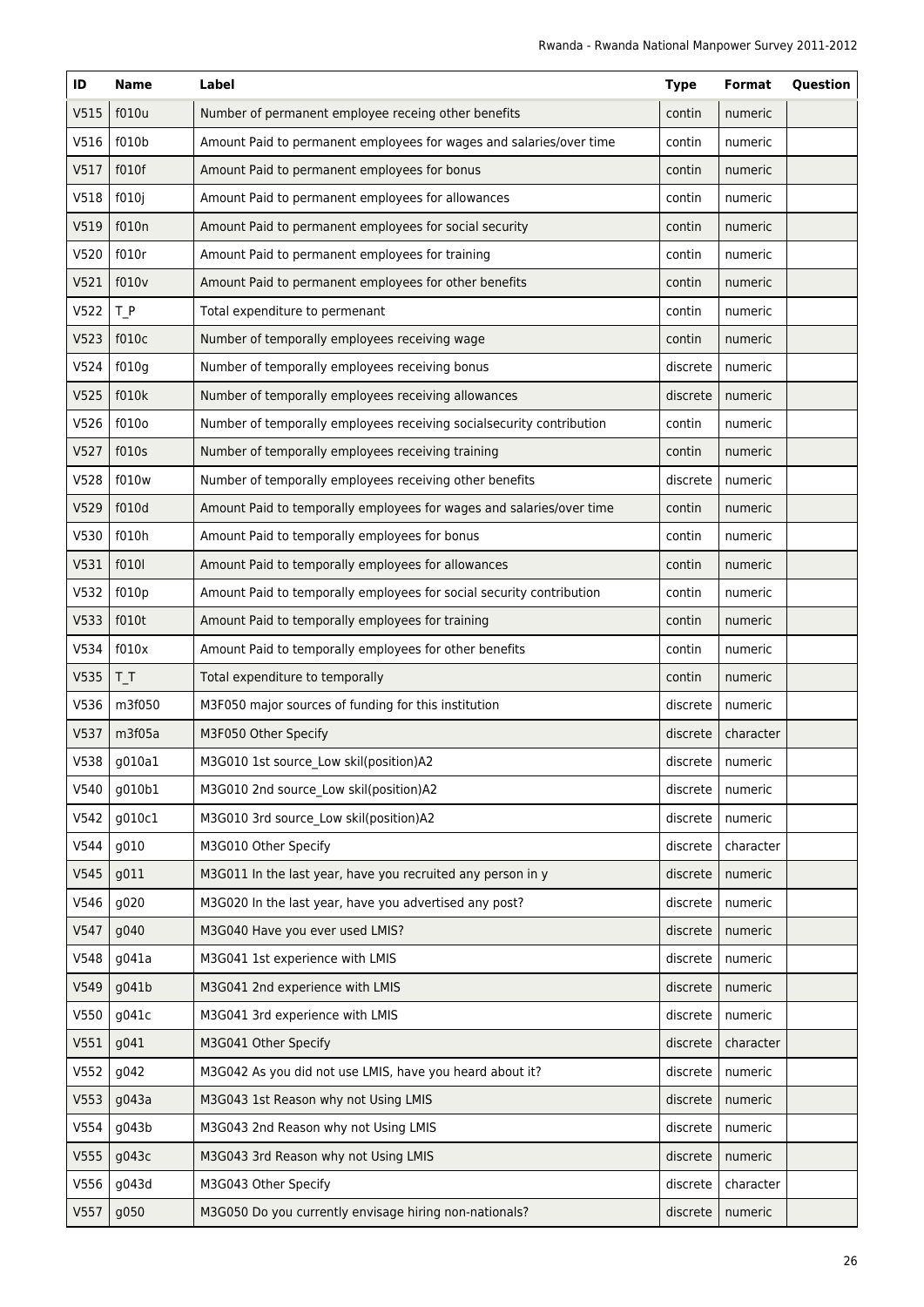| ID   | Name   | Label                                                                | <b>Type</b> | Format             | Question |
|------|--------|----------------------------------------------------------------------|-------------|--------------------|----------|
| V515 | f010u  | Number of permanent employee receing other benefits                  | contin      | numeric            |          |
| V516 | f010b  | Amount Paid to permanent employees for wages and salaries/over time  | contin      | numeric            |          |
| V517 | f010f  | Amount Paid to permanent employees for bonus                         | contin      | numeric            |          |
| V518 | f010j  | Amount Paid to permanent employees for allowances                    | contin      | numeric            |          |
| V519 | f010n  | Amount Paid to permanent employees for social security               | contin      | numeric            |          |
| V520 | f010r  | Amount Paid to permanent employees for training                      | contin      | numeric            |          |
| V521 | f010v  | Amount Paid to permanent employees for other benefits                | contin      | numeric            |          |
| V522 | $T_P$  | Total expenditure to permenant                                       | contin      | numeric            |          |
| V523 | f010c  | Number of temporally employees receiving wage                        | contin      | numeric            |          |
| V524 | f010g  | Number of temporally employees receiving bonus                       | discrete    | numeric            |          |
| V525 | f010k  | Number of temporally employees receiving allowances                  | discrete    | numeric            |          |
| V526 | f010o  | Number of temporally employees receiving socialsecurity contribution | contin      | numeric            |          |
| V527 | f010s  | Number of temporally employees receiving training                    | contin      | numeric            |          |
| V528 | f010w  | Number of temporally employees receiving other benefits              | discrete    | numeric            |          |
| V529 | f010d  | Amount Paid to temporally employees for wages and salaries/over time | contin      | numeric            |          |
| V530 | f010h  | Amount Paid to temporally employees for bonus                        | contin      | numeric            |          |
| V531 | f010l  | Amount Paid to temporally employees for allowances                   | contin      | numeric            |          |
| V532 | f010p  | Amount Paid to temporally employees for social security contribution | contin      | numeric            |          |
| V533 | f010t  | Amount Paid to temporally employees for training                     | contin      | numeric            |          |
| V534 | f010x  | Amount Paid to temporally employees for other benefits               | contin      | numeric            |          |
| V535 | ΤT     | Total expenditure to temporally                                      | contin      | numeric            |          |
| V536 | m3f050 | M3F050 major sources of funding for this institution                 | discrete    | numeric            |          |
| V537 | m3f05a | M3F050 Other Specify                                                 | discrete    | character          |          |
| V538 | g010a1 | M3G010 1st source_Low skil(position)A2                               |             | discrete   numeric |          |
| V540 | g010b1 | M3G010 2nd source Low skil(position)A2                               | discrete    | numeric            |          |
| V542 | g010c1 | M3G010 3rd source_Low skil(position)A2                               | discrete    | numeric            |          |
| V544 | g010   | M3G010 Other Specify                                                 | discrete    | character          |          |
| V545 | g011   | M3G011 In the last year, have you recruited any person in y          | discrete    | numeric            |          |
| V546 | g020   | M3G020 In the last year, have you advertised any post?               | discrete    | numeric            |          |
| V547 | g040   | M3G040 Have you ever used LMIS?                                      | discrete    | numeric            |          |
| V548 | g041a  | M3G041 1st experience with LMIS                                      | discrete    | numeric            |          |
| V549 | g041b  | M3G041 2nd experience with LMIS                                      | discrete    | numeric            |          |
| V550 | g041c  | M3G041 3rd experience with LMIS                                      | discrete    | numeric            |          |
| V551 | g041   | M3G041 Other Specify                                                 | discrete    | character          |          |
| V552 | g042   | M3G042 As you did not use LMIS, have you heard about it?             | discrete    | numeric            |          |
| V553 | g043a  | M3G043 1st Reason why not Using LMIS                                 | discrete    | numeric            |          |
| V554 | g043b  | M3G043 2nd Reason why not Using LMIS                                 | discrete    | numeric            |          |
| V555 | g043c  | M3G043 3rd Reason why not Using LMIS                                 | discrete    | numeric            |          |
| V556 | g043d  | M3G043 Other Specify                                                 | discrete    | character          |          |
| V557 | g050   | M3G050 Do you currently envisage hiring non-nationals?               | discrete    | numeric            |          |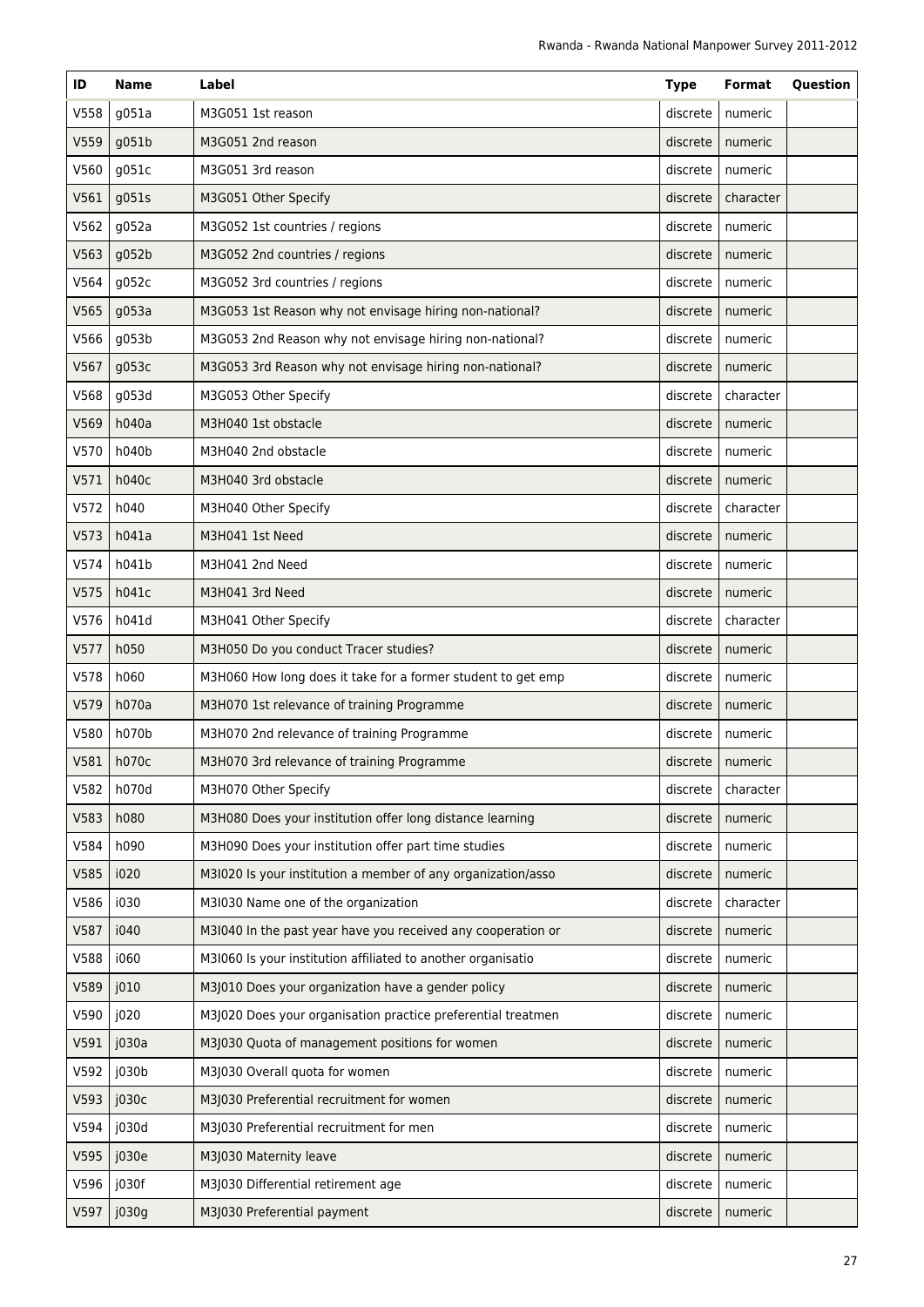| ID   | <b>Name</b>  | Label                                                        | <b>Type</b> | <b>Format</b>      | Question |
|------|--------------|--------------------------------------------------------------|-------------|--------------------|----------|
| V558 | g051a        | M3G051 1st reason                                            | discrete    | numeric            |          |
| V559 | g051b        | M3G051 2nd reason                                            | discrete    | numeric            |          |
| V560 | g051c        | M3G051 3rd reason                                            | discrete    | numeric            |          |
| V561 | g051s        | M3G051 Other Specify                                         | discrete    | character          |          |
| V562 | g052a        | M3G052 1st countries / regions                               | discrete    | numeric            |          |
| V563 | g052b        | M3G052 2nd countries / regions                               | discrete    | numeric            |          |
| V564 | g052c        | M3G052 3rd countries / regions                               | discrete    | numeric            |          |
| V565 | g053a        | M3G053 1st Reason why not envisage hiring non-national?      | discrete    | numeric            |          |
| V566 | g053b        | M3G053 2nd Reason why not envisage hiring non-national?      | discrete    | numeric            |          |
| V567 | g053c        | M3G053 3rd Reason why not envisage hiring non-national?      | discrete    | numeric            |          |
| V568 | g053d        | M3G053 Other Specify                                         | discrete    | character          |          |
| V569 | h040a        | M3H040 1st obstacle                                          | discrete    | numeric            |          |
| V570 | h040b        | M3H040 2nd obstacle                                          | discrete    | numeric            |          |
| V571 | h040c        | M3H040 3rd obstacle                                          | discrete    | numeric            |          |
| V572 | h040         | M3H040 Other Specify                                         | discrete    | character          |          |
| V573 | h041a        | M3H041 1st Need                                              | discrete    | numeric            |          |
| V574 | h041b        | M3H041 2nd Need                                              | discrete    | numeric            |          |
| V575 | h041c        | M3H041 3rd Need                                              | discrete    | numeric            |          |
| V576 | h041d        | M3H041 Other Specify                                         | discrete    | character          |          |
| V577 | h050         | M3H050 Do you conduct Tracer studies?                        | discrete    | numeric            |          |
| V578 | h060         | M3H060 How long does it take for a former student to get emp | discrete    | numeric            |          |
| V579 | h070a        | M3H070 1st relevance of training Programme                   | discrete    | numeric            |          |
| V580 | h070b        | M3H070 2nd relevance of training Programme                   | discrete    | numeric            |          |
|      | V581   h070c | M3H070 3rd relevance of training Programme                   |             | discrete   numeric |          |
| V582 | h070d        | M3H070 Other Specify                                         | discrete    | character          |          |
| V583 | h080         | M3H080 Does your institution offer long distance learning    | discrete    | numeric            |          |
| V584 | h090         | M3H090 Does your institution offer part time studies         | discrete    | numeric            |          |
| V585 | i020         | M3I020 Is your institution a member of any organization/asso | discrete    | numeric            |          |
| V586 | i030         | M3I030 Name one of the organization                          | discrete    | character          |          |
| V587 | i040         | M3I040 In the past year have you received any cooperation or | discrete    | numeric            |          |
| V588 | i060         | M3I060 Is your institution affiliated to another organisatio | discrete    | numeric            |          |
| V589 | j010         | M3J010 Does your organization have a gender policy           | discrete    | numeric            |          |
| V590 | j020         | M3J020 Does your organisation practice preferential treatmen | discrete    | numeric            |          |
| V591 | j030a        | M3J030 Quota of management positions for women               | discrete    | numeric            |          |
| V592 | j030b        | M3J030 Overall quota for women                               | discrete    | numeric            |          |
| V593 | j030c        | M3J030 Preferential recruitment for women                    | discrete    | numeric            |          |
| V594 | j030d        | M3J030 Preferential recruitment for men                      | discrete    | numeric            |          |
| V595 | j030e        | M3J030 Maternity leave                                       | discrete    | numeric            |          |
| V596 | j030f        | M3J030 Differential retirement age                           | discrete    | numeric            |          |
| V597 | j030g        | M3J030 Preferential payment                                  | discrete    | numeric            |          |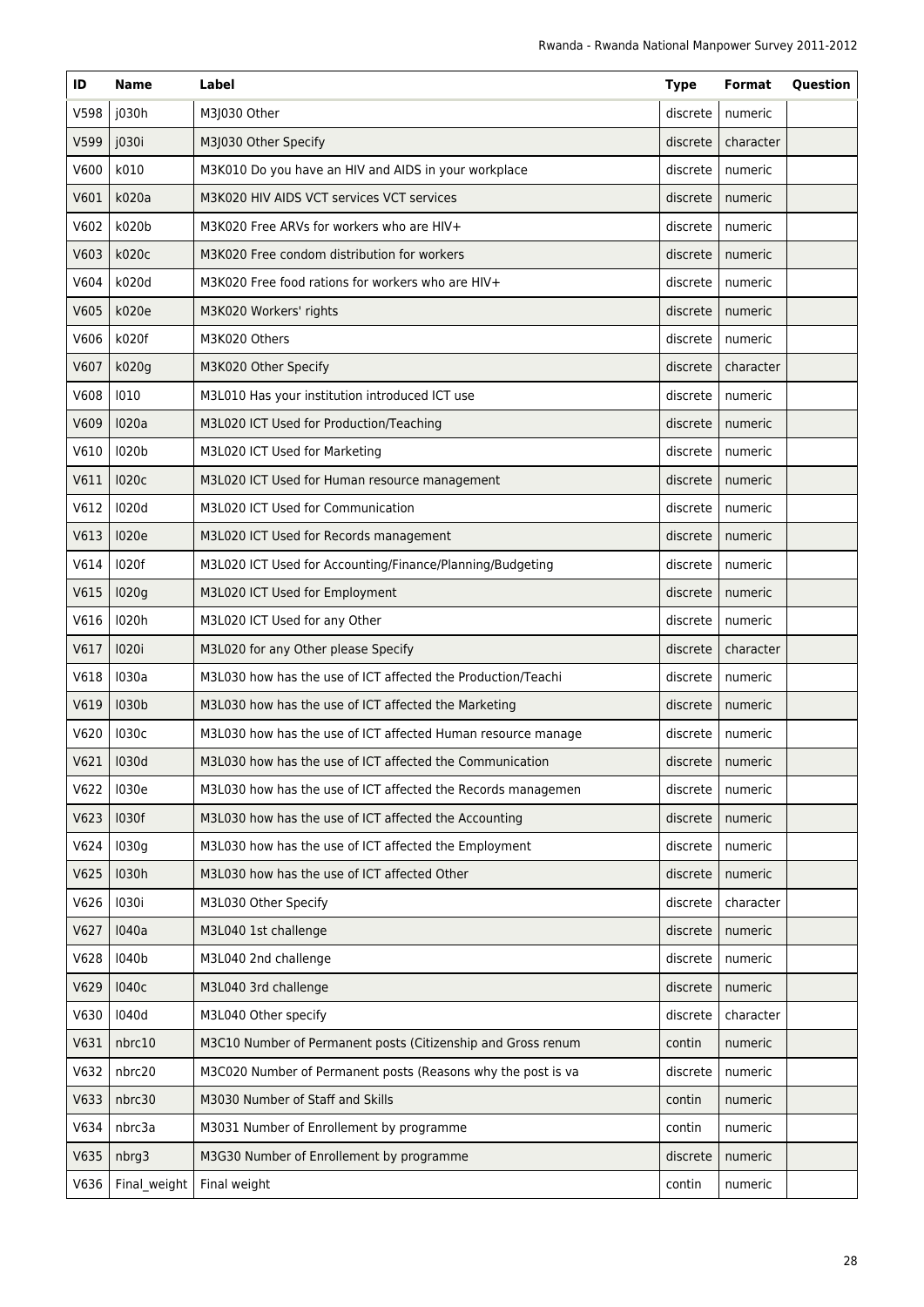| ID   | <b>Name</b>  | Label                                                        | <b>Type</b> | Format             | Question |
|------|--------------|--------------------------------------------------------------|-------------|--------------------|----------|
| V598 | j030h        | M3J030 Other                                                 | discrete    | numeric            |          |
| V599 | j030i        | M3J030 Other Specify                                         | discrete    | character          |          |
| V600 | k010         | M3K010 Do you have an HIV and AIDS in your workplace         | discrete    | numeric            |          |
| V601 | k020a        | M3K020 HIV AIDS VCT services VCT services                    | discrete    | numeric            |          |
| V602 | k020b        | M3K020 Free ARVs for workers who are HIV+                    | discrete    | numeric            |          |
| V603 | k020c        | M3K020 Free condom distribution for workers                  | discrete    | numeric            |          |
| V604 | k020d        | M3K020 Free food rations for workers who are HIV+            | discrete    | numeric            |          |
| V605 | k020e        | M3K020 Workers' rights                                       | discrete    | numeric            |          |
| V606 | k020f        | M3K020 Others                                                | discrete    | numeric            |          |
| V607 | k020g        | M3K020 Other Specify                                         | discrete    | character          |          |
| V608 | 1010         | M3L010 Has your institution introduced ICT use               | discrete    | numeric            |          |
| V609 | <b>1020a</b> | M3L020 ICT Used for Production/Teaching                      | discrete    | numeric            |          |
| V610 | <b>1020b</b> | M3L020 ICT Used for Marketing                                | discrete    | numeric            |          |
| V611 | <b>1020c</b> | M3L020 ICT Used for Human resource management                | discrete    | numeric            |          |
| V612 | <b>1020d</b> | M3L020 ICT Used for Communication                            | discrete    | numeric            |          |
| V613 | <b>1020e</b> | M3L020 ICT Used for Records management                       | discrete    | numeric            |          |
| V614 | <b>1020f</b> | M3L020 ICT Used for Accounting/Finance/Planning/Budgeting    | discrete    | numeric            |          |
| V615 | 1020g        | M3L020 ICT Used for Employment                               | discrete    | numeric            |          |
| V616 | 1020h        | M3L020 ICT Used for any Other                                | discrete    | numeric            |          |
| V617 | <b>1020i</b> | M3L020 for any Other please Specify                          | discrete    | character          |          |
| V618 | <b>I030a</b> | M3L030 how has the use of ICT affected the Production/Teachi | discrete    | numeric            |          |
| V619 | <b>I030b</b> | M3L030 how has the use of ICT affected the Marketing         | discrete    | numeric            |          |
| V620 | 1030c        | M3L030 how has the use of ICT affected Human resource manage | discrete    | numeric            |          |
|      | V621   I030d | M3L030 how has the use of ICT affected the Communication     |             | discrete   numeric |          |
| V622 | <b>1030e</b> | M3L030 how has the use of ICT affected the Records managemen | discrete    | numeric            |          |
| V623 | <b>I030f</b> | M3L030 how has the use of ICT affected the Accounting        | discrete    | numeric            |          |
| V624 | 1030g        | M3L030 how has the use of ICT affected the Employment        | discrete    | numeric            |          |
| V625 | <b>1030h</b> | M3L030 how has the use of ICT affected Other                 | discrete    | numeric            |          |
| V626 | <b>1030i</b> | M3L030 Other Specify                                         | discrete    | character          |          |
| V627 | <b>1040a</b> | M3L040 1st challenge                                         | discrete    | numeric            |          |
| V628 | <b>1040b</b> | M3L040 2nd challenge                                         | discrete    | numeric            |          |
| V629 | <b>1040c</b> | M3L040 3rd challenge                                         | discrete    | numeric            |          |
| V630 | <b>1040d</b> | M3L040 Other specify                                         | discrete    | character          |          |
| V631 | nbrc10       | M3C10 Number of Permanent posts (Citizenship and Gross renum | contin      | numeric            |          |
| V632 | nbrc20       | M3C020 Number of Permanent posts (Reasons why the post is va | discrete    | numeric            |          |
| V633 | nbrc30       | M3030 Number of Staff and Skills                             | contin      | numeric            |          |
| V634 | nbrc3a       | M3031 Number of Enrollement by programme                     | contin      | numeric            |          |
| V635 | nbrg3        | M3G30 Number of Enrollement by programme                     | discrete    | numeric            |          |
| V636 | Final_weight | Final weight                                                 | contin      | numeric            |          |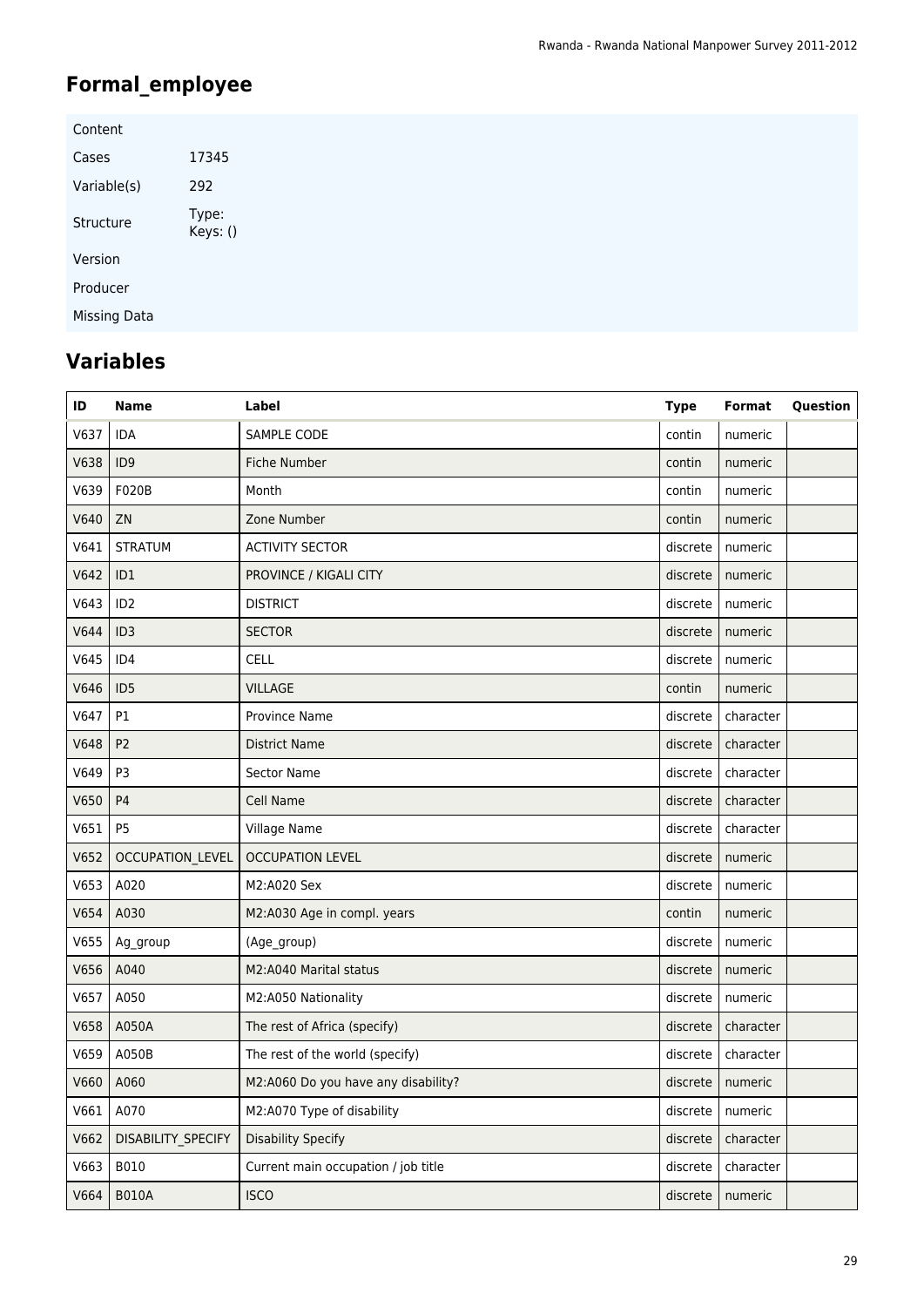# **Formal\_employee**

| Content      |                   |
|--------------|-------------------|
| Cases        | 17345             |
| Variable(s)  | 292               |
| Structure    | Type:<br>Keys: () |
| Version      |                   |
| Producer     |                   |
| Missing Data |                   |

# **Variables**

| ID   | <b>Name</b>        | Label                               | <b>Type</b> | Format             | Question |
|------|--------------------|-------------------------------------|-------------|--------------------|----------|
| V637 | <b>IDA</b>         | SAMPLE CODE                         | contin      | numeric            |          |
| V638 | ID <sub>9</sub>    | Fiche Number                        | contin      | numeric            |          |
| V639 | F020B              | Month                               | contin      | numeric            |          |
| V640 | ZN                 | Zone Number                         | contin      | numeric            |          |
| V641 | <b>STRATUM</b>     | <b>ACTIVITY SECTOR</b>              | discrete    | numeric            |          |
| V642 | ID1                | PROVINCE / KIGALI CITY              | discrete    | numeric            |          |
| V643 | ID <sub>2</sub>    | <b>DISTRICT</b>                     | discrete    | numeric            |          |
| V644 | ID <sub>3</sub>    | <b>SECTOR</b>                       | discrete    | numeric            |          |
| V645 | ID <sub>4</sub>    | <b>CELL</b>                         | discrete    | numeric            |          |
| V646 | ID <sub>5</sub>    | <b>VILLAGE</b>                      | contin      | numeric            |          |
| V647 | <b>P1</b>          | Province Name                       | discrete    | character          |          |
| V648 | P <sub>2</sub>     | <b>District Name</b>                | discrete    | character          |          |
| V649 | P <sub>3</sub>     | <b>Sector Name</b>                  | discrete    | character          |          |
| V650 | <b>P4</b>          | Cell Name                           | discrete    | character          |          |
| V651 | P <sub>5</sub>     | Village Name                        | discrete    | character          |          |
| V652 | OCCUPATION_LEVEL   | <b>OCCUPATION LEVEL</b>             | discrete    | numeric            |          |
| V653 | A020               | M2:A020 Sex                         | discrete    | numeric            |          |
| V654 | A030               | M2:A030 Age in compl. years         | contin      | numeric            |          |
| V655 | Ag_group           | (Age_group)                         | discrete    | numeric            |          |
| V656 | A040               | M2:A040 Marital status              | discrete    | numeric            |          |
| V657 | A050               | M2:A050 Nationality                 | discrete    | numeric            |          |
| V658 | A050A              | The rest of Africa (specify)        | discrete    | character          |          |
| V659 | A050B              | The rest of the world (specify)     | discrete    | character          |          |
| V660 | A060               | M2:A060 Do you have any disability? |             | discrete   numeric |          |
| V661 | A070               | M2:A070 Type of disability          | discrete    | numeric            |          |
| V662 | DISABILITY_SPECIFY | <b>Disability Specify</b>           | discrete    | character          |          |
| V663 | <b>B010</b>        | Current main occupation / job title | discrete    | character          |          |
| V664 | <b>B010A</b>       | <b>ISCO</b>                         | discrete    | numeric            |          |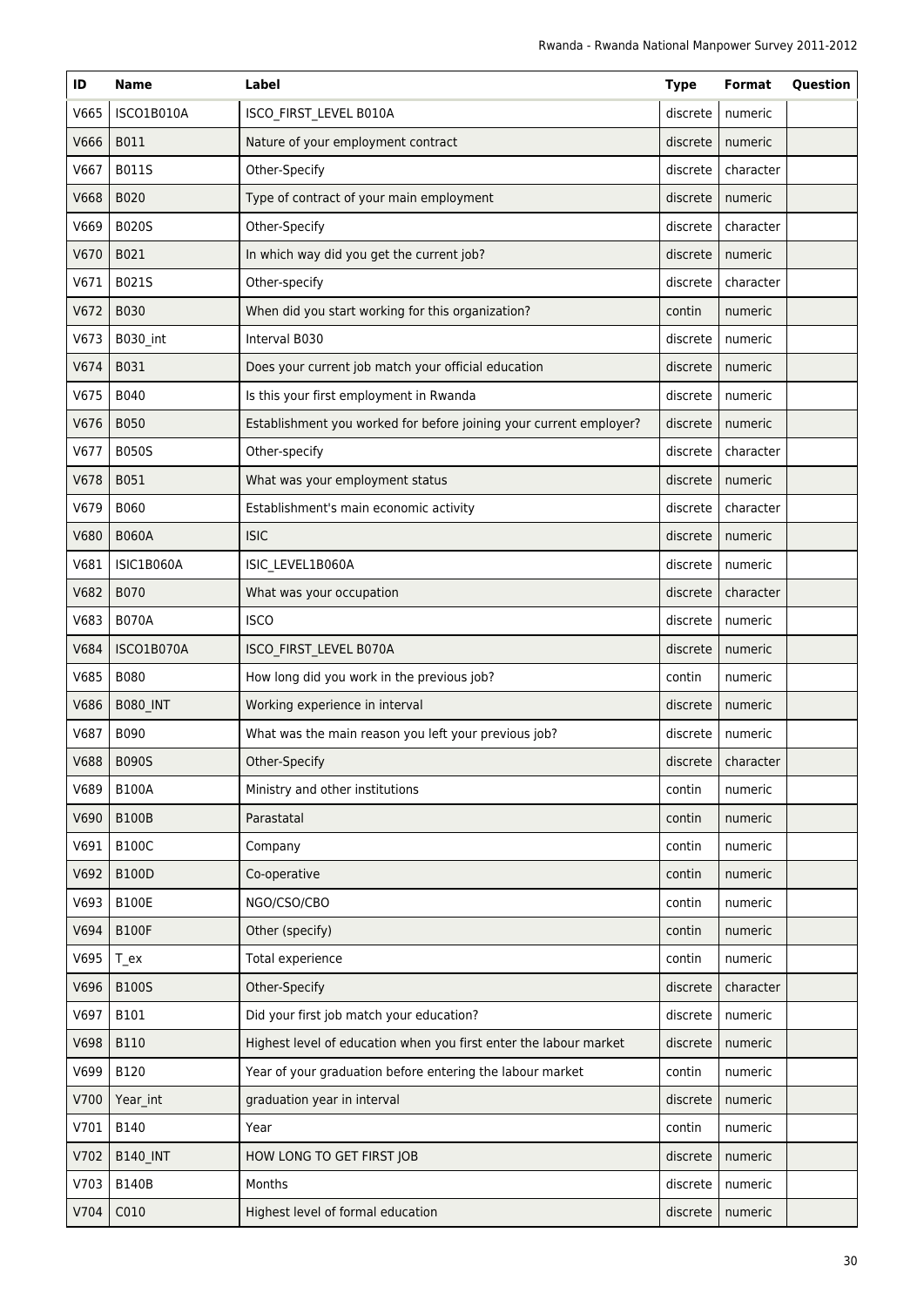| ID   | Name            | Label                                                              | <b>Type</b> | Format               | Question |
|------|-----------------|--------------------------------------------------------------------|-------------|----------------------|----------|
| V665 | ISCO1B010A      | ISCO_FIRST_LEVEL B010A                                             | discrete    | numeric              |          |
| V666 | B011            | Nature of your employment contract                                 | discrete    | numeric              |          |
| V667 | <b>B011S</b>    | Other-Specify                                                      | discrete    | character            |          |
| V668 | B020            | Type of contract of your main employment                           | discrete    | numeric              |          |
| V669 | <b>B020S</b>    | Other-Specify                                                      | discrete    | character            |          |
| V670 | B021            | In which way did you get the current job?                          | discrete    | numeric              |          |
| V671 | B021S           | Other-specify                                                      | discrete    | character            |          |
| V672 | B030            | When did you start working for this organization?                  | contin      | numeric              |          |
| V673 | B030_int        | Interval B030                                                      | discrete    | numeric              |          |
| V674 | B031            | Does your current job match your official education                | discrete    | numeric              |          |
| V675 | <b>B040</b>     | Is this your first employment in Rwanda                            | discrete    | numeric              |          |
| V676 | <b>B050</b>     | Establishment you worked for before joining your current employer? | discrete    | numeric              |          |
| V677 | <b>B050S</b>    | Other-specify                                                      | discrete    | character            |          |
| V678 | B051            | What was your employment status                                    | discrete    | numeric              |          |
| V679 | B060            | Establishment's main economic activity                             | discrete    | character            |          |
| V680 | <b>B060A</b>    | <b>ISIC</b>                                                        | discrete    | numeric              |          |
| V681 | ISIC1B060A      | ISIC_LEVEL1B060A                                                   | discrete    | numeric              |          |
| V682 | <b>B070</b>     | What was your occupation                                           | discrete    | character            |          |
| V683 | <b>B070A</b>    | <b>ISCO</b>                                                        | discrete    | numeric              |          |
| V684 | ISCO1B070A      | ISCO_FIRST_LEVEL B070A                                             | discrete    | numeric              |          |
| V685 | <b>B080</b>     | How long did you work in the previous job?                         | contin      | numeric              |          |
| V686 | <b>B080_INT</b> | Working experience in interval                                     | discrete    | numeric              |          |
| V687 | B090            | What was the main reason you left your previous job?               | discrete    | numeric              |          |
| V688 | <b>B090S</b>    | Other-Specify                                                      |             | discrete   character |          |
| V689 | <b>B100A</b>    | Ministry and other institutions                                    | contin      | numeric              |          |
| V690 | <b>B100B</b>    | Parastatal                                                         | contin      | numeric              |          |
| V691 | <b>B100C</b>    | Company                                                            | contin      | numeric              |          |
| V692 | <b>B100D</b>    | Co-operative                                                       | contin      | numeric              |          |
| V693 | <b>B100E</b>    | NGO/CSO/CBO                                                        | contin      | numeric              |          |
| V694 | <b>B100F</b>    | Other (specify)                                                    | contin      | numeric              |          |
| V695 | $T$ ex          | Total experience                                                   | contin      | numeric              |          |
| V696 | <b>B100S</b>    | Other-Specify                                                      | discrete    | character            |          |
| V697 | <b>B101</b>     | Did your first job match your education?                           | discrete    | numeric              |          |
| V698 | <b>B110</b>     | Highest level of education when you first enter the labour market  | discrete    | numeric              |          |
| V699 | B120            | Year of your graduation before entering the labour market          | contin      | numeric              |          |
| V700 | Year_int        | graduation year in interval                                        | discrete    | numeric              |          |
| V701 | <b>B140</b>     | Year                                                               | contin      | numeric              |          |
| V702 | <b>B140_INT</b> | HOW LONG TO GET FIRST JOB                                          | discrete    | numeric              |          |
| V703 | <b>B140B</b>    | Months                                                             | discrete    | numeric              |          |
| V704 | C010            | Highest level of formal education                                  | discrete    | numeric              |          |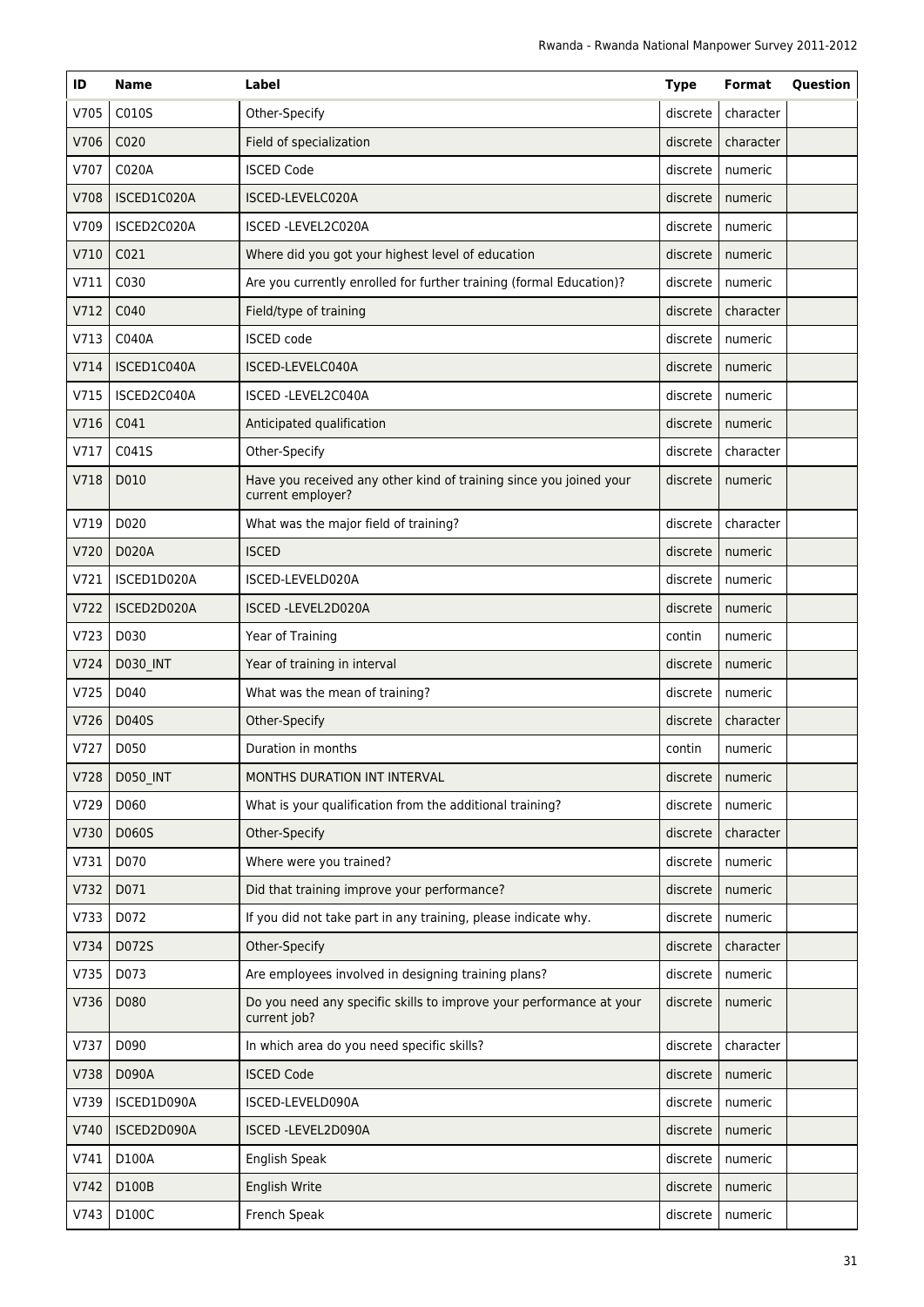| ID   | <b>Name</b>     | Label                                                                                   | <b>Type</b> | Format    | Question |
|------|-----------------|-----------------------------------------------------------------------------------------|-------------|-----------|----------|
| V705 | C010S           | Other-Specify                                                                           | discrete    | character |          |
| V706 | C020            | Field of specialization                                                                 | discrete    | character |          |
| V707 | C020A           | <b>ISCED Code</b>                                                                       | discrete    | numeric   |          |
| V708 | ISCED1C020A     | ISCED-LEVELC020A                                                                        | discrete    | numeric   |          |
| V709 | ISCED2C020A     | ISCED -LEVEL2C020A                                                                      | discrete    | numeric   |          |
| V710 | C021            | Where did you got your highest level of education                                       | discrete    | numeric   |          |
| V711 | C030            | Are you currently enrolled for further training (formal Education)?                     | discrete    | numeric   |          |
| V712 | C040            | Field/type of training                                                                  | discrete    | character |          |
| V713 | C040A           | <b>ISCED</b> code                                                                       | discrete    | numeric   |          |
| V714 | ISCED1C040A     | ISCED-LEVELC040A                                                                        | discrete    | numeric   |          |
| V715 | ISCED2C040A     | ISCED -LEVEL2C040A                                                                      | discrete    | numeric   |          |
| V716 | C041            | Anticipated qualification                                                               | discrete    | numeric   |          |
| V717 | C041S           | Other-Specify                                                                           | discrete    | character |          |
| V718 | D010            | Have you received any other kind of training since you joined your<br>current employer? | discrete    | numeric   |          |
| V719 | D020            | What was the major field of training?                                                   | discrete    | character |          |
| V720 | D020A           | <b>ISCED</b>                                                                            | discrete    | numeric   |          |
| V721 | ISCED1D020A     | ISCED-LEVELD020A                                                                        | discrete    | numeric   |          |
| V722 | ISCED2D020A     | ISCED -LEVEL2D020A                                                                      | discrete    | numeric   |          |
| V723 | D030            | Year of Training                                                                        | contin      | numeric   |          |
| V724 | <b>D030_INT</b> | Year of training in interval                                                            | discrete    | numeric   |          |
| V725 | D040            | What was the mean of training?                                                          | discrete    | numeric   |          |
| V726 | D040S           | Other-Specify                                                                           | discrete    | character |          |
| V727 | D050            | Duration in months                                                                      | contin      | numeric   |          |
| V728 | <b>D050 INT</b> | MONTHS DURATION INT INTERVAL                                                            | discrete    | numeric   |          |
| V729 | D060            | What is your qualification from the additional training?                                | discrete    | numeric   |          |
| V730 | D060S           | Other-Specify                                                                           | discrete    | character |          |
| V731 | D070            | Where were you trained?                                                                 | discrete    | numeric   |          |
| V732 | D071            | Did that training improve your performance?                                             | discrete    | numeric   |          |
| V733 | D072            | If you did not take part in any training, please indicate why.                          | discrete    | numeric   |          |
| V734 | D072S           | Other-Specify                                                                           | discrete    | character |          |
| V735 | D073            | Are employees involved in designing training plans?                                     | discrete    | numeric   |          |
| V736 | D080            | Do you need any specific skills to improve your performance at your<br>current job?     | discrete    | numeric   |          |
| V737 | D090            | In which area do you need specific skills?                                              | discrete    | character |          |
| V738 | D090A           | <b>ISCED Code</b>                                                                       | discrete    | numeric   |          |
| V739 | ISCED1D090A     | ISCED-LEVELD090A                                                                        | discrete    | numeric   |          |
| V740 | ISCED2D090A     | ISCED -LEVEL2D090A                                                                      | discrete    | numeric   |          |
| V741 | D100A           | English Speak                                                                           | discrete    | numeric   |          |
| V742 | D100B           | English Write                                                                           | discrete    | numeric   |          |
| V743 | D100C           | French Speak                                                                            | discrete    | numeric   |          |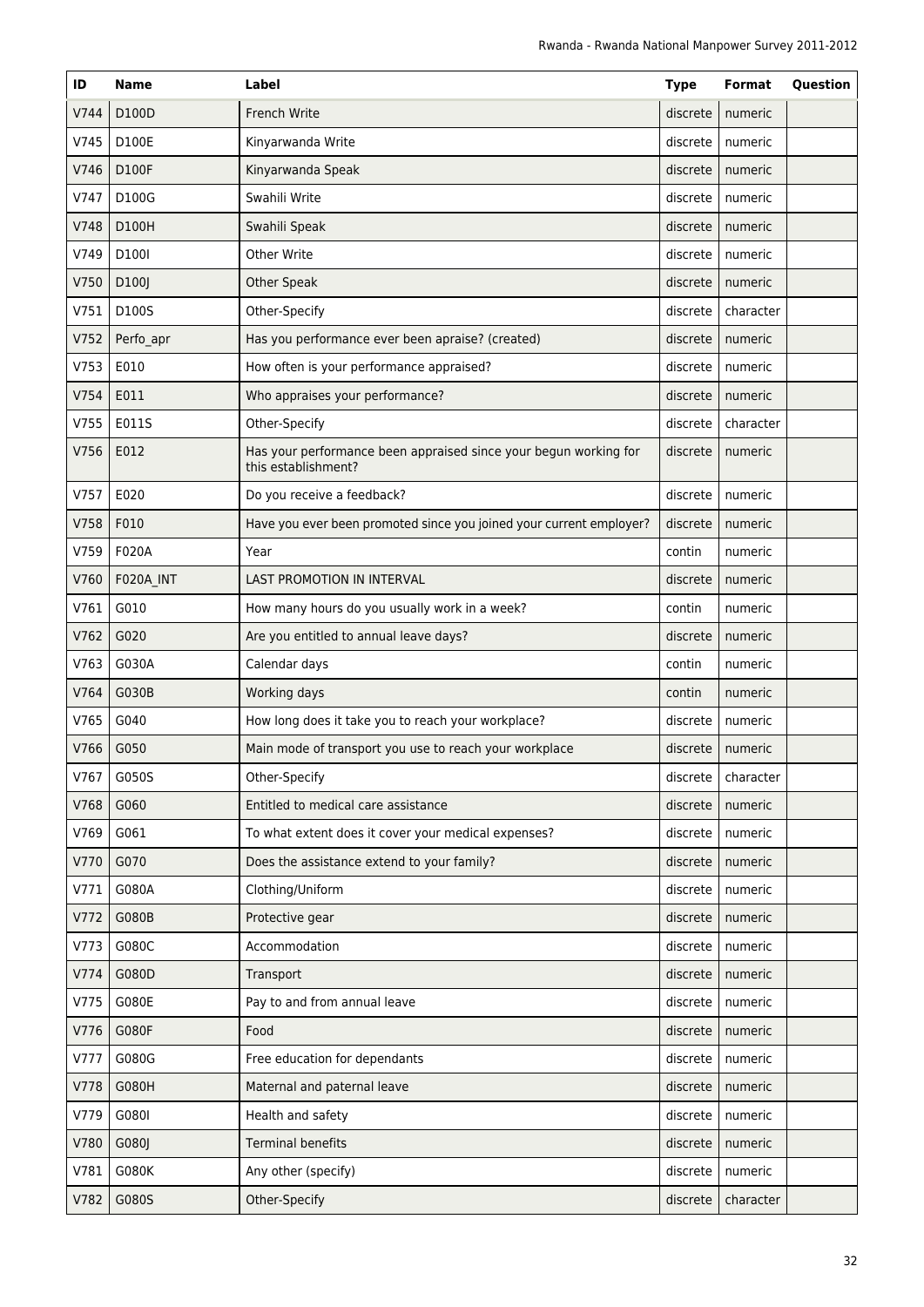| ID   | <b>Name</b>  | Label                                                                                   | <b>Type</b> | Format    | Question |
|------|--------------|-----------------------------------------------------------------------------------------|-------------|-----------|----------|
| V744 | D100D        | French Write                                                                            | discrete    | numeric   |          |
| V745 | D100E        | Kinyarwanda Write                                                                       | discrete    | numeric   |          |
| V746 | <b>D100F</b> | Kinyarwanda Speak                                                                       | discrete    | numeric   |          |
| V747 | D100G        | Swahili Write                                                                           | discrete    | numeric   |          |
| V748 | D100H        | Swahili Speak                                                                           | discrete    | numeric   |          |
| V749 | D1001        | Other Write                                                                             | discrete    | numeric   |          |
| V750 | D100J        | Other Speak                                                                             | discrete    | numeric   |          |
| V751 | D100S        | Other-Specify                                                                           | discrete    | character |          |
| V752 | Perfo_apr    | Has you performance ever been apraise? (created)                                        | discrete    | numeric   |          |
| V753 | E010         | How often is your performance appraised?                                                | discrete    | numeric   |          |
| V754 | E011         | Who appraises your performance?                                                         | discrete    | numeric   |          |
| V755 | E011S        | Other-Specify                                                                           | discrete    | character |          |
| V756 | E012         | Has your performance been appraised since your begun working for<br>this establishment? | discrete    | numeric   |          |
| V757 | E020         | Do you receive a feedback?                                                              | discrete    | numeric   |          |
| V758 | F010         | Have you ever been promoted since you joined your current employer?                     | discrete    | numeric   |          |
| V759 | F020A        | Year                                                                                    | contin      | numeric   |          |
| V760 | F020A_INT    | LAST PROMOTION IN INTERVAL                                                              | discrete    | numeric   |          |
| V761 | G010         | How many hours do you usually work in a week?                                           | contin      | numeric   |          |
| V762 | G020         | Are you entitled to annual leave days?                                                  | discrete    | numeric   |          |
| V763 | G030A        | Calendar days                                                                           | contin      | numeric   |          |
| V764 | G030B        | Working days                                                                            | contin      | numeric   |          |
| V765 | G040         | How long does it take you to reach your workplace?                                      | discrete    | numeric   |          |
| V766 | G050         | Main mode of transport you use to reach your workplace                                  | discrete    | numeric   |          |
| V767 | G050S        | Other-Specify                                                                           | discrete    | character |          |
| V768 | G060         | Entitled to medical care assistance                                                     | discrete    | numeric   |          |
| V769 | G061         | To what extent does it cover your medical expenses?                                     | discrete    | numeric   |          |
| V770 | G070         | Does the assistance extend to your family?                                              | discrete    | numeric   |          |
| V771 | G080A        | Clothing/Uniform                                                                        | discrete    | numeric   |          |
| V772 | G080B        | Protective gear                                                                         | discrete    | numeric   |          |
| V773 | G080C        | Accommodation                                                                           | discrete    | numeric   |          |
| V774 | G080D        | Transport                                                                               | discrete    | numeric   |          |
| V775 | G080E        | Pay to and from annual leave                                                            | discrete    | numeric   |          |
| V776 | G080F        | Food                                                                                    | discrete    | numeric   |          |
| V777 | G080G        | Free education for dependants                                                           | discrete    | numeric   |          |
| V778 | G080H        | Maternal and paternal leave                                                             | discrete    | numeric   |          |
| V779 | G080I        | Health and safety                                                                       | discrete    | numeric   |          |
| V780 | G080J        | <b>Terminal benefits</b>                                                                | discrete    | numeric   |          |
| V781 | G080K        | Any other (specify)                                                                     | discrete    | numeric   |          |
| V782 | G080S        | Other-Specify                                                                           | discrete    | character |          |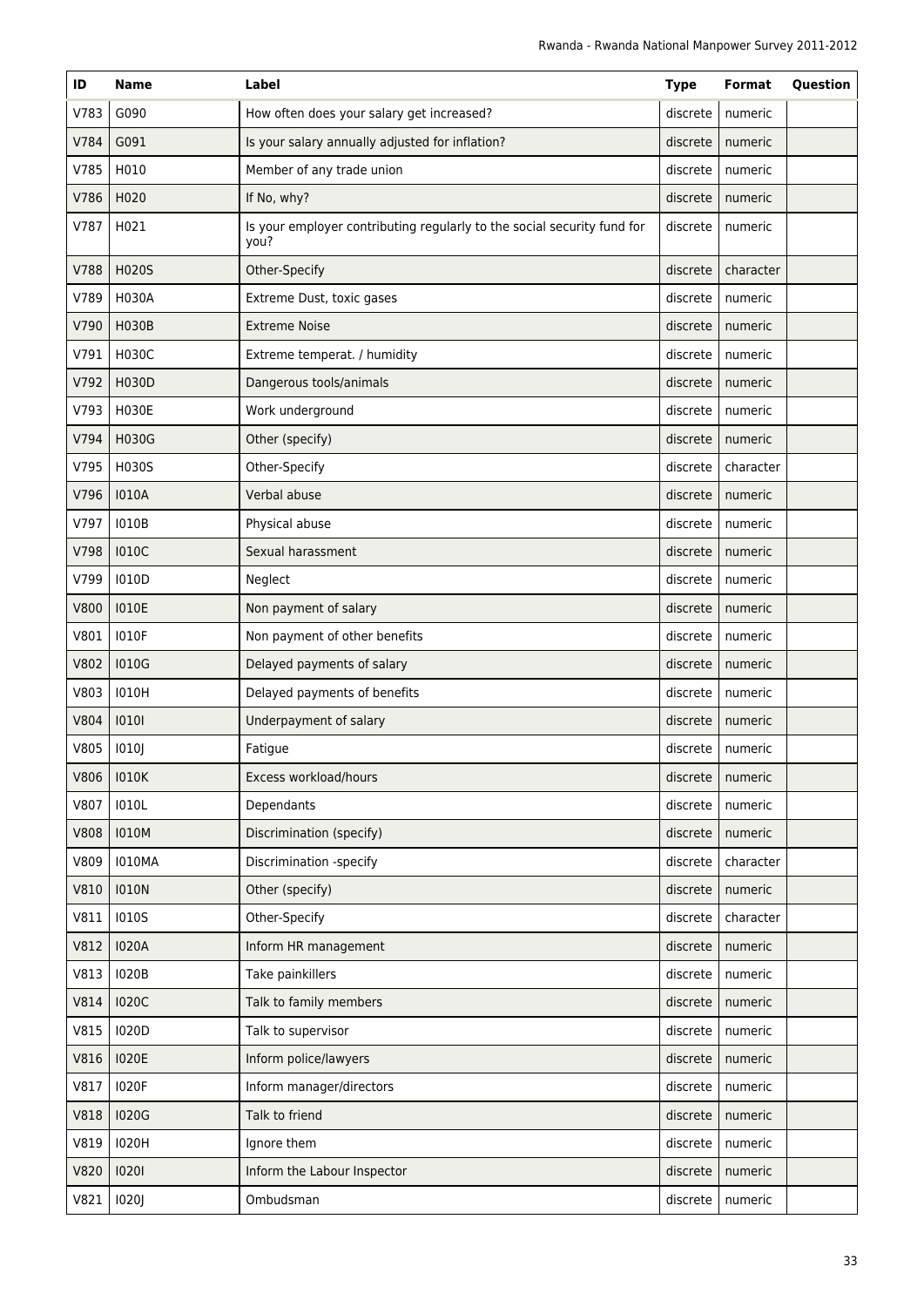| ID   | <b>Name</b>   | Label                                                                           | <b>Type</b> | Format    | Question |
|------|---------------|---------------------------------------------------------------------------------|-------------|-----------|----------|
| V783 | G090          | How often does your salary get increased?                                       | discrete    | numeric   |          |
| V784 | G091          | Is your salary annually adjusted for inflation?                                 | discrete    | numeric   |          |
| V785 | H010          | Member of any trade union                                                       | discrete    | numeric   |          |
| V786 | H020          | If No, why?                                                                     | discrete    | numeric   |          |
| V787 | H021          | Is your employer contributing regularly to the social security fund for<br>you? | discrete    | numeric   |          |
| V788 | H020S         | Other-Specify                                                                   | discrete    | character |          |
| V789 | H030A         | Extreme Dust, toxic gases                                                       | discrete    | numeric   |          |
| V790 | H030B         | <b>Extreme Noise</b>                                                            | discrete    | numeric   |          |
| V791 | H030C         | Extreme temperat. / humidity                                                    | discrete    | numeric   |          |
| V792 | H030D         | Dangerous tools/animals                                                         | discrete    | numeric   |          |
| V793 | H030E         | Work underground                                                                | discrete    | numeric   |          |
| V794 | H030G         | Other (specify)                                                                 | discrete    | numeric   |          |
| V795 | H030S         | Other-Specify                                                                   | discrete    | character |          |
| V796 | <b>I010A</b>  | Verbal abuse                                                                    | discrete    | numeric   |          |
| V797 | <b>I010B</b>  | Physical abuse                                                                  | discrete    | numeric   |          |
| V798 | <b>I010C</b>  | Sexual harassment                                                               | discrete    | numeric   |          |
| V799 | <b>I010D</b>  | Neglect                                                                         | discrete    | numeric   |          |
| V800 | <b>I010E</b>  | Non payment of salary                                                           | discrete    | numeric   |          |
| V801 | <b>I010F</b>  | Non payment of other benefits                                                   | discrete    | numeric   |          |
| V802 | <b>I010G</b>  | Delayed payments of salary                                                      | discrete    | numeric   |          |
| V803 | <b>I010H</b>  | Delayed payments of benefits                                                    | discrete    | numeric   |          |
| V804 | 10101         | Underpayment of salary                                                          | discrete    | numeric   |          |
| V805 | 1010          | Fatigue                                                                         | discrete    | numeric   |          |
| V806 | 1010K         | Excess workload/hours                                                           | discrete    | numeric   |          |
| V807 | <b>I010L</b>  | Dependants                                                                      | discrete    | numeric   |          |
| V808 | <b>I010M</b>  | Discrimination (specify)                                                        | discrete    | numeric   |          |
| V809 | <b>I010MA</b> | Discrimination -specify                                                         | discrete    | character |          |
| V810 | <b>I010N</b>  | Other (specify)                                                                 | discrete    | numeric   |          |
| V811 | <b>1010S</b>  | Other-Specify                                                                   | discrete    | character |          |
| V812 | <b>I020A</b>  | Inform HR management                                                            | discrete    | numeric   |          |
| V813 | <b>I020B</b>  | Take painkillers                                                                | discrete    | numeric   |          |
| V814 | <b>I020C</b>  | Talk to family members                                                          | discrete    | numeric   |          |
| V815 | <b>I020D</b>  | Talk to supervisor                                                              | discrete    | numeric   |          |
| V816 | <b>I020E</b>  | Inform police/lawyers                                                           | discrete    | numeric   |          |
| V817 | <b>I020F</b>  | Inform manager/directors                                                        | discrete    | numeric   |          |
| V818 | <b>I020G</b>  | Talk to friend                                                                  | discrete    | numeric   |          |
| V819 | 1020H         | Ignore them                                                                     | discrete    | numeric   |          |
| V820 | 10201         | Inform the Labour Inspector                                                     | discrete    | numeric   |          |
| V821 | 1020J         | Ombudsman                                                                       | discrete    | numeric   |          |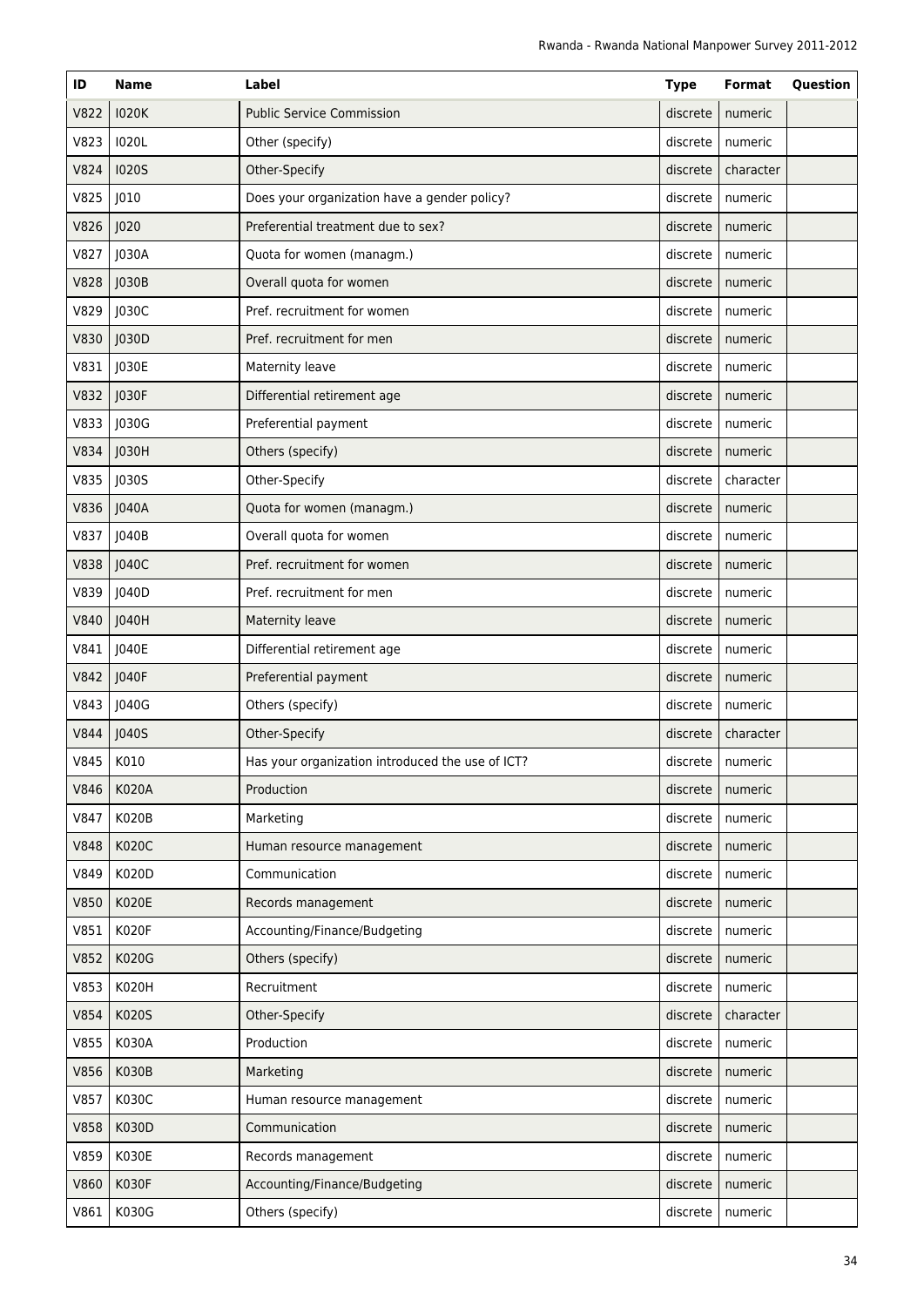| ID          | <b>Name</b>  | Label                                            | <b>Type</b> | Format             | Question |
|-------------|--------------|--------------------------------------------------|-------------|--------------------|----------|
| V822        | <b>I020K</b> | <b>Public Service Commission</b>                 | discrete    | numeric            |          |
| V823        | <b>I020L</b> | Other (specify)                                  | discrete    | numeric            |          |
| V824        | <b>1020S</b> | Other-Specify                                    | discrete    | character          |          |
| V825        | J010         | Does your organization have a gender policy?     | discrete    | numeric            |          |
| V826        | JO20         | Preferential treatment due to sex?               | discrete    | numeric            |          |
| V827        | J030A        | Quota for women (managm.)                        | discrete    | numeric            |          |
| V828        | J030B        | Overall quota for women                          | discrete    | numeric            |          |
| V829        | J030C        | Pref. recruitment for women                      | discrete    | numeric            |          |
| V830        | J030D        | Pref. recruitment for men                        | discrete    | numeric            |          |
| V831        | J030E        | Maternity leave                                  | discrete    | numeric            |          |
| V832        | J030F        | Differential retirement age                      | discrete    | numeric            |          |
| V833        | J030G        | Preferential payment                             | discrete    | numeric            |          |
| V834        | J030H        | Others (specify)                                 | discrete    | numeric            |          |
| V835        | J030S        | Other-Specify                                    | discrete    | character          |          |
| V836        | J040A        | Quota for women (managm.)                        | discrete    | numeric            |          |
| V837        | J040B        | Overall quota for women                          | discrete    | numeric            |          |
| V838        | J040C        | Pref. recruitment for women                      | discrete    | numeric            |          |
| V839        | J040D        | Pref. recruitment for men                        | discrete    | numeric            |          |
| V840        | J040H        | Maternity leave                                  | discrete    | numeric            |          |
| V841        | J040E        | Differential retirement age                      | discrete    | numeric            |          |
| V842        | J040F        | Preferential payment                             | discrete    | numeric            |          |
| V843        | J040G        | Others (specify)                                 | discrete    | numeric            |          |
| V844        | J040S        | Other-Specify                                    | discrete    | character          |          |
| V845        | K010         | Has your organization introduced the use of ICT? |             | discrete   numeric |          |
| V846        | <b>K020A</b> | Production                                       | discrete    | numeric            |          |
| V847        | K020B        | Marketing                                        | discrete    | numeric            |          |
| <b>V848</b> | K020C        | Human resource management                        | discrete    | numeric            |          |
| V849        | K020D        | Communication                                    | discrete    | numeric            |          |
| V850        | <b>K020E</b> | Records management                               | discrete    | numeric            |          |
| V851        | <b>K020F</b> | Accounting/Finance/Budgeting                     | discrete    | numeric            |          |
| V852        | K020G        | Others (specify)                                 | discrete    | numeric            |          |
| V853        | K020H        | Recruitment                                      | discrete    | numeric            |          |
| V854        | K020S        | Other-Specify                                    | discrete    | character          |          |
| V855        | K030A        | Production                                       | discrete    | numeric            |          |
| V856        | <b>K030B</b> | Marketing                                        | discrete    | numeric            |          |
| V857        | K030C        | Human resource management                        | discrete    | numeric            |          |
| V858        | K030D        | Communication                                    | discrete    | numeric            |          |
| V859        | K030E        | Records management                               | discrete    | numeric            |          |
| V860        | <b>K030F</b> | Accounting/Finance/Budgeting                     | discrete    | numeric            |          |
| V861        | K030G        | Others (specify)                                 | discrete    | numeric            |          |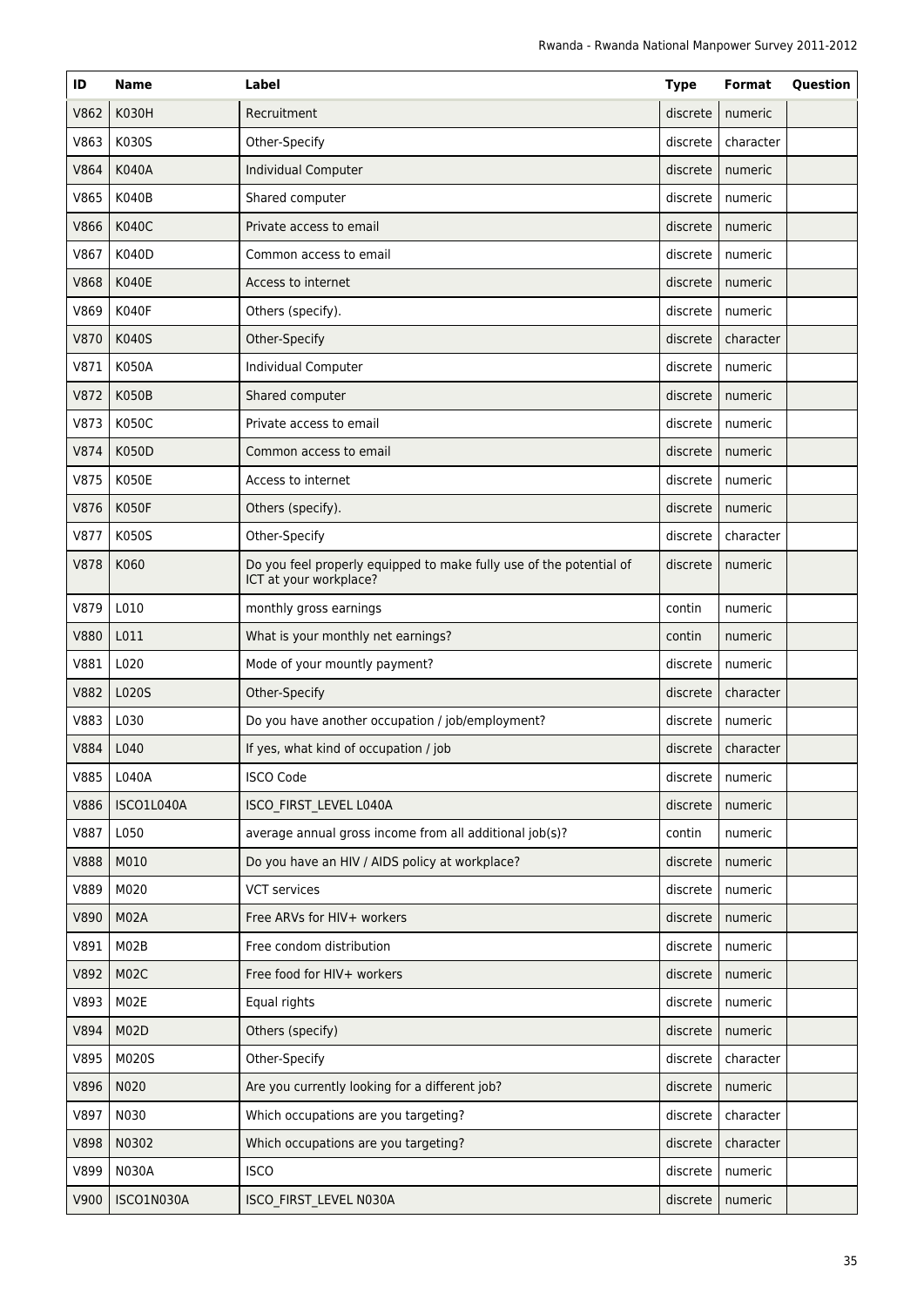| ID          | <b>Name</b>  | Label                                                                                         | <b>Type</b> | Format    | Question |
|-------------|--------------|-----------------------------------------------------------------------------------------------|-------------|-----------|----------|
| V862        | <b>K030H</b> | Recruitment                                                                                   | discrete    | numeric   |          |
| V863        | K030S        | Other-Specify                                                                                 | discrete    | character |          |
| V864        | <b>K040A</b> | Individual Computer                                                                           | discrete    | numeric   |          |
| V865        | K040B        | Shared computer                                                                               | discrete    | numeric   |          |
| V866        | <b>K040C</b> | Private access to email                                                                       | discrete    | numeric   |          |
| V867        | K040D        | Common access to email                                                                        | discrete    | numeric   |          |
| V868        | <b>K040E</b> | Access to internet                                                                            | discrete    | numeric   |          |
| V869        | <b>K040F</b> | Others (specify).                                                                             | discrete    | numeric   |          |
| V870        | K040S        | Other-Specify                                                                                 | discrete    | character |          |
| V871        | K050A        | Individual Computer                                                                           | discrete    | numeric   |          |
| V872        | <b>K050B</b> | Shared computer                                                                               | discrete    | numeric   |          |
| V873        | K050C        | Private access to email                                                                       | discrete    | numeric   |          |
| V874        | K050D        | Common access to email                                                                        | discrete    | numeric   |          |
| V875        | K050E        | Access to internet                                                                            | discrete    | numeric   |          |
| V876        | <b>K050F</b> | Others (specify).                                                                             | discrete    | numeric   |          |
| V877        | K050S        | Other-Specify                                                                                 | discrete    | character |          |
| <b>V878</b> | K060         | Do you feel properly equipped to make fully use of the potential of<br>ICT at your workplace? | discrete    | numeric   |          |
| V879        | L010         | monthly gross earnings                                                                        | contin      | numeric   |          |
| V880        | L011         | What is your monthly net earnings?                                                            | contin      | numeric   |          |
| V881        | L020         | Mode of your mountly payment?                                                                 | discrete    | numeric   |          |
| V882        | L020S        | Other-Specify                                                                                 | discrete    | character |          |
| V883        | L030         | Do you have another occupation / job/employment?                                              | discrete    | numeric   |          |
| V884        | L040         | If yes, what kind of occupation / job                                                         | discrete    | character |          |
| V885        | L040A        | <b>ISCO Code</b>                                                                              | discrete    | numeric   |          |
| <b>V886</b> | ISCO1L040A   | ISCO_FIRST_LEVEL L040A                                                                        | discrete    | numeric   |          |
| V887        | L050         | average annual gross income from all additional job(s)?                                       | contin      | numeric   |          |
| <b>V888</b> | M010         | Do you have an HIV / AIDS policy at workplace?                                                | discrete    | numeric   |          |
| V889        | M020         | <b>VCT</b> services                                                                           | discrete    | numeric   |          |
| V890        | M02A         | Free ARVs for HIV+ workers                                                                    | discrete    | numeric   |          |
| V891        | M02B         | Free condom distribution                                                                      | discrete    | numeric   |          |
| V892        | M02C         | Free food for HIV+ workers                                                                    | discrete    | numeric   |          |
| V893        | M02E         | Equal rights                                                                                  | discrete    | numeric   |          |
| V894        | M02D         | Others (specify)                                                                              | discrete    | numeric   |          |
| V895        | M020S        | Other-Specify                                                                                 | discrete    | character |          |
| V896        | N020         | Are you currently looking for a different job?                                                | discrete    | numeric   |          |
| V897        | N030         | Which occupations are you targeting?                                                          | discrete    | character |          |
| <b>V898</b> | N0302        | Which occupations are you targeting?                                                          | discrete    | character |          |
| V899        | N030A        | <b>ISCO</b>                                                                                   | discrete    | numeric   |          |
| V900        | ISCO1N030A   | ISCO_FIRST_LEVEL N030A                                                                        | discrete    | numeric   |          |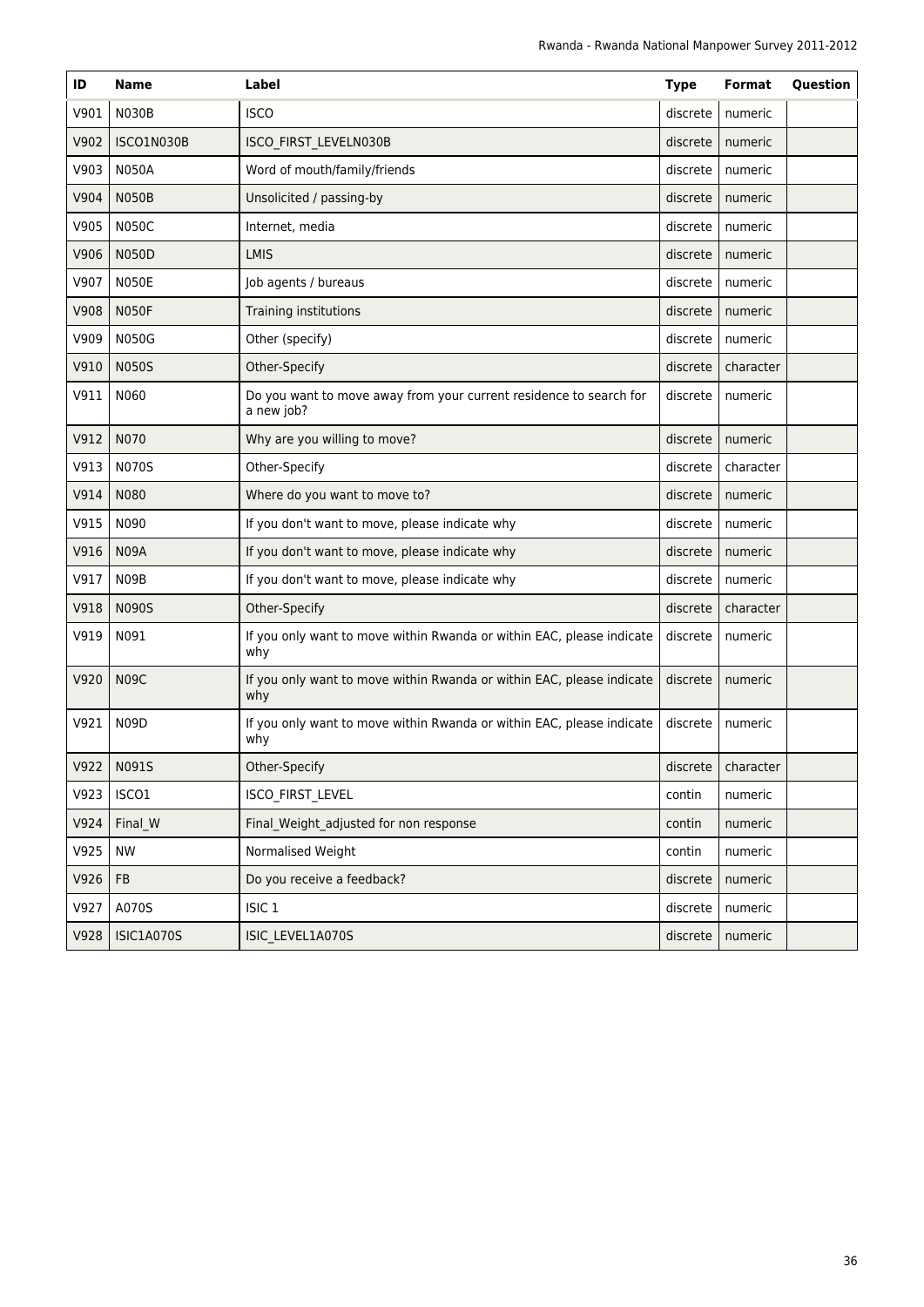| ID   | <b>Name</b>       | Label                                                                            | <b>Type</b> | <b>Format</b>        | Question |
|------|-------------------|----------------------------------------------------------------------------------|-------------|----------------------|----------|
| V901 | <b>N030B</b>      | <b>ISCO</b>                                                                      | discrete    | numeric              |          |
| V902 | ISCO1N030B        | ISCO_FIRST_LEVELN030B                                                            | discrete    | numeric              |          |
| V903 | <b>N050A</b>      | Word of mouth/family/friends                                                     | discrete    | numeric              |          |
| V904 | <b>N050B</b>      | Unsolicited / passing-by                                                         | discrete    | numeric              |          |
| V905 | <b>N050C</b>      | Internet, media                                                                  | discrete    | numeric              |          |
| V906 | <b>N050D</b>      | <b>LMIS</b>                                                                      | discrete    | numeric              |          |
| V907 | <b>N050E</b>      | Job agents / bureaus                                                             | discrete    | numeric              |          |
| V908 | <b>N050F</b>      | Training institutions                                                            | discrete    | numeric              |          |
| V909 | <b>N050G</b>      | Other (specify)                                                                  | discrete    | numeric              |          |
| V910 | <b>N050S</b>      | Other-Specify                                                                    | discrete    | character            |          |
| V911 | N060              | Do you want to move away from your current residence to search for<br>a new job? | discrete    | numeric              |          |
| V912 | N070              | Why are you willing to move?                                                     | discrete    | numeric              |          |
| V913 | <b>N070S</b>      | Other-Specify                                                                    | discrete    | character            |          |
| V914 | N080              | Where do you want to move to?                                                    | discrete    | numeric              |          |
| V915 | N090              | If you don't want to move, please indicate why                                   | discrete    | numeric              |          |
| V916 | <b>N09A</b>       | If you don't want to move, please indicate why                                   | discrete    | numeric              |          |
| V917 | N09B              | If you don't want to move, please indicate why                                   | discrete    | numeric              |          |
| V918 | <b>N090S</b>      | Other-Specify                                                                    | discrete    | character            |          |
| V919 | N091              | If you only want to move within Rwanda or within EAC, please indicate<br>why     | discrete    | numeric              |          |
| V920 | N <sub>09</sub> C | If you only want to move within Rwanda or within EAC, please indicate<br>why     | discrete    | numeric              |          |
| V921 | <b>N09D</b>       | If you only want to move within Rwanda or within EAC, please indicate<br>why     | discrete    | numeric              |          |
|      | V922   N091S      | Other-Specify                                                                    |             | discrete   character |          |
| V923 | ISCO1             | ISCO_FIRST_LEVEL                                                                 | contin      | numeric              |          |
| V924 | Final W           | Final Weight adjusted for non response                                           | contin      | numeric              |          |
| V925 | <b>NW</b>         | Normalised Weight                                                                | contin      | numeric              |          |
| V926 | <b>FB</b>         | Do you receive a feedback?                                                       | discrete    | numeric              |          |
| V927 | A070S             | ISIC <sub>1</sub>                                                                | discrete    | numeric              |          |
| V928 | ISIC1A070S        | ISIC LEVEL1A070S                                                                 | discrete    | numeric              |          |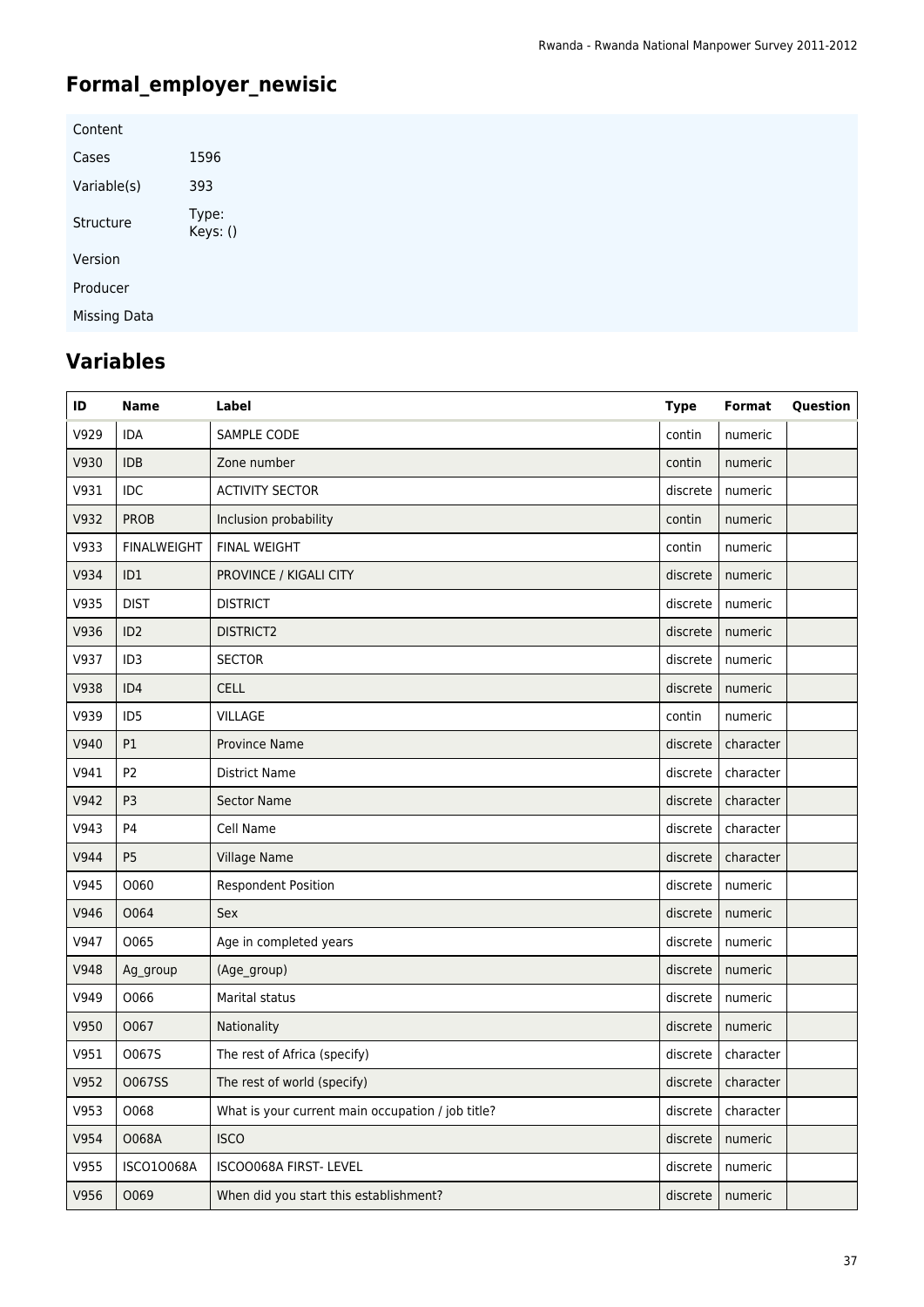# **Formal\_employer\_newisic**

| Content             |                   |
|---------------------|-------------------|
| Cases               | 1596              |
| Variable(s)         | 393               |
| Structure           | Type:<br>Keys: () |
| Version             |                   |
| Producer            |                   |
| <b>Missing Data</b> |                   |

### **Variables**

| ID   | <b>Name</b>        | Label                                             | <b>Type</b> | Format             | Question |
|------|--------------------|---------------------------------------------------|-------------|--------------------|----------|
| V929 | <b>IDA</b>         | SAMPLE CODE                                       | contin      | numeric            |          |
| V930 | <b>IDB</b>         | Zone number                                       | contin      | numeric            |          |
| V931 | <b>IDC</b>         | <b>ACTIVITY SECTOR</b>                            | discrete    | numeric            |          |
| V932 | <b>PROB</b>        | Inclusion probability                             | contin      | numeric            |          |
| V933 | <b>FINALWEIGHT</b> | <b>FINAL WEIGHT</b>                               | contin      | numeric            |          |
| V934 | ID <sub>1</sub>    | PROVINCE / KIGALI CITY                            | discrete    | numeric            |          |
| V935 | <b>DIST</b>        | <b>DISTRICT</b>                                   | discrete    | numeric            |          |
| V936 | ID <sub>2</sub>    | DISTRICT <sub>2</sub>                             | discrete    | numeric            |          |
| V937 | ID <sub>3</sub>    | <b>SECTOR</b>                                     | discrete    | numeric            |          |
| V938 | ID4                | <b>CELL</b>                                       | discrete    | numeric            |          |
| V939 | ID <sub>5</sub>    | <b>VILLAGE</b>                                    | contin      | numeric            |          |
| V940 | P1                 | <b>Province Name</b>                              | discrete    | character          |          |
| V941 | P <sub>2</sub>     | <b>District Name</b>                              | discrete    | character          |          |
| V942 | P <sub>3</sub>     | <b>Sector Name</b>                                | discrete    | character          |          |
| V943 | P <sub>4</sub>     | Cell Name                                         | discrete    | character          |          |
| V944 | P <sub>5</sub>     | <b>Village Name</b>                               | discrete    | character          |          |
| V945 | 0060               | <b>Respondent Position</b>                        | discrete    | numeric            |          |
| V946 | O064               | Sex                                               | discrete    | numeric            |          |
| V947 | 0065               | Age in completed years                            | discrete    | numeric            |          |
| V948 | Ag_group           | (Age_group)                                       | discrete    | numeric            |          |
| V949 | 0066               | Marital status                                    | discrete    | numeric            |          |
| V950 | 0067               | Nationality                                       | discrete    | numeric            |          |
| V951 | O067S              | The rest of Africa (specify)                      | discrete    | character          |          |
| V952 | O067SS             | The rest of world (specify)                       | discrete    | character          |          |
| V953 | 0068               | What is your current main occupation / job title? | discrete    | character          |          |
| V954 | O068A              | <b>ISCO</b>                                       | discrete    | numeric            |          |
| V955 | <b>ISCO10068A</b>  | ISCOO068A FIRST- LEVEL                            | discrete    | numeric            |          |
| V956 | O069               | When did you start this establishment?            |             | discrete   numeric |          |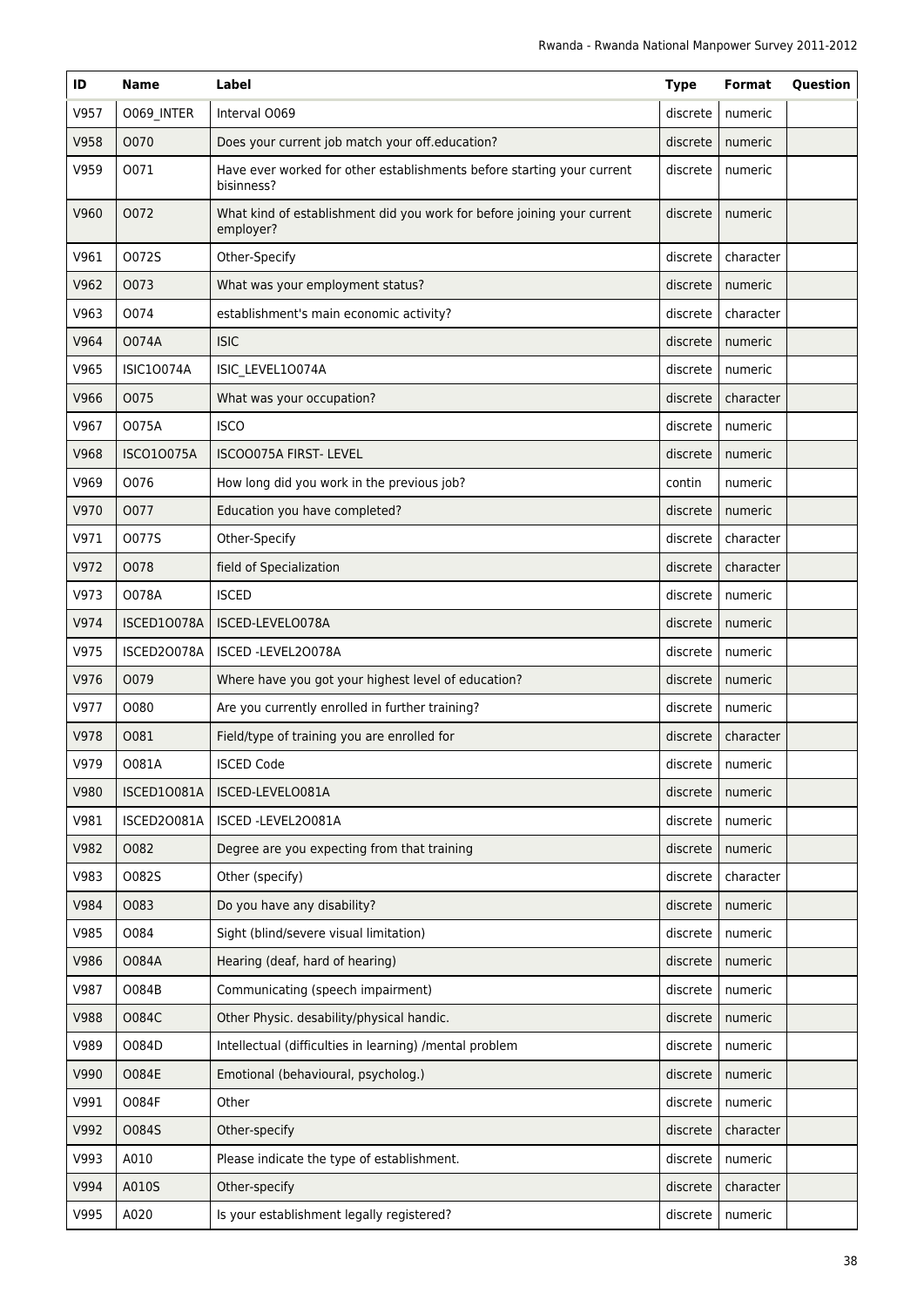| ID   | Name              | Label                                                                                | <b>Type</b> | Format             | Question |
|------|-------------------|--------------------------------------------------------------------------------------|-------------|--------------------|----------|
| V957 | O069_INTER        | Interval O069                                                                        | discrete    | numeric            |          |
| V958 | O070              | Does your current job match your off.education?                                      | discrete    | numeric            |          |
| V959 | 0071              | Have ever worked for other establishments before starting your current<br>bisinness? | discrete    | numeric            |          |
| V960 | 0072              | What kind of establishment did you work for before joining your current<br>employer? | discrete    | numeric            |          |
| V961 | 0072S             | Other-Specify                                                                        | discrete    | character          |          |
| V962 | 0073              | What was your employment status?                                                     | discrete    | numeric            |          |
| V963 | 0074              | establishment's main economic activity?                                              | discrete    | character          |          |
| V964 | 0074A             | <b>ISIC</b>                                                                          | discrete    | numeric            |          |
| V965 | <b>ISIC10074A</b> | ISIC LEVEL10074A                                                                     | discrete    | numeric            |          |
| V966 | 0075              | What was your occupation?                                                            | discrete    | character          |          |
| V967 | 0075A             | <b>ISCO</b>                                                                          | discrete    | numeric            |          |
| V968 | <b>ISCO10075A</b> | <b>ISCOO075A FIRST- LEVEL</b>                                                        | discrete    | numeric            |          |
| V969 | 0076              | How long did you work in the previous job?                                           | contin      | numeric            |          |
| V970 | 0077              | Education you have completed?                                                        | discrete    | numeric            |          |
| V971 | 0077S             | Other-Specify                                                                        | discrete    | character          |          |
| V972 | 0078              | field of Specialization                                                              | discrete    | character          |          |
| V973 | 0078A             | <b>ISCED</b>                                                                         | discrete    | numeric            |          |
| V974 | ISCED10078A       | ISCED-LEVELO078A                                                                     | discrete    | numeric            |          |
| V975 | ISCED20078A       | ISCED -LEVEL20078A                                                                   | discrete    | numeric            |          |
| V976 | 0079              | Where have you got your highest level of education?                                  | discrete    | numeric            |          |
| V977 | O080              | Are you currently enrolled in further training?                                      | discrete    | numeric            |          |
| V978 | 0081              | Field/type of training you are enrolled for                                          | discrete    | character          |          |
| V979 | 0081A             | <b>ISCED Code</b>                                                                    |             | discrete   numeric |          |
| V980 | ISCED10081A       | ISCED-LEVELO081A                                                                     | discrete    | numeric            |          |
| V981 | ISCED20081A       | ISCED -LEVEL20081A                                                                   | discrete    | numeric            |          |
| V982 | 0082              | Degree are you expecting from that training                                          | discrete    | numeric            |          |
| V983 | O082S             | Other (specify)                                                                      | discrete    | character          |          |
| V984 | 0083              | Do you have any disability?                                                          | discrete    | numeric            |          |
| V985 | 0084              | Sight (blind/severe visual limitation)                                               | discrete    | numeric            |          |
| V986 | O084A             | Hearing (deaf, hard of hearing)                                                      | discrete    | numeric            |          |
| V987 | O084B             | Communicating (speech impairment)                                                    | discrete    | numeric            |          |
| V988 | 0084C             | Other Physic. desability/physical handic.                                            | discrete    | numeric            |          |
| V989 | 0084D             | Intellectual (difficulties in learning) /mental problem                              | discrete    | numeric            |          |
| V990 | 0084E             | Emotional (behavioural, psycholog.)                                                  | discrete    | numeric            |          |
| V991 | O084F             | Other                                                                                | discrete    | numeric            |          |
| V992 | O084S             | Other-specify                                                                        | discrete    | character          |          |
| V993 | A010              | Please indicate the type of establishment.                                           | discrete    | numeric            |          |
| V994 | A010S             | Other-specify                                                                        | discrete    | character          |          |
| V995 | A020              | Is your establishment legally registered?                                            | discrete    | numeric            |          |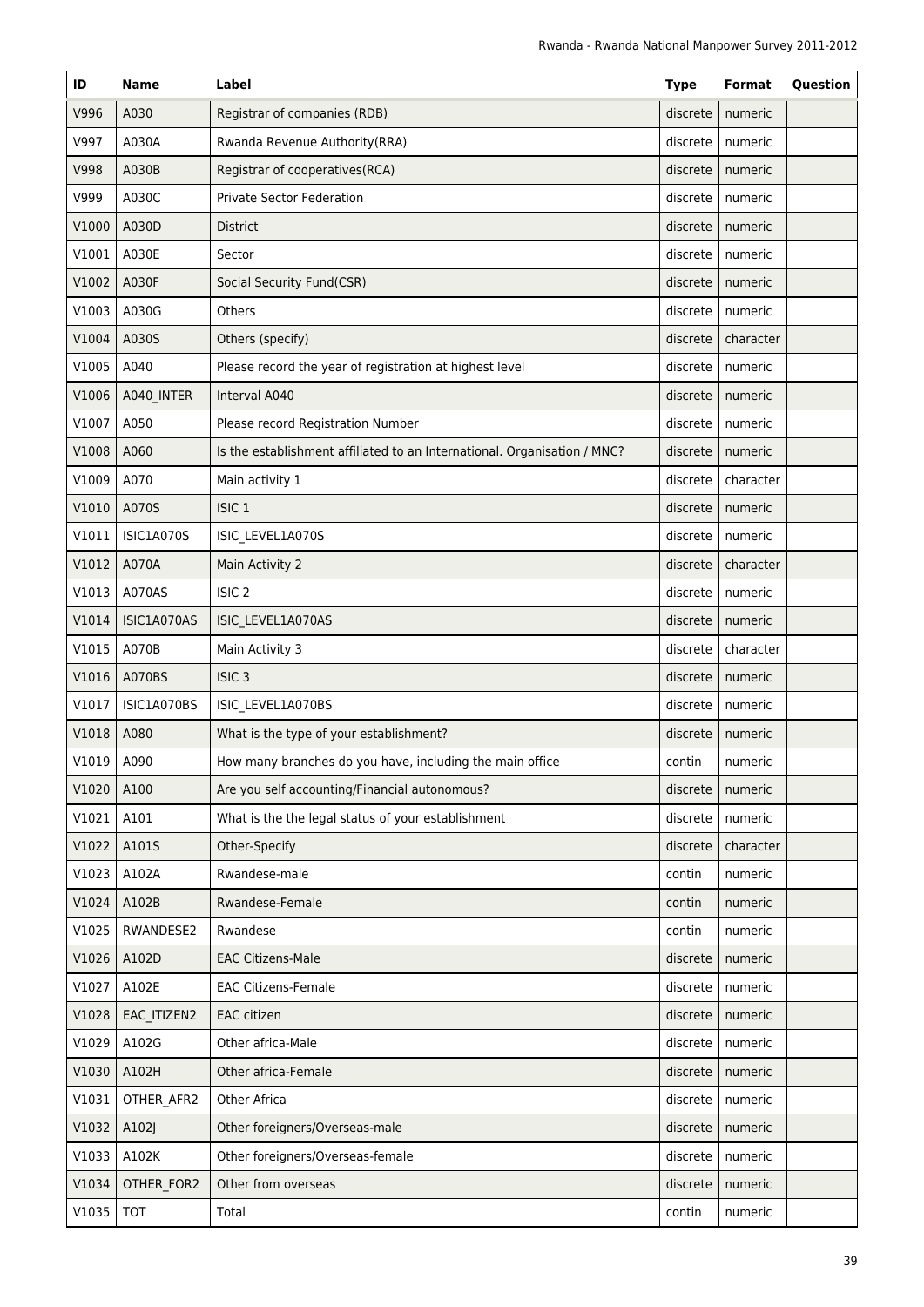| ID    | Name        | Label                                                                    | <b>Type</b> | Format    | Question |
|-------|-------------|--------------------------------------------------------------------------|-------------|-----------|----------|
| V996  | A030        | Registrar of companies (RDB)                                             | discrete    | numeric   |          |
| V997  | A030A       | Rwanda Revenue Authority (RRA)                                           | discrete    | numeric   |          |
| V998  | A030B       | Registrar of cooperatives(RCA)                                           | discrete    | numeric   |          |
| V999  | A030C       | Private Sector Federation                                                | discrete    | numeric   |          |
| V1000 | A030D       | District                                                                 | discrete    | numeric   |          |
| V1001 | A030E       | Sector                                                                   | discrete    | numeric   |          |
| V1002 | A030F       | Social Security Fund(CSR)                                                | discrete    | numeric   |          |
| V1003 | A030G       | Others                                                                   | discrete    | numeric   |          |
| V1004 | A030S       | Others (specify)                                                         | discrete    | character |          |
| V1005 | A040        | Please record the year of registration at highest level                  | discrete    | numeric   |          |
| V1006 | A040_INTER  | Interval A040                                                            | discrete    | numeric   |          |
| V1007 | A050        | Please record Registration Number                                        | discrete    | numeric   |          |
| V1008 | A060        | Is the establishment affiliated to an International. Organisation / MNC? | discrete    | numeric   |          |
| V1009 | A070        | Main activity 1                                                          | discrete    | character |          |
| V1010 | A070S       | ISIC <sub>1</sub>                                                        | discrete    | numeric   |          |
| V1011 | ISIC1A070S  | ISIC_LEVEL1A070S                                                         | discrete    | numeric   |          |
| V1012 | A070A       | Main Activity 2                                                          | discrete    | character |          |
| V1013 | A070AS      | ISIC <sub>2</sub>                                                        | discrete    | numeric   |          |
| V1014 | ISIC1A070AS | ISIC_LEVEL1A070AS                                                        | discrete    | numeric   |          |
| V1015 | A070B       | Main Activity 3                                                          | discrete    | character |          |
| V1016 | A070BS      | ISIC <sub>3</sub>                                                        | discrete    | numeric   |          |
| V1017 | ISIC1A070BS | ISIC_LEVEL1A070BS                                                        | discrete    | numeric   |          |
| V1018 | A080        | What is the type of your establishment?                                  | discrete    | numeric   |          |
| V1019 | A090        | How many branches do you have, including the main office                 | contin      | numeric   |          |
| V1020 | A100        | Are you self accounting/Financial autonomous?                            | discrete    | numeric   |          |
| V1021 | A101        | What is the the legal status of your establishment                       | discrete    | numeric   |          |
| V1022 | A101S       | Other-Specify                                                            | discrete    | character |          |
| V1023 | A102A       | Rwandese-male                                                            | contin      | numeric   |          |
| V1024 | A102B       | Rwandese-Female                                                          | contin      | numeric   |          |
| V1025 | RWANDESE2   | Rwandese                                                                 | contin      | numeric   |          |
| V1026 | A102D       | <b>EAC Citizens-Male</b>                                                 | discrete    | numeric   |          |
| V1027 | A102E       | <b>EAC Citizens-Female</b>                                               | discrete    | numeric   |          |
| V1028 | EAC_ITIZEN2 | EAC citizen                                                              | discrete    | numeric   |          |
| V1029 | A102G       | Other africa-Male                                                        | discrete    | numeric   |          |
| V1030 | A102H       | Other africa-Female                                                      | discrete    | numeric   |          |
| V1031 | OTHER_AFR2  | Other Africa                                                             | discrete    | numeric   |          |
| V1032 | A102J       | Other foreigners/Overseas-male                                           | discrete    | numeric   |          |
| V1033 | A102K       | Other foreigners/Overseas-female                                         | discrete    | numeric   |          |
| V1034 | OTHER_FOR2  | Other from overseas                                                      | discrete    | numeric   |          |
| V1035 | <b>TOT</b>  | Total                                                                    | contin      | numeric   |          |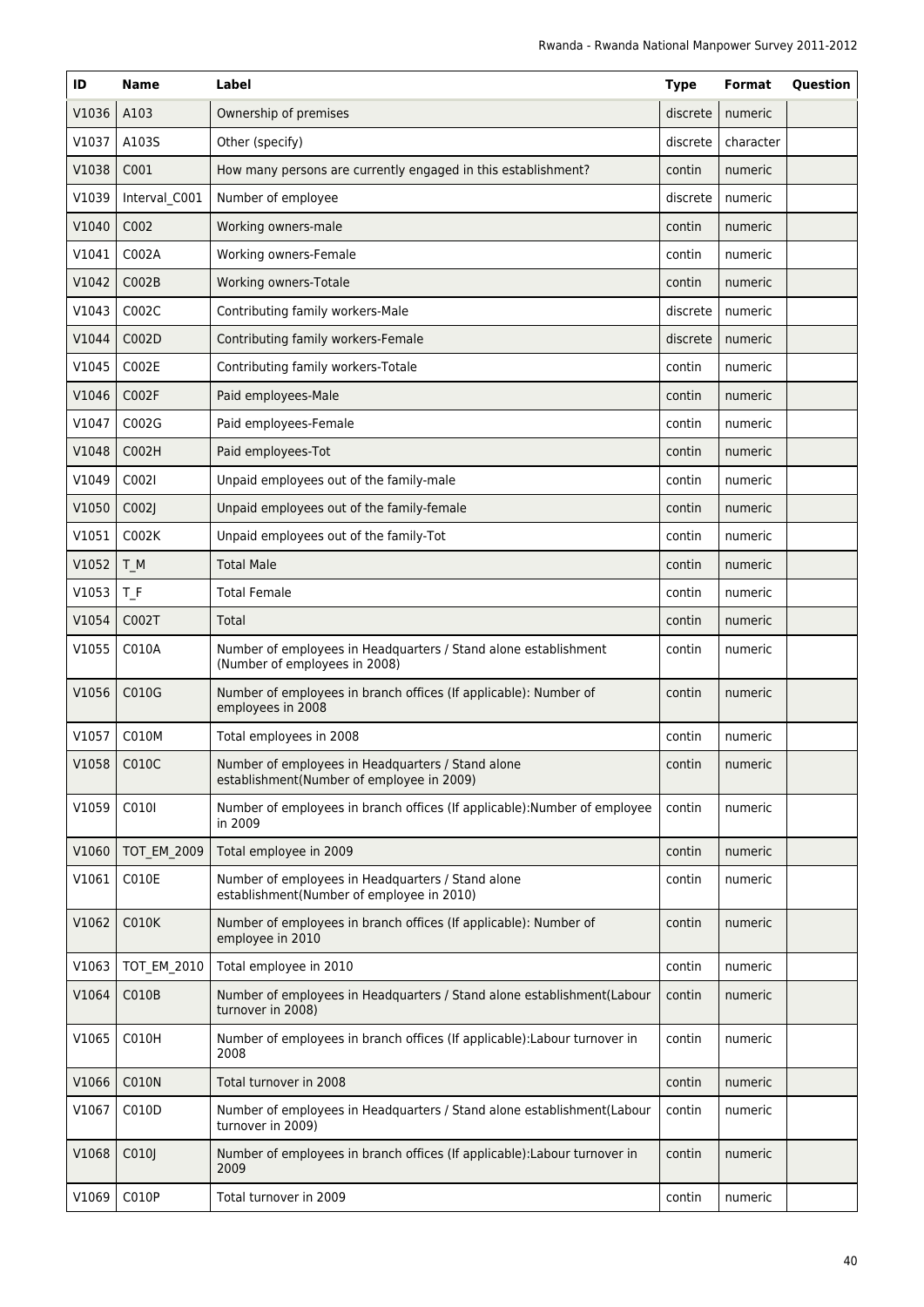| ID    | Name               | Label                                                                                            | <b>Type</b> | Format    | Question |
|-------|--------------------|--------------------------------------------------------------------------------------------------|-------------|-----------|----------|
| V1036 | A103               | Ownership of premises                                                                            | discrete    | numeric   |          |
| V1037 | A103S              | Other (specify)                                                                                  | discrete    | character |          |
| V1038 | C001               | How many persons are currently engaged in this establishment?                                    | contin      | numeric   |          |
| V1039 | Interval_C001      | Number of employee                                                                               | discrete    | numeric   |          |
| V1040 | C002               | Working owners-male                                                                              | contin      | numeric   |          |
| V1041 | C002A              | Working owners-Female                                                                            | contin      | numeric   |          |
| V1042 | C002B              | Working owners-Totale                                                                            | contin      | numeric   |          |
| V1043 | C002C              | Contributing family workers-Male                                                                 | discrete    | numeric   |          |
| V1044 | C002D              | Contributing family workers-Female                                                               | discrete    | numeric   |          |
| V1045 | C002E              | Contributing family workers-Totale                                                               | contin      | numeric   |          |
| V1046 | C002F              | Paid employees-Male                                                                              | contin      | numeric   |          |
| V1047 | C002G              | Paid employees-Female                                                                            | contin      | numeric   |          |
| V1048 | C002H              | Paid employees-Tot                                                                               | contin      | numeric   |          |
| V1049 | C002I              | Unpaid employees out of the family-male                                                          | contin      | numeric   |          |
| V1050 | C002J              | Unpaid employees out of the family-female                                                        | contin      | numeric   |          |
| V1051 | C002K              | Unpaid employees out of the family-Tot                                                           | contin      | numeric   |          |
| V1052 | $T_M$              | <b>Total Male</b>                                                                                | contin      | numeric   |          |
| V1053 | $T_F$              | <b>Total Female</b>                                                                              | contin      | numeric   |          |
| V1054 | C002T              | Total                                                                                            | contin      | numeric   |          |
| V1055 | C010A              | Number of employees in Headquarters / Stand alone establishment<br>(Number of employees in 2008) | contin      | numeric   |          |
| V1056 | C010G              | Number of employees in branch offices (If applicable): Number of<br>employees in 2008            | contin      | numeric   |          |
| V1057 | C010M              | Total employees in 2008                                                                          | contin      | numeric   |          |
| V1058 | C010C              | Number of employees in Headquarters / Stand alone<br>establishment(Number of employee in 2009)   | contin      | numeric   |          |
| V1059 | C010I              | Number of employees in branch offices (If applicable): Number of employee<br>in 2009             | contin      | numeric   |          |
| V1060 | TOT_EM_2009        | Total employee in 2009                                                                           | contin      | numeric   |          |
| V1061 | C010E              | Number of employees in Headquarters / Stand alone<br>establishment(Number of employee in 2010)   | contin      | numeric   |          |
| V1062 | C010K              | Number of employees in branch offices (If applicable): Number of<br>employee in 2010             | contin      | numeric   |          |
| V1063 | <b>TOT EM 2010</b> | Total employee in 2010                                                                           | contin      | numeric   |          |
| V1064 | C010B              | Number of employees in Headquarters / Stand alone establishment(Labour<br>turnover in 2008)      | contin      | numeric   |          |
| V1065 | C010H              | Number of employees in branch offices (If applicable): Labour turnover in<br>2008                | contin      | numeric   |          |
| V1066 | <b>C010N</b>       | Total turnover in 2008                                                                           | contin      | numeric   |          |
| V1067 | C010D              | Number of employees in Headquarters / Stand alone establishment(Labour<br>turnover in 2009)      | contin      | numeric   |          |
| V1068 | C010J              | Number of employees in branch offices (If applicable): Labour turnover in<br>2009                | contin      | numeric   |          |
| V1069 | C010P              | Total turnover in 2009                                                                           | contin      | numeric   |          |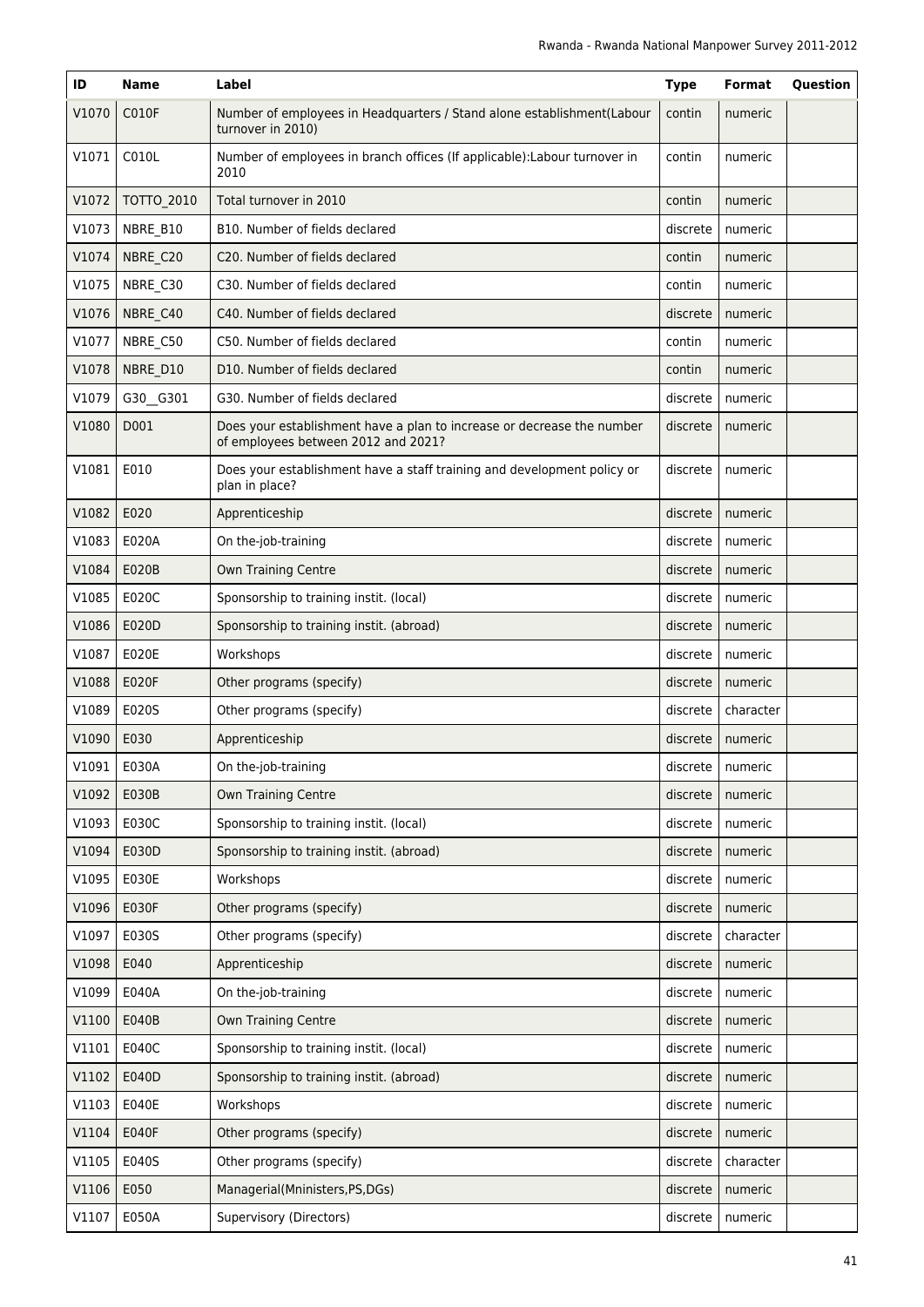| ID    | Name         | Label                                                                                                         | <b>Type</b> | Format    | Question |
|-------|--------------|---------------------------------------------------------------------------------------------------------------|-------------|-----------|----------|
| V1070 | <b>C010F</b> | Number of employees in Headquarters / Stand alone establishment(Labour<br>turnover in 2010)                   | contin      | numeric   |          |
| V1071 | C010L        | Number of employees in branch offices (If applicable): Labour turnover in<br>2010                             | contin      | numeric   |          |
| V1072 | TOTTO_2010   | Total turnover in 2010                                                                                        | contin      | numeric   |          |
| V1073 | NBRE_B10     | B10. Number of fields declared                                                                                | discrete    | numeric   |          |
| V1074 | NBRE_C20     | C20. Number of fields declared                                                                                | contin      | numeric   |          |
| V1075 | NBRE_C30     | C30. Number of fields declared                                                                                | contin      | numeric   |          |
| V1076 | NBRE_C40     | C40. Number of fields declared                                                                                | discrete    | numeric   |          |
| V1077 | NBRE_C50     | C50. Number of fields declared                                                                                | contin      | numeric   |          |
| V1078 | NBRE_D10     | D10. Number of fields declared                                                                                | contin      | numeric   |          |
| V1079 | G30_G301     | G30. Number of fields declared                                                                                | discrete    | numeric   |          |
| V1080 | D001         | Does your establishment have a plan to increase or decrease the number<br>of employees between 2012 and 2021? | discrete    | numeric   |          |
| V1081 | E010         | Does your establishment have a staff training and development policy or<br>plan in place?                     | discrete    | numeric   |          |
| V1082 | E020         | Apprenticeship                                                                                                | discrete    | numeric   |          |
| V1083 | E020A        | On the-job-training                                                                                           | discrete    | numeric   |          |
| V1084 | E020B        | Own Training Centre                                                                                           | discrete    | numeric   |          |
| V1085 | E020C        | Sponsorship to training instit. (local)                                                                       | discrete    | numeric   |          |
| V1086 | E020D        | Sponsorship to training instit. (abroad)                                                                      | discrete    | numeric   |          |
| V1087 | E020E        | Workshops                                                                                                     | discrete    | numeric   |          |
| V1088 | E020F        | Other programs (specify)                                                                                      | discrete    | numeric   |          |
| V1089 | E020S        | Other programs (specify)                                                                                      | discrete    | character |          |
| V1090 | E030         | Apprenticeship                                                                                                | discrete    | numeric   |          |
| V1091 | E030A        | On the-job-training                                                                                           | discrete    | numeric   |          |
| V1092 | E030B        | Own Training Centre                                                                                           | discrete    | numeric   |          |
| V1093 | E030C        | Sponsorship to training instit. (local)                                                                       | discrete    | numeric   |          |
| V1094 | E030D        | Sponsorship to training instit. (abroad)                                                                      | discrete    | numeric   |          |
| V1095 | E030E        | Workshops                                                                                                     | discrete    | numeric   |          |
| V1096 | E030F        | Other programs (specify)                                                                                      | discrete    | numeric   |          |
| V1097 | E030S        | Other programs (specify)                                                                                      | discrete    | character |          |
| V1098 | E040         | Apprenticeship                                                                                                | discrete    | numeric   |          |
| V1099 | E040A        | On the-job-training                                                                                           | discrete    | numeric   |          |
| V1100 | E040B        | Own Training Centre                                                                                           | discrete    | numeric   |          |
| V1101 | E040C        | Sponsorship to training instit. (local)                                                                       | discrete    | numeric   |          |
| V1102 | E040D        | Sponsorship to training instit. (abroad)                                                                      | discrete    | numeric   |          |
| V1103 | E040E        | Workshops                                                                                                     | discrete    | numeric   |          |
| V1104 | <b>E040F</b> | Other programs (specify)                                                                                      | discrete    | numeric   |          |
| V1105 | E040S        | Other programs (specify)                                                                                      | discrete    | character |          |
| V1106 | E050         | Managerial(Mninisters,PS,DGs)                                                                                 | discrete    | numeric   |          |
| V1107 | E050A        | Supervisory (Directors)                                                                                       | discrete    | numeric   |          |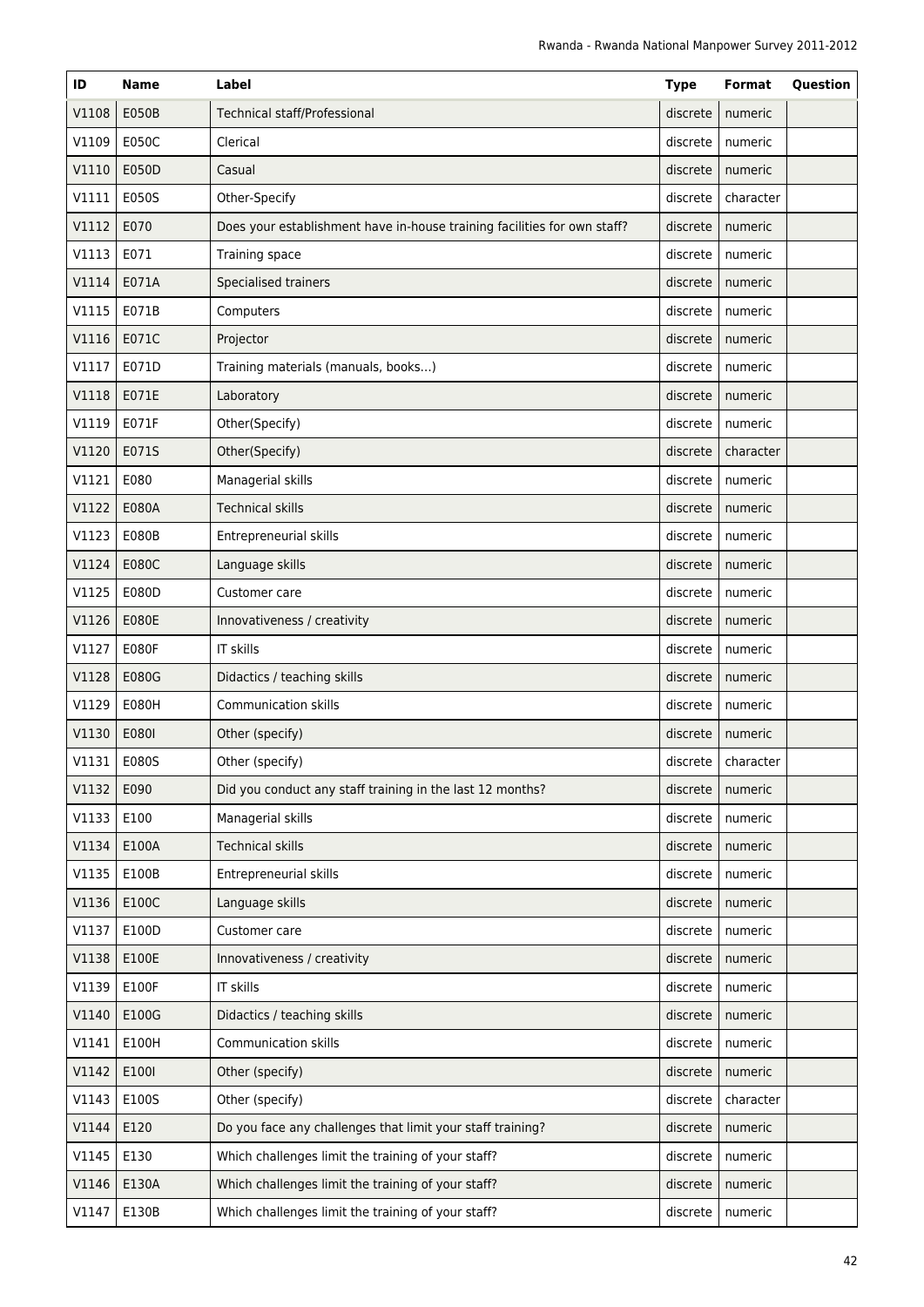| ID    | <b>Name</b>  | Label                                                                    | <b>Type</b> | <b>Format</b>        | Question |
|-------|--------------|--------------------------------------------------------------------------|-------------|----------------------|----------|
| V1108 | E050B        | Technical staff/Professional                                             | discrete    | numeric              |          |
| V1109 | E050C        | Clerical                                                                 | discrete    | numeric              |          |
| V1110 | E050D        | Casual                                                                   | discrete    | numeric              |          |
| V1111 | E050S        | Other-Specify                                                            | discrete    | character            |          |
| V1112 | E070         | Does your establishment have in-house training facilities for own staff? | discrete    | numeric              |          |
| V1113 | E071         | Training space                                                           | discrete    | numeric              |          |
| V1114 | E071A        | Specialised trainers                                                     | discrete    | numeric              |          |
| V1115 | E071B        | Computers                                                                | discrete    | numeric              |          |
| V1116 | E071C        | Projector                                                                | discrete    | numeric              |          |
| V1117 | E071D        | Training materials (manuals, books)                                      | discrete    | numeric              |          |
| V1118 | E071E        | Laboratory                                                               | discrete    | numeric              |          |
| V1119 | E071F        | Other(Specify)                                                           | discrete    | numeric              |          |
| V1120 | E071S        | Other(Specify)                                                           | discrete    | character            |          |
| V1121 | E080         | Managerial skills                                                        | discrete    | numeric              |          |
| V1122 | E080A        | <b>Technical skills</b>                                                  | discrete    | numeric              |          |
| V1123 | E080B        | Entrepreneurial skills                                                   | discrete    | numeric              |          |
| V1124 | E080C        | Language skills                                                          | discrete    | numeric              |          |
| V1125 | E080D        | Customer care                                                            | discrete    | numeric              |          |
| V1126 | E080E        | Innovativeness / creativity                                              | discrete    | numeric              |          |
| V1127 | <b>E080F</b> | IT skills                                                                | discrete    | numeric              |          |
| V1128 | E080G        | Didactics / teaching skills                                              | discrete    | numeric              |          |
| V1129 | E080H        | <b>Communication skills</b>                                              | discrete    | numeric              |          |
| V1130 | E080I        | Other (specify)                                                          | discrete    | numeric              |          |
| V1131 | E080S        | Other (specify)                                                          |             | discrete   character |          |
| V1132 | E090         | Did you conduct any staff training in the last 12 months?                | discrete    | numeric              |          |
| V1133 | E100         | Managerial skills                                                        | discrete    | numeric              |          |
| V1134 | E100A        | <b>Technical skills</b>                                                  | discrete    | numeric              |          |
| V1135 | E100B        | Entrepreneurial skills                                                   | discrete    | numeric              |          |
| V1136 | E100C        | Language skills                                                          | discrete    | numeric              |          |
| V1137 | E100D        | Customer care                                                            | discrete    | numeric              |          |
| V1138 | E100E        | Innovativeness / creativity                                              | discrete    | numeric              |          |
| V1139 | E100F        | IT skills                                                                | discrete    | numeric              |          |
| V1140 | E100G        | Didactics / teaching skills                                              | discrete    | numeric              |          |
| V1141 | E100H        | Communication skills                                                     | discrete    | numeric              |          |
| V1142 | E100I        | Other (specify)                                                          | discrete    | numeric              |          |
| V1143 | E100S        | Other (specify)                                                          | discrete    | character            |          |
| V1144 | E120         | Do you face any challenges that limit your staff training?               | discrete    | numeric              |          |
| V1145 | E130         | Which challenges limit the training of your staff?                       | discrete    | numeric              |          |
| V1146 | E130A        | Which challenges limit the training of your staff?                       | discrete    | numeric              |          |
| V1147 | E130B        | Which challenges limit the training of your staff?                       | discrete    | numeric              |          |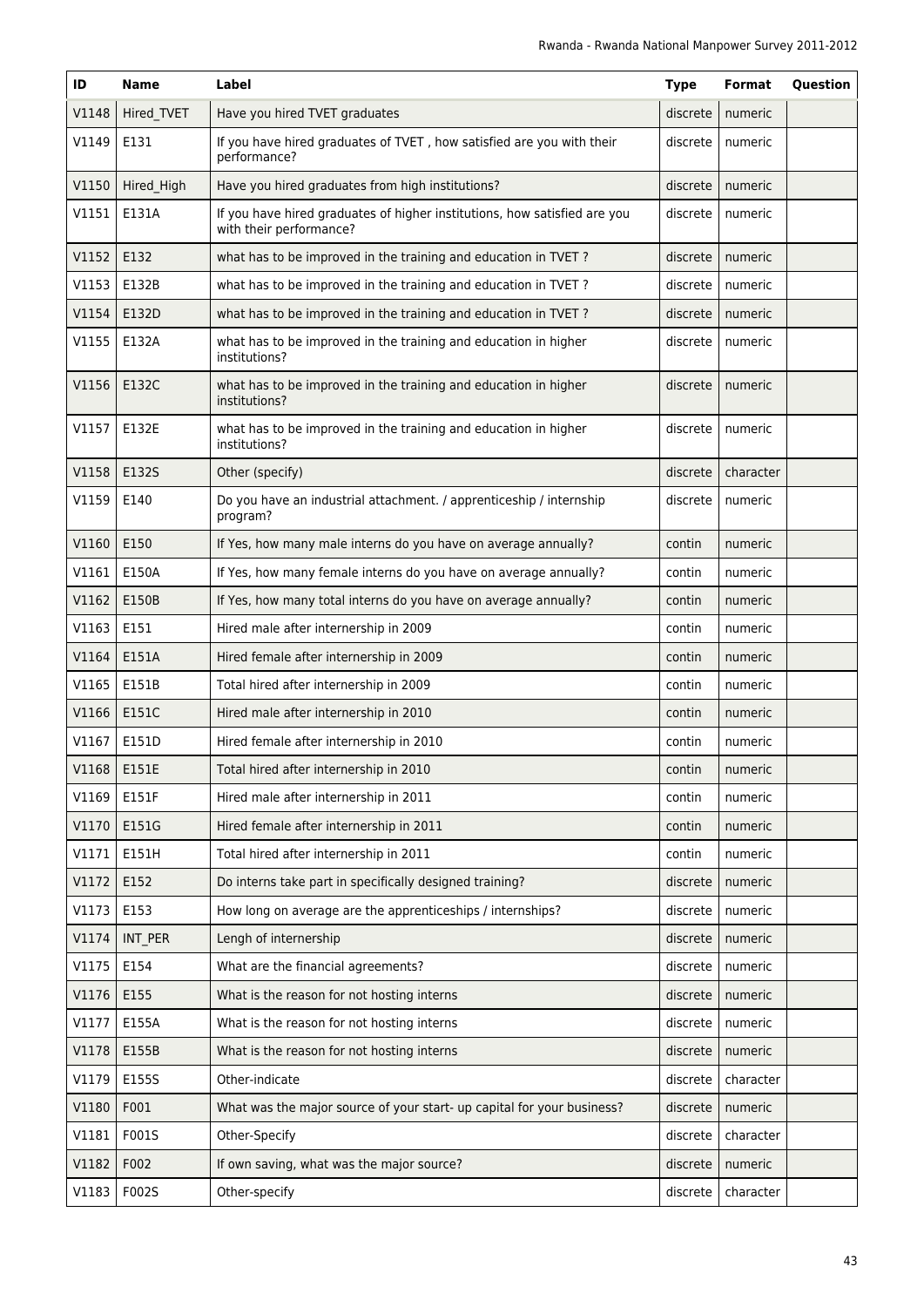| ID    | <b>Name</b> | Label                                                                                                | <b>Type</b> | Format    | Question |
|-------|-------------|------------------------------------------------------------------------------------------------------|-------------|-----------|----------|
| V1148 | Hired_TVET  | Have you hired TVET graduates                                                                        | discrete    | numeric   |          |
| V1149 | E131        | If you have hired graduates of TVET, how satisfied are you with their<br>performance?                | discrete    | numeric   |          |
| V1150 | Hired_High  | Have you hired graduates from high institutions?                                                     | discrete    | numeric   |          |
| V1151 | E131A       | If you have hired graduates of higher institutions, how satisfied are you<br>with their performance? | discrete    | numeric   |          |
| V1152 | E132        | what has to be improved in the training and education in TVET?                                       | discrete    | numeric   |          |
| V1153 | E132B       | what has to be improved in the training and education in TVET?                                       | discrete    | numeric   |          |
| V1154 | E132D       | what has to be improved in the training and education in TVET?                                       | discrete    | numeric   |          |
| V1155 | E132A       | what has to be improved in the training and education in higher<br>institutions?                     | discrete    | numeric   |          |
| V1156 | E132C       | what has to be improved in the training and education in higher<br>institutions?                     | discrete    | numeric   |          |
| V1157 | E132E       | what has to be improved in the training and education in higher<br>institutions?                     | discrete    | numeric   |          |
| V1158 | E132S       | Other (specify)                                                                                      | discrete    | character |          |
| V1159 | E140        | Do you have an industrial attachment. / apprenticeship / internship<br>program?                      | discrete    | numeric   |          |
| V1160 | E150        | If Yes, how many male interns do you have on average annually?                                       | contin      | numeric   |          |
| V1161 | E150A       | If Yes, how many female interns do you have on average annually?                                     | contin      | numeric   |          |
| V1162 | E150B       | If Yes, how many total interns do you have on average annually?                                      | contin      | numeric   |          |
| V1163 | E151        | Hired male after internership in 2009                                                                | contin      | numeric   |          |
| V1164 | E151A       | Hired female after internership in 2009                                                              | contin      | numeric   |          |
| V1165 | E151B       | Total hired after internership in 2009                                                               | contin      | numeric   |          |
| V1166 | E151C       | Hired male after internership in 2010                                                                | contin      | numeric   |          |
| V1167 | E151D       | Hired female after internership in 2010                                                              | contin      | numeric   |          |
| V1168 | E151E       | Total hired after internership in 2010                                                               | contin      | numeric   |          |
| V1169 | E151F       | Hired male after internership in 2011                                                                | contin      | numeric   |          |
| V1170 | E151G       | Hired female after internership in 2011                                                              | contin      | numeric   |          |
| V1171 | E151H       | Total hired after internership in 2011                                                               | contin      | numeric   |          |
| V1172 | E152        | Do interns take part in specifically designed training?                                              | discrete    | numeric   |          |
| V1173 | E153        | How long on average are the apprenticeships / internships?                                           | discrete    | numeric   |          |
| V1174 | INT_PER     | Lengh of internership                                                                                | discrete    | numeric   |          |
| V1175 | E154        | What are the financial agreements?                                                                   | discrete    | numeric   |          |
| V1176 | E155        | What is the reason for not hosting interns                                                           | discrete    | numeric   |          |
| V1177 | E155A       | What is the reason for not hosting interns                                                           | discrete    | numeric   |          |
| V1178 | E155B       | What is the reason for not hosting interns                                                           | discrete    | numeric   |          |
| V1179 | E155S       | Other-indicate                                                                                       | discrete    | character |          |
| V1180 | F001        | What was the major source of your start- up capital for your business?                               | discrete    | numeric   |          |
| V1181 | F001S       | Other-Specify                                                                                        | discrete    | character |          |
| V1182 | F002        | If own saving, what was the major source?                                                            | discrete    | numeric   |          |
| V1183 | F002S       | Other-specify                                                                                        | discrete    | character |          |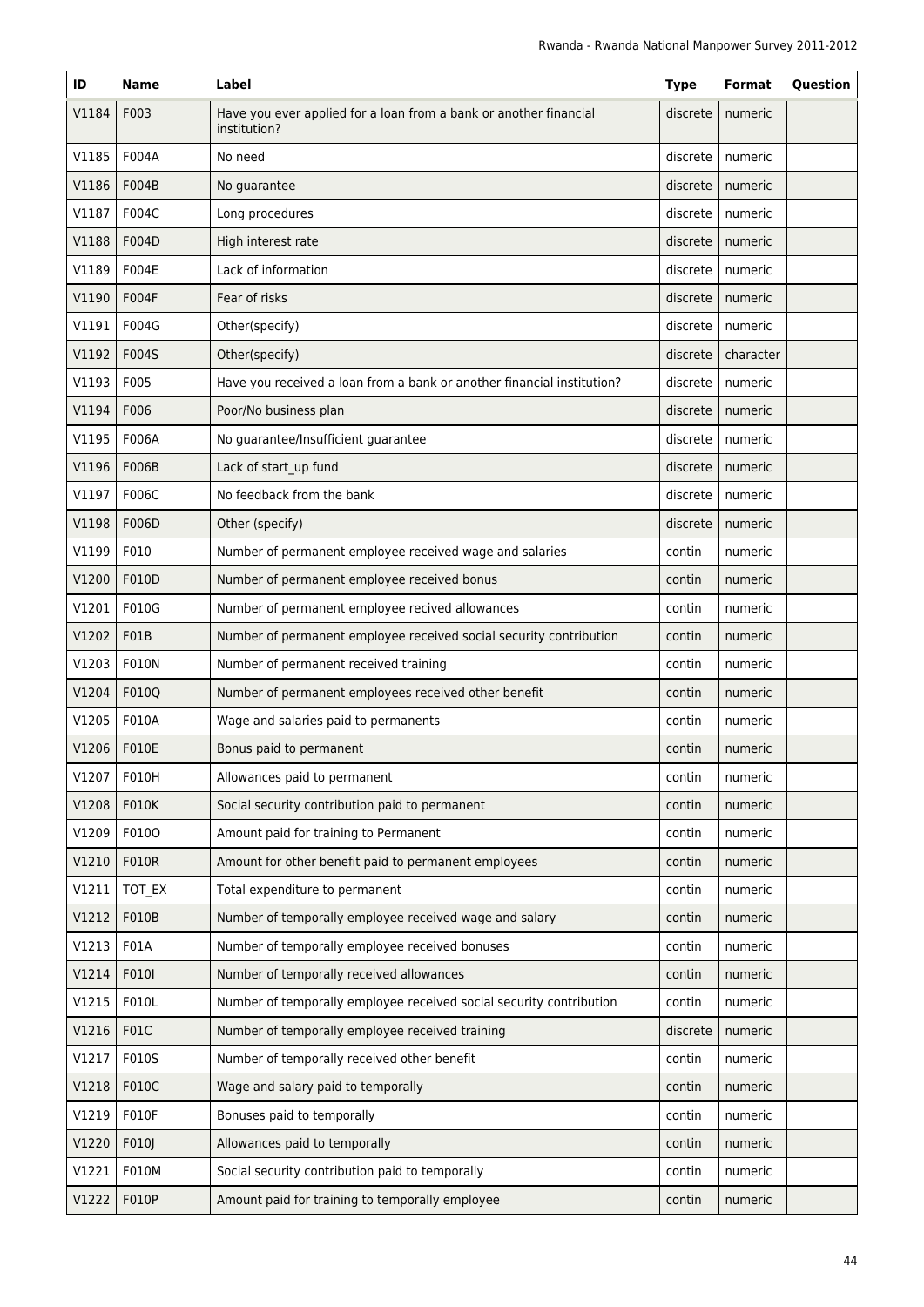| ID    | Name         | Label                                                                             | <b>Type</b> | <b>Format</b> | Question |
|-------|--------------|-----------------------------------------------------------------------------------|-------------|---------------|----------|
| V1184 | F003         | Have you ever applied for a loan from a bank or another financial<br>institution? | discrete    | numeric       |          |
| V1185 | F004A        | No need                                                                           | discrete    | numeric       |          |
| V1186 | F004B        | No guarantee                                                                      | discrete    | numeric       |          |
| V1187 | F004C        | Long procedures                                                                   | discrete    | numeric       |          |
| V1188 | F004D        | High interest rate                                                                | discrete    | numeric       |          |
| V1189 | F004E        | Lack of information                                                               | discrete    | numeric       |          |
| V1190 | F004F        | Fear of risks                                                                     | discrete    | numeric       |          |
| V1191 | F004G        | Other(specify)                                                                    | discrete    | numeric       |          |
| V1192 | F004S        | Other(specify)                                                                    | discrete    | character     |          |
| V1193 | F005         | Have you received a loan from a bank or another financial institution?            | discrete    | numeric       |          |
| V1194 | F006         | Poor/No business plan                                                             | discrete    | numeric       |          |
| V1195 | F006A        | No guarantee/Insufficient guarantee                                               | discrete    | numeric       |          |
| V1196 | <b>F006B</b> | Lack of start_up fund                                                             | discrete    | numeric       |          |
| V1197 | F006C        | No feedback from the bank                                                         | discrete    | numeric       |          |
| V1198 | F006D        | Other (specify)                                                                   | discrete    | numeric       |          |
| V1199 | F010         | Number of permanent employee received wage and salaries                           | contin      | numeric       |          |
| V1200 | F010D        | Number of permanent employee received bonus                                       | contin      | numeric       |          |
| V1201 | F010G        | Number of permanent employee recived allowances                                   | contin      | numeric       |          |
| V1202 | <b>F01B</b>  | Number of permanent employee received social security contribution                | contin      | numeric       |          |
| V1203 | <b>F010N</b> | Number of permanent received training                                             | contin      | numeric       |          |
| V1204 | F010Q        | Number of permanent employees received other benefit                              | contin      | numeric       |          |
| V1205 | F010A        | Wage and salaries paid to permanents                                              | contin      | numeric       |          |
| V1206 | <b>F010E</b> | Bonus paid to permanent                                                           | contin      | numeric       |          |
| V1207 | F010H        | Allowances paid to permanent                                                      | contin      | numeric       |          |
| V1208 | F010K        | Social security contribution paid to permanent                                    | contin      | numeric       |          |
| V1209 | F010O        | Amount paid for training to Permanent                                             | contin      | numeric       |          |
| V1210 | F010R        | Amount for other benefit paid to permanent employees                              | contin      | numeric       |          |
| V1211 | TOT_EX       | Total expenditure to permanent                                                    | contin      | numeric       |          |
| V1212 | F010B        | Number of temporally employee received wage and salary                            | contin      | numeric       |          |
| V1213 | F01A         | Number of temporally employee received bonuses                                    | contin      | numeric       |          |
| V1214 | F010I        | Number of temporally received allowances                                          | contin      | numeric       |          |
| V1215 | F010L        | Number of temporally employee received social security contribution               | contin      | numeric       |          |
| V1216 | F01C         | Number of temporally employee received training                                   | discrete    | numeric       |          |
| V1217 | F010S        | Number of temporally received other benefit                                       | contin      | numeric       |          |
| V1218 | F010C        | Wage and salary paid to temporally                                                | contin      | numeric       |          |
| V1219 | F010F        | Bonuses paid to temporally                                                        | contin      | numeric       |          |
| V1220 | F010J        | Allowances paid to temporally                                                     | contin      | numeric       |          |
| V1221 | F010M        | Social security contribution paid to temporally                                   | contin      | numeric       |          |
| V1222 | F010P        | Amount paid for training to temporally employee                                   | contin      | numeric       |          |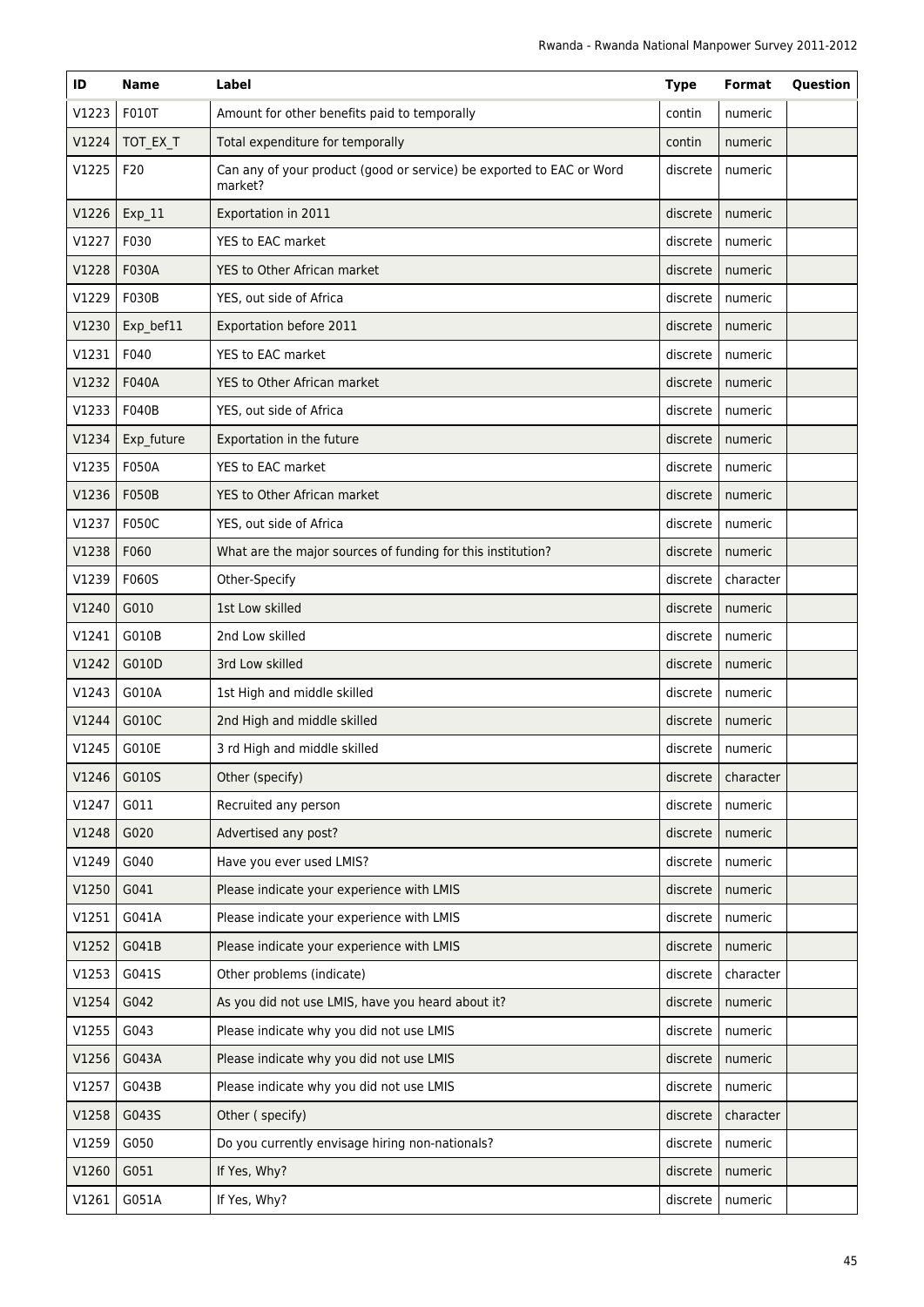| ID    | Name       | Label                                                                           | <b>Type</b> | Format    | Question |
|-------|------------|---------------------------------------------------------------------------------|-------------|-----------|----------|
| V1223 | F010T      | Amount for other benefits paid to temporally                                    | contin      | numeric   |          |
| V1224 | TOT_EX_T   | Total expenditure for temporally                                                | contin      | numeric   |          |
| V1225 | F20        | Can any of your product (good or service) be exported to EAC or Word<br>market? | discrete    | numeric   |          |
| V1226 | $Exp_11$   | Exportation in 2011                                                             | discrete    | numeric   |          |
| V1227 | F030       | YES to EAC market                                                               | discrete    | numeric   |          |
| V1228 | F030A      | YES to Other African market                                                     | discrete    | numeric   |          |
| V1229 | F030B      | YES, out side of Africa                                                         | discrete    | numeric   |          |
| V1230 | Exp_bef11  | Exportation before 2011                                                         | discrete    | numeric   |          |
| V1231 | F040       | YES to EAC market                                                               | discrete    | numeric   |          |
| V1232 | F040A      | YES to Other African market                                                     | discrete    | numeric   |          |
| V1233 | F040B      | YES, out side of Africa                                                         | discrete    | numeric   |          |
| V1234 | Exp_future | Exportation in the future                                                       | discrete    | numeric   |          |
| V1235 | F050A      | YES to EAC market                                                               | discrete    | numeric   |          |
| V1236 | F050B      | YES to Other African market                                                     | discrete    | numeric   |          |
| V1237 | F050C      | YES, out side of Africa                                                         | discrete    | numeric   |          |
| V1238 | F060       | What are the major sources of funding for this institution?                     | discrete    | numeric   |          |
| V1239 | F060S      | Other-Specify                                                                   | discrete    | character |          |
| V1240 | G010       | 1st Low skilled                                                                 | discrete    | numeric   |          |
| V1241 | G010B      | 2nd Low skilled                                                                 | discrete    | numeric   |          |
| V1242 | G010D      | 3rd Low skilled                                                                 | discrete    | numeric   |          |
| V1243 | G010A      | 1st High and middle skilled                                                     | discrete    | numeric   |          |
| V1244 | G010C      | 2nd High and middle skilled                                                     | discrete    | numeric   |          |
| V1245 | G010E      | 3 rd High and middle skilled                                                    | discrete    | numeric   |          |
| V1246 | G010S      | Other (specify)                                                                 | discrete    | character |          |
| V1247 | G011       | Recruited any person                                                            | discrete    | numeric   |          |
| V1248 | G020       | Advertised any post?                                                            | discrete    | numeric   |          |
| V1249 | G040       | Have you ever used LMIS?                                                        | discrete    | numeric   |          |
| V1250 | G041       | Please indicate your experience with LMIS                                       | discrete    | numeric   |          |
| V1251 | G041A      | Please indicate your experience with LMIS                                       | discrete    | numeric   |          |
| V1252 | G041B      | Please indicate your experience with LMIS                                       | discrete    | numeric   |          |
| V1253 | G041S      | Other problems (indicate)                                                       | discrete    | character |          |
| V1254 | G042       | As you did not use LMIS, have you heard about it?                               | discrete    | numeric   |          |
| V1255 | G043       | Please indicate why you did not use LMIS                                        | discrete    | numeric   |          |
| V1256 | G043A      | Please indicate why you did not use LMIS                                        | discrete    | numeric   |          |
| V1257 | G043B      | Please indicate why you did not use LMIS                                        | discrete    | numeric   |          |
| V1258 | G043S      | Other (specify)                                                                 | discrete    | character |          |
| V1259 | G050       | Do you currently envisage hiring non-nationals?                                 | discrete    | numeric   |          |
| V1260 | G051       | If Yes, Why?                                                                    | discrete    | numeric   |          |
| V1261 | G051A      | If Yes, Why?                                                                    | discrete    | numeric   |          |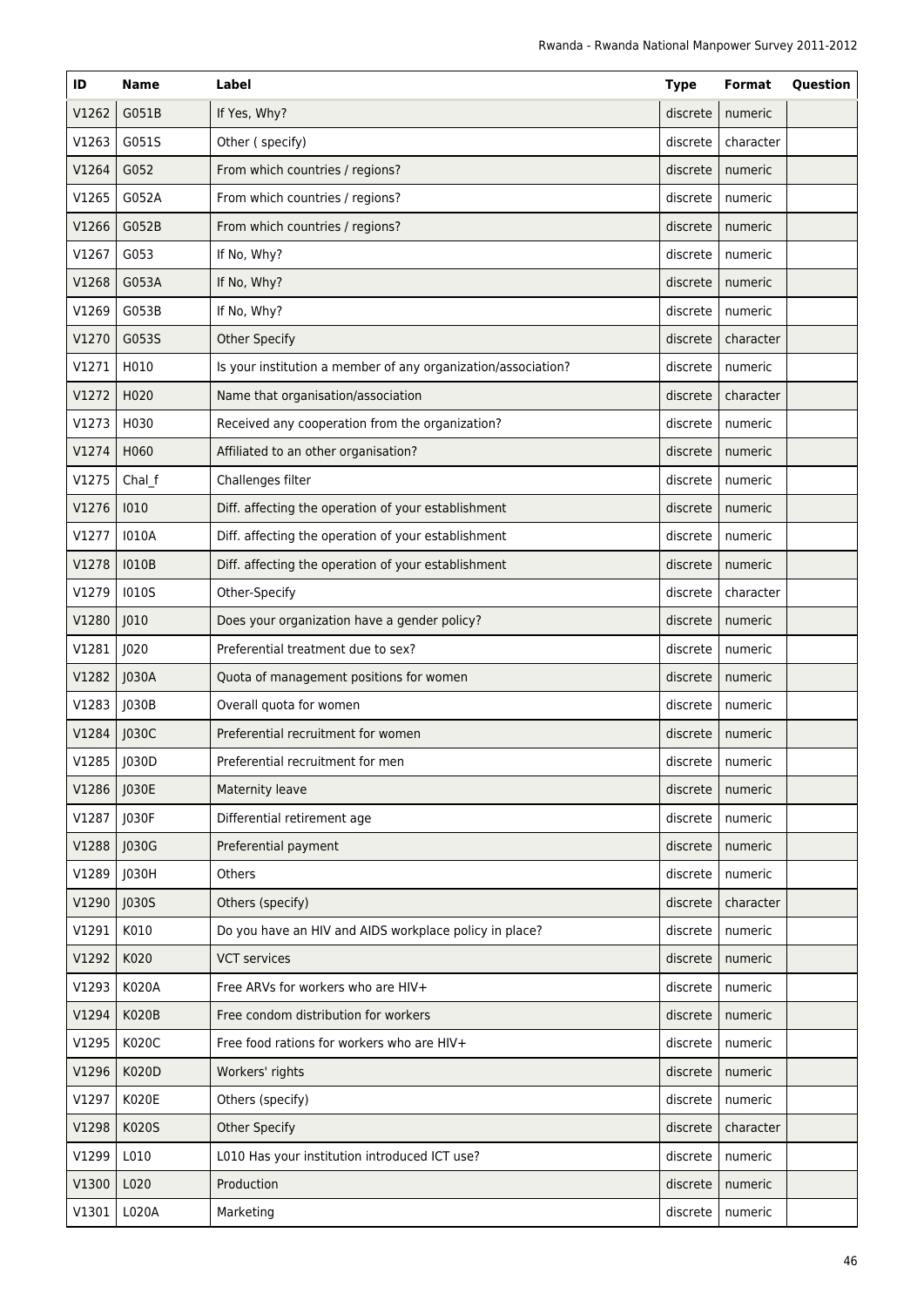| ID            | Name         | Label                                                         | <b>Type</b> | Format    | Question |
|---------------|--------------|---------------------------------------------------------------|-------------|-----------|----------|
| V1262         | G051B        | If Yes, Why?                                                  | discrete    | numeric   |          |
| V1263         | G051S        | Other (specify)                                               | discrete    | character |          |
| V1264         | G052         | From which countries / regions?                               | discrete    | numeric   |          |
| V1265         | G052A        | From which countries / regions?                               | discrete    | numeric   |          |
| V1266         | G052B        | From which countries / regions?                               | discrete    | numeric   |          |
| V1267         | G053         | If No, Why?                                                   | discrete    | numeric   |          |
| V1268         | G053A        | If No, Why?                                                   | discrete    | numeric   |          |
| V1269         | G053B        | If No, Why?                                                   | discrete    | numeric   |          |
| V1270         | G053S        | <b>Other Specify</b>                                          | discrete    | character |          |
| V1271         | H010         | Is your institution a member of any organization/association? | discrete    | numeric   |          |
| V1272         | H020         | Name that organisation/association                            | discrete    | character |          |
| V1273         | H030         | Received any cooperation from the organization?               | discrete    | numeric   |          |
| V1274         | H060         | Affiliated to an other organisation?                          | discrete    | numeric   |          |
| V1275         | Chal_f       | Challenges filter                                             | discrete    | numeric   |          |
| V1276         | 1010         | Diff. affecting the operation of your establishment           | discrete    | numeric   |          |
| V1277         | 1010A        | Diff. affecting the operation of your establishment           | discrete    | numeric   |          |
| V1278         | <b>I010B</b> | Diff. affecting the operation of your establishment           | discrete    | numeric   |          |
| V1279         | <b>1010S</b> | Other-Specify                                                 | discrete    | character |          |
| V1280         | J010         | Does your organization have a gender policy?                  | discrete    | numeric   |          |
| V1281         | JO20         | Preferential treatment due to sex?                            | discrete    | numeric   |          |
| V1282         | J030A        | Quota of management positions for women                       | discrete    | numeric   |          |
| V1283         | J030B        | Overall quota for women                                       | discrete    | numeric   |          |
| V1284         | J030C        | Preferential recruitment for women                            | discrete    | numeric   |          |
| V1285         | J030D        | Preferential recruitment for men                              | discrete    | numeric   |          |
| V1286   J030E |              | Maternity leave                                               | discrete    | numeric   |          |
| V1287   J030F |              | Differential retirement age                                   | discrete    | numeric   |          |
| V1288   J030G |              | Preferential payment                                          | discrete    | numeric   |          |
| V1289         | J030H        | Others                                                        | discrete    | numeric   |          |
| V1290         | J030S        | Others (specify)                                              | discrete    | character |          |
| V1291         | K010         | Do you have an HIV and AIDS workplace policy in place?        | discrete    | numeric   |          |
| V1292         | K020         | <b>VCT</b> services                                           | discrete    | numeric   |          |
| V1293         | K020A        | Free ARVs for workers who are HIV+                            | discrete    | numeric   |          |
| V1294         | <b>K020B</b> | Free condom distribution for workers                          | discrete    | numeric   |          |
| V1295         | K020C        | Free food rations for workers who are HIV+                    | discrete    | numeric   |          |
| V1296         | K020D        | Workers' rights                                               | discrete    | numeric   |          |
| V1297         | K020E        | Others (specify)                                              | discrete    | numeric   |          |
| V1298         | K020S        | Other Specify                                                 | discrete    | character |          |
| V1299         | L010         | L010 Has your institution introduced ICT use?                 | discrete    | numeric   |          |
| V1300         | L020         | Production                                                    | discrete    | numeric   |          |
| V1301         | L020A        | Marketing                                                     | discrete    | numeric   |          |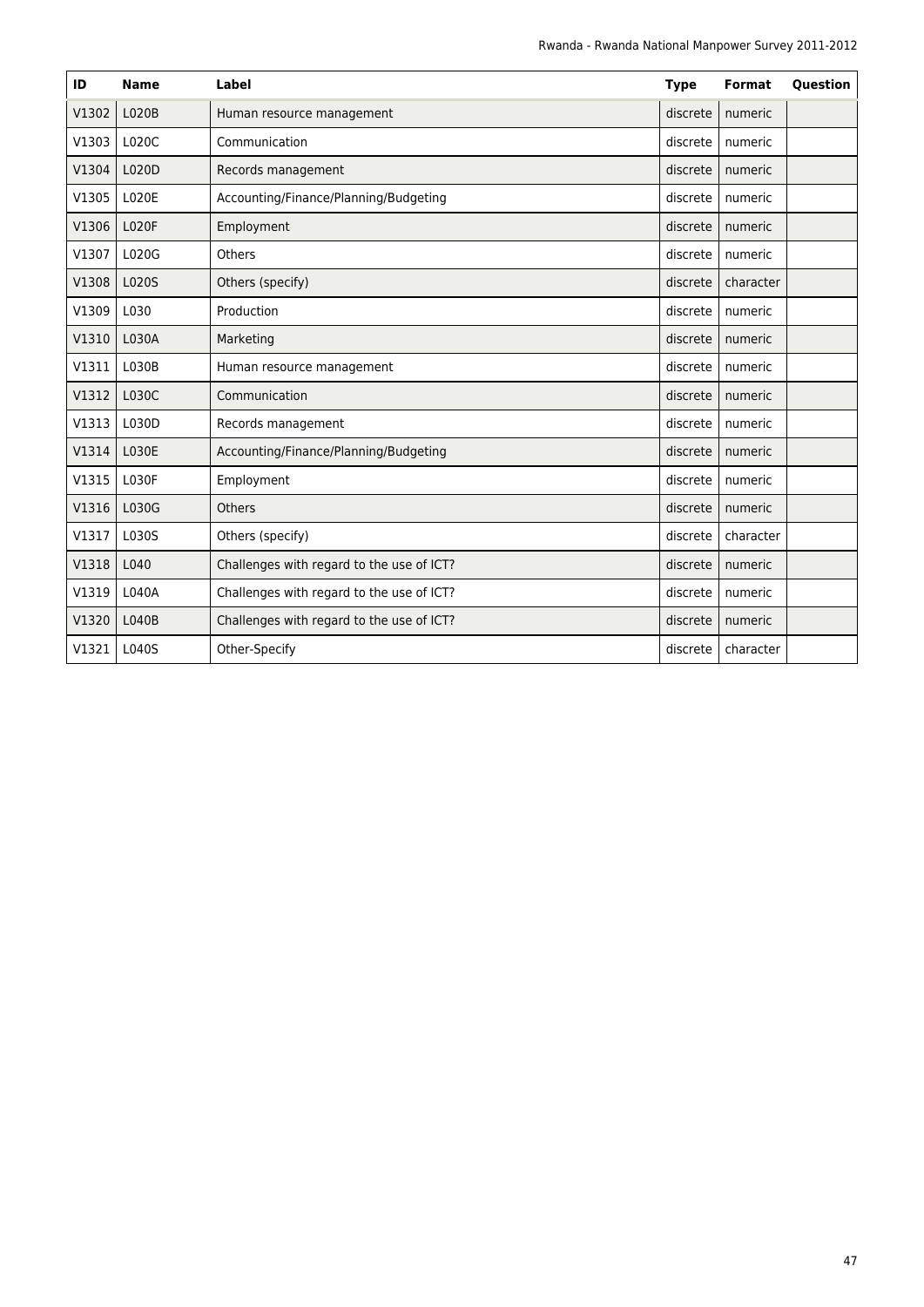| ID    | <b>Name</b> | Label                                     | <b>Type</b> | Format    | Question |
|-------|-------------|-------------------------------------------|-------------|-----------|----------|
| V1302 | L020B       | Human resource management                 | discrete    | numeric   |          |
| V1303 | L020C       | Communication                             | discrete    | numeric   |          |
| V1304 | L020D       | Records management                        | discrete    | numeric   |          |
| V1305 | L020E       | Accounting/Finance/Planning/Budgeting     | discrete    | numeric   |          |
| V1306 | L020F       | Employment                                | discrete    | numeric   |          |
| V1307 | L020G       | Others                                    | discrete    | numeric   |          |
| V1308 | L020S       | Others (specify)                          | discrete    | character |          |
| V1309 | L030        | Production                                | discrete    | numeric   |          |
| V1310 | L030A       | Marketing                                 | discrete    | numeric   |          |
| V1311 | L030B       | Human resource management                 | discrete    | numeric   |          |
| V1312 | L030C       | Communication                             | discrete    | numeric   |          |
| V1313 | L030D       | Records management                        | discrete    | numeric   |          |
| V1314 | L030E       | Accounting/Finance/Planning/Budgeting     | discrete    | numeric   |          |
| V1315 | L030F       | Employment                                | discrete    | numeric   |          |
| V1316 | L030G       | Others                                    | discrete    | numeric   |          |
| V1317 | L030S       | Others (specify)                          | discrete    | character |          |
| V1318 | L040        | Challenges with regard to the use of ICT? | discrete    | numeric   |          |
| V1319 | L040A       | Challenges with regard to the use of ICT? | discrete    | numeric   |          |
| V1320 | L040B       | Challenges with regard to the use of ICT? | discrete    | numeric   |          |
| V1321 | L040S       | Other-Specify                             | discrete    | character |          |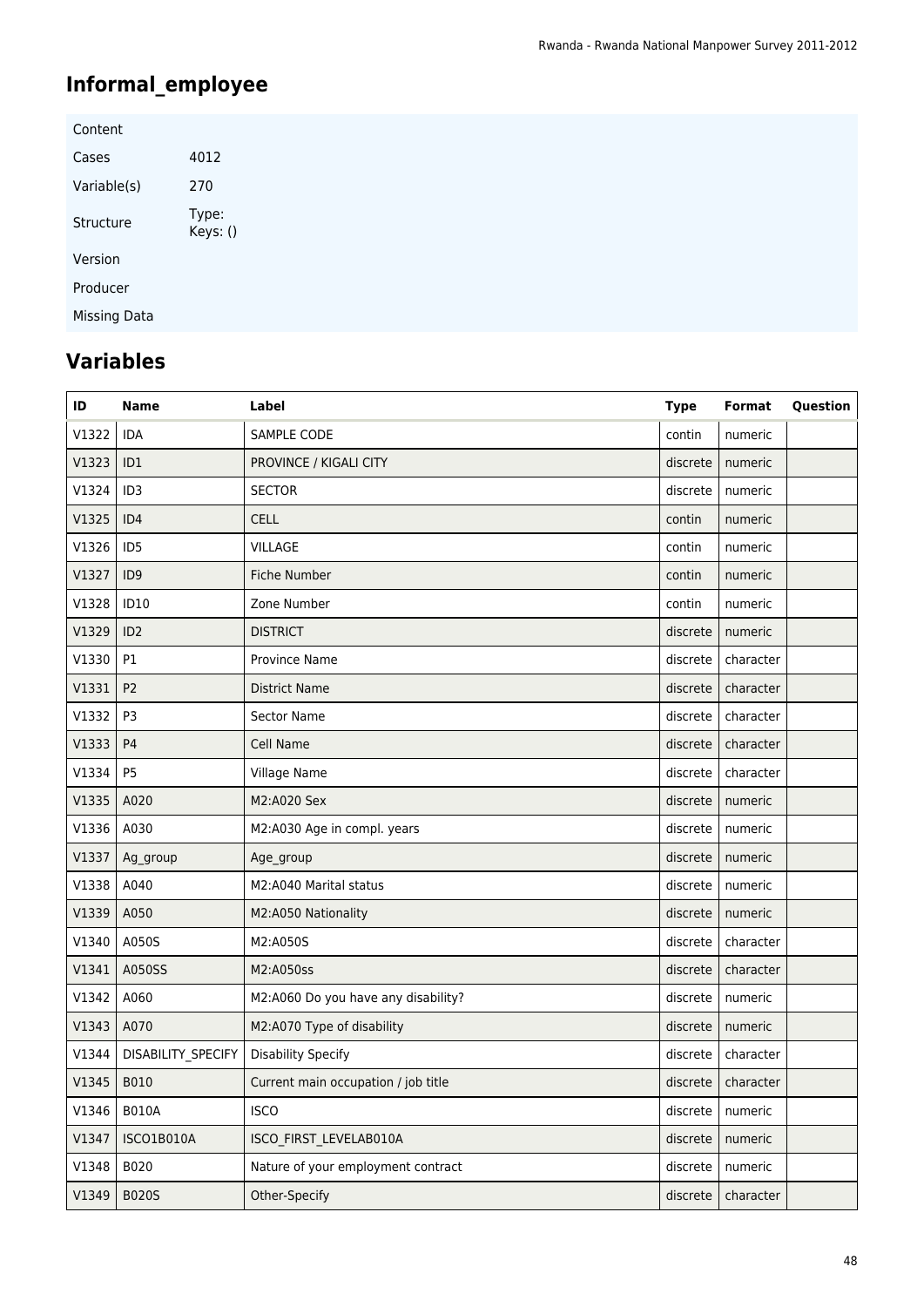# **Informal\_employee**

| Content             |                   |
|---------------------|-------------------|
| Cases               | 4012              |
| Variable(s)         | 270               |
| Structure           | Type:<br>Keys: () |
| Version             |                   |
| Producer            |                   |
| <b>Missing Data</b> |                   |

### **Variables**

| ID    | <b>Name</b>        | Label                               | <b>Type</b> | Format    | Question |
|-------|--------------------|-------------------------------------|-------------|-----------|----------|
| V1322 | <b>IDA</b>         | SAMPLE CODE                         | contin      | numeric   |          |
| V1323 | ID <sub>1</sub>    | PROVINCE / KIGALI CITY              | discrete    | numeric   |          |
| V1324 | ID <sub>3</sub>    | <b>SECTOR</b>                       | discrete    | numeric   |          |
| V1325 | ID4                | <b>CELL</b>                         | contin      | numeric   |          |
| V1326 | ID <sub>5</sub>    | VILLAGE                             | contin      | numeric   |          |
| V1327 | ID <sub>9</sub>    | Fiche Number                        | contin      | numeric   |          |
| V1328 | <b>ID10</b>        | Zone Number                         | contin      | numeric   |          |
| V1329 | ID <sub>2</sub>    | <b>DISTRICT</b>                     | discrete    | numeric   |          |
| V1330 | P1                 | <b>Province Name</b>                | discrete    | character |          |
| V1331 | P <sub>2</sub>     | <b>District Name</b>                | discrete    | character |          |
| V1332 | P <sub>3</sub>     | <b>Sector Name</b>                  | discrete    | character |          |
| V1333 | <b>P4</b>          | Cell Name                           | discrete    | character |          |
| V1334 | P <sub>5</sub>     | Village Name                        | discrete    | character |          |
| V1335 | A020               | M2:A020 Sex                         | discrete    | numeric   |          |
| V1336 | A030               | M2:A030 Age in compl. years         | discrete    | numeric   |          |
| V1337 | Ag_group           | Age_group                           | discrete    | numeric   |          |
| V1338 | A040               | M2:A040 Marital status              | discrete    | numeric   |          |
| V1339 | A050               | M2:A050 Nationality                 | discrete    | numeric   |          |
| V1340 | A050S              | M2:A050S                            | discrete    | character |          |
| V1341 | A050SS             | M2:A050ss                           | discrete    | character |          |
| V1342 | A060               | M2:A060 Do you have any disability? | discrete    | numeric   |          |
| V1343 | A070               | M2:A070 Type of disability          | discrete    | numeric   |          |
| V1344 | DISABILITY_SPECIFY | <b>Disability Specify</b>           | discrete    | character |          |
| V1345 | <b>B010</b>        | Current main occupation / job title | discrete    | character |          |
| V1346 | <b>B010A</b>       | <b>ISCO</b>                         | discrete    | numeric   |          |
| V1347 | <b>ISCO1B010A</b>  | ISCO_FIRST_LEVELAB010A              | discrete    | numeric   |          |
| V1348 | B020               | Nature of your employment contract  | discrete    | numeric   |          |
| V1349 | <b>B020S</b>       | Other-Specify                       | discrete    | character |          |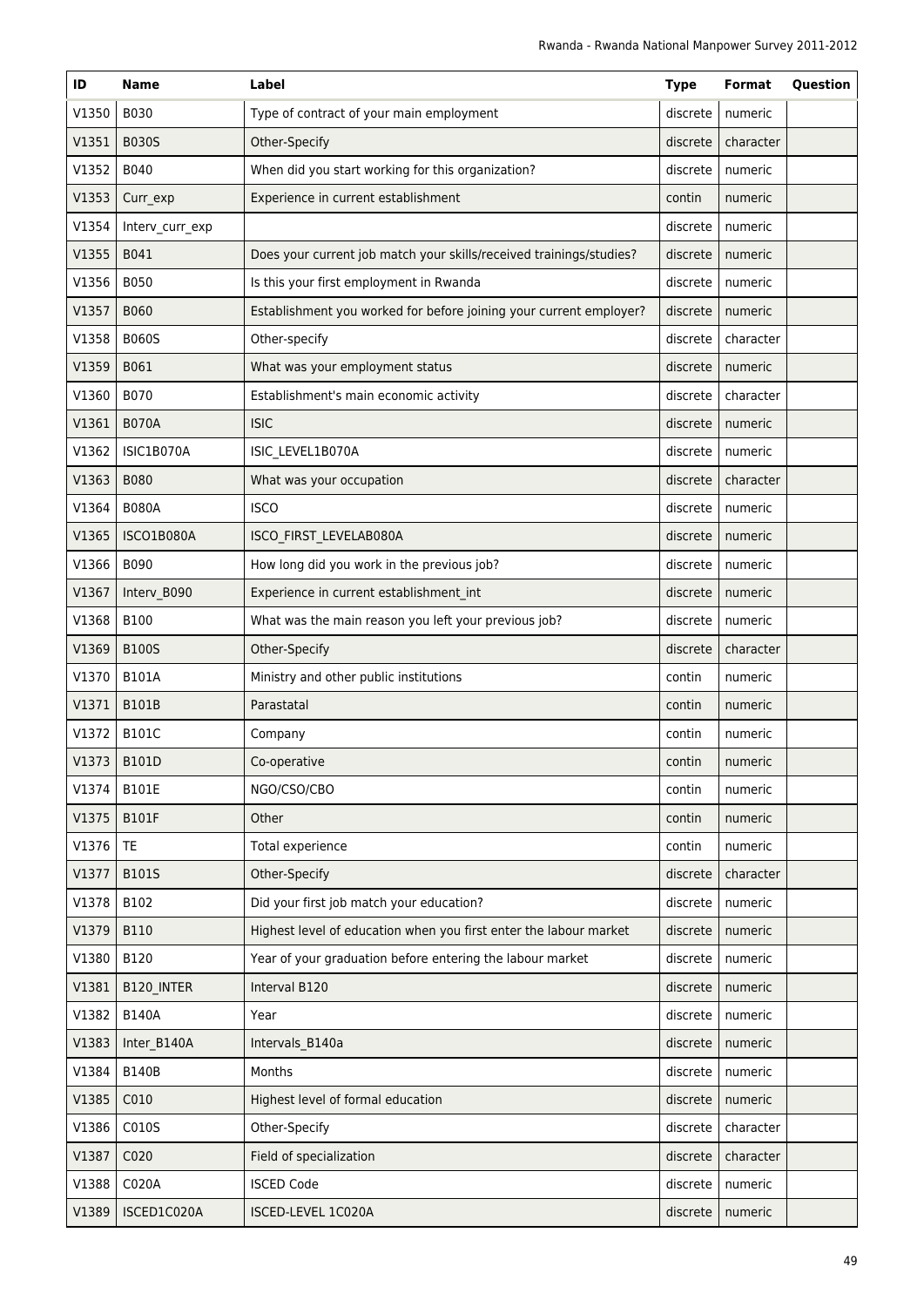| ID    | Name              | Label                                                               | <b>Type</b> | Format    | Question |
|-------|-------------------|---------------------------------------------------------------------|-------------|-----------|----------|
| V1350 | B030              | Type of contract of your main employment                            | discrete    | numeric   |          |
| V1351 | <b>B030S</b>      | Other-Specify                                                       | discrete    | character |          |
| V1352 | B040              | When did you start working for this organization?                   | discrete    | numeric   |          |
| V1353 | Curr_exp          | Experience in current establishment                                 | contin      | numeric   |          |
| V1354 | Interv_curr_exp   |                                                                     | discrete    | numeric   |          |
| V1355 | B041              | Does your current job match your skills/received trainings/studies? | discrete    | numeric   |          |
| V1356 | <b>B050</b>       | Is this your first employment in Rwanda                             | discrete    | numeric   |          |
| V1357 | <b>B060</b>       | Establishment you worked for before joining your current employer?  | discrete    | numeric   |          |
| V1358 | <b>B060S</b>      | Other-specify                                                       | discrete    | character |          |
| V1359 | B061              | What was your employment status                                     | discrete    | numeric   |          |
| V1360 | <b>B070</b>       | Establishment's main economic activity                              | discrete    | character |          |
| V1361 | <b>B070A</b>      | <b>ISIC</b>                                                         | discrete    | numeric   |          |
| V1362 | ISIC1B070A        | ISIC_LEVEL1B070A                                                    | discrete    | numeric   |          |
| V1363 | <b>B080</b>       | What was your occupation                                            | discrete    | character |          |
| V1364 | <b>B080A</b>      | <b>ISCO</b>                                                         | discrete    | numeric   |          |
| V1365 | <b>ISCO1B080A</b> | ISCO_FIRST_LEVELAB080A                                              | discrete    | numeric   |          |
| V1366 | <b>B090</b>       | How long did you work in the previous job?                          | discrete    | numeric   |          |
| V1367 | Interv_B090       | Experience in current establishment_int                             | discrete    | numeric   |          |
| V1368 | <b>B100</b>       | What was the main reason you left your previous job?                | discrete    | numeric   |          |
| V1369 | <b>B100S</b>      | Other-Specify                                                       | discrete    | character |          |
| V1370 | <b>B101A</b>      | Ministry and other public institutions                              | contin      | numeric   |          |
| V1371 | <b>B101B</b>      | Parastatal                                                          | contin      | numeric   |          |
| V1372 | <b>B101C</b>      | Company                                                             | contin      | numeric   |          |
|       | V1373   B101D     | Co-operative                                                        | contin      | numeric   |          |
| V1374 | <b>B101E</b>      | NGO/CSO/CBO                                                         | contin      | numeric   |          |
| V1375 | <b>B101F</b>      | Other                                                               | contin      | numeric   |          |
| V1376 | TE                | Total experience                                                    | contin      | numeric   |          |
| V1377 | <b>B101S</b>      | Other-Specify                                                       | discrete    | character |          |
| V1378 | B102              | Did your first job match your education?                            | discrete    | numeric   |          |
| V1379 | <b>B110</b>       | Highest level of education when you first enter the labour market   | discrete    | numeric   |          |
| V1380 | B120              | Year of your graduation before entering the labour market           | discrete    | numeric   |          |
| V1381 | B120_INTER        | Interval B120                                                       | discrete    | numeric   |          |
| V1382 | <b>B140A</b>      | Year                                                                | discrete    | numeric   |          |
| V1383 | Inter_B140A       | Intervals_B140a                                                     | discrete    | numeric   |          |
| V1384 | <b>B140B</b>      | Months                                                              | discrete    | numeric   |          |
| V1385 | C010              | Highest level of formal education                                   | discrete    | numeric   |          |
| V1386 | C010S             | Other-Specify                                                       | discrete    | character |          |
| V1387 | C020              | Field of specialization                                             | discrete    | character |          |
| V1388 | C020A             | <b>ISCED Code</b>                                                   | discrete    | numeric   |          |
| V1389 | ISCED1C020A       | ISCED-LEVEL 1C020A                                                  | discrete    | numeric   |          |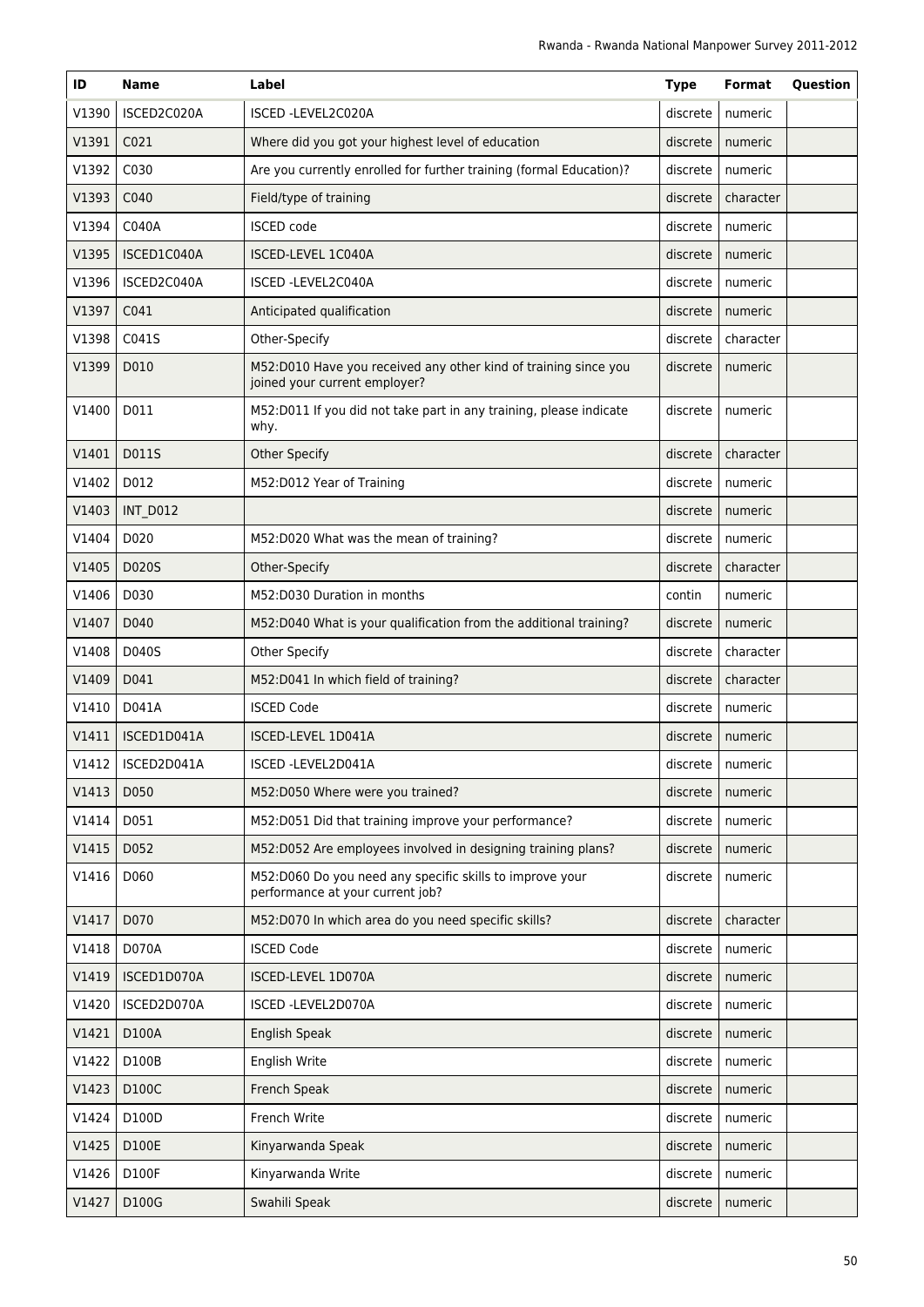| ID    | <b>Name</b>     | Label                                                                                            | <b>Type</b> | <b>Format</b>      | <b>Ouestion</b> |
|-------|-----------------|--------------------------------------------------------------------------------------------------|-------------|--------------------|-----------------|
| V1390 | ISCED2C020A     | ISCED-LEVEL2C020A                                                                                | discrete    | numeric            |                 |
| V1391 | C021            | Where did you got your highest level of education                                                | discrete    | numeric            |                 |
| V1392 | C030            | Are you currently enrolled for further training (formal Education)?                              | discrete    | numeric            |                 |
| V1393 | C040            | Field/type of training                                                                           | discrete    | character          |                 |
| V1394 | C040A           | <b>ISCED</b> code                                                                                | discrete    | numeric            |                 |
| V1395 | ISCED1C040A     | ISCED-LEVEL 1C040A                                                                               | discrete    | numeric            |                 |
| V1396 | ISCED2C040A     | ISCED -LEVEL2C040A                                                                               | discrete    | numeric            |                 |
| V1397 | C041            | Anticipated qualification                                                                        | discrete    | numeric            |                 |
| V1398 | C041S           | Other-Specify                                                                                    | discrete    | character          |                 |
| V1399 | D010            | M52:D010 Have you received any other kind of training since you<br>joined your current employer? | discrete    | numeric            |                 |
| V1400 | D011            | M52:D011 If you did not take part in any training, please indicate<br>why.                       | discrete    | numeric            |                 |
| V1401 | D011S           | <b>Other Specify</b>                                                                             | discrete    | character          |                 |
| V1402 | D012            | M52:D012 Year of Training                                                                        | discrete    | numeric            |                 |
| V1403 | <b>INT D012</b> |                                                                                                  | discrete    | numeric            |                 |
| V1404 | D020            | M52:D020 What was the mean of training?                                                          | discrete    | numeric            |                 |
| V1405 | D020S           | Other-Specify                                                                                    | discrete    | character          |                 |
| V1406 | D030            | M52:D030 Duration in months                                                                      | contin      | numeric            |                 |
| V1407 | D040            | M52:D040 What is your qualification from the additional training?                                | discrete    | numeric            |                 |
| V1408 | D040S           | Other Specify                                                                                    | discrete    | character          |                 |
| V1409 | D041            | M52:D041 In which field of training?                                                             | discrete    | character          |                 |
| V1410 | D041A           | <b>ISCED Code</b>                                                                                | discrete    | numeric            |                 |
| V1411 | ISCED1D041A     | <b>ISCED-LEVEL 1D041A</b>                                                                        | discrete    | numeric            |                 |
| V1412 | ISCED2D041A     | ISCED-LEVEL2D041A                                                                                |             | discrete   numeric |                 |
| V1413 | D050            | M52:D050 Where were you trained?                                                                 | discrete    | numeric            |                 |
| V1414 | D051            | M52:D051 Did that training improve your performance?                                             | discrete    | numeric            |                 |
| V1415 | D052            | M52:D052 Are employees involved in designing training plans?                                     | discrete    | numeric            |                 |
| V1416 | D060            | M52:D060 Do you need any specific skills to improve your<br>performance at your current job?     | discrete    | numeric            |                 |
| V1417 | D070            | M52:D070 In which area do you need specific skills?                                              | discrete    | character          |                 |
| V1418 | D070A           | <b>ISCED Code</b>                                                                                | discrete    | numeric            |                 |
| V1419 | ISCED1D070A     | ISCED-LEVEL 1D070A                                                                               | discrete    | numeric            |                 |
| V1420 | ISCED2D070A     | ISCED -LEVEL2D070A                                                                               | discrete    | numeric            |                 |
| V1421 | D100A           | English Speak                                                                                    | discrete    | numeric            |                 |
| V1422 | D100B           | English Write                                                                                    | discrete    | numeric            |                 |
| V1423 | D100C           | French Speak                                                                                     | discrete    | numeric            |                 |
| V1424 | D100D           | French Write                                                                                     | discrete    | numeric            |                 |
| V1425 | D100E           | Kinyarwanda Speak                                                                                | discrete    | numeric            |                 |
| V1426 | D100F           | Kinyarwanda Write                                                                                | discrete    | numeric            |                 |
| V1427 | D100G           | Swahili Speak                                                                                    | discrete    | numeric            |                 |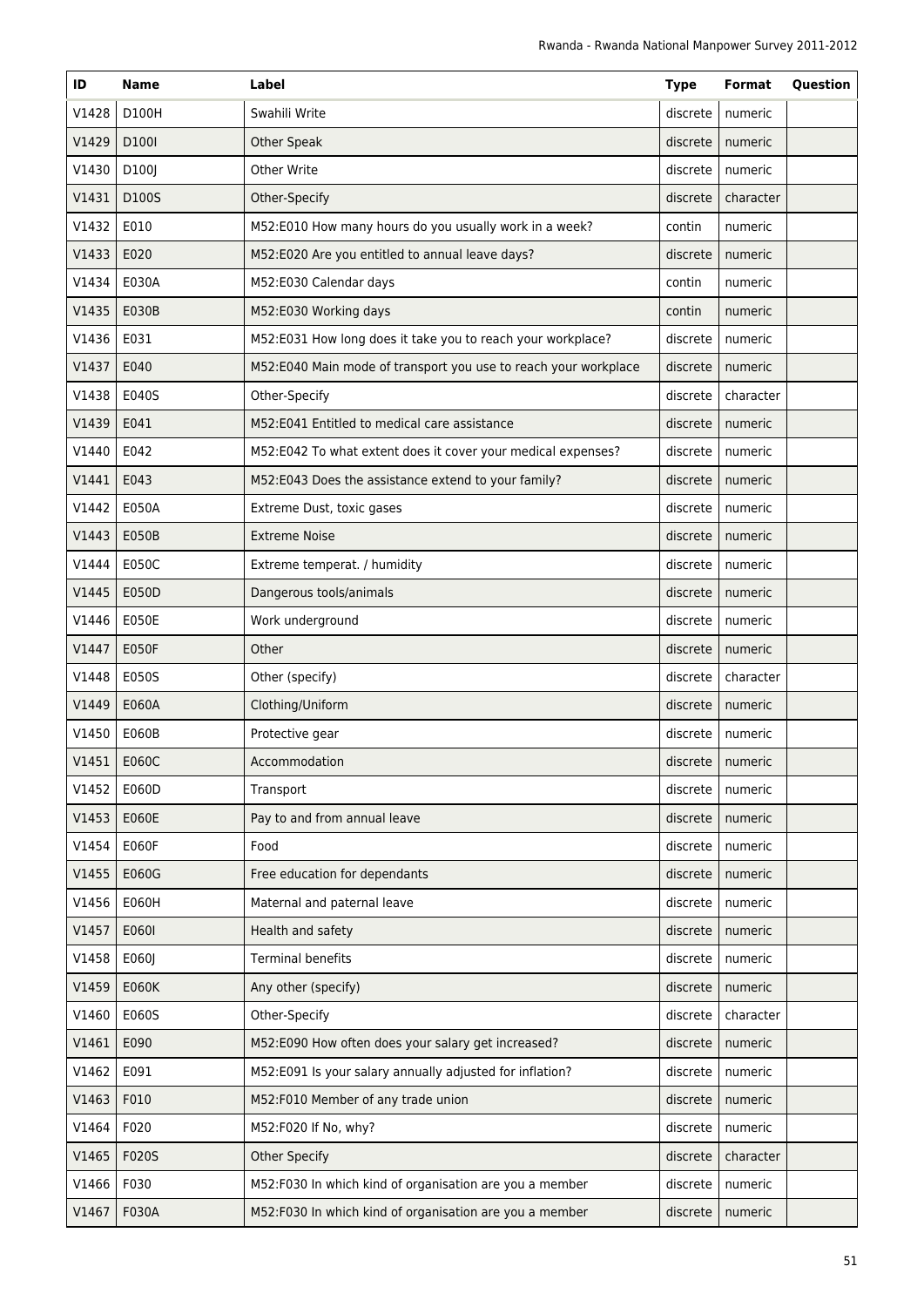| ID    | <b>Name</b>  | Label                                                           | <b>Type</b> | Format             | Question |
|-------|--------------|-----------------------------------------------------------------|-------------|--------------------|----------|
| V1428 | D100H        | Swahili Write                                                   | discrete    | numeric            |          |
| V1429 | D1001        | Other Speak                                                     | discrete    | numeric            |          |
| V1430 | D100J        | Other Write                                                     | discrete    | numeric            |          |
| V1431 | D100S        | Other-Specify                                                   | discrete    | character          |          |
| V1432 | E010         | M52:E010 How many hours do you usually work in a week?          | contin      | numeric            |          |
| V1433 | E020         | M52:E020 Are you entitled to annual leave days?                 | discrete    | numeric            |          |
| V1434 | E030A        | M52:E030 Calendar days                                          | contin      | numeric            |          |
| V1435 | E030B        | M52:E030 Working days                                           | contin      | numeric            |          |
| V1436 | E031         | M52:E031 How long does it take you to reach your workplace?     | discrete    | numeric            |          |
| V1437 | E040         | M52:E040 Main mode of transport you use to reach your workplace | discrete    | numeric            |          |
| V1438 | E040S        | Other-Specify                                                   | discrete    | character          |          |
| V1439 | E041         | M52:E041 Entitled to medical care assistance                    | discrete    | numeric            |          |
| V1440 | E042         | M52:E042 To what extent does it cover your medical expenses?    | discrete    | numeric            |          |
| V1441 | E043         | M52:E043 Does the assistance extend to your family?             | discrete    | numeric            |          |
| V1442 | E050A        | Extreme Dust, toxic gases                                       | discrete    | numeric            |          |
| V1443 | E050B        | <b>Extreme Noise</b>                                            | discrete    | numeric            |          |
| V1444 | E050C        | Extreme temperat. / humidity                                    | discrete    | numeric            |          |
| V1445 | E050D        | Dangerous tools/animals                                         | discrete    | numeric            |          |
| V1446 | E050E        | Work underground                                                | discrete    | numeric            |          |
| V1447 | E050F        | Other                                                           | discrete    | numeric            |          |
| V1448 | E050S        | Other (specify)                                                 | discrete    | character          |          |
| V1449 | E060A        | Clothing/Uniform                                                | discrete    | numeric            |          |
| V1450 | E060B        | Protective gear                                                 | discrete    | numeric            |          |
| V1451 | E060C        | Accommodation                                                   |             | discrete   numeric |          |
| V1452 | E060D        | Transport                                                       | discrete    | numeric            |          |
| V1453 | E060E        | Pay to and from annual leave                                    | discrete    | numeric            |          |
| V1454 | E060F        | Food                                                            | discrete    | numeric            |          |
| V1455 | E060G        | Free education for dependants                                   | discrete    | numeric            |          |
| V1456 | E060H        | Maternal and paternal leave                                     | discrete    | numeric            |          |
| V1457 | E060I        | Health and safety                                               | discrete    | numeric            |          |
| V1458 | E060J        | <b>Terminal benefits</b>                                        | discrete    | numeric            |          |
| V1459 | <b>E060K</b> | Any other (specify)                                             | discrete    | numeric            |          |
| V1460 | E060S        | Other-Specify                                                   | discrete    | character          |          |
| V1461 | E090         | M52:E090 How often does your salary get increased?              | discrete    | numeric            |          |
| V1462 | E091         | M52:E091 Is your salary annually adjusted for inflation?        | discrete    | numeric            |          |
| V1463 | F010         | M52:F010 Member of any trade union                              | discrete    | numeric            |          |
| V1464 | F020         | M52:F020 If No, why?                                            | discrete    | numeric            |          |
| V1465 | F020S        | <b>Other Specify</b>                                            | discrete    | character          |          |
| V1466 | F030         | M52:F030 In which kind of organisation are you a member         | discrete    | numeric            |          |
| V1467 | F030A        | M52:F030 In which kind of organisation are you a member         | discrete    | numeric            |          |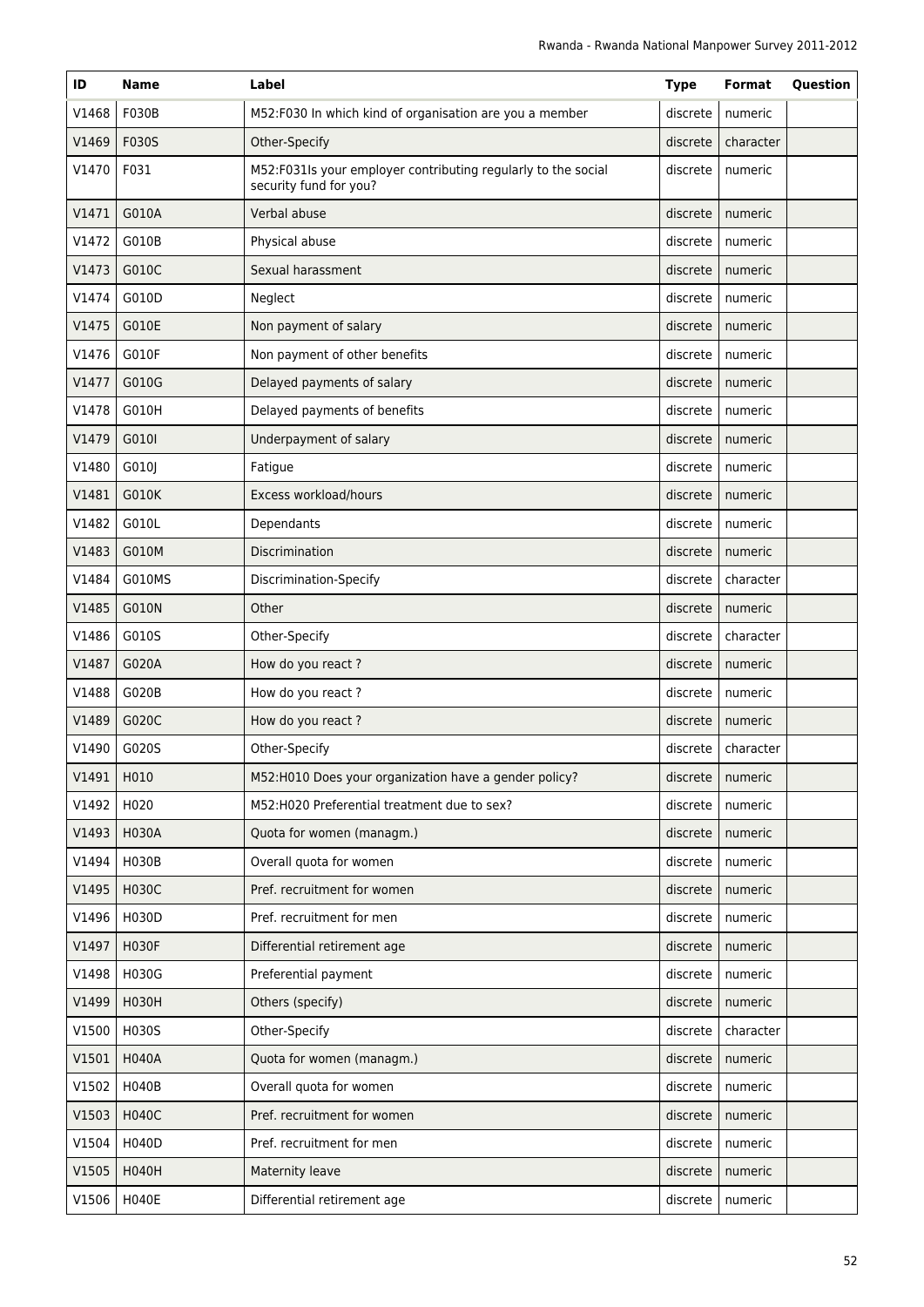| ID    | <b>Name</b>  | Label                                                                                   | <b>Type</b> | Format    | Question |
|-------|--------------|-----------------------------------------------------------------------------------------|-------------|-----------|----------|
| V1468 | F030B        | M52:F030 In which kind of organisation are you a member                                 | discrete    | numeric   |          |
| V1469 | F030S        | Other-Specify                                                                           | discrete    | character |          |
| V1470 | F031         | M52:F031Is your employer contributing regularly to the social<br>security fund for you? | discrete    | numeric   |          |
| V1471 | G010A        | Verbal abuse                                                                            | discrete    | numeric   |          |
| V1472 | G010B        | Physical abuse                                                                          | discrete    | numeric   |          |
| V1473 | G010C        | Sexual harassment                                                                       | discrete    | numeric   |          |
| V1474 | G010D        | Neglect                                                                                 | discrete    | numeric   |          |
| V1475 | G010E        | Non payment of salary                                                                   | discrete    | numeric   |          |
| V1476 | G010F        | Non payment of other benefits                                                           | discrete    | numeric   |          |
| V1477 | G010G        | Delayed payments of salary                                                              | discrete    | numeric   |          |
| V1478 | G010H        | Delayed payments of benefits                                                            | discrete    | numeric   |          |
| V1479 | G010I        | Underpayment of salary                                                                  | discrete    | numeric   |          |
| V1480 | G010J        | Fatigue                                                                                 | discrete    | numeric   |          |
| V1481 | G010K        | Excess workload/hours                                                                   | discrete    | numeric   |          |
| V1482 | G010L        | Dependants                                                                              | discrete    | numeric   |          |
| V1483 | G010M        | Discrimination                                                                          | discrete    | numeric   |          |
| V1484 | G010MS       | Discrimination-Specify                                                                  | discrete    | character |          |
| V1485 | G010N        | Other                                                                                   | discrete    | numeric   |          |
| V1486 | G010S        | Other-Specify                                                                           | discrete    | character |          |
| V1487 | G020A        | How do you react?                                                                       | discrete    | numeric   |          |
| V1488 | G020B        | How do you react?                                                                       | discrete    | numeric   |          |
| V1489 | G020C        | How do you react?                                                                       | discrete    | numeric   |          |
| V1490 | G020S        | Other-Specify                                                                           | discrete    | character |          |
| V1491 | H010         | M52:H010 Does your organization have a gender policy?                                   | discrete    | numeric   |          |
| V1492 | H020         | M52:H020 Preferential treatment due to sex?                                             | discrete    | numeric   |          |
| V1493 | H030A        | Quota for women (managm.)                                                               | discrete    | numeric   |          |
| V1494 | H030B        | Overall quota for women                                                                 | discrete    | numeric   |          |
| V1495 | H030C        | Pref. recruitment for women                                                             | discrete    | numeric   |          |
| V1496 | H030D        | Pref. recruitment for men                                                               | discrete    | numeric   |          |
| V1497 | <b>H030F</b> | Differential retirement age                                                             | discrete    | numeric   |          |
| V1498 | H030G        | Preferential payment                                                                    | discrete    | numeric   |          |
| V1499 | H030H        | Others (specify)                                                                        | discrete    | numeric   |          |
| V1500 | H030S        | Other-Specify                                                                           | discrete    | character |          |
| V1501 | H040A        | Quota for women (managm.)                                                               | discrete    | numeric   |          |
| V1502 | H040B        | Overall quota for women                                                                 | discrete    | numeric   |          |
| V1503 | <b>H040C</b> | Pref. recruitment for women                                                             | discrete    | numeric   |          |
| V1504 | H040D        | Pref. recruitment for men                                                               | discrete    | numeric   |          |
| V1505 | H040H        | Maternity leave                                                                         | discrete    | numeric   |          |
| V1506 | H040E        | Differential retirement age                                                             | discrete    | numeric   |          |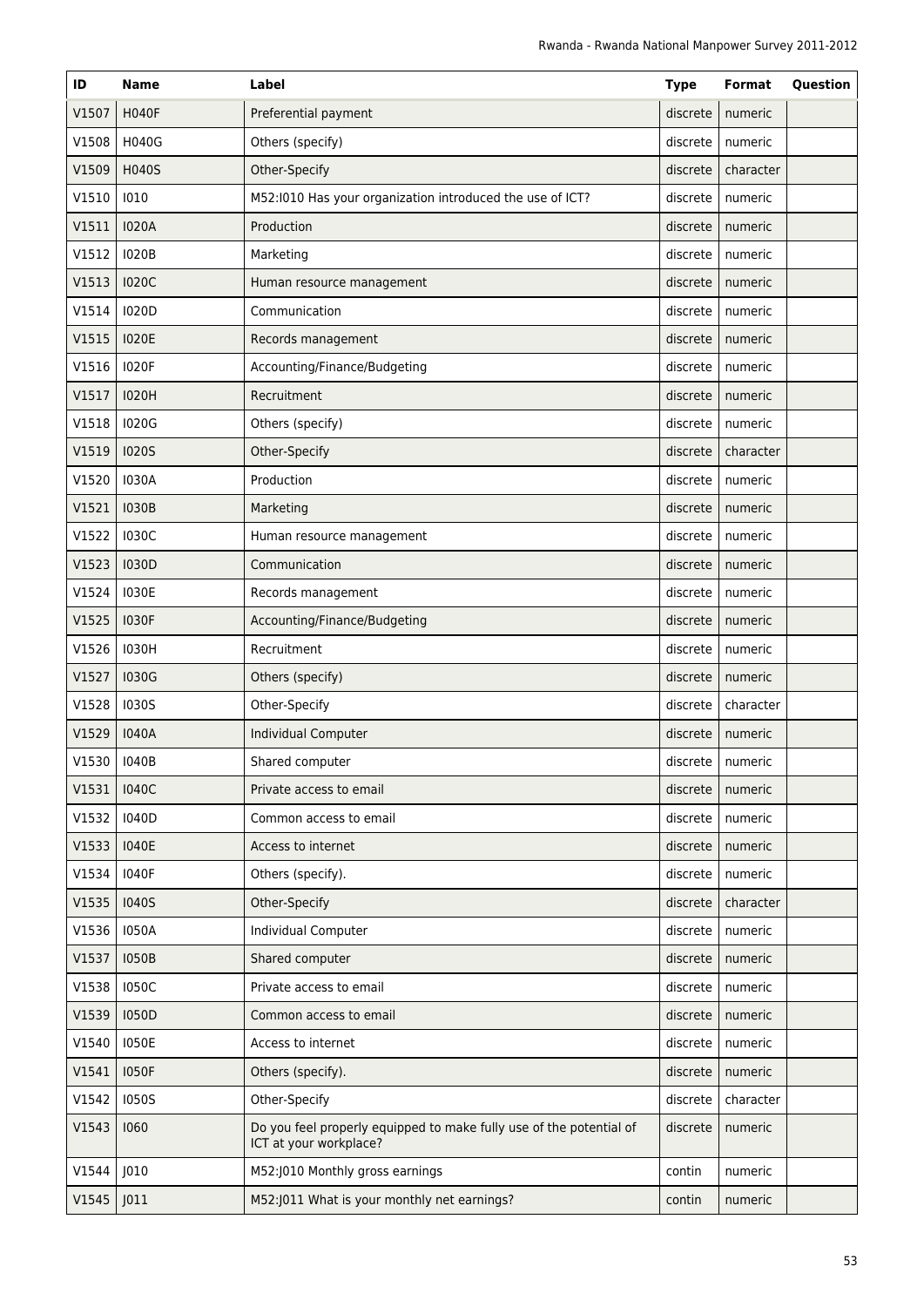| ID    | <b>Name</b>  | Label                                                                                         | <b>Type</b> | Format             | Question |
|-------|--------------|-----------------------------------------------------------------------------------------------|-------------|--------------------|----------|
| V1507 | <b>H040F</b> | Preferential payment                                                                          | discrete    | numeric            |          |
| V1508 | H040G        | Others (specify)                                                                              | discrete    | numeric            |          |
| V1509 | H040S        | Other-Specify                                                                                 | discrete    | character          |          |
| V1510 | 1010         | M52:1010 Has your organization introduced the use of ICT?                                     | discrete    | numeric            |          |
| V1511 | <b>I020A</b> | Production                                                                                    | discrete    | numeric            |          |
| V1512 | <b>I020B</b> | Marketing                                                                                     | discrete    | numeric            |          |
| V1513 | <b>I020C</b> | Human resource management                                                                     | discrete    | numeric            |          |
| V1514 | <b>I020D</b> | Communication                                                                                 | discrete    | numeric            |          |
| V1515 | <b>I020E</b> | Records management                                                                            | discrete    | numeric            |          |
| V1516 | 1020F        | Accounting/Finance/Budgeting                                                                  | discrete    | numeric            |          |
| V1517 | <b>I020H</b> | Recruitment                                                                                   | discrete    | numeric            |          |
| V1518 | <b>I020G</b> | Others (specify)                                                                              | discrete    | numeric            |          |
| V1519 | <b>1020S</b> | Other-Specify                                                                                 | discrete    | character          |          |
| V1520 | 1030A        | Production                                                                                    | discrete    | numeric            |          |
| V1521 | <b>I030B</b> | Marketing                                                                                     | discrete    | numeric            |          |
| V1522 | <b>I030C</b> | Human resource management                                                                     | discrete    | numeric            |          |
| V1523 | <b>I030D</b> | Communication                                                                                 | discrete    | numeric            |          |
| V1524 | 1030E        | Records management                                                                            | discrete    | numeric            |          |
| V1525 | <b>I030F</b> | Accounting/Finance/Budgeting                                                                  | discrete    | numeric            |          |
| V1526 | 1030H        | Recruitment                                                                                   | discrete    | numeric            |          |
| V1527 | <b>I030G</b> | Others (specify)                                                                              | discrete    | numeric            |          |
| V1528 | <b>1030S</b> | Other-Specify                                                                                 | discrete    | character          |          |
| V1529 | <b>I040A</b> | Individual Computer                                                                           | discrete    | numeric            |          |
| V1530 | <b>I040B</b> | Shared computer                                                                               |             | discrete   numeric |          |
| V1531 | <b>I040C</b> | Private access to email                                                                       | discrete    | numeric            |          |
| V1532 | <b>I040D</b> | Common access to email                                                                        | discrete    | numeric            |          |
| V1533 | <b>I040E</b> | Access to internet                                                                            | discrete    | numeric            |          |
| V1534 | <b>I040F</b> | Others (specify).                                                                             | discrete    | numeric            |          |
| V1535 | <b>1040S</b> | Other-Specify                                                                                 | discrete    | character          |          |
| V1536 | <b>I050A</b> | Individual Computer                                                                           | discrete    | numeric            |          |
| V1537 | <b>I050B</b> | Shared computer                                                                               | discrete    | numeric            |          |
| V1538 | <b>1050C</b> | Private access to email                                                                       | discrete    | numeric            |          |
| V1539 | <b>I050D</b> | Common access to email                                                                        | discrete    | numeric            |          |
| V1540 | 1050E        | Access to internet                                                                            | discrete    | numeric            |          |
| V1541 | <b>I050F</b> | Others (specify).                                                                             | discrete    | numeric            |          |
| V1542 | <b>1050S</b> | Other-Specify                                                                                 | discrete    | character          |          |
| V1543 | 1060         | Do you feel properly equipped to make fully use of the potential of<br>ICT at your workplace? | discrete    | numeric            |          |
| V1544 | J010         | M52:J010 Monthly gross earnings                                                               | contin      | numeric            |          |
| V1545 | J011         | M52:J011 What is your monthly net earnings?                                                   | contin      | numeric            |          |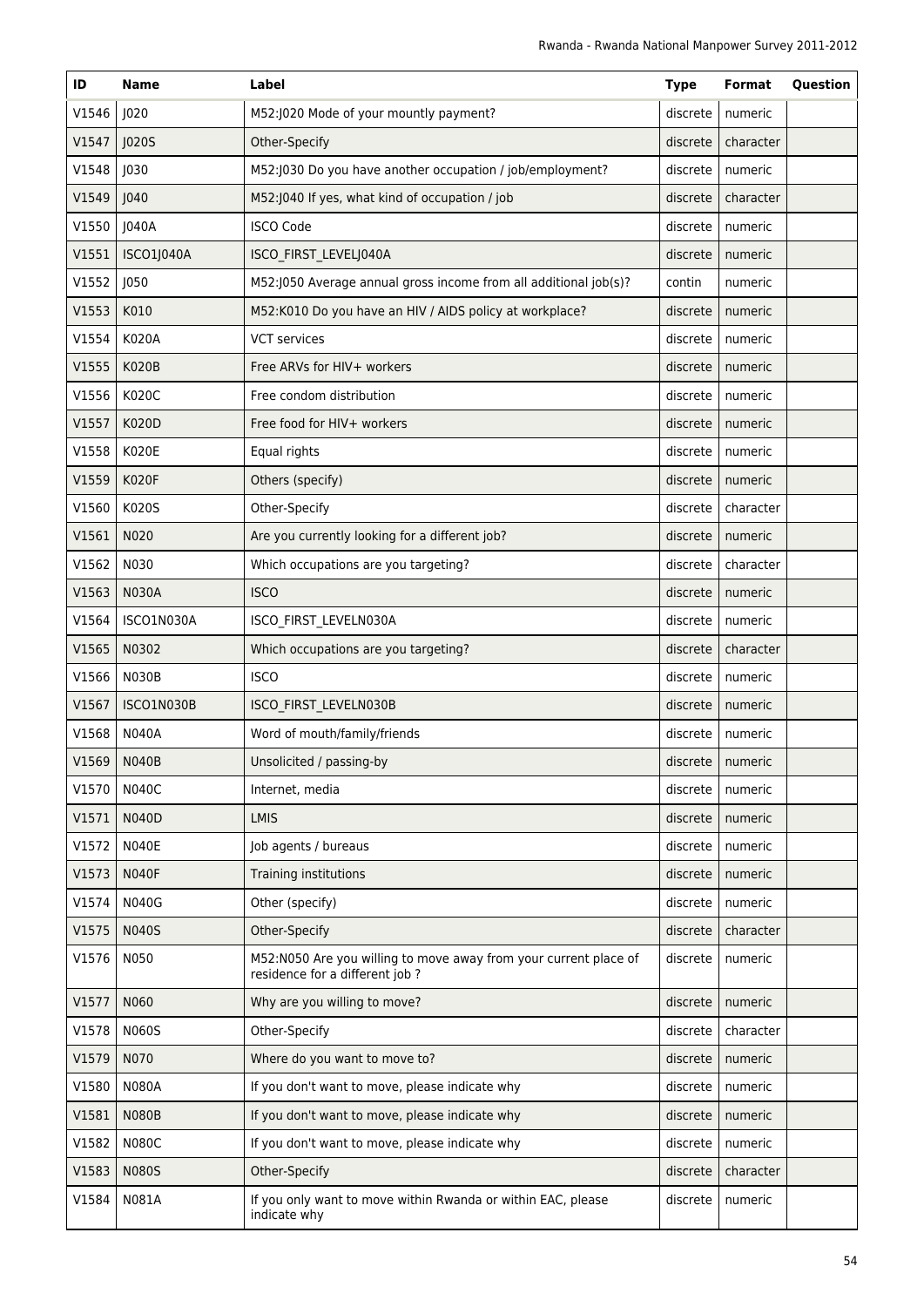| ID    | <b>Name</b>  | Label                                                                                               | <b>Type</b> | Format             | <b>Question</b> |
|-------|--------------|-----------------------------------------------------------------------------------------------------|-------------|--------------------|-----------------|
| V1546 | J020         | M52:J020 Mode of your mountly payment?                                                              | discrete    | numeric            |                 |
| V1547 | J020S        | Other-Specify                                                                                       | discrete    | character          |                 |
| V1548 | JO30         | M52:J030 Do you have another occupation / job/employment?                                           | discrete    | numeric            |                 |
| V1549 | J040         | M52:J040 If yes, what kind of occupation / job                                                      | discrete    | character          |                 |
| V1550 | J040A        | <b>ISCO Code</b>                                                                                    | discrete    | numeric            |                 |
| V1551 | ISCO1J040A   | ISCO_FIRST_LEVELJ040A                                                                               | discrete    | numeric            |                 |
| V1552 | JO50         | M52:J050 Average annual gross income from all additional job(s)?                                    | contin      | numeric            |                 |
| V1553 | K010         | M52:K010 Do you have an HIV / AIDS policy at workplace?                                             | discrete    | numeric            |                 |
| V1554 | K020A        | <b>VCT</b> services                                                                                 | discrete    | numeric            |                 |
| V1555 | <b>K020B</b> | Free ARVs for HIV+ workers                                                                          | discrete    | numeric            |                 |
| V1556 | K020C        | Free condom distribution                                                                            | discrete    | numeric            |                 |
| V1557 | <b>K020D</b> | Free food for HIV+ workers                                                                          | discrete    | numeric            |                 |
| V1558 | K020E        | Equal rights                                                                                        | discrete    | numeric            |                 |
| V1559 | <b>K020F</b> | Others (specify)                                                                                    | discrete    | numeric            |                 |
| V1560 | K020S        | Other-Specify                                                                                       | discrete    | character          |                 |
| V1561 | N020         | Are you currently looking for a different job?                                                      | discrete    | numeric            |                 |
| V1562 | N030         | Which occupations are you targeting?                                                                | discrete    | character          |                 |
| V1563 | <b>N030A</b> | <b>ISCO</b>                                                                                         | discrete    | numeric            |                 |
| V1564 | ISCO1N030A   | ISCO_FIRST_LEVELN030A                                                                               | discrete    | numeric            |                 |
| V1565 | N0302        | Which occupations are you targeting?                                                                | discrete    | character          |                 |
| V1566 | <b>N030B</b> | <b>ISCO</b>                                                                                         | discrete    | numeric            |                 |
| V1567 | ISCO1N030B   | ISCO_FIRST_LEVELN030B                                                                               | discrete    | numeric            |                 |
| V1568 | <b>N040A</b> | Word of mouth/family/friends                                                                        | discrete    | numeric            |                 |
| V1569 | <b>N040B</b> | Unsolicited / passing-by                                                                            |             | discrete   numeric |                 |
| V1570 | <b>N040C</b> | Internet, media                                                                                     | discrete    | numeric            |                 |
| V1571 | <b>N040D</b> | <b>LMIS</b>                                                                                         | discrete    | numeric            |                 |
| V1572 | <b>N040E</b> | Job agents / bureaus                                                                                | discrete    | numeric            |                 |
| V1573 | <b>N040F</b> | Training institutions                                                                               | discrete    | numeric            |                 |
| V1574 | <b>N040G</b> | Other (specify)                                                                                     | discrete    | numeric            |                 |
| V1575 | <b>N040S</b> | Other-Specify                                                                                       | discrete    | character          |                 |
| V1576 | N050         | M52:N050 Are you willing to move away from your current place of<br>residence for a different job ? | discrete    | numeric            |                 |
| V1577 | N060         | Why are you willing to move?                                                                        | discrete    | numeric            |                 |
| V1578 | <b>N060S</b> | Other-Specify                                                                                       | discrete    | character          |                 |
| V1579 | N070         | Where do you want to move to?                                                                       | discrete    | numeric            |                 |
| V1580 | <b>N080A</b> | If you don't want to move, please indicate why                                                      | discrete    | numeric            |                 |
| V1581 | <b>N080B</b> | If you don't want to move, please indicate why                                                      | discrete    | numeric            |                 |
| V1582 | <b>N080C</b> | If you don't want to move, please indicate why                                                      | discrete    | numeric            |                 |
| V1583 | <b>N080S</b> | Other-Specify                                                                                       | discrete    | character          |                 |
| V1584 | N081A        | If you only want to move within Rwanda or within EAC, please<br>indicate why                        | discrete    | numeric            |                 |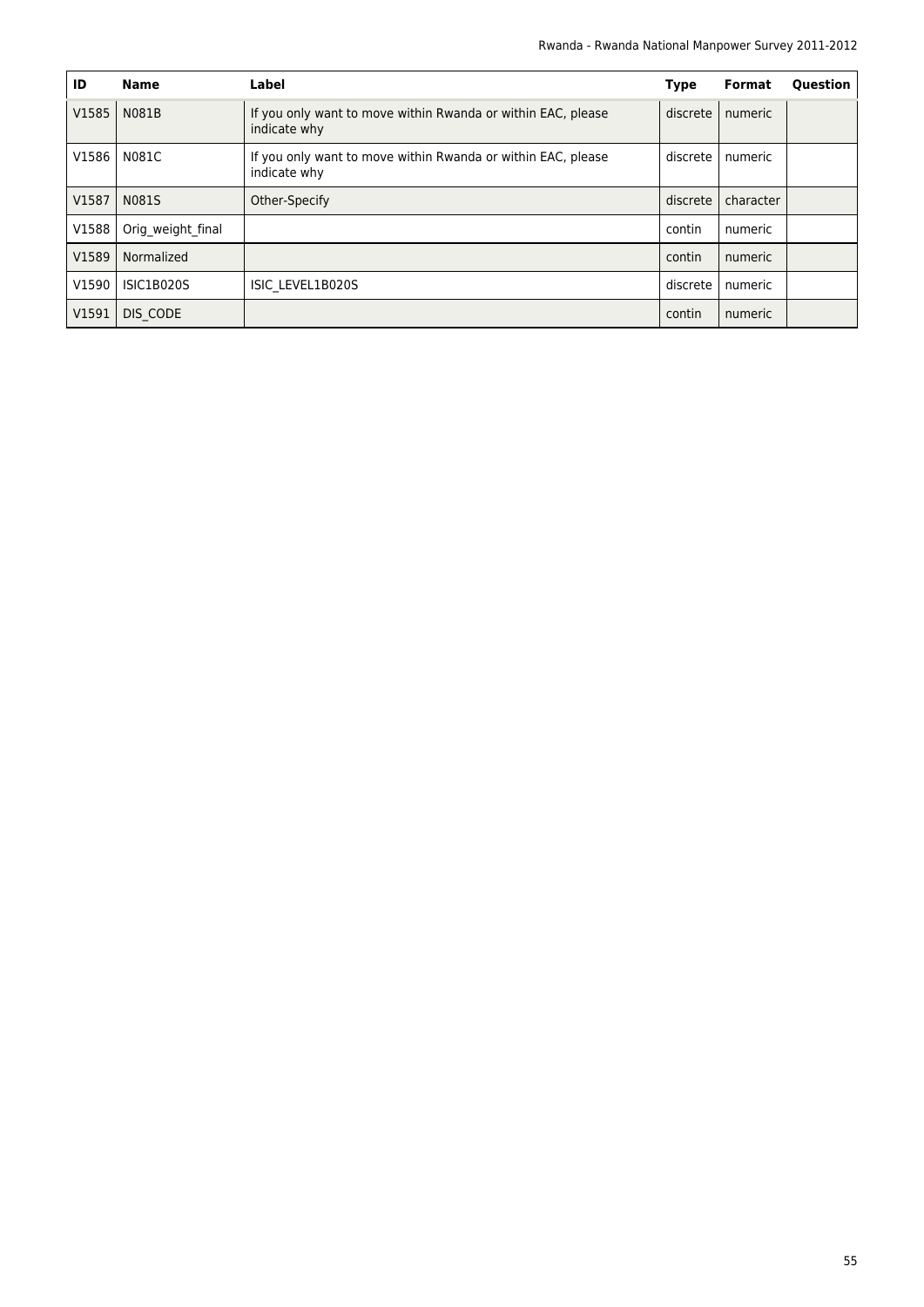| ID    | <b>Name</b>       | Label                                                                        | <b>Type</b> | Format    | Question |
|-------|-------------------|------------------------------------------------------------------------------|-------------|-----------|----------|
| V1585 | <b>N081B</b>      | If you only want to move within Rwanda or within EAC, please<br>indicate why | discrete    | numeric   |          |
| V1586 | N081C             | If you only want to move within Rwanda or within EAC, please<br>indicate why | discrete    | numeric   |          |
| V1587 | N081S             | Other-Specify                                                                | discrete    | character |          |
| V1588 | Orig weight final |                                                                              | contin      | numeric   |          |
| V1589 | Normalized        |                                                                              | contin      | numeric   |          |
| V1590 | ISIC1B020S        | ISIC LEVEL1B020S                                                             | discrete    | numeric   |          |
| V1591 | DIS CODE          |                                                                              | contin      | numeric   |          |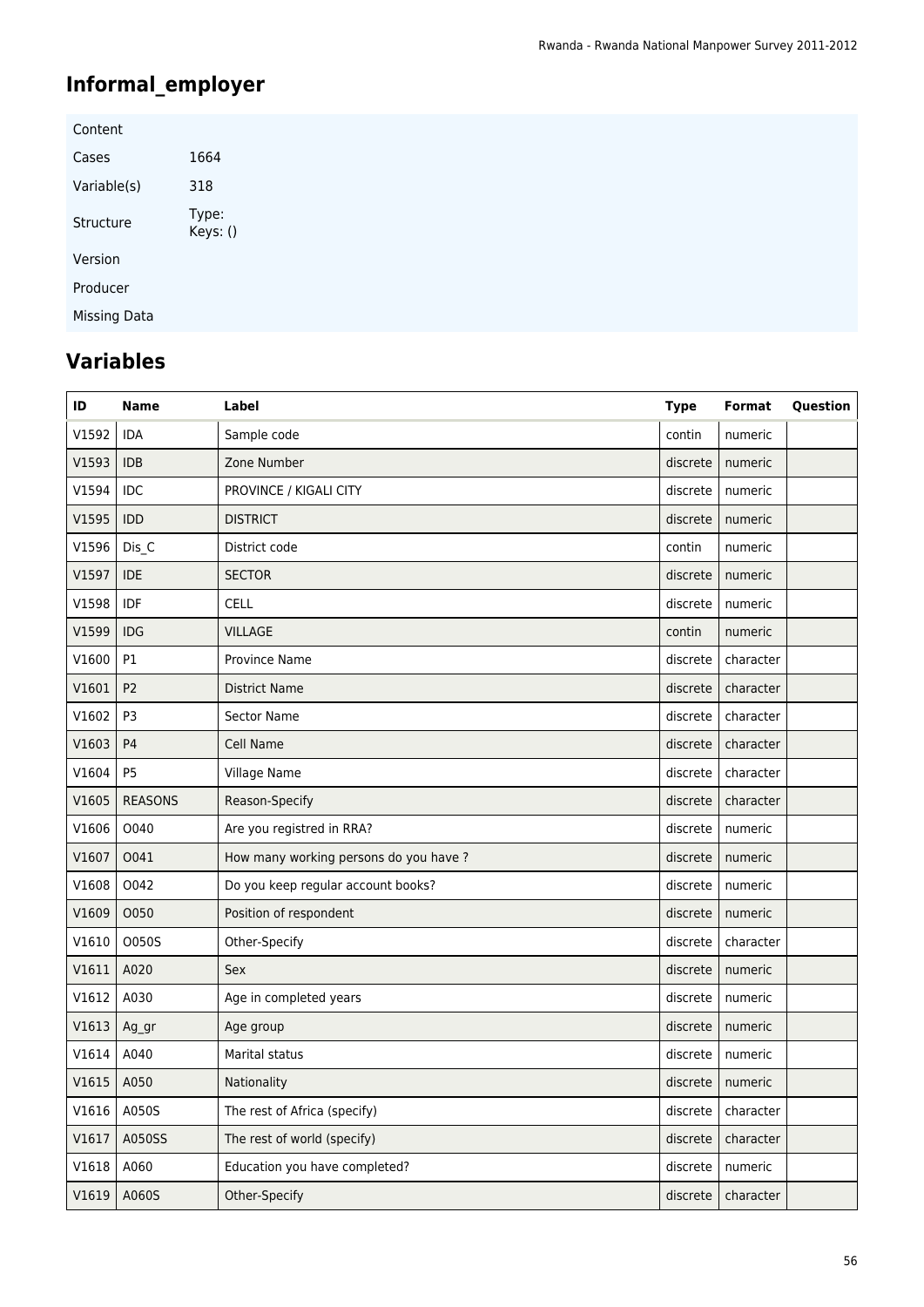# **Informal\_employer**

| Content      |                   |
|--------------|-------------------|
| Cases        | 1664              |
| Variable(s)  | 318               |
| Structure    | Type:<br>Keys: () |
| Version      |                   |
| Producer     |                   |
| Missing Data |                   |

## **Variables**

| ID    | <b>Name</b>    | Label                                  | <b>Type</b> | <b>Format</b>      | Question |
|-------|----------------|----------------------------------------|-------------|--------------------|----------|
| V1592 | <b>IDA</b>     | Sample code                            | contin      | numeric            |          |
| V1593 | <b>IDB</b>     | Zone Number                            | discrete    | numeric            |          |
| V1594 | <b>IDC</b>     | PROVINCE / KIGALI CITY                 | discrete    | numeric            |          |
| V1595 | IDD            | <b>DISTRICT</b>                        | discrete    | numeric            |          |
| V1596 | Dis_C          | District code                          | contin      | numeric            |          |
| V1597 | <b>IDE</b>     | <b>SECTOR</b>                          | discrete    | numeric            |          |
| V1598 | <b>IDF</b>     | <b>CELL</b>                            | discrete    | numeric            |          |
| V1599 | <b>IDG</b>     | <b>VILLAGE</b>                         | contin      | numeric            |          |
| V1600 | P1             | <b>Province Name</b>                   | discrete    | character          |          |
| V1601 | P <sub>2</sub> | <b>District Name</b>                   | discrete    | character          |          |
| V1602 | P <sub>3</sub> | Sector Name                            | discrete    | character          |          |
| V1603 | <b>P4</b>      | Cell Name                              | discrete    | character          |          |
| V1604 | <b>P5</b>      | Village Name                           | discrete    | character          |          |
| V1605 | <b>REASONS</b> | Reason-Specify                         | discrete    | character          |          |
| V1606 | O040           | Are you registred in RRA?              | discrete    | numeric            |          |
| V1607 | 0041           | How many working persons do you have ? | discrete    | numeric            |          |
| V1608 | 0042           | Do you keep regular account books?     | discrete    | numeric            |          |
| V1609 | O050           | Position of respondent                 | discrete    | numeric            |          |
| V1610 | O050S          | Other-Specify                          | discrete    | character          |          |
| V1611 | A020           | Sex                                    | discrete    | numeric            |          |
| V1612 | A030           | Age in completed years                 | discrete    | numeric            |          |
| V1613 | Ag_gr          | Age group                              | discrete    | numeric            |          |
| V1614 | A040           | Marital status                         | discrete    | numeric            |          |
| V1615 | A050           | Nationality                            |             | discrete   numeric |          |
| V1616 | A050S          | The rest of Africa (specify)           | discrete    | character          |          |
| V1617 | A050SS         | The rest of world (specify)            | discrete    | character          |          |
| V1618 | A060           | Education you have completed?          | discrete    | numeric            |          |
| V1619 | A060S          | Other-Specify                          | discrete    | character          |          |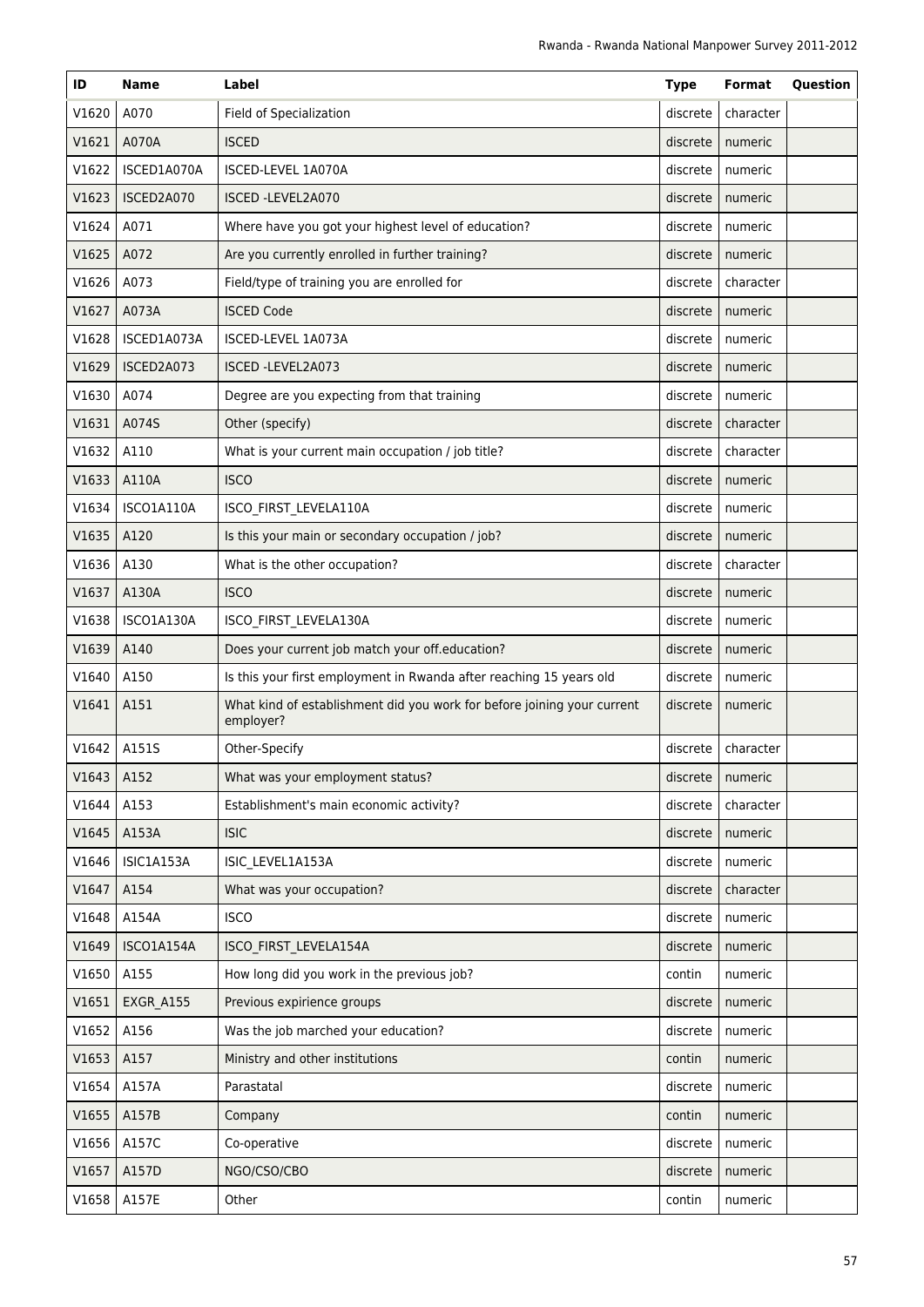| ID    | <b>Name</b>      | Label                                                                                | <b>Type</b> | <b>Format</b> | Question |
|-------|------------------|--------------------------------------------------------------------------------------|-------------|---------------|----------|
| V1620 | A070             | Field of Specialization                                                              | discrete    | character     |          |
| V1621 | A070A            | <b>ISCED</b>                                                                         | discrete    | numeric       |          |
| V1622 | ISCED1A070A      | ISCED-LEVEL 1A070A                                                                   | discrete    | numeric       |          |
| V1623 | ISCED2A070       | ISCED -LEVEL2A070                                                                    | discrete    | numeric       |          |
| V1624 | A071             | Where have you got your highest level of education?                                  | discrete    | numeric       |          |
| V1625 | A072             | Are you currently enrolled in further training?                                      | discrete    | numeric       |          |
| V1626 | A073             | Field/type of training you are enrolled for                                          | discrete    | character     |          |
| V1627 | A073A            | <b>ISCED Code</b>                                                                    | discrete    | numeric       |          |
| V1628 | ISCED1A073A      | ISCED-LEVEL 1A073A                                                                   | discrete    | numeric       |          |
| V1629 | ISCED2A073       | ISCED -LEVEL2A073                                                                    | discrete    | numeric       |          |
| V1630 | A074             | Degree are you expecting from that training                                          | discrete    | numeric       |          |
| V1631 | A074S            | Other (specify)                                                                      | discrete    | character     |          |
| V1632 | A110             | What is your current main occupation / job title?                                    | discrete    | character     |          |
| V1633 | A110A            | <b>ISCO</b>                                                                          | discrete    | numeric       |          |
| V1634 | ISCO1A110A       | ISCO FIRST LEVELA110A                                                                | discrete    | numeric       |          |
| V1635 | A120             | Is this your main or secondary occupation / job?                                     | discrete    | numeric       |          |
| V1636 | A130             | What is the other occupation?                                                        | discrete    | character     |          |
| V1637 | A130A            | <b>ISCO</b>                                                                          | discrete    | numeric       |          |
| V1638 | ISCO1A130A       | ISCO_FIRST_LEVELA130A                                                                | discrete    | numeric       |          |
| V1639 | A140             | Does your current job match your off.education?                                      | discrete    | numeric       |          |
| V1640 | A150             | Is this your first employment in Rwanda after reaching 15 years old                  | discrete    | numeric       |          |
| V1641 | A151             | What kind of establishment did you work for before joining your current<br>employer? | discrete    | numeric       |          |
| V1642 | A151S            | Other-Specify                                                                        | discrete    | character     |          |
| V1643 | A152             | What was your employment status?                                                     | discrete    | numeric       |          |
| V1644 | A153             | Establishment's main economic activity?                                              | discrete    | character     |          |
| V1645 | A153A            | <b>ISIC</b>                                                                          | discrete    | numeric       |          |
| V1646 | ISIC1A153A       | ISIC LEVEL1A153A                                                                     | discrete    | numeric       |          |
| V1647 | A154             | What was your occupation?                                                            | discrete    | character     |          |
| V1648 | A154A            | <b>ISCO</b>                                                                          | discrete    | numeric       |          |
| V1649 | ISCO1A154A       | ISCO FIRST LEVELA154A                                                                | discrete    | numeric       |          |
| V1650 | A155             | How long did you work in the previous job?                                           | contin      | numeric       |          |
| V1651 | <b>EXGR_A155</b> | Previous expirience groups                                                           | discrete    | numeric       |          |
| V1652 | A156             | Was the job marched your education?                                                  | discrete    | numeric       |          |
| V1653 | A157             | Ministry and other institutions                                                      | contin      | numeric       |          |
| V1654 | A157A            | Parastatal                                                                           | discrete    | numeric       |          |
| V1655 | A157B            | Company                                                                              | contin      | numeric       |          |
| V1656 | A157C            | Co-operative                                                                         | discrete    | numeric       |          |
| V1657 | A157D            | NGO/CSO/CBO                                                                          | discrete    | numeric       |          |
| V1658 | A157E            | Other                                                                                | contin      | numeric       |          |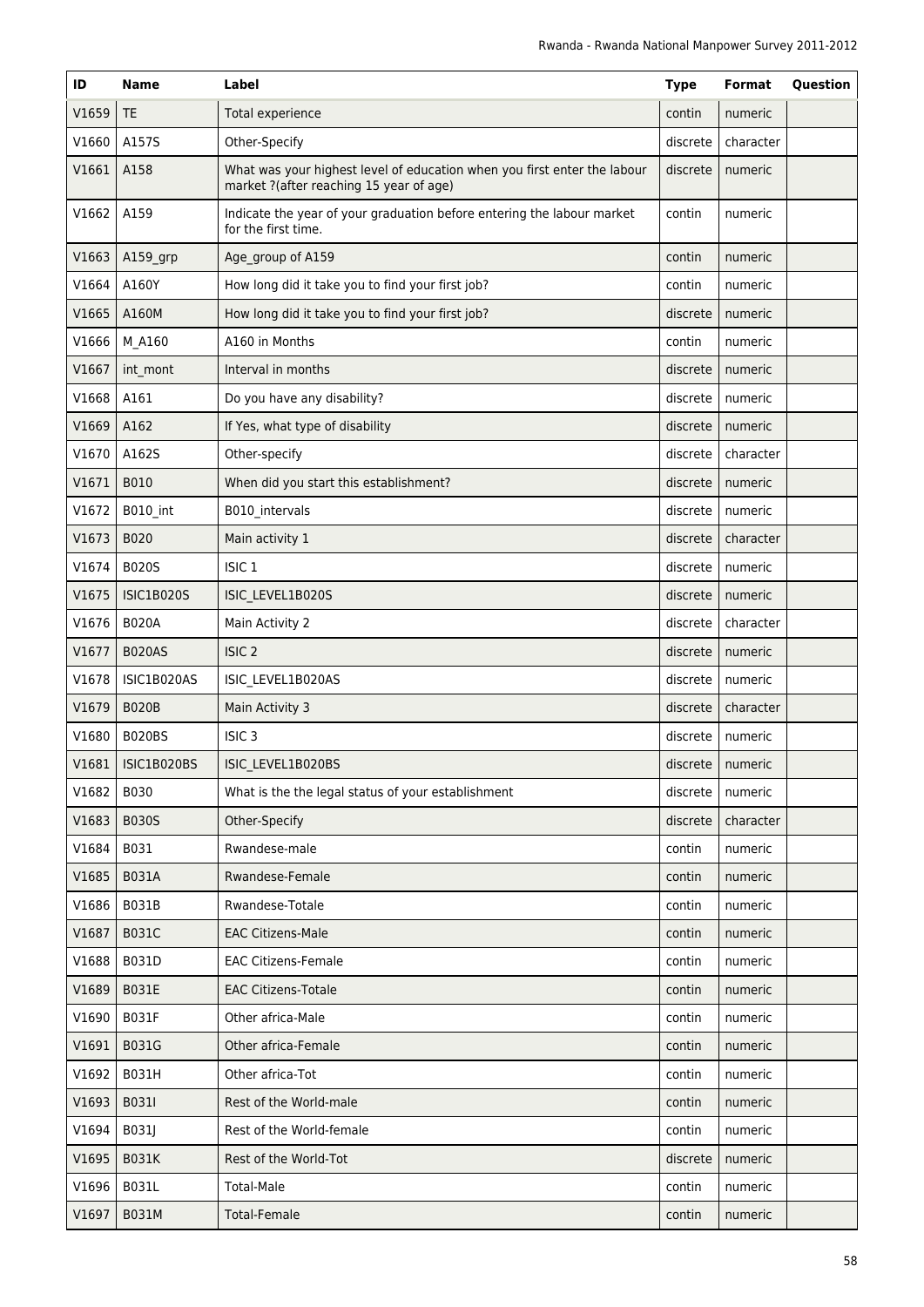| ID    | <b>Name</b>       | Label                                                                                                               | <b>Type</b> | <b>Format</b>      | Question |
|-------|-------------------|---------------------------------------------------------------------------------------------------------------------|-------------|--------------------|----------|
| V1659 | <b>TE</b>         | Total experience                                                                                                    | contin      | numeric            |          |
| V1660 | A157S             | Other-Specify                                                                                                       | discrete    | character          |          |
| V1661 | A158              | What was your highest level of education when you first enter the labour<br>market ?(after reaching 15 year of age) | discrete    | numeric            |          |
| V1662 | A159              | Indicate the year of your graduation before entering the labour market<br>for the first time.                       | contin      | numeric            |          |
| V1663 | A159_grp          | Age_group of A159                                                                                                   | contin      | numeric            |          |
| V1664 | A160Y             | How long did it take you to find your first job?                                                                    | contin      | numeric            |          |
| V1665 | A160M             | How long did it take you to find your first job?                                                                    | discrete    | numeric            |          |
| V1666 | M A160            | A160 in Months                                                                                                      | contin      | numeric            |          |
| V1667 | int_mont          | Interval in months                                                                                                  | discrete    | numeric            |          |
| V1668 | A161              | Do you have any disability?                                                                                         | discrete    | numeric            |          |
| V1669 | A162              | If Yes, what type of disability                                                                                     | discrete    | numeric            |          |
| V1670 | A162S             | Other-specify                                                                                                       | discrete    | character          |          |
| V1671 | <b>B010</b>       | When did you start this establishment?                                                                              | discrete    | numeric            |          |
| V1672 | <b>B010_int</b>   | B010_intervals                                                                                                      | discrete    | numeric            |          |
| V1673 | <b>B020</b>       | Main activity 1                                                                                                     | discrete    | character          |          |
| V1674 | <b>B020S</b>      | ISIC <sub>1</sub>                                                                                                   | discrete    | numeric            |          |
| V1675 | <b>ISIC1B020S</b> | ISIC_LEVEL1B020S                                                                                                    | discrete    | numeric            |          |
| V1676 | <b>B020A</b>      | Main Activity 2                                                                                                     | discrete    | character          |          |
| V1677 | <b>B020AS</b>     | ISIC <sub>2</sub>                                                                                                   | discrete    | numeric            |          |
| V1678 | ISIC1B020AS       | ISIC_LEVEL1B020AS                                                                                                   | discrete    | numeric            |          |
| V1679 | <b>B020B</b>      | Main Activity 3                                                                                                     | discrete    | character          |          |
| V1680 | <b>B020BS</b>     | ISIC <sub>3</sub>                                                                                                   | discrete    | numeric            |          |
| V1681 | ISIC1B020BS       | ISIC_LEVEL1B020BS                                                                                                   |             | discrete   numeric |          |
| V1682 | <b>B030</b>       | What is the the legal status of your establishment                                                                  | discrete    | numeric            |          |
| V1683 | <b>B030S</b>      | Other-Specify                                                                                                       | discrete    | character          |          |
| V1684 | B031              | Rwandese-male                                                                                                       | contin      | numeric            |          |
| V1685 | <b>B031A</b>      | Rwandese-Female                                                                                                     | contin      | numeric            |          |
| V1686 | <b>B031B</b>      | Rwandese-Totale                                                                                                     | contin      | numeric            |          |
| V1687 | <b>B031C</b>      | <b>EAC Citizens-Male</b>                                                                                            | contin      | numeric            |          |
| V1688 | B031D             | <b>EAC Citizens-Female</b>                                                                                          | contin      | numeric            |          |
| V1689 | B031E             | <b>EAC Citizens-Totale</b>                                                                                          | contin      | numeric            |          |
| V1690 | B031F             | Other africa-Male                                                                                                   | contin      | numeric            |          |
| V1691 | <b>B031G</b>      | Other africa-Female                                                                                                 | contin      | numeric            |          |
| V1692 | B031H             | Other africa-Tot                                                                                                    | contin      | numeric            |          |
| V1693 | B0311             | Rest of the World-male                                                                                              | contin      | numeric            |          |
| V1694 | B031J             | Rest of the World-female                                                                                            | contin      | numeric            |          |
| V1695 | <b>B031K</b>      | Rest of the World-Tot                                                                                               | discrete    | numeric            |          |
| V1696 | B031L             | <b>Total-Male</b>                                                                                                   | contin      | numeric            |          |
| V1697 | <b>B031M</b>      | Total-Female                                                                                                        | contin      | numeric            |          |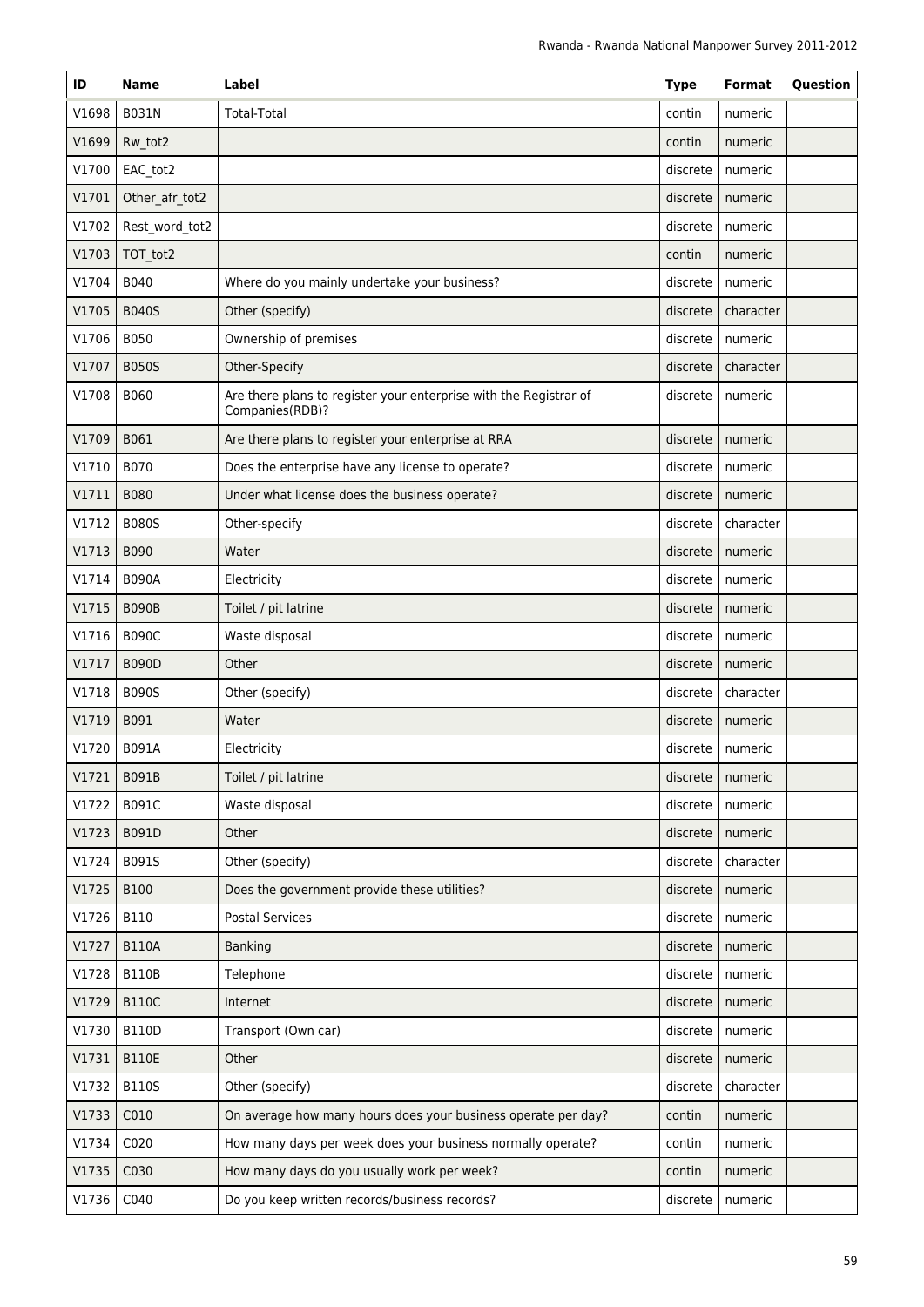| ID    | <b>Name</b>    | Label                                                                                | <b>Type</b> | Format    | Question |
|-------|----------------|--------------------------------------------------------------------------------------|-------------|-----------|----------|
| V1698 | <b>B031N</b>   | <b>Total-Total</b>                                                                   | contin      | numeric   |          |
| V1699 | Rw_tot2        |                                                                                      | contin      | numeric   |          |
| V1700 | EAC_tot2       |                                                                                      | discrete    | numeric   |          |
| V1701 | Other_afr_tot2 |                                                                                      | discrete    | numeric   |          |
| V1702 | Rest_word_tot2 |                                                                                      | discrete    | numeric   |          |
| V1703 | TOT tot2       |                                                                                      | contin      | numeric   |          |
| V1704 | B040           | Where do you mainly undertake your business?                                         | discrete    | numeric   |          |
| V1705 | <b>B040S</b>   | Other (specify)                                                                      | discrete    | character |          |
| V1706 | B050           | Ownership of premises                                                                | discrete    | numeric   |          |
| V1707 | <b>B050S</b>   | Other-Specify                                                                        | discrete    | character |          |
| V1708 | <b>B060</b>    | Are there plans to register your enterprise with the Registrar of<br>Companies(RDB)? | discrete    | numeric   |          |
| V1709 | B061           | Are there plans to register your enterprise at RRA                                   | discrete    | numeric   |          |
| V1710 | B070           | Does the enterprise have any license to operate?                                     | discrete    | numeric   |          |
| V1711 | <b>B080</b>    | Under what license does the business operate?                                        | discrete    | numeric   |          |
| V1712 | <b>B080S</b>   | Other-specify                                                                        | discrete    | character |          |
| V1713 | <b>B090</b>    | Water                                                                                | discrete    | numeric   |          |
| V1714 | <b>B090A</b>   | Electricity                                                                          | discrete    | numeric   |          |
| V1715 | <b>B090B</b>   | Toilet / pit latrine                                                                 | discrete    | numeric   |          |
| V1716 | <b>B090C</b>   | Waste disposal                                                                       | discrete    | numeric   |          |
| V1717 | <b>B090D</b>   | Other                                                                                | discrete    | numeric   |          |
| V1718 | <b>B090S</b>   | Other (specify)                                                                      | discrete    | character |          |
| V1719 | B091           | Water                                                                                | discrete    | numeric   |          |
| V1720 | B091A          | Electricity                                                                          | discrete    | numeric   |          |
| V1721 | <b>B091B</b>   | Toilet / pit latrine                                                                 | discrete    | numeric   |          |
| V1722 | B091C          | Waste disposal                                                                       | discrete    | numeric   |          |
| V1723 | B091D          | Other                                                                                | discrete    | numeric   |          |
| V1724 | B091S          | Other (specify)                                                                      | discrete    | character |          |
| V1725 | <b>B100</b>    | Does the government provide these utilities?                                         | discrete    | numeric   |          |
| V1726 | <b>B110</b>    | Postal Services                                                                      | discrete    | numeric   |          |
| V1727 | <b>B110A</b>   | <b>Banking</b>                                                                       | discrete    | numeric   |          |
| V1728 | <b>B110B</b>   | Telephone                                                                            | discrete    | numeric   |          |
| V1729 | <b>B110C</b>   | Internet                                                                             | discrete    | numeric   |          |
| V1730 | <b>B110D</b>   | Transport (Own car)                                                                  | discrete    | numeric   |          |
| V1731 | <b>B110E</b>   | Other                                                                                | discrete    | numeric   |          |
| V1732 | <b>B110S</b>   | Other (specify)                                                                      | discrete    | character |          |
| V1733 | C010           | On average how many hours does your business operate per day?                        | contin      | numeric   |          |
| V1734 | C020           | How many days per week does your business normally operate?                          | contin      | numeric   |          |
| V1735 | C030           | How many days do you usually work per week?                                          | contin      | numeric   |          |
| V1736 | C040           | Do you keep written records/business records?                                        | discrete    | numeric   |          |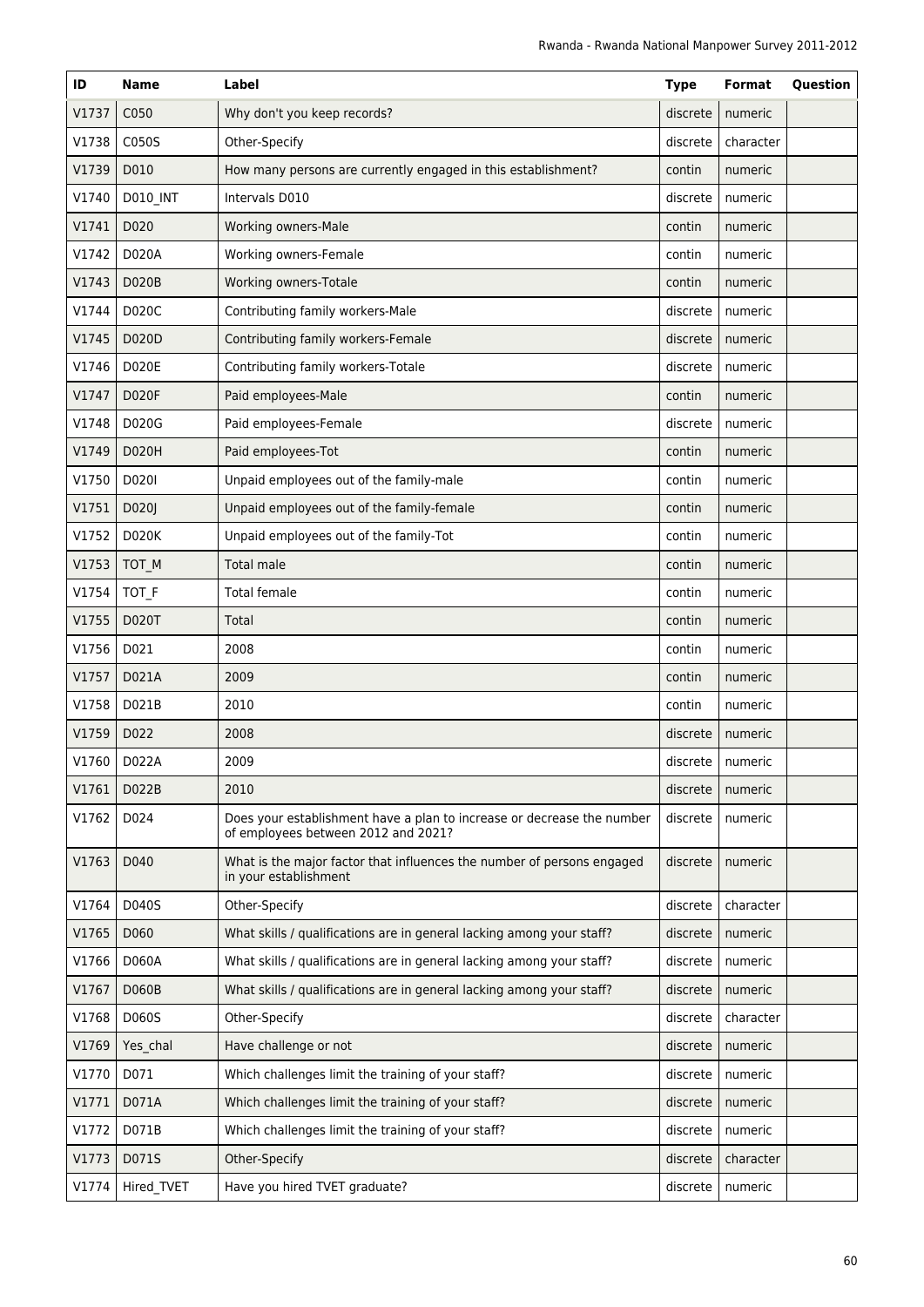| ID    | <b>Name</b>  | Label                                                                                                         | <b>Type</b> | Format    | Question |
|-------|--------------|---------------------------------------------------------------------------------------------------------------|-------------|-----------|----------|
| V1737 | C050         | Why don't you keep records?                                                                                   | discrete    | numeric   |          |
| V1738 | C050S        | Other-Specify                                                                                                 | discrete    | character |          |
| V1739 | D010         | How many persons are currently engaged in this establishment?                                                 | contin      | numeric   |          |
| V1740 | D010_INT     | Intervals D010                                                                                                | discrete    | numeric   |          |
| V1741 | D020         | Working owners-Male                                                                                           | contin      | numeric   |          |
| V1742 | D020A        | Working owners-Female                                                                                         | contin      | numeric   |          |
| V1743 | <b>D020B</b> | Working owners-Totale                                                                                         | contin      | numeric   |          |
| V1744 | D020C        | Contributing family workers-Male                                                                              | discrete    | numeric   |          |
| V1745 | D020D        | Contributing family workers-Female                                                                            | discrete    | numeric   |          |
| V1746 | D020E        | Contributing family workers-Totale                                                                            | discrete    | numeric   |          |
| V1747 | <b>D020F</b> | Paid employees-Male                                                                                           | contin      | numeric   |          |
| V1748 | D020G        | Paid employees-Female                                                                                         | discrete    | numeric   |          |
| V1749 | D020H        | Paid employees-Tot                                                                                            | contin      | numeric   |          |
| V1750 | D020I        | Unpaid employees out of the family-male                                                                       | contin      | numeric   |          |
| V1751 | D020J        | Unpaid employees out of the family-female                                                                     | contin      | numeric   |          |
| V1752 | D020K        | Unpaid employees out of the family-Tot                                                                        | contin      | numeric   |          |
| V1753 | TOT_M        | Total male                                                                                                    | contin      | numeric   |          |
| V1754 | TOT_F        | <b>Total female</b>                                                                                           | contin      | numeric   |          |
| V1755 | D020T        | Total                                                                                                         | contin      | numeric   |          |
| V1756 | D021         | 2008                                                                                                          | contin      | numeric   |          |
| V1757 | D021A        | 2009                                                                                                          | contin      | numeric   |          |
| V1758 | D021B        | 2010                                                                                                          | contin      | numeric   |          |
| V1759 | D022         | 2008                                                                                                          | discrete    | numeric   |          |
| V1760 | D022A        | 2009                                                                                                          | discrete    | numeric   |          |
| V1761 | D022B        | 2010                                                                                                          | discrete    | numeric   |          |
| V1762 | D024         | Does your establishment have a plan to increase or decrease the number<br>of employees between 2012 and 2021? | discrete    | numeric   |          |
| V1763 | D040         | What is the major factor that influences the number of persons engaged<br>in your establishment               | discrete    | numeric   |          |
| V1764 | D040S        | Other-Specify                                                                                                 | discrete    | character |          |
| V1765 | D060         | What skills / qualifications are in general lacking among your staff?                                         | discrete    | numeric   |          |
| V1766 | D060A        | What skills / qualifications are in general lacking among your staff?                                         | discrete    | numeric   |          |
| V1767 | <b>D060B</b> | What skills / qualifications are in general lacking among your staff?                                         | discrete    | numeric   |          |
| V1768 | D060S        | Other-Specify                                                                                                 | discrete    | character |          |
| V1769 | Yes_chal     | Have challenge or not                                                                                         | discrete    | numeric   |          |
| V1770 | D071         | Which challenges limit the training of your staff?                                                            | discrete    | numeric   |          |
| V1771 | D071A        | Which challenges limit the training of your staff?                                                            | discrete    | numeric   |          |
| V1772 | D071B        | Which challenges limit the training of your staff?                                                            | discrete    | numeric   |          |
| V1773 | D071S        | Other-Specify                                                                                                 | discrete    | character |          |
| V1774 | Hired_TVET   | Have you hired TVET graduate?                                                                                 | discrete    | numeric   |          |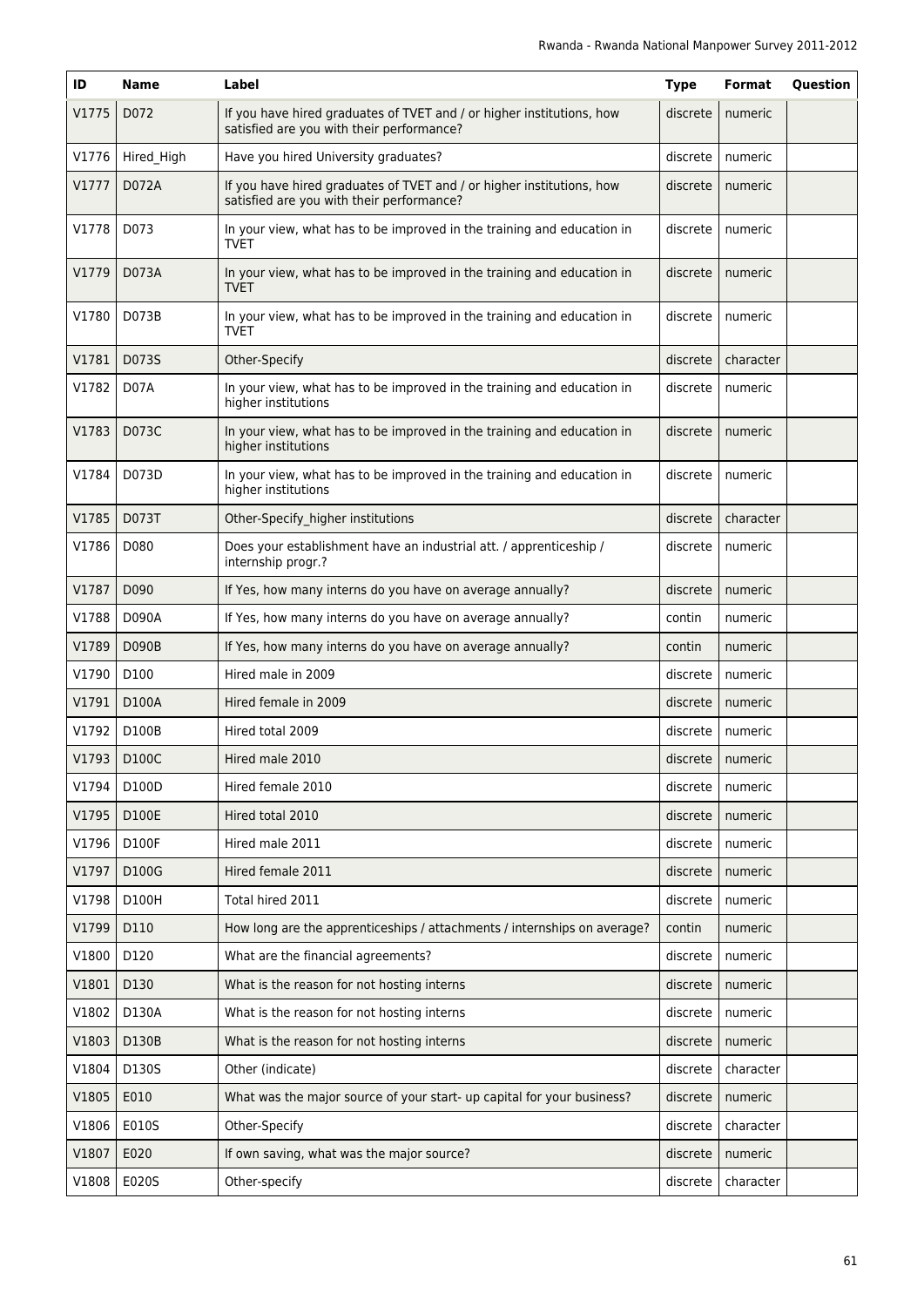| ID    | Name              | Label                                                                                                              | <b>Type</b> | Format             | Question |
|-------|-------------------|--------------------------------------------------------------------------------------------------------------------|-------------|--------------------|----------|
| V1775 | D072              | If you have hired graduates of TVET and / or higher institutions, how<br>satisfied are you with their performance? | discrete    | numeric            |          |
| V1776 | Hired_High        | Have you hired University graduates?                                                                               | discrete    | numeric            |          |
| V1777 | D072A             | If you have hired graduates of TVET and / or higher institutions, how<br>satisfied are you with their performance? | discrete    | numeric            |          |
| V1778 | D073              | In your view, what has to be improved in the training and education in<br>TVET                                     | discrete    | numeric            |          |
| V1779 | D073A             | In your view, what has to be improved in the training and education in<br><b>TVET</b>                              | discrete    | numeric            |          |
| V1780 | D073B             | In your view, what has to be improved in the training and education in<br>TVET                                     | discrete    | numeric            |          |
| V1781 | D073S             | Other-Specify                                                                                                      | discrete    | character          |          |
| V1782 | D <sub>07</sub> A | In your view, what has to be improved in the training and education in<br>higher institutions                      | discrete    | numeric            |          |
| V1783 | D073C             | In your view, what has to be improved in the training and education in<br>higher institutions                      | discrete    | numeric            |          |
| V1784 | D073D             | In your view, what has to be improved in the training and education in<br>higher institutions                      | discrete    | numeric            |          |
| V1785 | <b>D073T</b>      | Other-Specify_higher institutions                                                                                  | discrete    | character          |          |
| V1786 | D080              | Does your establishment have an industrial att. / apprenticeship /<br>internship progr.?                           | discrete    | numeric            |          |
| V1787 | D090              | If Yes, how many interns do you have on average annually?                                                          | discrete    | numeric            |          |
| V1788 | D090A             | If Yes, how many interns do you have on average annually?                                                          | contin      | numeric            |          |
| V1789 | <b>D090B</b>      | If Yes, how many interns do you have on average annually?                                                          | contin      | numeric            |          |
| V1790 | D100              | Hired male in 2009                                                                                                 | discrete    | numeric            |          |
| V1791 | D100A             | Hired female in 2009                                                                                               | discrete    | numeric            |          |
| V1792 | D100B             | Hired total 2009                                                                                                   | discrete    | numeric            |          |
| V1793 | D100C             | Hired male 2010                                                                                                    |             | discrete   numeric |          |
| V1794 | D100D             | Hired female 2010                                                                                                  | discrete    | numeric            |          |
| V1795 | D100E             | Hired total 2010                                                                                                   | discrete    | numeric            |          |
| V1796 | D100F             | Hired male 2011                                                                                                    | discrete    | numeric            |          |
| V1797 | D100G             | Hired female 2011                                                                                                  | discrete    | numeric            |          |
| V1798 | D100H             | Total hired 2011                                                                                                   | discrete    | numeric            |          |
| V1799 | D110              | How long are the apprenticeships / attachments / internships on average?                                           | contin      | numeric            |          |
| V1800 | D120              | What are the financial agreements?                                                                                 | discrete    | numeric            |          |
| V1801 | D130              | What is the reason for not hosting interns                                                                         | discrete    | numeric            |          |
| V1802 | D130A             | What is the reason for not hosting interns                                                                         | discrete    | numeric            |          |
| V1803 | D130B             | What is the reason for not hosting interns                                                                         | discrete    | numeric            |          |
| V1804 | D130S             | Other (indicate)                                                                                                   | discrete    | character          |          |
| V1805 | E010              | What was the major source of your start- up capital for your business?                                             | discrete    | numeric            |          |
| V1806 | E010S             | Other-Specify                                                                                                      | discrete    | character          |          |
| V1807 | E020              | If own saving, what was the major source?                                                                          | discrete    | numeric            |          |
| V1808 | E020S             | Other-specify                                                                                                      | discrete    | character          |          |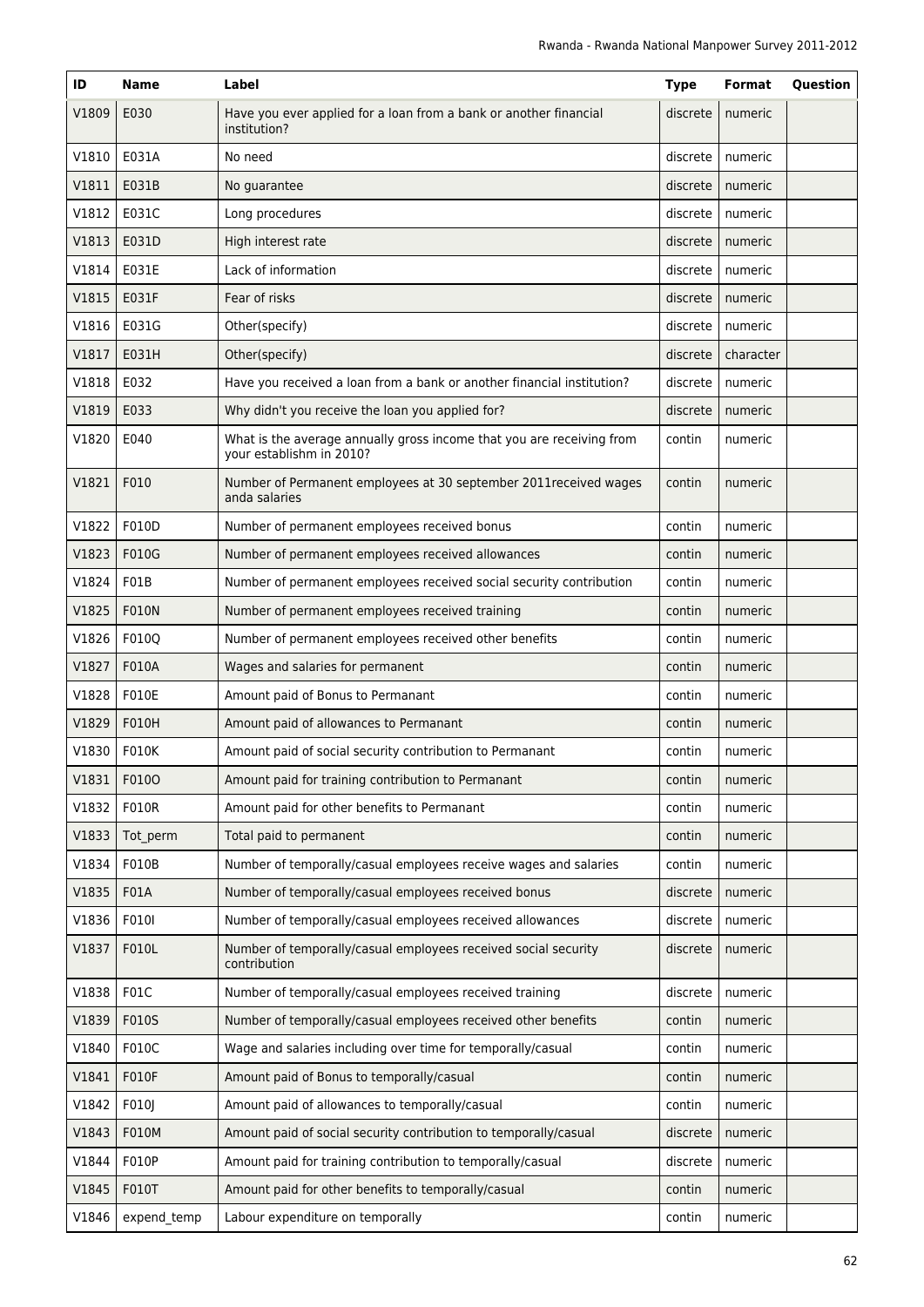| ID    | <b>Name</b>  | Label                                                                                             | <b>Type</b> | Format    | Question |
|-------|--------------|---------------------------------------------------------------------------------------------------|-------------|-----------|----------|
| V1809 | E030         | Have you ever applied for a loan from a bank or another financial<br>institution?                 | discrete    | numeric   |          |
| V1810 | E031A        | No need                                                                                           | discrete    | numeric   |          |
| V1811 | E031B        | No guarantee                                                                                      | discrete    | numeric   |          |
| V1812 | E031C        | Long procedures                                                                                   | discrete    | numeric   |          |
| V1813 | E031D        | High interest rate                                                                                | discrete    | numeric   |          |
| V1814 | E031E        | Lack of information                                                                               | discrete    | numeric   |          |
| V1815 | E031F        | Fear of risks                                                                                     | discrete    | numeric   |          |
| V1816 | E031G        | Other(specify)                                                                                    | discrete    | numeric   |          |
| V1817 | E031H        | Other(specify)                                                                                    | discrete    | character |          |
| V1818 | E032         | Have you received a loan from a bank or another financial institution?                            | discrete    | numeric   |          |
| V1819 | E033         | Why didn't you receive the loan you applied for?                                                  | discrete    | numeric   |          |
| V1820 | E040         | What is the average annually gross income that you are receiving from<br>your establishm in 2010? | contin      | numeric   |          |
| V1821 | F010         | Number of Permanent employees at 30 september 2011 received wages<br>anda salaries                | contin      | numeric   |          |
| V1822 | F010D        | Number of permanent employees received bonus                                                      | contin      | numeric   |          |
| V1823 | F010G        | Number of permanent employees received allowances                                                 | contin      | numeric   |          |
| V1824 | F01B         | Number of permanent employees received social security contribution                               | contin      | numeric   |          |
| V1825 | <b>F010N</b> | Number of permanent employees received training                                                   | contin      | numeric   |          |
| V1826 | F010Q        | Number of permanent employees received other benefits                                             | contin      | numeric   |          |
| V1827 | F010A        | Wages and salaries for permanent                                                                  | contin      | numeric   |          |
| V1828 | <b>F010E</b> | Amount paid of Bonus to Permanant                                                                 | contin      | numeric   |          |
| V1829 | F010H        | Amount paid of allowances to Permanant                                                            | contin      | numeric   |          |
| V1830 | <b>F010K</b> | Amount paid of social security contribution to Permanant                                          | contin      | numeric   |          |
| V1831 | F010O        | Amount paid for training contribution to Permanant                                                | contin      | numeric   |          |
| V1832 | F010R        | Amount paid for other benefits to Permanant                                                       | contin      | numeric   |          |
| V1833 | Tot_perm     | Total paid to permanent                                                                           | contin      | numeric   |          |
| V1834 | F010B        | Number of temporally/casual employees receive wages and salaries                                  | contin      | numeric   |          |
| V1835 | F01A         | Number of temporally/casual employees received bonus                                              | discrete    | numeric   |          |
| V1836 | F010I        | Number of temporally/casual employees received allowances                                         | discrete    | numeric   |          |
| V1837 | F010L        | Number of temporally/casual employees received social security<br>contribution                    | discrete    | numeric   |          |
| V1838 | F01C         | Number of temporally/casual employees received training                                           | discrete    | numeric   |          |
| V1839 | F010S        | Number of temporally/casual employees received other benefits                                     | contin      | numeric   |          |
| V1840 | F010C        | Wage and salaries including over time for temporally/casual                                       | contin      | numeric   |          |
| V1841 | <b>F010F</b> | Amount paid of Bonus to temporally/casual                                                         | contin      | numeric   |          |
| V1842 | F010J        | Amount paid of allowances to temporally/casual                                                    | contin      | numeric   |          |
| V1843 | F010M        | Amount paid of social security contribution to temporally/casual                                  | discrete    | numeric   |          |
| V1844 | F010P        | Amount paid for training contribution to temporally/casual                                        | discrete    | numeric   |          |
| V1845 | F010T        | Amount paid for other benefits to temporally/casual                                               | contin      | numeric   |          |
| V1846 | expend_temp  | Labour expenditure on temporally                                                                  | contin      | numeric   |          |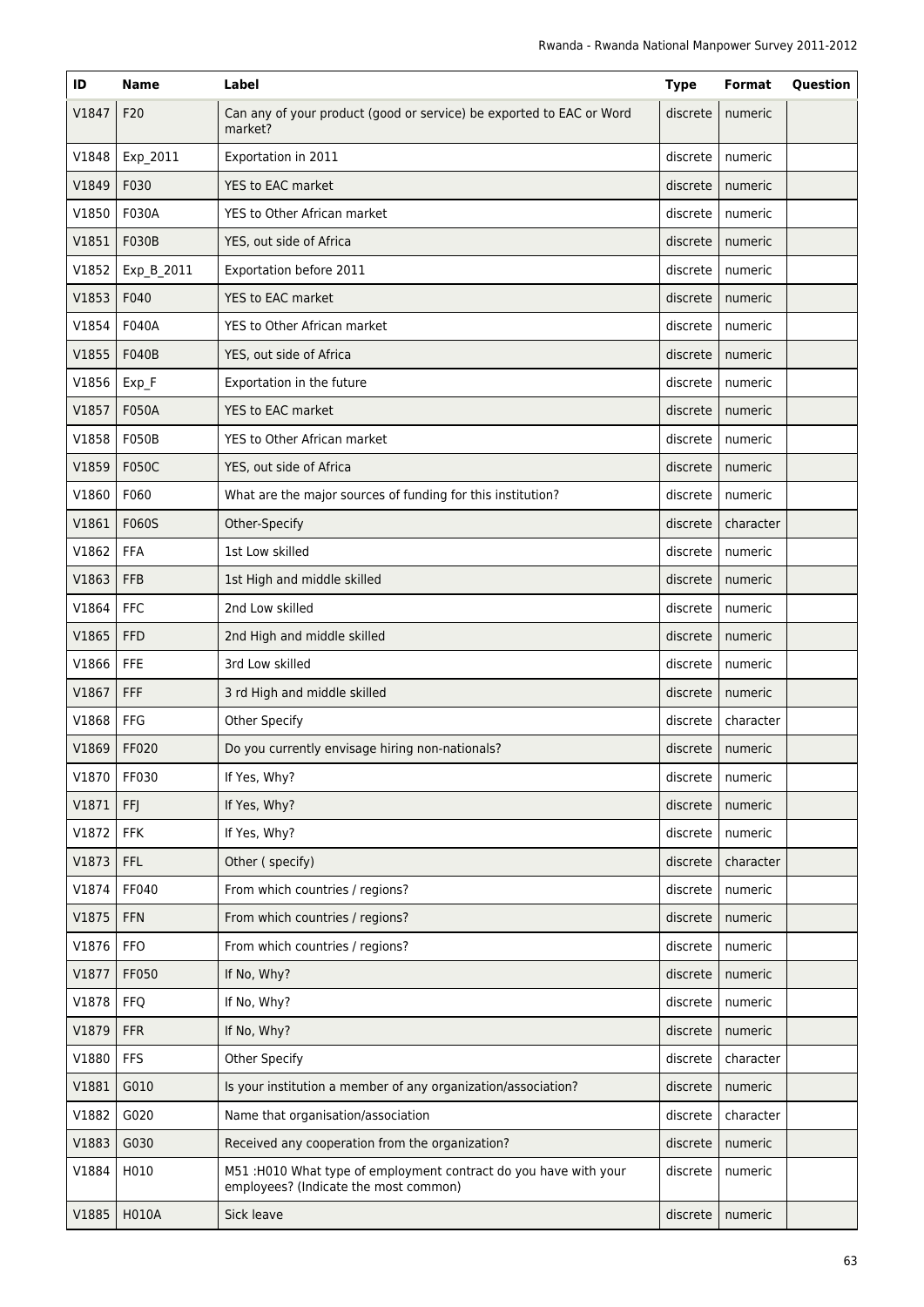| ID    | Name         | Label                                                                                                     | <b>Type</b> | Format    | Question |
|-------|--------------|-----------------------------------------------------------------------------------------------------------|-------------|-----------|----------|
| V1847 | F20          | Can any of your product (good or service) be exported to EAC or Word<br>market?                           | discrete    | numeric   |          |
| V1848 | Exp_2011     | Exportation in 2011                                                                                       | discrete    | numeric   |          |
| V1849 | F030         | <b>YES to EAC market</b>                                                                                  | discrete    | numeric   |          |
| V1850 | F030A        | YES to Other African market                                                                               | discrete    | numeric   |          |
| V1851 | <b>F030B</b> | YES, out side of Africa                                                                                   | discrete    | numeric   |          |
| V1852 | Exp_B_2011   | Exportation before 2011                                                                                   | discrete    | numeric   |          |
| V1853 | F040         | <b>YES to EAC market</b>                                                                                  | discrete    | numeric   |          |
| V1854 | F040A        | YES to Other African market                                                                               | discrete    | numeric   |          |
| V1855 | F040B        | YES, out side of Africa                                                                                   | discrete    | numeric   |          |
| V1856 | Exp_F        | Exportation in the future                                                                                 | discrete    | numeric   |          |
| V1857 | F050A        | YES to EAC market                                                                                         | discrete    | numeric   |          |
| V1858 | F050B        | YES to Other African market                                                                               | discrete    | numeric   |          |
| V1859 | F050C        | YES, out side of Africa                                                                                   | discrete    | numeric   |          |
| V1860 | F060         | What are the major sources of funding for this institution?                                               | discrete    | numeric   |          |
| V1861 | F060S        | Other-Specify                                                                                             | discrete    | character |          |
| V1862 | FFA          | 1st Low skilled                                                                                           | discrete    | numeric   |          |
| V1863 | FFB          | 1st High and middle skilled                                                                               | discrete    | numeric   |          |
| V1864 | <b>FFC</b>   | 2nd Low skilled                                                                                           | discrete    | numeric   |          |
| V1865 | <b>FFD</b>   | 2nd High and middle skilled                                                                               | discrete    | numeric   |          |
| V1866 | <b>FFE</b>   | 3rd Low skilled                                                                                           | discrete    | numeric   |          |
| V1867 | FFF          | 3 rd High and middle skilled                                                                              | discrete    | numeric   |          |
| V1868 | <b>FFG</b>   | Other Specify                                                                                             | discrete    | character |          |
| V1869 | FF020        | Do you currently envisage hiring non-nationals?                                                           | discrete    | numeric   |          |
| V1870 | FF030        | If Yes, Why?                                                                                              | discrete    | numeric   |          |
| V1871 | FFJ          | If Yes, Why?                                                                                              | discrete    | numeric   |          |
| V1872 | <b>FFK</b>   | If Yes, Why?                                                                                              | discrete    | numeric   |          |
| V1873 | <b>FFL</b>   | Other (specify)                                                                                           | discrete    | character |          |
| V1874 | FF040        | From which countries / regions?                                                                           | discrete    | numeric   |          |
| V1875 | <b>FFN</b>   | From which countries / regions?                                                                           | discrete    | numeric   |          |
| V1876 | <b>FFO</b>   | From which countries / regions?                                                                           | discrete    | numeric   |          |
| V1877 | FF050        | If No, Why?                                                                                               | discrete    | numeric   |          |
| V1878 | <b>FFQ</b>   | If No, Why?                                                                                               | discrete    | numeric   |          |
| V1879 | <b>FFR</b>   | If No, Why?                                                                                               | discrete    | numeric   |          |
| V1880 | <b>FFS</b>   | Other Specify                                                                                             | discrete    | character |          |
| V1881 | G010         | Is your institution a member of any organization/association?                                             | discrete    | numeric   |          |
| V1882 | G020         | Name that organisation/association                                                                        | discrete    | character |          |
| V1883 | G030         | Received any cooperation from the organization?                                                           | discrete    | numeric   |          |
| V1884 | H010         | M51 :H010 What type of employment contract do you have with your<br>employees? (Indicate the most common) | discrete    | numeric   |          |
| V1885 | H010A        | Sick leave                                                                                                | discrete    | numeric   |          |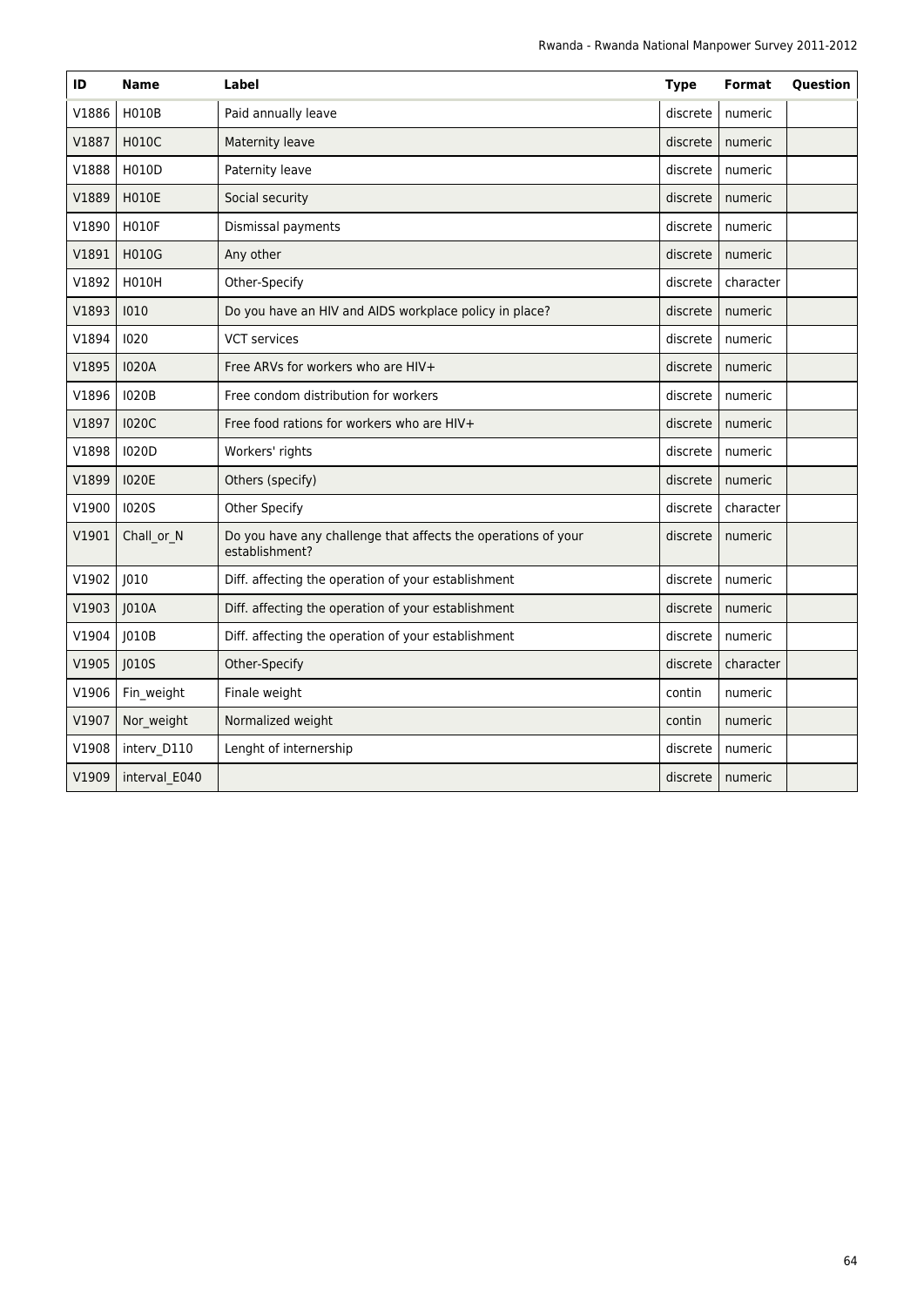| ID    | <b>Name</b>   | Label                                                                           | <b>Type</b> | Format    | Question |
|-------|---------------|---------------------------------------------------------------------------------|-------------|-----------|----------|
| V1886 | H010B         | Paid annually leave                                                             | discrete    | numeric   |          |
| V1887 | <b>H010C</b>  | Maternity leave                                                                 | discrete    | numeric   |          |
| V1888 | H010D         | Paternity leave                                                                 | discrete    | numeric   |          |
| V1889 | <b>H010E</b>  | Social security                                                                 | discrete    | numeric   |          |
| V1890 | H010F         | Dismissal payments                                                              | discrete    | numeric   |          |
| V1891 | H010G         | Any other                                                                       | discrete    | numeric   |          |
| V1892 | H010H         | Other-Specify                                                                   | discrete    | character |          |
| V1893 | 1010          | Do you have an HIV and AIDS workplace policy in place?                          | discrete    | numeric   |          |
| V1894 | 1020          | <b>VCT</b> services                                                             | discrete    | numeric   |          |
| V1895 | <b>I020A</b>  | Free ARVs for workers who are HIV+                                              | discrete    | numeric   |          |
| V1896 | <b>I020B</b>  | Free condom distribution for workers                                            | discrete    | numeric   |          |
| V1897 | <b>1020C</b>  | Free food rations for workers who are HIV+                                      | discrete    | numeric   |          |
| V1898 | <b>I020D</b>  | Workers' rights                                                                 | discrete    | numeric   |          |
| V1899 | <b>I020E</b>  | Others (specify)                                                                | discrete    | numeric   |          |
| V1900 | <b>1020S</b>  | Other Specify                                                                   | discrete    | character |          |
| V1901 | Chall_or_N    | Do you have any challenge that affects the operations of your<br>establishment? | discrete    | numeric   |          |
| V1902 | J010          | Diff. affecting the operation of your establishment                             | discrete    | numeric   |          |
| V1903 | <b>J010A</b>  | Diff. affecting the operation of your establishment                             | discrete    | numeric   |          |
| V1904 | J010B         | Diff. affecting the operation of your establishment                             | discrete    | numeric   |          |
| V1905 | J010S         | Other-Specify                                                                   | discrete    | character |          |
| V1906 | Fin_weight    | Finale weight                                                                   | contin      | numeric   |          |
| V1907 | Nor_weight    | Normalized weight                                                               | contin      | numeric   |          |
| V1908 | interv_D110   | Lenght of internership                                                          | discrete    | numeric   |          |
| V1909 | interval_E040 |                                                                                 | discrete    | numeric   |          |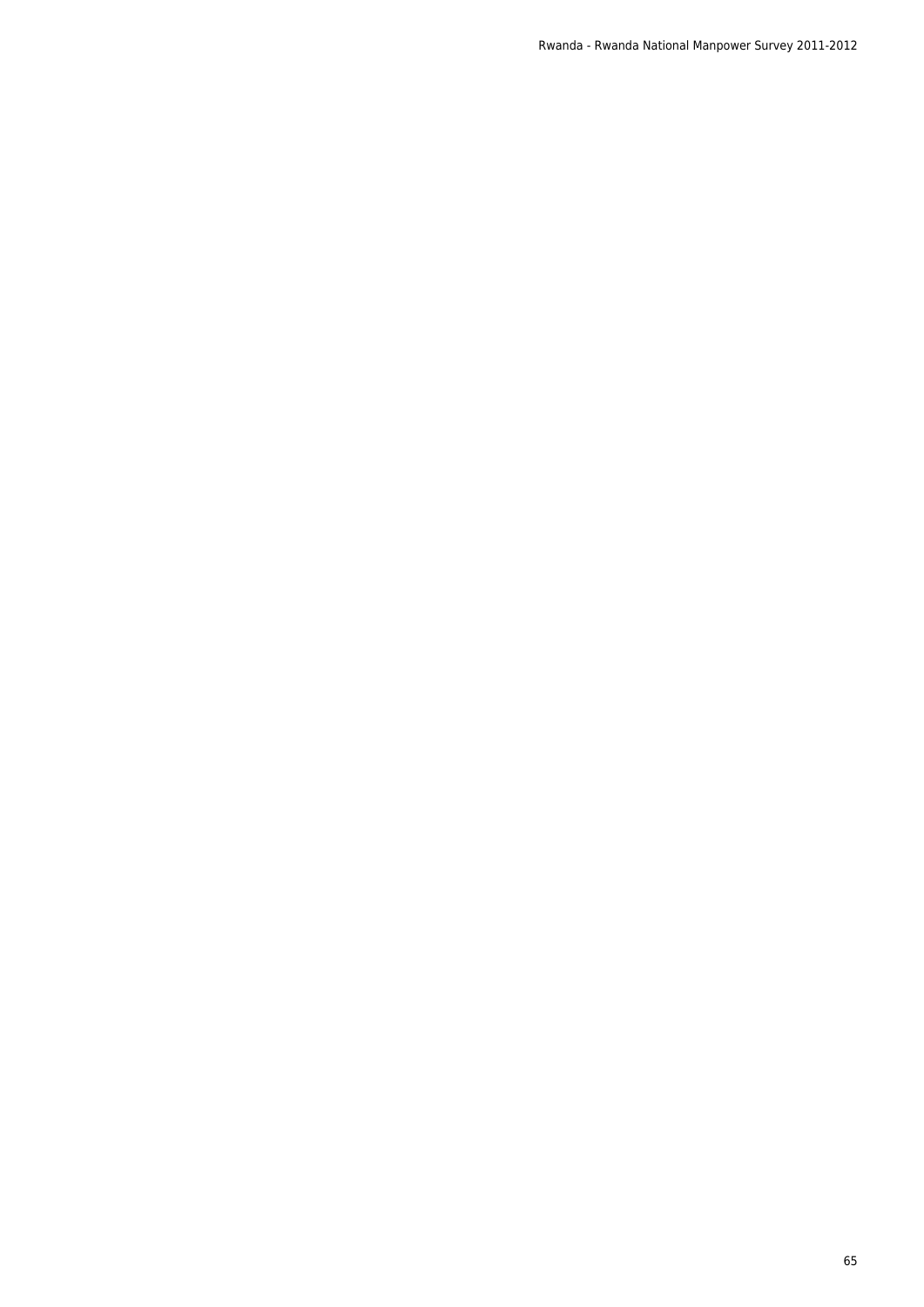Rwanda - Rwanda National Manpower Survey 2011-2012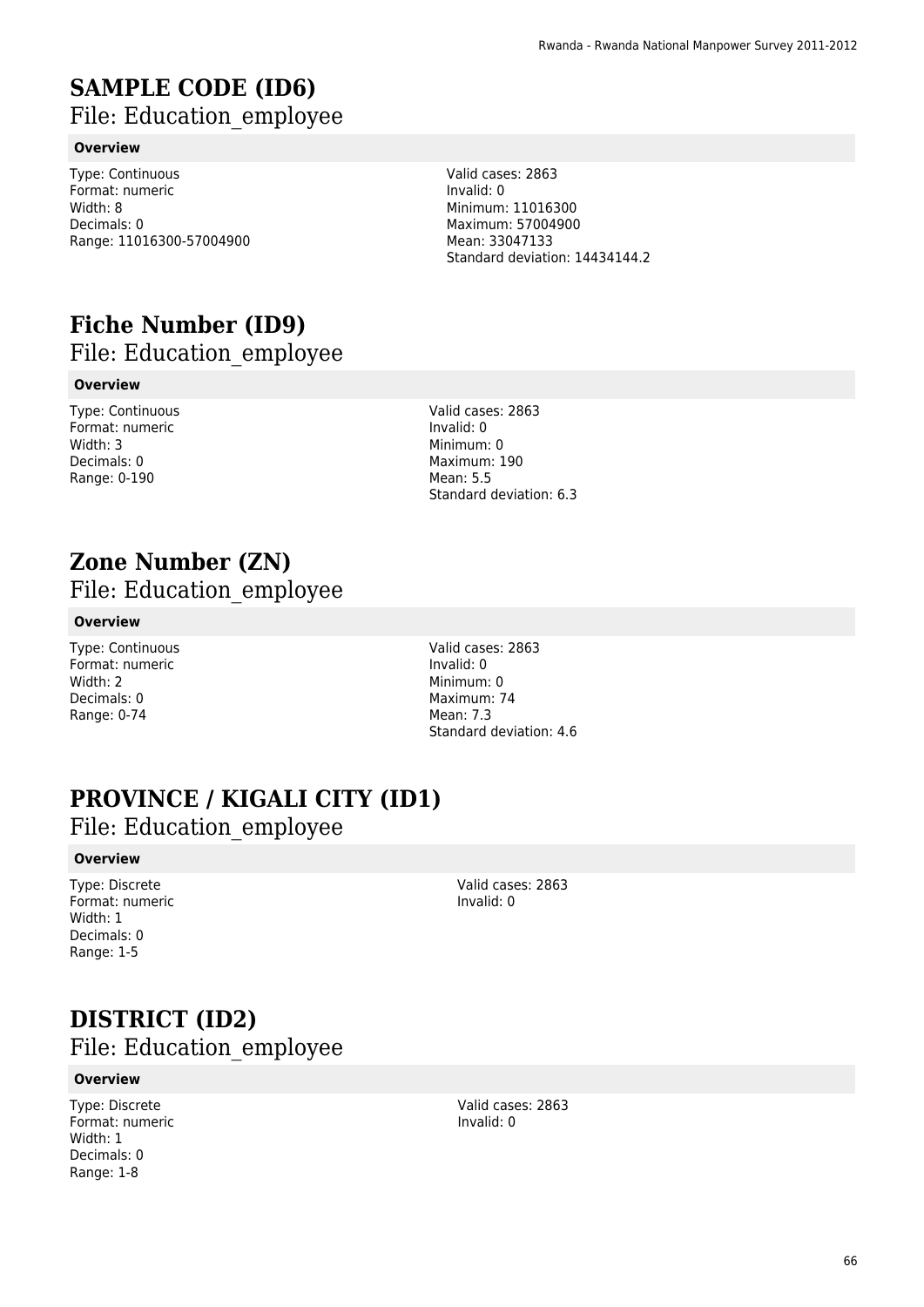### **SAMPLE CODE (ID6)**  File: Education\_employee

#### **Overview**

Type: Continuous Format: numeric Width: 8 Decimals: 0 Range: 11016300-57004900

Valid cases: 2863 Invalid: 0 Minimum: 11016300 Maximum: 57004900 Mean: 33047133 Standard deviation: 14434144.2

### **Fiche Number (ID9)**  File: Education\_employee

#### **Overview**

Type: Continuous Format: numeric Width: 3 Decimals: 0 Range: 0-190

Valid cases: 2863 Invalid: 0 Minimum: 0 Maximum: 190 Mean: 5.5 Standard deviation: 6.3

### **Zone Number (ZN)**  File: Education\_employee

#### **Overview**

Type: Continuous Format: numeric Width: 2 Decimals: 0 Range: 0-74

Valid cases: 2863 Invalid: 0 Minimum: 0 Maximum: 74 Mean: 7.3 Standard deviation: 4.6

# **PROVINCE / KIGALI CITY (ID1)**

File: Education\_employee

#### **Overview**

Type: Discrete Format: numeric Width: 1 Decimals: 0 Range: 1-5

Valid cases: 2863 Invalid: 0

### **DISTRICT (ID2)**  File: Education\_employee

#### **Overview**

Type: Discrete Format: numeric Width: 1 Decimals: 0 Range: 1-8

Valid cases: 2863 Invalid: 0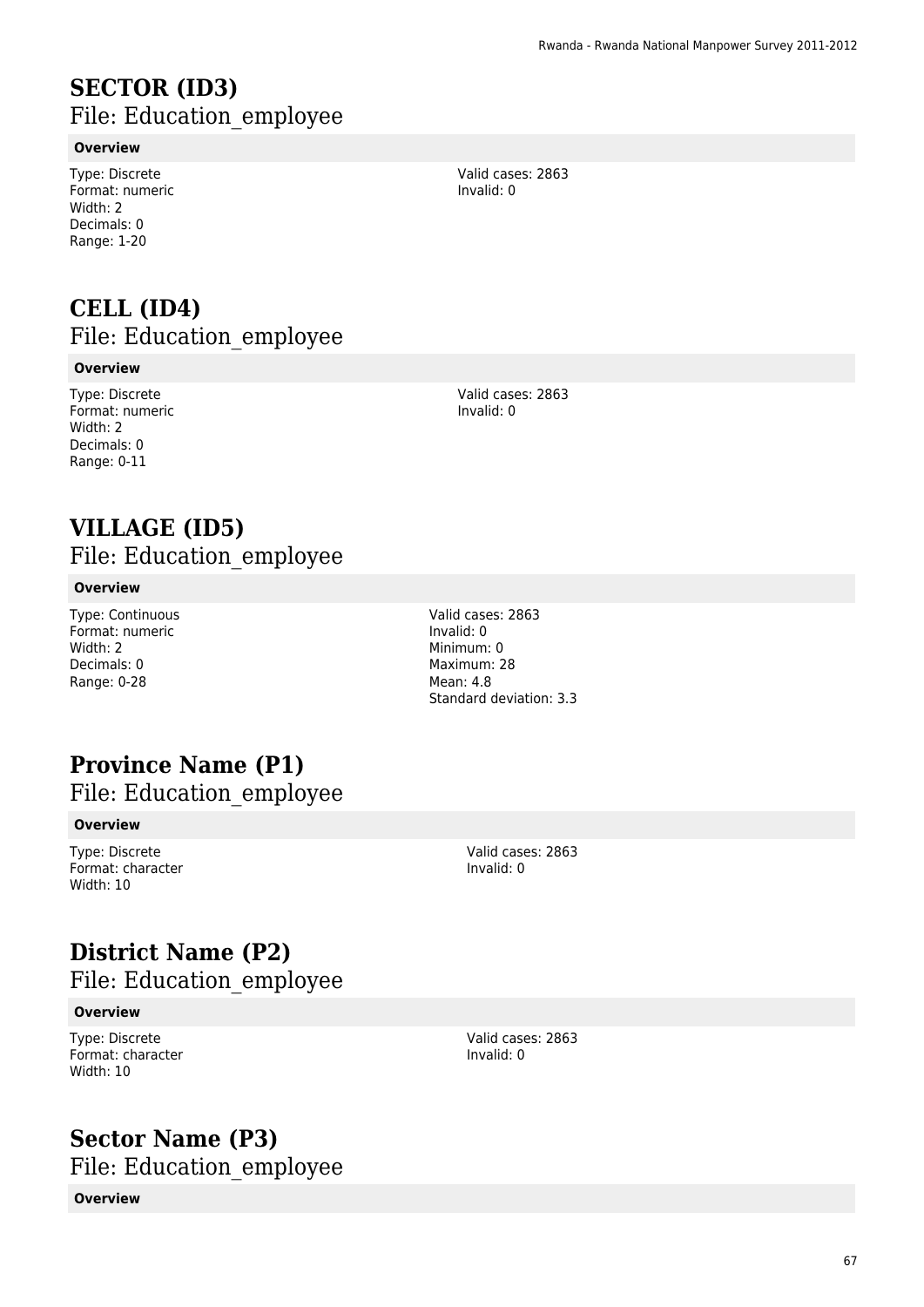### **SECTOR (ID3)**  File: Education\_employee

#### **Overview**

Type: Discrete Format: numeric Width: 2 Decimals: 0 Range: 1-20

### **CELL (ID4)**  File: Education\_employee

#### **Overview**

Type: Discrete Format: numeric Width: 2 Decimals: 0 Range: 0-11

Valid cases: 2863 Invalid: 0

Valid cases: 2863 Invalid: 0

### **VILLAGE (ID5)**  File: Education\_employee

#### **Overview**

Type: Continuous Format: numeric Width: 2 Decimals: 0 Range: 0-28

Valid cases: 2863 Invalid: 0 Minimum: 0 Maximum: 28 Mean: 4.8 Standard deviation: 3.3

### **Province Name (P1)**  File: Education\_employee

#### **Overview**

Type: Discrete Format: character Width: 10

Valid cases: 2863 Invalid: 0

Valid cases: 2863

Invalid: 0

## **District Name (P2)**

File: Education\_employee

### **Overview**

Type: Discrete Format: character Width: 10

### **Sector Name (P3)**

File: Education\_employee

**Overview**

67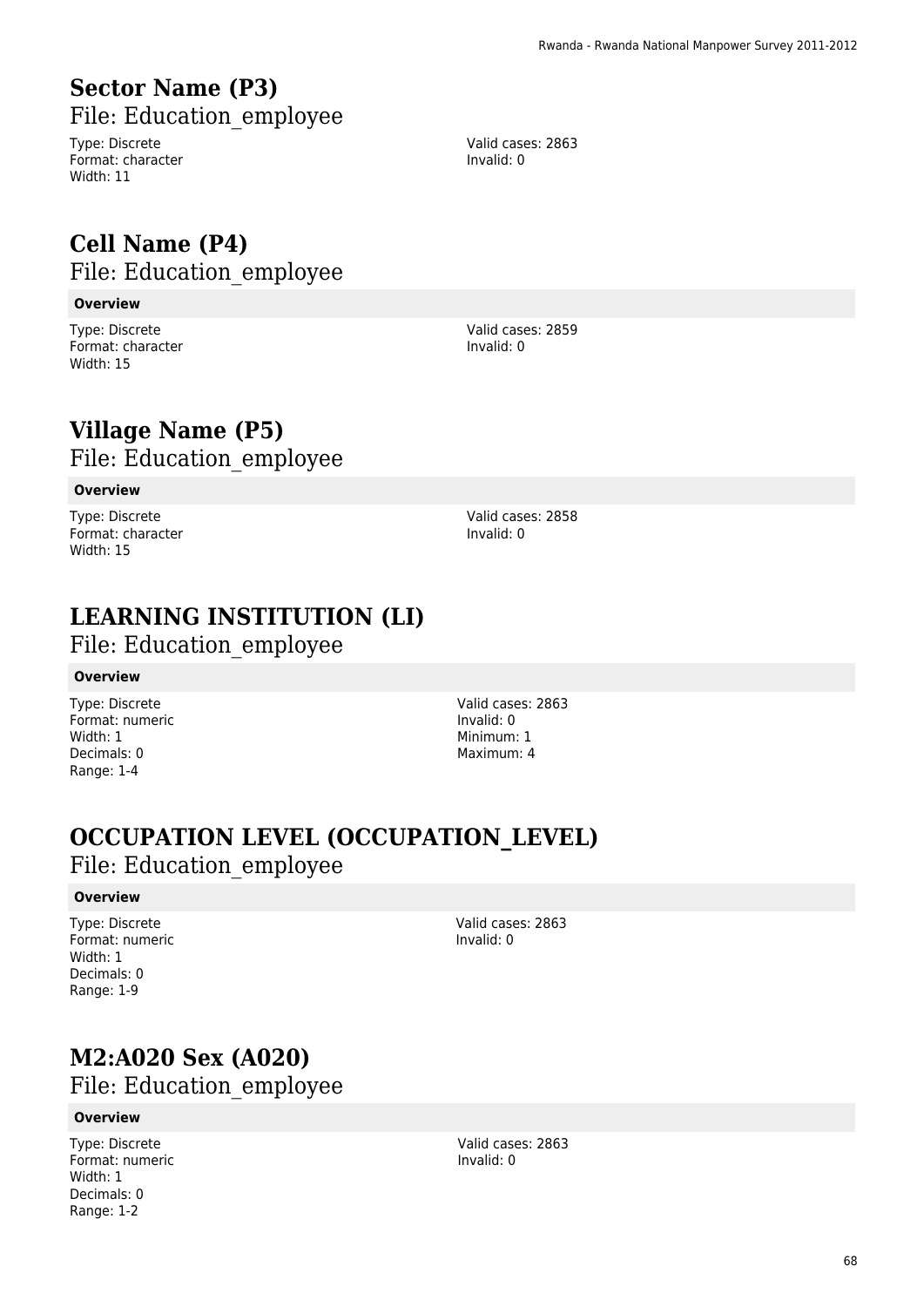# **Sector Name (P3)**

File: Education\_employee

Type: Discrete Format: character Width: 11

### **Cell Name (P4)**  File: Education\_employee

#### **Overview**

Type: Discrete Format: character Width: 15

# **Village Name (P5)**

File: Education\_employee

#### **Overview**

Type: Discrete Format: character Width: 15

Valid cases: 2859 Invalid: 0

Valid cases: 2863

Invalid: 0

Valid cases: 2858 Invalid: 0

### **LEARNING INSTITUTION (LI)**

File: Education\_employee

#### **Overview**

Type: Discrete Format: numeric Width: 1 Decimals: 0 Range: 1-4

Valid cases: 2863 Invalid: 0 Minimum: 1 Maximum: 4

## **OCCUPATION LEVEL (OCCUPATION\_LEVEL)**

File: Education\_employee

### **Overview**

Type: Discrete Format: numeric Width: 1 Decimals: 0 Range: 1-9

Valid cases: 2863 Invalid: 0

# **M2:A020 Sex (A020)**

File: Education\_employee

### **Overview**

Type: Discrete Format: numeric Width: 1 Decimals: 0 Range: 1-2

Valid cases: 2863 Invalid: 0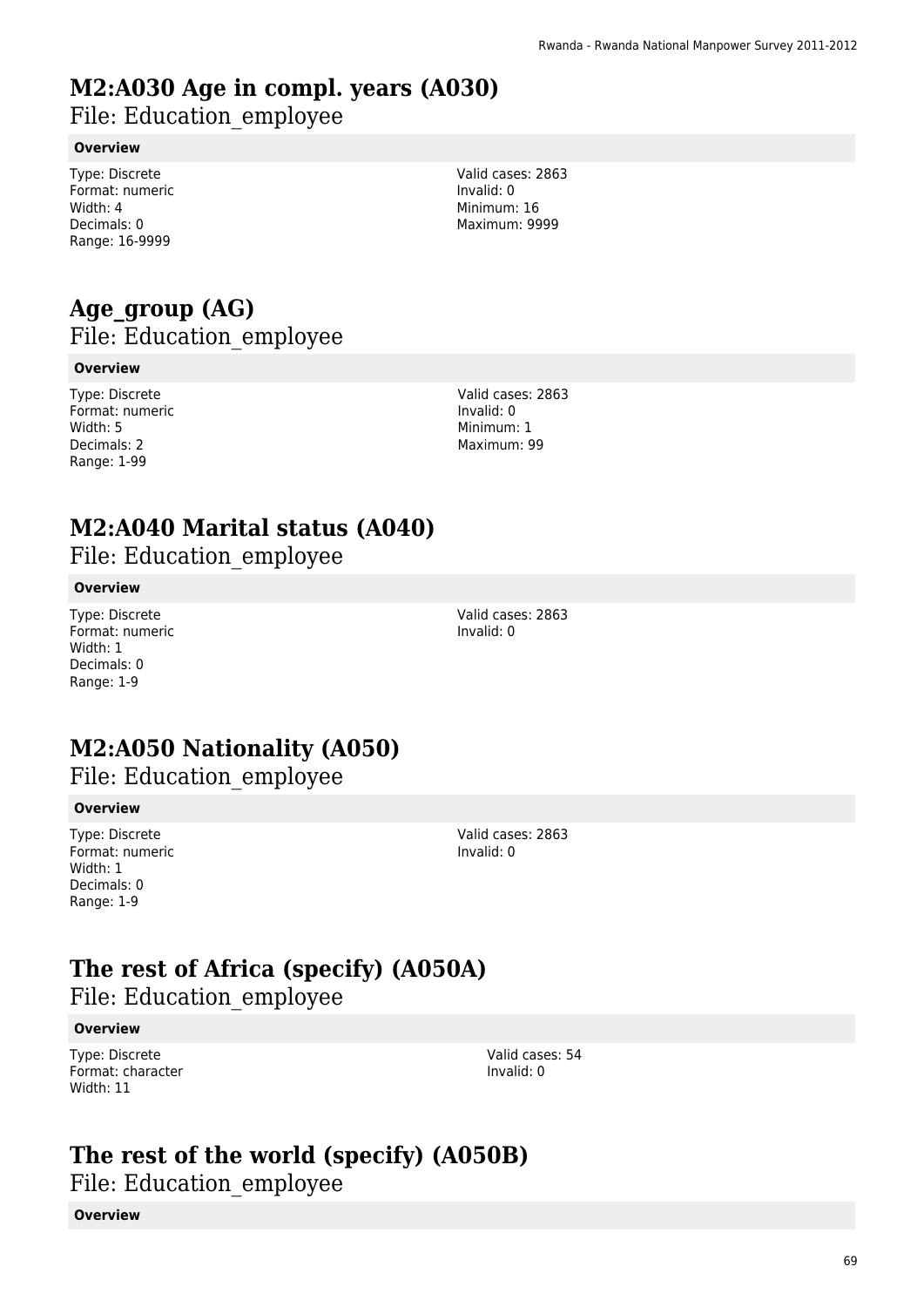### **M2:A030 Age in compl. years (A030)**

File: Education\_employee

#### **Overview**

Type: Discrete Format: numeric Width: 4 Decimals: 0 Range: 16-9999

Valid cases: 2863 Invalid: 0 Minimum: 16 Maximum: 9999

### **Age\_group (AG)**  File: Education\_employee

#### **Overview**

Type: Discrete Format: numeric Width: 5 Decimals: 2 Range: 1-99

Valid cases: 2863 Invalid: 0 Minimum: 1 Maximum: 99

### **M2:A040 Marital status (A040)**

File: Education\_employee

#### **Overview**

Type: Discrete Format: numeric Width: 1 Decimals: 0 Range: 1-9

Valid cases: 2863 Invalid: 0

### **M2:A050 Nationality (A050)**

File: Education\_employee

#### **Overview**

Type: Discrete Format: numeric Width: 1 Decimals: 0 Range: 1-9

Valid cases: 2863 Invalid: 0

### **The rest of Africa (specify) (A050A)**

File: Education\_employee

#### **Overview**

Type: Discrete Format: character Width: 11

Valid cases: 54 Invalid: 0

### **The rest of the world (specify) (A050B)**

File: Education\_employee

**Overview**

69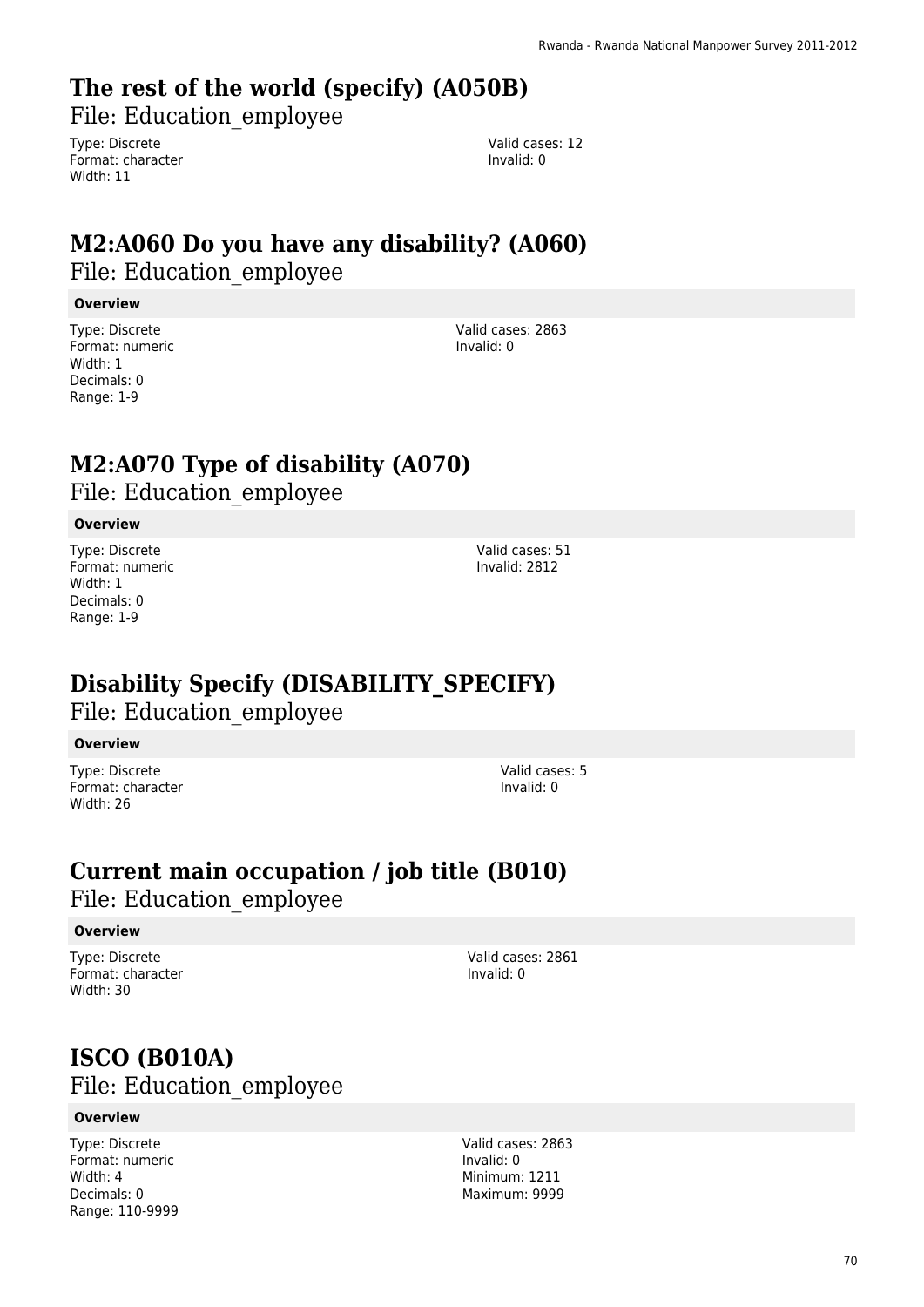### **The rest of the world (specify) (A050B)**

File: Education\_employee

Type: Discrete Format: character Width: 11

### **M2:A060 Do you have any disability? (A060)**  File: Education\_employee

### **Overview**

Type: Discrete Format: numeric Width: 1 Decimals: 0 Range: 1-9

Valid cases: 2863 Invalid: 0

Valid cases: 12 Invalid: 0

### **M2:A070 Type of disability (A070)**  File: Education\_employee

### **Overview**

Type: Discrete Format: numeric Width: 1 Decimals: 0 Range: 1-9

Valid cases: 51 Invalid: 2812

# **Disability Specify (DISABILITY\_SPECIFY)**

File: Education\_employee

#### **Overview**

Type: Discrete Format: character Width: 26

Valid cases: 5 Invalid: 0

### **Current main occupation / job title (B010)**  File: Education\_employee

#### **Overview**

Type: Discrete Format: character Width: 30

Valid cases: 2861 Invalid: 0

# **ISCO (B010A)**

File: Education\_employee

### **Overview**

Type: Discrete Format: numeric Width: 4 Decimals: 0 Range: 110-9999 Valid cases: 2863 Invalid: 0 Minimum: 1211 Maximum: 9999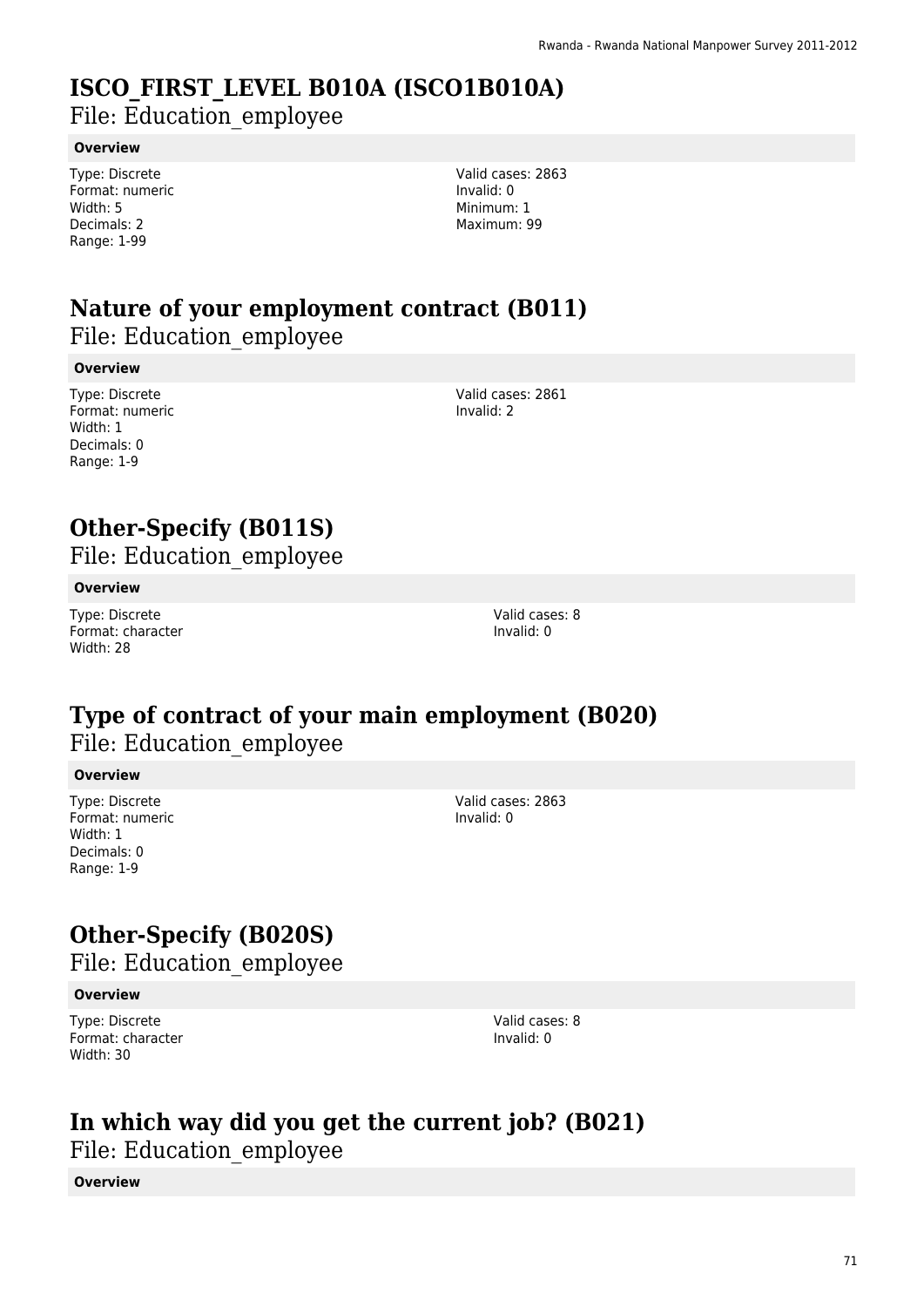# **ISCO\_FIRST\_LEVEL B010A (ISCO1B010A)**

File: Education\_employee

### **Overview**

Type: Discrete Format: numeric Width: 5 Decimals: 2 Range: 1-99

Valid cases: 2863 Invalid: 0 Minimum: 1 Maximum: 99

## **Nature of your employment contract (B011)**

File: Education\_employee

### **Overview**

Type: Discrete Format: numeric Width: 1 Decimals: 0 Range: 1-9

Valid cases: 2861 Invalid: 2

# **Other-Specify (B011S)**

File: Education\_employee

### **Overview**

Type: Discrete Format: character Width: 28

### **Type of contract of your main employment (B020)**  File: Education\_employee

#### **Overview**

Type: Discrete Format: numeric Width: 1 Decimals: 0 Range: 1-9

Valid cases: 2863 Invalid: 0

# **Other-Specify (B020S)**

File: Education\_employee

### **Overview**

Type: Discrete Format: character Width: 30

Valid cases: 8 Invalid: 0

## **In which way did you get the current job? (B021)**

File: Education\_employee

**Overview**

Valid cases: 8 Invalid: 0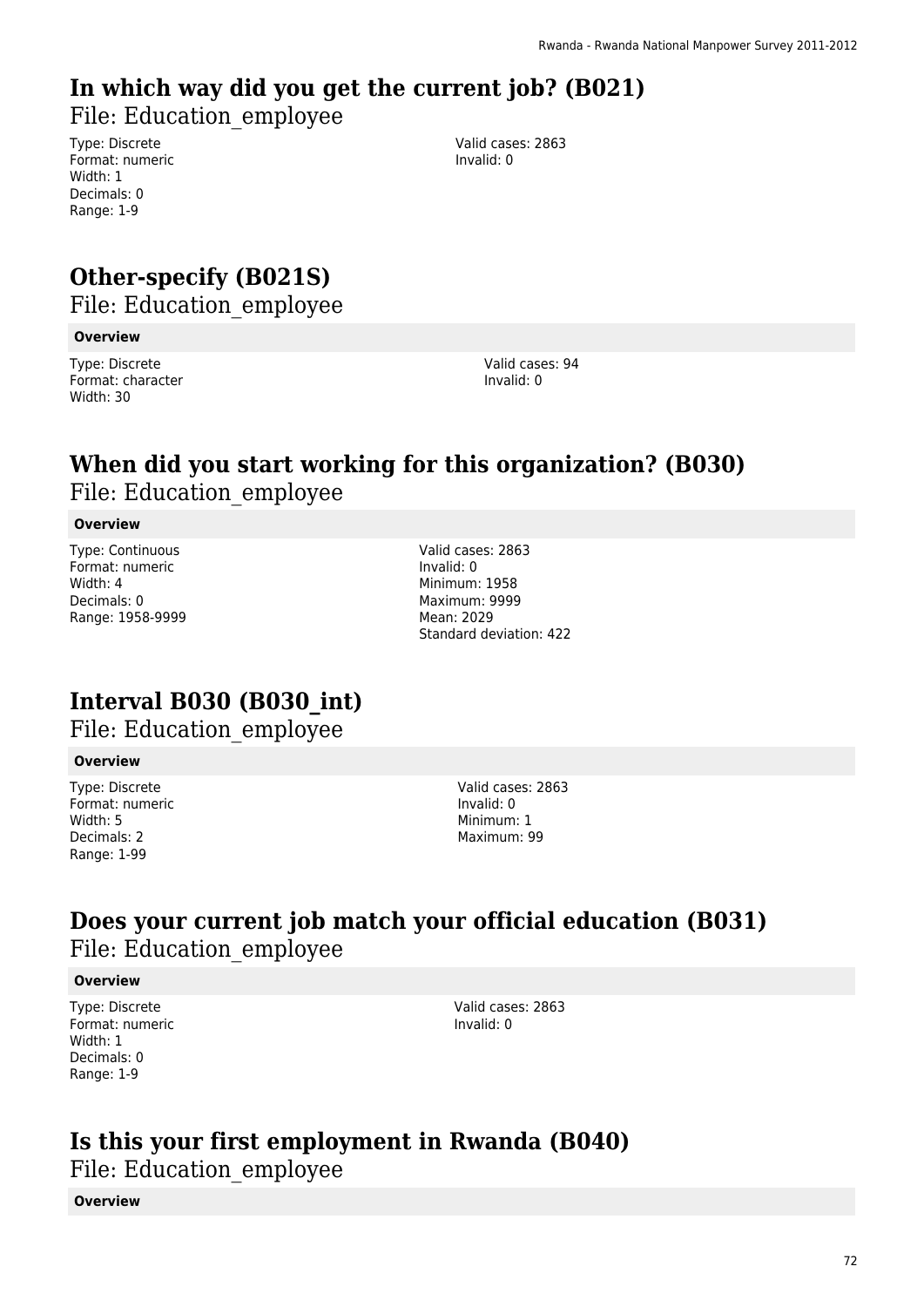# **In which way did you get the current job? (B021)**

File: Education\_employee

Type: Discrete Format: numeric Width: 1 Decimals: 0 Range: 1-9

Valid cases: 2863 Invalid: 0

# **Other-specify (B021S)**

File: Education\_employee

### **Overview**

Type: Discrete Format: character Width: 30

Valid cases: 94 Invalid: 0

### **When did you start working for this organization? (B030)**  File: Education\_employee

### **Overview**

Type: Continuous Format: numeric Width: 4 Decimals: 0 Range: 1958-9999

Valid cases: 2863 Invalid: 0 Minimum: 1958 Maximum: 9999 Mean: 2029 Standard deviation: 422

## **Interval B030 (B030\_int)**

### File: Education\_employee

### **Overview**

Type: Discrete Format: numeric Width: 5 Decimals: 2 Range: 1-99

Valid cases: 2863 Invalid: 0 Minimum: 1 Maximum: 99

### **Does your current job match your official education (B031)**  File: Education\_employee

### **Overview**

Type: Discrete Format: numeric Width: 1 Decimals: 0 Range: 1-9

Valid cases: 2863 Invalid: 0

### **Is this your first employment in Rwanda (B040)**

File: Education\_employee

#### **Overview**

72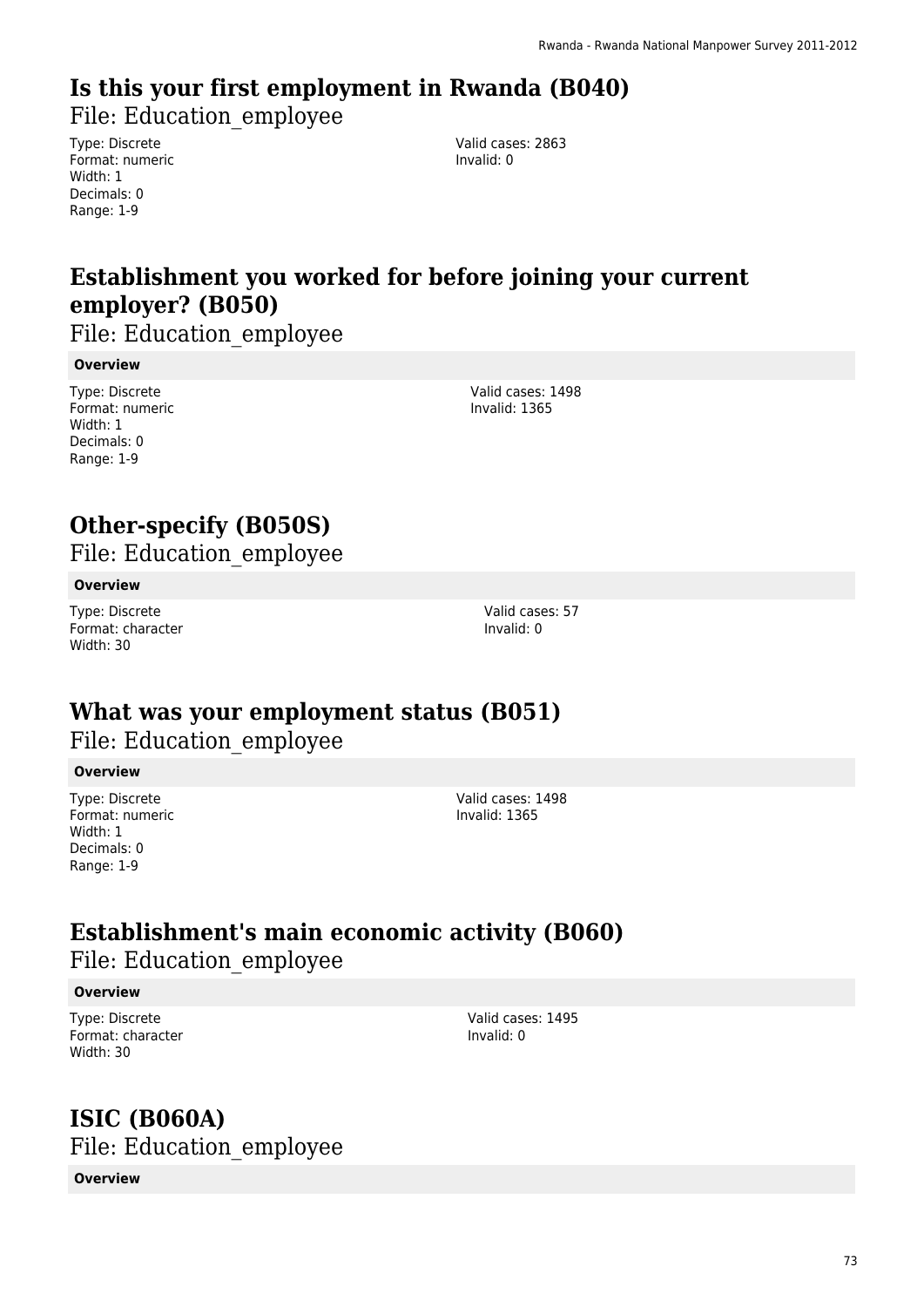### **Is this your first employment in Rwanda (B040)**

File: Education\_employee

Type: Discrete Format: numeric Width: 1 Decimals: 0 Range: 1-9

Valid cases: 2863 Invalid: 0

### **Establishment you worked for before joining your current employer? (B050)**

File: Education\_employee

#### **Overview**

Type: Discrete Format: numeric Width: 1 Decimals: 0 Range: 1-9

Valid cases: 1498 Invalid: 1365

### **Other-specify (B050S)**

File: Education\_employee

#### **Overview**

Type: Discrete Format: character Width: 30

Valid cases: 57 Invalid: 0

# **What was your employment status (B051)**

File: Education\_employee

#### **Overview**

Type: Discrete Format: numeric Width: 1 Decimals: 0 Range: 1-9

Valid cases: 1498 Invalid: 1365

### **Establishment's main economic activity (B060)**

File: Education\_employee

#### **Overview**

Type: Discrete Format: character Width: 30

Valid cases: 1495 Invalid: 0

### **ISIC (B060A)**

File: Education\_employee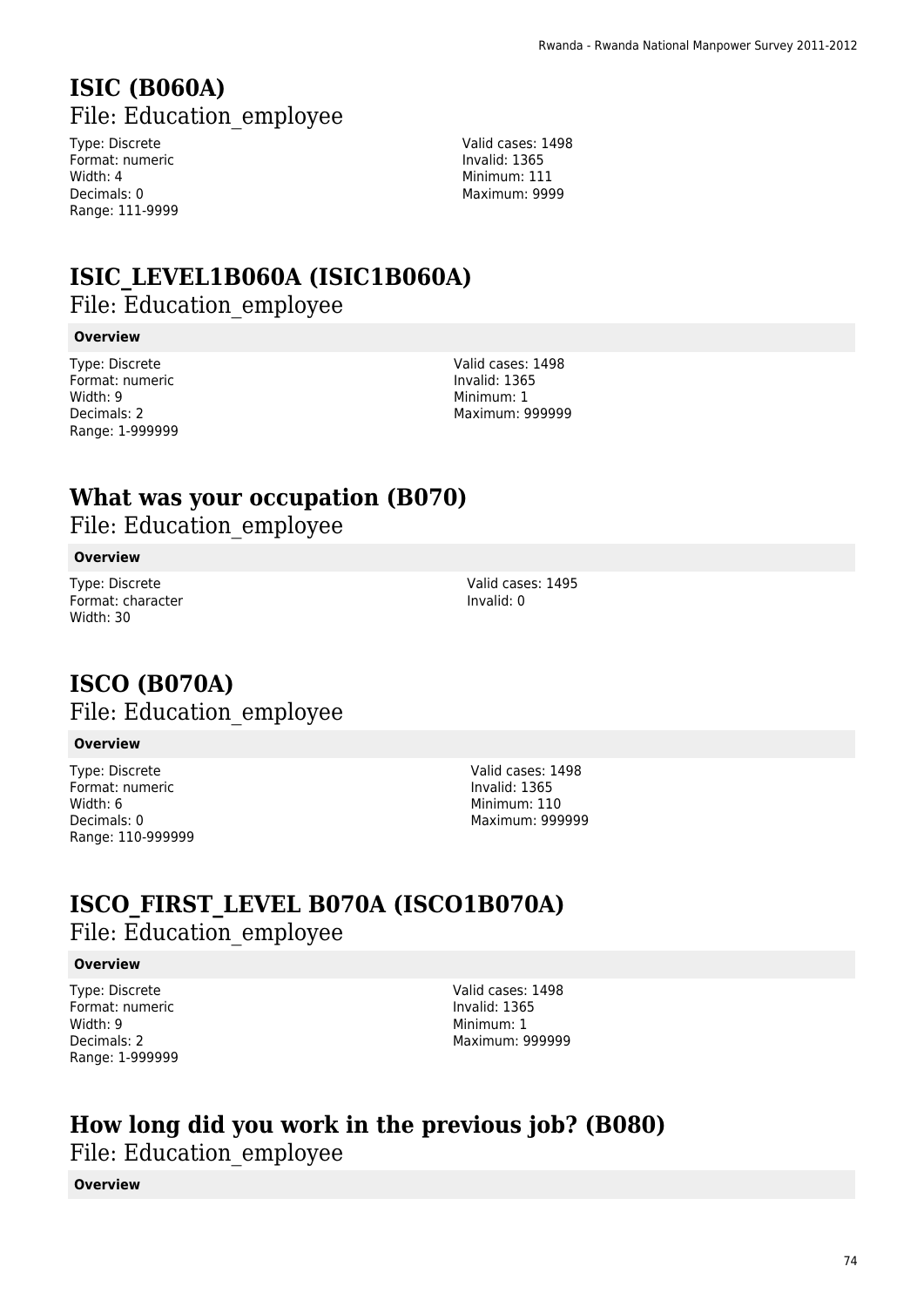### **ISIC (B060A)**  File: Education\_employee

Type: Discrete Format: numeric Width: 4 Decimals: 0 Range: 111-9999

Valid cases: 1498 Invalid: 1365 Minimum: 111 Maximum: 9999

### **ISIC\_LEVEL1B060A (ISIC1B060A)**  File: Education\_employee

#### **Overview**

Type: Discrete Format: numeric Width: 9 Decimals: 2 Range: 1-999999 Valid cases: 1498 Invalid: 1365 Minimum: 1 Maximum: 999999

Valid cases: 1495 Invalid: 0

### **What was your occupation (B070)**

File: Education\_employee

#### **Overview**

Type: Discrete Format: character Width: 30

### **ISCO (B070A)**

#### File: Education\_employee

#### **Overview**

Type: Discrete Format: numeric Width: 6 Decimals: 0 Range: 110-999999

Valid cases: 1498 Invalid: 1365 Minimum: 110 Maximum: 999999

### **ISCO\_FIRST\_LEVEL B070A (ISCO1B070A)**  File: Education\_employee

#### **Overview**

Type: Discrete Format: numeric Width: 9 Decimals: 2 Range: 1-999999 Valid cases: 1498 Invalid: 1365 Minimum: 1 Maximum: 999999

### **How long did you work in the previous job? (B080)**

File: Education\_employee

#### **Overview**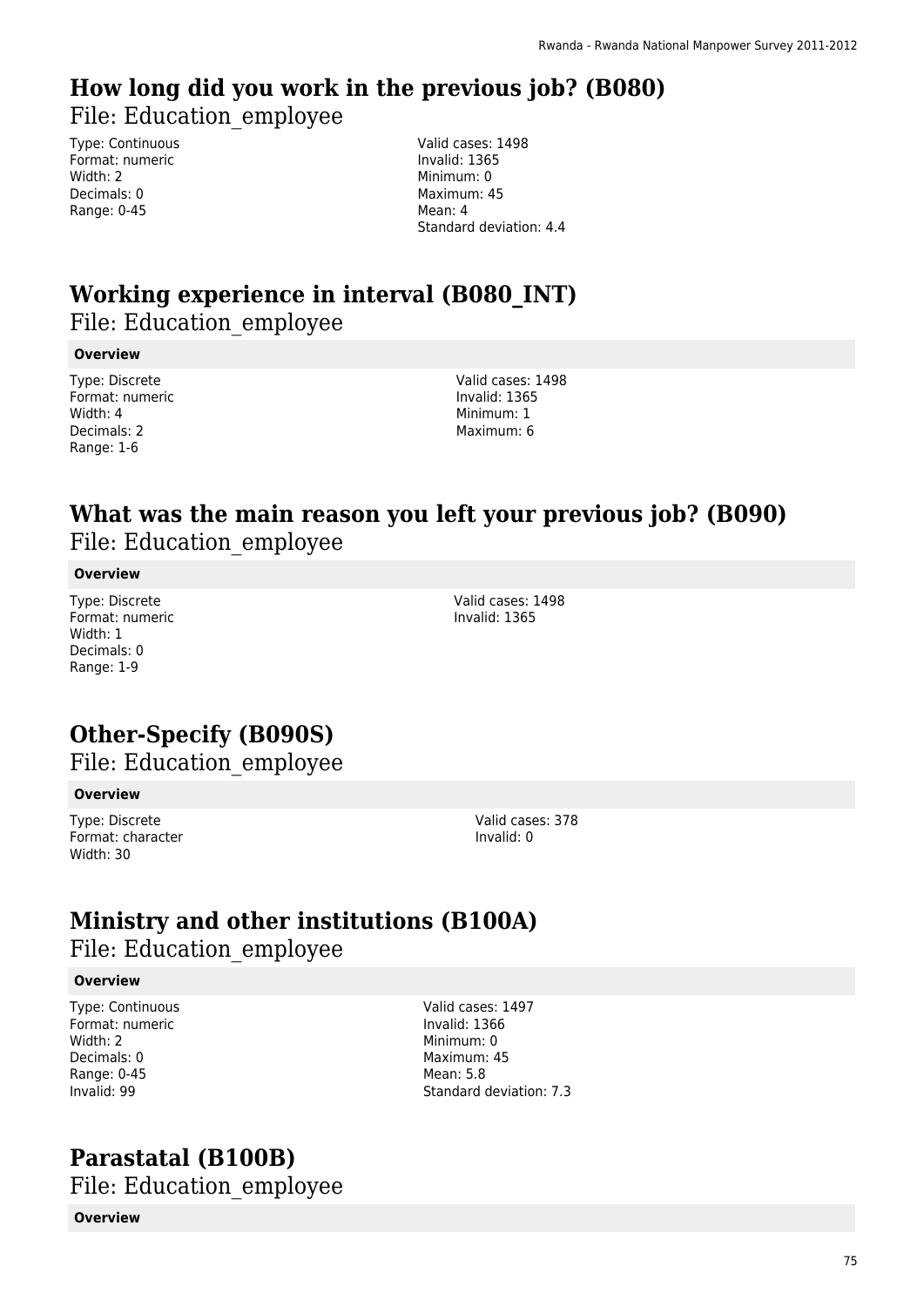# **How long did you work in the previous job? (B080)**

File: Education\_employee

Type: Continuous Format: numeric Width: 2 Decimals: 0 Range: 0-45

Valid cases: 1498 Invalid: 1365 Minimum: 0 Maximum: 45 Mean: 4 Standard deviation: 4.4

# **Working experience in interval (B080\_INT)**

File: Education\_employee

**Overview**

Type: Discrete Format: numeric Width: 4 Decimals: 2 Range: 1-6

Valid cases: 1498 Invalid: 1365 Minimum: 1 Maximum: 6

### **What was the main reason you left your previous job? (B090)**  File: Education\_employee

#### **Overview**

Type: Discrete Format: numeric Width: 1 Decimals: 0 Range: 1-9

Valid cases: 1498 Invalid: 1365

# **Other-Specify (B090S)**

File: Education\_employee

#### **Overview**

Type: Discrete Format: character Width: 30

Valid cases: 378 Invalid: 0

### **Ministry and other institutions (B100A)**

File: Education\_employee

#### **Overview**

Type: Continuous Format: numeric Width: 2 Decimals: 0 Range: 0-45 Invalid: 99

Valid cases: 1497 Invalid: 1366 Minimum: 0 Maximum: 45 Mean: 5.8 Standard deviation: 7.3

### **Parastatal (B100B)**  File: Education\_employee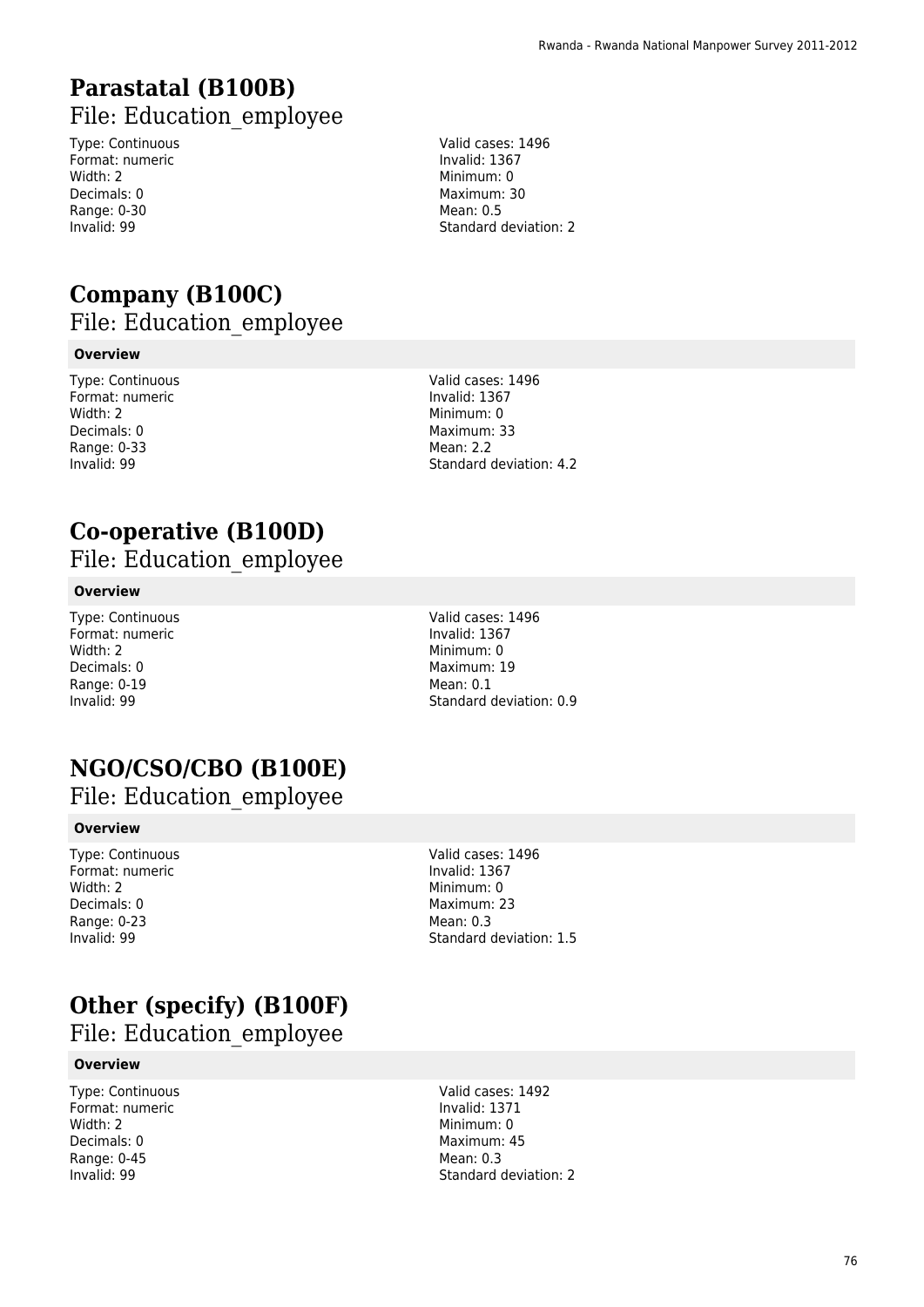### **Parastatal (B100B)**  File: Education\_employee

Type: Continuous Format: numeric Width: 2 Decimals: 0 Range: 0-30 Invalid: 99

Valid cases: 1496 Invalid: 1367 Minimum: 0 Maximum: 30 Mean: 0.5 Standard deviation: 2

# **Company (B100C)**

File: Education\_employee

#### **Overview**

Type: Continuous Format: numeric Width: 2 Decimals: 0 Range: 0-33 Invalid: 99

Valid cases: 1496 Invalid: 1367 Minimum: 0 Maximum: 33 Mean: 2.2 Standard deviation: 4.2

### **Co-operative (B100D)**  File: Education\_employee

#### **Overview**

Type: Continuous Format: numeric Width: 2 Decimals: 0 Range: 0-19 Invalid: 99

Valid cases: 1496 Invalid: 1367 Minimum: 0 Maximum: 19 Mean: 0.1 Standard deviation: 0.9

# **NGO/CSO/CBO (B100E)**

File: Education\_employee

#### **Overview**

Type: Continuous Format: numeric Width: 2 Decimals: 0 Range: 0-23 Invalid: 99

Valid cases: 1496 Invalid: 1367 Minimum: 0 Maximum: 23  $Mean: 0.3$ Standard deviation: 1.5

### **Other (specify) (B100F)**

File: Education\_employee

#### **Overview**

Type: Continuous Format: numeric Width: 2 Decimals: 0 Range: 0-45 Invalid: 99

Valid cases: 1492 Invalid: 1371 Minimum: 0 Maximum: 45 Mean: 0.3 Standard deviation: 2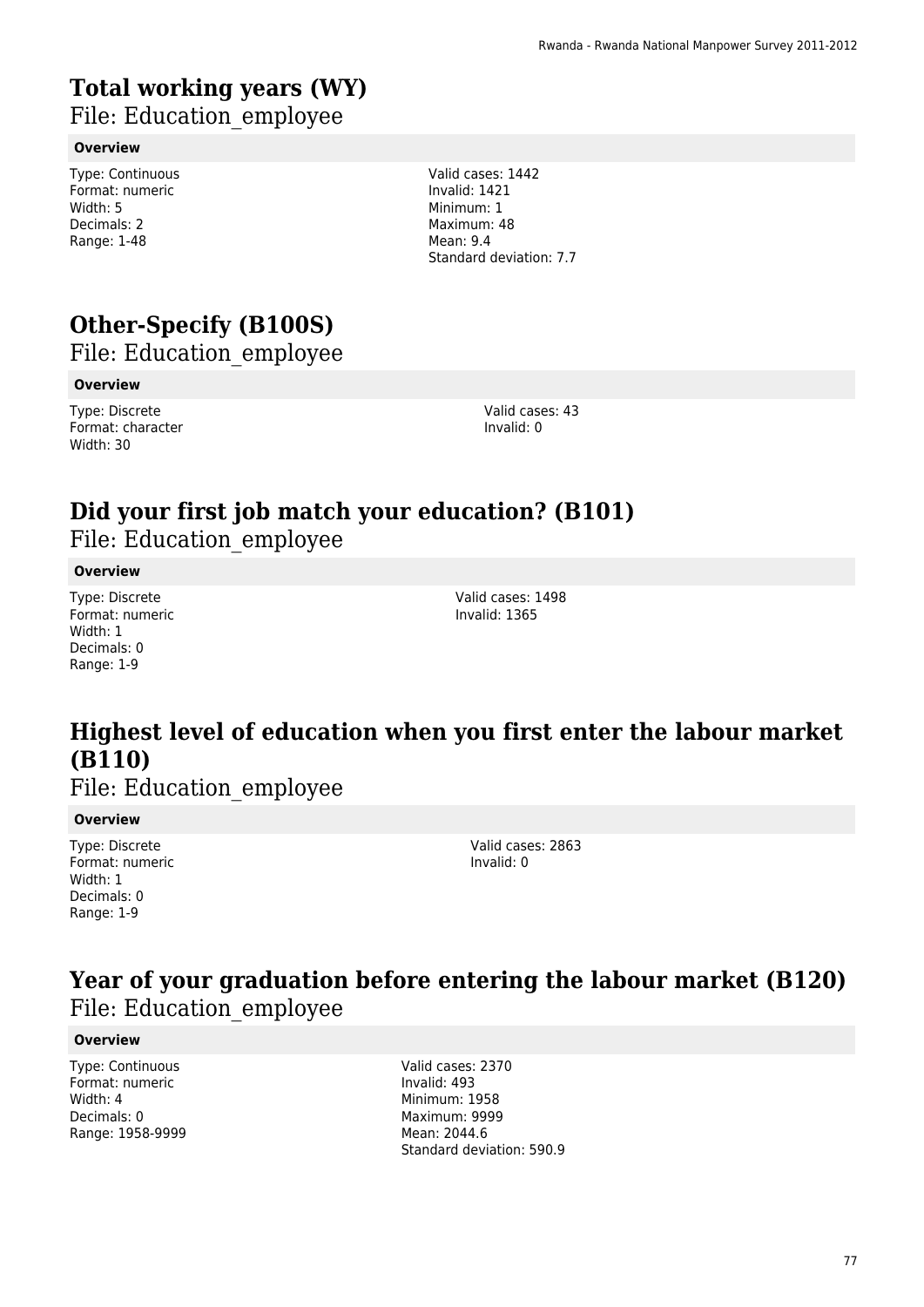# **Total working years (WY)**

File: Education\_employee

#### **Overview**

Type: Continuous Format: numeric Width: 5 Decimals: 2 Range: 1-48

Valid cases: 1442 Invalid: 1421 Minimum: 1 Maximum: 48 Mean: 9.4 Standard deviation: 7.7

# **Other-Specify (B100S)**

File: Education\_employee

**Overview**

Type: Discrete Format: character Width: 30

Valid cases: 43 Invalid: 0

## **Did your first job match your education? (B101)**

File: Education\_employee

#### **Overview**

Type: Discrete Format: numeric Width: 1 Decimals: 0 Range: 1-9

Valid cases: 1498 Invalid: 1365

### **Highest level of education when you first enter the labour market (B110)**

File: Education\_employee

#### **Overview**

Type: Discrete Format: numeric Width: 1 Decimals: 0 Range: 1-9

Valid cases: 2863 Invalid: 0

### **Year of your graduation before entering the labour market (B120)**  File: Education\_employee

#### **Overview**

Type: Continuous Format: numeric Width: 4 Decimals: 0 Range: 1958-9999

Valid cases: 2370 Invalid: 493 Minimum: 1958 Maximum: 9999 Mean: 2044.6 Standard deviation: 590.9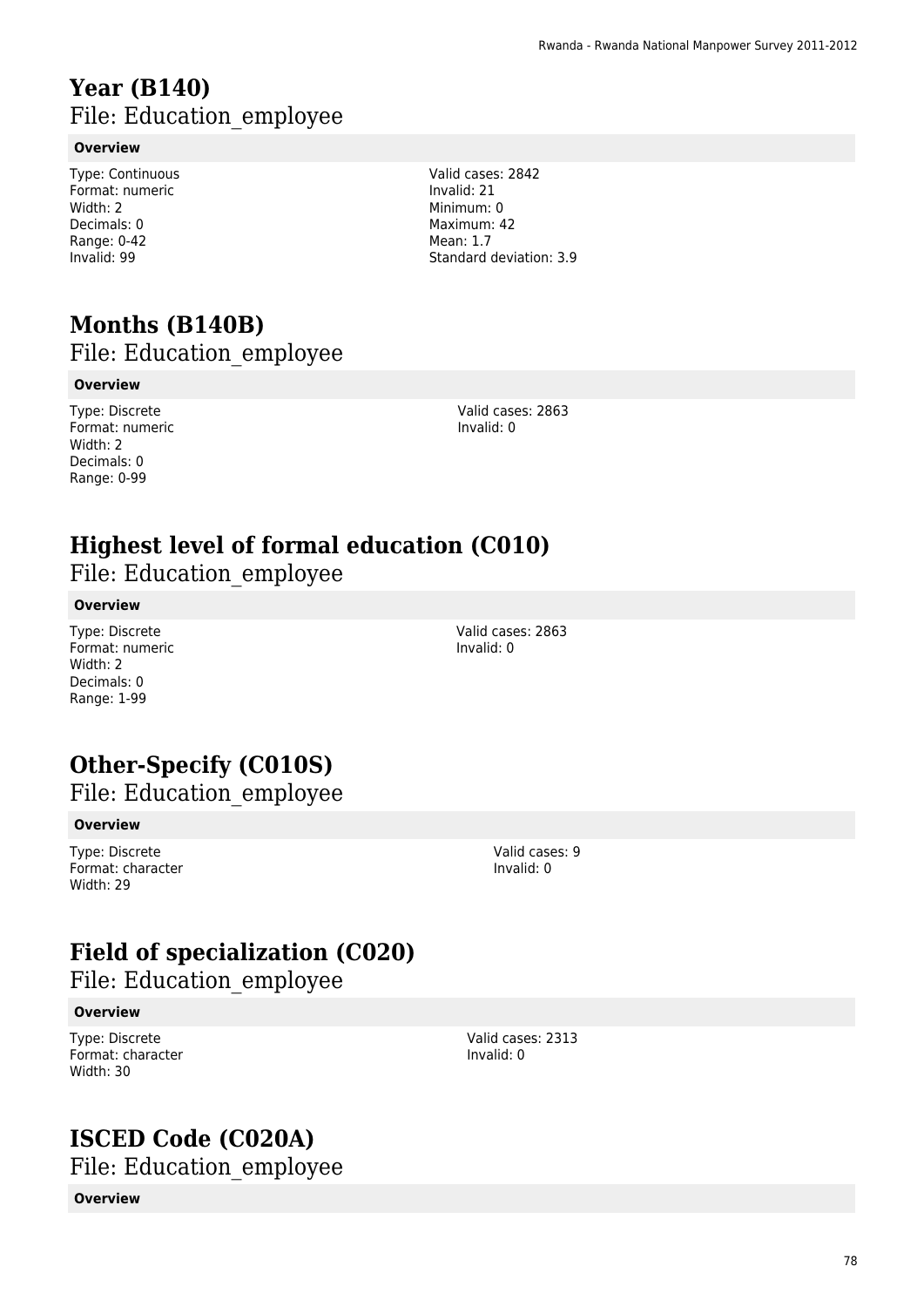### **Year (B140)**  File: Education\_employee

#### **Overview**

Type: Continuous Format: numeric Width: 2 Decimals: 0 Range: 0-42 Invalid: 99

Valid cases: 2842 Invalid: 21 Minimum: 0 Maximum: 42 Mean: 1.7 Standard deviation: 3.9

### **Months (B140B)**  File: Education\_employee

#### **Overview**

Type: Discrete Format: numeric Width: 2 Decimals: 0 Range: 0-99

Valid cases: 2863 Invalid: 0

## **Highest level of formal education (C010)**

File: Education\_employee

#### **Overview**

Type: Discrete Format: numeric Width: 2 Decimals: 0 Range: 1-99

Valid cases: 2863 Invalid: 0

### **Other-Specify (C010S)**

File: Education\_employee

#### **Overview**

Type: Discrete Format: character Width: 29

### **Field of specialization (C020)**

File: Education\_employee

#### **Overview**

Type: Discrete Format: character Width: 30

### **ISCED Code (C020A)**

File: Education\_employee

**Overview**

Valid cases: 9 Invalid: 0

Valid cases: 2313 Invalid: 0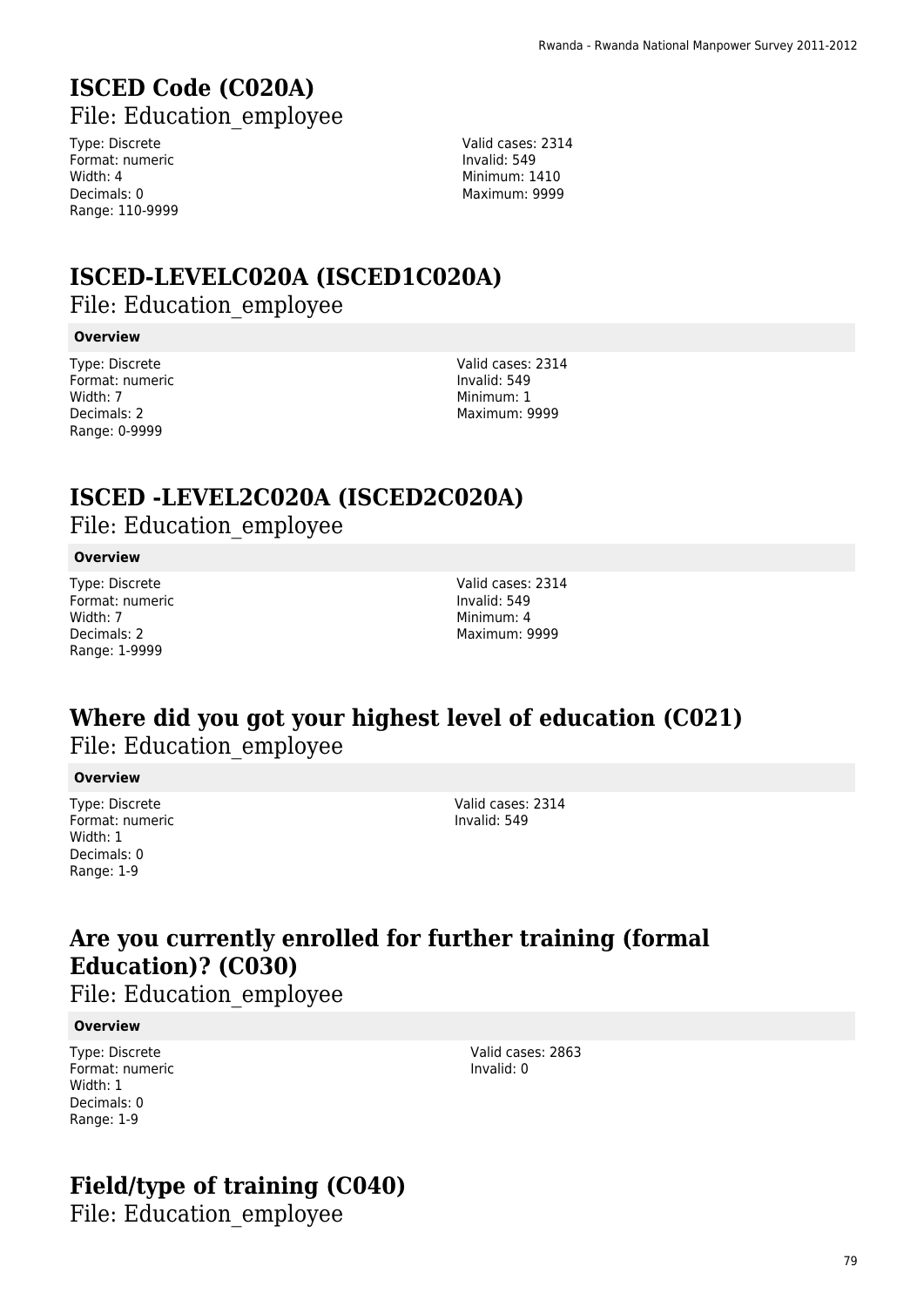### **ISCED Code (C020A)**  File: Education\_employee

Type: Discrete

Format: numeric Width: 4 Decimals: 0 Range: 110-9999

Valid cases: 2314 Invalid: 549 Minimum: 1410 Maximum: 9999

# **ISCED-LEVELC020A (ISCED1C020A)**

### File: Education\_employee

#### **Overview**

Type: Discrete Format: numeric Width: 7 Decimals: 2 Range: 0-9999

Valid cases: 2314 Invalid: 549 Minimum: 1 Maximum: 9999

### **ISCED -LEVEL2C020A (ISCED2C020A)**

File: Education\_employee

#### **Overview**

Type: Discrete Format: numeric Width: 7 Decimals: 2 Range: 1-9999

Valid cases: 2314 Invalid: 549 Minimum: 4 Maximum: 9999

### **Where did you got your highest level of education (C021)**  File: Education\_employee

#### **Overview**

Type: Discrete Format: numeric Width: 1 Decimals: 0 Range: 1-9

Valid cases: 2314 Invalid: 549

### **Are you currently enrolled for further training (formal Education)? (C030)**

File: Education\_employee

#### **Overview**

Type: Discrete Format: numeric Width: 1 Decimals: 0 Range: 1-9

Valid cases: 2863 Invalid: 0

### **Field/type of training (C040)**

File: Education\_employee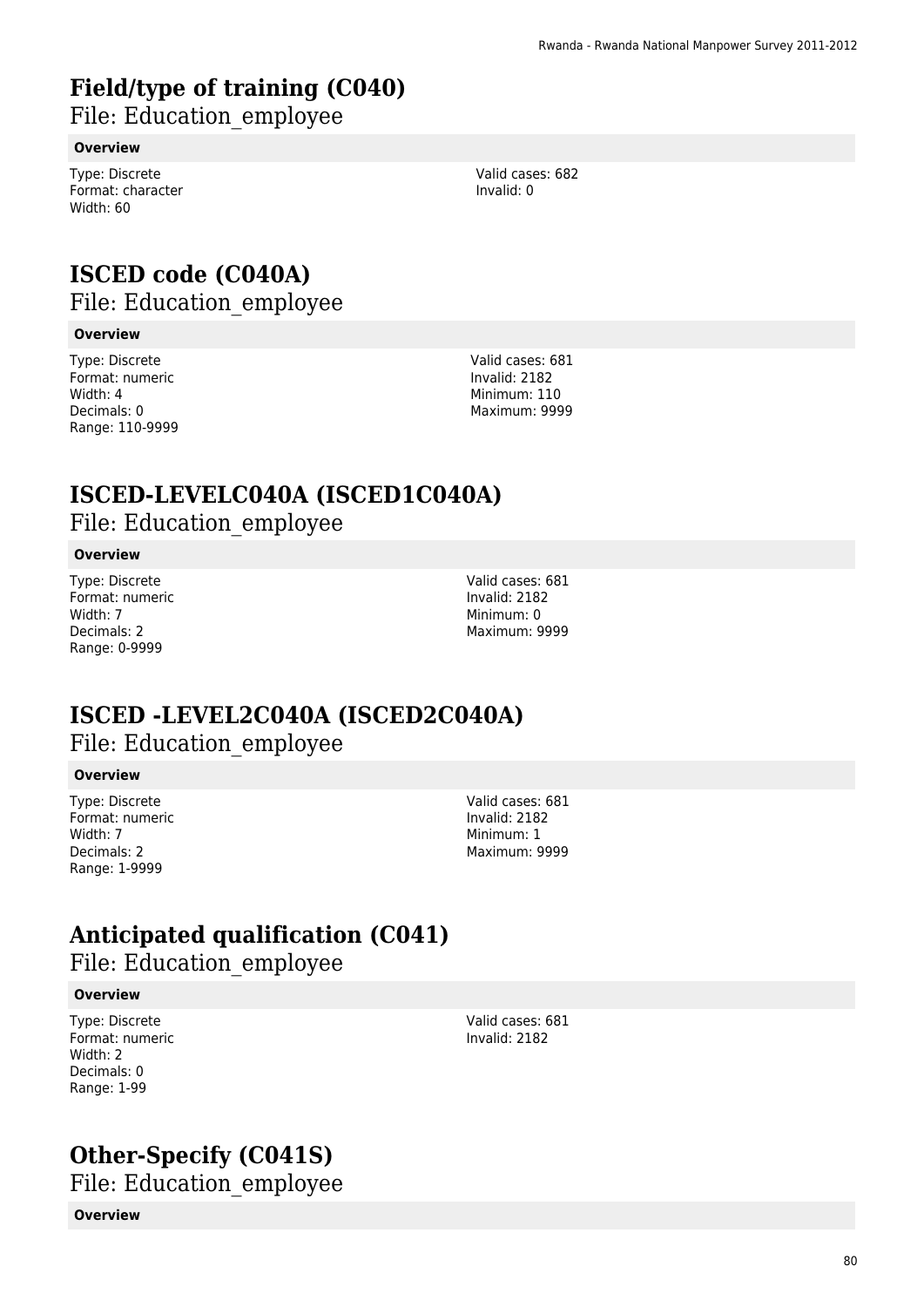### **Field/type of training (C040)**

File: Education\_employee

#### **Overview**

Type: Discrete Format: character Width: 60

Valid cases: 682 Invalid: 0

### **ISCED code (C040A)**  File: Education\_employee

#### **Overview**

Type: Discrete Format: numeric Width: 4 Decimals: 0 Range: 110-9999

Valid cases: 681 Invalid: 2182 Minimum: 110 Maximum: 9999

# **ISCED-LEVELC040A (ISCED1C040A)**

File: Education\_employee

#### **Overview**

Type: Discrete Format: numeric Width: 7 Decimals: 2 Range: 0-9999

Valid cases: 681 Invalid: 2182 Minimum: 0 Maximum: 9999

### **ISCED -LEVEL2C040A (ISCED2C040A)**

### File: Education\_employee

#### **Overview**

Type: Discrete Format: numeric Width: 7 Decimals: 2 Range: 1-9999

Valid cases: 681 Invalid: 2182 Minimum: 1 Maximum: 9999

### **Anticipated qualification (C041)**

File: Education\_employee

#### **Overview**

Type: Discrete Format: numeric Width: 2 Decimals: 0 Range: 1-99

Valid cases: 681 Invalid: 2182

### **Other-Specify (C041S)**

File: Education\_employee

#### **Overview**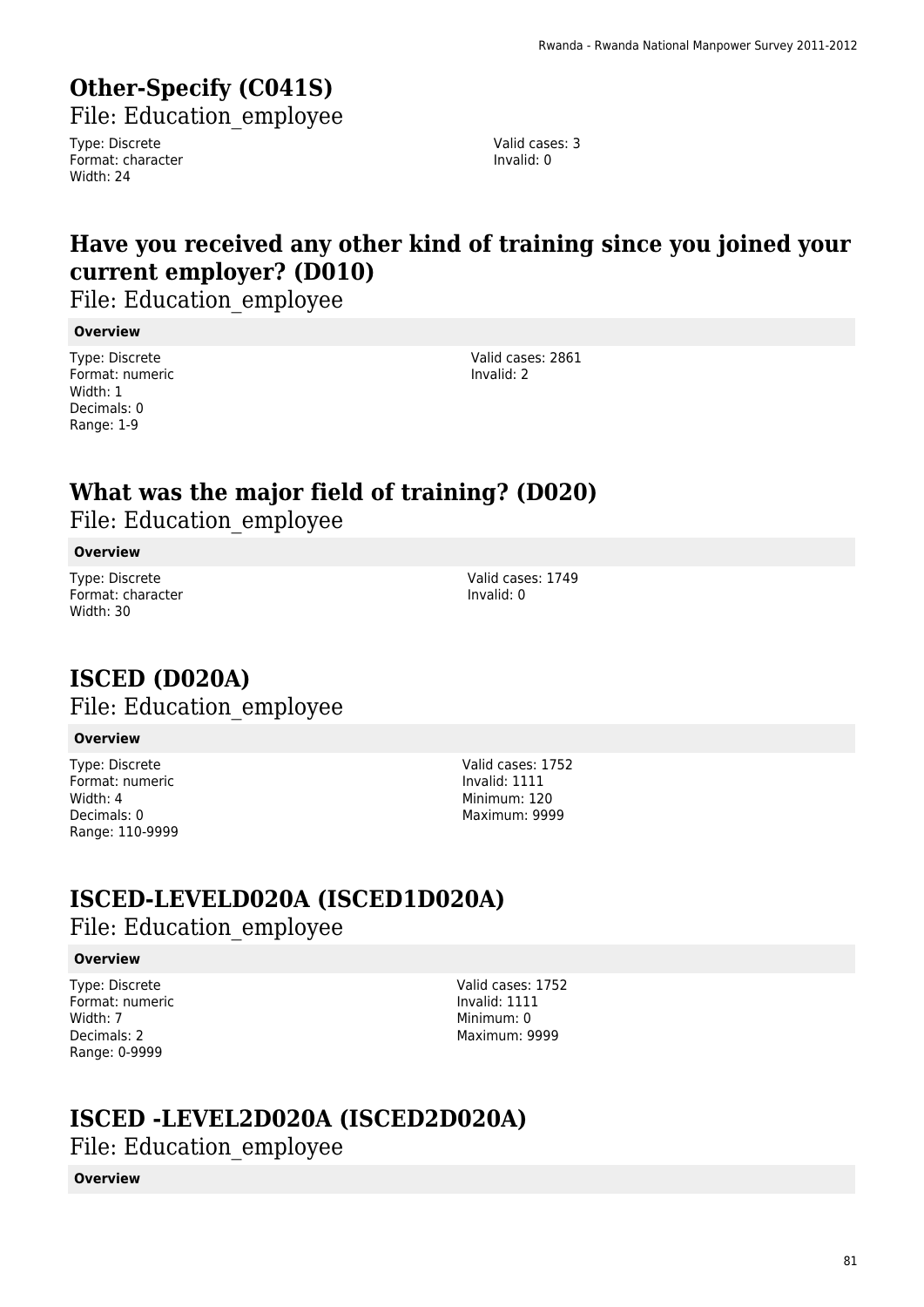### **Other-Specify (C041S)**

File: Education\_employee

Type: Discrete Format: character Width: 24

Valid cases: 3 Invalid: 0

### **Have you received any other kind of training since you joined your current employer? (D010)**

File: Education\_employee

#### **Overview**

Type: Discrete Format: numeric Width: 1 Decimals: 0 Range: 1-9

Valid cases: 2861 Invalid: 2

### **What was the major field of training? (D020)**

File: Education\_employee

#### **Overview**

Type: Discrete Format: character Width: 30

Valid cases: 1749 Invalid: 0

### **ISCED (D020A)**  File: Education\_employee

#### **Overview**

Type: Discrete Format: numeric Width: 4 Decimals: 0 Range: 110-9999

Valid cases: 1752 Invalid: 1111 Minimum: 120 Maximum: 9999

## **ISCED-LEVELD020A (ISCED1D020A)**

File: Education\_employee

#### **Overview**

Type: Discrete Format: numeric Width: 7 Decimals: 2 Range: 0-9999

Valid cases: 1752 Invalid: 1111 Minimum: 0 Maximum: 9999

### **ISCED -LEVEL2D020A (ISCED2D020A)**

File: Education\_employee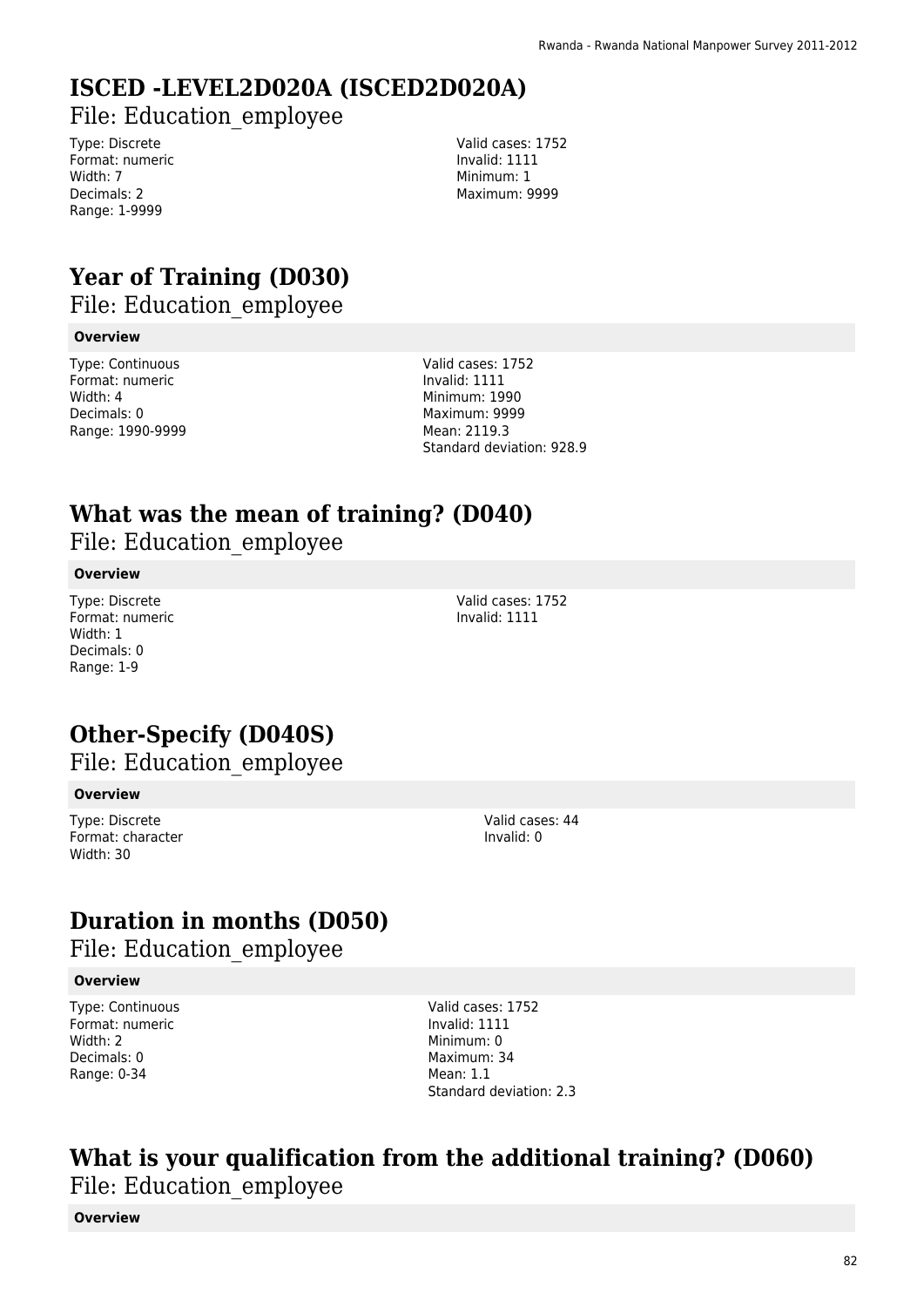### **ISCED -LEVEL2D020A (ISCED2D020A)**

File: Education\_employee

Type: Discrete Format: numeric Width: 7 Decimals: 2 Range: 1-9999

Valid cases: 1752 Invalid: 1111 Minimum: 1 Maximum: 9999

# **Year of Training (D030)**

File: Education\_employee

#### **Overview**

Type: Continuous Format: numeric Width: 4 Decimals: 0 Range: 1990-9999 Valid cases: 1752 Invalid: 1111 Minimum: 1990 Maximum: 9999 Mean: 2119.3 Standard deviation: 928.9

### **What was the mean of training? (D040)**

File: Education\_employee

#### **Overview**

Type: Discrete Format: numeric Width: 1 Decimals: 0 Range: 1-9

Valid cases: 1752 Invalid: 1111

# **Other-Specify (D040S)**

File: Education\_employee

#### **Overview**

Type: Discrete Format: character Width: 30

Valid cases: 44 Invalid: 0

### **Duration in months (D050)**

File: Education\_employee

#### **Overview**

Type: Continuous Format: numeric Width: 2 Decimals: 0 Range: 0-34

Valid cases: 1752 Invalid: 1111 Minimum: 0 Maximum: 34 Mean: 1.1 Standard deviation: 2.3

### **What is your qualification from the additional training? (D060)**  File: Education\_employee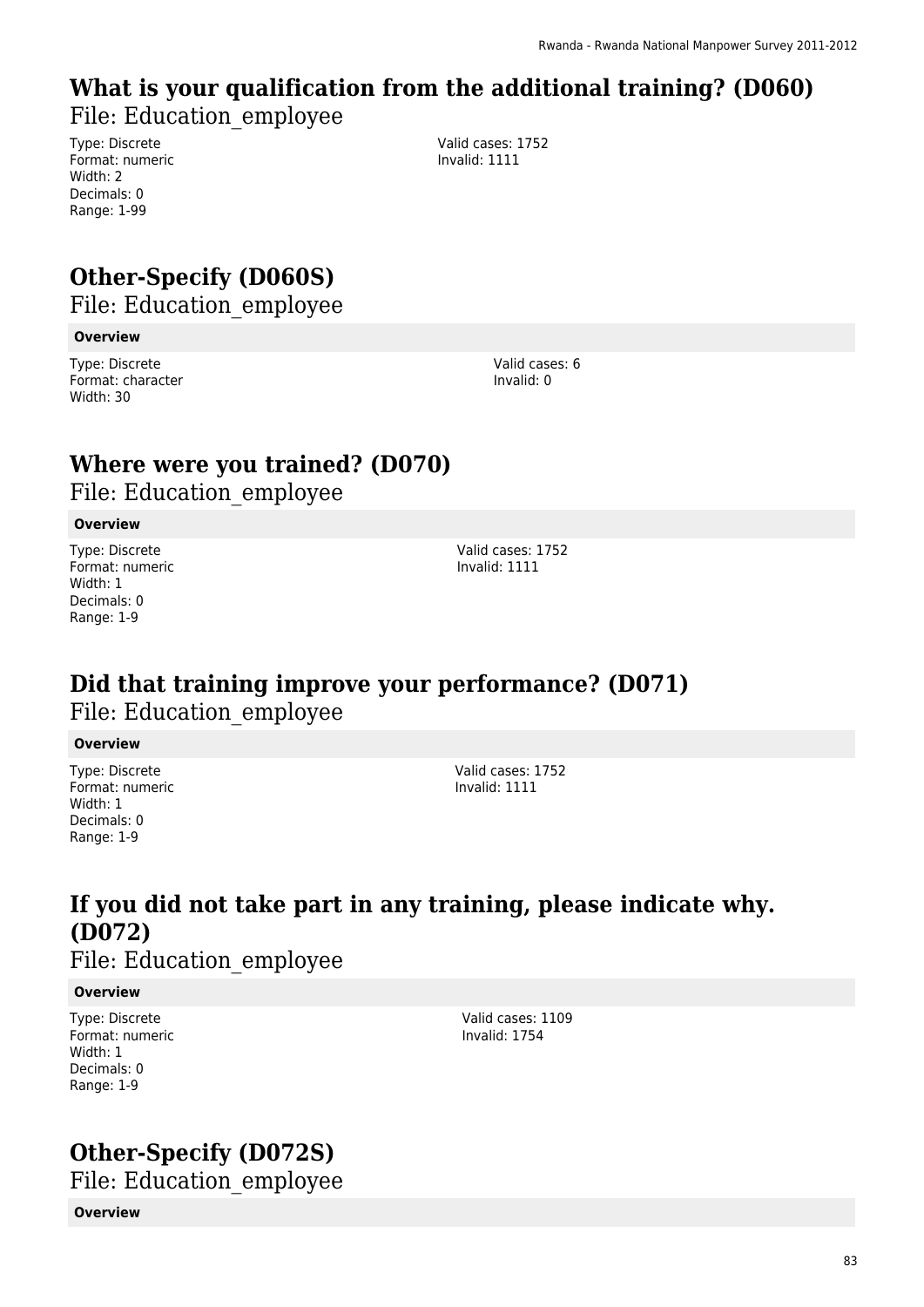# **What is your qualification from the additional training? (D060)**

File: Education\_employee

Type: Discrete Format: numeric Width: 2 Decimals: 0 Range: 1-99

Valid cases: 1752 Invalid: 1111

# **Other-Specify (D060S)**

File: Education\_employee

#### **Overview**

Type: Discrete Format: character Width: 30

Valid cases: 6 Invalid: 0

### **Where were you trained? (D070)**  File: Education\_employee

#### **Overview**

Type: Discrete Format: numeric Width: 1 Decimals: 0 Range: 1-9

Valid cases: 1752 Invalid: 1111

### **Did that training improve your performance? (D071)**  File: Education\_employee

#### **Overview**

Type: Discrete Format: numeric Width: 1 Decimals: 0 Range: 1-9

Valid cases: 1752 Invalid: 1111

## **If you did not take part in any training, please indicate why. (D072)**

File: Education\_employee

#### **Overview**

Type: Discrete Format: numeric Width: 1 Decimals: 0 Range: 1-9

Valid cases: 1109 Invalid: 1754

## **Other-Specify (D072S)**

File: Education\_employee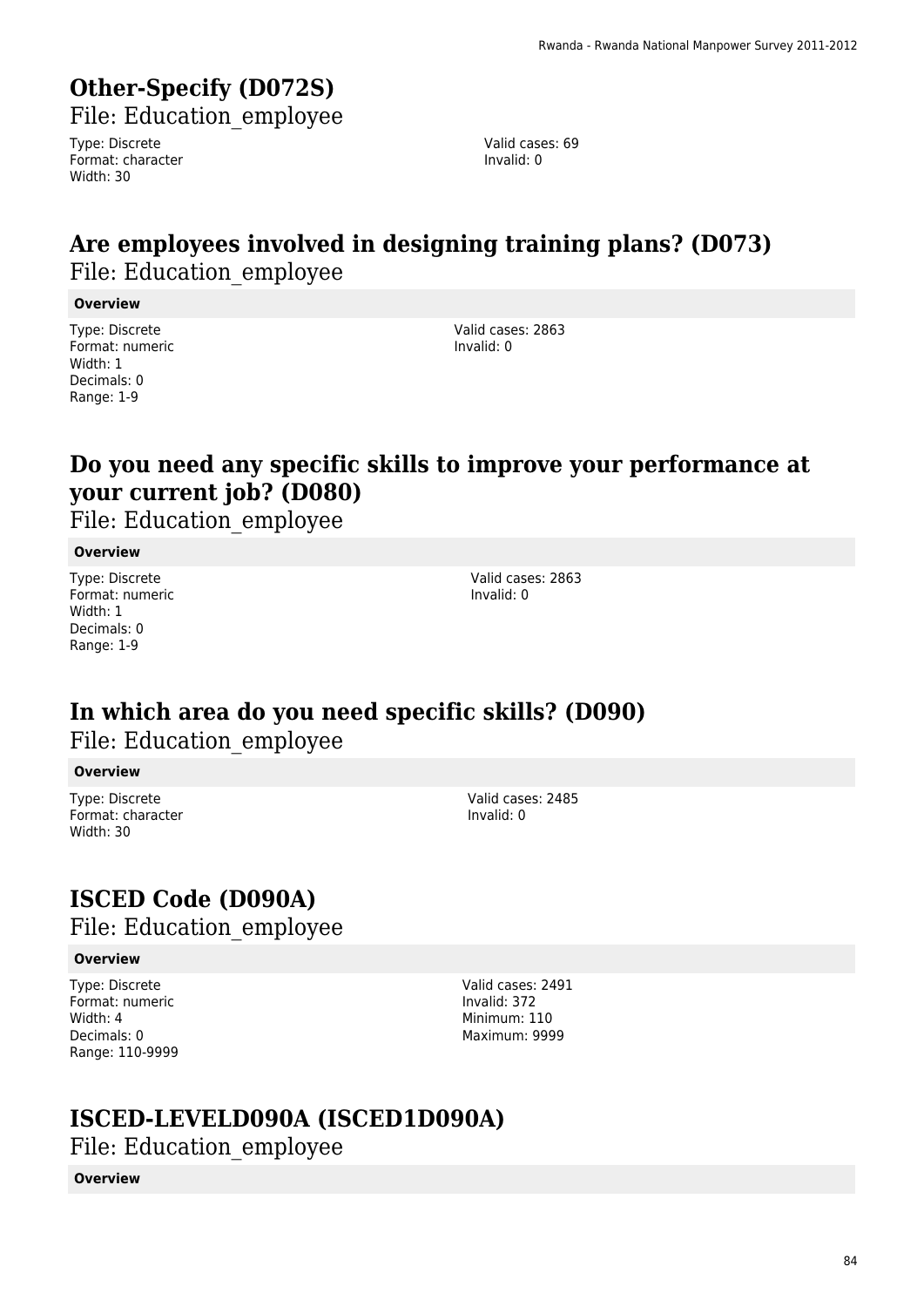## **Other-Specify (D072S)**

File: Education\_employee

Type: Discrete Format: character Width: 30

Valid cases: 69 Invalid: 0

### **Are employees involved in designing training plans? (D073)**  File: Education\_employee

#### **Overview**

Type: Discrete Format: numeric Width: 1 Decimals: 0 Range: 1-9

Valid cases: 2863 Invalid: 0

### **Do you need any specific skills to improve your performance at your current job? (D080)**

File: Education\_employee

#### **Overview**

Type: Discrete Format: numeric Width: 1 Decimals: 0 Range: 1-9

Valid cases: 2863 Invalid: 0

### **In which area do you need specific skills? (D090)**  File: Education\_employee

#### **Overview**

Type: Discrete Format: character Width: 30

Valid cases: 2485 Invalid: 0

# **ISCED Code (D090A)**

File: Education\_employee

#### **Overview**

Type: Discrete Format: numeric Width: 4 Decimals: 0 Range: 110-9999 Valid cases: 2491 Invalid: 372 Minimum: 110 Maximum: 9999

### **ISCED-LEVELD090A (ISCED1D090A)**

File: Education\_employee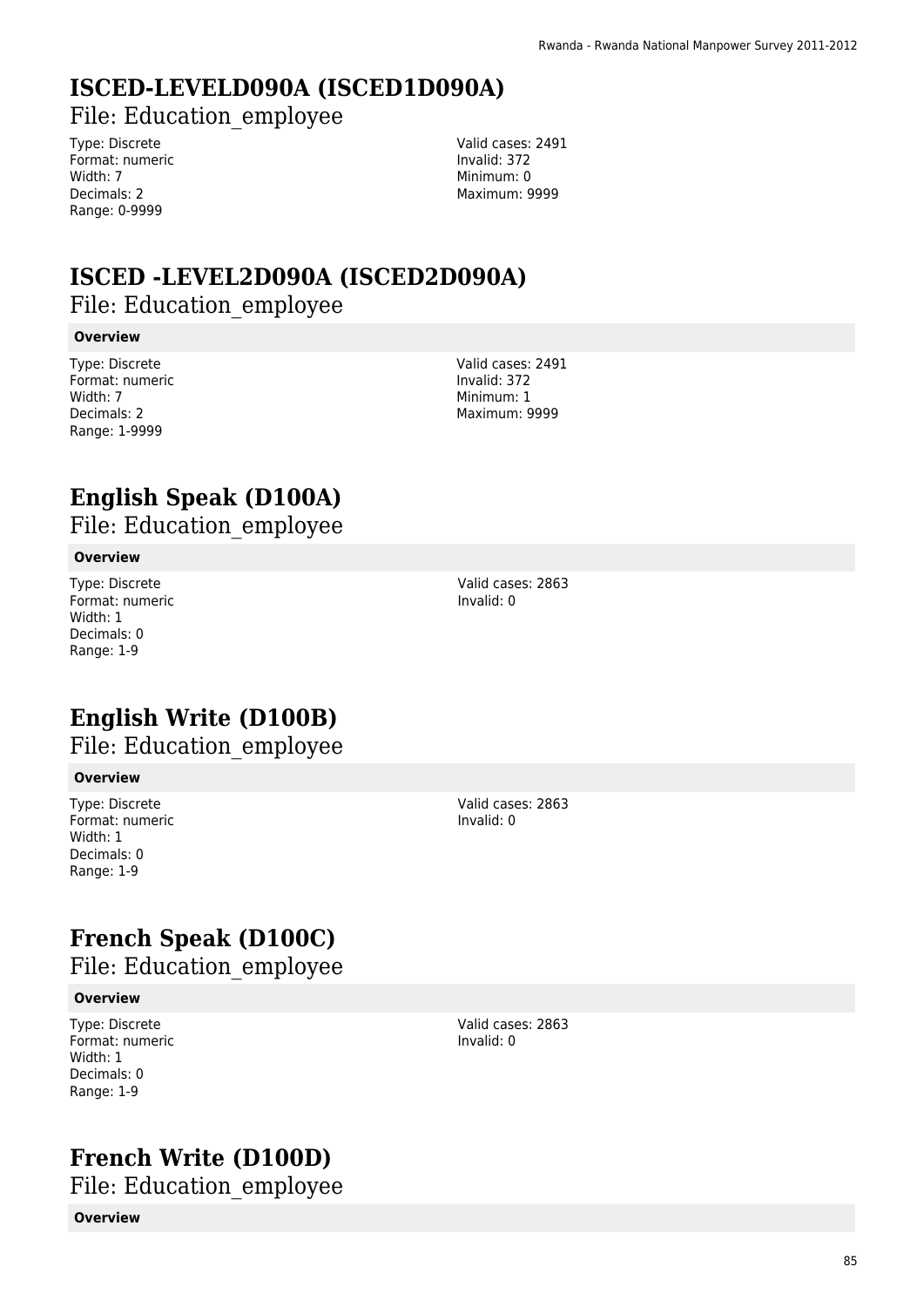### **ISCED-LEVELD090A (ISCED1D090A)**

File: Education\_employee

Type: Discrete Format: numeric Width: 7 Decimals: 2 Range: 0-9999

Valid cases: 2491 Invalid: 372 Minimum: 0 Maximum: 9999

# **ISCED -LEVEL2D090A (ISCED2D090A)**

File: Education\_employee

#### **Overview**

Type: Discrete Format: numeric Width: 7 Decimals: 2 Range: 1-9999

Valid cases: 2491 Invalid: 372 Minimum: 1 Maximum: 9999

# **English Speak (D100A)**

File: Education\_employee

#### **Overview**

Type: Discrete Format: numeric Width: 1 Decimals: 0 Range: 1-9

Valid cases: 2863 Invalid: 0

### **English Write (D100B)**

File: Education\_employee

#### **Overview**

Type: Discrete Format: numeric Width: 1 Decimals: 0 Range: 1-9

Valid cases: 2863 Invalid: 0

# **French Speak (D100C)**

File: Education\_employee

#### **Overview**

Type: Discrete Format: numeric Width: 1 Decimals: 0 Range: 1-9

Valid cases: 2863 Invalid: 0

### **French Write (D100D)**

File: Education\_employee

**Overview**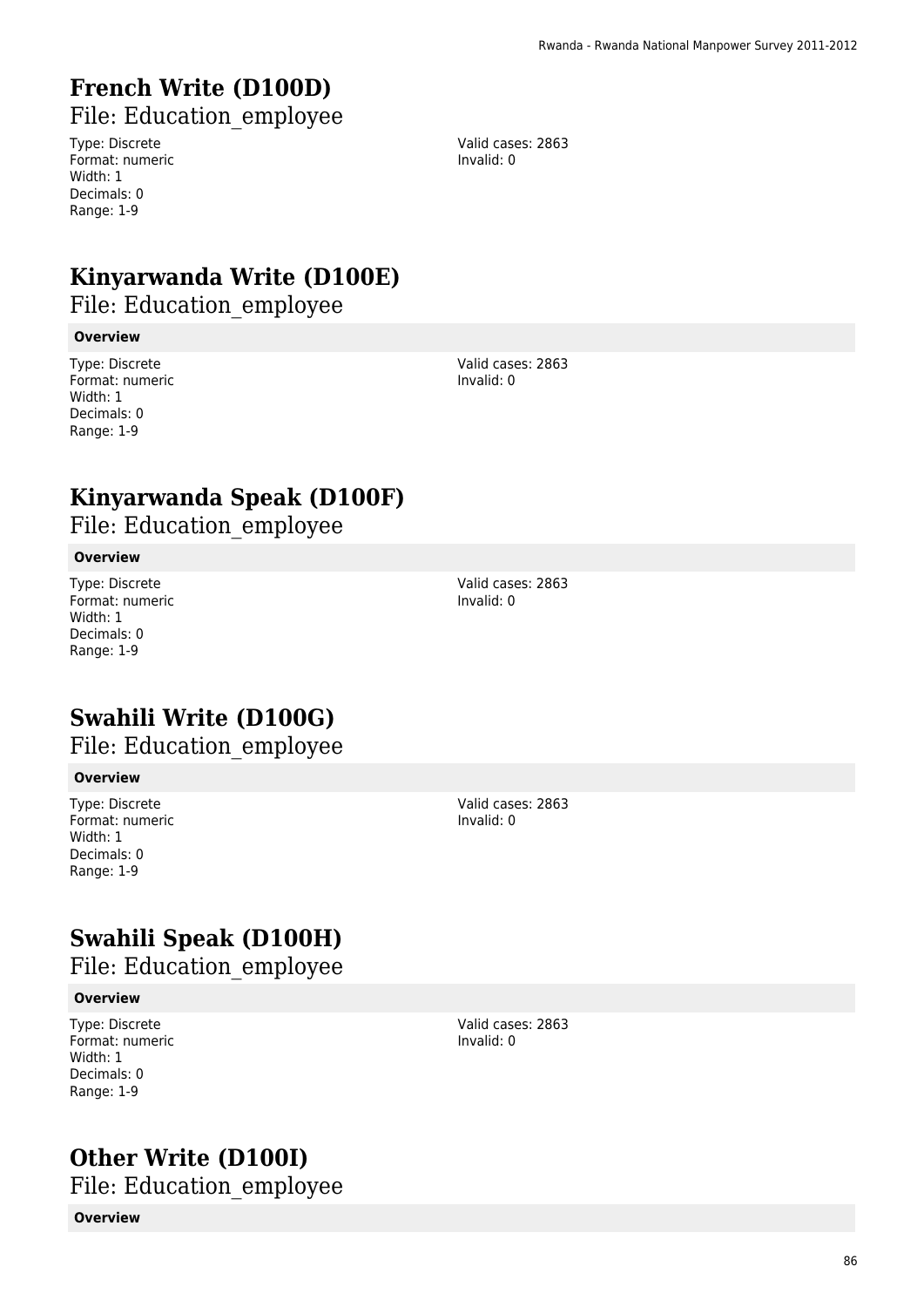# **French Write (D100D)**

File: Education\_employee

Type: Discrete Format: numeric Width: 1 Decimals: 0 Range: 1-9

# **Kinyarwanda Write (D100E)**

File: Education\_employee

#### **Overview**

Type: Discrete Format: numeric Width: 1 Decimals: 0 Range: 1-9

Valid cases: 2863 Invalid: 0

Valid cases: 2863

Invalid: 0

## **Kinyarwanda Speak (D100F)**

File: Education\_employee

#### **Overview**

Type: Discrete Format: numeric Width: 1 Decimals: 0 Range: 1-9

Valid cases: 2863 Invalid: 0

### **Swahili Write (D100G)**

File: Education\_employee

#### **Overview**

Type: Discrete Format: numeric Width: 1 Decimals: 0 Range: 1-9

Valid cases: 2863 Invalid: 0

### **Swahili Speak (D100H)**

File: Education\_employee

#### **Overview**

Type: Discrete Format: numeric Width: 1 Decimals: 0 Range: 1-9

Valid cases: 2863 Invalid: 0

### **Other Write (D100I)**

File: Education\_employee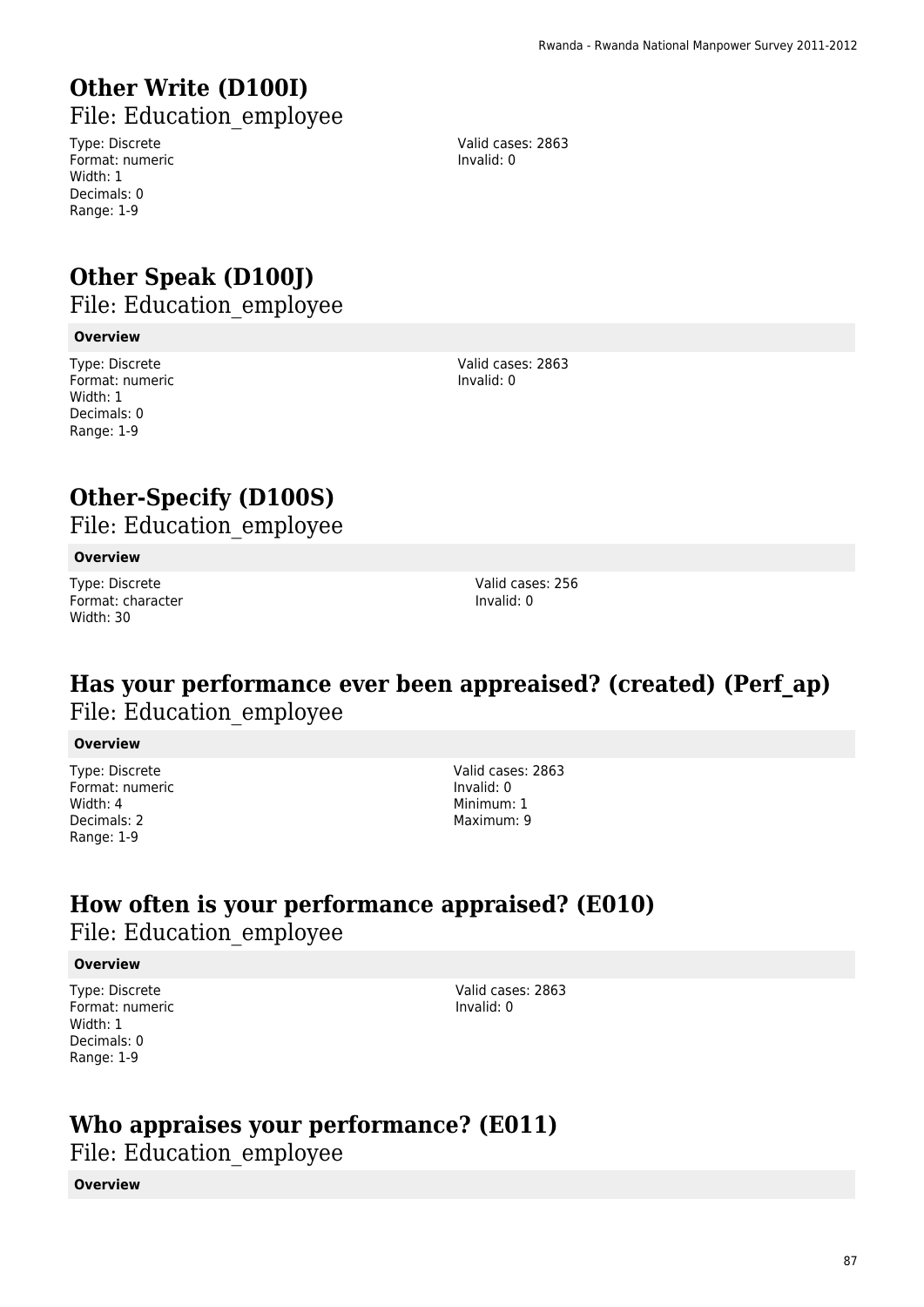# **Other Write (D100I)**

File: Education\_employee

Type: Discrete Format: numeric Width: 1 Decimals: 0 Range: 1-9

Valid cases: 2863 Invalid: 0

# **Other Speak (D100J)**

File: Education\_employee

#### **Overview**

Type: Discrete Format: numeric Width: 1 Decimals: 0 Range: 1-9

Valid cases: 2863 Invalid: 0

## **Other-Specify (D100S)**

File: Education\_employee

#### **Overview**

Type: Discrete Format: character Width: 30

Valid cases: 256 Invalid: 0

### **Has your performance ever been appreaised? (created) (Perf\_ap)**  File: Education\_employee

#### **Overview**

Type: Discrete Format: numeric Width: 4 Decimals: 2 Range: 1-9

Valid cases: 2863 Invalid: 0 Minimum: 1 Maximum: 9

### **How often is your performance appraised? (E010)**  File: Education\_employee

#### **Overview**

Type: Discrete Format: numeric Width: 1 Decimals: 0 Range: 1-9

Valid cases: 2863 Invalid: 0

### **Who appraises your performance? (E011)**

File: Education\_employee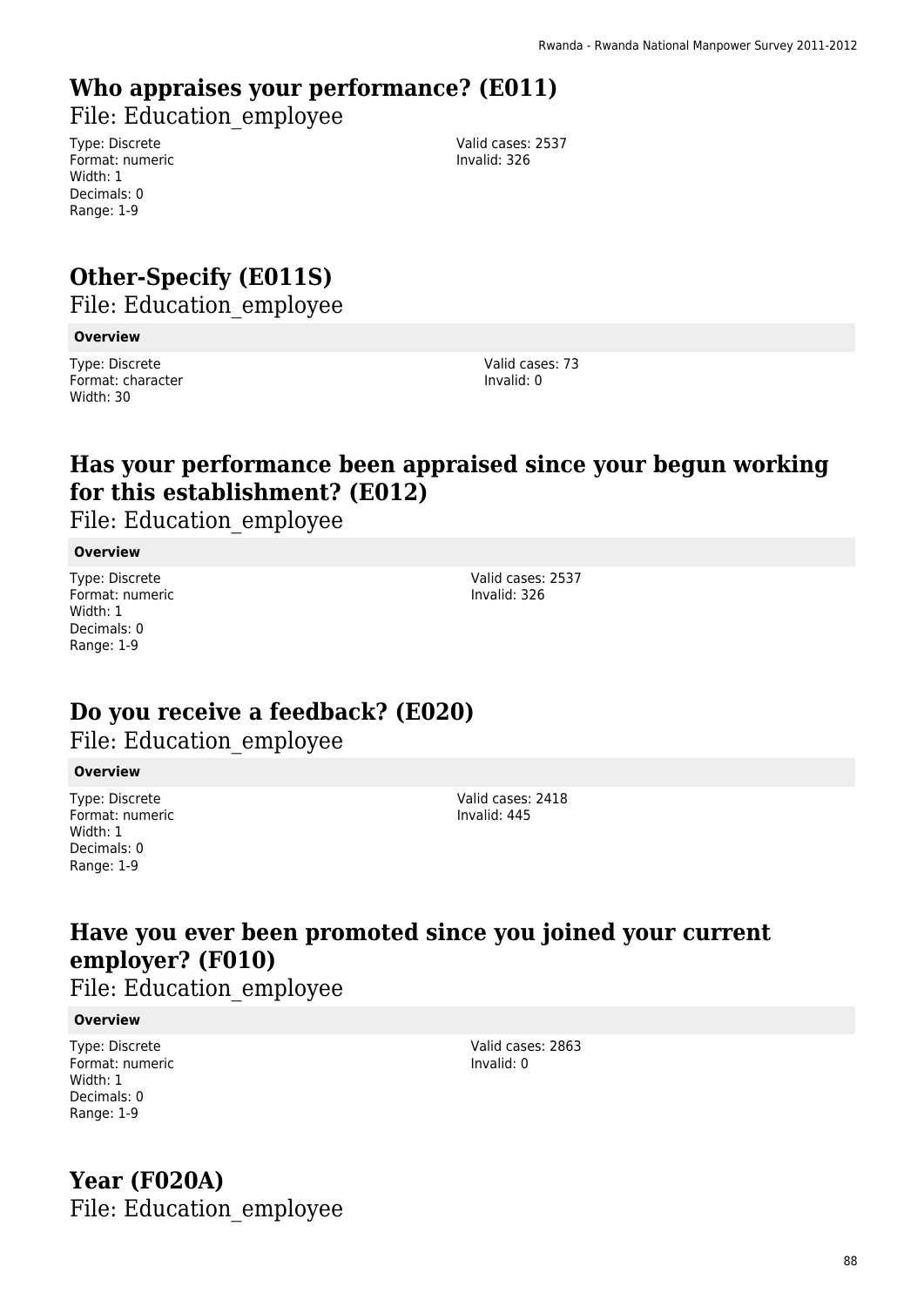### **Who appraises your performance? (E011)**

File: Education\_employee

Type: Discrete Format: numeric Width: 1 Decimals: 0 Range: 1-9

Valid cases: 2537 Invalid: 326

# **Other-Specify (E011S)**

File: Education\_employee

#### **Overview**

Type: Discrete Format: character Width: 30

Valid cases: 73 Invalid: 0

### **Has your performance been appraised since your begun working for this establishment? (E012)**

File: Education\_employee

#### **Overview**

Type: Discrete Format: numeric Width: 1 Decimals: 0 Range: 1-9

Valid cases: 2537 Invalid: 326

# **Do you receive a feedback? (E020)**

File: Education\_employee

#### **Overview**

Type: Discrete Format: numeric Width: 1 Decimals: 0 Range: 1-9

Valid cases: 2418 Invalid: 445

### **Have you ever been promoted since you joined your current employer? (F010)**

File: Education\_employee

#### **Overview**

Type: Discrete Format: numeric Width: 1 Decimals: 0 Range: 1-9

**Year (F020A)**  File: Education employee Valid cases: 2863 Invalid: 0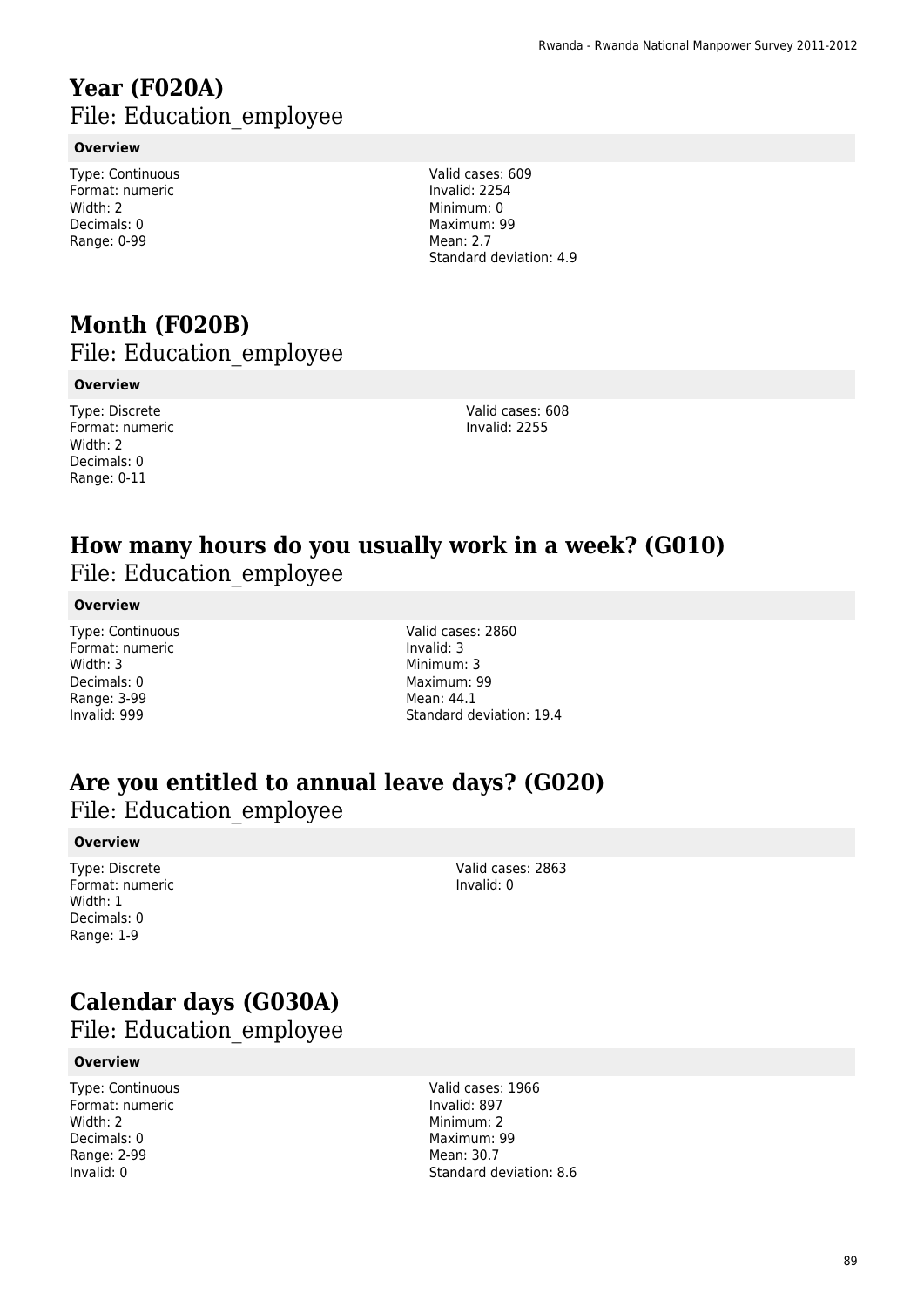### **Year (F020A)**  File: Education\_employee

#### **Overview**

Type: Continuous Format: numeric Width: 2 Decimals: 0 Range: 0-99

Valid cases: 609 Invalid: 2254 Minimum: 0 Maximum: 99 Mean: 2.7 Standard deviation: 4.9

### **Month (F020B)**  File: Education\_employee

#### **Overview**

Type: Discrete Format: numeric Width: 2 Decimals: 0 Range: 0-11

Valid cases: 608 Invalid: 2255

### **How many hours do you usually work in a week? (G010)**  File: Education\_employee

#### **Overview**

Type: Continuous Format: numeric Width: 3 Decimals: 0 Range: 3-99 Invalid: 999

Valid cases: 2860 Invalid: 3 Minimum: 3 Maximum: 99 Mean: 44.1 Standard deviation: 19.4

### **Are you entitled to annual leave days? (G020)**  File: Education\_employee

#### **Overview**

Type: Discrete Format: numeric Width: 1 Decimals: 0 Range: 1-9

Valid cases: 2863 Invalid: 0

# **Calendar days (G030A)**

File: Education\_employee

#### **Overview**

Type: Continuous Format: numeric Width: 2 Decimals: 0 Range: 2-99 Invalid: 0

Valid cases: 1966 Invalid: 897 Minimum: 2 Maximum: 99 Mean: 30.7 Standard deviation: 8.6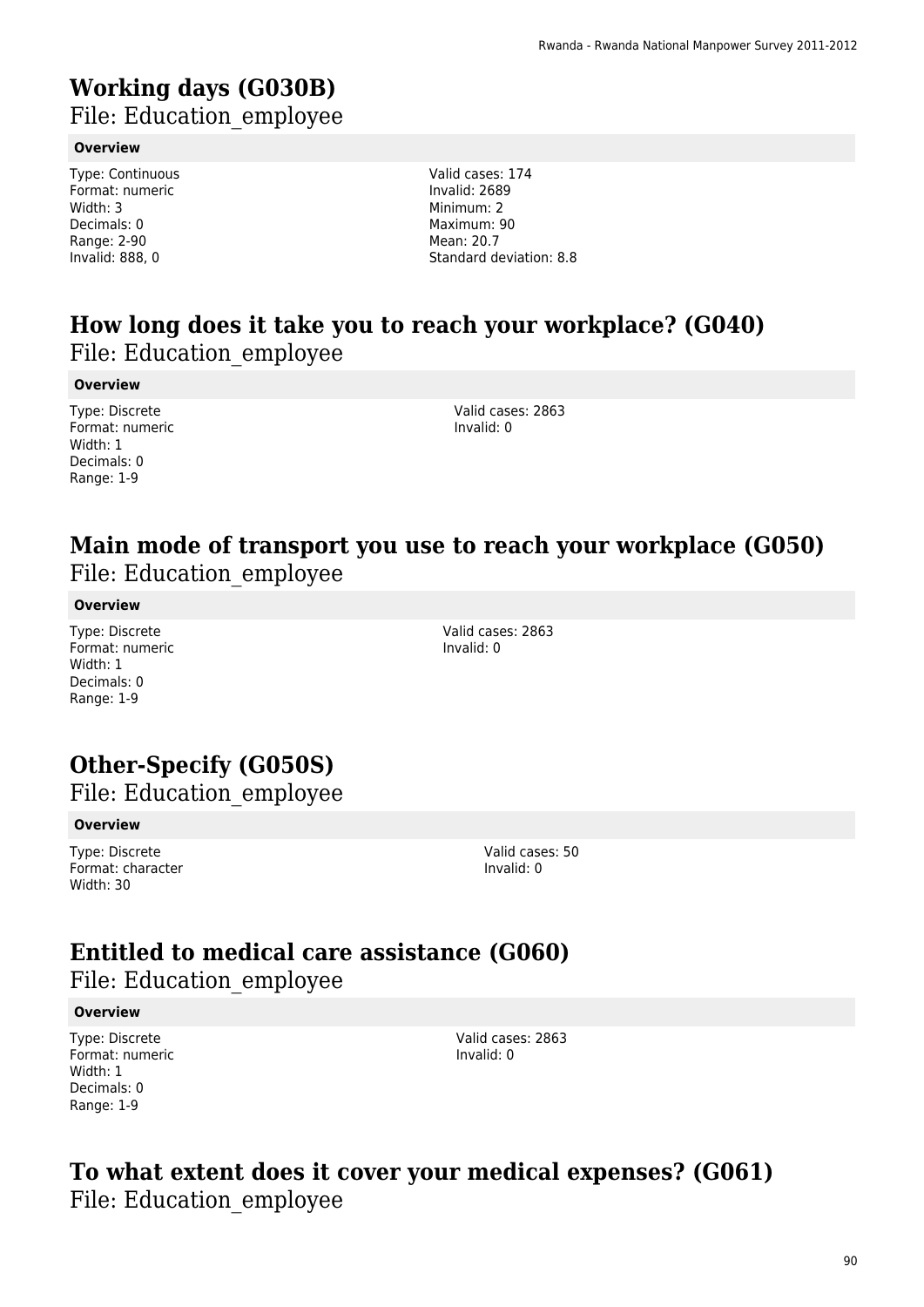# **Working days (G030B)**

File: Education\_employee

#### **Overview**

Type: Continuous Format: numeric Width: 3 Decimals: 0 Range: 2-90 Invalid: 888, 0

Valid cases: 174 Invalid: 2689 Minimum: 2 Maximum: 90 Mean: 20.7 Standard deviation: 8.8

### **How long does it take you to reach your workplace? (G040)**  File: Education\_employee

**Overview**

Type: Discrete Format: numeric Width: 1 Decimals: 0 Range: 1-9

Valid cases: 2863 Invalid: 0

### **Main mode of transport you use to reach your workplace (G050)**  File: Education\_employee

#### **Overview**

Type: Discrete Format: numeric Width: 1 Decimals: 0 Range: 1-9

Valid cases: 2863 Invalid: 0

## **Other-Specify (G050S)**

File: Education\_employee

#### **Overview**

Type: Discrete Format: character Width: 30

Valid cases: 50 Invalid: 0

### **Entitled to medical care assistance (G060)**

File: Education\_employee

#### **Overview**

Type: Discrete Format: numeric Width: 1 Decimals: 0 Range: 1-9

Valid cases: 2863 Invalid: 0

### **To what extent does it cover your medical expenses? (G061)**  File: Education\_employee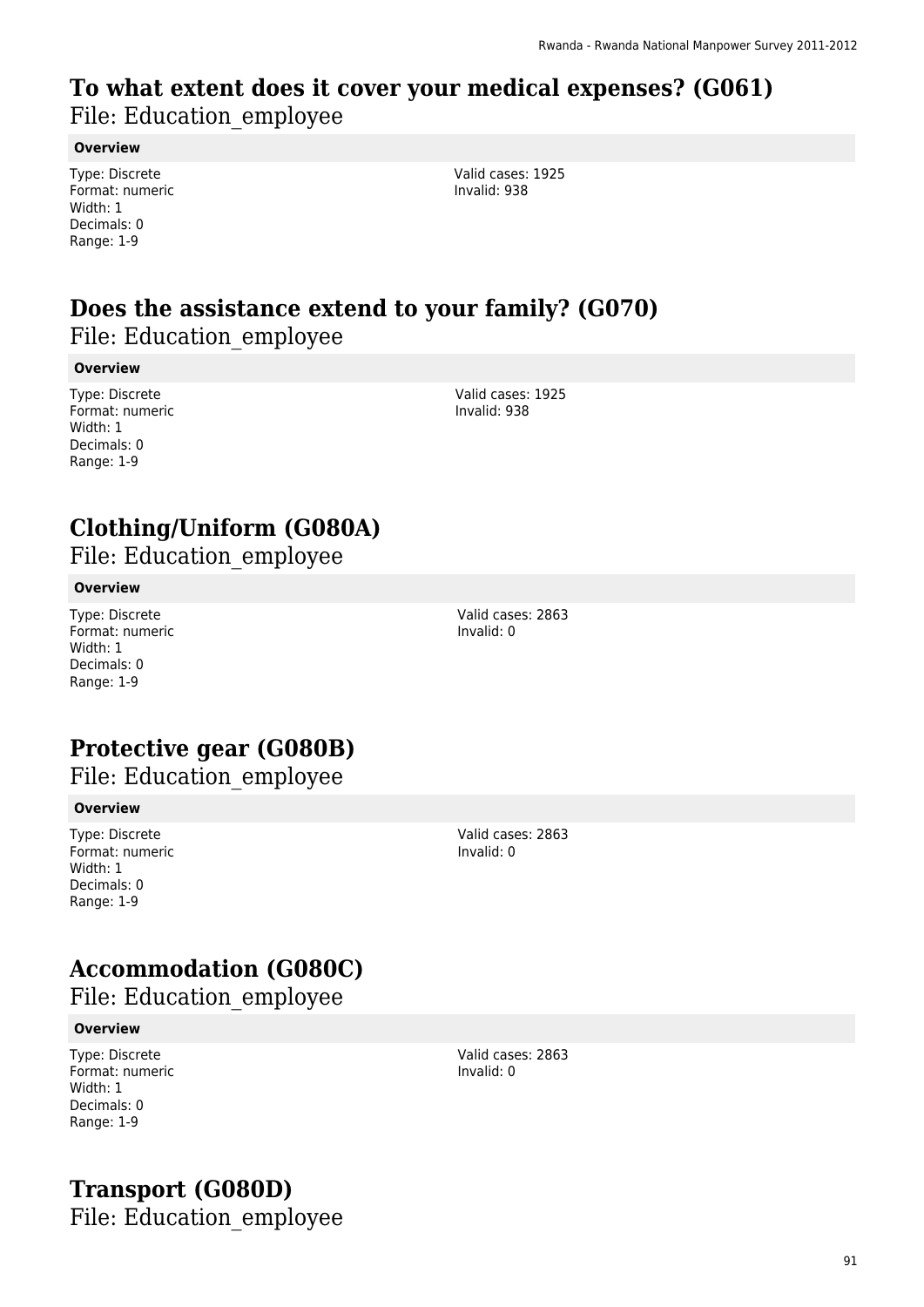### **To what extent does it cover your medical expenses? (G061)**  File: Education\_employee

#### **Overview**

Type: Discrete Format: numeric Width: 1 Decimals: 0 Range: 1-9

Valid cases: 1925 Invalid: 938

### **Does the assistance extend to your family? (G070)**

File: Education\_employee

#### **Overview**

Type: Discrete Format: numeric Width: 1 Decimals: 0 Range: 1-9

Valid cases: 1925 Invalid: 938

### **Clothing/Uniform (G080A)**

File: Education\_employee

#### **Overview**

Type: Discrete Format: numeric Width: 1 Decimals: 0 Range: 1-9

Valid cases: 2863 Invalid: 0

### **Protective gear (G080B)**

File: Education\_employee

#### **Overview**

Type: Discrete Format: numeric Width: 1 Decimals: 0 Range: 1-9

### **Accommodation (G080C)**

File: Education\_employee

#### **Overview**

Type: Discrete Format: numeric Width: 1 Decimals: 0 Range: 1-9

### **Transport (G080D)**

File: Education\_employee

Valid cases: 2863 Invalid: 0

Valid cases: 2863 Invalid: 0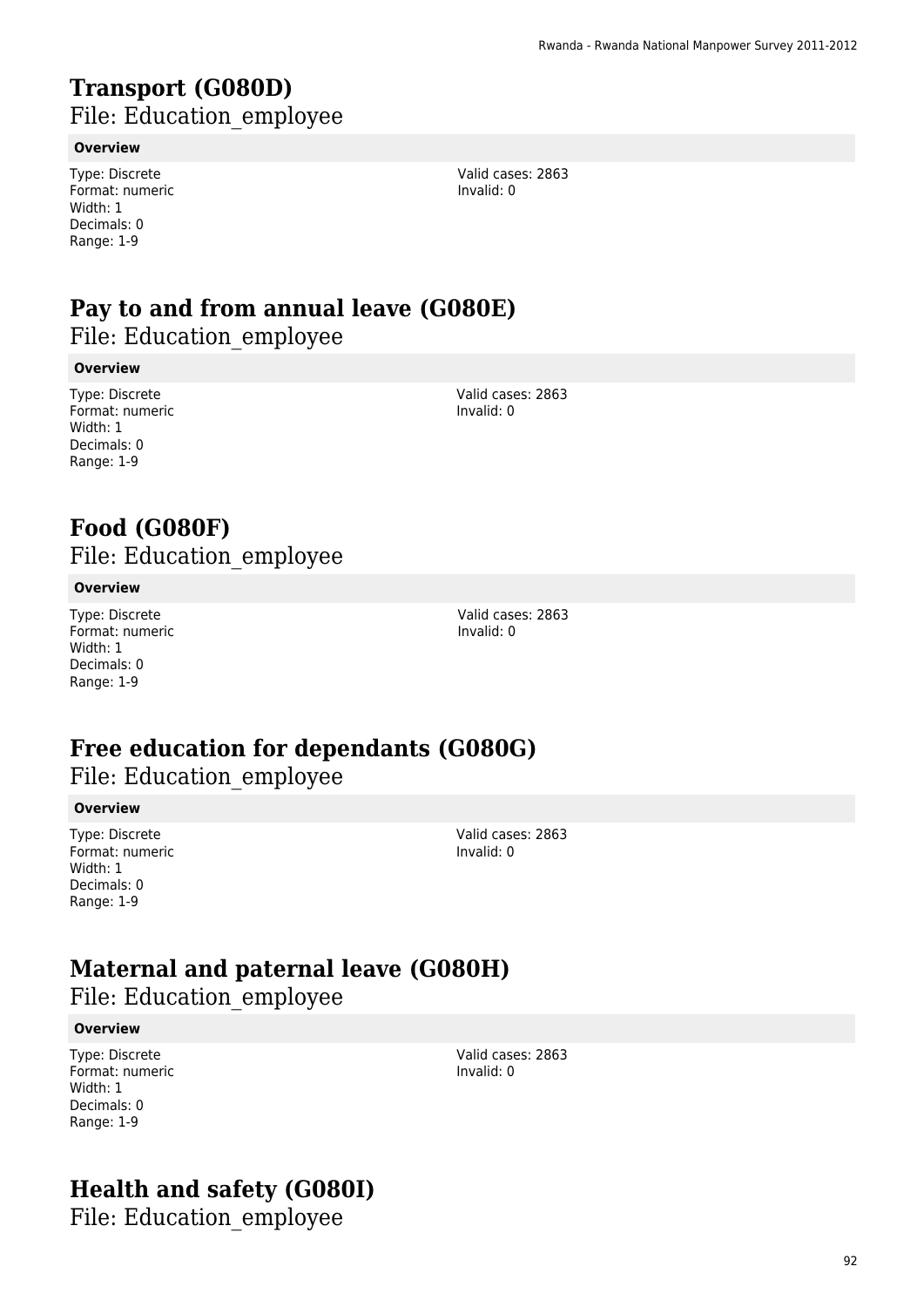### **Transport (G080D)**  File: Education\_employee

**Overview**

Type: Discrete Format: numeric Width: 1 Decimals: 0 Range: 1-9

### **Pay to and from annual leave (G080E)**

File: Education\_employee

#### **Overview**

Type: Discrete Format: numeric Width: 1 Decimals: 0 Range: 1-9

Valid cases: 2863 Invalid: 0

### **Food (G080F)**  File: Education\_employee

#### **Overview**

Type: Discrete Format: numeric Width: 1 Decimals: 0 Range: 1-9

Valid cases: 2863 Invalid: 0

# **Free education for dependants (G080G)**

File: Education\_employee

#### **Overview**

Type: Discrete Format: numeric Width: 1 Decimals: 0 Range: 1-9

Valid cases: 2863 Invalid: 0

Valid cases: 2863

Invalid: 0

### **Maternal and paternal leave (G080H)**

File: Education\_employee

#### **Overview**

Type: Discrete Format: numeric Width: 1 Decimals: 0 Range: 1-9

**Health and safety (G080I)** 

File: Education\_employee

Valid cases: 2863 Invalid: 0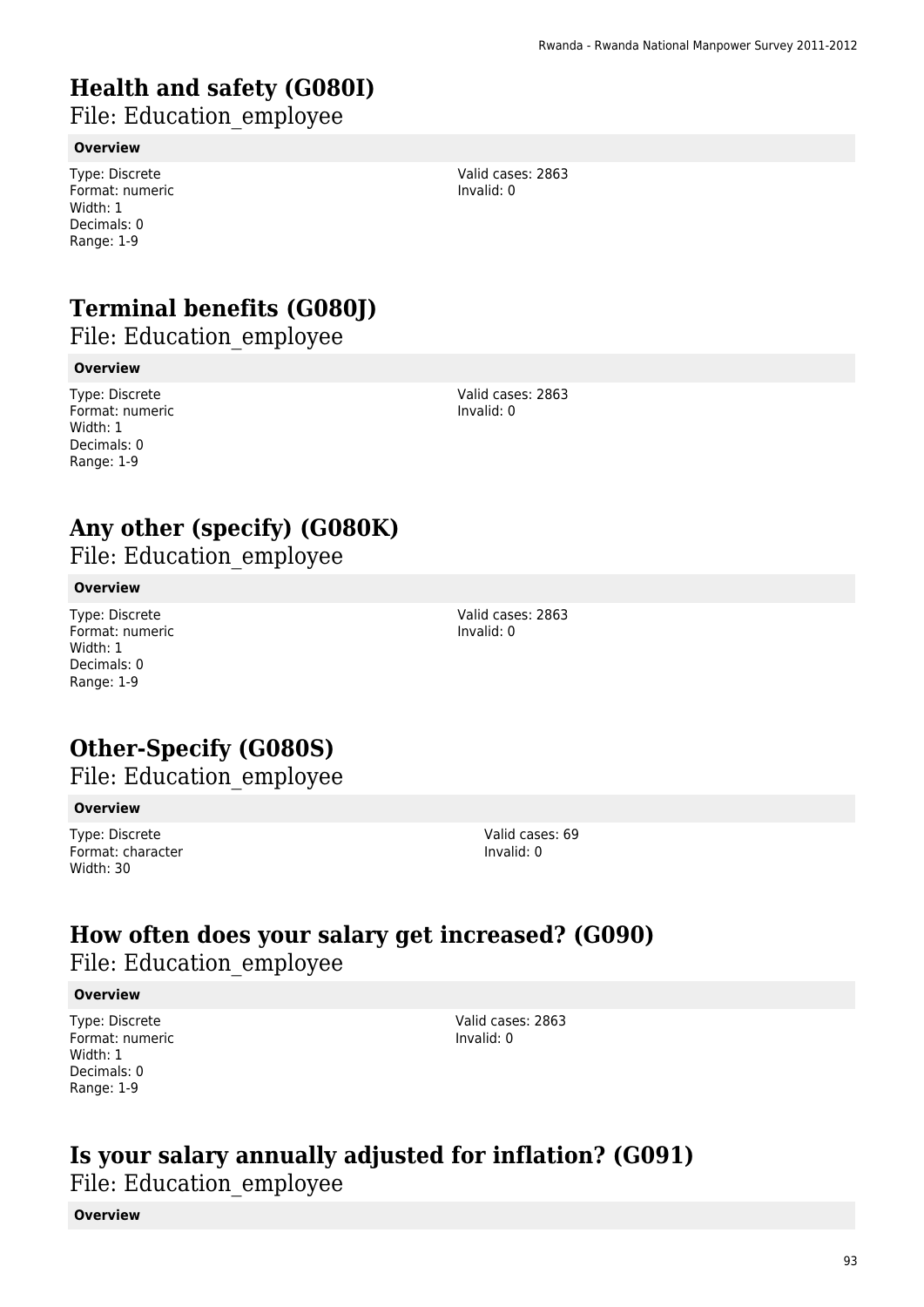## **Health and safety (G080I)**

File: Education\_employee

#### **Overview**

Type: Discrete Format: numeric Width: 1 Decimals: 0 Range: 1-9

### **Terminal benefits (G080J)**

File: Education\_employee

#### **Overview**

Type: Discrete Format: numeric Width: 1 Decimals: 0 Range: 1-9

Valid cases: 2863 Invalid: 0

Valid cases: 2863

Invalid: 0

### **Any other (specify) (G080K)**

File: Education\_employee

#### **Overview**

Type: Discrete Format: numeric Width: 1 Decimals: 0 Range: 1-9

Valid cases: 2863 Invalid: 0

# **Other-Specify (G080S)**

File: Education\_employee

#### **Overview**

Type: Discrete Format: character Width: 30

Valid cases: 69 Invalid: 0

# **How often does your salary get increased? (G090)**

File: Education\_employee

#### **Overview**

Type: Discrete Format: numeric Width: 1 Decimals: 0 Range: 1-9

Valid cases: 2863 Invalid: 0

### **Is your salary annually adjusted for inflation? (G091)**

File: Education\_employee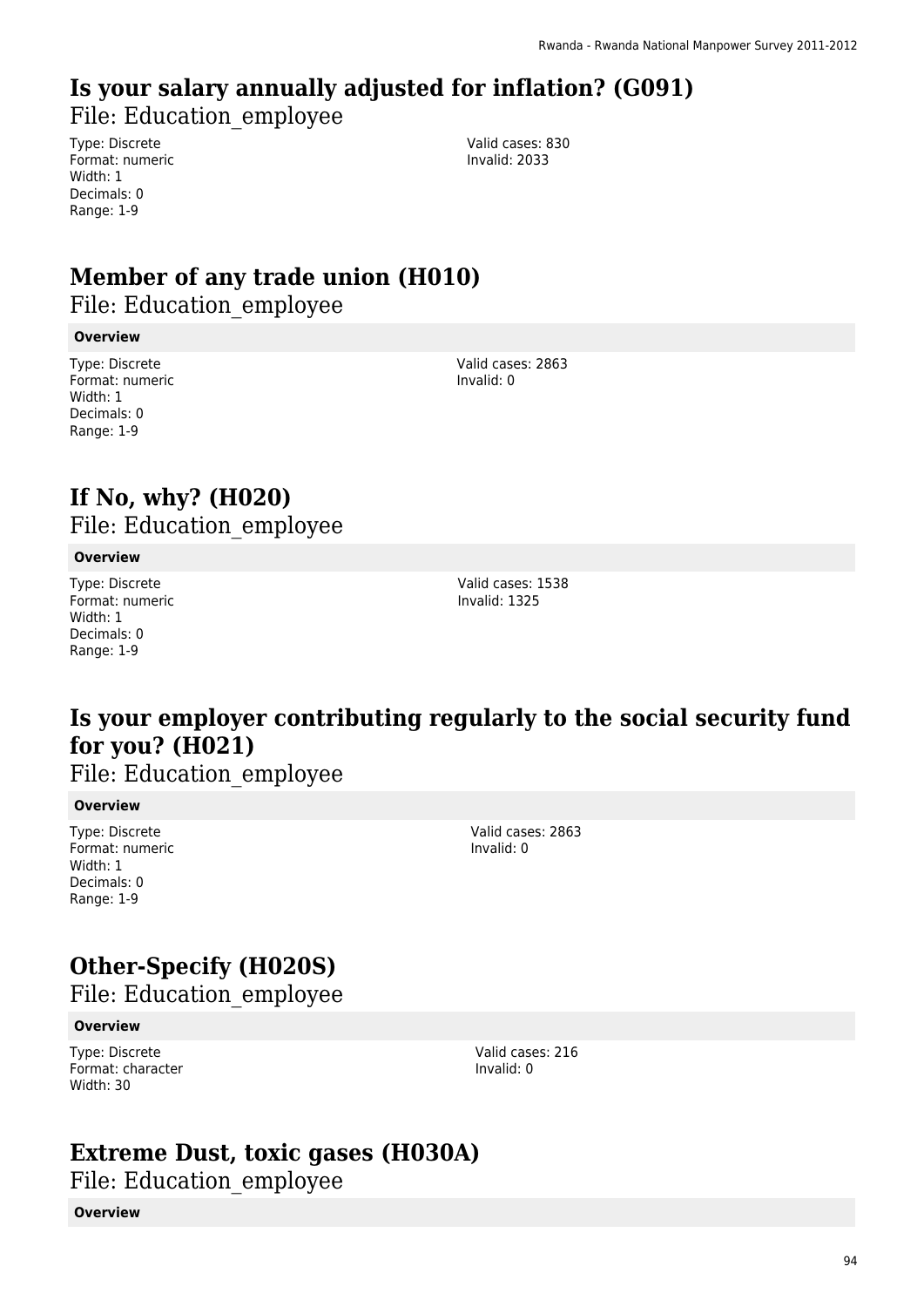### **Is your salary annually adjusted for inflation? (G091)**

File: Education\_employee

Type: Discrete Format: numeric Width: 1 Decimals: 0 Range: 1-9

Valid cases: 830 Invalid: 2033

# **Member of any trade union (H010)**

File: Education\_employee

#### **Overview**

Type: Discrete Format: numeric Width: 1 Decimals: 0 Range: 1-9

Valid cases: 2863 Invalid: 0

### **If No, why? (H020)**  File: Education employee

#### **Overview**

Type: Discrete Format: numeric Width: 1 Decimals: 0 Range: 1-9

Valid cases: 1538 Invalid: 1325

### **Is your employer contributing regularly to the social security fund for you? (H021)**

File: Education\_employee

#### **Overview**

Type: Discrete Format: numeric Width: 1 Decimals: 0 Range: 1-9

Valid cases: 2863 Invalid: 0

# **Other-Specify (H020S)**

File: Education\_employee

#### **Overview**

Type: Discrete Format: character Width: 30

Valid cases: 216 Invalid: 0

### **Extreme Dust, toxic gases (H030A)**

File: Education\_employee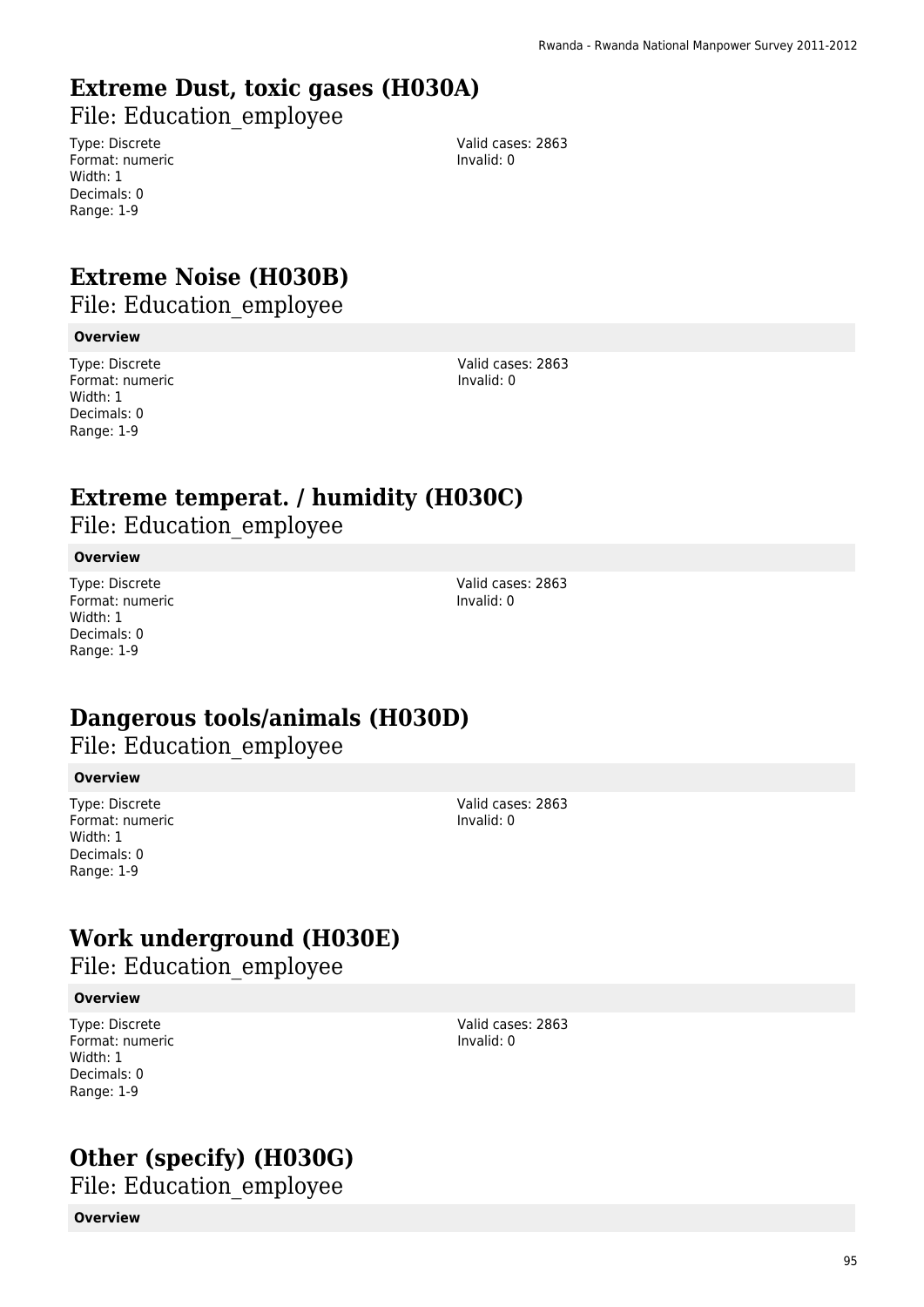### **Extreme Dust, toxic gases (H030A)**

File: Education\_employee

Type: Discrete Format: numeric Width: 1 Decimals: 0 Range: 1-9

Valid cases: 2863 Invalid: 0

# **Extreme Noise (H030B)**

File: Education\_employee

#### **Overview**

Type: Discrete Format: numeric Width: 1 Decimals: 0 Range: 1-9

Valid cases: 2863 Invalid: 0

### **Extreme temperat. / humidity (H030C)**

File: Education\_employee

#### **Overview**

Type: Discrete Format: numeric Width: 1 Decimals: 0 Range: 1-9

Valid cases: 2863 Invalid: 0

### **Dangerous tools/animals (H030D)**

File: Education\_employee

#### **Overview**

Type: Discrete Format: numeric Width: 1 Decimals: 0 Range: 1-9

Valid cases: 2863 Invalid: 0

### **Work underground (H030E)**

File: Education\_employee

#### **Overview**

Type: Discrete Format: numeric Width: 1 Decimals: 0 Range: 1-9

Valid cases: 2863 Invalid: 0

### **Other (specify) (H030G)**

File: Education\_employee

**Overview**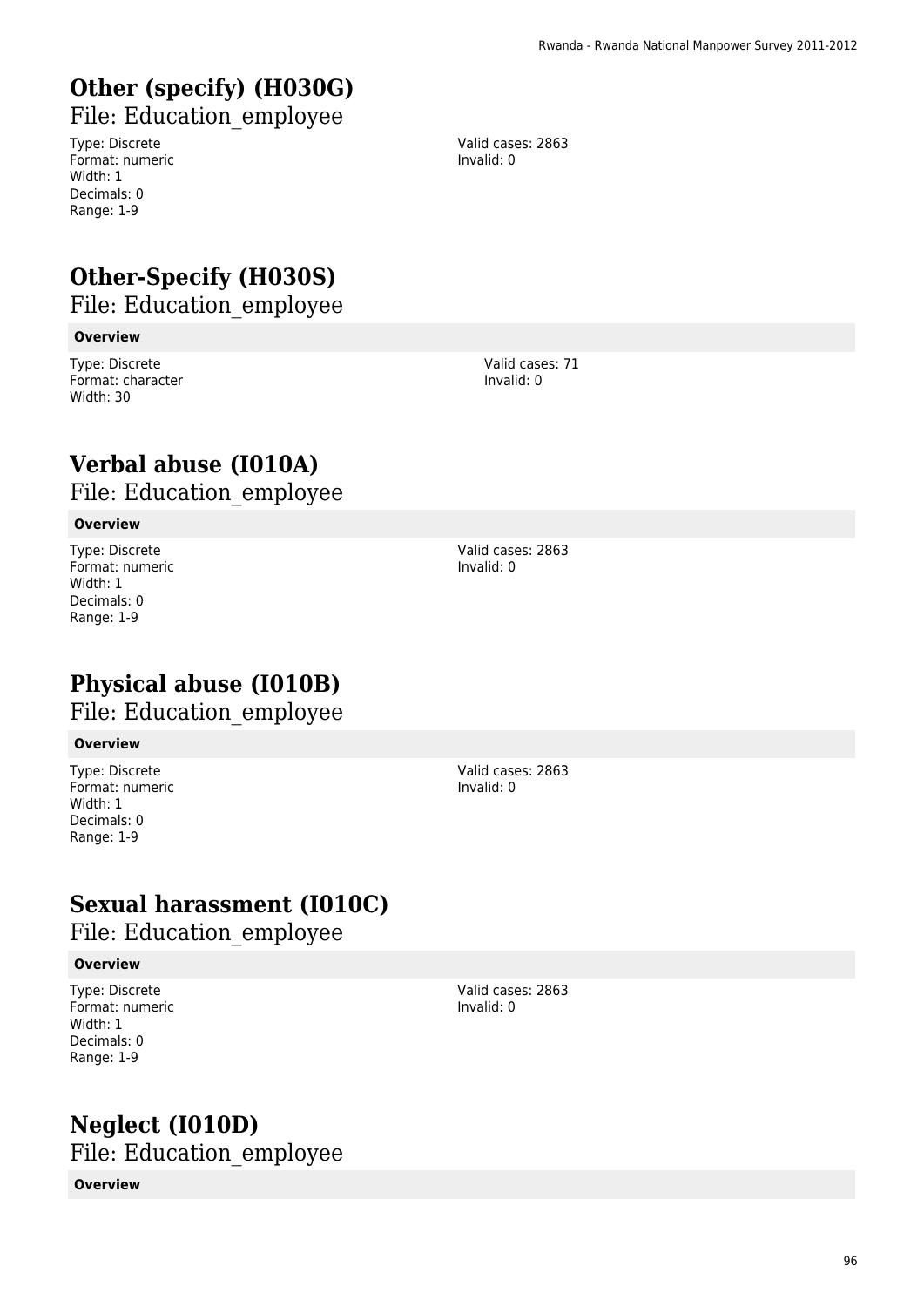# **Other (specify) (H030G)**

File: Education\_employee

Type: Discrete Format: numeric Width: 1 Decimals: 0 Range: 1-9

# **Other-Specify (H030S)**

File: Education\_employee

#### **Overview**

Type: Discrete Format: character Width: 30

### **Verbal abuse (I010A)**  File: Education\_employee

#### **Overview**

Type: Discrete Format: numeric Width: 1 Decimals: 0 Range: 1-9

## **Physical abuse (I010B)**

File: Education\_employee

#### **Overview**

Type: Discrete Format: numeric Width: 1 Decimals: 0 Range: 1-9

## **Sexual harassment (I010C)**

File: Education\_employee

#### **Overview**

Type: Discrete Format: numeric Width: 1 Decimals: 0 Range: 1-9

# **Neglect (I010D)**

File: Education\_employee

#### **Overview**

Valid cases: 2863 Invalid: 0

> Valid cases: 71 Invalid: 0

Valid cases: 2863 Invalid: 0

Valid cases: 2863 Invalid: 0

Valid cases: 2863 Invalid: 0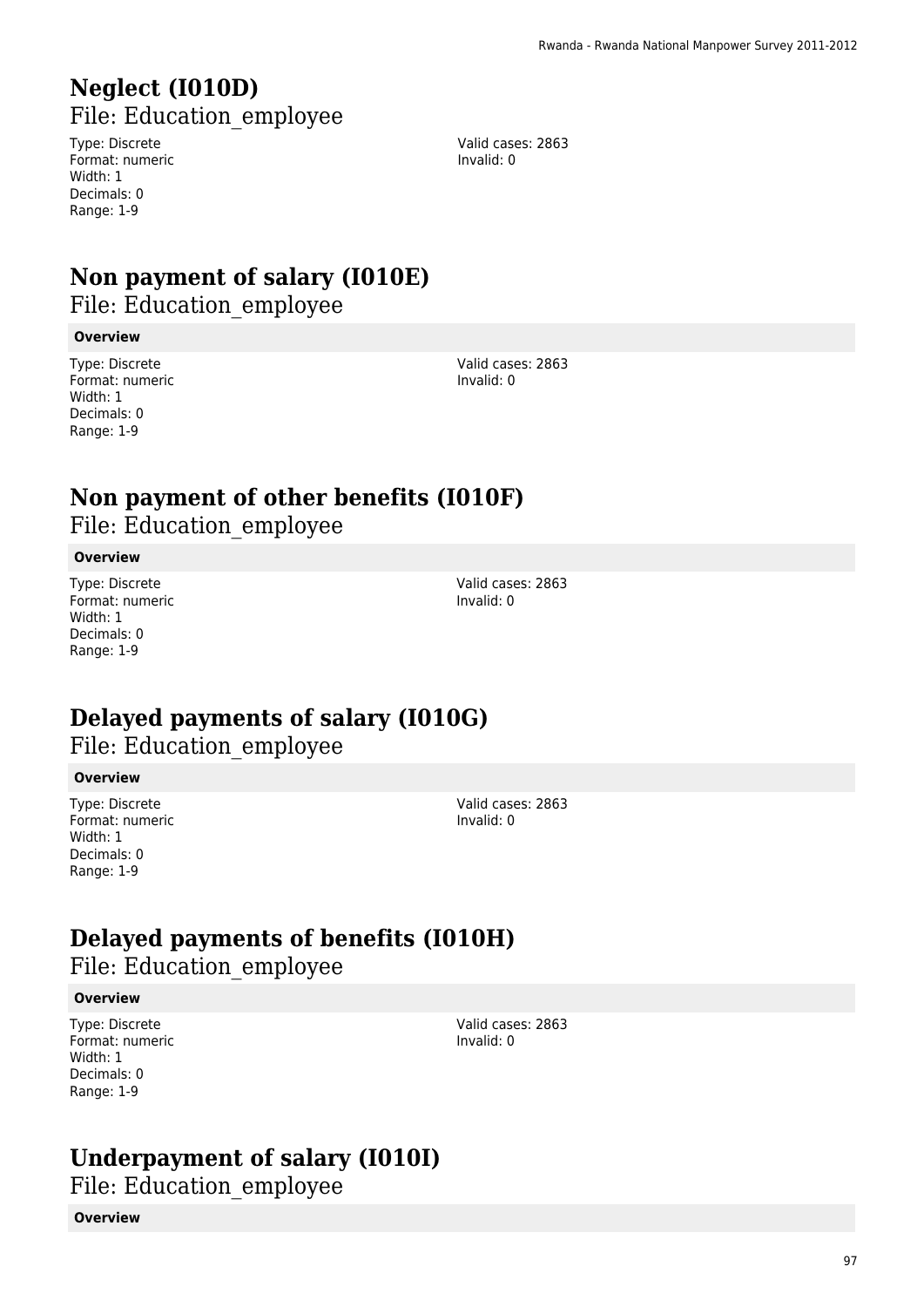### **Neglect (I010D)**  File: Education\_employee

Type: Discrete Format: numeric Width: 1 Decimals: 0 Range: 1-9

Valid cases: 2863 Invalid: 0

### **Non payment of salary (I010E)**  File: Education\_employee

**Overview**

Type: Discrete Format: numeric Width: 1 Decimals: 0 Range: 1-9

Valid cases: 2863 Invalid: 0

### **Non payment of other benefits (I010F)**

File: Education\_employee

#### **Overview**

Type: Discrete Format: numeric Width: 1 Decimals: 0 Range: 1-9

Valid cases: 2863 Invalid: 0

### **Delayed payments of salary (I010G)**

File: Education\_employee

#### **Overview**

Type: Discrete Format: numeric Width: 1 Decimals: 0 Range: 1-9

Valid cases: 2863 Invalid: 0

### **Delayed payments of benefits (I010H)**

File: Education\_employee

#### **Overview**

Type: Discrete Format: numeric Width: 1 Decimals: 0 Range: 1-9

Valid cases: 2863 Invalid: 0

### **Underpayment of salary (I010I)**

File: Education\_employee

**Overview**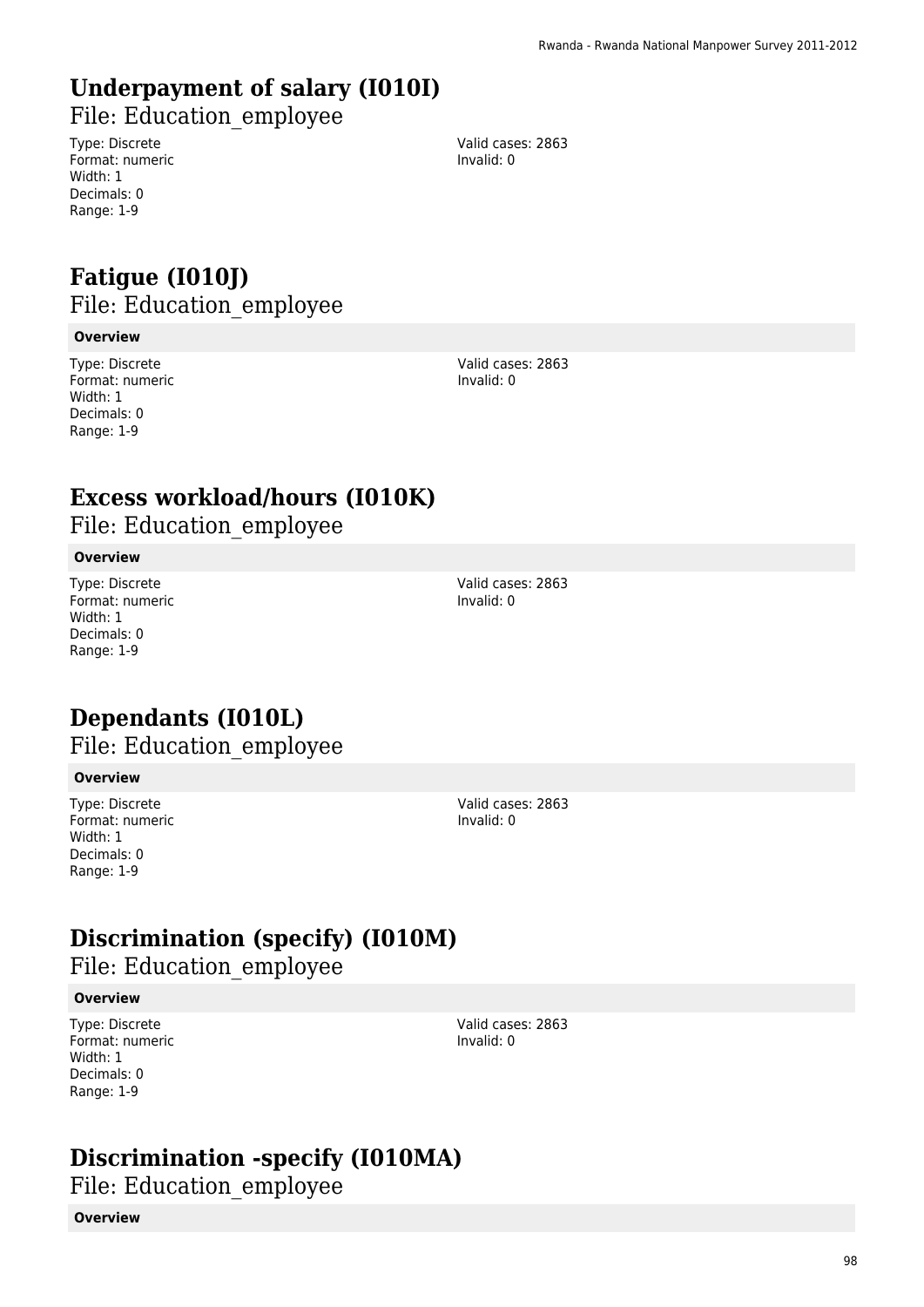# **Underpayment of salary (I010I)**

File: Education\_employee

Type: Discrete Format: numeric Width: 1 Decimals: 0 Range: 1-9

Valid cases: 2863 Invalid: 0

### **Fatigue (I010J)**  File: Education\_employee

#### **Overview**

Type: Discrete Format: numeric Width: 1 Decimals: 0 Range: 1-9

Valid cases: 2863 Invalid: 0

### **Excess workload/hours (I010K)**

File: Education\_employee

#### **Overview**

Type: Discrete Format: numeric Width: 1 Decimals: 0 Range: 1-9

Valid cases: 2863 Invalid: 0

### **Dependants (I010L)**

File: Education\_employee

#### **Overview**

Type: Discrete Format: numeric Width: 1 Decimals: 0 Range: 1-9

Valid cases: 2863 Invalid: 0

### **Discrimination (specify) (I010M)**

File: Education\_employee

#### **Overview**

Type: Discrete Format: numeric Width: 1 Decimals: 0 Range: 1-9

Valid cases: 2863 Invalid: 0

### **Discrimination -specify (I010MA)**

File: Education\_employee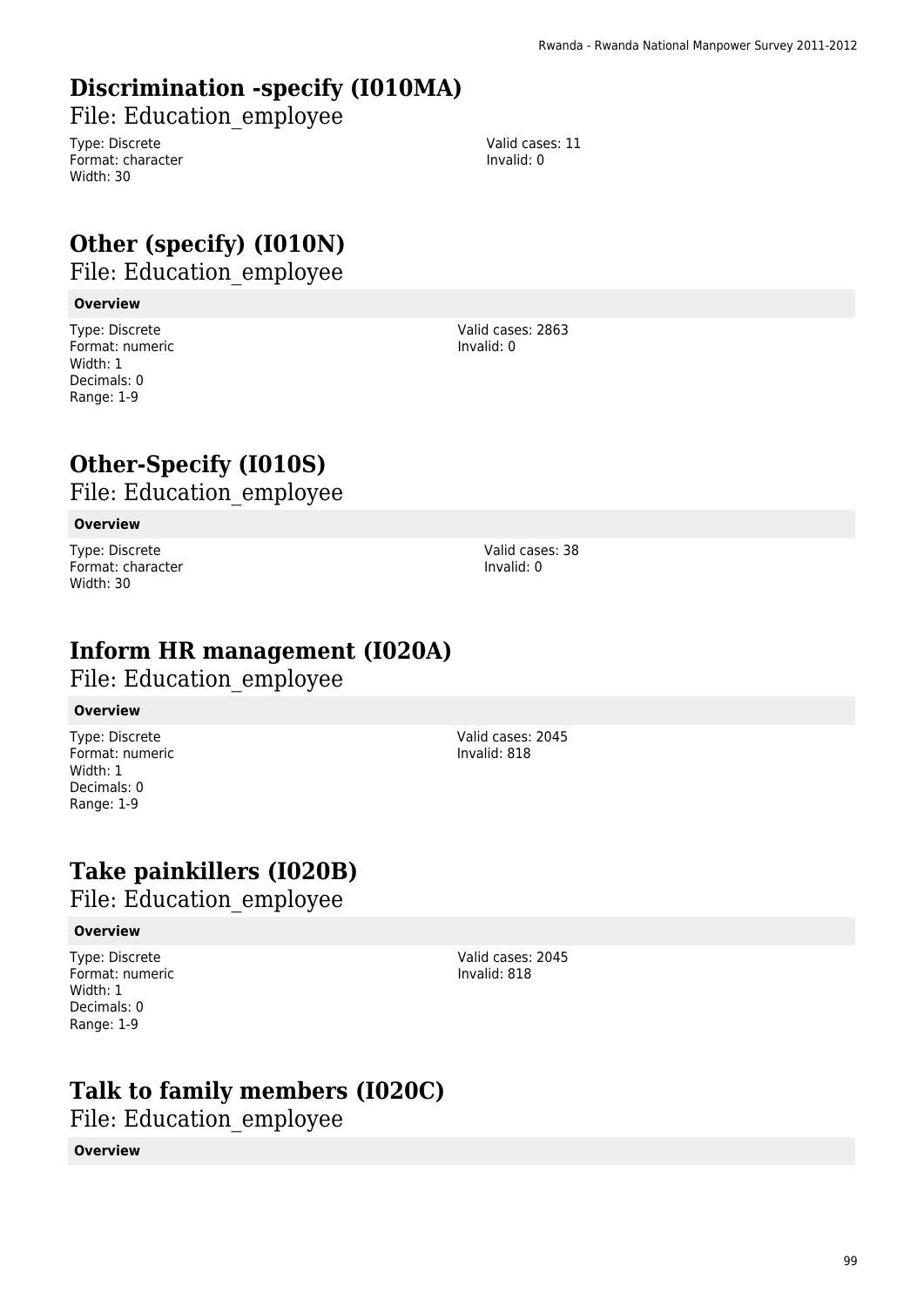### **Discrimination -specify (I010MA)**

File: Education\_employee

Type: Discrete Format: character Width: 30

# **Other (specify) (I010N)**

File: Education\_employee

#### **Overview**

Type: Discrete Format: numeric Width: 1 Decimals: 0 Range: 1-9

# **Other-Specify (I010S)**

File: Education\_employee

#### **Overview**

Type: Discrete Format: character Width: 30

# **Inform HR management (I020A)**

### File: Education\_employee

#### **Overview**

Type: Discrete Format: numeric Width: 1 Decimals: 0 Range: 1-9

## **Take painkillers (I020B)**

File: Education\_employee

#### **Overview**

Type: Discrete Format: numeric Width: 1 Decimals: 0 Range: 1-9

### **Talk to family members (I020C)**

File: Education\_employee

#### **Overview**

Valid cases: 11 Invalid: 0

Valid cases: 2863 Invalid: 0

> Valid cases: 38 Invalid: 0

Valid cases: 2045 Invalid: 818

Valid cases: 2045 Invalid: 818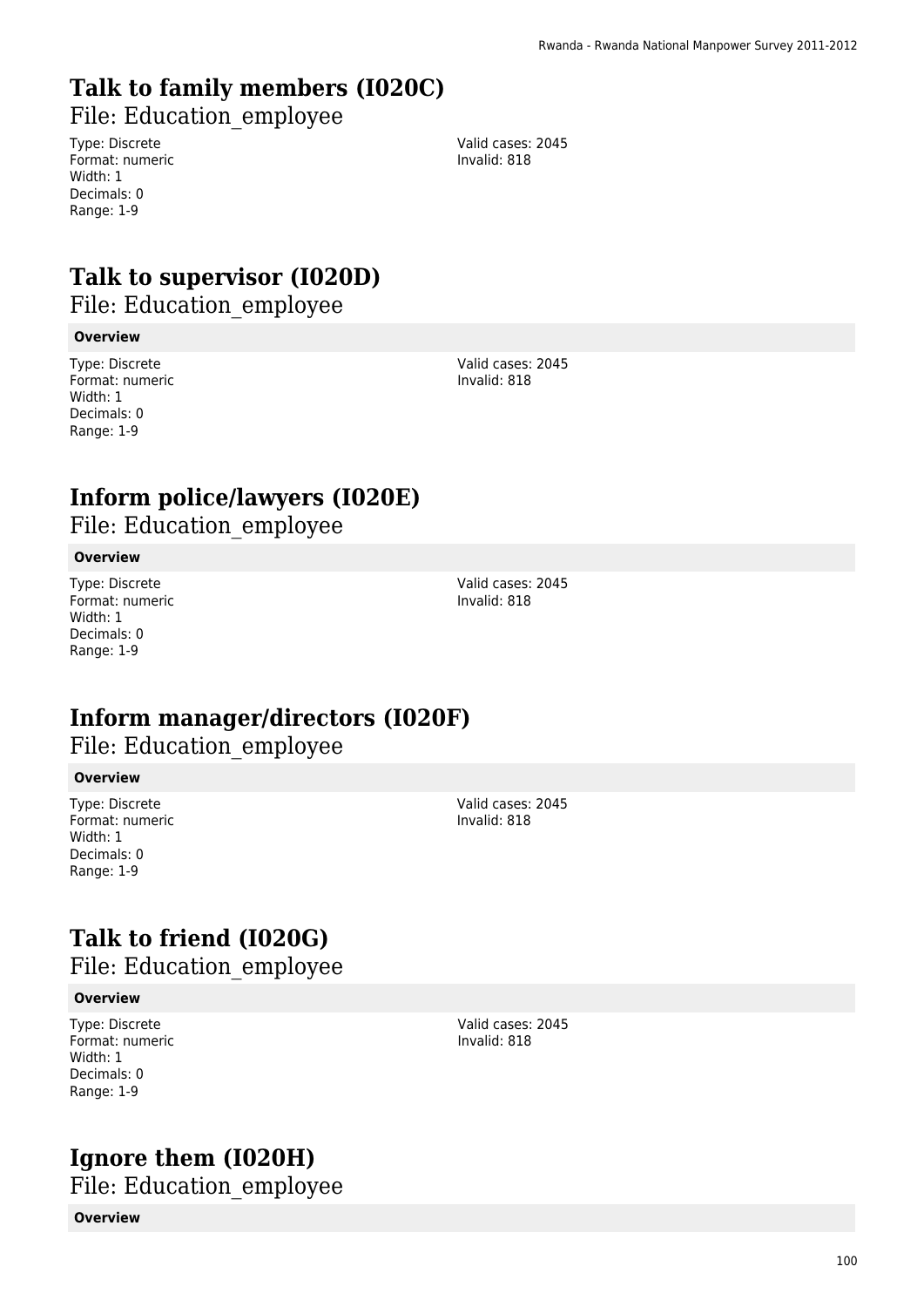### **Talk to family members (I020C)**

File: Education\_employee

Type: Discrete Format: numeric Width: 1 Decimals: 0 Range: 1-9

Valid cases: 2045 Invalid: 818

# **Talk to supervisor (I020D)**

File: Education\_employee

#### **Overview**

Type: Discrete Format: numeric Width: 1 Decimals: 0 Range: 1-9

Valid cases: 2045 Invalid: 818

### **Inform police/lawyers (I020E)**

File: Education\_employee

#### **Overview**

Type: Discrete Format: numeric Width: 1 Decimals: 0 Range: 1-9

Valid cases: 2045 Invalid: 818

### **Inform manager/directors (I020F)**

File: Education\_employee

#### **Overview**

Type: Discrete Format: numeric Width: 1 Decimals: 0 Range: 1-9

Valid cases: 2045 Invalid: 818

# **Talk to friend (I020G)**

File: Education\_employee

#### **Overview**

Type: Discrete Format: numeric Width: 1 Decimals: 0 Range: 1-9

Valid cases: 2045 Invalid: 818

### **Ignore them (I020H)**

File: Education\_employee

**Overview**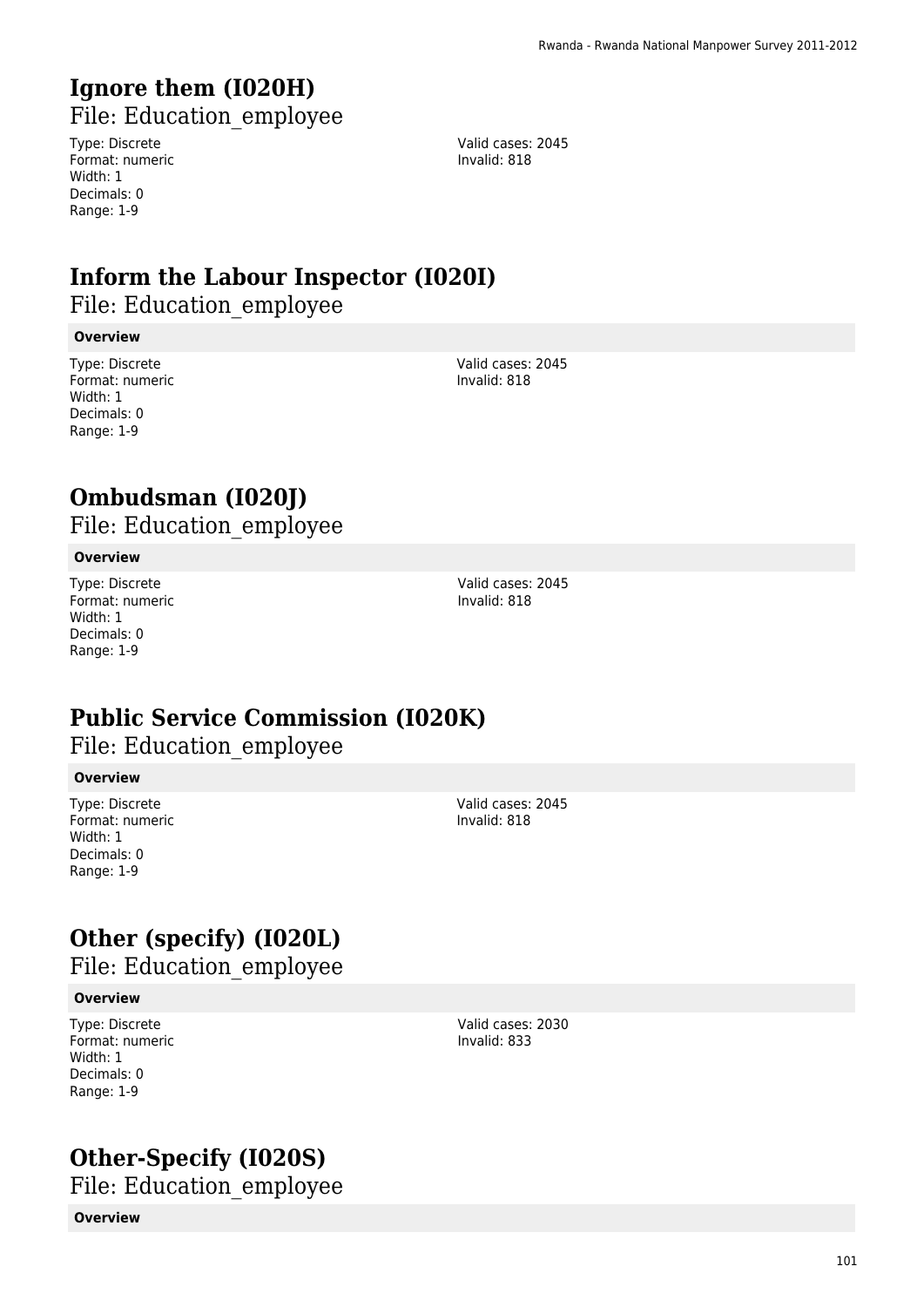# **Ignore them (I020H)**

File: Education\_employee

Type: Discrete Format: numeric Width: 1 Decimals: 0 Range: 1-9

# **Inform the Labour Inspector (I020I)**

File: Education\_employee

#### **Overview**

Type: Discrete Format: numeric Width: 1 Decimals: 0 Range: 1-9

Valid cases: 2045 Invalid: 818

Valid cases: 2045 Invalid: 818

# **Ombudsman (I020J)**

File: Education\_employee

#### **Overview**

Type: Discrete Format: numeric Width: 1 Decimals: 0 Range: 1-9

Valid cases: 2045 Invalid: 818

### **Public Service Commission (I020K)**

File: Education\_employee

#### **Overview**

Type: Discrete Format: numeric Width: 1 Decimals: 0 Range: 1-9

Valid cases: 2045 Invalid: 818

## **Other (specify) (I020L)**

File: Education\_employee

#### **Overview**

Type: Discrete Format: numeric Width: 1 Decimals: 0 Range: 1-9

Valid cases: 2030 Invalid: 833

### **Other-Specify (I020S)**

File: Education\_employee

**Overview**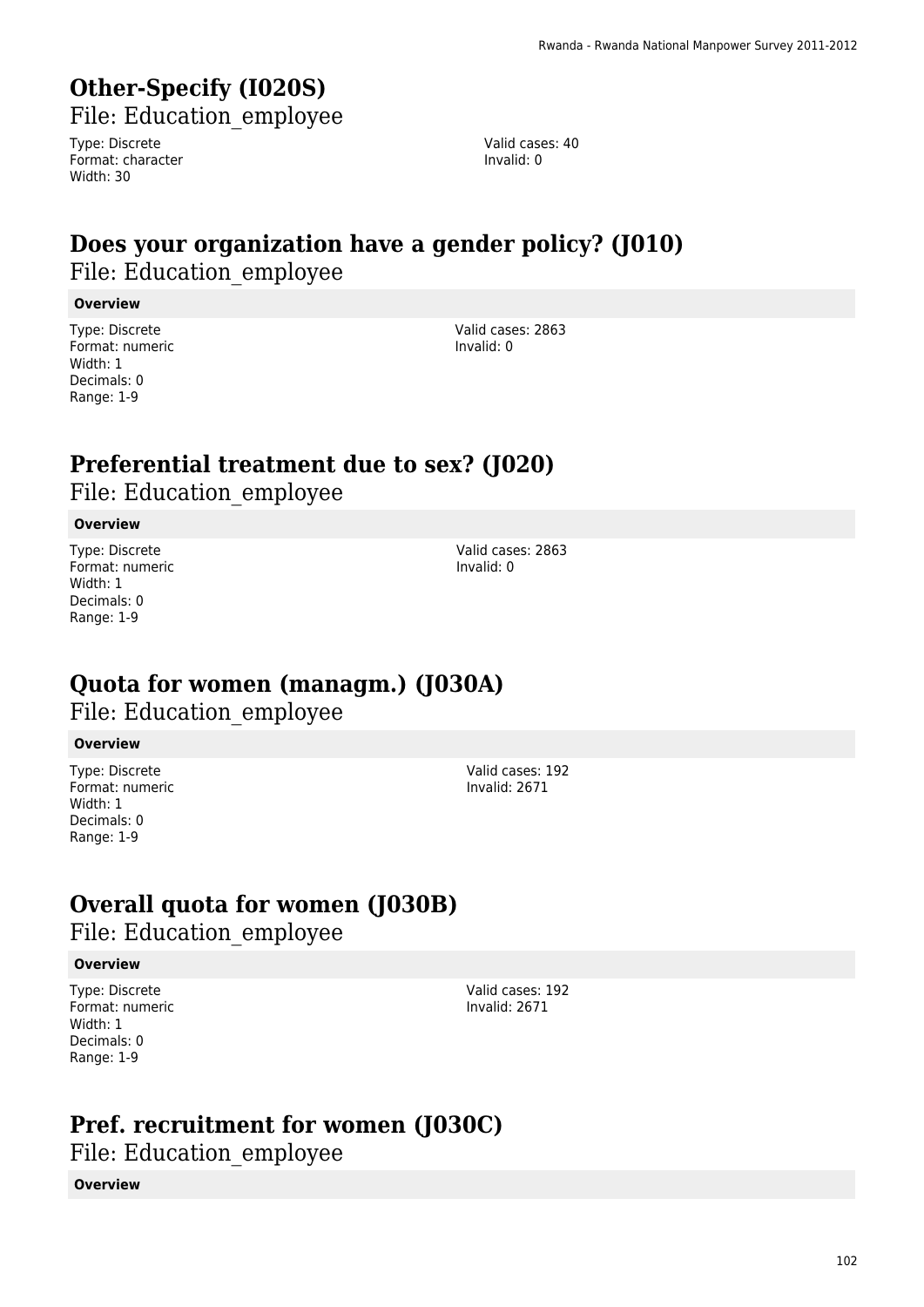# **Other-Specify (I020S)**

File: Education\_employee

Type: Discrete Format: character Width: 30

Valid cases: 40 Invalid: 0

### **Does your organization have a gender policy? (J010)**  File: Education\_employee

#### **Overview**

Type: Discrete Format: numeric Width: 1 Decimals: 0 Range: 1-9

Valid cases: 2863 Invalid: 0

### **Preferential treatment due to sex? (J020)**  File: Education\_employee

#### **Overview**

Type: Discrete Format: numeric Width: 1 Decimals: 0 Range: 1-9

Valid cases: 2863 Invalid: 0

### **Quota for women (managm.) (J030A)**  File: Education\_employee

**Overview**

Type: Discrete Format: numeric Width: 1 Decimals: 0 Range: 1-9

Valid cases: 192 Invalid: 2671

# **Overall quota for women (J030B)**

File: Education\_employee

#### **Overview**

Type: Discrete Format: numeric Width: 1 Decimals: 0 Range: 1-9

Valid cases: 192 Invalid: 2671

### **Pref. recruitment for women (J030C)**

File: Education\_employee

#### **Overview**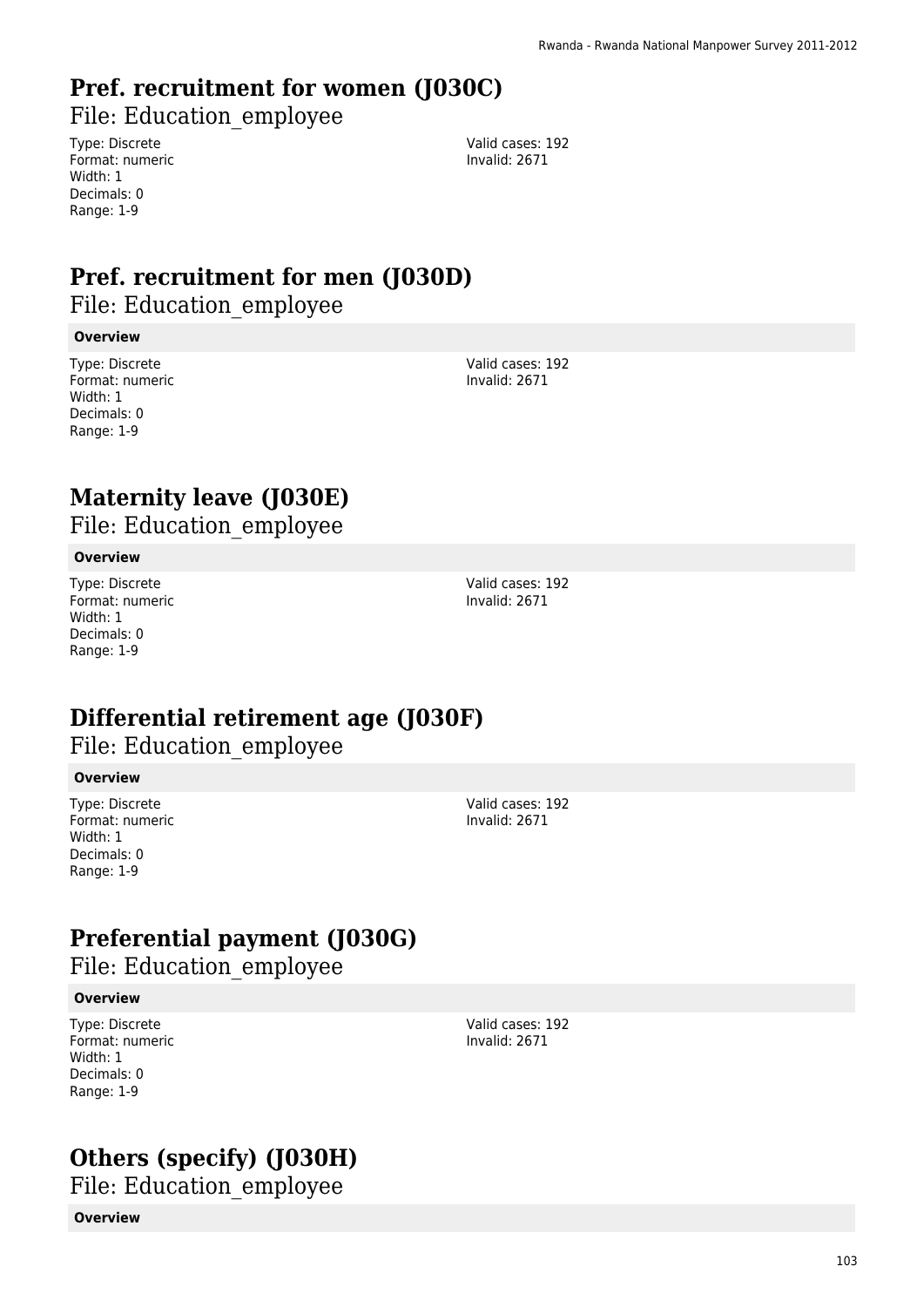## **Pref. recruitment for women (J030C)**

File: Education\_employee

Type: Discrete Format: numeric Width: 1 Decimals: 0 Range: 1-9

# **Pref. recruitment for men (J030D)**

File: Education\_employee

#### **Overview**

Type: Discrete Format: numeric Width: 1 Decimals: 0 Range: 1-9

Valid cases: 192

Valid cases: 192 Invalid: 2671

# **Maternity leave (J030E)**

File: Education\_employee

#### **Overview**

Type: Discrete Format: numeric Width: 1 Decimals: 0 Range: 1-9

Valid cases: 192 Invalid: 2671

### **Differential retirement age (J030F)**

File: Education\_employee

#### **Overview**

Type: Discrete Format: numeric Width: 1 Decimals: 0 Range: 1-9

Valid cases: 192 Invalid: 2671

## **Preferential payment (J030G)**

File: Education\_employee

#### **Overview**

Type: Discrete Format: numeric Width: 1 Decimals: 0 Range: 1-9

## **Others (specify) (J030H)**

File: Education\_employee

**Overview**

Valid cases: 192 Invalid: 2671

Invalid: 2671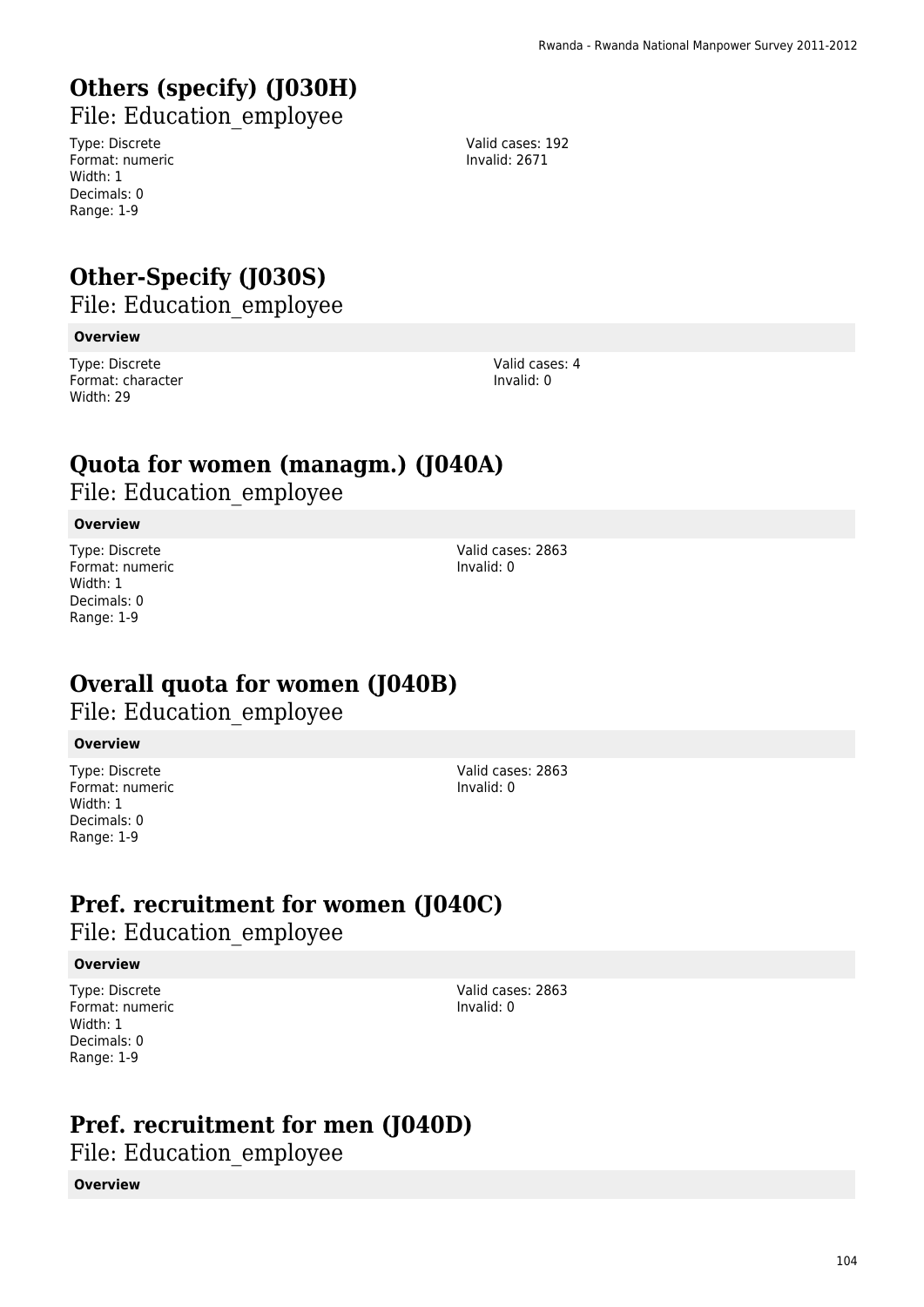# **Others (specify) (J030H)**

File: Education\_employee

Type: Discrete Format: numeric Width: 1 Decimals: 0 Range: 1-9

# **Other-Specify (J030S)**

File: Education\_employee

#### **Overview**

Type: Discrete Format: character Width: 29

### **Quota for women (managm.) (J040A)**  File: Education\_employee

#### **Overview**

Type: Discrete Format: numeric Width: 1 Decimals: 0 Range: 1-9

# **Overall quota for women (J040B)**

File: Education\_employee

#### **Overview**

Type: Discrete Format: numeric Width: 1 Decimals: 0 Range: 1-9

Valid cases: 2863 Invalid: 0

Valid cases: 2863

Invalid: 0

### **Pref. recruitment for women (J040C)**  File: Education\_employee

#### **Overview**

Type: Discrete Format: numeric Width: 1 Decimals: 0 Range: 1-9

Valid cases: 2863 Invalid: 0

### **Pref. recruitment for men (J040D)**

File: Education\_employee

#### **Overview**

Valid cases: 192 Invalid: 2671

> Valid cases: 4 Invalid: 0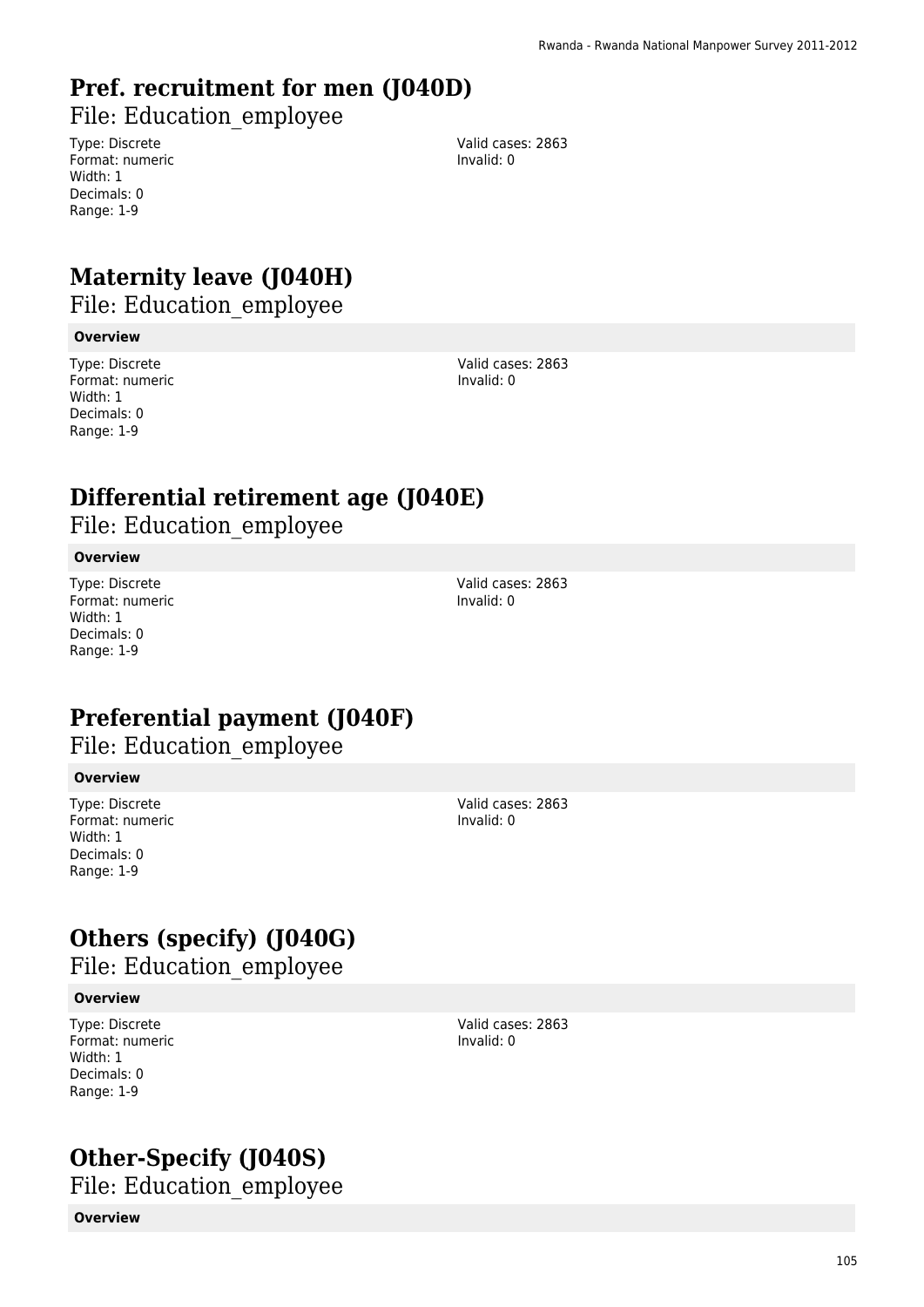### **Pref. recruitment for men (J040D)**

File: Education\_employee

Type: Discrete Format: numeric Width: 1 Decimals: 0 Range: 1-9

Valid cases: 2863 Invalid: 0

# **Maternity leave (J040H)**

File: Education\_employee

#### **Overview**

Type: Discrete Format: numeric Width: 1 Decimals: 0 Range: 1-9

Valid cases: 2863 Invalid: 0

### **Differential retirement age (J040E)**

File: Education\_employee

#### **Overview**

Type: Discrete Format: numeric Width: 1 Decimals: 0 Range: 1-9

Valid cases: 2863 Invalid: 0

## **Preferential payment (J040F)**

File: Education\_employee

#### **Overview**

Type: Discrete Format: numeric Width: 1 Decimals: 0 Range: 1-9

Valid cases: 2863 Invalid: 0

## **Others (specify) (J040G)**

File: Education\_employee

#### **Overview**

Type: Discrete Format: numeric Width: 1 Decimals: 0 Range: 1-9

Valid cases: 2863 Invalid: 0

### **Other-Specify (J040S)**

File: Education\_employee

**Overview**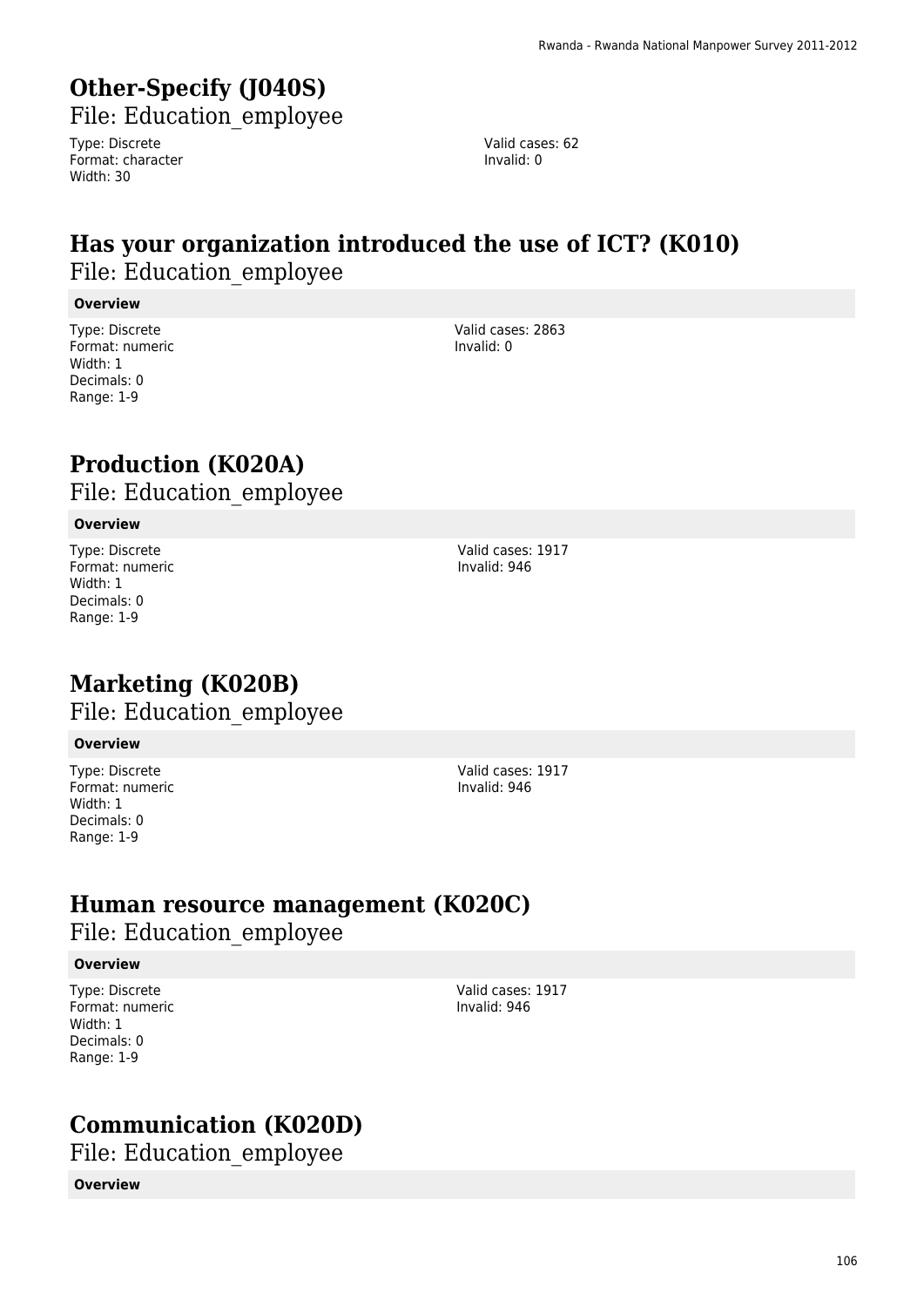# **Other-Specify (J040S)**

File: Education\_employee

Type: Discrete Format: character Width: 30

Valid cases: 62 Invalid: 0

### **Has your organization introduced the use of ICT? (K010)**  File: Education\_employee

#### **Overview**

Type: Discrete Format: numeric Width: 1 Decimals: 0 Range: 1-9

Valid cases: 2863 Invalid: 0

Valid cases: 1917 Invalid: 946

### **Production (K020A)**  File: Education\_employee

#### **Overview**

Type: Discrete Format: numeric Width: 1 Decimals: 0 Range: 1-9

# **Marketing (K020B)**

File: Education\_employee

#### **Overview**

Type: Discrete Format: numeric Width: 1 Decimals: 0 Range: 1-9

Valid cases: 1917

Invalid: 946

# **Human resource management (K020C)**

File: Education\_employee

#### **Overview**

Type: Discrete Format: numeric Width: 1 Decimals: 0 Range: 1-9

Valid cases: 1917 Invalid: 946

### **Communication (K020D)**

File: Education\_employee

#### **Overview**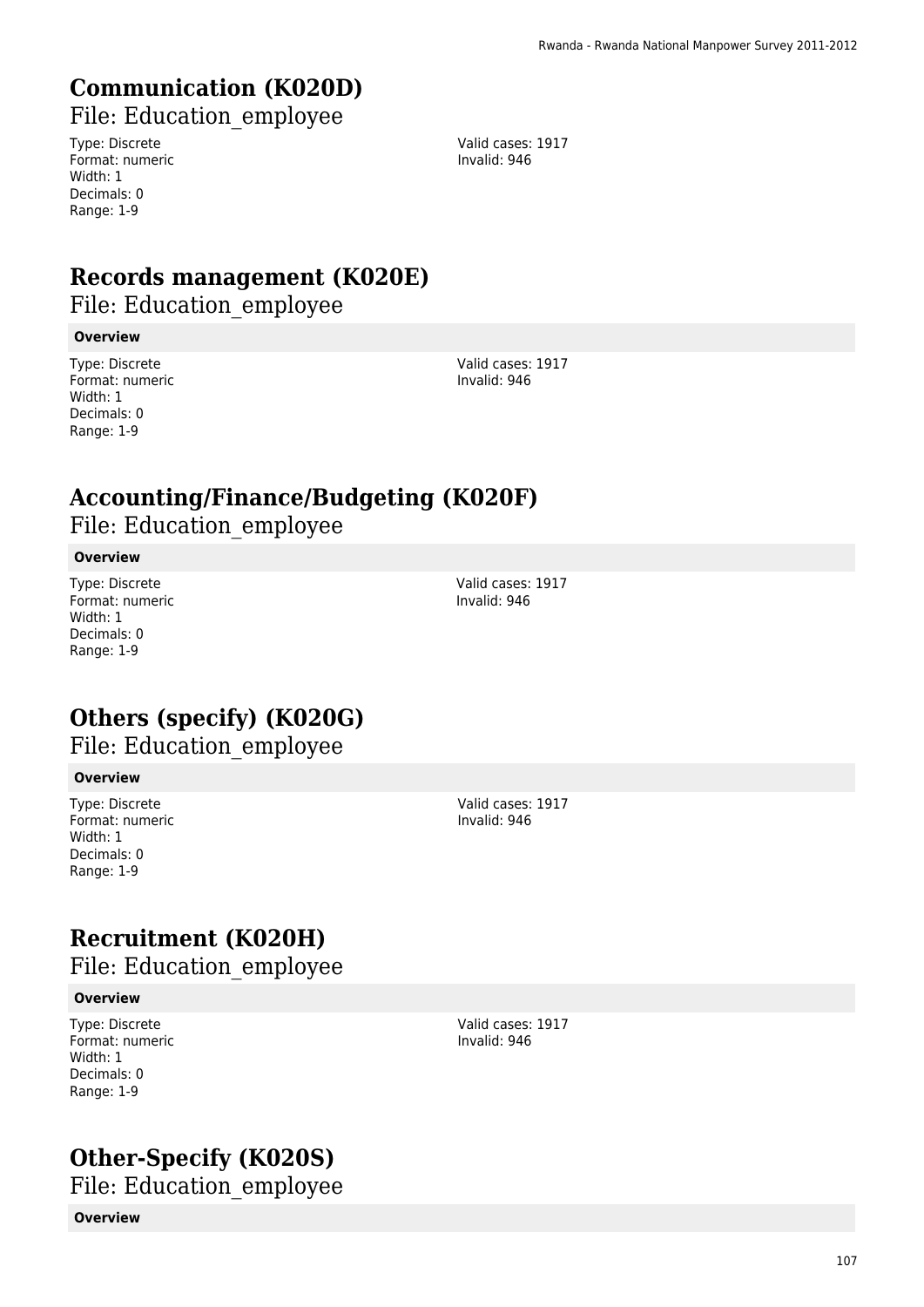### **Communication (K020D)**

File: Education\_employee

Type: Discrete Format: numeric Width: 1 Decimals: 0 Range: 1-9

## **Records management (K020E)**

File: Education\_employee

#### **Overview**

Type: Discrete Format: numeric Width: 1 Decimals: 0 Range: 1-9

Invalid: 946

### **Accounting/Finance/Budgeting (K020F)**

File: Education\_employee

#### **Overview**

Type: Discrete Format: numeric Width: 1 Decimals: 0 Range: 1-9

Valid cases: 1917 Invalid: 946

### **Others (specify) (K020G)**

File: Education\_employee

#### **Overview**

Type: Discrete Format: numeric Width: 1 Decimals: 0 Range: 1-9

Valid cases: 1917 Invalid: 946

# **Recruitment (K020H)**

File: Education\_employee

#### **Overview**

Type: Discrete Format: numeric Width: 1 Decimals: 0 Range: 1-9

Valid cases: 1917 Invalid: 946

### **Other-Specify (K020S)**

File: Education\_employee

**Overview**

Valid cases: 1917

Valid cases: 1917 Invalid: 946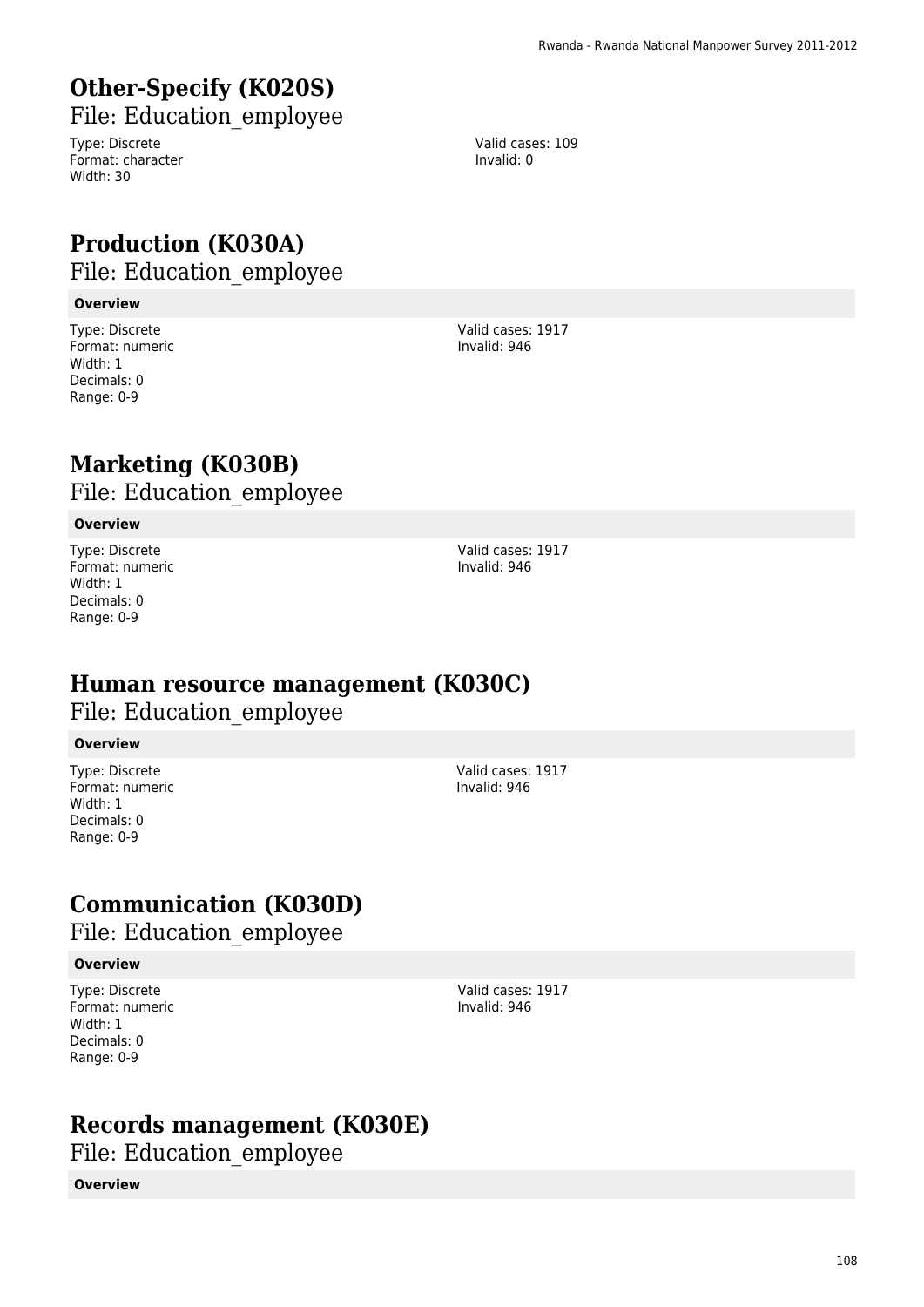# **Other-Specify (K020S)**

File: Education\_employee

Type: Discrete Format: character Width: 30

### **Production (K030A)**  File: Education\_employee

#### **Overview**

Type: Discrete Format: numeric Width: 1 Decimals: 0 Range: 0-9

### **Marketing (K030B)**  File: Education\_employee

#### **Overview**

Type: Discrete Format: numeric Width: 1 Decimals: 0 Range: 0-9

# **Human resource management (K030C)**

File: Education\_employee

#### **Overview**

Type: Discrete Format: numeric Width: 1 Decimals: 0 Range: 0-9

Valid cases: 1917 Invalid: 946

### **Communication (K030D)**

File: Education\_employee

#### **Overview**

Type: Discrete Format: numeric Width: 1 Decimals: 0 Range: 0-9

Valid cases: 1917 Invalid: 946

### **Records management (K030E)**

File: Education\_employee

#### **Overview**

Valid cases: 109 Invalid: 0

Valid cases: 1917 Invalid: 946

Valid cases: 1917 Invalid: 946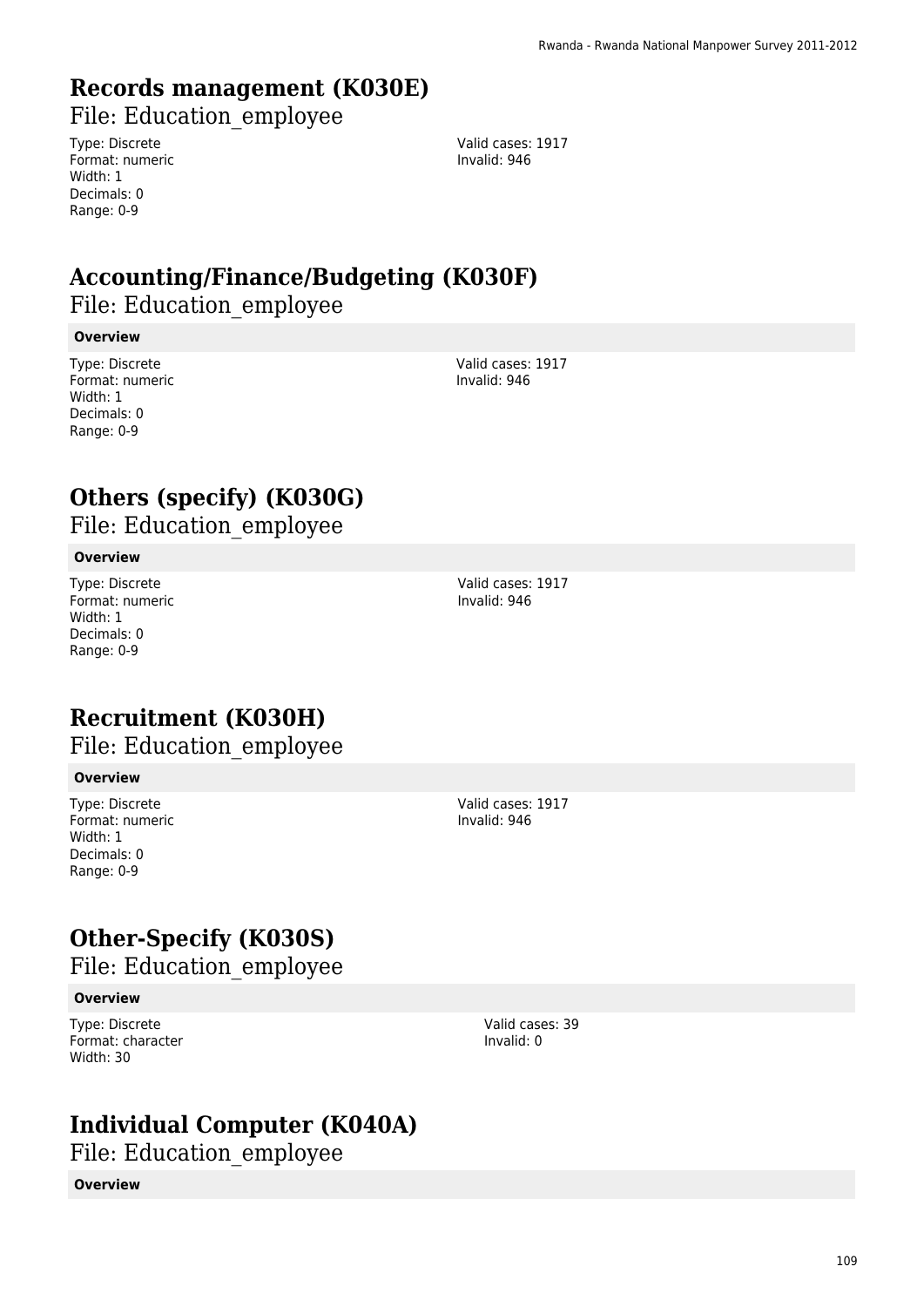### **Records management (K030E)**

File: Education\_employee

Type: Discrete Format: numeric Width: 1 Decimals: 0 Range: 0-9

# **Accounting/Finance/Budgeting (K030F)**

File: Education\_employee

#### **Overview**

Type: Discrete Format: numeric Width: 1 Decimals: 0 Range: 0-9

Valid cases: 1917 Invalid: 946

# **Others (specify) (K030G)**

File: Education\_employee

#### **Overview**

Type: Discrete Format: numeric Width: 1 Decimals: 0 Range: 0-9

Valid cases: 1917 Invalid: 946

# **Recruitment (K030H)**

File: Education\_employee

#### **Overview**

Type: Discrete Format: numeric Width: 1 Decimals: 0 Range: 0-9

Valid cases: 1917 Invalid: 946

# **Other-Specify (K030S)**

File: Education\_employee

#### **Overview**

Type: Discrete Format: character Width: 30

### **Individual Computer (K040A)**

File: Education\_employee

**Overview**

Valid cases: 39 Invalid: 0

Invalid: 946

Valid cases: 1917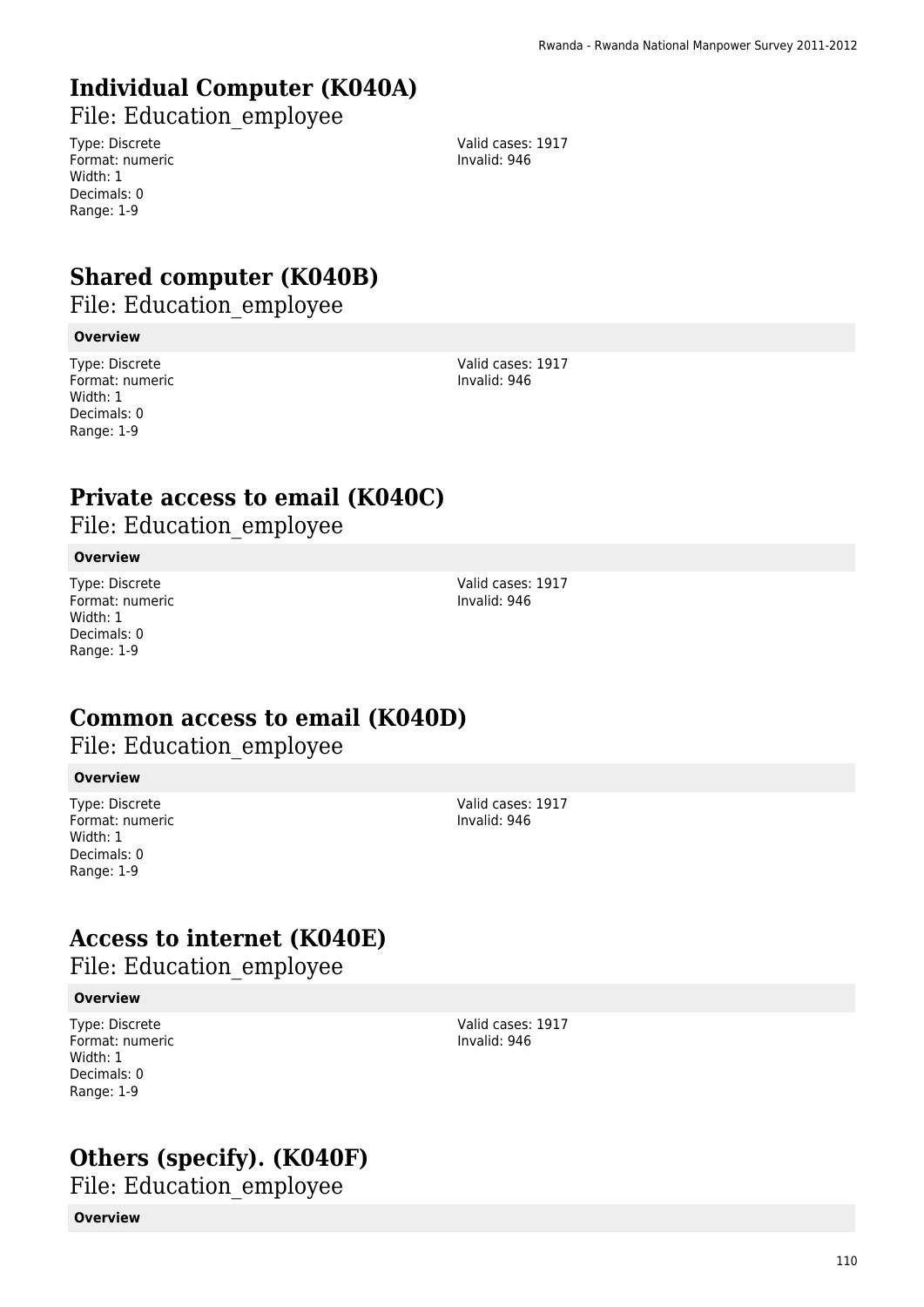# **Individual Computer (K040A)**

File: Education\_employee

Type: Discrete Format: numeric Width: 1 Decimals: 0 Range: 1-9

Valid cases: 1917 Invalid: 946

# **Shared computer (K040B)**

File: Education\_employee

#### **Overview**

Type: Discrete Format: numeric Width: 1 Decimals: 0 Range: 1-9

Valid cases: 1917 Invalid: 946

# **Private access to email (K040C)**

File: Education\_employee

#### **Overview**

Type: Discrete Format: numeric Width: 1 Decimals: 0 Range: 1-9

Valid cases: 1917 Invalid: 946

### **Common access to email (K040D)**

File: Education\_employee

#### **Overview**

Type: Discrete Format: numeric Width: 1 Decimals: 0 Range: 1-9

Valid cases: 1917 Invalid: 946

### **Access to internet (K040E)**

File: Education\_employee

#### **Overview**

Type: Discrete Format: numeric Width: 1 Decimals: 0 Range: 1-9

Valid cases: 1917 Invalid: 946

# **Others (specify). (K040F)**

File: Education\_employee

**Overview**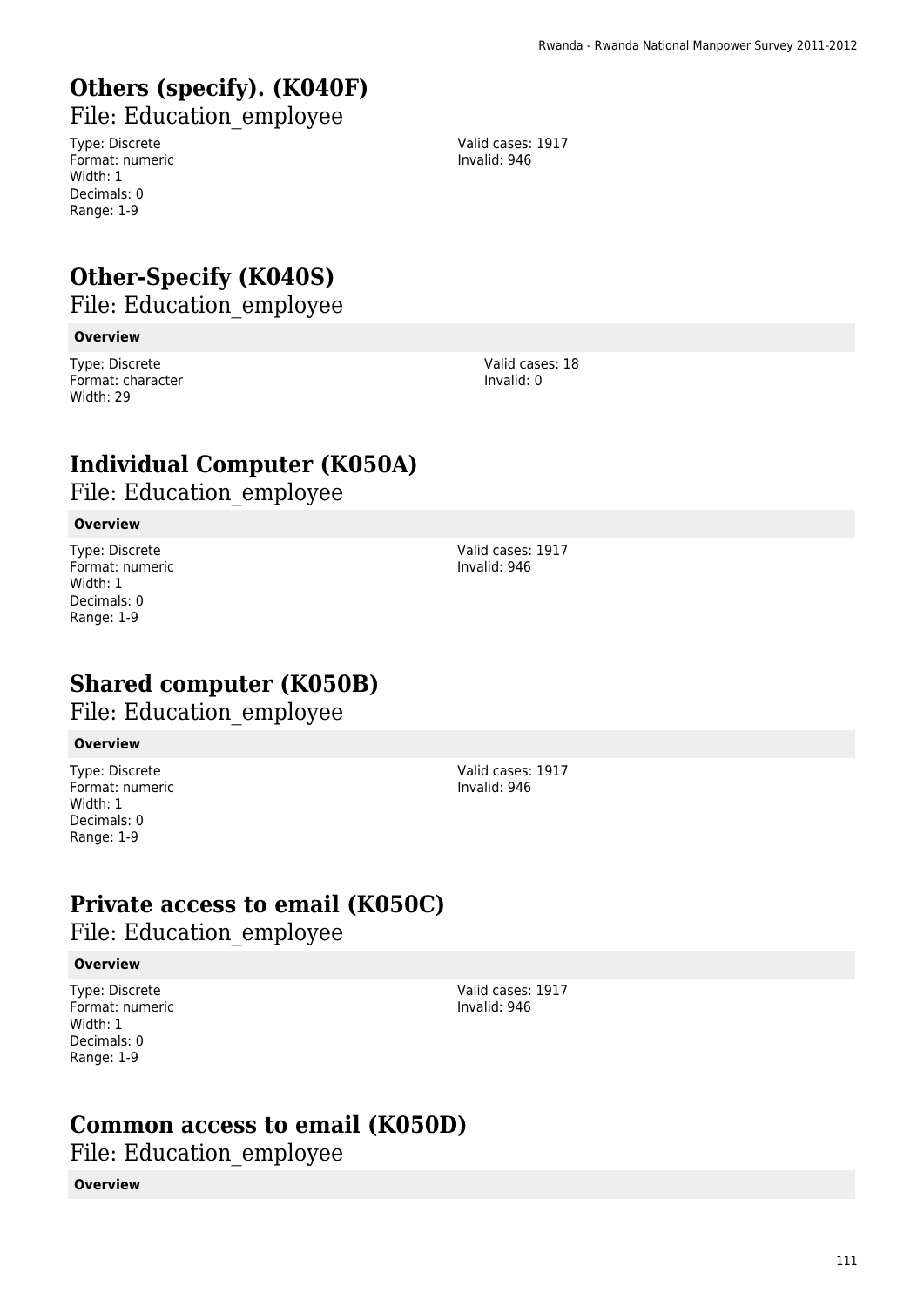# **Others (specify). (K040F)**

File: Education\_employee

Type: Discrete Format: numeric Width: 1 Decimals: 0 Range: 1-9

# **Other-Specify (K040S)**

File: Education\_employee

#### **Overview**

Type: Discrete Format: character Width: 29

# **Individual Computer (K050A)**

File: Education\_employee

#### **Overview**

Type: Discrete Format: numeric Width: 1 Decimals: 0 Range: 1-9

### **Shared computer (K050B)**

File: Education\_employee

#### **Overview**

Type: Discrete Format: numeric Width: 1 Decimals: 0 Range: 1-9

# **Private access to email (K050C)**

File: Education\_employee

#### **Overview**

Type: Discrete Format: numeric Width: 1 Decimals: 0 Range: 1-9

Valid cases: 1917 Invalid: 946

### **Common access to email (K050D)**

File: Education\_employee

#### **Overview**

Valid cases: 1917 Invalid: 946

> Valid cases: 18 Invalid: 0

Valid cases: 1917 Invalid: 946

Valid cases: 1917 Invalid: 946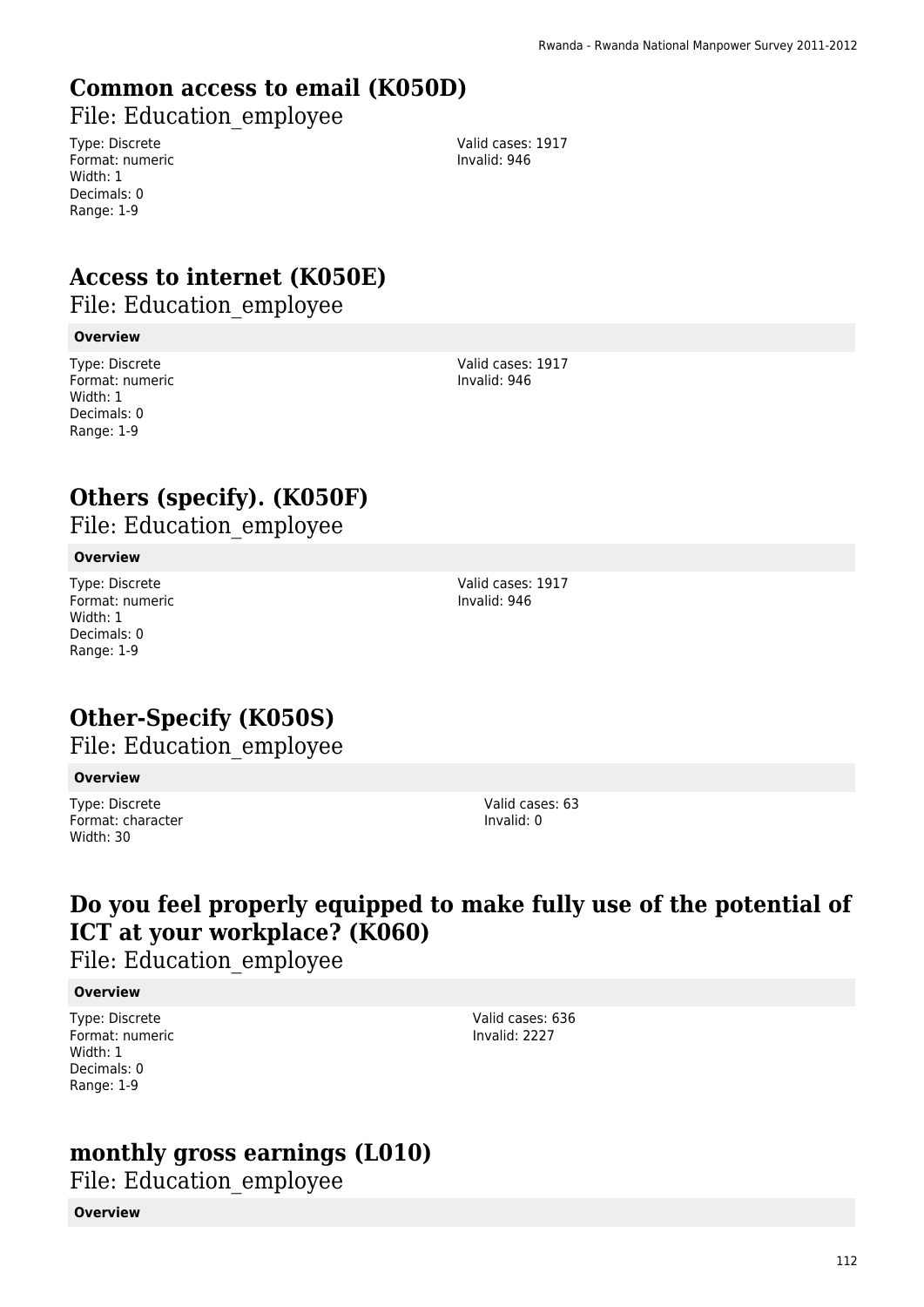# **Common access to email (K050D)**

File: Education\_employee

Type: Discrete Format: numeric Width: 1 Decimals: 0 Range: 1-9

Valid cases: 1917 Invalid: 946

# **Access to internet (K050E)**

File: Education\_employee

#### **Overview**

Type: Discrete Format: numeric Width: 1 Decimals: 0 Range: 1-9

Valid cases: 1917 Invalid: 946

# **Others (specify). (K050F)**

File: Education employee

#### **Overview**

Type: Discrete Format: numeric Width: 1 Decimals: 0 Range: 1-9

Valid cases: 1917 Invalid: 946

# **Other-Specify (K050S)**

File: Education\_employee

#### **Overview**

Type: Discrete Format: character Width: 30

Valid cases: 63 Invalid: 0

### **Do you feel properly equipped to make fully use of the potential of ICT at your workplace? (K060)**

File: Education\_employee

#### **Overview**

Type: Discrete Format: numeric Width: 1 Decimals: 0 Range: 1-9

Valid cases: 636 Invalid: 2227

### **monthly gross earnings (L010)**

File: Education\_employee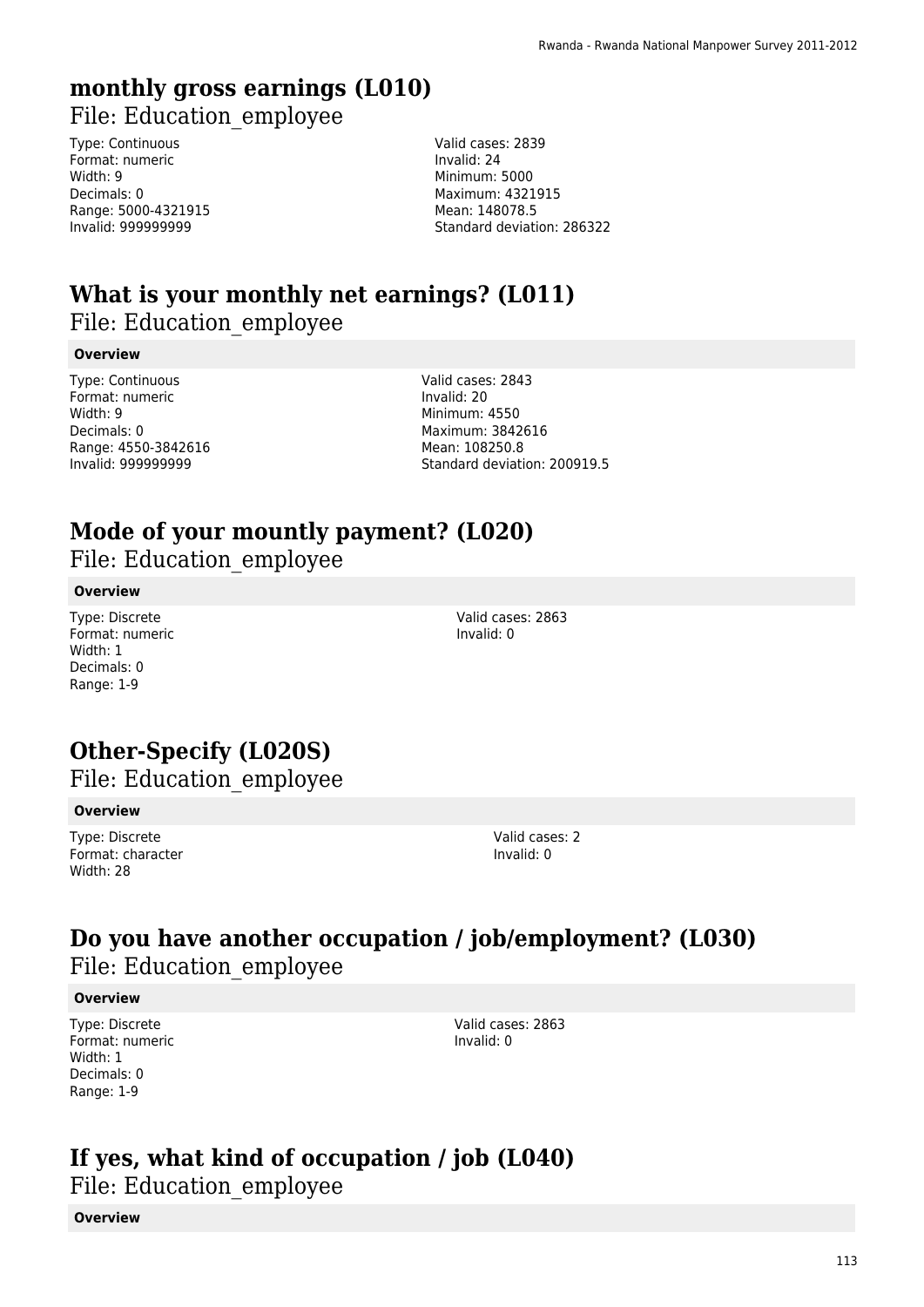### **monthly gross earnings (L010)**  File: Education\_employee

Type: Continuous Format: numeric Width: 9 Decimals: 0 Range: 5000-4321915

Invalid: 999999999

Valid cases: 2839 Invalid: 24 Minimum: 5000 Maximum: 4321915 Mean: 148078.5 Standard deviation: 286322

### **What is your monthly net earnings? (L011)**  File: Education\_employee

#### **Overview**

Type: Continuous Format: numeric Width: 9 Decimals: 0 Range: 4550-3842616 Invalid: 999999999

Valid cases: 2843 Invalid: 20 Minimum: 4550 Maximum: 3842616 Mean: 108250.8 Standard deviation: 200919.5

# **Mode of your mountly payment? (L020)**

File: Education\_employee

#### **Overview**

Type: Discrete Format: numeric Width: 1 Decimals: 0 Range: 1-9

Valid cases: 2863 Invalid: 0

# **Other-Specify (L020S)**

File: Education\_employee

#### **Overview**

Type: Discrete Format: character Width: 28

Valid cases: 2 Invalid: 0

### **Do you have another occupation / job/employment? (L030)**  File: Education\_employee

#### **Overview**

Type: Discrete Format: numeric Width: 1 Decimals: 0 Range: 1-9

Valid cases: 2863 Invalid: 0

### **If yes, what kind of occupation / job (L040)**

File: Education\_employee

#### **Overview**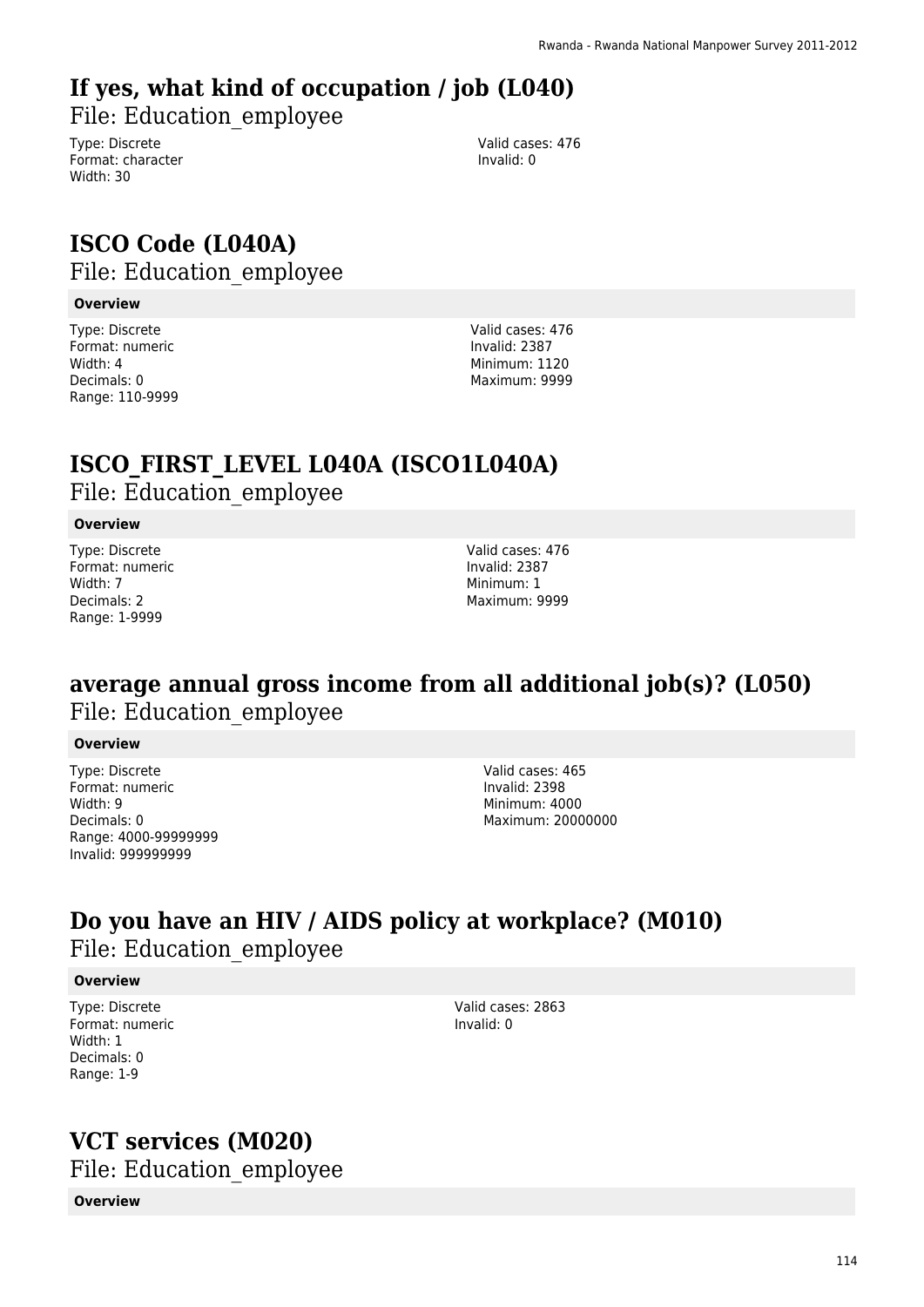## **If yes, what kind of occupation / job (L040)**

File: Education\_employee

Type: Discrete Format: character Width: 30

Valid cases: 476 Invalid: 0

### **ISCO Code (L040A)**  File: Education\_employee

#### **Overview**

Type: Discrete Format: numeric Width: 4 Decimals: 0 Range: 110-9999 Valid cases: 476 Invalid: 2387 Minimum: 1120 Maximum: 9999

### **ISCO\_FIRST\_LEVEL L040A (ISCO1L040A)**  File: Education\_employee

#### **Overview**

Type: Discrete Format: numeric Width: 7 Decimals: 2 Range: 1-9999

Valid cases: 476 Invalid: 2387 Minimum: 1 Maximum: 9999

### **average annual gross income from all additional job(s)? (L050)**  File: Education\_employee

#### **Overview**

Type: Discrete Format: numeric Width: 9 Decimals: 0 Range: 4000-99999999 Invalid: 999999999

Valid cases: 465 Invalid: 2398 Minimum: 4000 Maximum: 20000000

### **Do you have an HIV / AIDS policy at workplace? (M010)**  File: Education\_employee

#### **Overview**

Type: Discrete Format: numeric Width: 1 Decimals: 0 Range: 1-9

Valid cases: 2863 Invalid: 0

# **VCT services (M020)**

File: Education\_employee

**Overview**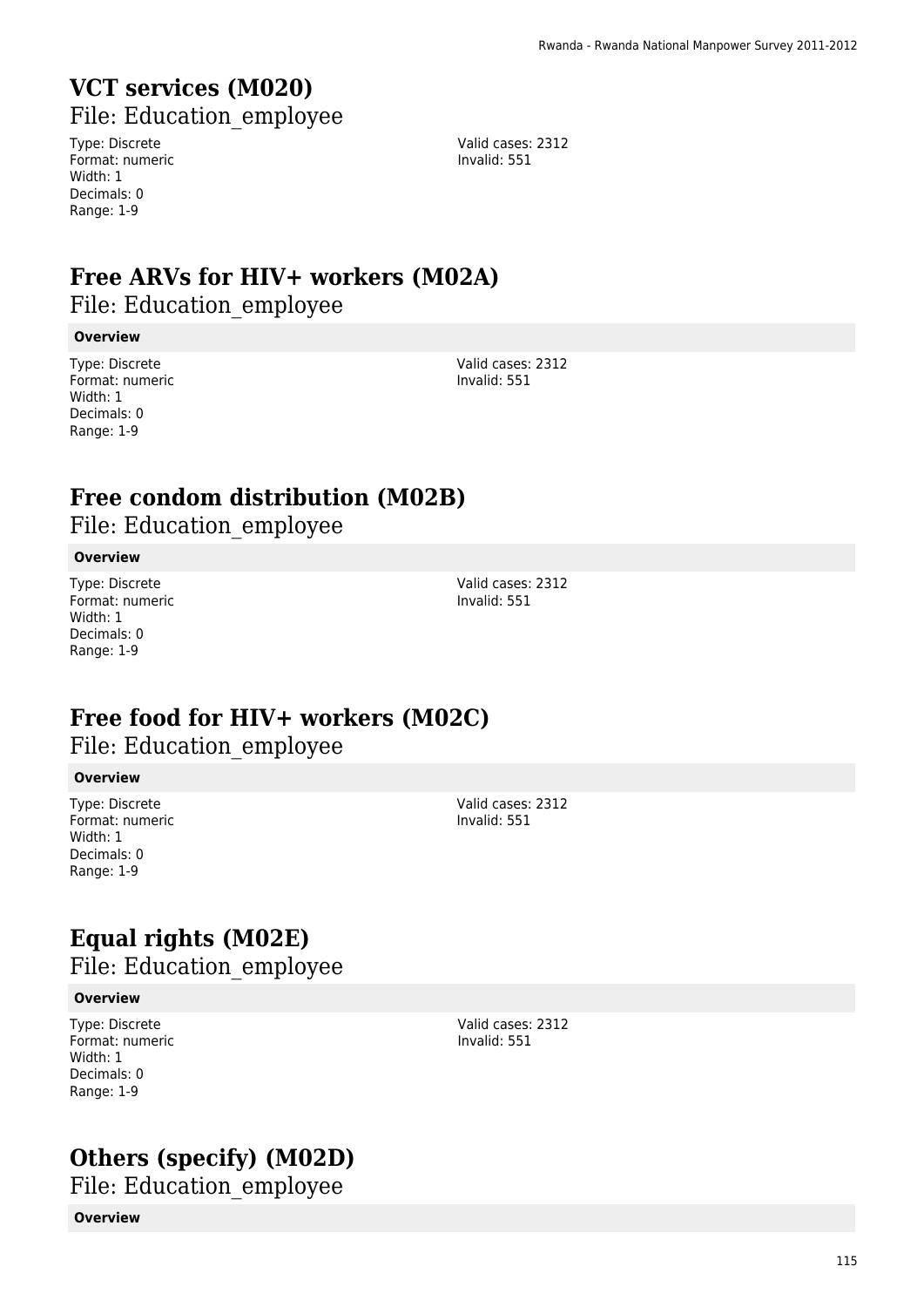### **VCT services (M020)**  File: Education\_employee

Type: Discrete Format: numeric Width: 1 Decimals: 0 Range: 1-9

Valid cases: 2312 Invalid: 551

# **Free ARVs for HIV+ workers (M02A)**

File: Education\_employee

#### **Overview**

Type: Discrete Format: numeric Width: 1 Decimals: 0 Range: 1-9

Valid cases: 2312 Invalid: 551

### **Free condom distribution (M02B)**

File: Education\_employee

#### **Overview**

Type: Discrete Format: numeric Width: 1 Decimals: 0 Range: 1-9

Valid cases: 2312 Invalid: 551

### **Free food for HIV+ workers (M02C)**

File: Education\_employee

#### **Overview**

Type: Discrete Format: numeric Width: 1 Decimals: 0 Range: 1-9

Valid cases: 2312 Invalid: 551

# **Equal rights (M02E)**

File: Education\_employee

#### **Overview**

Type: Discrete Format: numeric Width: 1 Decimals: 0 Range: 1-9

Valid cases: 2312 Invalid: 551

### **Others (specify) (M02D)**

File: Education\_employee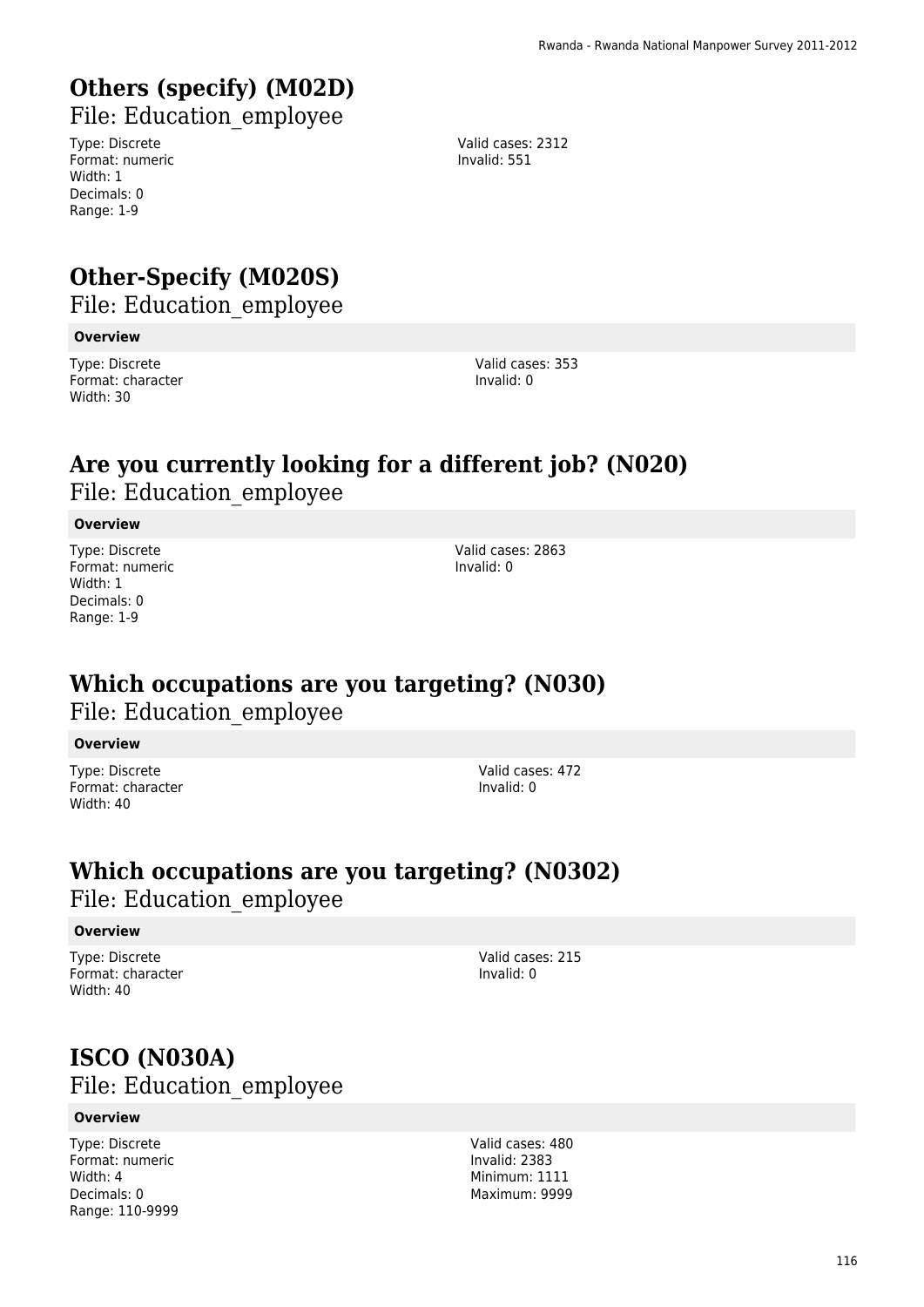# **Others (specify) (M02D)**

File: Education\_employee

Type: Discrete Format: numeric Width: 1 Decimals: 0 Range: 1-9

Valid cases: 2312 Invalid: 551

# **Other-Specify (M020S)**

File: Education\_employee

**Overview**

Type: Discrete Format: character Width: 30

Valid cases: 353 Invalid: 0

### **Are you currently looking for a different job? (N020)**  File: Education\_employee

#### **Overview**

Type: Discrete Format: numeric Width: 1 Decimals: 0 Range: 1-9

Valid cases: 2863 Invalid: 0

### **Which occupations are you targeting? (N030)**  File: Education\_employee

#### **Overview**

Type: Discrete Format: character Width: 40

Valid cases: 472 Invalid: 0

### **Which occupations are you targeting? (N0302)**  File: Education\_employee

#### **Overview**

Type: Discrete Format: character Width: 40

Valid cases: 215 Invalid: 0

# **ISCO (N030A)**

File: Education\_employee

#### **Overview**

Type: Discrete Format: numeric Width: 4 Decimals: 0 Range: 110-9999

Valid cases: 480 Invalid: 2383 Minimum: 1111 Maximum: 9999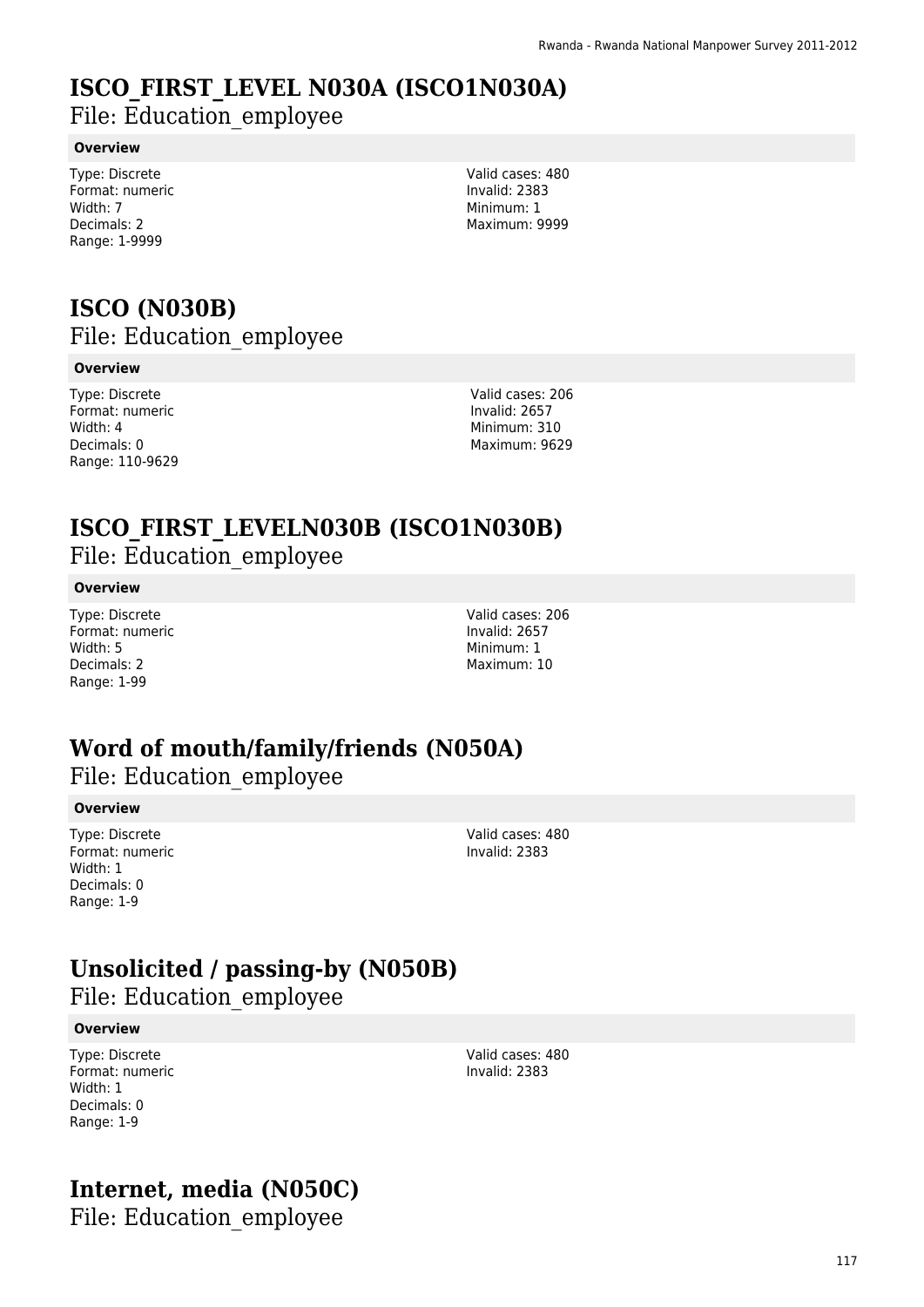# **ISCO\_FIRST\_LEVEL N030A (ISCO1N030A)**

File: Education\_employee

#### **Overview**

Type: Discrete Format: numeric Width: 7 Decimals: 2 Range: 1-9999

Valid cases: 480 Invalid: 2383 Minimum: 1 Maximum: 9999

### **ISCO (N030B)**  File: Education\_employee

#### **Overview**

Type: Discrete Format: numeric Width: 4 Decimals: 0 Range: 110-9629

Valid cases: 206 Invalid: 2657 Minimum: 310 Maximum: 9629

# **ISCO\_FIRST\_LEVELN030B (ISCO1N030B)**

File: Education\_employee

#### **Overview**

Type: Discrete Format: numeric Width: 5 Decimals: 2 Range: 1-99

Valid cases: 206 Invalid: 2657 Minimum: 1 Maximum: 10

# **Word of mouth/family/friends (N050A)**

File: Education\_employee

#### **Overview**

Type: Discrete Format: numeric Width: 1 Decimals: 0 Range: 1-9

Valid cases: 480 Invalid: 2383

# **Unsolicited / passing-by (N050B)**

File: Education\_employee

#### **Overview**

Type: Discrete Format: numeric Width: 1 Decimals: 0 Range: 1-9

### **Internet, media (N050C)**

File: Education\_employee

Valid cases: 480 Invalid: 2383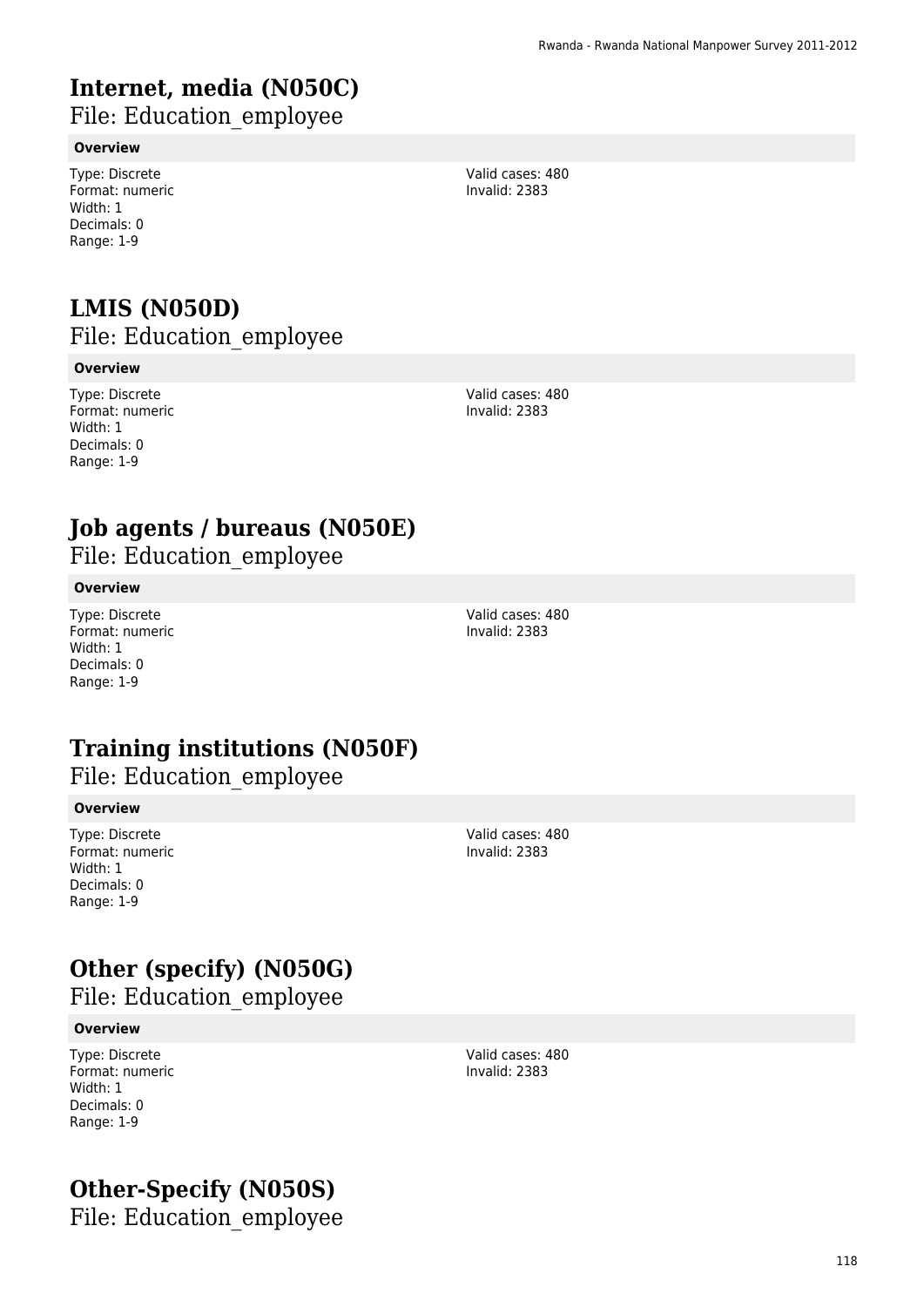### **Internet, media (N050C)**

File: Education\_employee

#### **Overview**

Type: Discrete Format: numeric Width: 1 Decimals: 0 Range: 1-9

# **LMIS (N050D)**

File: Education\_employee

#### **Overview**

Type: Discrete Format: numeric Width: 1 Decimals: 0 Range: 1-9

Valid cases: 480 Invalid: 2383

Valid cases: 480 Invalid: 2383

# **Job agents / bureaus (N050E)**

File: Education\_employee

#### **Overview**

Type: Discrete Format: numeric Width: 1 Decimals: 0 Range: 1-9

# **Training institutions (N050F)**

### File: Education\_employee

#### **Overview**

Type: Discrete Format: numeric Width: 1 Decimals: 0 Range: 1-9

# **Other (specify) (N050G)**

File: Education\_employee

#### **Overview**

Type: Discrete Format: numeric Width: 1 Decimals: 0 Range: 1-9

# **Other-Specify (N050S)**

File: Education\_employee

Valid cases: 480 Invalid: 2383

Valid cases: 480 Invalid: 2383

Valid cases: 480

Invalid: 2383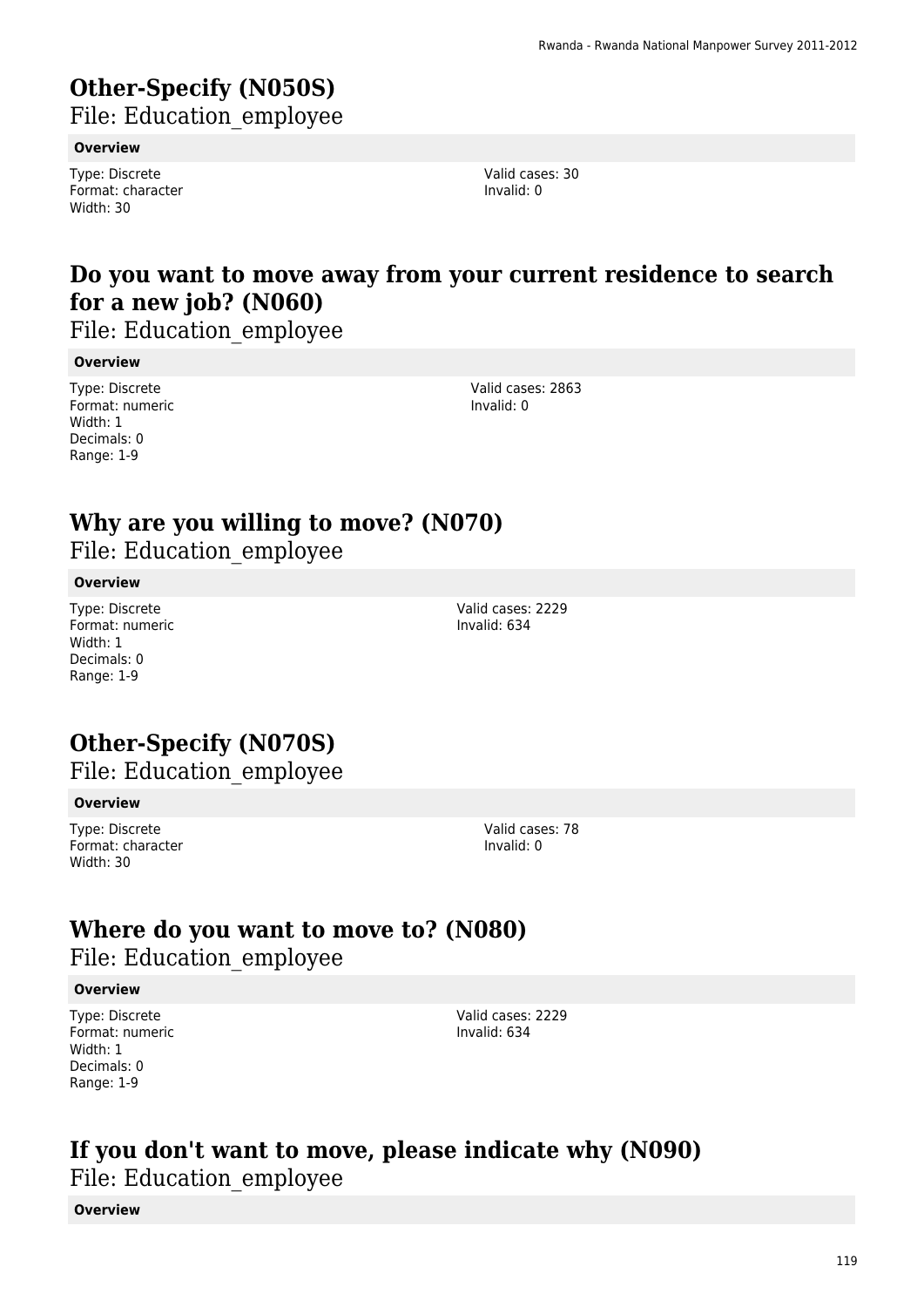# **Other-Specify (N050S)**

File: Education\_employee

#### **Overview**

Type: Discrete Format: character Width: 30

Valid cases: 30 Invalid: 0

### **Do you want to move away from your current residence to search for a new job? (N060)**

File: Education employee

#### **Overview**

Type: Discrete Format: numeric Width: 1 Decimals: 0 Range: 1-9

Valid cases: 2863 Invalid: 0

# **Why are you willing to move? (N070)**

File: Education\_employee

#### **Overview**

Type: Discrete Format: numeric Width: 1 Decimals: 0 Range: 1-9

Valid cases: 2229 Invalid: 634

# **Other-Specify (N070S)**

File: Education\_employee

#### **Overview**

Type: Discrete Format: character Width: 30

Valid cases: 78 Invalid: 0

### **Where do you want to move to? (N080)**

File: Education\_employee

#### **Overview**

Type: Discrete Format: numeric Width: 1 Decimals: 0 Range: 1-9

Valid cases: 2229 Invalid: 634

### **If you don't want to move, please indicate why (N090)**  File: Education\_employee

#### **Overview**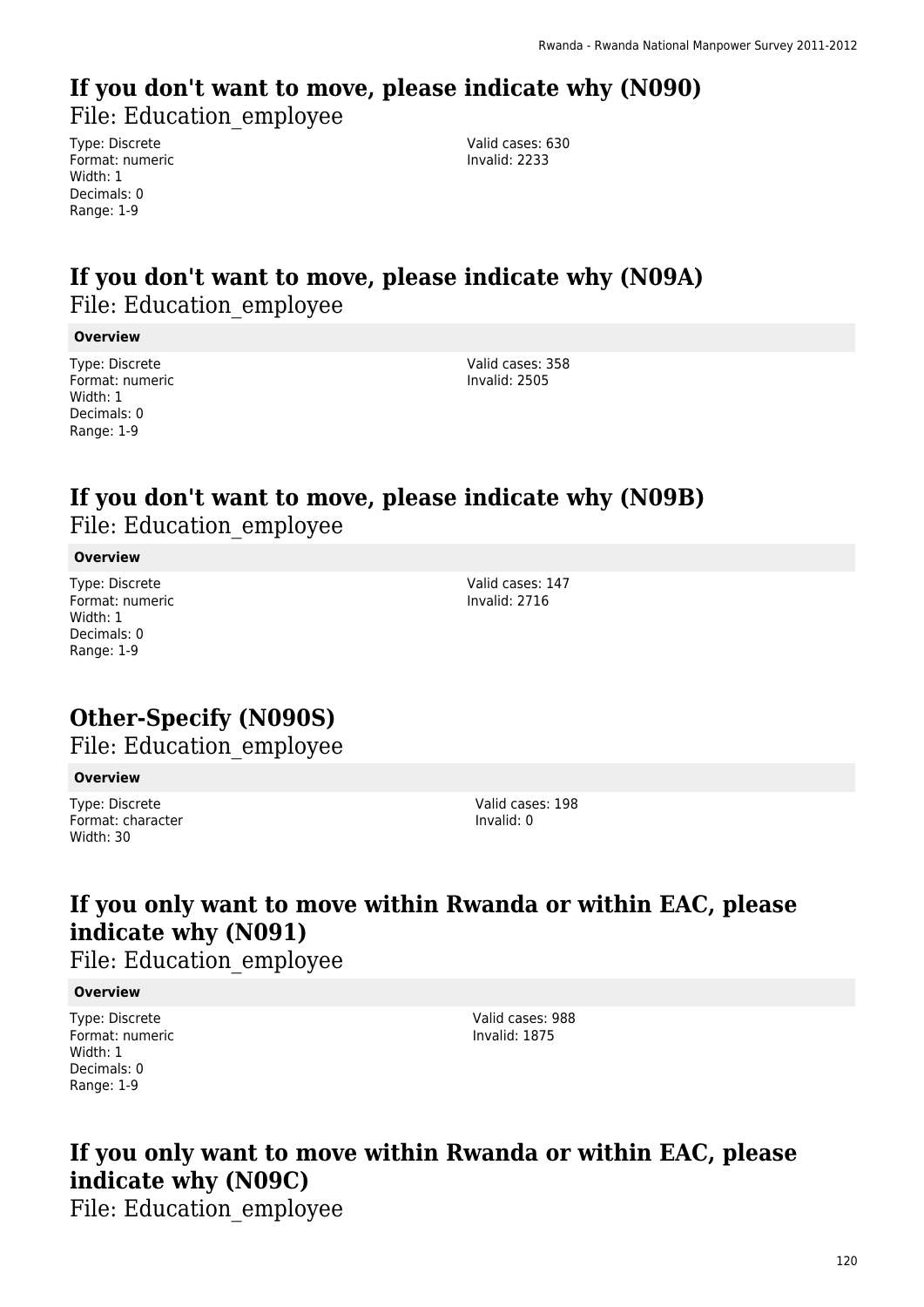### **If you don't want to move, please indicate why (N090)**

File: Education\_employee

Type: Discrete Format: numeric Width: 1 Decimals: 0 Range: 1-9

Valid cases: 630 Invalid: 2233

### **If you don't want to move, please indicate why (N09A)**  File: Education\_employee

#### **Overview**

Type: Discrete Format: numeric Width: 1 Decimals: 0 Range: 1-9

Valid cases: 358 Invalid: 2505

### **If you don't want to move, please indicate why (N09B)**  File: Education employee

#### **Overview**

Type: Discrete Format: numeric Width: 1 Decimals: 0 Range: 1-9

Valid cases: 147 Invalid: 2716

### **Other-Specify (N090S)**

File: Education\_employee

#### **Overview**

Type: Discrete Format: character Width: 30

Valid cases: 198 Invalid: 0

### **If you only want to move within Rwanda or within EAC, please indicate why (N091)**

File: Education\_employee

#### **Overview**

Type: Discrete Format: numeric Width: 1 Decimals: 0 Range: 1-9

Valid cases: 988 Invalid: 1875

# **If you only want to move within Rwanda or within EAC, please indicate why (N09C)**

File: Education employee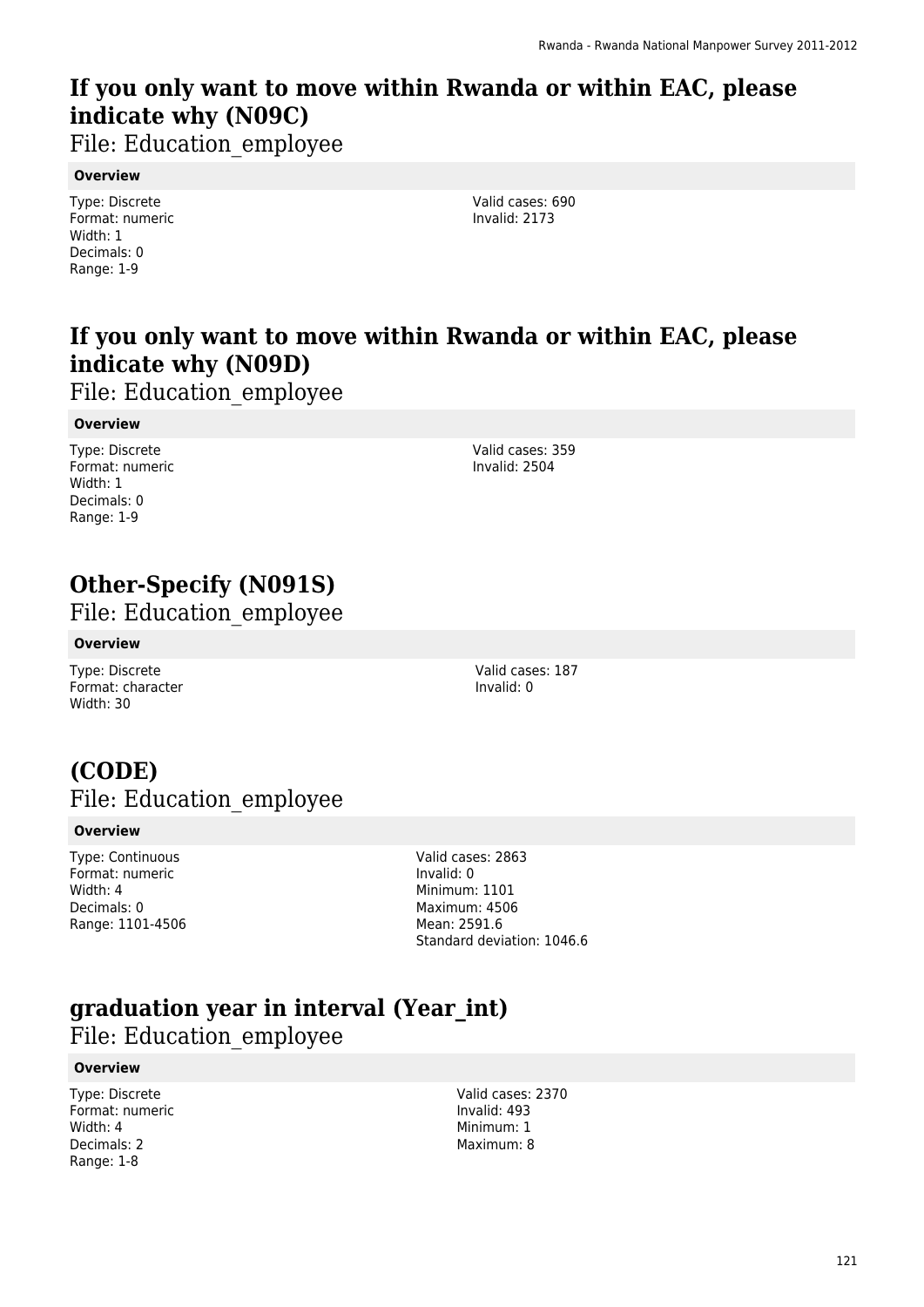## **If you only want to move within Rwanda or within EAC, please indicate why (N09C)**

File: Education\_employee

#### **Overview**

Type: Discrete Format: numeric Width: 1 Decimals: 0 Range: 1-9

Valid cases: 690 Invalid: 2173

### **If you only want to move within Rwanda or within EAC, please indicate why (N09D)**

File: Education\_employee

#### **Overview**

Type: Discrete Format: numeric Width: 1 Decimals: 0 Range: 1-9

Valid cases: 359 Invalid: 2504

# **Other-Specify (N091S)**

File: Education\_employee

#### **Overview**

Type: Discrete Format: character Width: 30

Valid cases: 187 Invalid: 0

### **(CODE)**  File: Education\_employee

#### **Overview**

Type: Continuous Format: numeric Width: 4 Decimals: 0 Range: 1101-4506

Valid cases: 2863 Invalid: 0 Minimum: 1101 Maximum: 4506 Mean: 2591.6 Standard deviation: 1046.6

# **graduation year in interval (Year\_int)**

File: Education\_employee

#### **Overview**

Type: Discrete Format: numeric Width: 4 Decimals: 2 Range: 1-8

Valid cases: 2370 Invalid: 493 Minimum: 1 Maximum: 8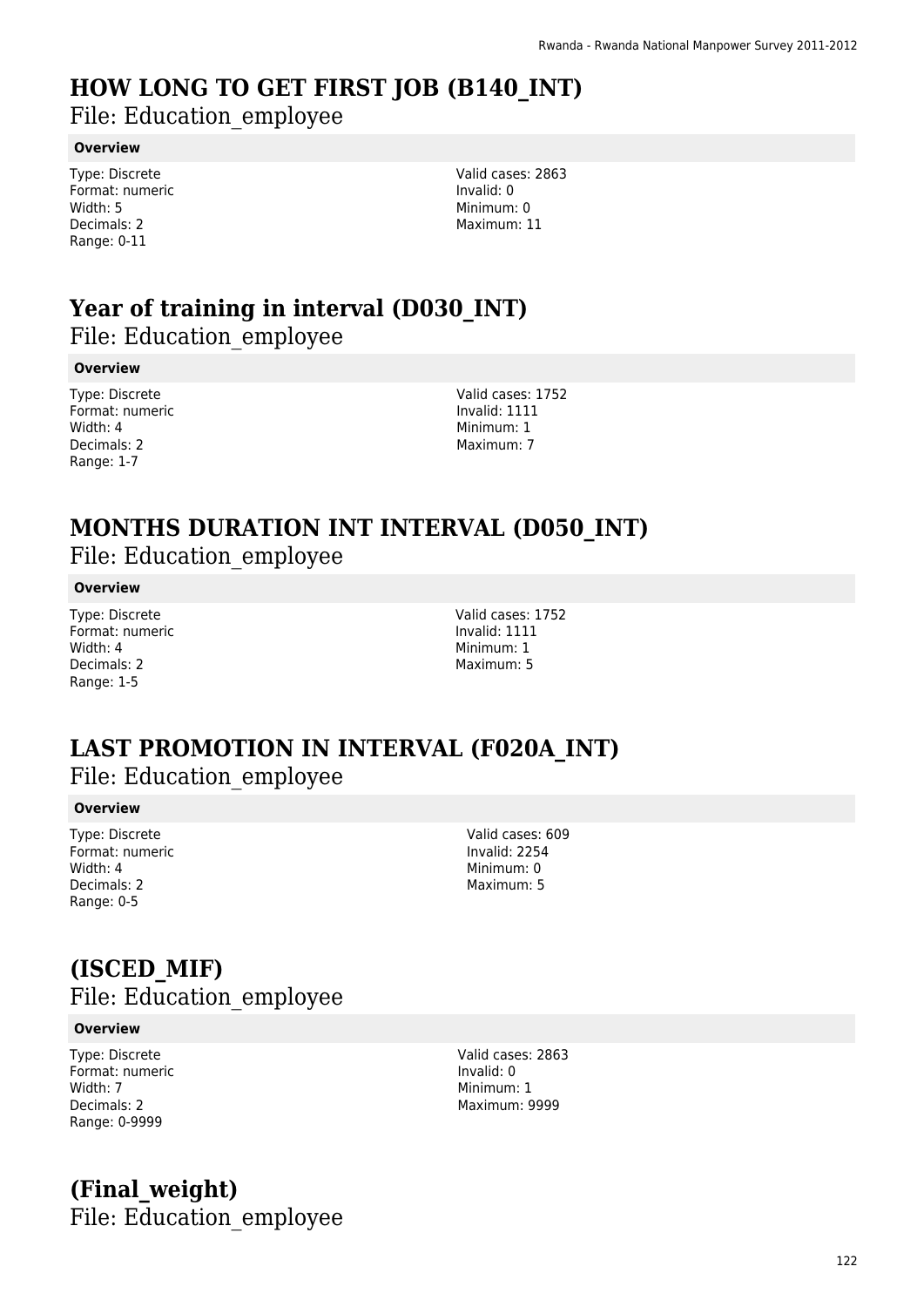### **HOW LONG TO GET FIRST JOB (B140\_INT)**

File: Education\_employee

#### **Overview**

Type: Discrete Format: numeric Width: 5 Decimals: 2 Range: 0-11

Valid cases: 2863 Invalid: 0 Minimum: 0 Maximum: 11

# Year of training in interval (D030 INT)

File: Education\_employee

#### **Overview**

Type: Discrete Format: numeric Width: 4 Decimals: 2 Range: 1-7

Valid cases: 1752 Invalid: 1111 Minimum: 1 Maximum: 7

### **MONTHS DURATION INT INTERVAL (D050\_INT)**  File: Education\_employee

#### **Overview**

Type: Discrete Format: numeric Width: 4 Decimals: 2 Range: 1-5

Valid cases: 1752 Invalid: 1111 Minimum: 1 Maximum: 5

### **LAST PROMOTION IN INTERVAL (F020A\_INT)**  File: Education\_employee

#### **Overview**

Type: Discrete Format: numeric Width: 4 Decimals: 2 Range: 0-5

Valid cases: 609 Invalid: 2254 Minimum: 0 Maximum: 5

### **(ISCED\_MIF)**  File: Education\_employee

#### **Overview**

Type: Discrete Format: numeric Width: 7 Decimals: 2 Range: 0-9999

**(Final\_weight)**  File: Education\_employee

Valid cases: 2863 Invalid: 0 Minimum: 1 Maximum: 9999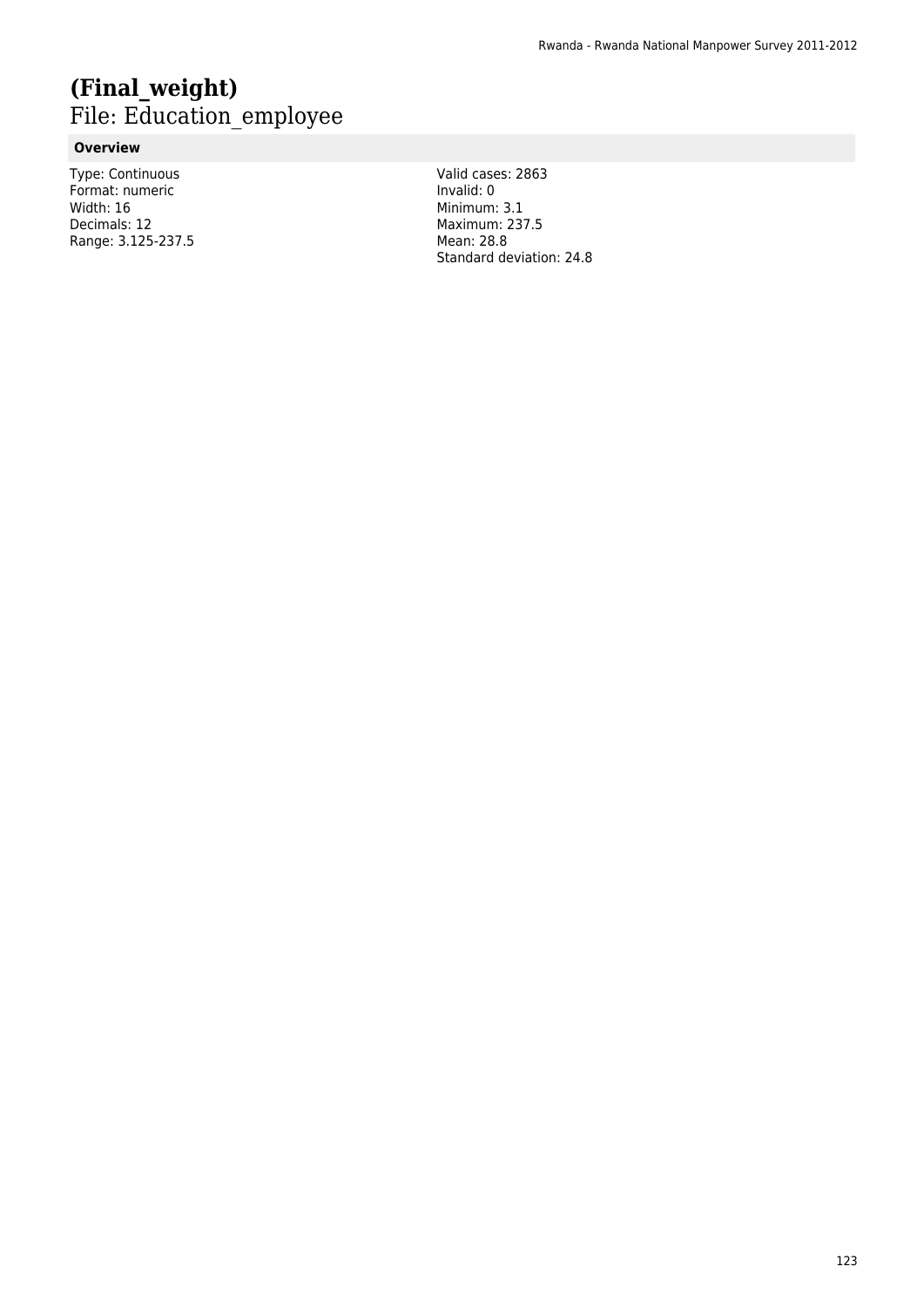### **(Final\_weight)**  File: Education\_employee

#### **Overview**

Type: Continuous Format: numeric Width: 16 Decimals: 12 Range: 3.125-237.5 Valid cases: 2863 Invalid: 0 Minimum: 3.1 Maximum: 237.5 Mean: 28.8 Standard deviation: 24.8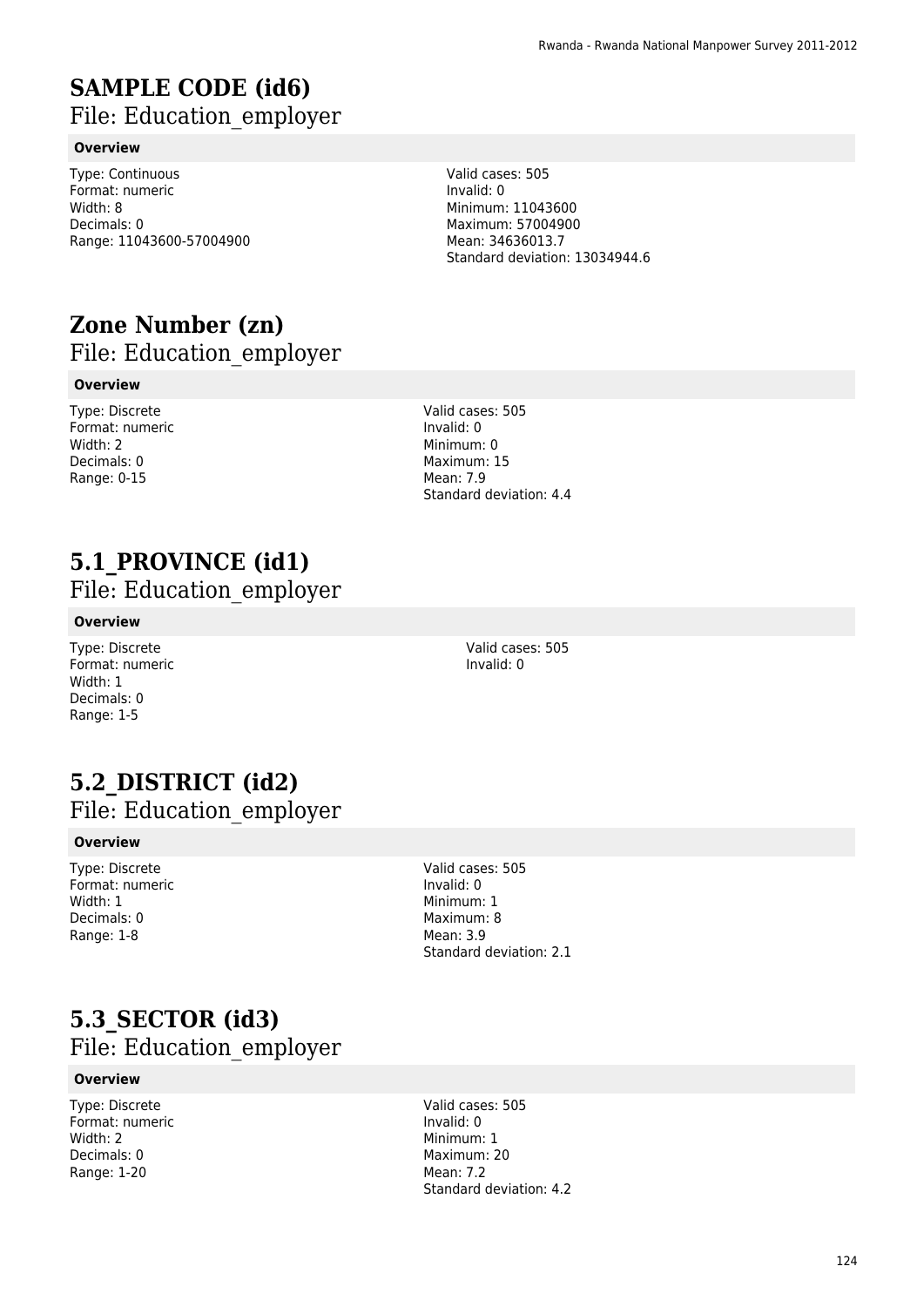### **SAMPLE CODE (id6)**  File: Education\_employer

#### **Overview**

Type: Continuous Format: numeric Width: 8 Decimals: 0 Range: 11043600-57004900

Valid cases: 505 Invalid: 0 Minimum: 11043600 Maximum: 57004900 Mean: 34636013.7 Standard deviation: 13034944.6

### **Zone Number (zn)**  File: Education\_employer

#### **Overview**

Type: Discrete Format: numeric Width: 2 Decimals: 0 Range: 0-15

Valid cases: 505 Invalid: 0 Minimum: 0 Maximum: 15 Mean: 7.9 Standard deviation: 4.4

### **5.1\_PROVINCE (id1)**  File: Education\_employer

#### **Overview**

Type: Discrete Format: numeric Width: 1 Decimals: 0 Range: 1-5

Valid cases: 505 Invalid: 0

### **5.2\_DISTRICT (id2)**  File: Education\_employer

#### **Overview**

Type: Discrete Format: numeric Width: 1 Decimals: 0 Range: 1-8

Valid cases: 505 Invalid: 0 Minimum: 1 Maximum: 8 Mean: 3.9 Standard deviation: 2.1

### **5.3\_SECTOR (id3)**  File: Education\_employer

#### **Overview**

Type: Discrete Format: numeric Width: 2 Decimals: 0 Range: 1-20

Valid cases: 505 Invalid: 0 Minimum: 1 Maximum: 20 Mean: 7.2 Standard deviation: 4.2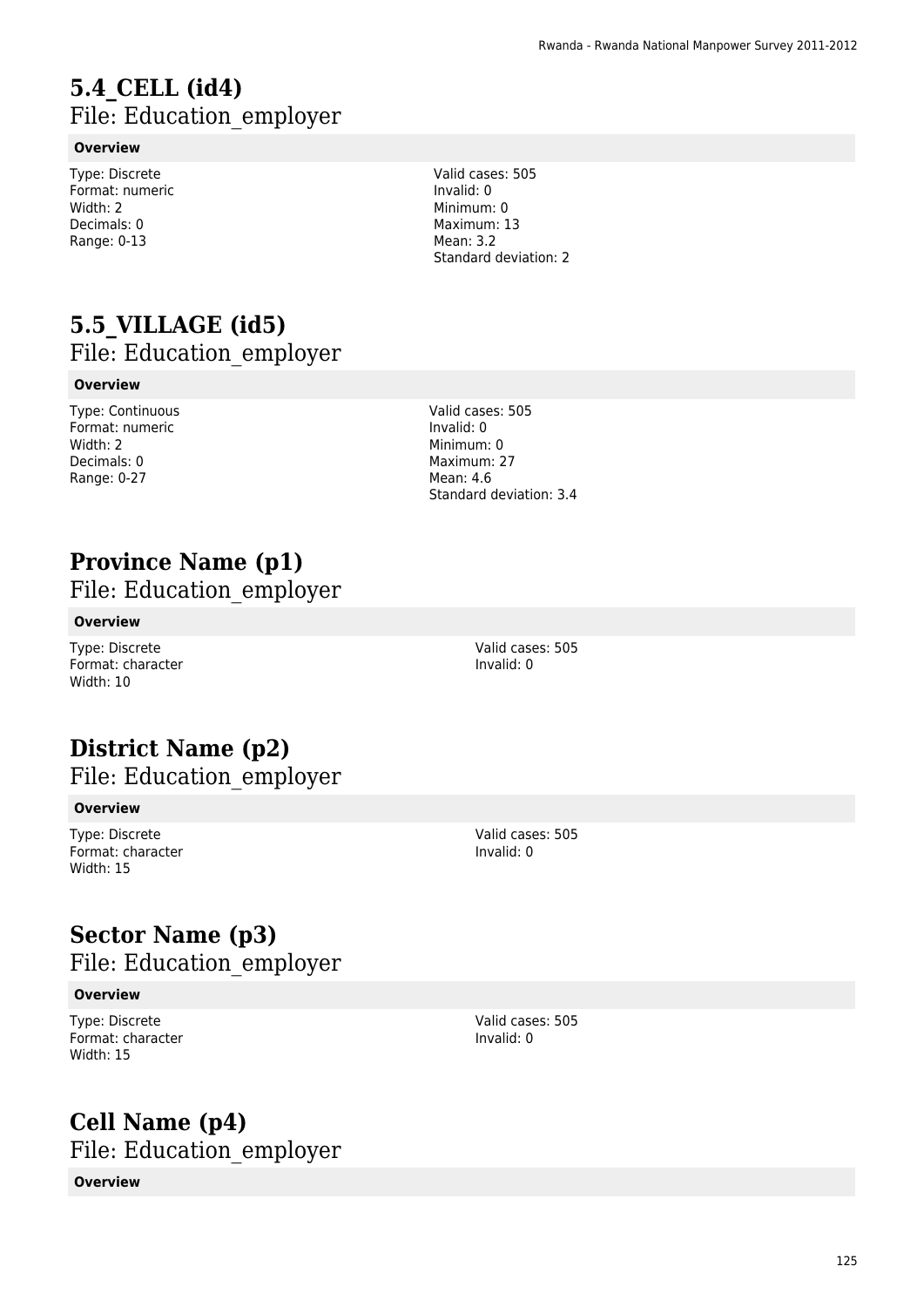### **5.4\_CELL (id4)**  File: Education\_employer

#### **Overview**

Type: Discrete Format: numeric Width: 2 Decimals: 0 Range: 0-13

Valid cases: 505 Invalid: 0 Minimum: 0 Maximum: 13 Mean: 3.2 Standard deviation: 2

### **5.5\_VILLAGE (id5)**  File: Education\_employer

#### **Overview**

Type: Continuous Format: numeric Width: 2 Decimals: 0 Range: 0-27

Valid cases: 505 Invalid: 0 Minimum: 0 Maximum: 27 Mean: 4.6 Standard deviation: 3.4

# **Province Name (p1)**

### File: Education\_employer

#### **Overview**

Type: Discrete Format: character Width: 10

### **District Name (p2)**  File: Education\_employer

#### **Overview**

Type: Discrete Format: character Width: 15

Valid cases: 505 Invalid: 0

Valid cases: 505 Invalid: 0

### **Sector Name (p3)**  File: Education\_employer

#### **Overview**

Type: Discrete Format: character Width: 15

### **Cell Name (p4)**

File: Education\_employer

#### **Overview**

Valid cases: 505 Invalid: 0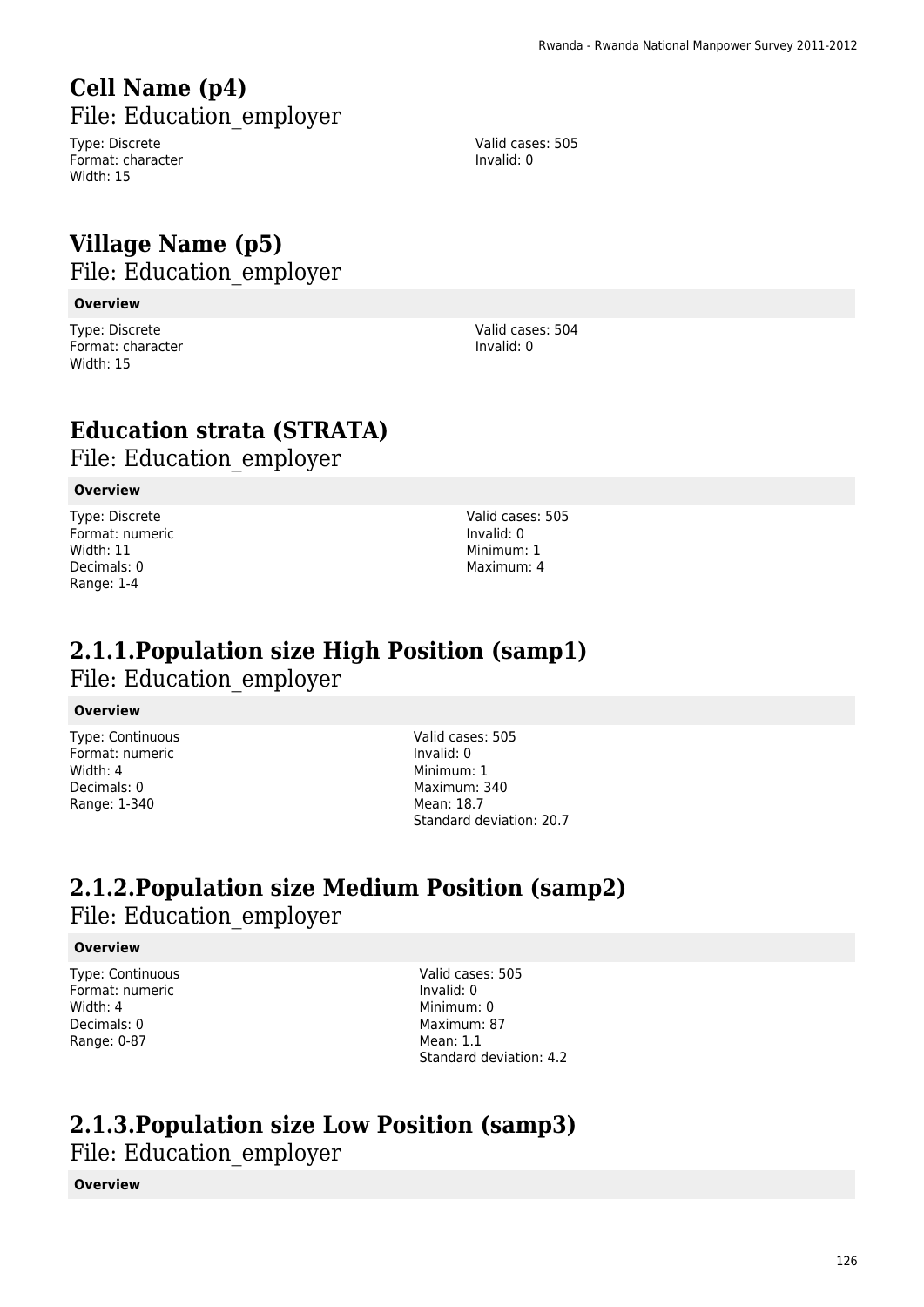# **Cell Name (p4)**

File: Education\_employer

Type: Discrete Format: character Width: 15

### **Village Name (p5)**  File: Education\_employer

#### **Overview**

Type: Discrete Format: character Width: 15

### **Education strata (STRATA)**

File: Education\_employer

#### **Overview**

Type: Discrete Format: numeric Width: 11 Decimals: 0 Range: 1-4

Valid cases: 505 Invalid: 0

Valid cases: 504 Invalid: 0

Valid cases: 505 Invalid: 0 Minimum: 1 Maximum: 4

# **2.1.1.Population size High Position (samp1)**

File: Education\_employer

#### **Overview**

Type: Continuous Format: numeric Width: 4 Decimals: 0 Range: 1-340

Valid cases: 505 Invalid: 0 Minimum: 1 Maximum: 340 Mean: 18.7 Standard deviation: 20.7

### **2.1.2.Population size Medium Position (samp2)**  File: Education\_employer

#### **Overview**

Type: Continuous Format: numeric Width: 4 Decimals: 0 Range: 0-87

Valid cases: 505 Invalid: 0 Minimum: 0 Maximum: 87 Mean: 1.1 Standard deviation: 4.2

### **2.1.3.Population size Low Position (samp3)**

File: Education\_employer

#### **Overview**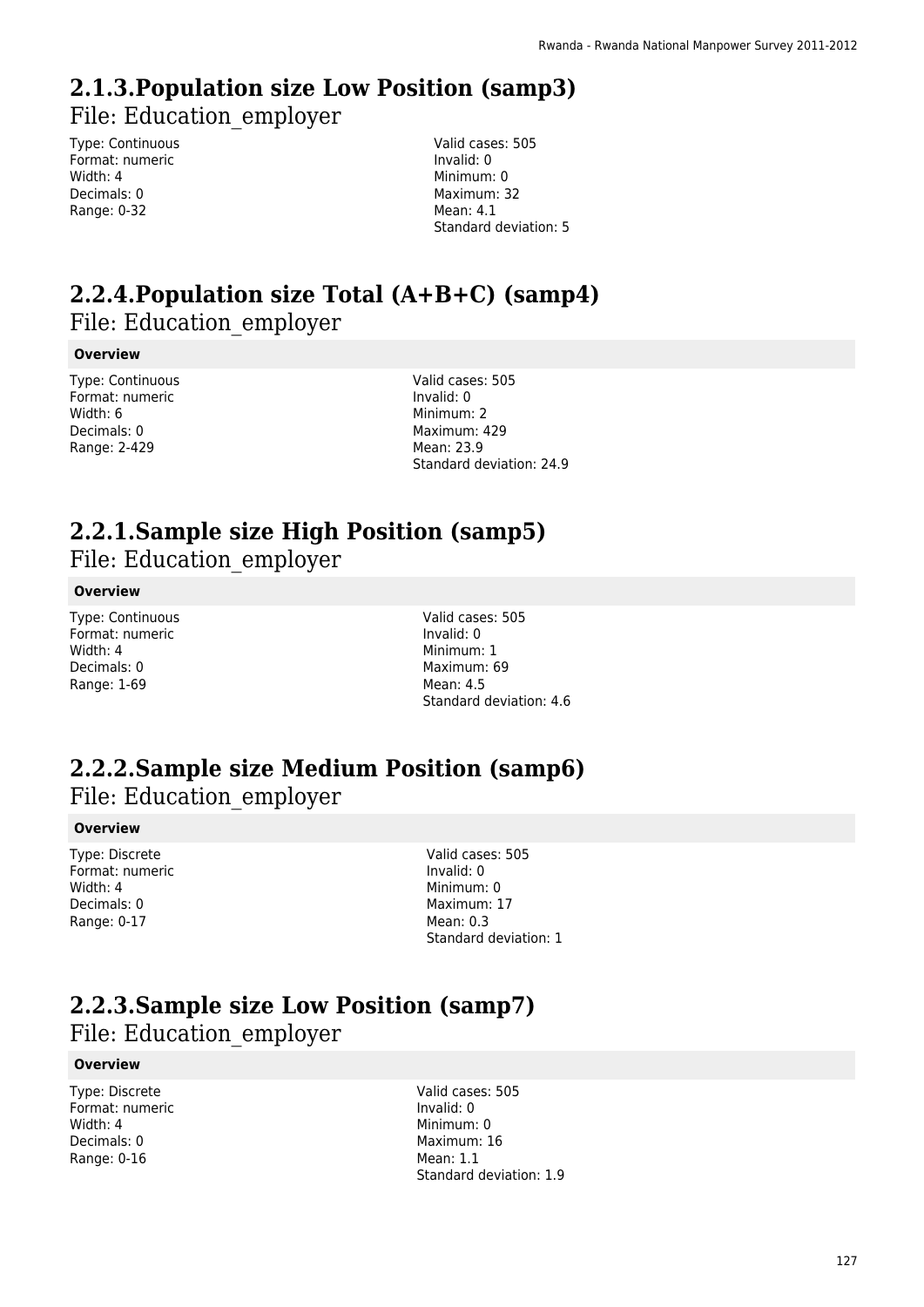# **2.1.3.Population size Low Position (samp3)**

File: Education\_employer

Type: Continuous Format: numeric Width: 4 Decimals: 0 Range: 0-32

Valid cases: 505 Invalid: 0 Minimum: 0 Maximum: 32 Mean: 4.1 Standard deviation: 5

# **2.2.4.Population size Total (A+B+C) (samp4)**

File: Education\_employer

#### **Overview**

Type: Continuous Format: numeric Width: 6 Decimals: 0 Range: 2-429

Valid cases: 505 Invalid: 0 Minimum: 2 Maximum: 429 Mean: 23.9 Standard deviation: 24.9

### **2.2.1.Sample size High Position (samp5)**  File: Education\_employer

#### **Overview**

Type: Continuous Format: numeric Width: 4 Decimals: 0 Range: 1-69

Valid cases: 505 Invalid: 0 Minimum: 1 Maximum: 69 Mean: 4.5 Standard deviation: 4.6

### **2.2.2.Sample size Medium Position (samp6)**  File: Education\_employer

#### **Overview**

Type: Discrete Format: numeric Width: 4 Decimals: 0 Range: 0-17

Valid cases: 505 Invalid: 0 Minimum: 0 Maximum: 17 Mean: 0.3 Standard deviation: 1

# **2.2.3.Sample size Low Position (samp7)**

File: Education\_employer

#### **Overview**

Type: Discrete Format: numeric Width: 4 Decimals: 0 Range: 0-16

Valid cases: 505 Invalid: 0 Minimum: 0 Maximum: 16 Mean: 1.1 Standard deviation: 1.9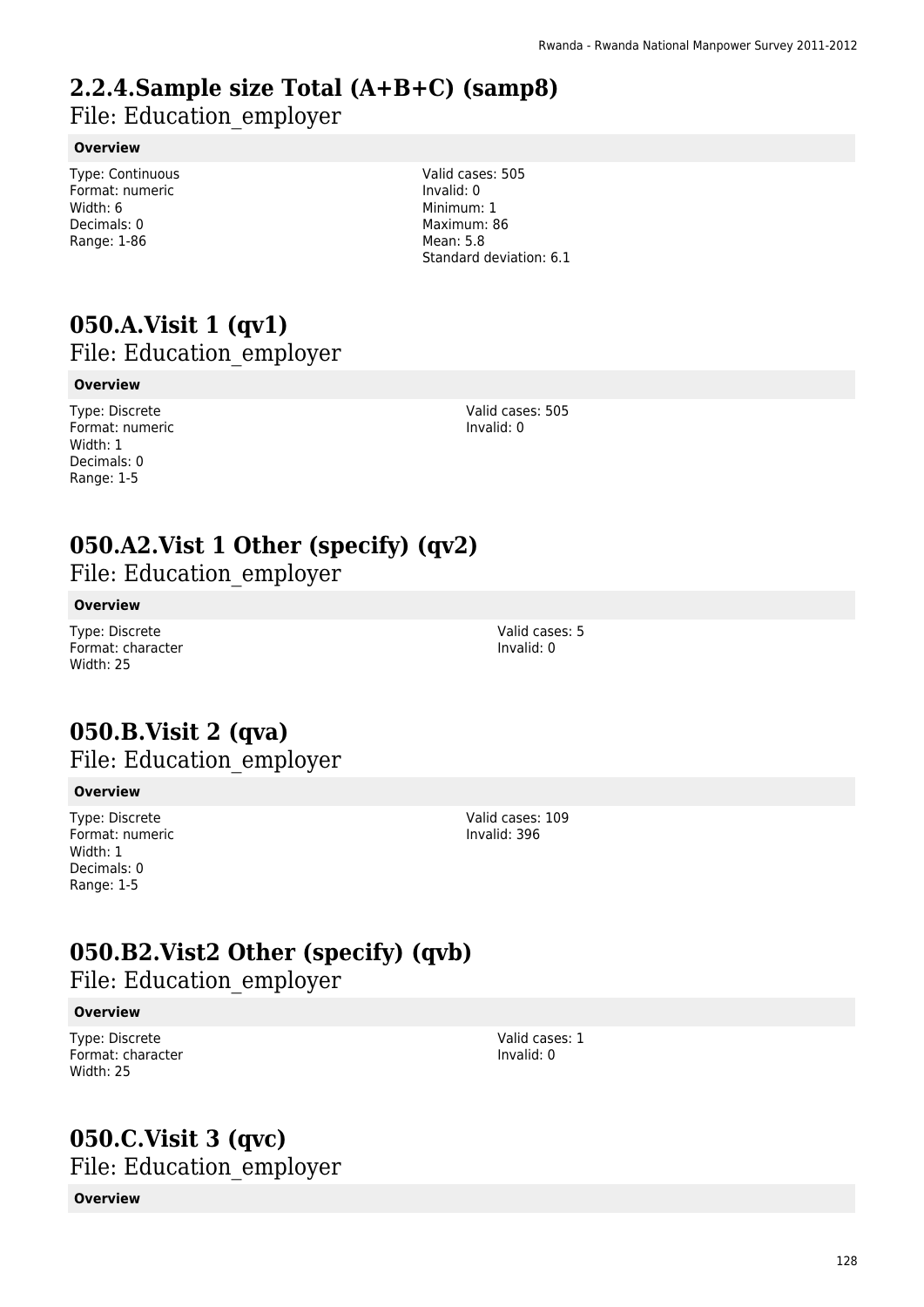### **2.2.4.Sample size Total (A+B+C) (samp8)**

File: Education\_employer

#### **Overview**

Type: Continuous Format: numeric Width: 6 Decimals: 0 Range: 1-86

Valid cases: 505 Invalid: 0 Minimum: 1 Maximum: 86 Mean: 5.8 Standard deviation: 6.1

### **050.A.Visit 1 (qv1)**  File: Education\_employer

#### **Overview**

Type: Discrete Format: numeric Width: 1 Decimals: 0 Range: 1-5

Valid cases: 505 Invalid: 0

# **050.A2.Vist 1 Other (specify) (qv2)**

File: Education\_employer

#### **Overview**

Type: Discrete Format: character Width: 25

Valid cases: 5 Invalid: 0

### **050.B.Visit 2 (qva)**  File: Education\_employer

#### **Overview**

Type: Discrete Format: numeric Width: 1 Decimals: 0 Range: 1-5

Valid cases: 109 Invalid: 396

### **050.B2.Vist2 Other (specify) (qvb)**

File: Education\_employer

#### **Overview**

Type: Discrete Format: character Width: 25

### **050.C.Visit 3 (qvc)**

File: Education\_employer

#### **Overview**

Valid cases: 1 Invalid: 0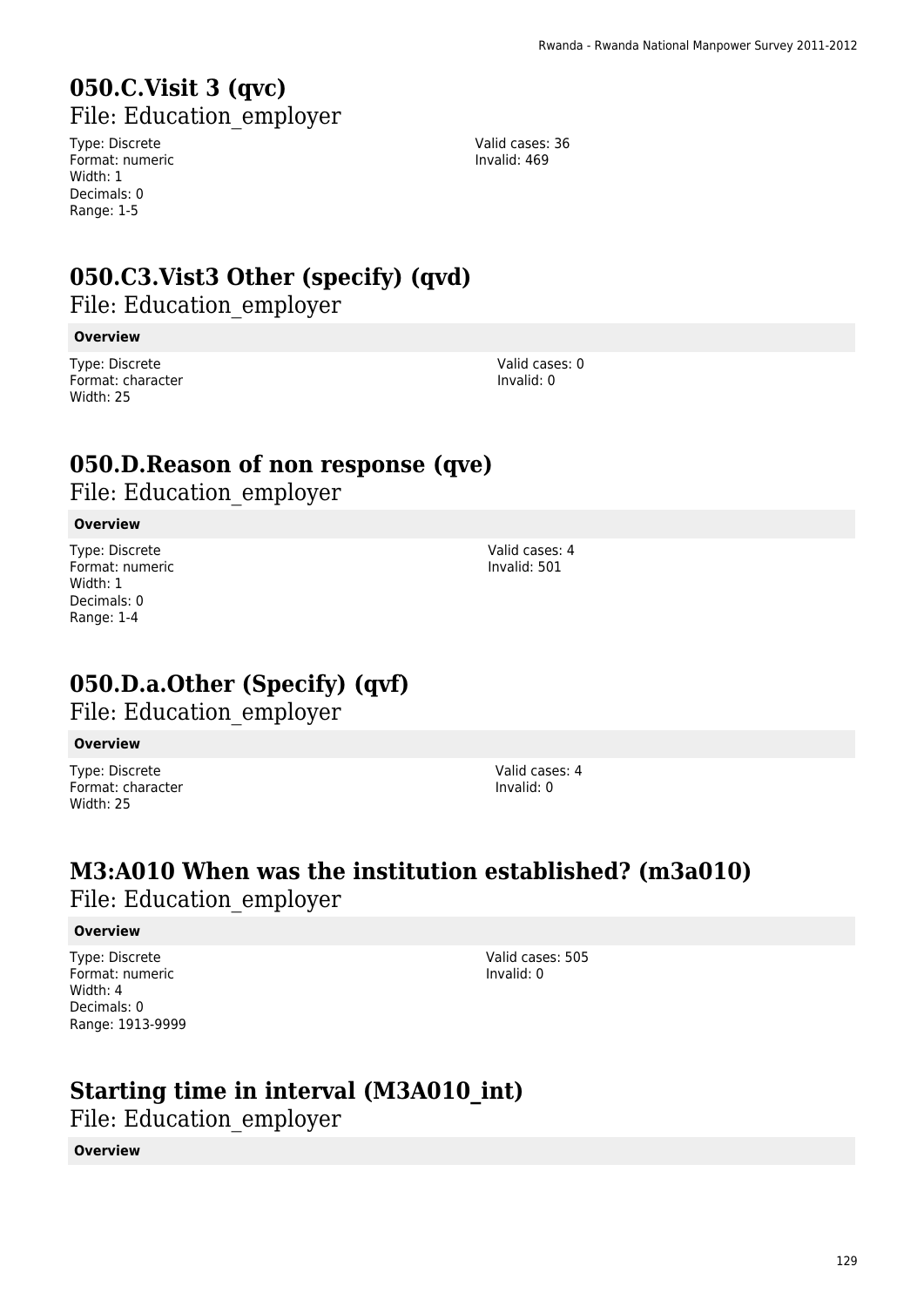# **050.C.Visit 3 (qvc)**

File: Education\_employer

Type: Discrete Format: numeric Width: 1 Decimals: 0 Range: 1-5

# **050.C3.Vist3 Other (specify) (qvd)**

File: Education\_employer

#### **Overview**

Type: Discrete Format: character Width: 25

### **050.D.Reason of non response (qve)**  File: Education\_employer

#### **Overview**

Type: Discrete Format: numeric Width: 1 Decimals: 0 Range: 1-4

# **050.D.a.Other (Specify) (qvf)**

File: Education\_employer

#### **Overview**

Type: Discrete Format: character Width: 25

Valid cases: 4

### **M3:A010 When was the institution established? (m3a010)**  File: Education\_employer

#### **Overview**

Type: Discrete Format: numeric Width: 4 Decimals: 0 Range: 1913-9999

### **Starting time in interval (M3A010\_int)**

File: Education\_employer

#### **Overview**

Valid cases: 36 Invalid: 469

> Valid cases: 0 Invalid: 0

Valid cases: 4 Invalid: 501

Invalid: 0

Valid cases: 505 Invalid: 0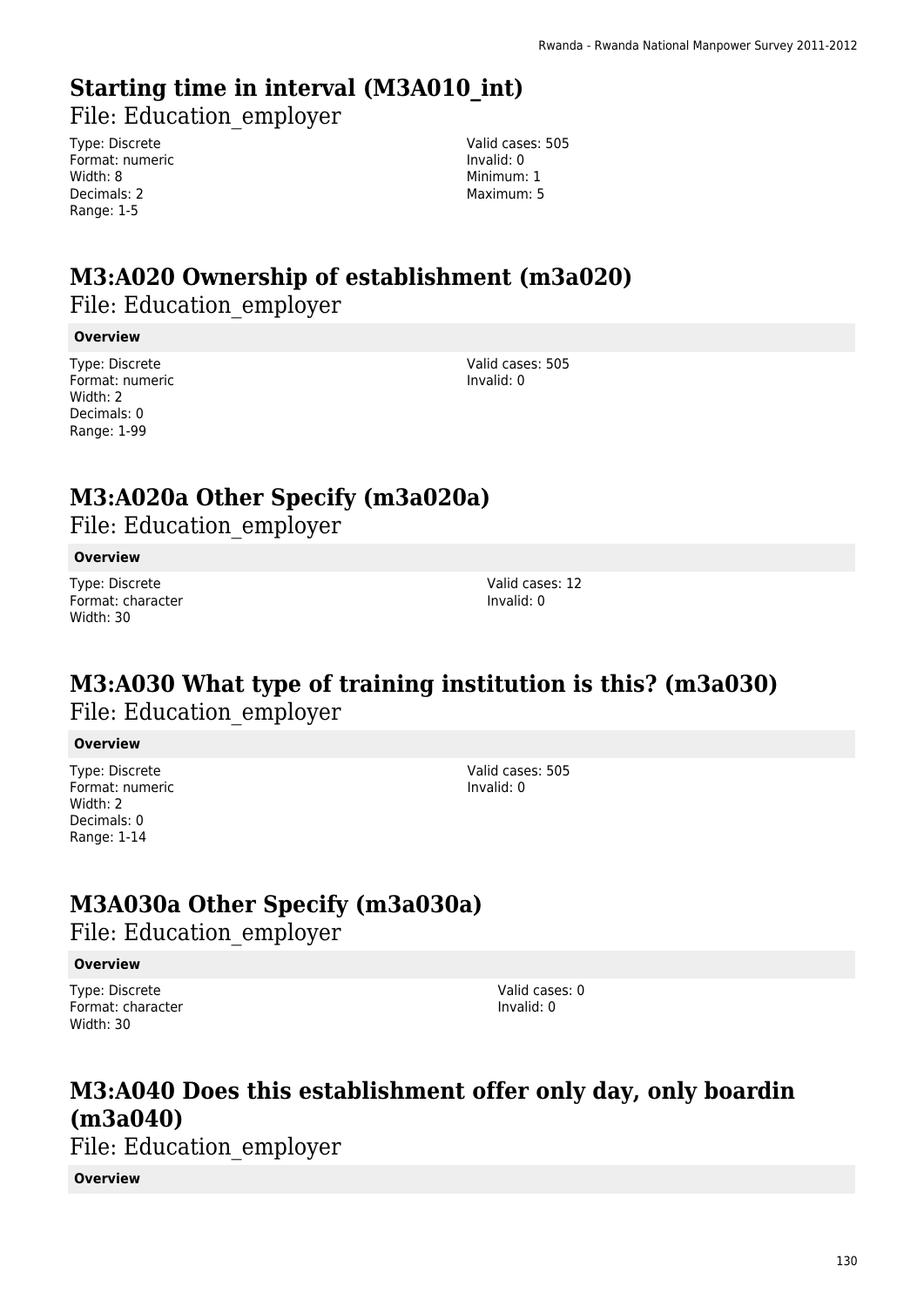## **Starting time in interval (M3A010\_int)**

File: Education\_employer

Type: Discrete Format: numeric Width: 8 Decimals: 2 Range: 1-5

Valid cases: 505 Invalid: 0 Minimum: 1 Maximum: 5

# **M3:A020 Ownership of establishment (m3a020)**

File: Education\_employer

#### **Overview**

Type: Discrete Format: numeric Width: 2 Decimals: 0 Range: 1-99

Valid cases: 505 Invalid: 0

# **M3:A020a Other Specify (m3a020a)**

File: Education\_employer

#### **Overview**

Type: Discrete Format: character Width: 30

Valid cases: 12 Invalid: 0

### **M3:A030 What type of training institution is this? (m3a030)**  File: Education\_employer

#### **Overview**

Type: Discrete Format: numeric Width: 2 Decimals: 0 Range: 1-14

Valid cases: 505 Invalid: 0

### **M3A030a Other Specify (m3a030a)**

File: Education\_employer

#### **Overview**

Type: Discrete Format: character Width: 30

Valid cases: 0 Invalid: 0

# **M3:A040 Does this establishment offer only day, only boardin (m3a040)**

File: Education\_employer

#### **Overview**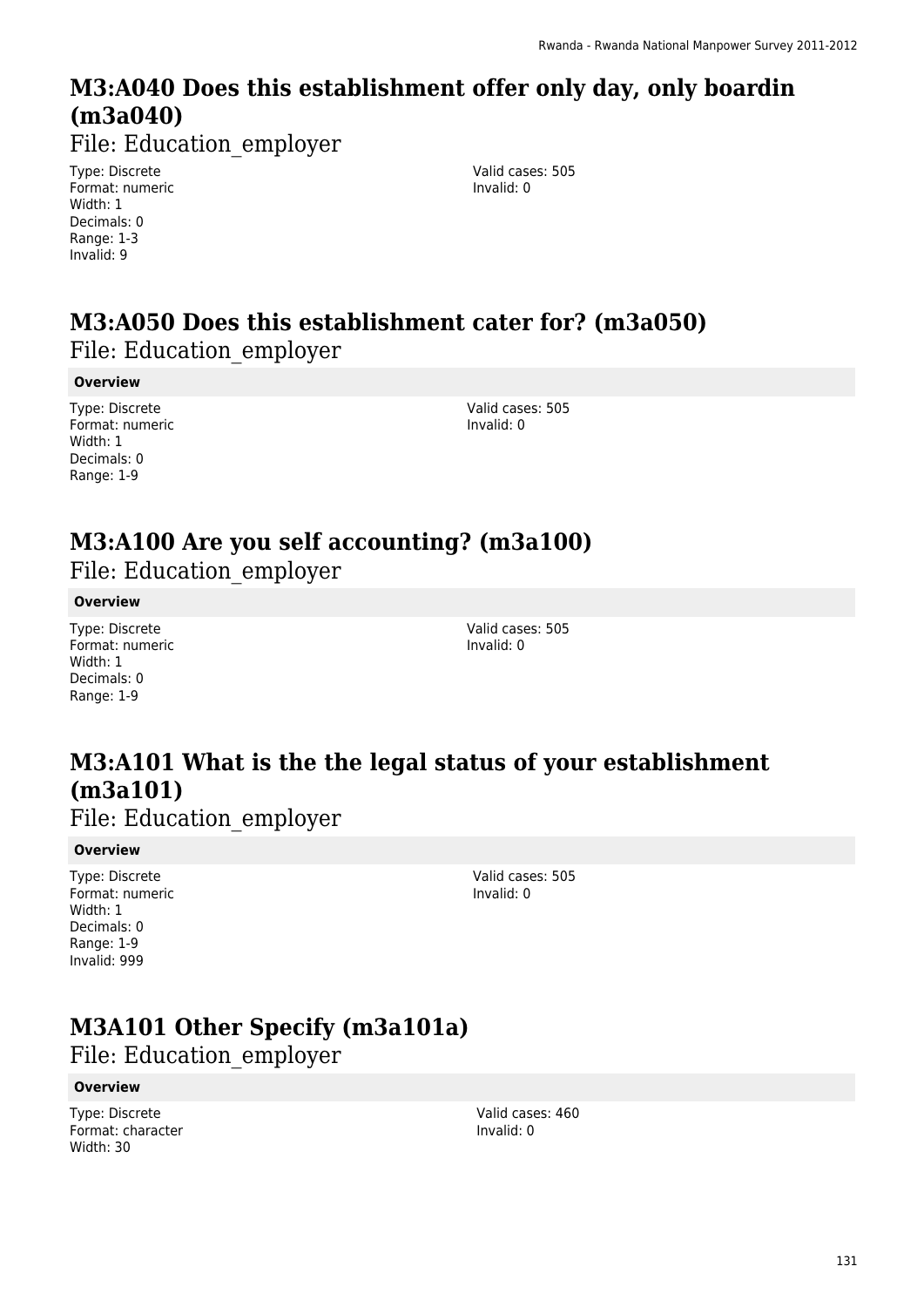### **M3:A040 Does this establishment offer only day, only boardin (m3a040)**

File: Education\_employer

Type: Discrete Format: numeric Width: 1 Decimals: 0 Range: 1-3 Invalid: 9

Valid cases: 505 Invalid: 0

### **M3:A050 Does this establishment cater for? (m3a050)**  File: Education\_employer

#### **Overview**

Type: Discrete Format: numeric Width: 1 Decimals: 0 Range: 1-9

Valid cases: 505 Invalid: 0

### **M3:A100 Are you self accounting? (m3a100)**  File: Education\_employer

#### **Overview**

Type: Discrete Format: numeric Width: 1 Decimals: 0 Range: 1-9

Valid cases: 505 Invalid: 0

# **M3:A101 What is the the legal status of your establishment (m3a101)**

File: Education\_employer

#### **Overview**

Type: Discrete Format: numeric Width: 1 Decimals: 0 Range: 1-9 Invalid: 999

Valid cases: 505 Invalid: 0

# **M3A101 Other Specify (m3a101a)**

File: Education\_employer

#### **Overview**

Type: Discrete Format: character Width: 30

Valid cases: 460 Invalid: 0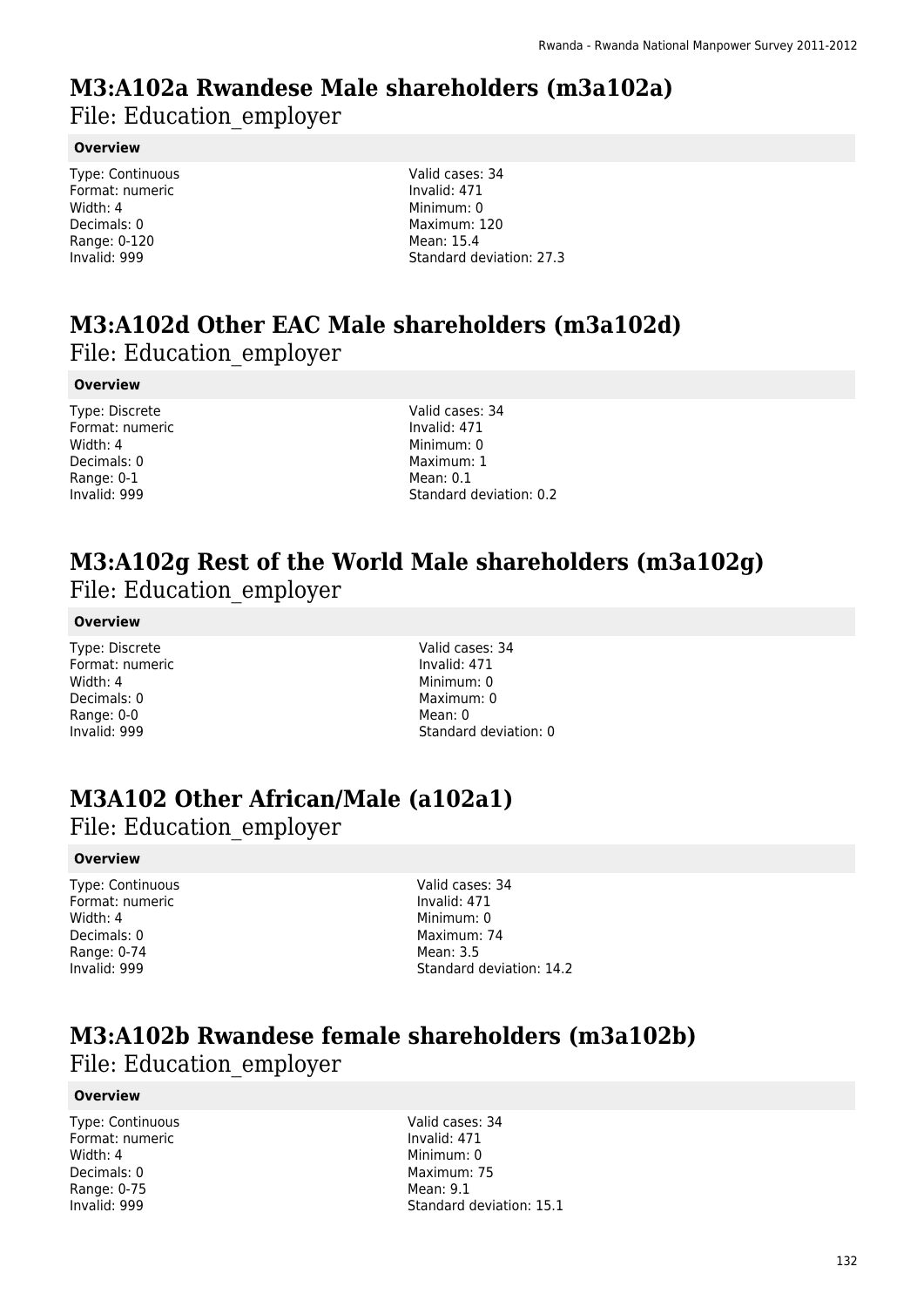# **M3:A102a Rwandese Male shareholders (m3a102a)**

File: Education\_employer

#### **Overview**

Type: Continuous Format: numeric Width: 4 Decimals: 0 Range: 0-120 Invalid: 999

Valid cases: 34 Invalid: 471 Minimum: 0 Maximum: 120 Mean: 15.4 Standard deviation: 27.3

### **M3:A102d Other EAC Male shareholders (m3a102d)**  File: Education\_employer

#### **Overview**

Type: Discrete Format: numeric Width: 4 Decimals: 0 Range: 0-1 Invalid: 999

Valid cases: 34 Invalid: 471 Minimum: 0 Maximum: 1 Mean: 0.1 Standard deviation: 0.2

### **M3:A102g Rest of the World Male shareholders (m3a102g)**  File: Education\_employer

#### **Overview**

Type: Discrete Format: numeric Width: 4 Decimals: 0 Range: 0-0 Invalid: 999

Valid cases: 34 Invalid: 471 Minimum: 0 Maximum: 0 Mean: 0 Standard deviation: 0

# **M3A102 Other African/Male (a102a1)**

File: Education\_employer

#### **Overview**

Type: Continuous Format: numeric Width: 4 Decimals: 0 Range: 0-74 Invalid: 999

Valid cases: 34 Invalid: 471 Minimum: 0 Maximum: 74 Mean: 3.5 Standard deviation: 14.2

### **M3:A102b Rwandese female shareholders (m3a102b)**  File: Education\_employer

#### **Overview**

Type: Continuous Format: numeric Width: 4 Decimals: 0 Range: 0-75 Invalid: 999

Valid cases: 34 Invalid: 471 Minimum: 0 Maximum: 75 Mean: 9.1 Standard deviation: 15.1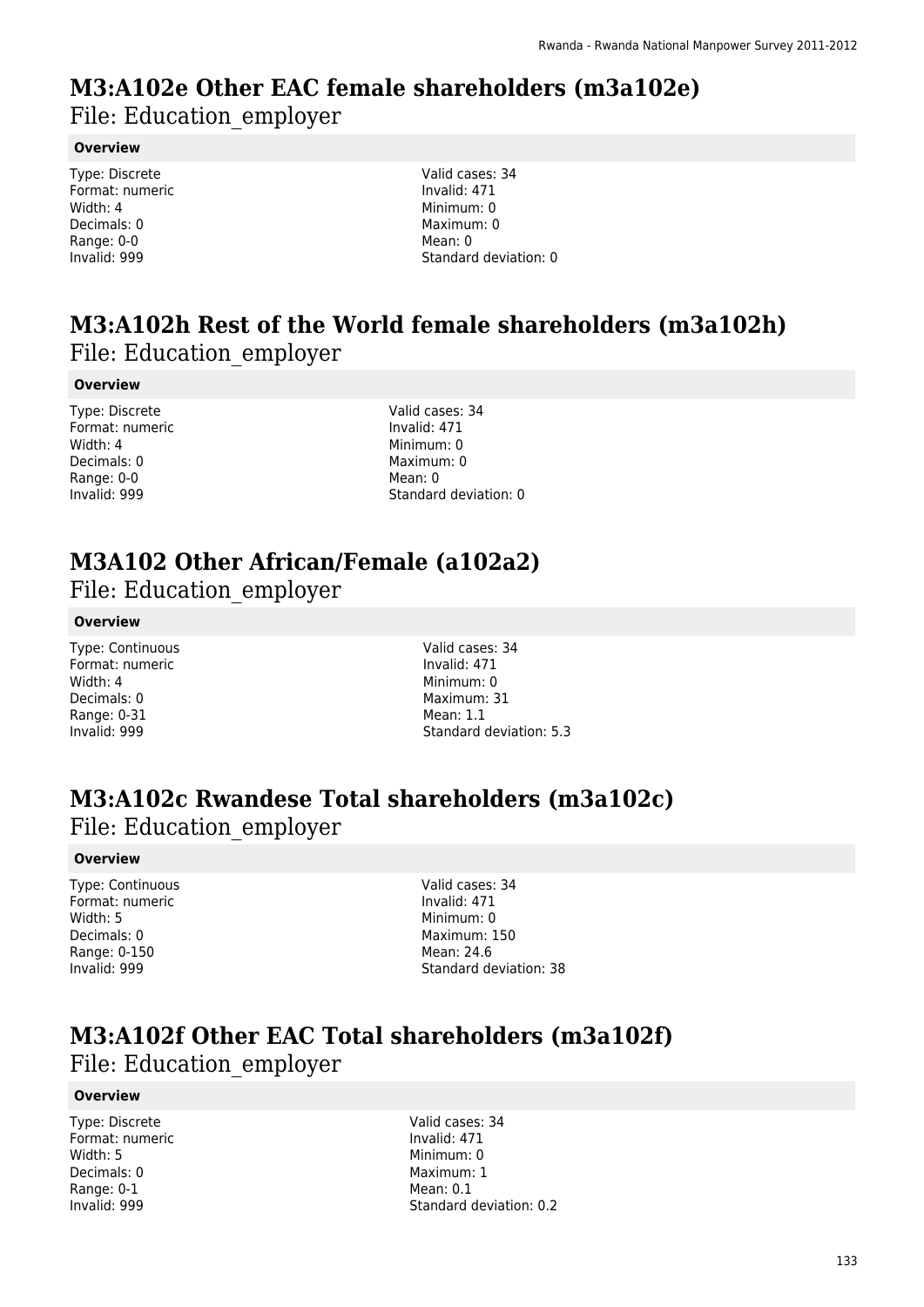# **M3:A102e Other EAC female shareholders (m3a102e)**

File: Education\_employer

#### **Overview**

Type: Discrete Format: numeric Width: 4 Decimals: 0 Range: 0-0 Invalid: 999

Valid cases: 34 Invalid: 471 Minimum: 0 Maximum: 0 Mean: 0 Standard deviation: 0

### **M3:A102h Rest of the World female shareholders (m3a102h)**  File: Education\_employer

#### **Overview**

Type: Discrete Format: numeric Width: 4 Decimals: 0 Range: 0-0 Invalid: 999

Valid cases: 34 Invalid: 471 Minimum: 0 Maximum: 0 Mean: 0 Standard deviation: 0

### **M3A102 Other African/Female (a102a2)**

#### File: Education\_employer

#### **Overview**

Type: Continuous Format: numeric Width: 4 Decimals: 0 Range: 0-31 Invalid: 999

Valid cases: 34 Invalid: 471 Minimum: 0 Maximum: 31 Mean: 1.1 Standard deviation: 5.3

### **M3:A102c Rwandese Total shareholders (m3a102c)**  File: Education\_employer

#### **Overview**

Type: Continuous Format: numeric Width: 5 Decimals: 0 Range: 0-150 Invalid: 999

Valid cases: 34 Invalid: 471 Minimum: 0 Maximum: 150 Mean: 24.6 Standard deviation: 38

### **M3:A102f Other EAC Total shareholders (m3a102f)**  File: Education\_employer

#### **Overview**

Type: Discrete Format: numeric Width: 5 Decimals: 0 Range: 0-1 Invalid: 999

Valid cases: 34 Invalid: 471 Minimum: 0 Maximum: 1 Mean: 0.1 Standard deviation: 0.2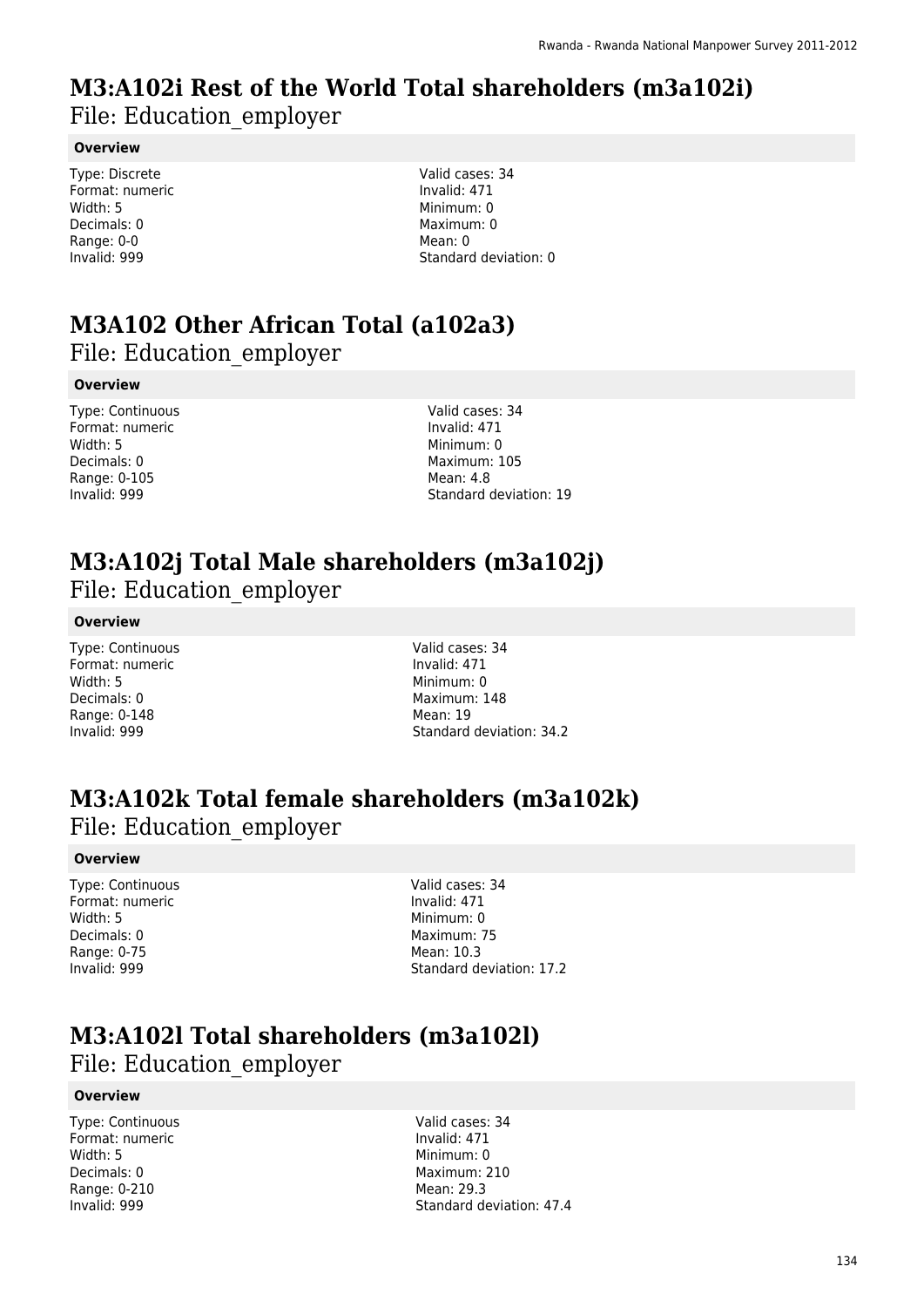# **M3:A102i Rest of the World Total shareholders (m3a102i)**

File: Education\_employer

#### **Overview**

Type: Discrete Format: numeric Width: 5 Decimals: 0 Range: 0-0 Invalid: 999

Valid cases: 34 Invalid: 471 Minimum: 0 Maximum: 0 Mean: 0 Standard deviation: 0

### **M3A102 Other African Total (a102a3)**  File: Education\_employer

#### **Overview**

Type: Continuous Format: numeric Width: 5 Decimals: 0 Range: 0-105 Invalid: 999

Valid cases: 34 Invalid: 471 Minimum: 0 Maximum: 105 Mean: 4.8 Standard deviation: 19

# **M3:A102j Total Male shareholders (m3a102j)**

#### File: Education\_employer

#### **Overview**

Type: Continuous Format: numeric Width: 5 Decimals: 0 Range: 0-148 Invalid: 999

Valid cases: 34 Invalid: 471 Minimum: 0 Maximum: 148 Mean: 19 Standard deviation: 34.2

### **M3:A102k Total female shareholders (m3a102k)**  File: Education\_employer

#### **Overview**

Type: Continuous Format: numeric Width: 5 Decimals: 0 Range: 0-75 Invalid: 999

Valid cases: 34 Invalid: 471 Minimum: 0 Maximum: 75 Mean: 10.3 Standard deviation: 17.2

### **M3:A102l Total shareholders (m3a102l)**  File: Education\_employer

#### **Overview**

Type: Continuous Format: numeric Width: 5 Decimals: 0 Range: 0-210 Invalid: 999

Valid cases: 34 Invalid: 471 Minimum: 0 Maximum: 210 Mean: 29.3 Standard deviation: 47.4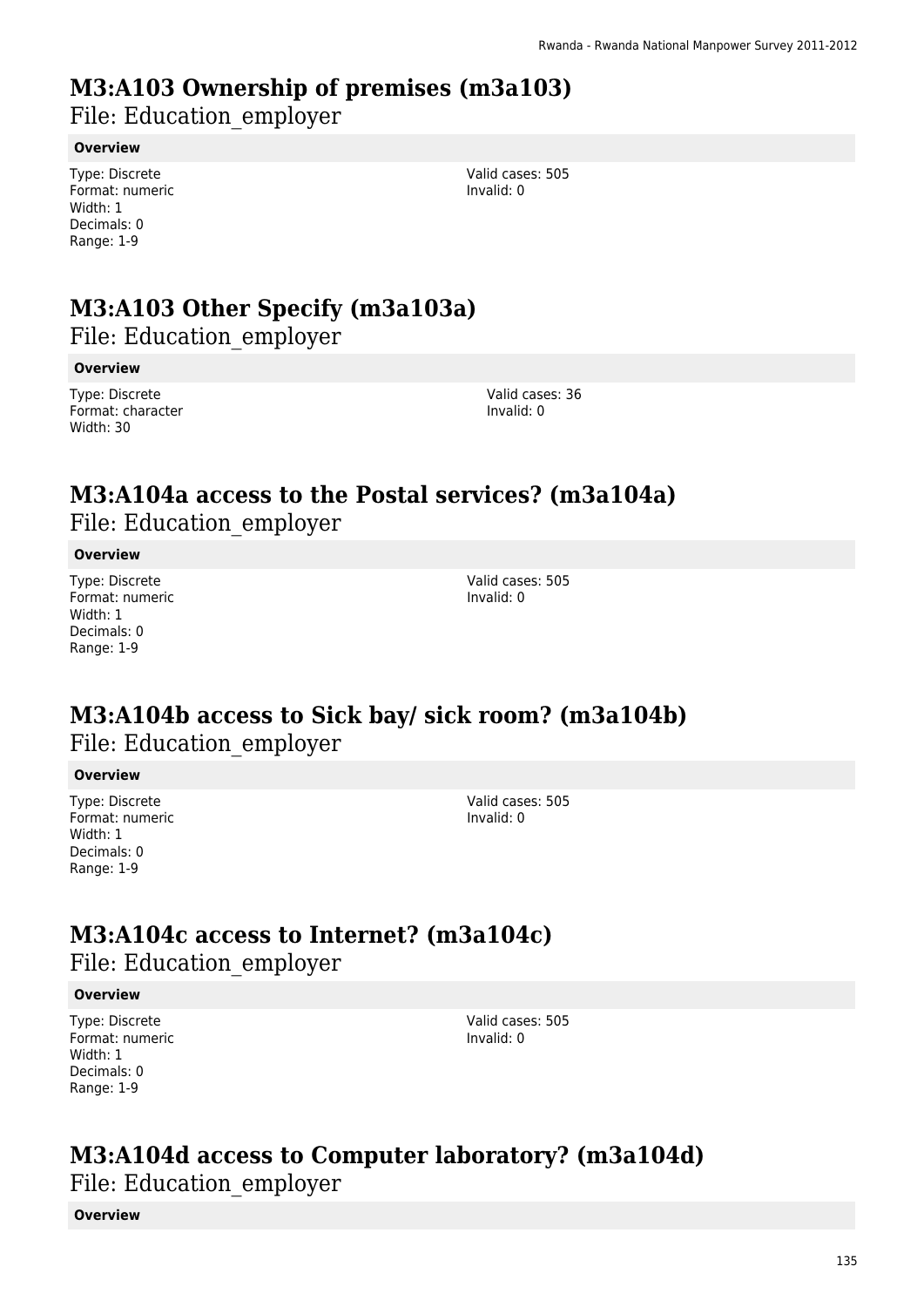### **M3:A103 Ownership of premises (m3a103)**

File: Education\_employer

#### **Overview**

Type: Discrete Format: numeric Width: 1 Decimals: 0 Range: 1-9

Valid cases: 505 Invalid: 0

## **M3:A103 Other Specify (m3a103a)**

File: Education\_employer

#### **Overview**

Type: Discrete Format: character Width: 30

Valid cases: 36 Invalid: 0

### **M3:A104a access to the Postal services? (m3a104a)**  File: Education\_employer

#### **Overview**

Type: Discrete Format: numeric Width: 1 Decimals: 0 Range: 1-9

Valid cases: 505 Invalid: 0

### **M3:A104b access to Sick bay/ sick room? (m3a104b)**  File: Education\_employer

#### **Overview**

Type: Discrete Format: numeric Width: 1 Decimals: 0 Range: 1-9

Valid cases: 505 Invalid: 0

### **M3:A104c access to Internet? (m3a104c)**

File: Education\_employer

#### **Overview**

Type: Discrete Format: numeric Width: 1 Decimals: 0 Range: 1-9

Valid cases: 505 Invalid: 0

### **M3:A104d access to Computer laboratory? (m3a104d)**

File: Education\_employer

#### **Overview**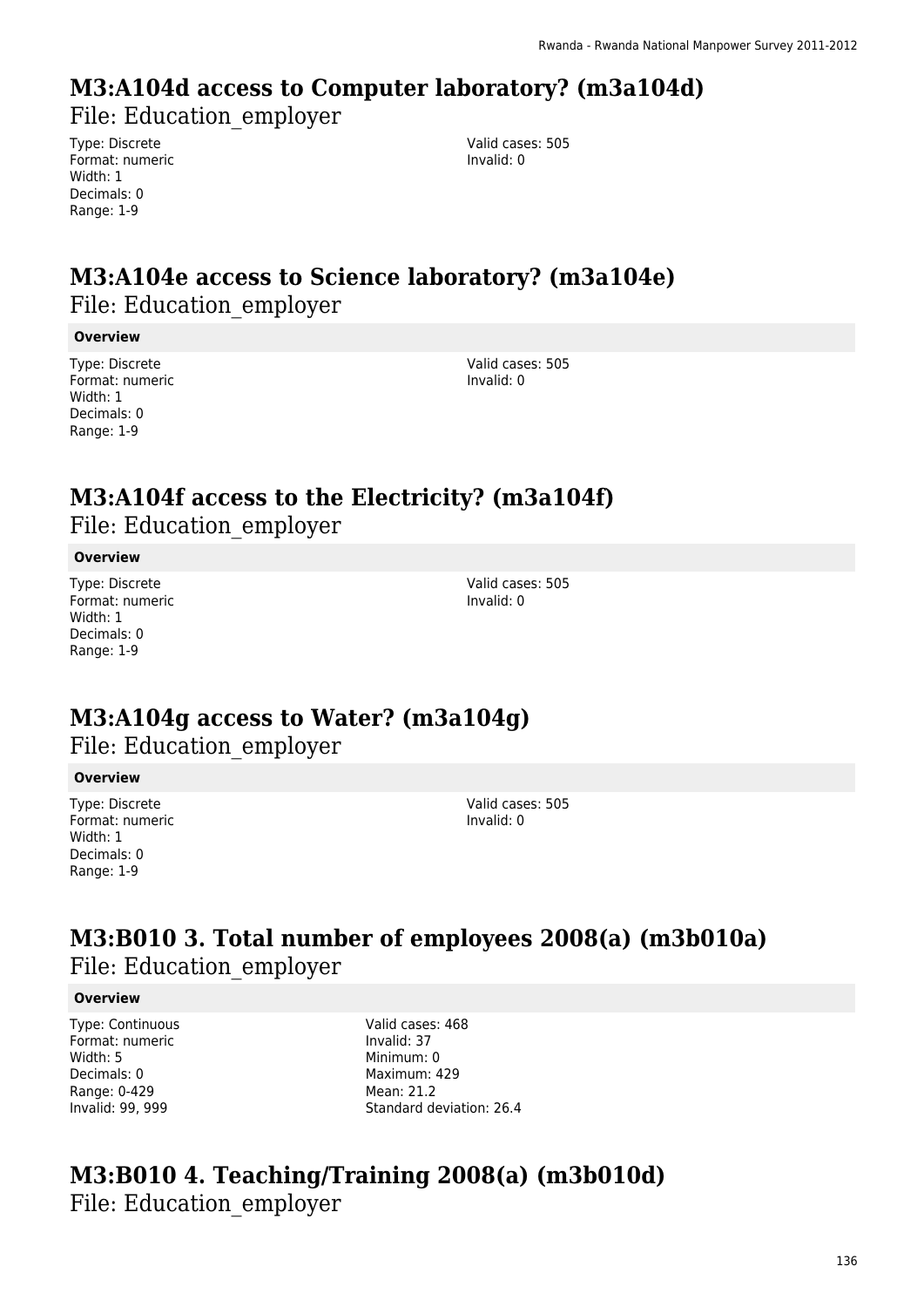# **M3:A104d access to Computer laboratory? (m3a104d)**

File: Education\_employer

Type: Discrete Format: numeric Width: 1 Decimals: 0 Range: 1-9

Valid cases: 505 Invalid: 0

### **M3:A104e access to Science laboratory? (m3a104e)**  File: Education\_employer

#### **Overview**

Type: Discrete Format: numeric Width: 1 Decimals: 0 Range: 1-9

Valid cases: 505 Invalid: 0

# **M3:A104f access to the Electricity? (m3a104f)**

File: Education\_employer

#### **Overview**

Type: Discrete Format: numeric Width: 1 Decimals: 0 Range: 1-9

Valid cases: 505 Invalid: 0

### **M3:A104g access to Water? (m3a104g)**

File: Education\_employer

#### **Overview**

Type: Discrete Format: numeric Width: 1 Decimals: 0 Range: 1-9

Valid cases: 505 Invalid: 0

### **M3:B010 3. Total number of employees 2008(a) (m3b010a)**  File: Education\_employer

#### **Overview**

Type: Continuous Format: numeric Width: 5 Decimals: 0 Range: 0-429 Invalid: 99, 999

Valid cases: 468 Invalid: 37 Minimum: 0 Maximum: 429 Mean: 21.2 Standard deviation: 26.4

### **M3:B010 4. Teaching/Training 2008(a) (m3b010d)**  File: Education\_employer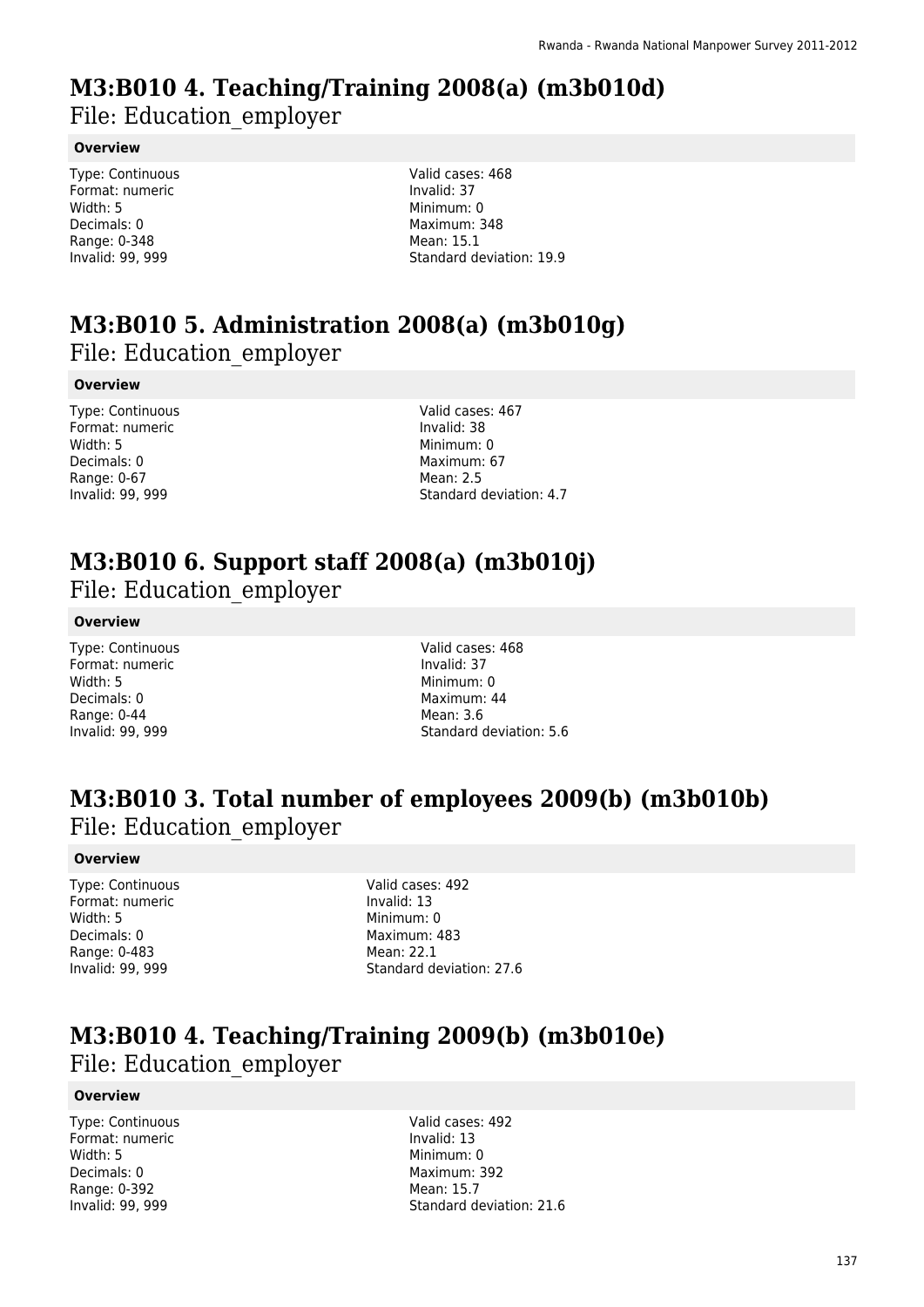# **M3:B010 4. Teaching/Training 2008(a) (m3b010d)**

File: Education\_employer

#### **Overview**

Type: Continuous Format: numeric Width: 5 Decimals: 0 Range: 0-348 Invalid: 99, 999

Valid cases: 468 Invalid: 37 Minimum: 0 Maximum: 348 Mean: 15.1 Standard deviation: 19.9

### **M3:B010 5. Administration 2008(a) (m3b010g)**  File: Education\_employer

#### **Overview**

Type: Continuous Format: numeric Width: 5 Decimals: 0 Range: 0-67 Invalid: 99, 999

Valid cases: 467 Invalid: 38 Minimum: 0 Maximum: 67 Mean: 2.5 Standard deviation: 4.7

# **M3:B010 6. Support staff 2008(a) (m3b010j)**

File: Education\_employer

#### **Overview**

Type: Continuous Format: numeric Width: 5 Decimals: 0 Range: 0-44 Invalid: 99, 999

Valid cases: 468 Invalid: 37 Minimum: 0 Maximum: 44 Mean: 3.6 Standard deviation: 5.6

### **M3:B010 3. Total number of employees 2009(b) (m3b010b)**  File: Education\_employer

#### **Overview**

Type: Continuous Format: numeric Width: 5 Decimals: 0 Range: 0-483 Invalid: 99, 999

Valid cases: 492 Invalid: 13 Minimum: 0 Maximum: 483 Mean: 22.1 Standard deviation: 27.6

### **M3:B010 4. Teaching/Training 2009(b) (m3b010e)**  File: Education\_employer

#### **Overview**

Type: Continuous Format: numeric Width: 5 Decimals: 0 Range: 0-392 Invalid: 99, 999

Valid cases: 492 Invalid: 13 Minimum: 0 Maximum: 392 Mean: 15.7 Standard deviation: 21.6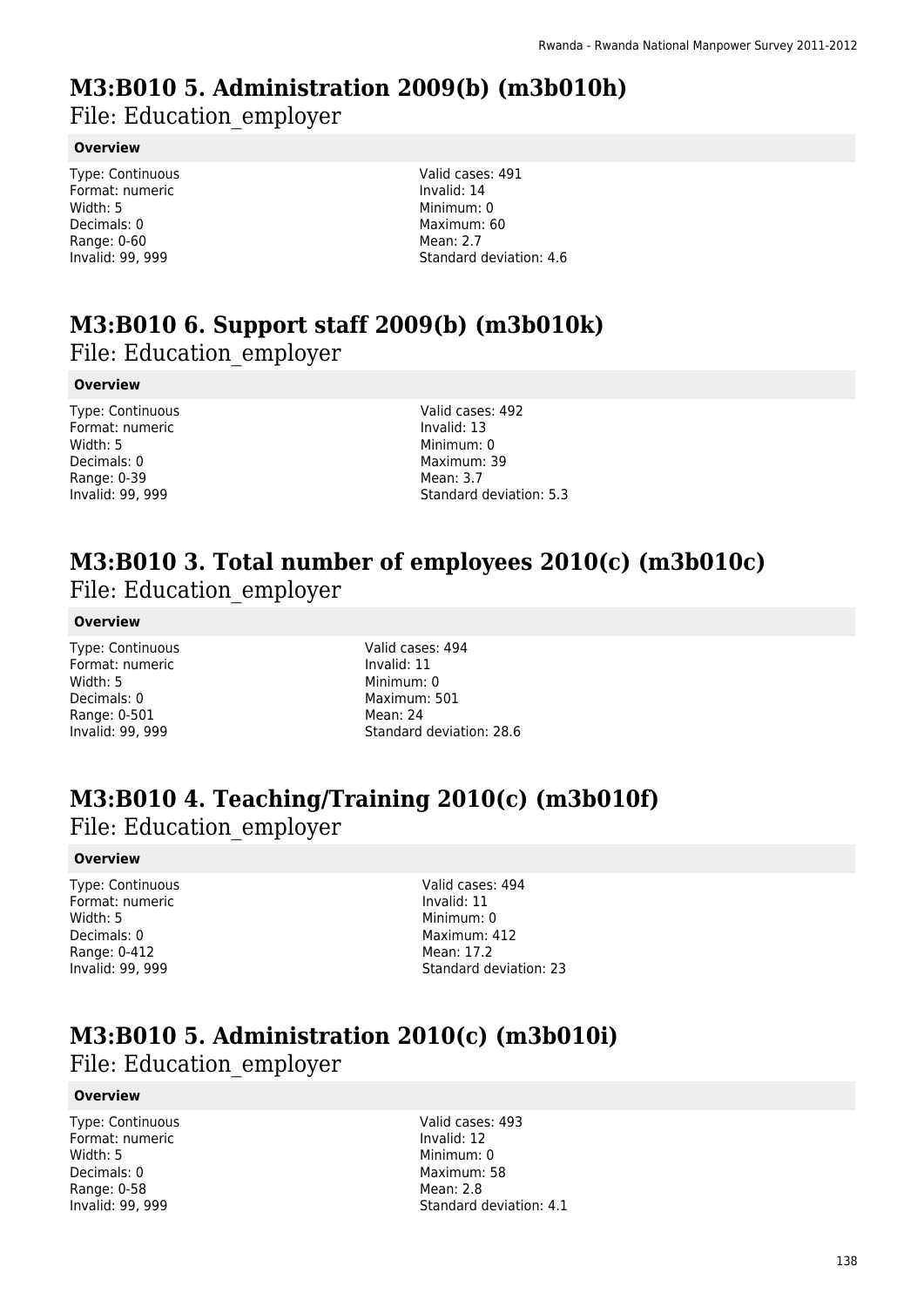# **M3:B010 5. Administration 2009(b) (m3b010h)**

File: Education\_employer

#### **Overview**

Type: Continuous Format: numeric Width: 5 Decimals: 0 Range: 0-60 Invalid: 99, 999

Valid cases: 491 Invalid: 14 Minimum: 0 Maximum: 60 Mean: 2.7 Standard deviation: 4.6

### **M3:B010 6. Support staff 2009(b) (m3b010k)**  File: Education\_employer

#### **Overview**

Type: Continuous Format: numeric Width: 5 Decimals: 0 Range: 0-39 Invalid: 99, 999

Valid cases: 492 Invalid: 13 Minimum: 0 Maximum: 39 Mean: 3.7 Standard deviation: 5.3

### **M3:B010 3. Total number of employees 2010(c) (m3b010c)**  File: Education\_employer

#### **Overview**

Type: Continuous Format: numeric Width: 5 Decimals: 0 Range: 0-501 Invalid: 99, 999

Valid cases: 494 Invalid: 11 Minimum: 0 Maximum: 501 Mean: 24 Standard deviation: 28.6

### **M3:B010 4. Teaching/Training 2010(c) (m3b010f)**  File: Education\_employer

#### **Overview**

Type: Continuous Format: numeric Width: 5 Decimals: 0 Range: 0-412 Invalid: 99, 999

Valid cases: 494 Invalid: 11 Minimum: 0 Maximum: 412 Mean: 17.2 Standard deviation: 23

### **M3:B010 5. Administration 2010(c) (m3b010i)**  File: Education\_employer

#### **Overview**

Type: Continuous Format: numeric Width: 5 Decimals: 0 Range: 0-58 Invalid: 99, 999

Valid cases: 493 Invalid: 12 Minimum: 0 Maximum: 58 Mean: 2.8 Standard deviation: 4.1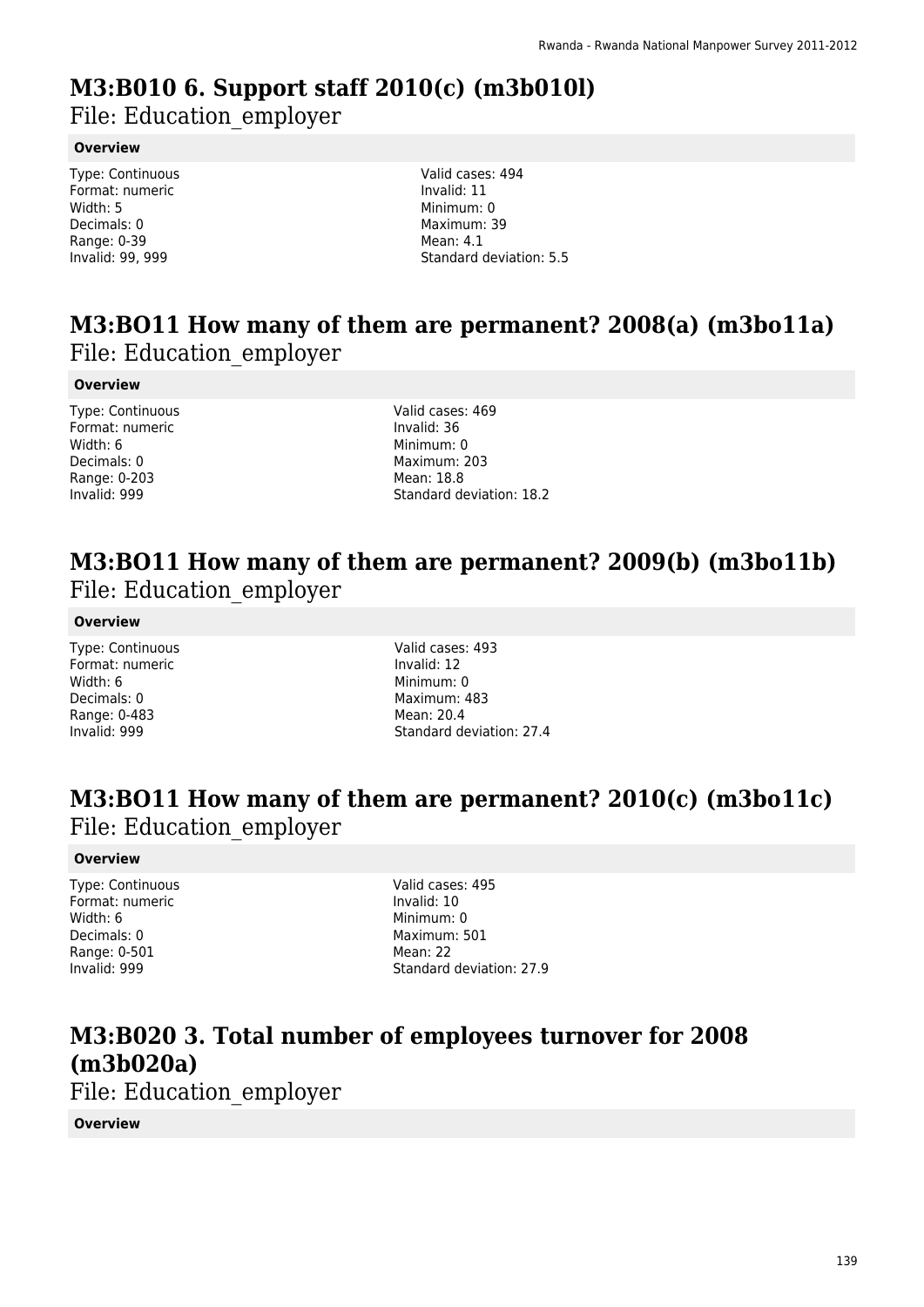### **M3:B010 6. Support staff 2010(c) (m3b010l)**

File: Education\_employer

#### **Overview**

Type: Continuous Format: numeric Width: 5 Decimals: 0 Range: 0-39 Invalid: 99, 999

Valid cases: 494 Invalid: 11 Minimum: 0 Maximum: 39 Mean: 4.1 Standard deviation: 5.5

### **M3:BO11 How many of them are permanent? 2008(a) (m3bo11a)**  File: Education\_employer

#### **Overview**

Type: Continuous Format: numeric Width: 6 Decimals: 0 Range: 0-203 Invalid: 999

Valid cases: 469 Invalid: 36 Minimum: 0 Maximum: 203 Mean: 18.8 Standard deviation: 18.2

### **M3:BO11 How many of them are permanent? 2009(b) (m3bo11b)**  File: Education\_employer

#### **Overview**

Type: Continuous Format: numeric Width: 6 Decimals: 0 Range: 0-483 Invalid: 999

Valid cases: 493 Invalid: 12 Minimum: 0 Maximum: 483 Mean: 20.4 Standard deviation: 27.4

### **M3:BO11 How many of them are permanent? 2010(c) (m3bo11c)**  File: Education\_employer

#### **Overview**

Type: Continuous Format: numeric Width: 6 Decimals: 0 Range: 0-501 Invalid: 999

Valid cases: 495 Invalid: 10 Minimum: 0 Maximum: 501 Mean: 22 Standard deviation: 27.9

# **M3:B020 3. Total number of employees turnover for 2008 (m3b020a)**

File: Education\_employer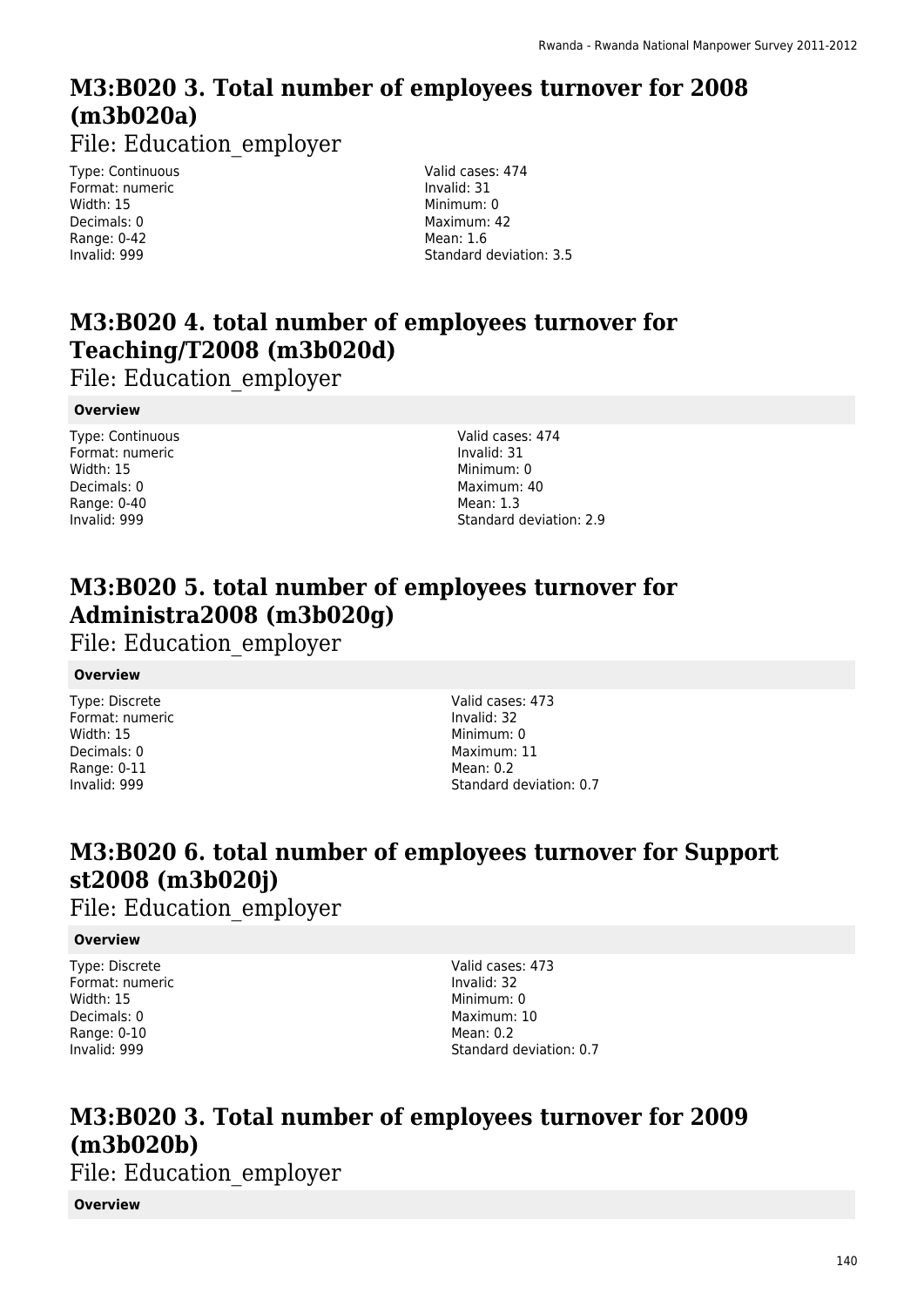# **M3:B020 3. Total number of employees turnover for 2008 (m3b020a)**

File: Education\_employer

Type: Continuous Format: numeric Width: 15 Decimals: 0 Range: 0-42 Invalid: 999

Valid cases: 474 Invalid: 31 Minimum: 0 Maximum: 42 Mean: 1.6 Standard deviation: 3.5

# **M3:B020 4. total number of employees turnover for Teaching/T2008 (m3b020d)**

File: Education\_employer

#### **Overview**

Type: Continuous Format: numeric Width: 15 Decimals: 0 Range: 0-40 Invalid: 999

Valid cases: 474 Invalid: 31 Minimum: 0 Maximum: 40 Mean: 1.3 Standard deviation: 2.9

### **M3:B020 5. total number of employees turnover for Administra2008 (m3b020g)**

File: Education\_employer

#### **Overview**

Type: Discrete Format: numeric Width: 15 Decimals: 0 Range: 0-11 Invalid: 999

Valid cases: 473 Invalid: 32 Minimum: 0 Maximum: 11 Mean: 0.2 Standard deviation: 0.7

### **M3:B020 6. total number of employees turnover for Support st2008 (m3b020j)**

File: Education\_employer

#### **Overview**

Type: Discrete Format: numeric Width: 15 Decimals: 0 Range: 0-10 Invalid: 999

Valid cases: 473 Invalid: 32 Minimum: 0 Maximum: 10 Mean: 0.2 Standard deviation: 0.7

# **M3:B020 3. Total number of employees turnover for 2009 (m3b020b)**

File: Education\_employer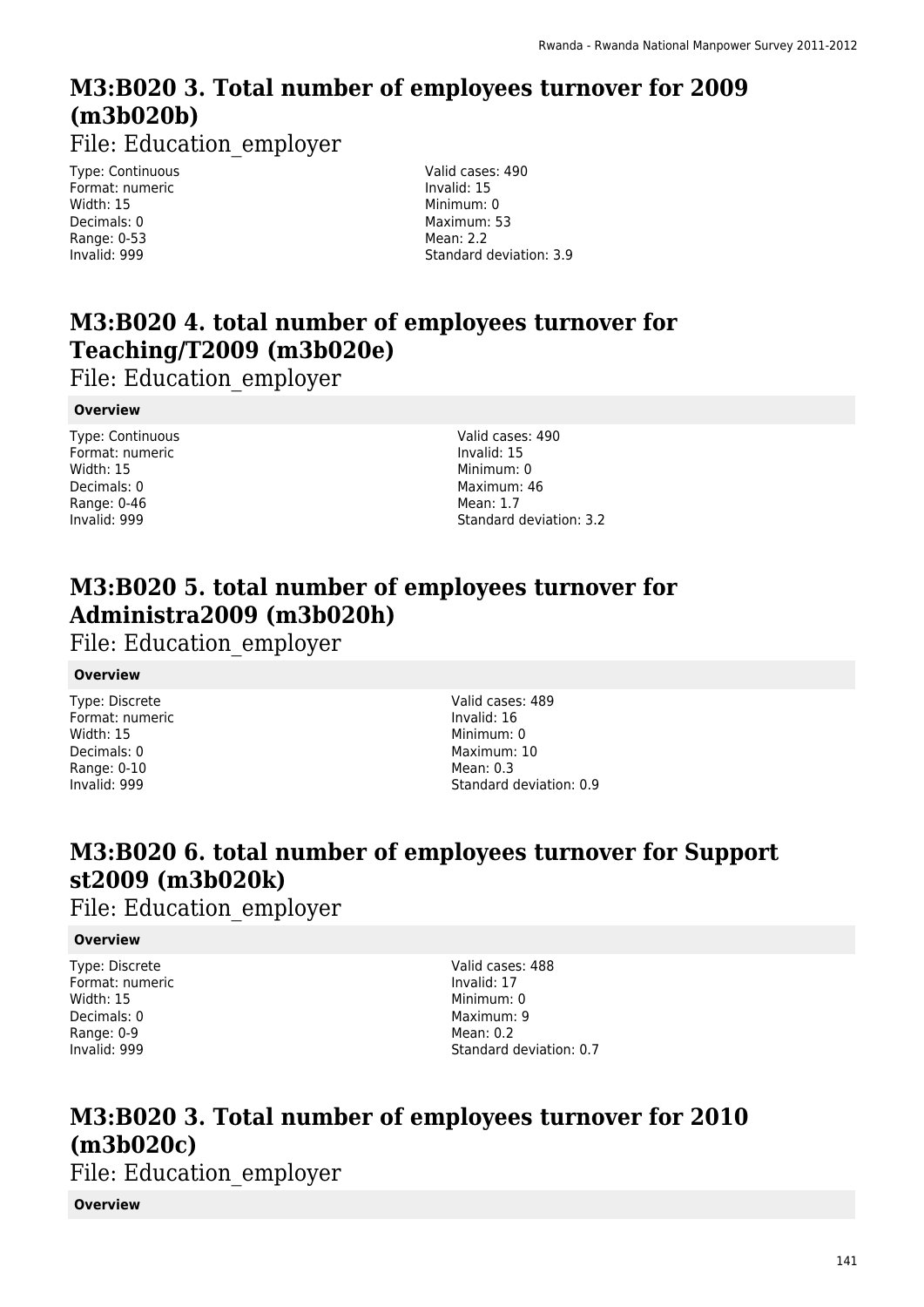# **M3:B020 3. Total number of employees turnover for 2009 (m3b020b)**

File: Education\_employer

Type: Continuous Format: numeric Width: 15 Decimals: 0 Range: 0-53 Invalid: 999

Valid cases: 490 Invalid: 15 Minimum: 0 Maximum: 53  $Mean: 2.2$ Standard deviation: 3.9

# **M3:B020 4. total number of employees turnover for Teaching/T2009 (m3b020e)**

File: Education\_employer

#### **Overview**

Type: Continuous Format: numeric Width: 15 Decimals: 0 Range: 0-46 Invalid: 999

Valid cases: 490 Invalid: 15 Minimum: 0 Maximum: 46 Mean: 1.7 Standard deviation: 3.2

### **M3:B020 5. total number of employees turnover for Administra2009 (m3b020h)**

File: Education\_employer

#### **Overview**

Type: Discrete Format: numeric Width: 15 Decimals: 0 Range: 0-10 Invalid: 999

Valid cases: 489 Invalid: 16 Minimum: 0 Maximum: 10 Mean: 0.3 Standard deviation: 0.9

### **M3:B020 6. total number of employees turnover for Support st2009 (m3b020k)**

File: Education\_employer

#### **Overview**

Type: Discrete Format: numeric Width: 15 Decimals: 0 Range: 0-9 Invalid: 999

Valid cases: 488 Invalid: 17 Minimum: 0 Maximum: 9 Mean: 0.2 Standard deviation: 0.7

# **M3:B020 3. Total number of employees turnover for 2010 (m3b020c)**

File: Education\_employer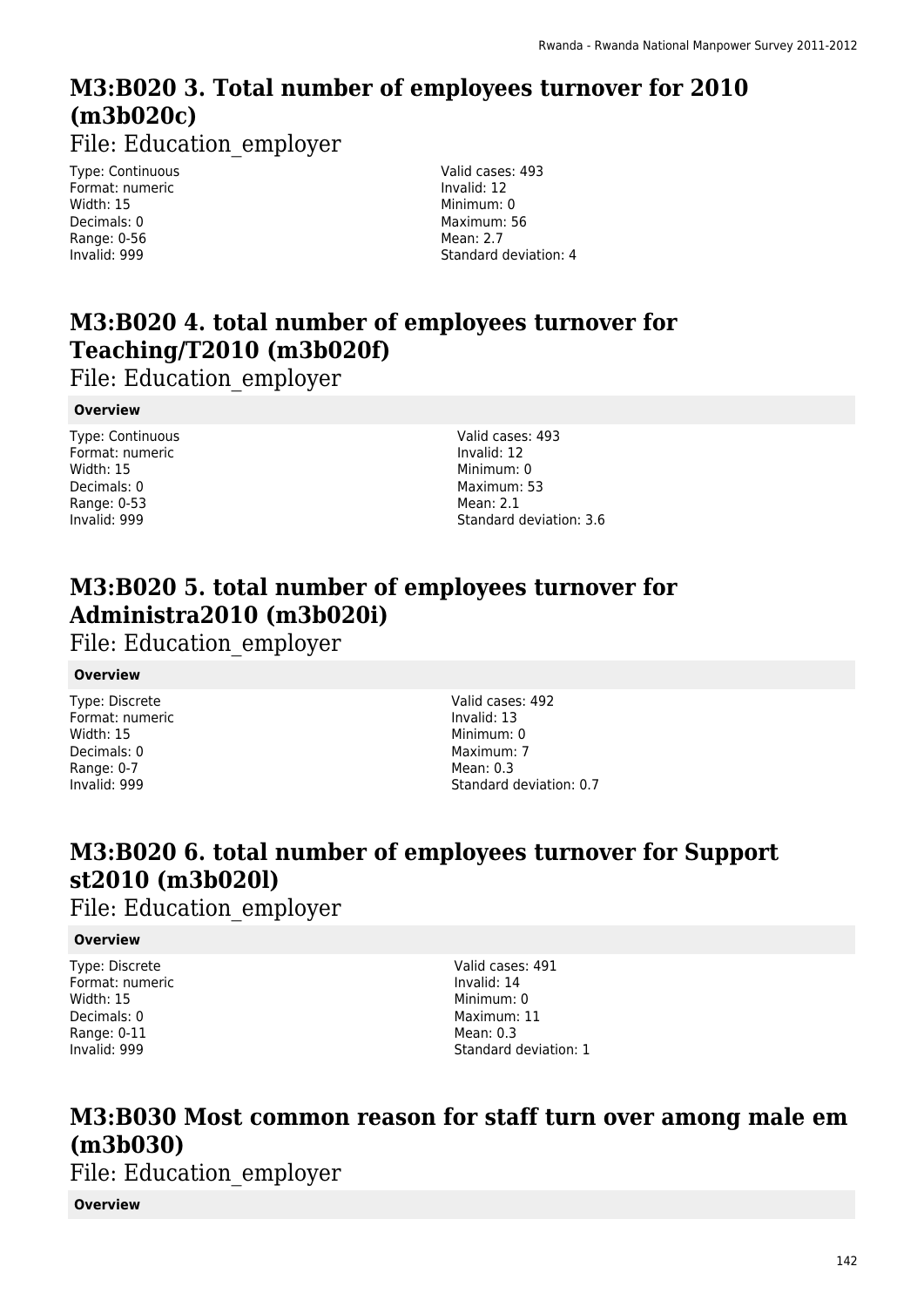# **M3:B020 3. Total number of employees turnover for 2010 (m3b020c)**

File: Education\_employer

Type: Continuous Format: numeric Width: 15 Decimals: 0 Range: 0-56 Invalid: 999

Valid cases: 493 Invalid: 12 Minimum: 0 Maximum: 56 Mean: 2.7 Standard deviation: 4

# **M3:B020 4. total number of employees turnover for Teaching/T2010 (m3b020f)**

File: Education\_employer

#### **Overview**

Type: Continuous Format: numeric Width: 15 Decimals: 0 Range: 0-53 Invalid: 999

Valid cases: 493 Invalid: 12 Minimum: 0 Maximum: 53 Mean: 2.1 Standard deviation: 3.6

### **M3:B020 5. total number of employees turnover for Administra2010 (m3b020i)**

File: Education\_employer

#### **Overview**

Type: Discrete Format: numeric Width: 15 Decimals: 0 Range: 0-7 Invalid: 999

Valid cases: 492 Invalid: 13 Minimum: 0 Maximum: 7 Mean: 0.3 Standard deviation: 0.7

### **M3:B020 6. total number of employees turnover for Support st2010 (m3b020l)**

File: Education\_employer

#### **Overview**

Type: Discrete Format: numeric Width: 15 Decimals: 0 Range: 0-11 Invalid: 999

Valid cases: 491 Invalid: 14 Minimum: 0 Maximum: 11 Mean: 0.3 Standard deviation: 1

### **M3:B030 Most common reason for staff turn over among male em (m3b030)**

File: Education\_employer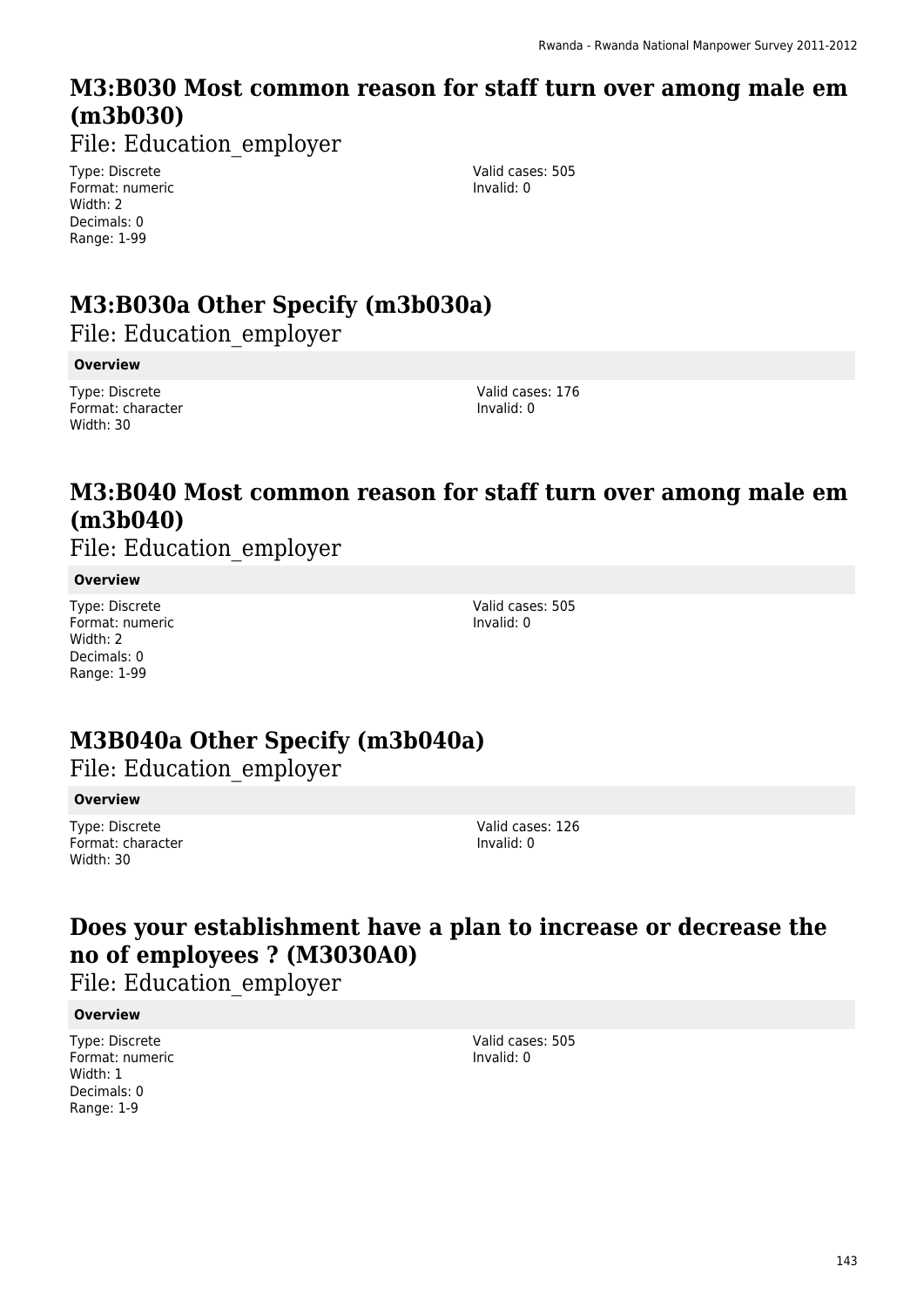### **M3:B030 Most common reason for staff turn over among male em (m3b030)**

File: Education\_employer

Type: Discrete Format: numeric Width: 2 Decimals: 0 Range: 1-99

Valid cases: 505 Invalid: 0

# **M3:B030a Other Specify (m3b030a)**

File: Education\_employer

#### **Overview**

Type: Discrete Format: character Width: 30

Valid cases: 176 Invalid: 0

### **M3:B040 Most common reason for staff turn over among male em (m3b040)**

File: Education\_employer

#### **Overview**

Type: Discrete Format: numeric Width: 2 Decimals: 0 Range: 1-99

Valid cases: 505 Invalid: 0

### **M3B040a Other Specify (m3b040a)**

File: Education\_employer

#### **Overview**

Type: Discrete Format: character Width: 30

Valid cases: 126 Invalid: 0

### **Does your establishment have a plan to increase or decrease the no of employees ? (M3030A0)**

File: Education\_employer

#### **Overview**

Type: Discrete Format: numeric Width: 1 Decimals: 0 Range: 1-9

Valid cases: 505 Invalid: 0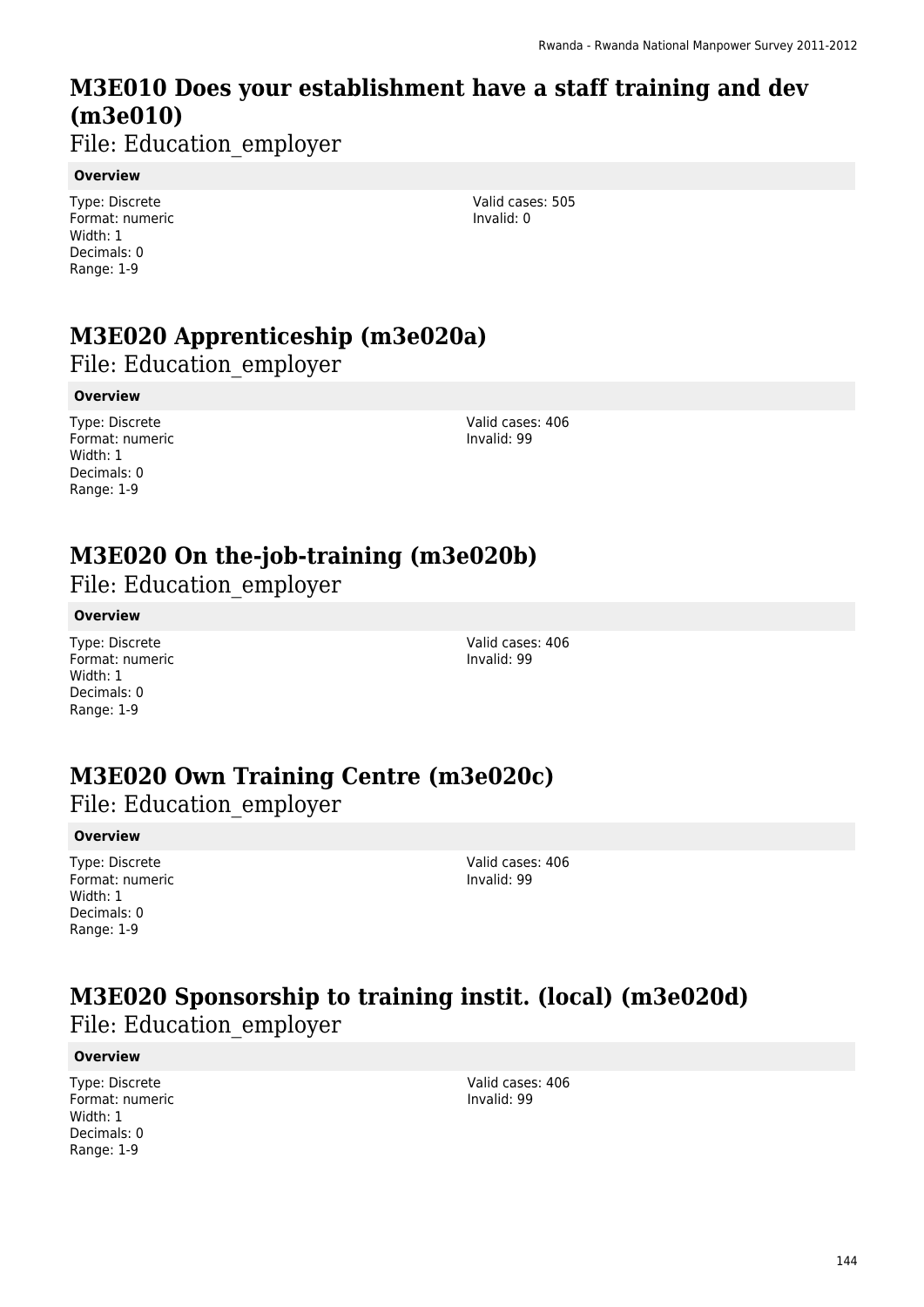### **M3E010 Does your establishment have a staff training and dev (m3e010)**

File: Education\_employer

#### **Overview**

Type: Discrete Format: numeric Width: 1 Decimals: 0 Range: 1-9

Valid cases: 505 Invalid: 0

# **M3E020 Apprenticeship (m3e020a)**

File: Education\_employer

#### **Overview**

Type: Discrete Format: numeric Width: 1 Decimals: 0 Range: 1-9

Valid cases: 406 Invalid: 99

# **M3E020 On the-job-training (m3e020b)**

File: Education\_employer

#### **Overview**

Type: Discrete Format: numeric Width: 1 Decimals: 0 Range: 1-9

Valid cases: 406 Invalid: 99

### **M3E020 Own Training Centre (m3e020c)**

File: Education\_employer

#### **Overview**

Type: Discrete Format: numeric Width: 1 Decimals: 0 Range: 1-9

Valid cases: 406 Invalid: 99

### **M3E020 Sponsorship to training instit. (local) (m3e020d)**  File: Education\_employer

**Overview**

Type: Discrete Format: numeric Width: 1 Decimals: 0 Range: 1-9

Valid cases: 406 Invalid: 99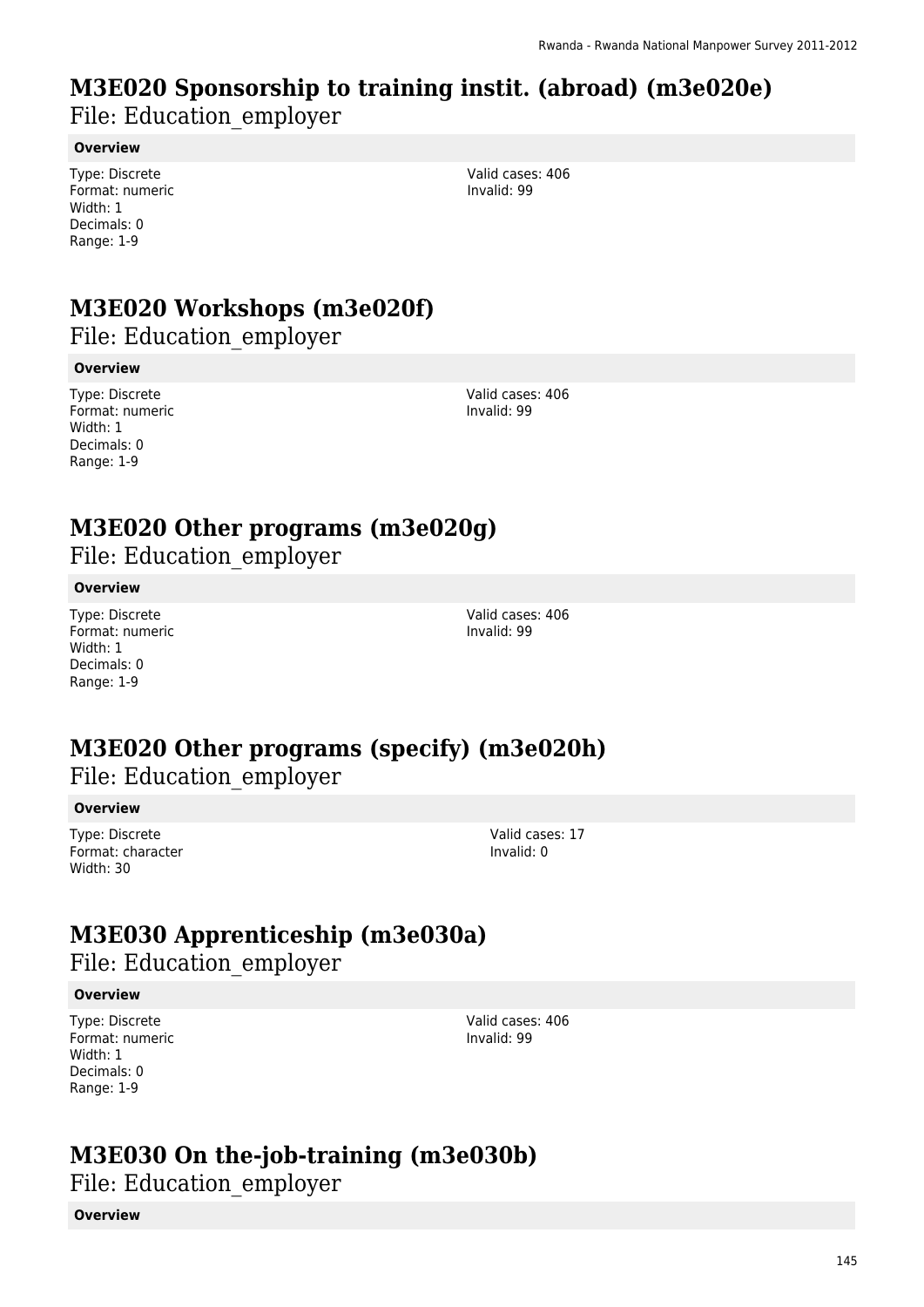### **M3E020 Sponsorship to training instit. (abroad) (m3e020e)**

File: Education\_employer

#### **Overview**

Type: Discrete Format: numeric Width: 1 Decimals: 0 Range: 1-9

Valid cases: 406 Invalid: 99

# **M3E020 Workshops (m3e020f)**

File: Education\_employer

#### **Overview**

Type: Discrete Format: numeric Width: 1 Decimals: 0 Range: 1-9

Valid cases: 406 Invalid: 99

### **M3E020 Other programs (m3e020g)**

File: Education\_employer

#### **Overview**

Type: Discrete Format: numeric Width: 1 Decimals: 0 Range: 1-9

Valid cases: 406 Invalid: 99

### **M3E020 Other programs (specify) (m3e020h)**  File: Education\_employer

#### **Overview**

Type: Discrete Format: character Width: 30

Valid cases: 17 Invalid: 0

### **M3E030 Apprenticeship (m3e030a)**

File: Education\_employer

#### **Overview**

Type: Discrete Format: numeric Width: 1 Decimals: 0 Range: 1-9

Valid cases: 406 Invalid: 99

### **M3E030 On the-job-training (m3e030b)**

File: Education\_employer

**Overview**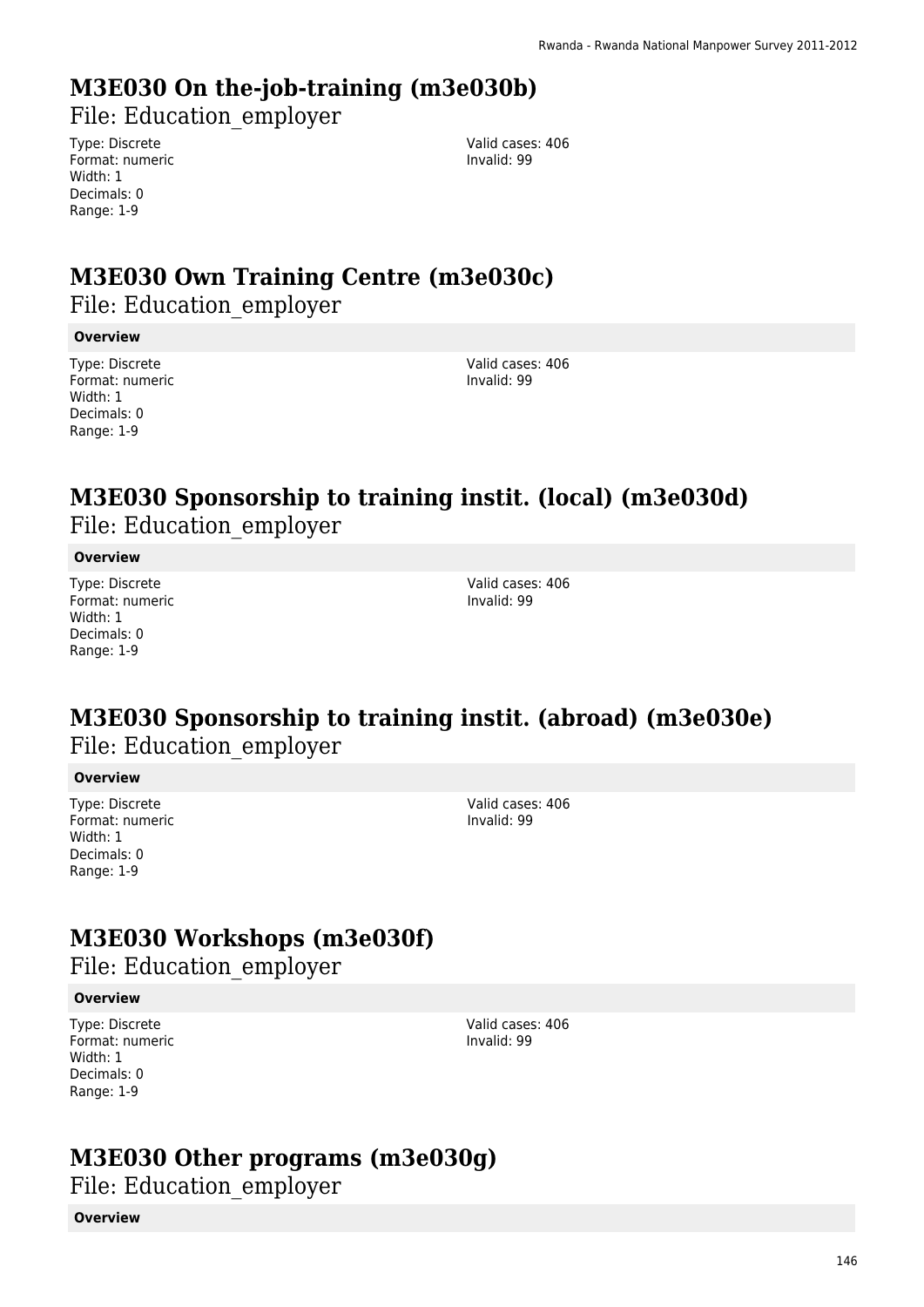### **M3E030 On the-job-training (m3e030b)**

File: Education\_employer

Type: Discrete Format: numeric Width: 1 Decimals: 0 Range: 1-9

Valid cases: 406 Invalid: 99

# **M3E030 Own Training Centre (m3e030c)**

File: Education\_employer

#### **Overview**

Type: Discrete Format: numeric Width: 1 Decimals: 0 Range: 1-9

Valid cases: 406 Invalid: 99

# **M3E030 Sponsorship to training instit. (local) (m3e030d)**

File: Education\_employer

#### **Overview**

Type: Discrete Format: numeric Width: 1 Decimals: 0 Range: 1-9

Valid cases: 406 Invalid: 99

### **M3E030 Sponsorship to training instit. (abroad) (m3e030e)**  File: Education\_employer

#### **Overview**

Type: Discrete Format: numeric Width: 1 Decimals: 0 Range: 1-9

Valid cases: 406 Invalid: 99

# **M3E030 Workshops (m3e030f)**

File: Education\_employer

#### **Overview**

Type: Discrete Format: numeric Width: 1 Decimals: 0 Range: 1-9

Valid cases: 406 Invalid: 99

# **M3E030 Other programs (m3e030g)**

File: Education\_employer

#### **Overview**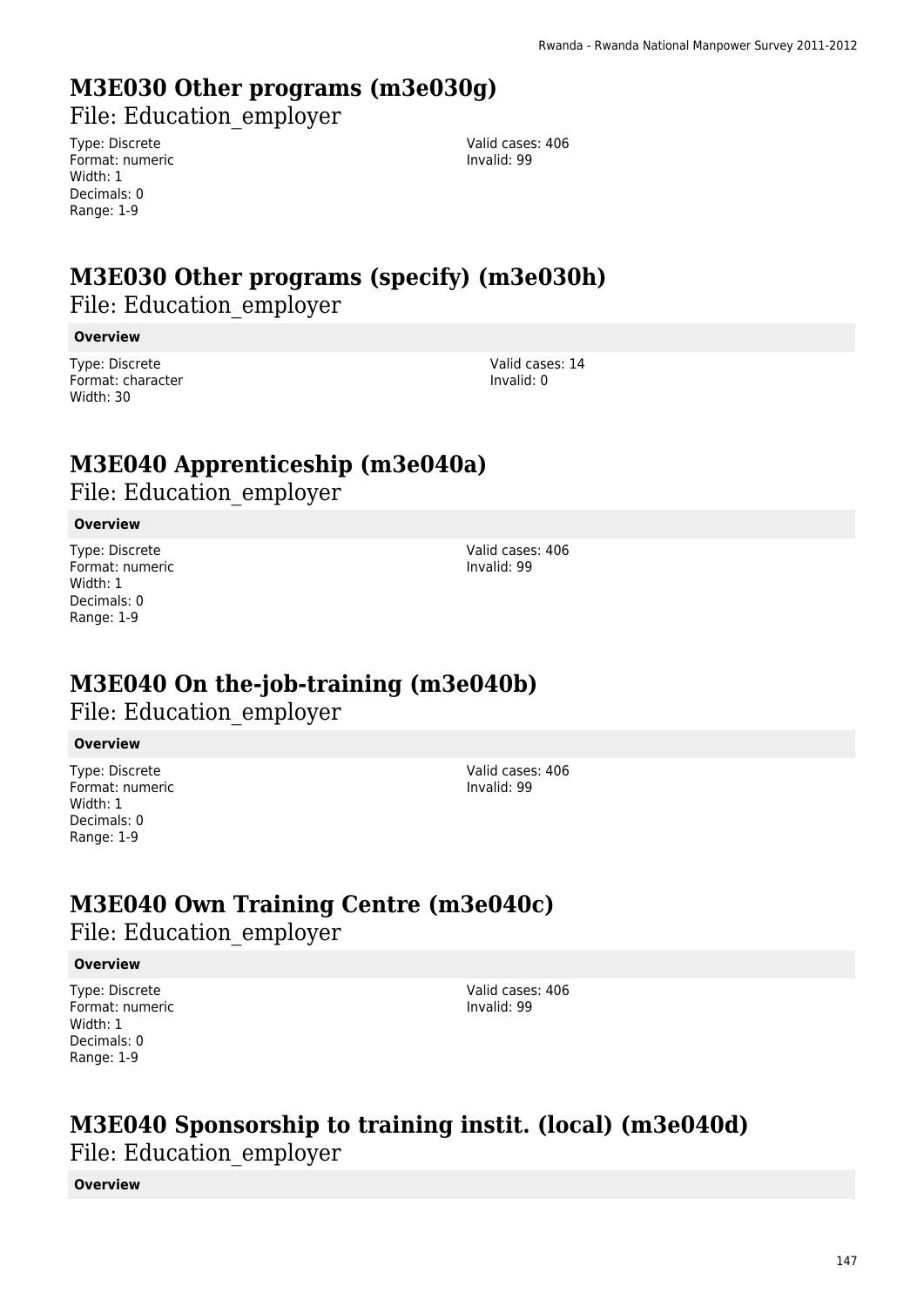# **M3E030 Other programs (m3e030g)**

File: Education\_employer

Type: Discrete Format: numeric Width: 1 Decimals: 0 Range: 1-9

# **M3E030 Other programs (specify) (m3e030h)**

File: Education\_employer

### **Overview**

Type: Discrete Format: character Width: 30

Valid cases: 14 Invalid: 0

### **M3E040 Apprenticeship (m3e040a)**  File: Education\_employer

#### **Overview**

Type: Discrete Format: numeric Width: 1 Decimals: 0 Range: 1-9

# **M3E040 On the-job-training (m3e040b)**

File: Education\_employer

#### **Overview**

Type: Discrete Format: numeric Width: 1 Decimals: 0 Range: 1-9

Valid cases: 406 Invalid: 99

Valid cases: 406 Invalid: 99

# **M3E040 Own Training Centre (m3e040c)**

File: Education\_employer

#### **Overview**

Type: Discrete Format: numeric Width: 1 Decimals: 0 Range: 1-9

Valid cases: 406 Invalid: 99

# **M3E040 Sponsorship to training instit. (local) (m3e040d)**

File: Education\_employer

### **Overview**

Invalid: 99

Valid cases: 406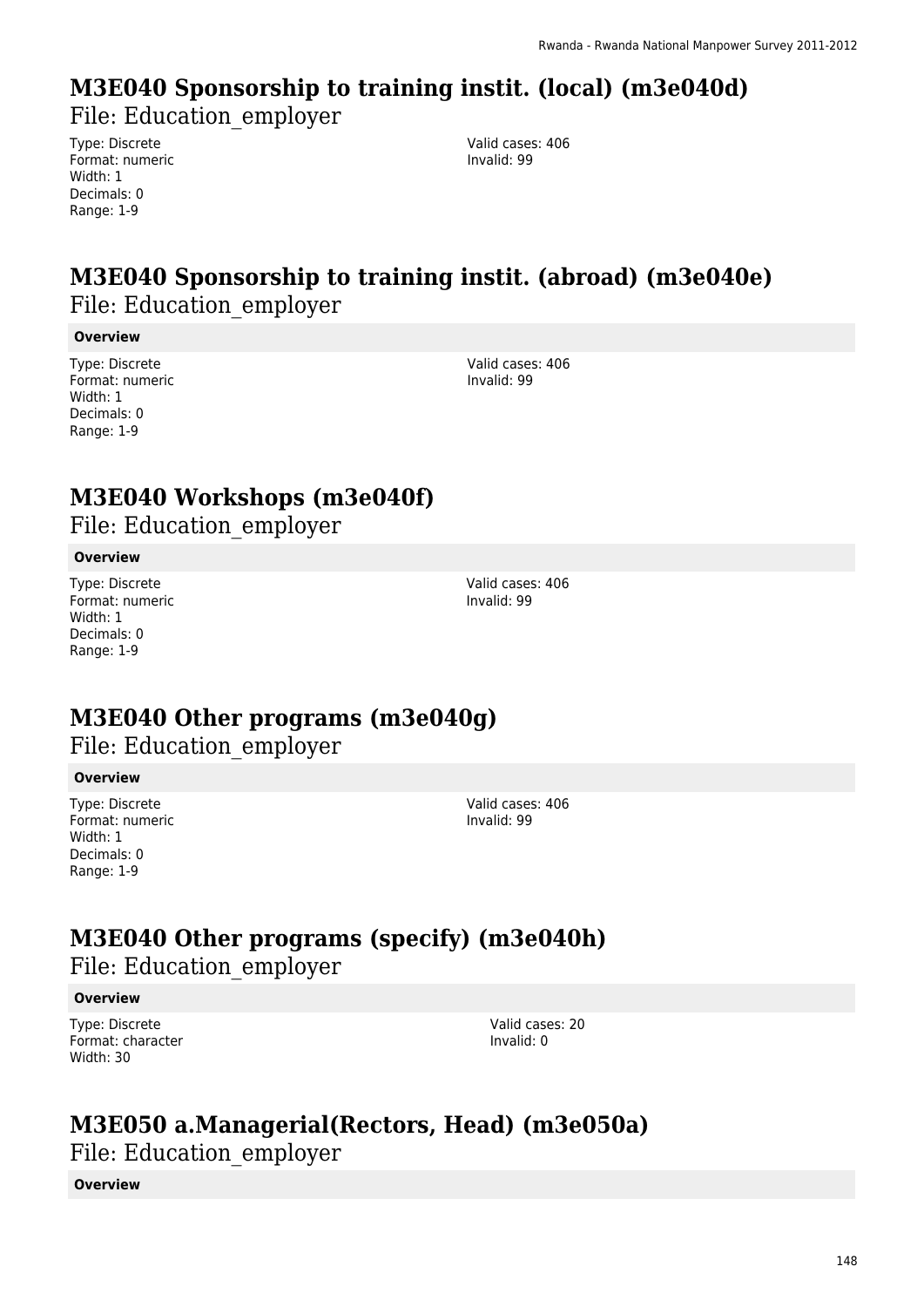### **M3E040 Sponsorship to training instit. (local) (m3e040d)**

File: Education\_employer

Type: Discrete Format: numeric Width: 1 Decimals: 0 Range: 1-9

Valid cases: 406 Invalid: 99

### **M3E040 Sponsorship to training instit. (abroad) (m3e040e)**  File: Education\_employer

#### **Overview**

Type: Discrete Format: numeric Width: 1 Decimals: 0 Range: 1-9

Valid cases: 406 Invalid: 99

# **M3E040 Workshops (m3e040f)**

File: Education\_employer

#### **Overview**

Type: Discrete Format: numeric Width: 1 Decimals: 0 Range: 1-9

Valid cases: 406 Invalid: 99

### **M3E040 Other programs (m3e040g)**

File: Education\_employer

#### **Overview**

Type: Discrete Format: numeric Width: 1 Decimals: 0 Range: 1-9

Valid cases: 406 Invalid: 99

### **M3E040 Other programs (specify) (m3e040h)**

File: Education\_employer

#### **Overview**

Type: Discrete Format: character Width: 30

Valid cases: 20 Invalid: 0

### **M3E050 a.Managerial(Rectors, Head) (m3e050a)**

File: Education\_employer

**Overview**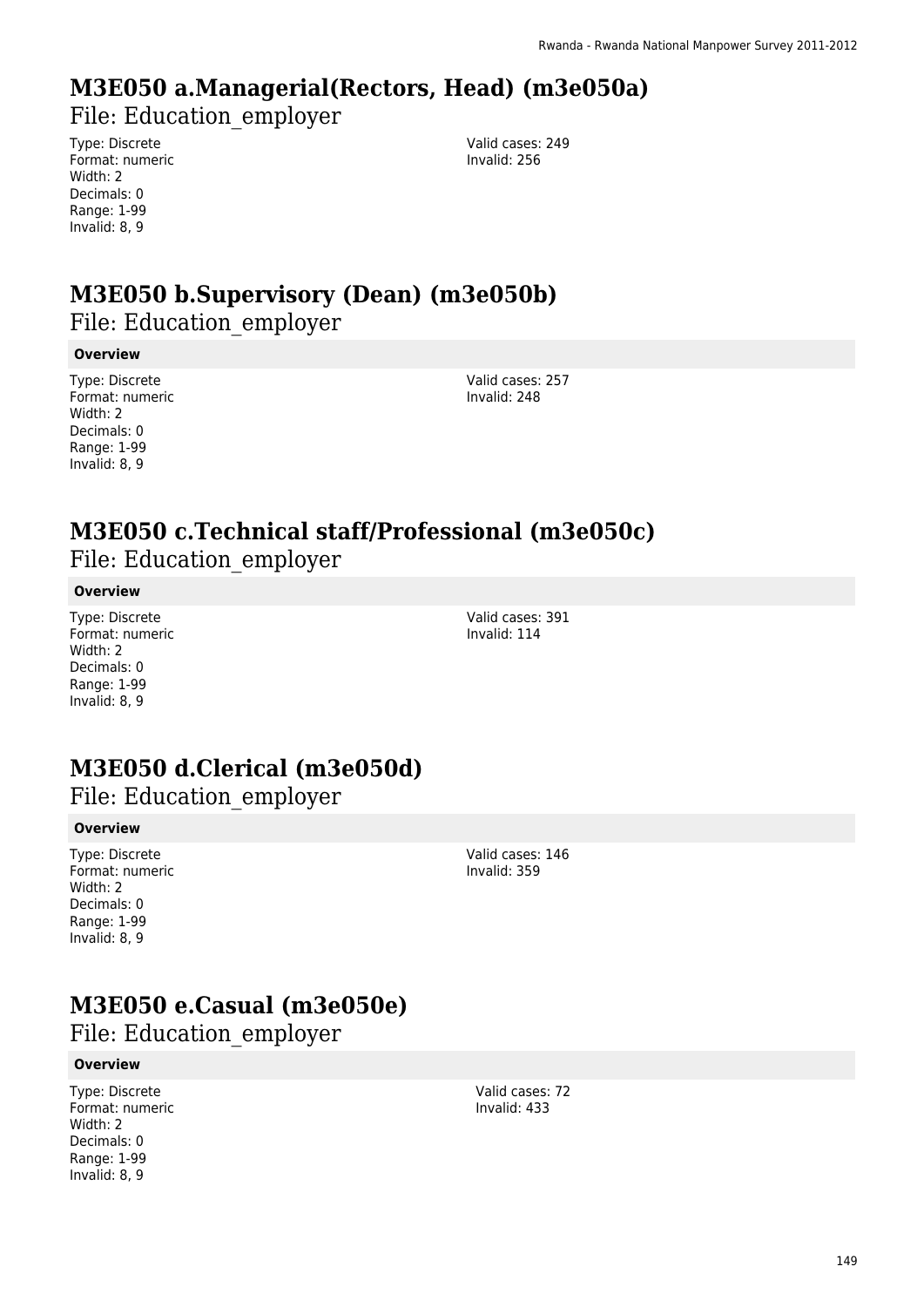# **M3E050 a.Managerial(Rectors, Head) (m3e050a)**

File: Education\_employer

Type: Discrete Format: numeric Width: 2 Decimals: 0 Range: 1-99 Invalid: 8, 9

Valid cases: 249 Invalid: 256

# **M3E050 b.Supervisory (Dean) (m3e050b)**

File: Education\_employer

#### **Overview**

Type: Discrete Format: numeric Width: 2 Decimals: 0 Range: 1-99 Invalid: 8, 9

Valid cases: 257 Invalid: 248

### **M3E050 c.Technical staff/Professional (m3e050c)**  File: Education\_employer

#### **Overview**

Type: Discrete Format: numeric Width: 2 Decimals: 0 Range: 1-99 Invalid: 8, 9

Valid cases: 391 Invalid: 114

# **M3E050 d.Clerical (m3e050d)**

File: Education\_employer

#### **Overview**

Type: Discrete Format: numeric Width: 2 Decimals: 0 Range: 1-99 Invalid: 8, 9

# Invalid: 359

Valid cases: 146

# **M3E050 e.Casual (m3e050e)**

File: Education\_employer

#### **Overview**

Type: Discrete Format: numeric Width: 2 Decimals: 0 Range: 1-99 Invalid: 8, 9

Valid cases: 72 Invalid: 433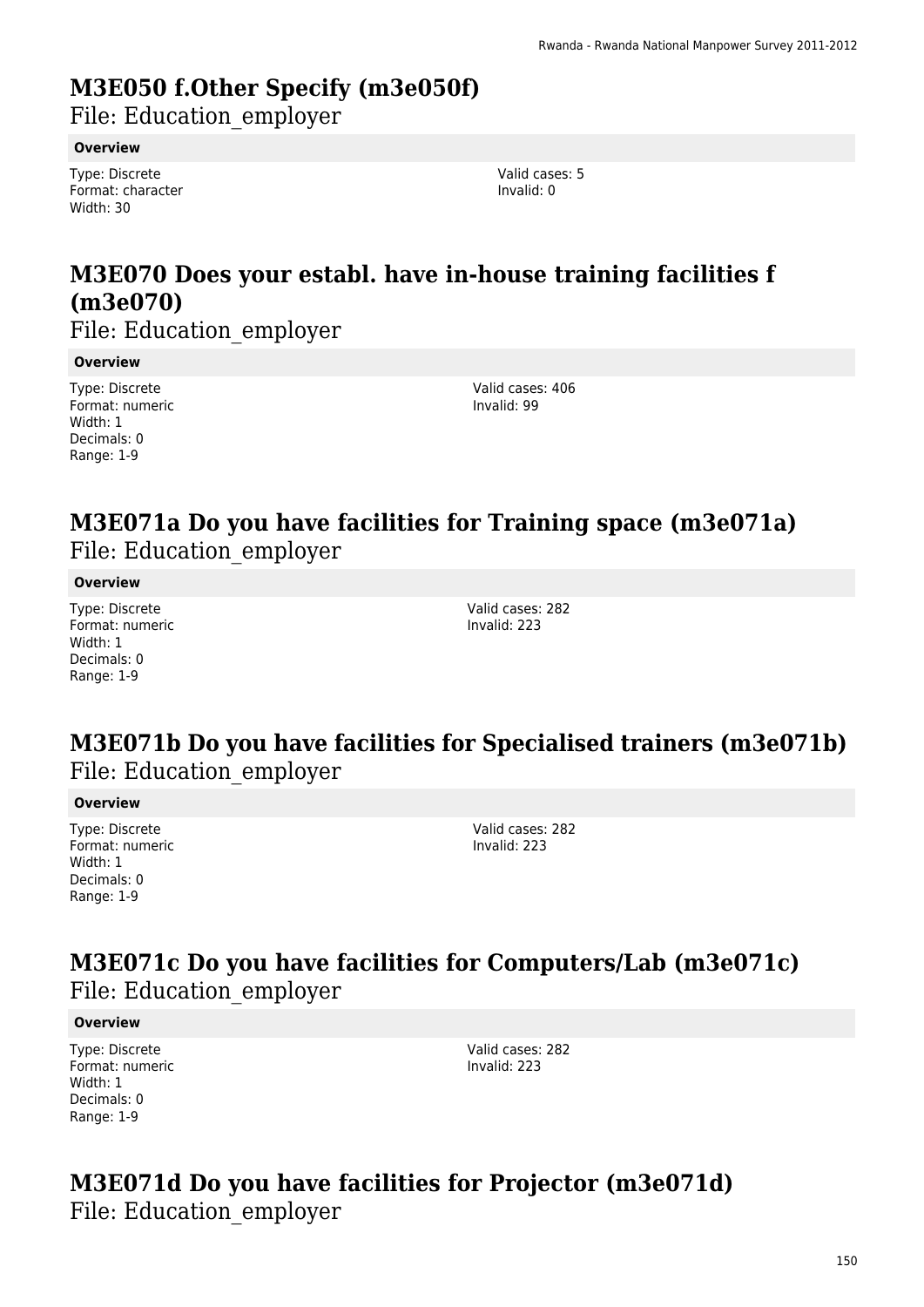### **M3E050 f.Other Specify (m3e050f)**

File: Education\_employer

#### **Overview**

Type: Discrete Format: character Width: 30

Valid cases: 5 Invalid: 0

### **M3E070 Does your establ. have in-house training facilities f (m3e070)**

File: Education\_employer

#### **Overview**

Type: Discrete Format: numeric Width: 1 Decimals: 0 Range: 1-9

Valid cases: 406 Invalid: 99

### **M3E071a Do you have facilities for Training space (m3e071a)**  File: Education\_employer

#### **Overview**

| Type: Discrete  |
|-----------------|
| Format: numeric |
| Width: 1        |
| Decimals: 0     |
| Range: 1-9      |

Valid cases: 282 Invalid: 223

### **M3E071b Do you have facilities for Specialised trainers (m3e071b)**  File: Education\_employer

#### **Overview**

Type: Discrete Format: numeric Width: 1 Decimals: 0 Range: 1-9

Valid cases: 282 Invalid: 223

### **M3E071c Do you have facilities for Computers/Lab (m3e071c)**  File: Education\_employer

#### **Overview**

Type: Discrete Format: numeric Width: 1 Decimals: 0 Range: 1-9

Valid cases: 282 Invalid: 223

### **M3E071d Do you have facilities for Projector (m3e071d)**  File: Education\_employer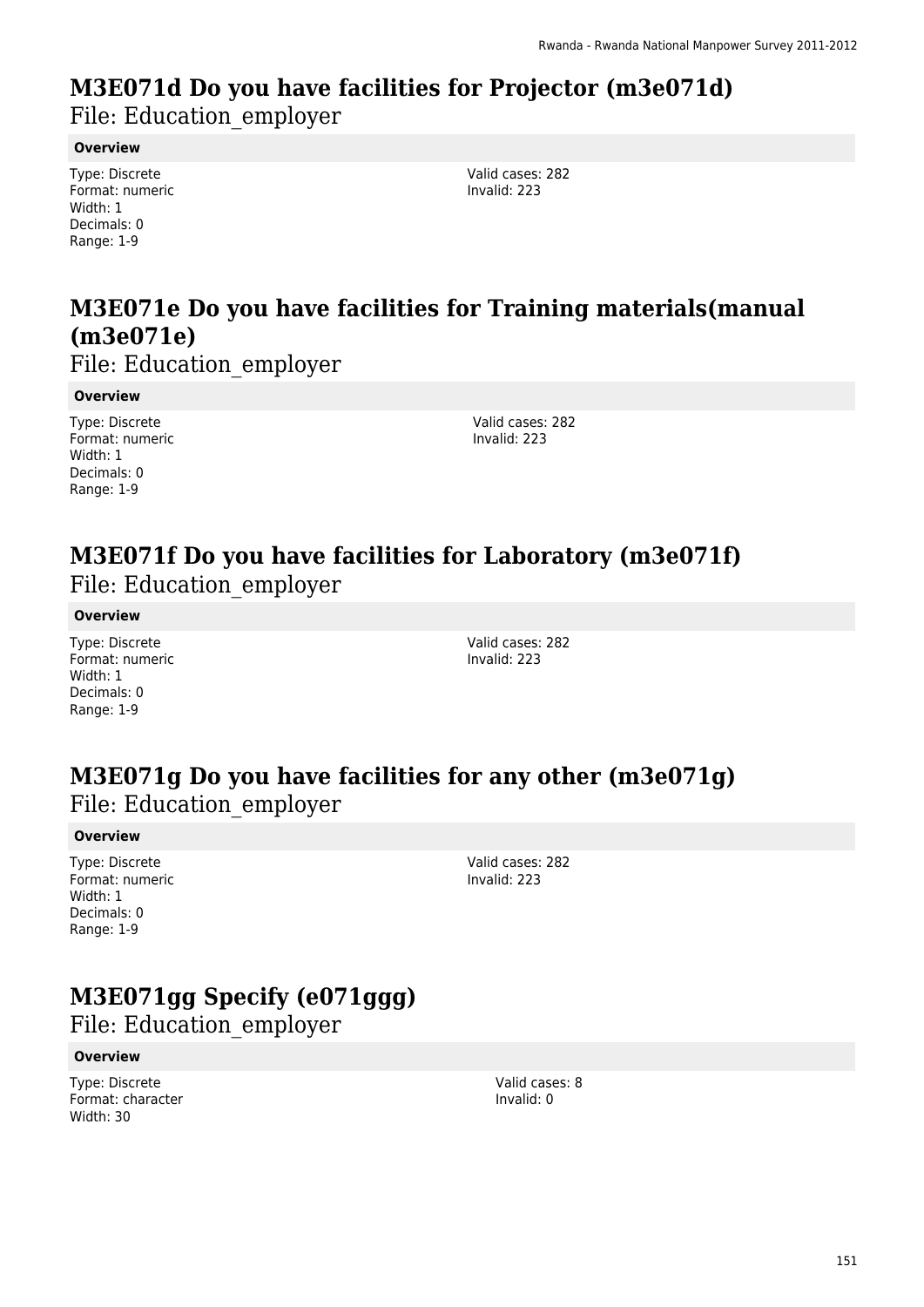### **M3E071d Do you have facilities for Projector (m3e071d)**

File: Education\_employer

#### **Overview**

Type: Discrete Format: numeric Width: 1 Decimals: 0 Range: 1-9

Valid cases: 282 Invalid: 223

### **M3E071e Do you have facilities for Training materials(manual (m3e071e)**

File: Education\_employer

#### **Overview**

Type: Discrete Format: numeric Width: 1 Decimals: 0 Range: 1-9

Valid cases: 282 Invalid: 223

# **M3E071f Do you have facilities for Laboratory (m3e071f)**

File: Education\_employer

#### **Overview**

Type: Discrete Format: numeric Width: 1 Decimals: 0 Range: 1-9

Valid cases: 282 Invalid: 223

### **M3E071g Do you have facilities for any other (m3e071g)**  File: Education\_employer

#### **Overview**

Type: Discrete Format: numeric Width: 1 Decimals: 0 Range: 1-9

Valid cases: 282 Invalid: 223

# **M3E071gg Specify (e071ggg)**

File: Education\_employer

#### **Overview**

Type: Discrete Format: character Width: 30

Valid cases: 8 Invalid: 0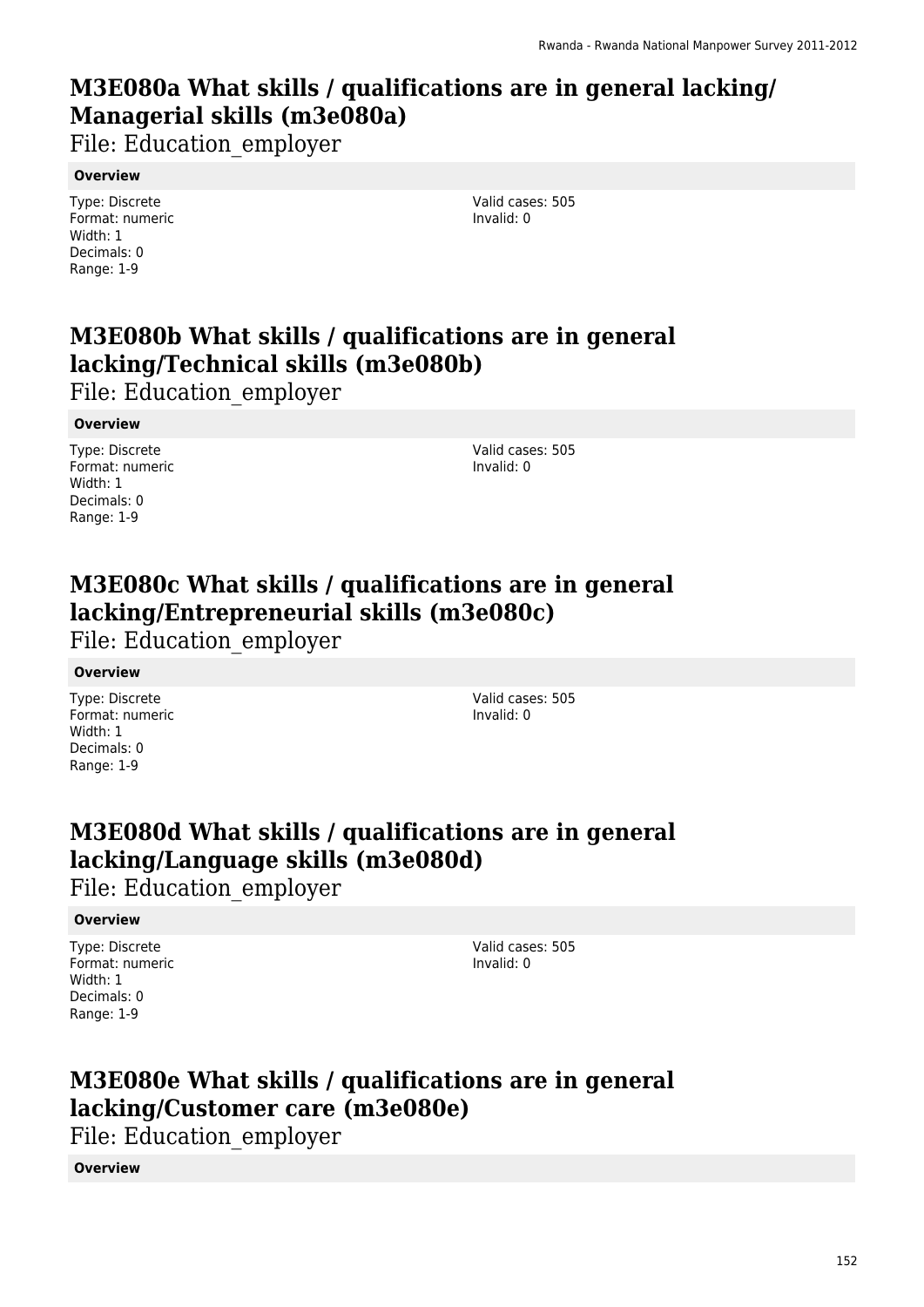### **M3E080a What skills / qualifications are in general lacking/ Managerial skills (m3e080a)**

File: Education\_employer

#### **Overview**

Type: Discrete Format: numeric Width: 1 Decimals: 0 Range: 1-9

Valid cases: 505 Invalid: 0

### **M3E080b What skills / qualifications are in general lacking/Technical skills (m3e080b)**

File: Education\_employer

#### **Overview**

Type: Discrete Format: numeric Width: 1 Decimals: 0 Range: 1-9

Valid cases: 505 Invalid: 0

### **M3E080c What skills / qualifications are in general lacking/Entrepreneurial skills (m3e080c)**

File: Education\_employer

#### **Overview**

Type: Discrete Format: numeric Width: 1 Decimals: 0 Range: 1-9

Valid cases: 505 Invalid: 0

### **M3E080d What skills / qualifications are in general lacking/Language skills (m3e080d)**

File: Education\_employer

#### **Overview**

Type: Discrete Format: numeric Width: 1 Decimals: 0 Range: 1-9

Valid cases: 505 Invalid: 0

### **M3E080e What skills / qualifications are in general lacking/Customer care (m3e080e)**

File: Education\_employer

#### **Overview**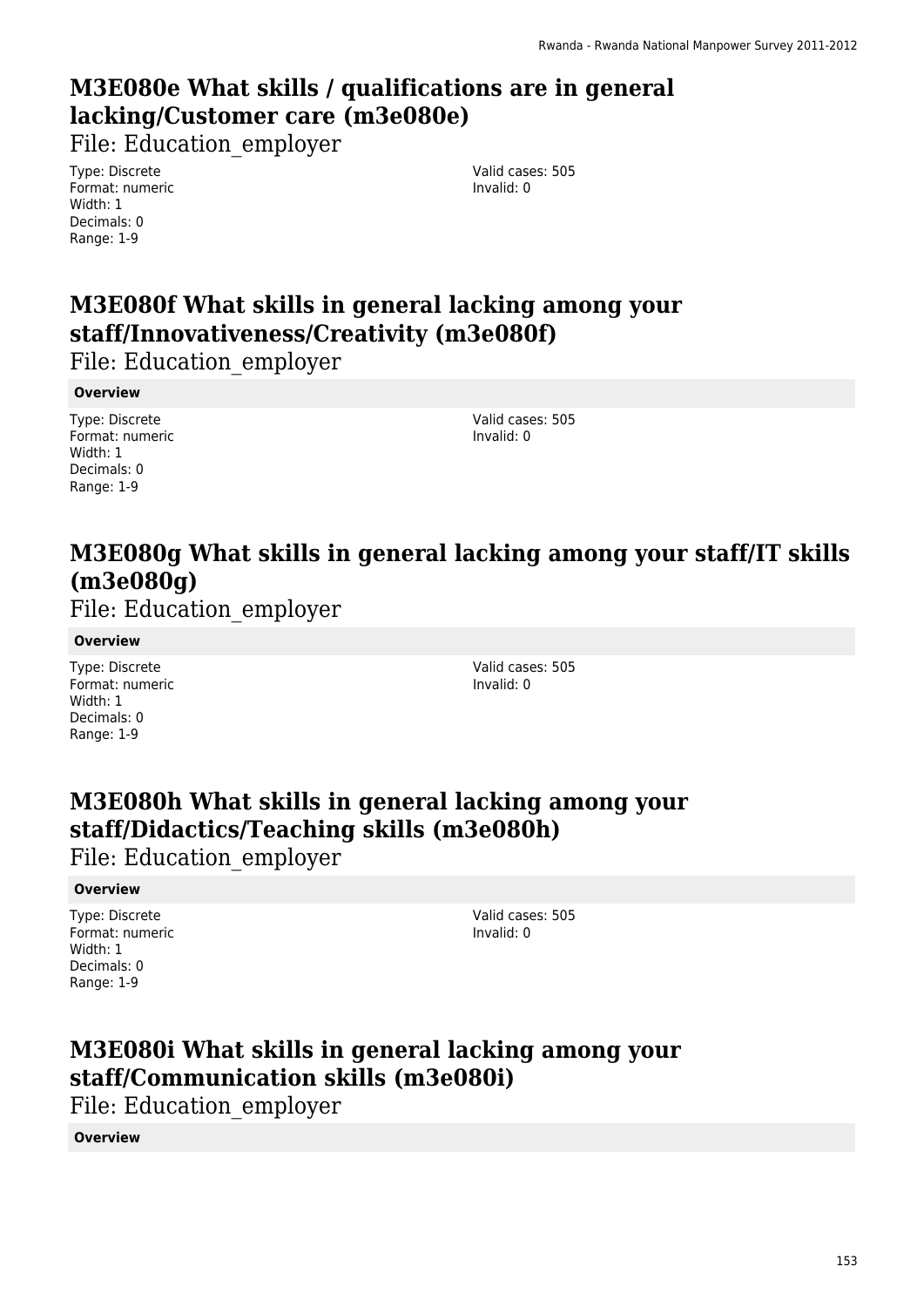### **M3E080e What skills / qualifications are in general lacking/Customer care (m3e080e)**

File: Education\_employer

Type: Discrete Format: numeric Width: 1 Decimals: 0 Range: 1-9

Valid cases: 505 Invalid: 0

### **M3E080f What skills in general lacking among your staff/Innovativeness/Creativity (m3e080f)**

File: Education\_employer

#### **Overview**

Type: Discrete Format: numeric Width: 1 Decimals: 0 Range: 1-9

Valid cases: 505 Invalid: 0

### **M3E080g What skills in general lacking among your staff/IT skills (m3e080g)**

File: Education\_employer

#### **Overview**

Type: Discrete Format: numeric Width: 1 Decimals: 0 Range: 1-9

Valid cases: 505 Invalid: 0

### **M3E080h What skills in general lacking among your staff/Didactics/Teaching skills (m3e080h)**

File: Education\_employer

#### **Overview**

Type: Discrete Format: numeric Width: 1 Decimals: 0 Range: 1-9

Valid cases: 505 Invalid: 0

### **M3E080i What skills in general lacking among your staff/Communication skills (m3e080i)**

File: Education\_employer

#### **Overview**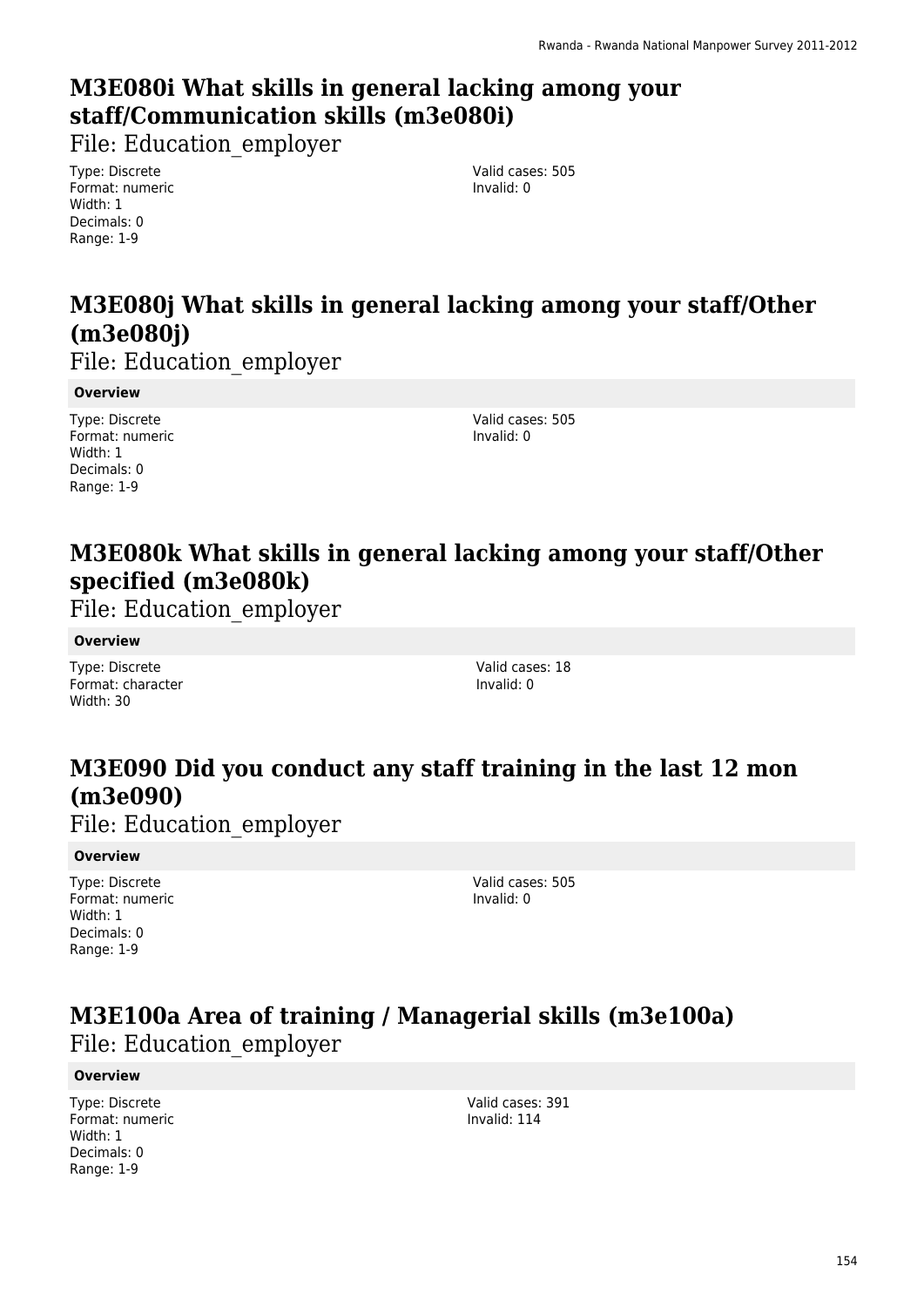### **M3E080i What skills in general lacking among your staff/Communication skills (m3e080i)**

File: Education\_employer

Type: Discrete Format: numeric Width: 1 Decimals: 0 Range: 1-9

Valid cases: 505 Invalid: 0

### **M3E080j What skills in general lacking among your staff/Other (m3e080j)**

File: Education\_employer

#### **Overview**

Type: Discrete Format: numeric Width: 1 Decimals: 0 Range: 1-9

Valid cases: 505 Invalid: 0

### **M3E080k What skills in general lacking among your staff/Other specified (m3e080k)**

File: Education\_employer

#### **Overview**

Type: Discrete Format: character Width: 30

Valid cases: 18 Invalid: 0

### **M3E090 Did you conduct any staff training in the last 12 mon (m3e090)**

File: Education\_employer

#### **Overview**

Type: Discrete Format: numeric Width: 1 Decimals: 0 Range: 1-9

Valid cases: 505 Invalid: 0

### **M3E100a Area of training / Managerial skills (m3e100a)**  File: Education\_employer

#### **Overview**

Type: Discrete Format: numeric Width: 1 Decimals: 0 Range: 1-9

Valid cases: 391 Invalid: 114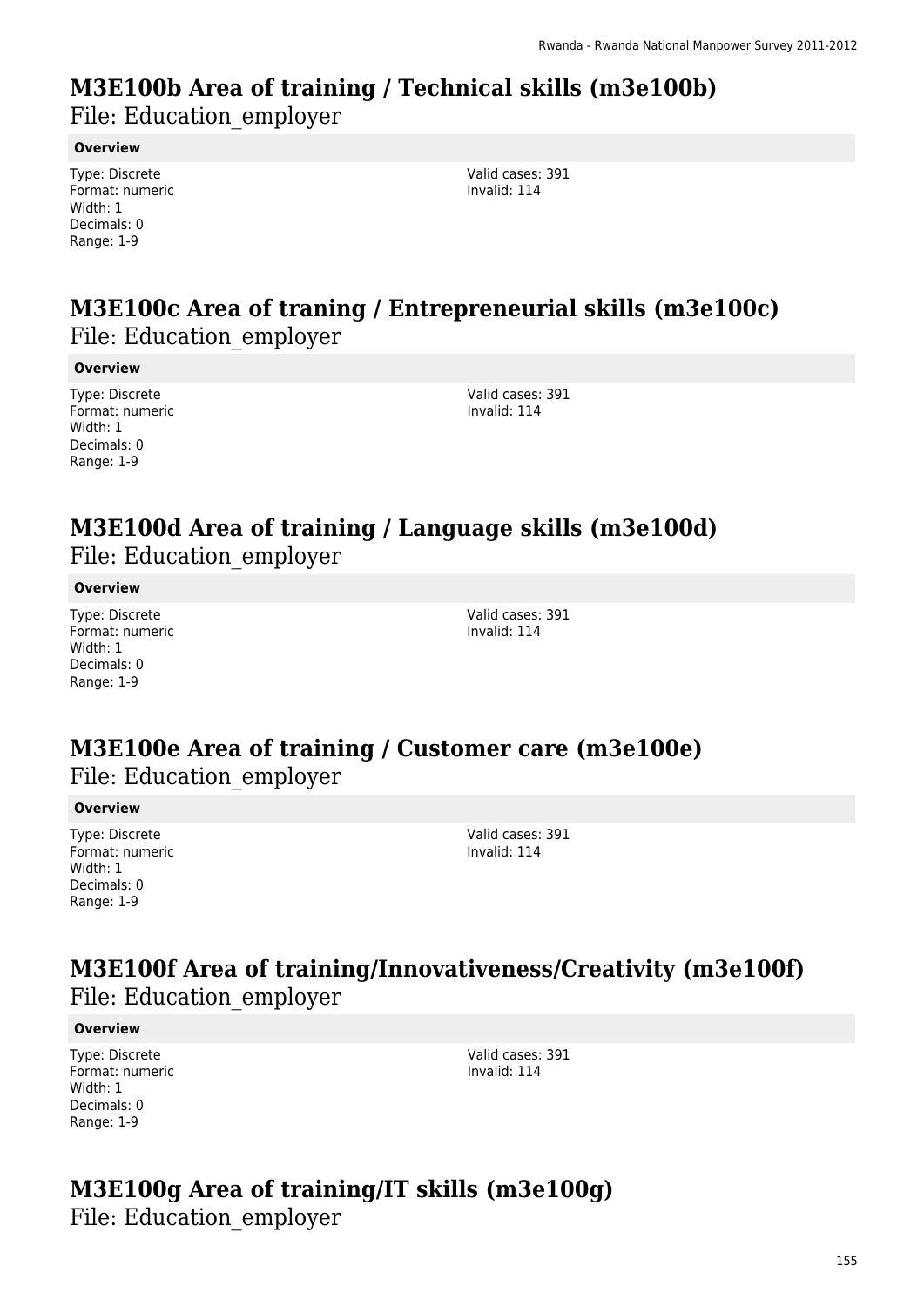### **M3E100b Area of training / Technical skills (m3e100b)**

File: Education\_employer

#### **Overview**

Type: Discrete Format: numeric Width: 1 Decimals: 0 Range: 1-9

Valid cases: 391 Invalid: 114

### **M3E100c Area of traning / Entrepreneurial skills (m3e100c)**  File: Education\_employer

**Overview**

Type: Discrete Format: numeric Width: 1 Decimals: 0 Range: 1-9

Valid cases: 391 Invalid: 114

# **M3E100d Area of training / Language skills (m3e100d)**

File: Education\_employer

**Overview**

Type: Discrete Format: numeric Width: 1 Decimals: 0 Range: 1-9

Valid cases: 391 Invalid: 114

### **M3E100e Area of training / Customer care (m3e100e)**  File: Education\_employer

**Overview**

Type: Discrete Format: numeric Width: 1 Decimals: 0 Range: 1-9

Valid cases: 391 Invalid: 114

### **M3E100f Area of training/Innovativeness/Creativity (m3e100f)**  File: Education\_employer

#### **Overview**

Type: Discrete Format: numeric Width: 1 Decimals: 0 Range: 1-9

Valid cases: 391 Invalid: 114

# **M3E100g Area of training/IT skills (m3e100g)**

File: Education\_employer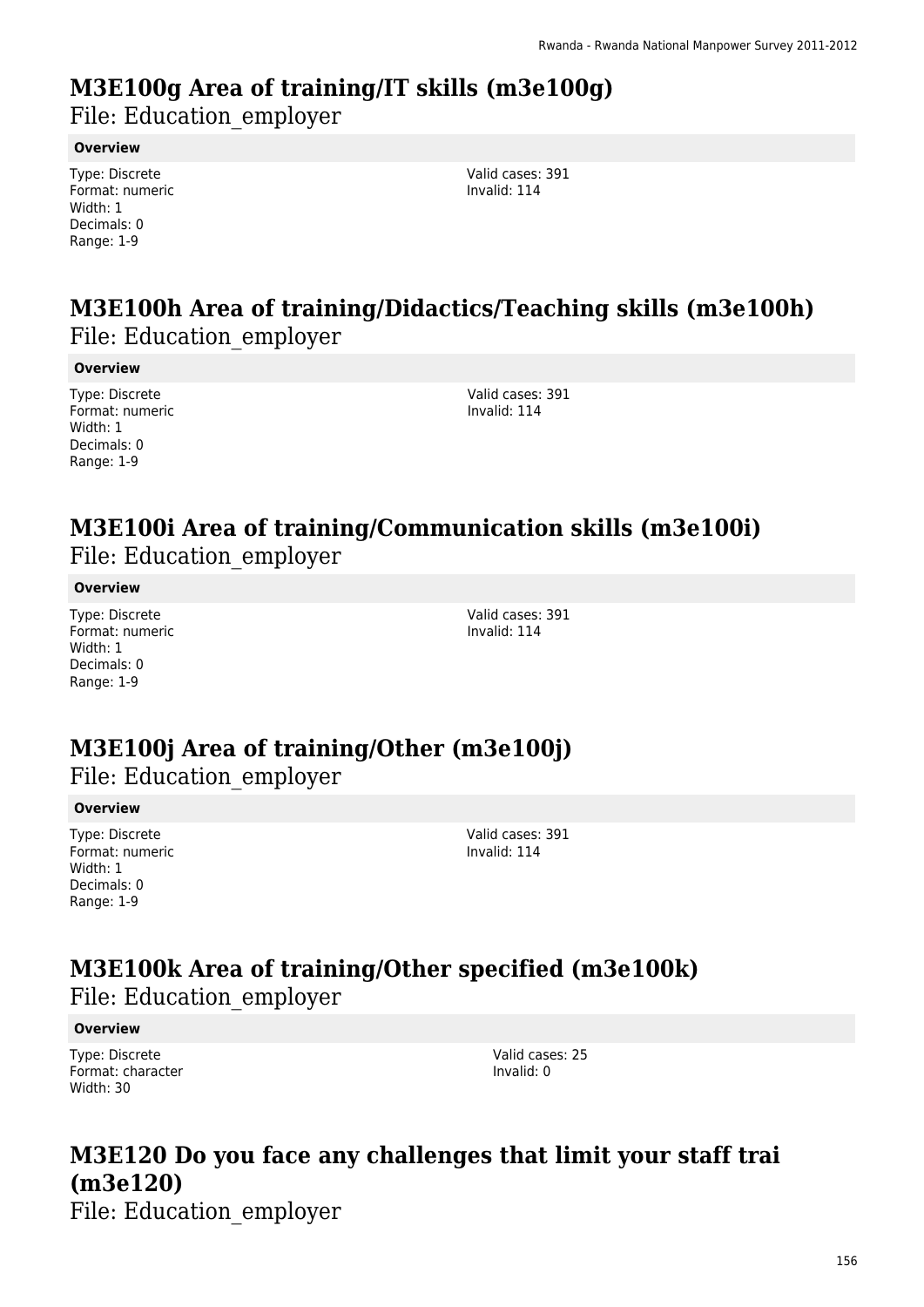### **M3E100g Area of training/IT skills (m3e100g)**

File: Education\_employer

#### **Overview**

Type: Discrete Format: numeric Width: 1 Decimals: 0 Range: 1-9

Valid cases: 391 Invalid: 114

### **M3E100h Area of training/Didactics/Teaching skills (m3e100h)**  File: Education\_employer

**Overview**

Type: Discrete Format: numeric Width: 1 Decimals: 0 Range: 1-9

Valid cases: 391 Invalid: 114

# **M3E100i Area of training/Communication skills (m3e100i)**

File: Education\_employer

#### **Overview**

Type: Discrete Format: numeric Width: 1 Decimals: 0 Range: 1-9

Valid cases: 391 Invalid: 114

# **M3E100j Area of training/Other (m3e100j)**

File: Education\_employer

#### **Overview**

Type: Discrete Format: numeric Width: 1 Decimals: 0 Range: 1-9

Valid cases: 391 Invalid: 114

# **M3E100k Area of training/Other specified (m3e100k)**

File: Education\_employer

#### **Overview**

Type: Discrete Format: character Width: 30

Valid cases: 25 Invalid: 0

### **M3E120 Do you face any challenges that limit your staff trai (m3e120)**

File: Education\_employer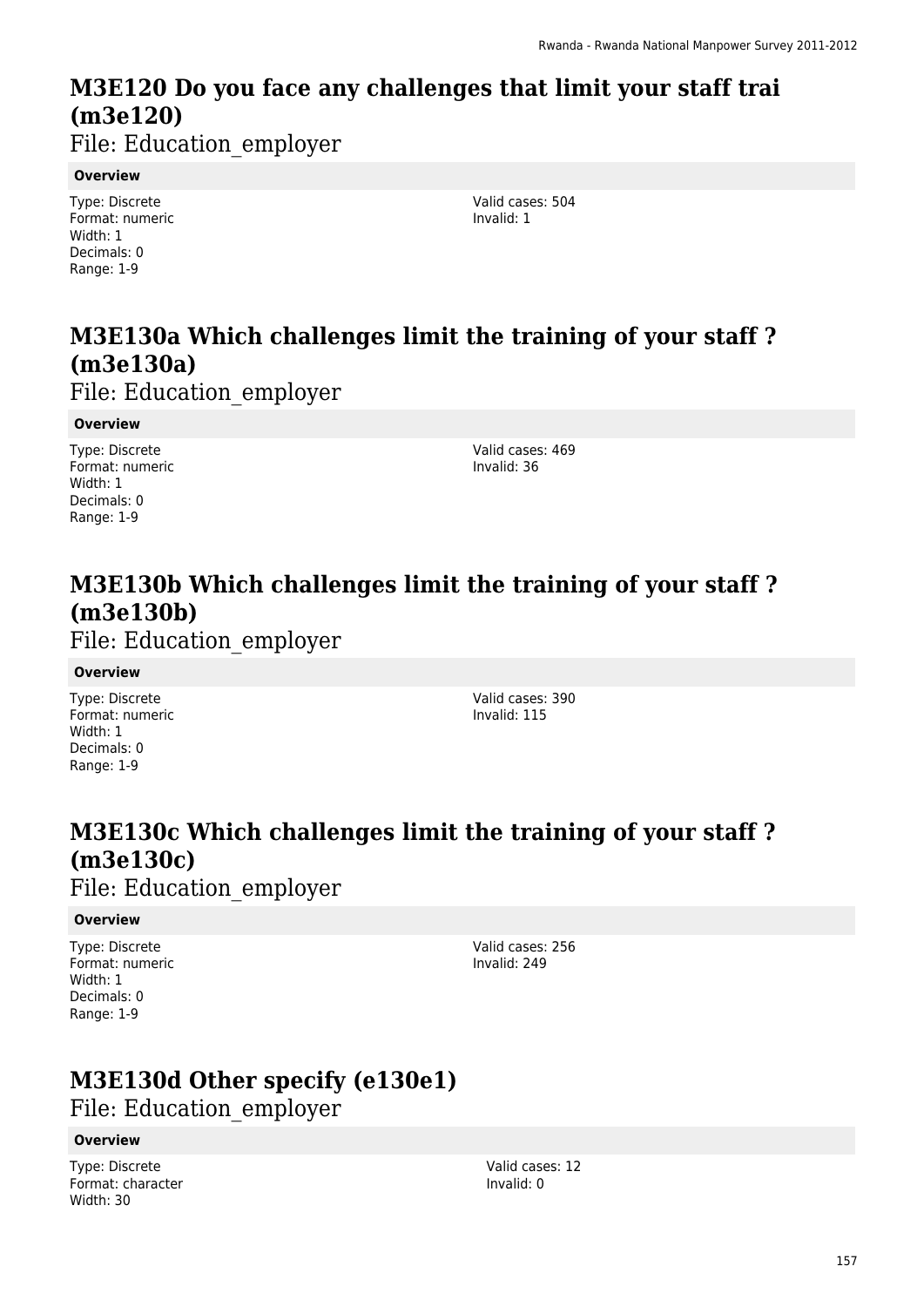### **M3E120 Do you face any challenges that limit your staff trai (m3e120)**

File: Education\_employer

#### **Overview**

Type: Discrete Format: numeric Width: 1 Decimals: 0 Range: 1-9

Valid cases: 504 Invalid: 1

### **M3E130a Which challenges limit the training of your staff ? (m3e130a)**

File: Education\_employer

#### **Overview**

Type: Discrete Format: numeric Width: 1 Decimals: 0 Range: 1-9

Valid cases: 469 Invalid: 36

### **M3E130b Which challenges limit the training of your staff ? (m3e130b)**

File: Education\_employer

#### **Overview**

Type: Discrete Format: numeric Width: 1 Decimals: 0 Range: 1-9

Valid cases: 390 Invalid: 115

### **M3E130c Which challenges limit the training of your staff ? (m3e130c)**

File: Education\_employer

#### **Overview**

Type: Discrete Format: numeric Width: 1 Decimals: 0 Range: 1-9

Valid cases: 256 Invalid: 249

### **M3E130d Other specify (e130e1)**  File: Education\_employer

#### **Overview**

Type: Discrete Format: character Width: 30

Valid cases: 12 Invalid: 0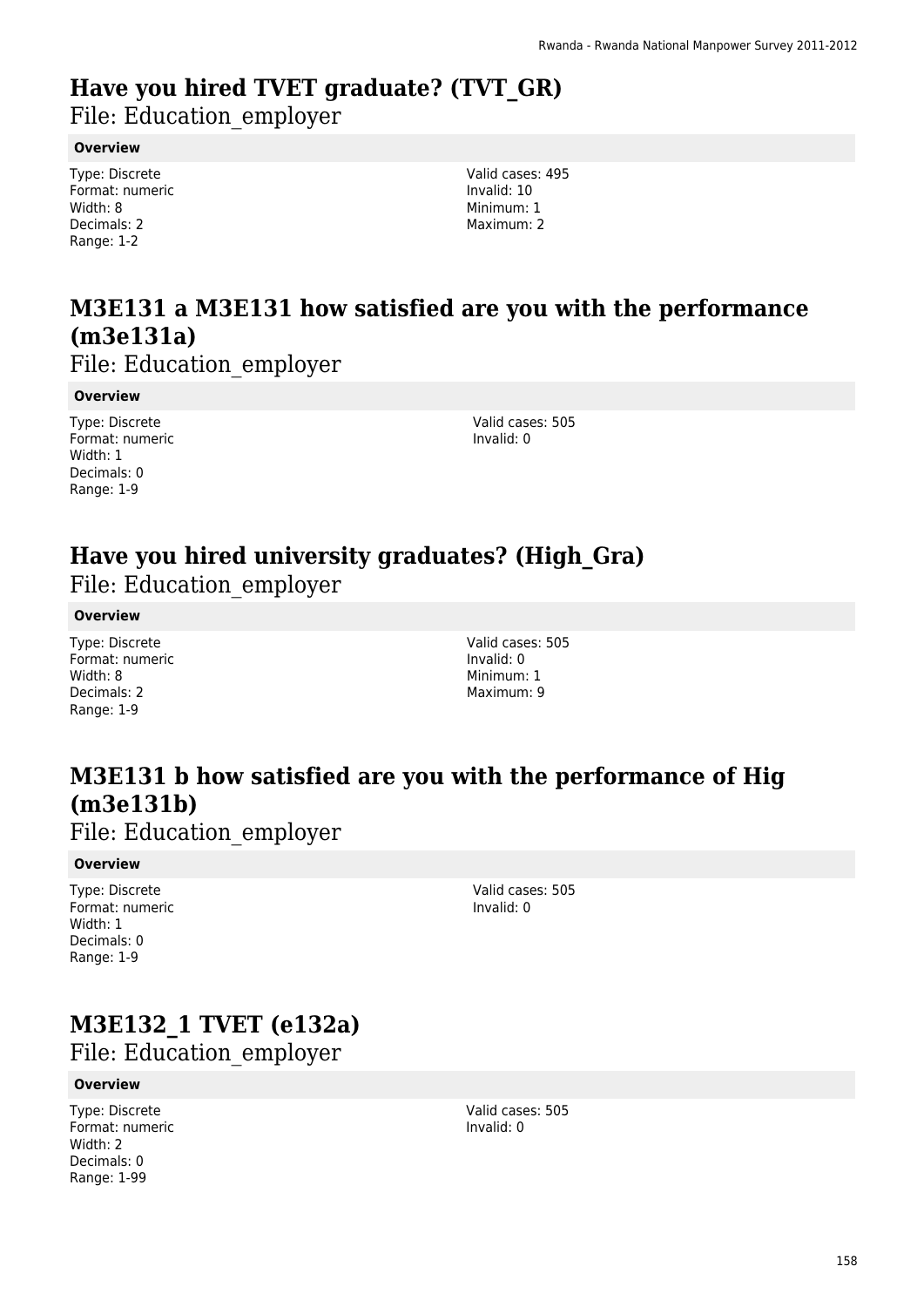# **Have you hired TVET graduate? (TVT\_GR)**

File: Education\_employer

#### **Overview**

Type: Discrete Format: numeric Width: 8 Decimals: 2 Range: 1-2

Valid cases: 495 Invalid: 10 Minimum: 1 Maximum: 2

### **M3E131 a M3E131 how satisfied are you with the performance (m3e131a)**

File: Education\_employer

#### **Overview**

Type: Discrete Format: numeric Width: 1 Decimals: 0 Range: 1-9

Valid cases: 505 Invalid: 0

### **Have you hired university graduates? (High\_Gra)**

File: Education\_employer

#### **Overview**

Type: Discrete Format: numeric Width: 8 Decimals: 2 Range: 1-9

Valid cases: 505 Invalid: 0 Minimum: 1 Maximum: 9

### **M3E131 b how satisfied are you with the performance of Hig (m3e131b)**

File: Education\_employer

#### **Overview**

Type: Discrete Format: numeric Width: 1 Decimals: 0 Range: 1-9

Valid cases: 505 Invalid: 0

### **M3E132\_1 TVET (e132a)**

File: Education\_employer

#### **Overview**

Type: Discrete Format: numeric Width: 2 Decimals: 0 Range: 1-99

Valid cases: 505 Invalid: 0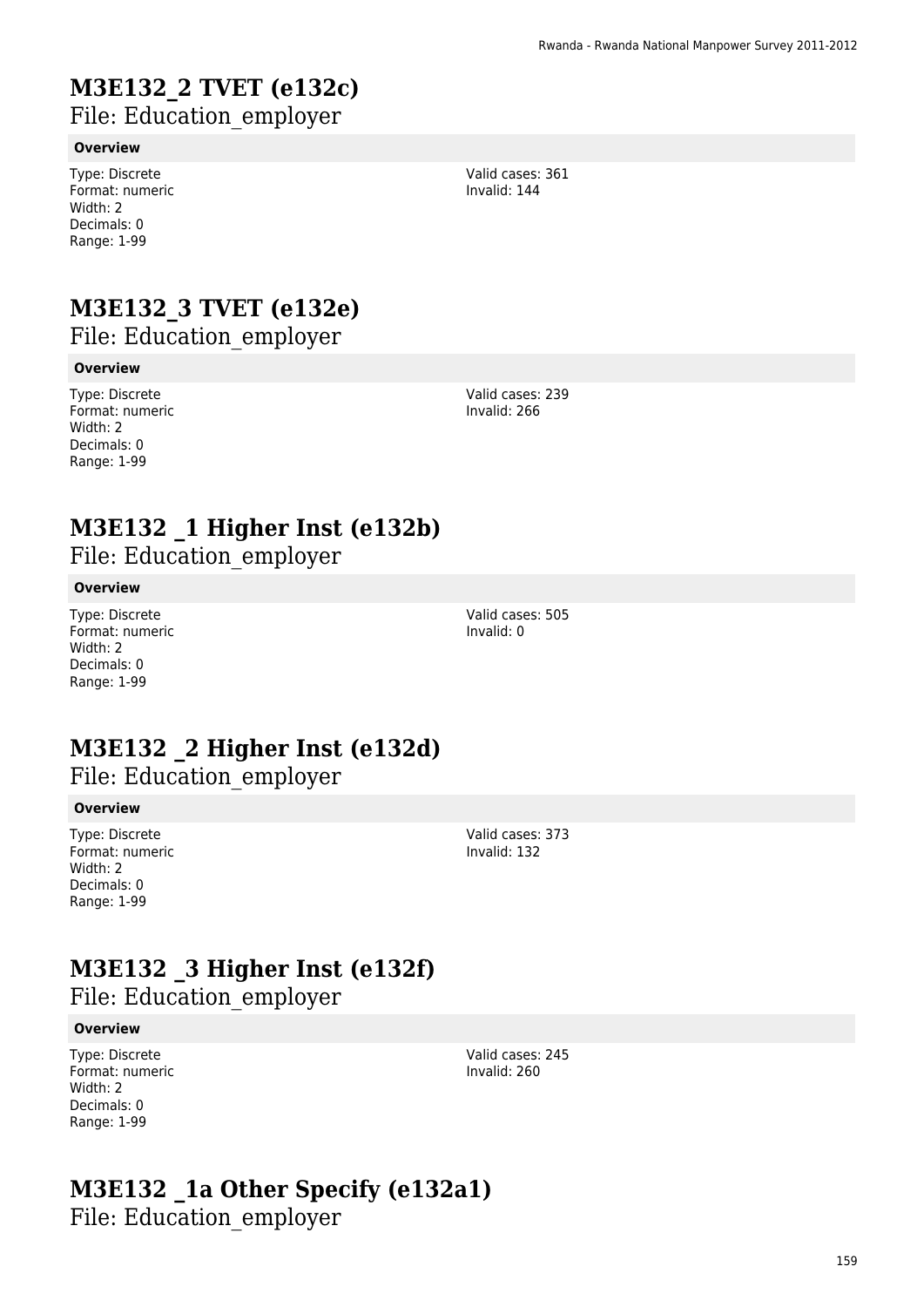# **M3E132\_2 TVET (e132c)**

File: Education\_employer

#### **Overview**

Type: Discrete Format: numeric Width: 2 Decimals: 0 Range: 1-99

Valid cases: 361 Invalid: 144

### **M3E132\_3 TVET (e132e)**

File: Education\_employer

#### **Overview**

Type: Discrete Format: numeric Width: 2 Decimals: 0 Range: 1-99

Valid cases: 239 Invalid: 266

Valid cases: 505 Invalid: 0

### **M3E132 \_1 Higher Inst (e132b)**

File: Education\_employer

#### **Overview**

Type: Discrete Format: numeric Width: 2 Decimals: 0 Range: 1-99

# **M3E132 \_2 Higher Inst (e132d)**

### File: Education\_employer

#### **Overview**

Type: Discrete Format: numeric Width: 2 Decimals: 0 Range: 1-99

Valid cases: 373 Invalid: 132

# **M3E132 \_3 Higher Inst (e132f)**

File: Education\_employer

#### **Overview**

Type: Discrete Format: numeric Width: 2 Decimals: 0 Range: 1-99

**M3E132 \_1a Other Specify (e132a1)** 

File: Education\_employer

Valid cases: 245 Invalid: 260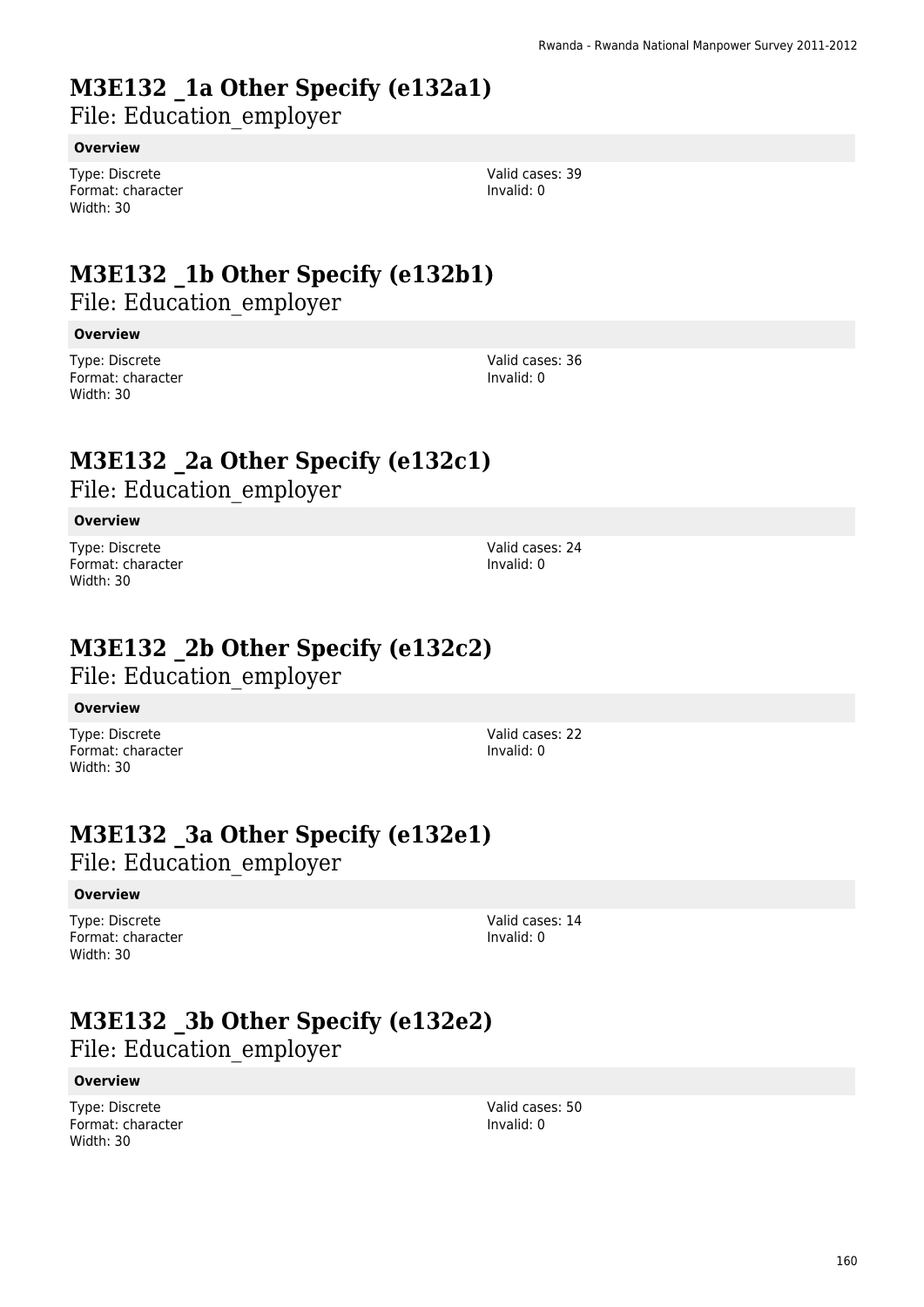# **M3E132 \_1a Other Specify (e132a1)**

File: Education\_employer

### **Overview**

Type: Discrete Format: character Width: 30

# **M3E132 \_1b Other Specify (e132b1)**

File: Education\_employer

### **Overview**

Type: Discrete Format: character Width: 30

# **M3E132 \_2a Other Specify (e132c1)**

File: Education\_employer

### **Overview**

Type: Discrete Format: character Width: 30

### **M3E132 \_2b Other Specify (e132c2)**

### File: Education\_employer

### **Overview**

Type: Discrete Format: character Width: 30

### **M3E132 \_3a Other Specify (e132e1)**

File: Education\_employer

### **Overview**

Type: Discrete Format: character Width: 30

Valid cases: 14 Invalid: 0

### **M3E132 \_3b Other Specify (e132e2)**

File: Education\_employer

#### **Overview**

Type: Discrete Format: character Width: 30

Valid cases: 39 Invalid: 0

Valid cases: 36 Invalid: 0

Valid cases: 24 Invalid: 0

Valid cases: 22 Invalid: 0

Valid cases: 50 Invalid: 0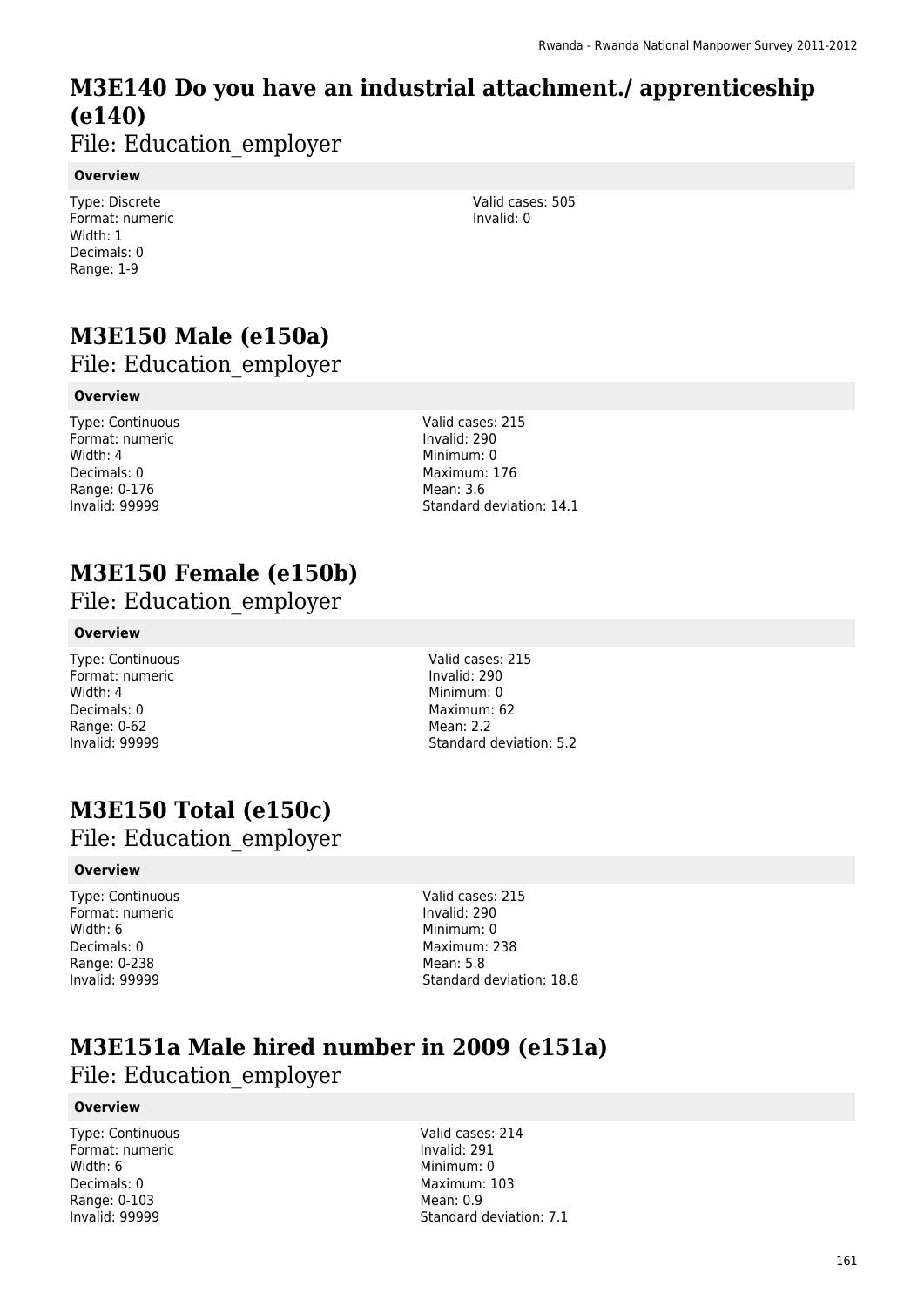# **M3E140 Do you have an industrial attachment./ apprenticeship (e140)**

File: Education\_employer

#### **Overview**

Type: Discrete Format: numeric Width: 1 Decimals: 0 Range: 1-9

Valid cases: 505 Invalid: 0

### **M3E150 Male (e150a)**  File: Education\_employer

#### **Overview**

Type: Continuous Format: numeric Width: 4 Decimals: 0 Range: 0-176 Invalid: 99999

Valid cases: 215 Invalid: 290 Minimum: 0 Maximum: 176 Mean: 3.6 Standard deviation: 14.1

### **M3E150 Female (e150b)**

### File: Education\_employer

#### **Overview**

Type: Continuous Format: numeric Width: 4 Decimals: 0 Range: 0-62 Invalid: 99999

Valid cases: 215 Invalid: 290 Minimum: 0 Maximum: 62  $Mean: 2.2$ Standard deviation: 5.2

### **M3E150 Total (e150c)**

File: Education\_employer

#### **Overview**

Type: Continuous Format: numeric Width: 6 Decimals: 0 Range: 0-238 Invalid: 99999

Valid cases: 215 Invalid: 290 Minimum: 0 Maximum: 238 Mean: 5.8 Standard deviation: 18.8

### **M3E151a Male hired number in 2009 (e151a)**  File: Education\_employer

#### **Overview**

Type: Continuous Format: numeric Width: 6 Decimals: 0 Range: 0-103 Invalid: 99999

Valid cases: 214 Invalid: 291 Minimum: 0 Maximum: 103 Mean: 0.9 Standard deviation: 7.1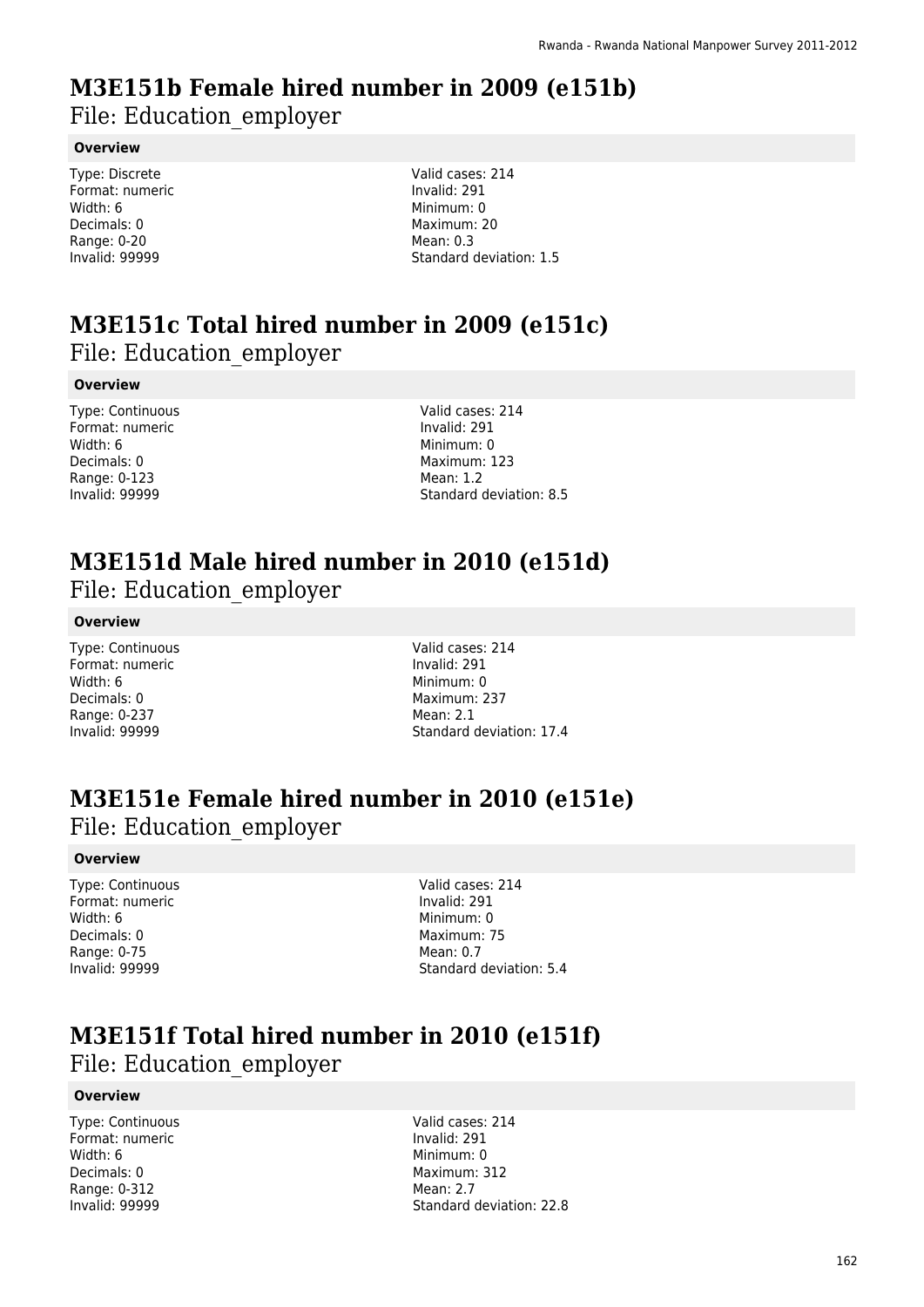### **M3E151b Female hired number in 2009 (e151b)**

File: Education\_employer

#### **Overview**

Type: Discrete Format: numeric Width: 6 Decimals: 0 Range: 0-20 Invalid: 99999

Valid cases: 214 Invalid: 291 Minimum: 0 Maximum: 20 Mean: 0.3 Standard deviation: 1.5

### **M3E151c Total hired number in 2009 (e151c)**  File: Education\_employer

#### **Overview**

Type: Continuous Format: numeric Width: 6 Decimals: 0 Range: 0-123 Invalid: 99999

Valid cases: 214 Invalid: 291 Minimum: 0 Maximum: 123 Mean: 1.2 Standard deviation: 8.5

### **M3E151d Male hired number in 2010 (e151d)**

### File: Education\_employer

#### **Overview**

Type: Continuous Format: numeric Width: 6 Decimals: 0 Range: 0-237 Invalid: 99999

Valid cases: 214 Invalid: 291 Minimum: 0 Maximum: 237 Mean: 2.1 Standard deviation: 17.4

### **M3E151e Female hired number in 2010 (e151e)**  File: Education\_employer

#### **Overview**

Type: Continuous Format: numeric Width: 6 Decimals: 0 Range: 0-75 Invalid: 99999

Valid cases: 214 Invalid: 291 Minimum: 0 Maximum: 75 Mean: 0.7 Standard deviation: 5.4

### **M3E151f Total hired number in 2010 (e151f)**  File: Education\_employer

#### **Overview**

Type: Continuous Format: numeric Width: 6 Decimals: 0 Range: 0-312 Invalid: 99999

Valid cases: 214 Invalid: 291 Minimum: 0 Maximum: 312 Mean: 2.7 Standard deviation: 22.8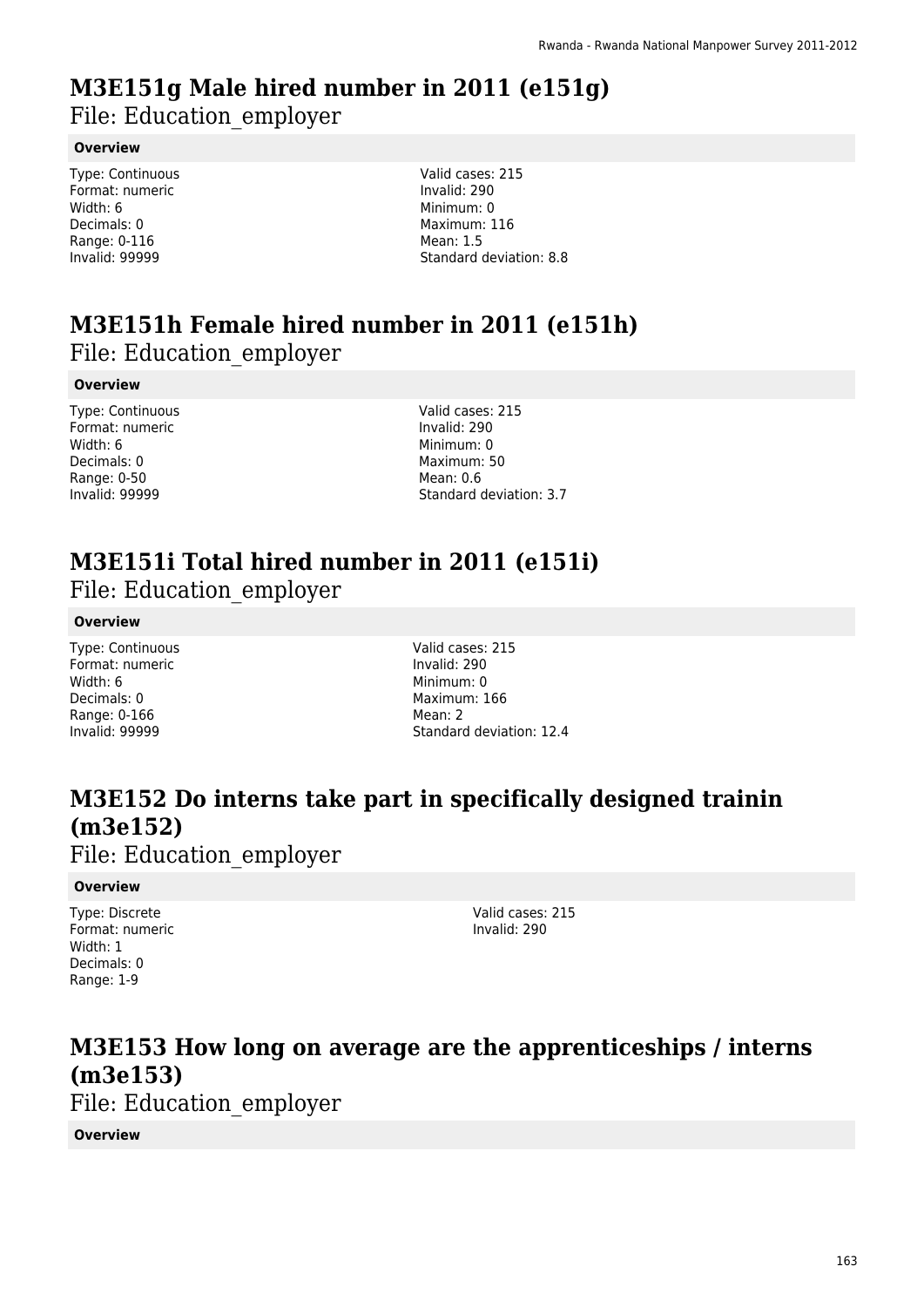### **M3E151g Male hired number in 2011 (e151g)**

File: Education\_employer

#### **Overview**

Type: Continuous Format: numeric Width: 6 Decimals: 0 Range: 0-116 Invalid: 99999

Valid cases: 215 Invalid: 290 Minimum: 0 Maximum: 116 Mean: 1.5 Standard deviation: 8.8

### **M3E151h Female hired number in 2011 (e151h)**  File: Education\_employer

#### **Overview**

Type: Continuous Format: numeric Width: 6 Decimals: 0 Range: 0-50 Invalid: 99999

Valid cases: 215 Invalid: 290 Minimum: 0 Maximum: 50 Mean: 0.6 Standard deviation: 3.7

### **M3E151i Total hired number in 2011 (e151i)**

File: Education\_employer

#### **Overview**

Type: Continuous Format: numeric Width: 6 Decimals: 0 Range: 0-166 Invalid: 99999

Valid cases: 215 Invalid: 290 Minimum: 0 Maximum: 166 Mean: 2 Standard deviation: 12.4

### **M3E152 Do interns take part in specifically designed trainin (m3e152)**

File: Education\_employer

#### **Overview**

Type: Discrete Format: numeric Width: 1 Decimals: 0 Range: 1-9

Valid cases: 215 Invalid: 290

### **M3E153 How long on average are the apprenticeships / interns (m3e153)**

File: Education\_employer

#### **Overview**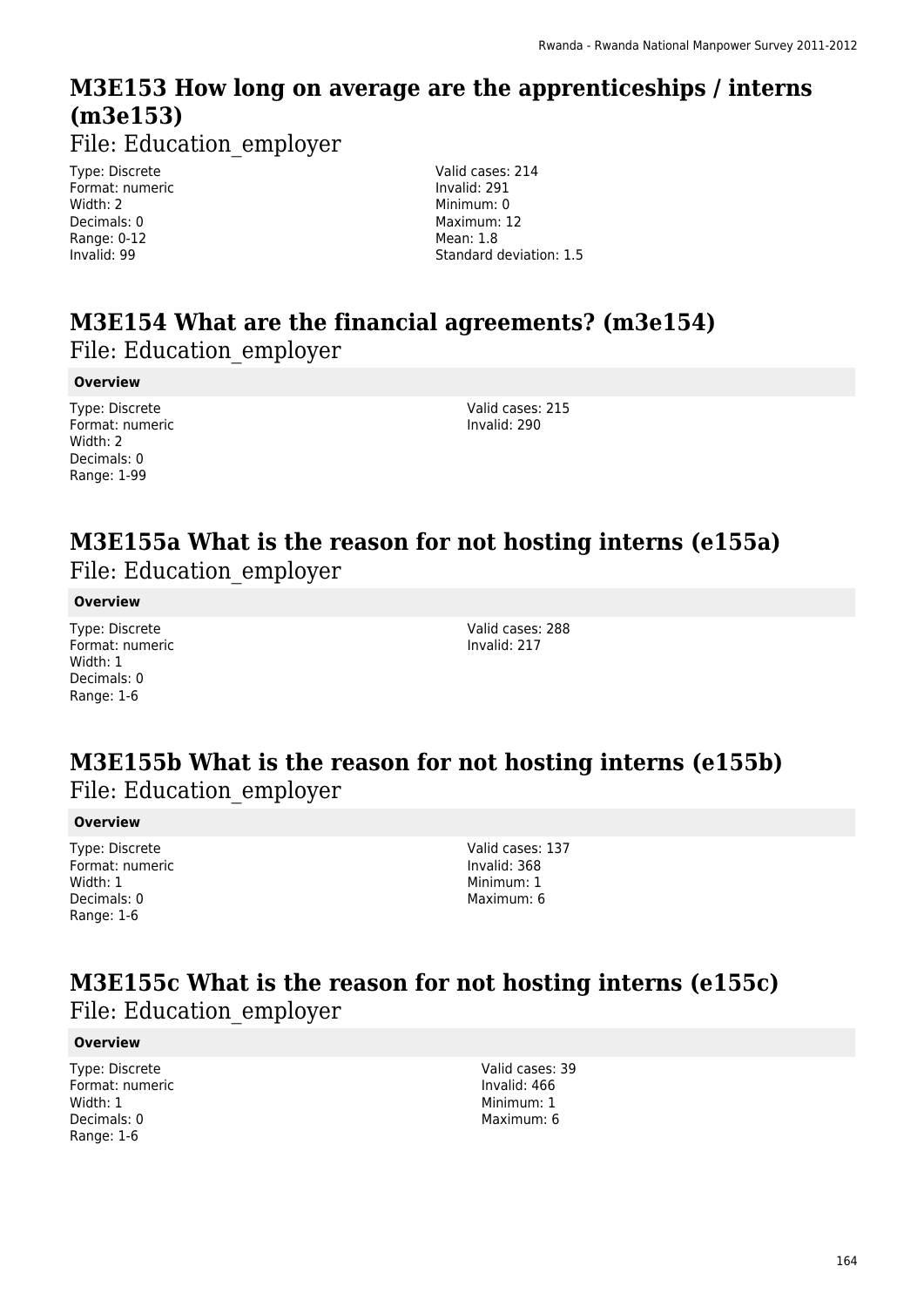### **M3E153 How long on average are the apprenticeships / interns (m3e153)**

File: Education\_employer

Type: Discrete Format: numeric Width: 2 Decimals: 0 Range: 0-12 Invalid: 99

Valid cases: 214 Invalid: 291 Minimum: 0 Maximum: 12 Mean: 1.8 Standard deviation: 1.5

### **M3E154 What are the financial agreements? (m3e154)**  File: Education\_employer

#### **Overview**

Type: Discrete Format: numeric Width: 2 Decimals: 0 Range: 1-99

Valid cases: 215 Invalid: 290

### **M3E155a What is the reason for not hosting interns (e155a)**  File: Education\_employer

#### **Overview**

Type: Discrete Format: numeric Width: 1 Decimals: 0 Range: 1-6

Valid cases: 288 Invalid: 217

### **M3E155b What is the reason for not hosting interns (e155b)**  File: Education\_employer

#### **Overview**

Type: Discrete Format: numeric Width: 1 Decimals: 0 Range: 1-6

Valid cases: 137 Invalid: 368 Minimum: 1 Maximum: 6

### **M3E155c What is the reason for not hosting interns (e155c)**  File: Education\_employer

#### **Overview**

Type: Discrete Format: numeric Width: 1 Decimals: 0 Range: 1-6

Valid cases: 39 Invalid: 466 Minimum: 1 Maximum: 6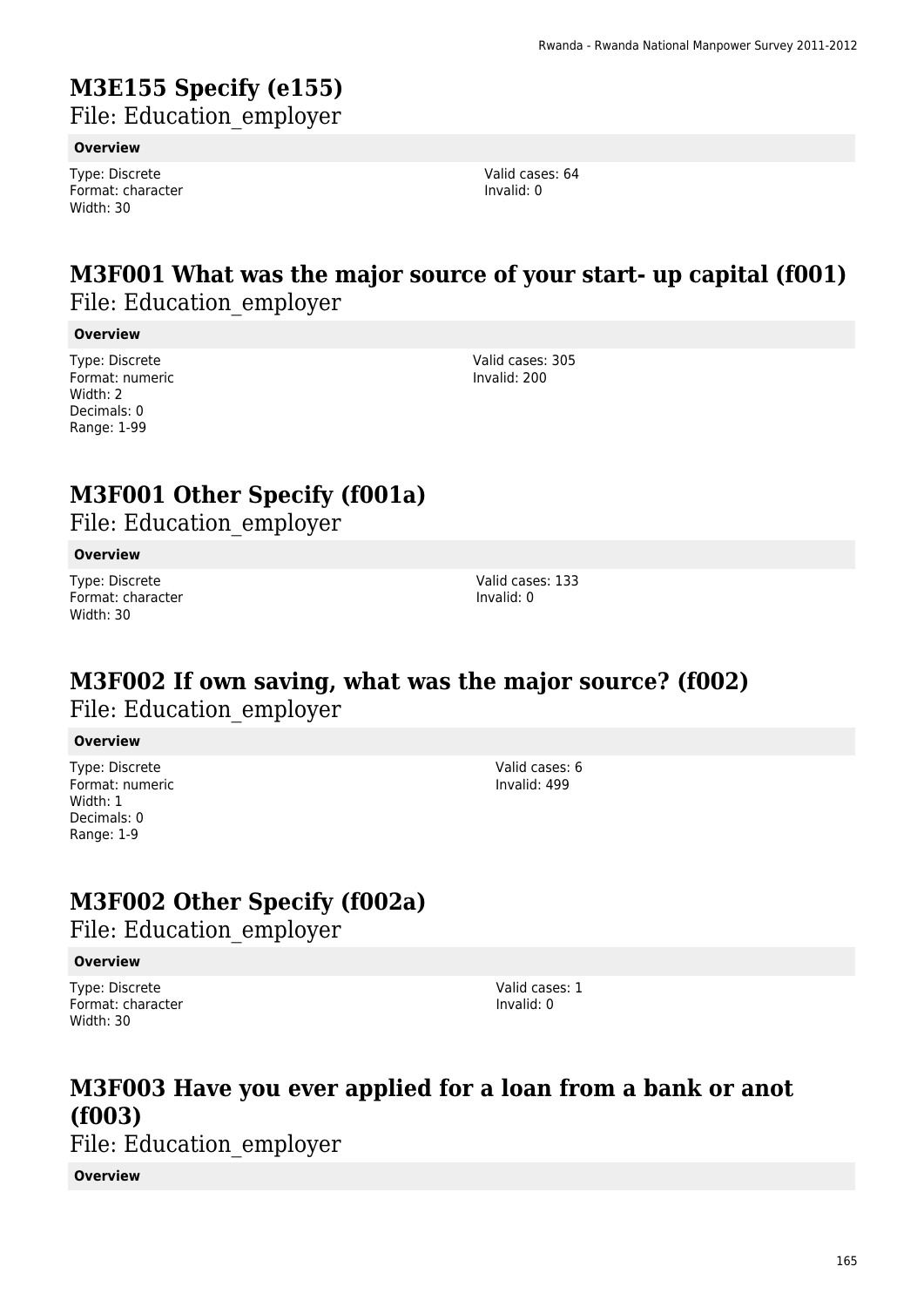### **M3E155 Specify (e155)**

File: Education\_employer

#### **Overview**

Type: Discrete Format: character Width: 30

Valid cases: 64 Invalid: 0

### **M3F001 What was the major source of your start- up capital (f001)**  File: Education\_employer

#### **Overview**

Type: Discrete Format: numeric Width: 2 Decimals: 0 Range: 1-99

Valid cases: 305 Invalid: 200

# **M3F001 Other Specify (f001a)**

File: Education\_employer

#### **Overview**

Type: Discrete Format: character Width: 30

Valid cases: 133 Invalid: 0

### **M3F002 If own saving, what was the major source? (f002)**  File: Education\_employer

#### **Overview**

Type: Discrete Format: numeric Width: 1 Decimals: 0 Range: 1-9

### **M3F002 Other Specify (f002a)**

File: Education\_employer

#### **Overview**

Type: Discrete Format: character Width: 30

Valid cases: 6 Invalid: 499

Valid cases: 1 Invalid: 0

### **M3F003 Have you ever applied for a loan from a bank or anot (f003)**

File: Education\_employer

**Overview**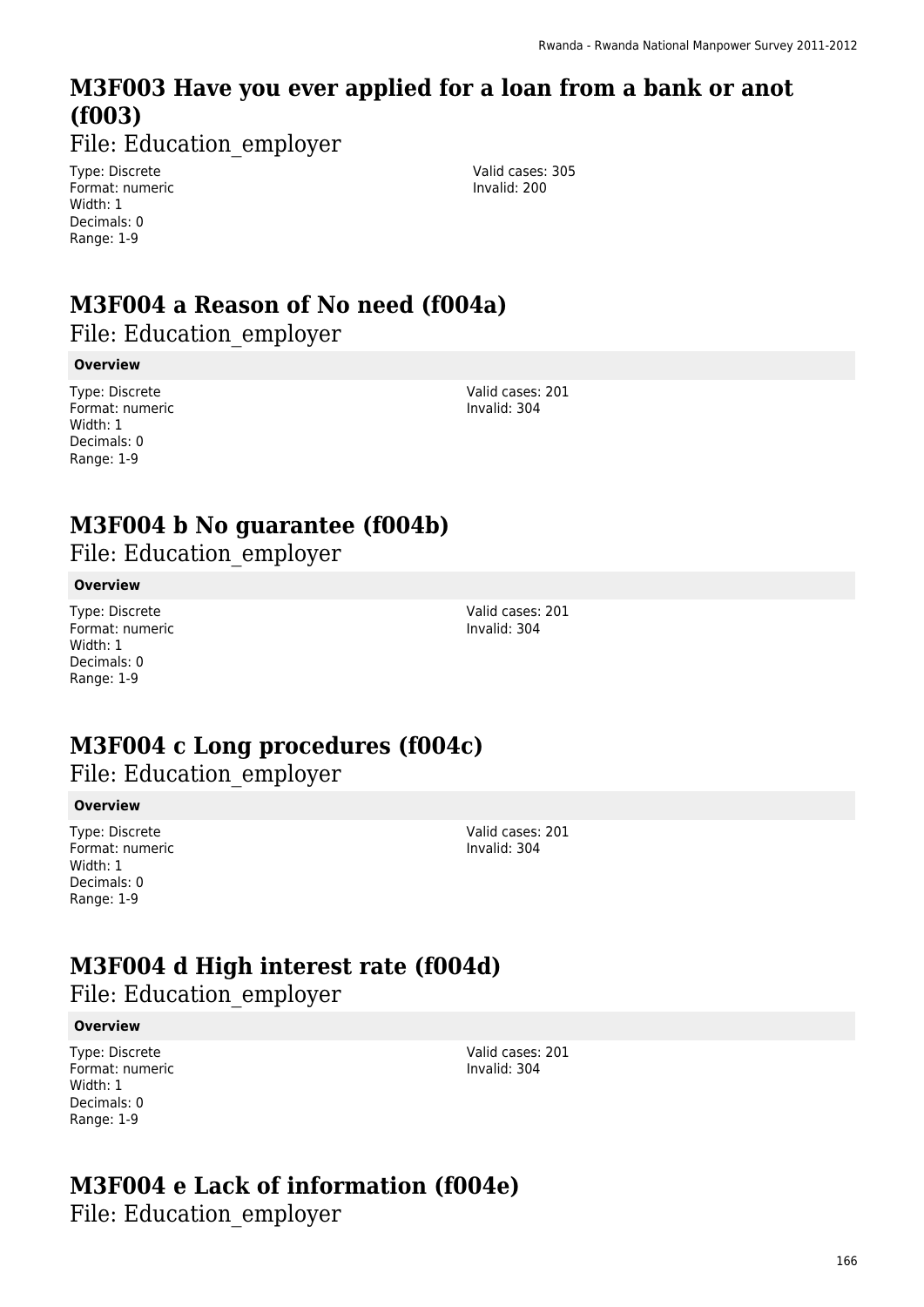### **M3F003 Have you ever applied for a loan from a bank or anot (f003)**

File: Education\_employer

Type: Discrete Format: numeric Width: 1 Decimals: 0 Range: 1-9

### **M3F004 a Reason of No need (f004a)**

File: Education\_employer

#### **Overview**

Type: Discrete Format: numeric Width: 1 Decimals: 0 Range: 1-9

Valid cases: 201 Invalid: 304

Valid cases: 305 Invalid: 200

# **M3F004 b No guarantee (f004b)**

File: Education\_employer

### **Overview**

Type: Discrete Format: numeric Width: 1 Decimals: 0 Range: 1-9

Valid cases: 201 Invalid: 304

### **M3F004 c Long procedures (f004c)**

File: Education\_employer

#### **Overview**

Type: Discrete Format: numeric Width: 1 Decimals: 0 Range: 1-9

Valid cases: 201 Invalid: 304

### **M3F004 d High interest rate (f004d)**

File: Education\_employer

#### **Overview**

Type: Discrete Format: numeric Width: 1 Decimals: 0 Range: 1-9

Valid cases: 201 Invalid: 304

### **M3F004 e Lack of information (f004e)**

File: Education\_employer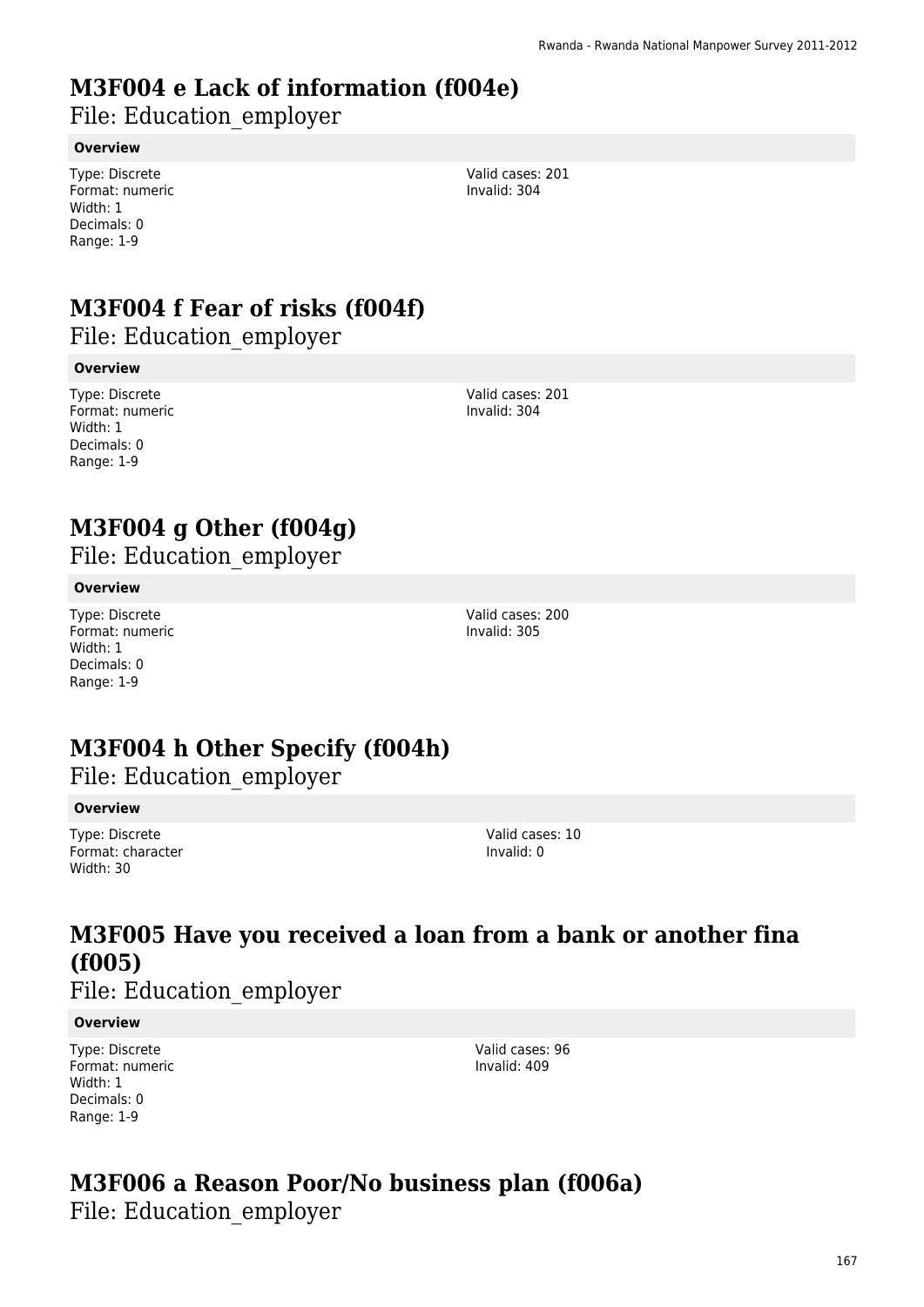### **M3F004 e Lack of information (f004e)**

File: Education\_employer

#### **Overview**

Type: Discrete Format: numeric Width: 1 Decimals: 0 Range: 1-9

### **M3F004 f Fear of risks (f004f)**

File: Education\_employer

#### **Overview**

Type: Discrete Format: numeric Width: 1 Decimals: 0 Range: 1-9

Valid cases: 201 Invalid: 304

Valid cases: 201 Invalid: 304

### **M3F004 g Other (f004g)**

File: Education\_employer

#### **Overview**

Type: Discrete Format: numeric Width: 1 Decimals: 0 Range: 1-9

# **M3F004 h Other Specify (f004h)**

File: Education\_employer

#### **Overview**

Type: Discrete Format: character Width: 30

Valid cases: 10 Invalid: 0

Valid cases: 200 Invalid: 305

# **M3F005 Have you received a loan from a bank or another fina**

### **(f005)**

File: Education\_employer

### **Overview**

Type: Discrete Format: numeric Width: 1 Decimals: 0 Range: 1-9

Valid cases: 96 Invalid: 409

### **M3F006 a Reason Poor/No business plan (f006a)**  File: Education\_employer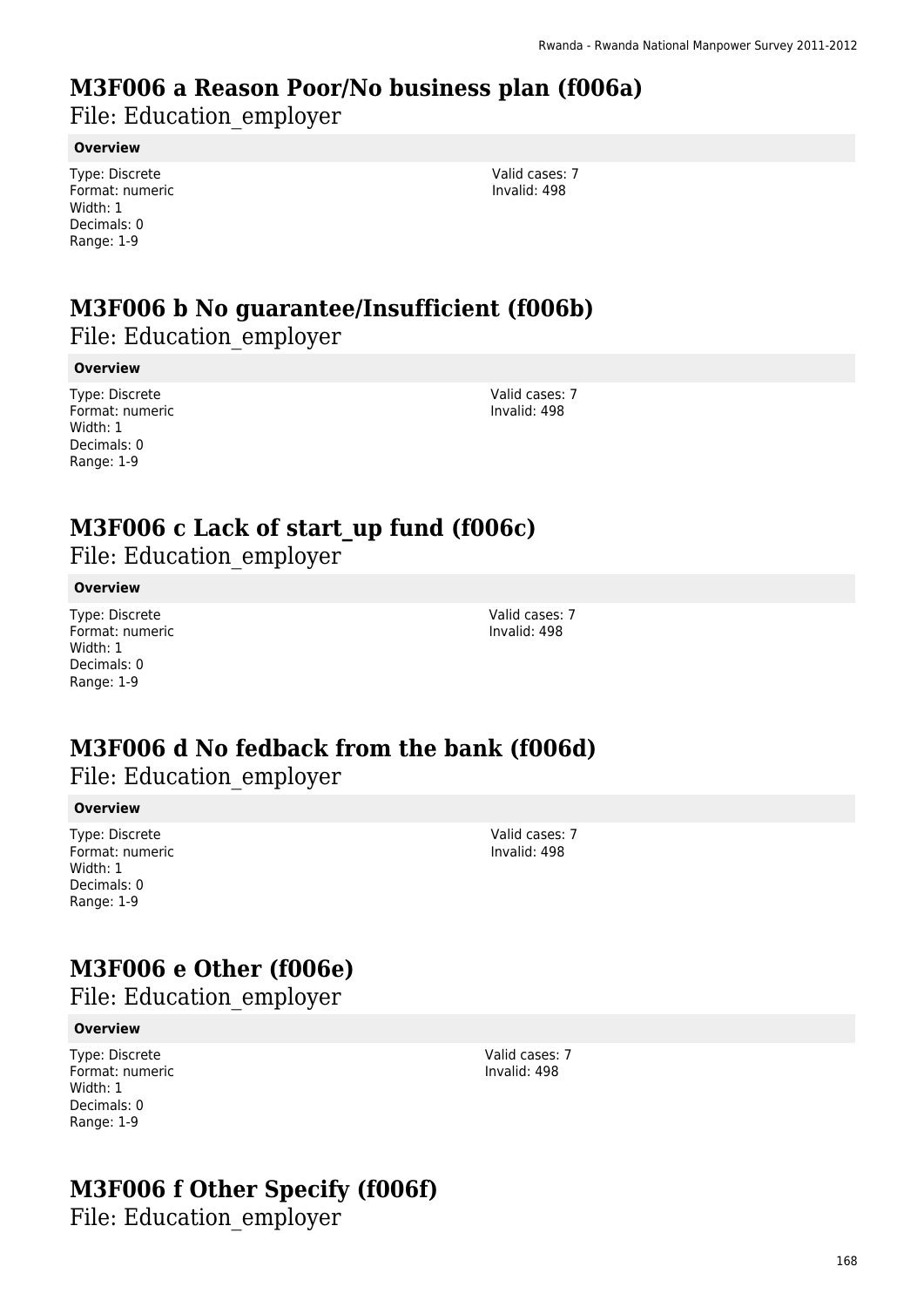### **M3F006 a Reason Poor/No business plan (f006a)**

File: Education\_employer

#### **Overview**

Type: Discrete Format: numeric Width: 1 Decimals: 0 Range: 1-9

### **M3F006 b No guarantee/Insufficient (f006b)**

File: Education\_employer

#### **Overview**

Type: Discrete Format: numeric Width: 1 Decimals: 0 Range: 1-9

Valid cases: 7 Invalid: 498

Valid cases: 7 Invalid: 498

### **M3F006 c Lack of start\_up fund (f006c)**

File: Education\_employer

#### **Overview**

Type: Discrete Format: numeric Width: 1 Decimals: 0 Range: 1-9

### **M3F006 d No fedback from the bank (f006d)**  File: Education\_employer

#### **Overview**

Type: Discrete Format: numeric Width: 1 Decimals: 0 Range: 1-9

### **M3F006 e Other (f006e)**

File: Education\_employer

#### **Overview**

Type: Discrete Format: numeric Width: 1 Decimals: 0 Range: 1-9

### **M3F006 f Other Specify (f006f)**

File: Education\_employer

Valid cases: 7 Invalid: 498

Valid cases: 7 Invalid: 498

Valid cases: 7 Invalid: 498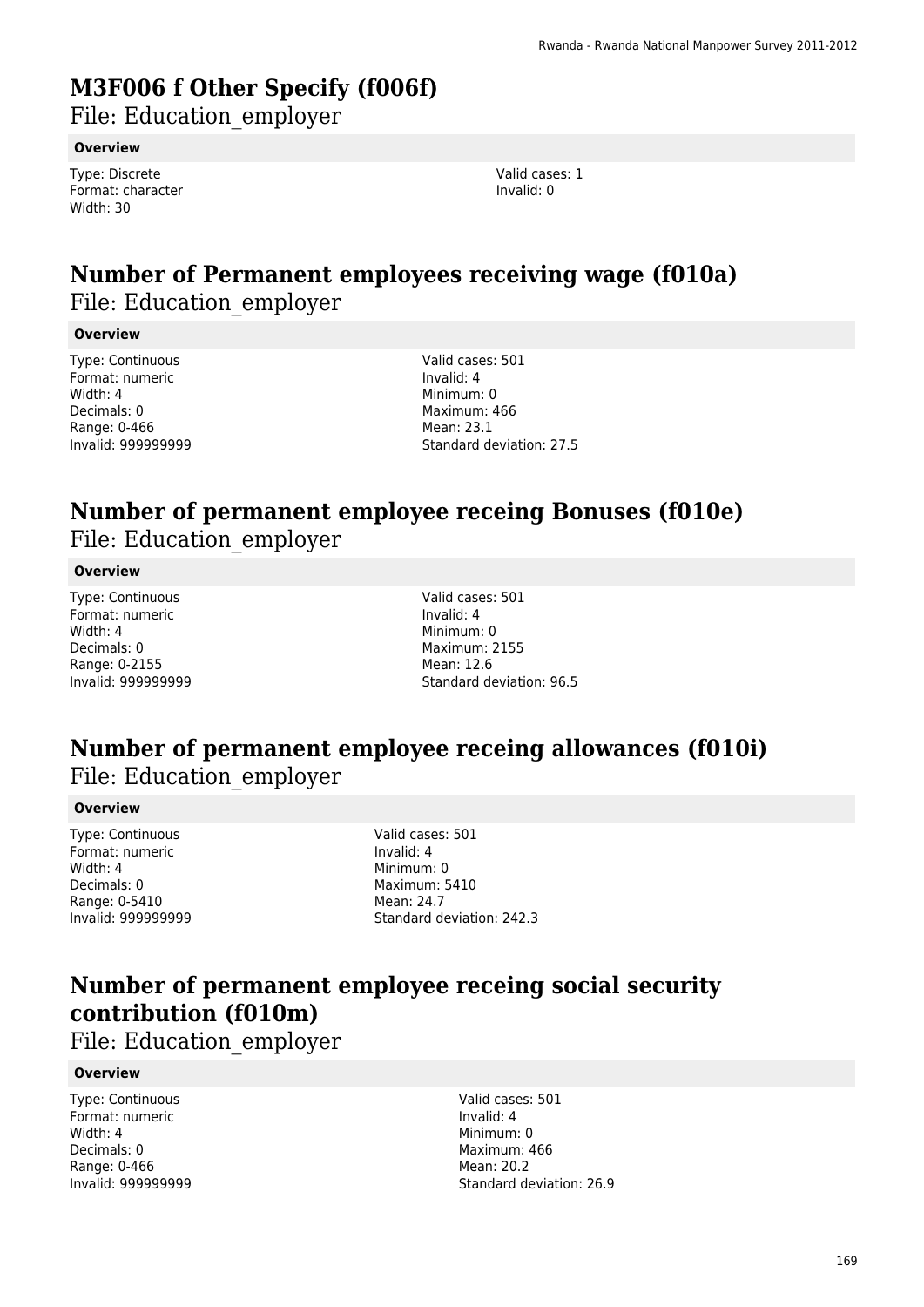### **M3F006 f Other Specify (f006f)**

File: Education\_employer

#### **Overview**

Type: Discrete Format: character Width: 30

Valid cases: 1 Invalid: 0

### **Number of Permanent employees receiving wage (f010a)**  File: Education\_employer

#### **Overview**

Type: Continuous Format: numeric Width: 4 Decimals: 0 Range: 0-466 Invalid: 999999999

Valid cases: 501 Invalid: 4 Minimum: 0 Maximum: 466 Mean: 23.1 Standard deviation: 27.5

### **Number of permanent employee receing Bonuses (f010e)**  File: Education\_employer

#### **Overview**

Type: Continuous Format: numeric Width: 4 Decimals: 0 Range: 0-2155 Invalid: 999999999 Valid cases: 501 Invalid: 4 Minimum: 0 Maximum: 2155 Mean: 12.6 Standard deviation: 96.5

### **Number of permanent employee receing allowances (f010i)**  File: Education\_employer

#### **Overview**

Type: Continuous Format: numeric Width: 4 Decimals: 0 Range: 0-5410 Invalid: 999999999

Valid cases: 501 Invalid: 4 Minimum: 0 Maximum: 5410 Mean: 24.7 Standard deviation: 242.3

### **Number of permanent employee receing social security contribution (f010m)**

File: Education\_employer

#### **Overview**

Type: Continuous Format: numeric Width: 4 Decimals: 0 Range: 0-466 Invalid: 999999999 Valid cases: 501 Invalid: 4 Minimum: 0 Maximum: 466 Mean: 20.2 Standard deviation: 26.9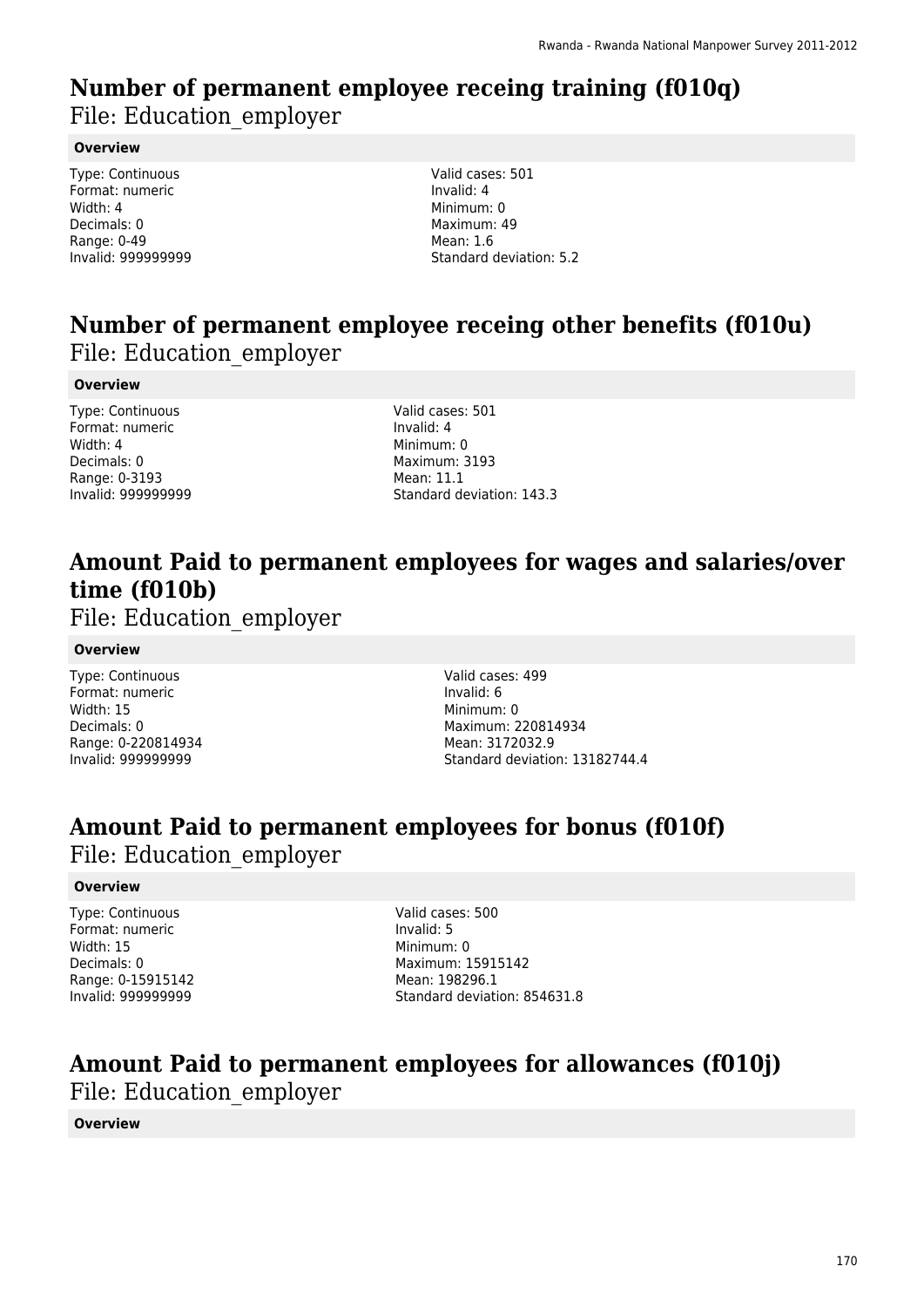### **Number of permanent employee receing training (f010q)**  File: Education\_employer

#### **Overview**

Type: Continuous Format: numeric Width: 4 Decimals: 0 Range: 0-49 Invalid: 999999999

Valid cases: 501 Invalid: 4 Minimum: 0 Maximum: 49 Mean: 1.6 Standard deviation: 5.2

### **Number of permanent employee receing other benefits (f010u)**  File: Education\_employer

#### **Overview**

Type: Continuous Format: numeric Width: 4 Decimals: 0 Range: 0-3193 Invalid: 999999999 Valid cases: 501 Invalid: 4 Minimum: 0 Maximum: 3193 Mean: 11.1 Standard deviation: 143.3

### **Amount Paid to permanent employees for wages and salaries/over time (f010b)**

File: Education\_employer

#### **Overview**

Type: Continuous Format: numeric Width: 15 Decimals: 0 Range: 0-220814934 Invalid: 999999999

Valid cases: 499 Invalid: 6 Minimum: 0 Maximum: 220814934 Mean: 3172032.9 Standard deviation: 13182744.4

### **Amount Paid to permanent employees for bonus (f010f)**  File: Education\_employer

#### **Overview**

Type: Continuous Format: numeric Width: 15 Decimals: 0 Range: 0-15915142 Invalid: 999999999

Valid cases: 500 Invalid: 5 Minimum: 0 Maximum: 15915142 Mean: 198296.1 Standard deviation: 854631.8

### **Amount Paid to permanent employees for allowances (f010j)**  File: Education\_employer

#### **Overview**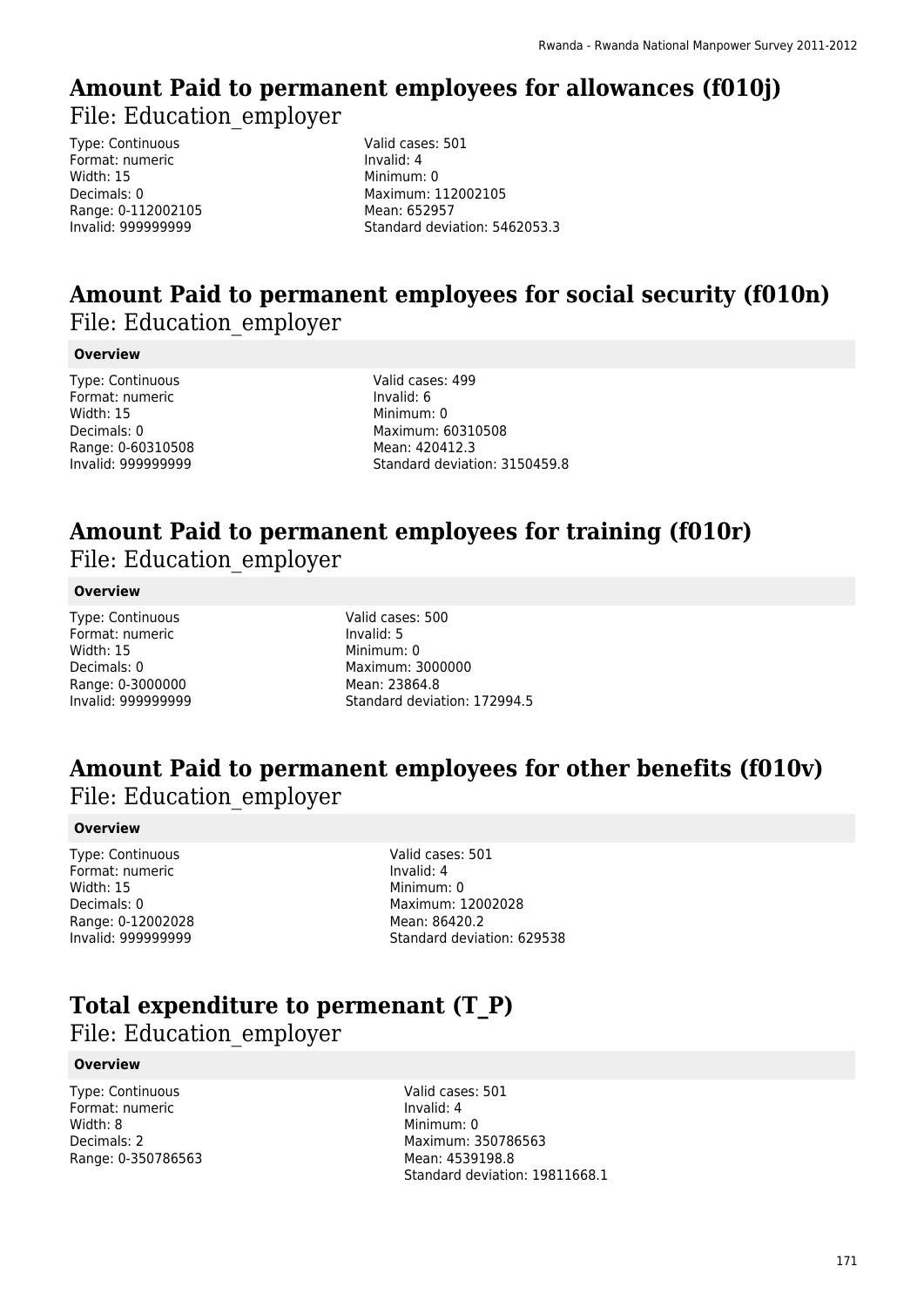### **Amount Paid to permanent employees for allowances (f010j)**  File: Education\_employer

Type: Continuous Format: numeric Width: 15 Decimals: 0 Range: 0-112002105 Invalid: 999999999

Valid cases: 501 Invalid: 4 Minimum: 0 Maximum: 112002105 Mean: 652957 Standard deviation: 5462053.3

### **Amount Paid to permanent employees for social security (f010n)**  File: Education\_employer

#### **Overview**

Type: Continuous Format: numeric Width: 15 Decimals: 0 Range: 0-60310508 Invalid: 999999999

Valid cases: 499 Invalid: 6 Minimum: 0 Maximum: 60310508 Mean: 420412.3 Standard deviation: 3150459.8

### **Amount Paid to permanent employees for training (f010r)**  File: Education\_employer

#### **Overview**

Type: Continuous Format: numeric Width: 15 Decimals: 0 Range: 0-3000000 Invalid: 999999999 Valid cases: 500 Invalid: 5 Minimum: 0 Maximum: 3000000 Mean: 23864.8 Standard deviation: 172994.5

### **Amount Paid to permanent employees for other benefits (f010v)**  File: Education\_employer

#### **Overview**

Type: Continuous Format: numeric Width: 15 Decimals: 0 Range: 0-12002028 Invalid: 999999999

Valid cases: 501 Invalid: 4 Minimum: 0 Maximum: 12002028 Mean: 86420.2 Standard deviation: 629538

# **Total expenditure to permenant (T\_P)**

File: Education\_employer

#### **Overview**

Type: Continuous Format: numeric Width: 8 Decimals: 2 Range: 0-350786563 Valid cases: 501 Invalid: 4 Minimum: 0 Maximum: 350786563 Mean: 4539198.8 Standard deviation: 19811668.1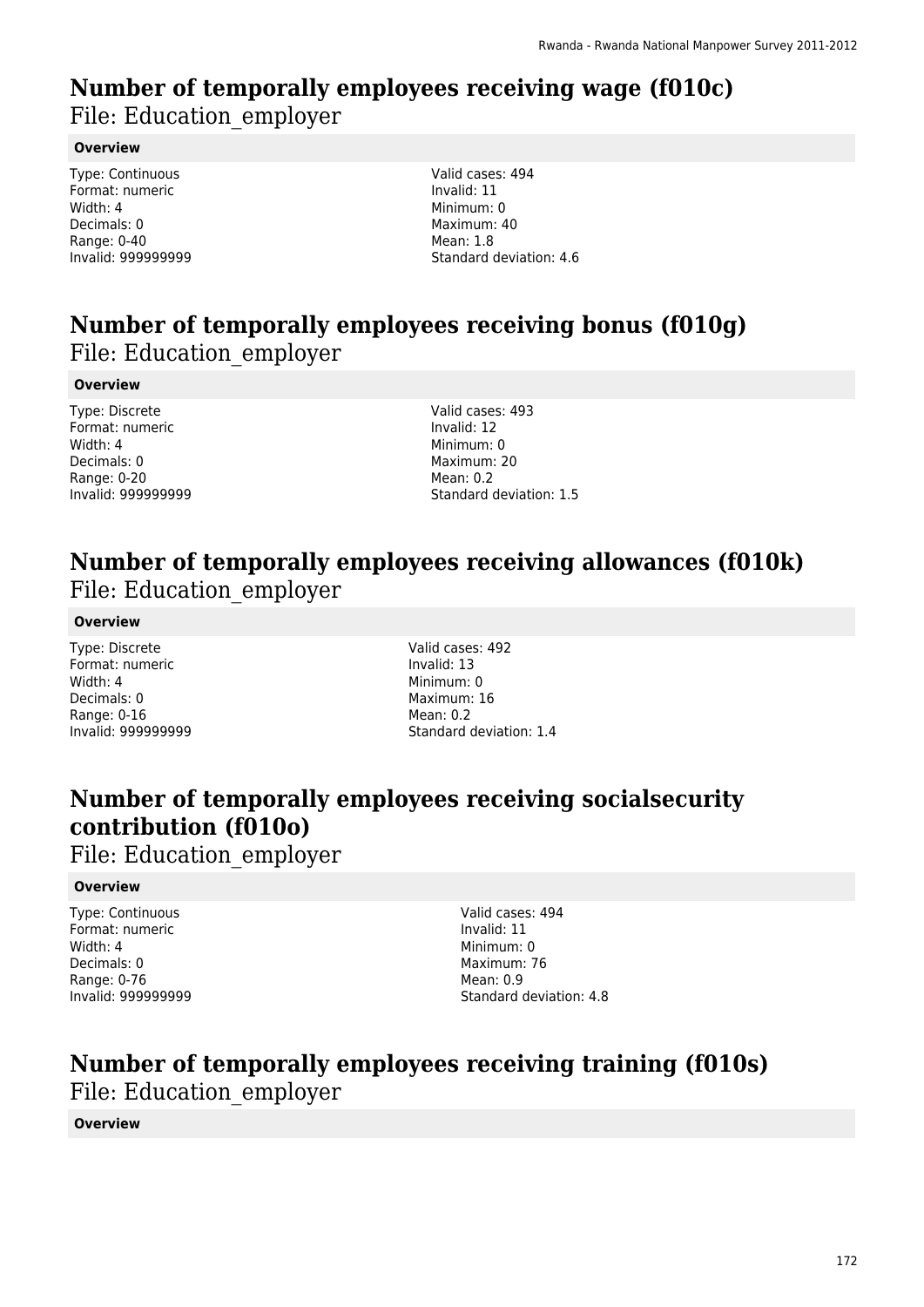### **Number of temporally employees receiving wage (f010c)**  File: Education\_employer

**Overview**

Type: Continuous Format: numeric Width: 4 Decimals: 0 Range: 0-40 Invalid: 999999999

Valid cases: 494 Invalid: 11 Minimum: 0 Maximum: 40 Mean: 1.8 Standard deviation: 4.6

### **Number of temporally employees receiving bonus (f010g)**  File: Education\_employer

#### **Overview**

Type: Discrete Format: numeric Width: 4 Decimals: 0 Range: 0-20 Invalid: 999999999 Valid cases: 493 Invalid: 12 Minimum: 0 Maximum: 20 Mean: 0.2 Standard deviation: 1.5

### **Number of temporally employees receiving allowances (f010k)**  File: Education\_employer

#### **Overview**

Type: Discrete Format: numeric Width: 4 Decimals: 0 Range: 0-16 Invalid: 999999999

Valid cases: 492 Invalid: 13 Minimum: 0 Maximum: 16 Mean: 0.2 Standard deviation: 1.4

### **Number of temporally employees receiving socialsecurity contribution (f010o)**

File: Education\_employer

#### **Overview**

Type: Continuous Format: numeric Width: 4 Decimals: 0 Range: 0-76 Invalid: 999999999

Valid cases: 494 Invalid: 11 Minimum: 0 Maximum: 76 Mean: 0.9 Standard deviation: 4.8

### **Number of temporally employees receiving training (f010s)**  File: Education\_employer

#### **Overview**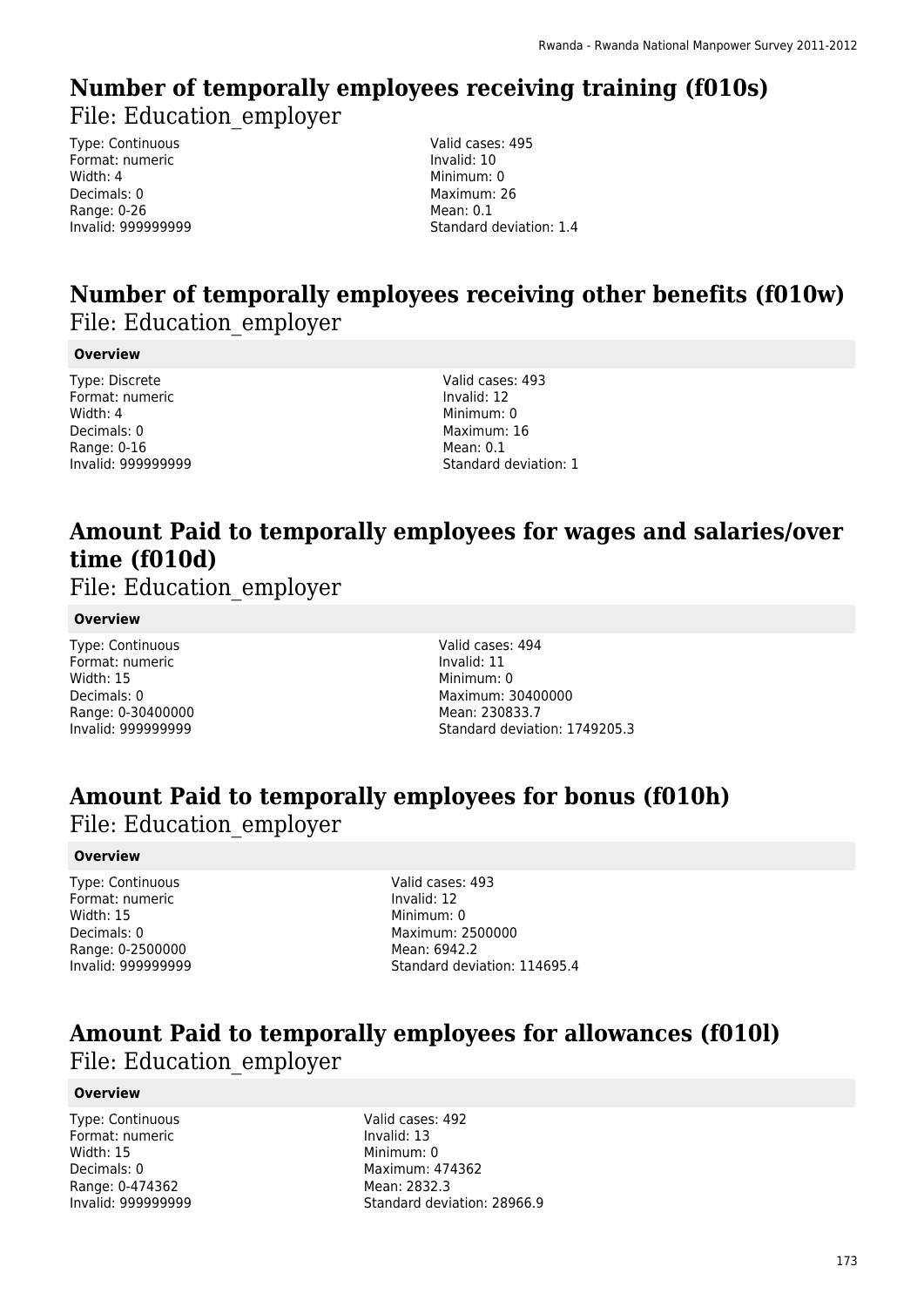# **Number of temporally employees receiving training (f010s)**

File: Education\_employer

Type: Continuous Format: numeric Width: 4 Decimals: 0 Range: 0-26 Invalid: 999999999 Valid cases: 495 Invalid: 10 Minimum: 0 Maximum: 26 Mean: 0.1 Standard deviation: 1.4

### **Number of temporally employees receiving other benefits (f010w)**  File: Education\_employer

**Overview**

Type: Discrete Format: numeric Width: 4 Decimals: 0 Range: 0-16 Invalid: 999999999

Valid cases: 493 Invalid: 12 Minimum: 0 Maximum: 16 Mean: 0.1 Standard deviation: 1

# **Amount Paid to temporally employees for wages and salaries/over time (f010d)**

File: Education\_employer

### **Overview**

Type: Continuous Format: numeric Width: 15 Decimals: 0 Range: 0-30400000 Invalid: 999999999

Valid cases: 494 Invalid: 11 Minimum: 0 Maximum: 30400000 Mean: 230833.7 Standard deviation: 1749205.3

### **Amount Paid to temporally employees for bonus (f010h)**  File: Education\_employer

### **Overview**

Type: Continuous Format: numeric Width: 15 Decimals: 0 Range: 0-2500000 Invalid: 999999999 Valid cases: 493 Invalid: 12 Minimum: 0 Maximum: 2500000 Mean: 6942.2 Standard deviation: 114695.4

### **Amount Paid to temporally employees for allowances (f010l)**  File: Education\_employer

#### **Overview**

Type: Continuous Format: numeric Width: 15 Decimals: 0 Range: 0-474362 Invalid: 999999999

Valid cases: 492 Invalid: 13 Minimum: 0 Maximum: 474362 Mean: 2832.3 Standard deviation: 28966.9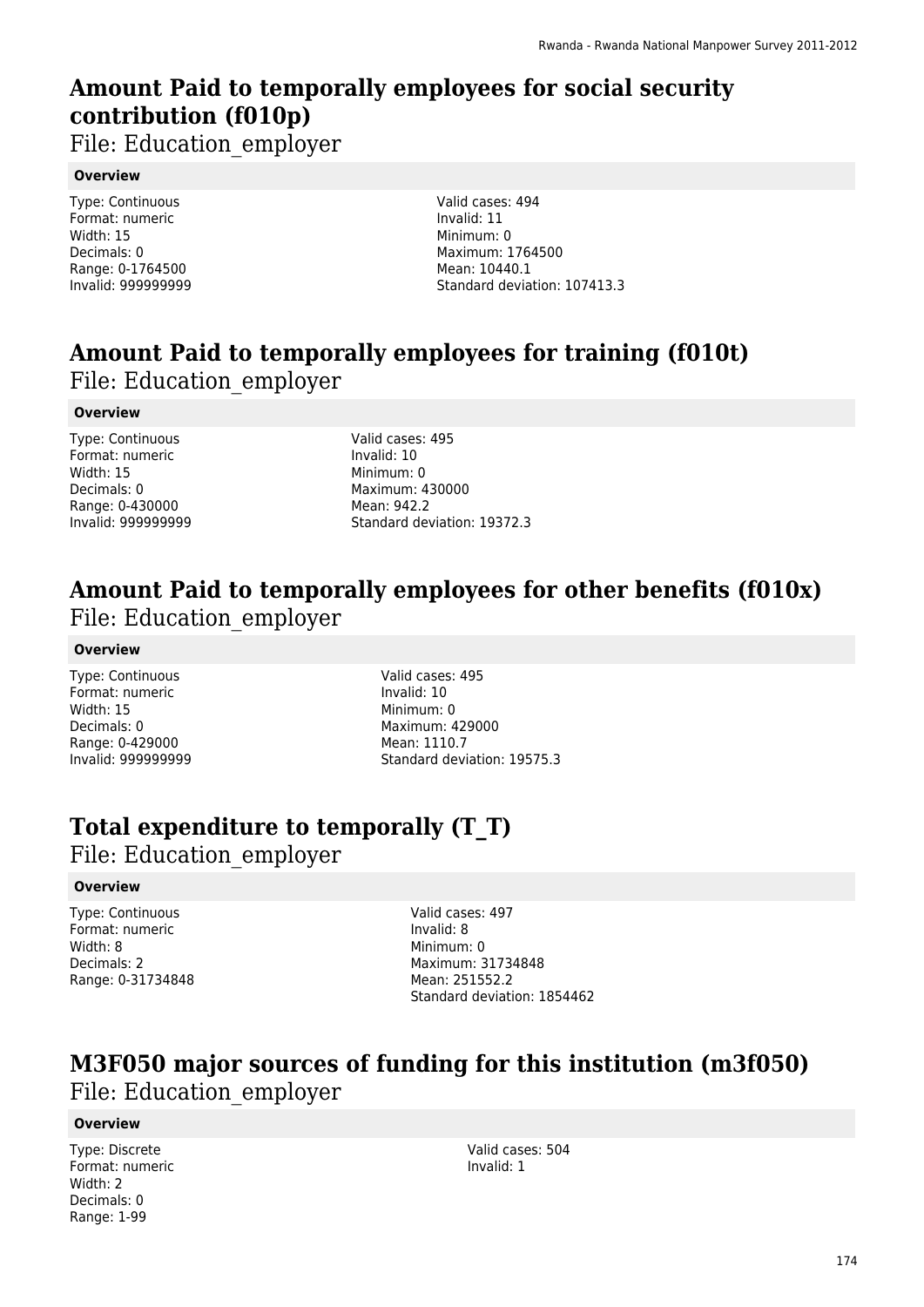# **Amount Paid to temporally employees for social security contribution (f010p)**

File: Education\_employer

#### **Overview**

Type: Continuous Format: numeric Width: 15 Decimals: 0 Range: 0-1764500 Invalid: 999999999

Valid cases: 494 Invalid: 11 Minimum: 0 Maximum: 1764500 Mean: 10440.1 Standard deviation: 107413.3

### **Amount Paid to temporally employees for training (f010t)**  File: Education\_employer

#### **Overview**

Type: Continuous Format: numeric Width: 15 Decimals: 0 Range: 0-430000 Invalid: 999999999

Valid cases: 495 Invalid: 10 Minimum: 0 Maximum: 430000 Mean: 942.2 Standard deviation: 19372.3

### **Amount Paid to temporally employees for other benefits (f010x)**  File: Education\_employer

#### **Overview**

Type: Continuous Format: numeric Width: 15 Decimals: 0 Range: 0-429000 Invalid: 999999999

Valid cases: 495 Invalid: 10 Minimum: 0 Maximum: 429000 Mean: 1110.7 Standard deviation: 19575.3

# **Total expenditure to temporally (T\_T)**

File: Education\_employer

#### **Overview**

Type: Continuous Format: numeric Width: 8 Decimals: 2 Range: 0-31734848

Valid cases: 497 Invalid: 8 Minimum: 0 Maximum: 31734848 Mean: 251552.2 Standard deviation: 1854462

### **M3F050 major sources of funding for this institution (m3f050)**  File: Education\_employer

#### **Overview**

Type: Discrete Format: numeric Width: 2 Decimals: 0 Range: 1-99

Valid cases: 504 Invalid: 1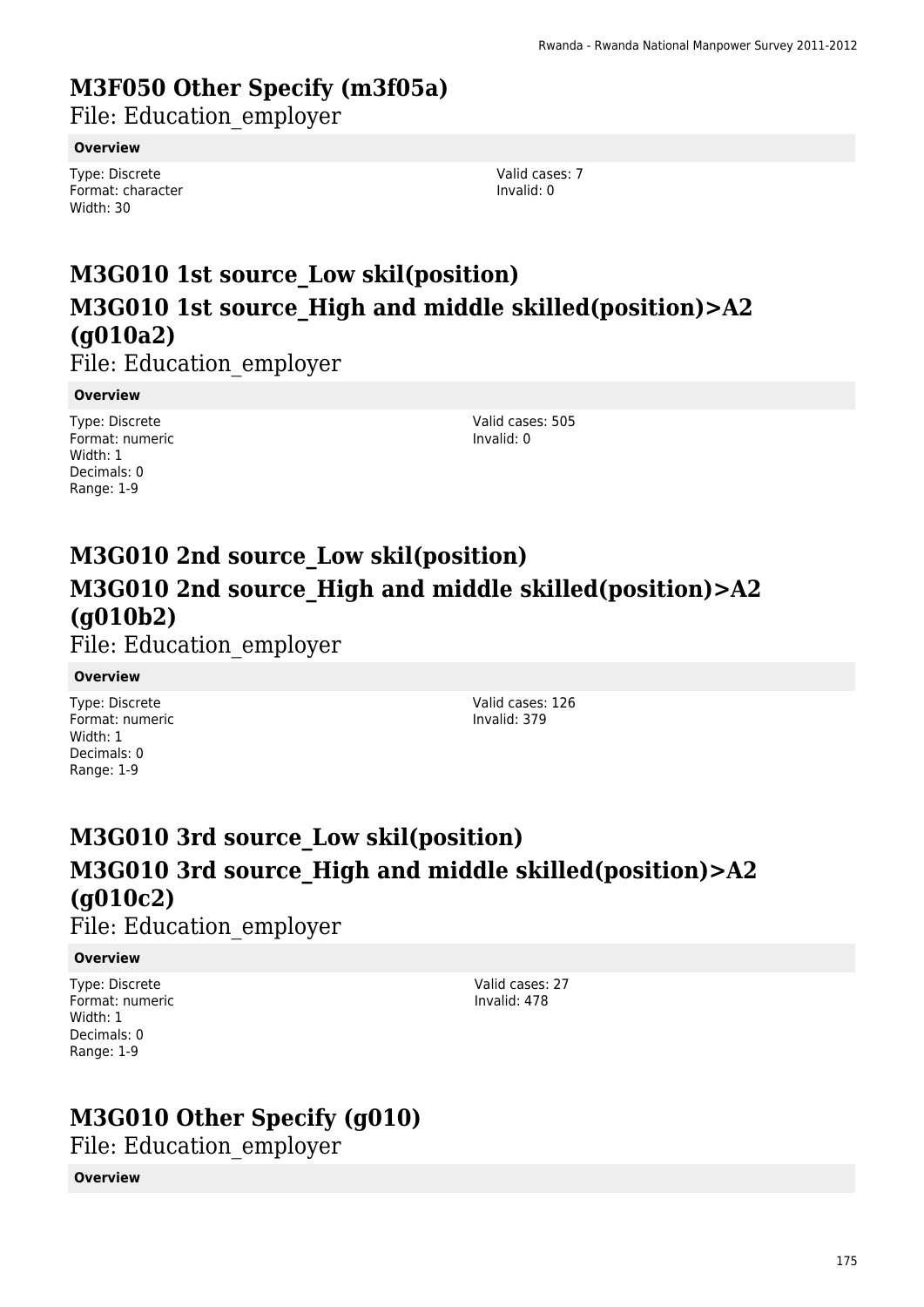### **M3F050 Other Specify (m3f05a)**

File: Education\_employer

#### **Overview**

Type: Discrete Format: character Width: 30

Valid cases: 7 Invalid: 0

# **M3G010 1st source\_Low skil(position) M3G010 1st source\_High and middle skilled(position)>A2 (g010a2)**

File: Education\_employer

#### **Overview**

Type: Discrete Format: numeric Width: 1 Decimals: 0 Range: 1-9

Valid cases: 505 Invalid: 0

### **M3G010 2nd source\_Low skil(position) M3G010 2nd source\_High and middle skilled(position)>A2 (g010b2)**

File: Education\_employer

#### **Overview**

Type: Discrete Format: numeric Width: 1 Decimals: 0 Range: 1-9

Valid cases: 126 Invalid: 379

# **M3G010 3rd source\_Low skil(position) M3G010 3rd source\_High and middle skilled(position)>A2 (g010c2)**

File: Education\_employer

#### **Overview**

Type: Discrete Format: numeric Width: 1 Decimals: 0 Range: 1-9

Valid cases: 27 Invalid: 478

### **M3G010 Other Specify (g010)**

File: Education\_employer

#### **Overview**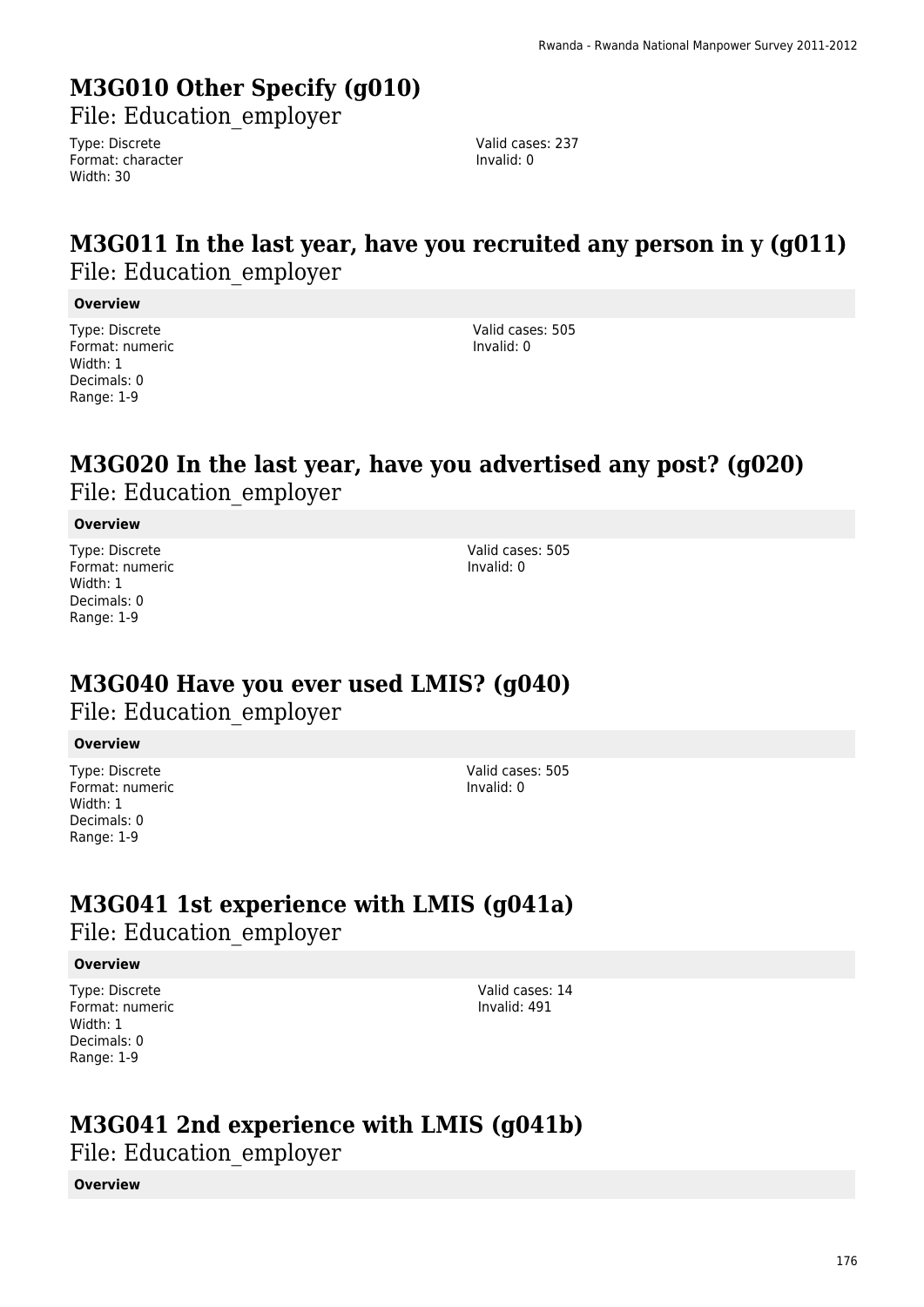### **M3G010 Other Specify (g010)**

File: Education\_employer

Type: Discrete Format: character Width: 30

Valid cases: 237 Invalid: 0

### **M3G011 In the last year, have you recruited any person in y (g011)**  File: Education\_employer

#### **Overview**

Type: Discrete Format: numeric Width: 1 Decimals: 0 Range: 1-9

Valid cases: 505 Invalid: 0

### **M3G020 In the last year, have you advertised any post? (g020)**  File: Education\_employer

#### **Overview**

Type: Discrete Format: numeric Width: 1 Decimals: 0 Range: 1-9

Valid cases: 505 Invalid: 0

### **M3G040 Have you ever used LMIS? (g040)**  File: Education\_employer

#### **Overview**

Type: Discrete Format: numeric Width: 1 Decimals: 0 Range: 1-9

Valid cases: 505 Invalid: 0

### **M3G041 1st experience with LMIS (g041a)**  File: Education\_employer

**Overview**

Type: Discrete Format: numeric Width: 1 Decimals: 0 Range: 1-9

Valid cases: 14 Invalid: 491

### **M3G041 2nd experience with LMIS (g041b)**

File: Education\_employer

#### **Overview**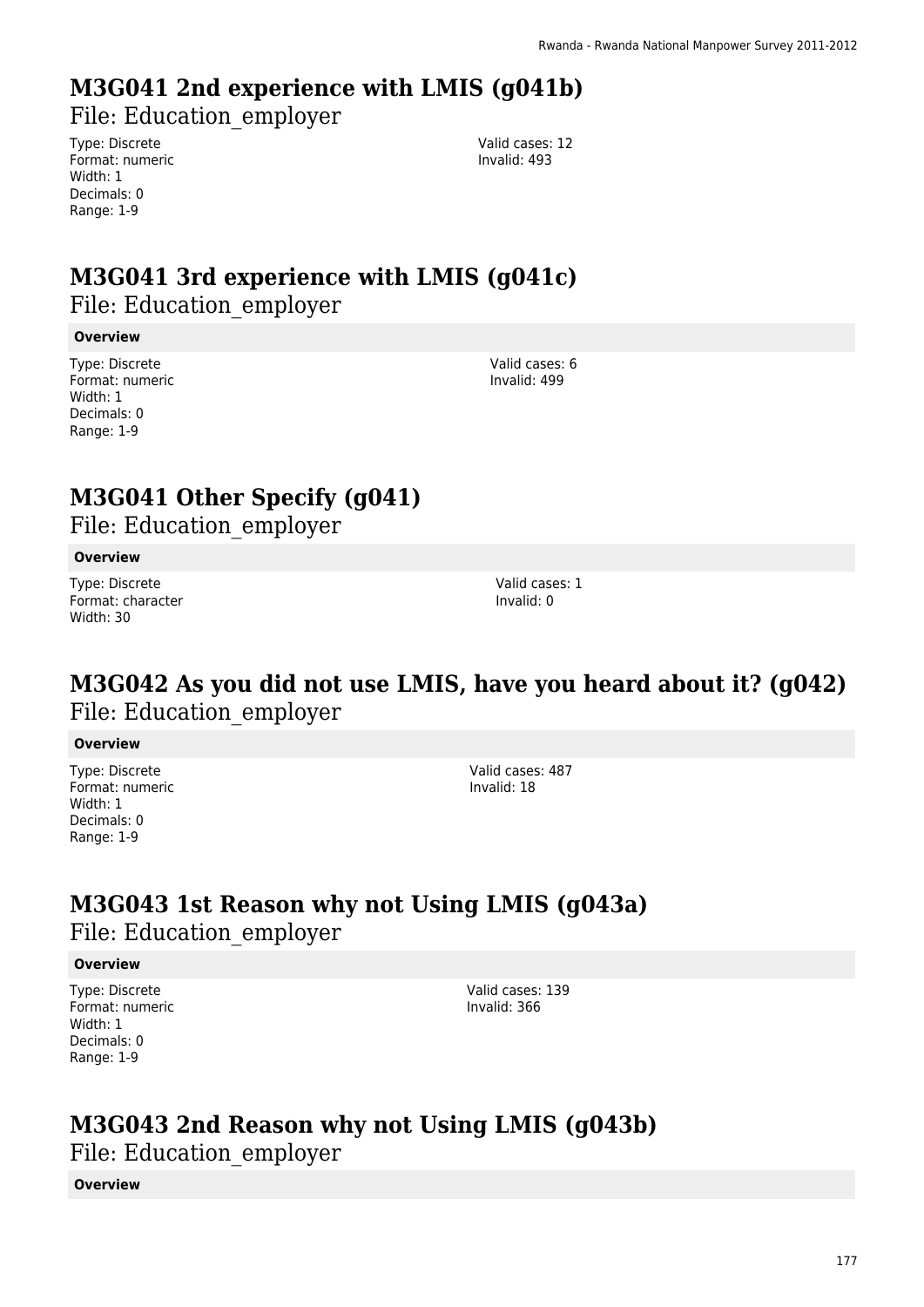Rwanda - Rwanda National Manpower Survey 2011-2012

### **M3G041 2nd experience with LMIS (g041b)**

File: Education\_employer

Type: Discrete Format: numeric Width: 1 Decimals: 0 Range: 1-9

# **M3G041 3rd experience with LMIS (g041c)**

File: Education\_employer

#### **Overview**

Type: Discrete Format: numeric Width: 1 Decimals: 0 Range: 1-9

Valid cases: 6 Invalid: 499

# **M3G041 Other Specify (g041)**

File: Education\_employer

#### **Overview**

Type: Discrete Format: character Width: 30

Valid cases: 1 Invalid: 0

### **M3G042 As you did not use LMIS, have you heard about it? (g042)**  File: Education\_employer

#### **Overview**

Type: Discrete Format: numeric Width: 1 Decimals: 0 Range: 1-9

Valid cases: 487 Invalid: 18

### **M3G043 1st Reason why not Using LMIS (g043a)**  File: Education\_employer

#### **Overview**

Type: Discrete Format: numeric Width: 1 Decimals: 0 Range: 1-9

Valid cases: 139 Invalid: 366

### **M3G043 2nd Reason why not Using LMIS (g043b)**

File: Education\_employer

#### **Overview**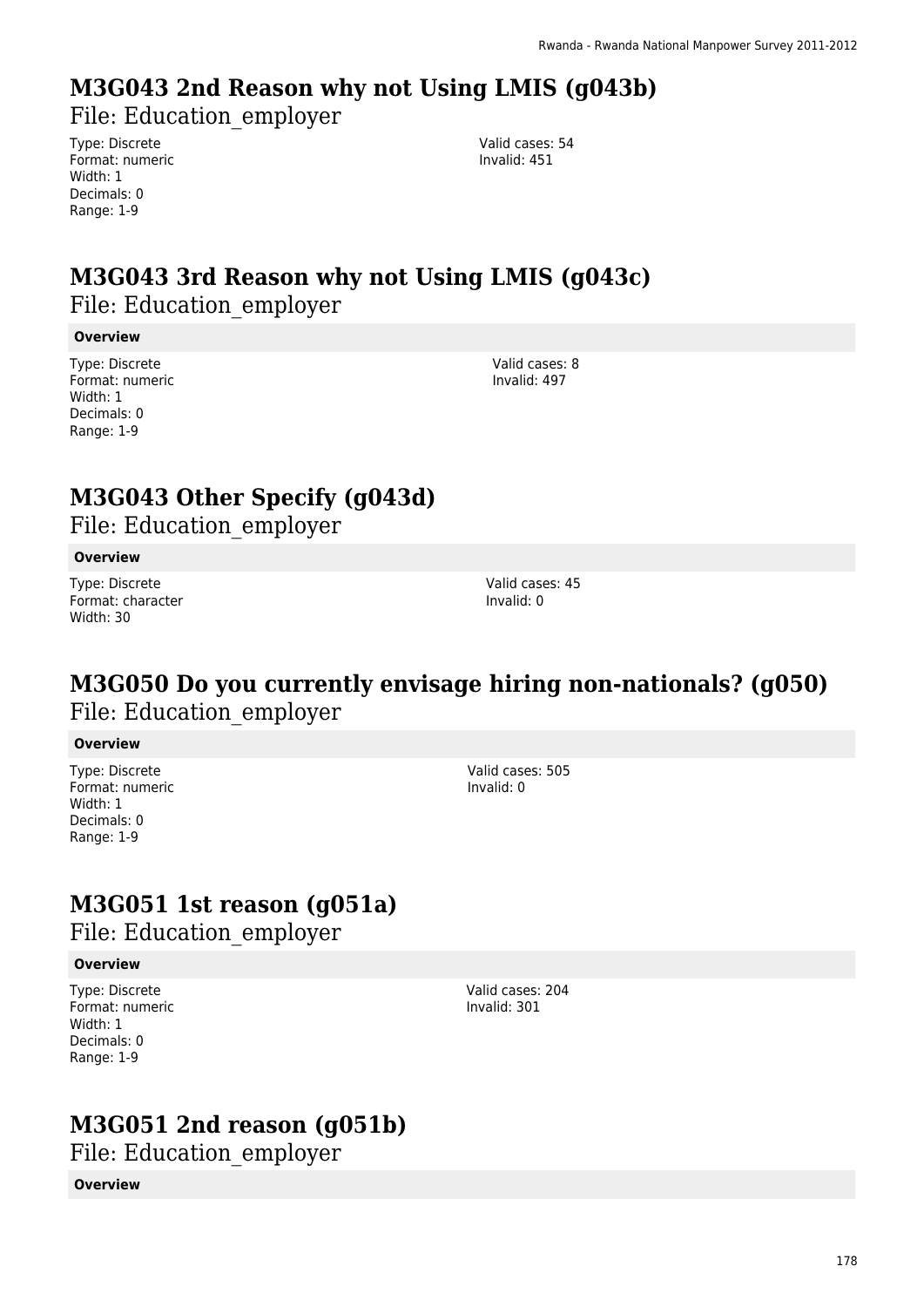# **M3G043 2nd Reason why not Using LMIS (g043b)**

File: Education\_employer

Type: Discrete Format: numeric Width: 1 Decimals: 0 Range: 1-9

# **M3G043 3rd Reason why not Using LMIS (g043c)**

File: Education\_employer

### **Overview**

Type: Discrete Format: numeric Width: 1 Decimals: 0 Range: 1-9

Valid cases: 8 Invalid: 497

Valid cases: 54 Invalid: 451

# **M3G043 Other Specify (g043d)**

File: Education\_employer

### **Overview**

Type: Discrete Format: character Width: 30

Valid cases: 45 Invalid: 0

### **M3G050 Do you currently envisage hiring non-nationals? (g050)**  File: Education\_employer

#### **Overview**

Type: Discrete Format: numeric Width: 1 Decimals: 0 Range: 1-9

# **M3G051 1st reason (g051a)**

File: Education\_employer

#### **Overview**

Type: Discrete Format: numeric Width: 1 Decimals: 0 Range: 1-9

# Valid cases: 204

Valid cases: 505 Invalid: 0

Invalid: 301

**M3G051 2nd reason (g051b)** 

File: Education\_employer

### **Overview**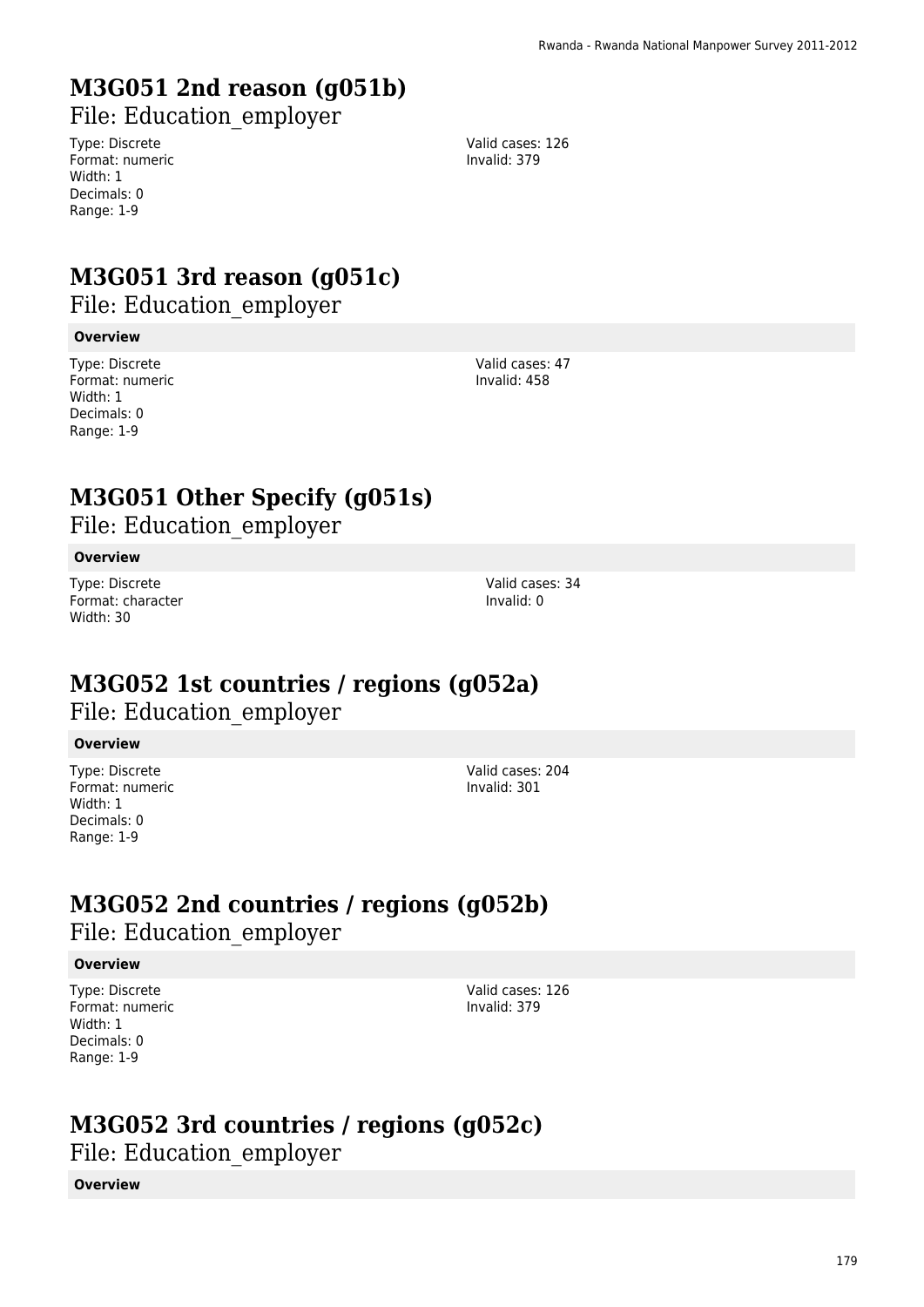# **M3G051 2nd reason (g051b)**

File: Education\_employer

Type: Discrete Format: numeric Width: 1 Decimals: 0 Range: 1-9

# **M3G051 3rd reason (g051c)**

File: Education\_employer

#### **Overview**

Type: Discrete Format: numeric Width: 1 Decimals: 0 Range: 1-9

# **M3G051 Other Specify (g051s)**

File: Education\_employer

#### **Overview**

Type: Discrete Format: character Width: 30

# **M3G052 1st countries / regions (g052a)**

File: Education\_employer

#### **Overview**

Type: Discrete Format: numeric Width: 1 Decimals: 0 Range: 1-9

Valid cases: 204 Invalid: 301

# **M3G052 2nd countries / regions (g052b)**

File: Education\_employer

#### **Overview**

Type: Discrete Format: numeric Width: 1 Decimals: 0 Range: 1-9

Valid cases: 126 Invalid: 379

### **M3G052 3rd countries / regions (g052c)**

File: Education\_employer

#### **Overview**

Valid cases: 126 Invalid: 379

Valid cases: 47 Invalid: 458

Valid cases: 34 Invalid: 0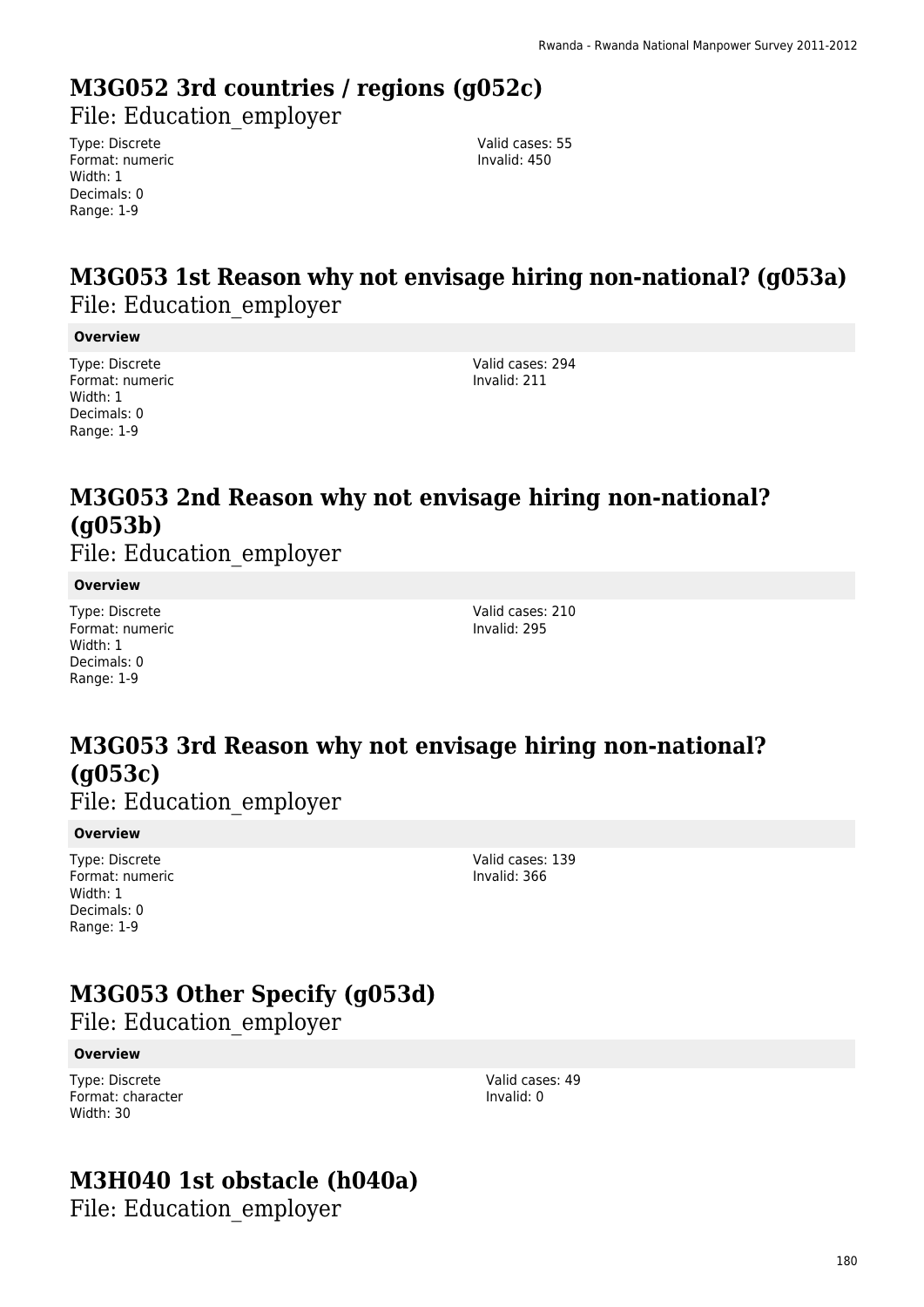### **M3G052 3rd countries / regions (g052c)**

File: Education\_employer

Type: Discrete Format: numeric Width: 1 Decimals: 0 Range: 1-9

Valid cases: 55 Invalid: 450

### **M3G053 1st Reason why not envisage hiring non-national? (g053a)**  File: Education\_employer

#### **Overview**

Type: Discrete Format: numeric Width: 1 Decimals: 0 Range: 1-9

Valid cases: 294 Invalid: 211

### **M3G053 2nd Reason why not envisage hiring non-national? (g053b)**

File: Education\_employer

#### **Overview**

Type: Discrete Format: numeric Width: 1 Decimals: 0 Range: 1-9

Valid cases: 210 Invalid: 295

### **M3G053 3rd Reason why not envisage hiring non-national? (g053c)**

File: Education\_employer

#### **Overview**

Type: Discrete Format: numeric Width: 1 Decimals: 0 Range: 1-9

Valid cases: 139 Invalid: 366

# **M3G053 Other Specify (g053d)**

File: Education\_employer

#### **Overview**

Type: Discrete Format: character Width: 30

### **M3H040 1st obstacle (h040a)**

File: Education\_employer

Valid cases: 49 Invalid: 0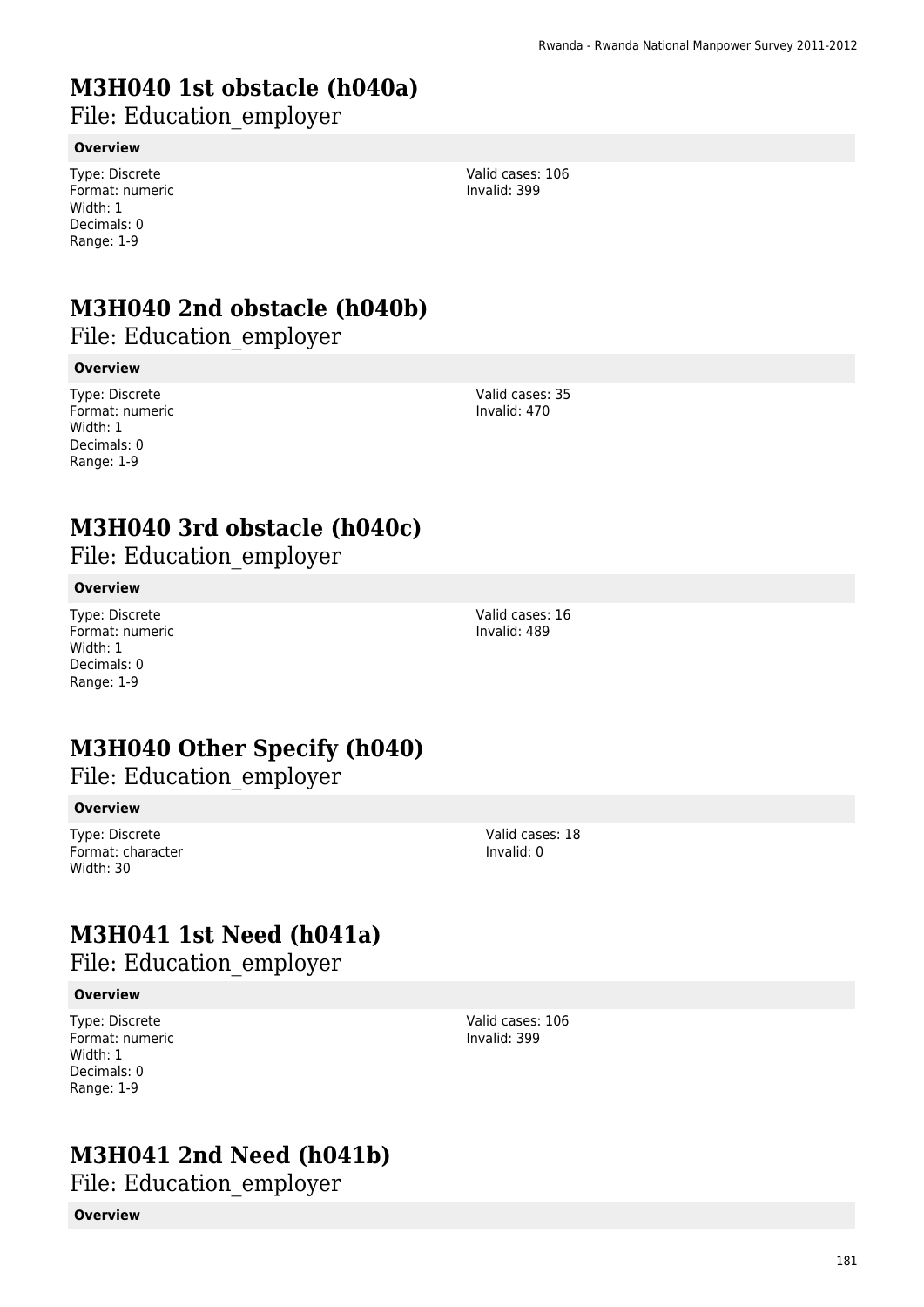## **M3H040 1st obstacle (h040a)**

File: Education\_employer

### **Overview**

Type: Discrete Format: numeric Width: 1 Decimals: 0 Range: 1-9

### **M3H040 2nd obstacle (h040b)**

File: Education\_employer

### **Overview**

Type: Discrete Format: numeric Width: 1 Decimals: 0 Range: 1-9

## **M3H040 3rd obstacle (h040c)**

File: Education\_employer

#### **Overview**

Type: Discrete Format: numeric Width: 1 Decimals: 0 Range: 1-9

### **M3H040 Other Specify (h040)**

### File: Education\_employer

#### **Overview**

Type: Discrete Format: character Width: 30

### **M3H041 1st Need (h041a)**

File: Education\_employer

#### **Overview**

Type: Discrete Format: numeric Width: 1 Decimals: 0 Range: 1-9

### **M3H041 2nd Need (h041b)**

File: Education\_employer

#### **Overview**

Valid cases: 106 Invalid: 399

Valid cases: 35 Invalid: 470

Valid cases: 16 Invalid: 489

> Valid cases: 18 Invalid: 0

Valid cases: 106 Invalid: 399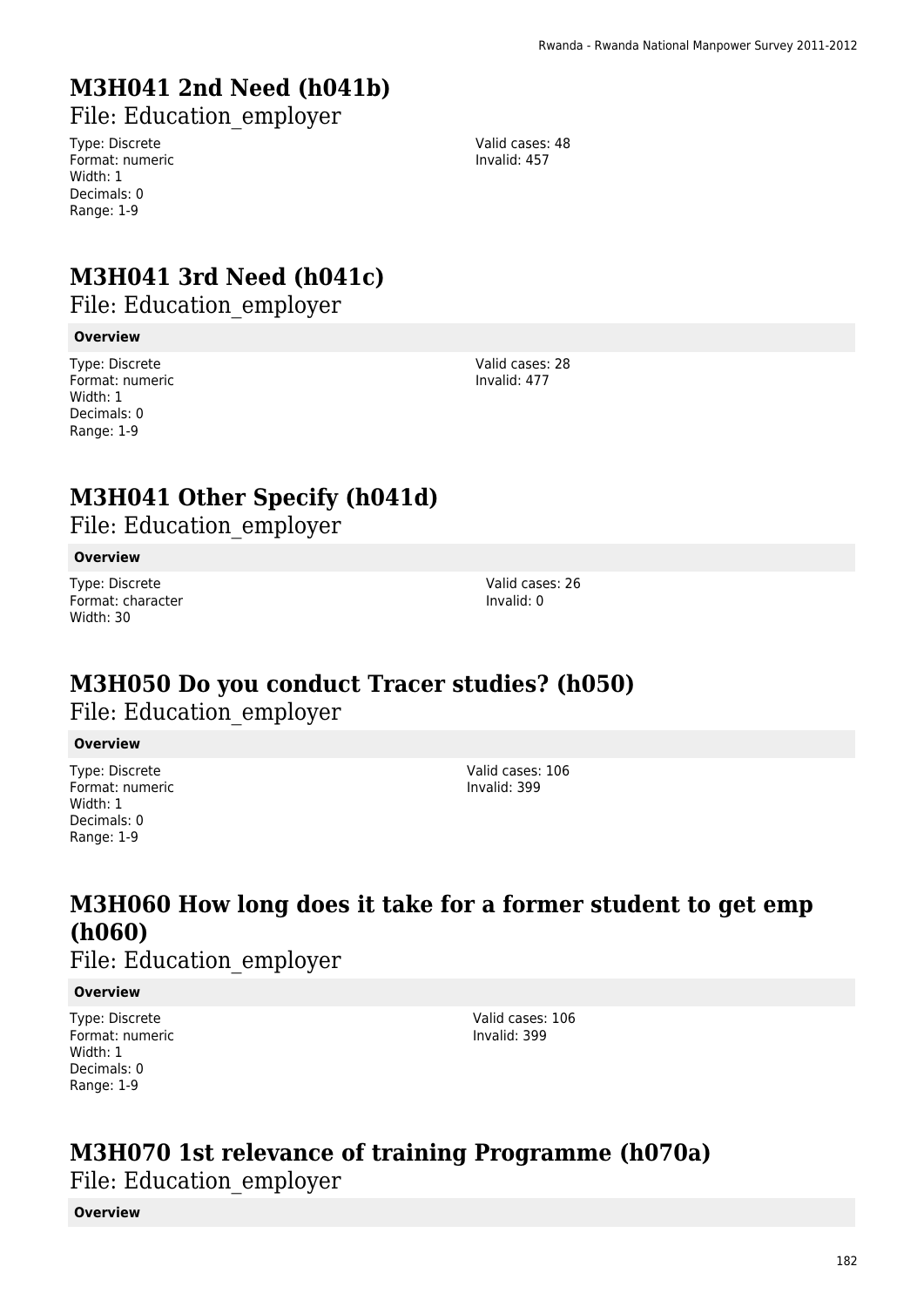### **M3H041 2nd Need (h041b)**

File: Education\_employer

Type: Discrete Format: numeric Width: 1 Decimals: 0 Range: 1-9

### **M3H041 3rd Need (h041c)**

File: Education\_employer

#### **Overview**

Type: Discrete Format: numeric Width: 1 Decimals: 0 Range: 1-9

Valid cases: 28 Invalid: 477

Valid cases: 26 Invalid: 0

### **M3H041 Other Specify (h041d)**

File: Education\_employer

#### **Overview**

Type: Discrete Format: character Width: 30

### **M3H050 Do you conduct Tracer studies? (h050)**  File: Education\_employer

#### **Overview**

Type: Discrete Format: numeric Width: 1 Decimals: 0 Range: 1-9

Valid cases: 106 Invalid: 399

### **M3H060 How long does it take for a former student to get emp (h060)**

File: Education\_employer

#### **Overview**

Type: Discrete Format: numeric Width: 1 Decimals: 0 Range: 1-9

Valid cases: 106 Invalid: 399

### **M3H070 1st relevance of training Programme (h070a)**

File: Education\_employer

**Overview**

Valid cases: 48 Invalid: 457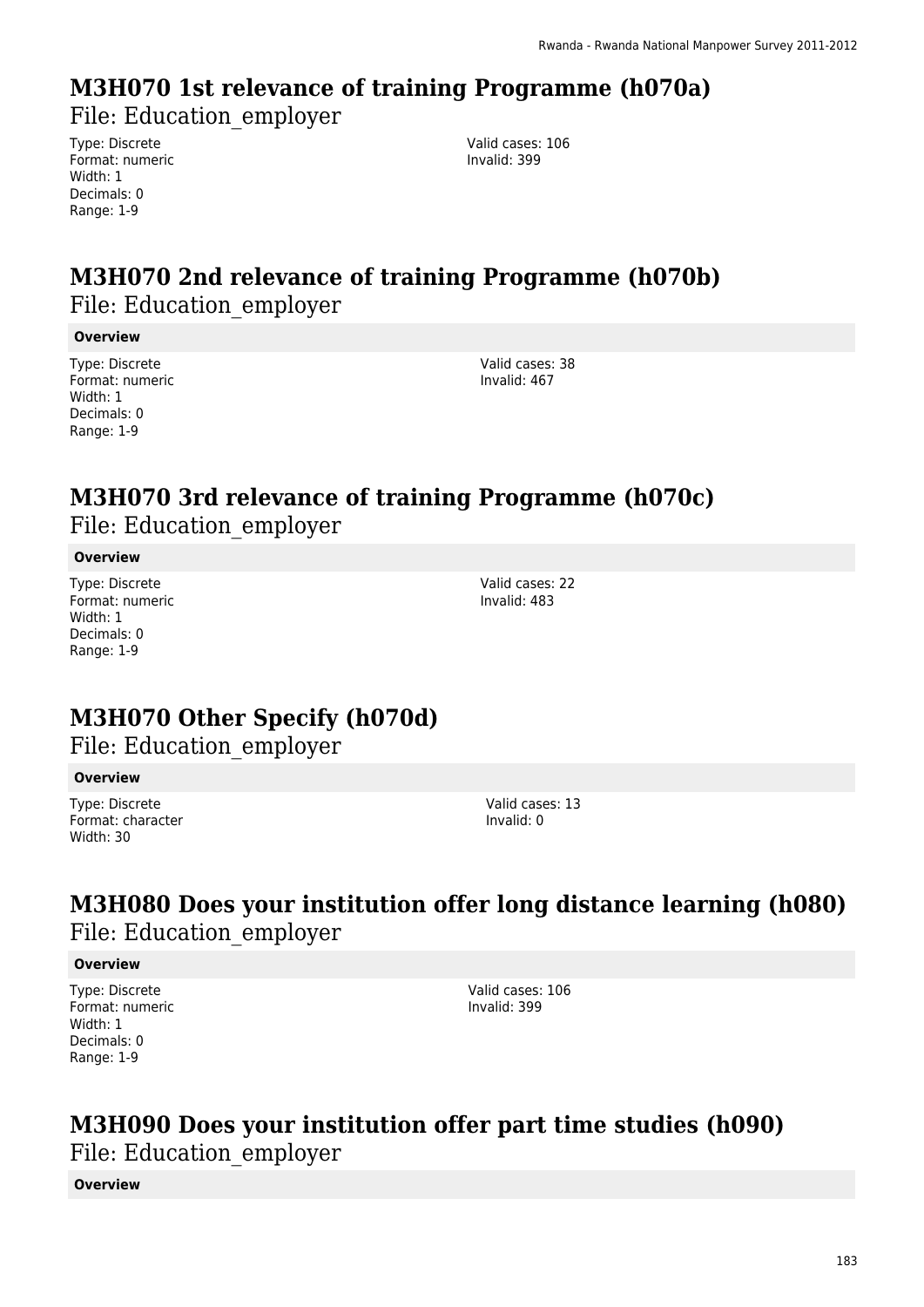### **M3H070 1st relevance of training Programme (h070a)**

File: Education\_employer

Type: Discrete Format: numeric Width: 1 Decimals: 0 Range: 1-9

Valid cases: 106 Invalid: 399

# **M3H070 2nd relevance of training Programme (h070b)**

File: Education\_employer

#### **Overview**

Type: Discrete Format: numeric Width: 1 Decimals: 0 Range: 1-9

Valid cases: 38 Invalid: 467

### **M3H070 3rd relevance of training Programme (h070c)**

File: Education\_employer

#### **Overview**

Type: Discrete Format: numeric Width: 1 Decimals: 0 Range: 1-9

Valid cases: 22 Invalid: 483

### **M3H070 Other Specify (h070d)**

File: Education\_employer

#### **Overview**

Type: Discrete Format: character Width: 30

Valid cases: 13 Invalid: 0

### **M3H080 Does your institution offer long distance learning (h080)**  File: Education\_employer

#### **Overview**

Type: Discrete Format: numeric Width: 1 Decimals: 0 Range: 1-9

Valid cases: 106 Invalid: 399

## **M3H090 Does your institution offer part time studies (h090)**

File: Education\_employer

#### **Overview**

183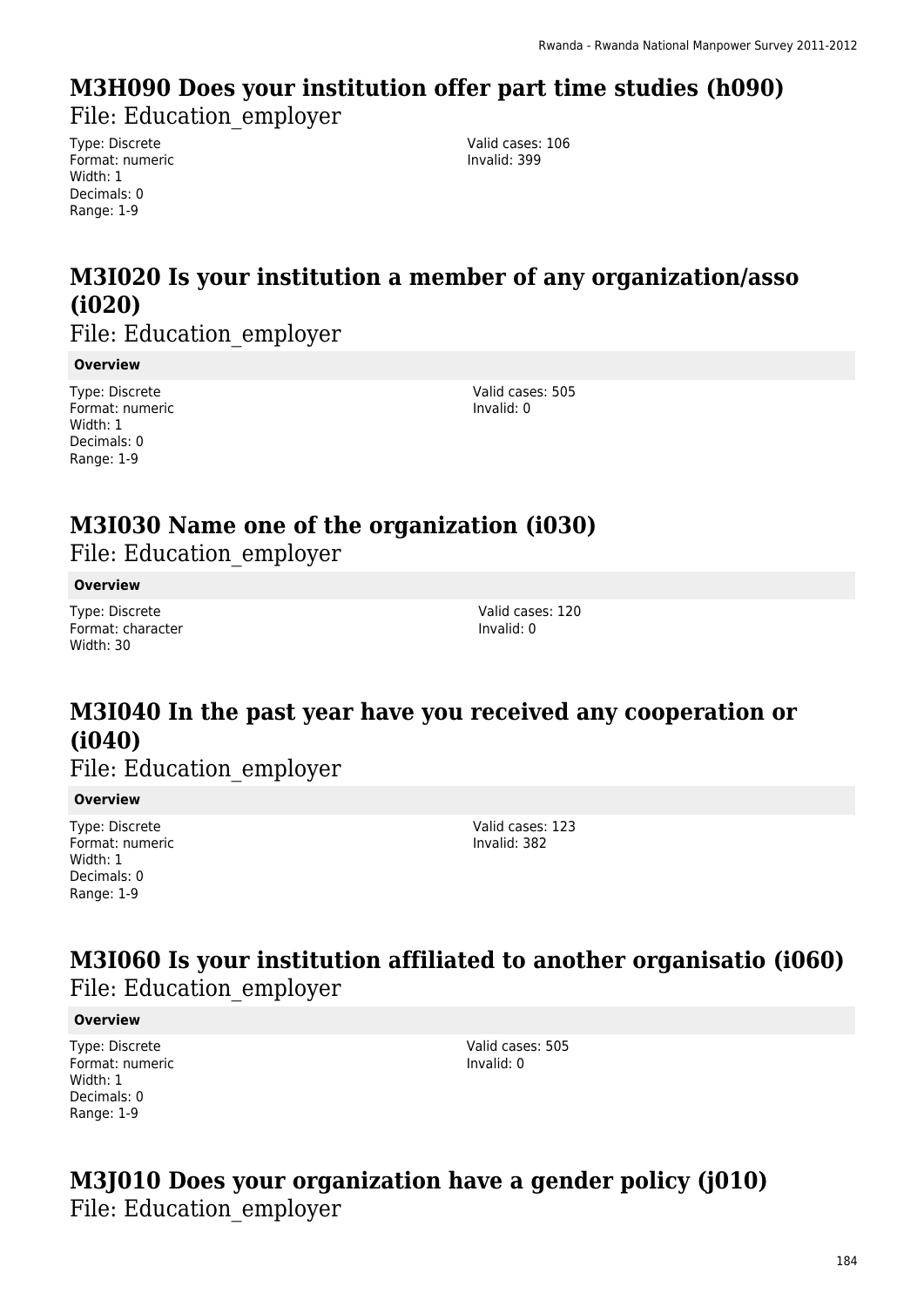### **M3H090 Does your institution offer part time studies (h090)**

File: Education\_employer

Type: Discrete Format: numeric Width: 1 Decimals: 0 Range: 1-9

Valid cases: 106 Invalid: 399

### **M3I020 Is your institution a member of any organization/asso (i020)**

File: Education\_employer

#### **Overview**

Type: Discrete Format: numeric Width: 1 Decimals: 0 Range: 1-9

Valid cases: 505 Invalid: 0

### **M3I030 Name one of the organization (i030)**

File: Education\_employer

#### **Overview**

Type: Discrete Format: character Width: 30

Valid cases: 120 Invalid: 0

### **M3I040 In the past year have you received any cooperation or (i040)**

File: Education\_employer

#### **Overview**

Type: Discrete Format: numeric Width: 1 Decimals: 0 Range: 1-9

Valid cases: 123 Invalid: 382

### **M3I060 Is your institution affiliated to another organisatio (i060)**  File: Education\_employer

#### **Overview**

Type: Discrete Format: numeric Width: 1 Decimals: 0 Range: 1-9

Valid cases: 505 Invalid: 0

### **M3J010 Does your organization have a gender policy (j010)**  File: Education\_employer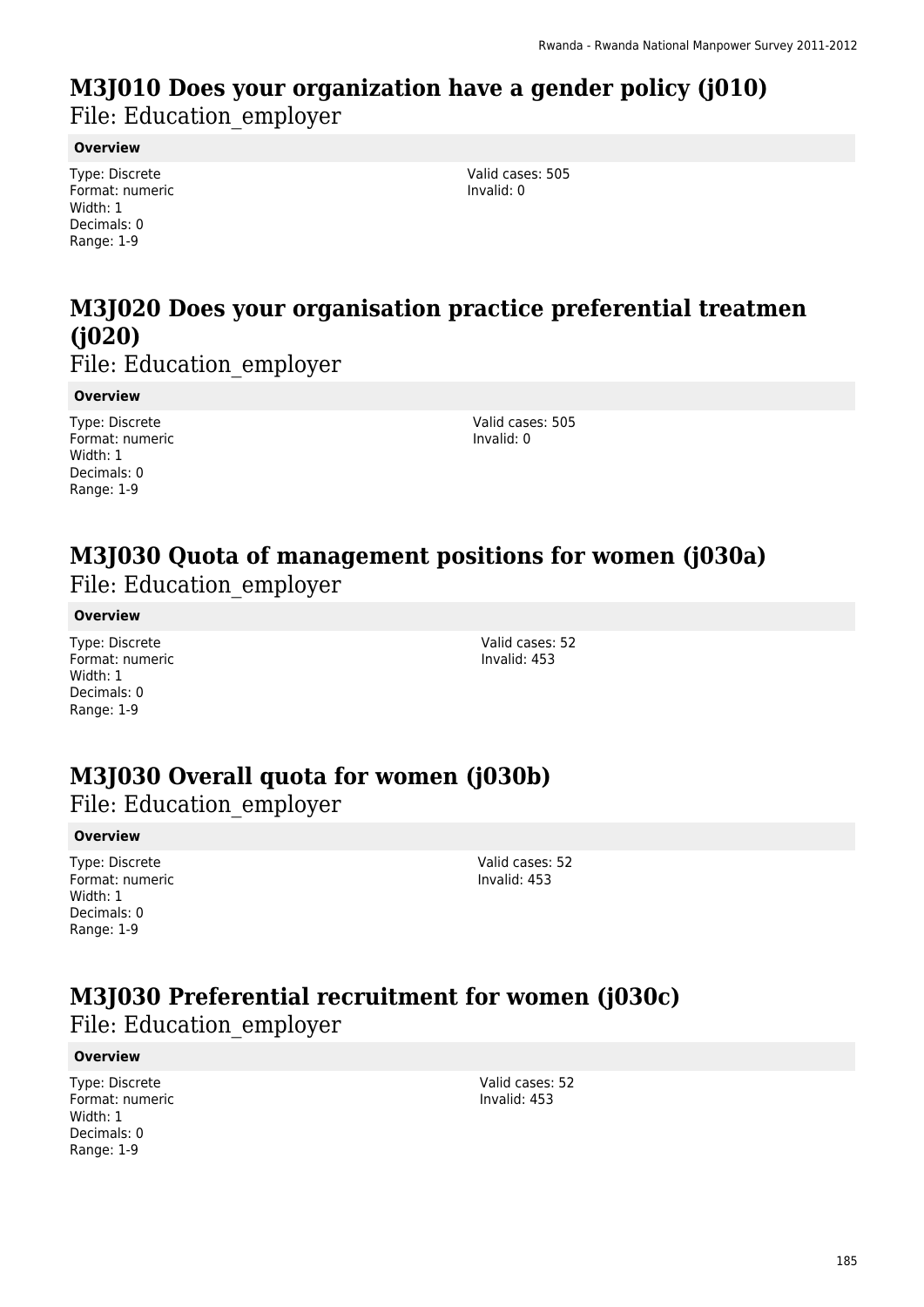### **M3J010 Does your organization have a gender policy (j010)**

File: Education\_employer

#### **Overview**

Type: Discrete Format: numeric Width: 1 Decimals: 0 Range: 1-9

Valid cases: 505 Invalid: 0

### **M3J020 Does your organisation practice preferential treatmen (j020)**

File: Education\_employer

#### **Overview**

Type: Discrete Format: numeric Width: 1 Decimals: 0 Range: 1-9

Valid cases: 505 Invalid: 0

## **M3J030 Quota of management positions for women (j030a)**

File: Education\_employer

#### **Overview**

Type: Discrete Format: numeric Width: 1 Decimals: 0 Range: 1-9

Valid cases: 52 Invalid: 453

### **M3J030 Overall quota for women (j030b)**

File: Education\_employer

#### **Overview**

Type: Discrete Format: numeric Width: 1 Decimals: 0 Range: 1-9

Valid cases: 52 Invalid: 453

### **M3J030 Preferential recruitment for women (j030c)**

File: Education\_employer

#### **Overview**

Type: Discrete Format: numeric Width: 1 Decimals: 0 Range: 1-9

Valid cases: 52 Invalid: 453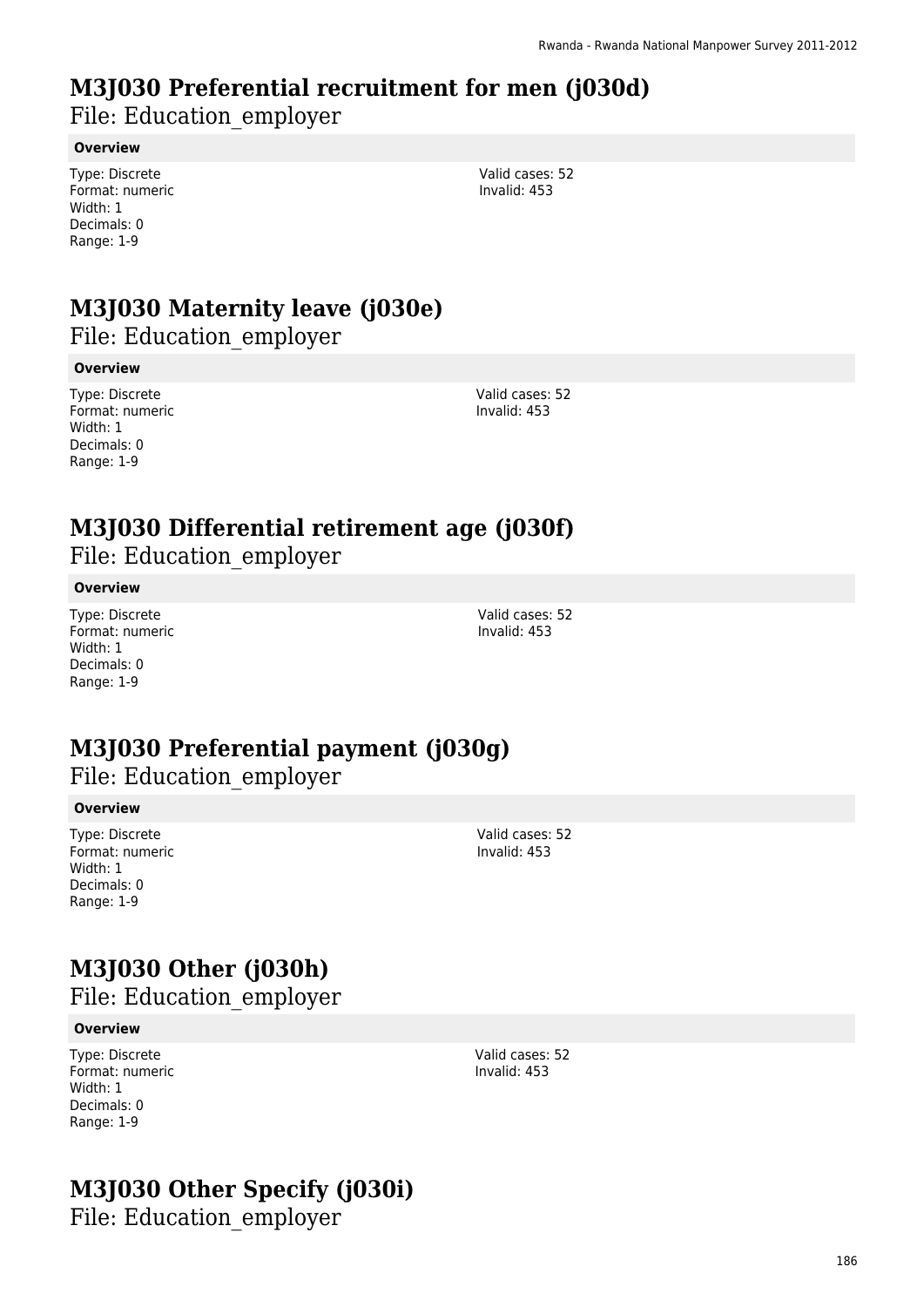### **M3J030 Preferential recruitment for men (j030d)**

File: Education\_employer

#### **Overview**

Type: Discrete Format: numeric Width: 1 Decimals: 0 Range: 1-9

Valid cases: 52 Invalid: 453

### **M3J030 Maternity leave (j030e)**

File: Education\_employer

#### **Overview**

Type: Discrete Format: numeric Width: 1 Decimals: 0 Range: 1-9

Valid cases: 52 Invalid: 453

Valid cases: 52 Invalid: 453

### **M3J030 Differential retirement age (j030f)**

File: Education\_employer

#### **Overview**

Type: Discrete Format: numeric Width: 1 Decimals: 0 Range: 1-9

### **M3J030 Preferential payment (j030g)**

File: Education\_employer

#### **Overview**

Type: Discrete Format: numeric Width: 1 Decimals: 0 Range: 1-9

**M3J030 Other (j030h)** 

File: Education\_employer

#### **Overview**

Type: Discrete Format: numeric Width: 1 Decimals: 0 Range: 1-9

### **M3J030 Other Specify (j030i)**

File: Education\_employer

Valid cases: 52 Invalid: 453

Valid cases: 52 Invalid: 453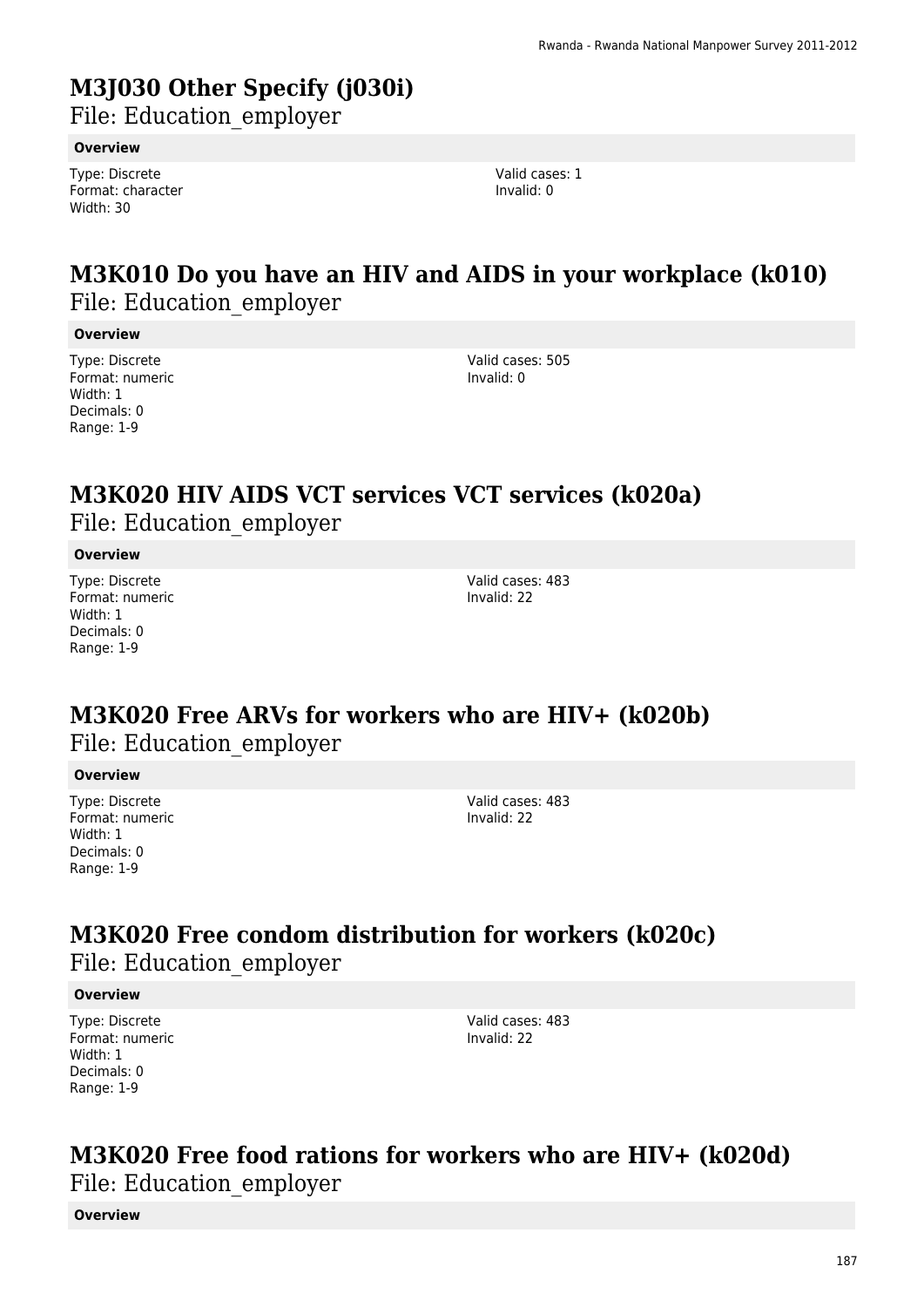### **M3J030 Other Specify (j030i)**

File: Education\_employer

#### **Overview**

Type: Discrete Format: character Width: 30

Valid cases: 1 Invalid: 0

### **M3K010 Do you have an HIV and AIDS in your workplace (k010)**  File: Education\_employer

#### **Overview**

Type: Discrete Format: numeric Width: 1 Decimals: 0 Range: 1-9

Valid cases: 505 Invalid: 0

### **M3K020 HIV AIDS VCT services VCT services (k020a)**  File: Education\_employer

#### **Overview**

Type: Discrete Format: numeric Width: 1 Decimals: 0 Range: 1-9

Valid cases: 483 Invalid: 22

### **M3K020 Free ARVs for workers who are HIV+ (k020b)**  File: Education\_employer

#### **Overview**

Type: Discrete Format: numeric Width: 1 Decimals: 0 Range: 1-9

Valid cases: 483 Invalid: 22

### **M3K020 Free condom distribution for workers (k020c)**

File: Education\_employer

#### **Overview**

Type: Discrete Format: numeric Width: 1 Decimals: 0 Range: 1-9

Valid cases: 483 Invalid: 22

### **M3K020 Free food rations for workers who are HIV+ (k020d)**  File: Education\_employer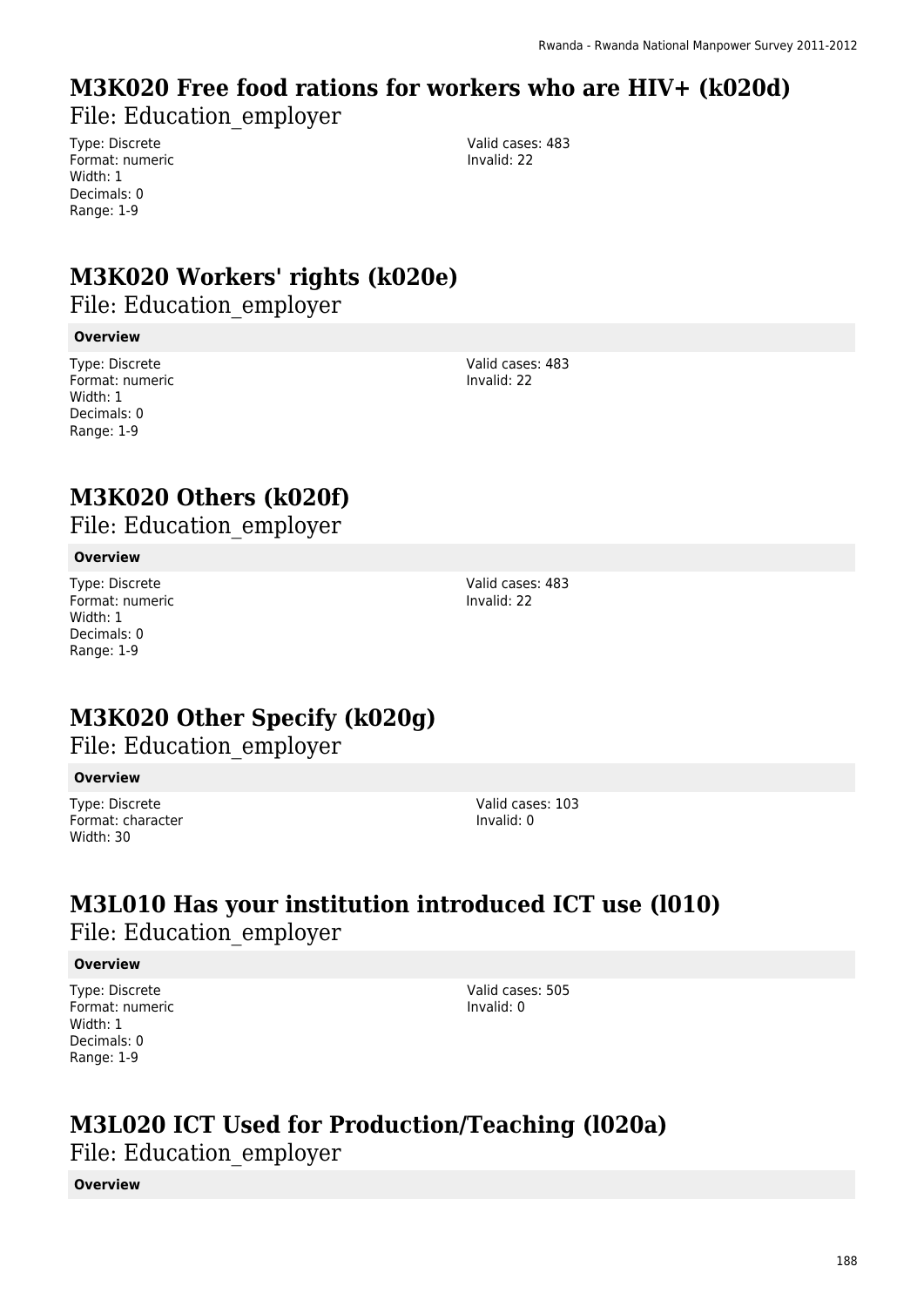### **M3K020 Free food rations for workers who are HIV+ (k020d)**

File: Education\_employer

Type: Discrete Format: numeric Width: 1 Decimals: 0 Range: 1-9

Valid cases: 483 Invalid: 22

## **M3K020 Workers' rights (k020e)**

File: Education\_employer

#### **Overview**

Type: Discrete Format: numeric Width: 1 Decimals: 0 Range: 1-9

### **M3K020 Others (k020f)**

File: Education\_employer

#### **Overview**

Type: Discrete Format: numeric Width: 1 Decimals: 0 Range: 1-9

### **M3K020 Other Specify (k020g)**

File: Education\_employer

#### **Overview**

Type: Discrete Format: character Width: 30

Valid cases: 103 Invalid: 0

### **M3L010 Has your institution introduced ICT use (l010)**  File: Education\_employer

#### **Overview**

Type: Discrete Format: numeric Width: 1 Decimals: 0 Range: 1-9

Valid cases: 505 Invalid: 0

### **M3L020 ICT Used for Production/Teaching (l020a)**

File: Education\_employer

#### **Overview**

Valid cases: 483 Invalid: 22

Valid cases: 483 Invalid: 22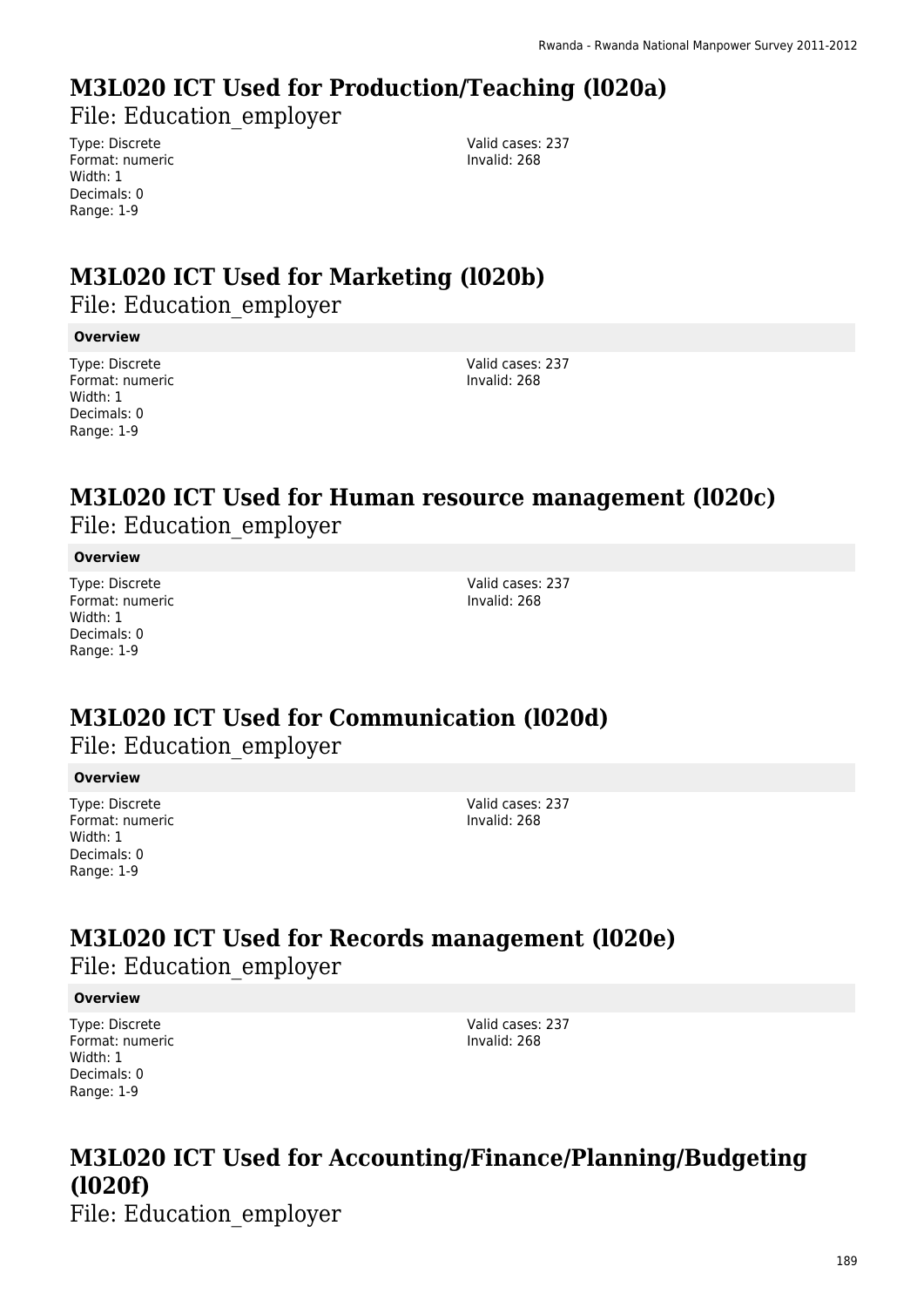### **M3L020 ICT Used for Production/Teaching (l020a)**

File: Education\_employer

Type: Discrete Format: numeric Width: 1 Decimals: 0 Range: 1-9

Valid cases: 237 Invalid: 268

## **M3L020 ICT Used for Marketing (l020b)**

File: Education\_employer

#### **Overview**

Type: Discrete Format: numeric Width: 1 Decimals: 0 Range: 1-9

Valid cases: 237 Invalid: 268

### **M3L020 ICT Used for Human resource management (l020c)**  File: Education\_employer

#### **Overview**

Type: Discrete Format: numeric Width: 1 Decimals: 0 Range: 1-9

Valid cases: 237 Invalid: 268

### **M3L020 ICT Used for Communication (l020d)**

File: Education\_employer

#### **Overview**

Type: Discrete Format: numeric Width: 1 Decimals: 0 Range: 1-9

Valid cases: 237 Invalid: 268

### **M3L020 ICT Used for Records management (l020e)**

File: Education\_employer

#### **Overview**

Type: Discrete Format: numeric Width: 1 Decimals: 0 Range: 1-9

Valid cases: 237 Invalid: 268

### **M3L020 ICT Used for Accounting/Finance/Planning/Budgeting (l020f)**

File: Education\_employer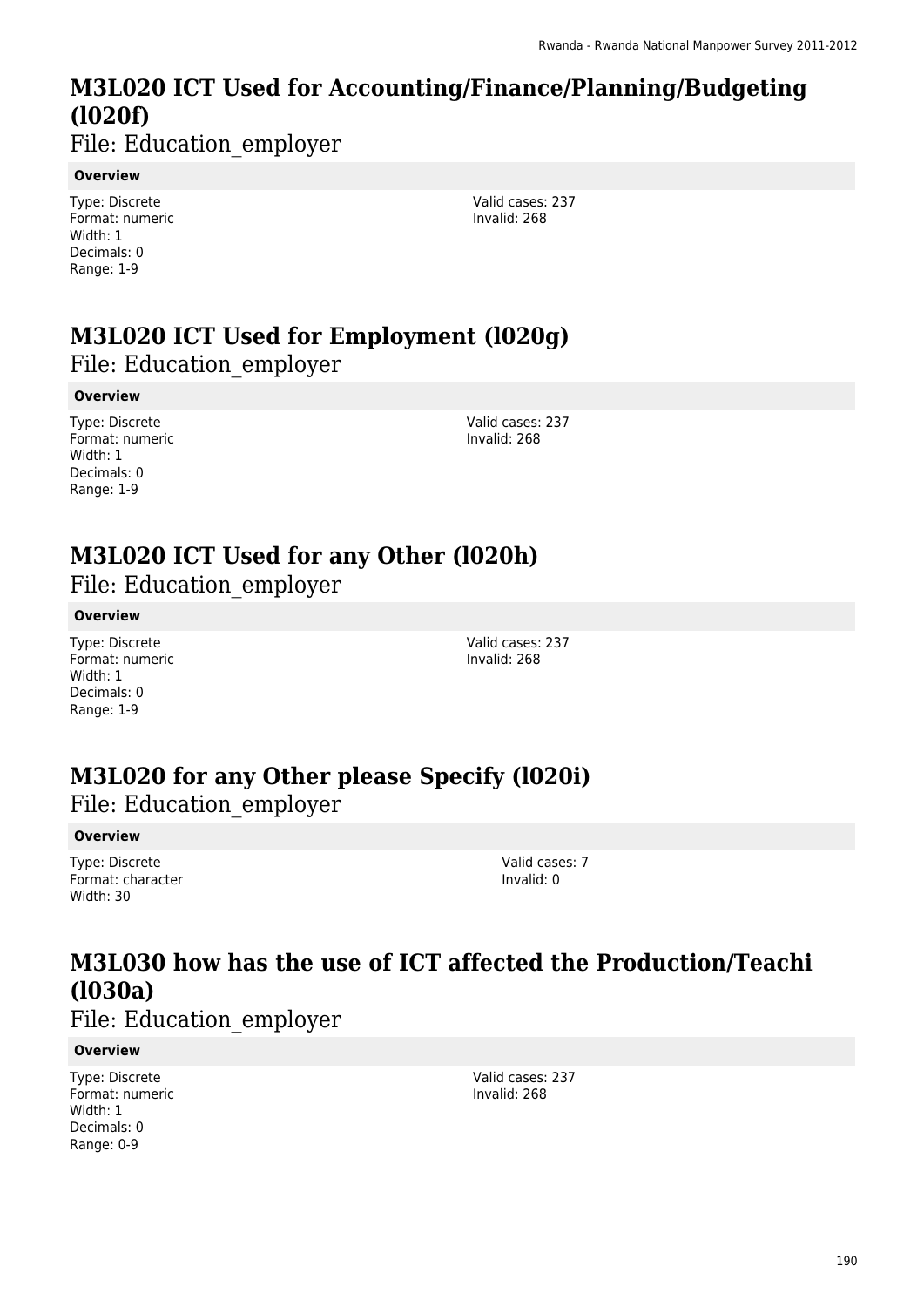### **M3L020 ICT Used for Accounting/Finance/Planning/Budgeting (l020f)**

File: Education\_employer

#### **Overview**

Type: Discrete Format: numeric Width: 1 Decimals: 0 Range: 1-9

Valid cases: 237 Invalid: 268

### **M3L020 ICT Used for Employment (l020g)**

File: Education\_employer

#### **Overview**

Type: Discrete Format: numeric Width: 1 Decimals: 0 Range: 1-9

Valid cases: 237 Invalid: 268

### **M3L020 ICT Used for any Other (l020h)**

File: Education\_employer

#### **Overview**

Type: Discrete Format: numeric Width: 1 Decimals: 0 Range: 1-9

Valid cases: 237 Invalid: 268

### **M3L020 for any Other please Specify (l020i)**

File: Education\_employer

#### **Overview**

Type: Discrete Format: character Width: 30

Valid cases: 7 Invalid: 0

### **M3L030 how has the use of ICT affected the Production/Teachi (l030a)**

File: Education\_employer

#### **Overview**

Type: Discrete Format: numeric Width: 1 Decimals: 0 Range: 0-9

Valid cases: 237 Invalid: 268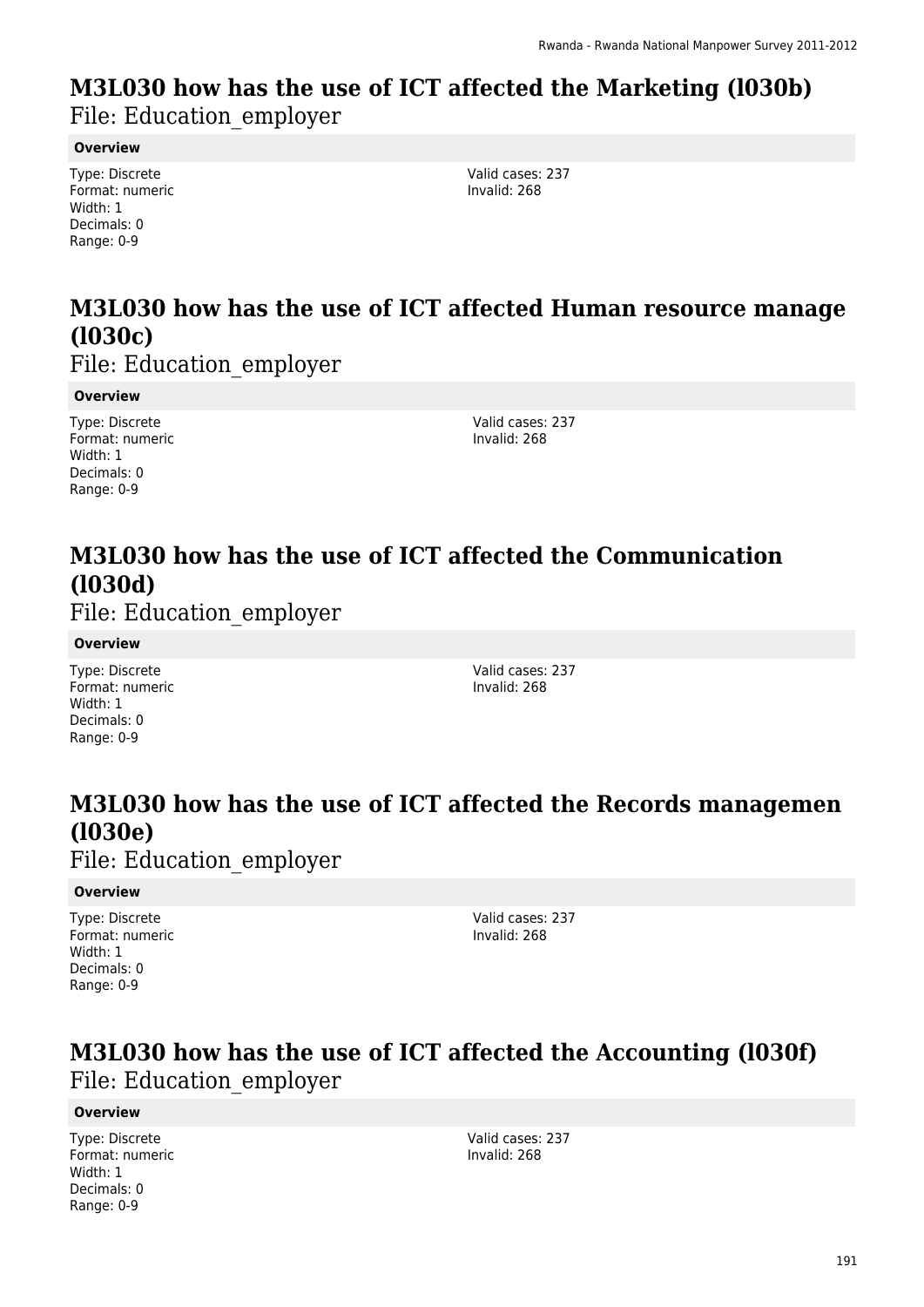## **M3L030 how has the use of ICT affected the Marketing (l030b)**

File: Education\_employer

#### **Overview**

Type: Discrete Format: numeric Width: 1 Decimals: 0 Range: 0-9

Valid cases: 237 Invalid: 268

### **M3L030 how has the use of ICT affected Human resource manage (l030c)**

File: Education\_employer

#### **Overview**

Type: Discrete Format: numeric Width: 1 Decimals: 0 Range: 0-9

Valid cases: 237 Invalid: 268

### **M3L030 how has the use of ICT affected the Communication (l030d)**

File: Education\_employer

#### **Overview**

Type: Discrete Format: numeric Width: 1 Decimals: 0 Range: 0-9

Valid cases: 237 Invalid: 268

### **M3L030 how has the use of ICT affected the Records managemen (l030e)**

File: Education\_employer

#### **Overview**

Type: Discrete Format: numeric Width: 1 Decimals: 0 Range: 0-9

Valid cases: 237 Invalid: 268

### **M3L030 how has the use of ICT affected the Accounting (l030f)**  File: Education\_employer

#### **Overview**

Type: Discrete Format: numeric Width: 1 Decimals: 0 Range: 0-9

Valid cases: 237 Invalid: 268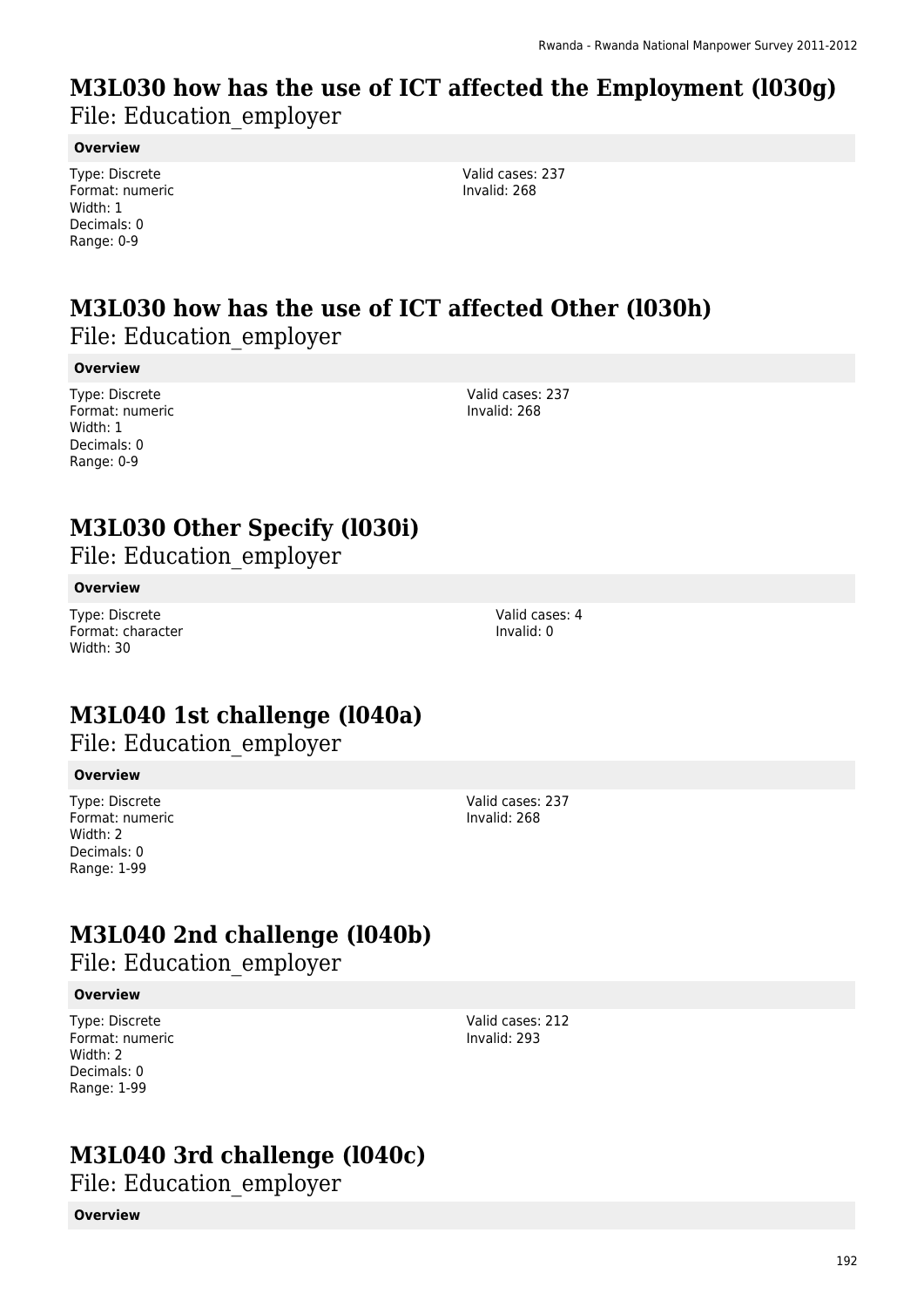# **M3L030 how has the use of ICT affected the Employment (l030g)**

File: Education\_employer

#### **Overview**

Type: Discrete Format: numeric Width: 1 Decimals: 0 Range: 0-9

Valid cases: 237 Invalid: 268

# **M3L030 how has the use of ICT affected Other (l030h)**

File: Education\_employer

#### **Overview**

Type: Discrete Format: numeric Width: 1 Decimals: 0 Range: 0-9

Valid cases: 237 Invalid: 268

### **M3L030 Other Specify (l030i)**

File: Education\_employer

#### **Overview**

Type: Discrete Format: character Width: 30

### **M3L040 1st challenge (l040a)**

### File: Education\_employer

#### **Overview**

Type: Discrete Format: numeric Width: 2 Decimals: 0 Range: 1-99

### **M3L040 2nd challenge (l040b)**

File: Education\_employer

#### **Overview**

Type: Discrete Format: numeric Width: 2 Decimals: 0 Range: 1-99

### **M3L040 3rd challenge (l040c)**

File: Education\_employer

#### **Overview**

Valid cases: 237 Invalid: 268

Valid cases: 212 Invalid: 293

Valid cases: 4 Invalid: 0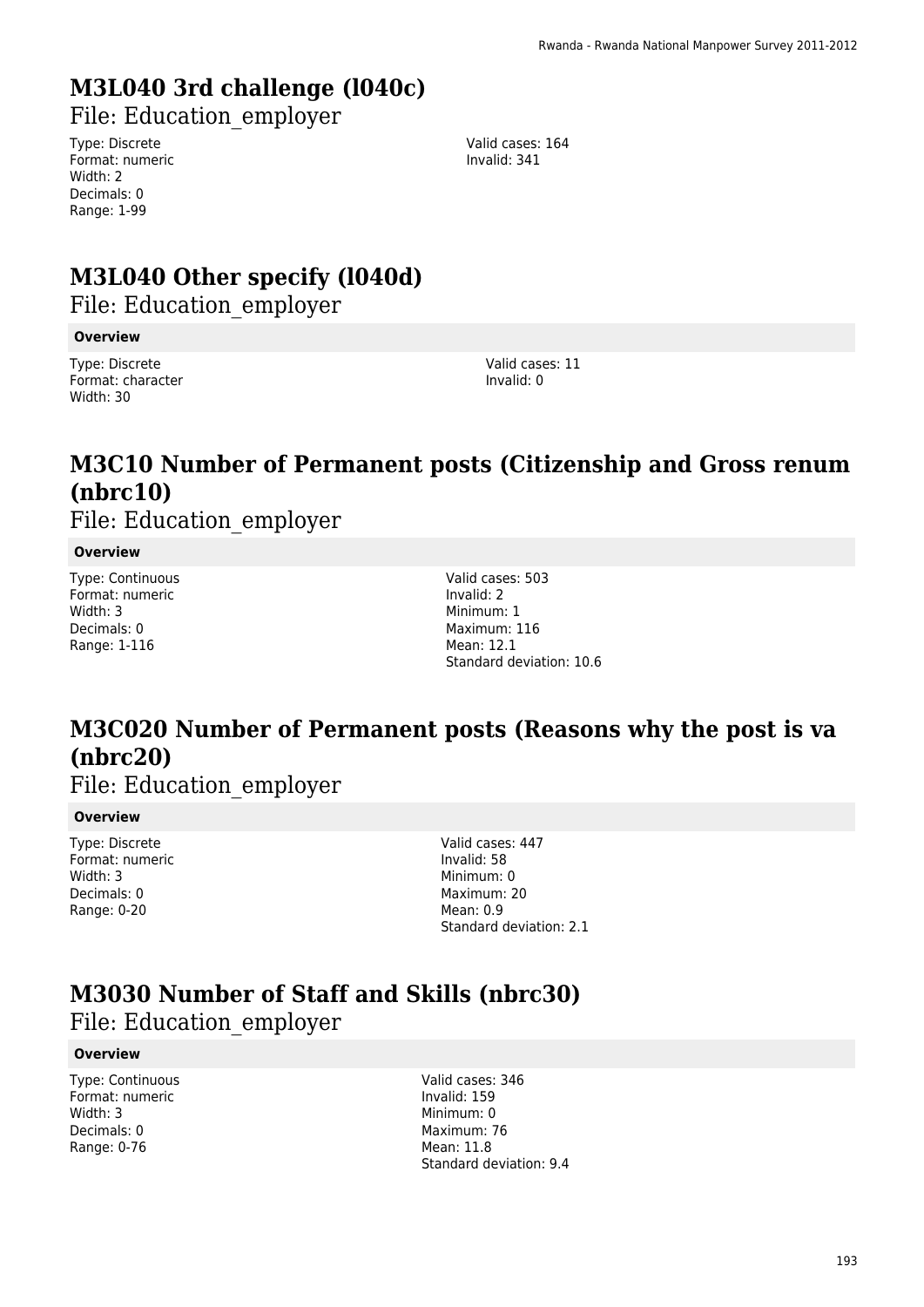### **M3L040 3rd challenge (l040c)**

File: Education\_employer

Type: Discrete Format: numeric Width: 2 Decimals: 0 Range: 1-99

Valid cases: 164 Invalid: 341

### **M3L040 Other specify (l040d)**

File: Education\_employer

#### **Overview**

Type: Discrete Format: character Width: 30

Valid cases: 11 Invalid: 0

### **M3C10 Number of Permanent posts (Citizenship and Gross renum (nbrc10)**

File: Education\_employer

#### **Overview**

Type: Continuous Format: numeric Width: 3 Decimals: 0 Range: 1-116

Valid cases: 503 Invalid: 2 Minimum: 1 Maximum: 116 Mean: 12.1 Standard deviation: 10.6

### **M3C020 Number of Permanent posts (Reasons why the post is va (nbrc20)**

File: Education\_employer

#### **Overview**

Type: Discrete Format: numeric Width: 3 Decimals: 0 Range: 0-20

Valid cases: 447 Invalid: 58 Minimum: 0 Maximum: 20 Mean: 0.9 Standard deviation: 2.1

### **M3030 Number of Staff and Skills (nbrc30)**  File: Education\_employer

#### **Overview**

Type: Continuous Format: numeric Width: 3 Decimals: 0 Range: 0-76

Valid cases: 346 Invalid: 159 Minimum: 0 Maximum: 76 Mean: 11.8 Standard deviation: 9.4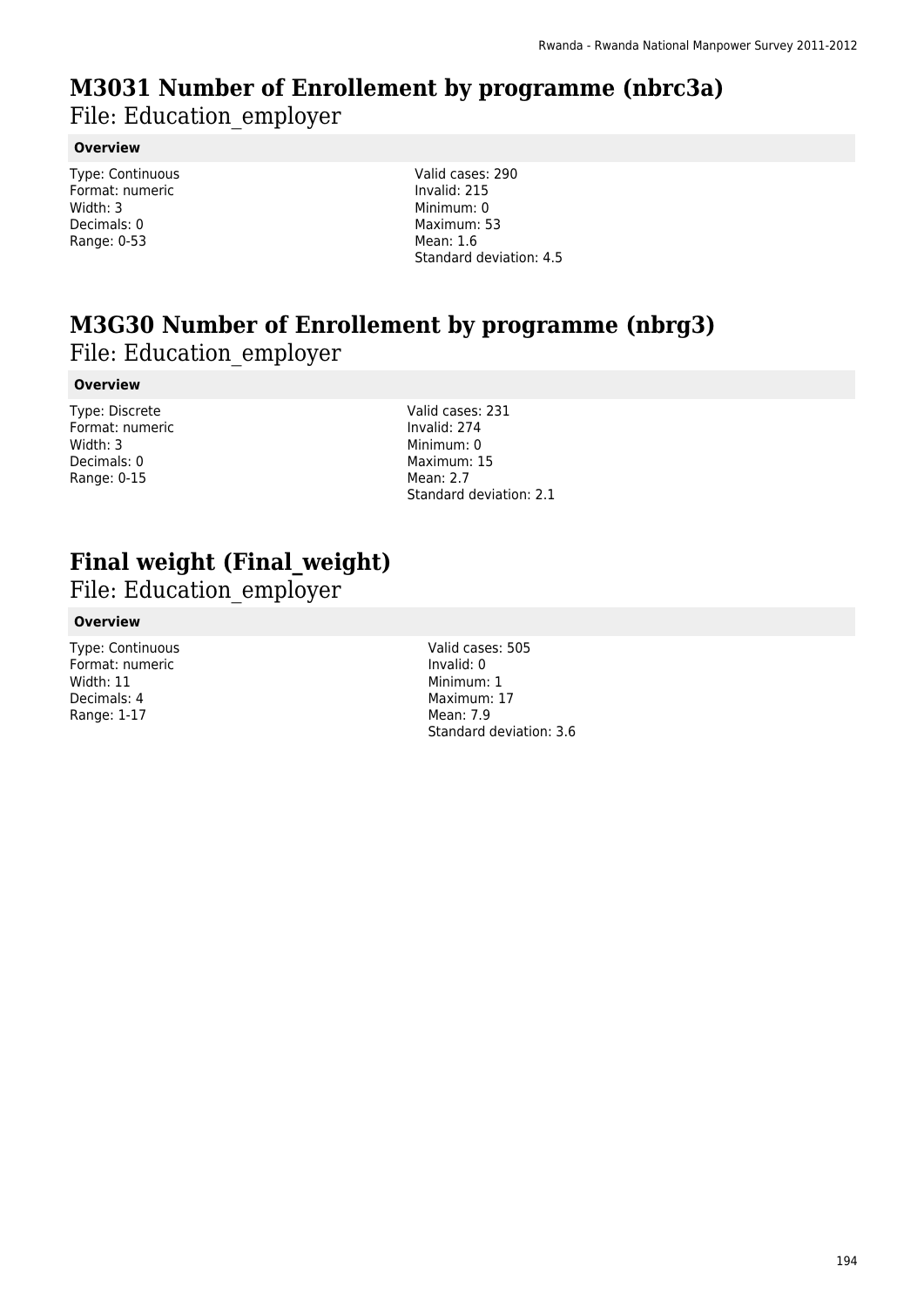## **M3031 Number of Enrollement by programme (nbrc3a)**

File: Education\_employer

#### **Overview**

Type: Continuous Format: numeric Width: 3 Decimals: 0 Range: 0-53

Valid cases: 290 Invalid: 215 Minimum: 0 Maximum: 53 Mean: 1.6 Standard deviation: 4.5

### **M3G30 Number of Enrollement by programme (nbrg3)**  File: Education\_employer

#### **Overview**

Type: Discrete Format: numeric Width: 3 Decimals: 0 Range: 0-15

Valid cases: 231 Invalid: 274 Minimum: 0 Maximum: 15 Mean: 2.7 Standard deviation: 2.1

### **Final weight (Final\_weight)**

File: Education\_employer

#### **Overview**

Type: Continuous Format: numeric Width: 11 Decimals: 4 Range: 1-17

Valid cases: 505 Invalid: 0 Minimum: 1 Maximum: 17 Mean: 7.9 Standard deviation: 3.6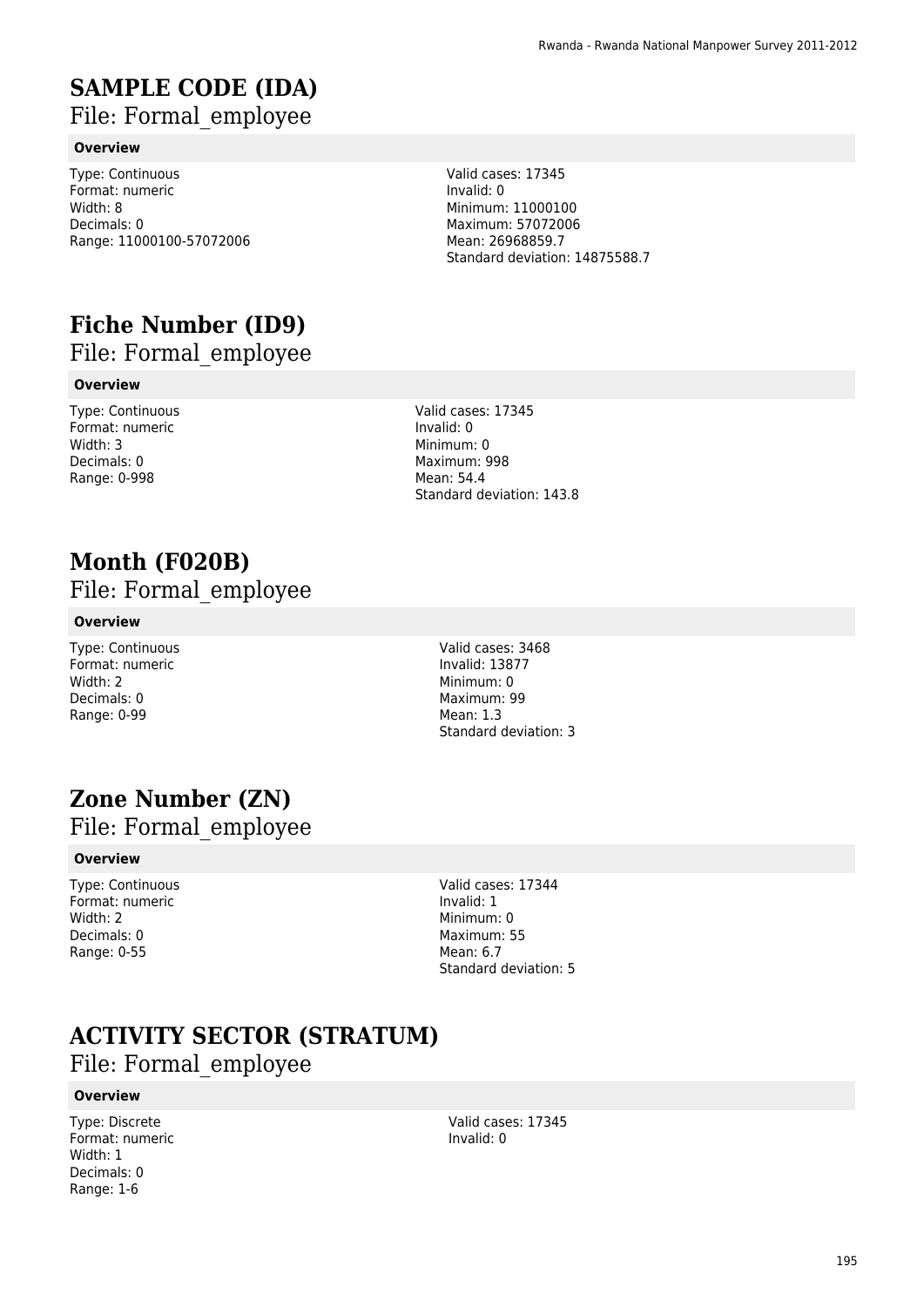### **SAMPLE CODE (IDA)**  File: Formal\_employee

#### **Overview**

Type: Continuous Format: numeric Width: 8 Decimals: 0 Range: 11000100-57072006

Valid cases: 17345 Invalid: 0 Minimum: 11000100 Maximum: 57072006 Mean: 26968859.7 Standard deviation: 14875588.7

## **Fiche Number (ID9)**

File: Formal\_employee

#### **Overview**

Type: Continuous Format: numeric Width: 3 Decimals: 0 Range: 0-998

Valid cases: 17345 Invalid: 0 Minimum: 0 Maximum: 998 Mean: 54.4 Standard deviation: 143.8

### **Month (F020B)**  File: Formal\_employee

#### **Overview**

Type: Continuous Format: numeric Width: 2 Decimals: 0 Range: 0-99

Valid cases: 3468 Invalid: 13877 Minimum: 0 Maximum: 99 Mean: 1.3 Standard deviation: 3

## **Zone Number (ZN)**

### File: Formal\_employee

#### **Overview**

Type: Continuous Format: numeric Width: 2 Decimals: 0 Range: 0-55

Valid cases: 17344 Invalid: 1 Minimum: 0 Maximum: 55 Mean: 6.7 Standard deviation: 5

### **ACTIVITY SECTOR (STRATUM)**  File: Formal\_employee

#### **Overview**

Type: Discrete Format: numeric Width: 1 Decimals: 0 Range: 1-6

Valid cases: 17345 Invalid: 0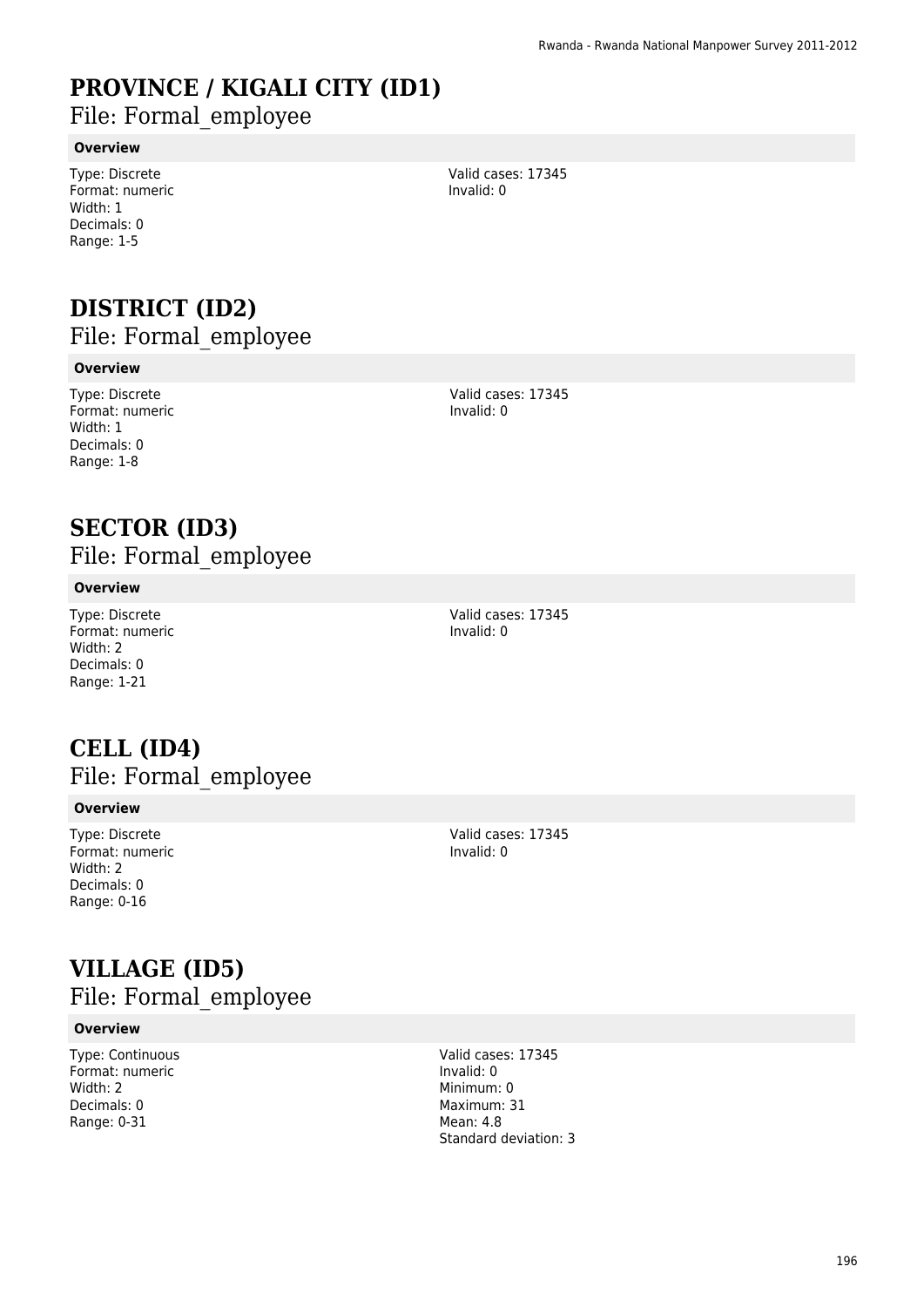## **PROVINCE / KIGALI CITY (ID1)**

File: Formal\_employee

#### **Overview**

Type: Discrete Format: numeric Width: 1 Decimals: 0 Range: 1-5

# **DISTRICT (ID2)**

File: Formal\_employee

#### **Overview**

Type: Discrete Format: numeric Width: 1 Decimals: 0 Range: 1-8

Valid cases: 17345 Invalid: 0

Valid cases: 17345

Invalid: 0

## **SECTOR (ID3)**

File: Formal\_employee

#### **Overview**

Type: Discrete Format: numeric Width: 2 Decimals: 0 Range: 1-21

#### Valid cases: 17345 Invalid: 0

### **CELL (ID4)**  File: Formal\_employee

#### **Overview**

Type: Discrete Format: numeric Width: 2 Decimals: 0 Range: 0-16

Valid cases: 17345 Invalid: 0

### **VILLAGE (ID5)**  File: Formal\_employee

#### **Overview**

Type: Continuous Format: numeric Width: 2 Decimals: 0 Range: 0-31

Valid cases: 17345 Invalid: 0 Minimum: 0 Maximum: 31  $Mean: 4.8$ Standard deviation: 3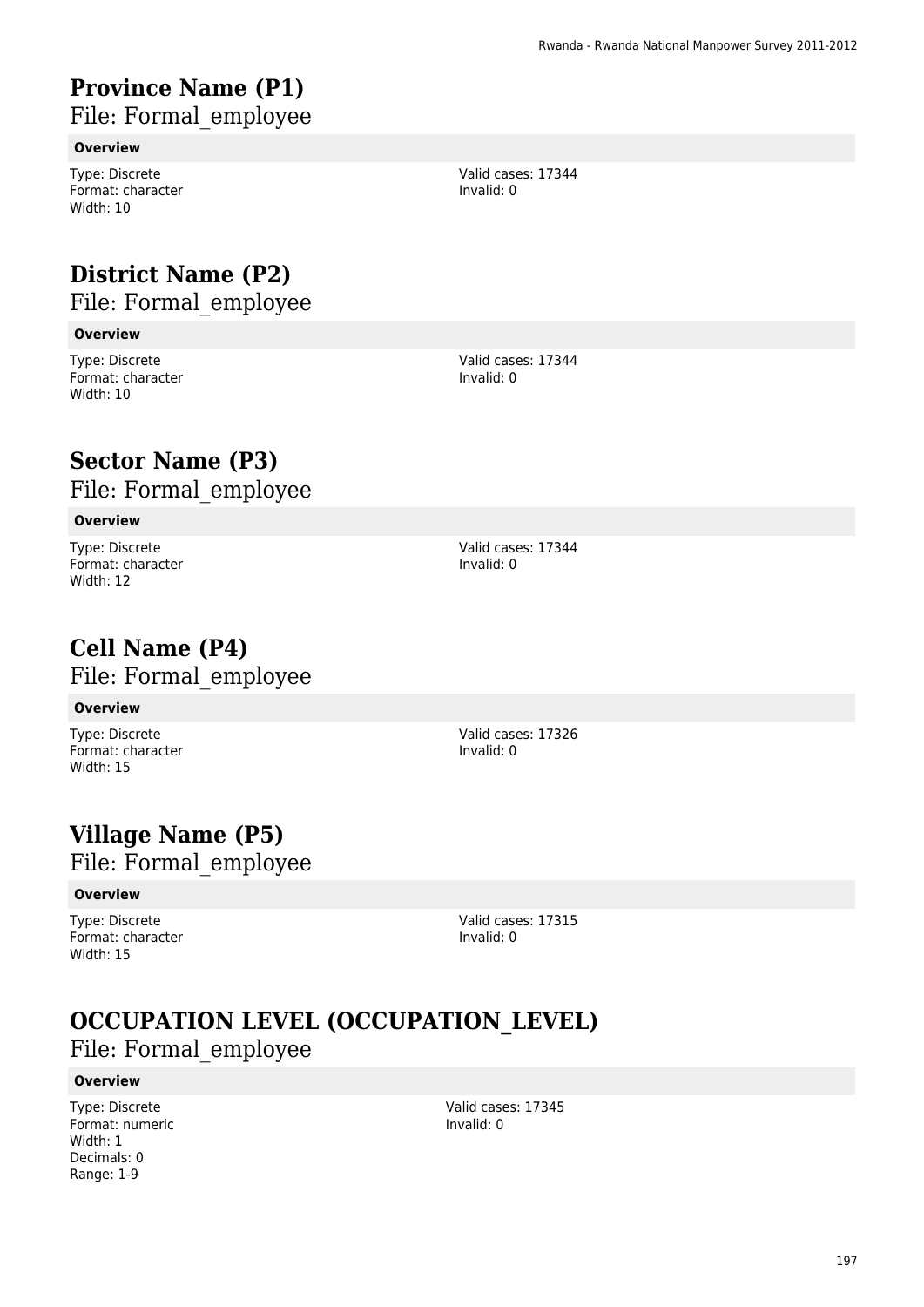### **Province Name (P1)**

File: Formal\_employee

#### **Overview**

Type: Discrete Format: character Width: 10

Valid cases: 17344 Invalid: 0

## **District Name (P2)**

File: Formal\_employee

#### **Overview**

Type: Discrete Format: character Width: 10

Valid cases: 17344 Invalid: 0

### **Sector Name (P3)**

File: Formal\_employee

#### **Overview**

Type: Discrete Format: character Width: 12

## **Cell Name (P4)**

File: Formal\_employee

#### **Overview**

Type: Discrete Format: character Width: 15

Valid cases: 17344 Invalid: 0

Valid cases: 17326 Invalid: 0

### **Village Name (P5)**

File: Formal\_employee

#### **Overview**

Type: Discrete Format: character Width: 15

Valid cases: 17315 Invalid: 0

### **OCCUPATION LEVEL (OCCUPATION\_LEVEL)**  File: Formal\_employee

#### **Overview**

Type: Discrete Format: numeric Width: 1 Decimals: 0 Range: 1-9

Valid cases: 17345 Invalid: 0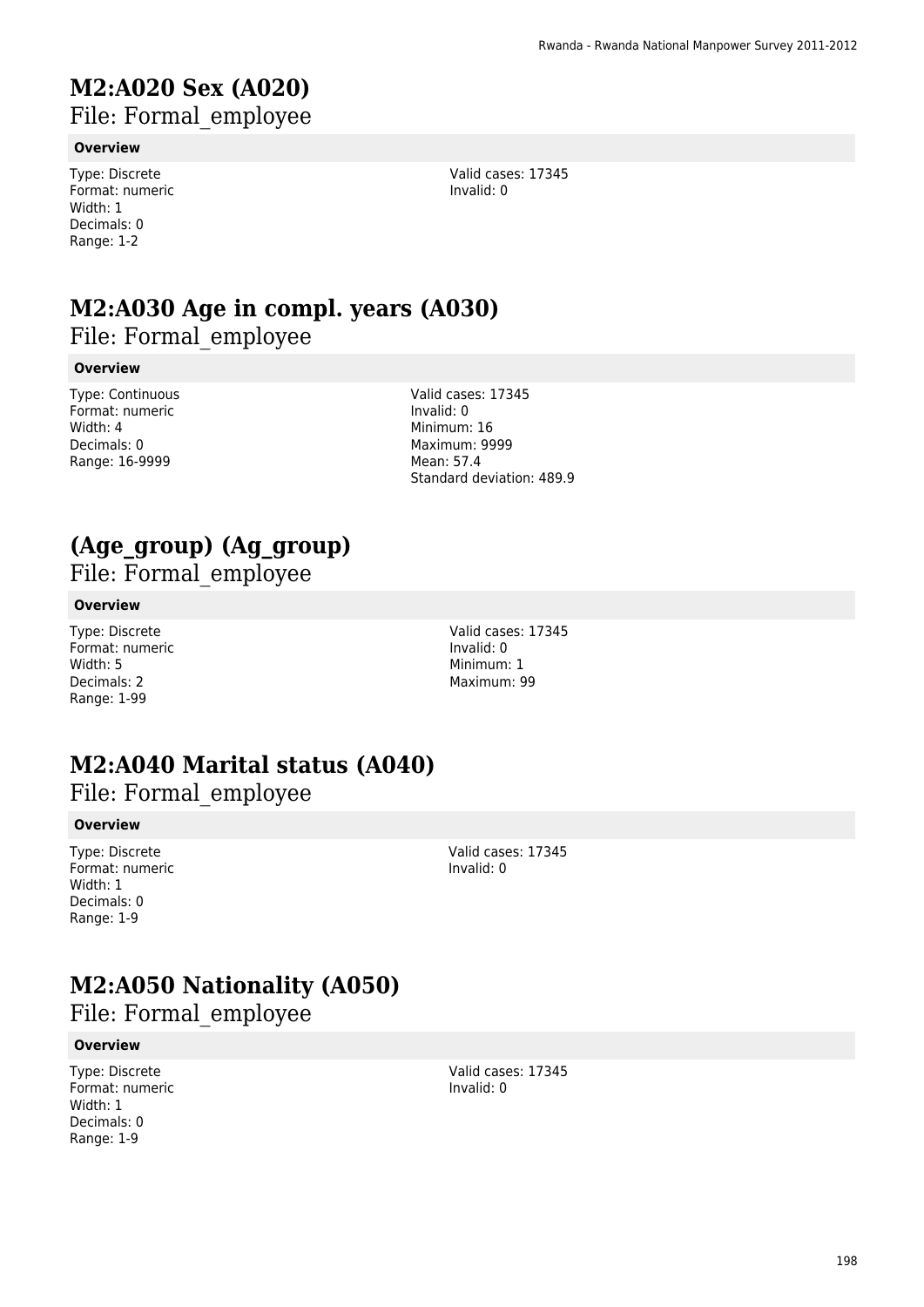## **M2:A020 Sex (A020)**

File: Formal\_employee

#### **Overview**

Type: Discrete Format: numeric Width: 1 Decimals: 0 Range: 1-2

Valid cases: 17345 Invalid: 0

## **M2:A030 Age in compl. years (A030)**

File: Formal\_employee

#### **Overview**

Type: Continuous Format: numeric Width: 4 Decimals: 0 Range: 16-9999

Valid cases: 17345 Invalid: 0 Minimum: 16 Maximum: 9999 Mean: 57.4 Standard deviation: 489.9

### **(Age\_group) (Ag\_group)**  File: Formal\_employee

#### **Overview**

Type: Discrete Format: numeric Width: 5 Decimals: 2 Range: 1-99

Valid cases: 17345 Invalid: 0 Minimum: 1 Maximum: 99

### **M2:A040 Marital status (A040)**

File: Formal\_employee

#### **Overview**

Type: Discrete Format: numeric Width: 1 Decimals: 0 Range: 1-9

Valid cases: 17345 Invalid: 0

## **M2:A050 Nationality (A050)**

File: Formal\_employee

#### **Overview**

Type: Discrete Format: numeric Width: 1 Decimals: 0 Range: 1-9

Valid cases: 17345 Invalid: 0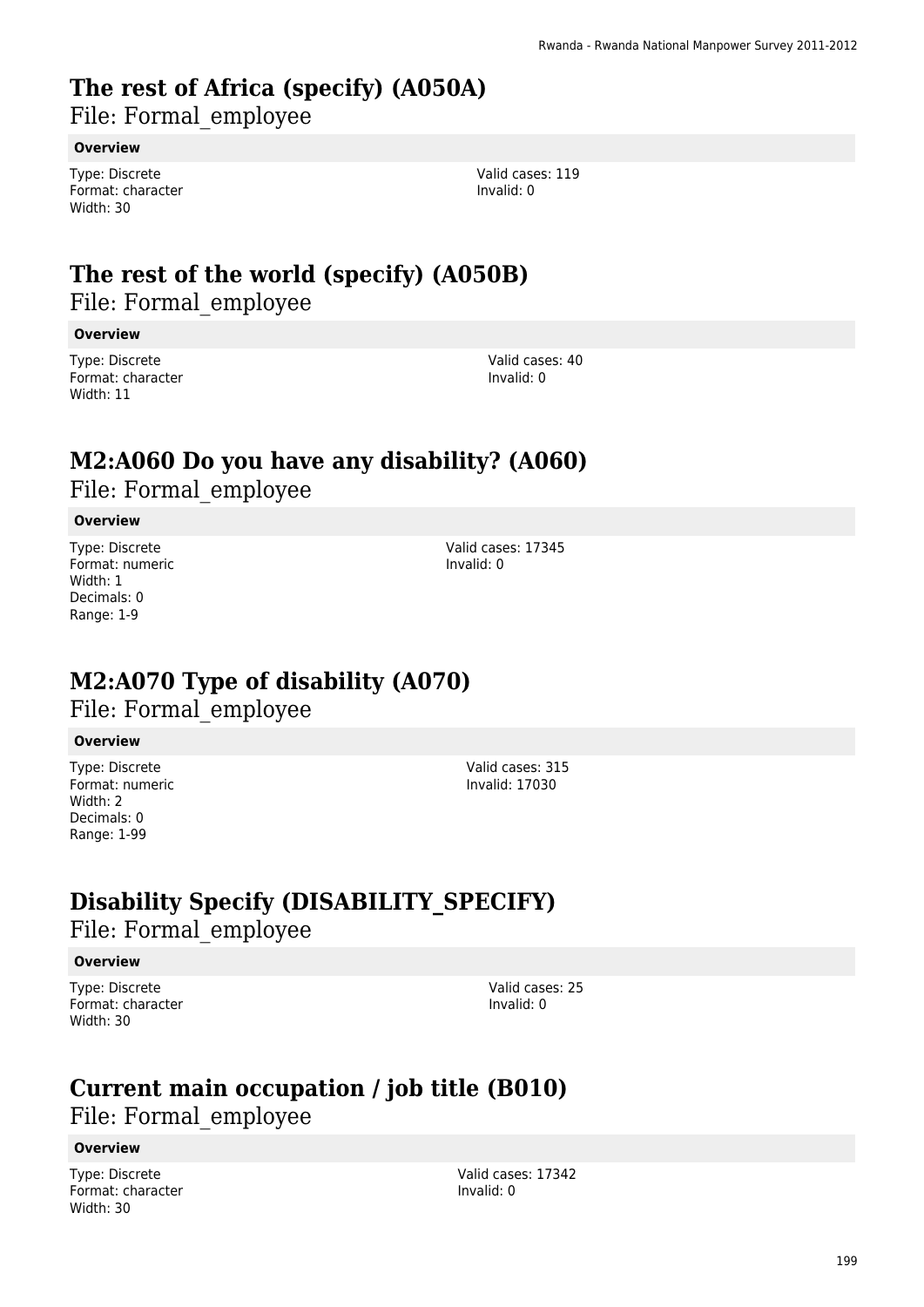## **The rest of Africa (specify) (A050A)**

File: Formal\_employee

#### **Overview**

Type: Discrete Format: character Width: 30

### **The rest of the world (specify) (A050B)**

File: Formal\_employee

#### **Overview**

Type: Discrete Format: character Width: 11

### **M2:A060 Do you have any disability? (A060)**  File: Formal\_employee

#### **Overview**

Type: Discrete Format: numeric Width: 1 Decimals: 0 Range: 1-9

Valid cases: 17345 Invalid: 0

### **M2:A070 Type of disability (A070)**  File: Formal\_employee

#### **Overview**

Type: Discrete Format: numeric Width: 2 Decimals: 0 Range: 1-99

Valid cases: 315 Invalid: 17030

## **Disability Specify (DISABILITY\_SPECIFY)**

File: Formal\_employee

#### **Overview**

Type: Discrete Format: character Width: 30

Valid cases: 25 Invalid: 0

### **Current main occupation / job title (B010)**  File: Formal\_employee

#### **Overview**

Type: Discrete Format: character Width: 30

Valid cases: 17342 Invalid: 0

Valid cases: 119 Invalid: 0

> Valid cases: 40 Invalid: 0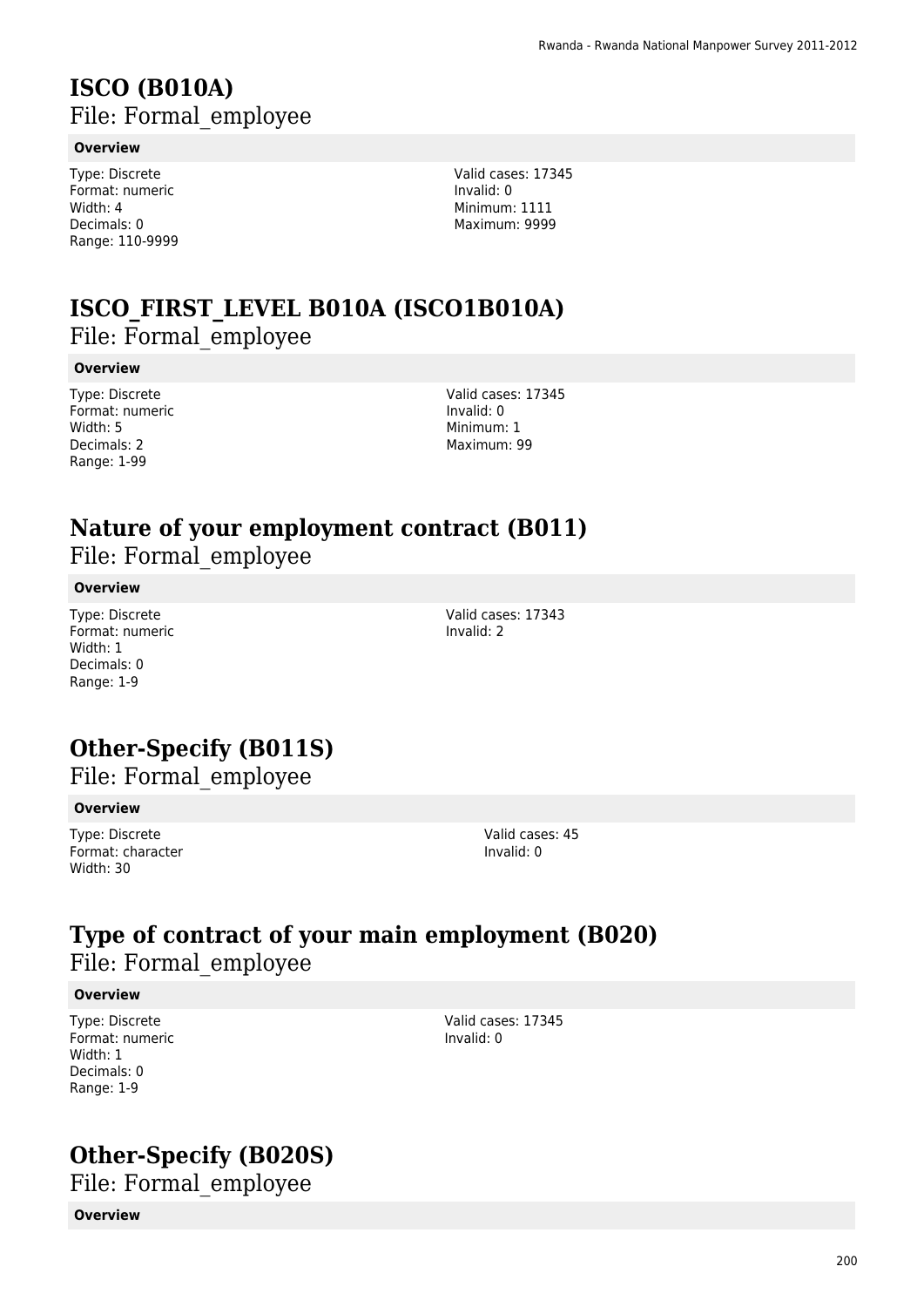### **ISCO (B010A)**  File: Formal\_employee

#### **Overview**

Type: Discrete Format: numeric Width: 4 Decimals: 0 Range: 110-9999

Valid cases: 17345 Invalid: 0 Minimum: 1111 Maximum: 9999

### **ISCO\_FIRST\_LEVEL B010A (ISCO1B010A)**  File: Formal\_employee

#### **Overview**

Type: Discrete Format: numeric Width: 5 Decimals: 2 Range: 1-99

Valid cases: 17345 Invalid: 0 Minimum: 1 Maximum: 99

## **Nature of your employment contract (B011)**

File: Formal\_employee

#### **Overview**

Type: Discrete Format: numeric Width: 1 Decimals: 0 Range: 1-9

Valid cases: 17343 Invalid: 2

### **Other-Specify (B011S)**

File: Formal\_employee

#### **Overview**

Type: Discrete Format: character Width: 30

Valid cases: 45 Invalid: 0

### **Type of contract of your main employment (B020)**  File: Formal\_employee

#### **Overview**

Type: Discrete Format: numeric Width: 1 Decimals: 0 Range: 1-9

Valid cases: 17345 Invalid: 0

### **Other-Specify (B020S)**

File: Formal\_employee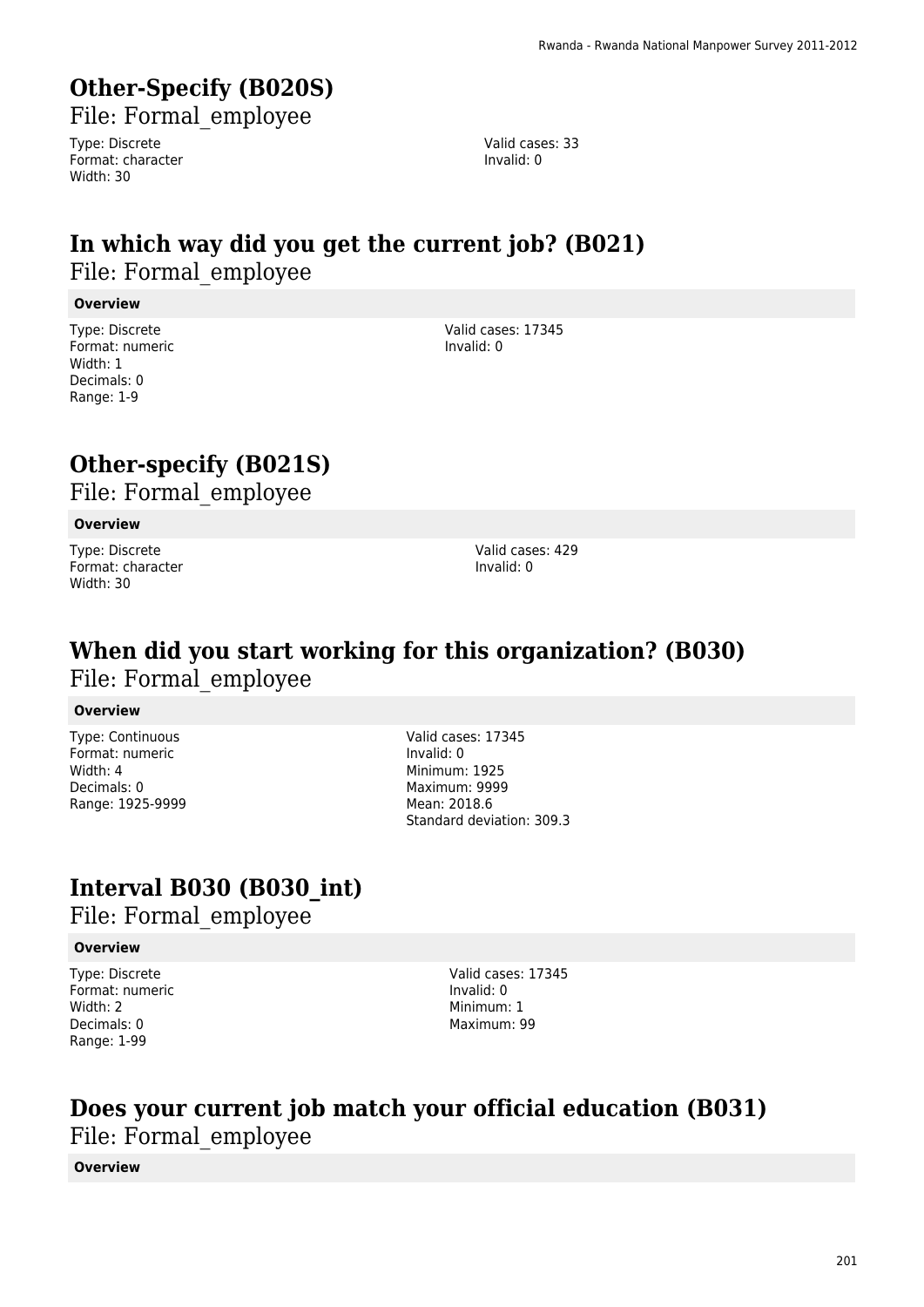### **Other-Specify (B020S)**

File: Formal\_employee

Type: Discrete Format: character Width: 30

Valid cases: 33 Invalid: 0

### **In which way did you get the current job? (B021)**  File: Formal\_employee

#### **Overview**

Type: Discrete Format: numeric Width: 1 Decimals: 0 Range: 1-9

Valid cases: 17345 Invalid: 0

## **Other-specify (B021S)**

File: Formal\_employee

#### **Overview**

Type: Discrete Format: character Width: 30

Valid cases: 429 Invalid: 0

### **When did you start working for this organization? (B030)**  File: Formal\_employee

#### **Overview**

Type: Continuous Format: numeric Width: 4 Decimals: 0 Range: 1925-9999

Valid cases: 17345 Invalid: 0 Minimum: 1925 Maximum: 9999 Mean: 2018.6 Standard deviation: 309.3

### **Interval B030 (B030\_int)**

File: Formal\_employee

#### **Overview**

Type: Discrete Format: numeric Width: 2 Decimals: 0 Range: 1-99

Valid cases: 17345 Invalid: 0 Minimum: 1 Maximum: 99

## **Does your current job match your official education (B031)**

File: Formal\_employee

#### **Overview**

201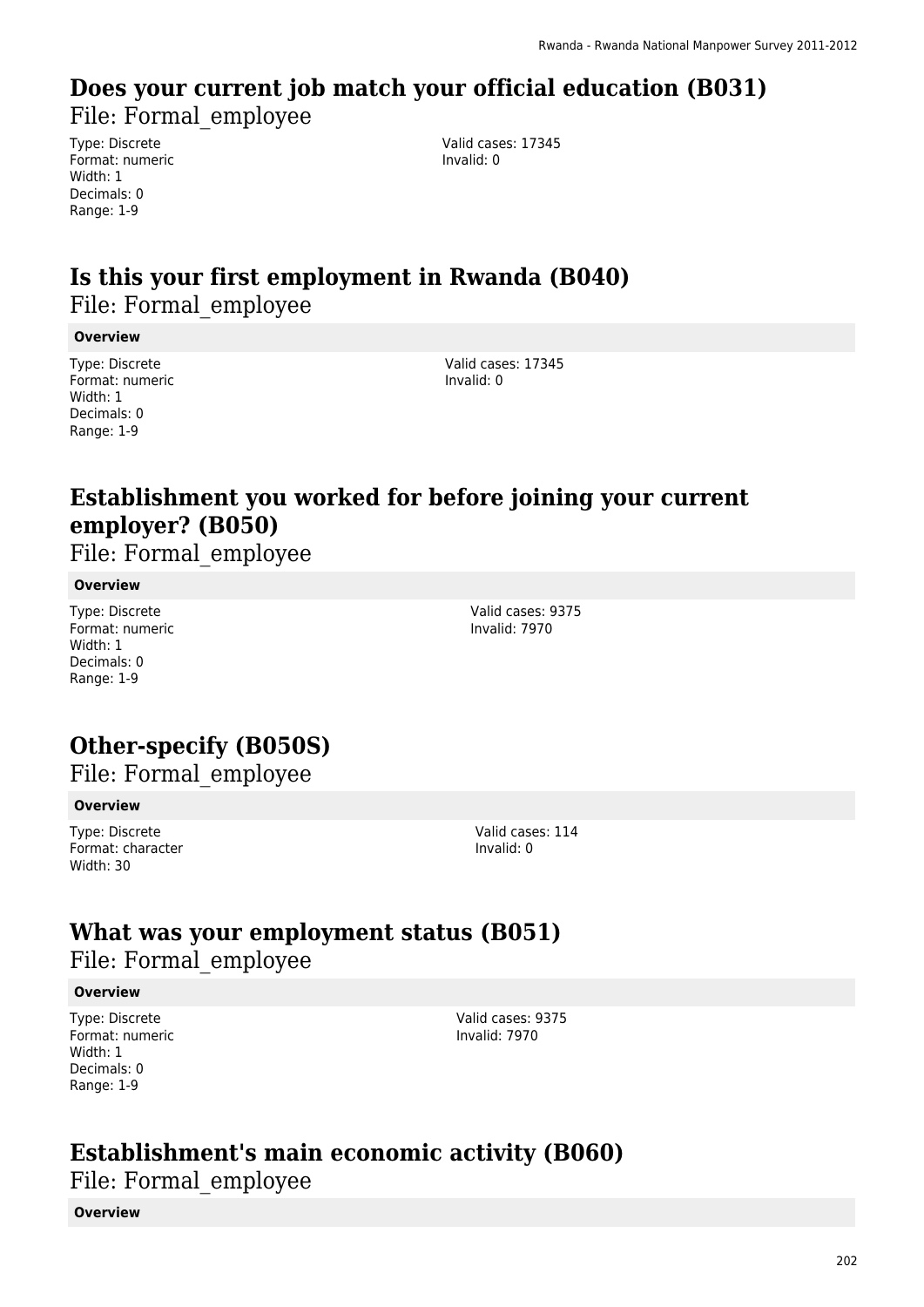### **Does your current job match your official education (B031)**

File: Formal\_employee

Type: Discrete Format: numeric Width: 1 Decimals: 0 Range: 1-9

Valid cases: 17345 Invalid: 0

### **Is this your first employment in Rwanda (B040)**  File: Formal\_employee

#### **Overview**

Type: Discrete Format: numeric Width: 1 Decimals: 0 Range: 1-9

Valid cases: 17345 Invalid: 0

### **Establishment you worked for before joining your current employer? (B050)**

File: Formal\_employee

#### **Overview**

Type: Discrete Format: numeric Width: 1 Decimals: 0 Range: 1-9

Valid cases: 9375 Invalid: 7970

### **Other-specify (B050S)**

File: Formal\_employee

#### **Overview**

Type: Discrete Format: character Width: 30

Valid cases: 114 Invalid: 0

### **What was your employment status (B051)**

File: Formal\_employee

#### **Overview**

Type: Discrete Format: numeric Width: 1 Decimals: 0 Range: 1-9

Valid cases: 9375 Invalid: 7970

### **Establishment's main economic activity (B060)**

File: Formal\_employee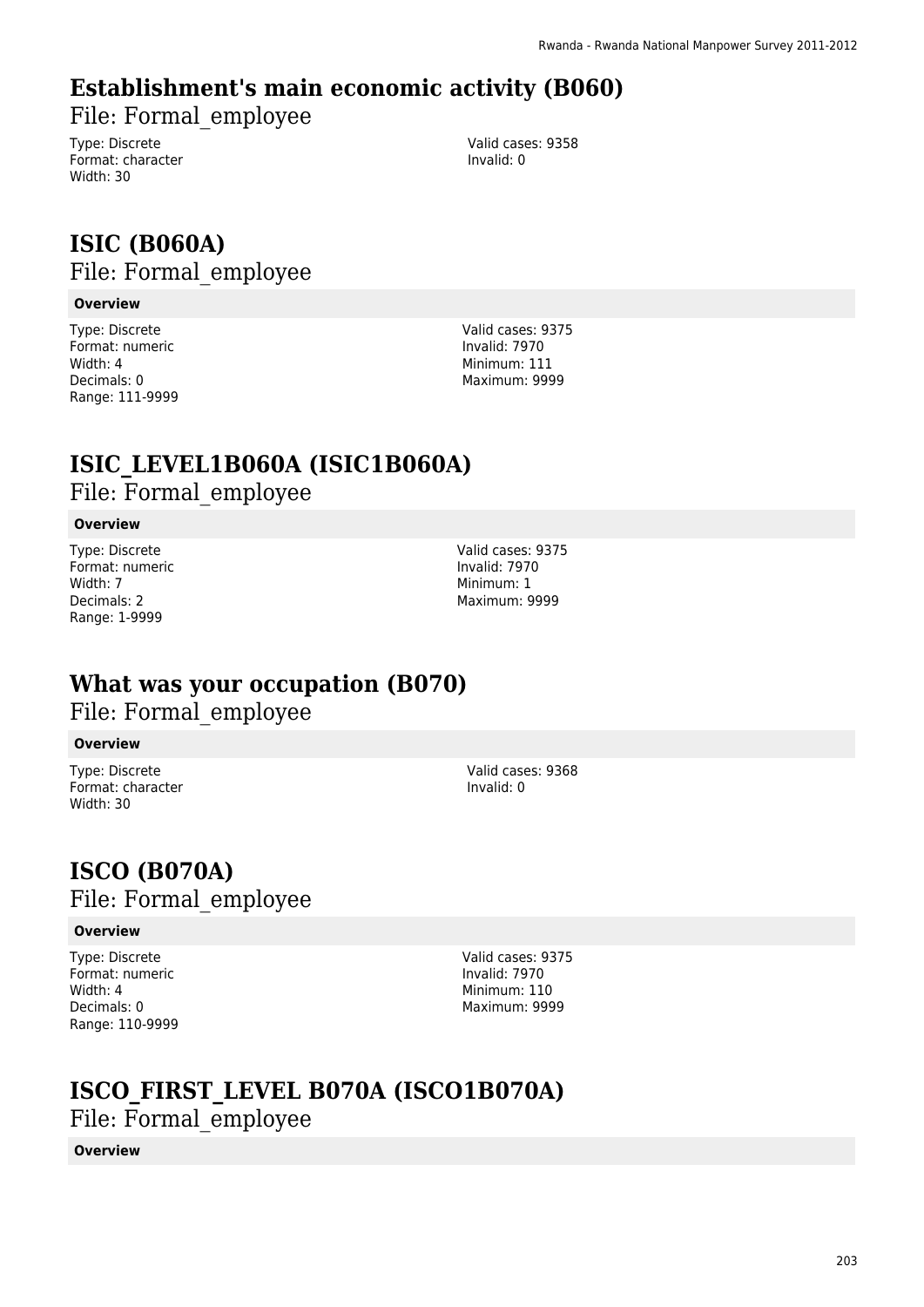### **Establishment's main economic activity (B060)**

File: Formal\_employee

Type: Discrete Format: character Width: 30

Valid cases: 9358 Invalid: 0

### **ISIC (B060A)**  File: Formal\_employee

#### **Overview**

Type: Discrete Format: numeric Width: 4 Decimals: 0 Range: 111-9999

Valid cases: 9375 Invalid: 7970 Minimum: 111 Maximum: 9999

### **ISIC\_LEVEL1B060A (ISIC1B060A)**  File: Formal\_employee

#### **Overview**

Type: Discrete Format: numeric Width: 7 Decimals: 2 Range: 1-9999

Valid cases: 9375 Invalid: 7970 Minimum: 1 Maximum: 9999

## **What was your occupation (B070)**

File: Formal\_employee

#### **Overview**

Type: Discrete Format: character Width: 30

### **ISCO (B070A)**  File: Formal\_employee

#### **Overview**

Type: Discrete Format: numeric Width: 4 Decimals: 0 Range: 110-9999 Valid cases: 9368 Invalid: 0

Valid cases: 9375 Invalid: 7970 Minimum: 110 Maximum: 9999

### **ISCO\_FIRST\_LEVEL B070A (ISCO1B070A)**

File: Formal\_employee

#### **Overview**

203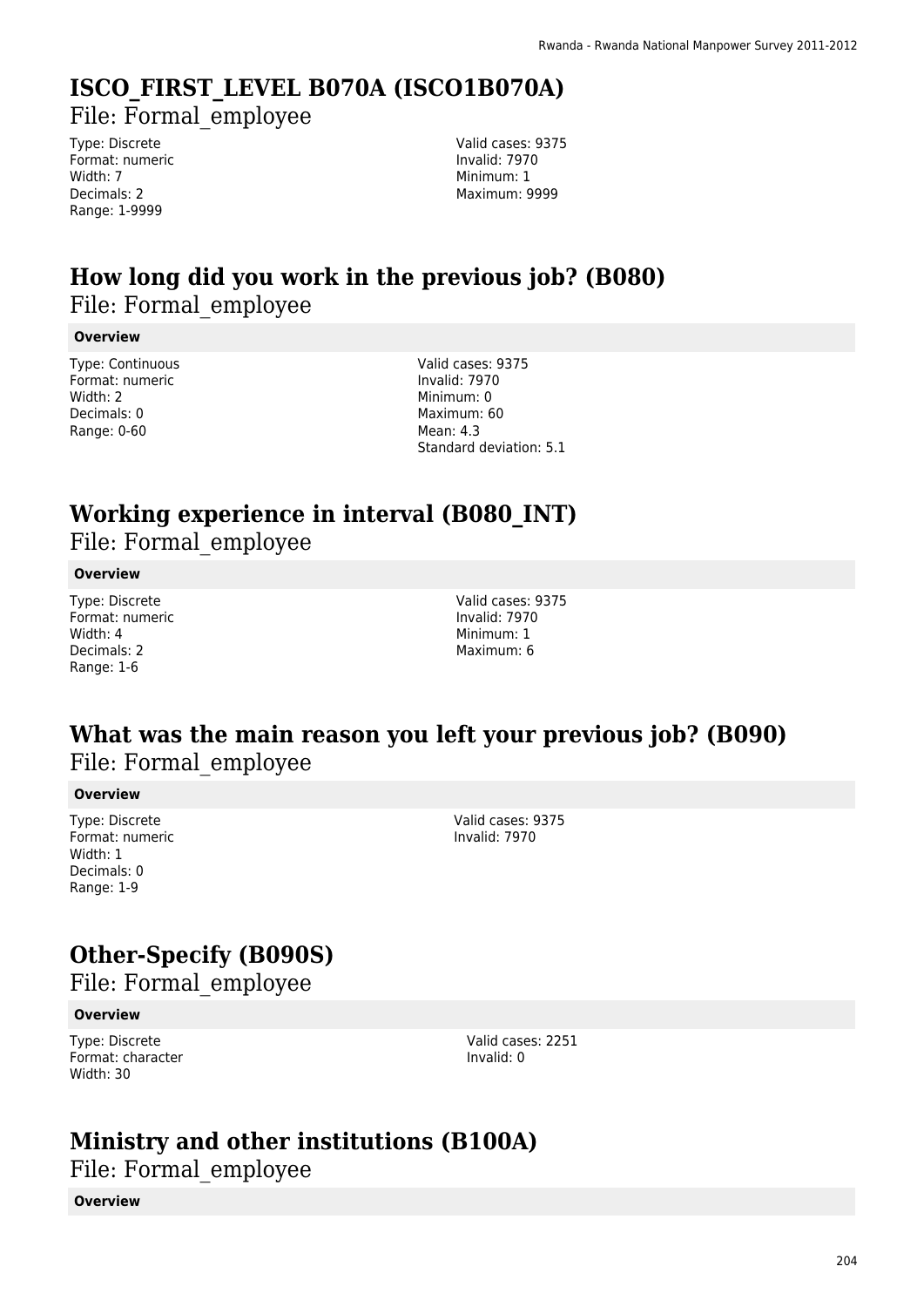### **ISCO\_FIRST\_LEVEL B070A (ISCO1B070A)**

File: Formal\_employee

Type: Discrete Format: numeric Width: 7 Decimals: 2 Range: 1-9999

Valid cases: 9375 Invalid: 7970 Minimum: 1 Maximum: 9999

### **How long did you work in the previous job? (B080)**  File: Formal\_employee

#### **Overview**

Type: Continuous Format: numeric Width: 2 Decimals: 0 Range: 0-60

Valid cases: 9375 Invalid: 7970 Minimum: 0 Maximum: 60 Mean: 4.3 Standard deviation: 5.1

### **Working experience in interval (B080\_INT)**

File: Formal\_employee

#### **Overview**

Type: Discrete Format: numeric Width: 4 Decimals: 2 Range: 1-6

Valid cases: 9375 Invalid: 7970 Minimum: 1 Maximum: 6

### **What was the main reason you left your previous job? (B090)**  File: Formal\_employee

#### **Overview**

Type: Discrete Format: numeric Width: 1 Decimals: 0 Range: 1-9

Valid cases: 9375 Invalid: 7970

### **Other-Specify (B090S)**

File: Formal\_employee

#### **Overview**

Type: Discrete Format: character Width: 30

Valid cases: 2251 Invalid: 0

### **Ministry and other institutions (B100A)**

File: Formal\_employee

#### **Overview**

204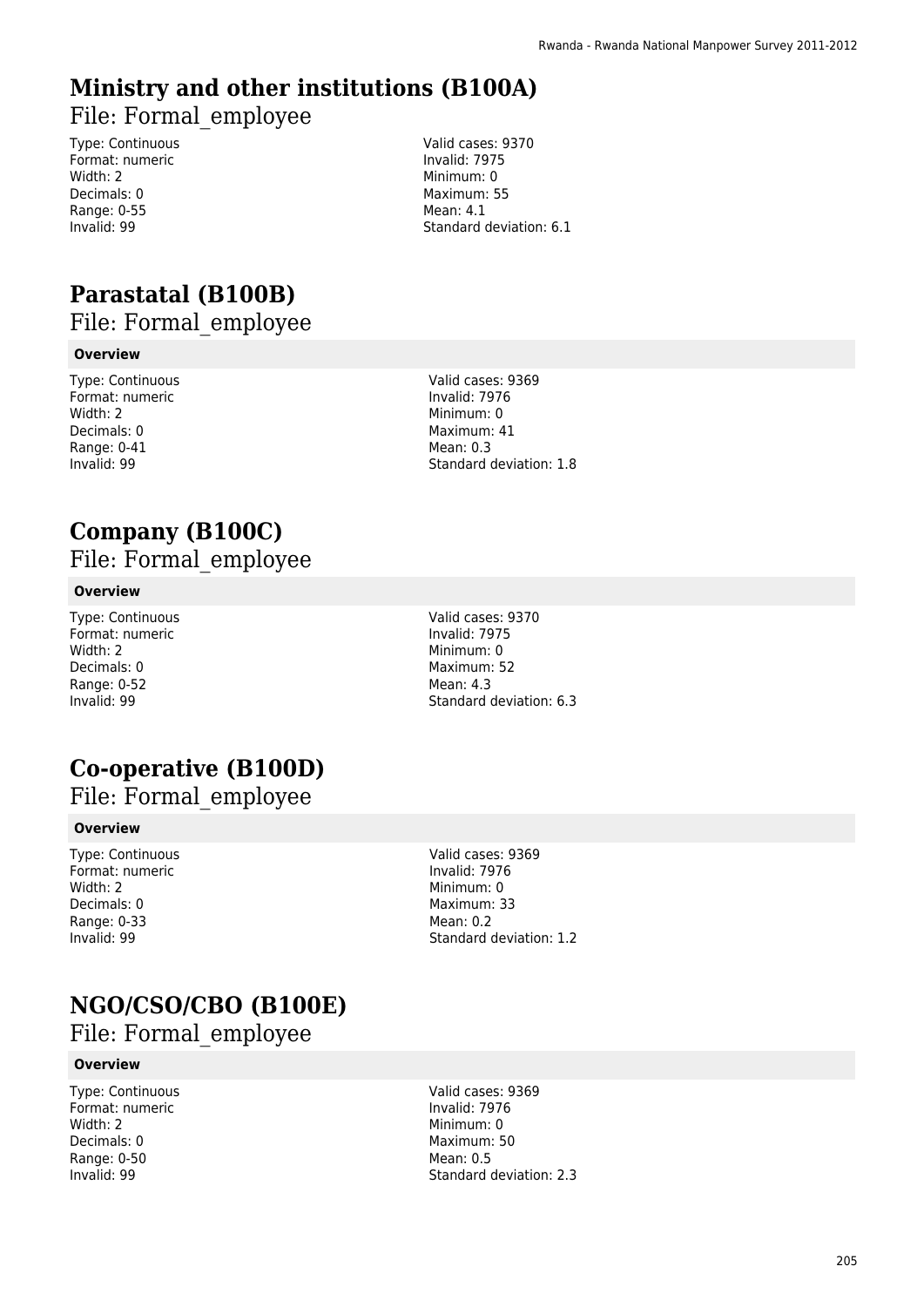### **Ministry and other institutions (B100A)**

File: Formal\_employee

Type: Continuous Format: numeric Width: 2 Decimals: 0 Range: 0-55 Invalid: 99

Valid cases: 9370 Invalid: 7975 Minimum: 0 Maximum: 55 Mean: 4.1 Standard deviation: 6.1

## **Parastatal (B100B)**

File: Formal\_employee

#### **Overview**

Type: Continuous Format: numeric Width: 2 Decimals: 0 Range: 0-41 Invalid: 99

Valid cases: 9369 Invalid: 7976 Minimum: 0 Maximum: 41 Mean: 0.3 Standard deviation: 1.8

### **Company (B100C)**  File: Formal\_employee

#### **Overview**

Type: Continuous Format: numeric Width: 2 Decimals: 0 Range: 0-52 Invalid: 99

Valid cases: 9370 Invalid: 7975 Minimum: 0 Maximum: 52 Mean: 4.3 Standard deviation: 6.3

## **Co-operative (B100D)**

File: Formal\_employee

#### **Overview**

Type: Continuous Format: numeric Width: 2 Decimals: 0 Range: 0-33 Invalid: 99

Valid cases: 9369 Invalid: 7976 Minimum: 0 Maximum: 33  $Mean: 0.2$ Standard deviation: 1.2

### **NGO/CSO/CBO (B100E)**

File: Formal\_employee

#### **Overview**

Type: Continuous Format: numeric Width: 2 Decimals: 0 Range: 0-50 Invalid: 99

Valid cases: 9369 Invalid: 7976 Minimum: 0 Maximum: 50 Mean: 0.5 Standard deviation: 2.3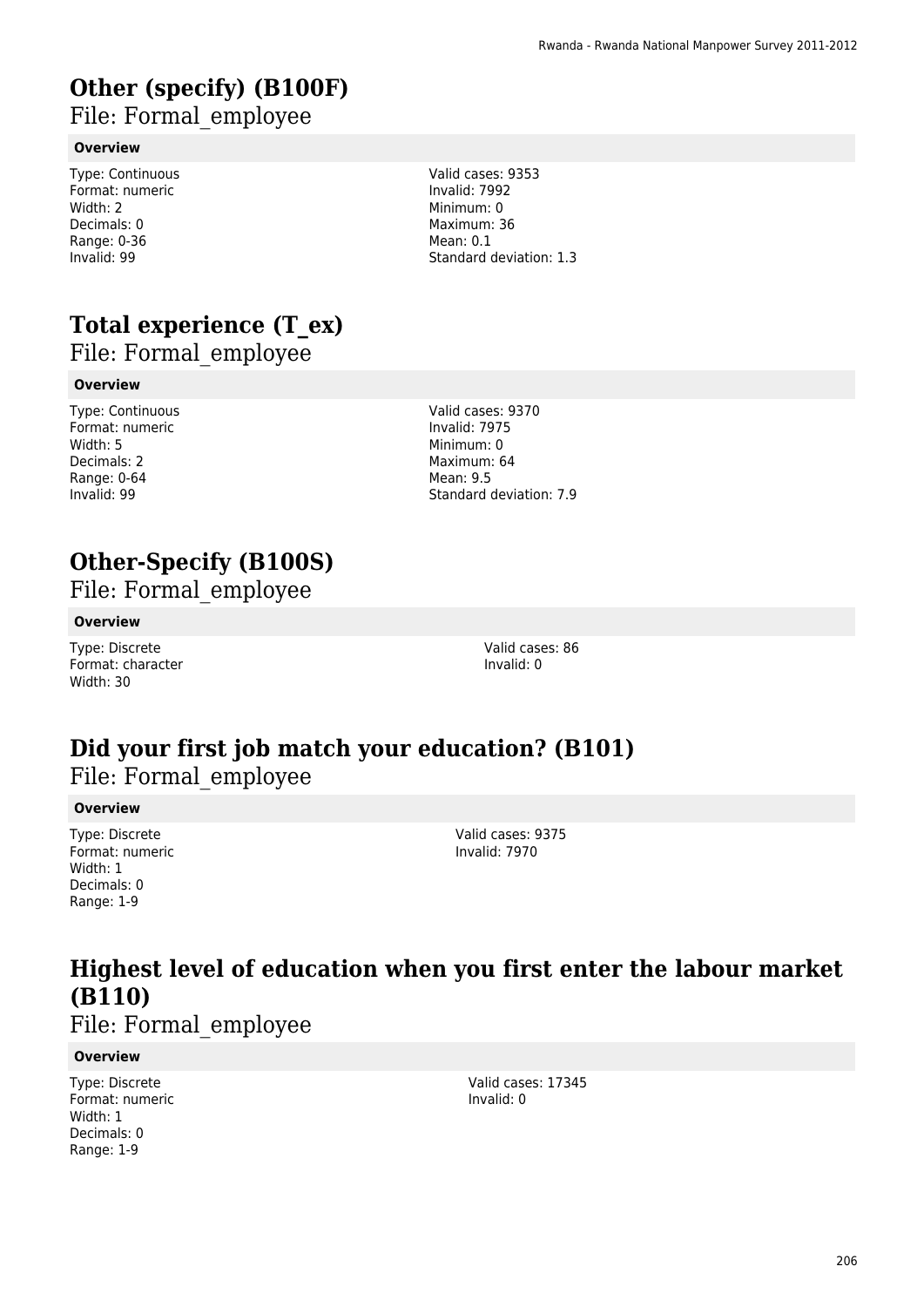## **Other (specify) (B100F)**

File: Formal\_employee

#### **Overview**

Type: Continuous Format: numeric Width: 2 Decimals: 0 Range: 0-36 Invalid: 99

Valid cases: 9353 Invalid: 7992 Minimum: 0 Maximum: 36 Mean: 0.1 Standard deviation: 1.3

### **Total experience (T\_ex)**  File: Formal\_employee

#### **Overview**

Type: Continuous Format: numeric Width: 5 Decimals: 2 Range: 0-64 Invalid: 99

Valid cases: 9370 Invalid: 7975 Minimum: 0 Maximum: 64 Mean: 9.5 Standard deviation: 7.9

### **Other-Specify (B100S)**

### File: Formal\_employee

**Overview**

Type: Discrete Format: character Width: 30

Valid cases: 86 Invalid: 0

### **Did your first job match your education? (B101)**  File: Formal\_employee

#### **Overview**

Type: Discrete Format: numeric Width: 1 Decimals: 0 Range: 1-9

Valid cases: 9375 Invalid: 7970

### **Highest level of education when you first enter the labour market (B110)**

File: Formal\_employee

#### **Overview**

Type: Discrete Format: numeric Width: 1 Decimals: 0 Range: 1-9

Valid cases: 17345 Invalid: 0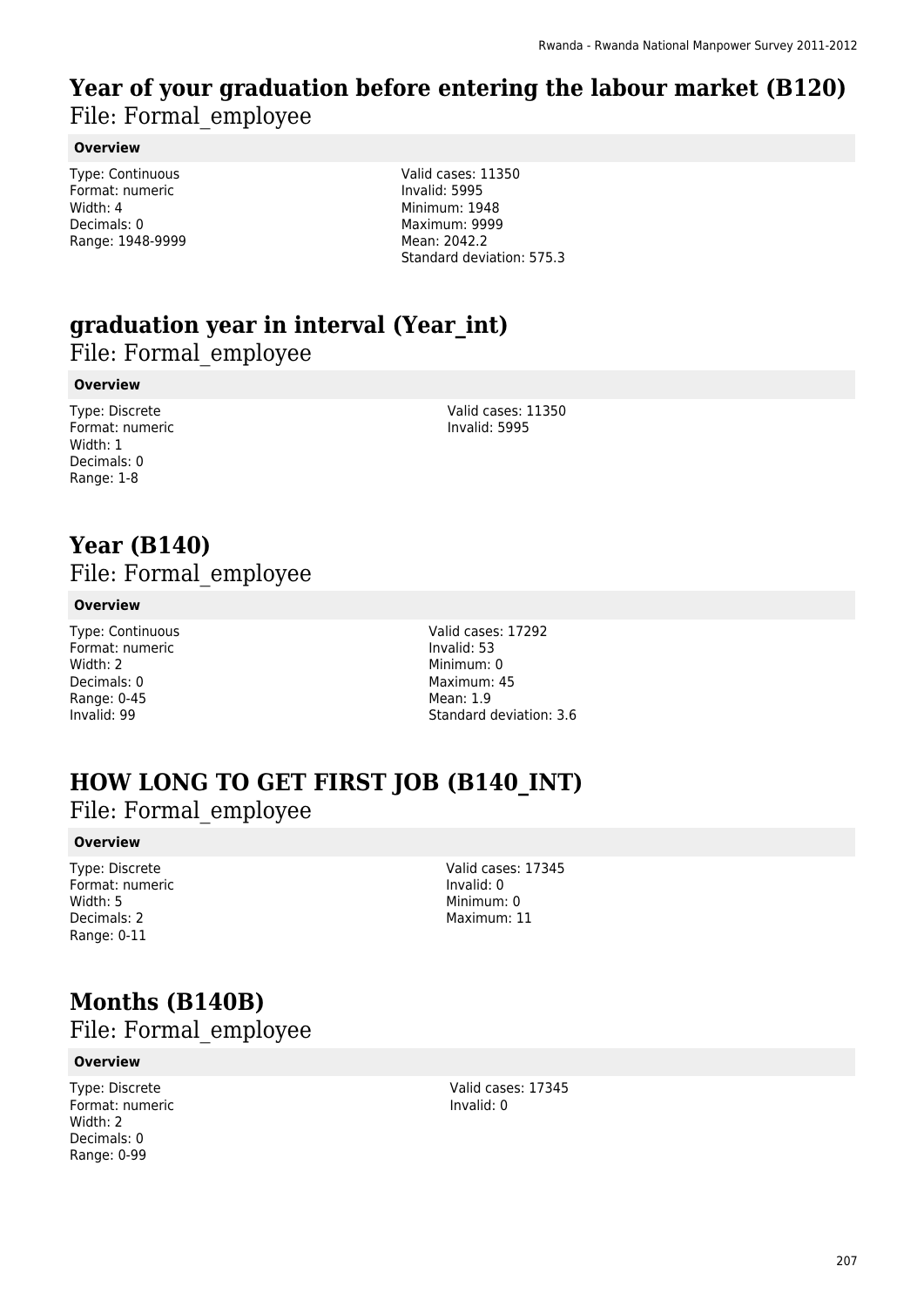### **Year of your graduation before entering the labour market (B120)**  File: Formal\_employee

#### **Overview**

Type: Continuous Format: numeric Width: 4 Decimals: 0 Range: 1948-9999

Valid cases: 11350 Invalid: 5995 Minimum: 1948 Maximum: 9999 Mean: 2042.2 Standard deviation: 575.3

### **graduation year in interval (Year\_int)**  File: Formal\_employee

#### **Overview**

Type: Discrete Format: numeric Width: 1 Decimals: 0 Range: 1-8

Valid cases: 11350 Invalid: 5995

### **Year (B140)**  File: Formal\_employee

#### **Overview**

Type: Continuous Format: numeric Width: 2 Decimals: 0 Range: 0-45 Invalid: 99

Valid cases: 17292 Invalid: 53 Minimum: 0 Maximum: 45 Mean: 1.9 Standard deviation: 3.6

## **HOW LONG TO GET FIRST JOB (B140\_INT)**

### File: Formal\_employee

#### **Overview**

Type: Discrete Format: numeric Width: 5 Decimals: 2 Range: 0-11

Valid cases: 17345 Invalid: 0 Minimum: 0 Maximum: 11

### **Months (B140B)**  File: Formal\_employee

### **Overview**

Type: Discrete Format: numeric Width: 2 Decimals: 0 Range: 0-99

Valid cases: 17345 Invalid: 0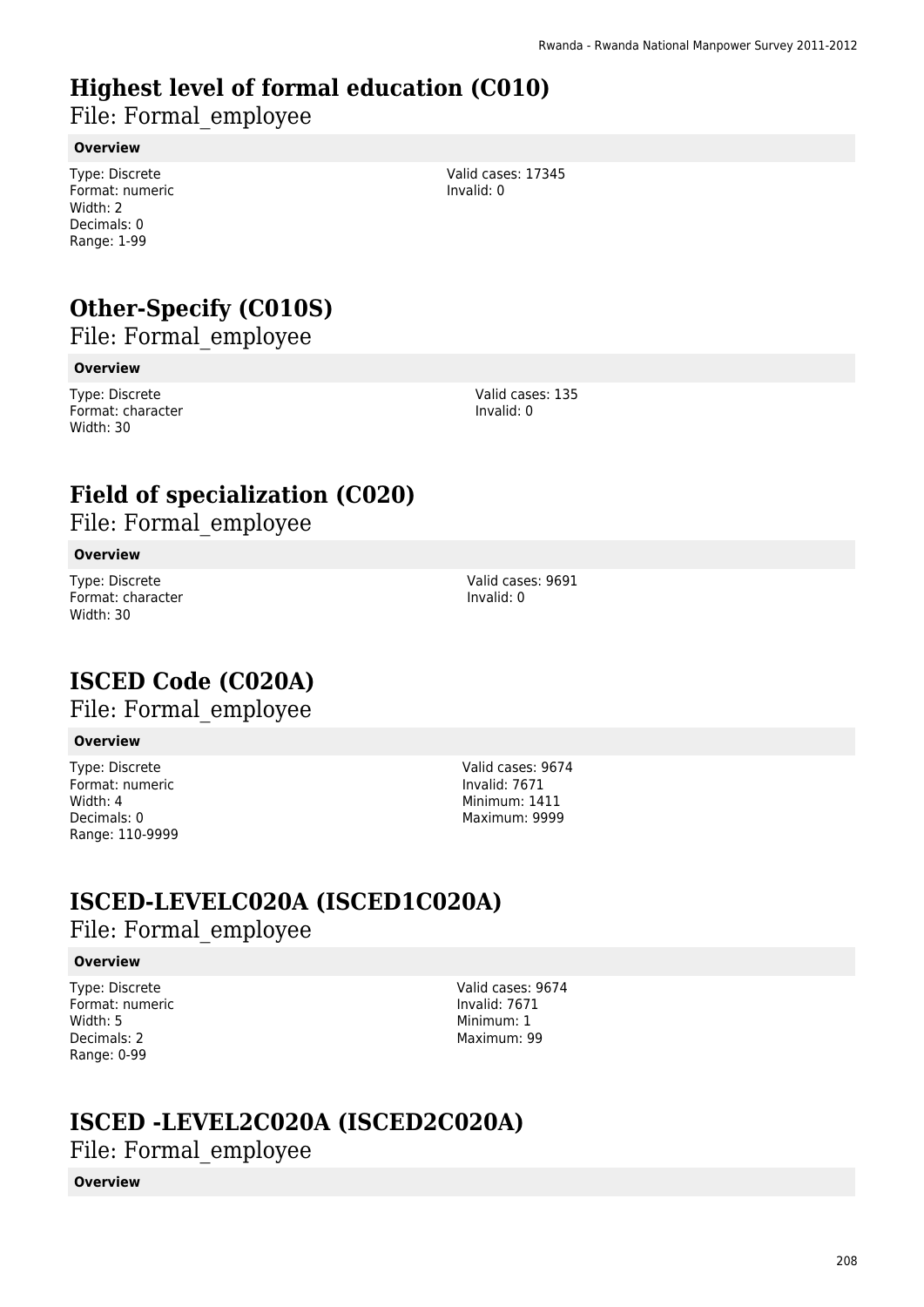### **Highest level of formal education (C010)**

File: Formal\_employee

#### **Overview**

Type: Discrete Format: numeric Width: 2 Decimals: 0 Range: 1-99

Valid cases: 17345 Invalid: 0

### **Other-Specify (C010S)**

File: Formal\_employee

#### **Overview**

Type: Discrete Format: character Width: 30

Valid cases: 135 Invalid: 0

Valid cases: 9691 Invalid: 0

### **Field of specialization (C020)**

File: Formal\_employee

#### **Overview**

Type: Discrete Format: character Width: 30

### **ISCED Code (C020A)**

File: Formal\_employee

#### **Overview**

Type: Discrete Format: numeric Width: 4 Decimals: 0 Range: 110-9999 Valid cases: 9674 Invalid: 7671 Minimum: 1411 Maximum: 9999

### **ISCED-LEVELC020A (ISCED1C020A)**

File: Formal\_employee

#### **Overview**

Type: Discrete Format: numeric Width: 5 Decimals: 2 Range: 0-99

Valid cases: 9674 Invalid: 7671 Minimum: 1 Maximum: 99

### **ISCED -LEVEL2C020A (ISCED2C020A)**

File: Formal\_employee

#### **Overview**

208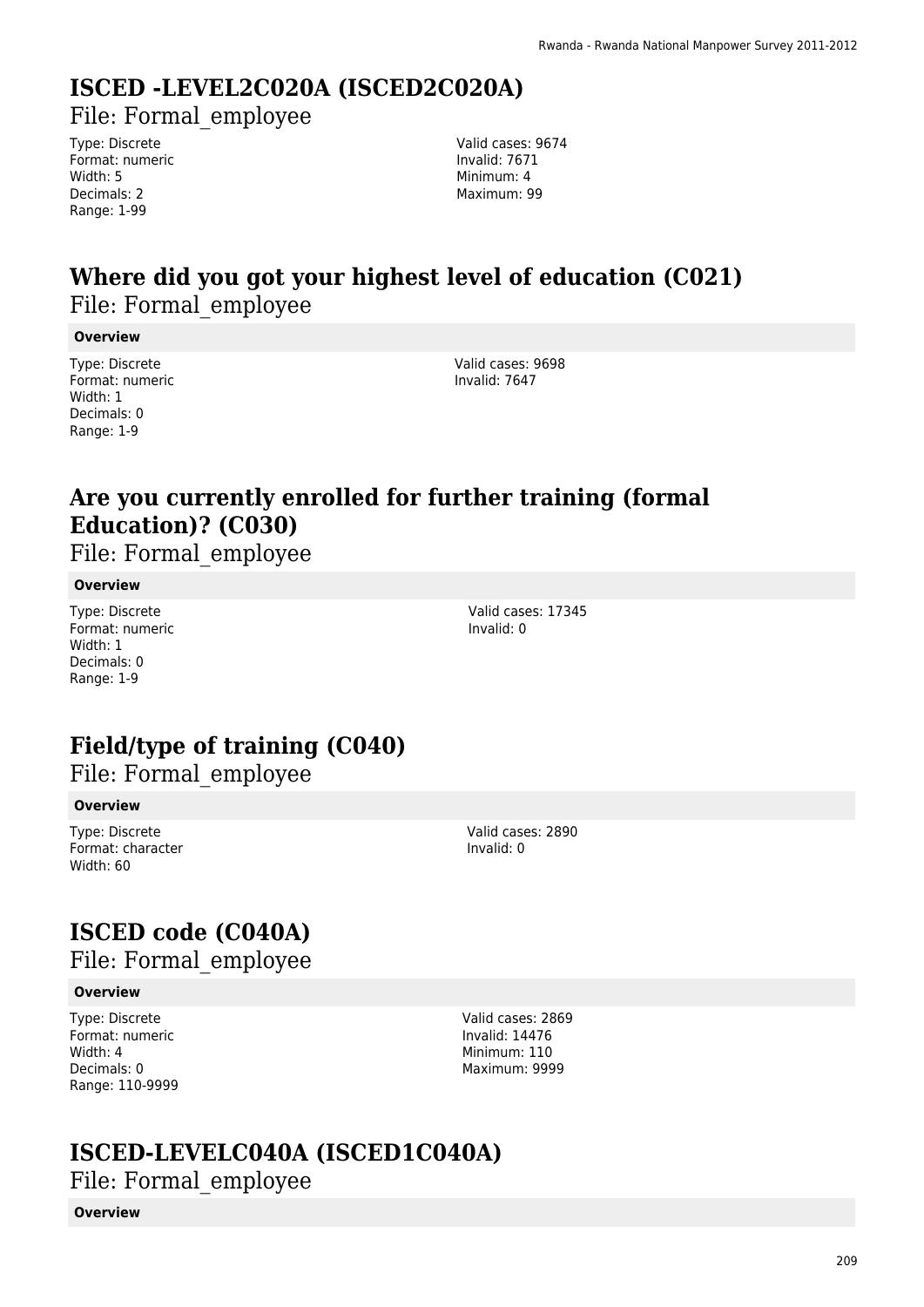### **ISCED -LEVEL2C020A (ISCED2C020A)**

File: Formal\_employee

Type: Discrete Format: numeric Width: 5 Decimals: 2 Range: 1-99

Valid cases: 9674 Invalid: 7671 Minimum: 4 Maximum: 99

### **Where did you got your highest level of education (C021)**  File: Formal\_employee

#### **Overview**

Type: Discrete Format: numeric Width: 1 Decimals: 0 Range: 1-9

Valid cases: 9698 Invalid: 7647

### **Are you currently enrolled for further training (formal Education)? (C030)**

File: Formal\_employee

#### **Overview**

Type: Discrete Format: numeric Width: 1 Decimals: 0 Range: 1-9

Valid cases: 17345 Invalid: 0

### **Field/type of training (C040)**

File: Formal\_employee

#### **Overview**

Type: Discrete Format: character Width: 60

Valid cases: 2890 Invalid: 0

## **ISCED code (C040A)**

File: Formal\_employee

#### **Overview**

Type: Discrete Format: numeric Width: 4 Decimals: 0 Range: 110-9999 Valid cases: 2869 Invalid: 14476 Minimum: 110 Maximum: 9999

### **ISCED-LEVELC040A (ISCED1C040A)**

File: Formal\_employee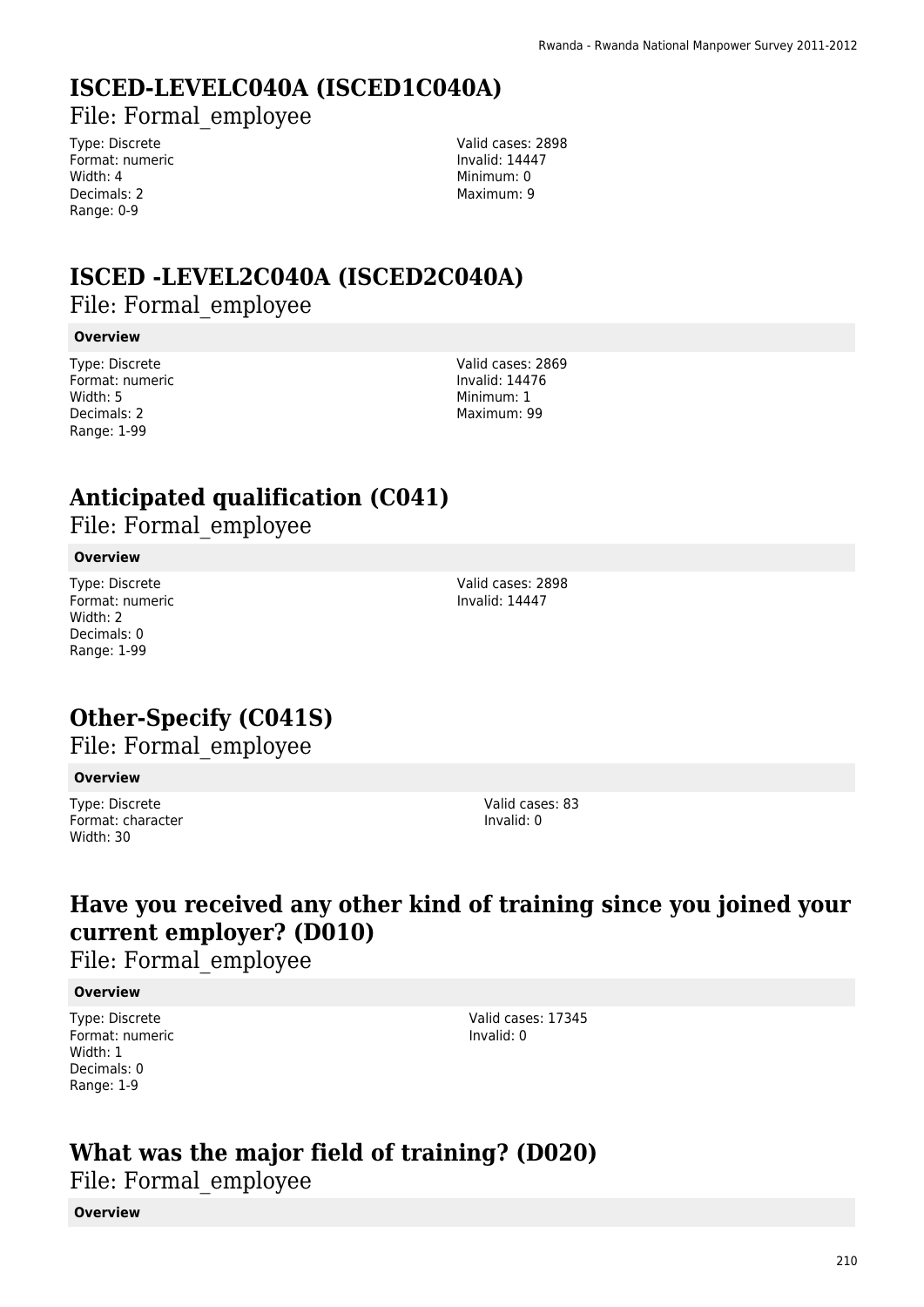## **ISCED-LEVELC040A (ISCED1C040A)**

File: Formal\_employee

Type: Discrete Format: numeric Width: 4 Decimals: 2 Range: 0-9

Valid cases: 2898 Invalid: 14447 Minimum: 0 Maximum: 9

## **ISCED -LEVEL2C040A (ISCED2C040A)**

File: Formal\_employee

#### **Overview**

Type: Discrete Format: numeric Width: 5 Decimals: 2 Range: 1-99

Valid cases: 2869 Invalid: 14476 Minimum: 1 Maximum: 99

## **Anticipated qualification (C041)**

File: Formal\_employee

#### **Overview**

Type: Discrete Format: numeric Width: 2 Decimals: 0 Range: 1-99

Valid cases: 2898 Invalid: 14447

### **Other-Specify (C041S)**

File: Formal\_employee

#### **Overview**

Type: Discrete Format: character Width: 30

Valid cases: 83 Invalid: 0

### **Have you received any other kind of training since you joined your current employer? (D010)**

File: Formal\_employee

#### **Overview**

Type: Discrete Format: numeric Width: 1 Decimals: 0 Range: 1-9

Valid cases: 17345 Invalid: 0

### **What was the major field of training? (D020)**

File: Formal\_employee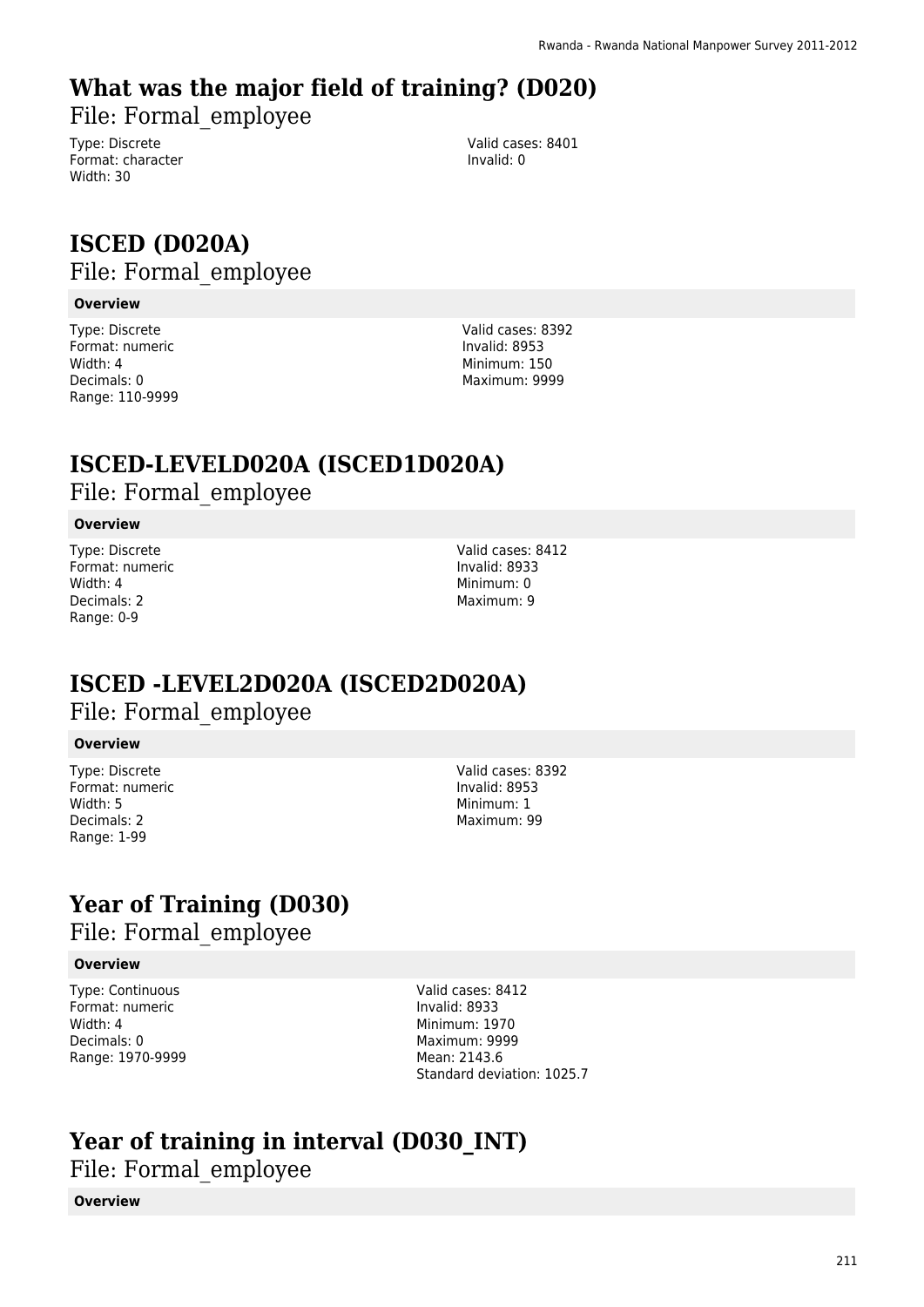### **What was the major field of training? (D020)**

File: Formal\_employee

Type: Discrete Format: character Width: 30

Valid cases: 8401 Invalid: 0

### **ISCED (D020A)**  File: Formal\_employee

#### **Overview**

Type: Discrete Format: numeric Width: 4 Decimals: 0 Range: 110-9999

Valid cases: 8392 Invalid: 8953 Minimum: 150 Maximum: 9999

### **ISCED-LEVELD020A (ISCED1D020A)**  File: Formal\_employee

#### **Overview**

Type: Discrete Format: numeric Width: 4 Decimals: 2 Range: 0-9

Valid cases: 8412 Invalid: 8933 Minimum: 0 Maximum: 9

### **ISCED -LEVEL2D020A (ISCED2D020A)**

File: Formal\_employee

#### **Overview**

Type: Discrete Format: numeric Width: 5 Decimals: 2 Range: 1-99

Valid cases: 8392 Invalid: 8953 Minimum: 1 Maximum: 99

### **Year of Training (D030)**

File: Formal\_employee

#### **Overview**

Type: Continuous Format: numeric Width: 4 Decimals: 0 Range: 1970-9999 Valid cases: 8412 Invalid: 8933 Minimum: 1970 Maximum: 9999 Mean: 2143.6 Standard deviation: 1025.7

### **Year of training in interval (D030\_INT)**

File: Formal\_employee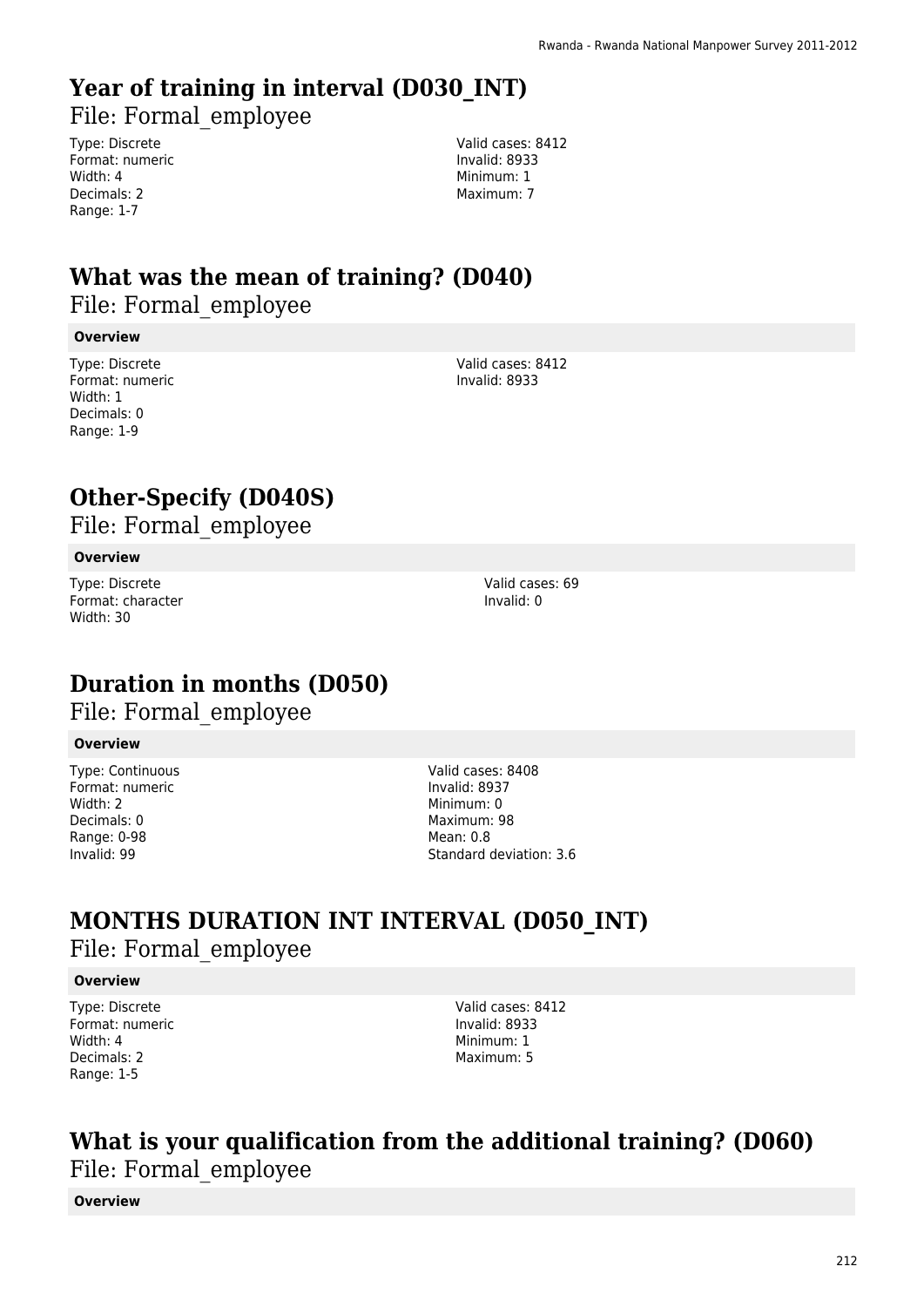### **Year of training in interval (D030\_INT)**

File: Formal\_employee

Type: Discrete Format: numeric Width: 4 Decimals: 2 Range: 1-7

## **What was the mean of training? (D040)**

File: Formal\_employee

#### **Overview**

Type: Discrete Format: numeric Width: 1 Decimals: 0 Range: 1-9

Valid cases: 8412 Invalid: 8933

### **Other-Specify (D040S)**

File: Formal\_employee

#### **Overview**

Type: Discrete Format: character Width: 30

**Duration in months (D050)**  File: Formal\_employee

#### **Overview**

Type: Continuous Format: numeric Width: 2 Decimals: 0 Range: 0-98 Invalid: 99

Valid cases: 8408 Invalid: 8937 Minimum: 0 Maximum: 98 Mean: 0.8 Standard deviation: 3.6

### **MONTHS DURATION INT INTERVAL (D050\_INT)**  File: Formal\_employee

#### **Overview**

Type: Discrete Format: numeric Width: 4 Decimals: 2 Range: 1-5

Valid cases: 8412 Invalid: 8933 Minimum: 1 Maximum: 5

### **What is your qualification from the additional training? (D060)**  File: Formal\_employee

#### **Overview**

Valid cases: 69 Invalid: 0

Valid cases: 8412 Invalid: 8933 Minimum: 1 Maximum: 7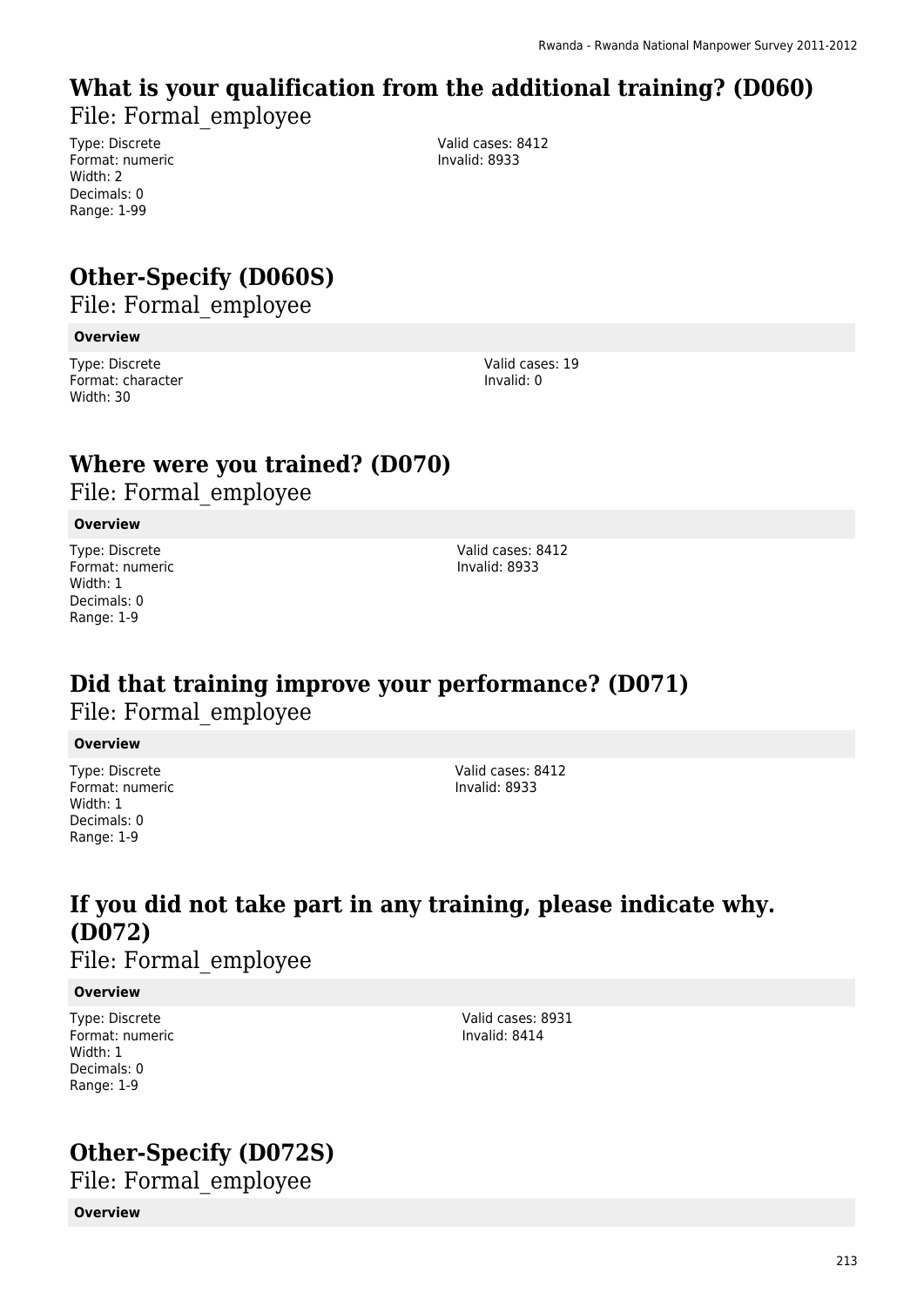### **What is your qualification from the additional training? (D060)**

File: Formal\_employee

Type: Discrete Format: numeric Width: 2 Decimals: 0 Range: 1-99

Valid cases: 8412 Invalid: 8933

## **Other-Specify (D060S)**

File: Formal\_employee

#### **Overview**

Type: Discrete Format: character Width: 30

Valid cases: 19 Invalid: 0

### **Where were you trained? (D070)**  File: Formal\_employee

#### **Overview**

Type: Discrete Format: numeric Width: 1 Decimals: 0 Range: 1-9

Valid cases: 8412 Invalid: 8933

### **Did that training improve your performance? (D071)**  File: Formal\_employee

#### **Overview**

Type: Discrete Format: numeric Width: 1 Decimals: 0 Range: 1-9

Valid cases: 8412 Invalid: 8933

### **If you did not take part in any training, please indicate why. (D072)**

File: Formal\_employee

#### **Overview**

Type: Discrete Format: numeric Width: 1 Decimals: 0 Range: 1-9

Valid cases: 8931 Invalid: 8414

### **Other-Specify (D072S)**

File: Formal\_employee

**Overview**

213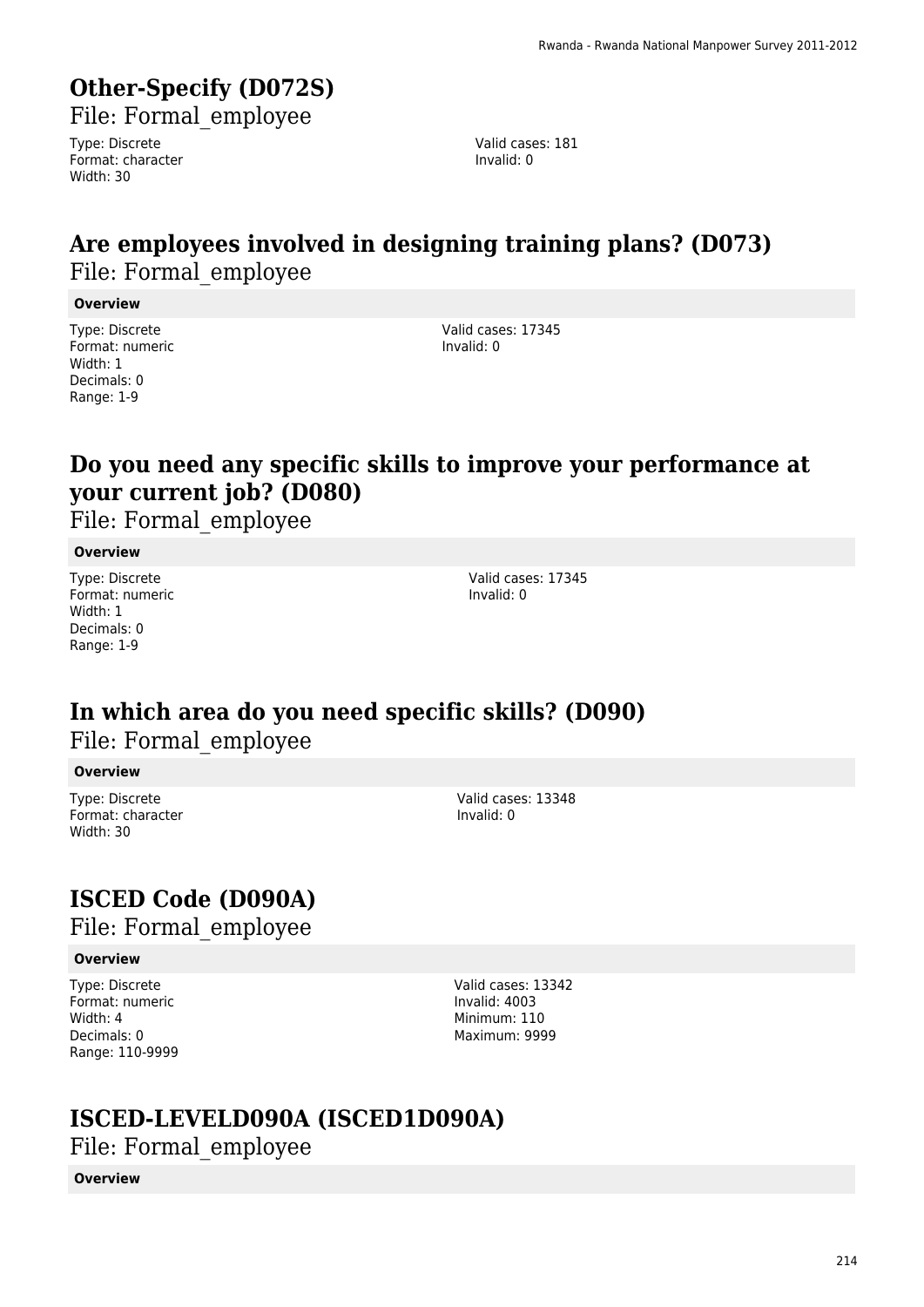### **Other-Specify (D072S)**

File: Formal\_employee

Type: Discrete Format: character Width: 30

Valid cases: 181 Invalid: 0

### **Are employees involved in designing training plans? (D073)**  File: Formal\_employee

#### **Overview**

Type: Discrete Format: numeric Width: 1 Decimals: 0 Range: 1-9

Valid cases: 17345 Invalid: 0

### **Do you need any specific skills to improve your performance at your current job? (D080)**

File: Formal\_employee

#### **Overview**

Type: Discrete Format: numeric Width: 1 Decimals: 0 Range: 1-9

Valid cases: 17345 Invalid: 0

### **In which area do you need specific skills? (D090)**  File: Formal\_employee

#### **Overview**

Type: Discrete Format: character Width: 30

Valid cases: 13348 Invalid: 0

## **ISCED Code (D090A)**

File: Formal\_employee

#### **Overview**

Type: Discrete Format: numeric Width: 4 Decimals: 0 Range: 110-9999 Valid cases: 13342 Invalid: 4003 Minimum: 110 Maximum: 9999

### **ISCED-LEVELD090A (ISCED1D090A)**

File: Formal\_employee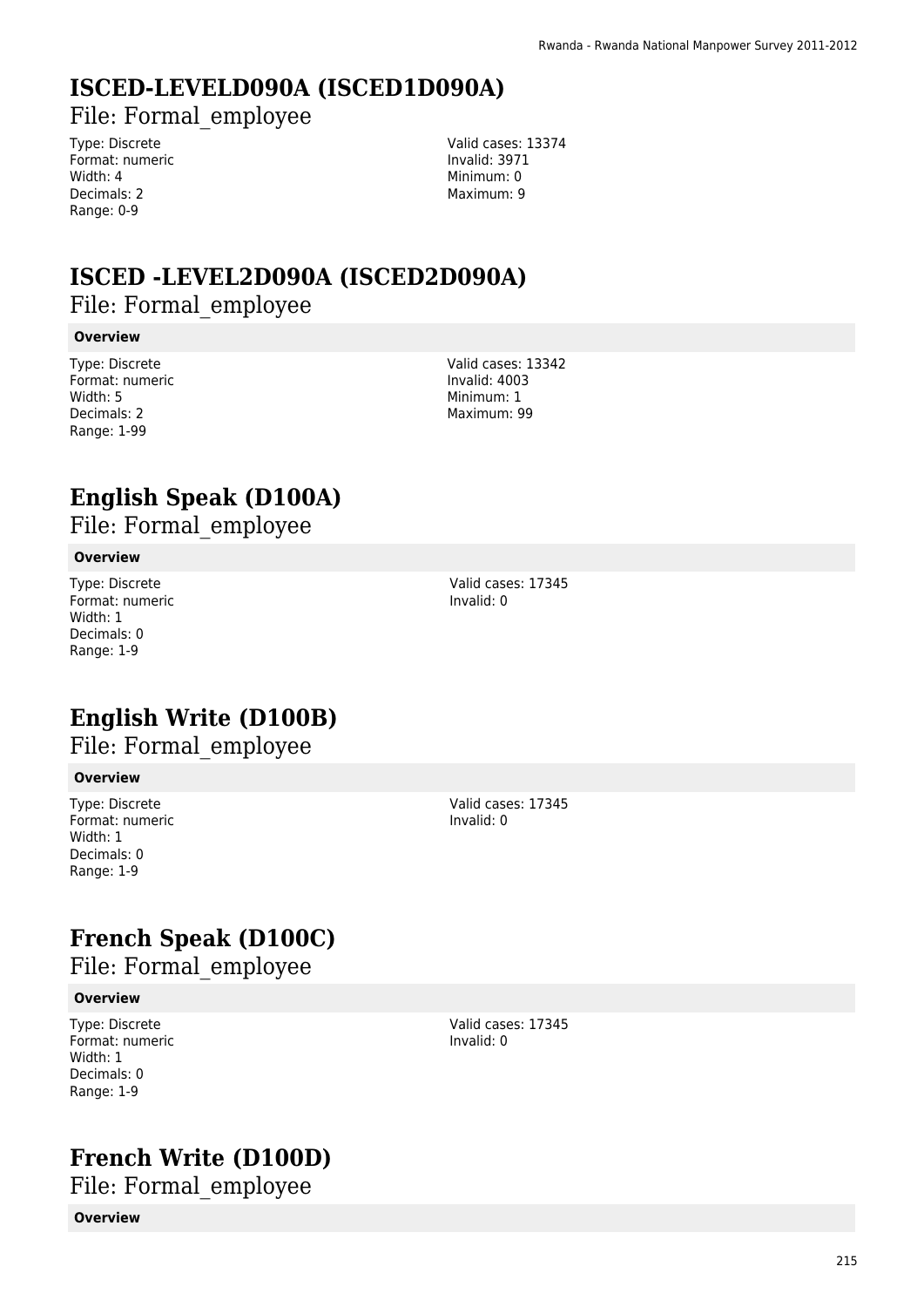### **ISCED-LEVELD090A (ISCED1D090A)**

File: Formal\_employee

Type: Discrete Format: numeric Width: 4 Decimals: 2 Range: 0-9

Valid cases: 13374 Invalid: 3971 Minimum: 0 Maximum: 9

## **ISCED -LEVEL2D090A (ISCED2D090A)**

File: Formal\_employee

#### **Overview**

Type: Discrete Format: numeric Width: 5 Decimals: 2 Range: 1-99

Valid cases: 13342 Invalid: 4003 Minimum: 1 Maximum: 99

### **English Speak (D100A)**

File: Formal\_employee

#### **Overview**

Type: Discrete Format: numeric Width: 1 Decimals: 0 Range: 1-9

Valid cases: 17345 Invalid: 0

### **English Write (D100B)**

File: Formal\_employee

#### **Overview**

Type: Discrete Format: numeric Width: 1 Decimals: 0 Range: 1-9

Valid cases: 17345 Invalid: 0

### **French Speak (D100C)**

File: Formal\_employee

#### **Overview**

Type: Discrete Format: numeric Width: 1 Decimals: 0 Range: 1-9

Valid cases: 17345 Invalid: 0

### **French Write (D100D)**

File: Formal\_employee

**Overview**

215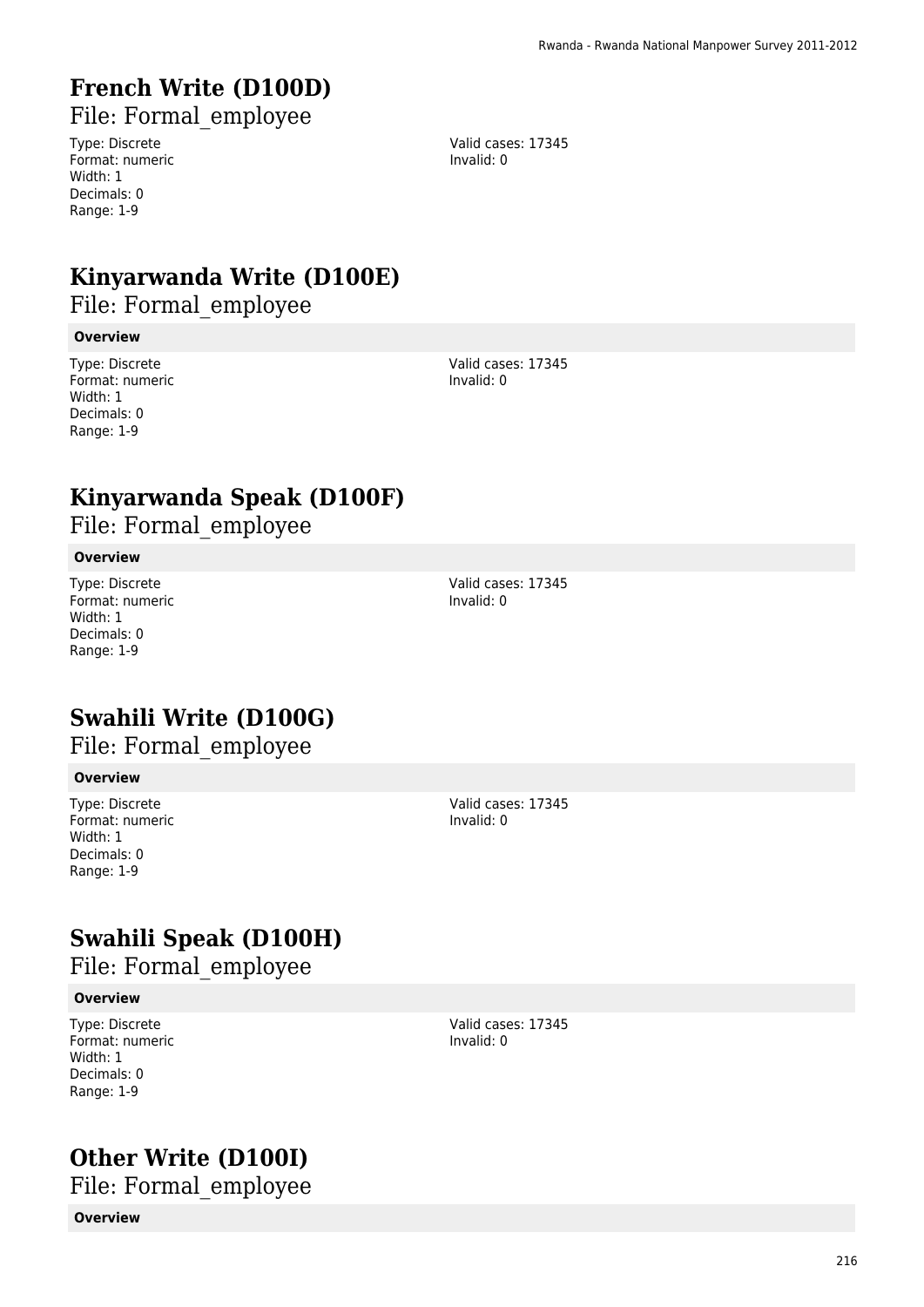### **French Write (D100D)**

File: Formal\_employee

Type: Discrete Format: numeric Width: 1 Decimals: 0 Range: 1-9

Valid cases: 17345 Invalid: 0

## **Kinyarwanda Write (D100E)**

File: Formal\_employee

#### **Overview**

Type: Discrete Format: numeric Width: 1 Decimals: 0 Range: 1-9

Valid cases: 17345 Invalid: 0

### **Kinyarwanda Speak (D100F)**

File: Formal\_employee

#### **Overview**

Type: Discrete Format: numeric Width: 1 Decimals: 0 Range: 1-9

Valid cases: 17345 Invalid: 0

### **Swahili Write (D100G)**

File: Formal\_employee

#### **Overview**

Type: Discrete Format: numeric Width: 1 Decimals: 0 Range: 1-9

Valid cases: 17345 Invalid: 0

### **Swahili Speak (D100H)**

File: Formal\_employee

#### **Overview**

Type: Discrete Format: numeric Width: 1 Decimals: 0 Range: 1-9

Valid cases: 17345 Invalid: 0

### **Other Write (D100I)**

File: Formal\_employee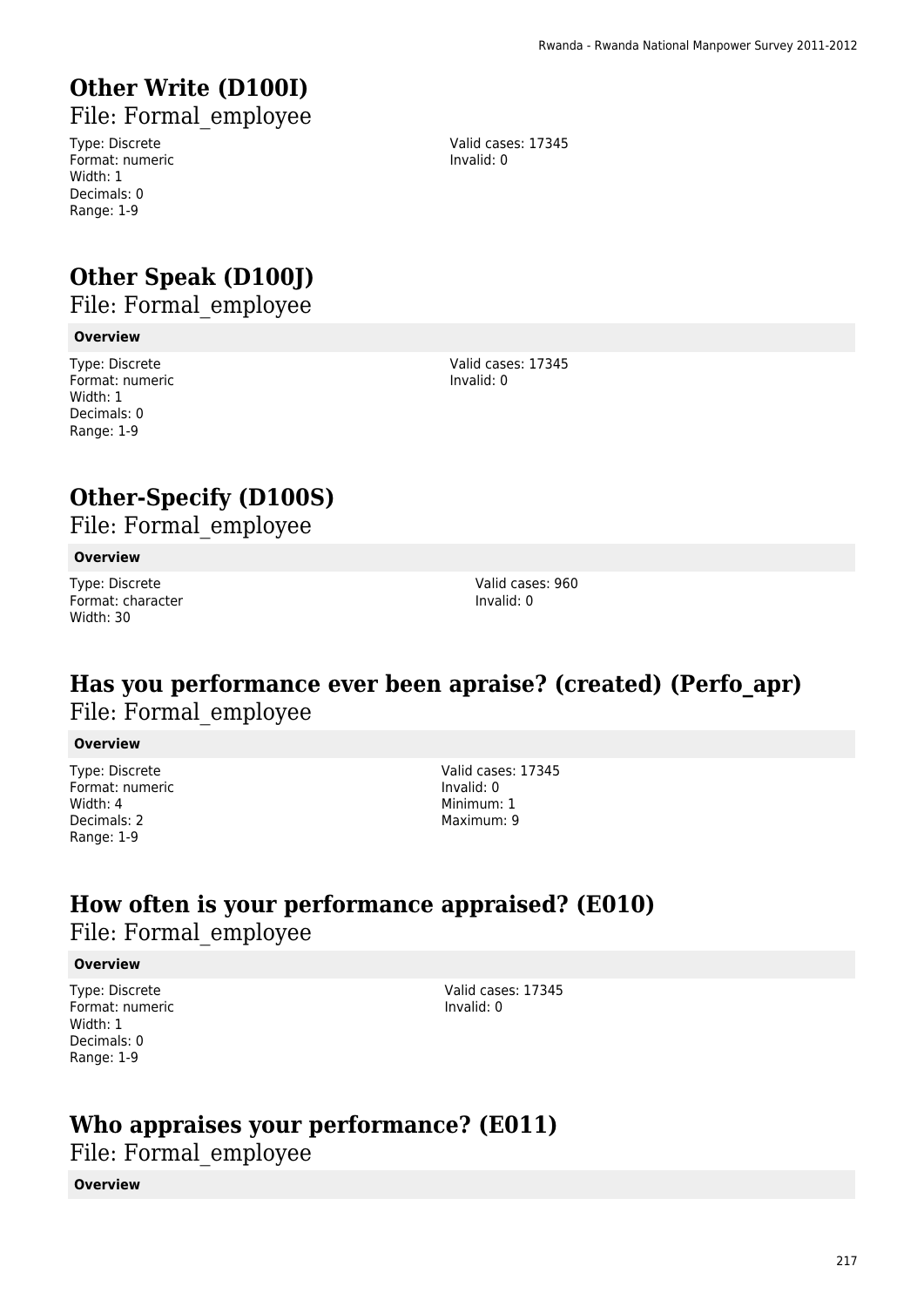## **Other Write (D100I)**

File: Formal\_employee

Type: Discrete Format: numeric Width: 1 Decimals: 0 Range: 1-9

Valid cases: 17345 Invalid: 0

## **Other Speak (D100J)**

File: Formal\_employee

#### **Overview**

Type: Discrete Format: numeric Width: 1 Decimals: 0 Range: 1-9

Valid cases: 17345 Invalid: 0

### **Other-Specify (D100S)**

File: Formal\_employee

#### **Overview**

Type: Discrete Format: character Width: 30

Valid cases: 960 Invalid: 0

### **Has you performance ever been apraise? (created) (Perfo\_apr)**  File: Formal\_employee

#### **Overview**

Type: Discrete Format: numeric Width: 4 Decimals: 2 Range: 1-9

Valid cases: 17345 Invalid: 0 Minimum: 1 Maximum: 9

### **How often is your performance appraised? (E010)**  File: Formal\_employee

#### **Overview**

Type: Discrete Format: numeric Width: 1 Decimals: 0 Range: 1-9

Valid cases: 17345 Invalid: 0

### **Who appraises your performance? (E011)**

File: Formal\_employee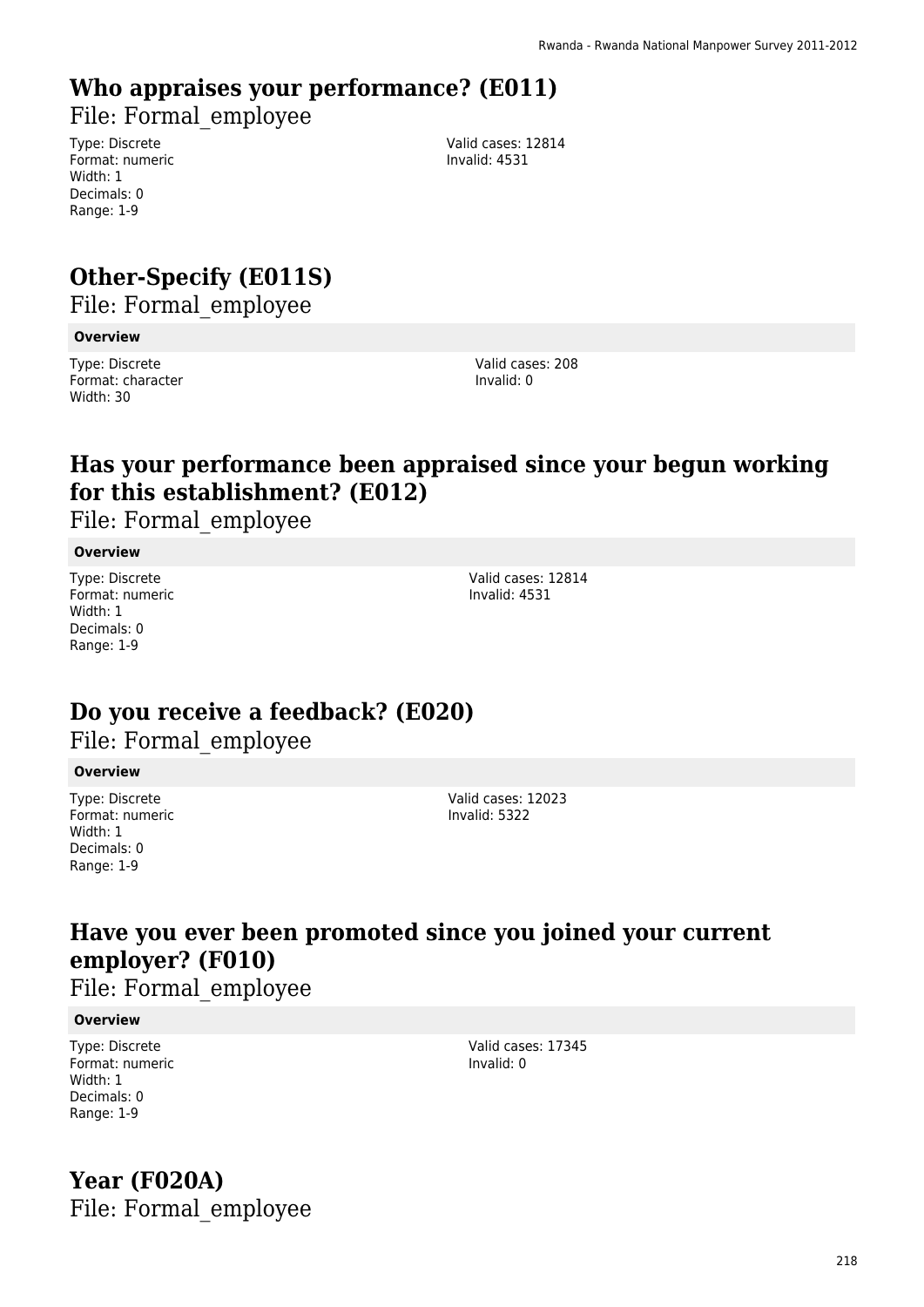### **Who appraises your performance? (E011)**

File: Formal\_employee

Type: Discrete Format: numeric Width: 1 Decimals: 0 Range: 1-9

Valid cases: 12814 Invalid: 4531

## **Other-Specify (E011S)**

File: Formal\_employee

**Overview**

Type: Discrete Format: character Width: 30

Valid cases: 208 Invalid: 0

### **Has your performance been appraised since your begun working for this establishment? (E012)**

File: Formal\_employee

#### **Overview**

Type: Discrete Format: numeric Width: 1 Decimals: 0 Range: 1-9

Valid cases: 12814 Invalid: 4531

### **Do you receive a feedback? (E020)**  File: Formal\_employee

#### **Overview**

Type: Discrete Format: numeric Width: 1 Decimals: 0 Range: 1-9

Valid cases: 12023 Invalid: 5322

### **Have you ever been promoted since you joined your current employer? (F010)**

File: Formal\_employee

#### **Overview**

Type: Discrete Format: numeric Width: 1 Decimals: 0 Range: 1-9

**Year (F020A)**  File: Formal\_employee

Valid cases: 17345 Invalid: 0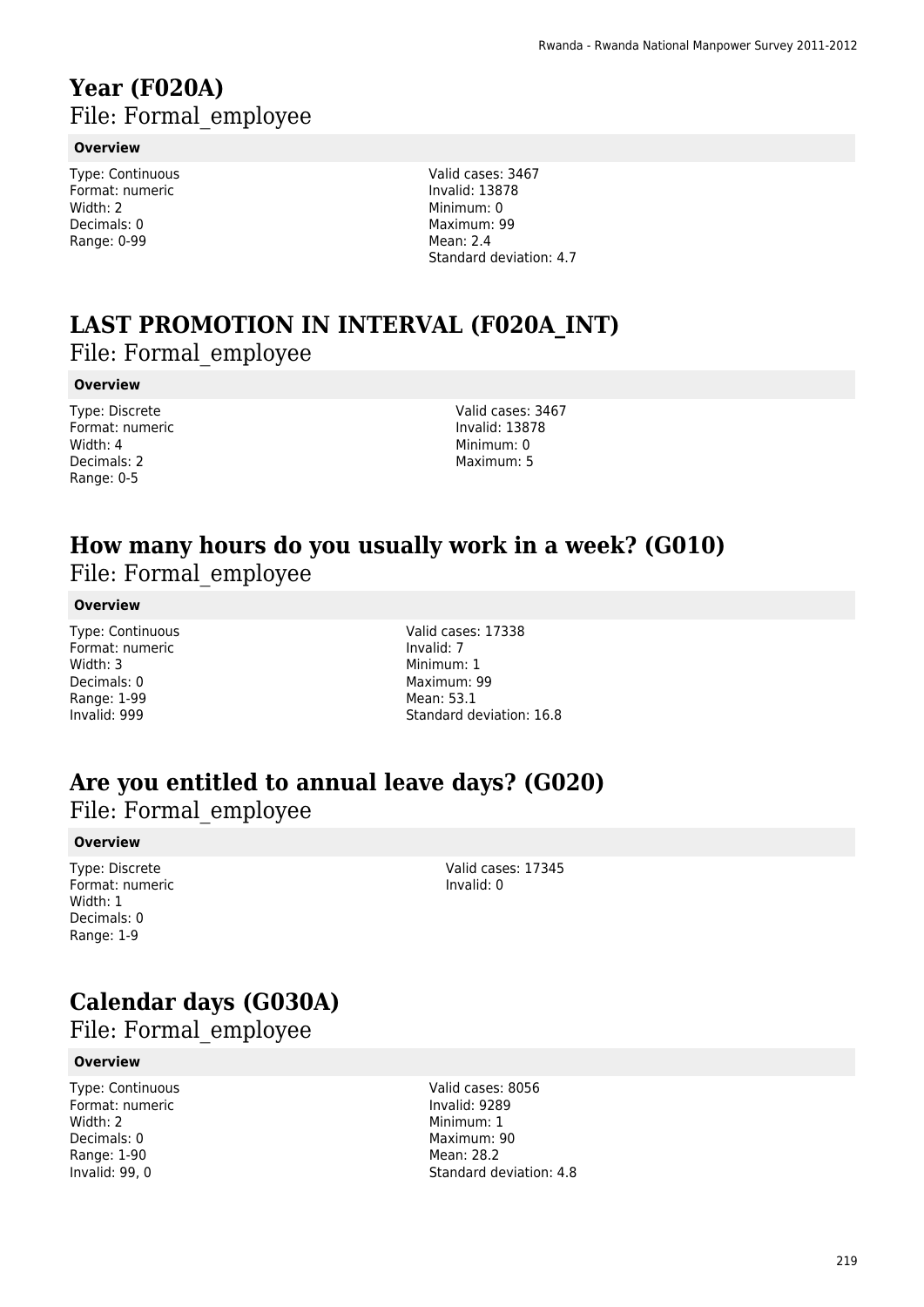### **Year (F020A)**  File: Formal\_employee

#### **Overview**

Type: Continuous Format: numeric Width: 2 Decimals: 0 Range: 0-99

Valid cases: 3467 Invalid: 13878 Minimum: 0 Maximum: 99 Mean: 2.4 Standard deviation: 4.7

### **LAST PROMOTION IN INTERVAL (F020A\_INT)**  File: Formal\_employee

#### **Overview**

Type: Discrete Format: numeric Width: 4 Decimals: 2 Range: 0-5

Valid cases: 3467 Invalid: 13878 Minimum: 0 Maximum: 5

### **How many hours do you usually work in a week? (G010)**  File: Formal\_employee

#### **Overview**

Type: Continuous Format: numeric Width: 3 Decimals: 0 Range: 1-99 Invalid: 999

Valid cases: 17338 Invalid: 7 Minimum: 1 Maximum: 99 Mean: 53.1 Standard deviation: 16.8

### **Are you entitled to annual leave days? (G020)**  File: Formal\_employee

#### **Overview**

Type: Discrete Format: numeric Width: 1 Decimals: 0 Range: 1-9

Valid cases: 17345 Invalid: 0

## **Calendar days (G030A)**

File: Formal\_employee

#### **Overview**

Type: Continuous Format: numeric Width: 2 Decimals: 0 Range: 1-90 Invalid: 99, 0

Valid cases: 8056 Invalid: 9289 Minimum: 1 Maximum: 90 Mean: 28.2 Standard deviation: 4.8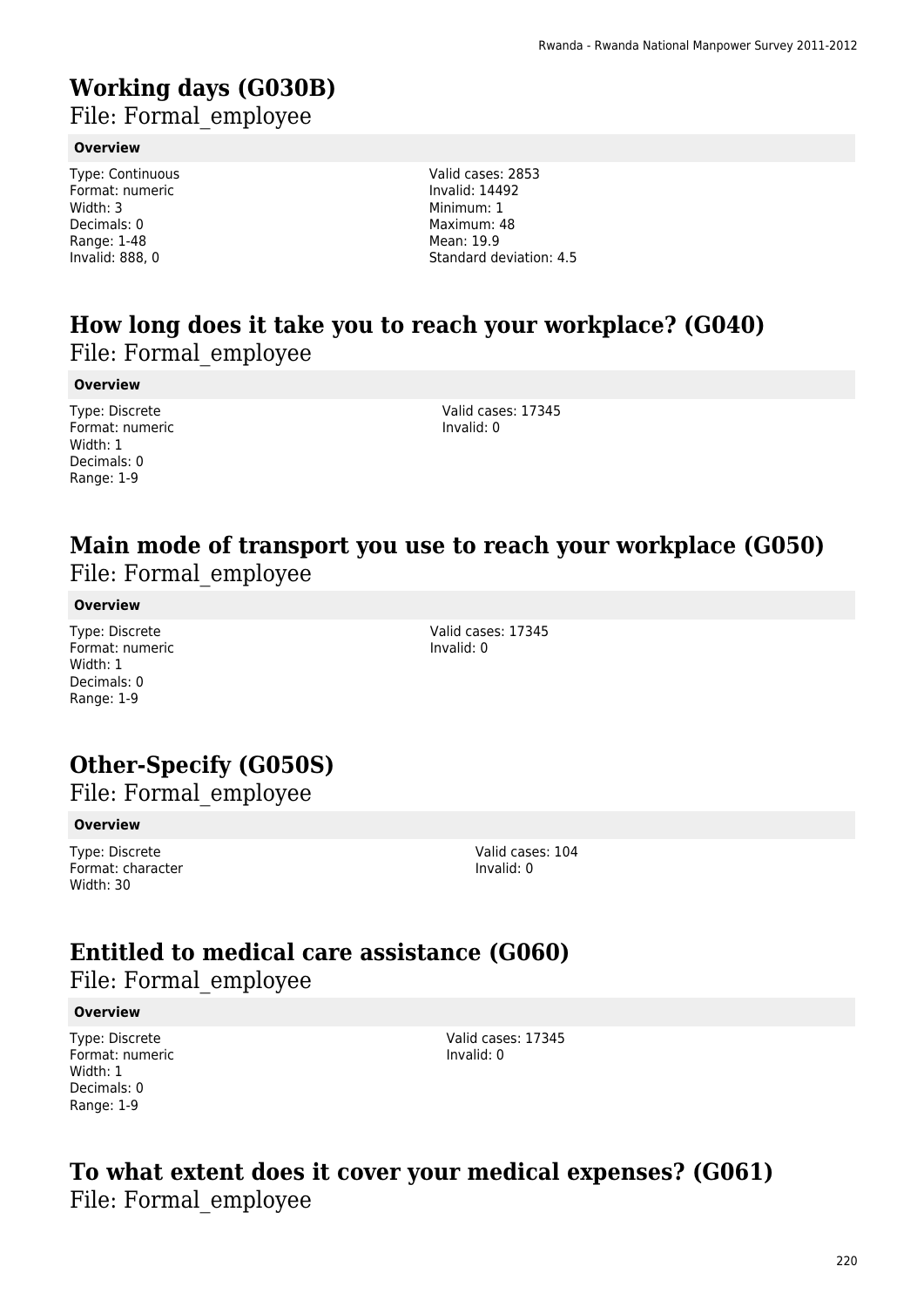## **Working days (G030B)**

File: Formal\_employee

#### **Overview**

Type: Continuous Format: numeric Width: 3 Decimals: 0 Range: 1-48 Invalid: 888, 0

Valid cases: 2853 Invalid: 14492 Minimum: 1 Maximum: 48 Mean: 19.9 Standard deviation: 4.5

### **How long does it take you to reach your workplace? (G040)**  File: Formal\_employee

**Overview**

Type: Discrete Format: numeric Width: 1 Decimals: 0 Range: 1-9

Valid cases: 17345 Invalid: 0

### **Main mode of transport you use to reach your workplace (G050)**  File: Formal\_employee

#### **Overview**

Type: Discrete Format: numeric Width: 1 Decimals: 0 Range: 1-9

Valid cases: 17345 Invalid: 0

### **Other-Specify (G050S)**

File: Formal\_employee

#### **Overview**

Type: Discrete Format: character Width: 30

Valid cases: 104 Invalid: 0

### **Entitled to medical care assistance (G060)**

File: Formal\_employee

#### **Overview**

Type: Discrete Format: numeric Width: 1 Decimals: 0 Range: 1-9

Valid cases: 17345 Invalid: 0

### **To what extent does it cover your medical expenses? (G061)**  File: Formal\_employee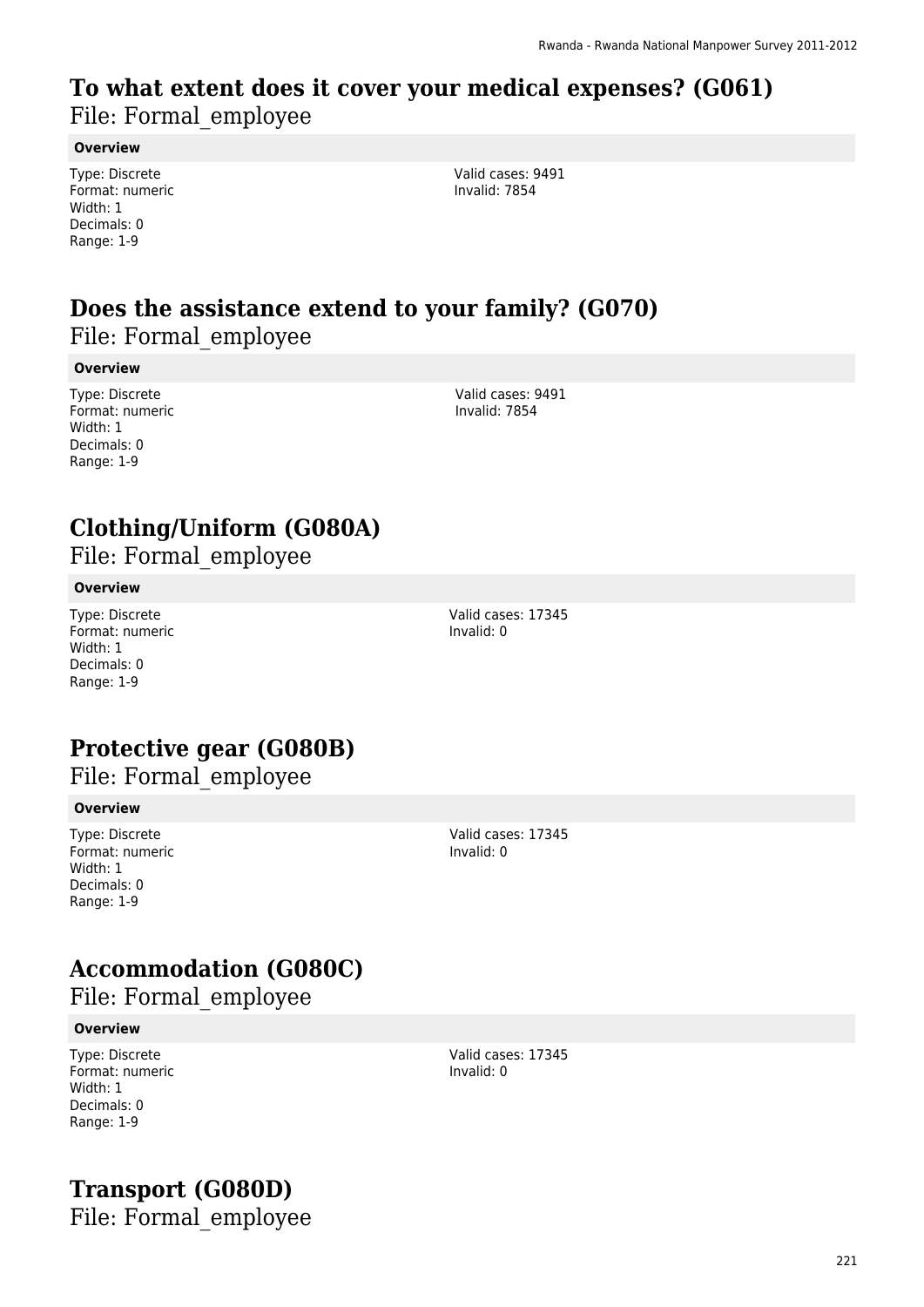### **To what extent does it cover your medical expenses? (G061)**  File: Formal\_employee

#### **Overview**

Type: Discrete Format: numeric Width: 1 Decimals: 0 Range: 1-9

Valid cases: 9491 Invalid: 7854

## **Does the assistance extend to your family? (G070)**

File: Formal\_employee

#### **Overview**

Type: Discrete Format: numeric Width: 1 Decimals: 0 Range: 1-9

Valid cases: 9491 Invalid: 7854

### **Clothing/Uniform (G080A)**

File: Formal\_employee

#### **Overview**

Type: Discrete Format: numeric Width: 1 Decimals: 0 Range: 1-9

Valid cases: 17345 Invalid: 0

## **Protective gear (G080B)**

File: Formal\_employee

#### **Overview**

Type: Discrete Format: numeric Width: 1 Decimals: 0 Range: 1-9

Valid cases: 17345 Invalid: 0

### **Accommodation (G080C)**

File: Formal\_employee

#### **Overview**

Type: Discrete Format: numeric Width: 1 Decimals: 0 Range: 1-9

## **Transport (G080D)**

File: Formal\_employee

Valid cases: 17345 Invalid: 0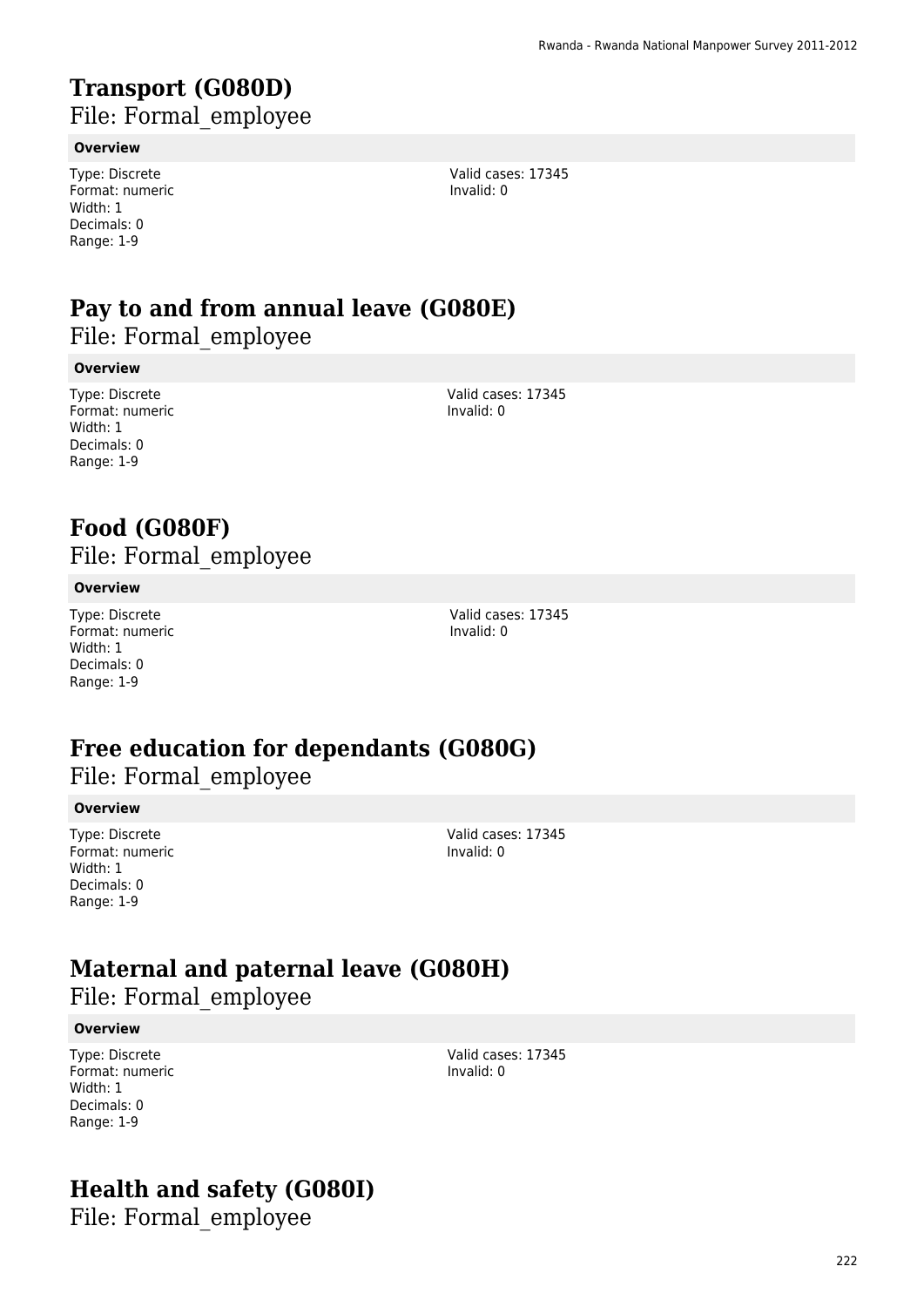## **Transport (G080D)**

File: Formal\_employee

#### **Overview**

Type: Discrete Format: numeric Width: 1 Decimals: 0 Range: 1-9

Valid cases: 17345 Invalid: 0

## **Pay to and from annual leave (G080E)**

File: Formal\_employee

#### **Overview**

Type: Discrete Format: numeric Width: 1 Decimals: 0 Range: 1-9

Valid cases: 17345 Invalid: 0

## **Food (G080F)**

File: Formal\_employee

#### **Overview**

Type: Discrete Format: numeric Width: 1 Decimals: 0 Range: 1-9

Valid cases: 17345 Invalid: 0

### **Free education for dependants (G080G)**  File: Formal\_employee

#### **Overview**

Type: Discrete Format: numeric Width: 1 Decimals: 0 Range: 1-9

Valid cases: 17345 Invalid: 0

### **Maternal and paternal leave (G080H)**

File: Formal\_employee

#### **Overview**

Type: Discrete Format: numeric Width: 1 Decimals: 0 Range: 1-9

Valid cases: 17345 Invalid: 0

### **Health and safety (G080I)**

File: Formal\_employee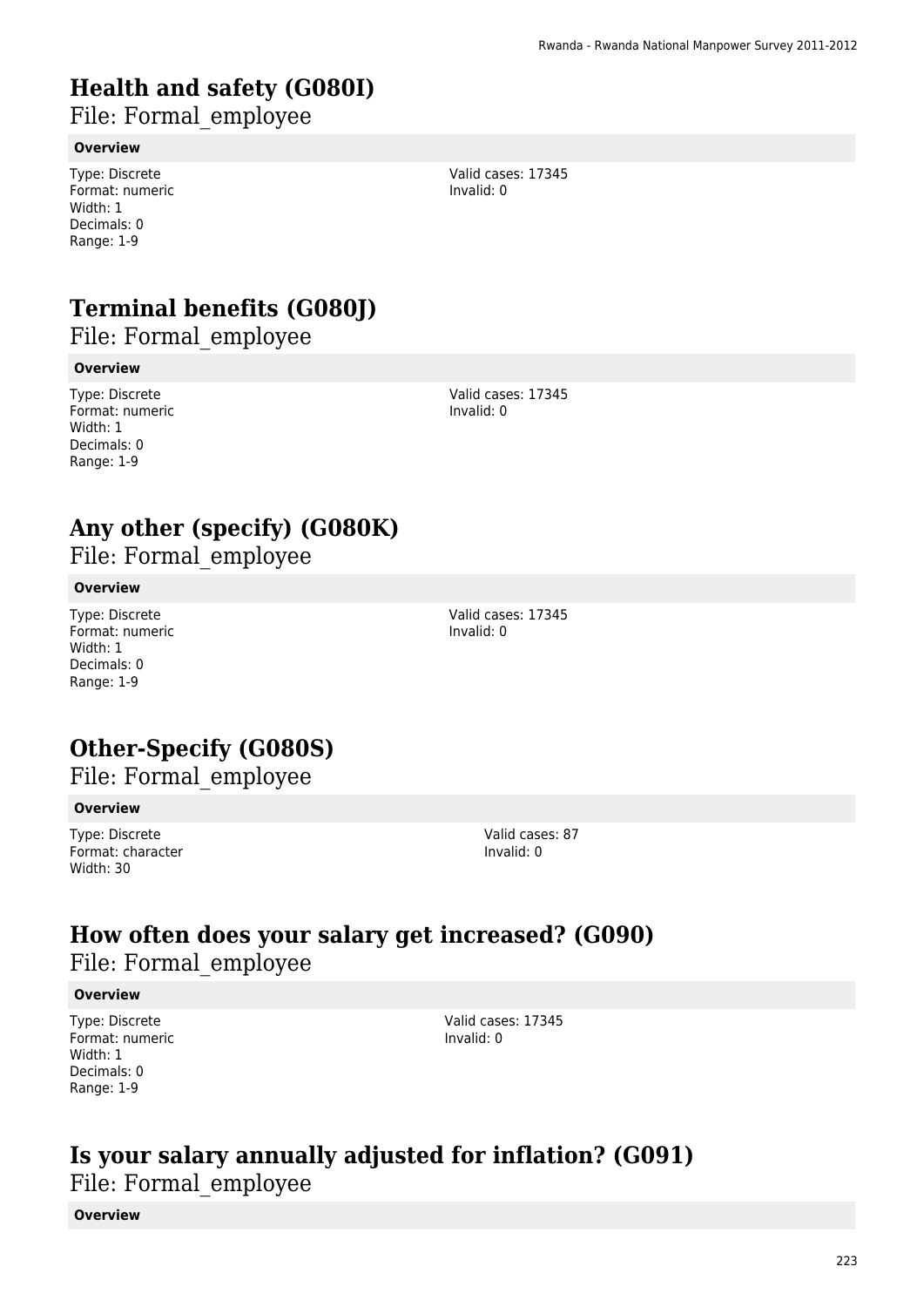### **Health and safety (G080I)**

File: Formal\_employee

#### **Overview**

Type: Discrete Format: numeric Width: 1 Decimals: 0 Range: 1-9

Valid cases: 17345 Invalid: 0

### **Terminal benefits (G080J)**

File: Formal\_employee

#### **Overview**

Type: Discrete Format: numeric Width: 1 Decimals: 0 Range: 1-9

Valid cases: 17345 Invalid: 0

### **Any other (specify) (G080K)**

File: Formal\_employee

#### **Overview**

Type: Discrete Format: numeric Width: 1 Decimals: 0 Range: 1-9

Valid cases: 17345 Invalid: 0

### **Other-Specify (G080S)**

File: Formal\_employee

#### **Overview**

Type: Discrete Format: character Width: 30

Valid cases: 87 Invalid: 0

### **How often does your salary get increased? (G090)**  File: Formal\_employee

#### **Overview**

Type: Discrete Format: numeric Width: 1 Decimals: 0 Range: 1-9

Valid cases: 17345 Invalid: 0

### **Is your salary annually adjusted for inflation? (G091)**  File: Formal\_employee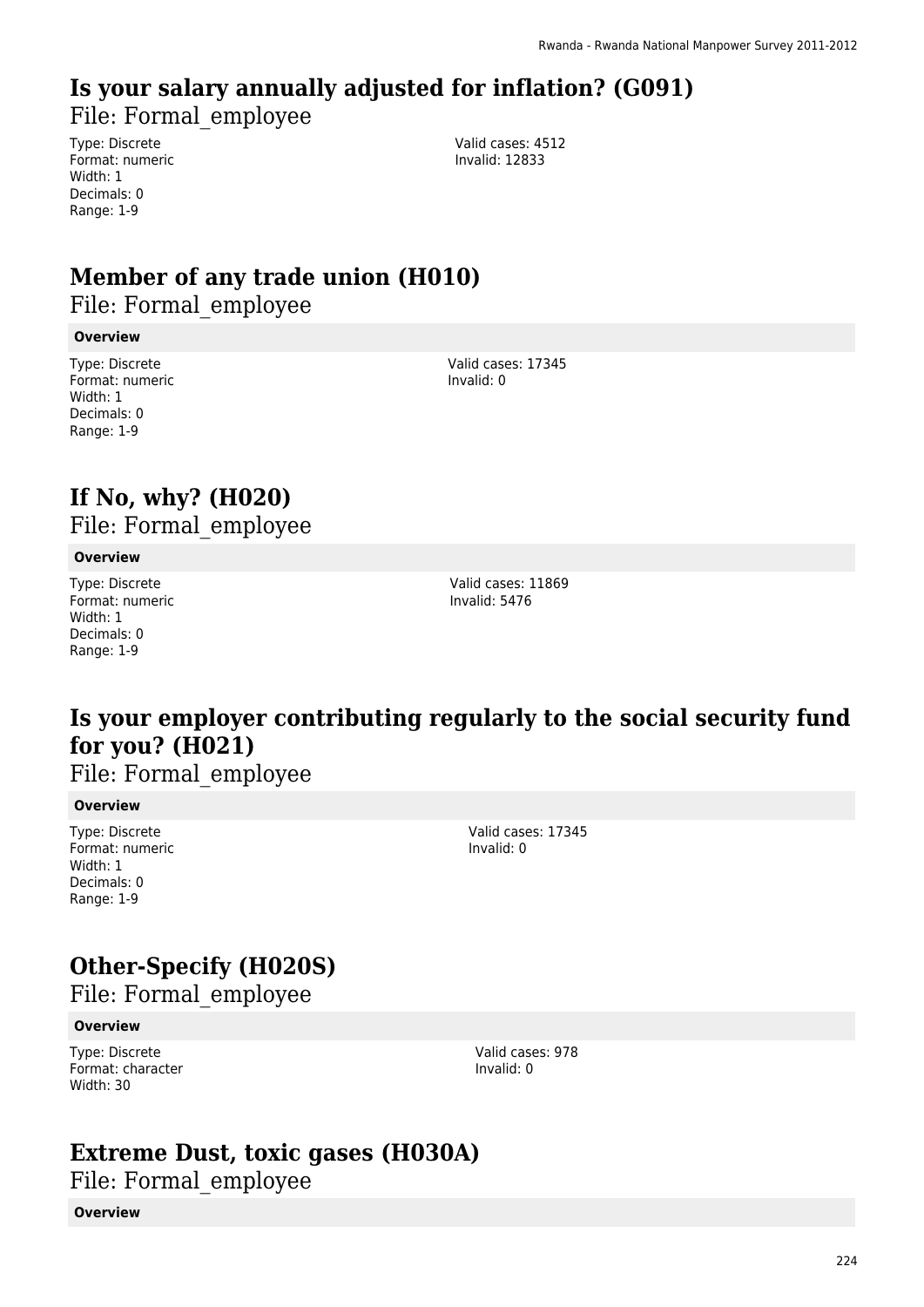### **Is your salary annually adjusted for inflation? (G091)**

File: Formal\_employee

Type: Discrete Format: numeric Width: 1 Decimals: 0 Range: 1-9

Valid cases: 4512 Invalid: 12833

### **Member of any trade union (H010)**  File: Formal\_employee

#### **Overview**

Type: Discrete Format: numeric Width: 1 Decimals: 0 Range: 1-9

Valid cases: 17345 Invalid: 0

### **If No, why? (H020)**  File: Formal\_employee

#### **Overview**

Type: Discrete Format: numeric Width: 1 Decimals: 0 Range: 1-9

Valid cases: 11869 Invalid: 5476

### **Is your employer contributing regularly to the social security fund for you? (H021)**

File: Formal\_employee

#### **Overview**

Type: Discrete Format: numeric Width: 1 Decimals: 0 Range: 1-9

Valid cases: 17345 Invalid: 0

## **Other-Specify (H020S)**

File: Formal\_employee

#### **Overview**

Type: Discrete Format: character Width: 30

Valid cases: 978 Invalid: 0

### **Extreme Dust, toxic gases (H030A)**

File: Formal\_employee

**Overview**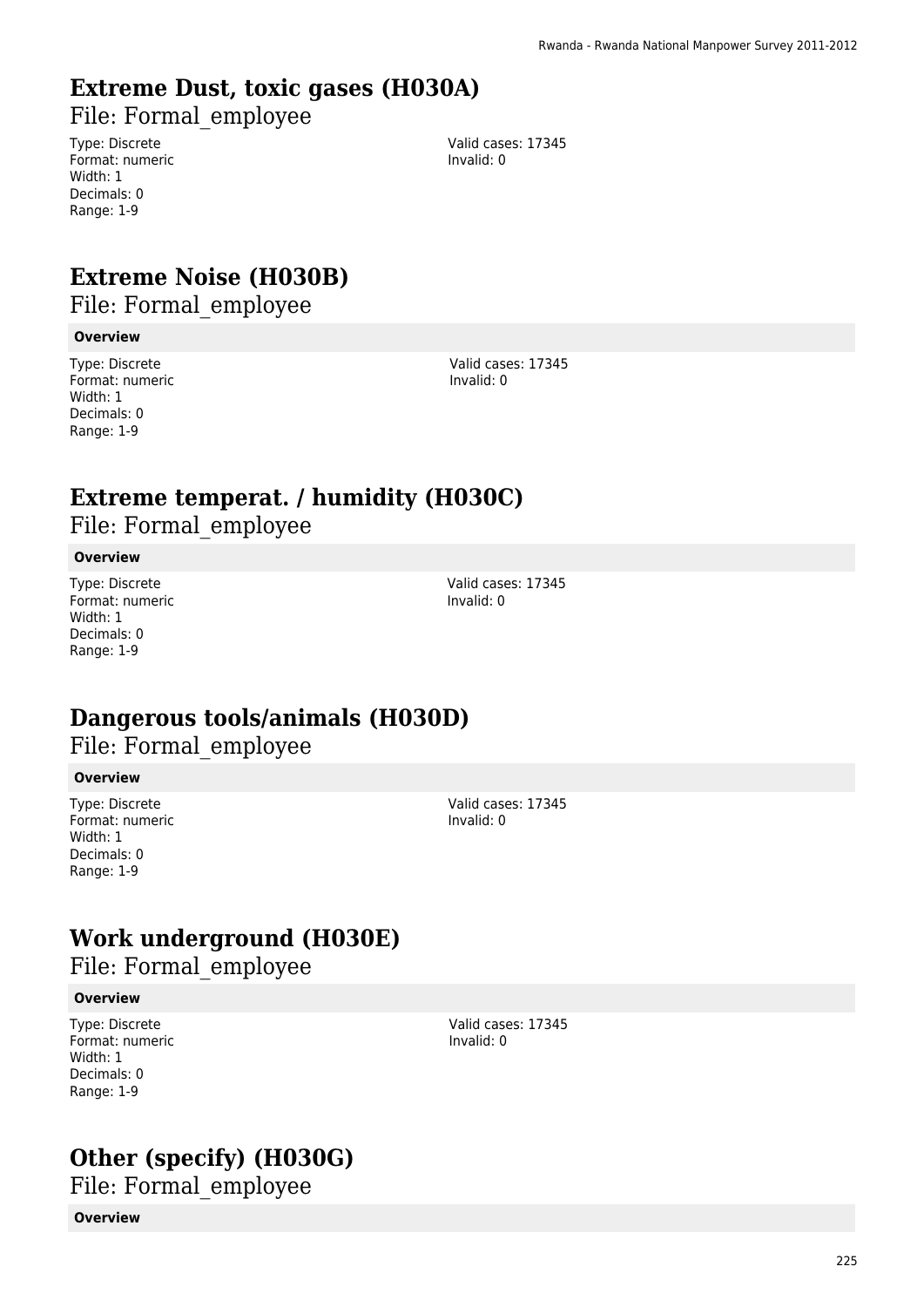### **Extreme Dust, toxic gases (H030A)**

File: Formal\_employee

Type: Discrete Format: numeric Width: 1 Decimals: 0 Range: 1-9

Valid cases: 17345 Invalid: 0

## **Extreme Noise (H030B)**

File: Formal\_employee

#### **Overview**

Type: Discrete Format: numeric Width: 1 Decimals: 0 Range: 1-9

Valid cases: 17345 Invalid: 0

### **Extreme temperat. / humidity (H030C)**  File: Formal\_employee

#### **Overview**

Type: Discrete Format: numeric Width: 1 Decimals: 0 Range: 1-9

Valid cases: 17345 Invalid: 0

### **Dangerous tools/animals (H030D)**

File: Formal\_employee

#### **Overview**

Type: Discrete Format: numeric Width: 1 Decimals: 0 Range: 1-9

Valid cases: 17345 Invalid: 0

### **Work underground (H030E)**

File: Formal\_employee

#### **Overview**

Type: Discrete Format: numeric Width: 1 Decimals: 0 Range: 1-9

Valid cases: 17345 Invalid: 0

### **Other (specify) (H030G)**

File: Formal\_employee

**Overview**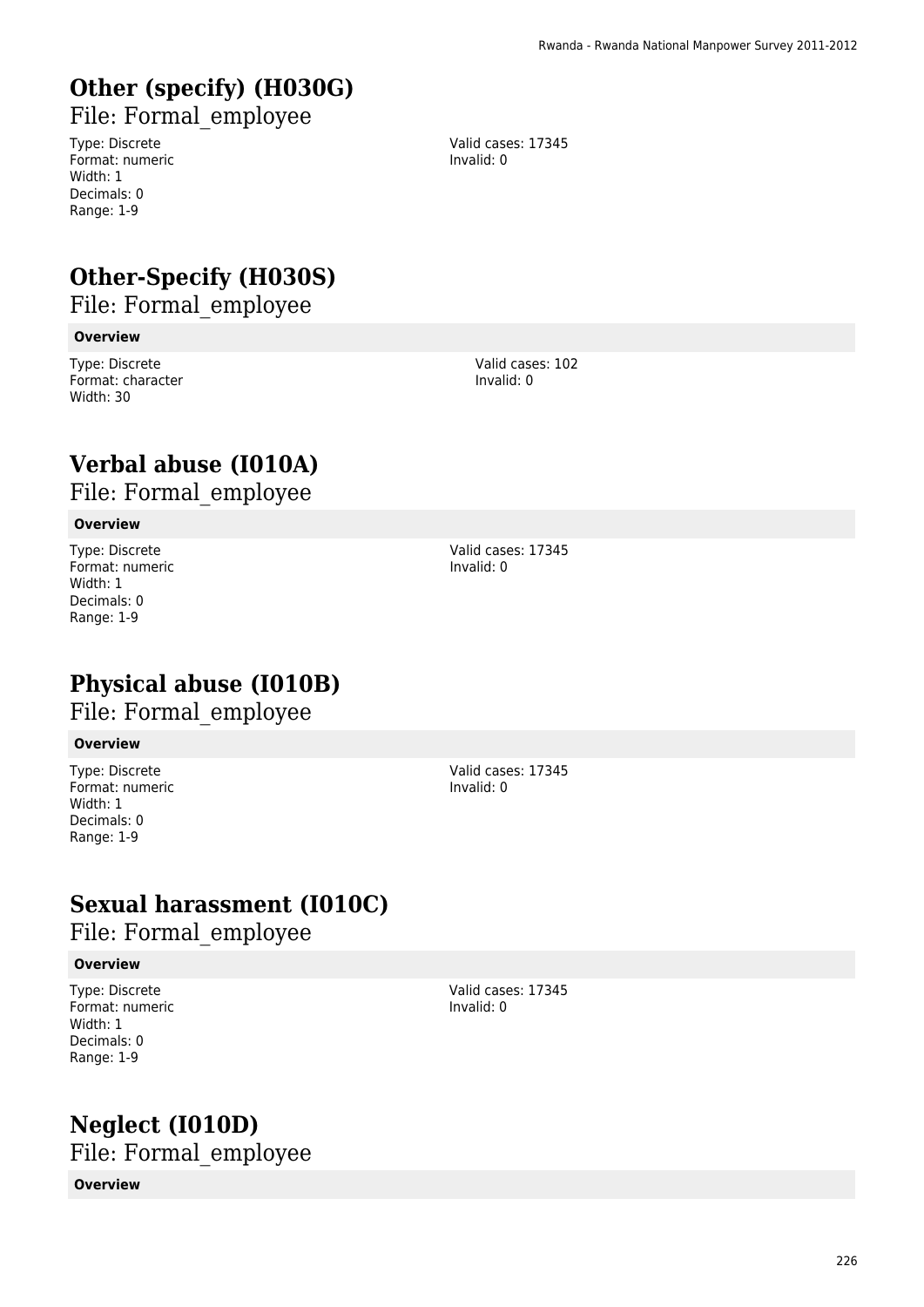## **Other (specify) (H030G)**

File: Formal\_employee

Type: Discrete Format: numeric Width: 1 Decimals: 0 Range: 1-9

## **Other-Specify (H030S)**

File: Formal\_employee

#### **Overview**

Type: Discrete Format: character Width: 30

#### Valid cases: 102 Invalid: 0

## **Verbal abuse (I010A)**

File: Formal\_employee

#### **Overview**

Type: Discrete Format: numeric Width: 1 Decimals: 0 Range: 1-9

### **Physical abuse (I010B)**

File: Formal\_employee

### **Overview**

Type: Discrete Format: numeric Width: 1 Decimals: 0 Range: 1-9

Valid cases: 17345 Invalid: 0

Valid cases: 17345

Invalid: 0

## **Sexual harassment (I010C)**

File: Formal\_employee

#### **Overview**

Type: Discrete Format: numeric Width: 1 Decimals: 0 Range: 1-9

## **Neglect (I010D)**

File: Formal\_employee

#### **Overview**

Valid cases: 17345 Invalid: 0

Valid cases: 17345 Invalid: 0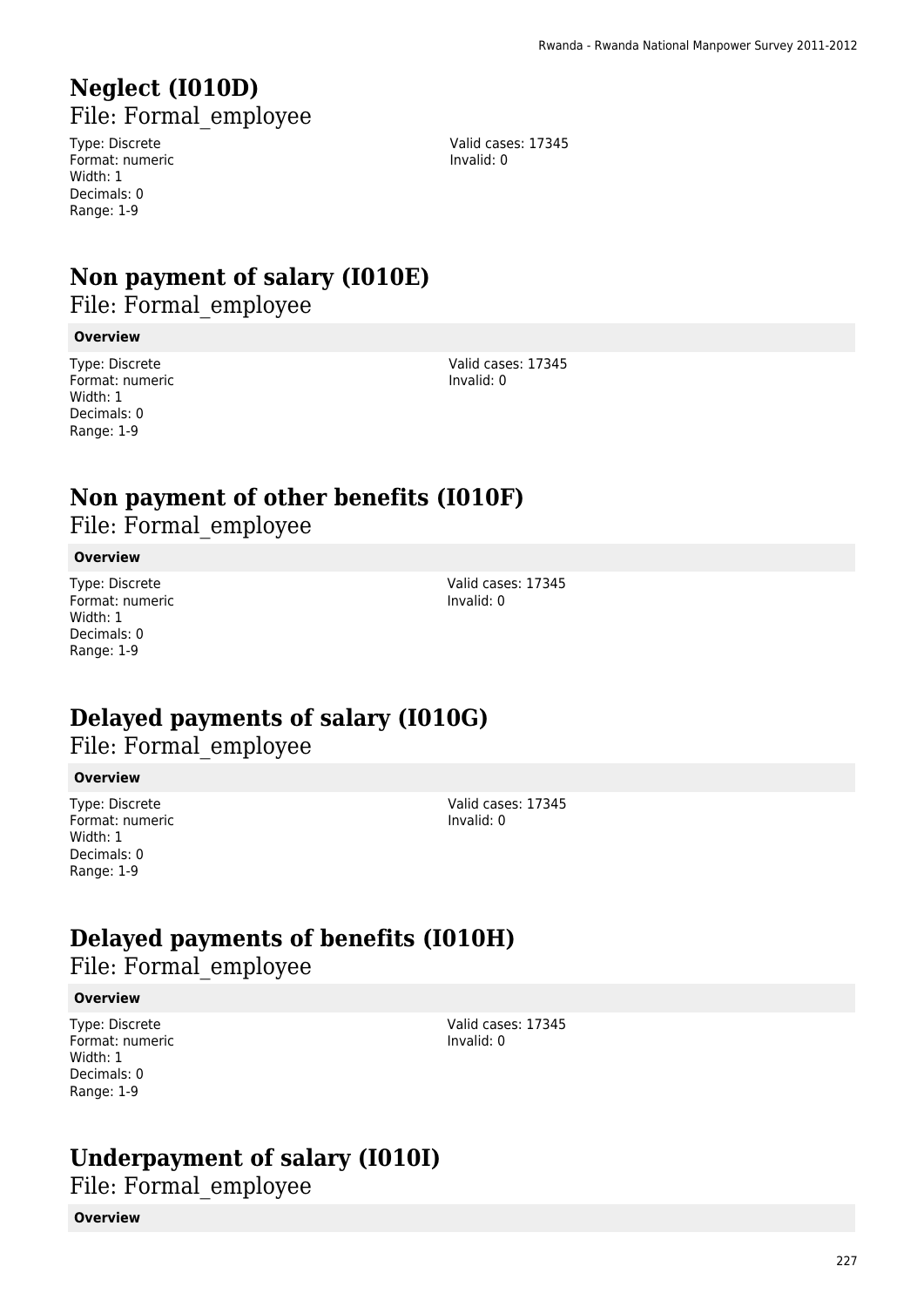### **Neglect (I010D)**  File: Formal\_employee

Type: Discrete Format: numeric Width: 1 Decimals: 0 Range: 1-9

Valid cases: 17345 Invalid: 0

### **Non payment of salary (I010E)**  File: Formal\_employee

#### **Overview**

Type: Discrete Format: numeric Width: 1 Decimals: 0 Range: 1-9

Valid cases: 17345 Invalid: 0

## **Non payment of other benefits (I010F)**

File: Formal\_employee

#### **Overview**

Type: Discrete Format: numeric Width: 1 Decimals: 0 Range: 1-9

Valid cases: 17345 Invalid: 0

### **Delayed payments of salary (I010G)**

File: Formal\_employee

#### **Overview**

Type: Discrete Format: numeric Width: 1 Decimals: 0 Range: 1-9

Valid cases: 17345 Invalid: 0

### **Delayed payments of benefits (I010H)**

File: Formal\_employee

#### **Overview**

Type: Discrete Format: numeric Width: 1 Decimals: 0 Range: 1-9

Valid cases: 17345 Invalid: 0

### **Underpayment of salary (I010I)**

File: Formal\_employee

**Overview**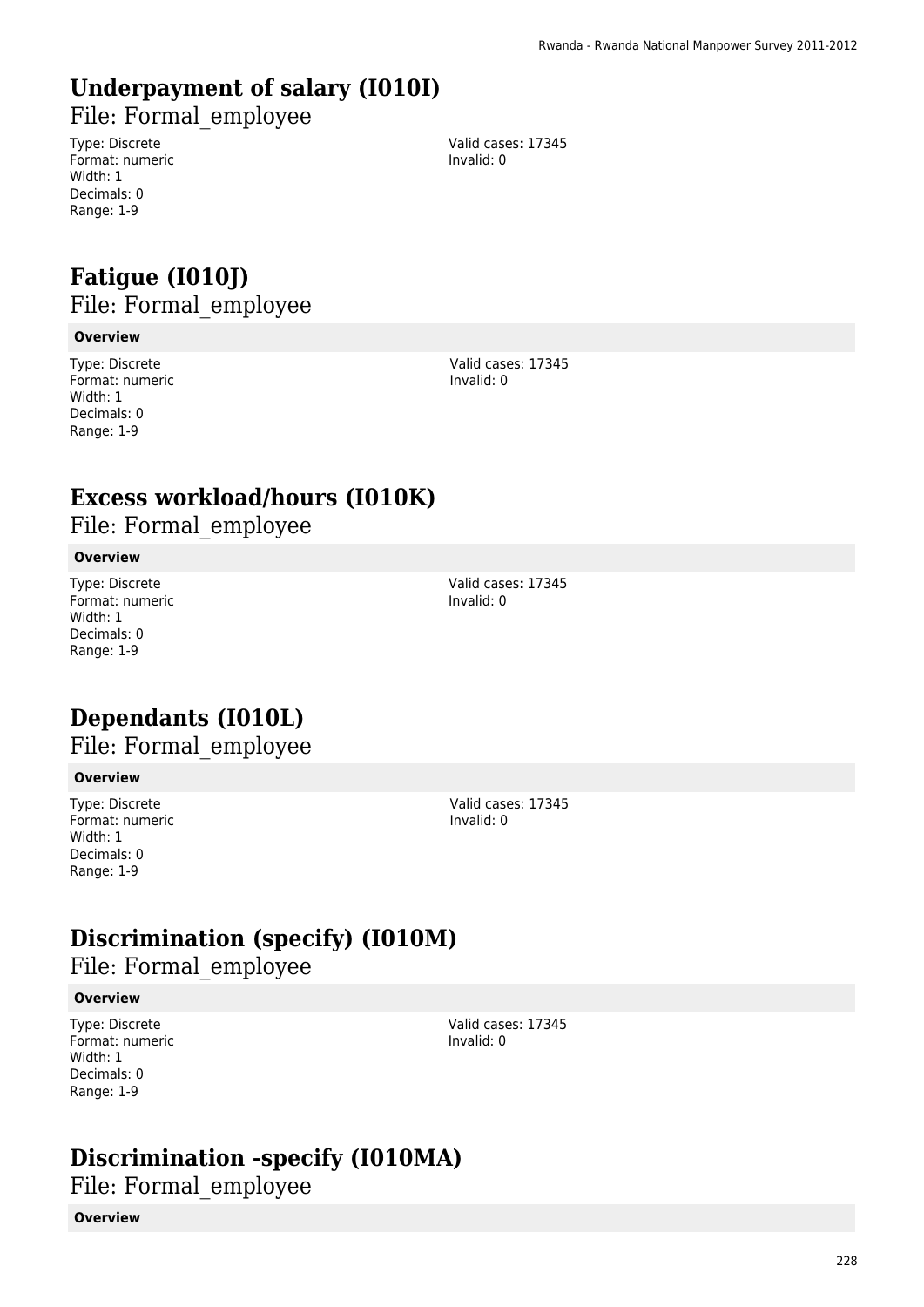## **Underpayment of salary (I010I)**

File: Formal\_employee

Type: Discrete Format: numeric Width: 1 Decimals: 0 Range: 1-9

Valid cases: 17345 Invalid: 0

### **Fatigue (I010J)**  File: Formal\_employee

#### **Overview**

Type: Discrete Format: numeric Width: 1 Decimals: 0 Range: 1-9

Valid cases: 17345 Invalid: 0

## **Excess workload/hours (I010K)**

File: Formal\_employee

#### **Overview**

Type: Discrete Format: numeric Width: 1 Decimals: 0 Range: 1-9

Valid cases: 17345 Invalid: 0

### **Dependants (I010L)**

File: Formal\_employee

#### **Overview**

Type: Discrete Format: numeric Width: 1 Decimals: 0 Range: 1-9

Valid cases: 17345 Invalid: 0

### **Discrimination (specify) (I010M)**

File: Formal\_employee

#### **Overview**

Type: Discrete Format: numeric Width: 1 Decimals: 0 Range: 1-9

Valid cases: 17345 Invalid: 0

### **Discrimination -specify (I010MA)**

File: Formal\_employee

**Overview**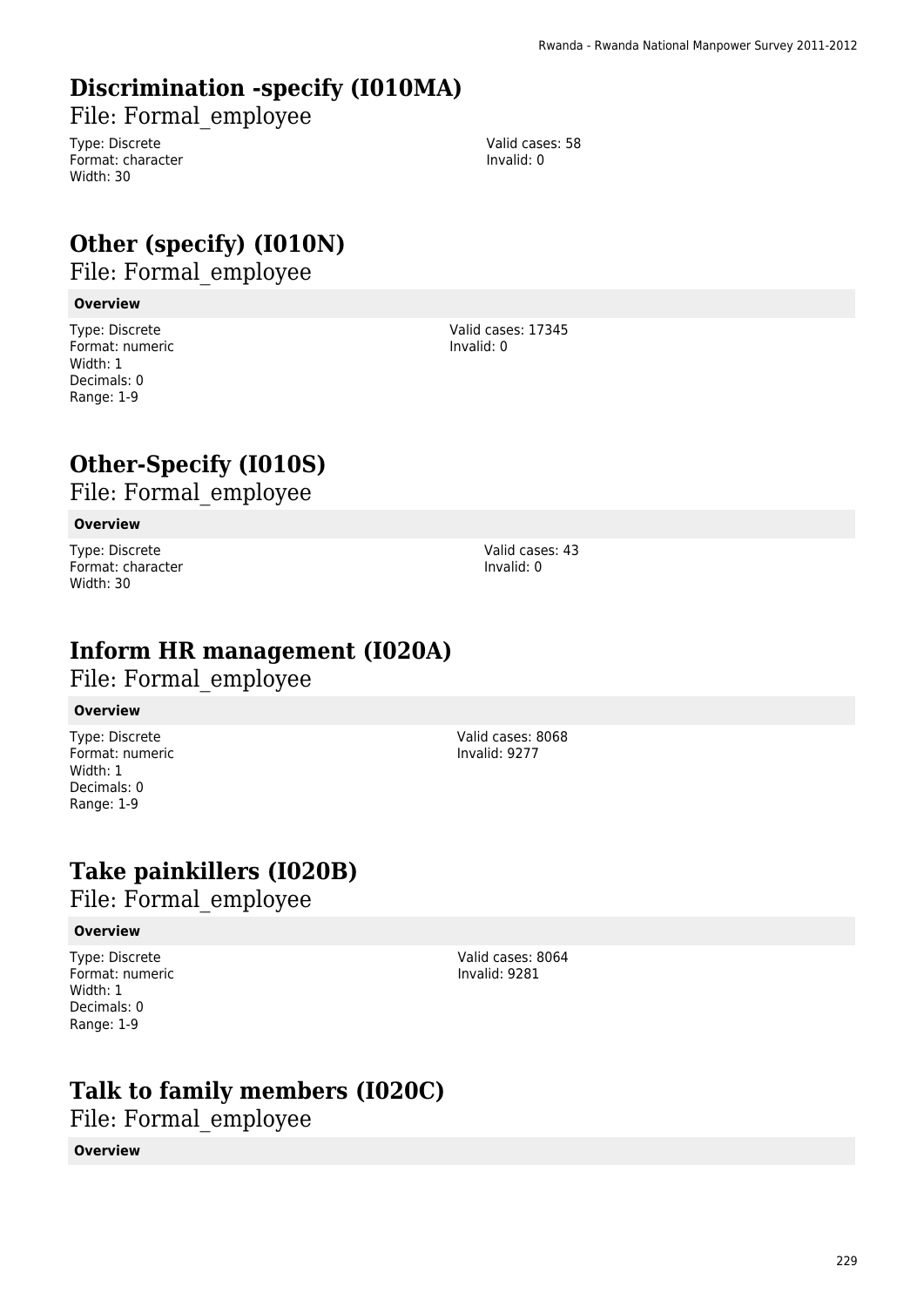### **Discrimination -specify (I010MA)**

File: Formal\_employee

Type: Discrete Format: character Width: 30

## **Other (specify) (I010N)**

File: Formal\_employee

#### **Overview**

Type: Discrete Format: numeric Width: 1 Decimals: 0 Range: 1-9

## **Other-Specify (I010S)**

File: Formal\_employee

#### **Overview**

Type: Discrete Format: character Width: 30

### **Inform HR management (I020A)**

File: Formal\_employee

#### **Overview**

Type: Discrete Format: numeric Width: 1 Decimals: 0 Range: 1-9

### **Take painkillers (I020B)**  File: Formal\_employee

#### **Overview**

Type: Discrete Format: numeric Width: 1 Decimals: 0 Range: 1-9

### **Talk to family members (I020C)**

File: Formal\_employee

#### **Overview**

Valid cases: 58 Invalid: 0

Valid cases: 17345 Invalid: 0

> Valid cases: 43 Invalid: 0

Valid cases: 8068 Invalid: 9277

Valid cases: 8064 Invalid: 9281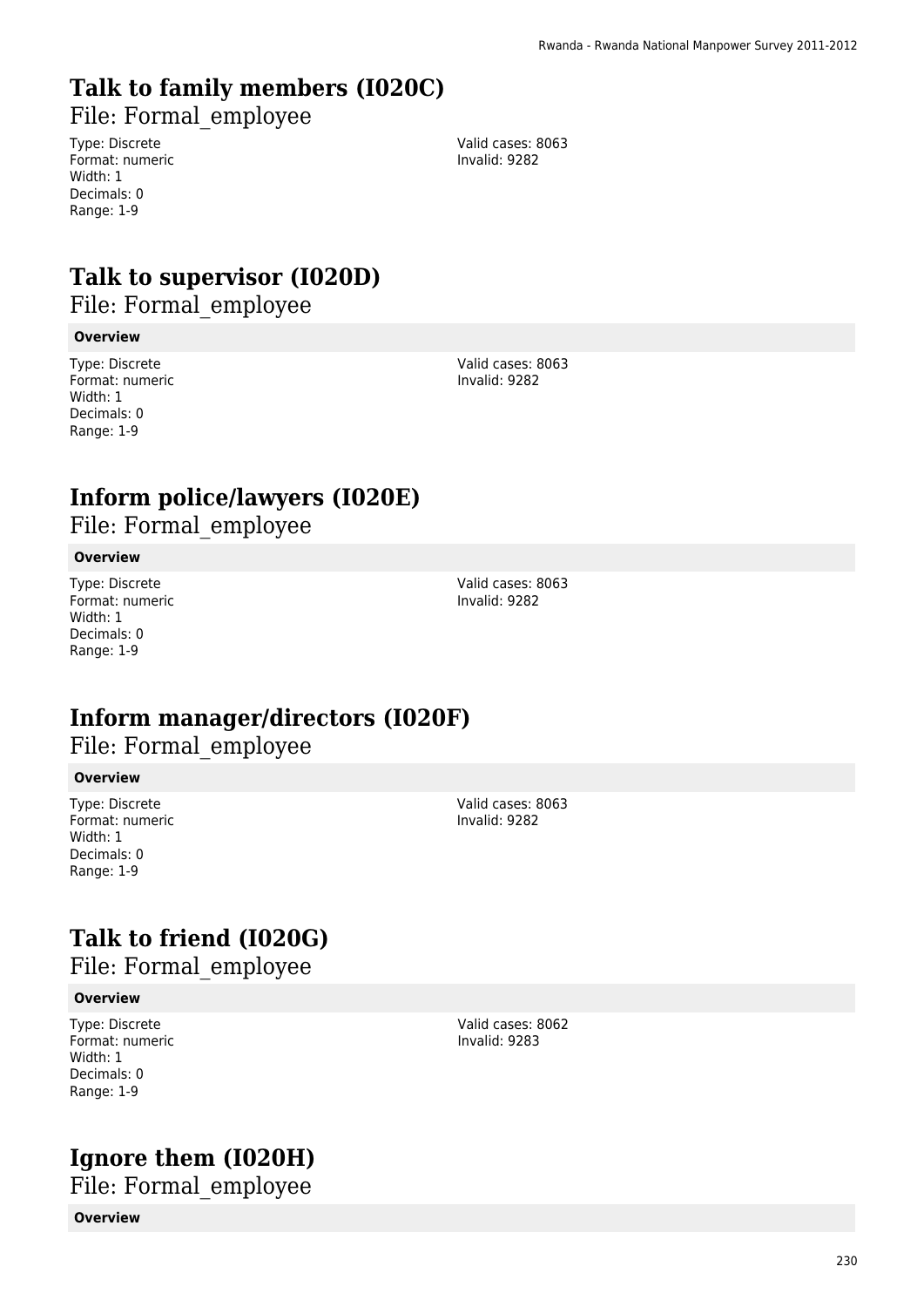### **Talk to family members (I020C)**

File: Formal\_employee

Type: Discrete Format: numeric Width: 1 Decimals: 0 Range: 1-9

Valid cases: 8063 Invalid: 9282

## **Talk to supervisor (I020D)**

File: Formal\_employee

#### **Overview**

Type: Discrete Format: numeric Width: 1 Decimals: 0 Range: 1-9

Valid cases: 8063 Invalid: 9282

### **Inform police/lawyers (I020E)**

File: Formal\_employee

#### **Overview**

Type: Discrete Format: numeric Width: 1 Decimals: 0 Range: 1-9

Valid cases: 8063 Invalid: 9282

### **Inform manager/directors (I020F)**

File: Formal\_employee

#### **Overview**

Type: Discrete Format: numeric Width: 1 Decimals: 0 Range: 1-9

Valid cases: 8063 Invalid: 9282

## **Talk to friend (I020G)**

File: Formal\_employee

#### **Overview**

Type: Discrete Format: numeric Width: 1 Decimals: 0 Range: 1-9

Valid cases: 8062 Invalid: 9283

### **Ignore them (I020H)**

File: Formal\_employee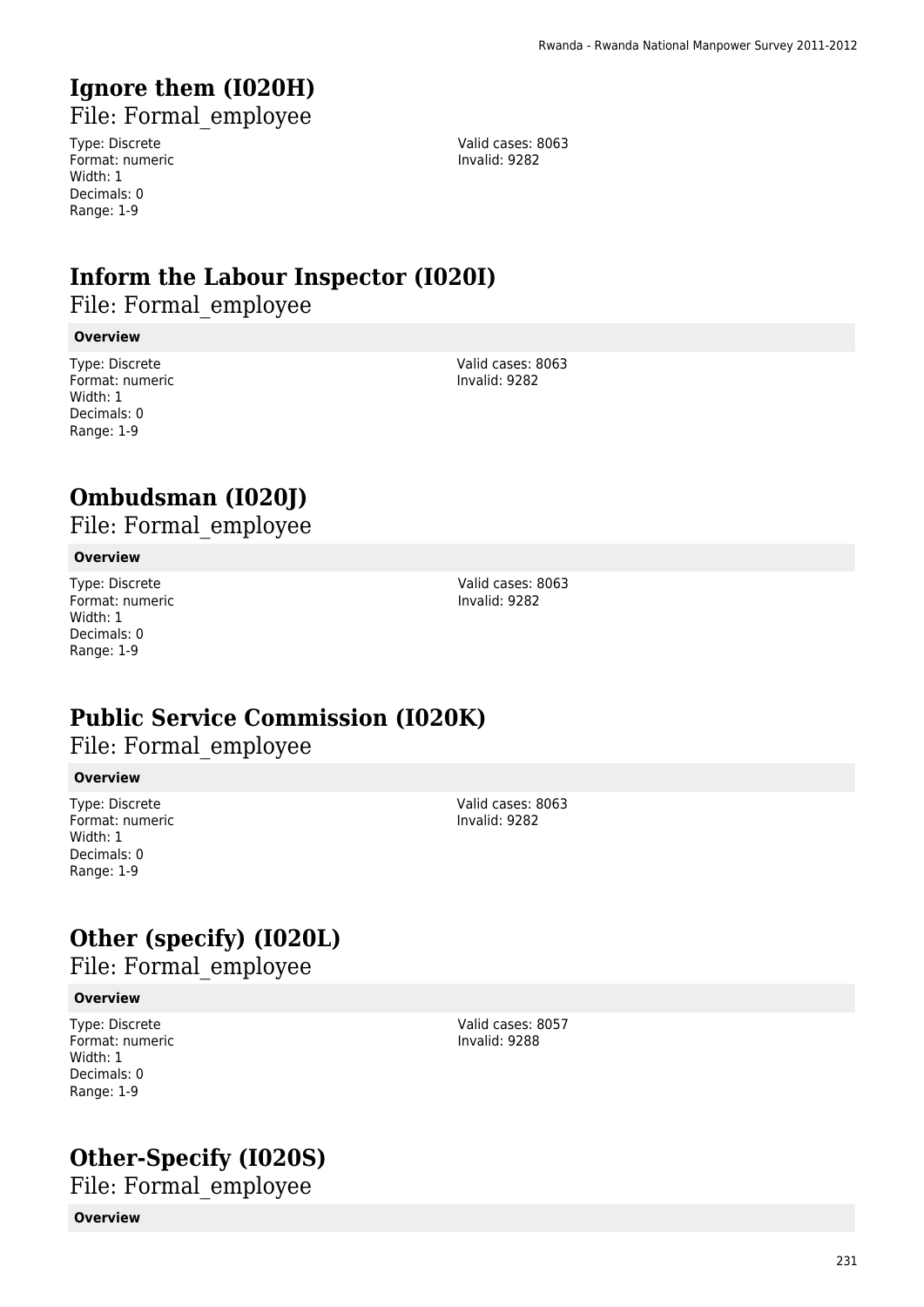## **Ignore them (I020H)**

File: Formal\_employee

Type: Discrete Format: numeric Width: 1 Decimals: 0 Range: 1-9

Valid cases: 8063 Invalid: 9282

## **Inform the Labour Inspector (I020I)**

File: Formal\_employee

#### **Overview**

Type: Discrete Format: numeric Width: 1 Decimals: 0 Range: 1-9

Valid cases: 8063 Invalid: 9282

## **Ombudsman (I020J)**

File: Formal\_employee

#### **Overview**

Type: Discrete Format: numeric Width: 1 Decimals: 0 Range: 1-9

Valid cases: 8063 Invalid: 9282

### **Public Service Commission (I020K)**

File: Formal\_employee

#### **Overview**

Type: Discrete Format: numeric Width: 1 Decimals: 0 Range: 1-9

Valid cases: 8063 Invalid: 9282

## **Other (specify) (I020L)**

File: Formal\_employee

#### **Overview**

Type: Discrete Format: numeric Width: 1 Decimals: 0 Range: 1-9

Valid cases: 8057 Invalid: 9288

## **Other-Specify (I020S)**

File: Formal\_employee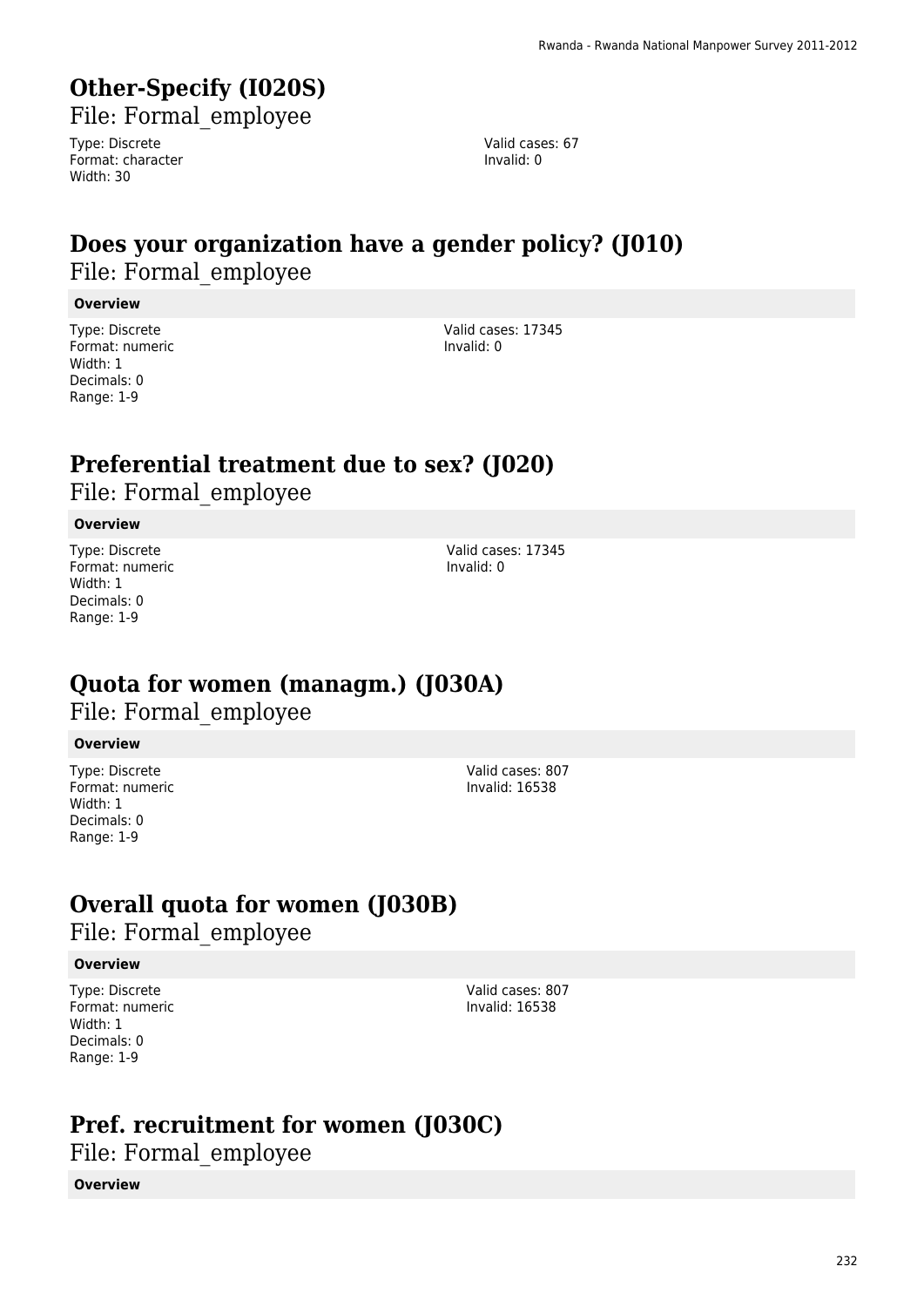## **Other-Specify (I020S)**

File: Formal\_employee

Type: Discrete Format: character Width: 30

Valid cases: 67 Invalid: 0

### **Does your organization have a gender policy? (J010)**  File: Formal\_employee

#### **Overview**

Type: Discrete Format: numeric Width: 1 Decimals: 0 Range: 1-9

Valid cases: 17345 Invalid: 0

### **Preferential treatment due to sex? (J020)**  File: Formal\_employee

#### **Overview**

Type: Discrete Format: numeric Width: 1 Decimals: 0 Range: 1-9

Valid cases: 17345 Invalid: 0

### **Quota for women (managm.) (J030A)**  File: Formal\_employee

#### **Overview**

Type: Discrete Format: numeric Width: 1 Decimals: 0 Range: 1-9

Valid cases: 807 Invalid: 16538

## **Overall quota for women (J030B)**

File: Formal\_employee

#### **Overview**

Type: Discrete Format: numeric Width: 1 Decimals: 0 Range: 1-9

Valid cases: 807 Invalid: 16538

### **Pref. recruitment for women (J030C)**

File: Formal\_employee

#### **Overview**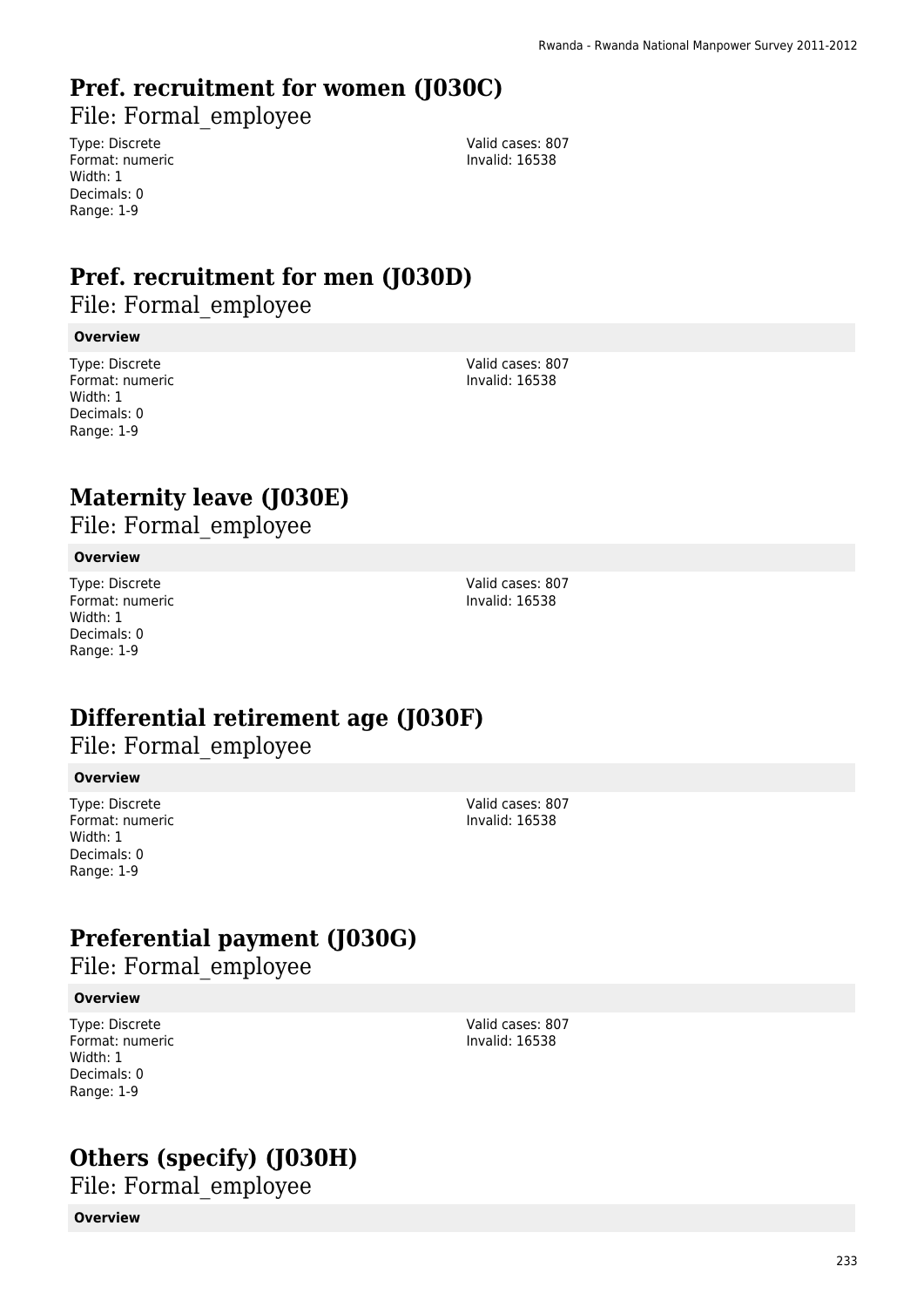## **Pref. recruitment for women (J030C)**

File: Formal\_employee

Type: Discrete Format: numeric Width: 1 Decimals: 0 Range: 1-9

### **Pref. recruitment for men (J030D)**  File: Formal\_employee

### **Overview**

Type: Discrete Format: numeric Width: 1 Decimals: 0 Range: 1-9

Valid cases: 807 Invalid: 16538

Valid cases: 807 Invalid: 16538

## **Maternity leave (J030E)**

File: Formal\_employee

### **Overview**

Type: Discrete Format: numeric Width: 1 Decimals: 0 Range: 1-9

Valid cases: 807 Invalid: 16538

### **Differential retirement age (J030F)**

File: Formal\_employee

#### **Overview**

Type: Discrete Format: numeric Width: 1 Decimals: 0 Range: 1-9

Invalid: 16538

## **Preferential payment (J030G)**

File: Formal\_employee

#### **Overview**

Type: Discrete Format: numeric Width: 1 Decimals: 0 Range: 1-9

Valid cases: 807 Invalid: 16538

## **Others (specify) (J030H)**

File: Formal\_employee

**Overview**

Valid cases: 807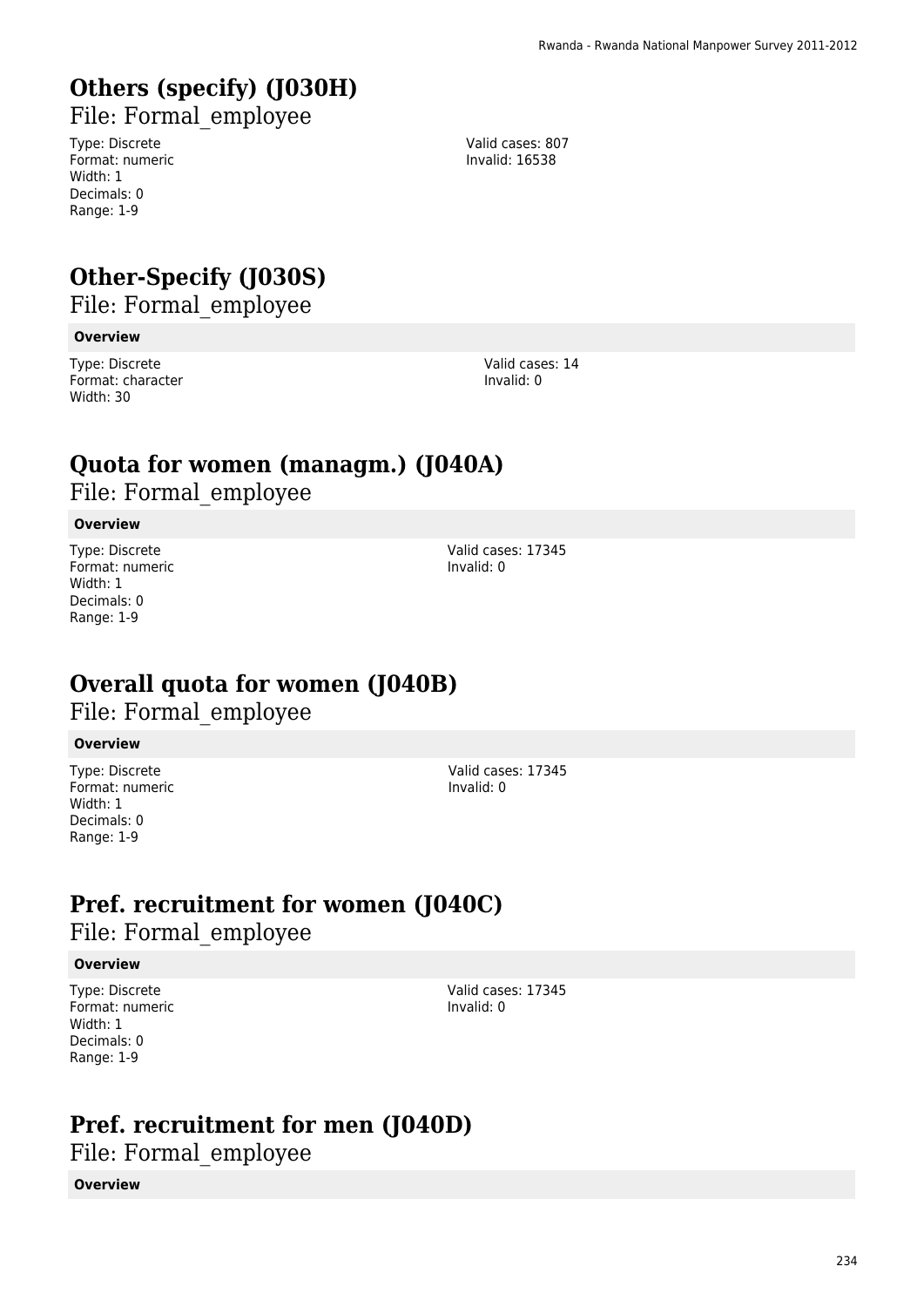## **Others (specify) (J030H)**

File: Formal\_employee

Type: Discrete Format: numeric Width: 1 Decimals: 0 Range: 1-9

## **Other-Specify (J030S)**

File: Formal\_employee

#### **Overview**

Type: Discrete Format: character Width: 30

# **Quota for women (managm.) (J040A)**

File: Formal\_employee

#### **Overview**

Type: Discrete Format: numeric Width: 1 Decimals: 0 Range: 1-9

Valid cases: 17345 Invalid: 0

## **Overall quota for women (J040B)**

File: Formal\_employee

#### **Overview**

Type: Discrete Format: numeric Width: 1 Decimals: 0 Range: 1-9

Valid cases: 17345 Invalid: 0

### **Pref. recruitment for women (J040C)**  File: Formal\_employee

### **Overview**

Type: Discrete Format: numeric Width: 1 Decimals: 0 Range: 1-9

Valid cases: 17345 Invalid: 0

### **Pref. recruitment for men (J040D)**

File: Formal\_employee

#### **Overview**

Valid cases: 807 Invalid: 16538

> Valid cases: 14 Invalid: 0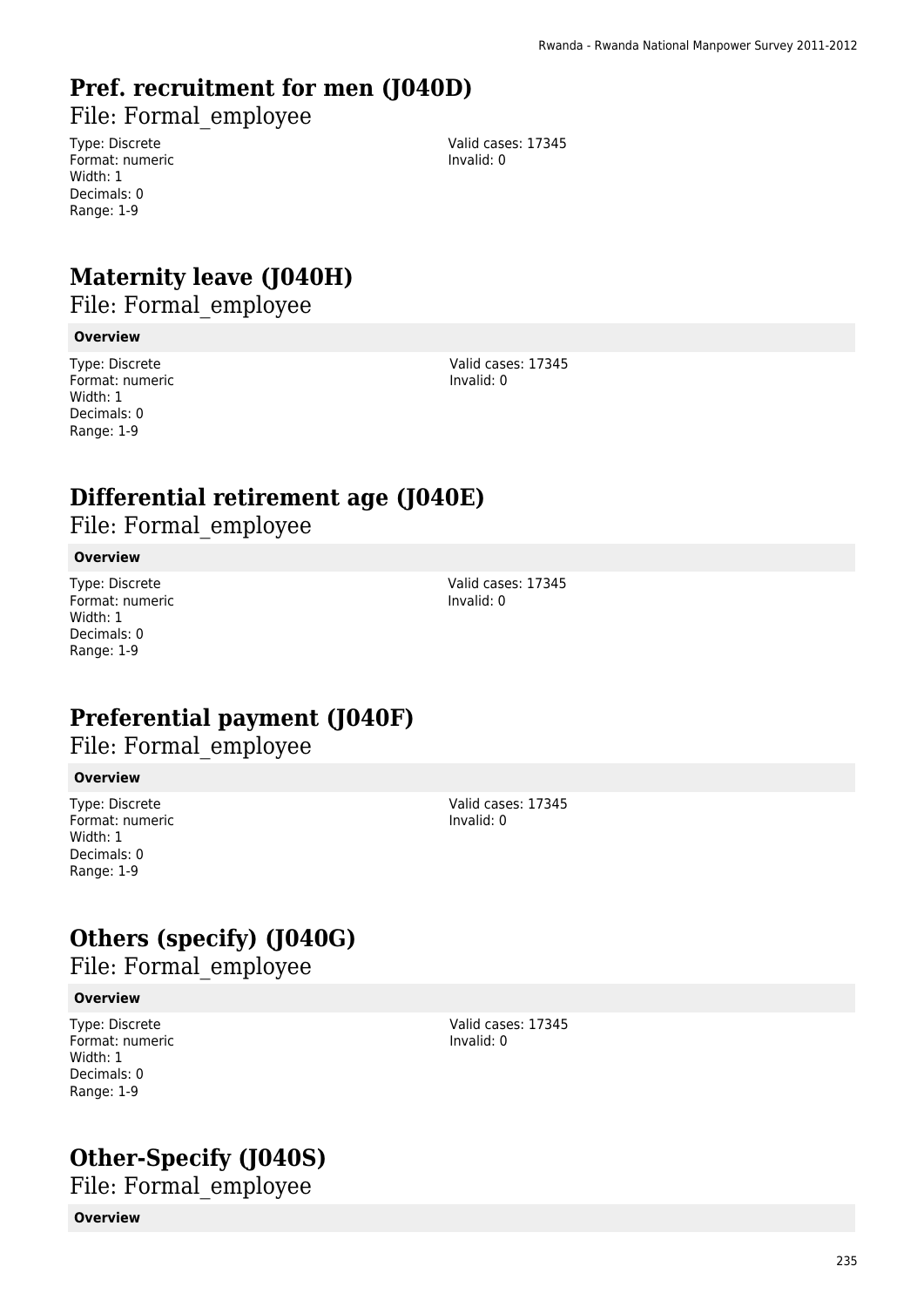### **Pref. recruitment for men (J040D)**

File: Formal\_employee

Type: Discrete Format: numeric Width: 1 Decimals: 0 Range: 1-9

Valid cases: 17345 Invalid: 0

## **Maternity leave (J040H)**

File: Formal\_employee

#### **Overview**

Type: Discrete Format: numeric Width: 1 Decimals: 0 Range: 1-9

Valid cases: 17345 Invalid: 0

### **Differential retirement age (J040E)**

File: Formal\_employee

#### **Overview**

Type: Discrete Format: numeric Width: 1 Decimals: 0 Range: 1-9

Valid cases: 17345 Invalid: 0

## **Preferential payment (J040F)**

File: Formal\_employee

#### **Overview**

Type: Discrete Format: numeric Width: 1 Decimals: 0 Range: 1-9

Valid cases: 17345 Invalid: 0

## **Others (specify) (J040G)**

File: Formal\_employee

#### **Overview**

Type: Discrete Format: numeric Width: 1 Decimals: 0 Range: 1-9

Valid cases: 17345 Invalid: 0

### **Other-Specify (J040S)**

File: Formal\_employee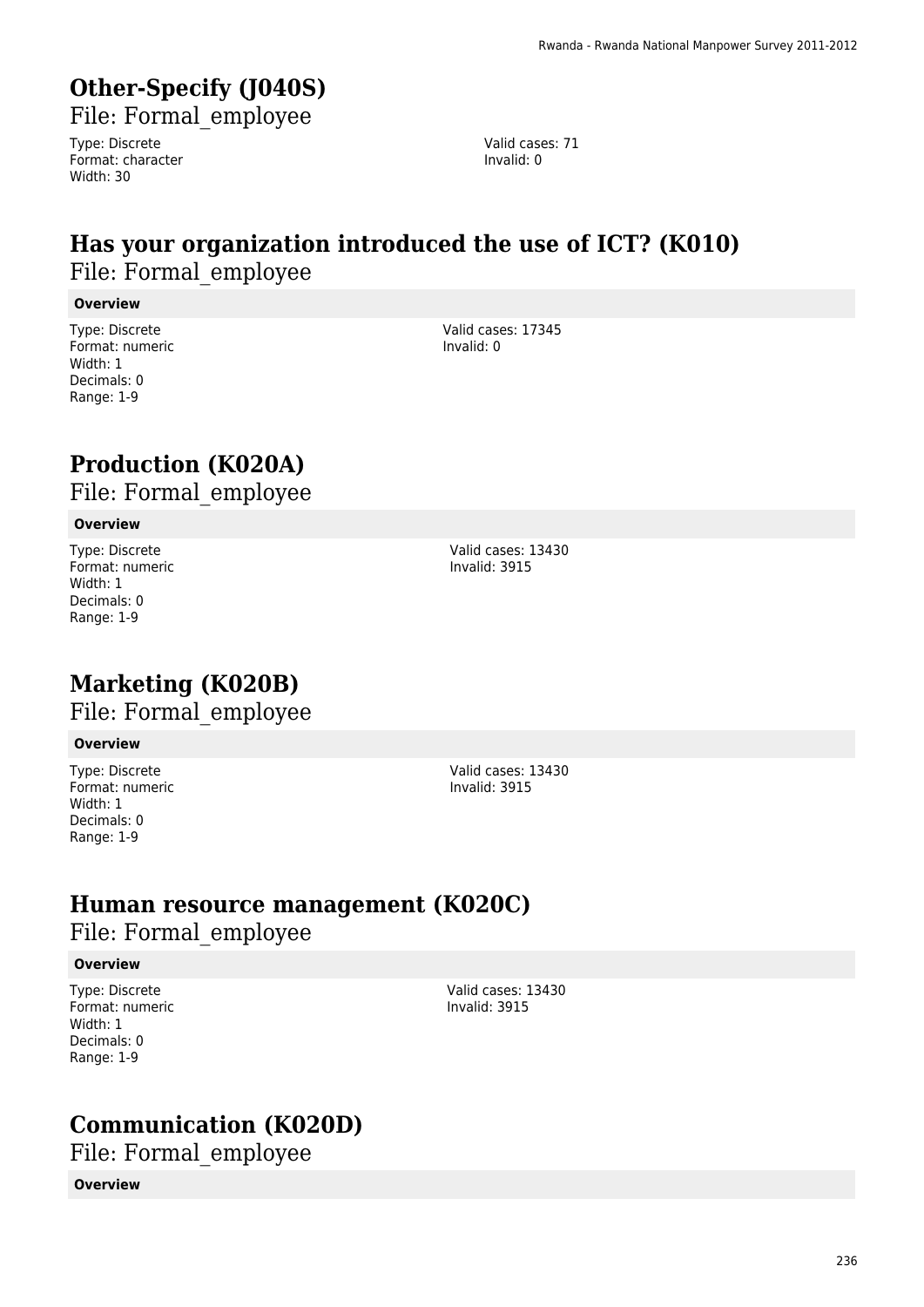## **Other-Specify (J040S)**

File: Formal\_employee

Type: Discrete Format: character Width: 30

Valid cases: 71 Invalid: 0

### **Has your organization introduced the use of ICT? (K010)**  File: Formal\_employee

#### **Overview**

Type: Discrete Format: numeric Width: 1 Decimals: 0 Range: 1-9

Valid cases: 17345 Invalid: 0

### **Production (K020A)**  File: Formal\_employee

#### **Overview**

Type: Discrete Format: numeric Width: 1 Decimals: 0 Range: 1-9

Valid cases: 13430 Invalid: 3915

## **Marketing (K020B)**

File: Formal\_employee

#### **Overview**

Type: Discrete Format: numeric Width: 1 Decimals: 0 Range: 1-9

Valid cases: 13430 Invalid: 3915

### **Human resource management (K020C)**  File: Formal\_employee

**Overview**

Type: Discrete Format: numeric Width: 1 Decimals: 0 Range: 1-9

Valid cases: 13430 Invalid: 3915

### **Communication (K020D)**

File: Formal\_employee

#### **Overview**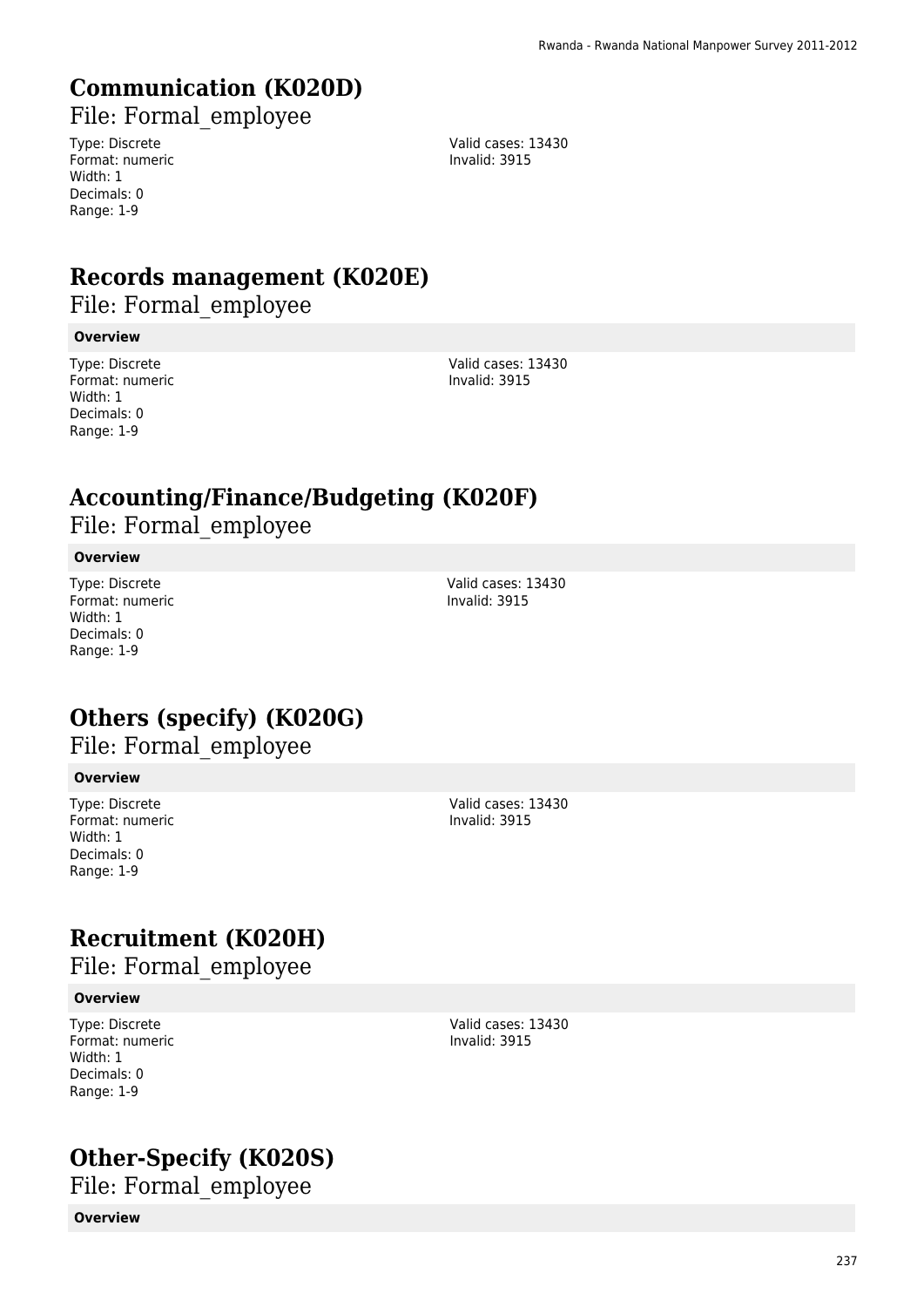### **Communication (K020D)**

File: Formal\_employee

Type: Discrete Format: numeric Width: 1 Decimals: 0 Range: 1-9

Valid cases: 13430 Invalid: 3915

## **Records management (K020E)**

File: Formal\_employee

#### **Overview**

Type: Discrete Format: numeric Width: 1 Decimals: 0 Range: 1-9

Valid cases: 13430 Invalid: 3915

## **Accounting/Finance/Budgeting (K020F)**

File: Formal\_employee

#### **Overview**

Type: Discrete Format: numeric Width: 1 Decimals: 0 Range: 1-9

Valid cases: 13430 Invalid: 3915

### **Others (specify) (K020G)**

File: Formal\_employee

#### **Overview**

Type: Discrete Format: numeric Width: 1 Decimals: 0 Range: 1-9

Valid cases: 13430 Invalid: 3915

## **Recruitment (K020H)**

File: Formal\_employee

#### **Overview**

Type: Discrete Format: numeric Width: 1 Decimals: 0 Range: 1-9

Valid cases: 13430 Invalid: 3915

### **Other-Specify (K020S)**

File: Formal\_employee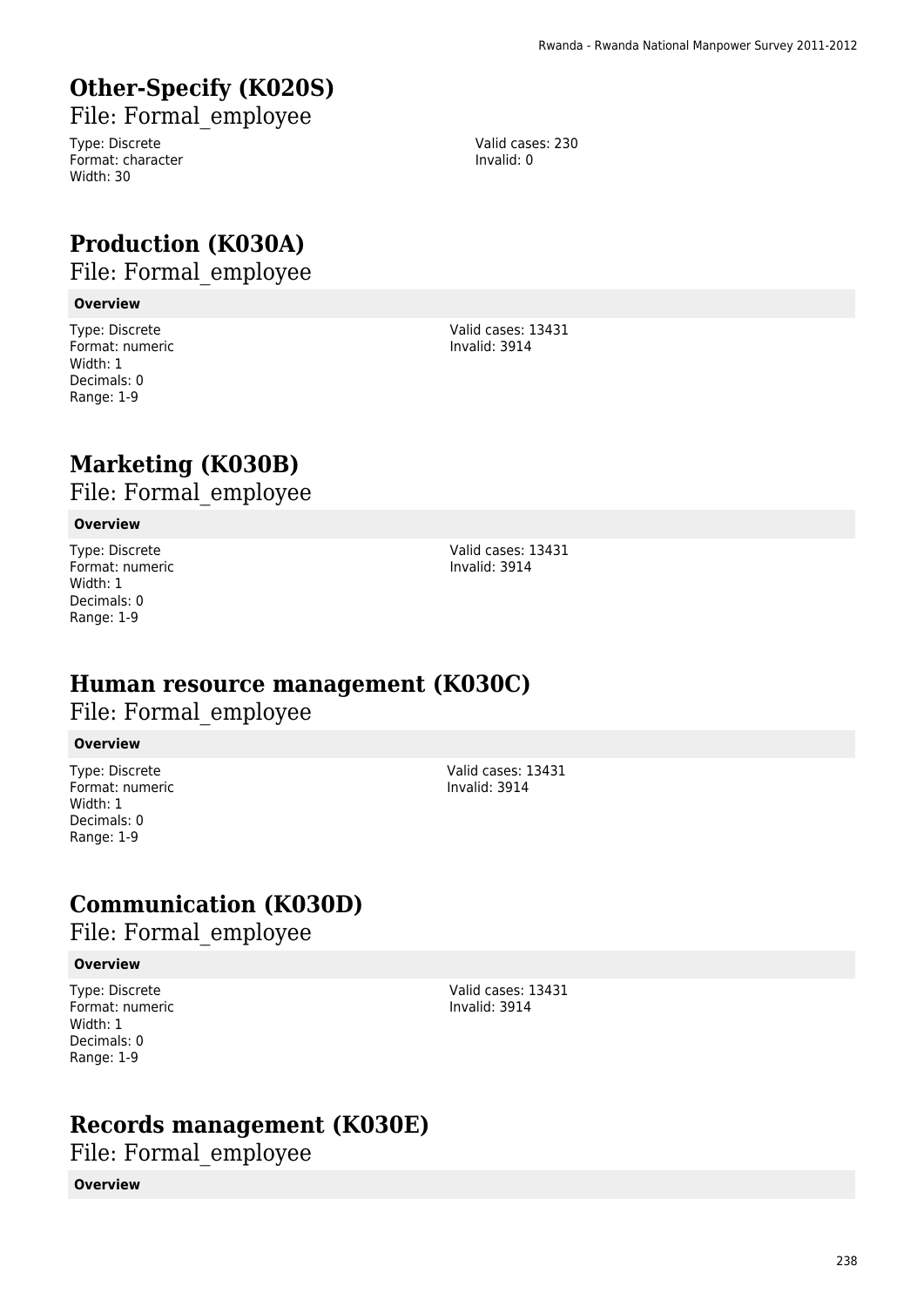### **Other-Specify (K020S)**

File: Formal\_employee

Type: Discrete Format: character Width: 30

**Production (K030A)** 

File: Formal\_employee

#### **Overview**

Type: Discrete Format: numeric Width: 1 Decimals: 0 Range: 1-9

Valid cases: 13431 Invalid: 3914

### **Marketing (K030B)**  File: Formal\_employee

#### **Overview**

Type: Discrete Format: numeric Width: 1 Decimals: 0 Range: 1-9

Valid cases: 13431 Invalid: 3914

### **Human resource management (K030C)**  File: Formal\_employee

#### **Overview**

Type: Discrete Format: numeric Width: 1 Decimals: 0 Range: 1-9

Valid cases: 13431 Invalid: 3914

### **Communication (K030D)**

File: Formal\_employee

#### **Overview**

Type: Discrete Format: numeric Width: 1 Decimals: 0 Range: 1-9

Valid cases: 13431 Invalid: 3914

### **Records management (K030E)**

File: Formal\_employee

#### **Overview**

Invalid: 0

Valid cases: 230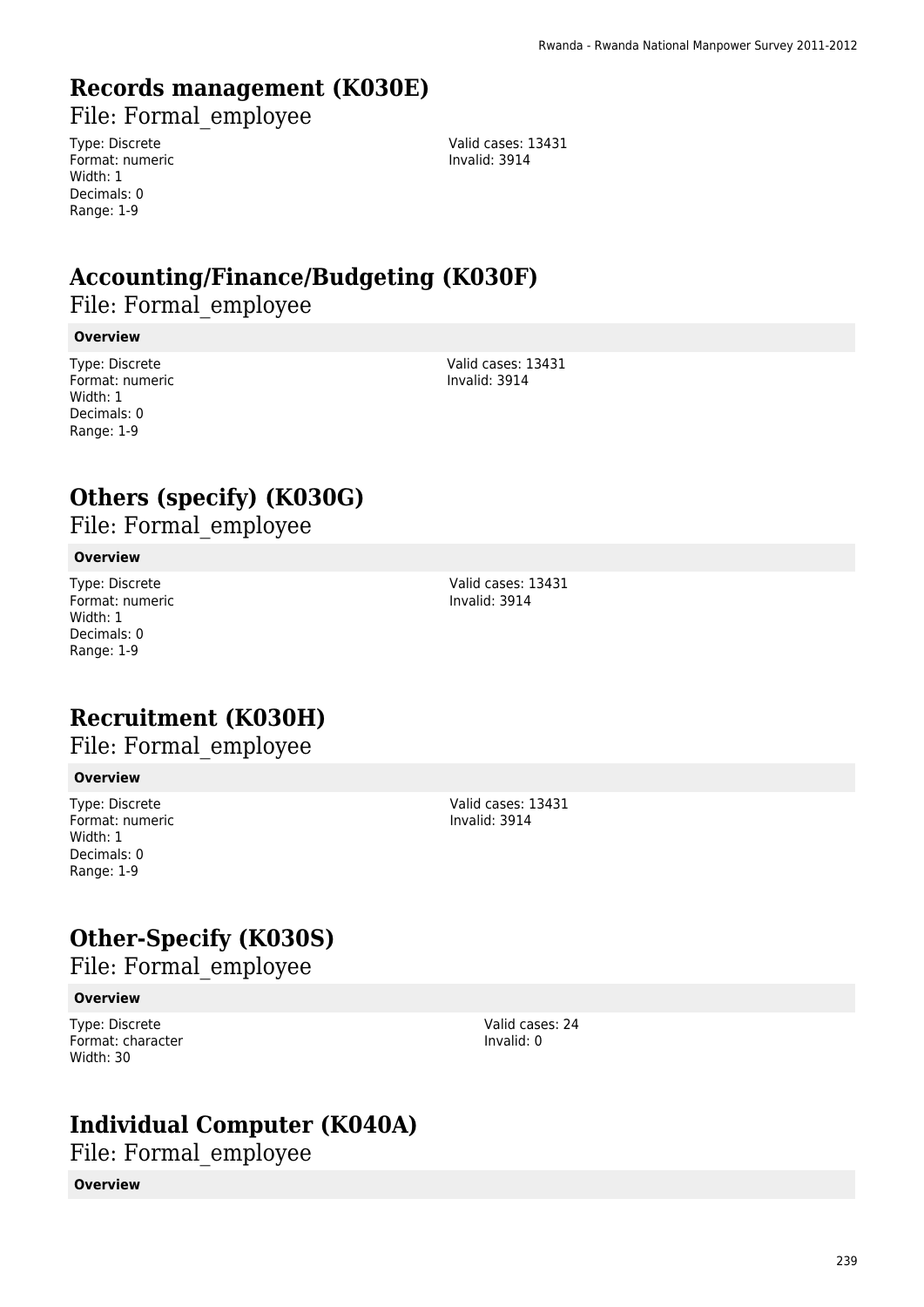### **Records management (K030E)**

File: Formal\_employee

Type: Discrete Format: numeric Width: 1 Decimals: 0 Range: 1-9

Valid cases: 13431 Invalid: 3914

## **Accounting/Finance/Budgeting (K030F)**

File: Formal\_employee

#### **Overview**

Type: Discrete Format: numeric Width: 1 Decimals: 0 Range: 1-9

Valid cases: 13431 Invalid: 3914

## **Others (specify) (K030G)**

File: Formal\_employee

#### **Overview**

Type: Discrete Format: numeric Width: 1 Decimals: 0 Range: 1-9

Valid cases: 13431 Invalid: 3914

### **Recruitment (K030H)**

File: Formal\_employee

#### **Overview**

Type: Discrete Format: numeric Width: 1 Decimals: 0 Range: 1-9

Valid cases: 13431 Invalid: 3914

### **Other-Specify (K030S)**

File: Formal\_employee

#### **Overview**

Type: Discrete Format: character Width: 30

### **Individual Computer (K040A)**

File: Formal\_employee

#### **Overview**

Valid cases: 24 Invalid: 0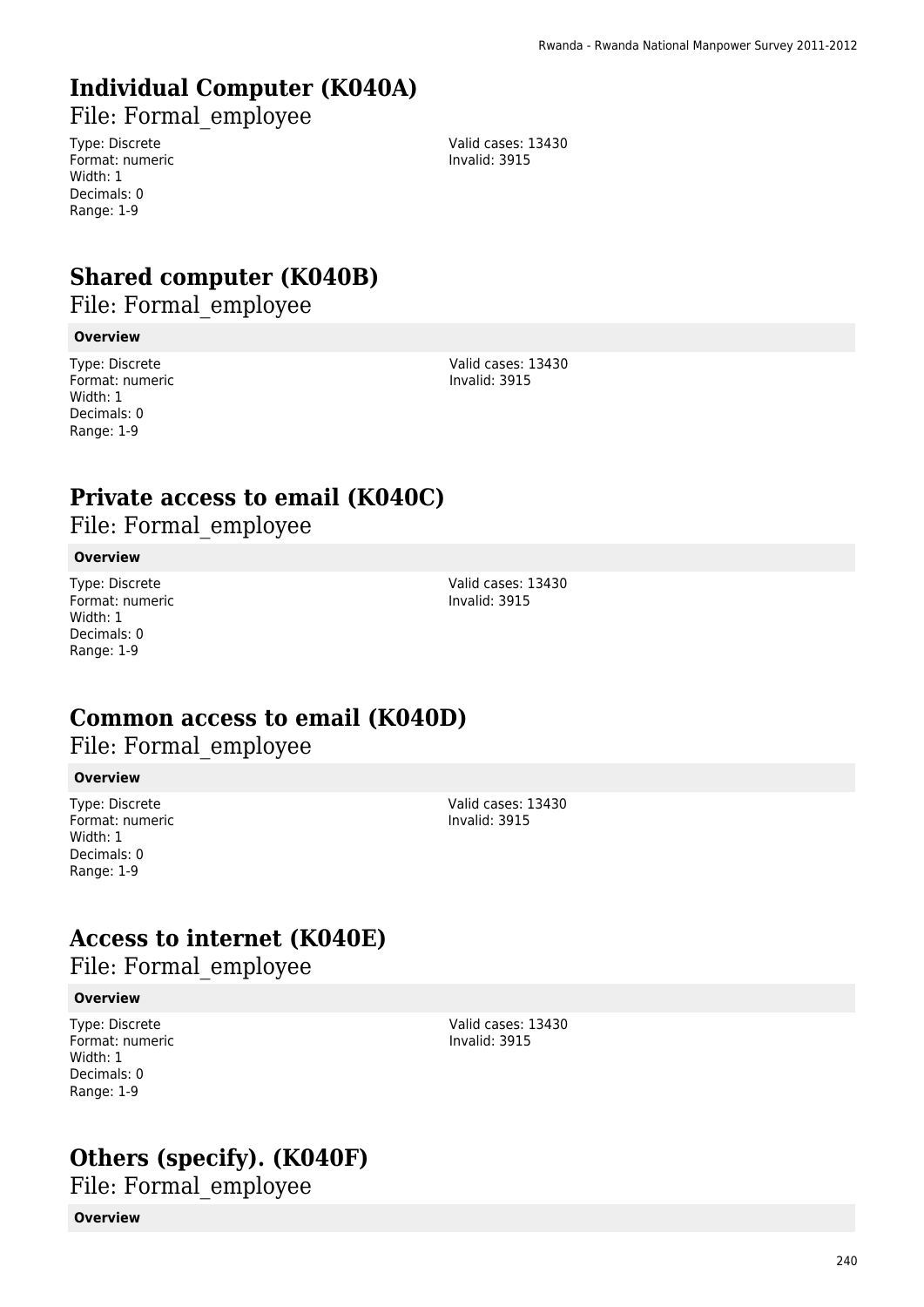### **Individual Computer (K040A)**

File: Formal\_employee

Type: Discrete Format: numeric Width: 1 Decimals: 0 Range: 1-9

Valid cases: 13430 Invalid: 3915

### **Shared computer (K040B)**

File: Formal\_employee

#### **Overview**

Type: Discrete Format: numeric Width: 1 Decimals: 0 Range: 1-9

Valid cases: 13430 Invalid: 3915

### **Private access to email (K040C)**  File: Formal\_employee

#### **Overview**

Type: Discrete Format: numeric Width: 1 Decimals: 0 Range: 1-9

Valid cases: 13430 Invalid: 3915

### **Common access to email (K040D)**

File: Formal\_employee

#### **Overview**

Type: Discrete Format: numeric Width: 1 Decimals: 0 Range: 1-9

Valid cases: 13430 Invalid: 3915

### **Access to internet (K040E)**

File: Formal\_employee

#### **Overview**

Type: Discrete Format: numeric Width: 1 Decimals: 0 Range: 1-9

Valid cases: 13430 Invalid: 3915

### **Others (specify). (K040F)**

File: Formal\_employee

**Overview**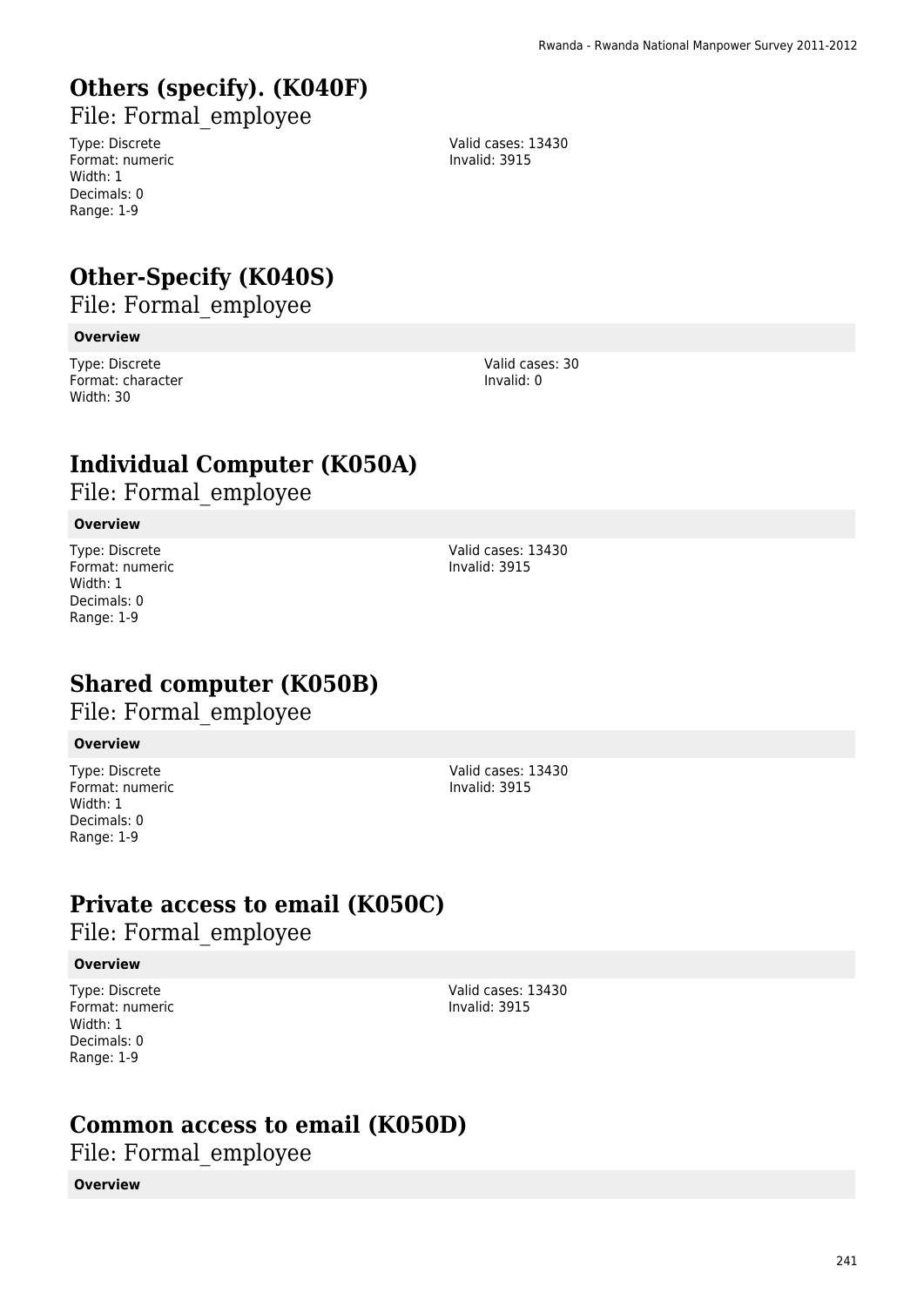## **Others (specify). (K040F)**

File: Formal\_employee

Type: Discrete Format: numeric Width: 1 Decimals: 0 Range: 1-9

### **Other-Specify (K040S)**

File: Formal\_employee

#### **Overview**

Type: Discrete Format: character Width: 30

Valid cases: 13430 Invalid: 3915

> Valid cases: 30 Invalid: 0

### **Individual Computer (K050A)**  File: Formal\_employee

#### **Overview**

Type: Discrete Format: numeric Width: 1 Decimals: 0 Range: 1-9

**Shared computer (K050B)** 

File: Formal\_employee

#### **Overview**

Type: Discrete Format: numeric Width: 1 Decimals: 0 Range: 1-9

Valid cases: 13430

Valid cases: 13430 Invalid: 3915

Invalid: 3915

### **Private access to email (K050C)**  File: Formal\_employee

#### **Overview**

Type: Discrete Format: numeric Width: 1 Decimals: 0 Range: 1-9

Valid cases: 13430 Invalid: 3915

### **Common access to email (K050D)**

File: Formal\_employee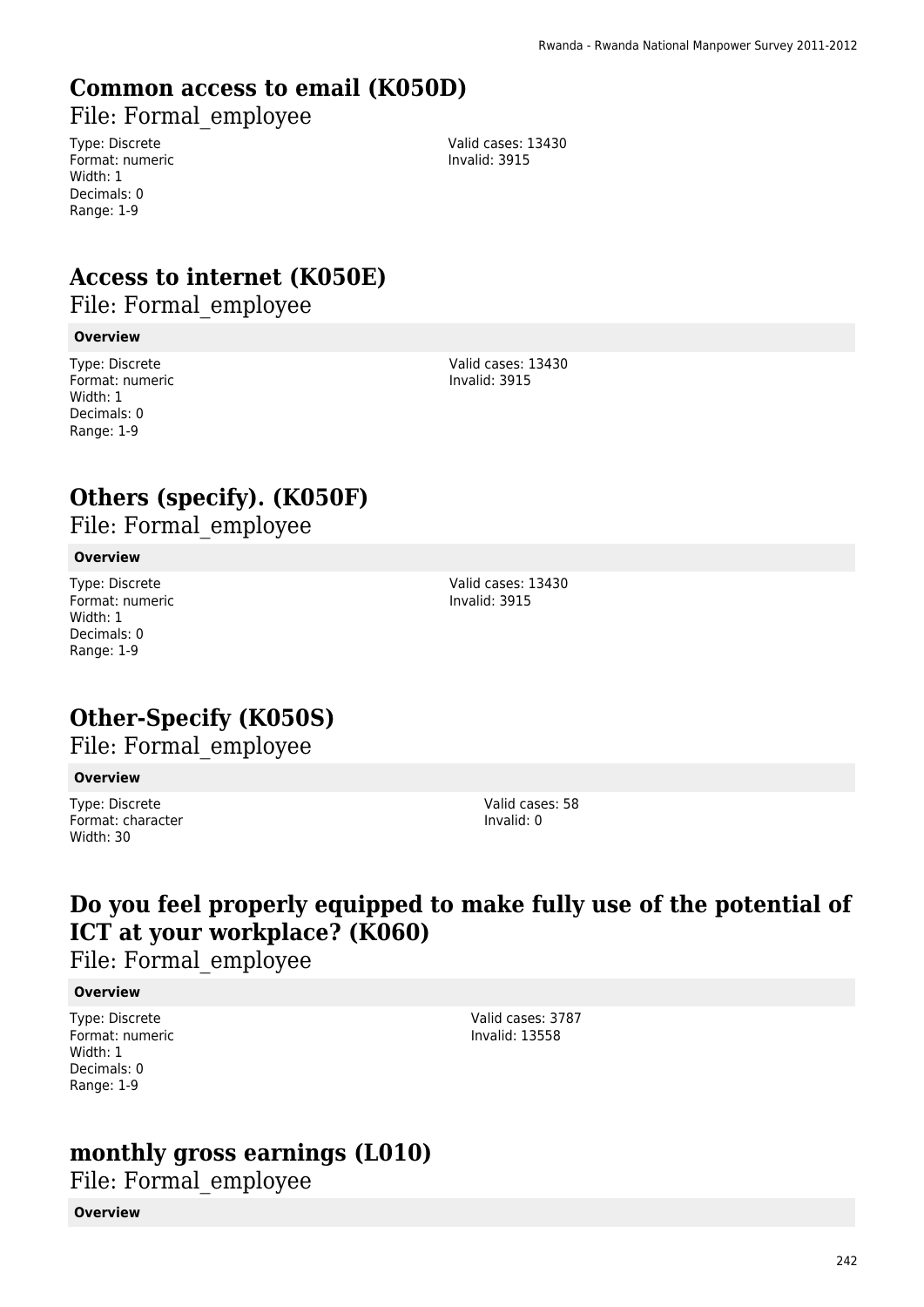### **Common access to email (K050D)**

File: Formal\_employee

Type: Discrete Format: numeric Width: 1 Decimals: 0 Range: 1-9

Valid cases: 13430 Invalid: 3915

## **Access to internet (K050E)**

File: Formal\_employee

#### **Overview**

Type: Discrete Format: numeric Width: 1 Decimals: 0 Range: 1-9

Valid cases: 13430 Invalid: 3915

## **Others (specify). (K050F)**

File: Formal\_employee

#### **Overview**

Type: Discrete Format: numeric Width: 1 Decimals: 0 Range: 1-9

Valid cases: 13430 Invalid: 3915

### **Other-Specify (K050S)**

File: Formal\_employee

#### **Overview**

Type: Discrete Format: character Width: 30

Valid cases: 58 Invalid: 0

### **Do you feel properly equipped to make fully use of the potential of ICT at your workplace? (K060)**

File: Formal\_employee

#### **Overview**

Type: Discrete Format: numeric Width: 1 Decimals: 0 Range: 1-9

Valid cases: 3787 Invalid: 13558

### **monthly gross earnings (L010)**

File: Formal\_employee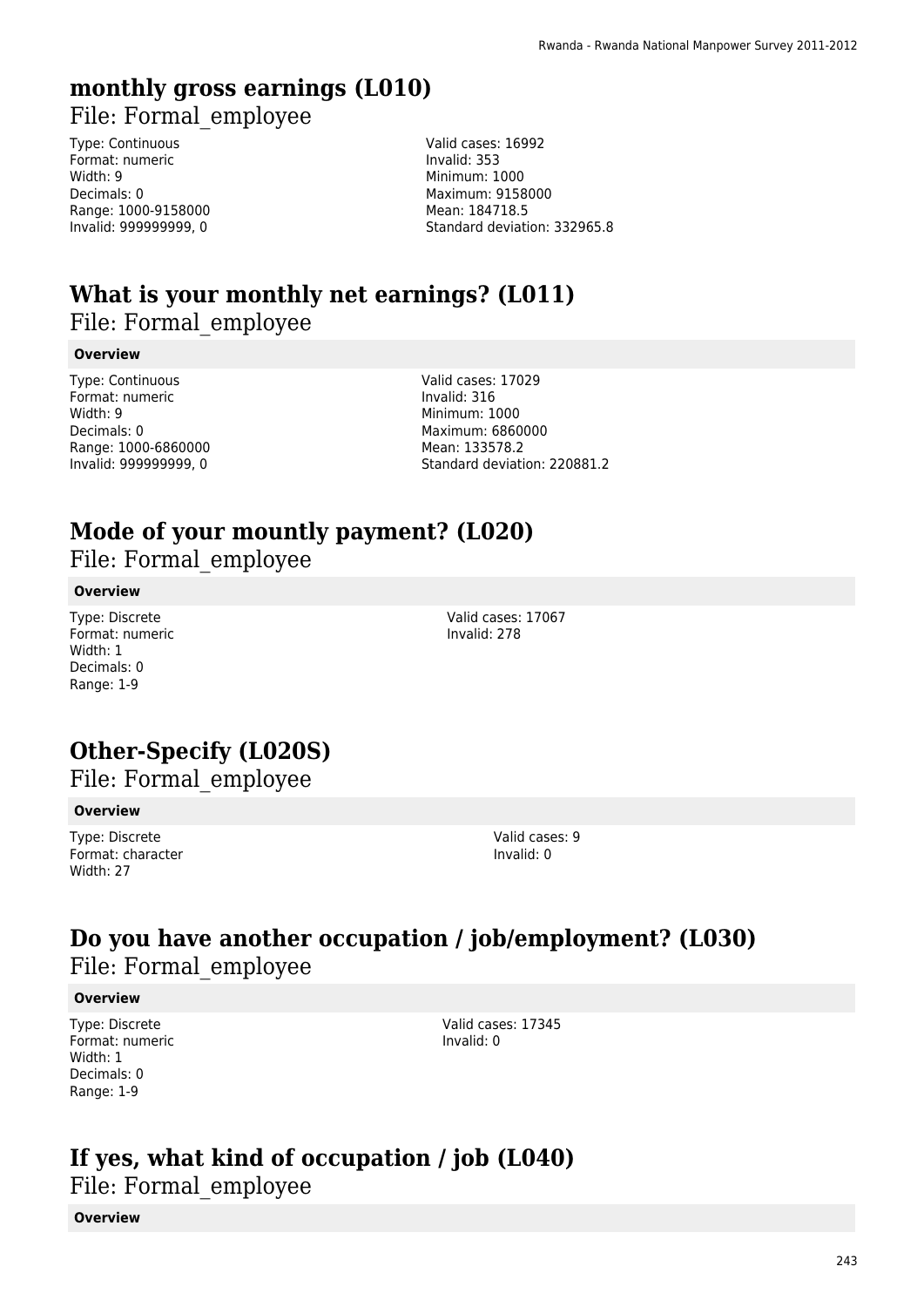## **monthly gross earnings (L010)**

File: Formal\_employee

Type: Continuous Format: numeric Width: 9 Decimals: 0 Range: 1000-9158000 Invalid: 999999999, 0

Valid cases: 16992 Invalid: 353 Minimum: 1000 Maximum: 9158000 Mean: 184718.5 Standard deviation: 332965.8

### **What is your monthly net earnings? (L011)**  File: Formal\_employee

#### **Overview**

Type: Continuous Format: numeric Width: 9 Decimals: 0 Range: 1000-6860000 Invalid: 999999999, 0

Valid cases: 17029 Invalid: 316 Minimum: 1000 Maximum: 6860000 Mean: 133578.2 Standard deviation: 220881.2

## **Mode of your mountly payment? (L020)**

File: Formal\_employee

#### **Overview**

Type: Discrete Format: numeric Width: 1 Decimals: 0 Range: 1-9

Valid cases: 17067 Invalid: 278

## **Other-Specify (L020S)**

File: Formal\_employee

#### **Overview**

Type: Discrete Format: character Width: 27

Valid cases: 9 Invalid: 0

### **Do you have another occupation / job/employment? (L030)**  File: Formal\_employee

#### **Overview**

Type: Discrete Format: numeric Width: 1 Decimals: 0 Range: 1-9

Valid cases: 17345 Invalid: 0

## **If yes, what kind of occupation / job (L040)**

File: Formal\_employee

#### **Overview**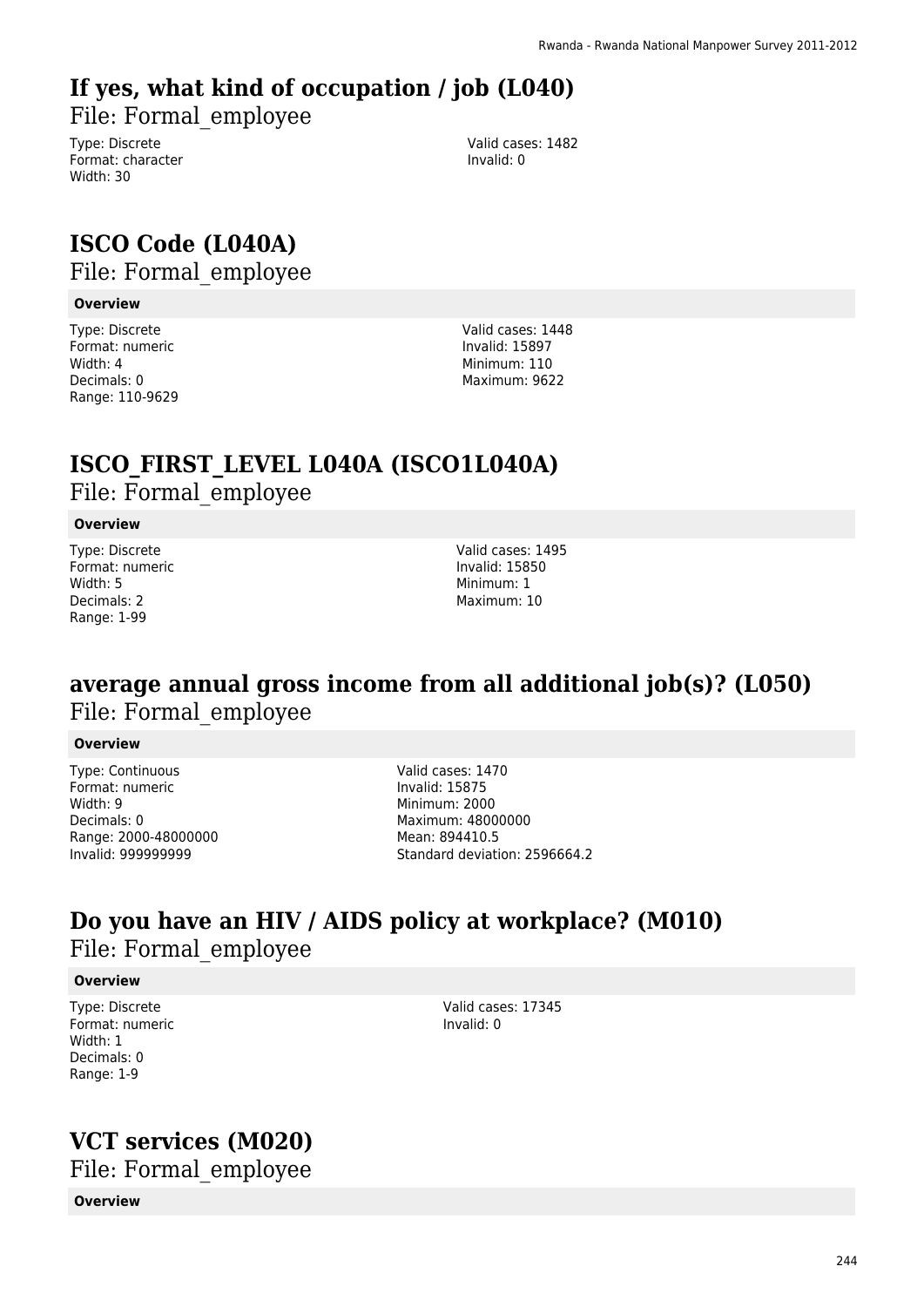### **If yes, what kind of occupation / job (L040)**

File: Formal\_employee

Type: Discrete Format: character Width: 30

Valid cases: 1482 Invalid: 0

## **ISCO Code (L040A)**

File: Formal\_employee

#### **Overview**

Type: Discrete Format: numeric Width: 4 Decimals: 0 Range: 110-9629

Valid cases: 1448 Invalid: 15897 Minimum: 110 Maximum: 9622

### **ISCO\_FIRST\_LEVEL L040A (ISCO1L040A)**  File: Formal\_employee

#### **Overview**

Type: Discrete Format: numeric Width: 5 Decimals: 2 Range: 1-99

Valid cases: 1495 Invalid: 15850 Minimum: 1 Maximum: 10

### **average annual gross income from all additional job(s)? (L050)**  File: Formal\_employee

#### **Overview**

Type: Continuous Format: numeric Width: 9 Decimals: 0 Range: 2000-48000000 Invalid: 999999999

Valid cases: 1470 Invalid: 15875 Minimum: 2000 Maximum: 48000000 Mean: 894410.5 Standard deviation: 2596664.2

### **Do you have an HIV / AIDS policy at workplace? (M010)**  File: Formal\_employee

#### **Overview**

Type: Discrete Format: numeric Width: 1 Decimals: 0 Range: 1-9

Valid cases: 17345 Invalid: 0

## **VCT services (M020)**

File: Formal\_employee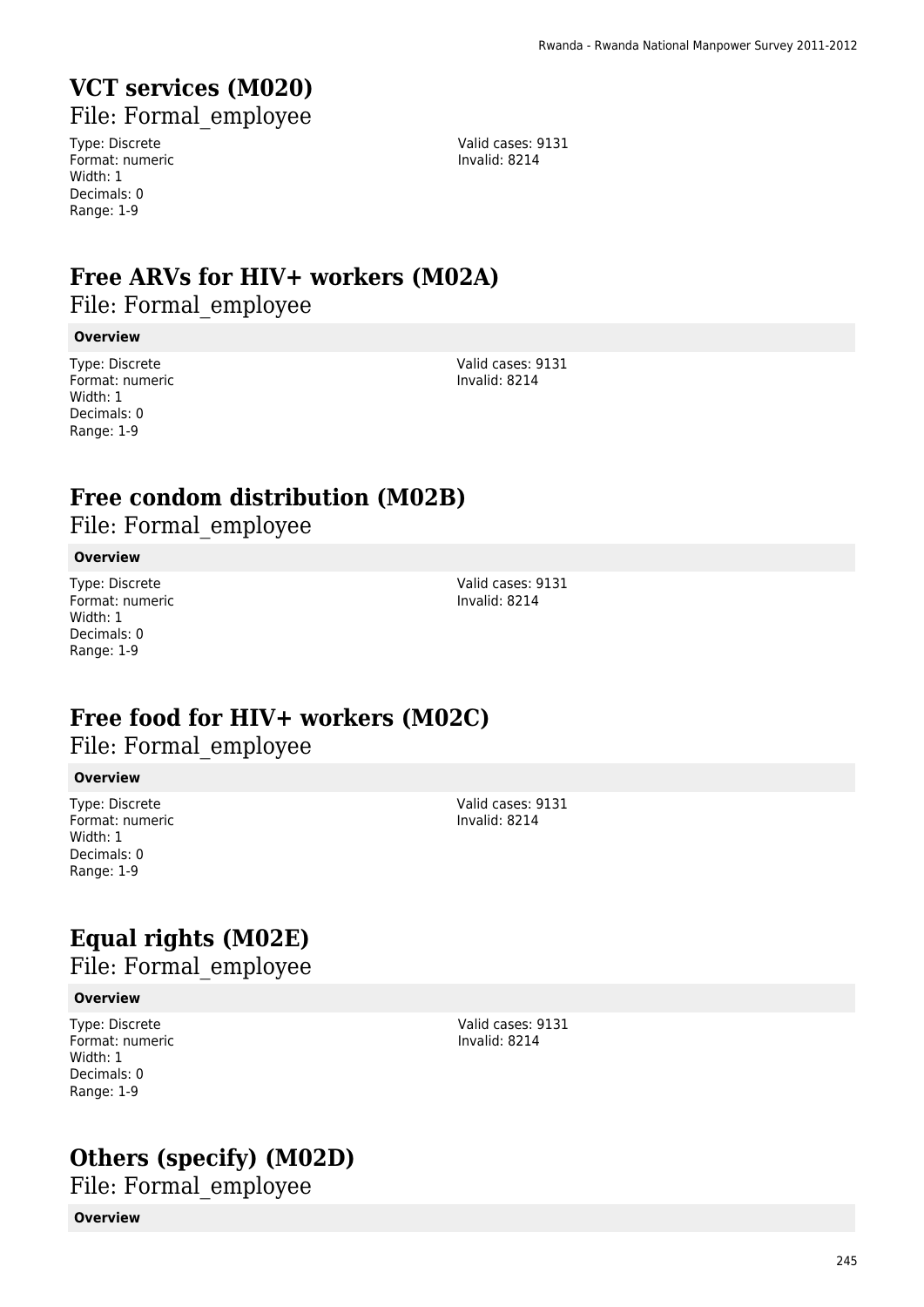### **VCT services (M020)**  File: Formal\_employee

Type: Discrete Format: numeric Width: 1 Decimals: 0 Range: 1-9

Valid cases: 9131 Invalid: 8214

### **Free ARVs for HIV+ workers (M02A)**

File: Formal\_employee

#### **Overview**

Type: Discrete Format: numeric Width: 1 Decimals: 0 Range: 1-9

Valid cases: 9131 Invalid: 8214

### **Free condom distribution (M02B)**

File: Formal\_employee

#### **Overview**

Type: Discrete Format: numeric Width: 1 Decimals: 0 Range: 1-9

Valid cases: 9131 Invalid: 8214

### **Free food for HIV+ workers (M02C)**

File: Formal\_employee

#### **Overview**

Type: Discrete Format: numeric Width: 1 Decimals: 0 Range: 1-9

Valid cases: 9131 Invalid: 8214

## **Equal rights (M02E)**

File: Formal\_employee

#### **Overview**

Type: Discrete Format: numeric Width: 1 Decimals: 0 Range: 1-9

Valid cases: 9131 Invalid: 8214

### **Others (specify) (M02D)**

File: Formal\_employee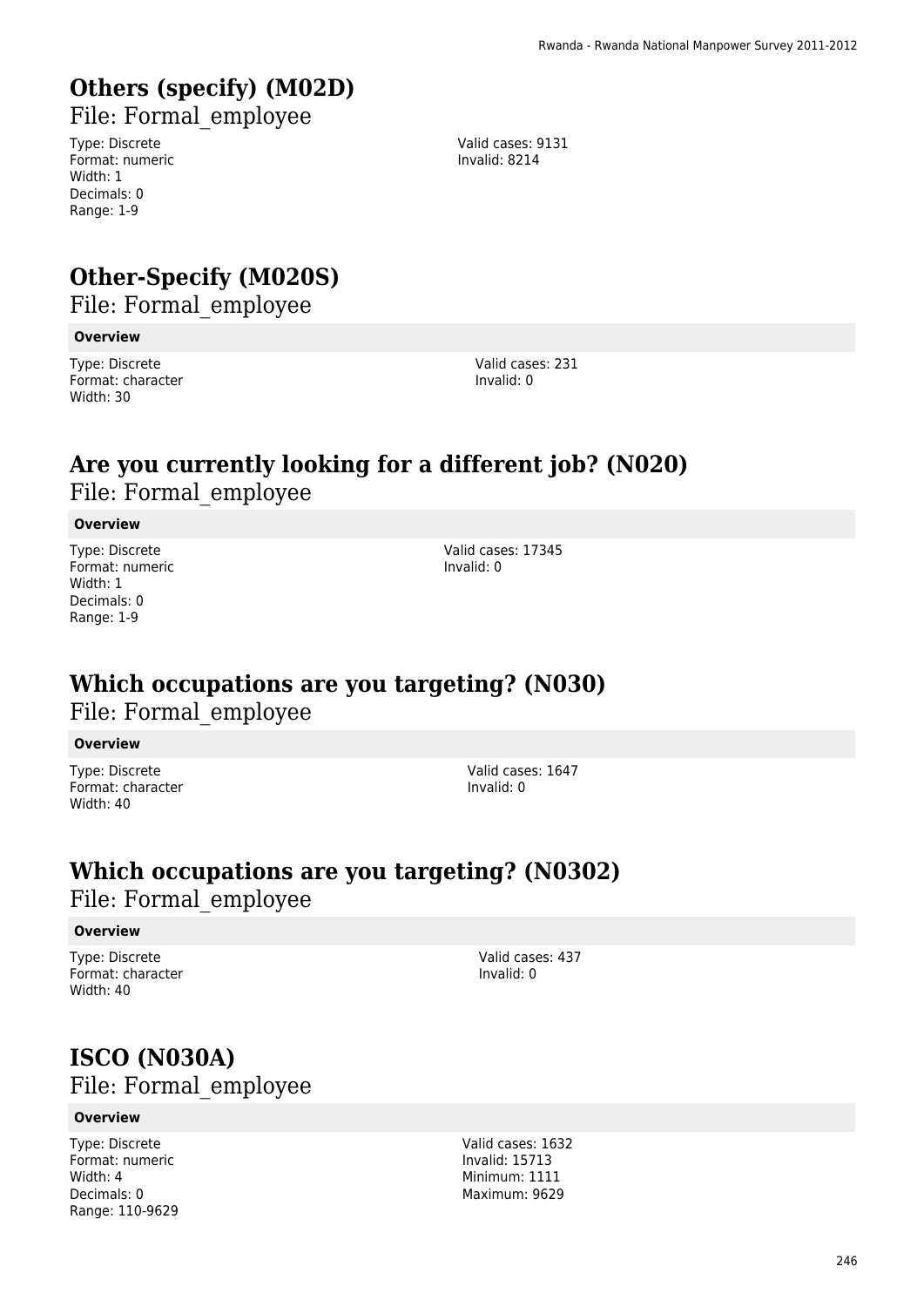## **Others (specify) (M02D)**

File: Formal\_employee

Type: Discrete Format: numeric Width: 1 Decimals: 0 Range: 1-9

Valid cases: 9131 Invalid: 8214

### **Other-Specify (M020S)**

File: Formal\_employee

**Overview**

Type: Discrete Format: character Width: 30

Valid cases: 231 Invalid: 0

### **Are you currently looking for a different job? (N020)**  File: Formal\_employee

#### **Overview**

Type: Discrete Format: numeric Width: 1 Decimals: 0 Range: 1-9

Valid cases: 17345 Invalid: 0

### **Which occupations are you targeting? (N030)**  File: Formal\_employee

#### **Overview**

Type: Discrete Format: character Width: 40

Valid cases: 1647 Invalid: 0

### **Which occupations are you targeting? (N0302)**  File: Formal\_employee

#### **Overview**

Type: Discrete Format: character Width: 40

Valid cases: 437 Invalid: 0

### **ISCO (N030A)**

File: Formal\_employee

#### **Overview**

Type: Discrete Format: numeric Width: 4 Decimals: 0 Range: 110-9629 Valid cases: 1632 Invalid: 15713 Minimum: 1111 Maximum: 9629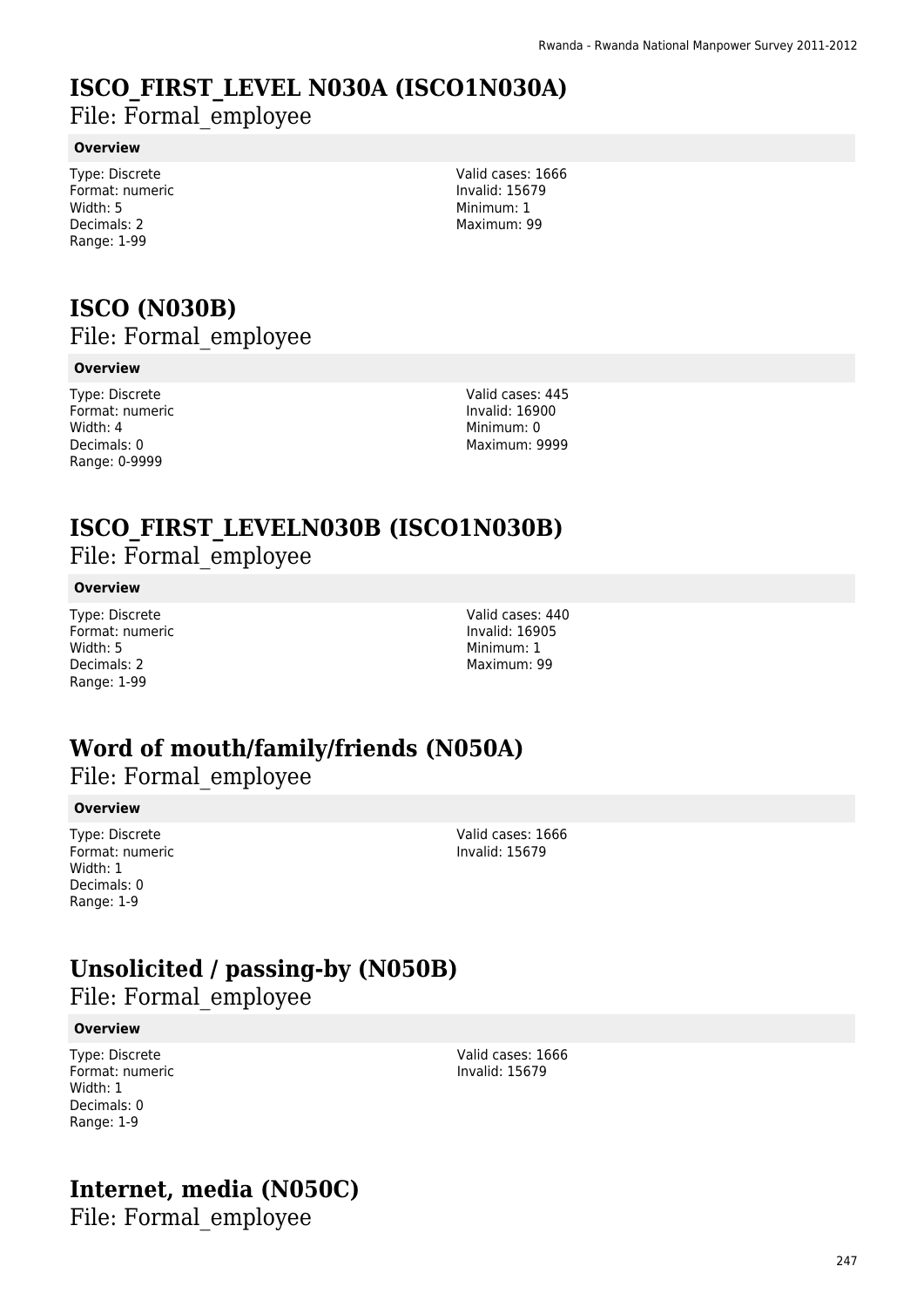### **ISCO\_FIRST\_LEVEL N030A (ISCO1N030A)**  File: Formal\_employee

#### **Overview**

Type: Discrete Format: numeric Width: 5 Decimals: 2 Range: 1-99

Valid cases: 1666 Invalid: 15679 Minimum: 1 Maximum: 99

### **ISCO (N030B)**  File: Formal\_employee

#### **Overview**

Type: Discrete Format: numeric Width: 4 Decimals: 0 Range: 0-9999

Valid cases: 445 Invalid: 16900 Minimum: 0 Maximum: 9999

### **ISCO\_FIRST\_LEVELN030B (ISCO1N030B)**  File: Formal\_employee

#### **Overview**

Type: Discrete Format: numeric Width: 5 Decimals: 2 Range: 1-99

Valid cases: 440 Invalid: 16905 Minimum: 1 Maximum: 99

## **Word of mouth/family/friends (N050A)**

### File: Formal\_employee

#### **Overview**

Type: Discrete Format: numeric Width: 1 Decimals: 0 Range: 1-9

Valid cases: 1666 Invalid: 15679

### **Unsolicited / passing-by (N050B)**

File: Formal\_employee

#### **Overview**

Type: Discrete Format: numeric Width: 1 Decimals: 0 Range: 1-9

### **Internet, media (N050C)**

File: Formal\_employee

Valid cases: 1666 Invalid: 15679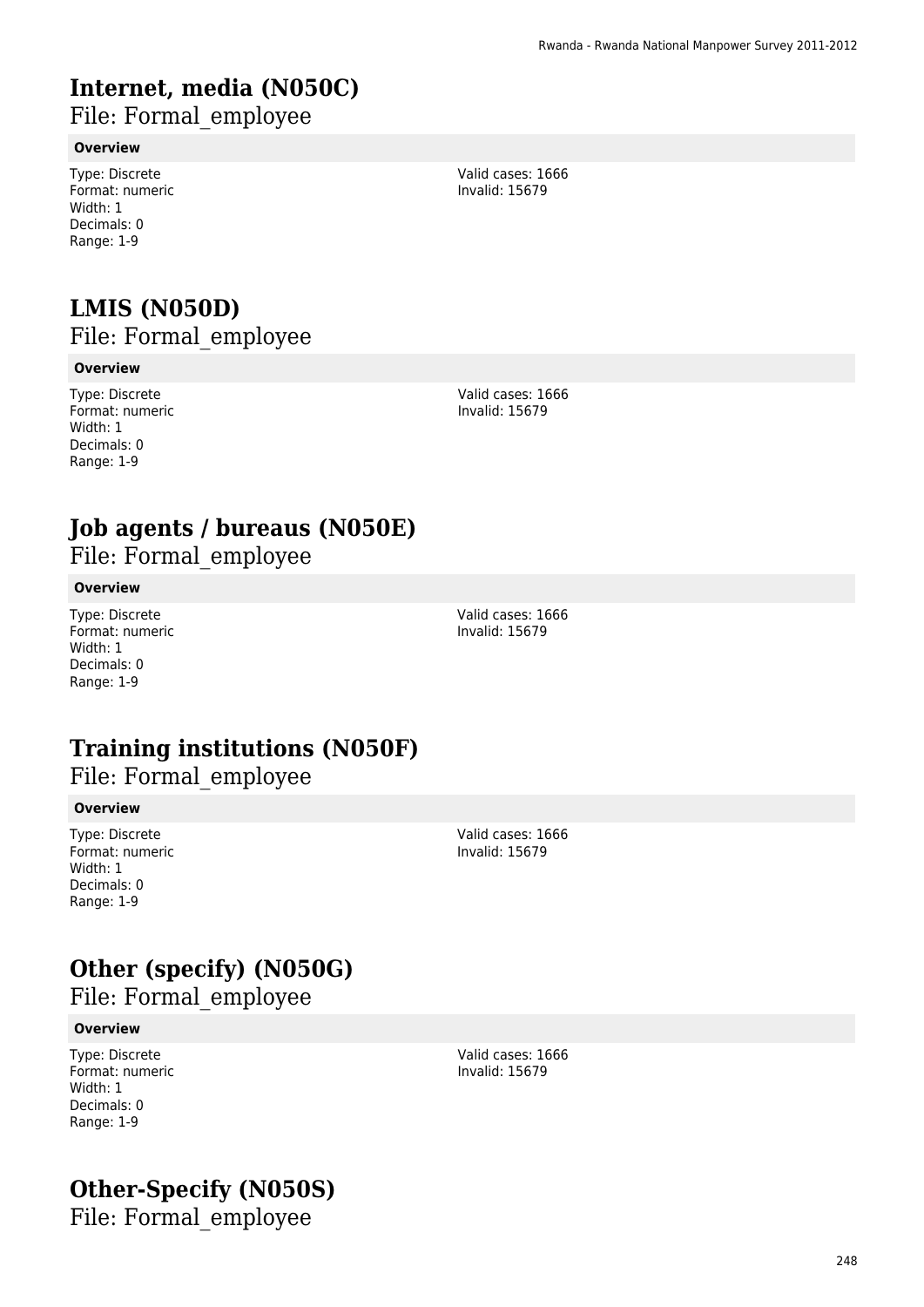### **Internet, media (N050C)**

File: Formal\_employee

#### **Overview**

Type: Discrete Format: numeric Width: 1 Decimals: 0 Range: 1-9

## **LMIS (N050D)**

File: Formal\_employee

#### **Overview**

Type: Discrete Format: numeric Width: 1 Decimals: 0 Range: 1-9

Valid cases: 1666 Invalid: 15679

Valid cases: 1666 Invalid: 15679

### **Job agents / bureaus (N050E)**

File: Formal\_employee

#### **Overview**

Type: Discrete Format: numeric Width: 1 Decimals: 0 Range: 1-9

Valid cases: 1666 Invalid: 15679

### **Training institutions (N050F)**

### File: Formal\_employee

#### **Overview**

Type: Discrete Format: numeric Width: 1 Decimals: 0 Range: 1-9

Valid cases: 1666 Invalid: 15679

### **Other (specify) (N050G)**

File: Formal\_employee

#### **Overview**

Type: Discrete Format: numeric Width: 1 Decimals: 0 Range: 1-9

### **Other-Specify (N050S)**

File: Formal\_employee

Valid cases: 1666 Invalid: 15679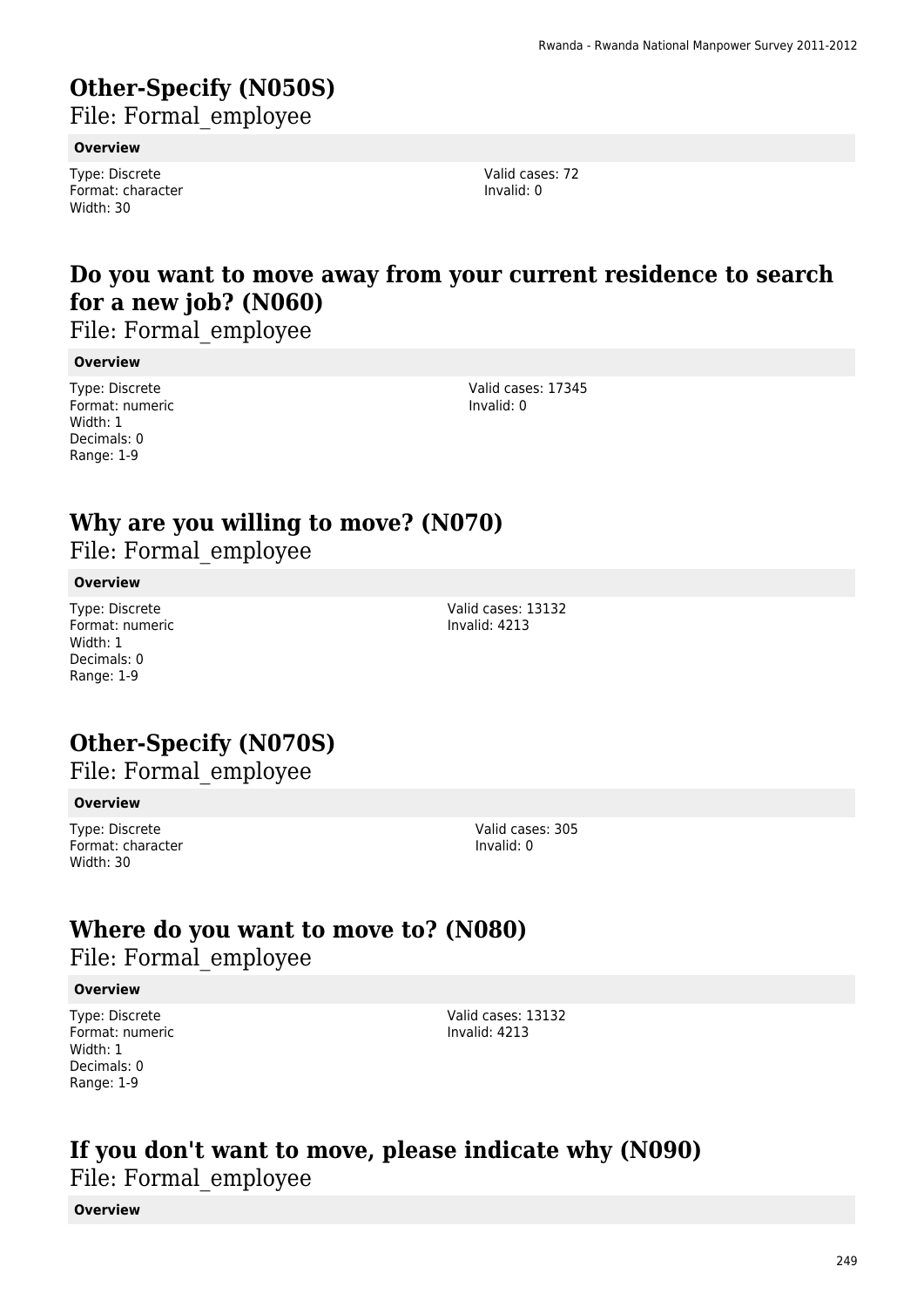### **Other-Specify (N050S)**

File: Formal\_employee

#### **Overview**

Type: Discrete Format: character Width: 30

Valid cases: 72 Invalid: 0

### **Do you want to move away from your current residence to search for a new job? (N060)**

File: Formal\_employee

#### **Overview**

Type: Discrete Format: numeric Width: 1 Decimals: 0 Range: 1-9

Valid cases: 17345 Invalid: 0

### **Why are you willing to move? (N070)**

File: Formal\_employee

#### **Overview**

Type: Discrete Format: numeric Width: 1 Decimals: 0 Range: 1-9

Valid cases: 13132 Invalid: 4213

### **Other-Specify (N070S)**

File: Formal\_employee

#### **Overview**

Type: Discrete Format: character Width: 30

Valid cases: 305 Invalid: 0

### **Where do you want to move to? (N080)**

File: Formal\_employee

#### **Overview**

Type: Discrete Format: numeric Width: 1 Decimals: 0 Range: 1-9

Valid cases: 13132 Invalid: 4213

### **If you don't want to move, please indicate why (N090)**  File: Formal\_employee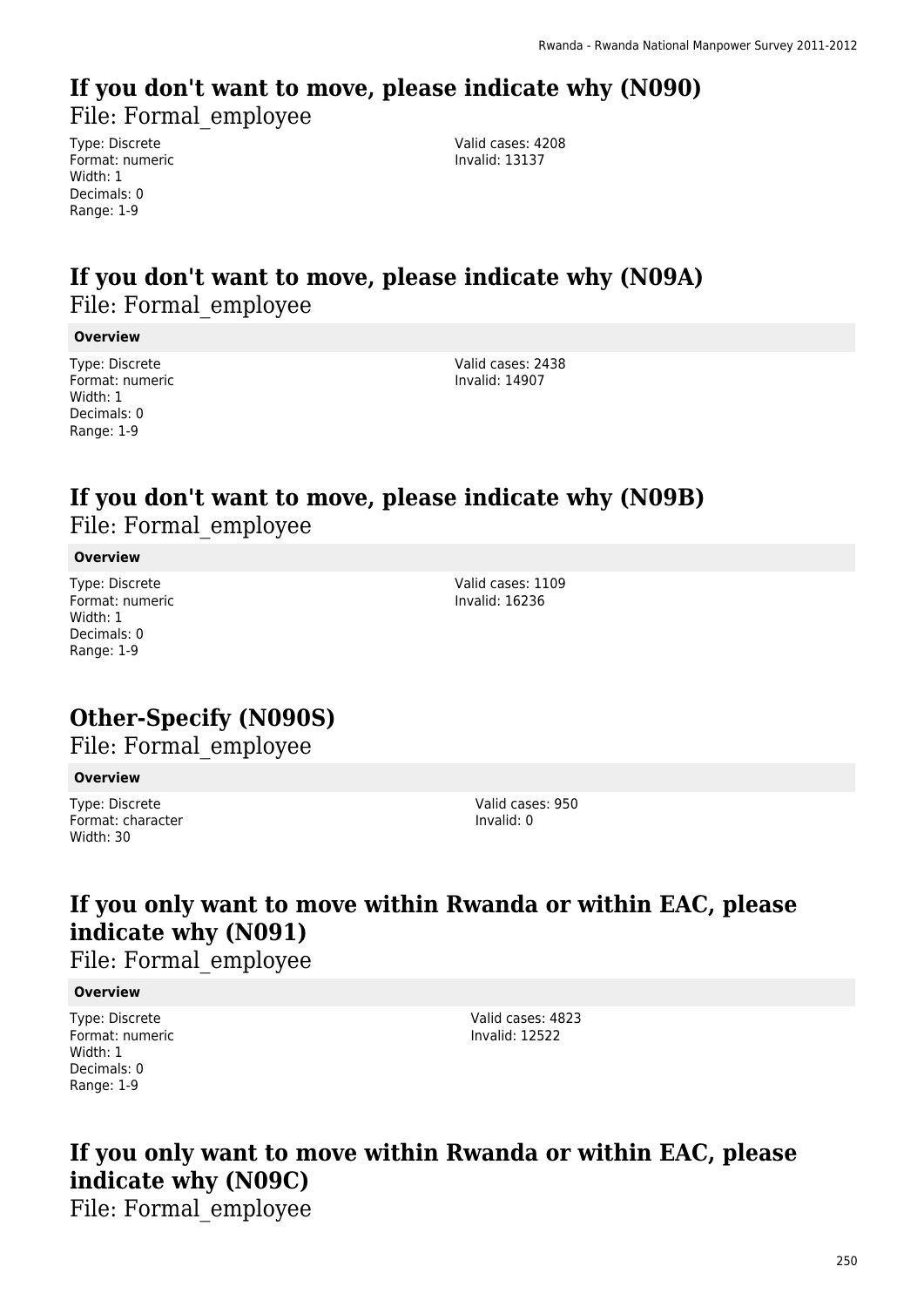### **If you don't want to move, please indicate why (N090)**

File: Formal\_employee

Type: Discrete Format: numeric Width: 1 Decimals: 0 Range: 1-9

Valid cases: 4208 Invalid: 13137

### **If you don't want to move, please indicate why (N09A)**  File: Formal\_employee

#### **Overview**

Type: Discrete Format: numeric Width: 1 Decimals: 0 Range: 1-9

Valid cases: 2438 Invalid: 14907

### **If you don't want to move, please indicate why (N09B)**  File: Formal\_employee

#### **Overview**

Type: Discrete Format: numeric Width: 1 Decimals: 0 Range: 1-9

Valid cases: 1109 Invalid: 16236

### **Other-Specify (N090S)**

File: Formal\_employee

#### **Overview**

Type: Discrete Format: character Width: 30

Valid cases: 950 Invalid: 0

### **If you only want to move within Rwanda or within EAC, please indicate why (N091)**

File: Formal\_employee

#### **Overview**

Type: Discrete Format: numeric Width: 1 Decimals: 0 Range: 1-9

Valid cases: 4823 Invalid: 12522

## **If you only want to move within Rwanda or within EAC, please indicate why (N09C)**

File: Formal\_employee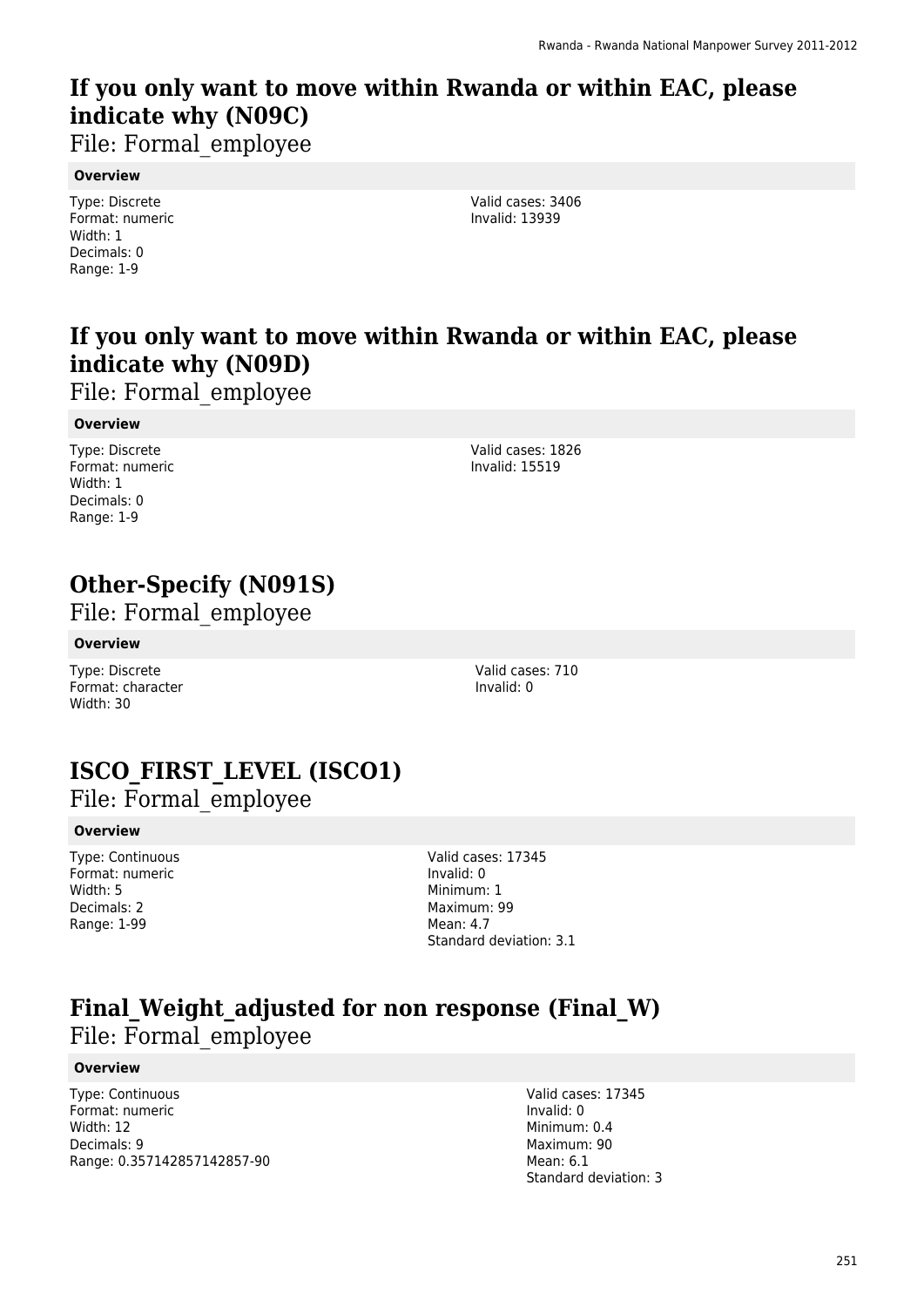### **If you only want to move within Rwanda or within EAC, please indicate why (N09C)**

File: Formal\_employee

#### **Overview**

Type: Discrete Format: numeric Width: 1 Decimals: 0 Range: 1-9

Valid cases: 3406 Invalid: 13939

### **If you only want to move within Rwanda or within EAC, please indicate why (N09D)**

File: Formal\_employee

#### **Overview**

Type: Discrete Format: numeric Width: 1 Decimals: 0 Range: 1-9

Valid cases: 1826 Invalid: 15519

### **Other-Specify (N091S)**

File: Formal\_employee

#### **Overview**

Type: Discrete Format: character Width: 30

Valid cases: 710 Invalid: 0

## **ISCO\_FIRST\_LEVEL (ISCO1)**

File: Formal\_employee

#### **Overview**

Type: Continuous Format: numeric Width: 5 Decimals: 2 Range: 1-99

Valid cases: 17345 Invalid: 0 Minimum: 1 Maximum: 99 Mean: 4.7 Standard deviation: 3.1

### Final Weight adjusted for non response (Final W) File: Formal\_employee

#### **Overview**

Type: Continuous Format: numeric Width: 12 Decimals: 9 Range: 0.357142857142857-90 Valid cases: 17345 Invalid: 0 Minimum: 0.4 Maximum: 90 Mean: 6.1 Standard deviation: 3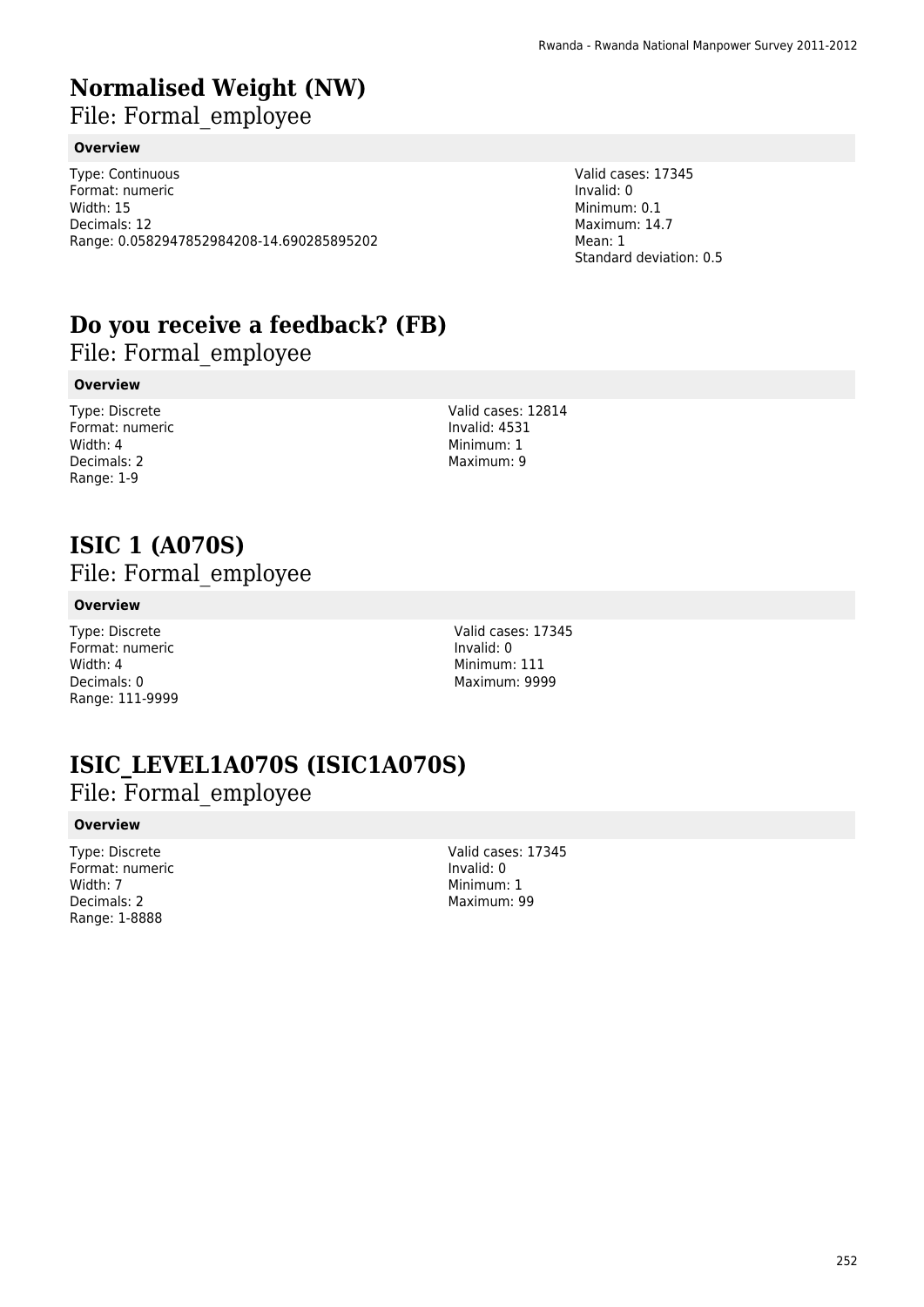### **Normalised Weight (NW)**

File: Formal\_employee

#### **Overview**

Type: Continuous Format: numeric Width: 15 Decimals: 12 Range: 0.0582947852984208-14.690285895202

Valid cases: 17345 Invalid: 0 Minimum: 0.1 Maximum: 14.7 Mean: 1 Standard deviation: 0.5

### **Do you receive a feedback? (FB)**  File: Formal\_employee

### **Overview**

Type: Discrete Format: numeric Width: 4 Decimals: 2 Range: 1-9

Valid cases: 12814 Invalid: 4531 Minimum: 1 Maximum: 9

### **ISIC 1 (A070S)**  File: Formal\_employee

#### **Overview**

Type: Discrete Format: numeric Width: 4 Decimals: 0 Range: 111-9999 Valid cases: 17345 Invalid: 0 Minimum: 111 Maximum: 9999

### **ISIC\_LEVEL1A070S (ISIC1A070S)**  File: Formal\_employee

#### **Overview**

Type: Discrete Format: numeric Width: 7 Decimals: 2 Range: 1-8888

Valid cases: 17345 Invalid: 0 Minimum: 1 Maximum: 99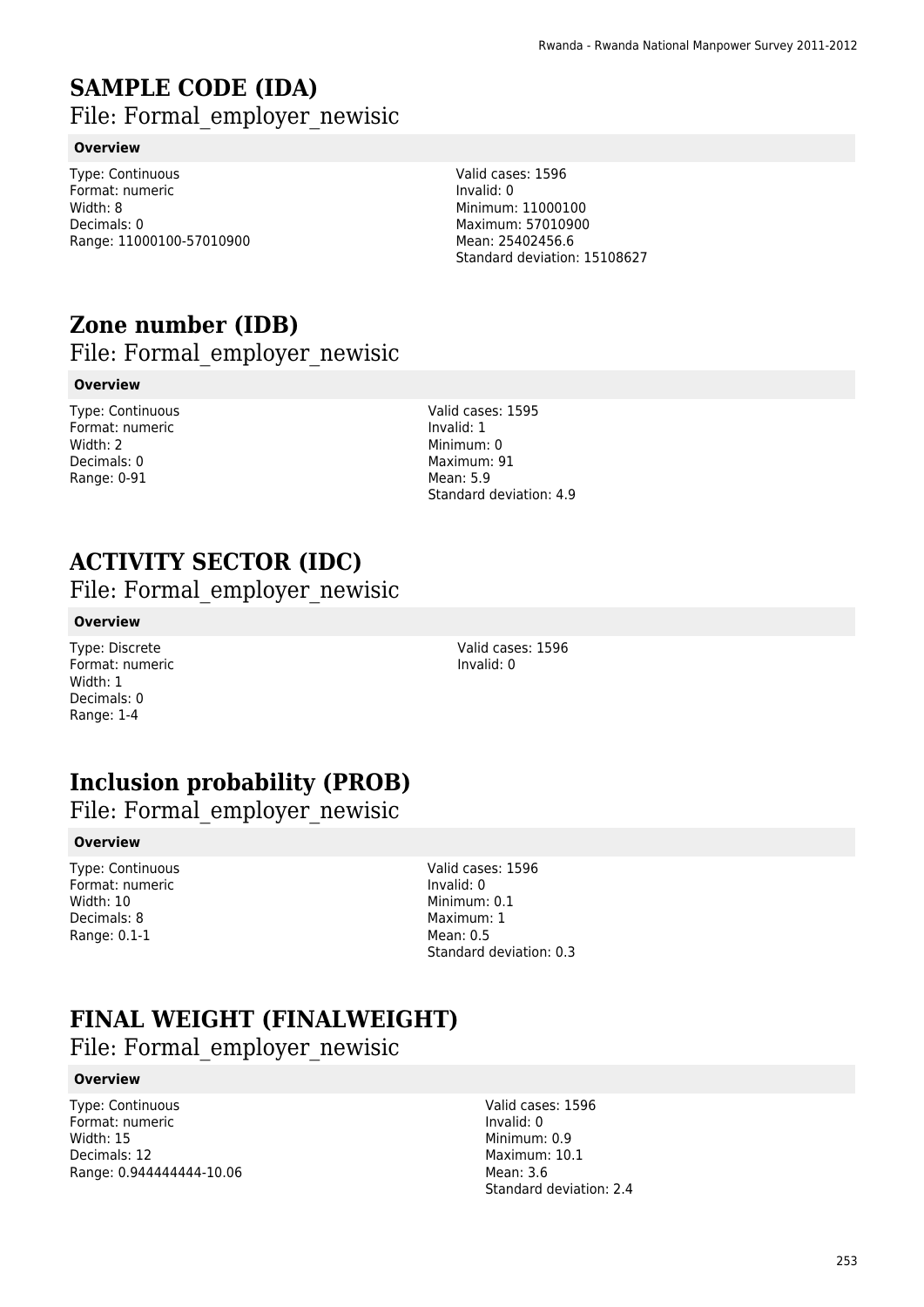### **SAMPLE CODE (IDA)**  File: Formal\_employer\_newisic

#### **Overview**

Type: Continuous Format: numeric Width: 8 Decimals: 0 Range: 11000100-57010900

Valid cases: 1596 Invalid: 0 Minimum: 11000100 Maximum: 57010900 Mean: 25402456.6 Standard deviation: 15108627

### **Zone number (IDB)**  File: Formal employer newisic

#### **Overview**

Type: Continuous Format: numeric Width: 2 Decimals: 0 Range: 0-91

Valid cases: 1595 Invalid: 1 Minimum: 0 Maximum: 91 Mean: 5.9 Standard deviation: 4.9

### **ACTIVITY SECTOR (IDC)**

File: Formal\_employer\_newisic

#### **Overview**

Type: Discrete Format: numeric Width: 1 Decimals: 0 Range: 1-4

Valid cases: 1596 Invalid: 0

### **Inclusion probability (PROB)**

File: Formal\_employer\_newisic

#### **Overview**

Type: Continuous Format: numeric Width: 10 Decimals: 8 Range: 0.1-1

Valid cases: 1596 Invalid: 0 Minimum: 0.1 Maximum: 1 Mean: 0.5 Standard deviation: 0.3

### **FINAL WEIGHT (FINALWEIGHT)**

File: Formal\_employer\_newisic

#### **Overview**

Type: Continuous Format: numeric Width: 15 Decimals: 12 Range: 0.944444444-10.06 Valid cases: 1596 Invalid: 0 Minimum: 0.9 Maximum: 10.1 Mean: 3.6 Standard deviation: 2.4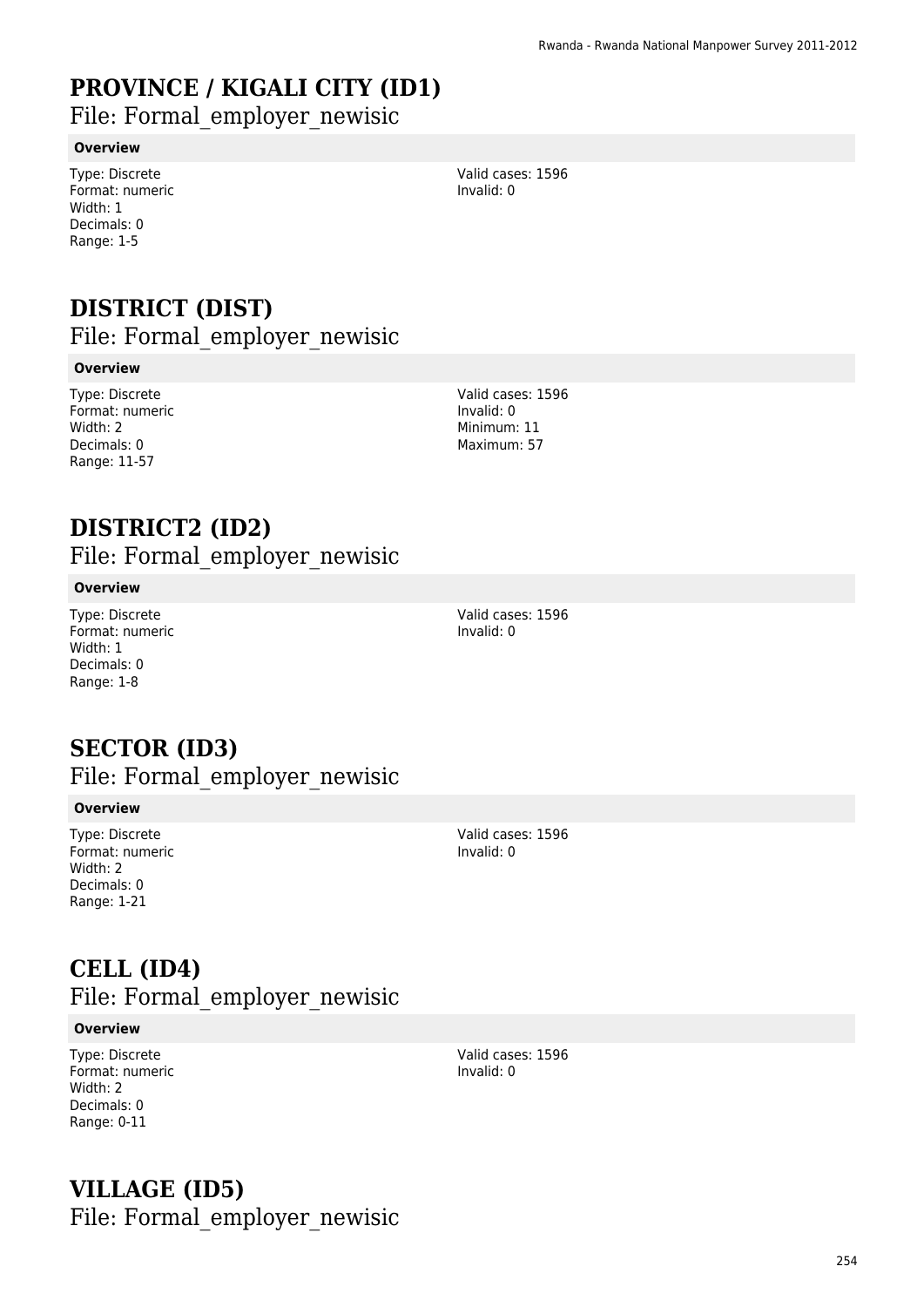# **PROVINCE / KIGALI CITY (ID1)**

File: Formal\_employer\_newisic

#### **Overview**

Type: Discrete Format: numeric Width: 1 Decimals: 0 Range: 1-5

Valid cases: 1596 Invalid: 0

### **DISTRICT (DIST)**  File: Formal\_employer\_newisic

#### **Overview**

Type: Discrete Format: numeric Width: 2 Decimals: 0 Range: 11-57

Valid cases: 1596 Invalid: 0 Minimum: 11 Maximum: 57

Valid cases: 1596

Invalid: 0

# **DISTRICT2 (ID2)**

### File: Formal\_employer\_newisic

#### **Overview**

Type: Discrete Format: numeric Width: 1 Decimals: 0 Range: 1-8

### **SECTOR (ID3)**  File: Formal\_employer\_newisic

#### **Overview**

Type: Discrete Format: numeric Width: 2 Decimals: 0 Range: 1-21

Valid cases: 1596 Invalid: 0

### **CELL (ID4)**  File: Formal\_employer\_newisic

#### **Overview**

Type: Discrete Format: numeric Width: 2 Decimals: 0 Range: 0-11

**VILLAGE (ID5)**  File: Formal\_employer\_newisic

Valid cases: 1596

Invalid: 0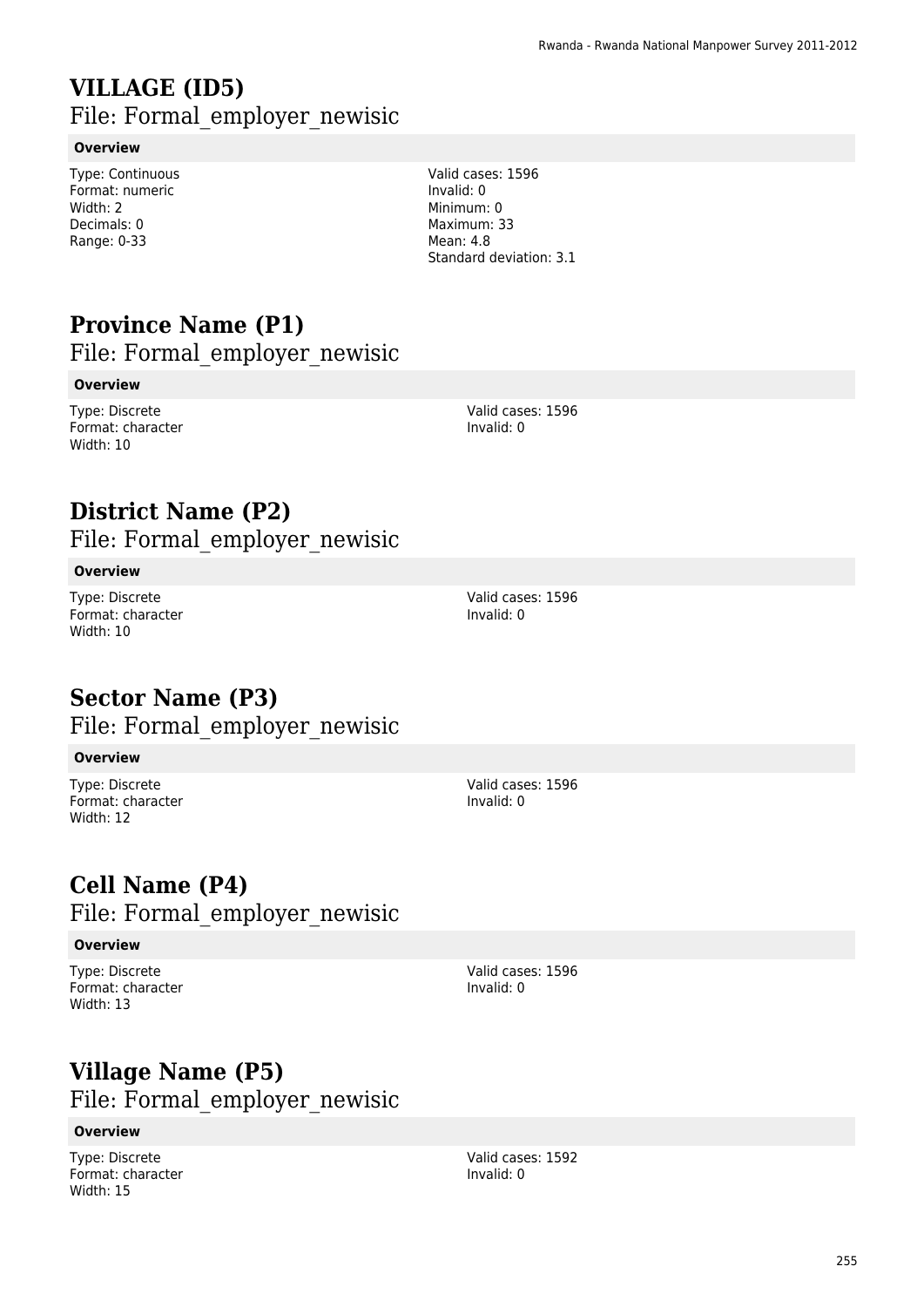### **VILLAGE (ID5)**  File: Formal\_employer\_newisic

#### **Overview**

Type: Continuous Format: numeric Width: 2 Decimals: 0 Range: 0-33

Valid cases: 1596 Invalid: 0 Minimum: 0 Maximum: 33 Mean: 4.8 Standard deviation: 3.1

### **Province Name (P1)**  File: Formal employer newisic

#### **Overview**

Type: Discrete Format: character Width: 10

Valid cases: 1596 Invalid: 0

Valid cases: 1596

Invalid: 0

### **District Name (P2)**

File: Formal employer newisic

#### **Overview**

Type: Discrete Format: character Width: 10

### **Sector Name (P3)**

### File: Formal\_employer\_newisic

#### **Overview**

Type: Discrete Format: character Width: 12

### **Cell Name (P4)**

File: Formal\_employer\_newisic

#### **Overview**

Type: Discrete Format: character Width: 13

**Village Name (P5)**  File: Formal\_employer\_newisic

#### **Overview**

Type: Discrete Format: character Width: 15

Valid cases: 1596 Invalid: 0

Valid cases: 1596 Invalid: 0

Valid cases: 1592 Invalid: 0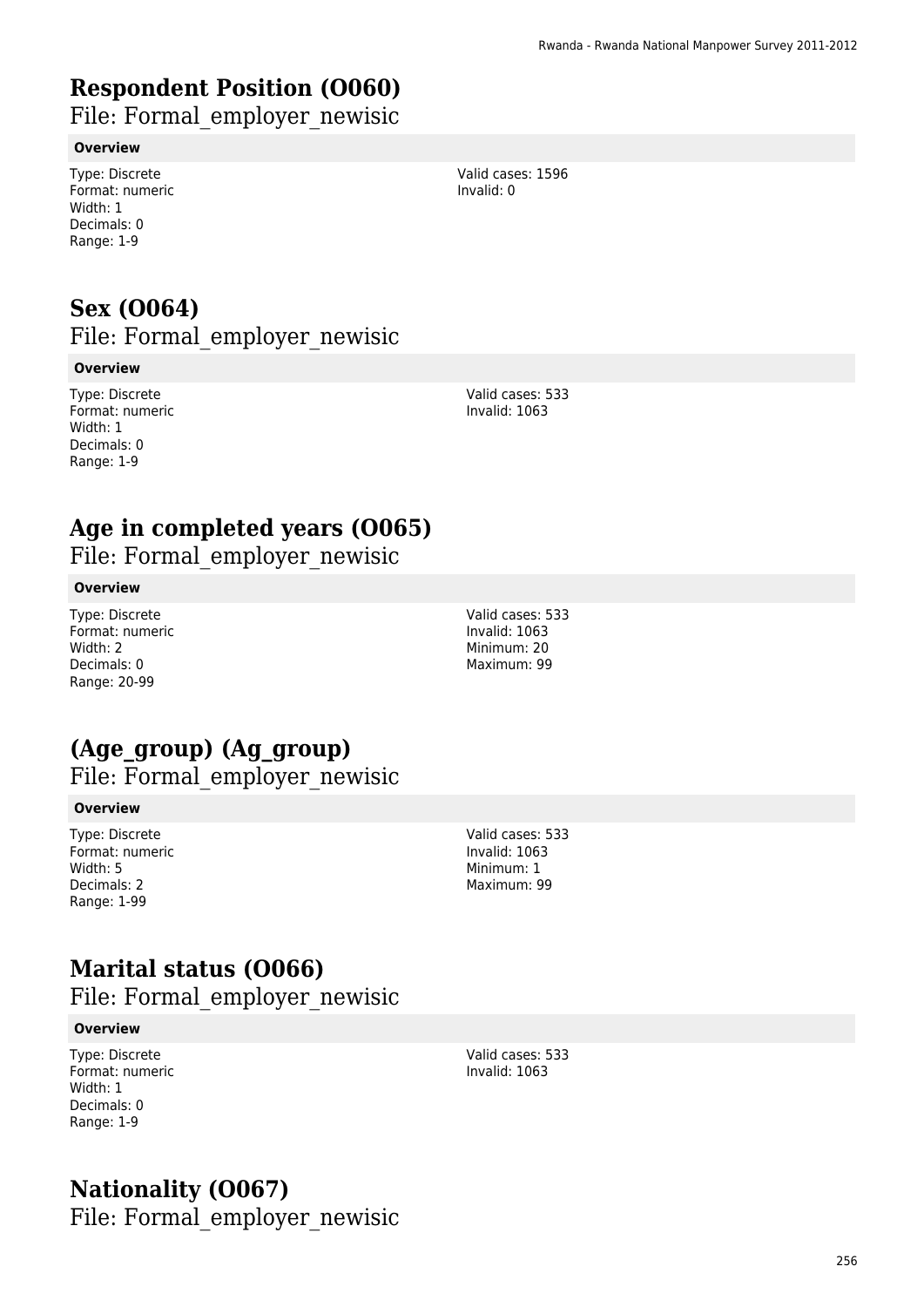# **Respondent Position (O060)**

File: Formal\_employer\_newisic

#### **Overview**

Type: Discrete Format: numeric Width: 1 Decimals: 0 Range: 1-9

### **Sex (O064)**  File: Formal\_employer\_newisic

#### **Overview**

Type: Discrete Format: numeric Width: 1 Decimals: 0 Range: 1-9

Valid cases: 533 Invalid: 1063

### **Age in completed years (O065)**

File: Formal\_employer\_newisic

#### **Overview**

Type: Discrete Format: numeric Width: 2 Decimals: 0 Range: 20-99

# **(Age\_group) (Ag\_group)**

File: Formal\_employer\_newisic

#### **Overview**

Type: Discrete Format: numeric Width: 5 Decimals: 2 Range: 1-99

### **Marital status (O066)**

File: Formal\_employer\_newisic

#### **Overview**

Type: Discrete Format: numeric Width: 1 Decimals: 0 Range: 1-9

### **Nationality (O067)**

File: Formal\_employer\_newisic

Valid cases: 533 Invalid: 1063 Minimum: 20 Maximum: 99

Valid cases: 533 Invalid: 1063 Minimum: 1 Maximum: 99

Valid cases: 533

Valid cases: 1596 Invalid: 0

Invalid: 1063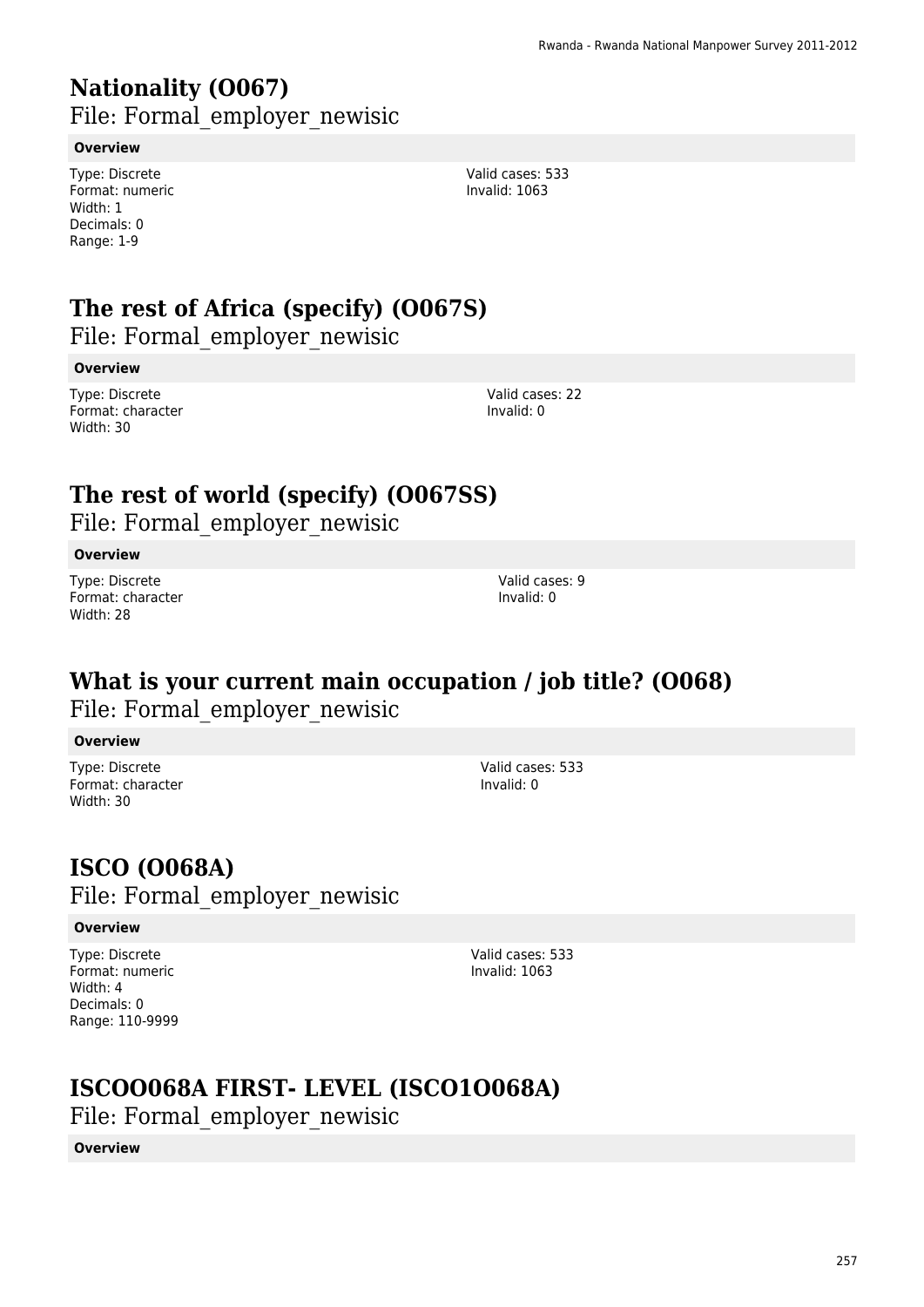### **Nationality (O067)**  File: Formal\_employer\_newisic

#### **Overview**

Type: Discrete Format: numeric Width: 1 Decimals: 0 Range: 1-9

### **The rest of Africa (specify) (O067S)**

File: Formal employer newisic

#### **Overview**

Type: Discrete Format: character Width: 30

Valid cases: 22 Invalid: 0

> Valid cases: 9 Invalid: 0

Valid cases: 533 Invalid: 1063

### **The rest of world (specify) (O067SS)**

File: Formal\_employer\_newisic

#### **Overview**

Type: Discrete Format: character Width: 28

# **What is your current main occupation / job title? (O068)**

File: Formal\_employer\_newisic

#### **Overview**

Type: Discrete Format: character Width: 30

### **ISCO (O068A)**

File: Formal\_employer\_newisic

#### **Overview**

Type: Discrete Format: numeric Width: 4 Decimals: 0 Range: 110-9999

Valid cases: 533 Invalid: 0

Valid cases: 533 Invalid: 1063

### **ISCOO068A FIRST- LEVEL (ISCO1O068A)**

File: Formal employer newisic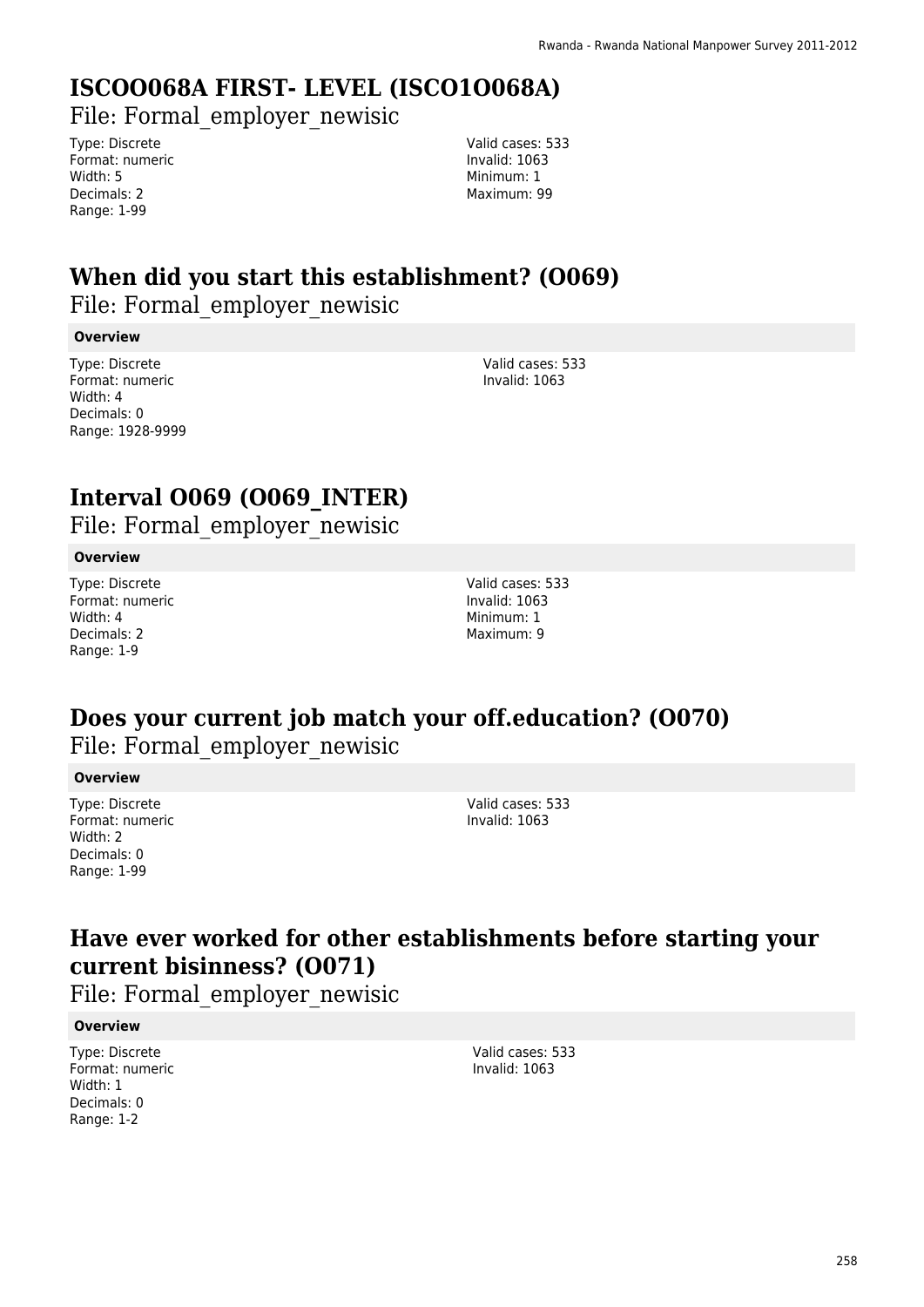# **ISCOO068A FIRST- LEVEL (ISCO1O068A)**

File: Formal employer newisic

Type: Discrete Format: numeric Width: 5 Decimals: 2 Range: 1-99

Valid cases: 533 Invalid: 1063 Minimum: 1 Maximum: 99

# **When did you start this establishment? (O069)**

File: Formal\_employer\_newisic

#### **Overview**

Type: Discrete Format: numeric Width: 4 Decimals: 0 Range: 1928-9999 Valid cases: 533 Invalid: 1063

# **Interval O069 (O069\_INTER)**

File: Formal\_employer\_newisic

#### **Overview**

Type: Discrete Format: numeric Width: 4 Decimals: 2 Range: 1-9

Valid cases: 533 Invalid: 1063 Minimum: 1 Maximum: 9

# **Does your current job match your off.education? (O070)**

File: Formal\_employer\_newisic

#### **Overview**

Type: Discrete Format: numeric Width: 2 Decimals: 0 Range: 1-99

Valid cases: 533 Invalid: 1063

### **Have ever worked for other establishments before starting your current bisinness? (O071)**

File: Formal\_employer\_newisic

#### **Overview**

Type: Discrete Format: numeric Width: 1 Decimals: 0 Range: 1-2

Valid cases: 533 Invalid: 1063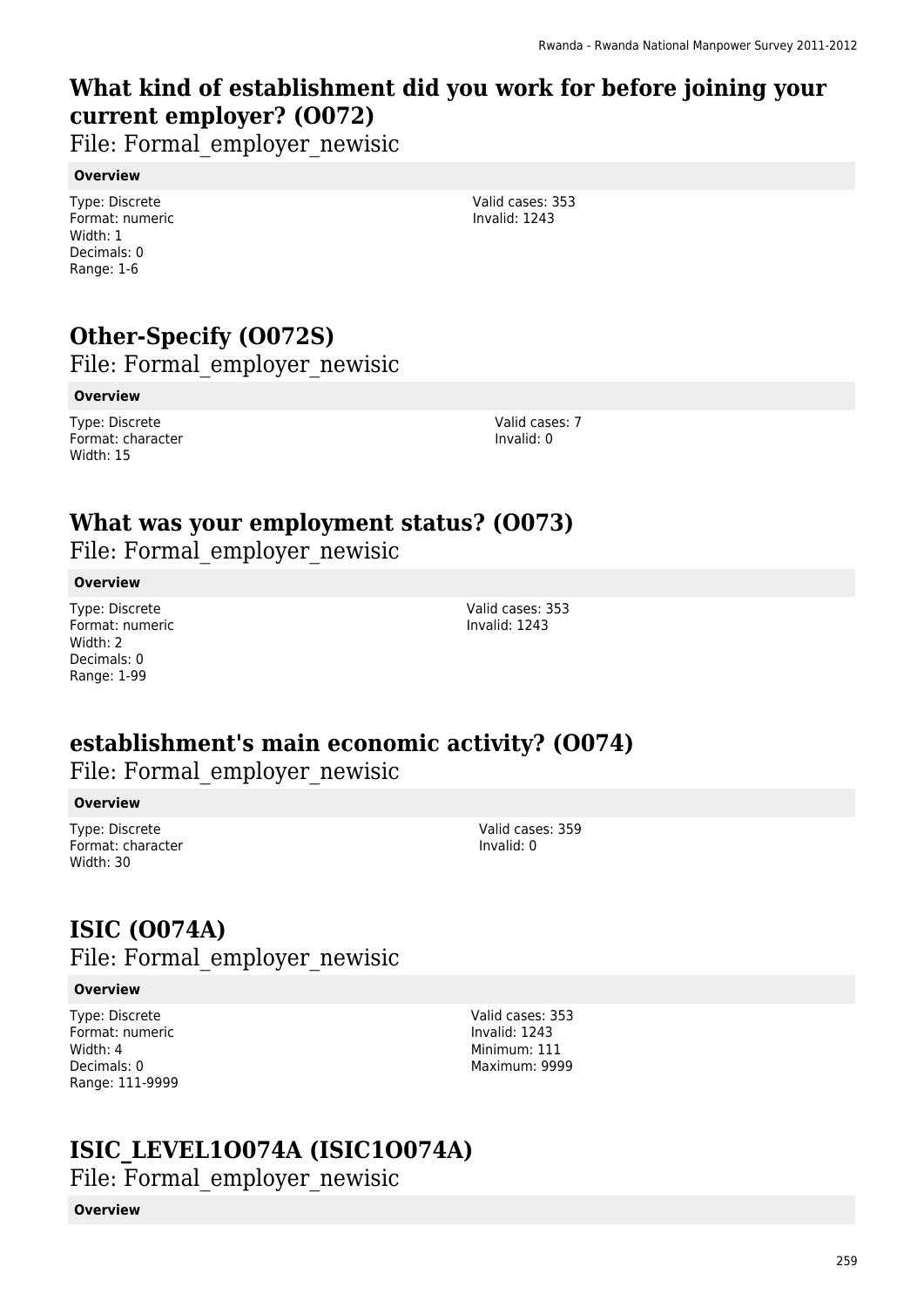### **What kind of establishment did you work for before joining your current employer? (O072)**

File: Formal\_employer\_newisic

#### **Overview**

Type: Discrete Format: numeric Width: 1 Decimals: 0 Range: 1-6

Valid cases: 353 Invalid: 1243

# **Other-Specify (O072S)**

File: Formal\_employer\_newisic

#### **Overview**

Type: Discrete Format: character Width: 15

Valid cases: 7 Invalid: 0

Valid cases: 353 Invalid: 1243

### **What was your employment status? (O073)**

File: Formal\_employer\_newisic

#### **Overview**

Type: Discrete Format: numeric Width: 2 Decimals: 0 Range: 1-99

# **establishment's main economic activity? (O074)**

File: Formal employer newisic

#### **Overview**

Type: Discrete Format: character Width: 30

Valid cases: 359 Invalid: 0

### **ISIC (O074A)**  File: Formal\_employer\_newisic

#### **Overview**

Type: Discrete Format: numeric Width: 4 Decimals: 0 Range: 111-9999

Valid cases: 353 Invalid: 1243 Minimum: 111 Maximum: 9999

# **ISIC\_LEVEL1O074A (ISIC1O074A)**

File: Formal\_employer\_newisic

#### **Overview**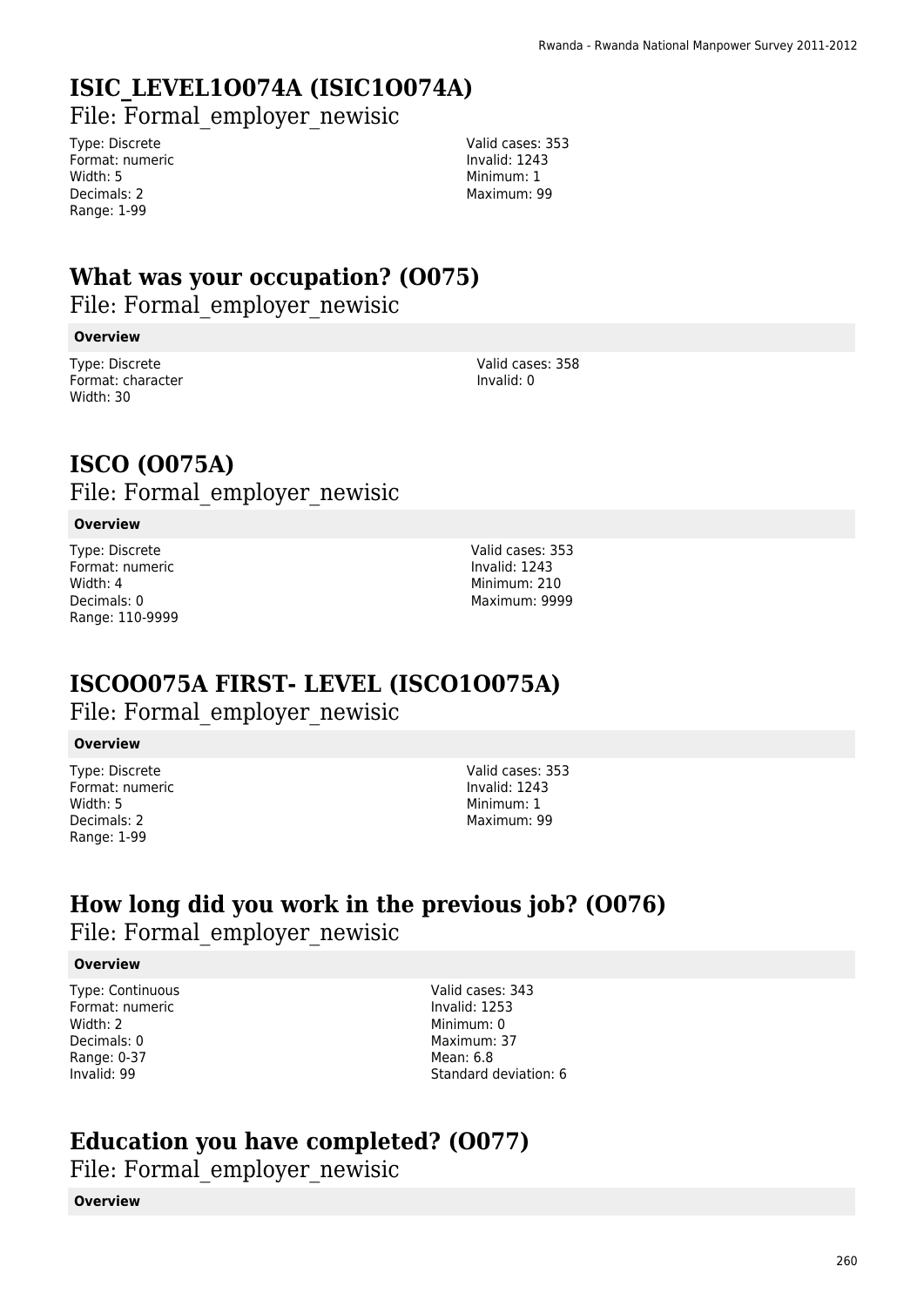# **ISIC\_LEVEL1O074A (ISIC1O074A)**

File: Formal employer newisic

Type: Discrete Format: numeric Width: 5 Decimals: 2 Range: 1-99

# **What was your occupation? (O075)**

File: Formal\_employer\_newisic

#### **Overview**

Type: Discrete Format: character Width: 30

Valid cases: 358 Invalid: 0

### **ISCO (O075A)**  File: Formal\_employer\_newisic

#### **Overview**

Type: Discrete Format: numeric Width: 4 Decimals: 0 Range: 110-9999

Valid cases: 353 Invalid: 1243 Minimum: 210 Maximum: 9999

# **ISCOO075A FIRST- LEVEL (ISCO1O075A)**

File: Formal\_employer\_newisic

#### **Overview**

Type: Discrete Format: numeric Width: 5 Decimals: 2 Range: 1-99

Valid cases: 353 Invalid: 1243 Minimum: 1 Maximum: 99

### **How long did you work in the previous job? (O076)**  File: Formal\_employer\_newisic

#### **Overview**

Type: Continuous Format: numeric Width: 2 Decimals: 0 Range: 0-37 Invalid: 99

Valid cases: 343 Invalid: 1253 Minimum: 0 Maximum: 37 Mean: 6.8 Standard deviation: 6

### **Education you have completed? (O077)**

File: Formal\_employer\_newisic

#### **Overview**

Valid cases: 353 Invalid: 1243 Minimum: 1 Maximum: 99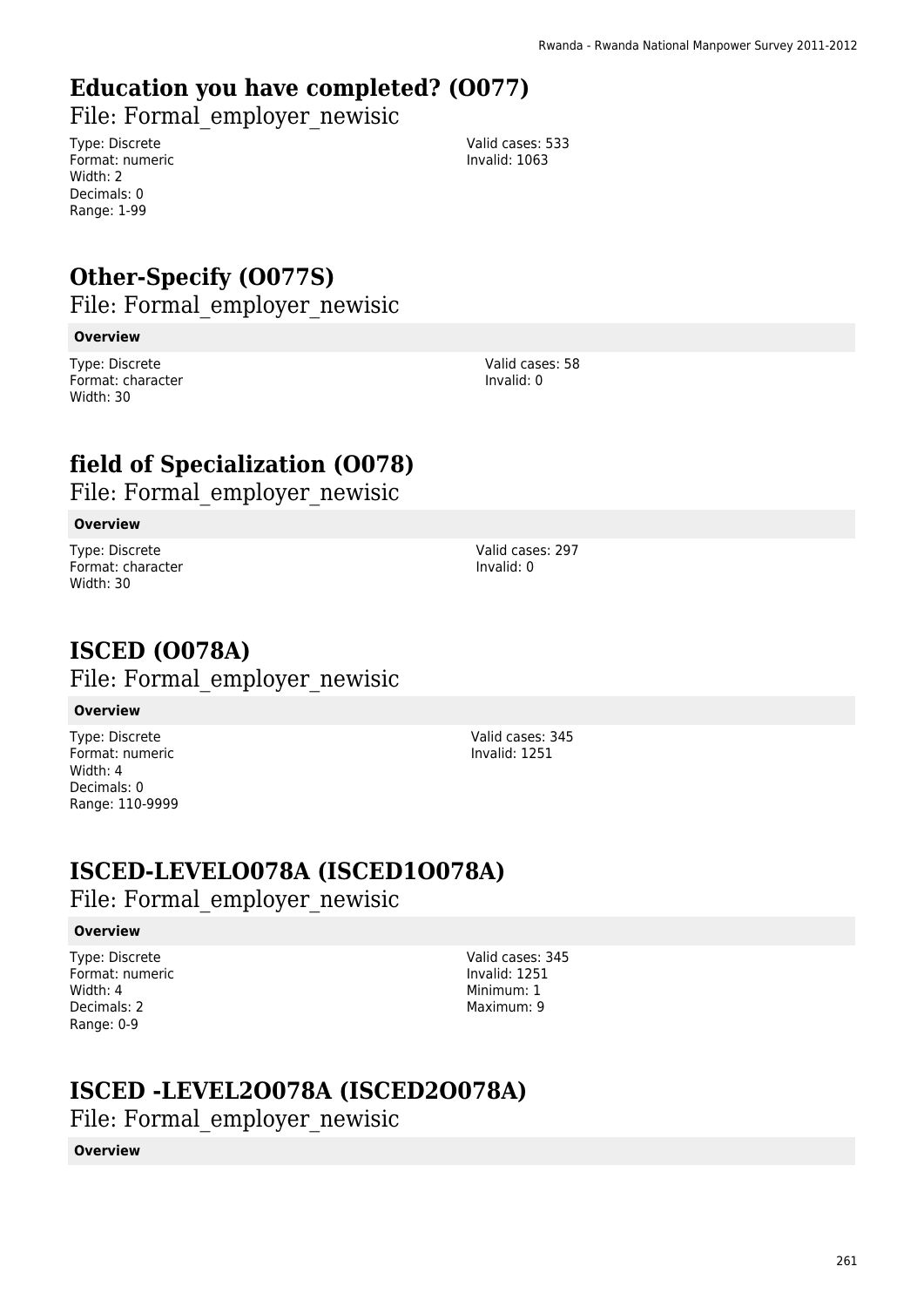# **Education you have completed? (O077)**

File: Formal\_employer\_newisic

Type: Discrete Format: numeric Width: 2 Decimals: 0 Range: 1-99

**Other-Specify (O077S)** 

File: Formal\_employer\_newisic

#### **Overview**

Type: Discrete Format: character Width: 30

**field of Specialization (O078)** 

File: Formal employer newisic

#### **Overview**

Type: Discrete Format: character Width: 30

### **ISCED (O078A)**  File: Formal\_employer\_newisic

#### **Overview**

Type: Discrete Format: numeric Width: 4 Decimals: 0 Range: 110-9999

# **ISCED-LEVELO078A (ISCED1O078A)**

File: Formal\_employer\_newisic

#### **Overview**

Type: Discrete Format: numeric Width: 4 Decimals: 2 Range: 0-9

Valid cases: 345 Invalid: 1251 Minimum: 1 Maximum: 9

### **ISCED -LEVEL2O078A (ISCED2O078A)**

File: Formal\_employer\_newisic

#### **Overview**

Valid cases: 533 Invalid: 1063

> Valid cases: 58 Invalid: 0

Valid cases: 297 Invalid: 0

Valid cases: 345 Invalid: 1251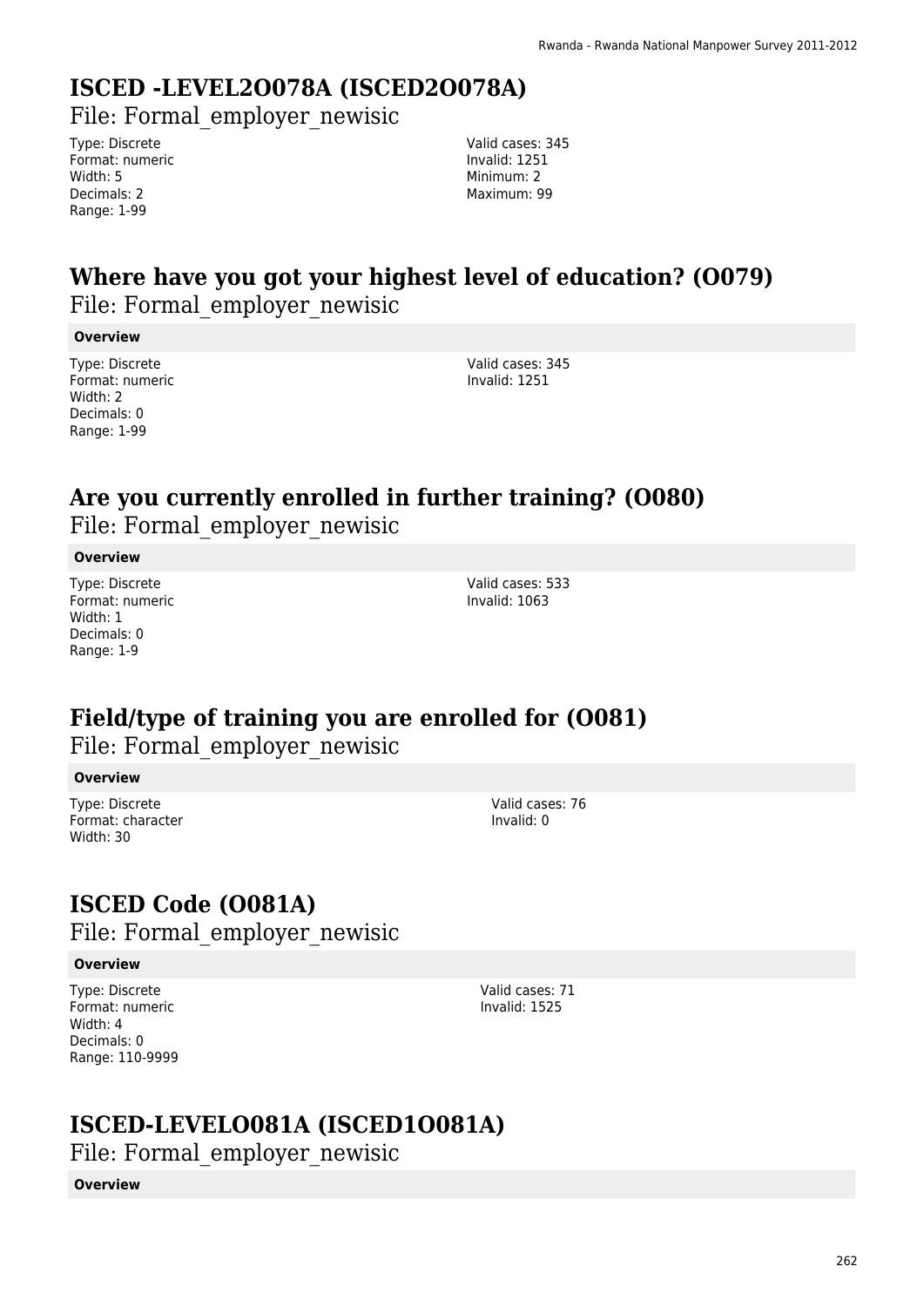### **ISCED -LEVEL2O078A (ISCED2O078A)**

File: Formal employer newisic

Type: Discrete Format: numeric Width: 5 Decimals: 2 Range: 1-99

Valid cases: 345 Invalid: 1251 Minimum: 2 Maximum: 99

# **Where have you got your highest level of education? (O079)**

File: Formal\_employer\_newisic

#### **Overview**

Type: Discrete Format: numeric Width: 2 Decimals: 0 Range: 1-99

Valid cases: 345 Invalid: 1251

### **Are you currently enrolled in further training? (O080)**

File: Formal\_employer\_newisic

#### **Overview**

Type: Discrete Format: numeric Width: 1 Decimals: 0 Range: 1-9

Valid cases: 533 Invalid: 1063

### **Field/type of training you are enrolled for (O081)**

File: Formal\_employer\_newisic

#### **Overview**

Type: Discrete Format: character Width: 30

### **ISCED Code (O081A)**

File: Formal\_employer\_newisic

#### **Overview**

Type: Discrete Format: numeric Width: 4 Decimals: 0 Range: 110-9999

Valid cases: 71 Invalid: 1525

Valid cases: 76 Invalid: 0

### **ISCED-LEVELO081A (ISCED1O081A)**

File: Formal\_employer\_newisic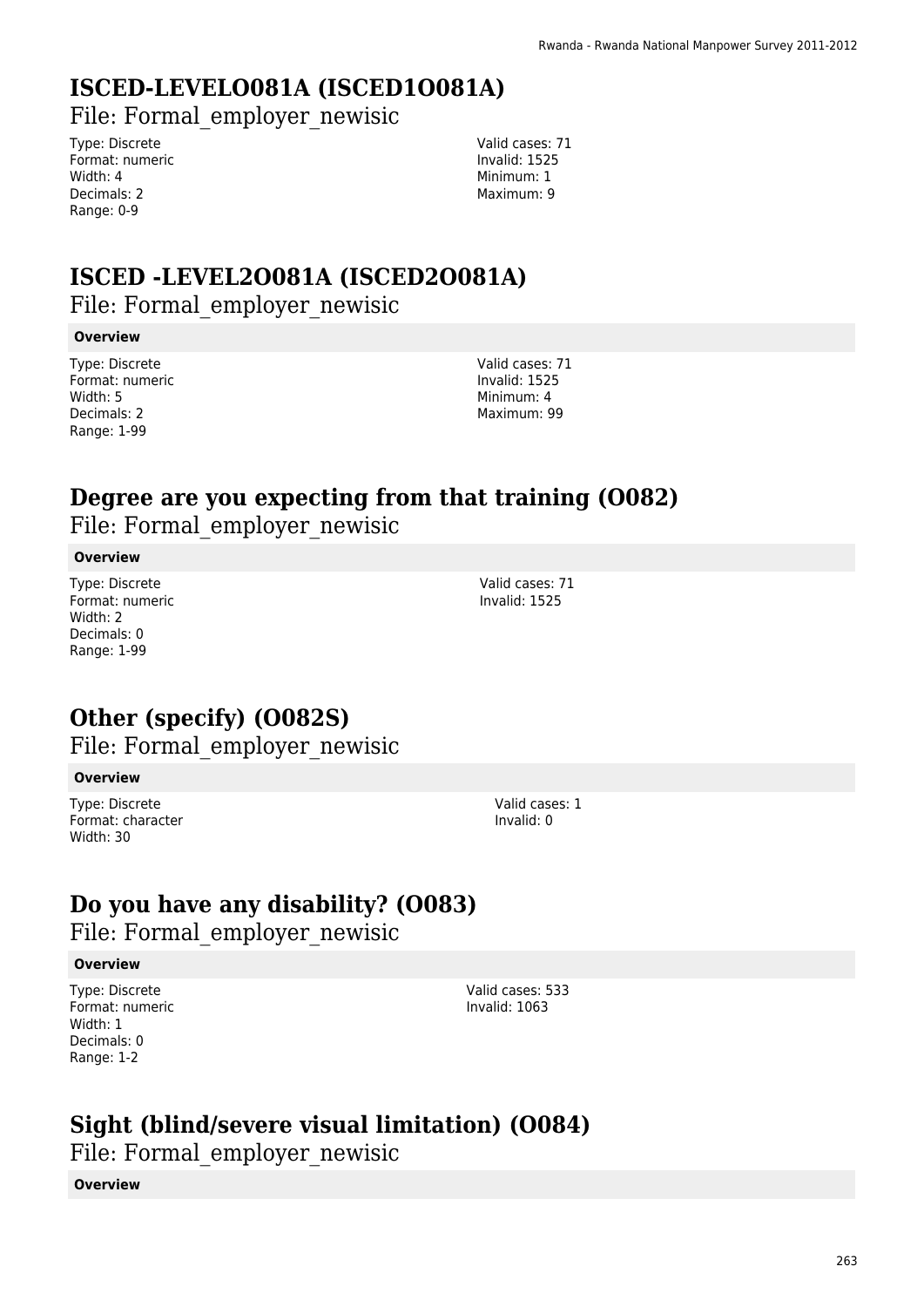# **ISCED-LEVELO081A (ISCED1O081A)**

File: Formal employer newisic

Type: Discrete Format: numeric Width: 4 Decimals: 2 Range: 0-9

# **ISCED -LEVEL2O081A (ISCED2O081A)**

File: Formal\_employer\_newisic

#### **Overview**

Type: Discrete Format: numeric Width: 5 Decimals: 2 Range: 1-99

Valid cases: 71 Invalid: 1525 Minimum: 4 Maximum: 99

# **Degree are you expecting from that training (O082)**

File: Formal\_employer\_newisic

#### **Overview**

Type: Discrete Format: numeric Width: 2 Decimals: 0 Range: 1-99

### **Other (specify) (O082S)**

File: Formal\_employer\_newisic

#### **Overview**

Type: Discrete Format: character Width: 30

# **Do you have any disability? (O083)**

File: Formal\_employer\_newisic

#### **Overview**

Type: Discrete Format: numeric Width: 1 Decimals: 0 Range: 1-2

Valid cases: 533 Invalid: 1063

# **Sight (blind/severe visual limitation) (O084)**

File: Formal\_employer\_newisic

#### **Overview**

Valid cases: 71 Invalid: 1525

> Valid cases: 1 Invalid: 0

Valid cases: 71 Invalid: 1525 Minimum: 1 Maximum: 9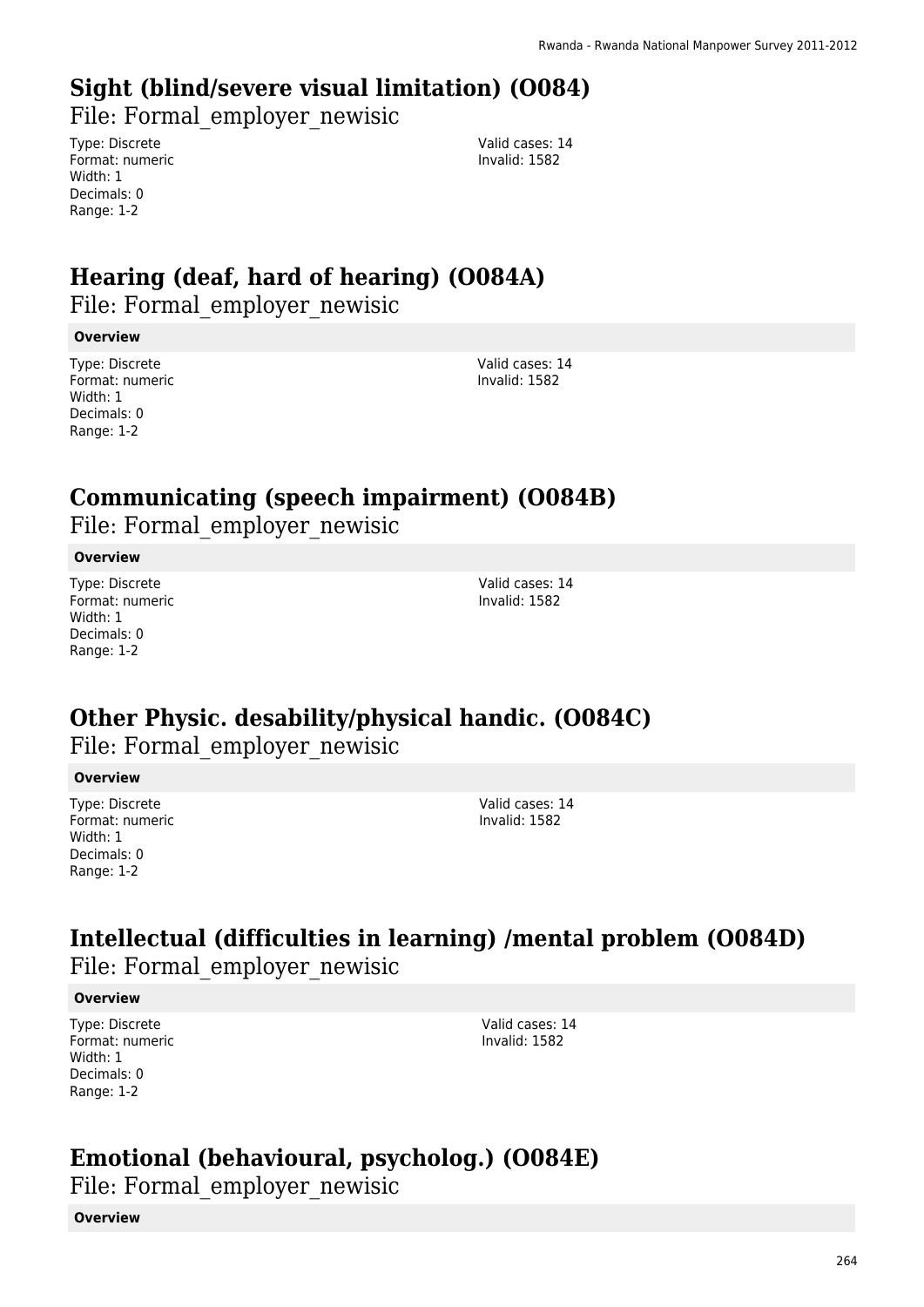# **Sight (blind/severe visual limitation) (O084)**

File: Formal\_employer\_newisic

Type: Discrete Format: numeric Width: 1 Decimals: 0 Range: 1-2

# **Hearing (deaf, hard of hearing) (O084A)**

File: Formal\_employer\_newisic

#### **Overview**

Type: Discrete Format: numeric Width: 1 Decimals: 0 Range: 1-2

Valid cases: 14 Invalid: 1582

# **Communicating (speech impairment) (O084B)**

File: Formal\_employer\_newisic

#### **Overview**

Type: Discrete Format: numeric Width: 1 Decimals: 0 Range: 1-2

Valid cases: 14 Invalid: 1582

# **Other Physic. desability/physical handic. (O084C)**

File: Formal\_employer\_newisic

#### **Overview**

Type: Discrete Format: numeric Width: 1 Decimals: 0 Range: 1-2

Valid cases: 14 Invalid: 1582

# **Intellectual (difficulties in learning) /mental problem (O084D)**

File: Formal\_employer\_newisic

#### **Overview**

Type: Discrete Format: numeric Width: 1 Decimals: 0 Range: 1-2

Valid cases: 14 Invalid: 1582

# **Emotional (behavioural, psycholog.) (O084E)**

File: Formal\_employer\_newisic

#### **Overview**

Valid cases: 14 Invalid: 1582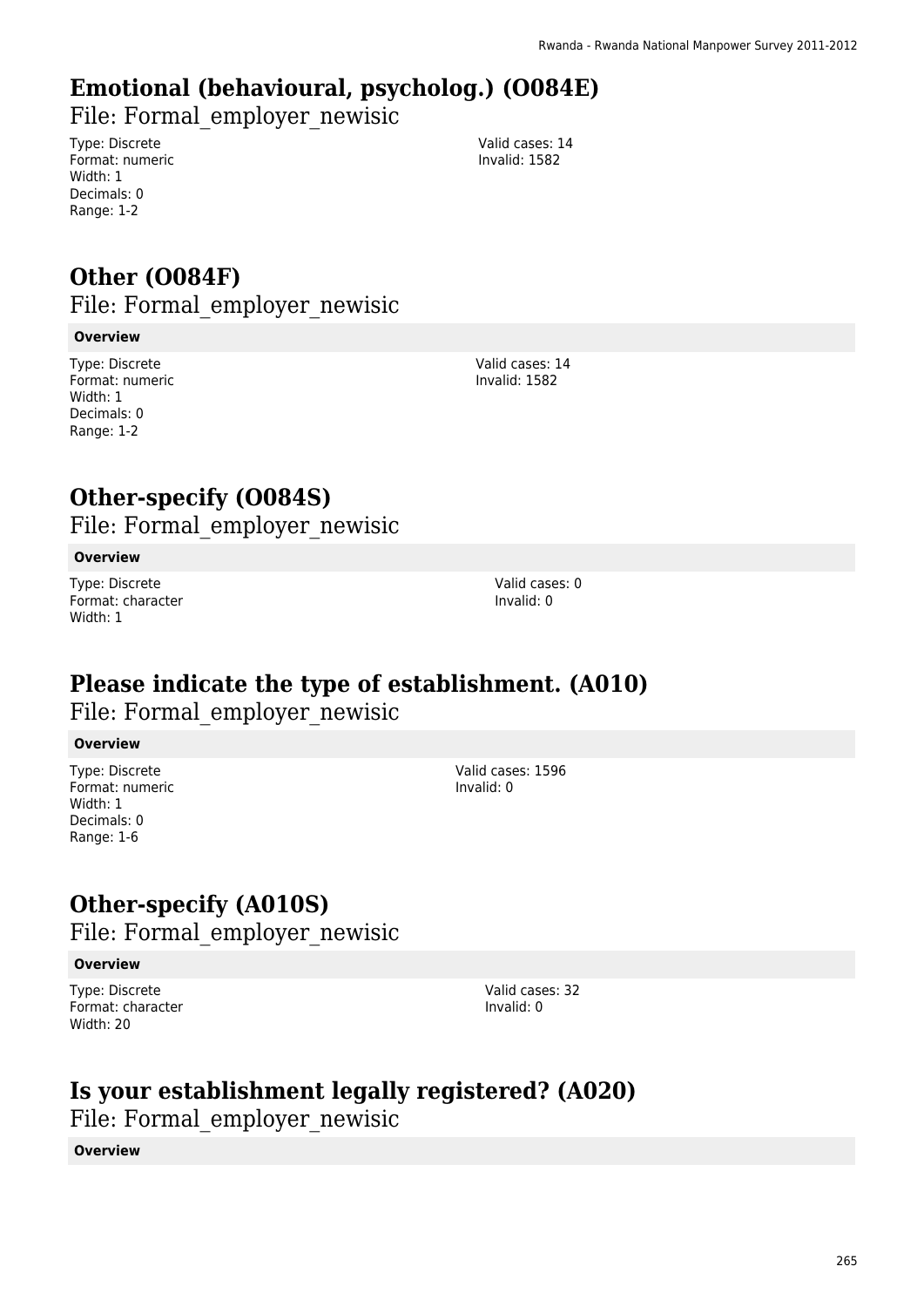# **Emotional (behavioural, psycholog.) (O084E)**

File: Formal employer newisic

Type: Discrete Format: numeric Width: 1 Decimals: 0 Range: 1-2

Valid cases: 14 Invalid: 1582

# **Other (O084F)**

File: Formal\_employer\_newisic

#### **Overview**

Type: Discrete Format: numeric Width: 1 Decimals: 0 Range: 1-2

#### Valid cases: 14 Invalid: 1582

Valid cases: 0 Invalid: 0

# **Other-specify (O084S)**

File: Formal\_employer\_newisic

#### **Overview**

Type: Discrete Format: character Width: 1

# **Please indicate the type of establishment. (A010)**

File: Formal\_employer\_newisic

#### **Overview**

Type: Discrete Format: numeric Width: 1 Decimals: 0 Range: 1-6

Valid cases: 1596 Invalid: 0

# **Other-specify (A010S)**

File: Formal\_employer\_newisic

#### **Overview**

Type: Discrete Format: character Width: 20

Valid cases: 32 Invalid: 0

### **Is your establishment legally registered? (A020)**

File: Formal\_employer\_newisic

#### **Overview**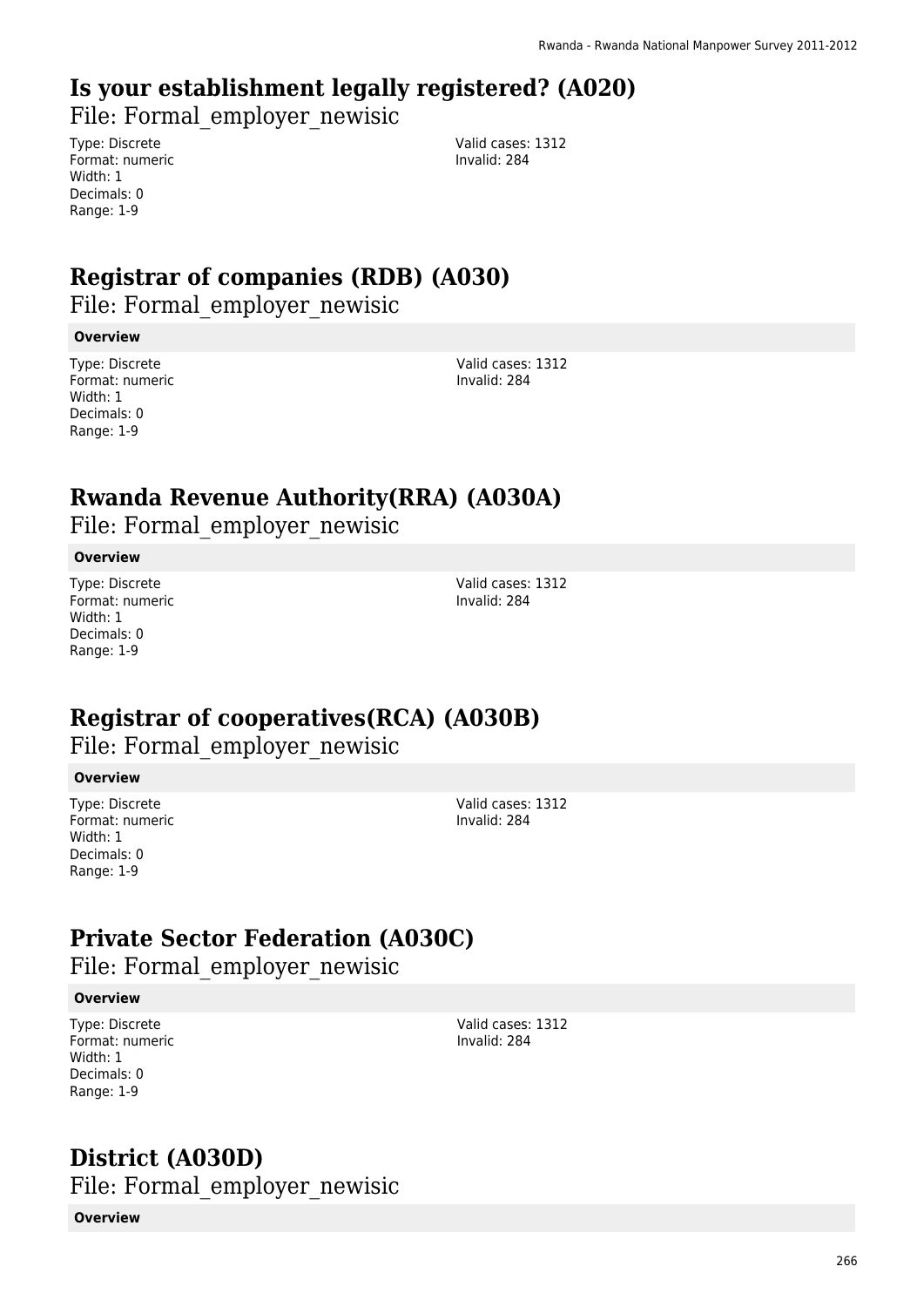# **Is your establishment legally registered? (A020)**

File: Formal employer newisic

Type: Discrete Format: numeric Width: 1 Decimals: 0 Range: 1-9

Valid cases: 1312 Invalid: 284

# **Registrar of companies (RDB) (A030)**

File: Formal\_employer\_newisic

#### **Overview**

Type: Discrete Format: numeric Width: 1 Decimals: 0 Range: 1-9

Valid cases: 1312 Invalid: 284

# **Rwanda Revenue Authority(RRA) (A030A)**

File: Formal\_employer\_newisic

#### **Overview**

Type: Discrete Format: numeric Width: 1 Decimals: 0 Range: 1-9

Valid cases: 1312 Invalid: 284

### **Registrar of cooperatives(RCA) (A030B)**

File: Formal\_employer\_newisic

#### **Overview**

Type: Discrete Format: numeric Width: 1 Decimals: 0 Range: 1-9

Valid cases: 1312 Invalid: 284

# **Private Sector Federation (A030C)**

File: Formal\_employer\_newisic

#### **Overview**

Type: Discrete Format: numeric Width: 1 Decimals: 0 Range: 1-9

Valid cases: 1312 Invalid: 284

### **District (A030D)**  File: Formal\_employer\_newisic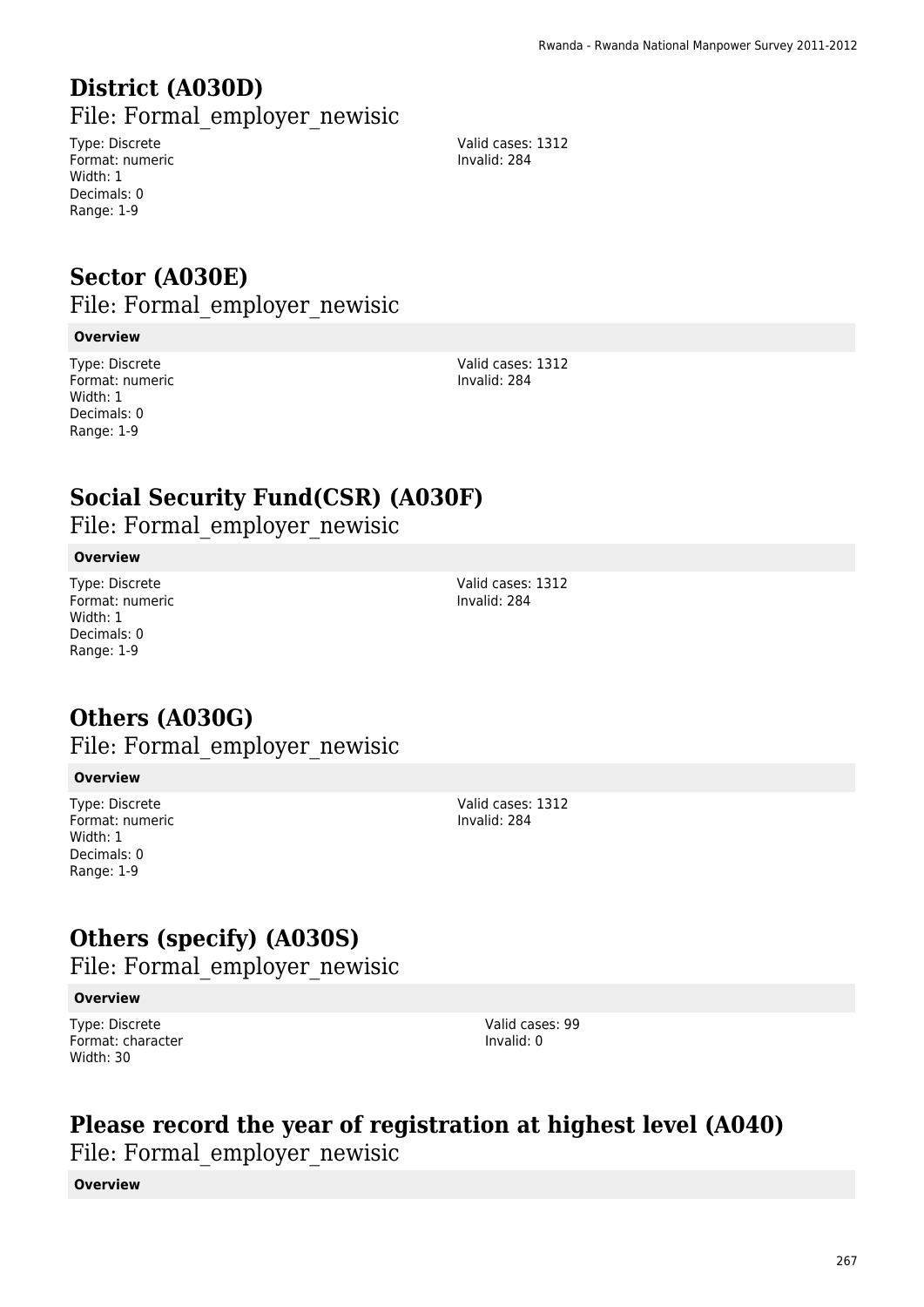# **District (A030D)**

File: Formal employer newisic

Type: Discrete Format: numeric Width: 1 Decimals: 0 Range: 1-9

Valid cases: 1312 Invalid: 284

# **Sector (A030E)**

File: Formal\_employer\_newisic

#### **Overview**

Type: Discrete Format: numeric Width: 1 Decimals: 0 Range: 1-9

Valid cases: 1312 Invalid: 284

# **Social Security Fund(CSR) (A030F)**

File: Formal\_employer\_newisic

#### **Overview**

Type: Discrete Format: numeric Width: 1 Decimals: 0 Range: 1-9

Valid cases: 1312 Invalid: 284

# **Others (A030G)**

File: Formal\_employer\_newisic

#### **Overview**

Type: Discrete Format: numeric Width: 1 Decimals: 0 Range: 1-9

Valid cases: 1312 Invalid: 284

# **Others (specify) (A030S)**

File: Formal\_employer\_newisic

#### **Overview**

Type: Discrete Format: character Width: 30

Valid cases: 99 Invalid: 0

### **Please record the year of registration at highest level (A040)**

File: Formal employer newisic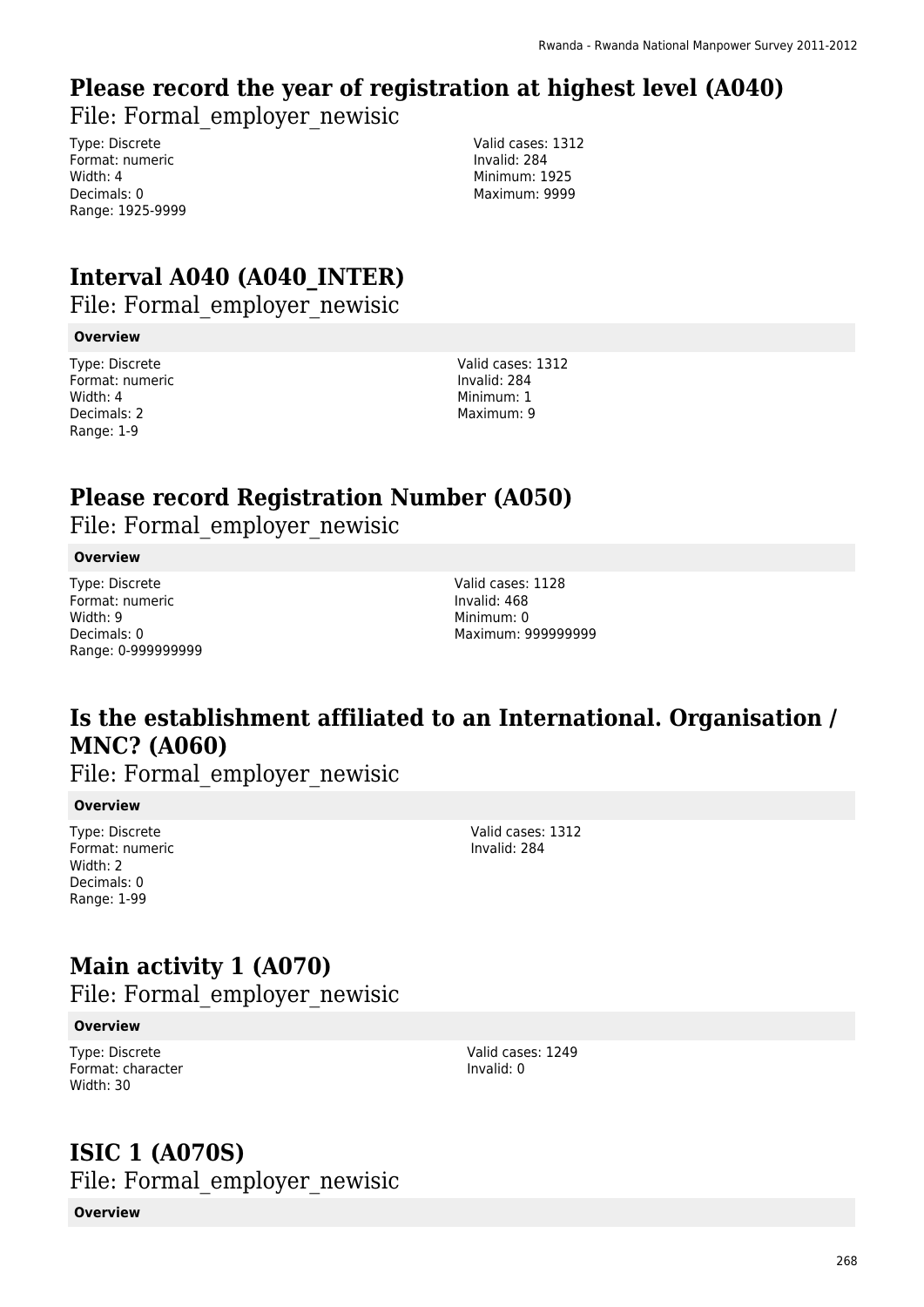### **Please record the year of registration at highest level (A040)**

File: Formal\_employer\_newisic

Type: Discrete Format: numeric Width: 4 Decimals: 0 Range: 1925-9999

Valid cases: 1312 Invalid: 284 Minimum: 1925 Maximum: 9999

# **Interval A040 (A040\_INTER)**

File: Formal\_employer\_newisic

#### **Overview**

Type: Discrete Format: numeric Width: 4 Decimals: 2 Range: 1-9

Valid cases: 1312 Invalid: 284 Minimum: 1 Maximum: 9

# **Please record Registration Number (A050)**

File: Formal\_employer\_newisic

#### **Overview**

Type: Discrete Format: numeric Width: 9 Decimals: 0 Range: 0-999999999 Valid cases: 1128 Invalid: 468 Minimum: 0 Maximum: 999999999

### **Is the establishment affiliated to an International. Organisation / MNC? (A060)**

File: Formal\_employer\_newisic

#### **Overview**

Type: Discrete Format: numeric Width: 2 Decimals: 0 Range: 1-99

Valid cases: 1312 Invalid: 284

# **Main activity 1 (A070)**

File: Formal\_employer\_newisic

#### **Overview**

Type: Discrete Format: character Width: 30

Valid cases: 1249 Invalid: 0

# **ISIC 1 (A070S)**

File: Formal\_employer\_newisic

**Overview**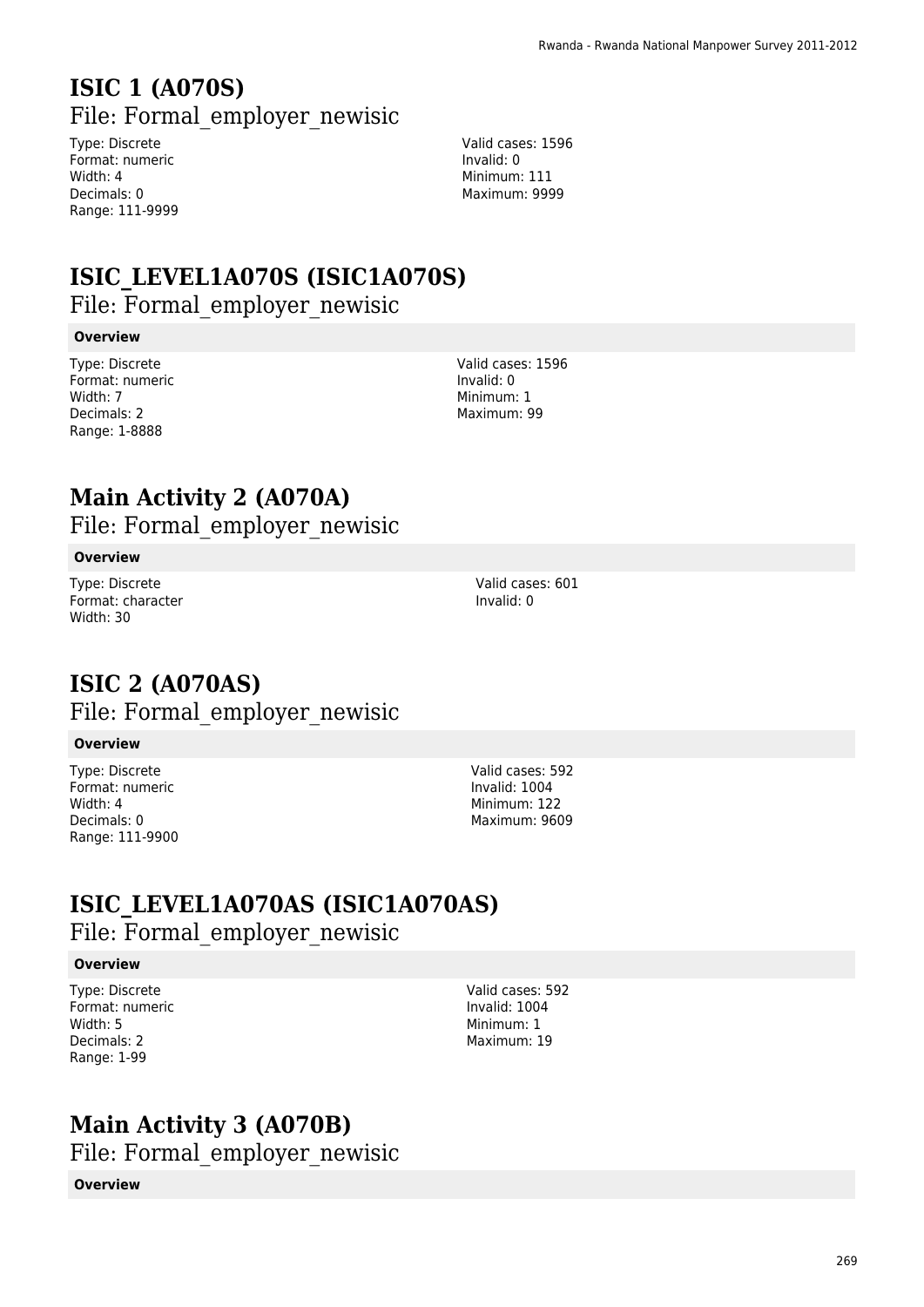### **ISIC 1 (A070S)**  File: Formal employer newisic

Type: Discrete Format: numeric Width: 4 Decimals: 0 Range: 111-9999

# **ISIC\_LEVEL1A070S (ISIC1A070S)**

File: Formal\_employer\_newisic

#### **Overview**

Type: Discrete Format: numeric Width: 7 Decimals: 2 Range: 1-8888

Invalid: 0 Minimum: 111 Maximum: 9999

Valid cases: 1596

Valid cases: 1596 Invalid: 0 Minimum: 1 Maximum: 99

# **Main Activity 2 (A070A)**

File: Formal\_employer\_newisic

#### **Overview**

Type: Discrete Format: character Width: 30

# **ISIC 2 (A070AS)**

#### **Overview**

Type: Discrete Format: numeric Width: 4 Decimals: 0 Range: 111-9900

# File: Formal\_employer\_newisic

Valid cases: 592 Invalid: 1004 Minimum: 122 Maximum: 9609

Valid cases: 601 Invalid: 0

# **ISIC\_LEVEL1A070AS (ISIC1A070AS)**

File: Formal\_employer\_newisic

#### **Overview**

Type: Discrete Format: numeric Width: 5 Decimals: 2 Range: 1-99

Valid cases: 592 Invalid: 1004 Minimum: 1 Maximum: 19

# **Main Activity 3 (A070B)**

File: Formal\_employer\_newisic

#### **Overview**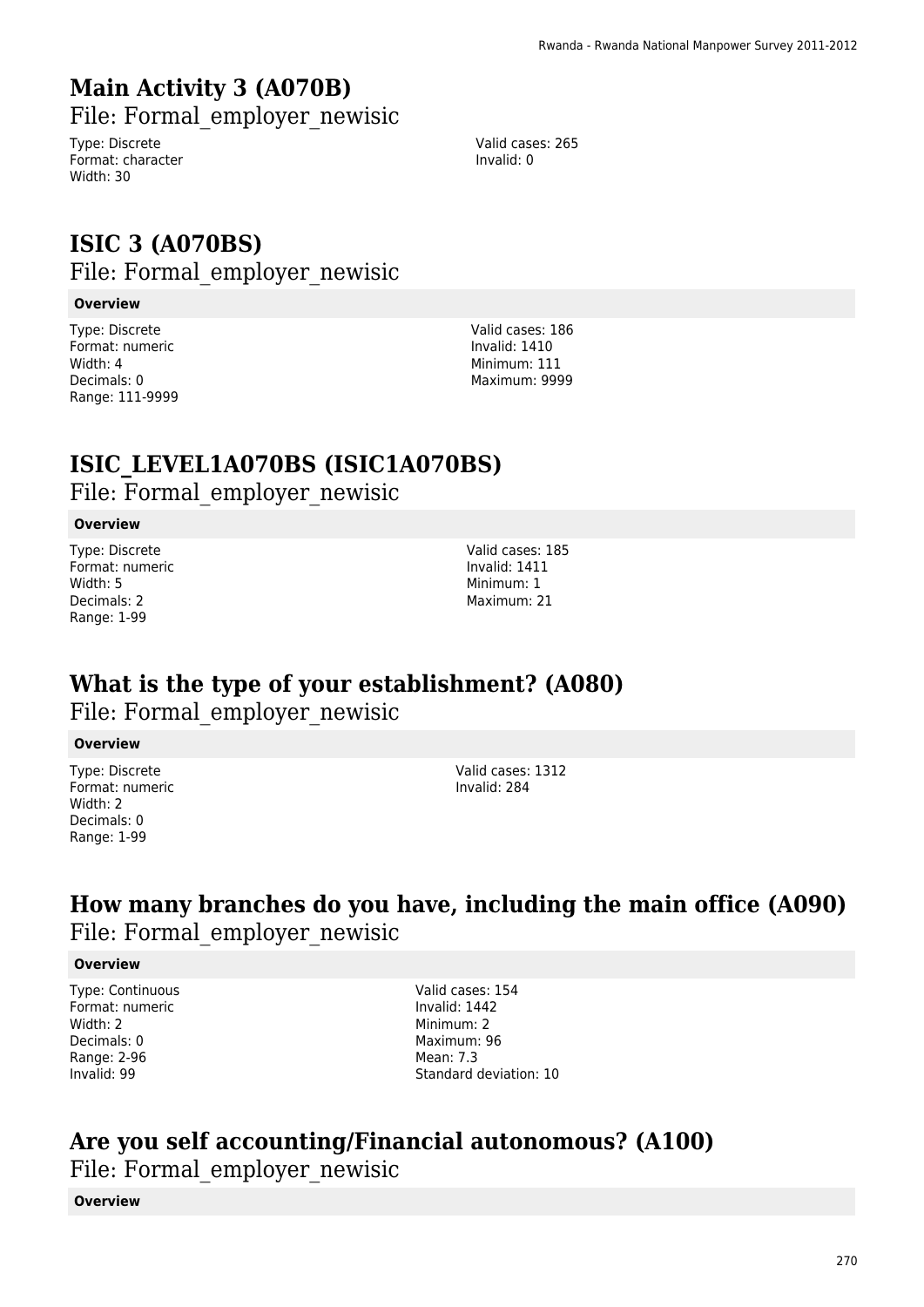### **Main Activity 3 (A070B)**

File: Formal\_employer\_newisic

Type: Discrete Format: character Width: 30

Valid cases: 265 Invalid: 0

### **ISIC 3 (A070BS)**  File: Formal\_employer\_newisic

#### **Overview**

Type: Discrete Format: numeric Width: 4 Decimals: 0 Range: 111-9999

Valid cases: 186 Invalid: 1410 Minimum: 111 Maximum: 9999

### **ISIC\_LEVEL1A070BS (ISIC1A070BS)**  File: Formal\_employer\_newisic

#### **Overview**

Type: Discrete Format: numeric Width: 5 Decimals: 2 Range: 1-99

Valid cases: 185 Invalid: 1411 Minimum: 1 Maximum: 21

### **What is the type of your establishment? (A080)**  File: Formal\_employer\_newisic

#### **Overview**

Type: Discrete Format: numeric Width: 2 Decimals: 0 Range: 1-99

Valid cases: 1312 Invalid: 284

### **How many branches do you have, including the main office (A090)**  File: Formal\_employer\_newisic

#### **Overview**

Type: Continuous Format: numeric Width: 2 Decimals: 0 Range: 2-96 Invalid: 99

Valid cases: 154 Invalid: 1442 Minimum: 2 Maximum: 96 Mean: 7.3 Standard deviation: 10

### **Are you self accounting/Financial autonomous? (A100)**

File: Formal\_employer\_newisic

#### **Overview**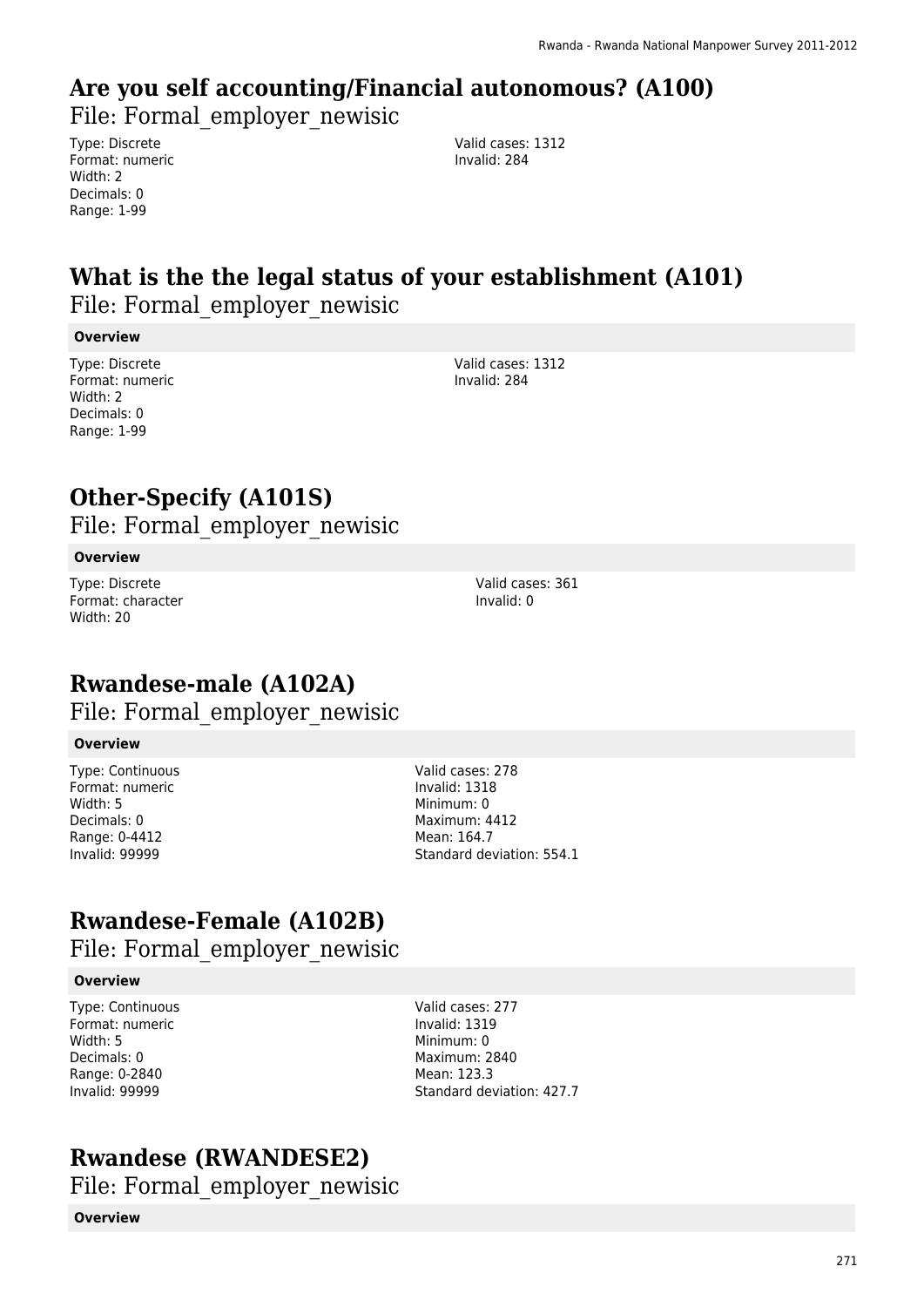### **Are you self accounting/Financial autonomous? (A100)**

File: Formal\_employer\_newisic

Type: Discrete Format: numeric Width: 2 Decimals: 0 Range: 1-99

Valid cases: 1312 Invalid: 284

# **What is the the legal status of your establishment (A101)**

File: Formal\_employer\_newisic

#### **Overview**

Type: Discrete Format: numeric Width: 2 Decimals: 0 Range: 1-99

Valid cases: 1312 Invalid: 284

# **Other-Specify (A101S)**

File: Formal\_employer\_newisic

#### **Overview**

Type: Discrete Format: character Width: 20

Valid cases: 361 Invalid: 0

### **Rwandese-male (A102A)**

File: Formal\_employer\_newisic

#### **Overview**

Type: Continuous Format: numeric Width: 5 Decimals: 0 Range: 0-4412 Invalid: 99999

Valid cases: 278 Invalid: 1318 Minimum: 0 Maximum: 4412 Mean: 164.7 Standard deviation: 554.1

### **Rwandese-Female (A102B)**

File: Formal employer newisic

#### **Overview**

Type: Continuous Format: numeric Width: 5 Decimals: 0 Range: 0-2840 Invalid: 99999

Valid cases: 277 Invalid: 1319 Minimum: 0 Maximum: 2840 Mean: 123.3 Standard deviation: 427.7

# **Rwandese (RWANDESE2)**

File: Formal\_employer\_newisic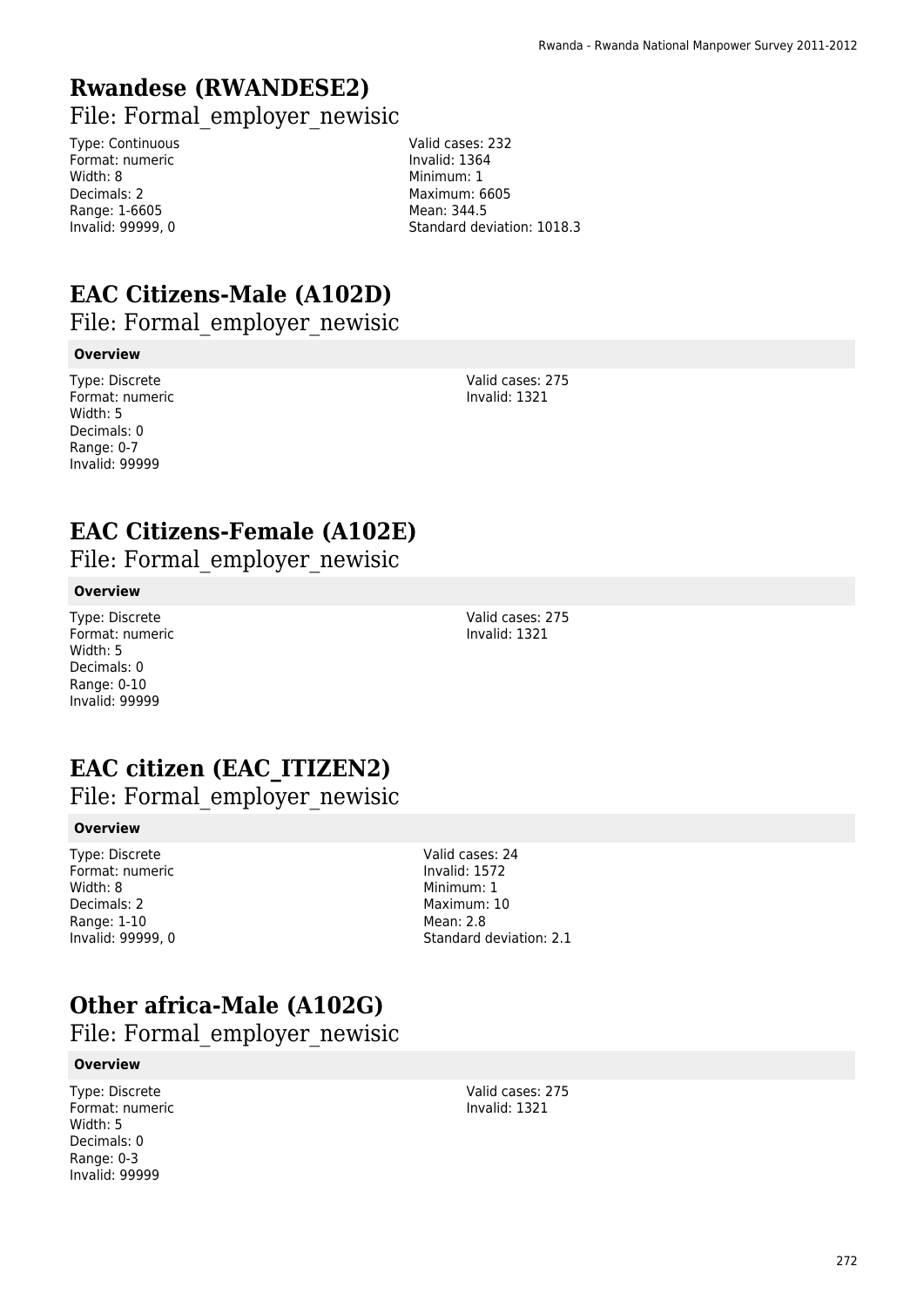# **Rwandese (RWANDESE2)**

File: Formal employer newisic

Type: Continuous Format: numeric Width: 8 Decimals: 2 Range: 1-6605 Invalid: 99999, 0

Valid cases: 232 Invalid: 1364 Minimum: 1 Maximum: 6605 Mean: 344.5 Standard deviation: 1018.3

# **EAC Citizens-Male (A102D)**

File: Formal\_employer\_newisic

#### **Overview**

Type: Discrete Format: numeric Width: 5 Decimals: 0 Range: 0-7 Invalid: 99999

Valid cases: 275 Invalid: 1321

# **EAC Citizens-Female (A102E)**

File: Formal\_employer\_newisic

#### **Overview**

Type: Discrete Format: numeric Width: 5 Decimals: 0 Range: 0-10 Invalid: 99999

Valid cases: 275 Invalid: 1321

# **EAC citizen (EAC\_ITIZEN2)**

File: Formal\_employer\_newisic

#### **Overview**

Type: Discrete Format: numeric Width: 8 Decimals: 2 Range: 1-10 Invalid: 99999, 0

Valid cases: 24 Invalid: 1572 Minimum: 1 Maximum: 10 Mean: 2.8 Standard deviation: 2.1

# **Other africa-Male (A102G)**

File: Formal\_employer\_newisic

#### **Overview**

Type: Discrete Format: numeric Width: 5 Decimals: 0 Range: 0-3 Invalid: 99999

Valid cases: 275 Invalid: 1321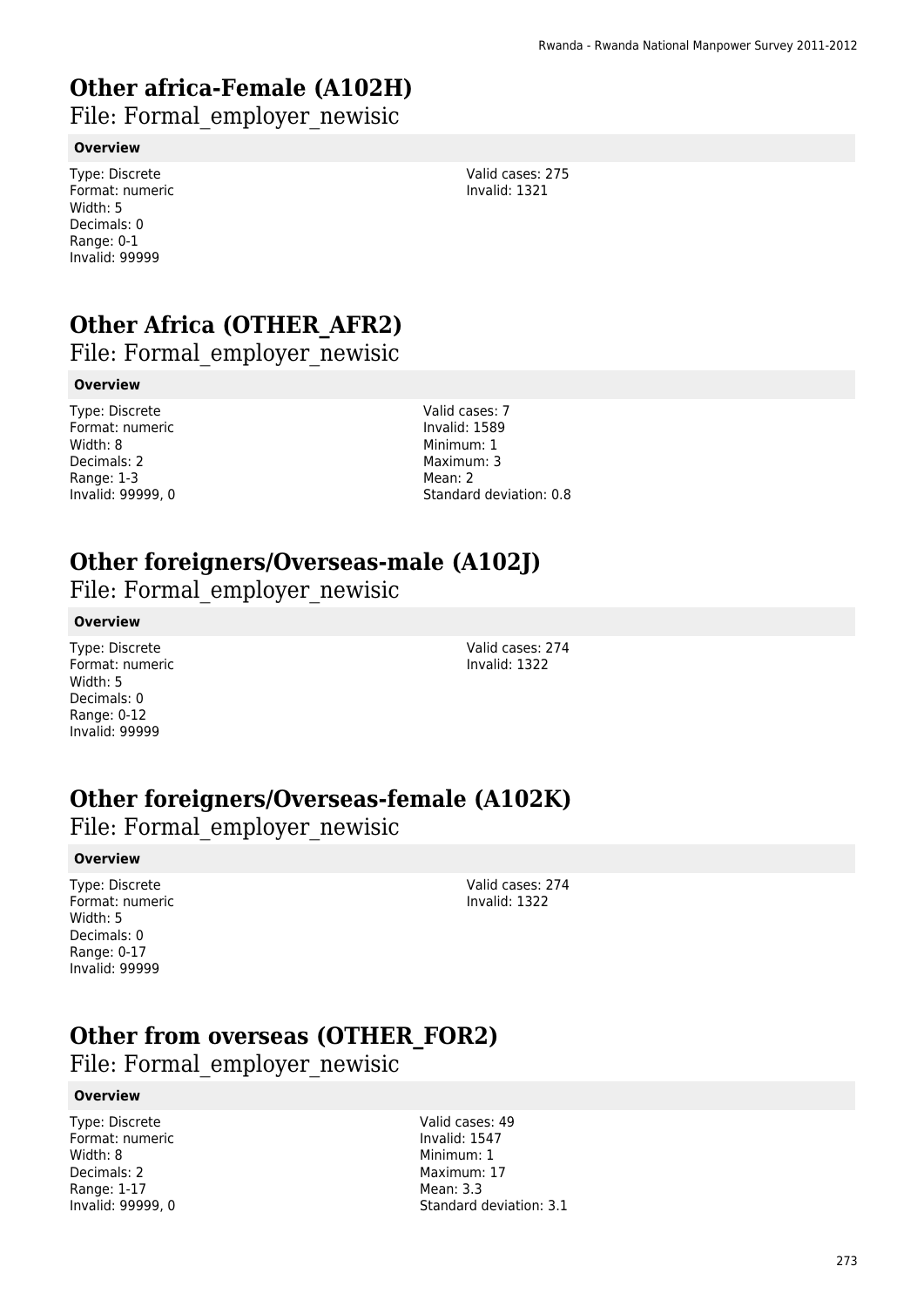### **Other africa-Female (A102H)**

File: Formal\_employer\_newisic

#### **Overview**

Type: Discrete Format: numeric Width: 5 Decimals: 0 Range: 0-1 Invalid: 99999

Valid cases: 275 Invalid: 1321

# **Other Africa (OTHER\_AFR2)**

File: Formal\_employer\_newisic

#### **Overview**

Type: Discrete Format: numeric Width: 8 Decimals: 2 Range: 1-3 Invalid: 99999, 0

Valid cases: 7 Invalid: 1589 Minimum: 1 Maximum: 3 Mean: 2 Standard deviation: 0.8

### **Other foreigners/Overseas-male (A102J)**

File: Formal\_employer\_newisic

#### **Overview**

Type: Discrete Format: numeric Width: 5 Decimals: 0 Range: 0-12 Invalid: 99999

Valid cases: 274 Invalid: 1322

### **Other foreigners/Overseas-female (A102K)**

File: Formal\_employer\_newisic

#### **Overview**

Type: Discrete Format: numeric Width: 5 Decimals: 0 Range: 0-17 Invalid: 99999

Valid cases: 274 Invalid: 1322

### **Other from overseas (OTHER\_FOR2)**  File: Formal\_employer\_newisic

**Overview**

Type: Discrete Format: numeric Width: 8 Decimals: 2 Range: 1-17 Invalid: 99999, 0 Valid cases: 49 Invalid: 1547 Minimum: 1 Maximum: 17 Mean: 3.3 Standard deviation: 3.1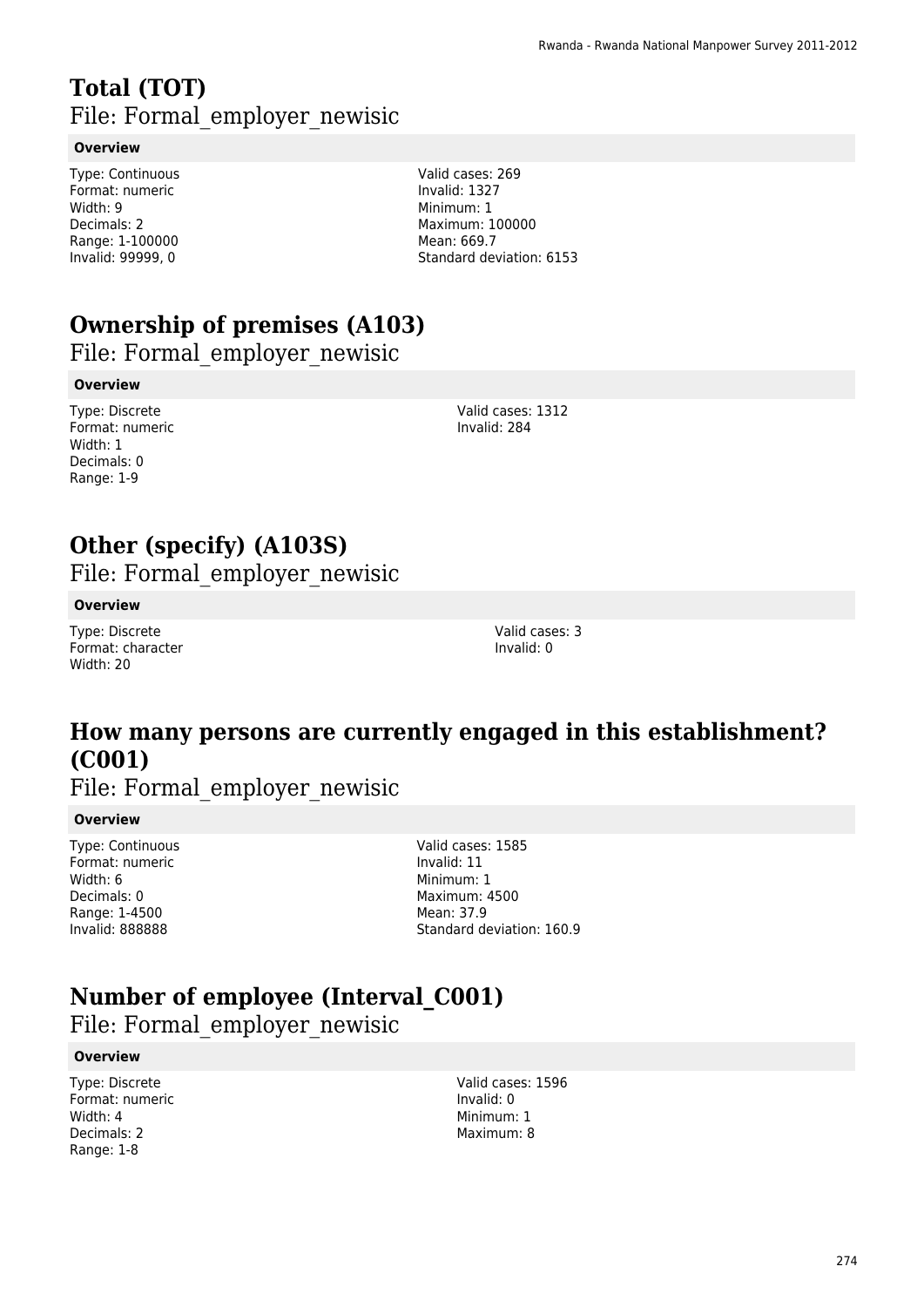### **Total (TOT)**  File: Formal\_employer\_newisic

#### **Overview**

Type: Continuous Format: numeric Width: 9 Decimals: 2 Range: 1-100000 Invalid: 99999, 0

Valid cases: 269 Invalid: 1327 Minimum: 1 Maximum: 100000 Mean: 669.7 Standard deviation: 6153

### **Ownership of premises (A103)**

File: Formal\_employer\_newisic

#### **Overview**

Type: Discrete Format: numeric Width: 1 Decimals: 0 Range: 1-9

Valid cases: 1312 Invalid: 284

### **Other (specify) (A103S)**  File: Formal\_employer\_newisic

#### **Overview**

Type: Discrete Format: character Width: 20

Valid cases: 3 Invalid: 0

### **How many persons are currently engaged in this establishment? (C001)**

File: Formal\_employer\_newisic

#### **Overview**

Type: Continuous Format: numeric Width: 6 Decimals: 0 Range: 1-4500 Invalid: 888888

Valid cases: 1585 Invalid: 11 Minimum: 1 Maximum: 4500 Mean: 37.9 Standard deviation: 160.9

### **Number of employee (Interval\_C001)**

File: Formal\_employer\_newisic

#### **Overview**

Type: Discrete Format: numeric Width: 4 Decimals: 2 Range: 1-8

Valid cases: 1596 Invalid: 0 Minimum: 1 Maximum: 8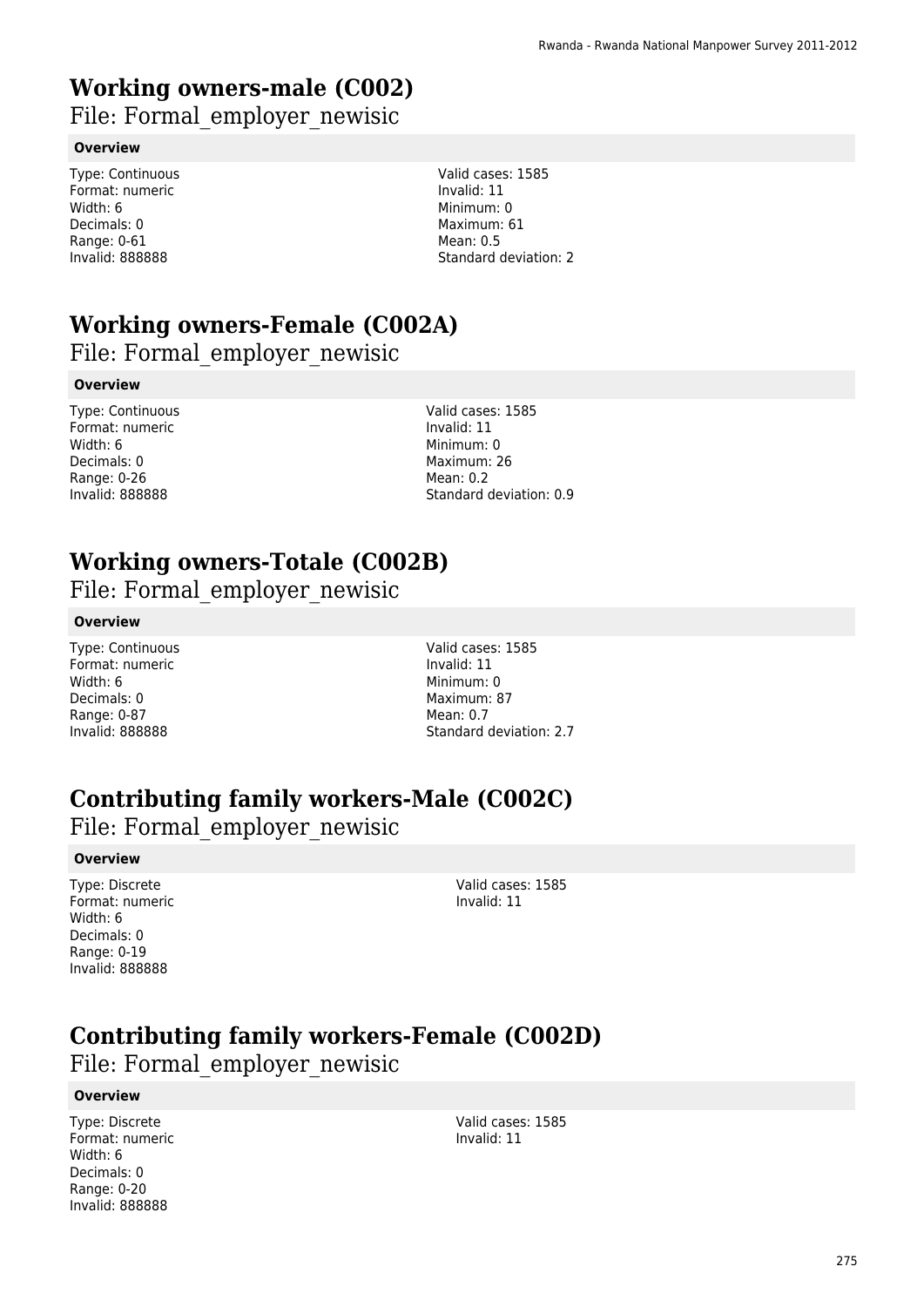### **Working owners-male (C002)**

File: Formal\_employer\_newisic

#### **Overview**

Type: Continuous Format: numeric Width: 6 Decimals: 0 Range: 0-61 Invalid: 888888

Valid cases: 1585 Invalid: 11 Minimum: 0 Maximum: 61 Mean: 0.5 Standard deviation: 2

# **Working owners-Female (C002A)**

File: Formal\_employer\_newisic

#### **Overview**

Type: Continuous Format: numeric Width: 6 Decimals: 0 Range: 0-26 Invalid: 888888

Valid cases: 1585 Invalid: 11 Minimum: 0 Maximum: 26 Mean: 0.2 Standard deviation: 0.9

### **Working owners-Totale (C002B)**

File: Formal\_employer\_newisic

#### **Overview**

Type: Continuous Format: numeric Width: 6 Decimals: 0 Range: 0-87 Invalid: 888888

Valid cases: 1585 Invalid: 11 Minimum: 0 Maximum: 87 Mean: 0.7 Standard deviation: 2.7

### **Contributing family workers-Male (C002C)**

File: Formal\_employer\_newisic

#### **Overview**

Type: Discrete Format: numeric Width: 6 Decimals: 0 Range: 0-19 Invalid: 888888

Valid cases: 1585 Invalid: 11

# **Contributing family workers-Female (C002D)**

File: Formal\_employer\_newisic

#### **Overview**

Type: Discrete Format: numeric Width: 6 Decimals: 0 Range: 0-20 Invalid: 888888

Valid cases: 1585 Invalid: 11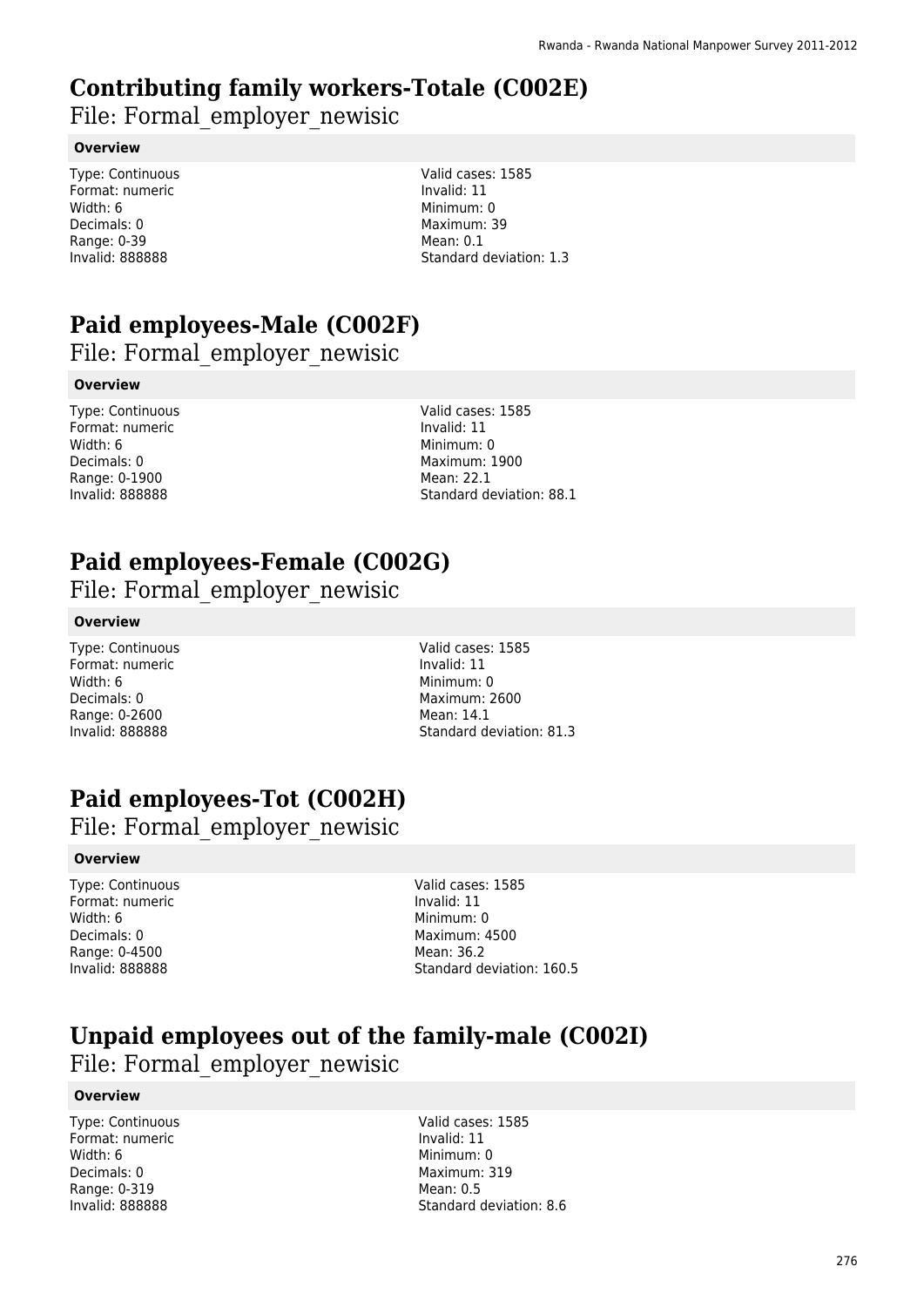### **Contributing family workers-Totale (C002E)**

File: Formal\_employer\_newisic

#### **Overview**

Type: Continuous Format: numeric Width: 6 Decimals: 0 Range: 0-39 Invalid: 888888

Valid cases: 1585 Invalid: 11 Minimum: 0 Maximum: 39 Mean: 0.1 Standard deviation: 1.3

# **Paid employees-Male (C002F)**

File: Formal\_employer\_newisic

#### **Overview**

Type: Continuous Format: numeric Width: 6 Decimals: 0 Range: 0-1900 Invalid: 888888

Valid cases: 1585 Invalid: 11 Minimum: 0 Maximum: 1900 Mean: 22.1 Standard deviation: 88.1

### **Paid employees-Female (C002G)**

File: Formal\_employer\_newisic

#### **Overview**

Type: Continuous Format: numeric Width: 6 Decimals: 0 Range: 0-2600 Invalid: 888888

Valid cases: 1585 Invalid: 11 Minimum: 0 Maximum: 2600 Mean: 14.1 Standard deviation: 81.3

### **Paid employees-Tot (C002H)**

File: Formal employer newisic

#### **Overview**

Type: Continuous Format: numeric Width: 6 Decimals: 0 Range: 0-4500 Invalid: 888888

Valid cases: 1585 Invalid: 11 Minimum: 0 Maximum: 4500 Mean: 36.2 Standard deviation: 160.5

### **Unpaid employees out of the family-male (C002I)**  File: Formal\_employer\_newisic

#### **Overview**

Type: Continuous Format: numeric Width: 6 Decimals: 0 Range: 0-319 Invalid: 888888

Valid cases: 1585 Invalid: 11 Minimum: 0 Maximum: 319 Mean: 0.5 Standard deviation: 8.6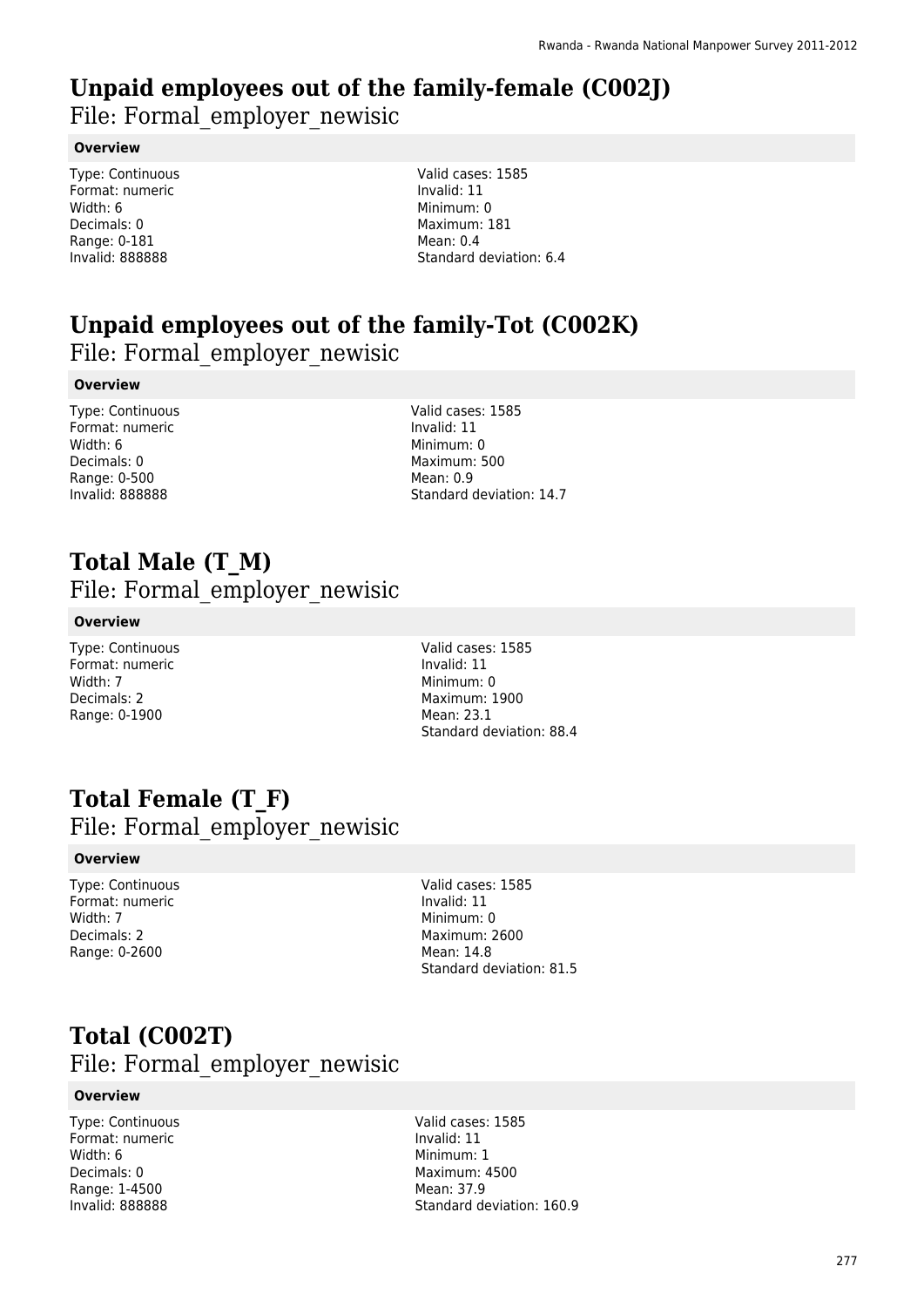# **Unpaid employees out of the family-female (C002J)**

File: Formal\_employer\_newisic

#### **Overview**

Type: Continuous Format: numeric Width: 6 Decimals: 0 Range: 0-181 Invalid: 888888

Valid cases: 1585 Invalid: 11 Minimum: 0 Maximum: 181 Mean: 0.4 Standard deviation: 6.4

### **Unpaid employees out of the family-Tot (C002K)**  File: Formal\_employer\_newisic

#### **Overview**

Type: Continuous Format: numeric Width: 6 Decimals: 0 Range: 0-500 Invalid: 888888

Valid cases: 1585 Invalid: 11 Minimum: 0 Maximum: 500 Mean: 0.9 Standard deviation: 14.7

### **Total Male (T\_M)**  File: Formal\_employer\_newisic

#### **Overview**

Type: Continuous Format: numeric Width: 7 Decimals: 2 Range: 0-1900

Valid cases: 1585 Invalid: 11 Minimum: 0 Maximum: 1900 Mean: 23.1 Standard deviation: 88.4

### **Total Female (T\_F)**  File: Formal\_employer\_newisic

#### **Overview**

Type: Continuous Format: numeric Width: 7 Decimals: 2 Range: 0-2600

Valid cases: 1585 Invalid: 11 Minimum: 0 Maximum: 2600 Mean: 14.8 Standard deviation: 81.5

### **Total (C002T)**  File: Formal employer newisic

#### **Overview**

Type: Continuous Format: numeric Width: 6 Decimals: 0 Range: 1-4500 Invalid: 888888

Valid cases: 1585 Invalid: 11 Minimum: 1 Maximum: 4500 Mean: 37.9 Standard deviation: 160.9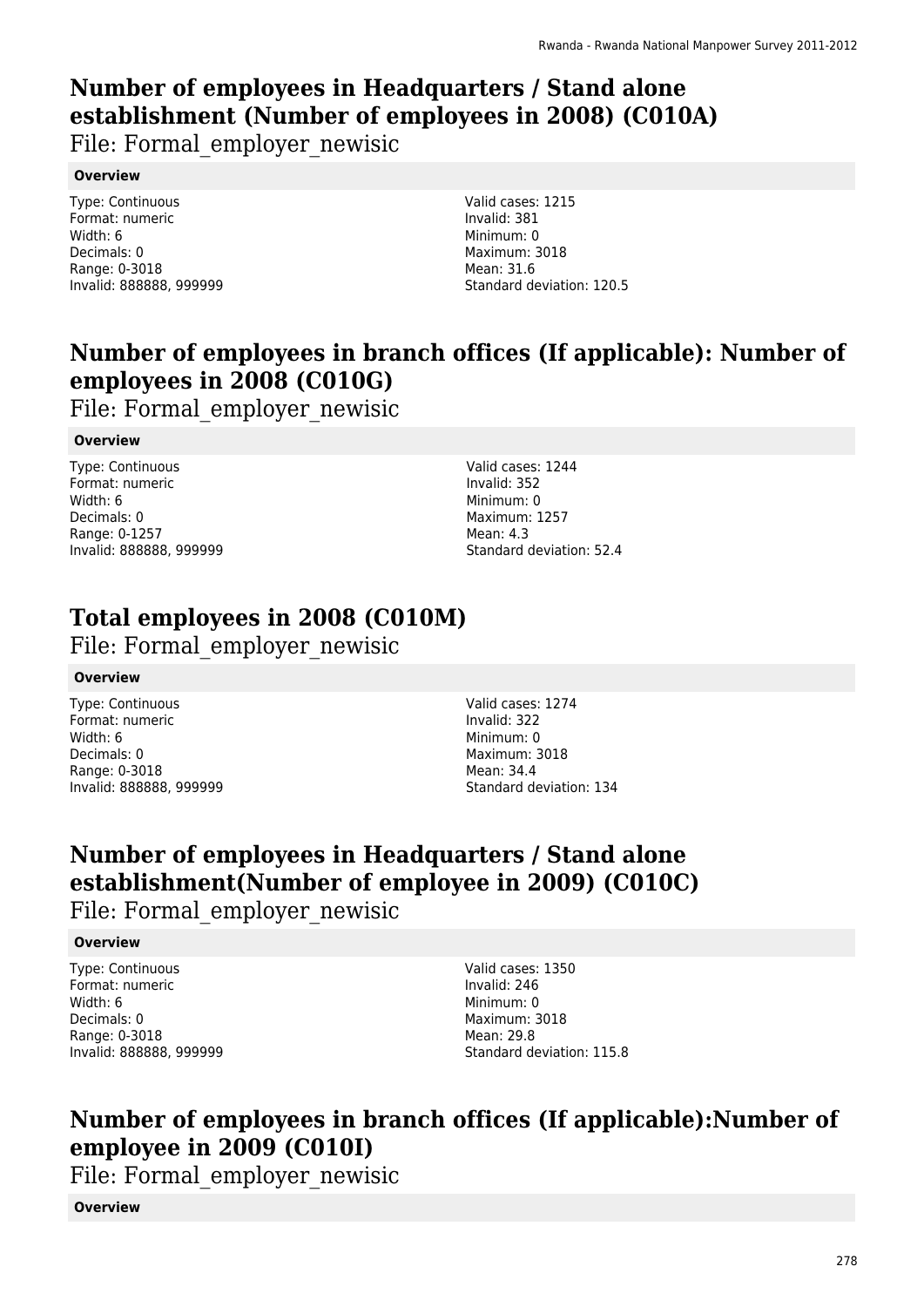### **Number of employees in Headquarters / Stand alone establishment (Number of employees in 2008) (C010A)**

File: Formal\_employer\_newisic

#### **Overview**

Type: Continuous Format: numeric Width: 6 Decimals: 0 Range: 0-3018 Invalid: 888888, 999999

Valid cases: 1215 Invalid: 381 Minimum: 0 Maximum: 3018 Mean: 31.6 Standard deviation: 120.5

### **Number of employees in branch offices (If applicable): Number of employees in 2008 (C010G)**

File: Formal\_employer\_newisic

#### **Overview**

Type: Continuous Format: numeric Width: 6 Decimals: 0 Range: 0-1257 Invalid: 888888, 999999 Valid cases: 1244 Invalid: 352 Minimum: 0 Maximum: 1257 Mean: 4.3 Standard deviation: 52.4

### **Total employees in 2008 (C010M)**

File: Formal\_employer\_newisic

#### **Overview**

Type: Continuous Format: numeric Width: 6 Decimals: 0 Range: 0-3018 Invalid: 888888, 999999

Valid cases: 1274 Invalid: 322 Minimum: 0 Maximum: 3018 Mean: 34.4 Standard deviation: 134

### **Number of employees in Headquarters / Stand alone establishment(Number of employee in 2009) (C010C)**

File: Formal\_employer\_newisic

#### **Overview**

Type: Continuous Format: numeric Width: 6 Decimals: 0 Range: 0-3018 Invalid: 888888, 999999 Valid cases: 1350 Invalid: 246 Minimum: 0 Maximum: 3018 Mean: 29.8 Standard deviation: 115.8

### **Number of employees in branch offices (If applicable):Number of employee in 2009 (C010I)**

File: Formal\_employer\_newisic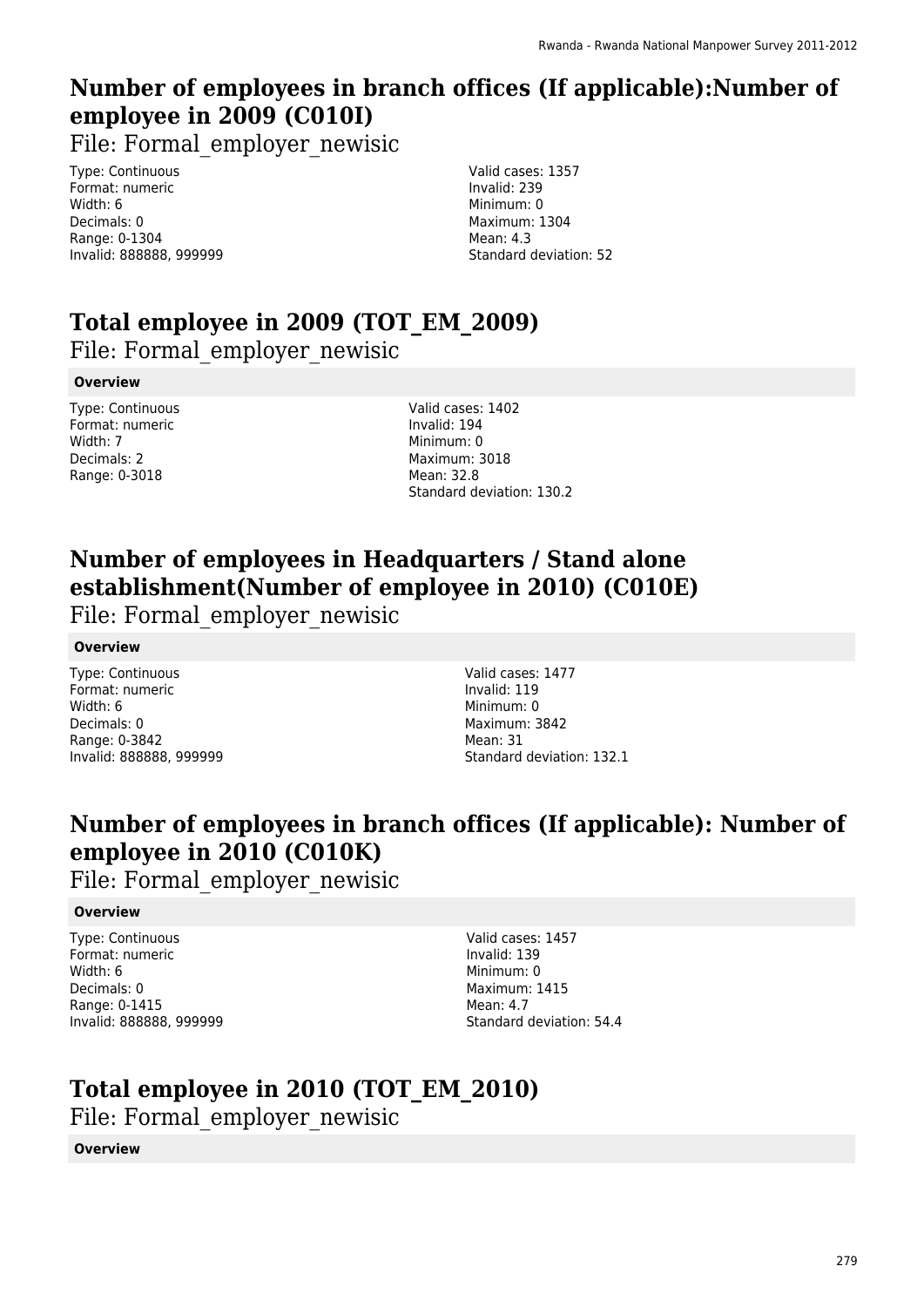### **Number of employees in branch offices (If applicable):Number of employee in 2009 (C010I)**

File: Formal\_employer\_newisic

Type: Continuous Format: numeric Width: 6 Decimals: 0 Range: 0-1304 Invalid: 888888, 999999 Valid cases: 1357 Invalid: 239 Minimum: 0 Maximum: 1304 Mean: 4.3 Standard deviation: 52

# **Total employee in 2009 (TOT\_EM\_2009)**

File: Formal\_employer\_newisic

#### **Overview**

Type: Continuous Format: numeric Width: 7 Decimals: 2 Range: 0-3018

Valid cases: 1402 Invalid: 194 Minimum: 0 Maximum: 3018 Mean: 32.8 Standard deviation: 130.2

### **Number of employees in Headquarters / Stand alone establishment(Number of employee in 2010) (C010E)**

File: Formal\_employer\_newisic

#### **Overview**

Type: Continuous Format: numeric Width: 6 Decimals: 0 Range: 0-3842 Invalid: 888888, 999999

Valid cases: 1477 Invalid: 119 Minimum: 0 Maximum: 3842 Mean: 31 Standard deviation: 132.1

### **Number of employees in branch offices (If applicable): Number of employee in 2010 (C010K)**

File: Formal\_employer\_newisic

#### **Overview**

Type: Continuous Format: numeric Width: 6 Decimals: 0 Range: 0-1415 Invalid: 888888, 999999 Valid cases: 1457 Invalid: 139 Minimum: 0 Maximum: 1415 Mean: 47 Standard deviation: 54.4

### **Total employee in 2010 (TOT\_EM\_2010)**

File: Formal\_employer\_newisic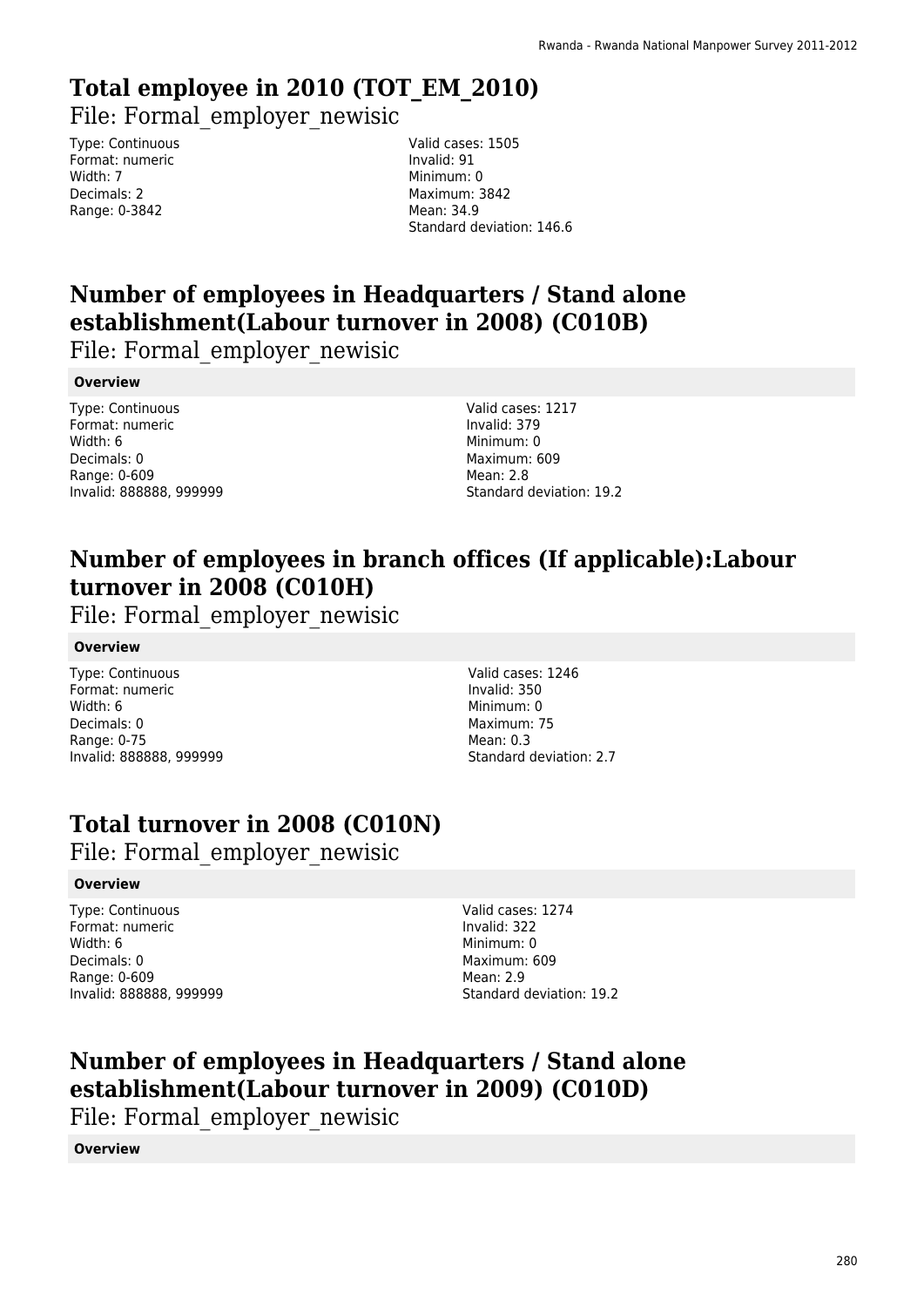# **Total employee in 2010 (TOT\_EM\_2010)**

File: Formal\_employer\_newisic

Type: Continuous Format: numeric Width: 7 Decimals: 2 Range: 0-3842

Valid cases: 1505 Invalid: 91 Minimum: 0 Maximum: 3842 Mean: 34.9 Standard deviation: 146.6

### **Number of employees in Headquarters / Stand alone establishment(Labour turnover in 2008) (C010B)**

File: Formal\_employer\_newisic

#### **Overview**

Type: Continuous Format: numeric Width: 6 Decimals: 0 Range: 0-609 Invalid: 888888, 999999 Valid cases: 1217 Invalid: 379 Minimum: 0 Maximum: 609 Mean: 2.8 Standard deviation: 19.2

### **Number of employees in branch offices (If applicable):Labour turnover in 2008 (C010H)**

File: Formal\_employer\_newisic

#### **Overview**

Type: Continuous Format: numeric Width: 6 Decimals: 0 Range: 0-75 Invalid: 888888, 999999

Valid cases: 1246 Invalid: 350 Minimum: 0 Maximum: 75 Mean: 0.3 Standard deviation: 2.7

### **Total turnover in 2008 (C010N)**

File: Formal\_employer\_newisic

#### **Overview**

Type: Continuous Format: numeric Width: 6 Decimals: 0 Range: 0-609 Invalid: 888888, 999999

Valid cases: 1274 Invalid: 322 Minimum: 0 Maximum: 609 Mean: 2.9 Standard deviation: 19.2

### **Number of employees in Headquarters / Stand alone establishment(Labour turnover in 2009) (C010D)**

File: Formal\_employer\_newisic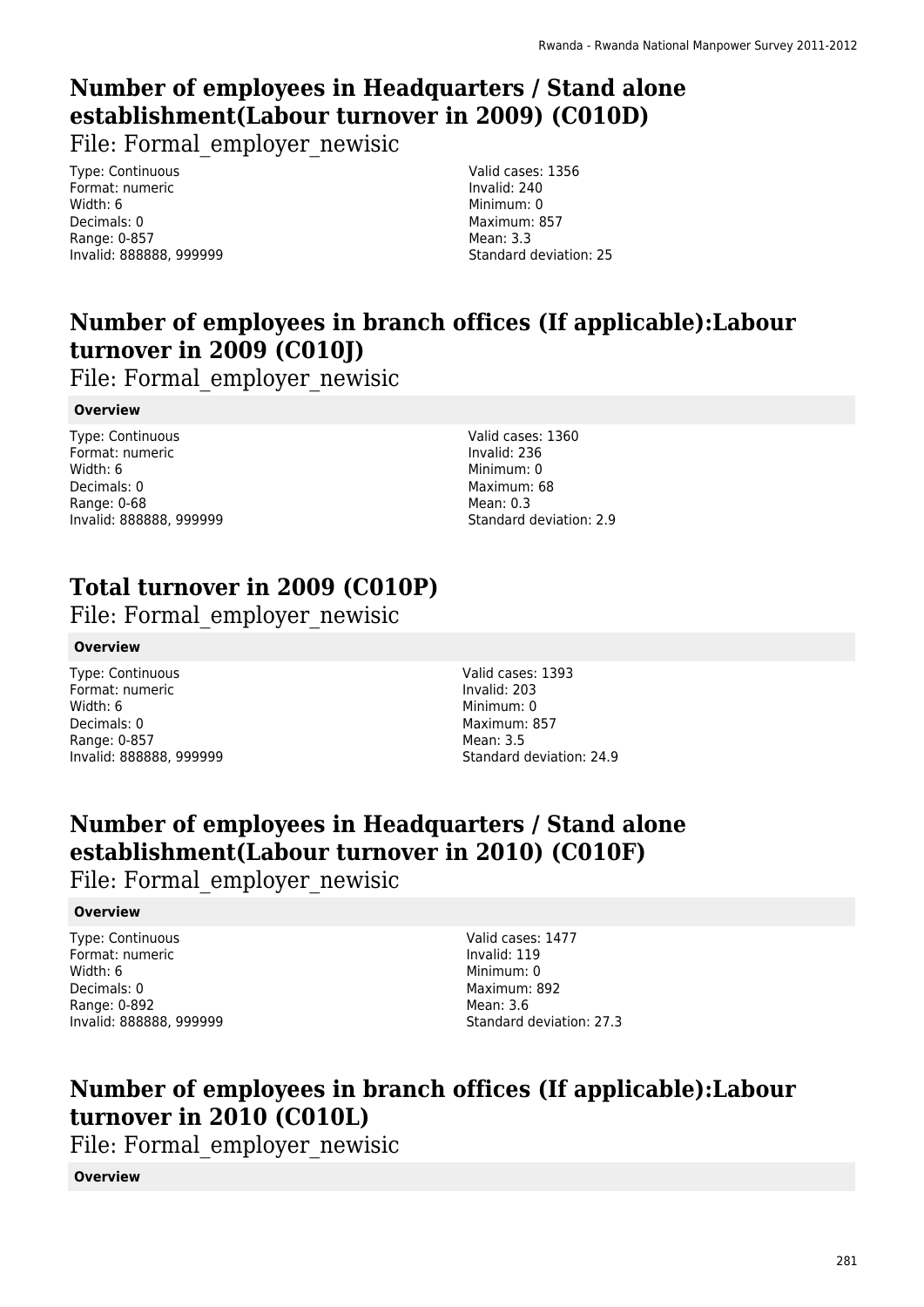### **Number of employees in Headquarters / Stand alone establishment(Labour turnover in 2009) (C010D)**

File: Formal\_employer\_newisic

Type: Continuous Format: numeric Width: 6 Decimals: 0 Range: 0-857 Invalid: 888888, 999999

Valid cases: 1356 Invalid: 240 Minimum: 0 Maximum: 857 Mean: 3.3 Standard deviation: 25

### **Number of employees in branch offices (If applicable):Labour turnover in 2009 (C010J)**

File: Formal\_employer\_newisic

#### **Overview**

Type: Continuous Format: numeric Width: 6 Decimals: 0 Range: 0-68 Invalid: 888888, 999999

Valid cases: 1360 Invalid: 236 Minimum: 0 Maximum: 68 Mean: 0.3 Standard deviation: 2.9

# **Total turnover in 2009 (C010P)**

File: Formal\_employer\_newisic

#### **Overview**

Type: Continuous Format: numeric Width: 6 Decimals: 0 Range: 0-857 Invalid: 888888, 999999

Valid cases: 1393 Invalid: 203 Minimum: 0 Maximum: 857 Mean: 3.5 Standard deviation: 24.9

# **Number of employees in Headquarters / Stand alone establishment(Labour turnover in 2010) (C010F)**

File: Formal\_employer\_newisic

#### **Overview**

Type: Continuous Format: numeric Width: 6 Decimals: 0 Range: 0-892 Invalid: 888888, 999999 Valid cases: 1477 Invalid: 119 Minimum: 0 Maximum: 892 Mean: 3.6 Standard deviation: 27.3

### **Number of employees in branch offices (If applicable):Labour turnover in 2010 (C010L)**

File: Formal\_employer\_newisic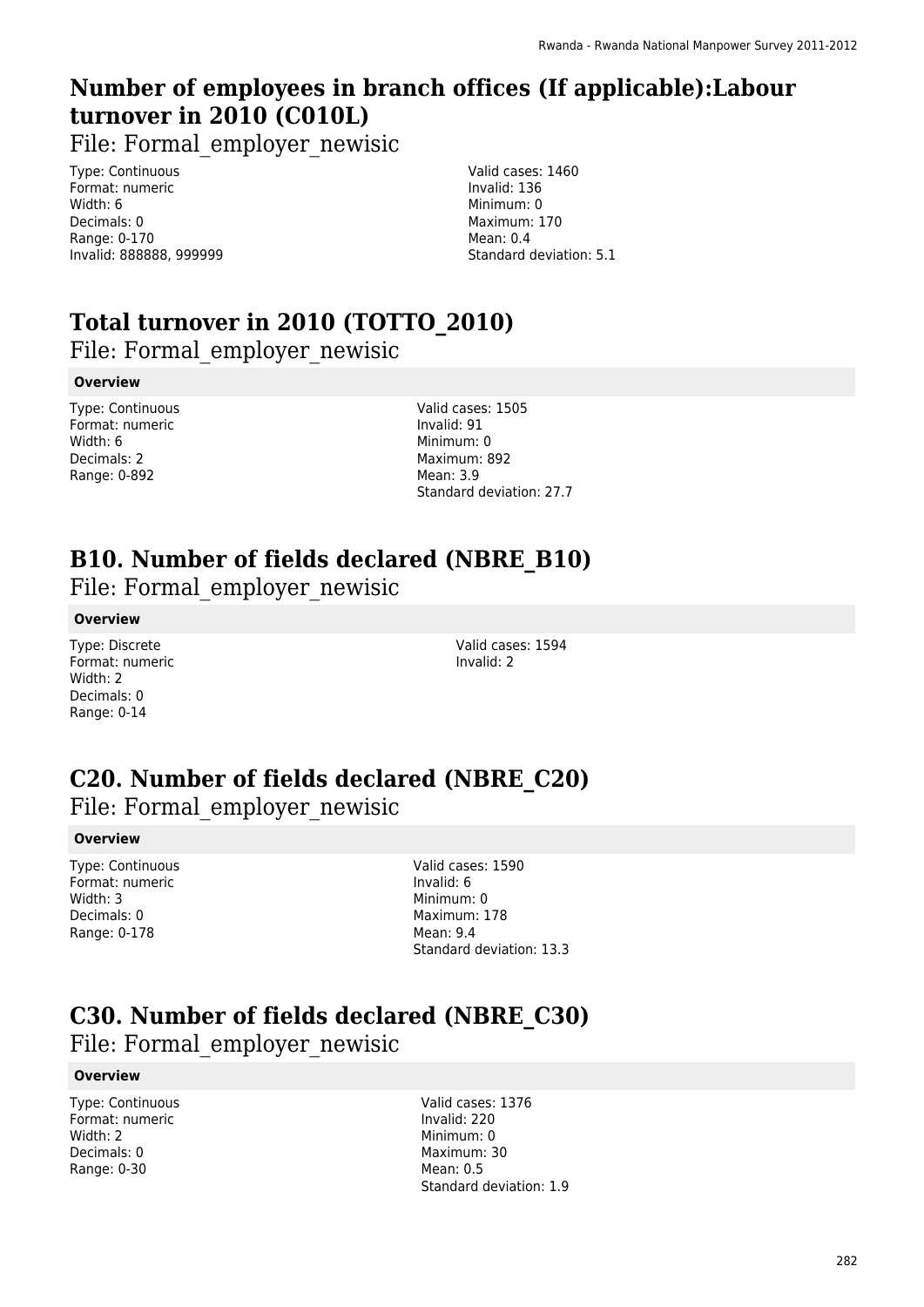### **Number of employees in branch offices (If applicable):Labour turnover in 2010 (C010L)**

File: Formal\_employer\_newisic

Type: Continuous Format: numeric Width: 6 Decimals: 0 Range: 0-170 Invalid: 888888, 999999

Valid cases: 1460 Invalid: 136 Minimum: 0 Maximum: 170 Mean: 04 Standard deviation: 5.1

# **Total turnover in 2010 (TOTTO\_2010)**

File: Formal\_employer\_newisic

#### **Overview**

Type: Continuous Format: numeric Width: 6 Decimals: 2 Range: 0-892

Valid cases: 1505 Invalid: 91 Minimum: 0 Maximum: 892 Mean: 3.9 Standard deviation: 27.7

# **B10. Number of fields declared (NBRE\_B10)**

File: Formal\_employer\_newisic

#### **Overview**

Type: Discrete Format: numeric Width: 2 Decimals: 0 Range: 0-14

Valid cases: 1594 Invalid: 2

# **C20. Number of fields declared (NBRE\_C20)**

File: Formal\_employer\_newisic

#### **Overview**

Type: Continuous Format: numeric Width: 3 Decimals: 0 Range: 0-178

Valid cases: 1590 Invalid: 6 Minimum: 0 Maximum: 178 Mean: 9.4 Standard deviation: 13.3

# **C30. Number of fields declared (NBRE\_C30)**

File: Formal\_employer\_newisic

#### **Overview**

Type: Continuous Format: numeric Width: 2 Decimals: 0 Range: 0-30

Valid cases: 1376 Invalid: 220 Minimum: 0 Maximum: 30 Mean: 0.5 Standard deviation: 1.9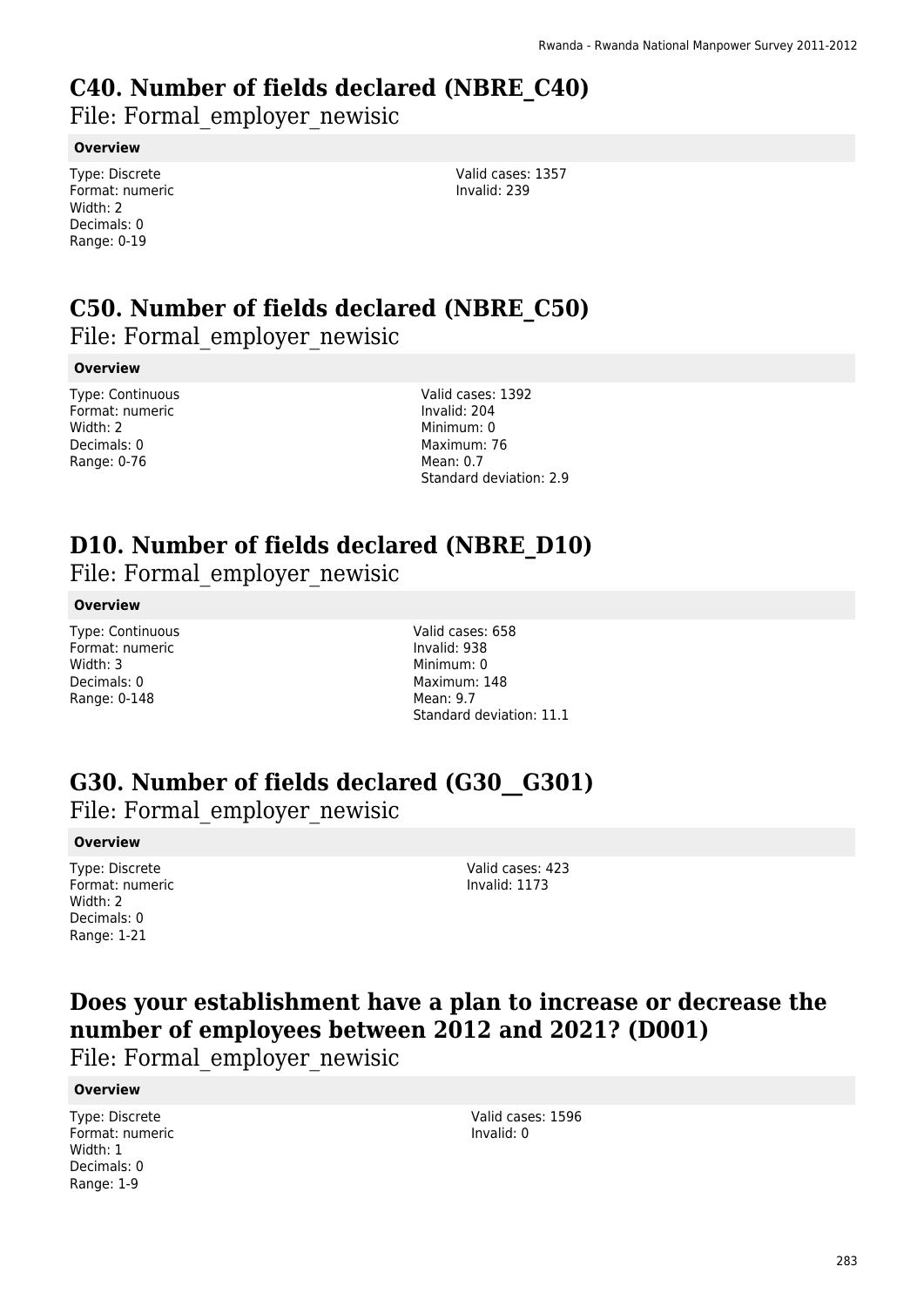### **C40. Number of fields declared (NBRE\_C40)**

File: Formal\_employer\_newisic

#### **Overview**

Type: Discrete Format: numeric Width: 2 Decimals: 0 Range: 0-19

Valid cases: 1357 Invalid: 239

### **C50. Number of fields declared (NBRE\_C50)**

File: Formal\_employer\_newisic

**Overview**

Type: Continuous Format: numeric Width: 2 Decimals: 0 Range: 0-76

Valid cases: 1392 Invalid: 204 Minimum: 0 Maximum: 76 Mean: 0.7 Standard deviation: 2.9

### **D10. Number of fields declared (NBRE\_D10)**  File: Formal employer newisic

#### **Overview**

Type: Continuous Format: numeric Width: 3 Decimals: 0 Range: 0-148

Valid cases: 658 Invalid: 938 Minimum: 0 Maximum: 148 Mean: 9.7 Standard deviation: 11.1

### **G30. Number of fields declared (G30\_\_G301)**

File: Formal\_employer\_newisic

#### **Overview**

Type: Discrete Format: numeric Width: 2 Decimals: 0 Range: 1-21

Valid cases: 423 Invalid: 1173

# **Does your establishment have a plan to increase or decrease the number of employees between 2012 and 2021? (D001)**

File: Formal\_employer\_newisic

#### **Overview**

Type: Discrete Format: numeric Width: 1 Decimals: 0 Range: 1-9

Valid cases: 1596 Invalid: 0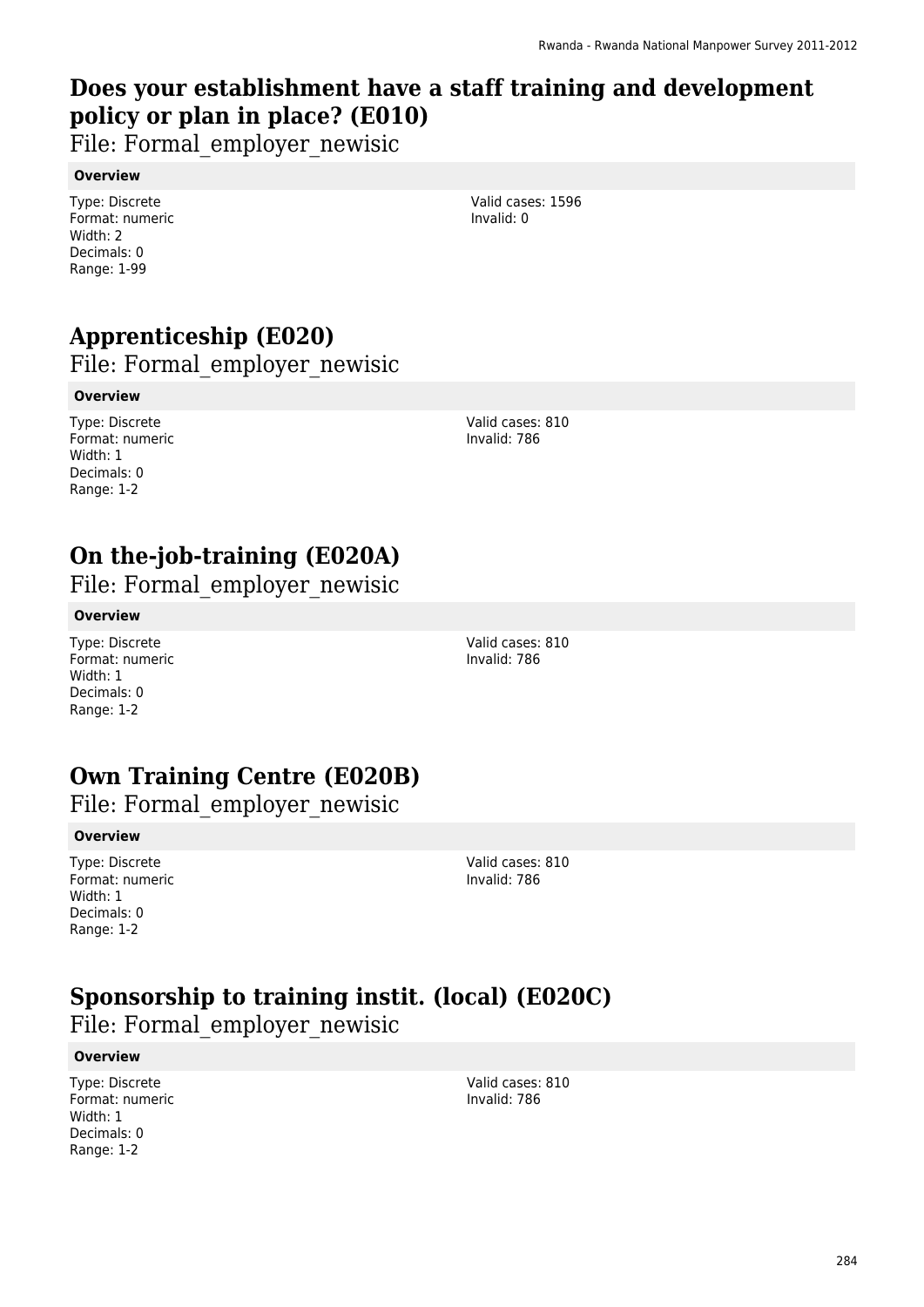### **Does your establishment have a staff training and development policy or plan in place? (E010)**

File: Formal\_employer\_newisic

#### **Overview**

Type: Discrete Format: numeric Width: 2 Decimals: 0 Range: 1-99

Valid cases: 1596 Invalid: 0

# **Apprenticeship (E020)**

File: Formal\_employer\_newisic

#### **Overview**

Type: Discrete Format: numeric Width: 1 Decimals: 0 Range: 1-2

Valid cases: 810 Invalid: 786

# **On the-job-training (E020A)**

File: Formal\_employer\_newisic

#### **Overview**

Type: Discrete Format: numeric Width: 1 Decimals: 0 Range: 1-2

#### Valid cases: 810 Invalid: 786

### **Own Training Centre (E020B)**

File: Formal\_employer\_newisic

#### **Overview**

Type: Discrete Format: numeric Width: 1 Decimals: 0 Range: 1-2

Valid cases: 810 Invalid: 786

### **Sponsorship to training instit. (local) (E020C)**

File: Formal\_employer\_newisic

#### **Overview**

Type: Discrete Format: numeric Width: 1 Decimals: 0 Range: 1-2

Valid cases: 810 Invalid: 786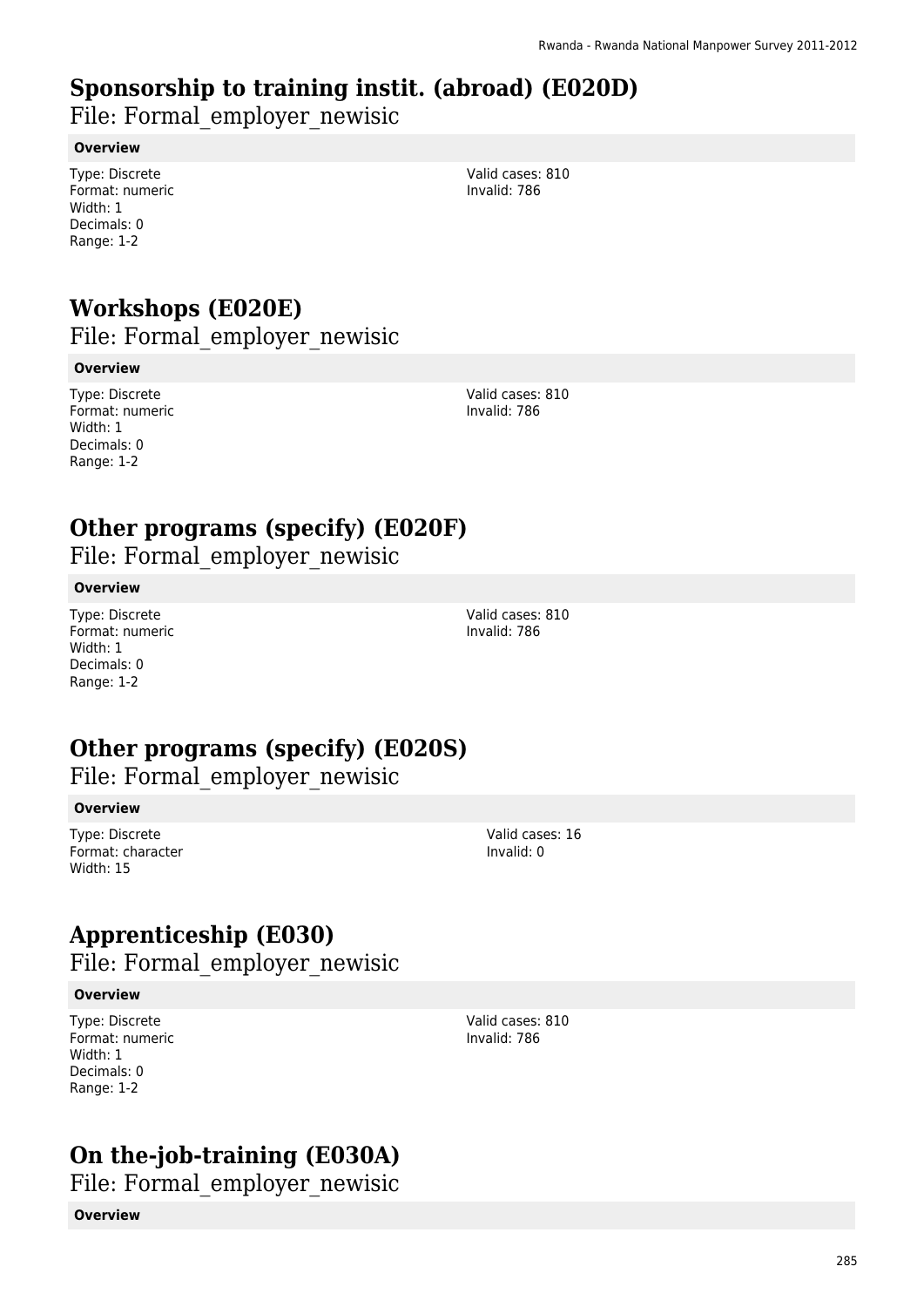### **Sponsorship to training instit. (abroad) (E020D)**

File: Formal\_employer\_newisic

#### **Overview**

Type: Discrete Format: numeric Width: 1 Decimals: 0 Range: 1-2

Valid cases: 810 Invalid: 786

### **Workshops (E020E)**

File: Formal\_employer\_newisic

#### **Overview**

Type: Discrete Format: numeric Width: 1 Decimals: 0 Range: 1-2

Valid cases: 810 Invalid: 786

### **Other programs (specify) (E020F)**

File: Formal\_employer\_newisic

#### **Overview**

Type: Discrete Format: numeric Width: 1 Decimals: 0 Range: 1-2

Valid cases: 810 Invalid: 786

### **Other programs (specify) (E020S)**

File: Formal\_employer\_newisic

#### **Overview**

Type: Discrete Format: character Width: 15

Valid cases: 16 Invalid: 0

# **Apprenticeship (E030)**

File: Formal\_employer\_newisic

#### **Overview**

Type: Discrete Format: numeric Width: 1 Decimals: 0 Range: 1-2

### **On the-job-training (E030A)**

File: Formal\_employer\_newisic

**Overview**

Valid cases: 810 Invalid: 786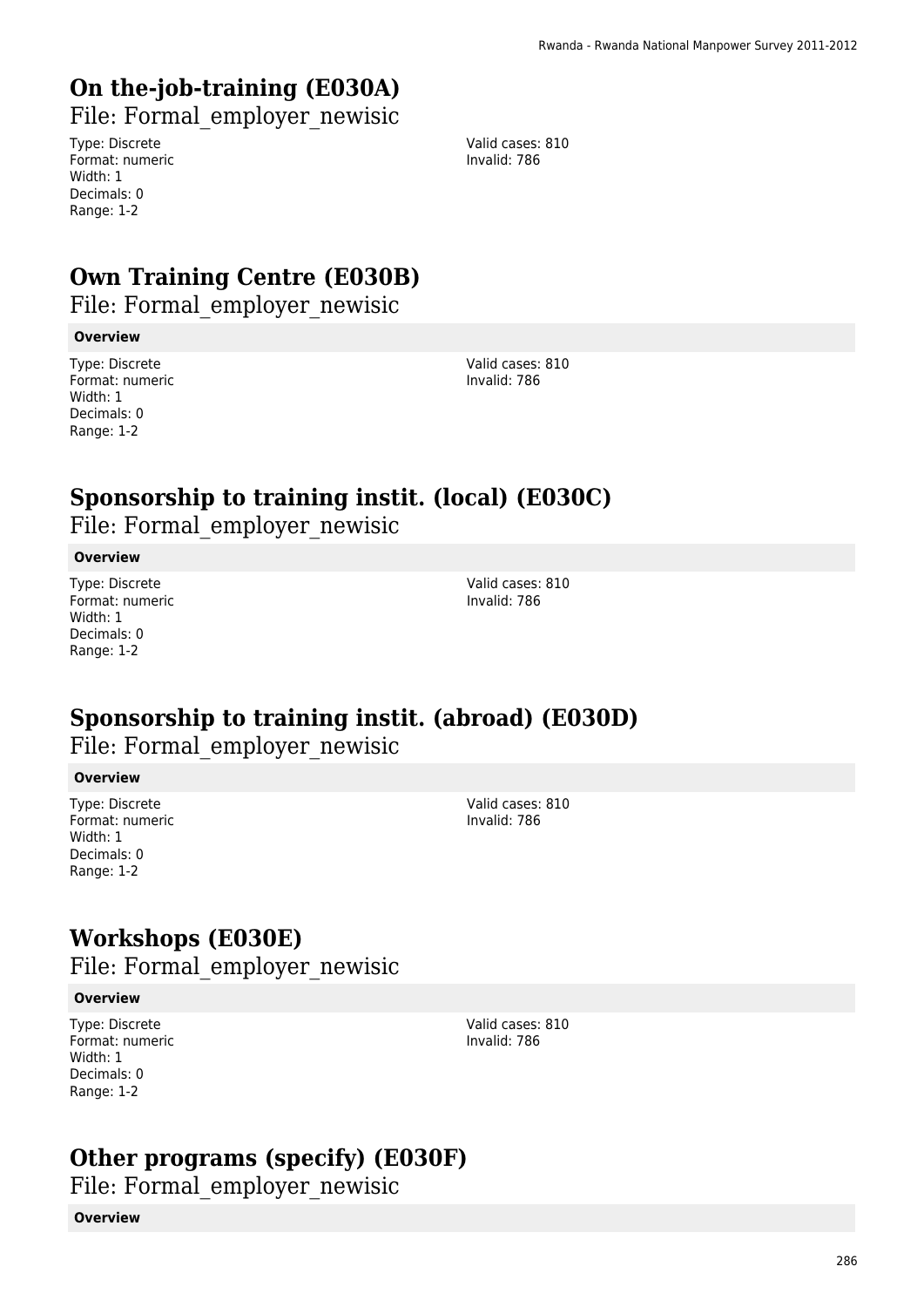# **On the-job-training (E030A)**

File: Formal\_employer\_newisic

Type: Discrete Format: numeric Width: 1 Decimals: 0 Range: 1-2

**Own Training Centre (E030B)** 

File: Formal\_employer\_newisic

#### **Overview**

Type: Discrete Format: numeric Width: 1 Decimals: 0 Range: 1-2

Valid cases: 810 Invalid: 786

Valid cases: 810 Invalid: 786

### **Sponsorship to training instit. (local) (E030C)**

File: Formal\_employer\_newisic

#### **Overview**

Type: Discrete Format: numeric Width: 1 Decimals: 0 Range: 1-2

Valid cases: 810 Invalid: 786

### **Sponsorship to training instit. (abroad) (E030D)**

File: Formal\_employer\_newisic

#### **Overview**

Type: Discrete Format: numeric Width: 1 Decimals: 0 Range: 1-2

Valid cases: 810 Invalid: 786

### **Workshops (E030E)**

File: Formal\_employer\_newisic

#### **Overview**

Type: Discrete Format: numeric Width: 1 Decimals: 0 Range: 1-2

Valid cases: 810 Invalid: 786

### **Other programs (specify) (E030F)**

File: Formal\_employer\_newisic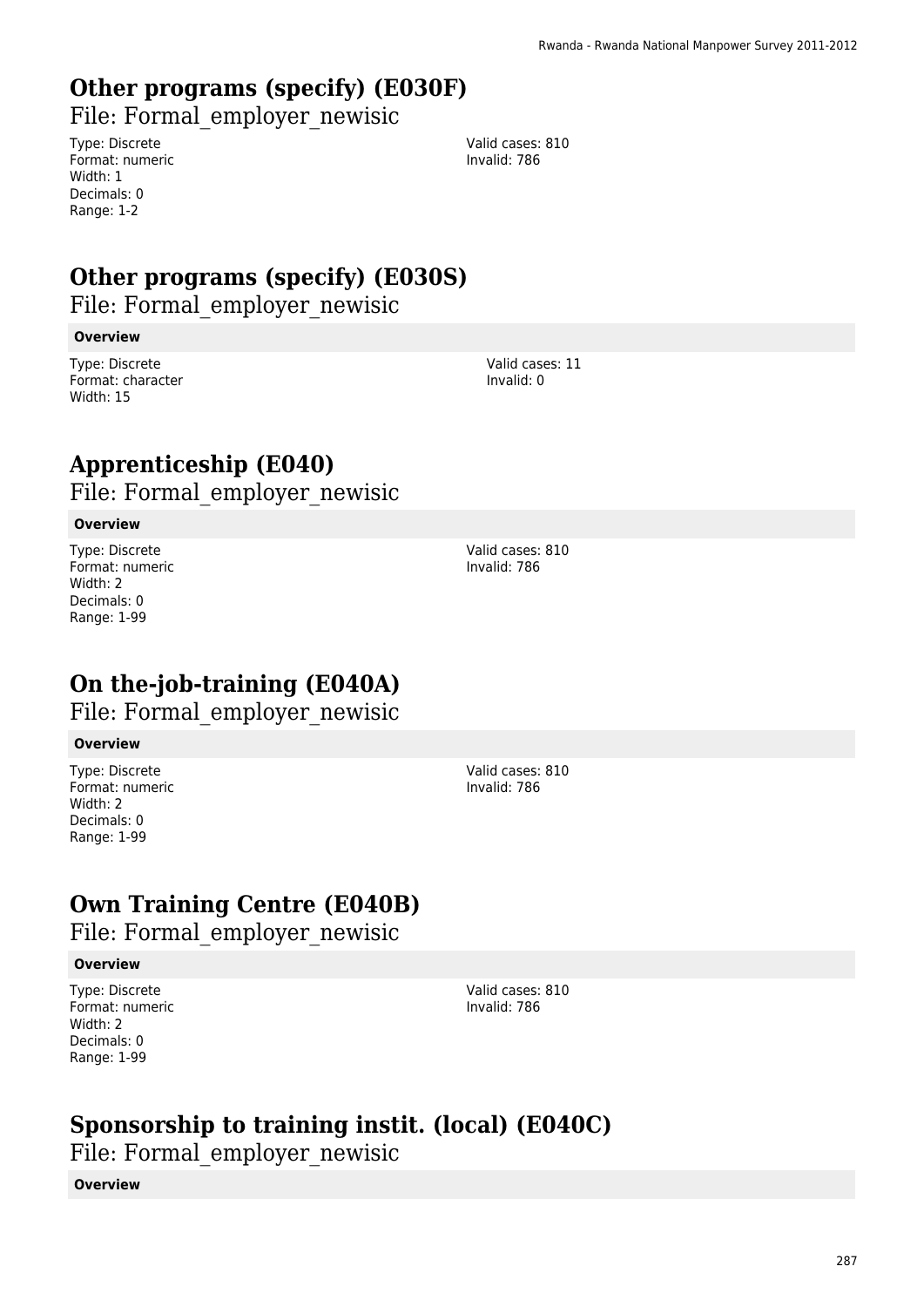# **Other programs (specify) (E030F)**

File: Formal\_employer\_newisic

Type: Discrete Format: numeric Width: 1 Decimals: 0 Range: 1-2

# **Other programs (specify) (E030S)**

File: Formal\_employer\_newisic

#### **Overview**

Type: Discrete Format: character Width: 15

# **Apprenticeship (E040)**

File: Formal\_employer\_newisic

#### **Overview**

Type: Discrete Format: numeric Width: 2 Decimals: 0 Range: 1-99

# **On the-job-training (E040A)**

File: Formal\_employer\_newisic

#### **Overview**

Type: Discrete Format: numeric Width: 2 Decimals: 0 Range: 1-99

# **Own Training Centre (E040B)**

File: Formal\_employer\_newisic

#### **Overview**

Type: Discrete Format: numeric Width: 2 Decimals: 0 Range: 1-99

# **Sponsorship to training instit. (local) (E040C)**

File: Formal\_employer\_newisic

**Overview**

Valid cases: 810 Invalid: 786

> Valid cases: 11 Invalid: 0

Valid cases: 810 Invalid: 786

Valid cases: 810 Invalid: 786

Valid cases: 810 Invalid: 786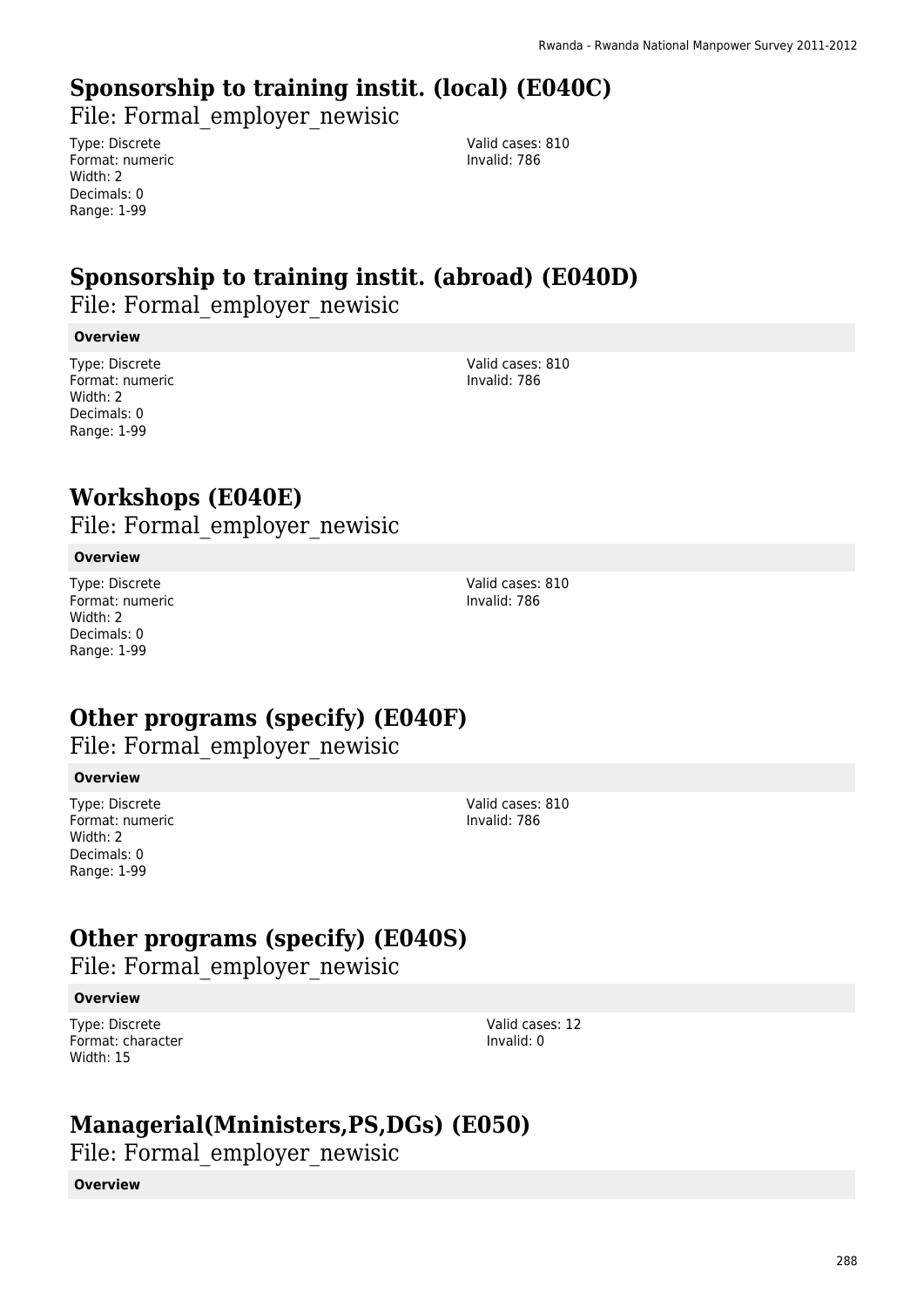# **Sponsorship to training instit. (local) (E040C)**

File: Formal\_employer\_newisic

Type: Discrete Format: numeric Width: 2 Decimals: 0 Range: 1-99

Valid cases: 810 Invalid: 786

# **Sponsorship to training instit. (abroad) (E040D)**

File: Formal\_employer\_newisic

#### **Overview**

Type: Discrete Format: numeric Width: 2 Decimals: 0 Range: 1-99

Valid cases: 810 Invalid: 786

# **Workshops (E040E)**

File: Formal\_employer\_newisic

#### **Overview**

Type: Discrete Format: numeric Width: 2 Decimals: 0 Range: 1-99

Valid cases: 810 Invalid: 786

# **Other programs (specify) (E040F)**

File: Formal\_employer\_newisic

#### **Overview**

Type: Discrete Format: numeric Width: 2 Decimals: 0 Range: 1-99

Valid cases: 810 Invalid: 786

# **Other programs (specify) (E040S)**

File: Formal\_employer\_newisic

#### **Overview**

Type: Discrete Format: character Width: 15

Valid cases: 12 Invalid: 0

# **Managerial(Mninisters,PS,DGs) (E050)**

File: Formal\_employer\_newisic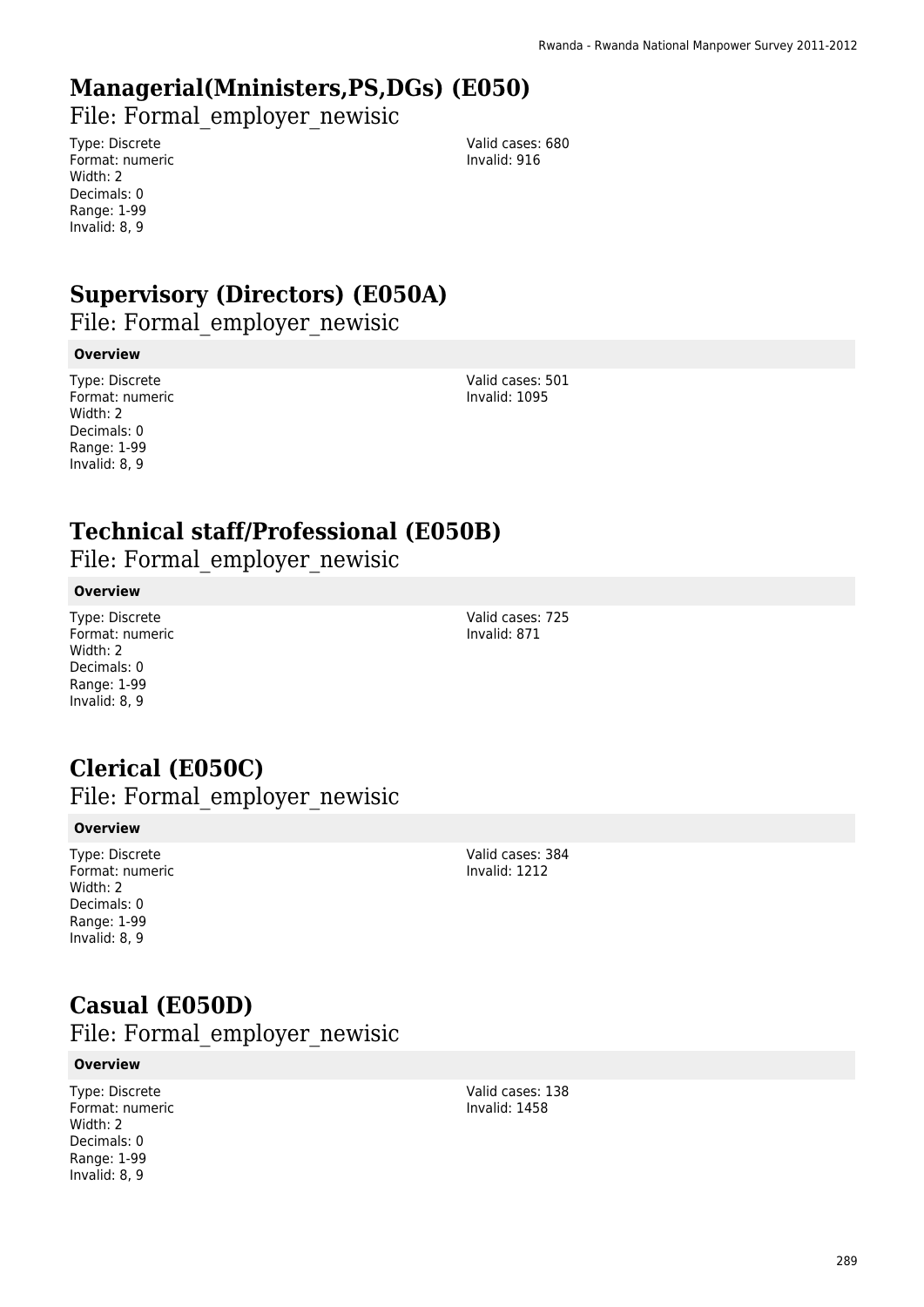## **Managerial(Mninisters,PS,DGs) (E050)**

File: Formal employer newisic

Type: Discrete Format: numeric Width: 2 Decimals: 0 Range: 1-99 Invalid: 8, 9

Valid cases: 680 Invalid: 916

## **Supervisory (Directors) (E050A)**

File: Formal\_employer\_newisic

#### **Overview**

Type: Discrete Format: numeric Width: 2 Decimals: 0 Range: 1-99 Invalid: 8, 9

Valid cases: 501 Invalid: 1095

### **Technical staff/Professional (E050B)**

File: Formal employer newisic

#### **Overview**

Type: Discrete Format: numeric Width: 2 Decimals: 0 Range: 1-99 Invalid: 8, 9

Valid cases: 725 Invalid: 871

### **Clerical (E050C)**  File: Formal\_employer\_newisic

#### **Overview**

Type: Discrete Format: numeric Width: 2 Decimals: 0 Range: 1-99 Invalid: 8, 9

### **Casual (E050D)**  File: Formal\_employer\_newisic

#### **Overview**

Type: Discrete Format: numeric Width: 2 Decimals: 0 Range: 1-99 Invalid: 8, 9

Valid cases: 384 Invalid: 1212

Valid cases: 138 Invalid: 1458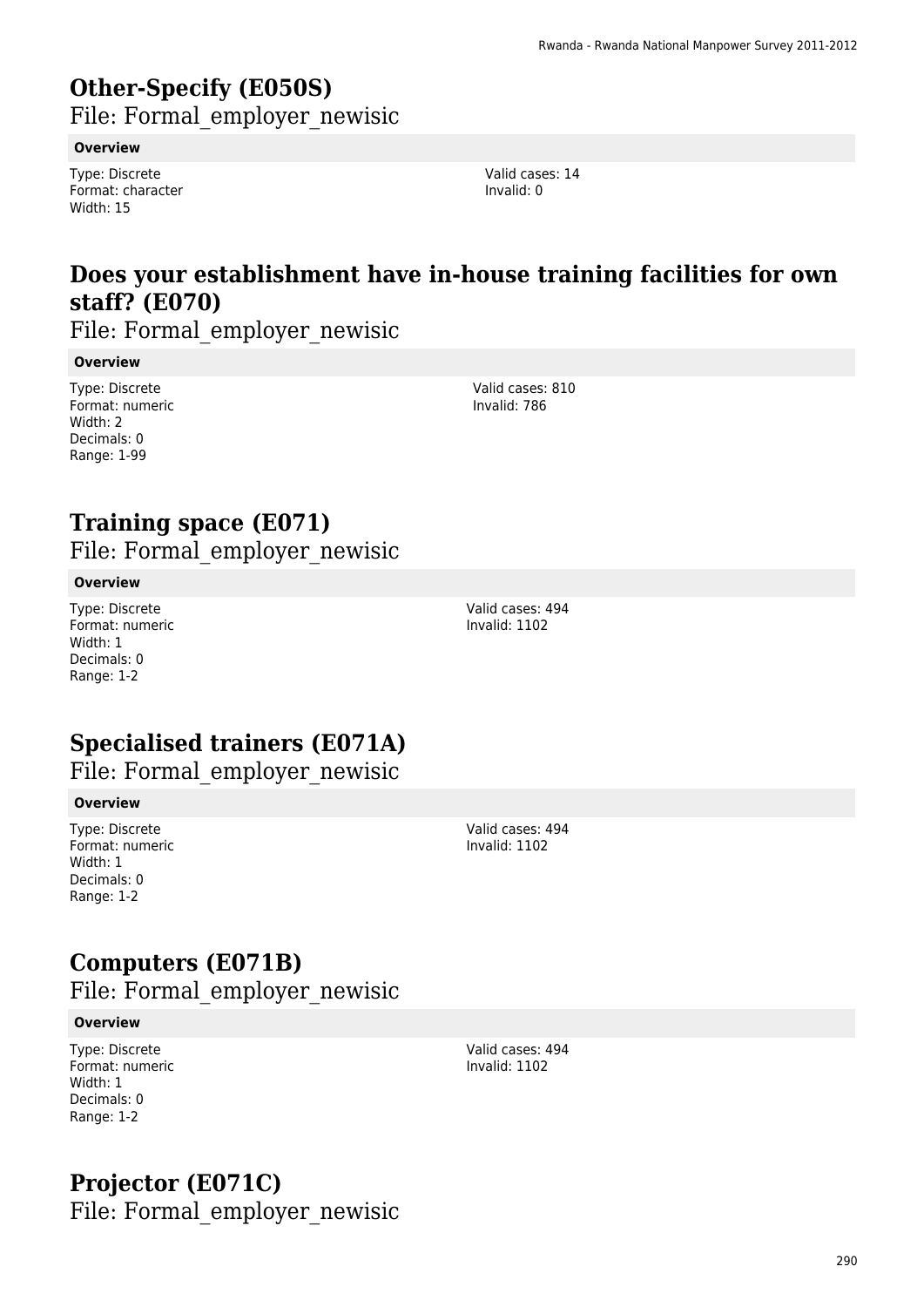### **Other-Specify (E050S)**

File: Formal\_employer\_newisic

#### **Overview**

Type: Discrete Format: character Width: 15

Valid cases: 14 Invalid: 0

### **Does your establishment have in-house training facilities for own staff? (E070)**

File: Formal\_employer\_newisic

#### **Overview**

Type: Discrete Format: numeric Width: 2 Decimals: 0 Range: 1-99

Valid cases: 810 Invalid: 786

### **Training space (E071)**

File: Formal\_employer\_newisic

#### **Overview**

Type: Discrete Format: numeric Width: 1 Decimals: 0 Range: 1-2

### **Specialised trainers (E071A)**

File: Formal employer newisic

#### **Overview**

Type: Discrete Format: numeric Width: 1 Decimals: 0 Range: 1-2

### **Computers (E071B)**

File: Formal\_employer\_newisic

#### **Overview**

Type: Discrete Format: numeric Width: 1 Decimals: 0 Range: 1-2

### **Projector (E071C)**  File: Formal\_employer\_newisic

Valid cases: 494 Invalid: 1102

Valid cases: 494 Invalid: 1102

Valid cases: 494 Invalid: 1102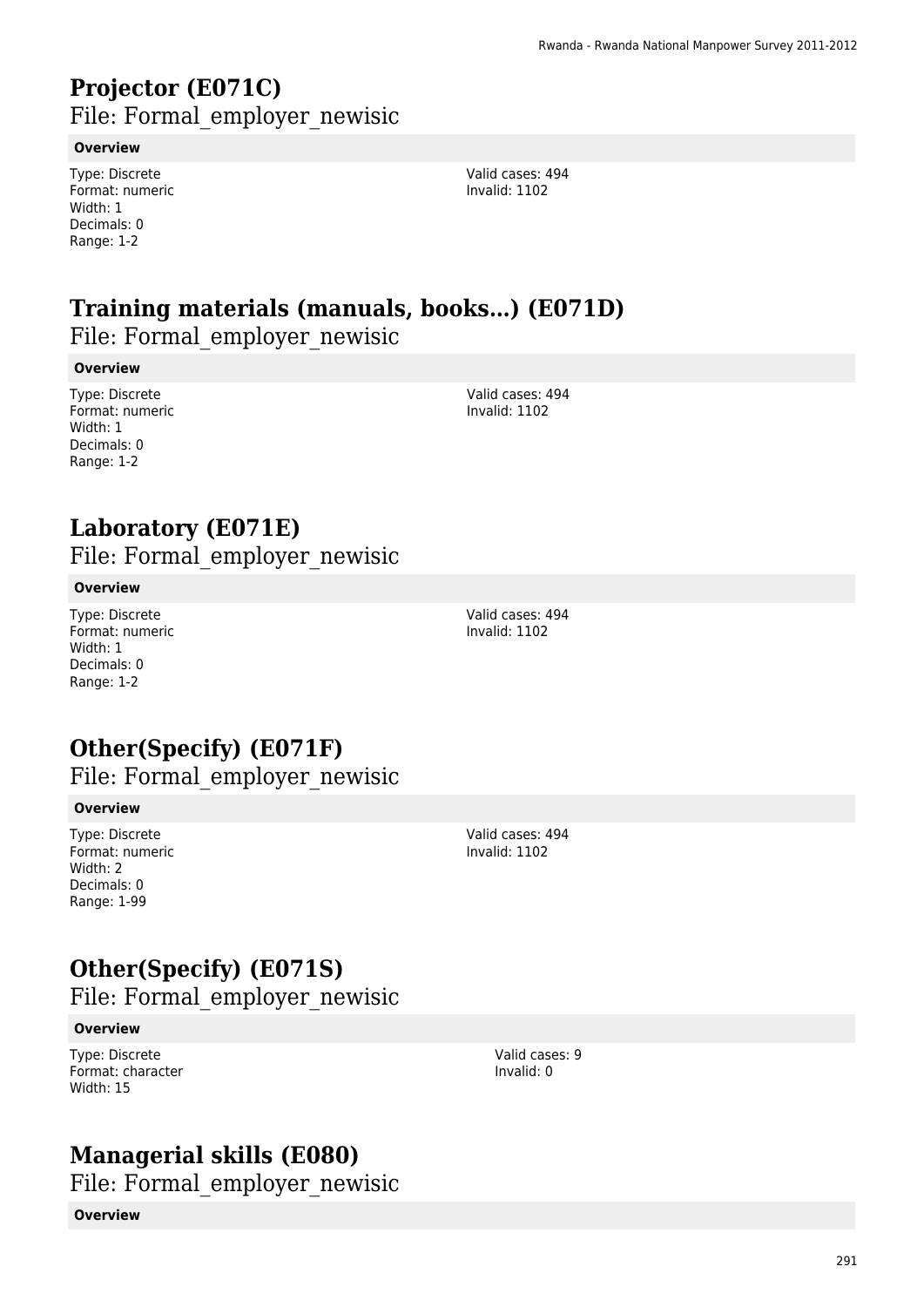### **Projector (E071C)**  File: Formal\_employer\_newisic

#### **Overview**

Type: Discrete Format: numeric Width: 1 Decimals: 0 Range: 1-2

### **Training materials (manuals, books…) (E071D)**

File: Formal\_employer\_newisic

#### **Overview**

Type: Discrete Format: numeric Width: 1 Decimals: 0 Range: 1-2

Valid cases: 494 Invalid: 1102

## **Laboratory (E071E)**

File: Formal\_employer\_newisic

#### **Overview**

Type: Discrete Format: numeric Width: 1 Decimals: 0 Range: 1-2

### **Other(Specify) (E071F)**

File: Formal\_employer\_newisic

#### **Overview**

Type: Discrete Format: numeric Width: 2 Decimals: 0 Range: 1-99

### **Other(Specify) (E071S)**

File: Formal\_employer\_newisic

#### **Overview**

Type: Discrete Format: character Width: 15

### **Managerial skills (E080)**

File: Formal\_employer\_newisic

**Overview**

Valid cases: 494

Invalid: 1102

Valid cases: 494 Invalid: 1102

> Valid cases: 9 Invalid: 0

Valid cases: 494 Invalid: 1102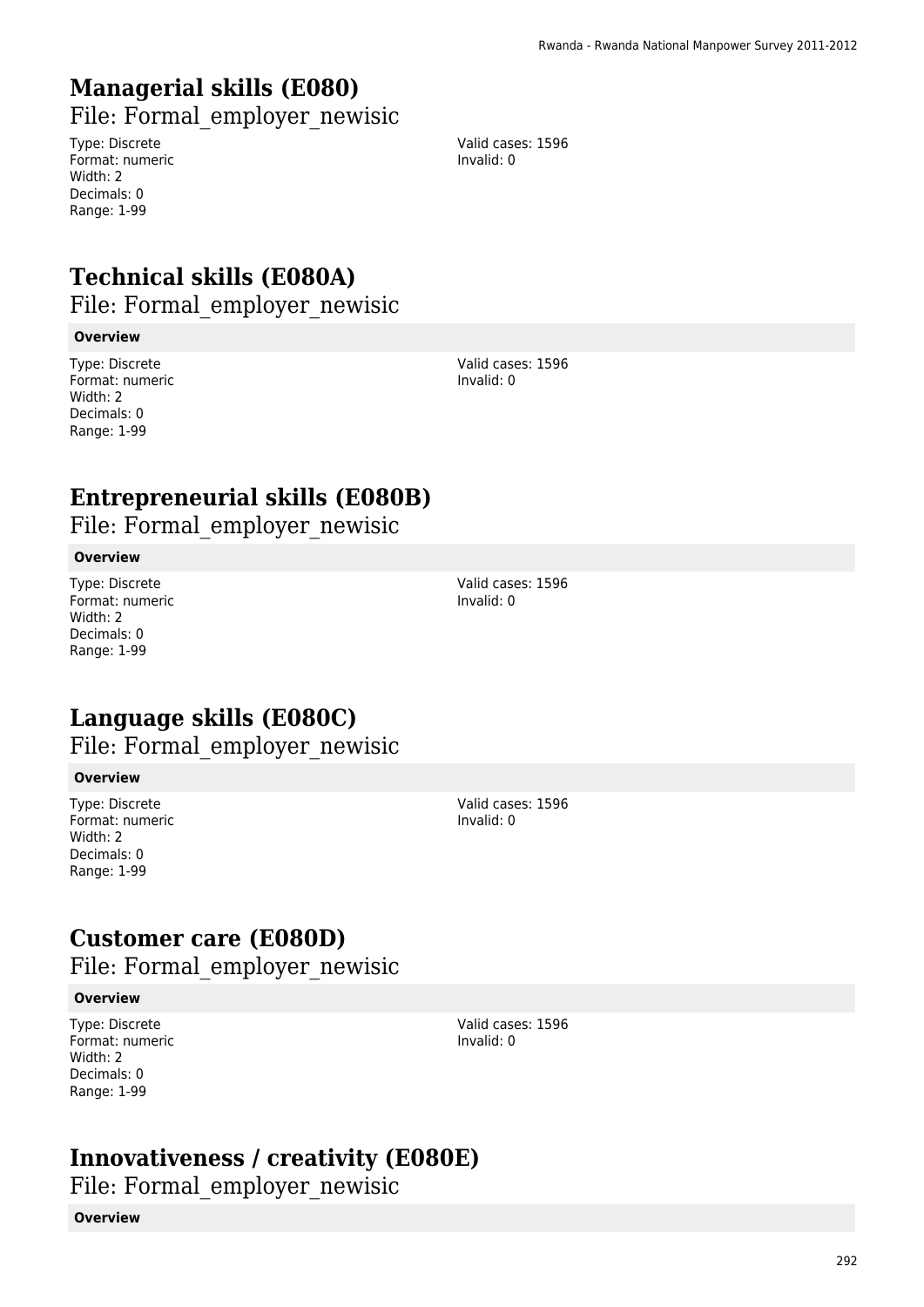### **Managerial skills (E080)**

File: Formal\_employer\_newisic

Type: Discrete Format: numeric Width: 2 Decimals: 0 Range: 1-99

**Technical skills (E080A)** 

File: Formal\_employer\_newisic

#### **Overview**

Type: Discrete Format: numeric Width: 2 Decimals: 0 Range: 1-99

Valid cases: 1596 Invalid: 0

Valid cases: 1596 Invalid: 0

### **Entrepreneurial skills (E080B)**

File: Formal employer newisic

#### **Overview**

Type: Discrete Format: numeric Width: 2 Decimals: 0 Range: 1-99

Valid cases: 1596 Invalid: 0

### **Language skills (E080C)**

File: Formal\_employer\_newisic

#### **Overview**

Type: Discrete Format: numeric Width: 2 Decimals: 0 Range: 1-99

Valid cases: 1596 Invalid: 0

### **Customer care (E080D)**

File: Formal\_employer\_newisic

#### **Overview**

Type: Discrete Format: numeric Width: 2 Decimals: 0 Range: 1-99

Valid cases: 1596 Invalid: 0

### **Innovativeness / creativity (E080E)**

File: Formal employer newisic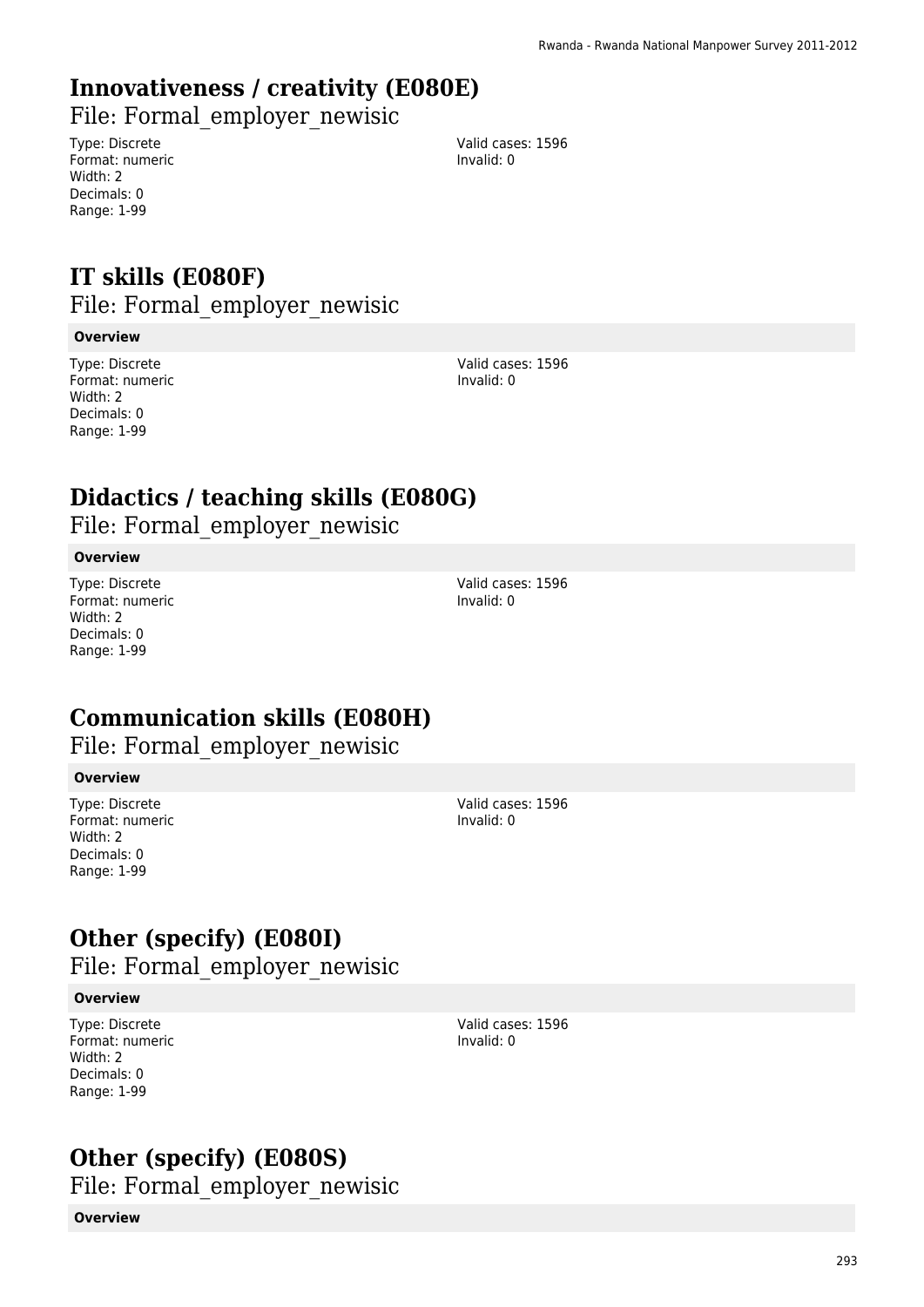### **Innovativeness / creativity (E080E)**

File: Formal employer newisic

Type: Discrete Format: numeric Width: 2 Decimals: 0 Range: 1-99

Valid cases: 1596 Invalid: 0

### **IT skills (E080F)**  File: Formal employer newisic

#### **Overview**

Type: Discrete Format: numeric Width: 2 Decimals: 0 Range: 1-99

Valid cases: 1596 Invalid: 0

### **Didactics / teaching skills (E080G)**

File: Formal\_employer\_newisic

#### **Overview**

Type: Discrete Format: numeric Width: 2 Decimals: 0 Range: 1-99

Valid cases: 1596 Invalid: 0

### **Communication skills (E080H)**

File: Formal\_employer\_newisic

#### **Overview**

Type: Discrete Format: numeric Width: 2 Decimals: 0 Range: 1-99

Valid cases: 1596 Invalid: 0

### **Other (specify) (E080I)**

File: Formal\_employer\_newisic

#### **Overview**

Type: Discrete Format: numeric Width: 2 Decimals: 0 Range: 1-99

Valid cases: 1596 Invalid: 0

### **Other (specify) (E080S)**

File: Formal\_employer\_newisic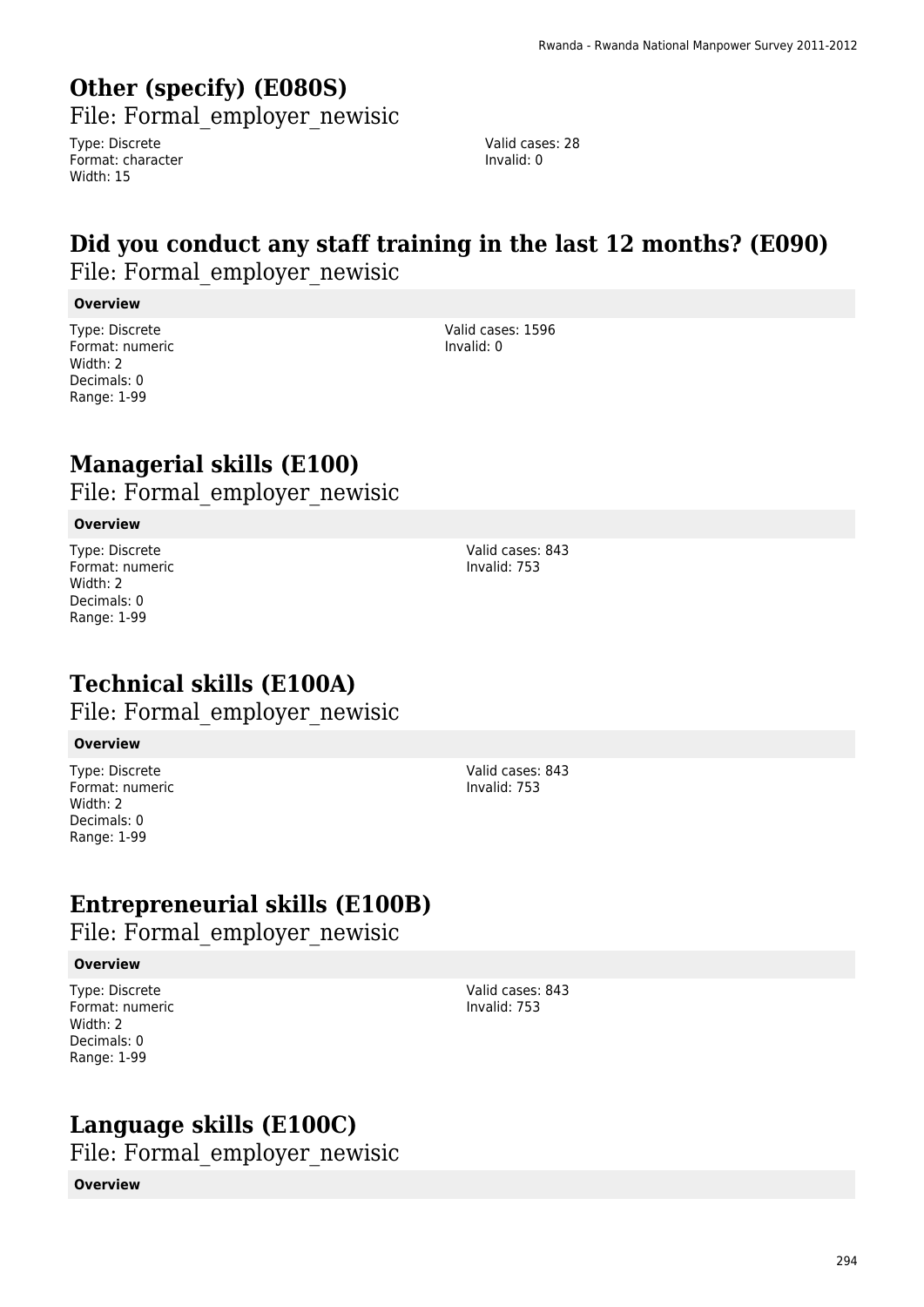## **Other (specify) (E080S)**

File: Formal\_employer\_newisic

Type: Discrete Format: character Width: 15

Valid cases: 28 Invalid: 0

### **Did you conduct any staff training in the last 12 months? (E090)**  File: Formal\_employer\_newisic

#### **Overview**

Type: Discrete Format: numeric Width: 2 Decimals: 0 Range: 1-99

Valid cases: 1596 Invalid: 0

### **Managerial skills (E100)**  File: Formal\_employer\_newisic

#### **Overview**

Type: Discrete Format: numeric Width: 2 Decimals: 0 Range: 1-99

### **Technical skills (E100A)**

File: Formal\_employer\_newisic

#### **Overview**

Type: Discrete Format: numeric Width: 2 Decimals: 0 Range: 1-99

### **Entrepreneurial skills (E100B)**

File: Formal\_employer\_newisic

#### **Overview**

Type: Discrete Format: numeric Width: 2 Decimals: 0 Range: 1-99

### **Language skills (E100C)**

File: Formal\_employer\_newisic

#### **Overview**

Valid cases: 843

Valid cases: 843 Invalid: 753

Invalid: 753

Valid cases: 843 Invalid: 753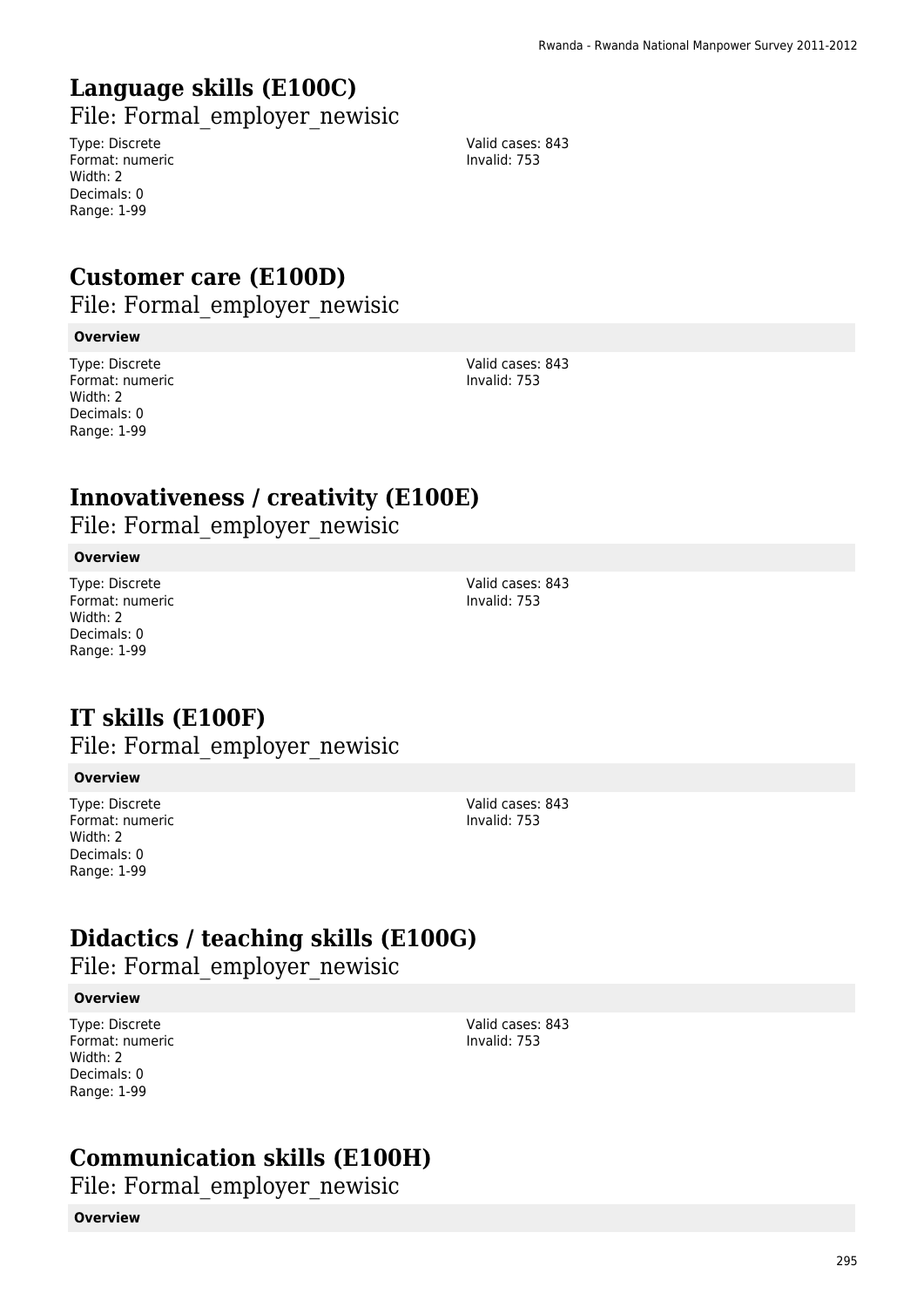## **Language skills (E100C)**

File: Formal employer newisic

Type: Discrete Format: numeric Width: 2 Decimals: 0 Range: 1-99

**Customer care (E100D)** 

File: Formal\_employer\_newisic

#### **Overview**

Type: Discrete Format: numeric Width: 2 Decimals: 0 Range: 1-99

Valid cases: 843

Invalid: 753

Valid cases: 843 Invalid: 753

**Innovativeness / creativity (E100E)** 

File: Formal\_employer\_newisic

#### **Overview**

Type: Discrete Format: numeric Width: 2 Decimals: 0 Range: 1-99

Valid cases: 843 Invalid: 753

### **IT skills (E100F)**  File: Formal employer newisic

#### **Overview**

Type: Discrete Format: numeric Width: 2 Decimals: 0 Range: 1-99

Valid cases: 843 Invalid: 753

### **Didactics / teaching skills (E100G)**

File: Formal\_employer\_newisic

#### **Overview**

Type: Discrete Format: numeric Width: 2 Decimals: 0 Range: 1-99

Valid cases: 843 Invalid: 753

## **Communication skills (E100H)**

File: Formal\_employer\_newisic

**Overview**

295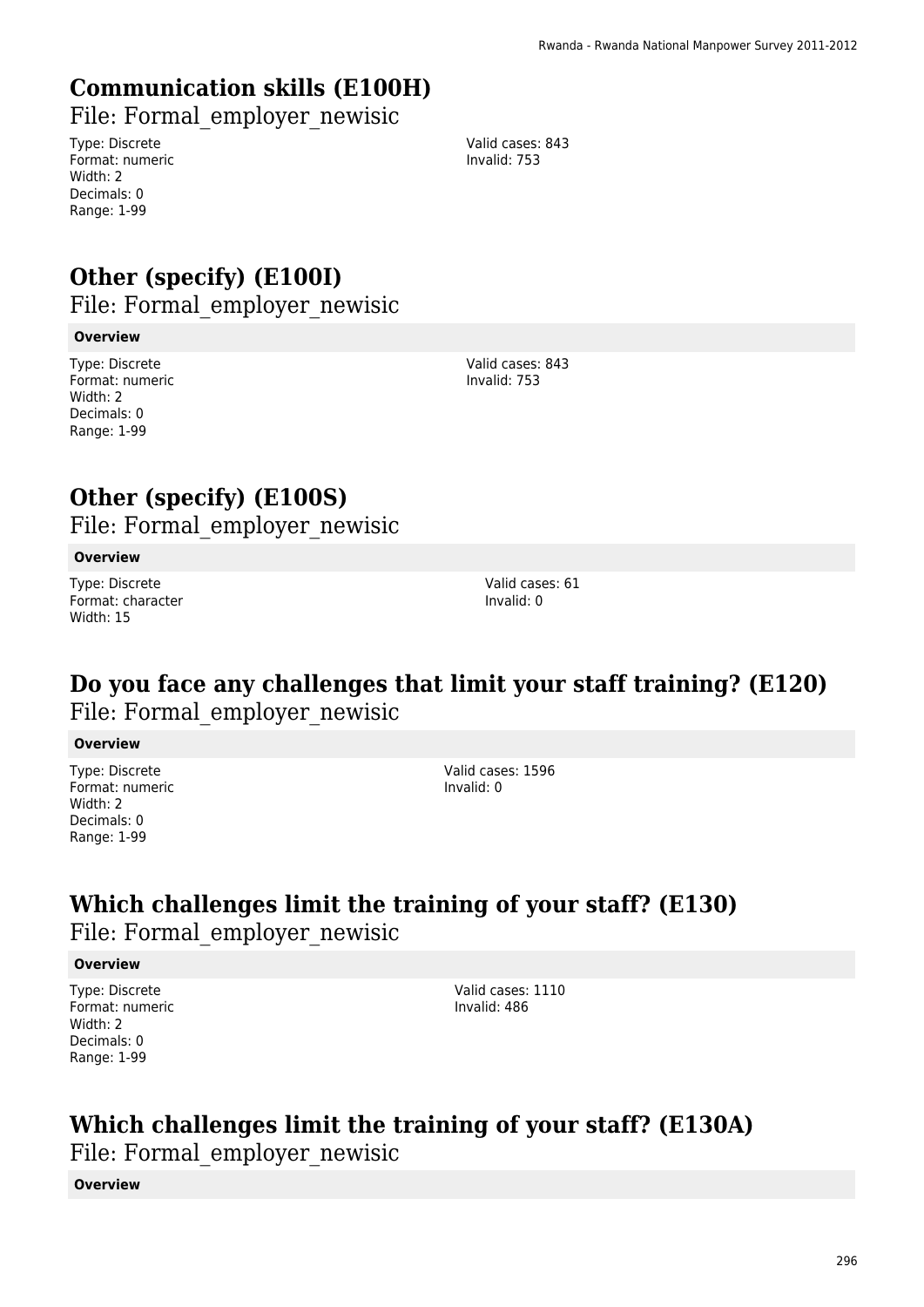## **Communication skills (E100H)**

File: Formal\_employer\_newisic

Type: Discrete Format: numeric Width: 2 Decimals: 0 Range: 1-99

# **Other (specify) (E100I)**

File: Formal\_employer\_newisic

### **Overview**

Type: Discrete Format: numeric Width: 2 Decimals: 0 Range: 1-99

Valid cases: 843 Invalid: 753

Valid cases: 843 Invalid: 753

## **Other (specify) (E100S)**

File: Formal\_employer\_newisic

### **Overview**

Type: Discrete Format: character Width: 15

Valid cases: 61 Invalid: 0

### **Do you face any challenges that limit your staff training? (E120)**  File: Formal\_employer\_newisic

**Overview**

Type: Discrete Format: numeric Width: 2 Decimals: 0 Range: 1-99

Valid cases: 1596 Invalid: 0

# **Which challenges limit the training of your staff? (E130)**

File: Formal\_employer\_newisic

### **Overview**

Type: Discrete Format: numeric Width: 2 Decimals: 0 Range: 1-99

Valid cases: 1110 Invalid: 486

### **Which challenges limit the training of your staff? (E130A)**

File: Formal\_employer\_newisic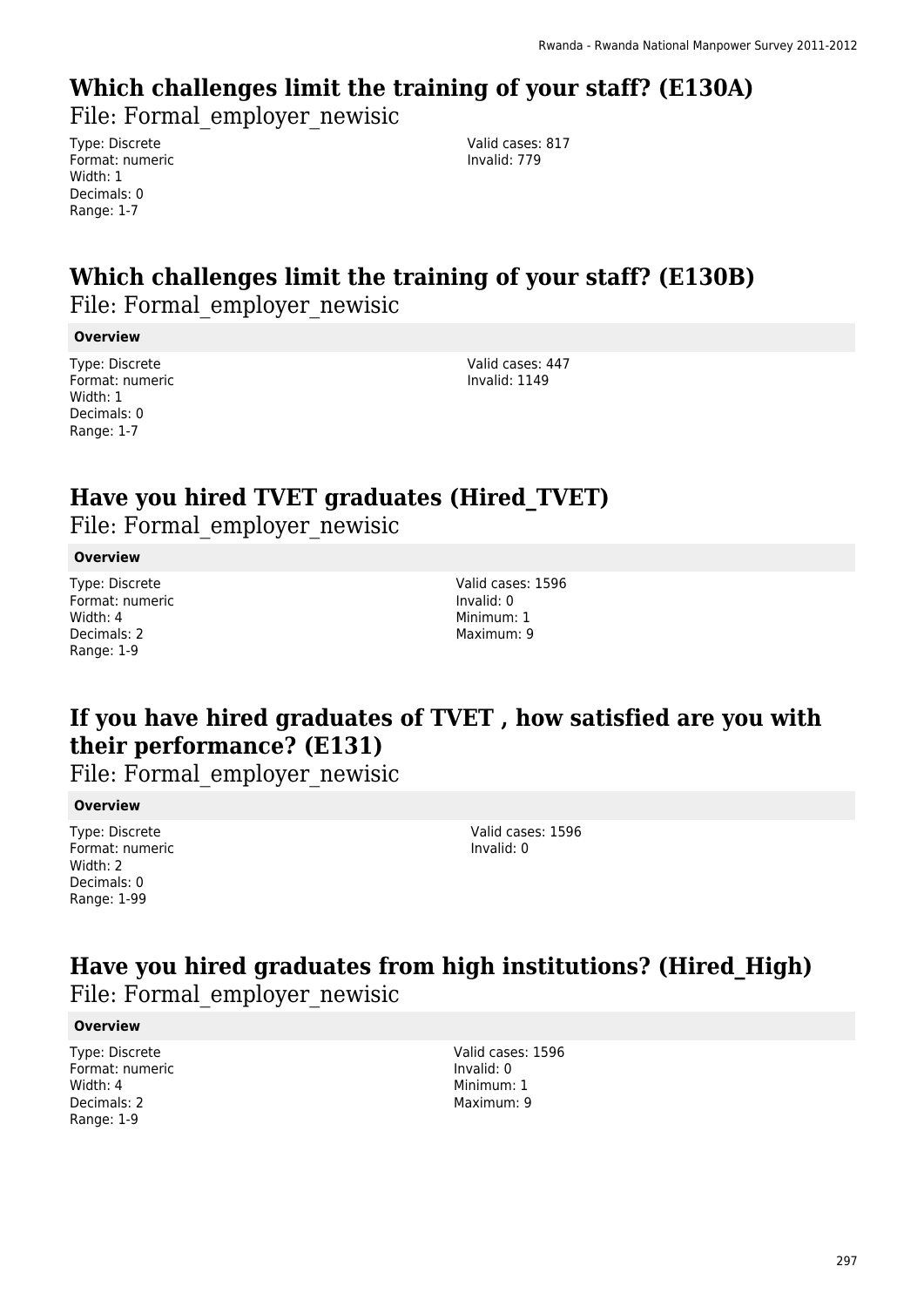### **Which challenges limit the training of your staff? (E130A)**

File: Formal\_employer\_newisic

Type: Discrete Format: numeric Width: 1 Decimals: 0 Range: 1-7

Valid cases: 817 Invalid: 779

## **Which challenges limit the training of your staff? (E130B)**

File: Formal\_employer\_newisic

#### **Overview**

Type: Discrete Format: numeric Width: 1 Decimals: 0 Range: 1-7

Valid cases: 447 Invalid: 1149

## **Have you hired TVET graduates (Hired\_TVET)**

File: Formal\_employer\_newisic

#### **Overview**

Type: Discrete Format: numeric Width: 4 Decimals: 2 Range: 1-9

Valid cases: 1596 Invalid: 0 Minimum: 1 Maximum: 9

### **If you have hired graduates of TVET , how satisfied are you with their performance? (E131)**

File: Formal\_employer\_newisic

#### **Overview**

Type: Discrete Format: numeric Width: 2 Decimals: 0 Range: 1-99

Valid cases: 1596 Invalid: 0

### **Have you hired graduates from high institutions? (Hired\_High)**  File: Formal\_employer\_newisic

#### **Overview**

Type: Discrete Format: numeric Width: 4 Decimals: 2 Range: 1-9

Valid cases: 1596 Invalid: 0 Minimum: 1 Maximum: 9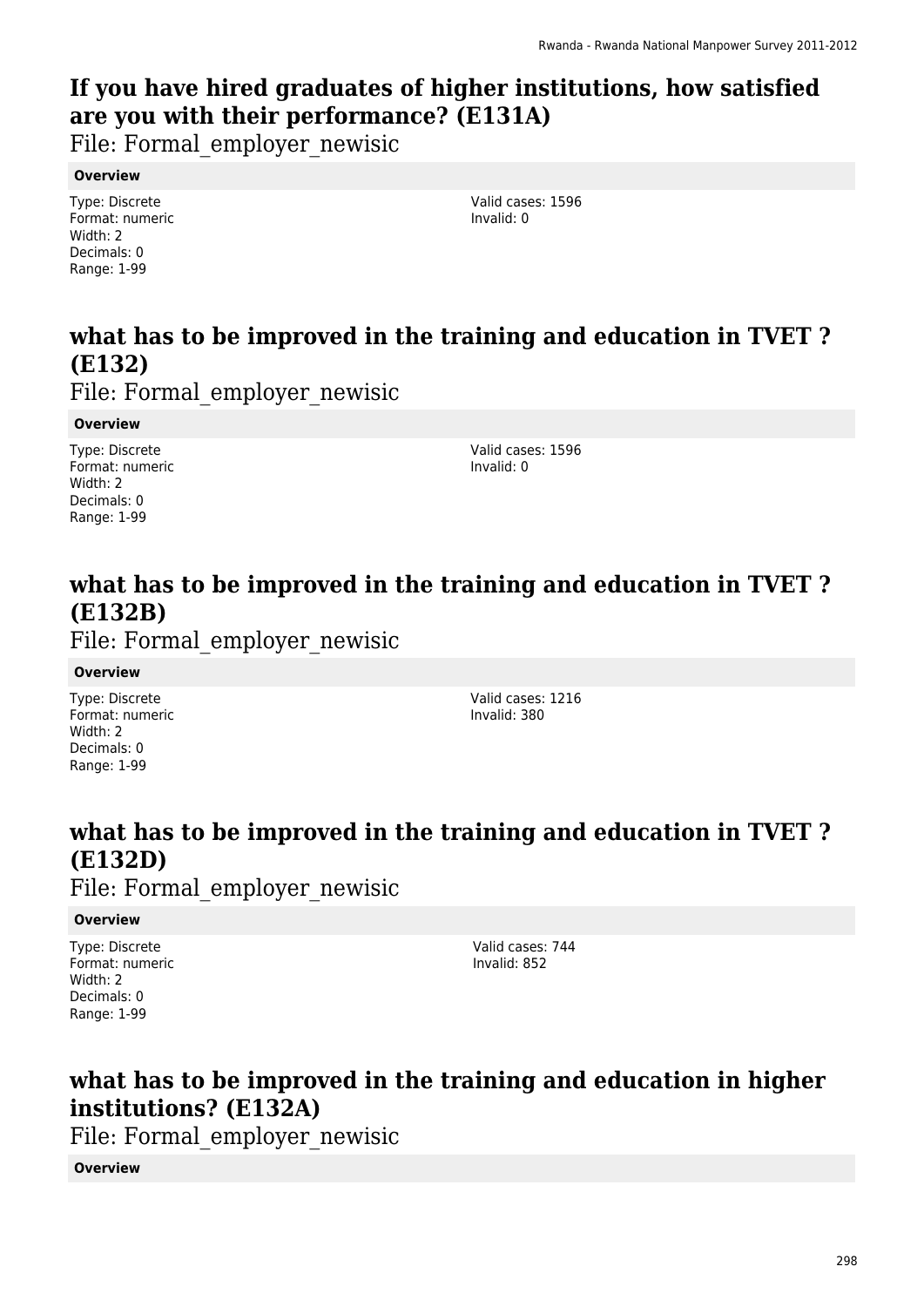### **If you have hired graduates of higher institutions, how satisfied are you with their performance? (E131A)**

File: Formal\_employer\_newisic

#### **Overview**

Type: Discrete Format: numeric Width: 2 Decimals: 0 Range: 1-99

Valid cases: 1596 Invalid: 0

### **what has to be improved in the training and education in TVET ? (E132)**

File: Formal\_employer\_newisic

### **Overview**

Type: Discrete Format: numeric Width: 2 Decimals: 0 Range: 1-99

Valid cases: 1596 Invalid: 0

### **what has to be improved in the training and education in TVET ? (E132B)**

File: Formal\_employer\_newisic

### **Overview**

Type: Discrete Format: numeric Width: 2 Decimals: 0 Range: 1-99

Valid cases: 1216 Invalid: 380

### **what has to be improved in the training and education in TVET ? (E132D)**

File: Formal\_employer\_newisic

### **Overview**

Type: Discrete Format: numeric Width: 2 Decimals: 0 Range: 1-99

Valid cases: 744 Invalid: 852

### **what has to be improved in the training and education in higher institutions? (E132A)**

File: Formal\_employer\_newisic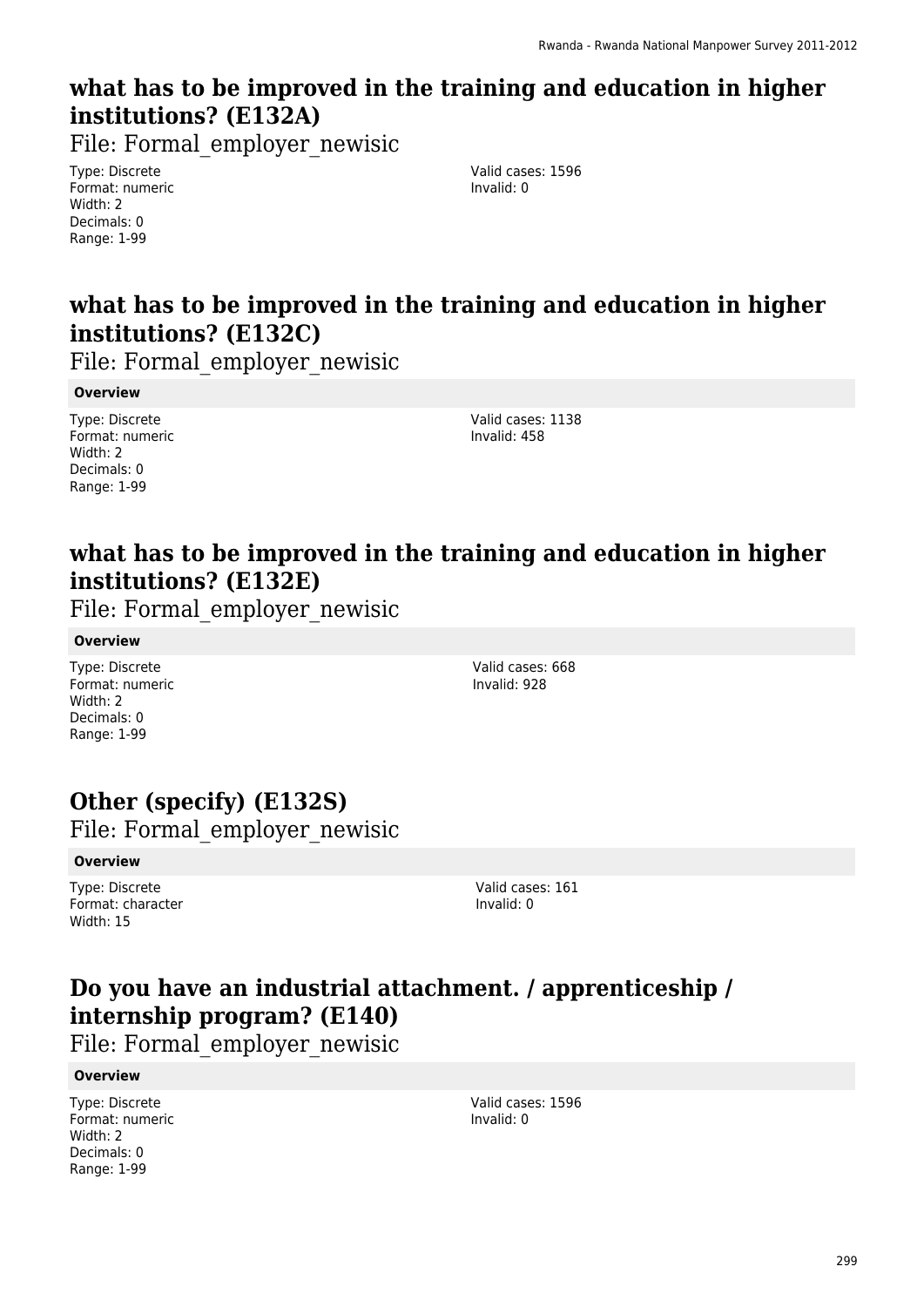### **what has to be improved in the training and education in higher institutions? (E132A)**

File: Formal\_employer\_newisic

Type: Discrete Format: numeric Width: 2 Decimals: 0 Range: 1-99

Valid cases: 1596 Invalid: 0

### **what has to be improved in the training and education in higher institutions? (E132C)**

File: Formal\_employer\_newisic

#### **Overview**

Type: Discrete Format: numeric Width: 2 Decimals: 0 Range: 1-99

Valid cases: 1138 Invalid: 458

### **what has to be improved in the training and education in higher institutions? (E132E)**

File: Formal\_employer\_newisic

#### **Overview**

Type: Discrete Format: numeric Width: 2 Decimals: 0 Range: 1-99

Valid cases: 668 Invalid: 928

### **Other (specify) (E132S)**

File: Formal\_employer\_newisic

#### **Overview**

Type: Discrete Format: character Width: 15

Valid cases: 161 Invalid: 0

### **Do you have an industrial attachment. / apprenticeship / internship program? (E140)**

File: Formal\_employer\_newisic

#### **Overview**

Type: Discrete Format: numeric Width: 2 Decimals: 0 Range: 1-99

Valid cases: 1596 Invalid: 0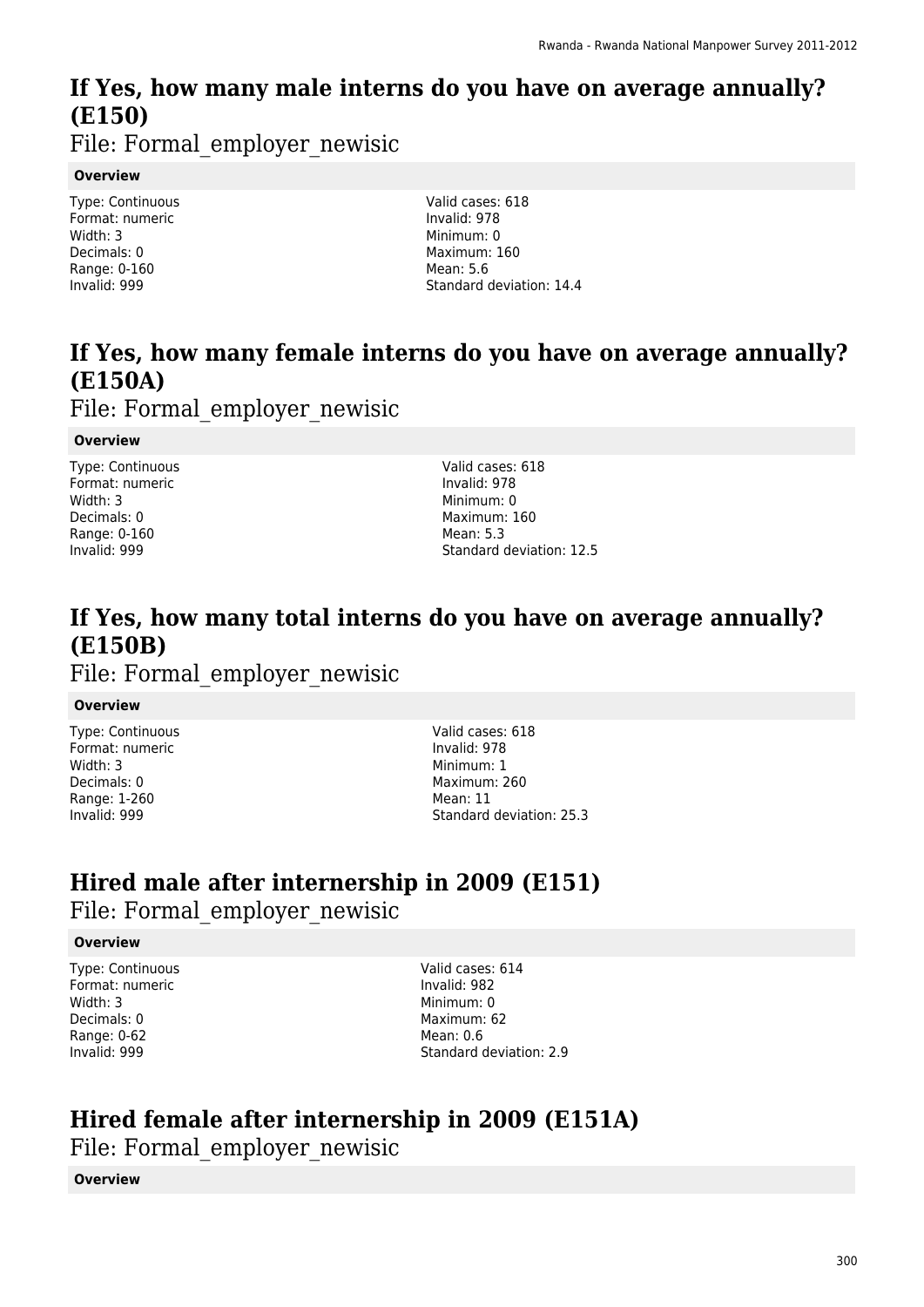### **If Yes, how many male interns do you have on average annually? (E150)**

File: Formal\_employer\_newisic

#### **Overview**

Type: Continuous Format: numeric Width: 3 Decimals: 0 Range: 0-160 Invalid: 999

Valid cases: 618 Invalid: 978 Minimum: 0 Maximum: 160 Mean: 5.6 Standard deviation: 14.4

### **If Yes, how many female interns do you have on average annually? (E150A)**

File: Formal\_employer\_newisic

#### **Overview**

Type: Continuous Format: numeric Width: 3 Decimals: 0 Range: 0-160 Invalid: 999

Valid cases: 618 Invalid: 978 Minimum: 0 Maximum: 160 Mean: 5.3 Standard deviation: 12.5

### **If Yes, how many total interns do you have on average annually? (E150B)**  File: Formal\_employer\_newisic

#### **Overview**

Type: Continuous Format: numeric Width: 3 Decimals: 0 Range: 1-260 Invalid: 999

Valid cases: 618 Invalid: 978 Minimum: 1 Maximum: 260 Mean: 11 Standard deviation: 25.3

### **Hired male after internership in 2009 (E151)**

File: Formal\_employer\_newisic

#### **Overview**

Type: Continuous Format: numeric Width: 3 Decimals: 0 Range: 0-62 Invalid: 999

Valid cases: 614 Invalid: 982 Minimum: 0 Maximum: 62 Mean: 0.6 Standard deviation: 2.9

### **Hired female after internership in 2009 (E151A)**

File: Formal\_employer\_newisic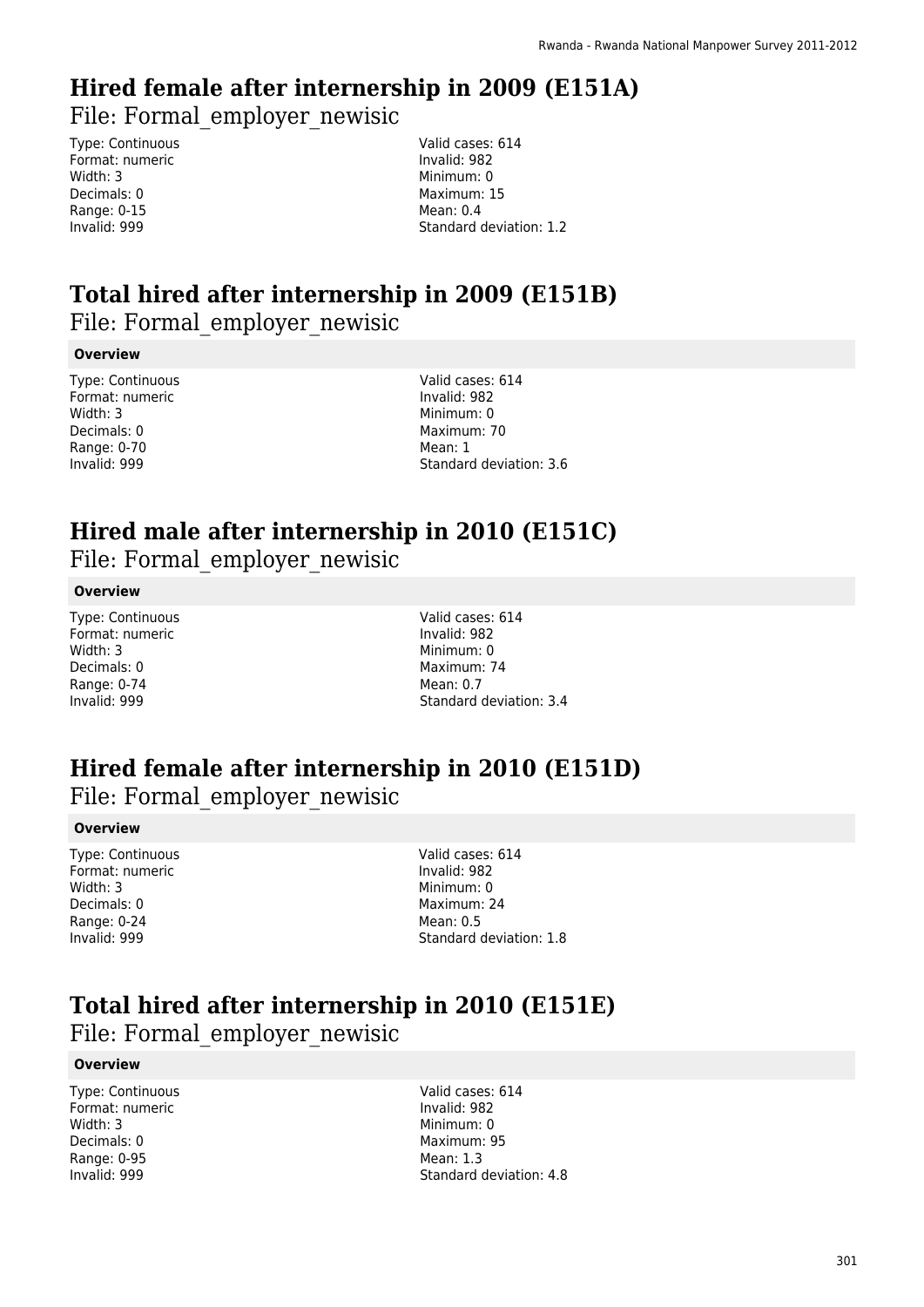### **Hired female after internership in 2009 (E151A)**

File: Formal\_employer\_newisic

Type: Continuous Format: numeric Width: 3 Decimals: 0 Range: 0-15 Invalid: 999

Valid cases: 614 Invalid: 982 Minimum: 0 Maximum: 15 Mean: 0.4 Standard deviation: 1.2

## **Total hired after internership in 2009 (E151B)**

File: Formal\_employer\_newisic

**Overview**

Type: Continuous Format: numeric Width: 3 Decimals: 0 Range: 0-70 Invalid: 999

Valid cases: 614 Invalid: 982 Minimum: 0 Maximum: 70 Mean: 1 Standard deviation: 3.6

### **Hired male after internership in 2010 (E151C)**  File: Formal\_employer\_newisic

#### **Overview**

Type: Continuous Format: numeric Width: 3 Decimals: 0 Range: 0-74 Invalid: 999

Valid cases: 614 Invalid: 982 Minimum: 0 Maximum: 74  $Mean: 0.7$ Standard deviation: 3.4

## **Hired female after internership in 2010 (E151D)**

File: Formal\_employer\_newisic

#### **Overview**

Type: Continuous Format: numeric Width: 3 Decimals: 0 Range: 0-24 Invalid: 999

Valid cases: 614 Invalid: 982 Minimum: 0 Maximum: 24 Mean: 0.5 Standard deviation: 1.8

## **Total hired after internership in 2010 (E151E)**

File: Formal\_employer\_newisic

#### **Overview**

Type: Continuous Format: numeric Width: 3 Decimals: 0 Range: 0-95 Invalid: 999

Valid cases: 614 Invalid: 982 Minimum: 0 Maximum: 95 Mean: 1.3 Standard deviation: 4.8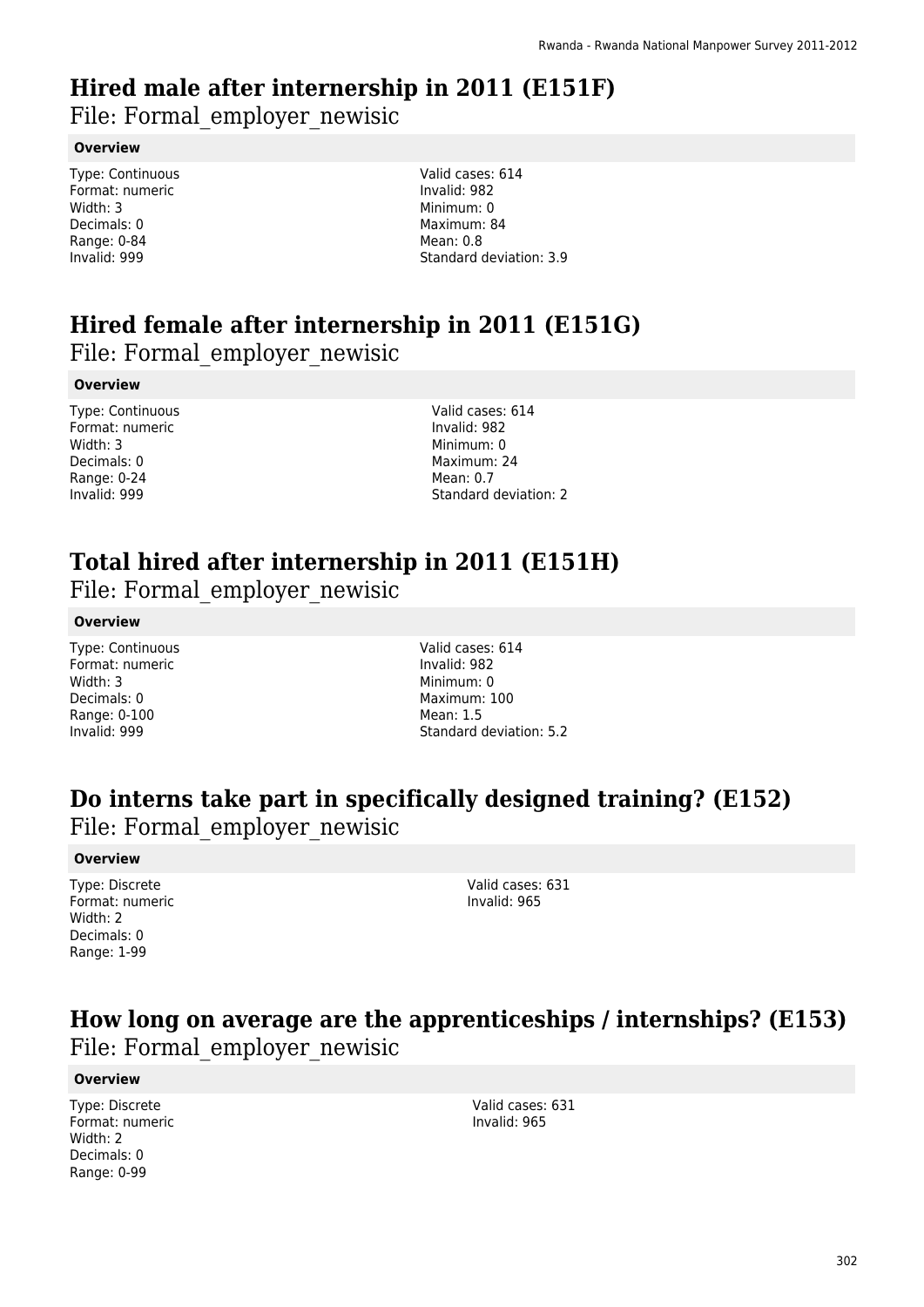### **Hired male after internership in 2011 (E151F)**

File: Formal employer newisic

#### **Overview**

Type: Continuous Format: numeric Width: 3 Decimals: 0 Range: 0-84 Invalid: 999

Valid cases: 614 Invalid: 982 Minimum: 0 Maximum: 84 Mean: 0.8 Standard deviation: 3.9

## **Hired female after internership in 2011 (E151G)**

File: Formal\_employer\_newisic

#### **Overview**

Type: Continuous Format: numeric Width: 3 Decimals: 0 Range: 0-24 Invalid: 999

Valid cases: 614 Invalid: 982 Minimum: 0 Maximum: 24 Mean: 0.7 Standard deviation: 2

### **Total hired after internership in 2011 (E151H)**

File: Formal\_employer\_newisic

#### **Overview**

Type: Continuous Format: numeric Width: 3 Decimals: 0 Range: 0-100 Invalid: 999

Valid cases: 614 Invalid: 982 Minimum: 0 Maximum: 100 Mean: 1.5 Standard deviation: 5.2

### **Do interns take part in specifically designed training? (E152)**  File: Formal employer newisic

#### **Overview**

Type: Discrete Format: numeric Width: 2 Decimals: 0 Range: 1-99

Valid cases: 631 Invalid: 965

### **How long on average are the apprenticeships / internships? (E153)**  File: Formal\_employer\_newisic

#### **Overview**

Type: Discrete Format: numeric Width: 2 Decimals: 0 Range: 0-99

Valid cases: 631 Invalid: 965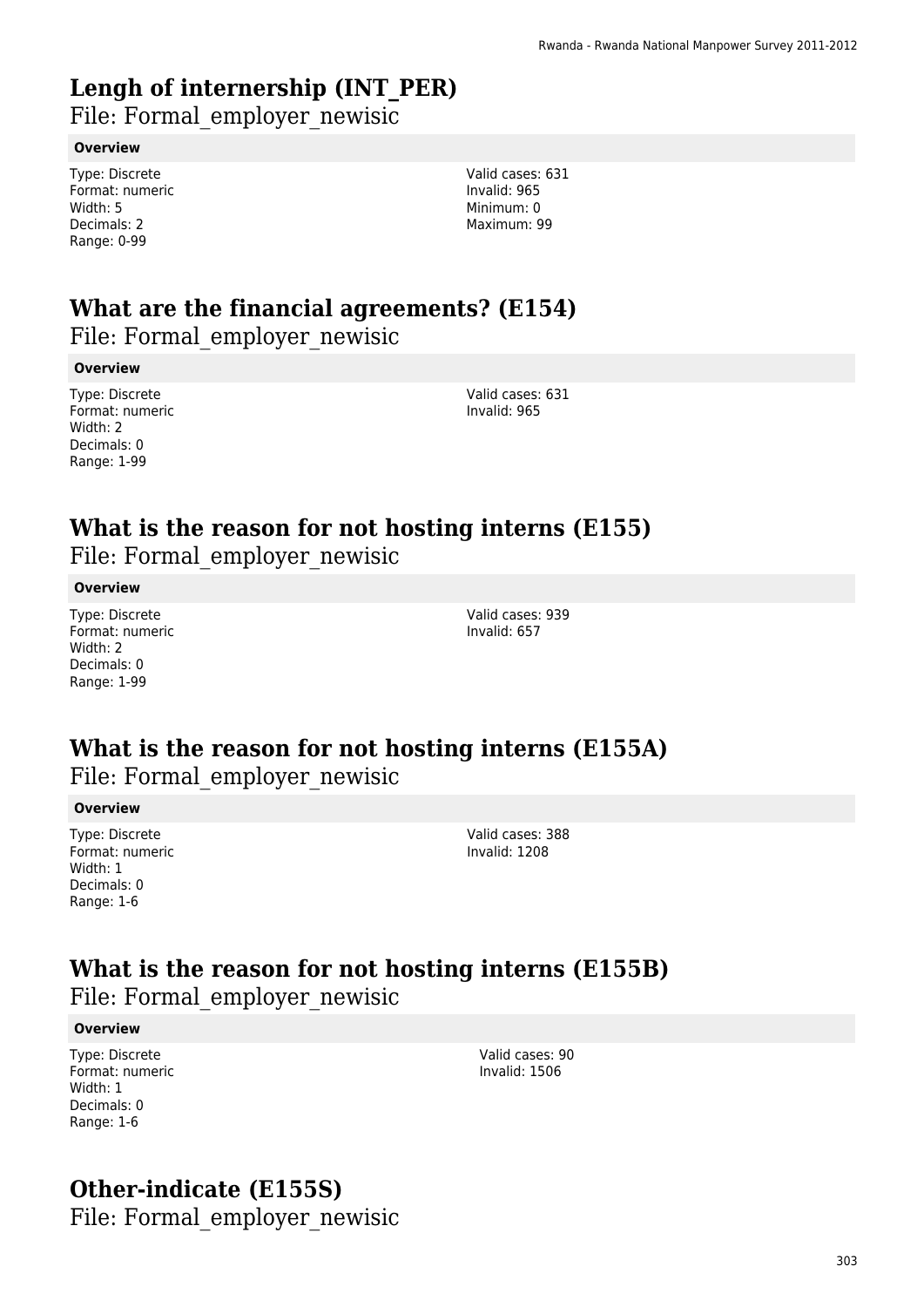### **Lengh of internership (INT\_PER)**

File: Formal\_employer\_newisic

#### **Overview**

Type: Discrete Format: numeric Width: 5 Decimals: 2 Range: 0-99

Valid cases: 631 Invalid: 965 Minimum: 0 Maximum: 99

### **What are the financial agreements? (E154)**

File: Formal\_employer\_newisic

#### **Overview**

Type: Discrete Format: numeric Width: 2 Decimals: 0 Range: 1-99

Valid cases: 631 Invalid: 965

### **What is the reason for not hosting interns (E155)**

File: Formal\_employer\_newisic

#### **Overview**

Type: Discrete Format: numeric Width: 2 Decimals: 0 Range: 1-99

Valid cases: 939 Invalid: 657

### **What is the reason for not hosting interns (E155A)**  File: Formal\_employer\_newisic

#### **Overview**

Type: Discrete Format: numeric Width: 1 Decimals: 0 Range: 1-6

Valid cases: 388 Invalid: 1208

## **What is the reason for not hosting interns (E155B)**

File: Formal\_employer\_newisic

#### **Overview**

Type: Discrete Format: numeric Width: 1 Decimals: 0 Range: 1-6

### **Other-indicate (E155S)**

File: Formal\_employer\_newisic

Valid cases: 90 Invalid: 1506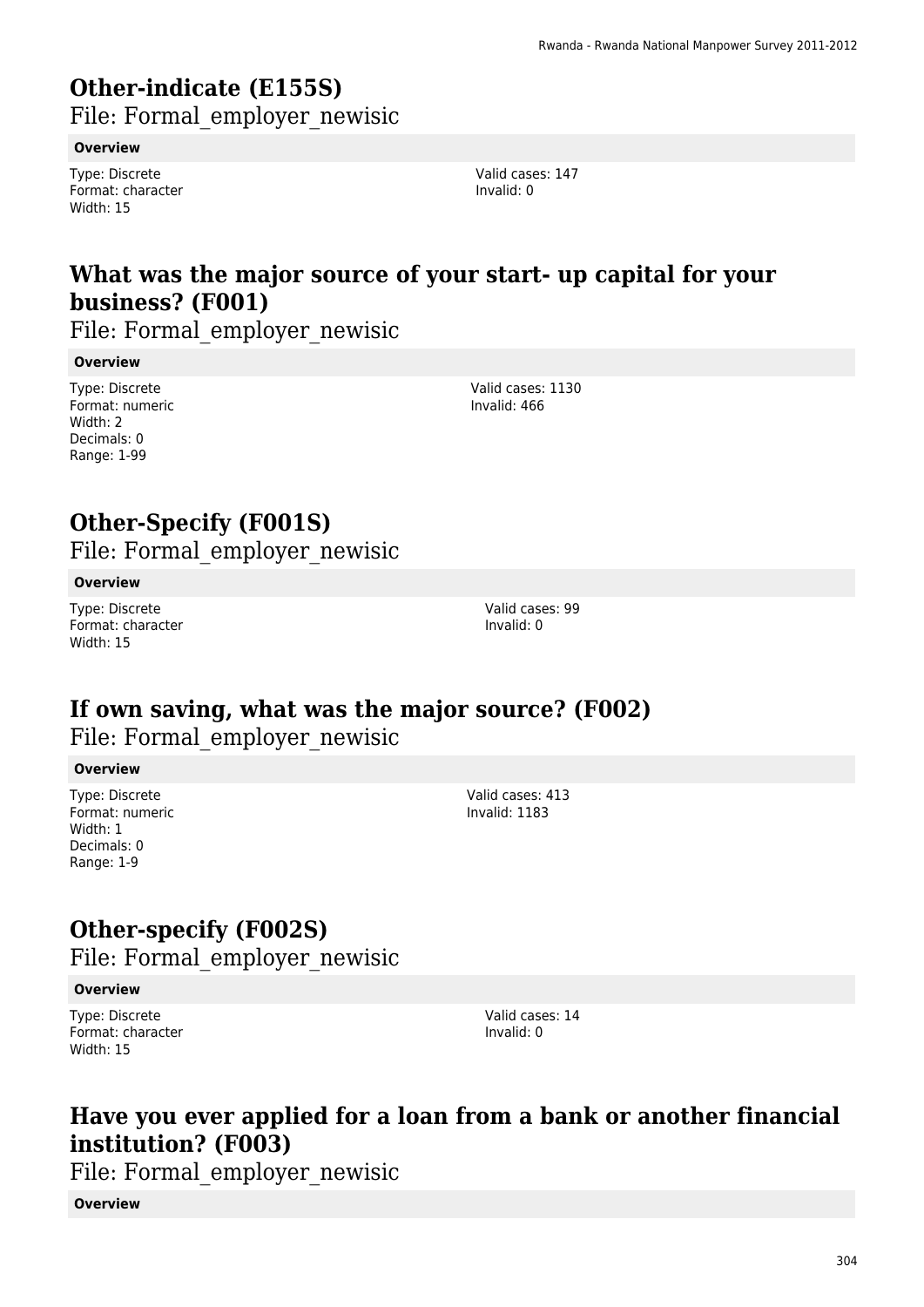### **Other-indicate (E155S)**

File: Formal\_employer\_newisic

#### **Overview**

Type: Discrete Format: character Width: 15

Valid cases: 147 Invalid: 0

### **What was the major source of your start- up capital for your business? (F001)**

File: Formal\_employer\_newisic

#### **Overview**

Type: Discrete Format: numeric Width: 2 Decimals: 0 Range: 1-99

Valid cases: 1130 Invalid: 466

### **Other-Specify (F001S)**

File: Formal\_employer\_newisic

#### **Overview**

Type: Discrete Format: character Width: 15

Valid cases: 99 Invalid: 0

### **If own saving, what was the major source? (F002)**

File: Formal\_employer\_newisic

#### **Overview**

Type: Discrete Format: numeric Width: 1 Decimals: 0 Range: 1-9

Valid cases: 413 Invalid: 1183

### **Other-specify (F002S)**

File: Formal\_employer\_newisic

#### **Overview**

Type: Discrete Format: character Width: 15

Valid cases: 14 Invalid: 0

### **Have you ever applied for a loan from a bank or another financial institution? (F003)**

File: Formal\_employer\_newisic

#### **Overview**

304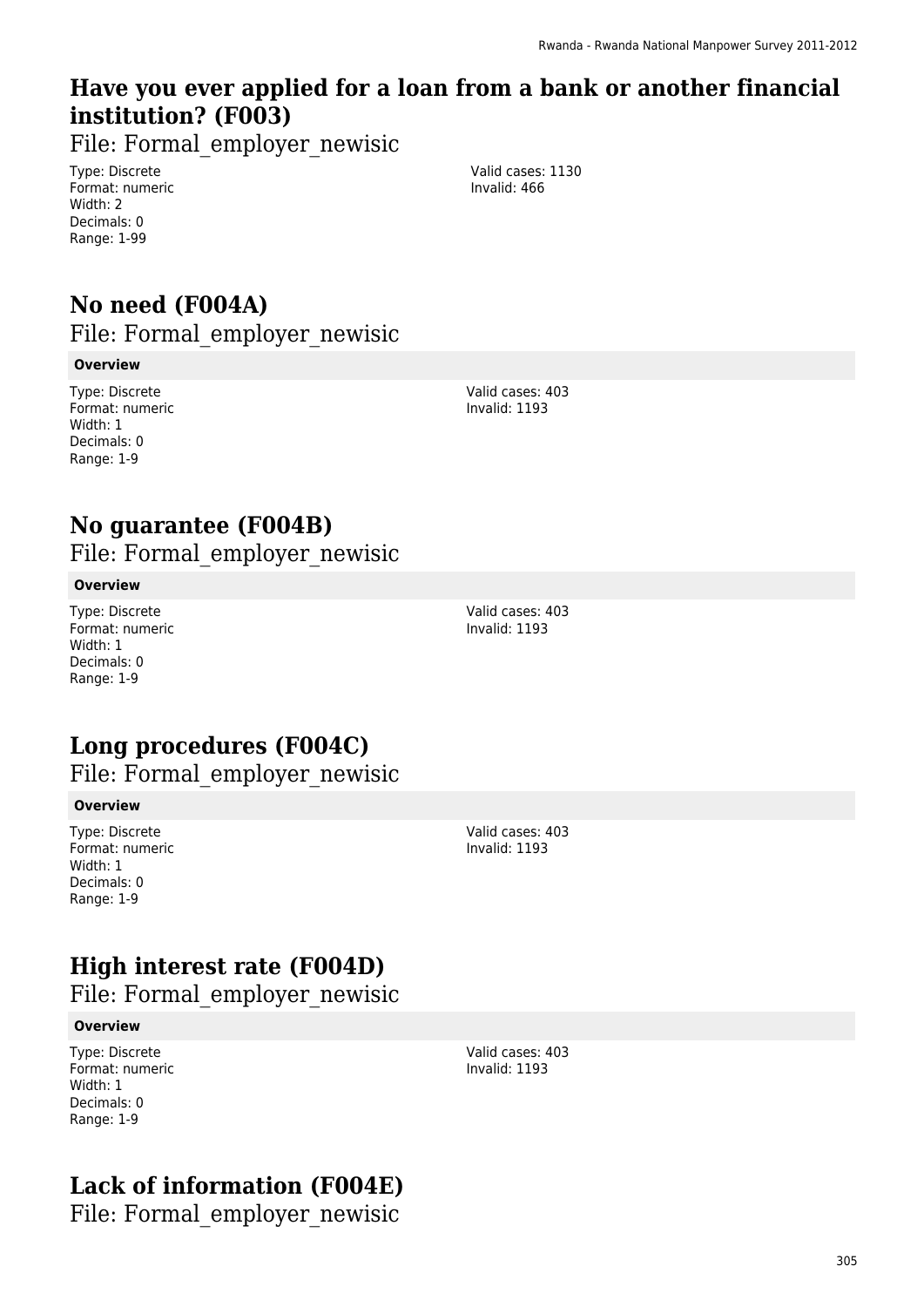### **Have you ever applied for a loan from a bank or another financial institution? (F003)**

File: Formal\_employer\_newisic

Type: Discrete Format: numeric Width: 2 Decimals: 0 Range: 1-99

### **No need (F004A)**  File: Formal\_employer\_newisic

#### **Overview**

Type: Discrete Format: numeric Width: 1 Decimals: 0 Range: 1-9

Valid cases: 403 Invalid: 1193

Valid cases: 403 Invalid: 1193

### **No guarantee (F004B)**

File: Formal\_employer\_newisic

#### **Overview**

Type: Discrete Format: numeric Width: 1 Decimals: 0 Range: 1-9

### **Long procedures (F004C)**

File: Formal\_employer\_newisic

#### **Overview**

Type: Discrete Format: numeric Width: 1 Decimals: 0 Range: 1-9

### **High interest rate (F004D)**

File: Formal\_employer\_newisic

#### **Overview**

Type: Discrete Format: numeric Width: 1 Decimals: 0 Range: 1-9

### **Lack of information (F004E)**

File: Formal\_employer\_newisic

Valid cases: 403 Invalid: 1193

Valid cases: 403 Invalid: 1193

Valid cases: 1130 Invalid: 466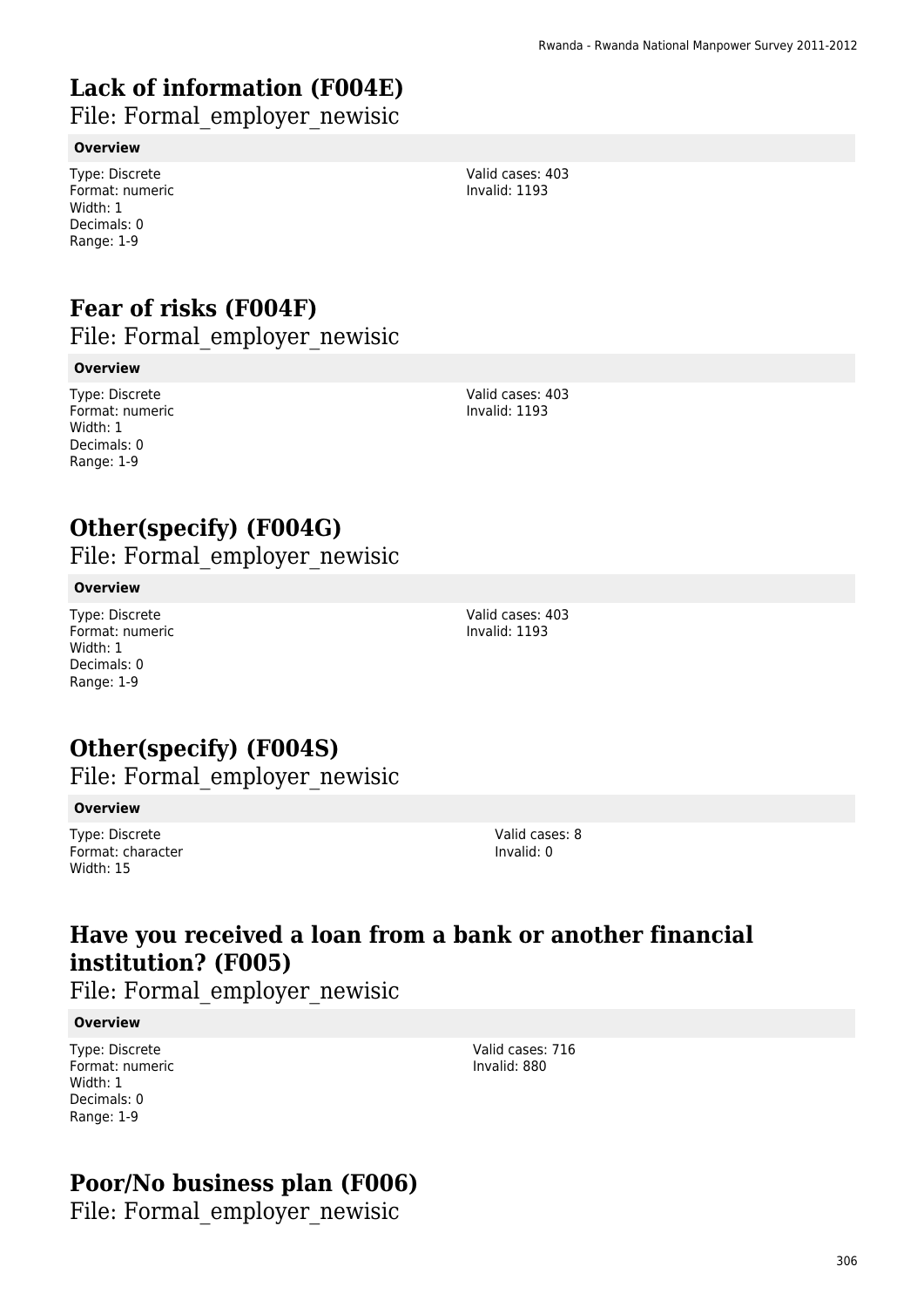### **Lack of information (F004E)**

File: Formal employer newisic

#### **Overview**

Type: Discrete Format: numeric Width: 1 Decimals: 0 Range: 1-9

### **Fear of risks (F004F)**

File: Formal employer newisic

#### **Overview**

Type: Discrete Format: numeric Width: 1 Decimals: 0 Range: 1-9

Valid cases: 403 Invalid: 1193

Valid cases: 403 Invalid: 1193

### **Other(specify) (F004G)**

File: Formal\_employer\_newisic

#### **Overview**

Type: Discrete Format: numeric Width: 1 Decimals: 0 Range: 1-9

### **Other(specify) (F004S)**

File: Formal\_employer\_newisic

#### **Overview**

Type: Discrete Format: character Width: 15

Valid cases: 8 Invalid: 0

### **Have you received a loan from a bank or another financial institution? (F005)**

File: Formal\_employer\_newisic

#### **Overview**

Type: Discrete Format: numeric Width: 1 Decimals: 0 Range: 1-9

### **Poor/No business plan (F006)**

File: Formal\_employer\_newisic

Valid cases: 716 Invalid: 880

Valid cases: 403 Invalid: 1193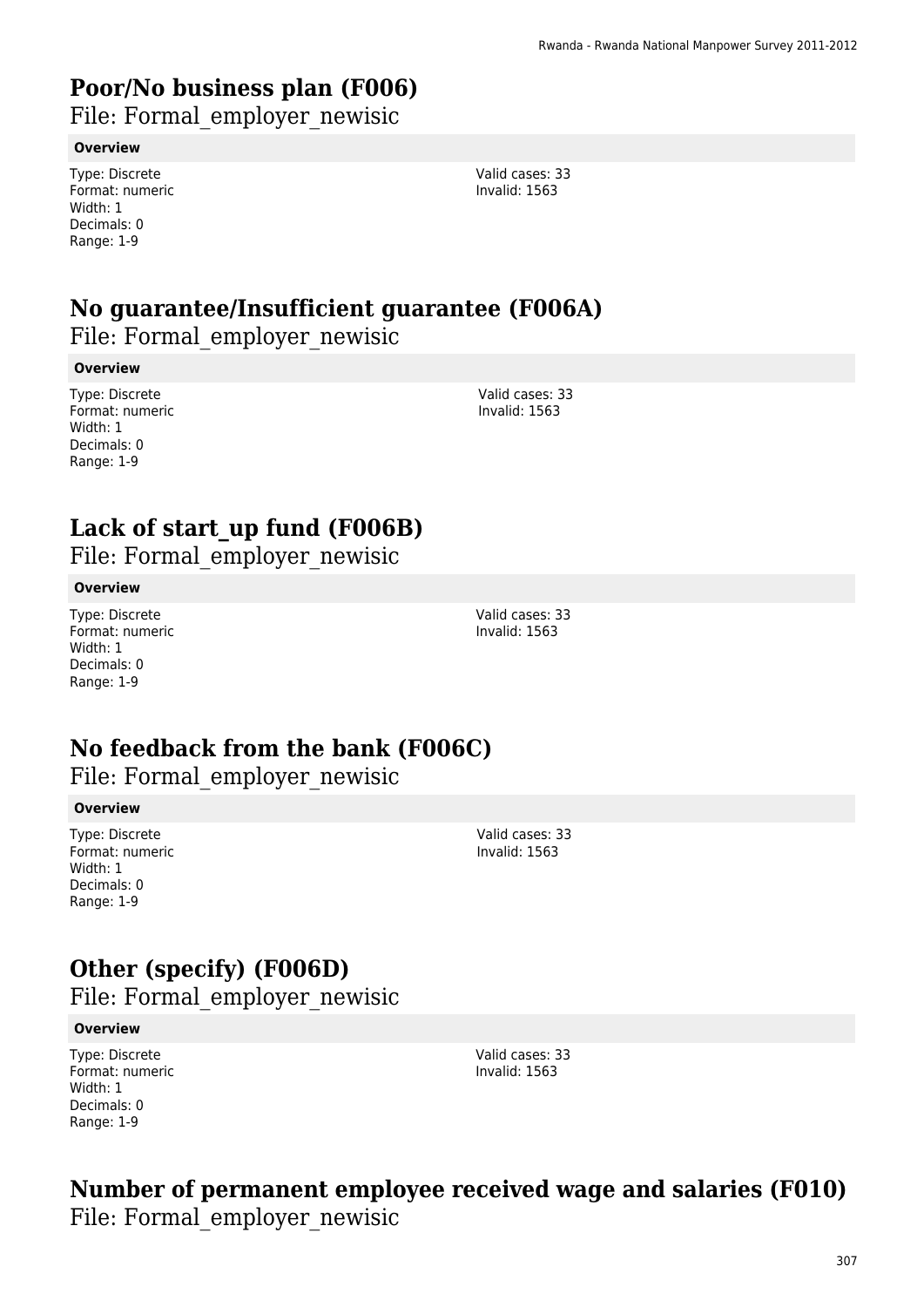### **Poor/No business plan (F006)**

File: Formal\_employer\_newisic

#### **Overview**

Type: Discrete Format: numeric Width: 1 Decimals: 0 Range: 1-9

### **No guarantee/Insufficient guarantee (F006A)**

File: Formal\_employer\_newisic

#### **Overview**

Type: Discrete Format: numeric Width: 1 Decimals: 0 Range: 1-9

Valid cases: 33 Invalid: 1563

### **Lack of start\_up fund (F006B)**

File: Formal\_employer\_newisic

#### **Overview**

Type: Discrete Format: numeric Width: 1 Decimals: 0 Range: 1-9

### **No feedback from the bank (F006C)**

File: Formal\_employer\_newisic

#### **Overview**

Type: Discrete Format: numeric Width: 1 Decimals: 0 Range: 1-9

## **Other (specify) (F006D)**

File: Formal\_employer\_newisic

#### **Overview**

Type: Discrete Format: numeric Width: 1 Decimals: 0 Range: 1-9

Valid cases: 33 Invalid: 1563

**Number of permanent employee received wage and salaries (F010)**  File: Formal\_employer\_newisic

Valid cases: 33 Invalid: 1563

Valid cases: 33 Invalid: 1563

Valid cases: 33 Invalid: 1563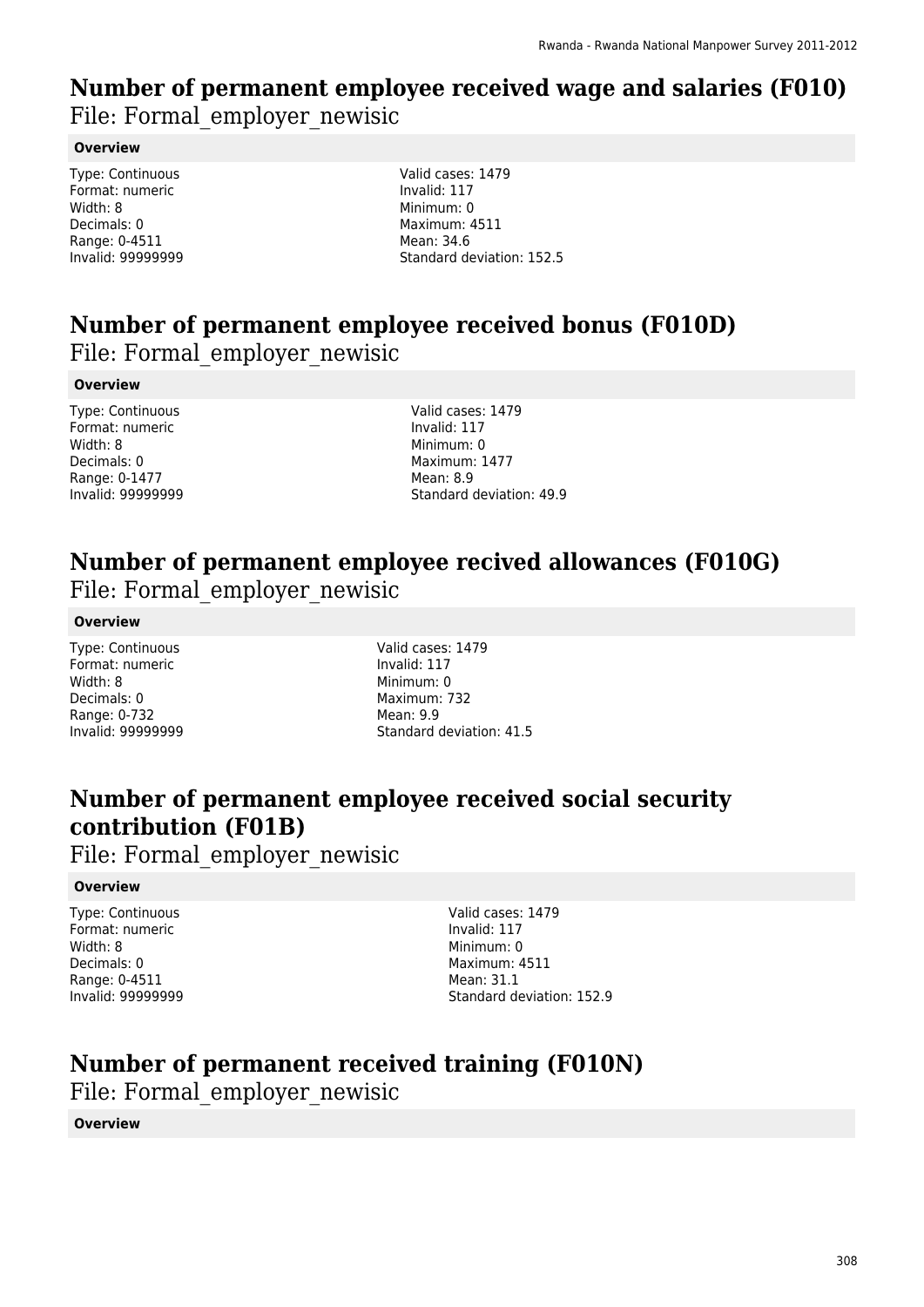### **Number of permanent employee received wage and salaries (F010)**  File: Formal\_employer\_newisic

#### **Overview**

Type: Continuous Format: numeric Width: 8 Decimals: 0 Range: 0-4511 Invalid: 99999999

Valid cases: 1479 Invalid: 117 Minimum: 0 Maximum: 4511 Mean: 34.6 Standard deviation: 152.5

### **Number of permanent employee received bonus (F010D)**  File: Formal\_employer\_newisic

#### **Overview**

Type: Continuous Format: numeric Width: 8 Decimals: 0 Range: 0-1477 Invalid: 99999999

Valid cases: 1479 Invalid: 117 Minimum: 0 Maximum: 1477 Mean: 8.9 Standard deviation: 49.9

### **Number of permanent employee recived allowances (F010G)**  File: Formal\_employer\_newisic

#### **Overview**

Type: Continuous Format: numeric Width: 8 Decimals: 0 Range: 0-732 Invalid: 99999999

Valid cases: 1479 Invalid: 117 Minimum: 0 Maximum: 732 Mean: 9.9 Standard deviation: 41.5

### **Number of permanent employee received social security contribution (F01B)**

File: Formal employer newisic

#### **Overview**

Type: Continuous Format: numeric Width: 8 Decimals: 0 Range: 0-4511 Invalid: 99999999 Valid cases: 1479 Invalid: 117 Minimum: 0 Maximum: 4511 Mean: 31.1 Standard deviation: 152.9

### **Number of permanent received training (F010N)**

File: Formal\_employer\_newisic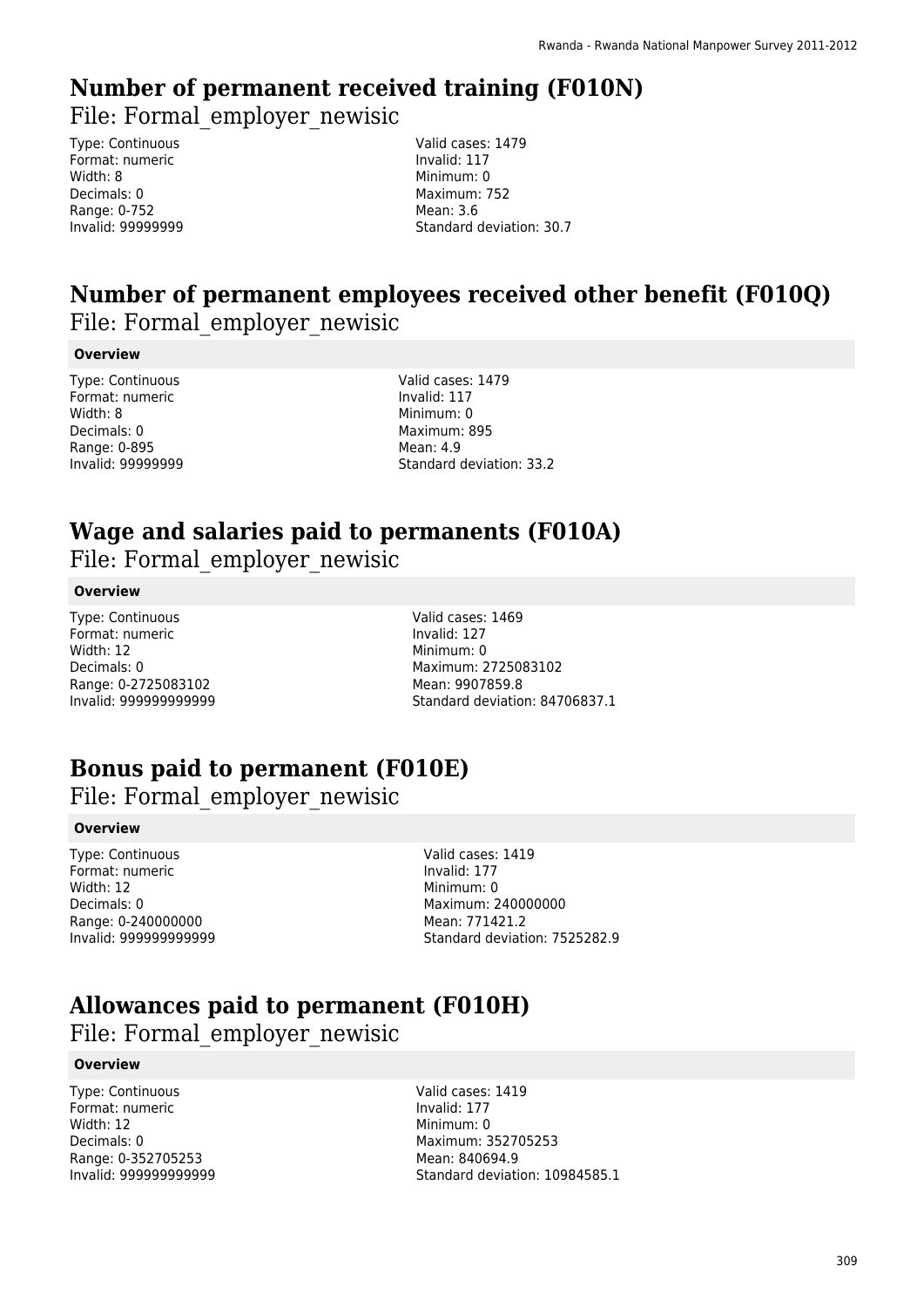### **Number of permanent received training (F010N)**

File: Formal\_employer\_newisic

Type: Continuous Format: numeric Width: 8 Decimals: 0 Range: 0-752 Invalid: 99999999

Valid cases: 1479 Invalid: 117 Minimum: 0 Maximum: 752 Mean: 3.6 Standard deviation: 30.7

### **Number of permanent employees received other benefit (F010Q)**  File: Formal\_employer\_newisic

**Overview**

Type: Continuous Format: numeric Width: 8 Decimals: 0 Range: 0-895 Invalid: 99999999 Valid cases: 1479 Invalid: 117 Minimum: 0 Maximum: 895 Mean: 4.9 Standard deviation: 33.2

### **Wage and salaries paid to permanents (F010A)**  File: Formal\_employer\_newisic

#### **Overview**

Type: Continuous Format: numeric Width: 12 Decimals: 0 Range: 0-2725083102 Invalid: 999999999999 Valid cases: 1469 Invalid: 127 Minimum: 0 Maximum: 2725083102 Mean: 9907859.8 Standard deviation: 84706837.1

### **Bonus paid to permanent (F010E)**  File: Formal\_employer\_newisic

#### **Overview**

Type: Continuous Format: numeric Width: 12 Decimals: 0 Range: 0-240000000 Invalid: 999999999999 Valid cases: 1419 Invalid: 177 Minimum: 0 Maximum: 240000000 Mean: 771421.2 Standard deviation: 7525282.9

### **Allowances paid to permanent (F010H)**

File: Formal\_employer\_newisic

#### **Overview**

Type: Continuous Format: numeric Width: 12 Decimals: 0 Range: 0-352705253 Invalid: 999999999999

Valid cases: 1419 Invalid: 177 Minimum: 0 Maximum: 352705253 Mean: 840694.9 Standard deviation: 10984585.1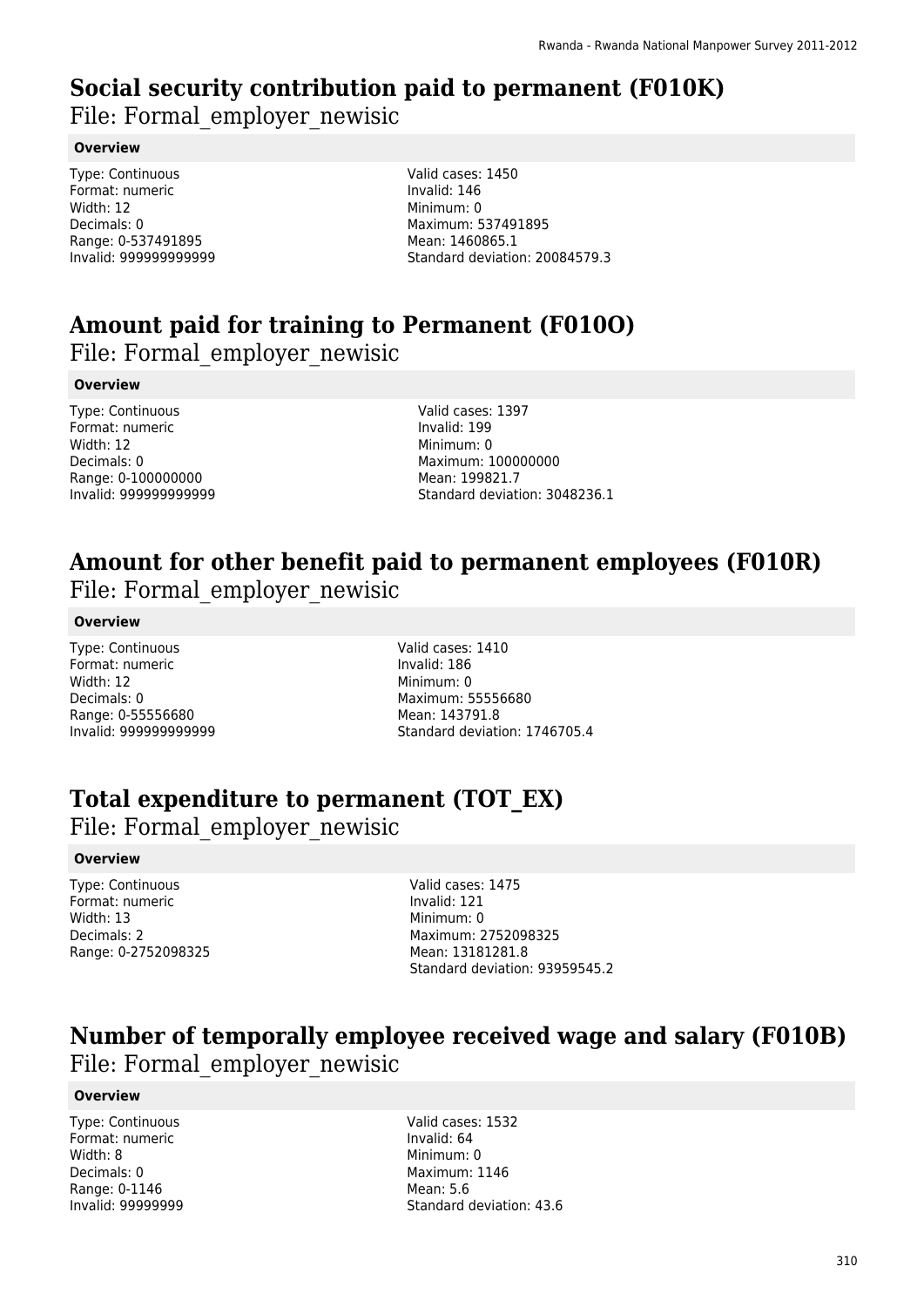## **Social security contribution paid to permanent (F010K)**

File: Formal\_employer\_newisic

#### **Overview**

Type: Continuous Format: numeric Width: 12 Decimals: 0 Range: 0-537491895 Invalid: 999999999999

Valid cases: 1450 Invalid: 146 Minimum: 0 Maximum: 537491895 Mean: 1460865.1 Standard deviation: 20084579.3

## **Amount paid for training to Permanent (F010O)**

File: Formal\_employer\_newisic

#### **Overview**

Type: Continuous Format: numeric Width: 12 Decimals: 0 Range: 0-100000000 Invalid: 999999999999

Valid cases: 1397 Invalid: 199 Minimum: 0 Maximum: 100000000 Mean: 199821.7 Standard deviation: 3048236.1

## **Amount for other benefit paid to permanent employees (F010R)**

File: Formal\_employer\_newisic

#### **Overview**

Type: Continuous Format: numeric Width: 12 Decimals: 0 Range: 0-55556680 Invalid: 999999999999

Valid cases: 1410 Invalid: 186 Minimum: 0 Maximum: 55556680 Mean: 143791.8 Standard deviation: 1746705.4

### **Total expenditure to permanent (TOT\_EX)**

File: Formal\_employer\_newisic

#### **Overview**

Type: Continuous Format: numeric Width: 13 Decimals: 2 Range: 0-2752098325

Valid cases: 1475 Invalid: 121 Minimum: 0 Maximum: 2752098325 Mean: 13181281.8 Standard deviation: 93959545.2

### **Number of temporally employee received wage and salary (F010B)**  File: Formal\_employer\_newisic

#### **Overview**

Type: Continuous Format: numeric Width: 8 Decimals: 0 Range: 0-1146 Invalid: 99999999 Valid cases: 1532 Invalid: 64 Minimum: 0 Maximum: 1146 Mean: 5.6 Standard deviation: 43.6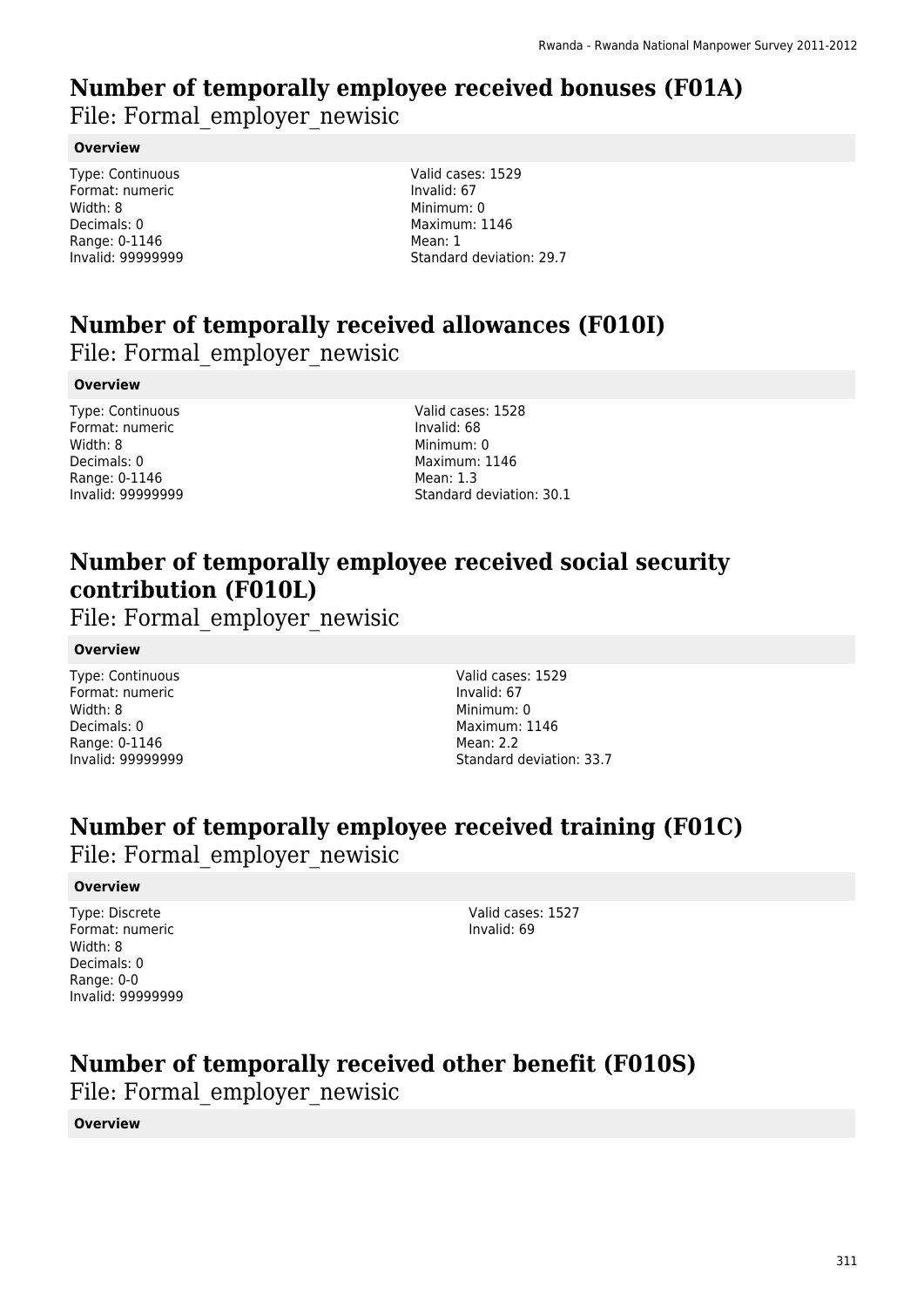# **Number of temporally employee received bonuses (F01A)**

File: Formal\_employer\_newisic

### **Overview**

Type: Continuous Format: numeric Width: 8 Decimals: 0 Range: 0-1146 Invalid: 99999999

Valid cases: 1529 Invalid: 67 Minimum: 0 Maximum: 1146 Mean: 1 Standard deviation: 29.7

### **Number of temporally received allowances (F010I)**  File: Formal\_employer\_newisic

#### **Overview**

Type: Continuous Format: numeric Width: 8 Decimals: 0 Range: 0-1146 Invalid: 99999999

Valid cases: 1528 Invalid: 68 Minimum: 0 Maximum: 1146 Mean: 1.3 Standard deviation: 30.1

### **Number of temporally employee received social security contribution (F010L)**

File: Formal\_employer\_newisic

#### **Overview**

Type: Continuous Format: numeric Width: 8 Decimals: 0 Range: 0-1146 Invalid: 99999999

Valid cases: 1529 Invalid: 67 Minimum: 0 Maximum: 1146 Mean: 2.2 Standard deviation: 33.7

### **Number of temporally employee received training (F01C)**

File: Formal\_employer\_newisic

#### **Overview**

Type: Discrete Format: numeric Width: 8 Decimals: 0 Range: 0-0 Invalid: 99999999 Valid cases: 1527 Invalid: 69

### **Number of temporally received other benefit (F010S)**

File: Formal\_employer\_newisic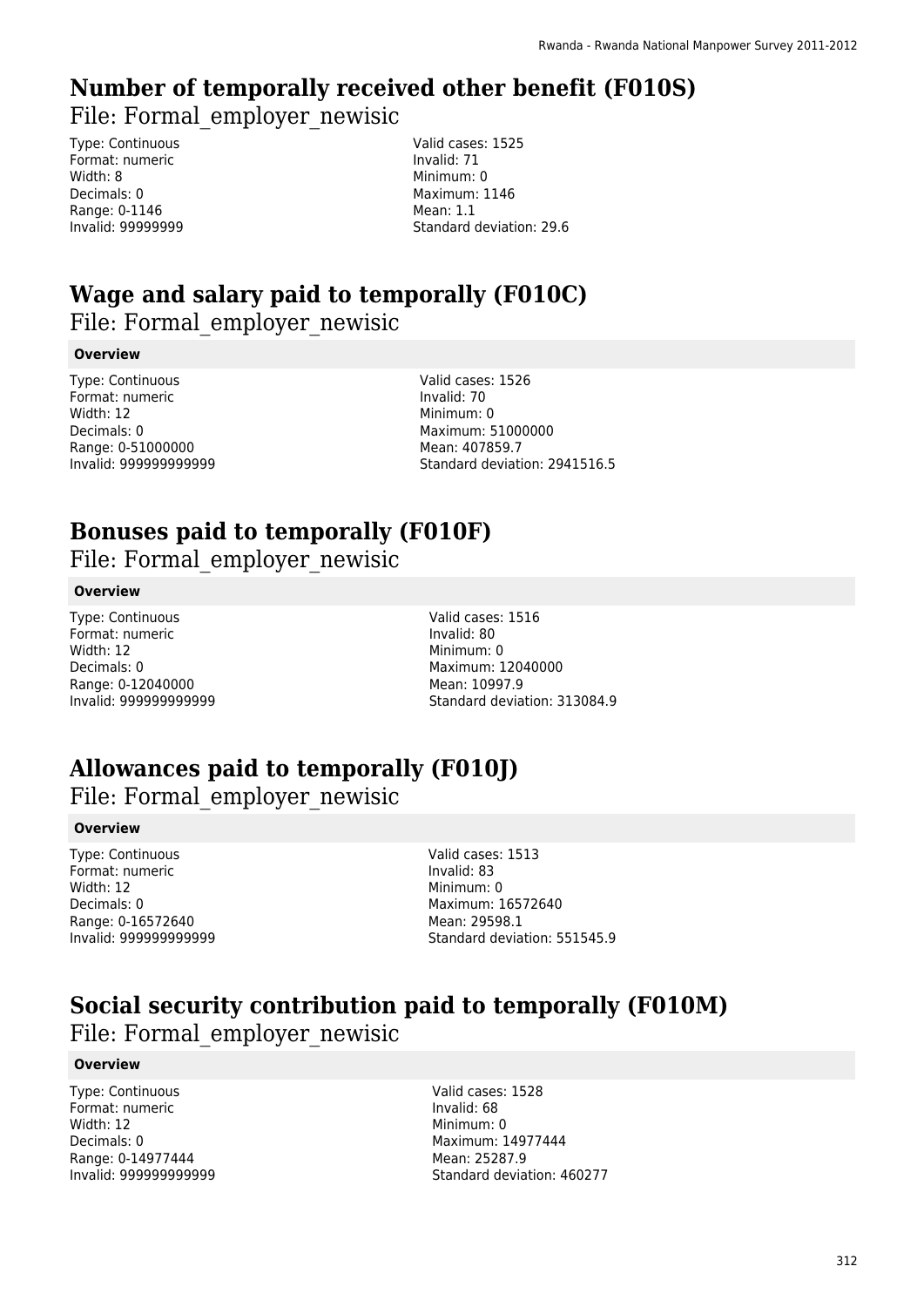### **Number of temporally received other benefit (F010S)**

File: Formal\_employer\_newisic

Type: Continuous Format: numeric Width: 8 Decimals: 0 Range: 0-1146 Invalid: 99999999 Valid cases: 1525 Invalid: 71 Minimum: 0 Maximum: 1146 Mean: 1.1 Standard deviation: 29.6

## **Wage and salary paid to temporally (F010C)**

File: Formal\_employer\_newisic

#### **Overview**

Type: Continuous Format: numeric Width: 12 Decimals: 0 Range: 0-51000000 Invalid: 999999999999 Valid cases: 1526 Invalid: 70 Minimum: 0 Maximum: 51000000 Mean: 407859.7 Standard deviation: 2941516.5

## **Bonuses paid to temporally (F010F)**

File: Formal\_employer\_newisic

#### **Overview**

Type: Continuous Format: numeric Width: 12 Decimals: 0 Range: 0-12040000 Invalid: 999999999999 Valid cases: 1516 Invalid: 80 Minimum: 0 Maximum: 12040000 Mean: 10997.9 Standard deviation: 313084.9

### **Allowances paid to temporally (F010J)**  File: Formal\_employer\_newisic

#### **Overview**

Type: Continuous Format: numeric Width: 12 Decimals: 0 Range: 0-16572640 Invalid: 999999999999

Valid cases: 1513 Invalid: 83 Minimum: 0 Maximum: 16572640 Mean: 29598.1 Standard deviation: 551545.9

## **Social security contribution paid to temporally (F010M)**

File: Formal\_employer\_newisic

#### **Overview**

Type: Continuous Format: numeric Width: 12 Decimals: 0 Range: 0-14977444 Invalid: 999999999999 Valid cases: 1528 Invalid: 68 Minimum: 0 Maximum: 14977444 Mean: 25287.9 Standard deviation: 460277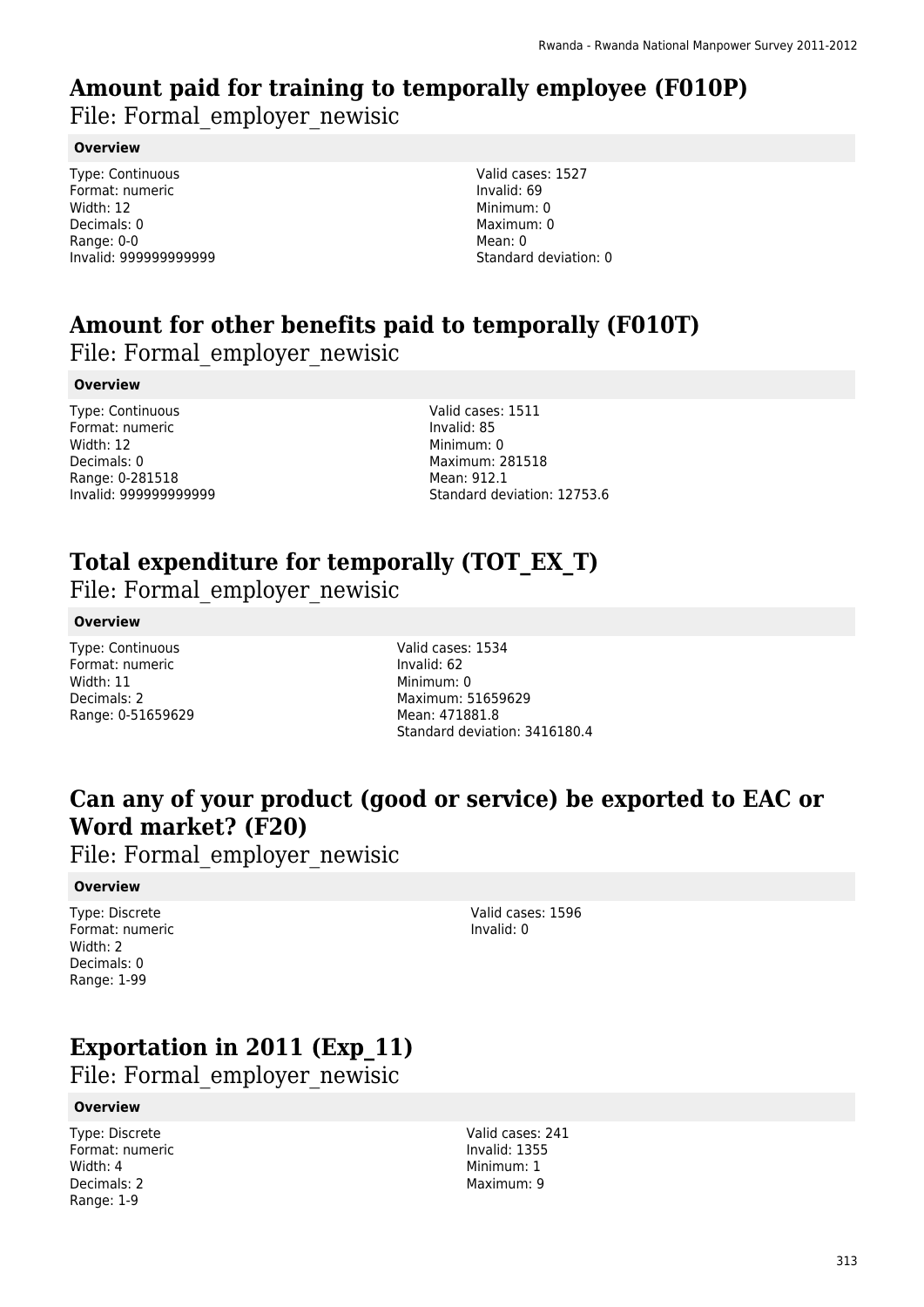### **Amount paid for training to temporally employee (F010P)**

File: Formal\_employer\_newisic

#### **Overview**

Type: Continuous Format: numeric Width: 12 Decimals: 0 Range: 0-0 Invalid: 999999999999

Valid cases: 1527 Invalid: 69 Minimum: 0 Maximum: 0 Mean: 0 Standard deviation: 0

## **Amount for other benefits paid to temporally (F010T)**

File: Formal\_employer\_newisic

#### **Overview**

Type: Continuous Format: numeric Width: 12 Decimals: 0 Range: 0-281518 Invalid: 999999999999 Valid cases: 1511 Invalid: 85 Minimum: 0 Maximum: 281518 Mean: 912.1 Standard deviation: 12753.6

## **Total expenditure for temporally (TOT\_EX\_T)**

File: Formal\_employer\_newisic

### **Overview**

Type: Continuous Format: numeric Width: 11 Decimals: 2 Range: 0-51659629

Valid cases: 1534 Invalid: 62 Minimum: 0 Maximum: 51659629 Mean: 471881.8 Standard deviation: 3416180.4

### **Can any of your product (good or service) be exported to EAC or Word market? (F20)**

File: Formal employer newisic

### **Overview**

Type: Discrete Format: numeric Width: 2 Decimals: 0 Range: 1-99

Valid cases: 1596 Invalid: 0

### **Exportation in 2011 (Exp\_11)**

File: Formal\_employer\_newisic

#### **Overview**

Type: Discrete Format: numeric Width: 4 Decimals: 2 Range: 1-9

Valid cases: 241 Invalid: 1355 Minimum: 1 Maximum: 9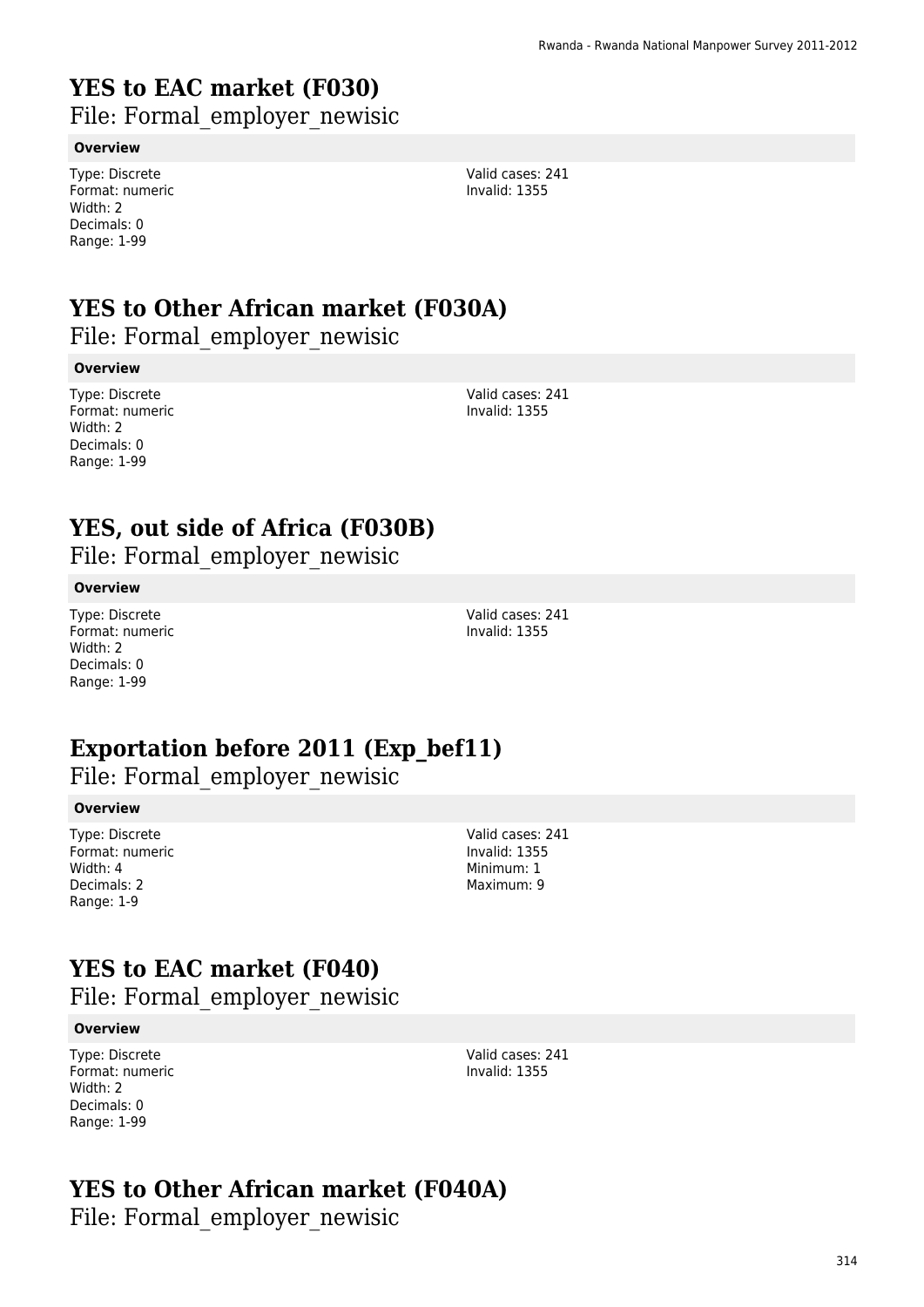### **YES to EAC market (F030)**

File: Formal\_employer\_newisic

#### **Overview**

Type: Discrete Format: numeric Width: 2 Decimals: 0 Range: 1-99

### **YES to Other African market (F030A)**

File: Formal employer newisic

#### **Overview**

Type: Discrete Format: numeric Width: 2 Decimals: 0 Range: 1-99

Valid cases: 241 Invalid: 1355

Valid cases: 241 Invalid: 1355

### **YES, out side of Africa (F030B)**

File: Formal\_employer\_newisic

#### **Overview**

Type: Discrete Format: numeric Width: 2 Decimals: 0 Range: 1-99

Valid cases: 241 Invalid: 1355

Valid cases: 241 Invalid: 1355 Minimum: 1 Maximum: 9

### **Exportation before 2011 (Exp\_bef11)**

File: Formal\_employer\_newisic

#### **Overview**

Type: Discrete Format: numeric Width: 4 Decimals: 2 Range: 1-9

### **YES to EAC market (F040)**

File: Formal\_employer\_newisic

#### **Overview**

Type: Discrete Format: numeric Width: 2 Decimals: 0 Range: 1-99

Valid cases: 241 Invalid: 1355

### **YES to Other African market (F040A)**

File: Formal\_employer\_newisic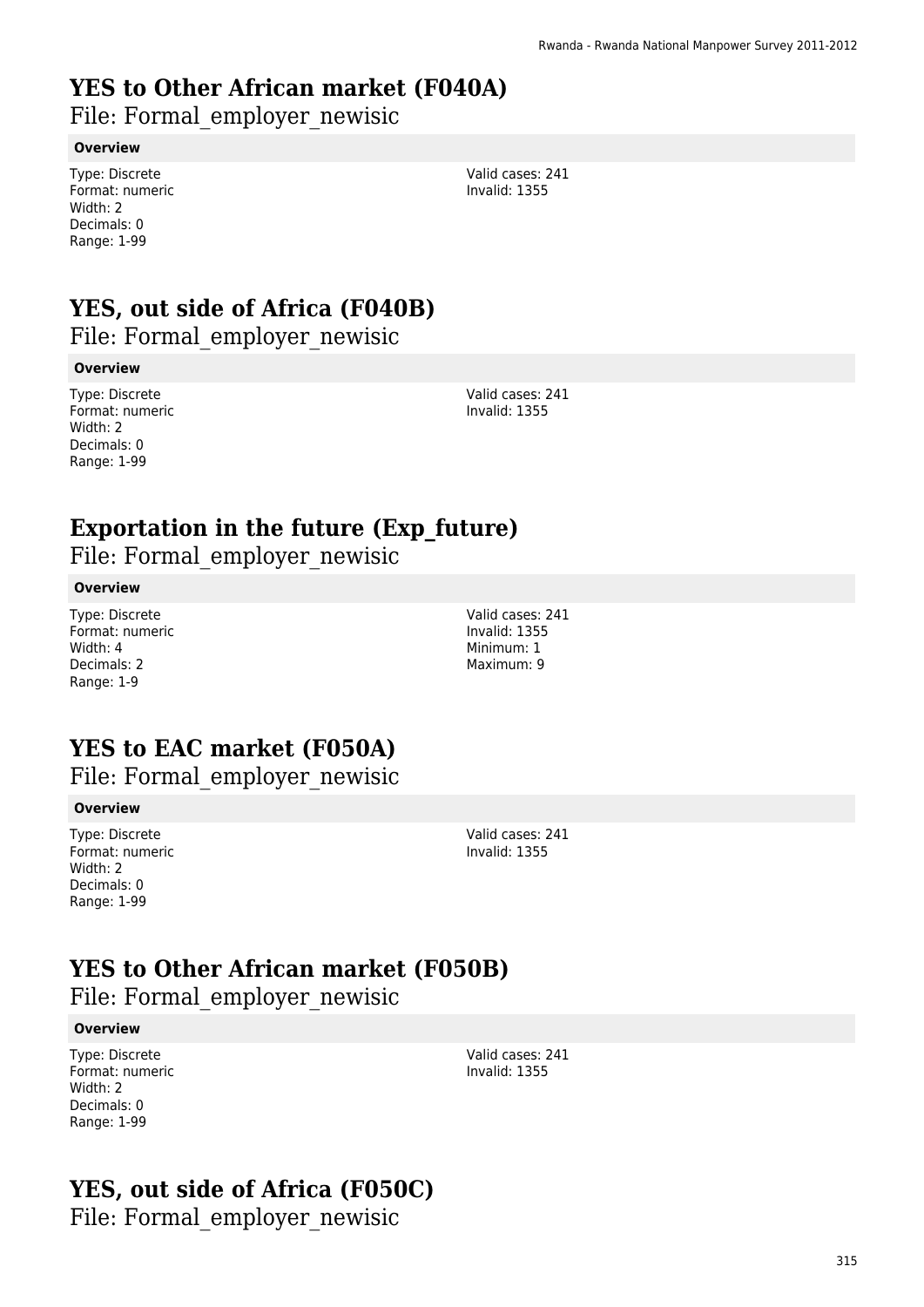### **YES to Other African market (F040A)**

File: Formal\_employer\_newisic

#### **Overview**

Type: Discrete Format: numeric Width: 2 Decimals: 0 Range: 1-99

Valid cases: 241 Invalid: 1355

### **YES, out side of Africa (F040B)**

File: Formal\_employer\_newisic

#### **Overview**

Type: Discrete Format: numeric Width: 2 Decimals: 0 Range: 1-99

Valid cases: 241 Invalid: 1355

### **Exportation in the future (Exp\_future)**

File: Formal\_employer\_newisic

#### **Overview**

Type: Discrete Format: numeric Width: 4 Decimals: 2 Range: 1-9

### **YES to EAC market (F050A)**

File: Formal\_employer\_newisic

#### **Overview**

Type: Discrete Format: numeric Width: 2 Decimals: 0 Range: 1-99

Valid cases: 241 Invalid: 1355

### **YES to Other African market (F050B)**

File: Formal\_employer\_newisic

#### **Overview**

Type: Discrete Format: numeric Width: 2 Decimals: 0 Range: 1-99

### **YES, out side of Africa (F050C)**

File: Formal\_employer\_newisic

Valid cases: 241 Invalid: 1355

Valid cases: 241 Invalid: 1355 Minimum: 1 Maximum: 9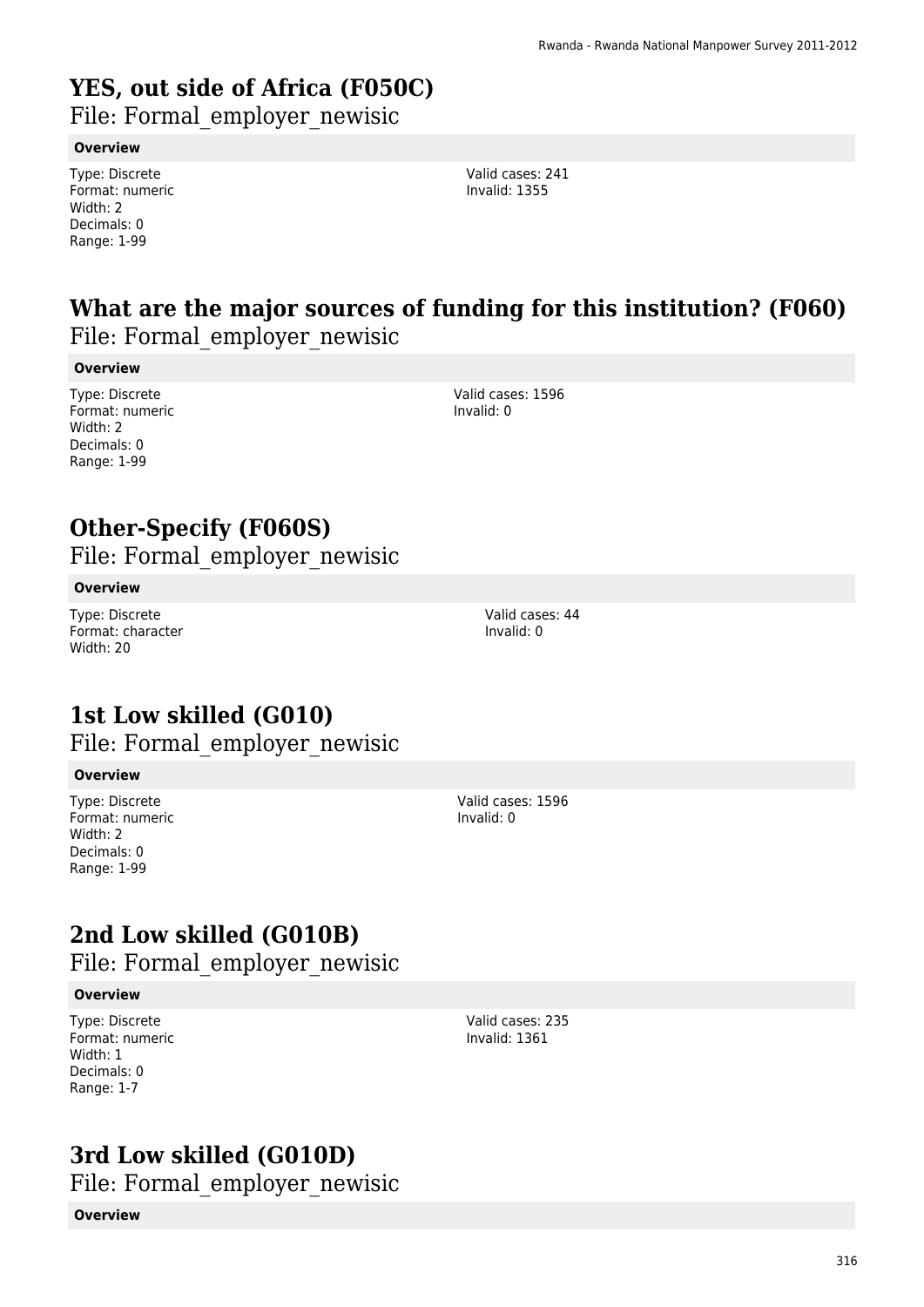### **YES, out side of Africa (F050C)**

File: Formal\_employer\_newisic

#### **Overview**

Type: Discrete Format: numeric Width: 2 Decimals: 0 Range: 1-99

Valid cases: 241 Invalid: 1355

### **What are the major sources of funding for this institution? (F060)**  File: Formal\_employer\_newisic

**Overview**

Type: Discrete Format: numeric Width: 2 Decimals: 0 Range: 1-99

Valid cases: 1596 Invalid: 0

### **Other-Specify (F060S)**

File: Formal\_employer\_newisic

#### **Overview**

Type: Discrete Format: character Width: 20

### **1st Low skilled (G010)**

File: Formal\_employer\_newisic

#### **Overview**

Type: Discrete Format: numeric Width: 2 Decimals: 0 Range: 1-99

### **2nd Low skilled (G010B)**

File: Formal\_employer\_newisic

#### **Overview**

Type: Discrete Format: numeric Width: 1 Decimals: 0 Range: 1-7

### **3rd Low skilled (G010D)**

File: Formal\_employer\_newisic

**Overview**

Valid cases: 44 Invalid: 0

Valid cases: 1596 Invalid: 0

Valid cases: 235 Invalid: 1361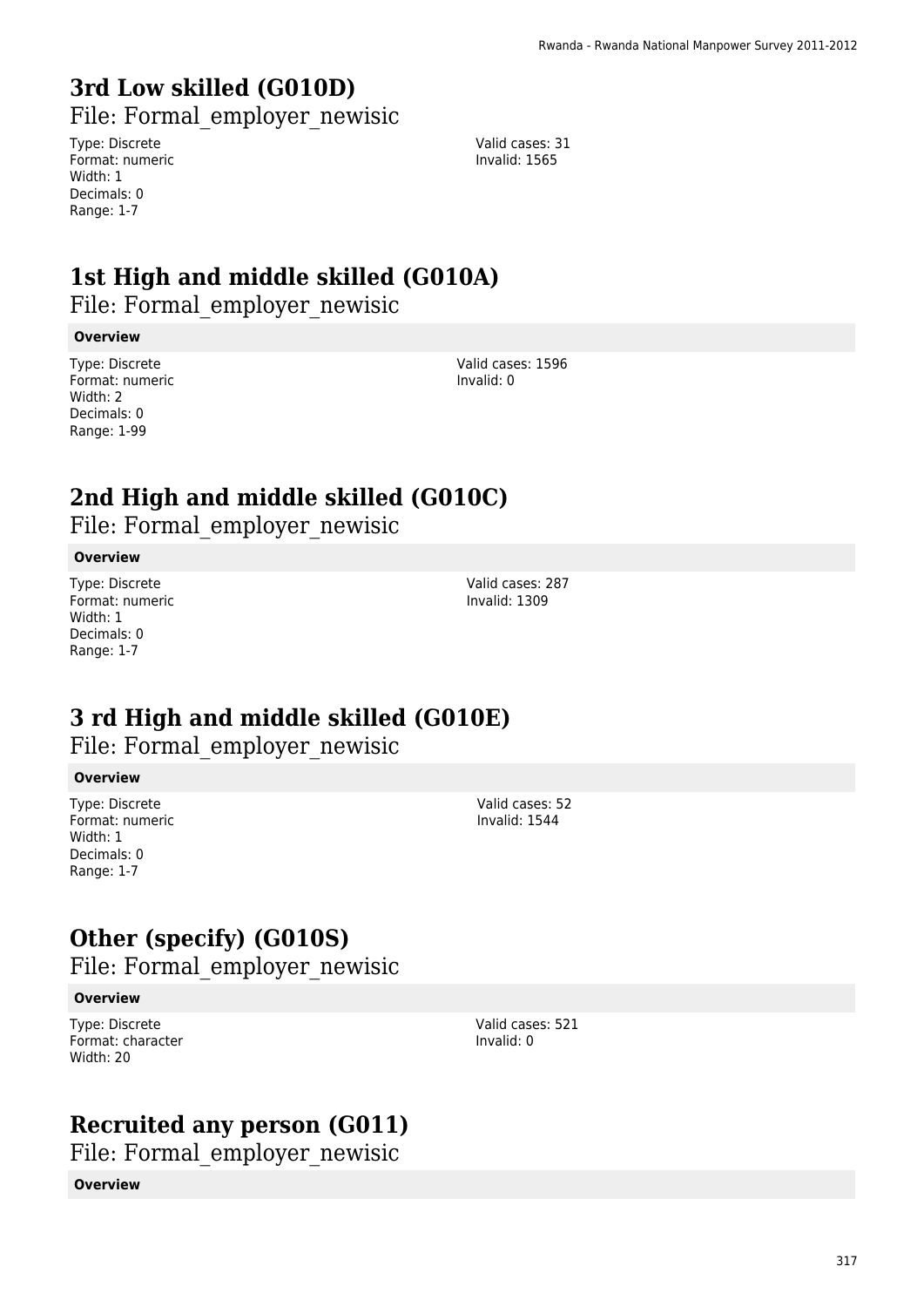### **3rd Low skilled (G010D)**

File: Formal employer newisic

Type: Discrete Format: numeric Width: 1 Decimals: 0 Range: 1-7

## **1st High and middle skilled (G010A)**

File: Formal\_employer\_newisic

#### **Overview**

Type: Discrete Format: numeric Width: 2 Decimals: 0 Range: 1-99

Valid cases: 1596 Invalid: 0

## **2nd High and middle skilled (G010C)**

File: Formal employer newisic

#### **Overview**

Type: Discrete Format: numeric Width: 1 Decimals: 0 Range: 1-7

## **3 rd High and middle skilled (G010E)**

File: Formal\_employer\_newisic

#### **Overview**

Type: Discrete Format: numeric Width: 1 Decimals: 0 Range: 1-7

# **Other (specify) (G010S)**

File: Formal\_employer\_newisic

#### **Overview**

Type: Discrete Format: character Width: 20

### **Recruited any person (G011)**

File: Formal\_employer\_newisic

**Overview**

Valid cases: 52 Invalid: 1544

Valid cases: 31 Invalid: 1565

Valid cases: 521 Invalid: 0

Valid cases: 287 Invalid: 1309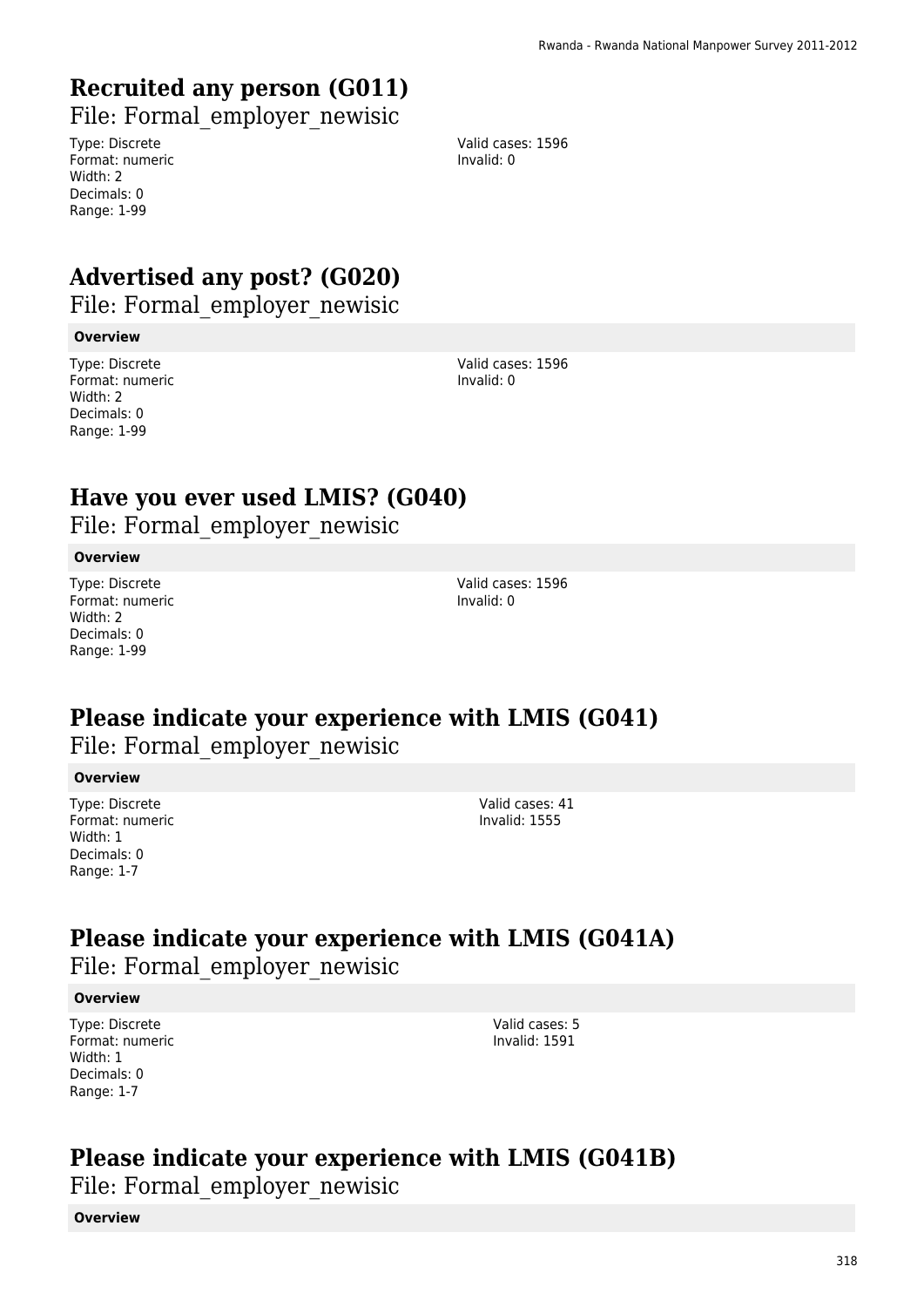### **Recruited any person (G011)**

File: Formal\_employer\_newisic

Type: Discrete Format: numeric Width: 2 Decimals: 0 Range: 1-99

Valid cases: 1596 Invalid: 0

## **Advertised any post? (G020)**

File: Formal\_employer\_newisic

#### **Overview**

Type: Discrete Format: numeric Width: 2 Decimals: 0 Range: 1-99

Valid cases: 1596 Invalid: 0

### **Have you ever used LMIS? (G040)**

File: Formal\_employer\_newisic

#### **Overview**

Type: Discrete Format: numeric Width: 2 Decimals: 0 Range: 1-99

Valid cases: 1596 Invalid: 0

### **Please indicate your experience with LMIS (G041)**

File: Formal\_employer\_newisic

#### **Overview**

Type: Discrete Format: numeric Width: 1 Decimals: 0 Range: 1-7

Valid cases: 41 Invalid: 1555

### **Please indicate your experience with LMIS (G041A)**

File: Formal\_employer\_newisic

#### **Overview**

Type: Discrete Format: numeric Width: 1 Decimals: 0 Range: 1-7

Valid cases: 5 Invalid: 1591

### **Please indicate your experience with LMIS (G041B)**

File: Formal\_employer\_newisic

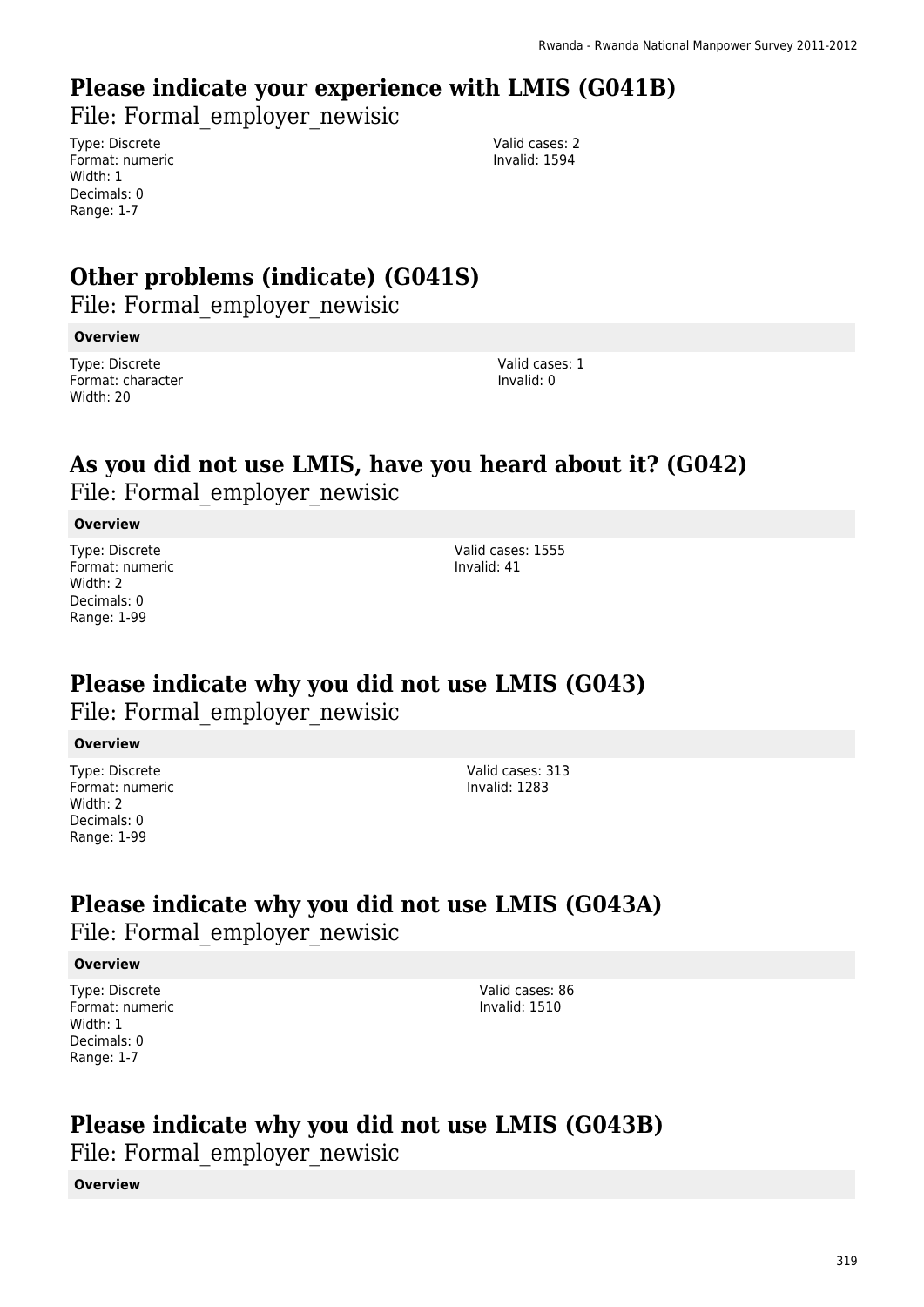### **Please indicate your experience with LMIS (G041B)**

File: Formal employer newisic

Type: Discrete Format: numeric Width: 1 Decimals: 0 Range: 1-7

Valid cases: 2 Invalid: 1594

## **Other problems (indicate) (G041S)**

File: Formal\_employer\_newisic

#### **Overview**

Type: Discrete Format: character Width: 20

Valid cases: 1 Invalid: 0

### **As you did not use LMIS, have you heard about it? (G042)**  File: Formal\_employer\_newisic

#### **Overview**

Type: Discrete Format: numeric Width: 2 Decimals: 0 Range: 1-99

Valid cases: 1555 Invalid: 41

### **Please indicate why you did not use LMIS (G043)**  File: Formal\_employer\_newisic

#### **Overview**

Type: Discrete Format: numeric Width: 2 Decimals: 0 Range: 1-99

Valid cases: 313 Invalid: 1283

## **Please indicate why you did not use LMIS (G043A)**

File: Formal\_employer\_newisic

#### **Overview**

Type: Discrete Format: numeric Width: 1 Decimals: 0 Range: 1-7

Valid cases: 86 Invalid: 1510

### **Please indicate why you did not use LMIS (G043B)**

File: Formal\_employer\_newisic

#### **Overview**

319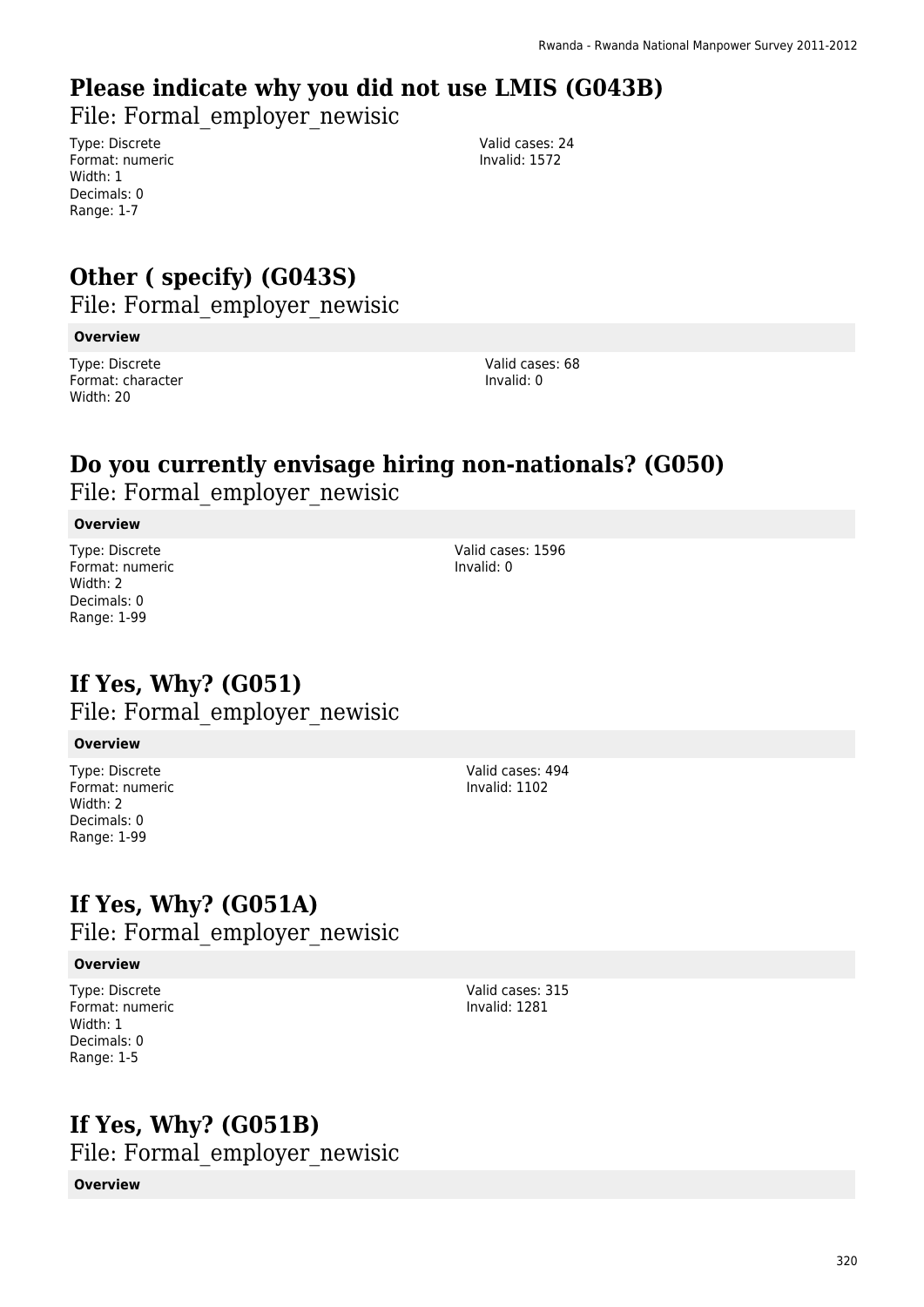### **Please indicate why you did not use LMIS (G043B)**

File: Formal employer newisic

Type: Discrete Format: numeric Width: 1 Decimals: 0 Range: 1-7

Valid cases: 24 Invalid: 1572

## **Other ( specify) (G043S)**

File: Formal\_employer\_newisic

#### **Overview**

Type: Discrete Format: character Width: 20

Valid cases: 68 Invalid: 0

### **Do you currently envisage hiring non-nationals? (G050)**  File: Formal\_employer\_newisic

#### **Overview**

Type: Discrete Format: numeric Width: 2 Decimals: 0 Range: 1-99

### **If Yes, Why? (G051)**  File: Formal\_employer\_newisic

#### **Overview**

Type: Discrete Format: numeric Width: 2 Decimals: 0 Range: 1-99

# **If Yes, Why? (G051A)**

File: Formal\_employer\_newisic

#### **Overview**

Type: Discrete Format: numeric Width: 1 Decimals: 0 Range: 1-5

## Valid cases: 315

Valid cases: 494 Invalid: 1102

Invalid: 1281

**If Yes, Why? (G051B)** 

File: Formal\_employer\_newisic

**Overview**

Valid cases: 1596 Invalid: 0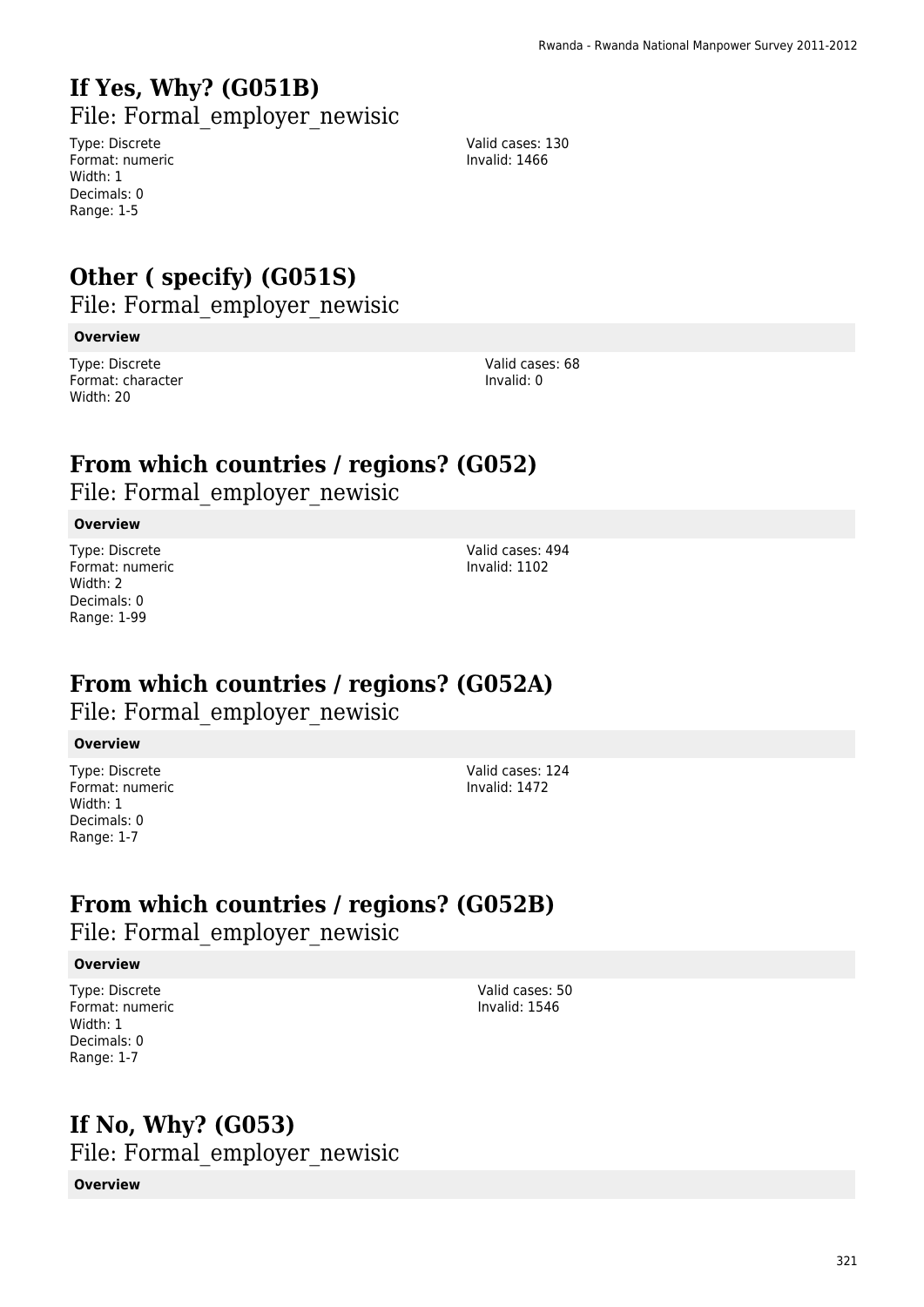## **If Yes, Why? (G051B)**

File: Formal\_employer\_newisic

Type: Discrete Format: numeric Width: 1 Decimals: 0 Range: 1-5

Valid cases: 130 Invalid: 1466

## **Other ( specify) (G051S)**

File: Formal\_employer\_newisic

#### **Overview**

Type: Discrete Format: character Width: 20

## **From which countries / regions? (G052)**

File: Formal\_employer\_newisic

### **Overview**

Type: Discrete Format: numeric Width: 2 Decimals: 0 Range: 1-99

## **From which countries / regions? (G052A)**

File: Formal\_employer\_newisic

#### **Overview**

Type: Discrete Format: numeric Width: 1 Decimals: 0 Range: 1-7

Valid cases: 124 Invalid: 1472

> Valid cases: 50 Invalid: 1546

Valid cases: 494 Invalid: 1102

## **From which countries / regions? (G052B)**

File: Formal\_employer\_newisic

#### **Overview**

Type: Discrete Format: numeric Width: 1 Decimals: 0 Range: 1-7

### **If No, Why? (G053)**

File: Formal\_employer\_newisic

### **Overview**

Valid cases: 68 Invalid: 0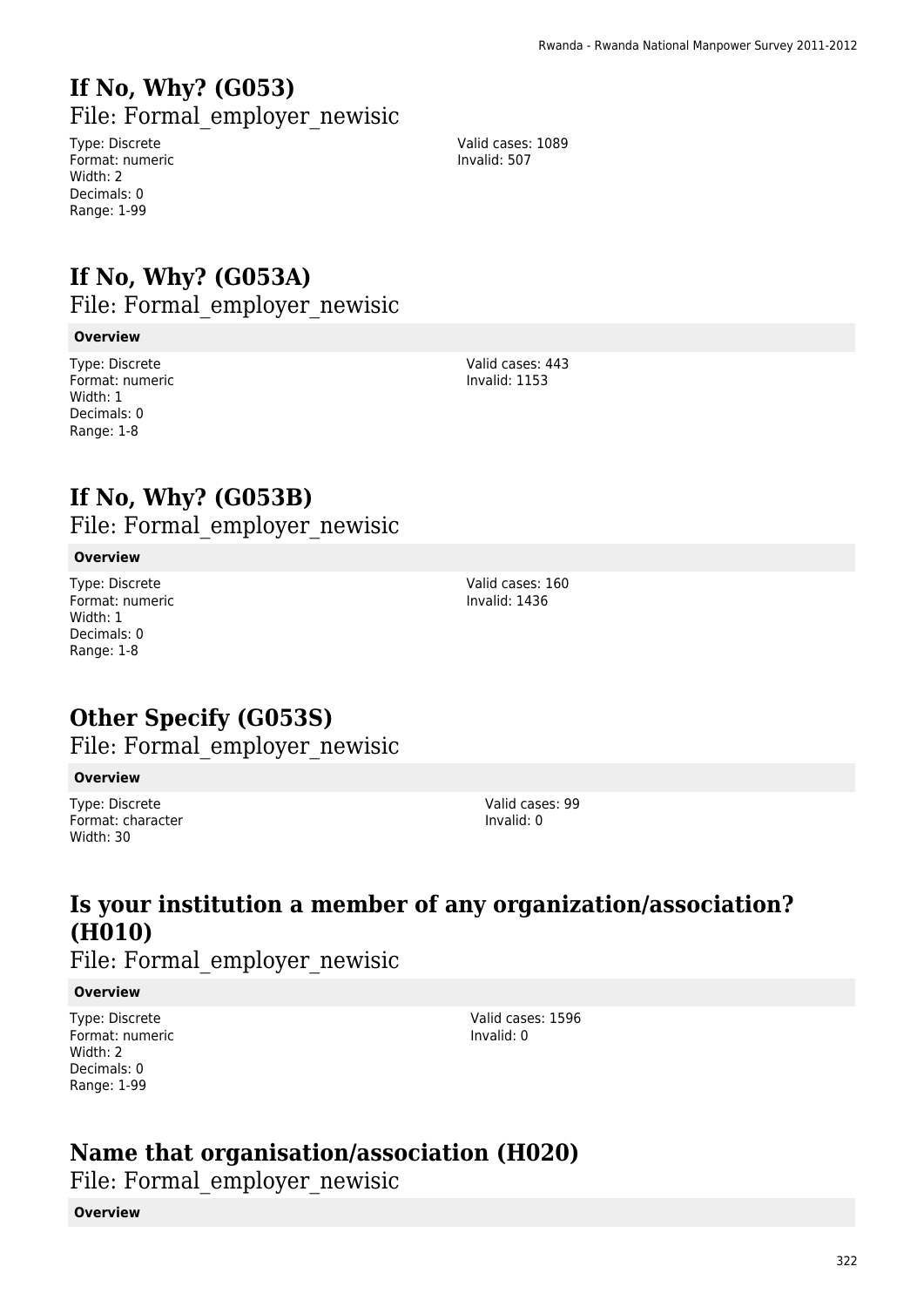### **If No, Why? (G053)**  File: Formal\_employer\_newisic

Type: Discrete Format: numeric Width: 2 Decimals: 0 Range: 1-99

**If No, Why? (G053A)** 

File: Formal\_employer\_newisic

### **Overview**

Type: Discrete Format: numeric Width: 1 Decimals: 0 Range: 1-8

#### Valid cases: 443 Invalid: 1153

Valid cases: 1089 Invalid: 507

# **If No, Why? (G053B)**

File: Formal\_employer\_newisic

#### **Overview**

Type: Discrete Format: numeric Width: 1 Decimals: 0 Range: 1-8

### **Other Specify (G053S)**

File: Formal\_employer\_newisic

#### **Overview**

Type: Discrete Format: character Width: 30

Valid cases: 99 Invalid: 0

### **Is your institution a member of any organization/association? (H010)**

File: Formal\_employer\_newisic

#### **Overview**

Type: Discrete Format: numeric Width: 2 Decimals: 0 Range: 1-99

Valid cases: 1596 Invalid: 0

### **Name that organisation/association (H020)**

File: Formal\_employer\_newisic

**Overview**

Valid cases: 160 Invalid: 1436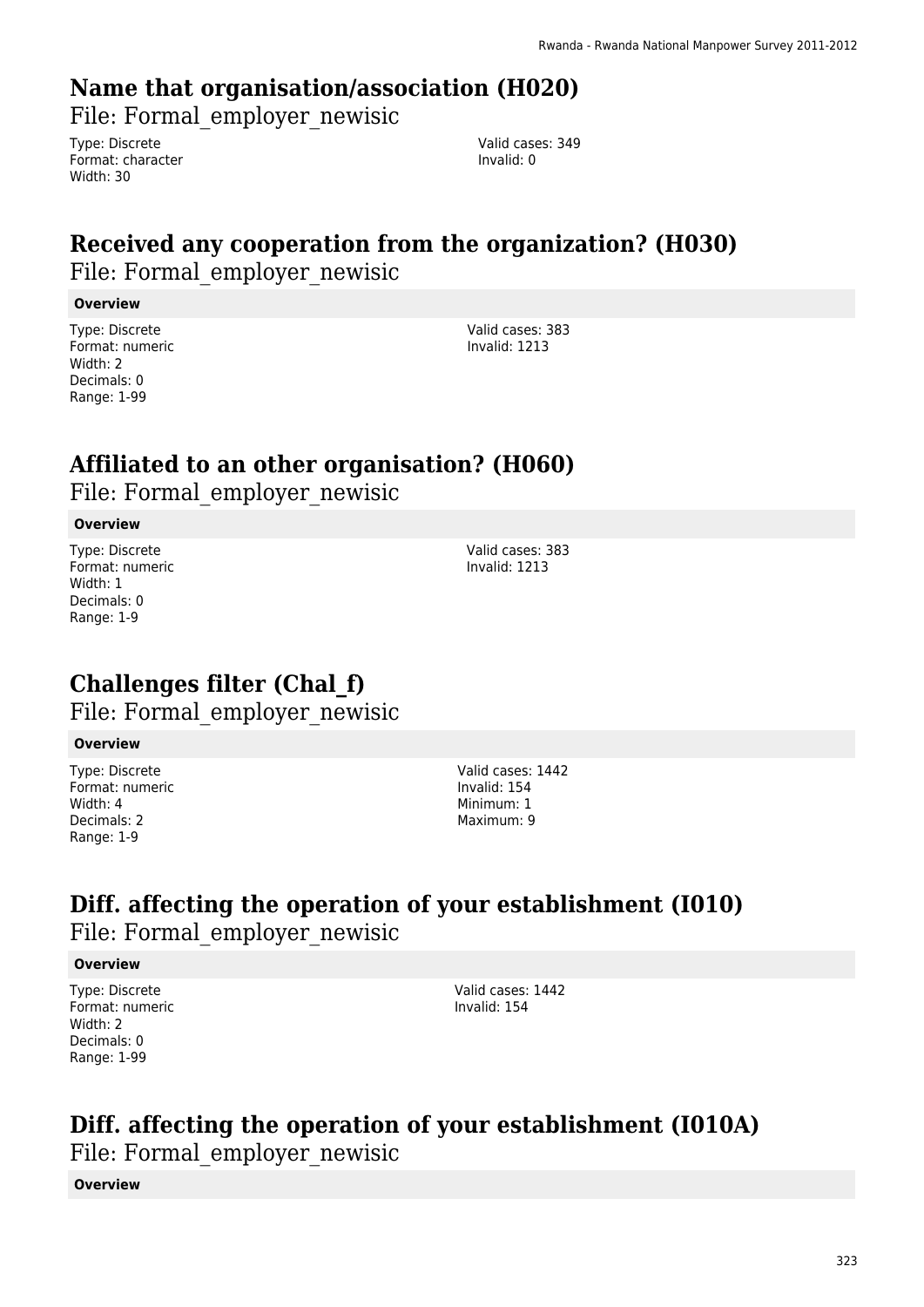### **Name that organisation/association (H020)**

File: Formal\_employer\_newisic

Type: Discrete Format: character Width: 30

Valid cases: 349 Invalid: 0

### **Received any cooperation from the organization? (H030)**  File: Formal employer newisic

#### **Overview**

Type: Discrete Format: numeric Width: 2 Decimals: 0 Range: 1-99

## **Affiliated to an other organisation? (H060)**

File: Formal\_employer\_newisic

#### **Overview**

Type: Discrete Format: numeric Width: 1 Decimals: 0 Range: 1-9

#### Valid cases: 383 Invalid: 1213

Valid cases: 383 Invalid: 1213

## **Challenges filter (Chal\_f)**

File: Formal\_employer\_newisic

#### **Overview**

Type: Discrete Format: numeric Width: 4 Decimals: 2 Range: 1-9

Valid cases: 1442 Invalid: 154 Minimum: 1 Maximum: 9

### **Diff. affecting the operation of your establishment (I010)**  File: Formal\_employer\_newisic

### **Overview**

Type: Discrete Format: numeric Width: 2 Decimals: 0 Range: 1-99

Valid cases: 1442 Invalid: 154

### **Diff. affecting the operation of your establishment (I010A)**

File: Formal\_employer\_newisic

#### **Overview**

323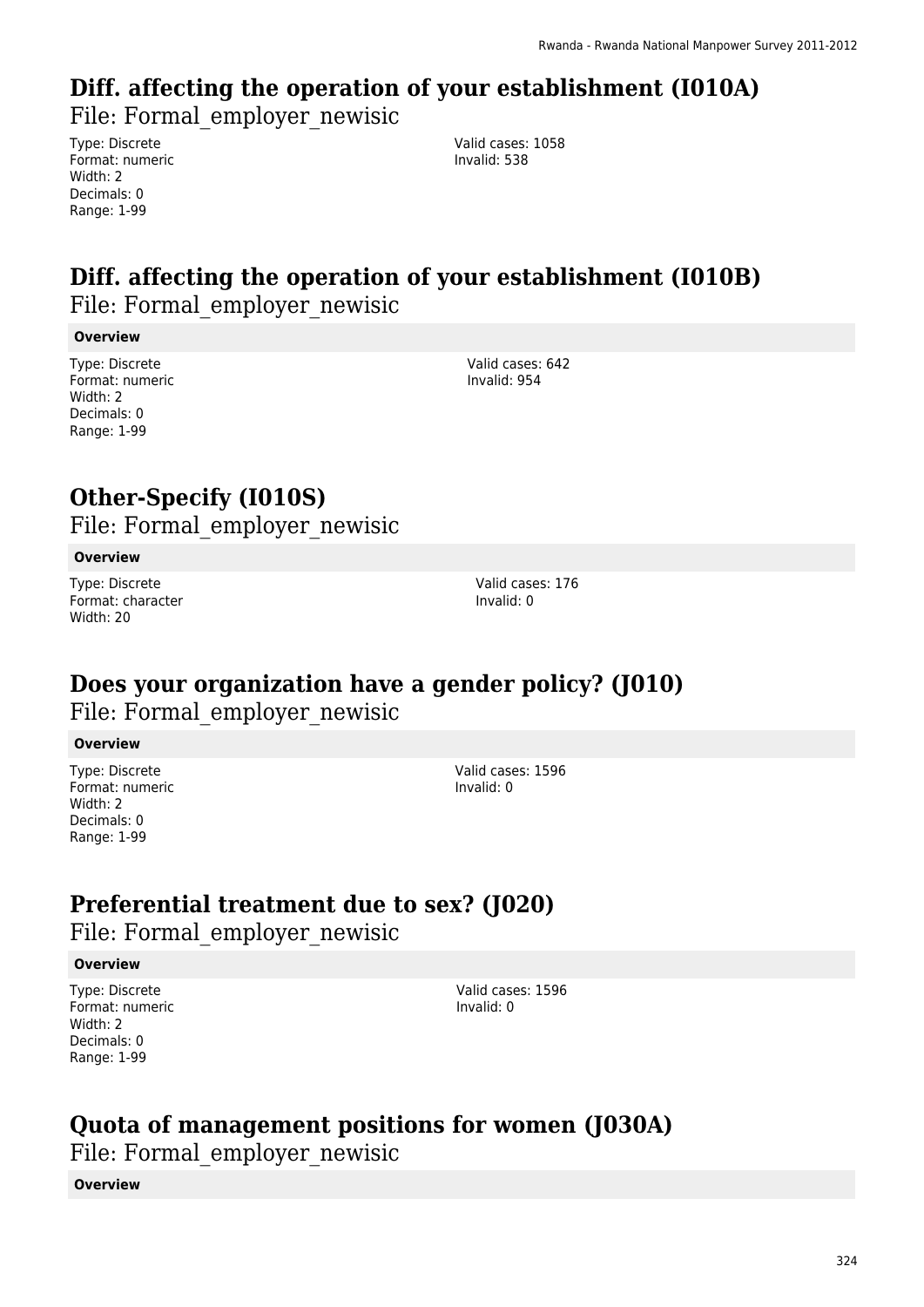### **Diff. affecting the operation of your establishment (I010A)**

File: Formal\_employer\_newisic

Type: Discrete Format: numeric Width: 2 Decimals: 0 Range: 1-99

Valid cases: 1058 Invalid: 538

### **Diff. affecting the operation of your establishment (I010B)**  File: Formal\_employer\_newisic

#### **Overview**

Type: Discrete Format: numeric Width: 2 Decimals: 0 Range: 1-99

Valid cases: 642 Invalid: 954

### **Other-Specify (I010S)**

File: Formal\_employer\_newisic

#### **Overview**

Type: Discrete Format: character Width: 20

Valid cases: 176 Invalid: 0

### **Does your organization have a gender policy? (J010)**  File: Formal\_employer\_newisic

#### **Overview**

Type: Discrete Format: numeric Width: 2 Decimals: 0 Range: 1-99

Valid cases: 1596 Invalid: 0

### **Preferential treatment due to sex? (J020)**

File: Formal\_employer\_newisic

#### **Overview**

Type: Discrete Format: numeric Width: 2 Decimals: 0 Range: 1-99

Valid cases: 1596 Invalid: 0

### **Quota of management positions for women (J030A)**

File: Formal\_employer\_newisic

#### **Overview**

324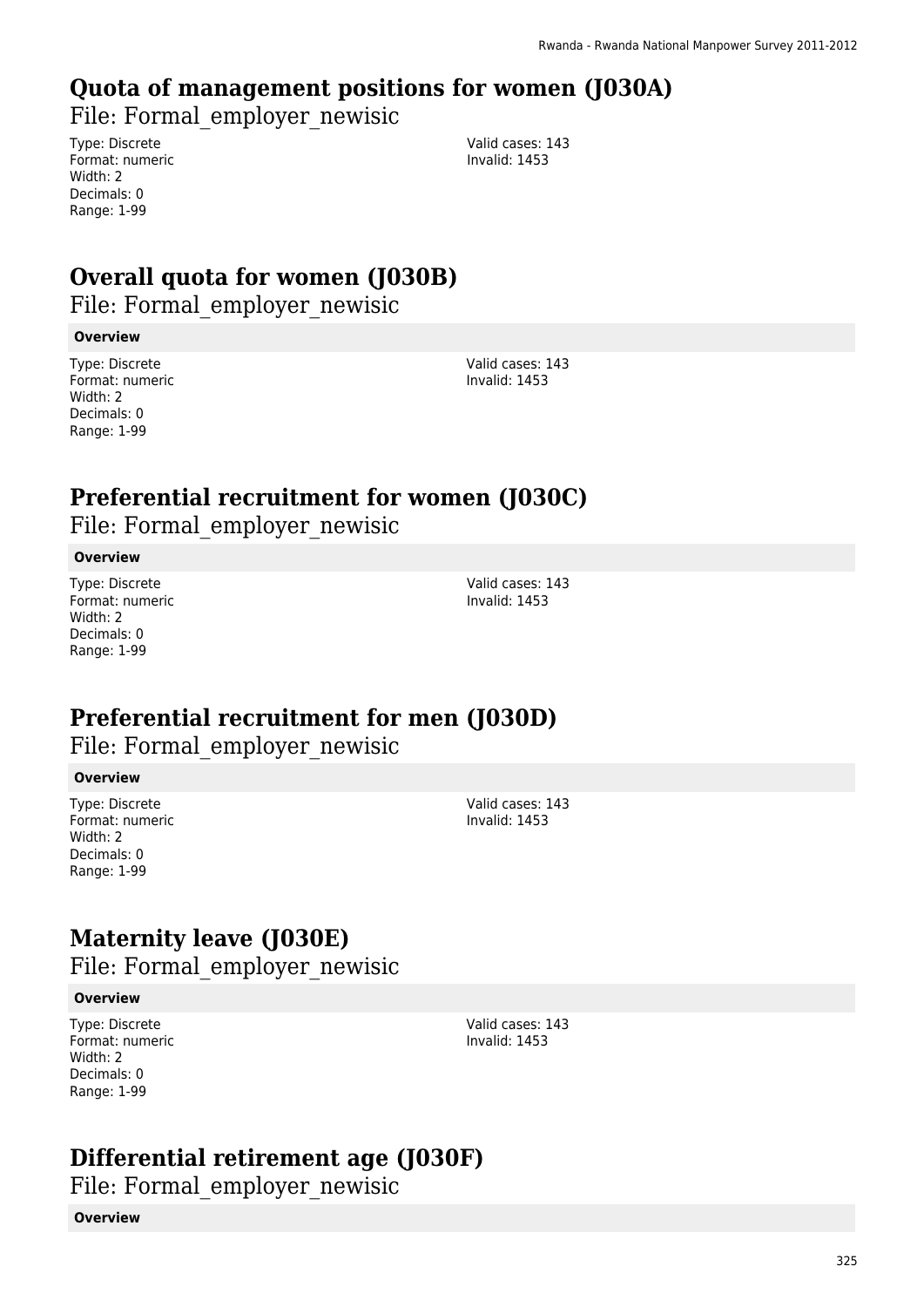# **Quota of management positions for women (J030A)**

File: Formal employer newisic

Type: Discrete Format: numeric Width: 2 Decimals: 0 Range: 1-99

Valid cases: 143 Invalid: 1453

# **Overall quota for women (J030B)**

File: Formal\_employer\_newisic

#### **Overview**

Type: Discrete Format: numeric Width: 2 Decimals: 0 Range: 1-99

Valid cases: 143 Invalid: 1453

### **Preferential recruitment for women (J030C)**

File: Formal\_employer\_newisic

#### **Overview**

Type: Discrete Format: numeric Width: 2 Decimals: 0 Range: 1-99

Valid cases: 143 Invalid: 1453

### **Preferential recruitment for men (J030D)**

File: Formal employer newisic

#### **Overview**

Type: Discrete Format: numeric Width: 2 Decimals: 0 Range: 1-99

Valid cases: 143 Invalid: 1453

# **Maternity leave (J030E)**

File: Formal\_employer\_newisic

#### **Overview**

Type: Discrete Format: numeric Width: 2 Decimals: 0 Range: 1-99

Valid cases: 143 Invalid: 1453

# **Differential retirement age (J030F)**

File: Formal\_employer\_newisic

**Overview**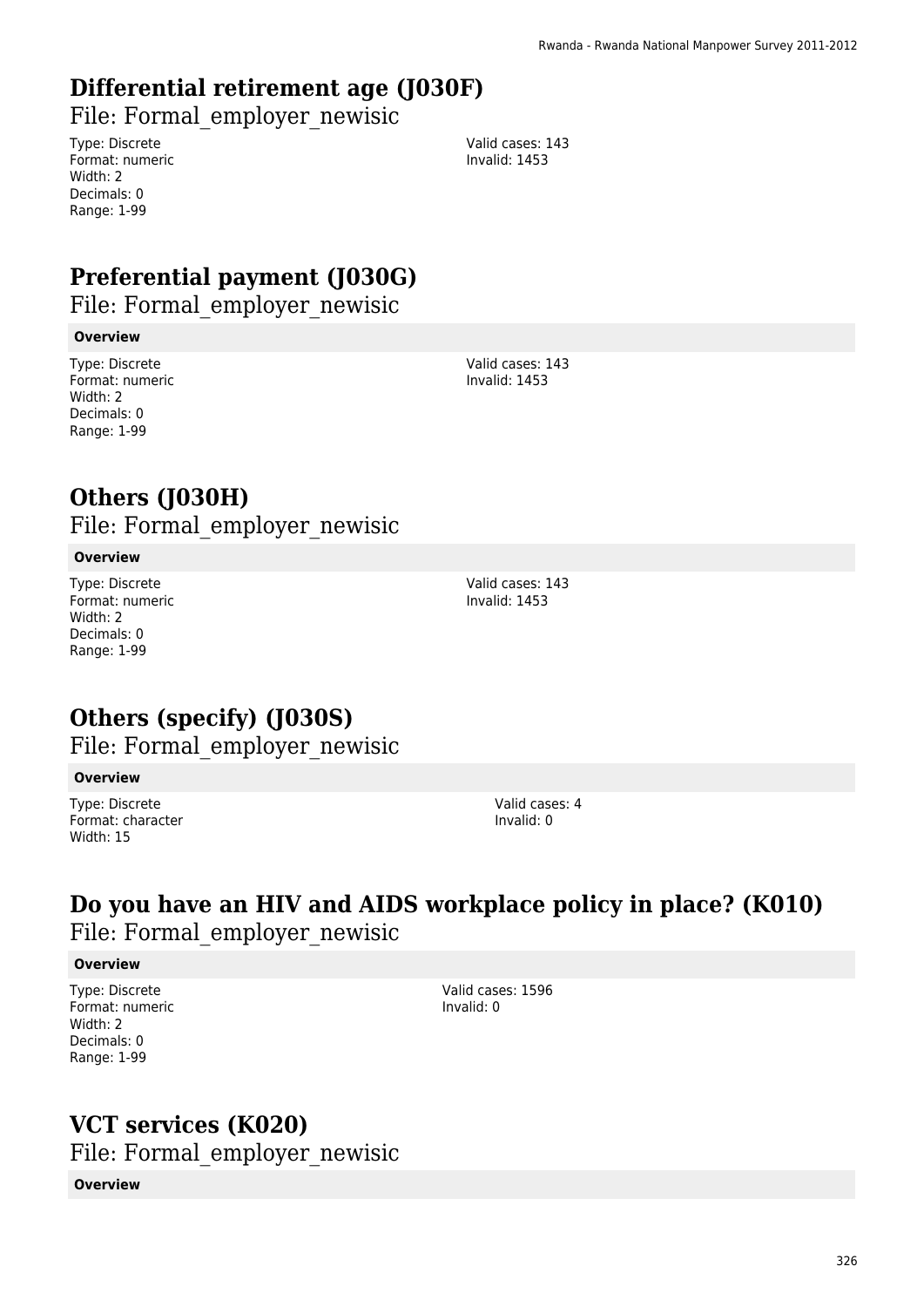# **Differential retirement age (J030F)**

File: Formal employer newisic

Type: Discrete Format: numeric Width: 2 Decimals: 0 Range: 1-99

# **Preferential payment (J030G)**

File: Formal\_employer\_newisic

#### **Overview**

Type: Discrete Format: numeric Width: 2 Decimals: 0 Range: 1-99

#### Valid cases: 143 Invalid: 1453

Valid cases: 143 Invalid: 1453

Valid cases: 143 Invalid: 1453

# **Others (J030H)**

File: Formal\_employer\_newisic

#### **Overview**

Type: Discrete Format: numeric Width: 2 Decimals: 0 Range: 1-99

# **Others (specify) (J030S)**

File: Formal\_employer\_newisic

#### **Overview**

Type: Discrete Format: character Width: 15

Valid cases: 4 Invalid: 0

### **Do you have an HIV and AIDS workplace policy in place? (K010)**  File: Formal\_employer\_newisic

#### **Overview**

Type: Discrete Format: numeric Width: 2 Decimals: 0 Range: 1-99

Valid cases: 1596 Invalid: 0

# **VCT services (K020)**

File: Formal\_employer\_newisic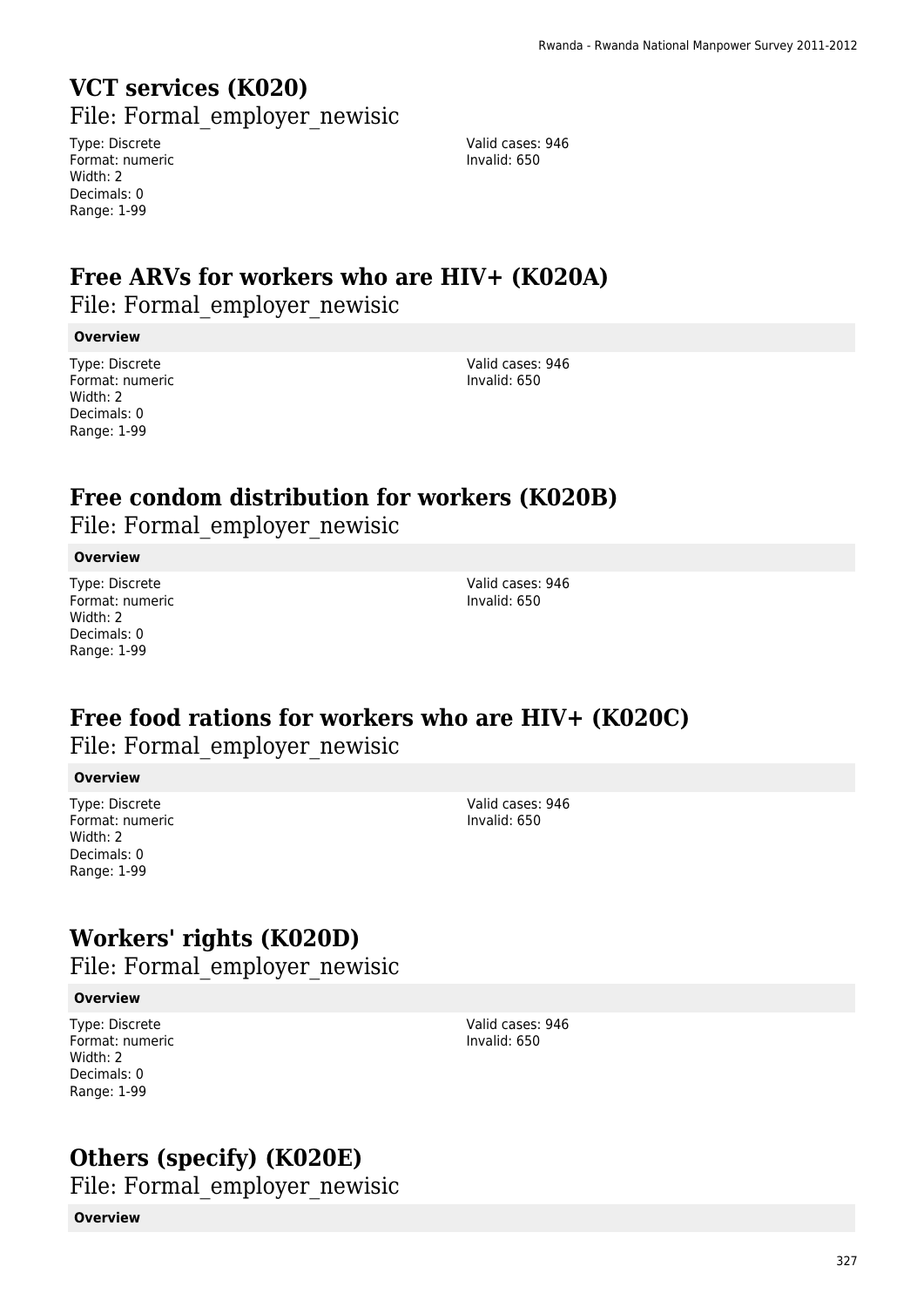### **VCT services (K020)**  File: Formal\_employer\_newisic

Type: Discrete Format: numeric Width: 2 Decimals: 0 Range: 1-99

Valid cases: 946 Invalid: 650

### **Free ARVs for workers who are HIV+ (K020A)**

File: Formal\_employer\_newisic

#### **Overview**

Type: Discrete Format: numeric Width: 2 Decimals: 0 Range: 1-99

Valid cases: 946 Invalid: 650

### **Free condom distribution for workers (K020B)**

File: Formal\_employer\_newisic

#### **Overview**

Type: Discrete Format: numeric Width: 2 Decimals: 0 Range: 1-99

Valid cases: 946 Invalid: 650

# **Free food rations for workers who are HIV+ (K020C)**

File: Formal\_employer\_newisic

#### **Overview**

Type: Discrete Format: numeric Width: 2 Decimals: 0 Range: 1-99

Valid cases: 946 Invalid: 650

### **Workers' rights (K020D)**

File: Formal\_employer\_newisic

#### **Overview**

Type: Discrete Format: numeric Width: 2 Decimals: 0 Range: 1-99

Valid cases: 946 Invalid: 650

### **Others (specify) (K020E)**

File: Formal\_employer\_newisic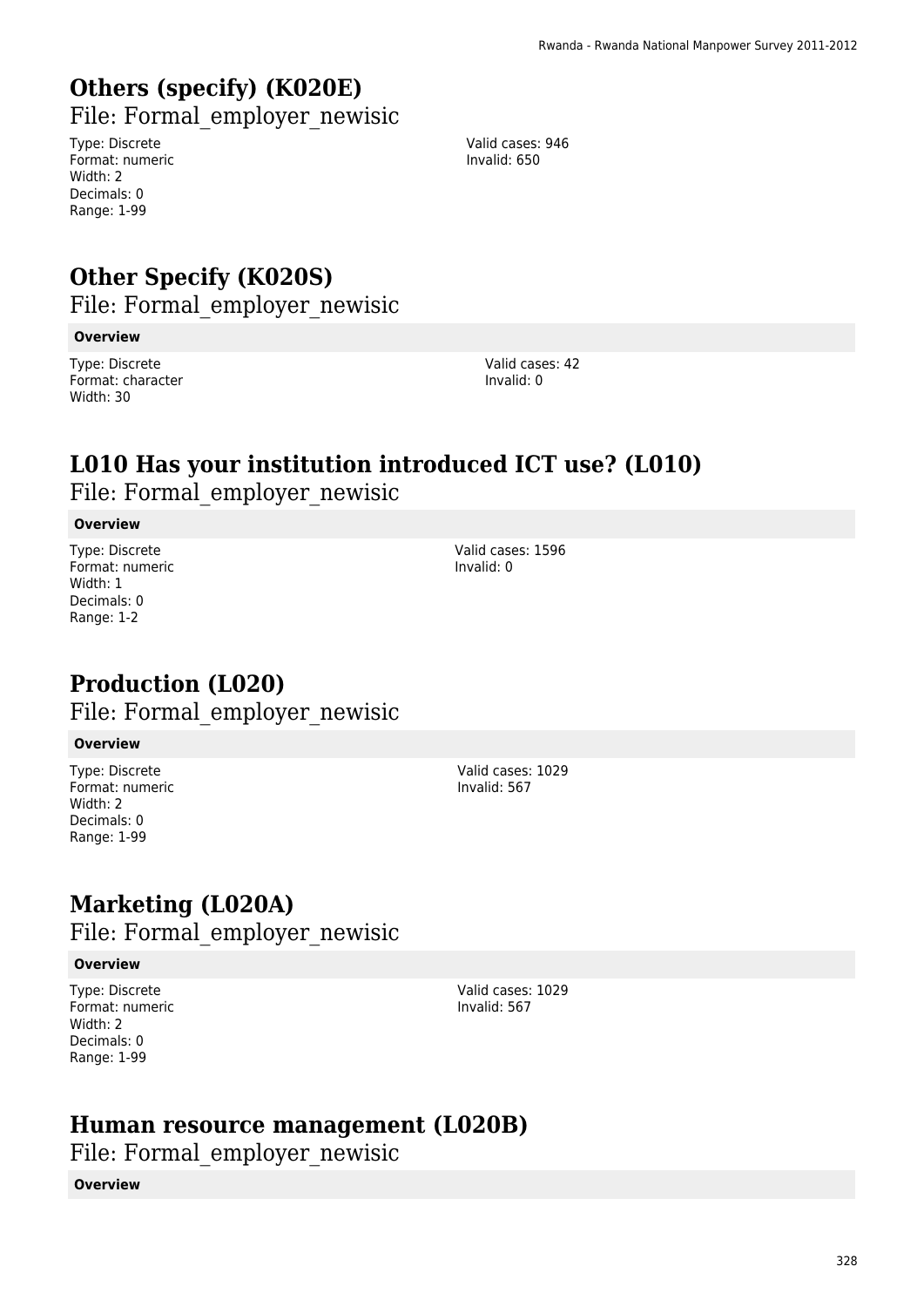# **Others (specify) (K020E)**

File: Formal employer newisic

Type: Discrete Format: numeric Width: 2 Decimals: 0 Range: 1-99

Valid cases: 946 Invalid: 650

# **Other Specify (K020S)**

File: Formal\_employer\_newisic

#### **Overview**

Type: Discrete Format: character Width: 30

Valid cases: 42 Invalid: 0

### **L010 Has your institution introduced ICT use? (L010)**  File: Formal\_employer\_newisic

#### **Overview**

Type: Discrete Format: numeric Width: 1 Decimals: 0 Range: 1-2

# **Production (L020)**

File: Formal\_employer\_newisic

#### **Overview**

Type: Discrete Format: numeric Width: 2 Decimals: 0 Range: 1-99

Valid cases: 1029 Invalid: 567

Valid cases: 1596

Invalid: 0

# **Marketing (L020A)**

File: Formal\_employer\_newisic

#### **Overview**

Type: Discrete Format: numeric Width: 2 Decimals: 0 Range: 1-99

Valid cases: 1029 Invalid: 567

### **Human resource management (L020B)**

File: Formal\_employer\_newisic

#### **Overview**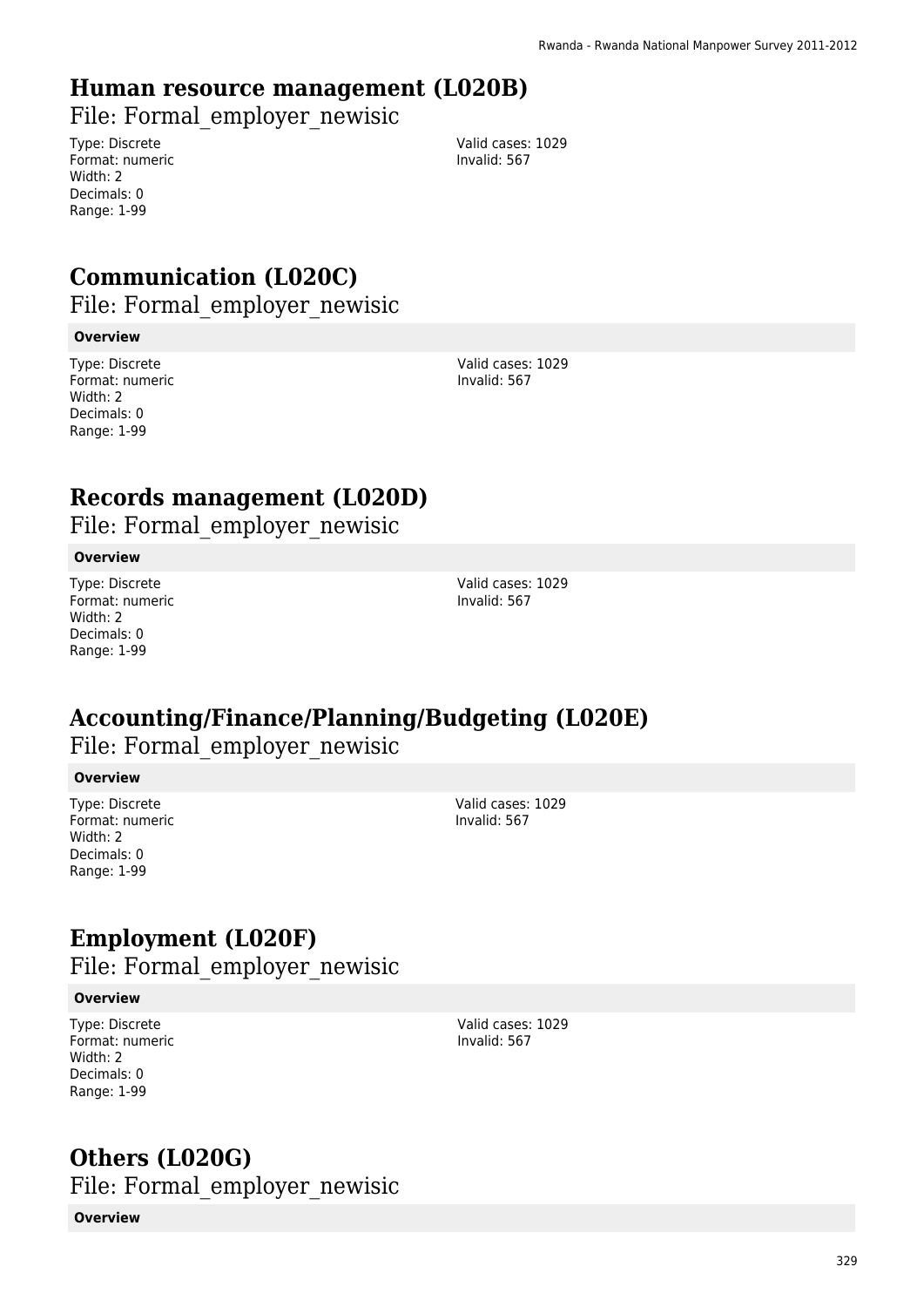### **Human resource management (L020B)**

File: Formal employer newisic

Type: Discrete Format: numeric Width: 2 Decimals: 0 Range: 1-99

Valid cases: 1029 Invalid: 567

# **Communication (L020C)**

File: Formal\_employer\_newisic

#### **Overview**

Type: Discrete Format: numeric Width: 2 Decimals: 0 Range: 1-99

Valid cases: 1029 Invalid: 567

### **Records management (L020D)**

File: Formal\_employer\_newisic

#### **Overview**

Type: Discrete Format: numeric Width: 2 Decimals: 0 Range: 1-99

Valid cases: 1029 Invalid: 567

### **Accounting/Finance/Planning/Budgeting (L020E)**

File: Formal\_employer\_newisic

#### **Overview**

Type: Discrete Format: numeric Width: 2 Decimals: 0 Range: 1-99

Valid cases: 1029 Invalid: 567

# **Employment (L020F)**

File: Formal\_employer\_newisic

#### **Overview**

Type: Discrete Format: numeric Width: 2 Decimals: 0 Range: 1-99

Valid cases: 1029 Invalid: 567

# **Others (L020G)**

File: Formal\_employer\_newisic

**Overview**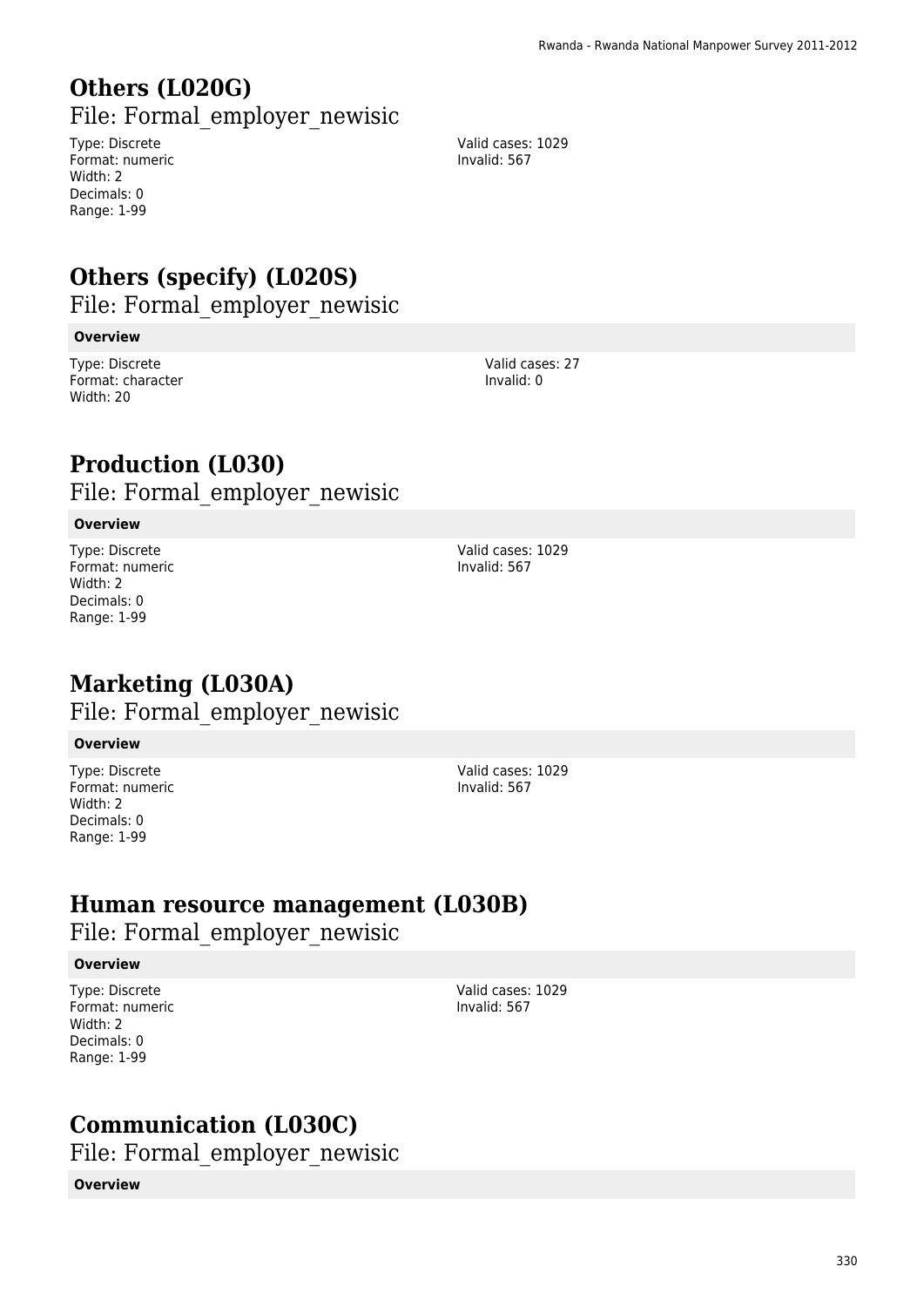# **Others (L020G)**

File: Formal employer newisic

Type: Discrete Format: numeric Width: 2 Decimals: 0 Range: 1-99

# **Others (specify) (L020S)**

File: Formal\_employer\_newisic

#### **Overview**

Type: Discrete Format: character Width: 20

### **Production (L030)**  File: Formal\_employer\_newisic

#### **Overview**

Type: Discrete Format: numeric Width: 2 Decimals: 0 Range: 1-99

# **Marketing (L030A)**

File: Formal\_employer\_newisic

#### **Overview**

Type: Discrete Format: numeric Width: 2 Decimals: 0 Range: 1-99

Valid cases: 1029 Invalid: 567

Valid cases: 1029 Invalid: 567

### **Human resource management (L030B)**

File: Formal\_employer\_newisic

#### **Overview**

Type: Discrete Format: numeric Width: 2 Decimals: 0 Range: 1-99

Valid cases: 1029 Invalid: 567

### **Communication (L030C)**

File: Formal\_employer\_newisic

#### **Overview**

Valid cases: 1029 Invalid: 567

> Valid cases: 27 Invalid: 0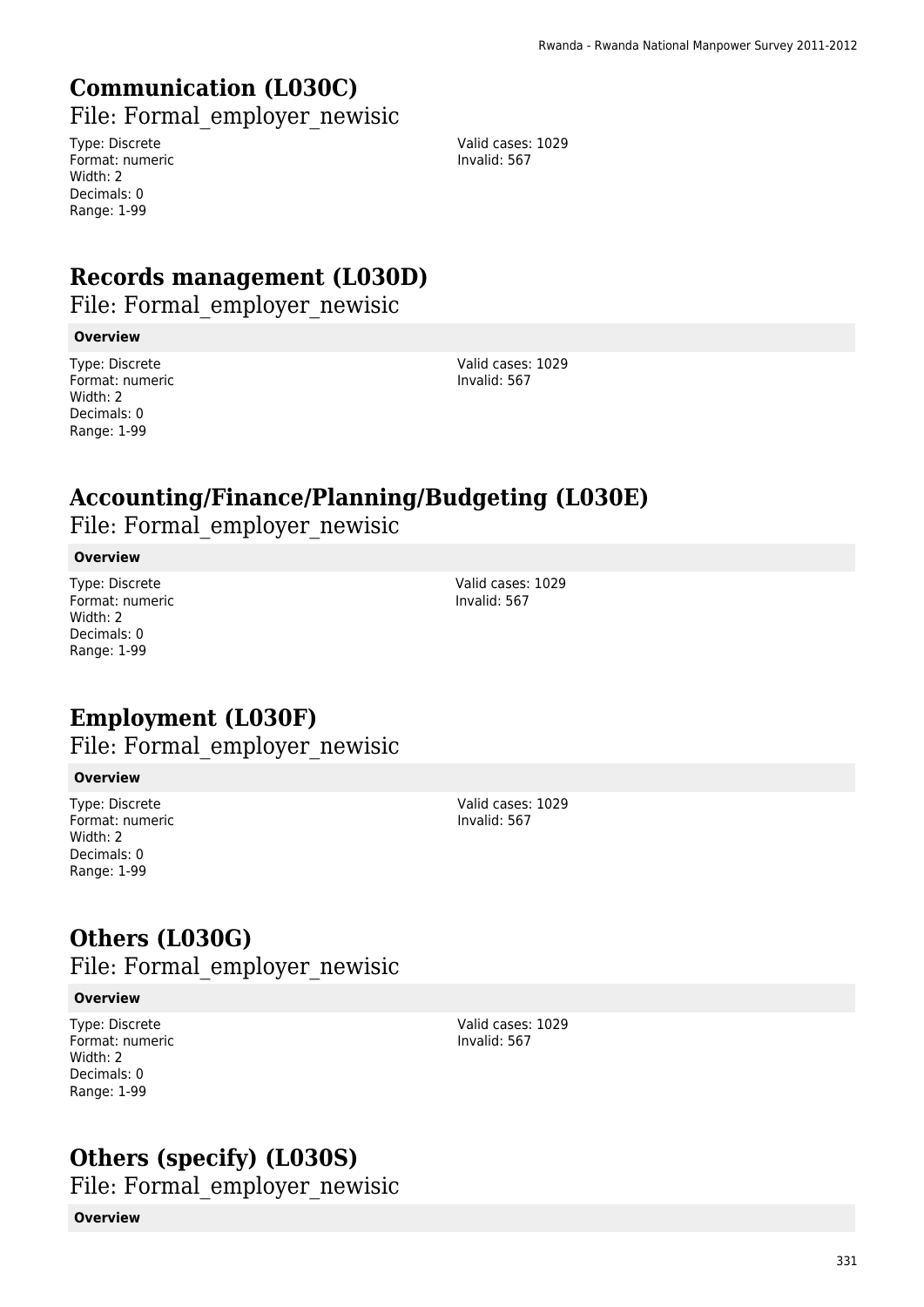### **Communication (L030C)**

File: Formal employer newisic

Type: Discrete Format: numeric Width: 2 Decimals: 0 Range: 1-99

Valid cases: 1029 Invalid: 567

### **Records management (L030D)**

File: Formal\_employer\_newisic

#### **Overview**

Type: Discrete Format: numeric Width: 2 Decimals: 0 Range: 1-99

Valid cases: 1029 Invalid: 567

### **Accounting/Finance/Planning/Budgeting (L030E)**

File: Formal\_employer\_newisic

#### **Overview**

Type: Discrete Format: numeric Width: 2 Decimals: 0 Range: 1-99

Valid cases: 1029 Invalid: 567

### **Employment (L030F)**

File: Formal\_employer\_newisic

#### **Overview**

Type: Discrete Format: numeric Width: 2 Decimals: 0 Range: 1-99

Valid cases: 1029 Invalid: 567

# **Others (L030G)**

File: Formal\_employer\_newisic

#### **Overview**

Type: Discrete Format: numeric Width: 2 Decimals: 0 Range: 1-99

Valid cases: 1029 Invalid: 567

### **Others (specify) (L030S)**

File: Formal\_employer\_newisic

**Overview**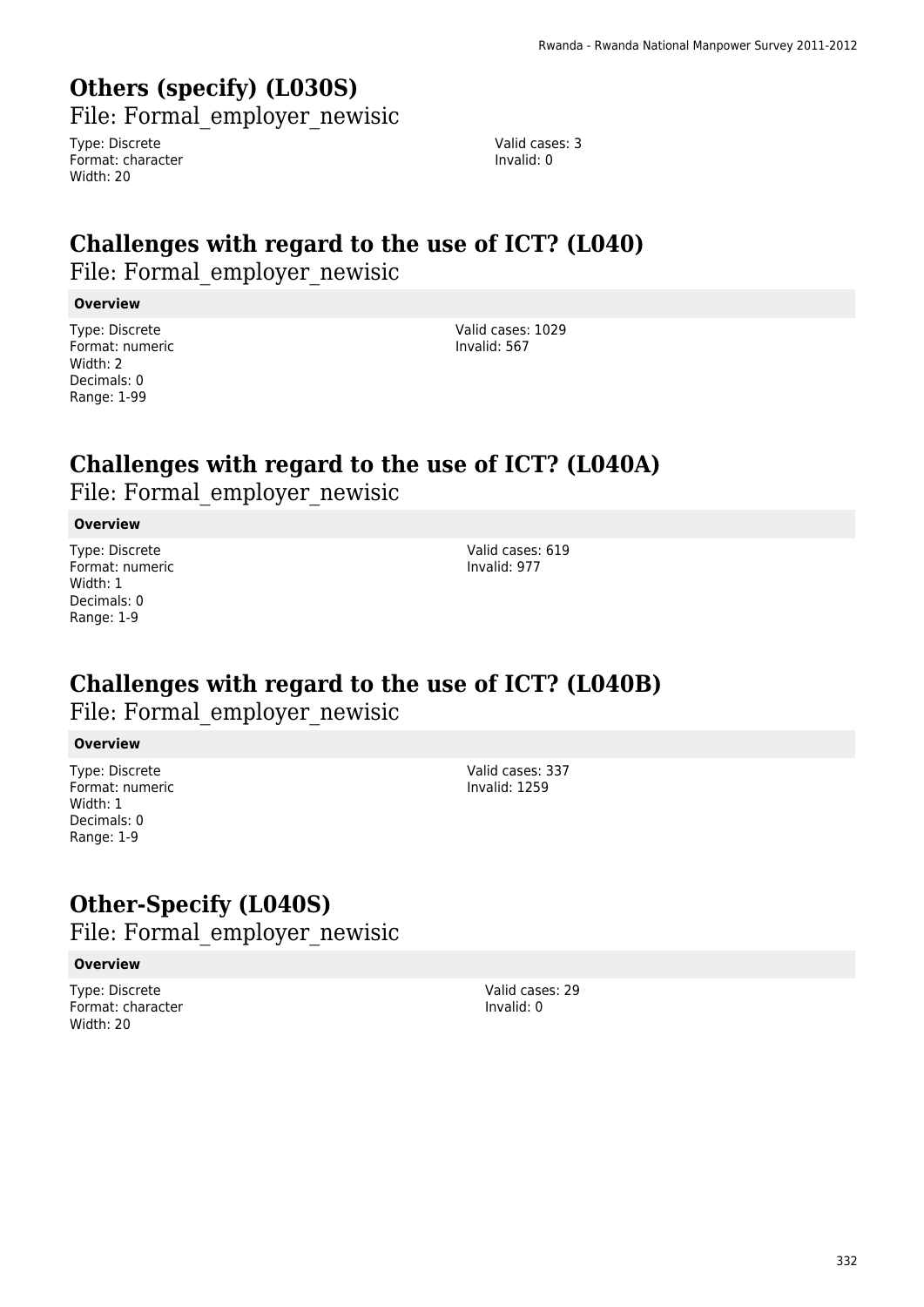# **Others (specify) (L030S)**

File: Formal\_employer\_newisic

Type: Discrete Format: character Width: 20

Valid cases: 3 Invalid: 0

### **Challenges with regard to the use of ICT? (L040)**  File: Formal\_employer\_newisic

#### **Overview**

Type: Discrete Format: numeric Width: 2 Decimals: 0 Range: 1-99

Valid cases: 1029 Invalid: 567

### **Challenges with regard to the use of ICT? (L040A)**  File: Formal\_employer\_newisic

#### **Overview**

Type: Discrete Format: numeric Width: 1 Decimals: 0 Range: 1-9

Valid cases: 619 Invalid: 977

### **Challenges with regard to the use of ICT? (L040B)**  File: Formal\_employer\_newisic

#### **Overview**

Type: Discrete Format: numeric Width: 1 Decimals: 0 Range: 1-9

Valid cases: 337 Invalid: 1259

# **Other-Specify (L040S)**

File: Formal\_employer\_newisic

#### **Overview**

Type: Discrete Format: character Width: 20

Valid cases: 29 Invalid: 0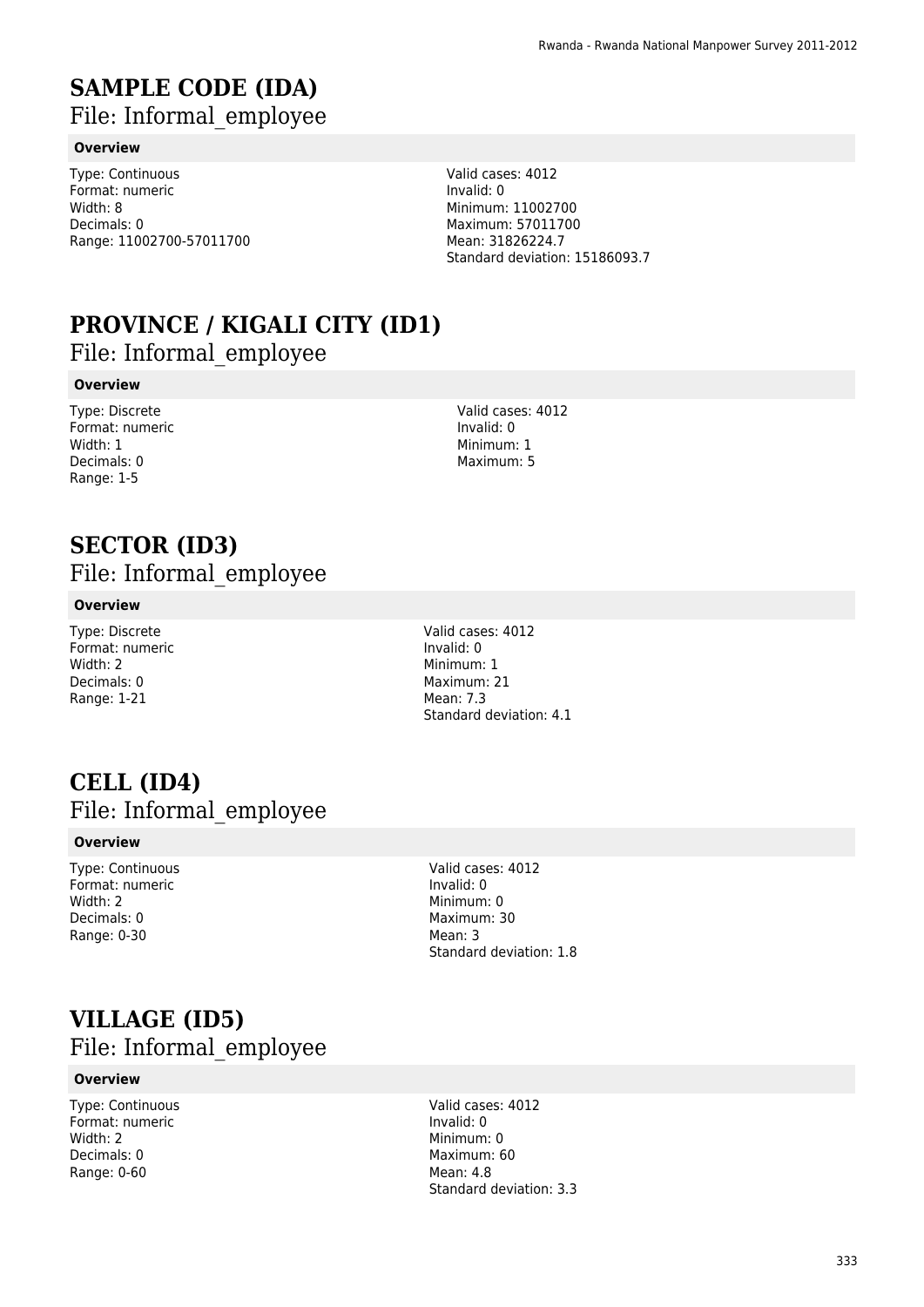### **SAMPLE CODE (IDA)**  File: Informal\_employee

#### **Overview**

Type: Continuous Format: numeric Width: 8 Decimals: 0 Range: 11002700-57011700

Valid cases: 4012 Invalid: 0 Minimum: 11002700 Maximum: 57011700 Mean: 31826224.7 Standard deviation: 15186093.7

### **PROVINCE / KIGALI CITY (ID1)**  File: Informal\_employee

#### **Overview**

Type: Discrete Format: numeric Width: 1 Decimals: 0 Range: 1-5

Valid cases: 4012 Invalid: 0 Minimum: 1 Maximum: 5

### **SECTOR (ID3)**  File: Informal\_employee

#### **Overview**

Type: Discrete Format: numeric Width: 2 Decimals: 0 Range: 1-21

Valid cases: 4012 Invalid: 0 Minimum: 1 Maximum: 21 Mean: 7.3 Standard deviation: 4.1

### **CELL (ID4)**  File: Informal\_employee

#### **Overview**

Type: Continuous Format: numeric Width: 2 Decimals: 0 Range: 0-30

Valid cases: 4012 Invalid: 0 Minimum: 0 Maximum: 30 Mean: 3 Standard deviation: 1.8

### **VILLAGE (ID5)**  File: Informal\_employee

#### **Overview**

Type: Continuous Format: numeric Width: 2 Decimals: 0 Range: 0-60

Valid cases: 4012 Invalid: 0 Minimum: 0 Maximum: 60 Mean: 4.8 Standard deviation: 3.3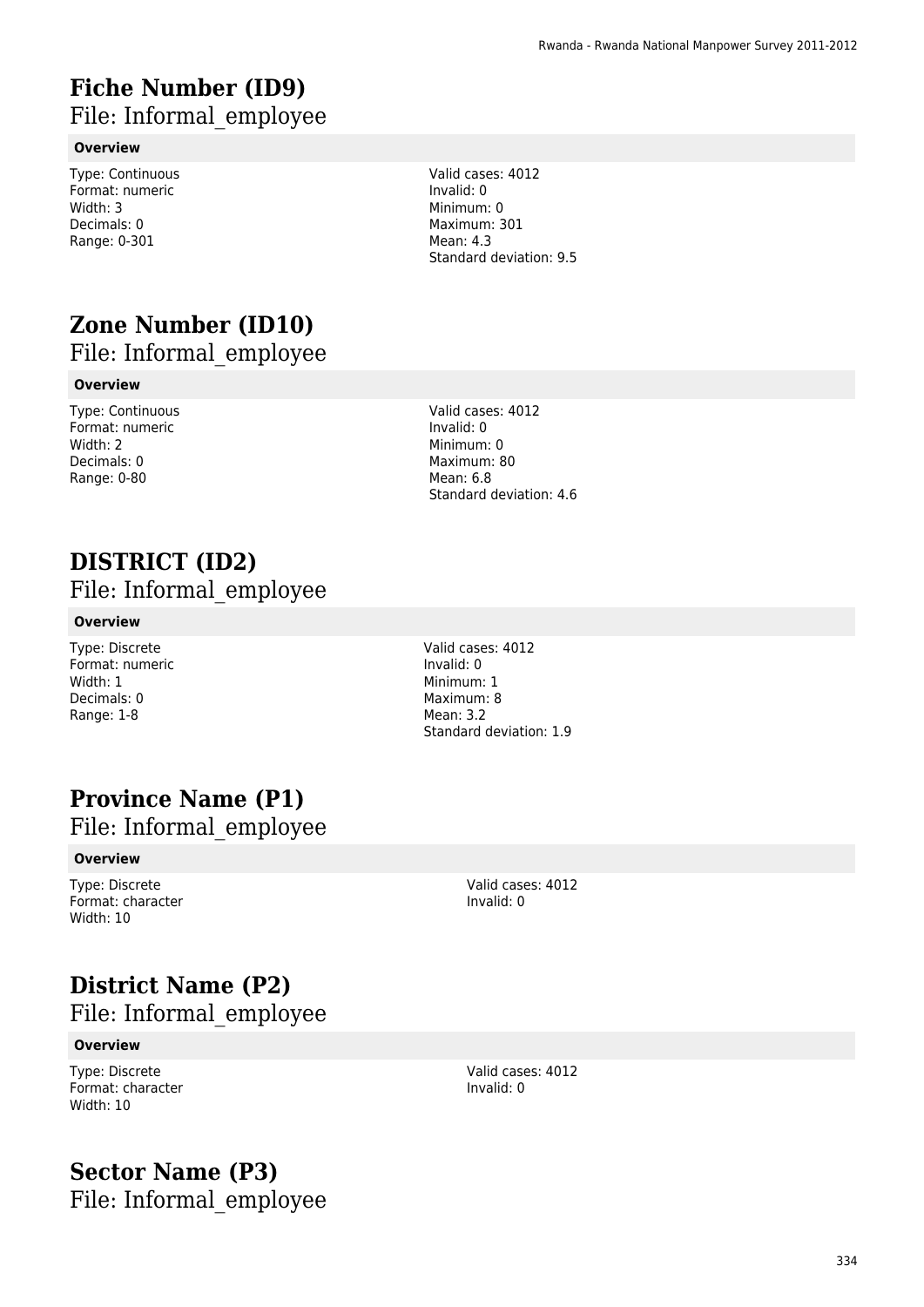### **Fiche Number (ID9)**  File: Informal\_employee

#### **Overview**

Type: Continuous Format: numeric Width: 3 Decimals: 0 Range: 0-301

Valid cases: 4012 Invalid: 0 Minimum: 0 Maximum: 301 Mean: 4.3 Standard deviation: 9.5

### **Zone Number (ID10)**  File: Informal\_employee

#### **Overview**

Type: Continuous Format: numeric Width: 2 Decimals: 0 Range: 0-80

Valid cases: 4012 Invalid: 0 Minimum: 0 Maximum: 80 Mean: 6.8 Standard deviation: 4.6

### **DISTRICT (ID2)**  File: Informal\_employee

#### **Overview**

Type: Discrete Format: numeric Width: 1 Decimals: 0 Range: 1-8

Valid cases: 4012 Invalid: 0 Minimum: 1 Maximum: 8 Mean: 3.2 Standard deviation: 1.9

### **Province Name (P1)**

File: Informal\_employee

#### **Overview**

Type: Discrete Format: character Width: 10

Valid cases: 4012 Invalid: 0

Valid cases: 4012

### **District Name (P2)**  File: Informal\_employee

#### **Overview**

Type: Discrete Format: character Width: 10

# **Sector Name (P3)**

File: Informal\_employee

Invalid: 0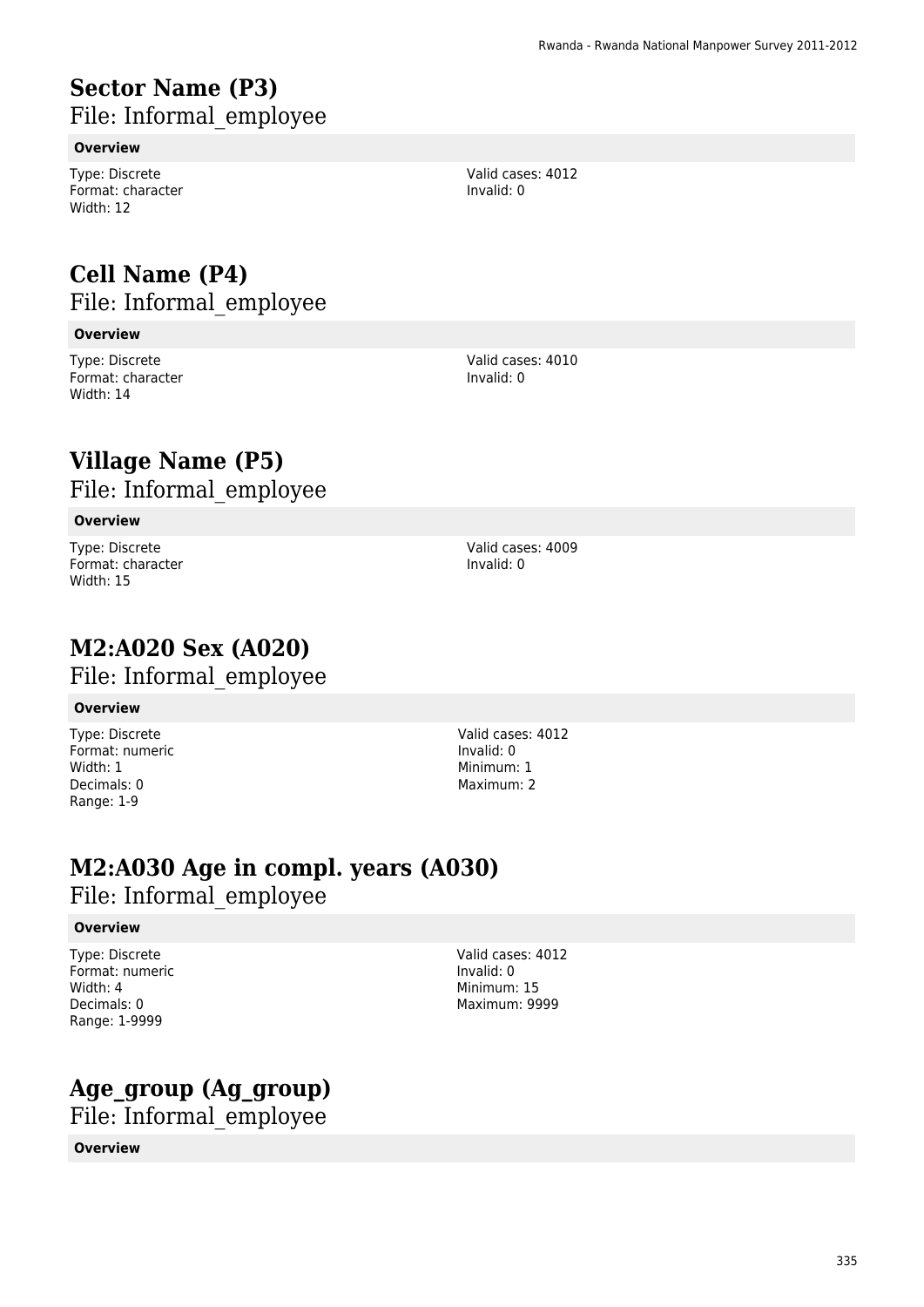# **Sector Name (P3)**

File: Informal\_employee

#### **Overview**

Type: Discrete Format: character Width: 12

### **Cell Name (P4)**  File: Informal\_employee

#### **Overview**

Type: Discrete Format: character Width: 14

#### Valid cases: 4012 Invalid: 0

Valid cases: 4010 Invalid: 0

# **Village Name (P5)**

File: Informal\_employee

#### **Overview**

Type: Discrete Format: character Width: 15

# **M2:A020 Sex (A020)**

### File: Informal\_employee

#### **Overview**

Type: Discrete Format: numeric Width: 1 Decimals: 0 Range: 1-9

Valid cases: 4012

Valid cases: 4009

Invalid: 0

#### Invalid: 0 Minimum: 1 Maximum: 2

### **M2:A030 Age in compl. years (A030)**  File: Informal\_employee

#### **Overview**

Type: Discrete Format: numeric Width: 4 Decimals: 0 Range: 1-9999

# **Age\_group (Ag\_group)**

File: Informal\_employee

#### **Overview**

Valid cases: 4012 Invalid: 0 Minimum: 15 Maximum: 9999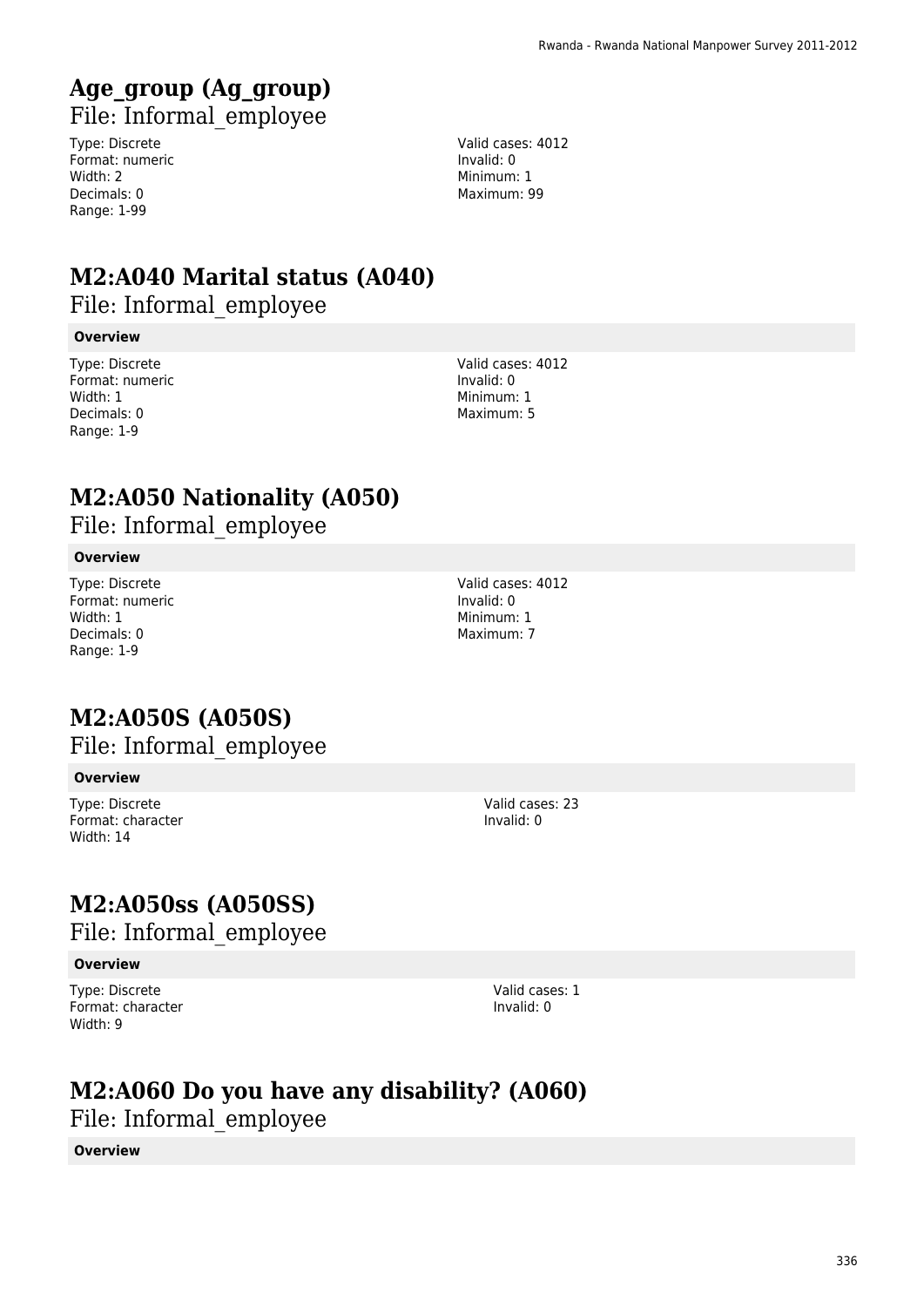# **Age\_group (Ag\_group)**

File: Informal\_employee

Type: Discrete Format: numeric Width: 2 Decimals: 0 Range: 1-99

Valid cases: 4012 Invalid: 0 Minimum: 1 Maximum: 99

# **M2:A040 Marital status (A040)**

### File: Informal\_employee

#### **Overview**

Type: Discrete Format: numeric Width: 1 Decimals: 0 Range: 1-9

Valid cases: 4012 Invalid: 0 Minimum: 1 Maximum: 5

# **M2:A050 Nationality (A050)**

File: Informal\_employee

#### **Overview**

Type: Discrete Format: numeric Width: 1 Decimals: 0 Range: 1-9

Valid cases: 4012 Invalid: 0 Minimum: 1 Maximum: 7

# **M2:A050S (A050S)**

File: Informal\_employee

#### **Overview**

Type: Discrete Format: character Width: 14

Valid cases: 23 Invalid: 0

# **M2:A050ss (A050SS)**

File: Informal\_employee

#### **Overview**

Type: Discrete Format: character Width: 9

Valid cases: 1 Invalid: 0

### **M2:A060 Do you have any disability? (A060)**

File: Informal\_employee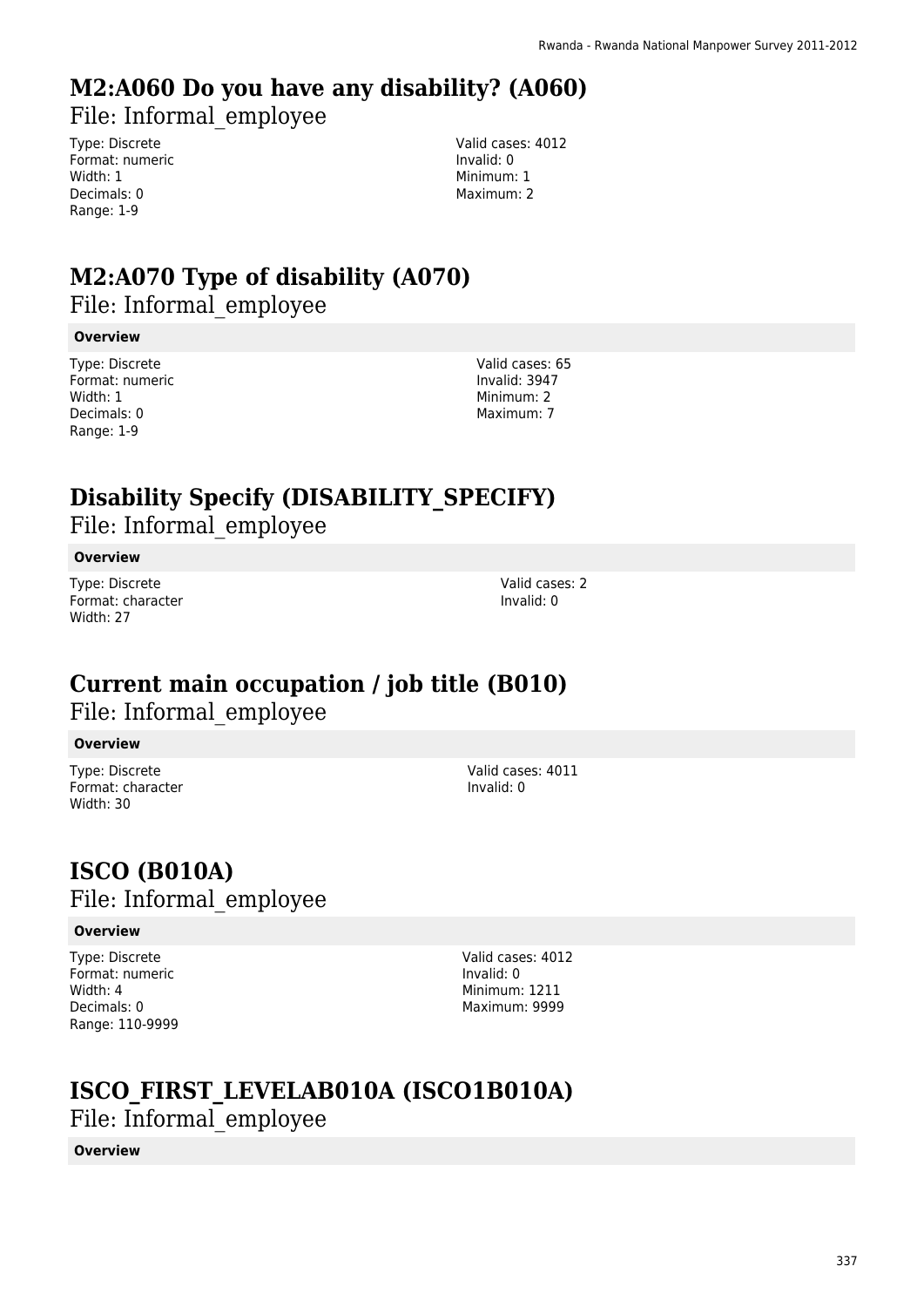# **M2:A060 Do you have any disability? (A060)**

File: Informal\_employee

Type: Discrete Format: numeric Width: 1 Decimals: 0 Range: 1-9

Valid cases: 4012 Invalid: 0 Minimum: 1 Maximum: 2

### **M2:A070 Type of disability (A070)**  File: Informal\_employee

#### **Overview**

Type: Discrete Format: numeric Width: 1 Decimals: 0 Range: 1-9

Valid cases: 65 Invalid: 3947 Minimum: 2 Maximum: 7

> Valid cases: 2 Invalid: 0

# **Disability Specify (DISABILITY\_SPECIFY)**

File: Informal\_employee

#### **Overview**

Type: Discrete Format: character Width: 27

# **Current main occupation / job title (B010)**

File: Informal\_employee

#### **Overview**

Type: Discrete Format: character Width: 30

### **ISCO (B010A)**  File: Informal\_employee

#### **Overview**

Type: Discrete Format: numeric Width: 4 Decimals: 0 Range: 110-9999

Valid cases: 4011 Invalid: 0

Valid cases: 4012 Invalid: 0 Minimum: 1211 Maximum: 9999

# **ISCO\_FIRST\_LEVELAB010A (ISCO1B010A)**

File: Informal\_employee

#### **Overview**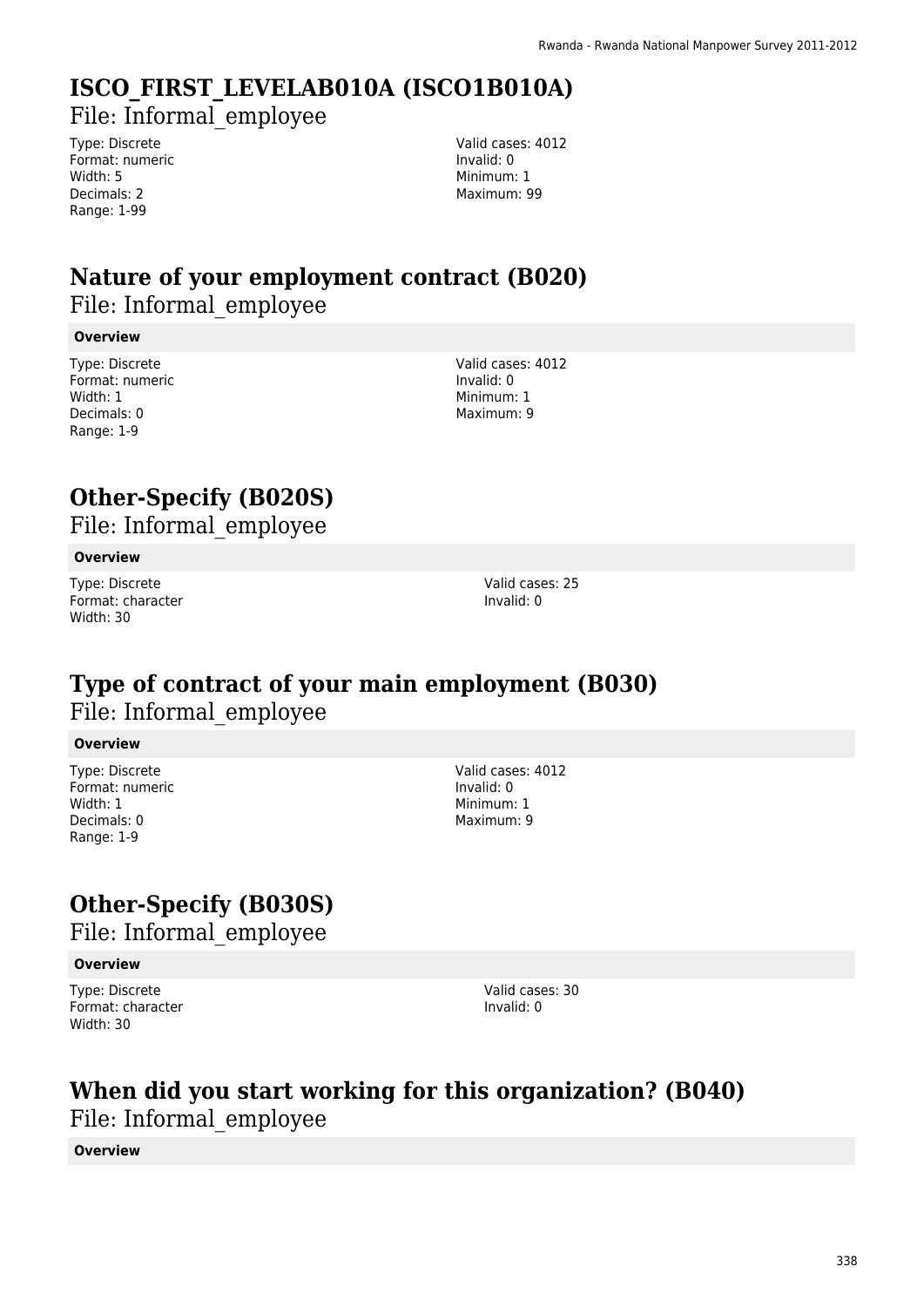# **ISCO\_FIRST\_LEVELAB010A (ISCO1B010A)**

File: Informal\_employee

Type: Discrete Format: numeric Width: 5 Decimals: 2 Range: 1-99

Valid cases: 4012 Invalid: 0 Minimum: 1 Maximum: 99

### **Nature of your employment contract (B020)**  File: Informal\_employee

#### **Overview**

Type: Discrete Format: numeric Width: 1 Decimals: 0 Range: 1-9

Valid cases: 4012 Invalid: 0 Minimum: 1 Maximum: 9

# **Other-Specify (B020S)**

File: Informal\_employee

#### **Overview**

Type: Discrete Format: character Width: 30

# **Type of contract of your main employment (B030)**  File: Informal\_employee

**Overview**

Type: Discrete Format: numeric Width: 1 Decimals: 0 Range: 1-9

Valid cases: 4012 Invalid: 0 Minimum: 1 Maximum: 9

Valid cases: 25 Invalid: 0

# **Other-Specify (B030S)**

File: Informal\_employee

#### **Overview**

Type: Discrete Format: character Width: 30

Valid cases: 30 Invalid: 0

# **When did you start working for this organization? (B040)**

File: Informal\_employee

#### **Overview**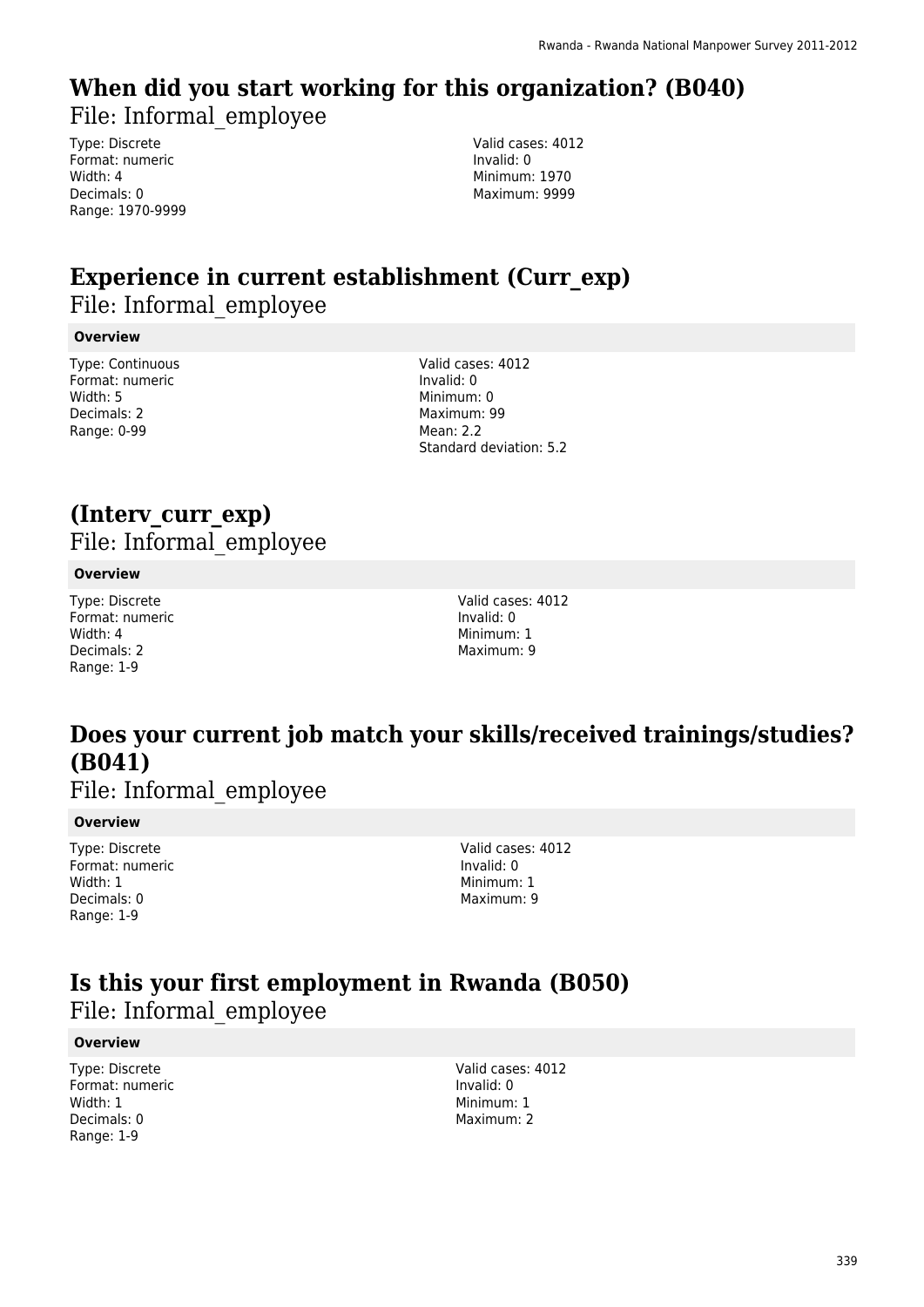### **When did you start working for this organization? (B040)**

File: Informal\_employee

Type: Discrete Format: numeric Width: 4 Decimals: 0 Range: 1970-9999 Valid cases: 4012 Invalid: 0 Minimum: 1970 Maximum: 9999

### **Experience in current establishment (Curr\_exp)**  File: Informal\_employee

#### **Overview**

Type: Continuous Format: numeric Width: 5 Decimals: 2 Range: 0-99

Valid cases: 4012 Invalid: 0 Minimum: 0 Maximum: 99 Mean: 2.2 Standard deviation: 5.2

### **(Interv\_curr\_exp)**  File: Informal\_employee

#### **Overview**

Type: Discrete Format: numeric Width: 4 Decimals: 2 Range: 1-9

Valid cases: 4012 Invalid: 0 Minimum: 1 Maximum: 9

### **Does your current job match your skills/received trainings/studies? (B041)**

File: Informal\_employee

#### **Overview**

Type: Discrete Format: numeric Width: 1 Decimals: 0 Range: 1-9

Valid cases: 4012 Invalid: 0 Minimum: 1 Maximum: 9

### **Is this your first employment in Rwanda (B050)**  File: Informal\_employee

#### **Overview**

Type: Discrete Format: numeric Width: 1 Decimals: 0 Range: 1-9

Valid cases: 4012 Invalid: 0 Minimum: 1 Maximum: 2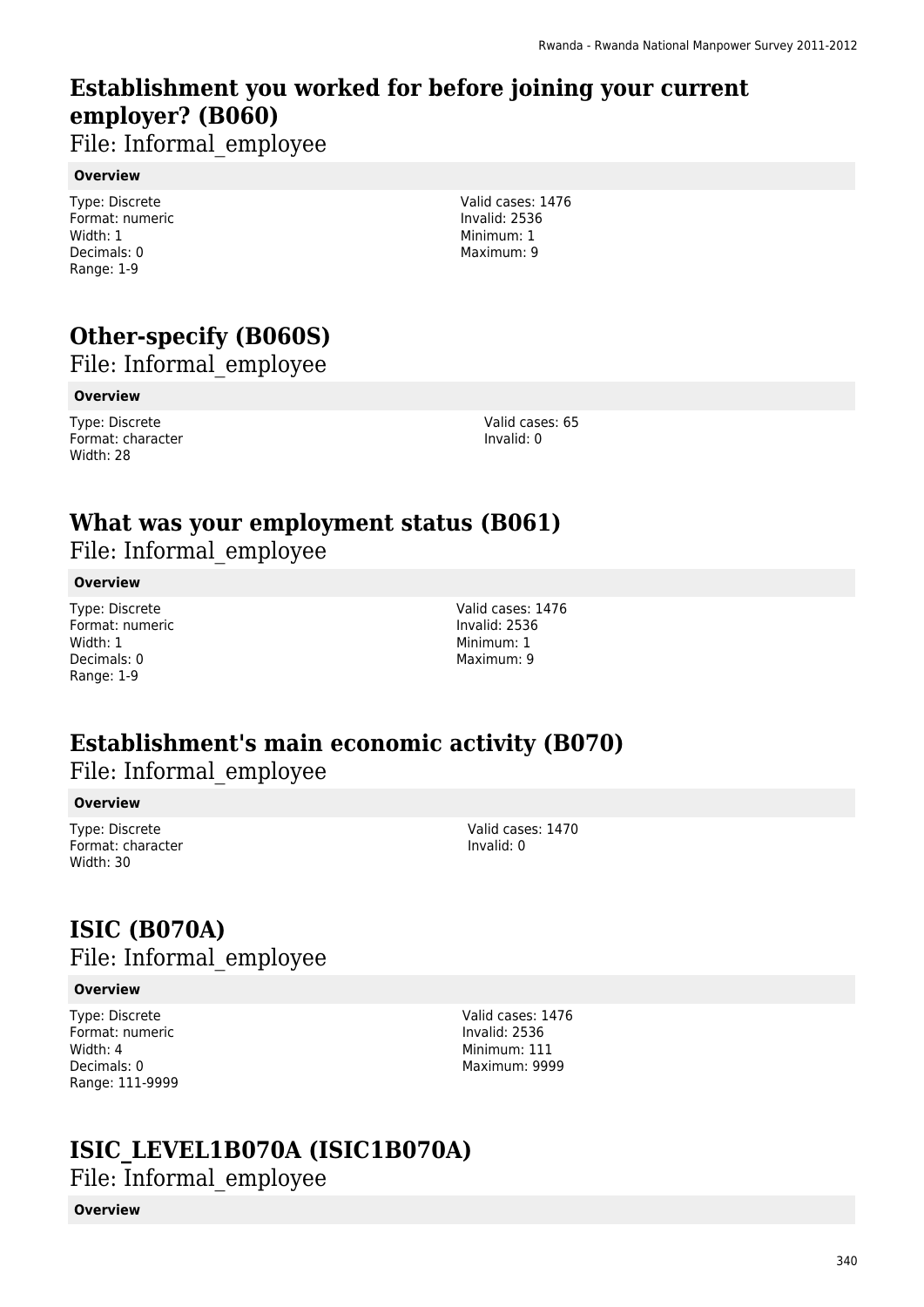### **Establishment you worked for before joining your current employer? (B060)**

File: Informal\_employee

#### **Overview**

Type: Discrete Format: numeric Width: 1 Decimals: 0 Range: 1-9

Valid cases: 1476 Invalid: 2536 Minimum: 1 Maximum: 9

# **Other-specify (B060S)**

File: Informal\_employee

**Overview**

Type: Discrete Format: character Width: 28

Valid cases: 65 Invalid: 0

### **What was your employment status (B061)**  File: Informal\_employee

#### **Overview**

Type: Discrete Format: numeric Width: 1 Decimals: 0 Range: 1-9

Valid cases: 1476 Invalid: 2536 Minimum: 1 Maximum: 9

### **Establishment's main economic activity (B070)**  File: Informal\_employee

#### **Overview**

Type: Discrete Format: character Width: 30

Valid cases: 1470 Invalid: 0

### **ISIC (B070A)**  File: Informal\_employee

#### **Overview**

Type: Discrete Format: numeric Width: 4 Decimals: 0 Range: 111-9999

Valid cases: 1476 Invalid: 2536 Minimum: 111 Maximum: 9999

# **ISIC\_LEVEL1B070A (ISIC1B070A)**

File: Informal\_employee

#### **Overview**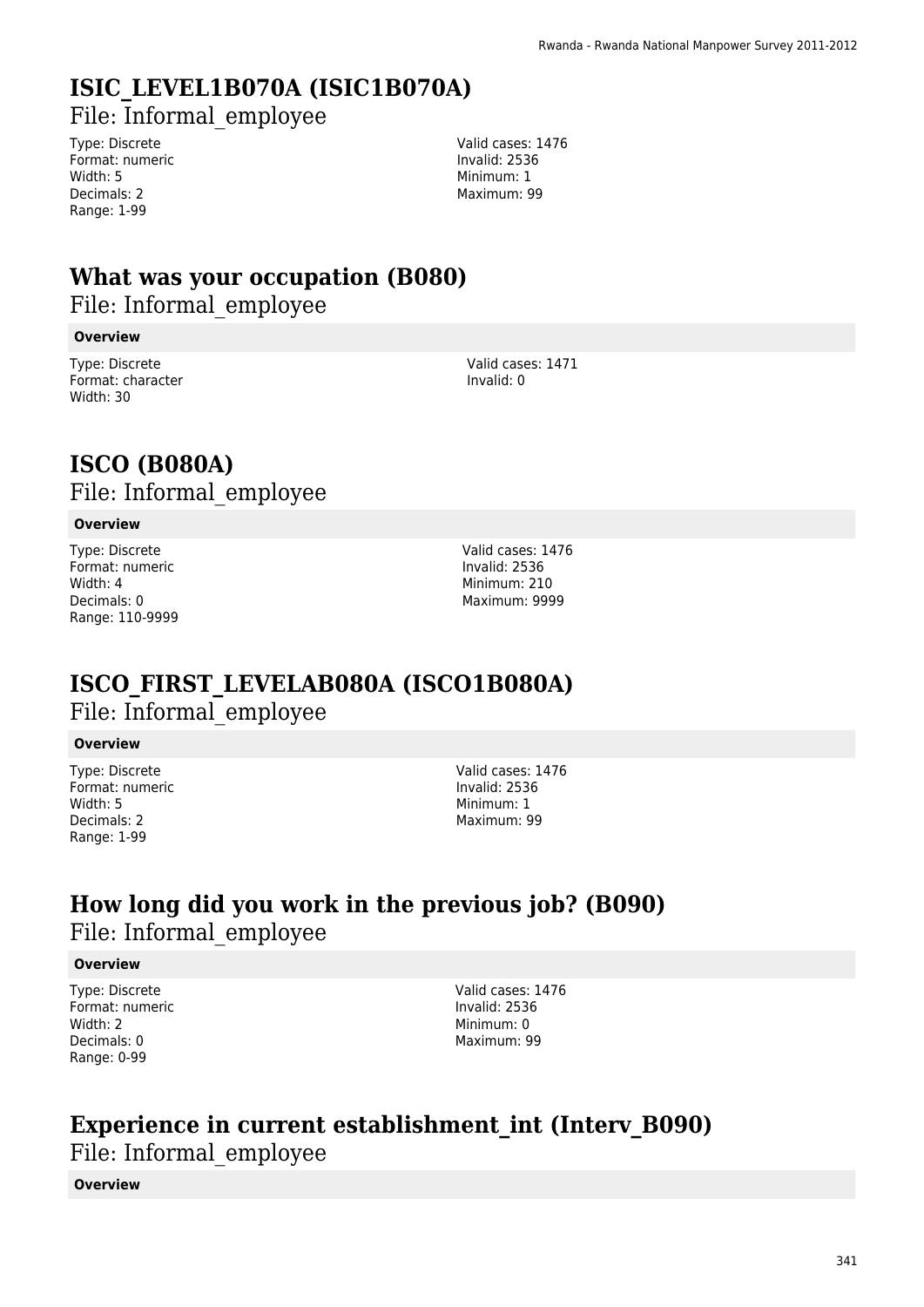# **ISIC\_LEVEL1B070A (ISIC1B070A)**

File: Informal\_employee

Type: Discrete Format: numeric Width: 5 Decimals: 2 Range: 1-99

Valid cases: 1476 Invalid: 2536 Minimum: 1 Maximum: 99

# **What was your occupation (B080)**

File: Informal\_employee

#### **Overview**

Type: Discrete Format: character Width: 30

Valid cases: 1471 Invalid: 0

### **ISCO (B080A)**  File: Informal\_employee

#### **Overview**

Type: Discrete Format: numeric Width: 4 Decimals: 0 Range: 110-9999

Valid cases: 1476 Invalid: 2536 Minimum: 210 Maximum: 9999

### **ISCO\_FIRST\_LEVELAB080A (ISCO1B080A)**  File: Informal\_employee

#### **Overview**

Type: Discrete Format: numeric Width: 5 Decimals: 2 Range: 1-99

Valid cases: 1476 Invalid: 2536 Minimum: 1 Maximum: 99

### **How long did you work in the previous job? (B090)**  File: Informal\_employee

#### **Overview**

Type: Discrete Format: numeric Width: 2 Decimals: 0 Range: 0-99

Valid cases: 1476 Invalid: 2536 Minimum: 0 Maximum: 99

# Experience in current establishment int (Interv B090)

File: Informal\_employee

#### **Overview**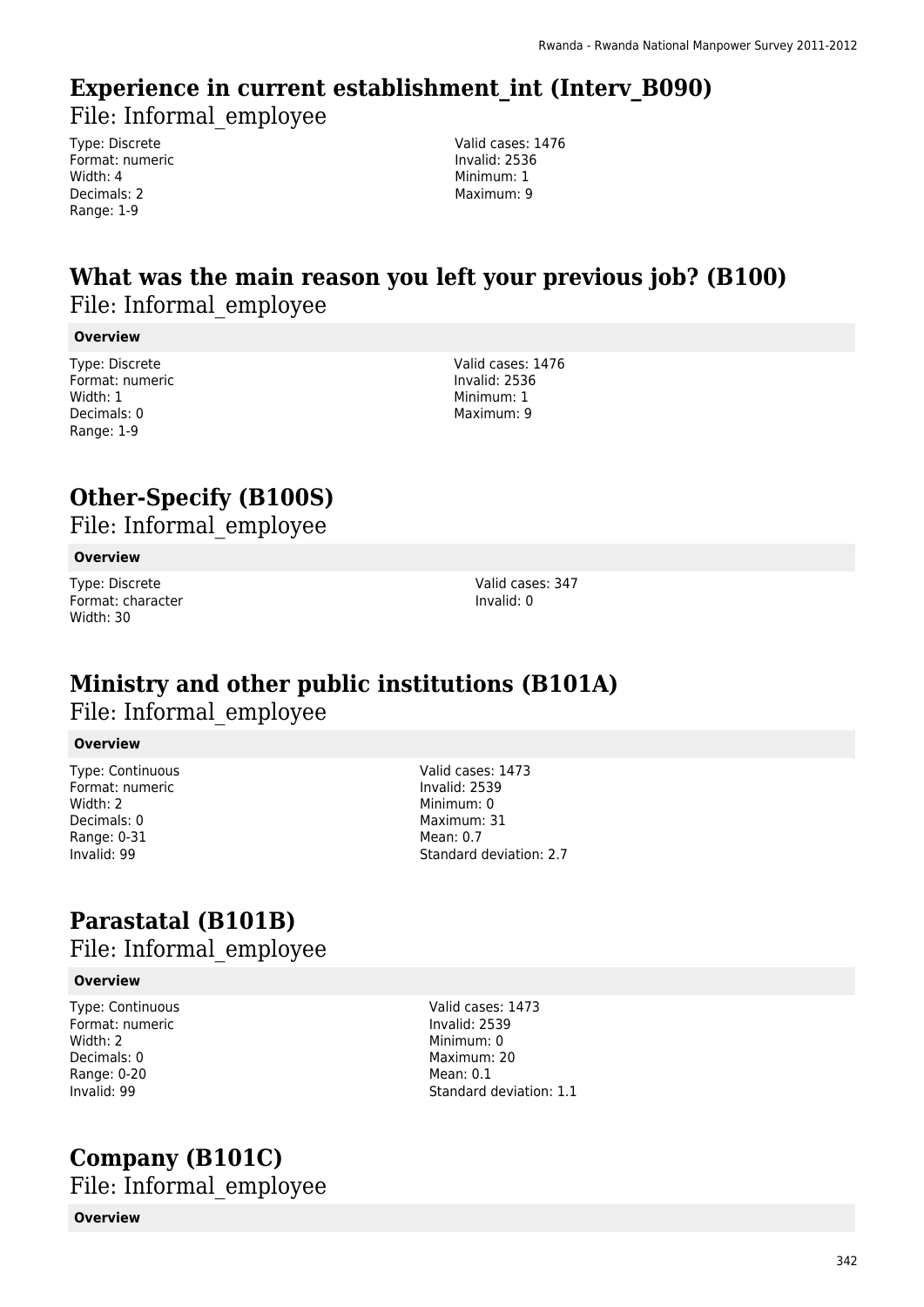### **Experience in current establishment\_int (Interv\_B090)**

File: Informal\_employee

Type: Discrete Format: numeric Width: 4 Decimals: 2 Range: 1-9

Valid cases: 1476 Invalid: 2536 Minimum: 1 Maximum: 9

### **What was the main reason you left your previous job? (B100)**  File: Informal\_employee

#### **Overview**

Type: Discrete Format: numeric Width: 1 Decimals: 0 Range: 1-9

Valid cases: 1476 Invalid: 2536 Minimum: 1 Maximum: 9

# **Other-Specify (B100S)**

File: Informal\_employee

#### **Overview**

Type: Discrete Format: character Width: 30

Valid cases: 347 Invalid: 0

### **Ministry and other public institutions (B101A)**  File: Informal\_employee

#### **Overview**

Type: Continuous Format: numeric Width: 2 Decimals: 0 Range: 0-31 Invalid: 99

Valid cases: 1473 Invalid: 2539 Minimum: 0 Maximum: 31 Mean: 0.7 Standard deviation: 2.7

# **Parastatal (B101B)**

File: Informal\_employee

#### **Overview**

Type: Continuous Format: numeric Width: 2 Decimals: 0 Range: 0-20 Invalid: 99

Valid cases: 1473 Invalid: 2539 Minimum: 0 Maximum: 20 Mean: 0.1 Standard deviation: 1.1

# **Company (B101C)**

File: Informal\_employee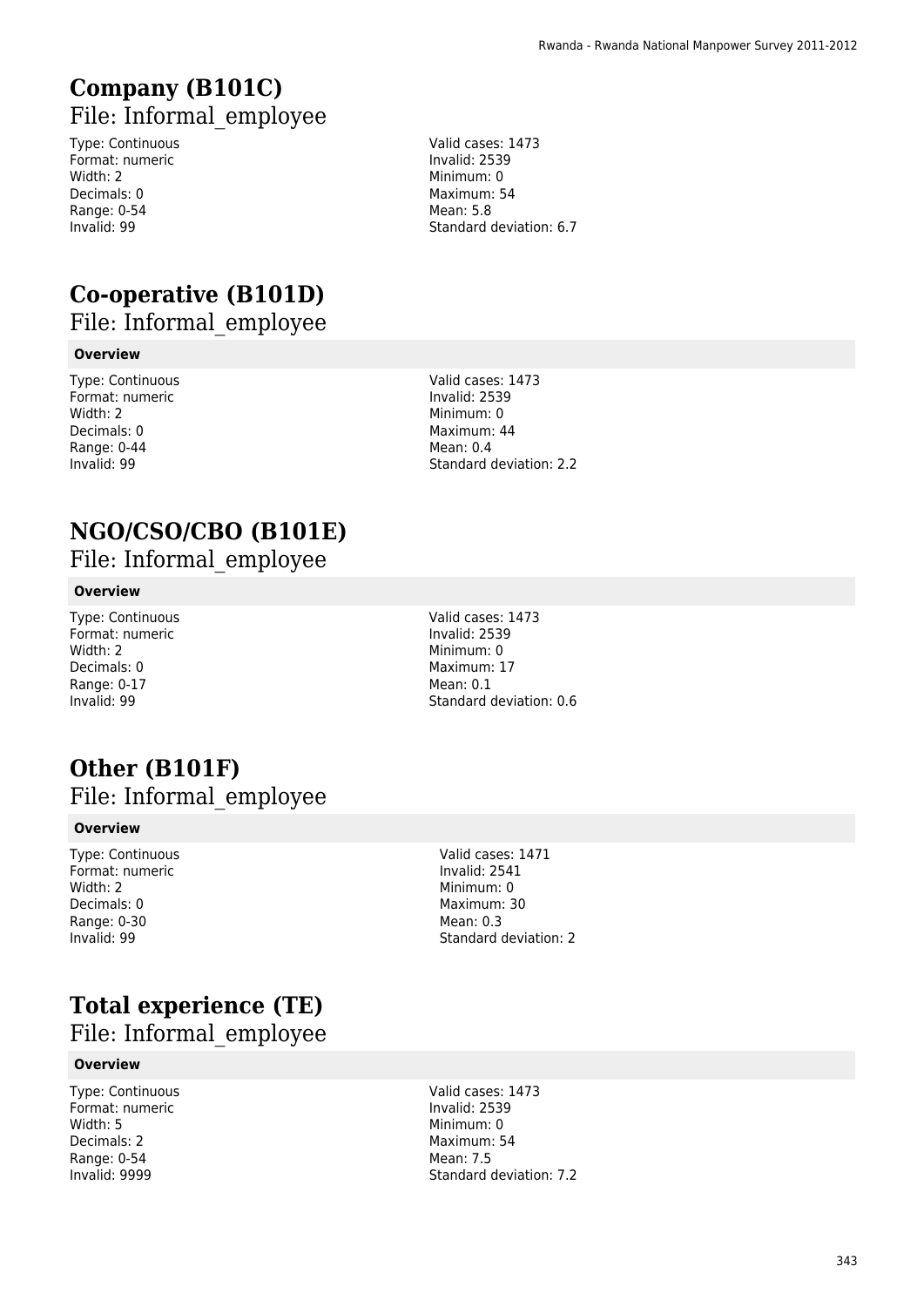### **Company (B101C)**  File: Informal\_employee

Type: Continuous Format: numeric Width: 2 Decimals: 0 Range: 0-54 Invalid: 99

Valid cases: 1473 Invalid: 2539 Minimum: 0 Maximum: 54 Mean: 5.8 Standard deviation: 6.7

# **Co-operative (B101D)**

File: Informal\_employee

#### **Overview**

Type: Continuous Format: numeric Width: 2 Decimals: 0 Range: 0-44 Invalid: 99

Valid cases: 1473 Invalid: 2539 Minimum: 0 Maximum: 44 Mean: 0.4 Standard deviation: 2.2

### **NGO/CSO/CBO (B101E)**  File: Informal\_employee

#### **Overview**

Type: Continuous Format: numeric Width: 2 Decimals: 0 Range: 0-17 Invalid: 99

Valid cases: 1473 Invalid: 2539 Minimum: 0 Maximum: 17 Mean: 0.1 Standard deviation: 0.6

### **Other (B101F)**  File: Informal\_employee

#### **Overview**

Type: Continuous Format: numeric Width: 2 Decimals: 0 Range: 0-30 Invalid: 99

Valid cases: 1471 Invalid: 2541 Minimum: 0 Maximum: 30 Mean: 0.3 Standard deviation: 2

# **Total experience (TE)**

File: Informal\_employee

#### **Overview**

Type: Continuous Format: numeric Width: 5 Decimals: 2 Range: 0-54 Invalid: 9999

Valid cases: 1473 Invalid: 2539 Minimum: 0 Maximum: 54 Mean: 7.5 Standard deviation: 7.2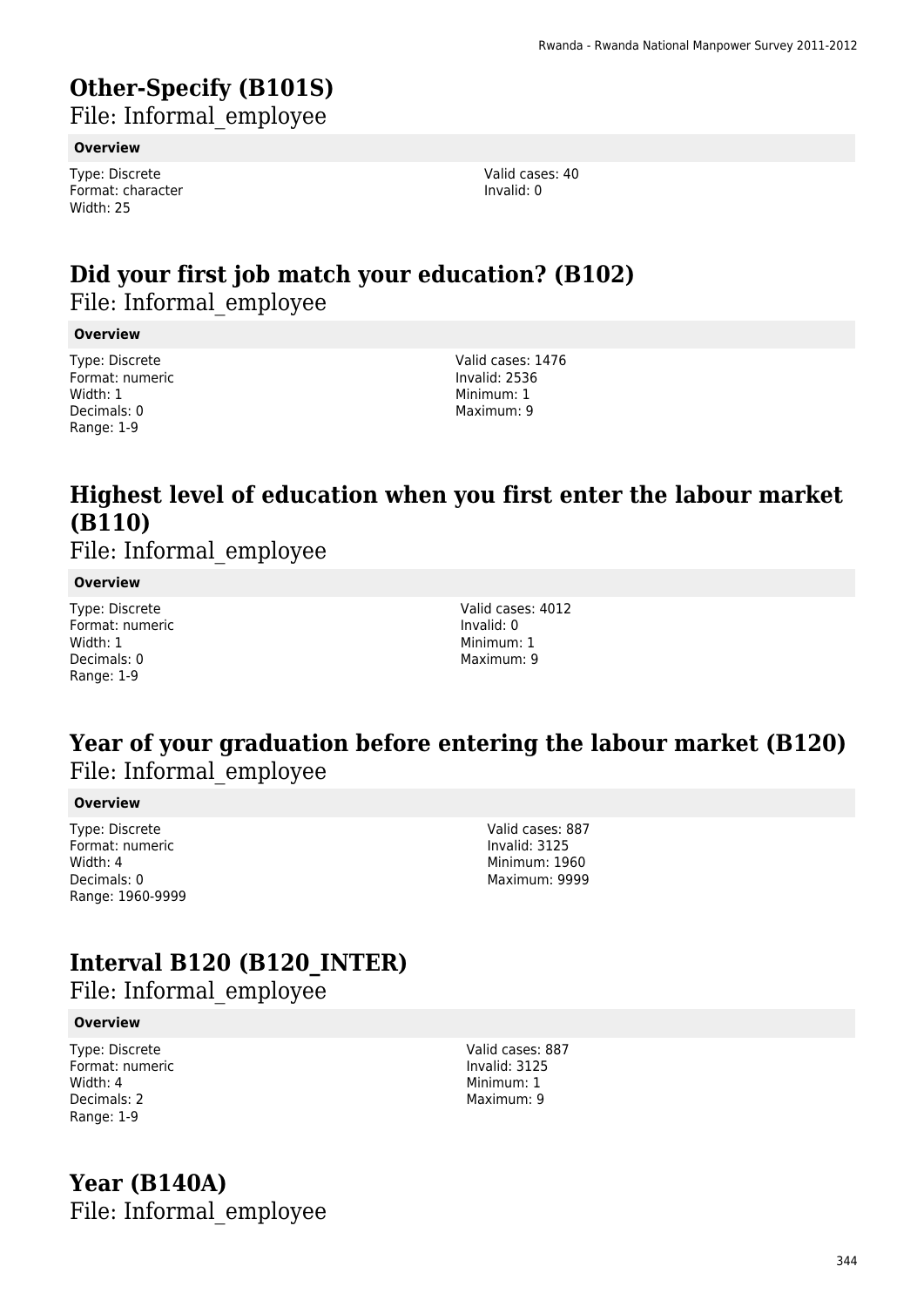# **Other-Specify (B101S)**

File: Informal\_employee

#### **Overview**

Type: Discrete Format: character Width: 25

Valid cases: 40 Invalid: 0

### **Did your first job match your education? (B102)**  File: Informal\_employee

#### **Overview**

Type: Discrete Format: numeric Width: 1 Decimals: 0 Range: 1-9

Valid cases: 1476 Invalid: 2536 Minimum: 1 Maximum: 9

# **Highest level of education when you first enter the labour market (B110)**

File: Informal\_employee

#### **Overview**

Type: Discrete Format: numeric Width: 1 Decimals: 0 Range: 1-9

Valid cases: 4012 Invalid: 0 Minimum: 1 Maximum: 9

### **Year of your graduation before entering the labour market (B120)**  File: Informal\_employee

#### **Overview**

Type: Discrete Format: numeric Width: 4 Decimals: 0 Range: 1960-9999 Valid cases: 887 Invalid: 3125 Minimum: 1960 Maximum: 9999

### **Interval B120 (B120\_INTER)**

File: Informal\_employee

#### **Overview**

Type: Discrete Format: numeric Width: 4 Decimals: 2 Range: 1-9

**Year (B140A)**  File: Informal\_employee Valid cases: 887 Invalid: 3125 Minimum: 1 Maximum: 9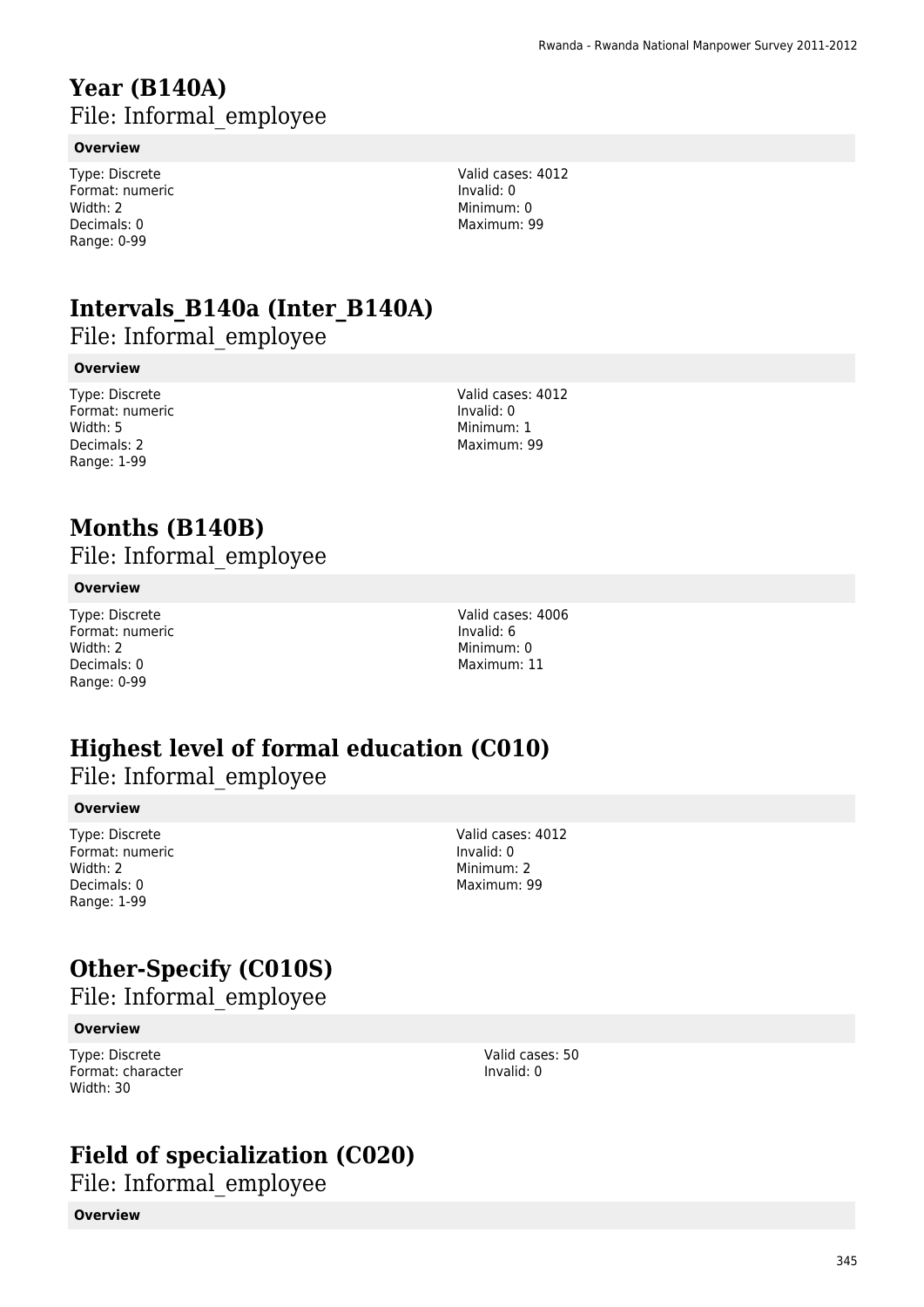### **Year (B140A)**  File: Informal\_employee

#### **Overview**

Type: Discrete Format: numeric Width: 2 Decimals: 0 Range: 0-99

Valid cases: 4012 Invalid: 0 Minimum: 0 Maximum: 99

### **Intervals\_B140a (Inter\_B140A)**

File: Informal\_employee

#### **Overview**

Type: Discrete Format: numeric Width: 5 Decimals: 2 Range: 1-99

Valid cases: 4012 Invalid: 0 Minimum: 1 Maximum: 99

# **Months (B140B)**

File: Informal\_employee

#### **Overview**

Type: Discrete Format: numeric Width: 2 Decimals: 0 Range: 0-99

Valid cases: 4006 Invalid: 6 Minimum: 0 Maximum: 11

### **Highest level of formal education (C010)**  File: Informal\_employee

#### **Overview**

Type: Discrete Format: numeric Width: 2 Decimals: 0 Range: 1-99

Valid cases: 4012 Invalid: 0 Minimum: 2 Maximum: 99

# **Other-Specify (C010S)**

File: Informal\_employee

#### **Overview**

Type: Discrete Format: character Width: 30

Valid cases: 50 Invalid: 0

# **Field of specialization (C020)**

File: Informal\_employee

**Overview**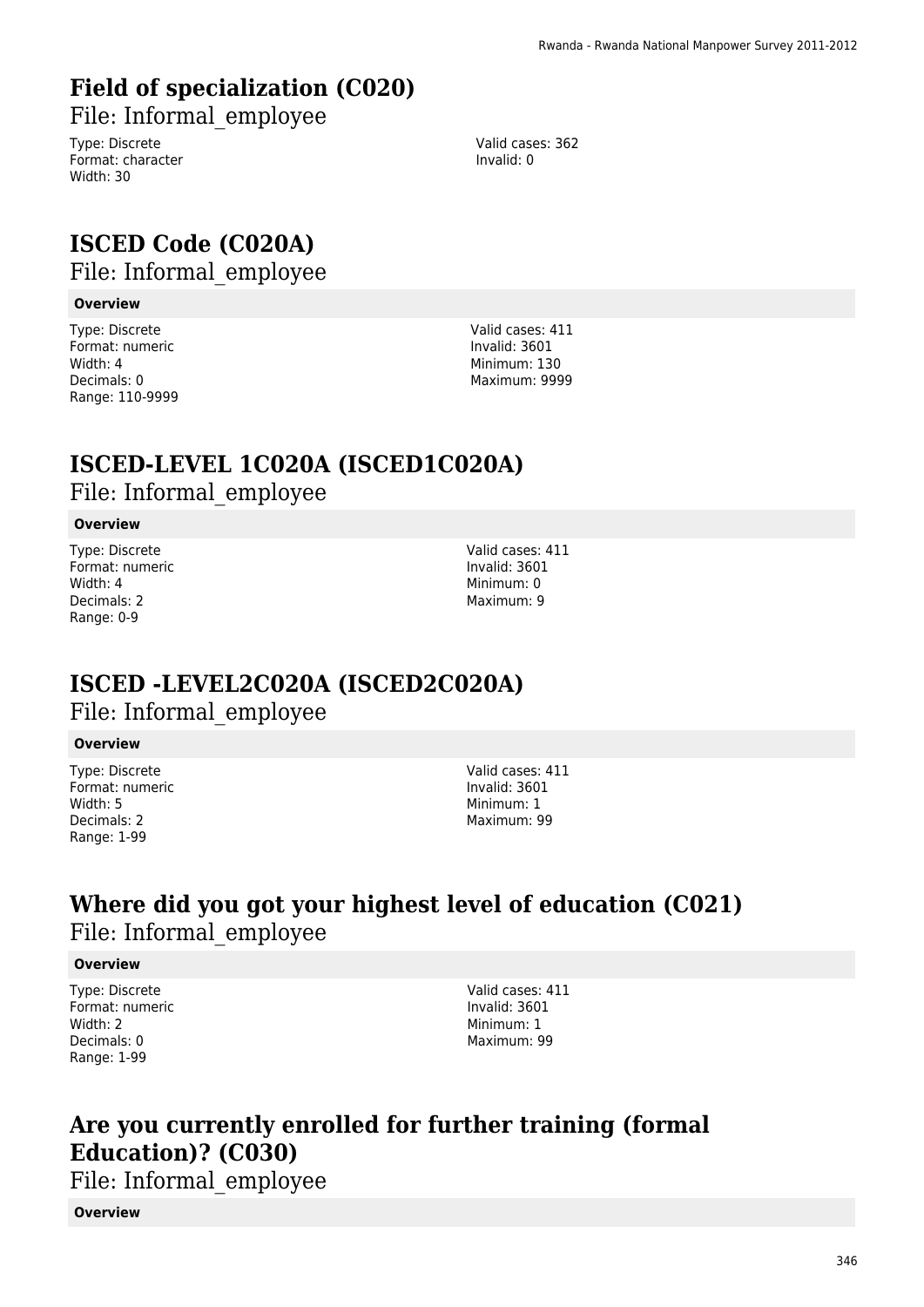### **Field of specialization (C020)**

File: Informal\_employee

Type: Discrete Format: character Width: 30

# **ISCED Code (C020A)**

File: Informal\_employee

#### **Overview**

Type: Discrete Format: numeric Width: 4 Decimals: 0 Range: 110-9999 Valid cases: 411 Invalid: 3601 Minimum: 130 Maximum: 9999

Valid cases: 362 Invalid: 0

### **ISCED-LEVEL 1C020A (ISCED1C020A)**  File: Informal\_employee

#### **Overview**

Type: Discrete Format: numeric Width: 4 Decimals: 2 Range: 0-9

# **ISCED -LEVEL2C020A (ISCED2C020A)**

File: Informal\_employee

#### **Overview**

Type: Discrete Format: numeric Width: 5 Decimals: 2 Range: 1-99

Valid cases: 411 Invalid: 3601 Minimum: 1 Maximum: 99

### **Where did you got your highest level of education (C021)**  File: Informal\_employee

#### **Overview**

Type: Discrete Format: numeric Width: 2 Decimals: 0 Range: 1-99

Valid cases: 411 Invalid: 3601 Minimum: 1 Maximum: 99

### **Are you currently enrolled for further training (formal Education)? (C030)**

File: Informal\_employee

#### **Overview**

Valid cases: 411 Invalid: 3601 Minimum: 0 Maximum: 9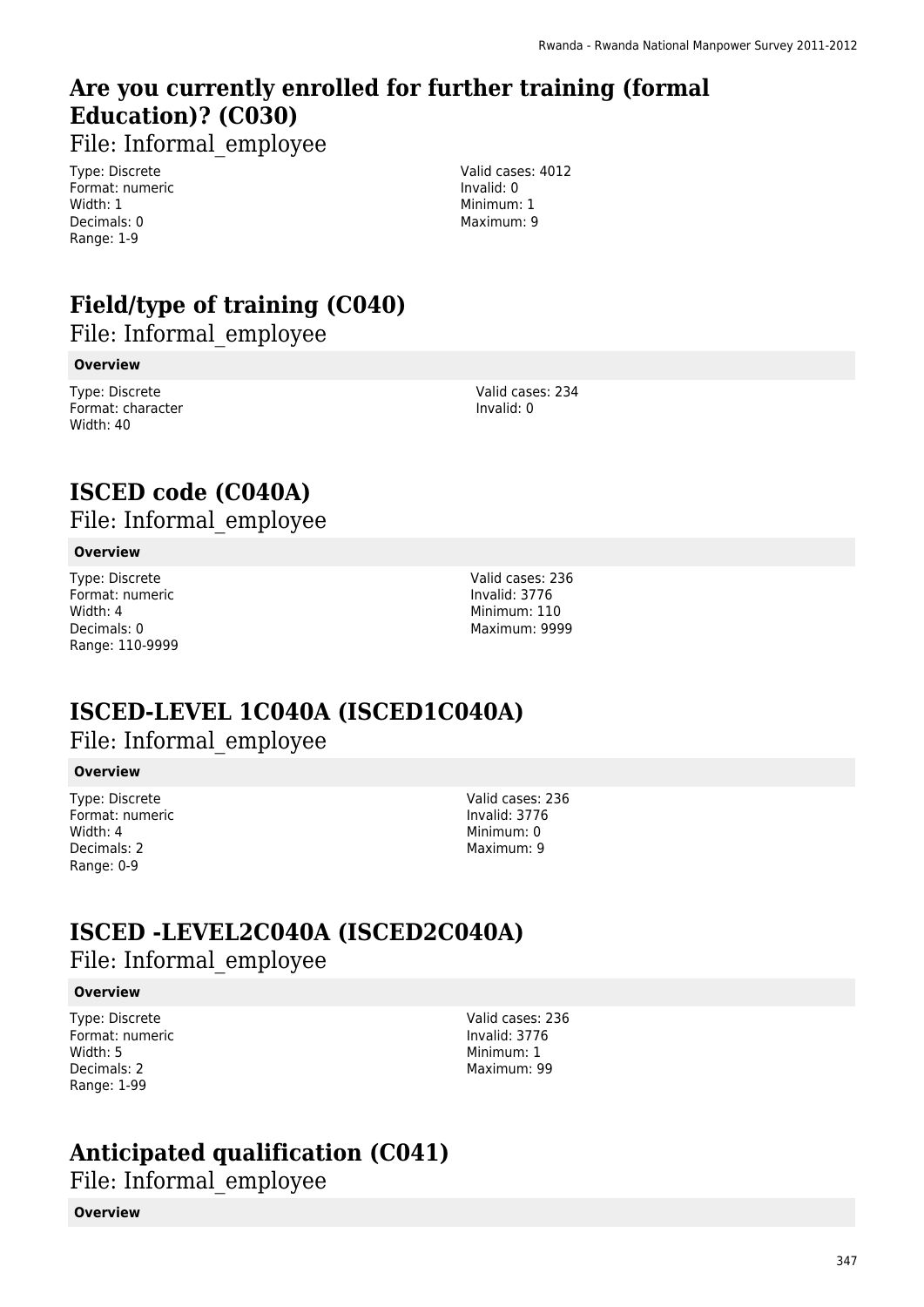### **Are you currently enrolled for further training (formal Education)? (C030)**

File: Informal\_employee

Type: Discrete Format: numeric Width: 1 Decimals: 0 Range: 1-9

Valid cases: 4012 Invalid: 0 Minimum: 1 Maximum: 9

# **Field/type of training (C040)**

File: Informal\_employee

#### **Overview**

Type: Discrete Format: character Width: 40

Valid cases: 234 Invalid: 0

### **ISCED code (C040A)**  File: Informal\_employee

#### **Overview**

Type: Discrete Format: numeric Width: 4 Decimals: 0 Range: 110-9999 Valid cases: 236 Invalid: 3776 Minimum: 110 Maximum: 9999

# **ISCED-LEVEL 1C040A (ISCED1C040A)**

### File: Informal\_employee

#### **Overview**

Type: Discrete Format: numeric Width: 4 Decimals: 2 Range: 0-9

Valid cases: 236 Invalid: 3776 Minimum: 0 Maximum: 9

# **ISCED -LEVEL2C040A (ISCED2C040A)**

File: Informal\_employee

#### **Overview**

Type: Discrete Format: numeric Width: 5 Decimals: 2 Range: 1-99

Valid cases: 236 Invalid: 3776 Minimum: 1 Maximum: 99

# **Anticipated qualification (C041)**

File: Informal\_employee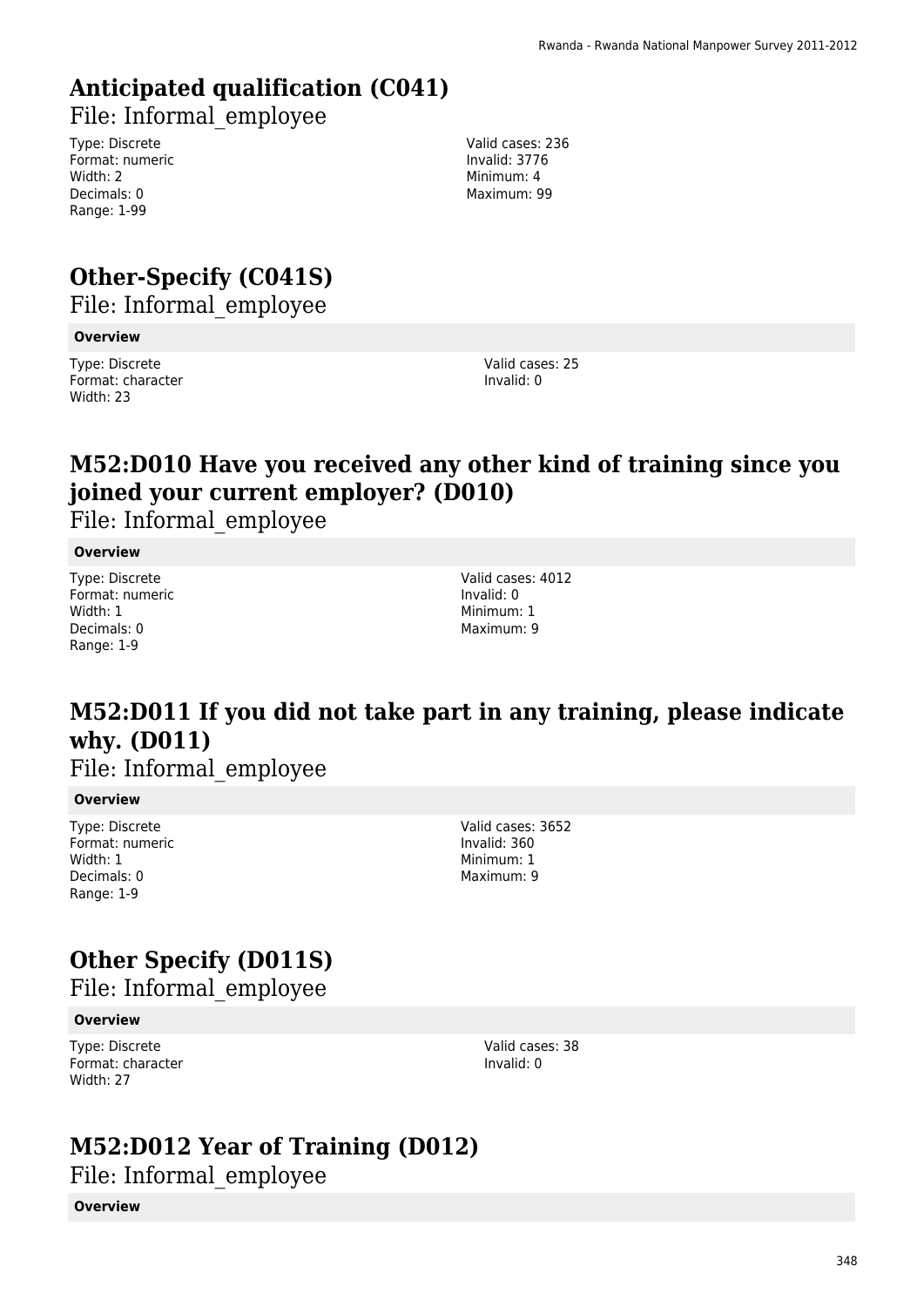### **Anticipated qualification (C041)**

File: Informal\_employee

Type: Discrete Format: numeric Width: 2 Decimals: 0 Range: 1-99

Valid cases: 236 Invalid: 3776 Minimum: 4 Maximum: 99

# **Other-Specify (C041S)**

File: Informal\_employee

#### **Overview**

Type: Discrete Format: character Width: 23

Valid cases: 25 Invalid: 0

### **M52:D010 Have you received any other kind of training since you joined your current employer? (D010)**

File: Informal\_employee

#### **Overview**

Type: Discrete Format: numeric Width: 1 Decimals: 0 Range: 1-9

Valid cases: 4012 Invalid: 0 Minimum: 1 Maximum: 9

# **M52:D011 If you did not take part in any training, please indicate why. (D011)**

File: Informal\_employee

#### **Overview**

Type: Discrete Format: numeric Width: 1 Decimals: 0 Range: 1-9

Valid cases: 3652 Invalid: 360 Minimum: 1 Maximum: 9

# **Other Specify (D011S)**

File: Informal\_employee

#### **Overview**

Type: Discrete Format: character Width: 27

Valid cases: 38 Invalid: 0

### **M52:D012 Year of Training (D012)**

File: Informal\_employee

**Overview**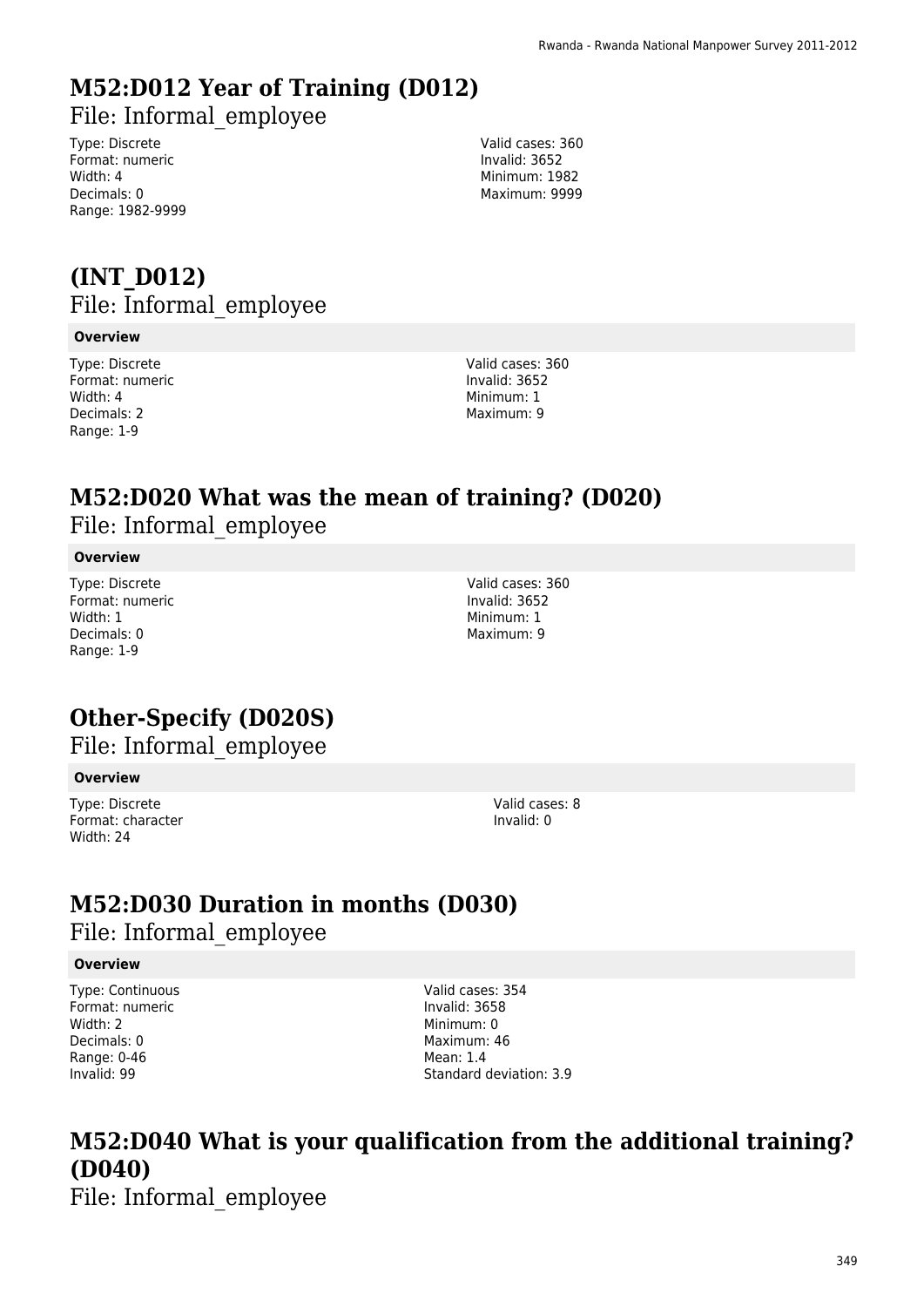### **M52:D012 Year of Training (D012)**

File: Informal\_employee

Type: Discrete Format: numeric Width: 4 Decimals: 0 Range: 1982-9999

Valid cases: 360 Invalid: 3652 Minimum: 1982 Maximum: 9999

### **(INT\_D012)**  File: Informal\_employee

#### **Overview**

Type: Discrete Format: numeric Width: 4 Decimals: 2 Range: 1-9

Valid cases: 360 Invalid: 3652 Minimum: 1 Maximum: 9

### **M52:D020 What was the mean of training? (D020)**  File: Informal\_employee

#### **Overview**

Type: Discrete Format: numeric Width: 1 Decimals: 0 Range: 1-9

### **Other-Specify (D020S)**

File: Informal\_employee

#### **Overview**

Type: Discrete Format: character Width: 24

Minimum: 1 Maximum: 9

Valid cases: 360 Invalid: 3652

> Valid cases: 8 Invalid: 0

### **M52:D030 Duration in months (D030)**

File: Informal\_employee

#### **Overview**

Type: Continuous Format: numeric Width: 2 Decimals: 0 Range: 0-46 Invalid: 99

Valid cases: 354 Invalid: 3658 Minimum: 0 Maximum: 46 Mean: 1.4 Standard deviation: 3.9

# **M52:D040 What is your qualification from the additional training? (D040)**

File: Informal\_employee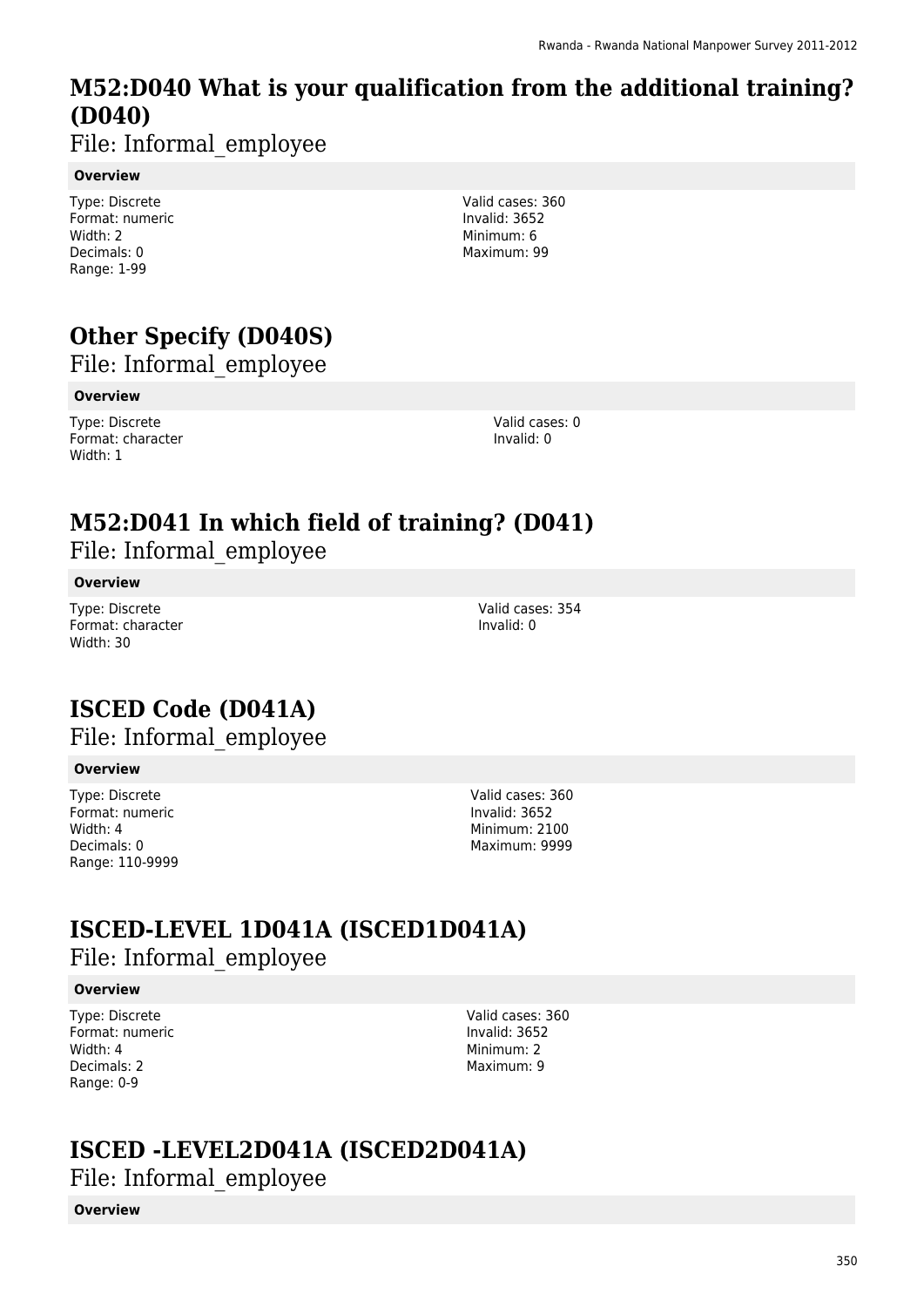### **M52:D040 What is your qualification from the additional training? (D040)**

File: Informal\_employee

#### **Overview**

Type: Discrete Format: numeric Width: 2 Decimals: 0 Range: 1-99

Valid cases: 360 Invalid: 3652 Minimum: 6 Maximum: 99

# **Other Specify (D040S)**

File: Informal\_employee

#### **Overview**

Type: Discrete Format: character Width: 1

Valid cases: 0 Invalid: 0

### **M52:D041 In which field of training? (D041)**

File: Informal\_employee

#### **Overview**

Type: Discrete Format: character Width: 30

Valid cases: 354 Invalid: 0

# **ISCED Code (D041A)**

File: Informal\_employee

#### **Overview**

Type: Discrete Format: numeric Width: 4 Decimals: 0 Range: 110-9999

Valid cases: 360 Invalid: 3652 Minimum: 2100 Maximum: 9999

# **ISCED-LEVEL 1D041A (ISCED1D041A)**

File: Informal\_employee

#### **Overview**

Type: Discrete Format: numeric Width: 4 Decimals: 2 Range: 0-9

Valid cases: 360 Invalid: 3652 Minimum: 2 Maximum: 9

# **ISCED -LEVEL2D041A (ISCED2D041A)**

File: Informal\_employee

#### **Overview**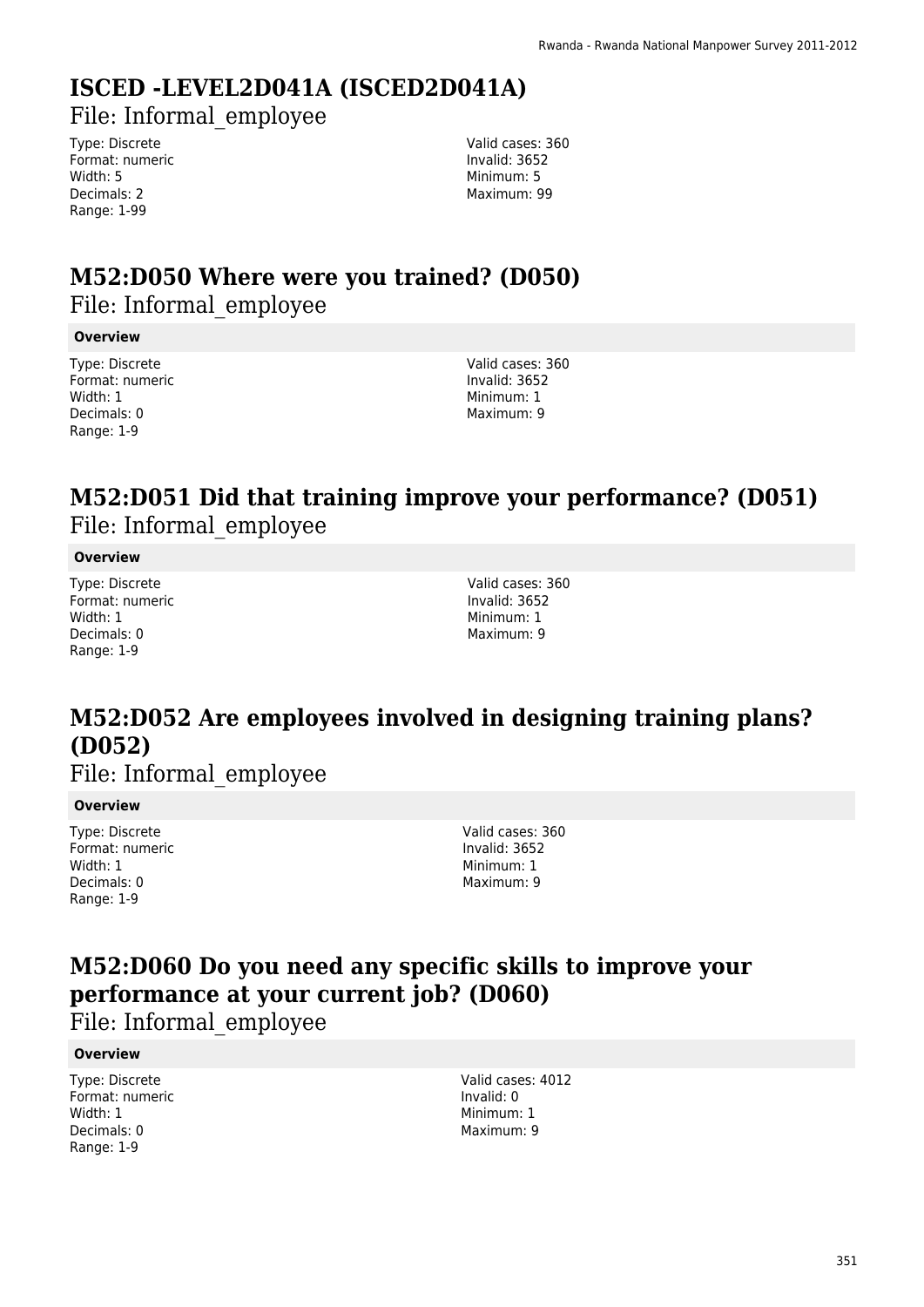### **ISCED -LEVEL2D041A (ISCED2D041A)**

File: Informal\_employee

Type: Discrete Format: numeric Width: 5 Decimals: 2 Range: 1-99

Valid cases: 360 Invalid: 3652 Minimum: 5 Maximum: 99

### **M52:D050 Where were you trained? (D050)**  File: Informal\_employee

#### **Overview**

Type: Discrete Format: numeric Width: 1 Decimals: 0 Range: 1-9

Valid cases: 360 Invalid: 3652 Minimum: 1 Maximum: 9

### **M52:D051 Did that training improve your performance? (D051)**  File: Informal\_employee

#### **Overview**

Type: Discrete Format: numeric Width: 1 Decimals: 0 Range: 1-9

Valid cases: 360 Invalid: 3652 Minimum: 1 Maximum: 9

### **M52:D052 Are employees involved in designing training plans? (D052)**

File: Informal\_employee

#### **Overview**

Type: Discrete Format: numeric Width: 1 Decimals: 0 Range: 1-9

Valid cases: 360 Invalid: 3652 Minimum: 1 Maximum: 9

### **M52:D060 Do you need any specific skills to improve your performance at your current job? (D060)**

File: Informal\_employee

#### **Overview**

Type: Discrete Format: numeric Width: 1 Decimals: 0 Range: 1-9

Valid cases: 4012 Invalid: 0 Minimum: 1 Maximum: 9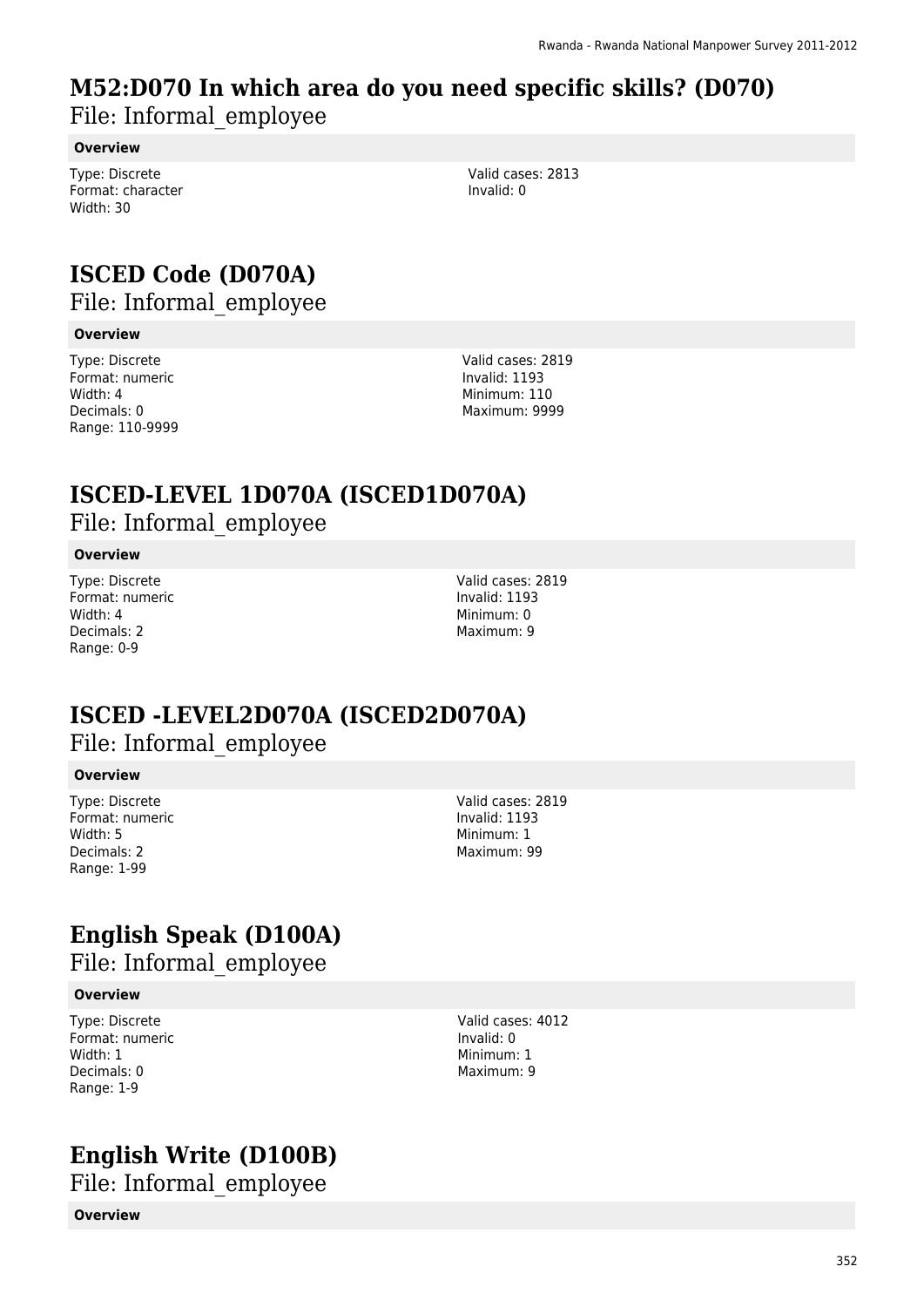# **M52:D070 In which area do you need specific skills? (D070)**

File: Informal\_employee

#### **Overview**

Type: Discrete Format: character Width: 30

Valid cases: 2813 Invalid: 0

# **ISCED Code (D070A)**

File: Informal\_employee

#### **Overview**

Type: Discrete Format: numeric Width: 4 Decimals: 0 Range: 110-9999

Valid cases: 2819 Invalid: 1193 Minimum: 110 Maximum: 9999

### **ISCED-LEVEL 1D070A (ISCED1D070A)**  File: Informal\_employee

#### **Overview**

Type: Discrete Format: numeric Width: 4 Decimals: 2 Range: 0-9

Valid cases: 2819 Invalid: 1193 Minimum: 0 Maximum: 9

### **ISCED -LEVEL2D070A (ISCED2D070A)**

### File: Informal\_employee

#### **Overview**

Type: Discrete Format: numeric Width: 5 Decimals: 2 Range: 1-99

Valid cases: 2819 Invalid: 1193 Minimum: 1 Maximum: 99

# **English Speak (D100A)**

File: Informal\_employee

#### **Overview**

Type: Discrete Format: numeric Width: 1 Decimals: 0 Range: 1-9

Valid cases: 4012 Invalid: 0 Minimum: 1 Maximum: 9

# **English Write (D100B)**

File: Informal\_employee

**Overview**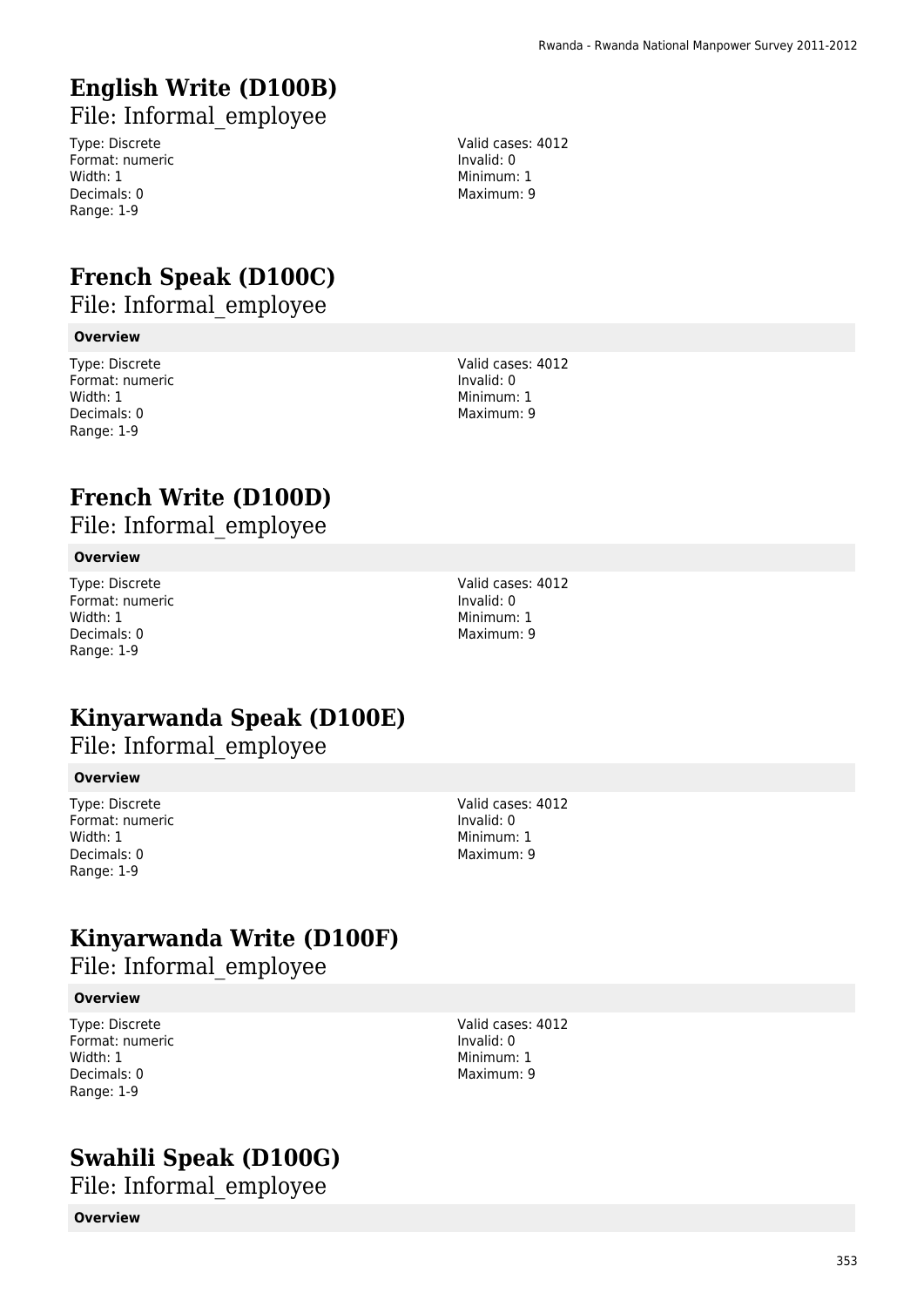# **English Write (D100B)**

File: Informal\_employee

Type: Discrete Format: numeric Width: 1 Decimals: 0 Range: 1-9

Valid cases: 4012 Invalid: 0 Minimum: 1 Maximum: 9

# **French Speak (D100C)**

File: Informal\_employee

#### **Overview**

Type: Discrete Format: numeric Width: 1 Decimals: 0 Range: 1-9

Valid cases: 4012 Invalid: 0 Minimum: 1 Maximum: 9

# **French Write (D100D)**

File: Informal\_employee

#### **Overview**

Type: Discrete Format: numeric Width: 1 Decimals: 0 Range: 1-9

Valid cases: 4012 Invalid: 0 Minimum: 1 Maximum: 9

# **Kinyarwanda Speak (D100E)**

File: Informal\_employee

#### **Overview**

Type: Discrete Format: numeric Width: 1 Decimals: 0 Range: 1-9

Valid cases: 4012 Invalid: 0 Minimum: 1 Maximum: 9

# **Kinyarwanda Write (D100F)**

File: Informal\_employee

#### **Overview**

Type: Discrete Format: numeric Width: 1 Decimals: 0 Range: 1-9

Valid cases: 4012 Invalid: 0 Minimum: 1 Maximum: 9

### **Swahili Speak (D100G)**

File: Informal\_employee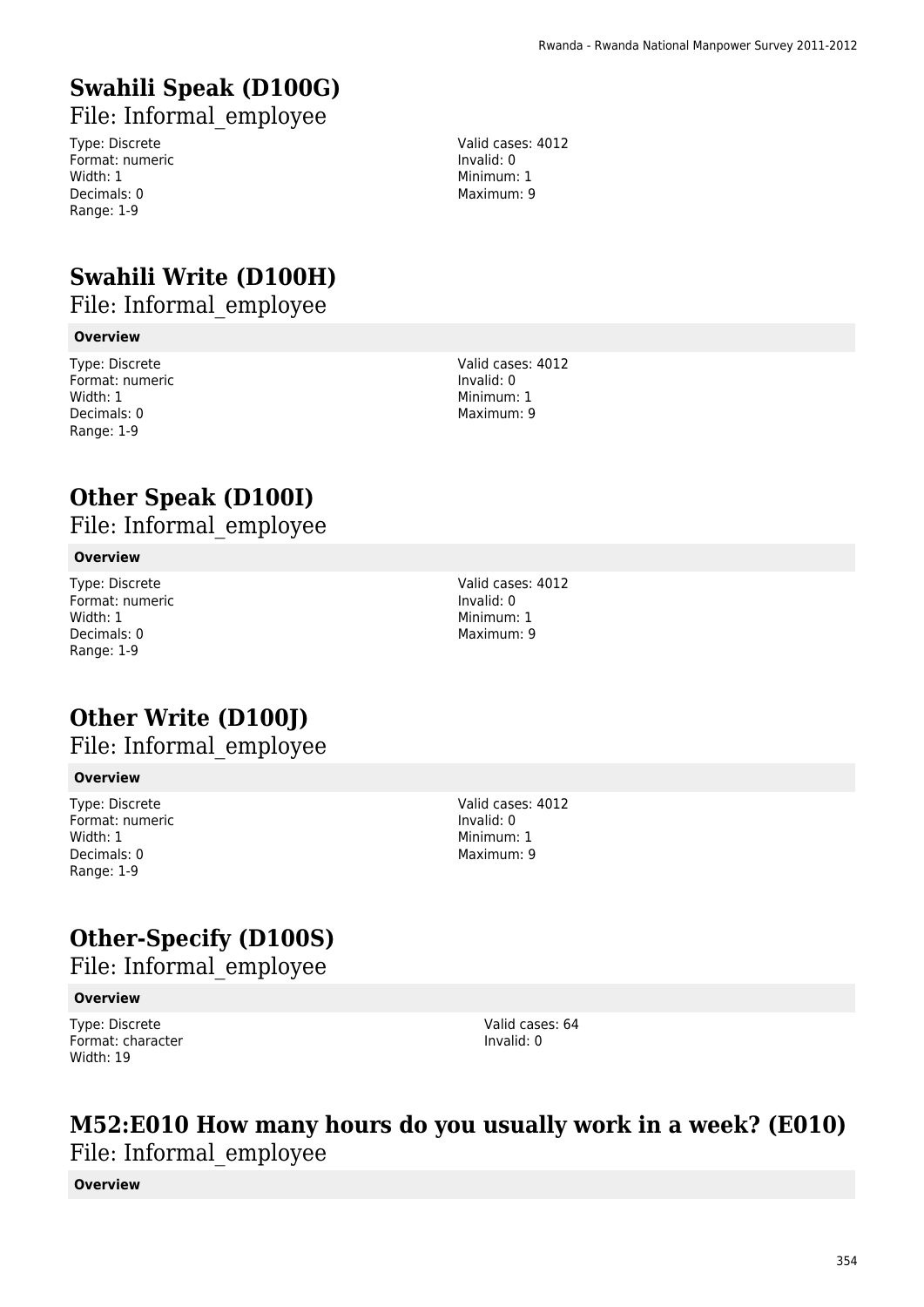# **Swahili Speak (D100G)**

File: Informal\_employee

Type: Discrete Format: numeric Width: 1 Decimals: 0 Range: 1-9

Valid cases: 4012 Invalid: 0 Minimum: 1 Maximum: 9

# **Swahili Write (D100H)**

File: Informal\_employee

#### **Overview**

Type: Discrete Format: numeric Width: 1 Decimals: 0 Range: 1-9

Valid cases: 4012 Invalid: 0 Minimum: 1 Maximum: 9

# **Other Speak (D100I)**

File: Informal\_employee

#### **Overview**

Type: Discrete Format: numeric Width: 1 Decimals: 0 Range: 1-9

Valid cases: 4012 Invalid: 0 Minimum: 1 Maximum: 9

# **Other Write (D100J)**

File: Informal\_employee

#### **Overview**

Type: Discrete Format: numeric Width: 1 Decimals: 0 Range: 1-9

Valid cases: 4012 Invalid: 0 Minimum: 1 Maximum: 9

# **Other-Specify (D100S)**

File: Informal\_employee

#### **Overview**

Type: Discrete Format: character Width: 19

Valid cases: 64 Invalid: 0

### **M52:E010 How many hours do you usually work in a week? (E010)**  File: Informal\_employee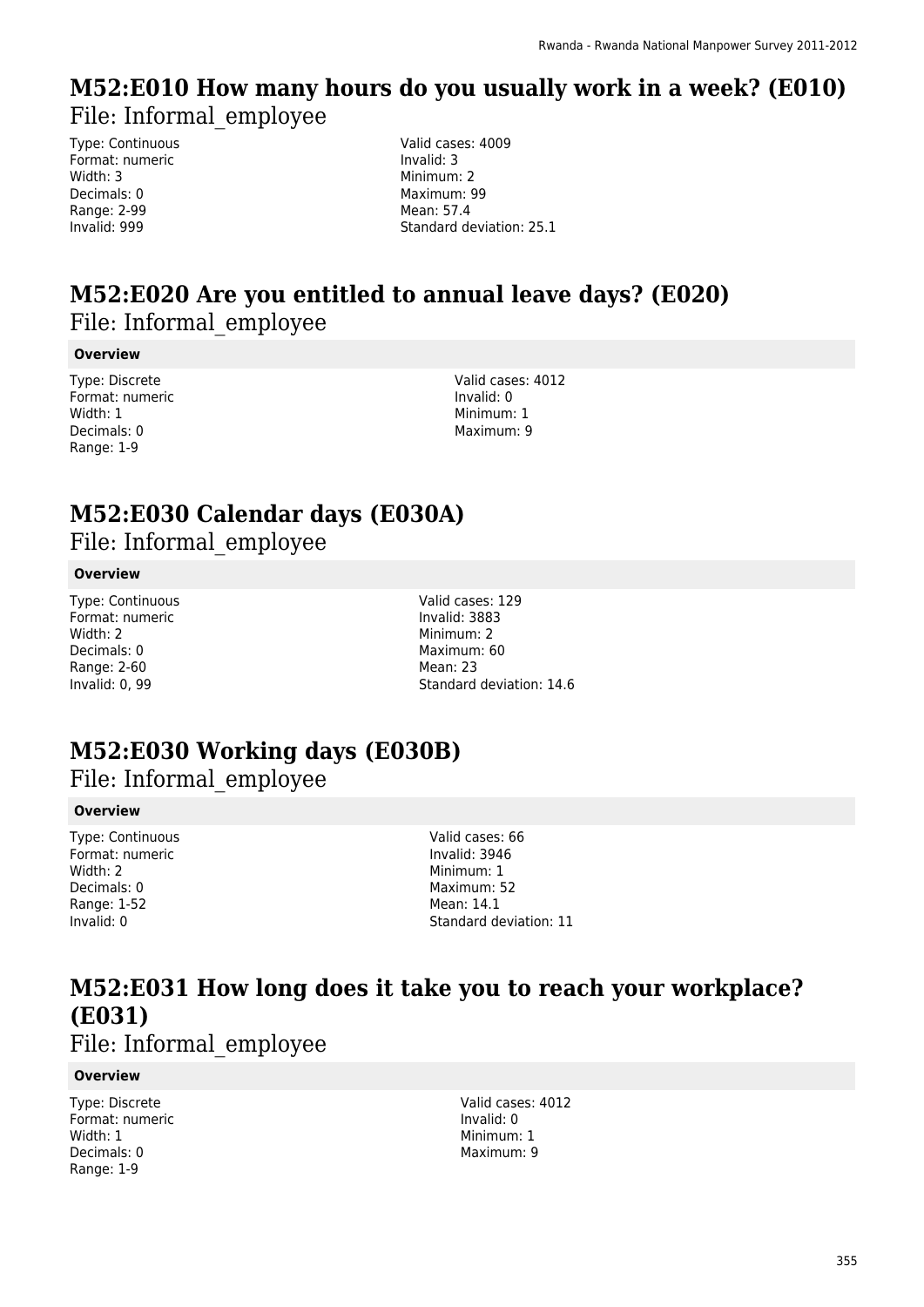### **M52:E010 How many hours do you usually work in a week? (E010)**  File: Informal\_employee

Type: Continuous Format: numeric Width: 3 Decimals: 0 Range: 2-99 Invalid: 999

Valid cases: 4009 Invalid: 3 Minimum: 2 Maximum: 99 Mean: 57.4 Standard deviation: 25.1

### **M52:E020 Are you entitled to annual leave days? (E020)**  File: Informal\_employee

#### **Overview**

Type: Discrete Format: numeric Width: 1 Decimals: 0 Range: 1-9

Valid cases: 4012 Invalid: 0 Minimum: 1 Maximum: 9

# **M52:E030 Calendar days (E030A)**

File: Informal\_employee

#### **Overview**

Type: Continuous Format: numeric Width: 2 Decimals: 0 Range: 2-60 Invalid: 0, 99

Valid cases: 129 Invalid: 3883 Minimum: 2 Maximum: 60 Mean: 23 Standard deviation: 14.6

# **M52:E030 Working days (E030B)**

### File: Informal\_employee

#### **Overview**

Type: Continuous Format: numeric Width: 2 Decimals: 0 Range: 1-52 Invalid: 0

Valid cases: 66 Invalid: 3946 Minimum: 1 Maximum: 52 Mean: 14.1 Standard deviation: 11

### **M52:E031 How long does it take you to reach your workplace? (E031)**

File: Informal\_employee

#### **Overview**

Type: Discrete Format: numeric Width: 1 Decimals: 0 Range: 1-9

Valid cases: 4012 Invalid: 0 Minimum: 1 Maximum: 9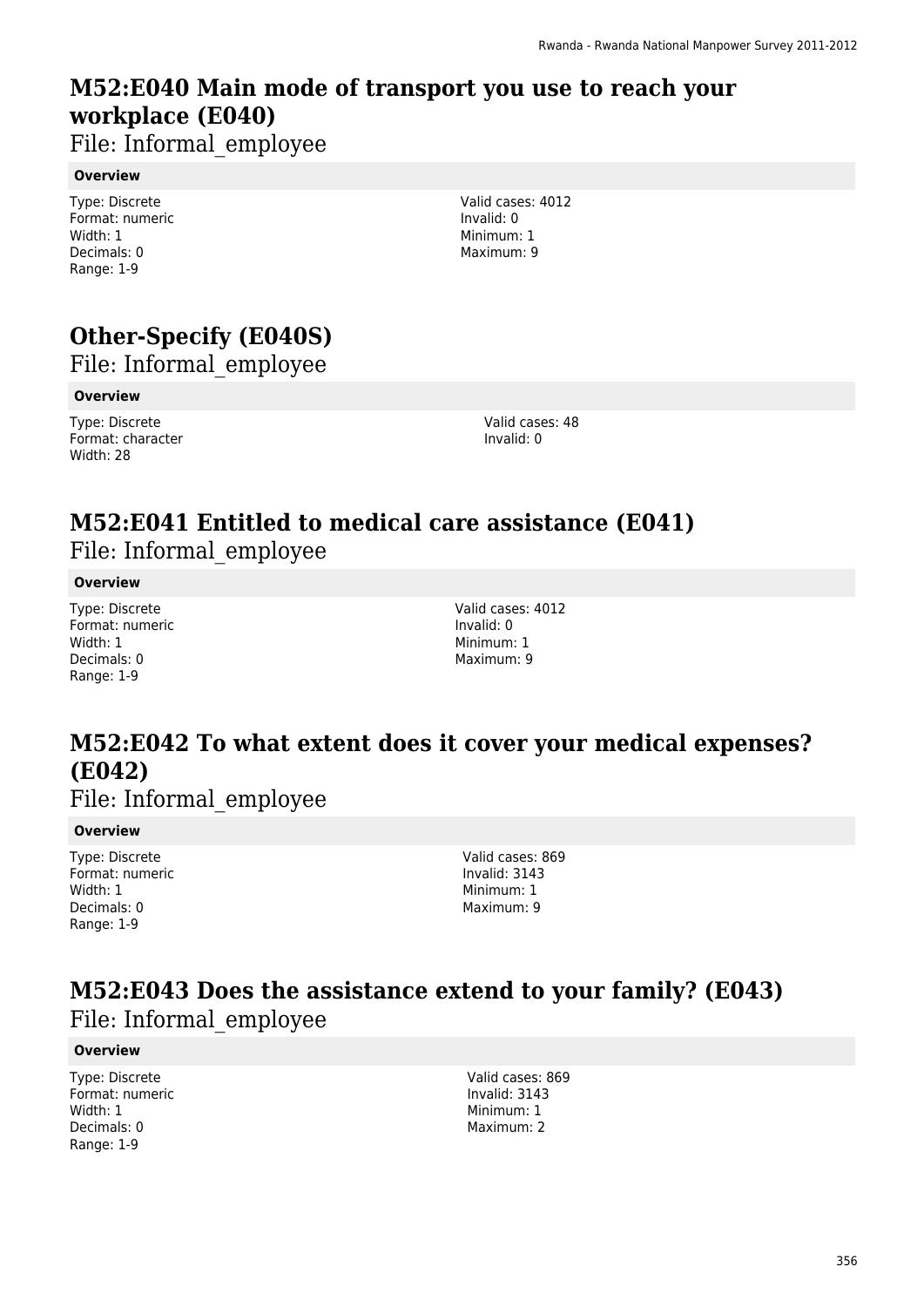### **M52:E040 Main mode of transport you use to reach your workplace (E040)**

File: Informal\_employee

#### **Overview**

Type: Discrete Format: numeric Width: 1 Decimals: 0 Range: 1-9

Valid cases: 4012 Invalid: 0 Minimum: 1 Maximum: 9

# **Other-Specify (E040S)**

File: Informal\_employee

**Overview**

Type: Discrete Format: character Width: 28

Valid cases: 48 Invalid: 0

### **M52:E041 Entitled to medical care assistance (E041)**  File: Informal\_employee

**Overview**

Type: Discrete Format: numeric Width: 1 Decimals: 0 Range: 1-9

Valid cases: 4012 Invalid: 0 Minimum: 1 Maximum: 9

### **M52:E042 To what extent does it cover your medical expenses? (E042)**

File: Informal\_employee

#### **Overview**

Type: Discrete Format: numeric Width: 1 Decimals: 0 Range: 1-9

Valid cases: 869 Invalid: 3143 Minimum: 1 Maximum: 9

### **M52:E043 Does the assistance extend to your family? (E043)**  File: Informal\_employee

#### **Overview**

Type: Discrete Format: numeric Width: 1 Decimals: 0 Range: 1-9

Valid cases: 869 Invalid: 3143 Minimum: 1 Maximum: 2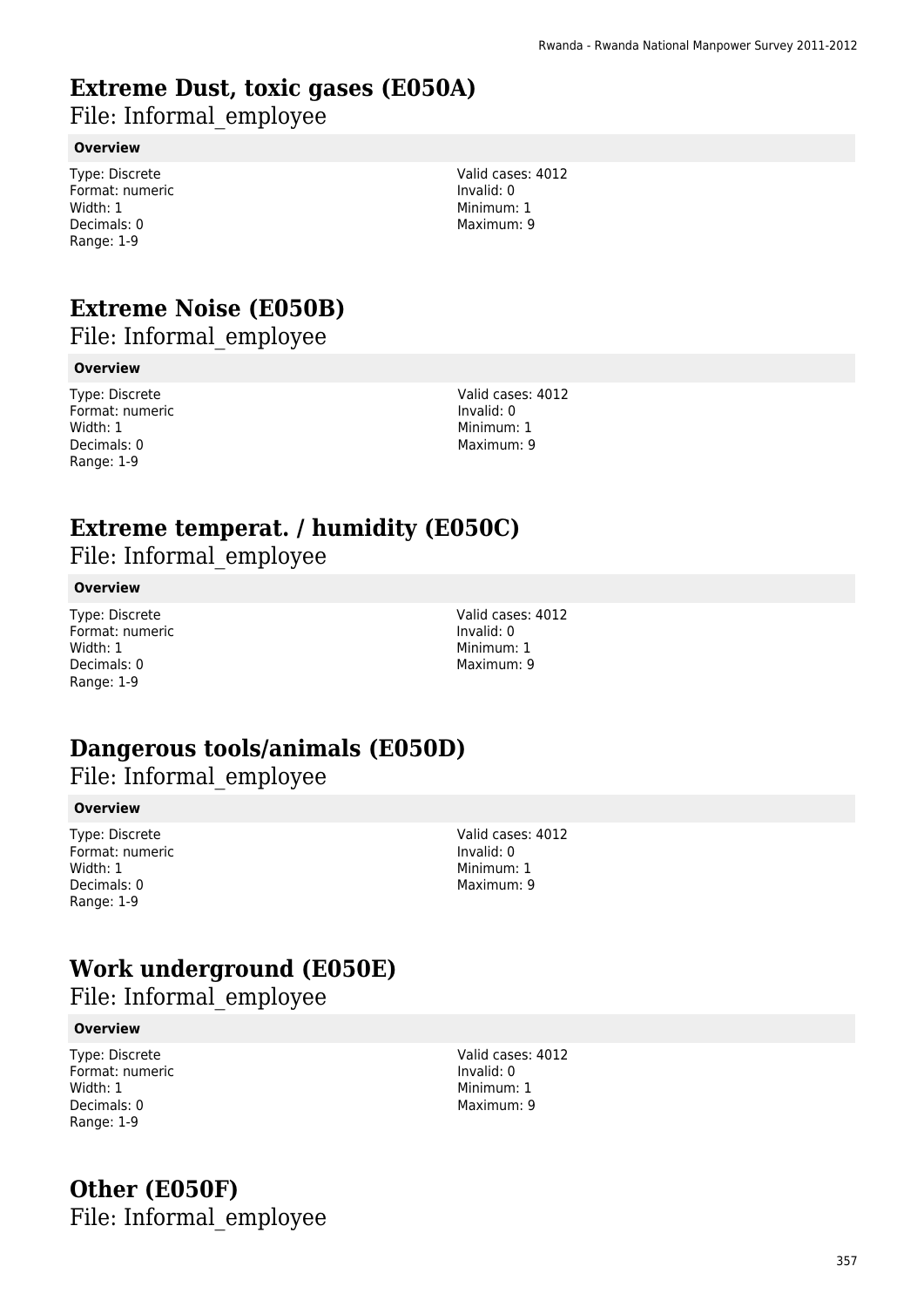# **Extreme Dust, toxic gases (E050A)**

File: Informal\_employee

#### **Overview**

Type: Discrete Format: numeric Width: 1 Decimals: 0 Range: 1-9

Valid cases: 4012 Invalid: 0 Minimum: 1 Maximum: 9

### **Extreme Noise (E050B)**

File: Informal\_employee

#### **Overview**

Type: Discrete Format: numeric Width: 1 Decimals: 0 Range: 1-9

Valid cases: 4012 Invalid: 0 Minimum: 1 Maximum: 9

# **Extreme temperat. / humidity (E050C)**

File: Informal\_employee

#### **Overview**

Type: Discrete Format: numeric Width: 1 Decimals: 0 Range: 1-9

Valid cases: 4012 Invalid: 0 Minimum: 1 Maximum: 9

# **Dangerous tools/animals (E050D)**

### File: Informal\_employee

#### **Overview**

Type: Discrete Format: numeric Width: 1 Decimals: 0 Range: 1-9

Valid cases: 4012 Invalid: 0 Minimum: 1 Maximum: 9

# **Work underground (E050E)**

File: Informal\_employee

#### **Overview**

Type: Discrete Format: numeric Width: 1 Decimals: 0 Range: 1-9

**Other (E050F)**  File: Informal\_employee Valid cases: 4012 Invalid: 0 Minimum: 1 Maximum: 9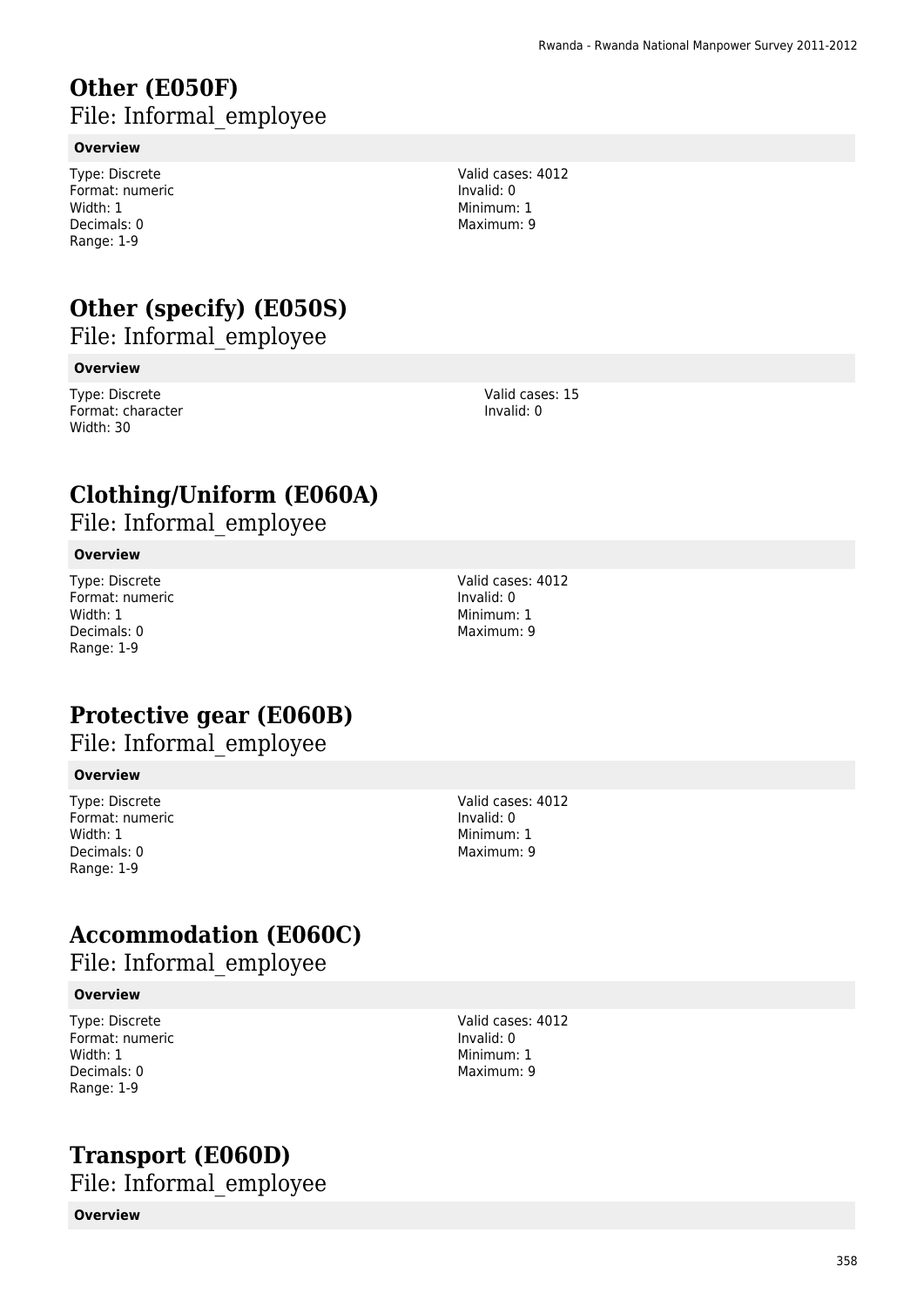### **Other (E050F)**  File: Informal\_employee

#### **Overview**

Type: Discrete Format: numeric Width: 1 Decimals: 0 Range: 1-9

# **Other (specify) (E050S)**

File: Informal\_employee

#### **Overview**

Type: Discrete Format: character Width: 30

Valid cases: 4012 Invalid: 0 Minimum: 1 Maximum: 9

> Valid cases: 15 Invalid: 0

# **Clothing/Uniform (E060A)**

File: Informal\_employee

#### **Overview**

Type: Discrete Format: numeric Width: 1 Decimals: 0 Range: 1-9

Valid cases: 4012 Invalid: 0 Minimum: 1 Maximum: 9

# **Protective gear (E060B)**

### File: Informal\_employee

#### **Overview**

Type: Discrete Format: numeric Width: 1 Decimals: 0 Range: 1-9

Valid cases: 4012 Invalid: 0 Minimum: 1 Maximum: 9

# **Accommodation (E060C)**

File: Informal\_employee

#### **Overview**

Type: Discrete Format: numeric Width: 1 Decimals: 0 Range: 1-9

Valid cases: 4012 Invalid: 0 Minimum: 1 Maximum: 9

# **Transport (E060D)**

File: Informal\_employee

#### **Overview**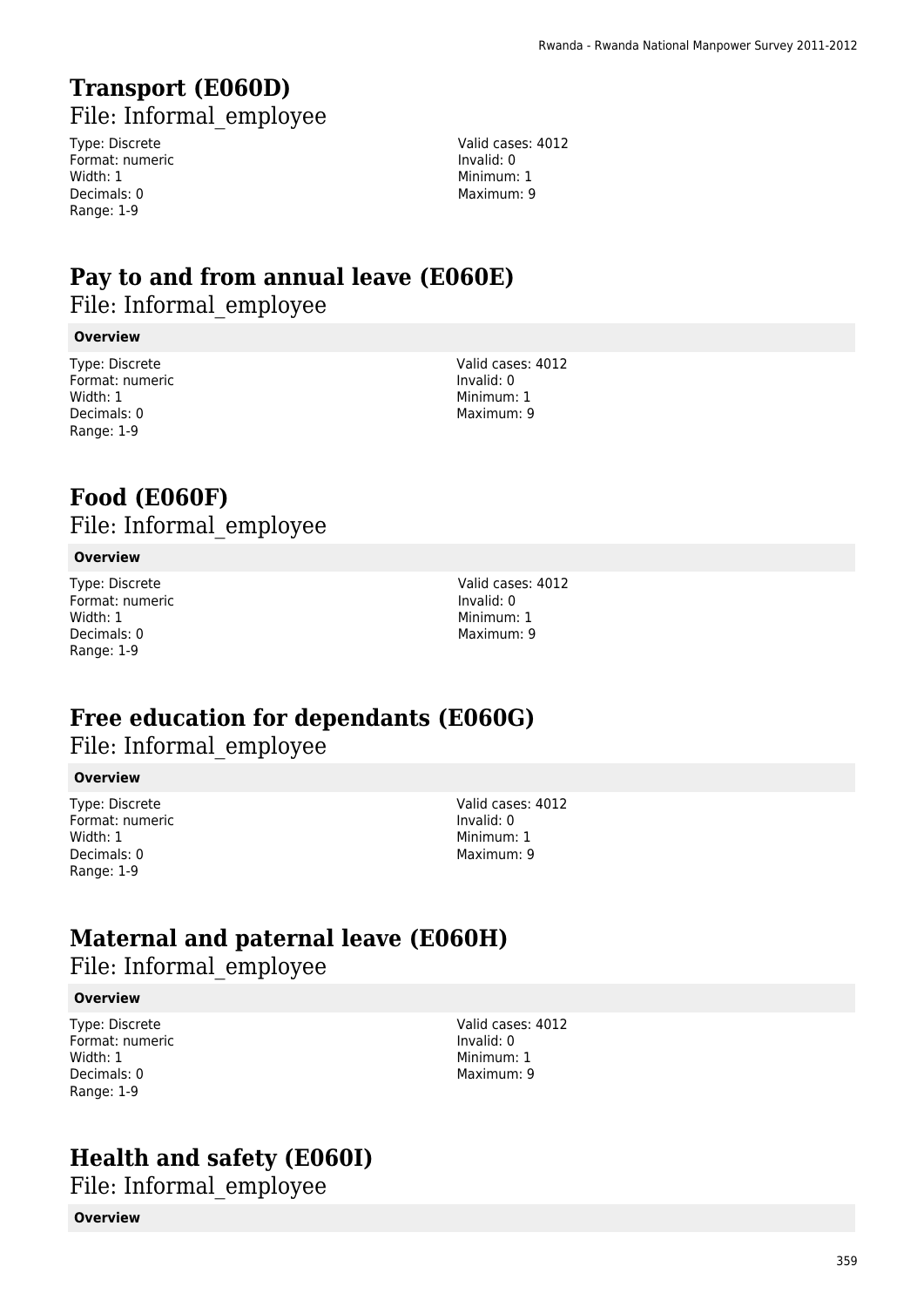# **Transport (E060D)**

File: Informal\_employee

Type: Discrete Format: numeric Width: 1 Decimals: 0 Range: 1-9

Valid cases: 4012 Invalid: 0 Minimum: 1 Maximum: 9

### **Pay to and from annual leave (E060E)**  File: Informal\_employee

#### **Overview**

Type: Discrete Format: numeric Width: 1 Decimals: 0 Range: 1-9

Valid cases: 4012 Invalid: 0 Minimum: 1 Maximum: 9

### **Food (E060F)**  File: Informal\_employee

#### **Overview**

Type: Discrete Format: numeric Width: 1 Decimals: 0 Range: 1-9

Valid cases: 4012 Invalid: 0 Minimum: 1 Maximum: 9

# **Free education for dependants (E060G)**

File: Informal\_employee

#### **Overview**

Type: Discrete Format: numeric Width: 1 Decimals: 0 Range: 1-9

Valid cases: 4012 Invalid: 0 Minimum: 1 Maximum: 9

### **Maternal and paternal leave (E060H)**

File: Informal\_employee

#### **Overview**

Type: Discrete Format: numeric Width: 1 Decimals: 0 Range: 1-9

Valid cases: 4012 Invalid: 0 Minimum: 1 Maximum: 9

### **Health and safety (E060I)**

File: Informal\_employee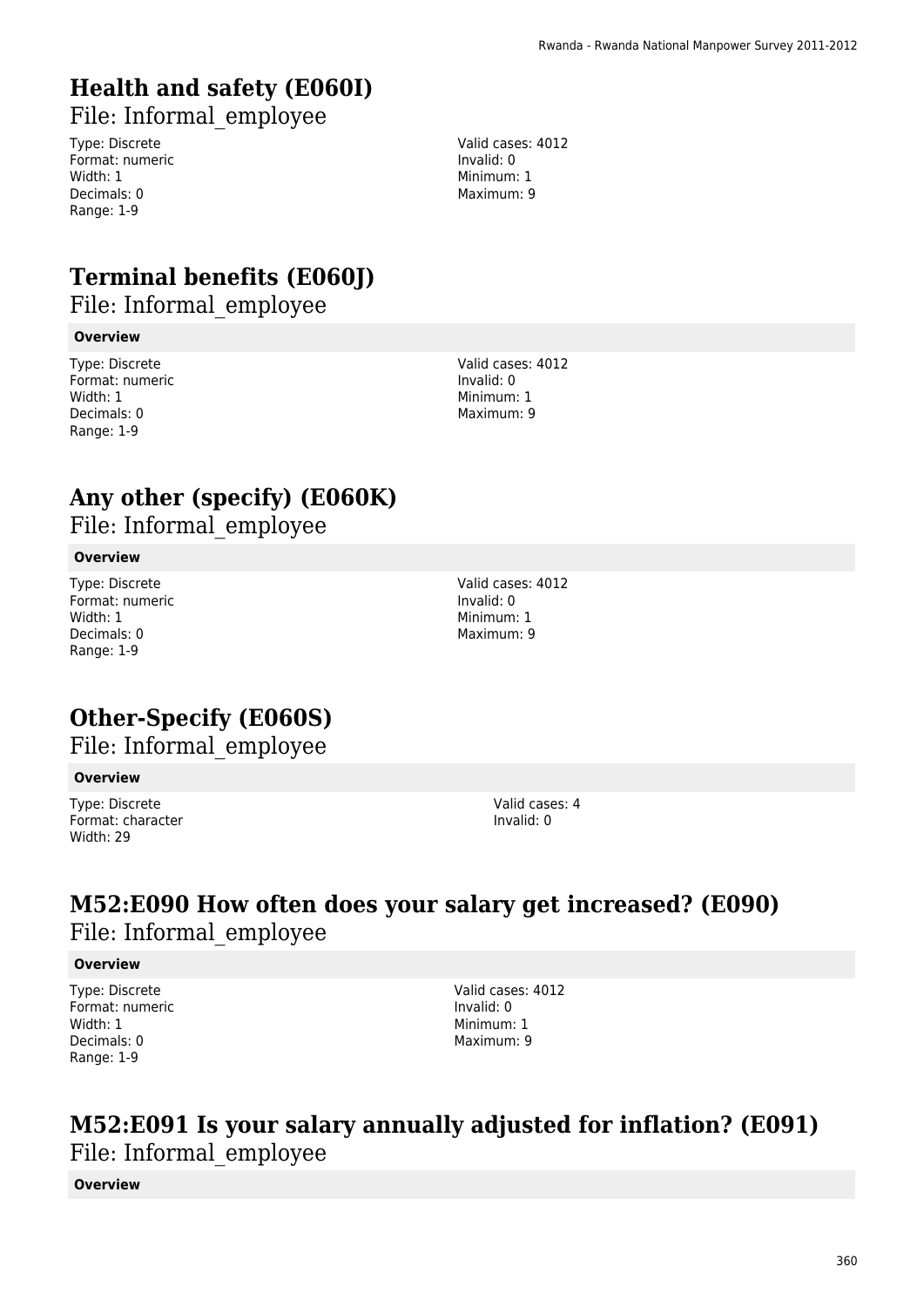# **Health and safety (E060I)**

File: Informal\_employee

Type: Discrete Format: numeric Width: 1 Decimals: 0 Range: 1-9

Valid cases: 4012 Invalid: 0 Minimum: 1 Maximum: 9

# **Terminal benefits (E060J)**

File: Informal\_employee

#### **Overview**

Type: Discrete Format: numeric Width: 1 Decimals: 0 Range: 1-9

Valid cases: 4012 Invalid: 0 Minimum: 1 Maximum: 9

# **Any other (specify) (E060K)**

File: Informal\_employee

#### **Overview**

Type: Discrete Format: numeric Width: 1 Decimals: 0 Range: 1-9

Valid cases: 4012 Invalid: 0 Minimum: 1 Maximum: 9

### **Other-Specify (E060S)**

File: Informal\_employee

#### **Overview**

Type: Discrete Format: character Width: 29

Valid cases: 4 Invalid: 0

### **M52:E090 How often does your salary get increased? (E090)**  File: Informal\_employee

#### **Overview**

Type: Discrete Format: numeric Width: 1 Decimals: 0 Range: 1-9

Valid cases: 4012 Invalid: 0 Minimum: 1 Maximum: 9

### **M52:E091 Is your salary annually adjusted for inflation? (E091)**  File: Informal\_employee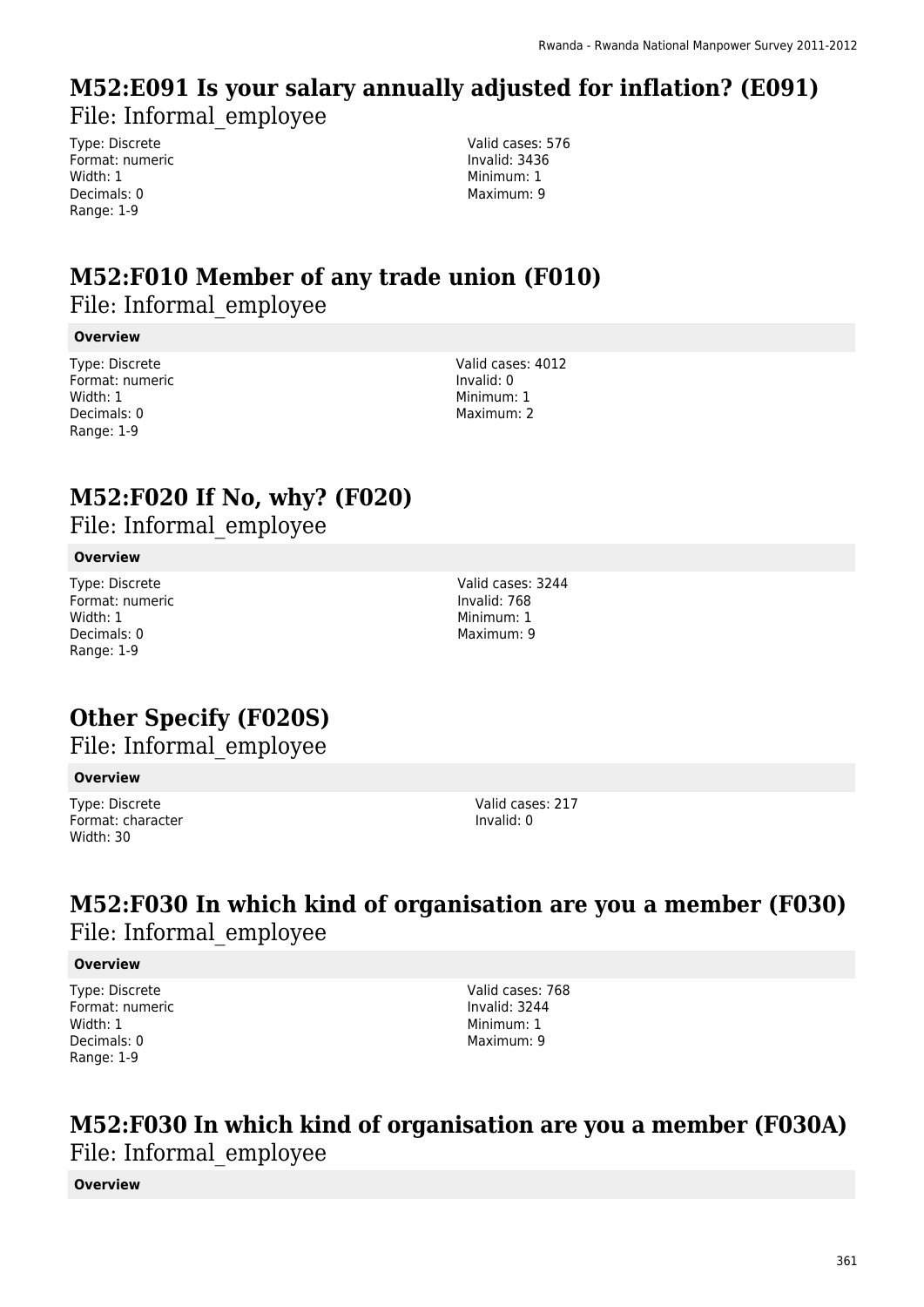## **M52:E091 Is your salary annually adjusted for inflation? (E091)**

File: Informal\_employee

Type: Discrete Format: numeric Width: 1 Decimals: 0 Range: 1-9

Valid cases: 576 Invalid: 3436 Minimum: 1 Maximum: 9

## **M52:F010 Member of any trade union (F010)**  File: Informal\_employee

### **Overview**

Type: Discrete Format: numeric Width: 1 Decimals: 0 Range: 1-9

Valid cases: 4012 Invalid: 0 Minimum: 1 Maximum: 2

# **M52:F020 If No, why? (F020)**

File: Informal\_employee

### **Overview**

Type: Discrete Format: numeric Width: 1 Decimals: 0 Range: 1-9

Valid cases: 3244 Invalid: 768 Minimum: 1 Maximum: 9

## **Other Specify (F020S)**

File: Informal\_employee

### **Overview**

Type: Discrete Format: character Width: 30

Valid cases: 217 Invalid: 0

### **M52:F030 In which kind of organisation are you a member (F030)**  File: Informal\_employee

### **Overview**

Type: Discrete Format: numeric Width: 1 Decimals: 0 Range: 1-9

Valid cases: 768 Invalid: 3244 Minimum: 1 Maximum: 9

# **M52:F030 In which kind of organisation are you a member (F030A)**

File: Informal\_employee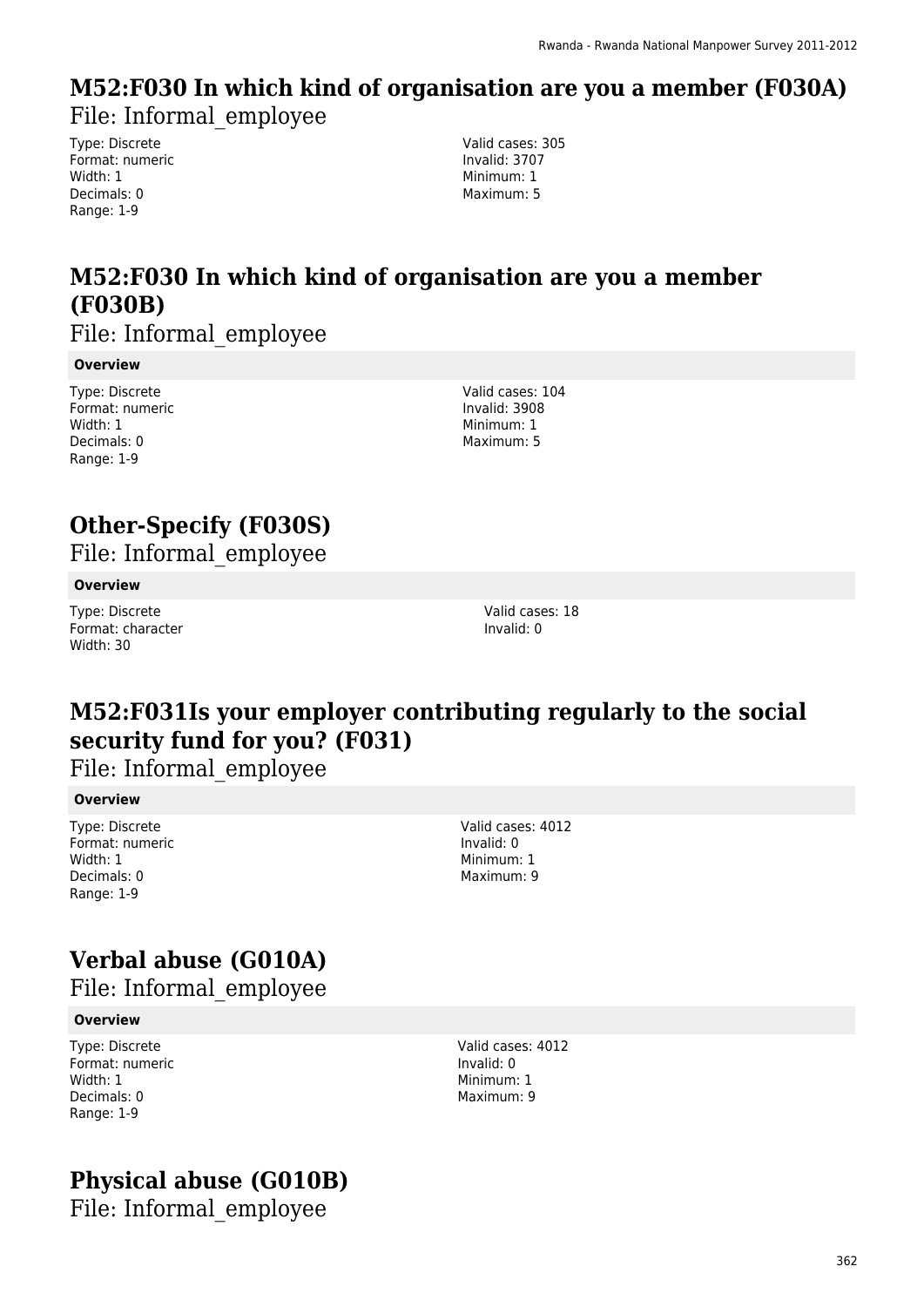# **M52:F030 In which kind of organisation are you a member (F030A)**

File: Informal\_employee

Type: Discrete Format: numeric Width: 1 Decimals: 0 Range: 1-9

Valid cases: 305 Invalid: 3707 Minimum: 1 Maximum: 5

## **M52:F030 In which kind of organisation are you a member (F030B)**

File: Informal\_employee

### **Overview**

Type: Discrete Format: numeric Width: 1 Decimals: 0 Range: 1-9

Valid cases: 104 Invalid: 3908 Minimum: 1 Maximum: 5

## **Other-Specify (F030S)**

File: Informal\_employee

### **Overview**

Type: Discrete Format: character Width: 30

Valid cases: 18 Invalid: 0

## **M52:F031Is your employer contributing regularly to the social security fund for you? (F031)**

File: Informal\_employee

### **Overview**

Type: Discrete Format: numeric Width: 1 Decimals: 0 Range: 1-9

Valid cases: 4012 Invalid: 0 Minimum: 1 Maximum: 9

## **Verbal abuse (G010A)**

File: Informal\_employee

### **Overview**

Type: Discrete Format: numeric Width: 1 Decimals: 0 Range: 1-9

Valid cases: 4012 Invalid: 0 Minimum: 1 Maximum: 9

## **Physical abuse (G010B)**

File: Informal\_employee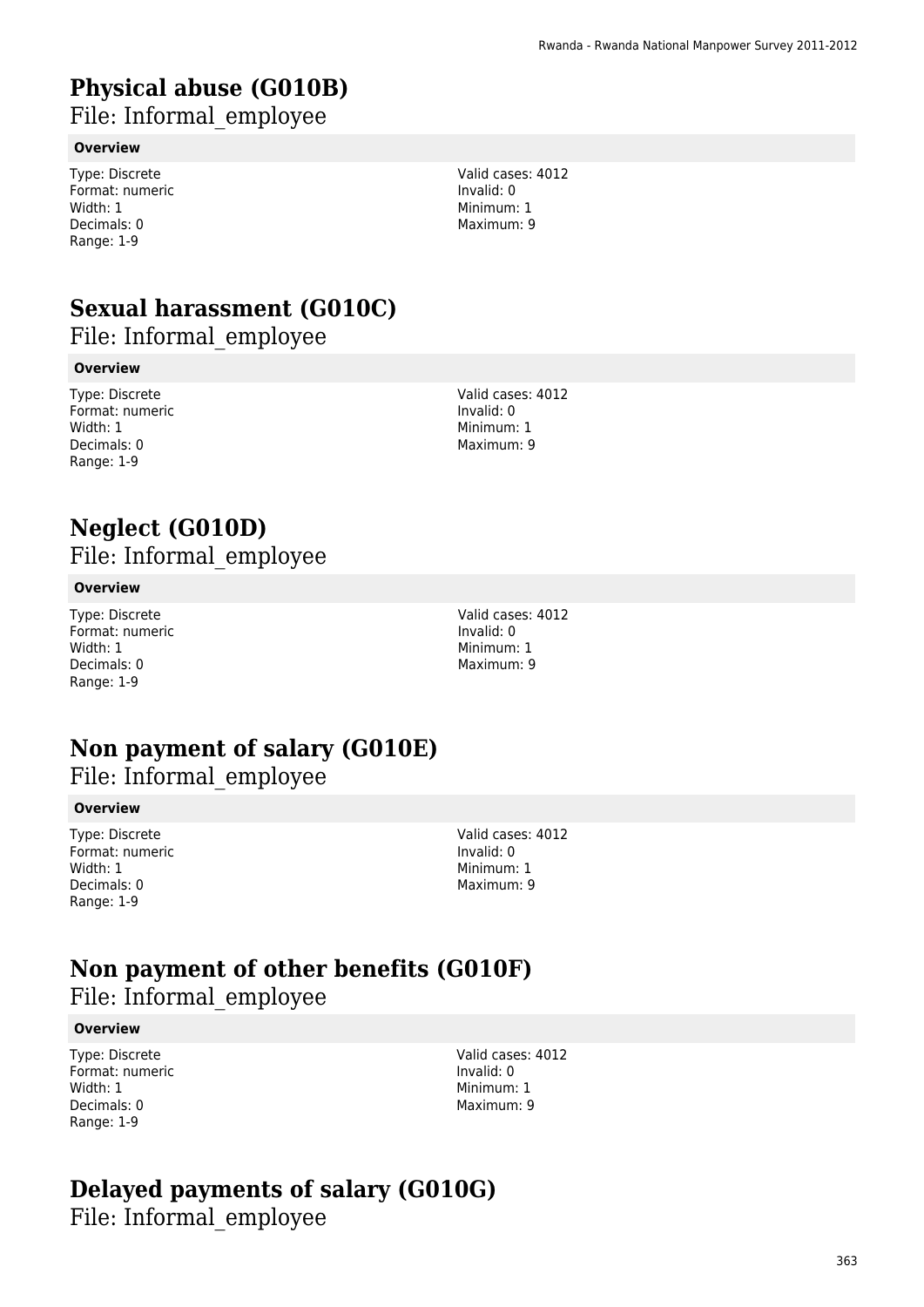## **Physical abuse (G010B)**

File: Informal\_employee

### **Overview**

Type: Discrete Format: numeric Width: 1 Decimals: 0 Range: 1-9

Valid cases: 4012 Invalid: 0 Minimum: 1 Maximum: 9

## **Sexual harassment (G010C)**

File: Informal\_employee

#### **Overview**

Type: Discrete Format: numeric Width: 1 Decimals: 0 Range: 1-9

Valid cases: 4012 Invalid: 0 Minimum: 1 Maximum: 9

### **Neglect (G010D)**  File: Informal\_employee

### **Overview**

Type: Discrete Format: numeric Width: 1 Decimals: 0 Range: 1-9

Valid cases: 4012 Invalid: 0 Minimum: 1 Maximum: 9

### **Non payment of salary (G010E)**  File: Informal\_employee

### **Overview**

Type: Discrete Format: numeric Width: 1 Decimals: 0 Range: 1-9

Valid cases: 4012 Invalid: 0 Minimum: 1 Maximum: 9

# **Non payment of other benefits (G010F)**

File: Informal\_employee

### **Overview**

Type: Discrete Format: numeric Width: 1 Decimals: 0 Range: 1-9

Valid cases: 4012 Invalid: 0 Minimum: 1 Maximum: 9

## **Delayed payments of salary (G010G)**

File: Informal\_employee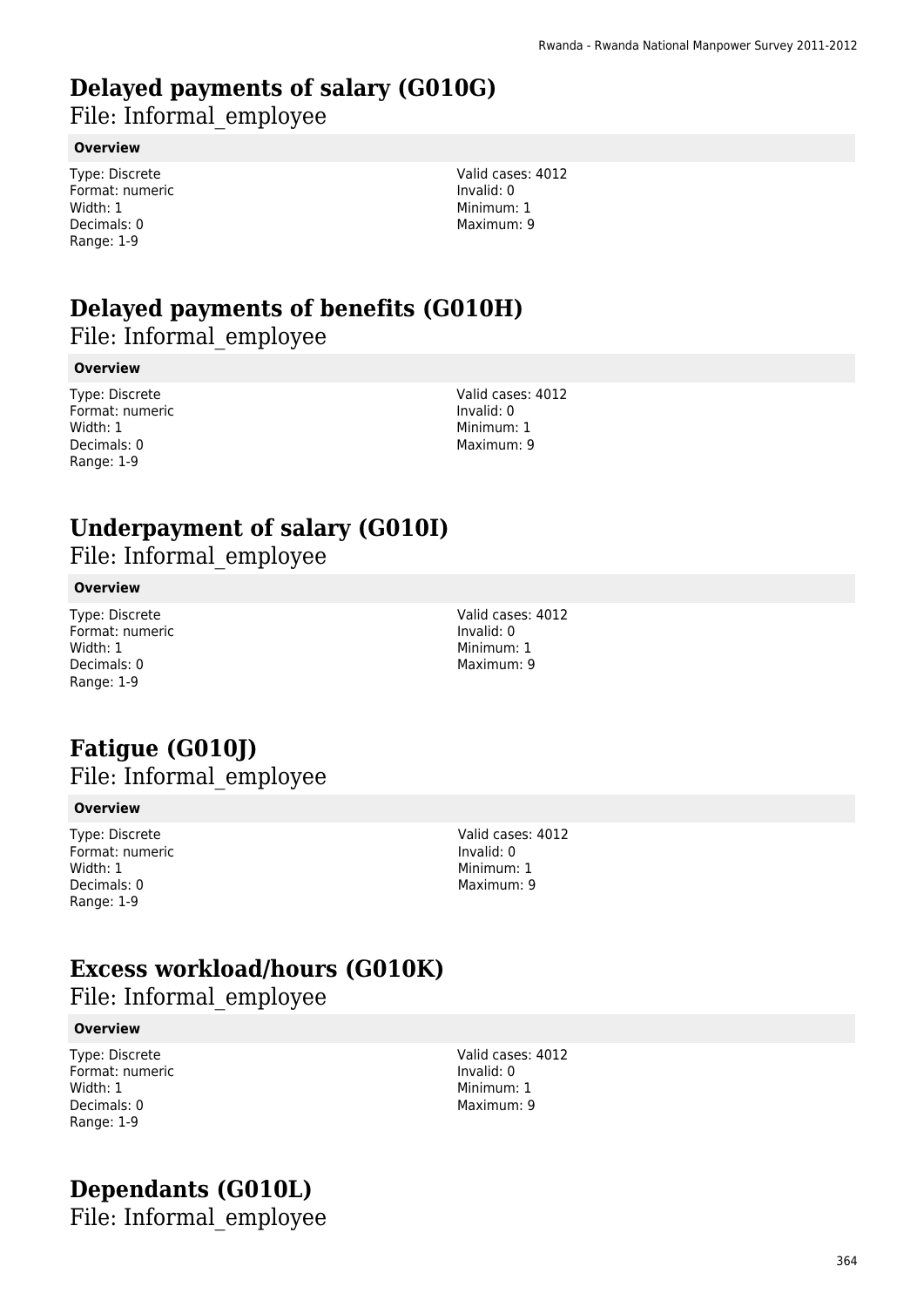## **Delayed payments of salary (G010G)**

File: Informal\_employee

#### **Overview**

Type: Discrete Format: numeric Width: 1 Decimals: 0 Range: 1-9

Valid cases: 4012 Invalid: 0 Minimum: 1 Maximum: 9

## **Delayed payments of benefits (G010H)**

File: Informal\_employee

#### **Overview**

Type: Discrete Format: numeric Width: 1 Decimals: 0 Range: 1-9

Valid cases: 4012 Invalid: 0 Minimum: 1 Maximum: 9

## **Underpayment of salary (G010I)**

File: Informal\_employee

### **Overview**

Type: Discrete Format: numeric Width: 1 Decimals: 0 Range: 1-9

Valid cases: 4012 Invalid: 0 Minimum: 1 Maximum: 9

### **Fatigue (G010J)**  File: Informal\_employee

#### **Overview**

Type: Discrete Format: numeric Width: 1 Decimals: 0 Range: 1-9

Valid cases: 4012 Invalid: 0 Minimum: 1 Maximum: 9

### **Excess workload/hours (G010K)**

File: Informal\_employee

### **Overview**

Type: Discrete Format: numeric Width: 1 Decimals: 0 Range: 1-9

## **Dependants (G010L)**

File: Informal\_employee

Valid cases: 4012 Invalid: 0 Minimum: 1 Maximum: 9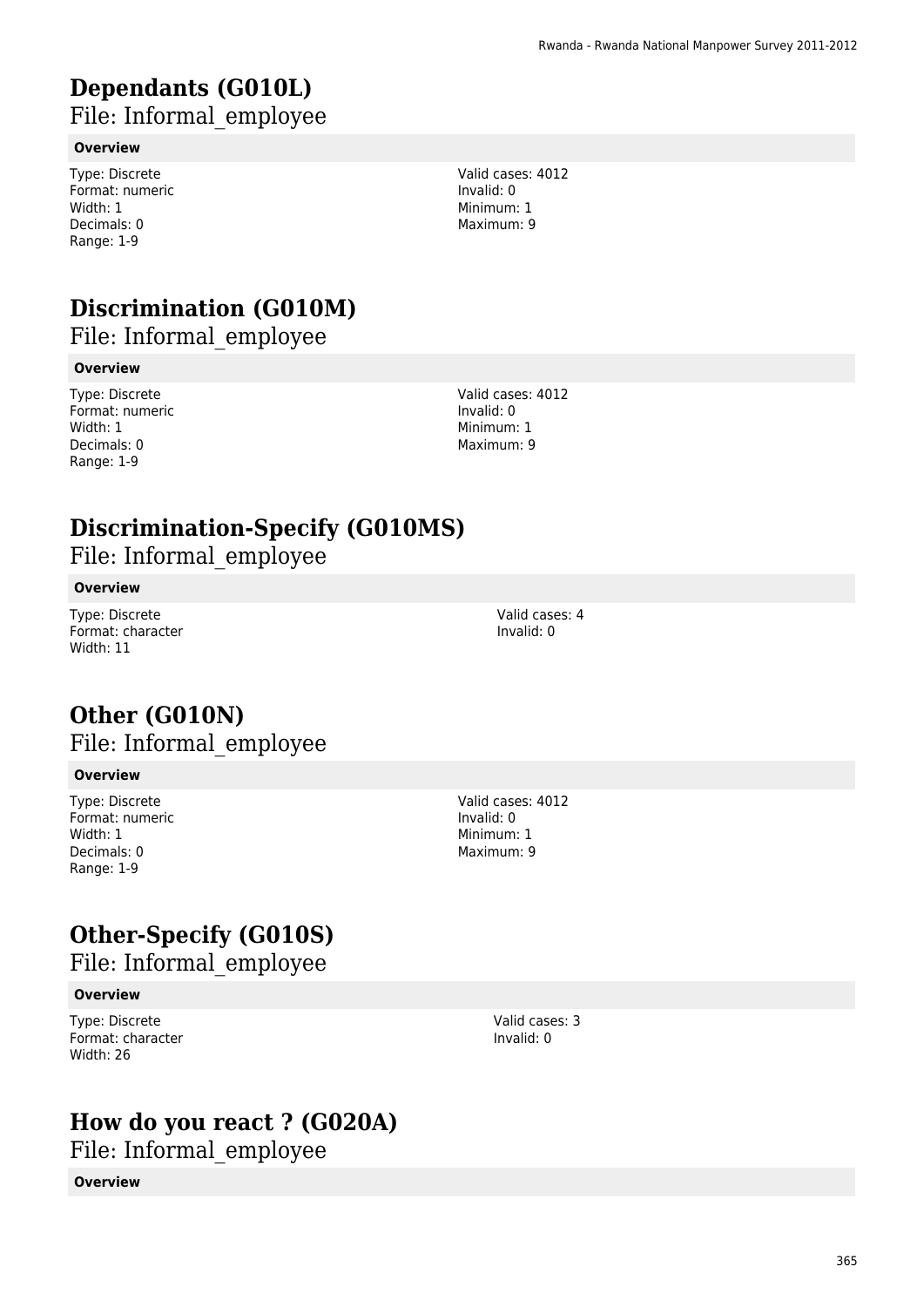# **Dependants (G010L)**

File: Informal\_employee

### **Overview**

Type: Discrete Format: numeric Width: 1 Decimals: 0 Range: 1-9

Valid cases: 4012 Invalid: 0 Minimum: 1 Maximum: 9

## **Discrimination (G010M)**

File: Informal\_employee

### **Overview**

Type: Discrete Format: numeric Width: 1 Decimals: 0 Range: 1-9

Valid cases: 4012 Invalid: 0 Minimum: 1 Maximum: 9

## **Discrimination-Specify (G010MS)**

File: Informal\_employee

### **Overview**

Type: Discrete Format: character Width: 11

Valid cases: 4 Invalid: 0

### **Other (G010N)**  File: Informal\_employee

### **Overview**

Type: Discrete Format: numeric Width: 1 Decimals: 0 Range: 1-9

Valid cases: 4012 Invalid: 0 Minimum: 1 Maximum: 9

## **Other-Specify (G010S)**

File: Informal\_employee

### **Overview**

Type: Discrete Format: character Width: 26

## **How do you react ? (G020A)**

File: Informal\_employee

### **Overview**

Valid cases: 3 Invalid: 0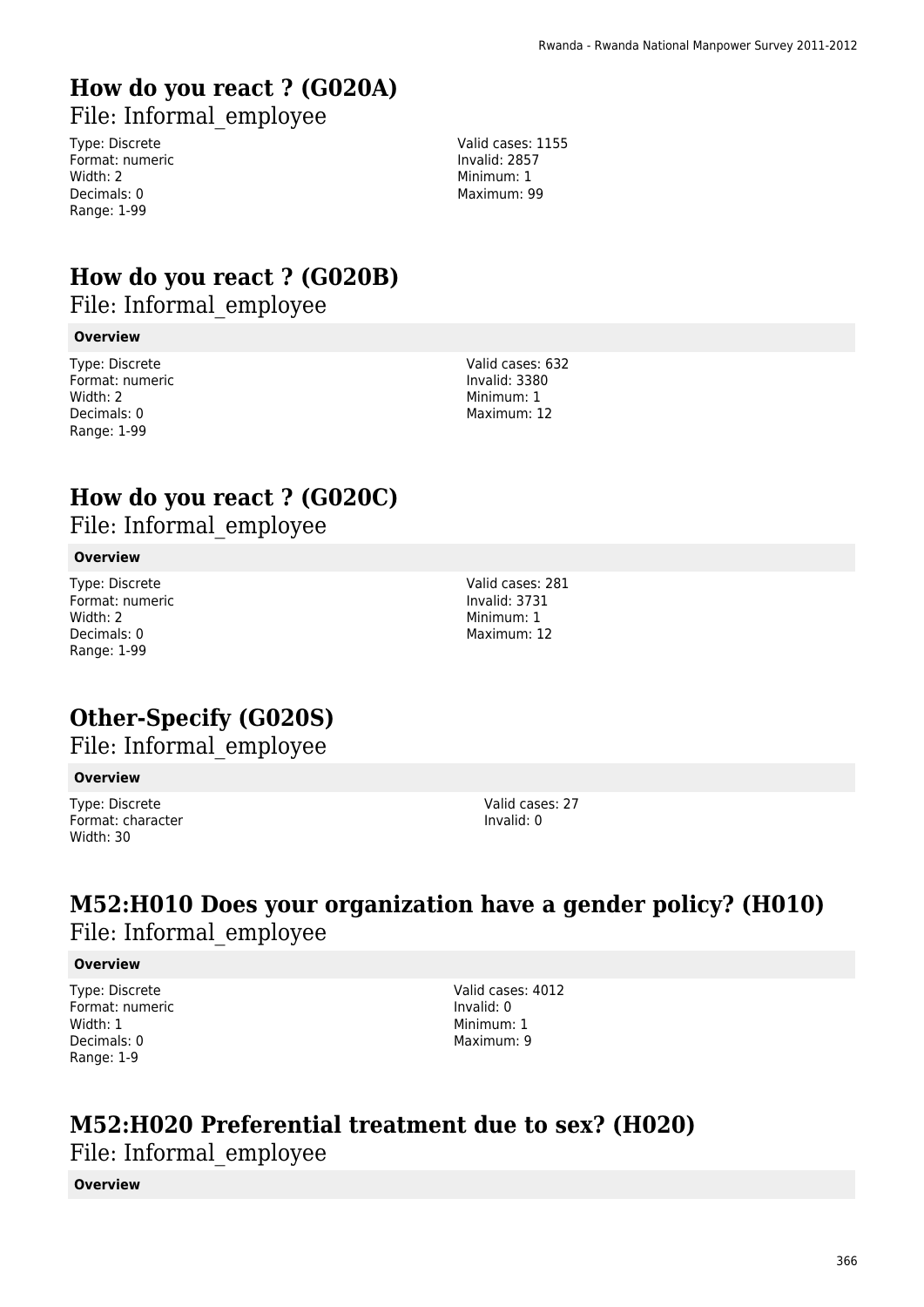# **How do you react ? (G020A)**

File: Informal\_employee

Type: Discrete Format: numeric Width: 2 Decimals: 0 Range: 1-99

Valid cases: 1155 Invalid: 2857 Minimum: 1 Maximum: 99

### **How do you react ? (G020B)**  File: Informal\_employee

#### **Overview**

Type: Discrete Format: numeric Width: 2 Decimals: 0 Range: 1-99

Valid cases: 632 Invalid: 3380 Minimum: 1 Maximum: 12

### **How do you react ? (G020C)**  File: Informal\_employee

#### **Overview**

Type: Discrete Format: numeric Width: 2 Decimals: 0 Range: 1-99

Valid cases: 281 Invalid: 3731 Minimum: 1 Maximum: 12

### **Other-Specify (G020S)**

File: Informal\_employee

### **Overview**

Type: Discrete Format: character Width: 30

Valid cases: 27 Invalid: 0

### **M52:H010 Does your organization have a gender policy? (H010)**  File: Informal\_employee

#### **Overview**

Type: Discrete Format: numeric Width: 1 Decimals: 0 Range: 1-9

Valid cases: 4012 Invalid: 0 Minimum: 1 Maximum: 9

### **M52:H020 Preferential treatment due to sex? (H020)**

File: Informal\_employee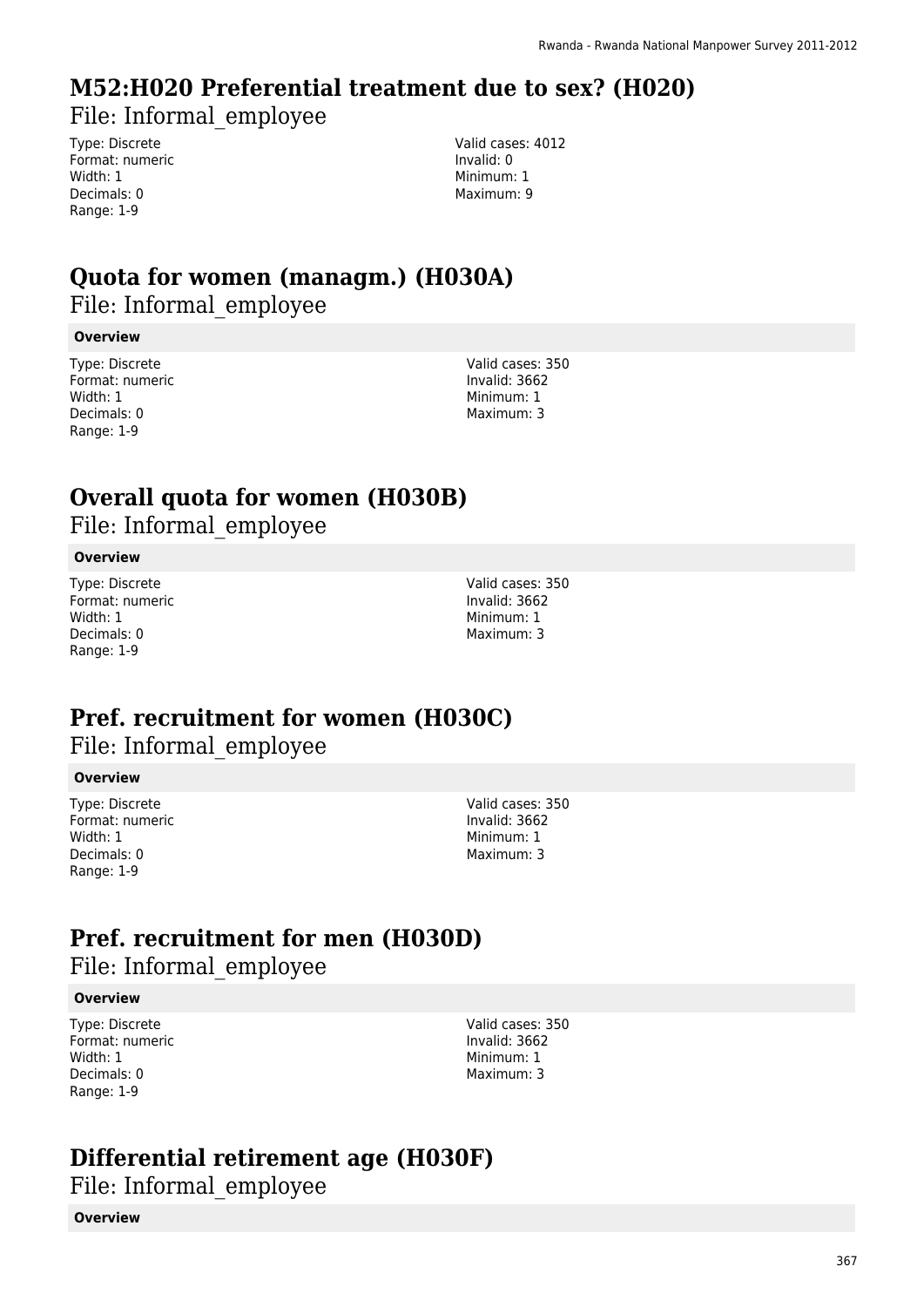## **M52:H020 Preferential treatment due to sex? (H020)**

File: Informal\_employee

Type: Discrete Format: numeric Width: 1 Decimals: 0 Range: 1-9

Valid cases: 4012 Invalid: 0 Minimum: 1 Maximum: 9

### **Quota for women (managm.) (H030A)**  File: Informal\_employee

### **Overview**

Type: Discrete Format: numeric Width: 1 Decimals: 0 Range: 1-9

Valid cases: 350 Invalid: 3662 Minimum: 1 Maximum: 3

## **Overall quota for women (H030B)**

File: Informal\_employee

### **Overview**

Type: Discrete Format: numeric Width: 1 Decimals: 0 Range: 1-9

Valid cases: 350 Invalid: 3662 Minimum: 1 Maximum: 3

## **Pref. recruitment for women (H030C)**

### File: Informal\_employee

### **Overview**

Type: Discrete Format: numeric Width: 1 Decimals: 0 Range: 1-9

Valid cases: 350 Invalid: 3662 Minimum: 1 Maximum: 3

## **Pref. recruitment for men (H030D)**

File: Informal\_employee

### **Overview**

Type: Discrete Format: numeric Width: 1 Decimals: 0 Range: 1-9

Valid cases: 350 Invalid: 3662 Minimum: 1 Maximum: 3

## **Differential retirement age (H030F)**

File: Informal\_employee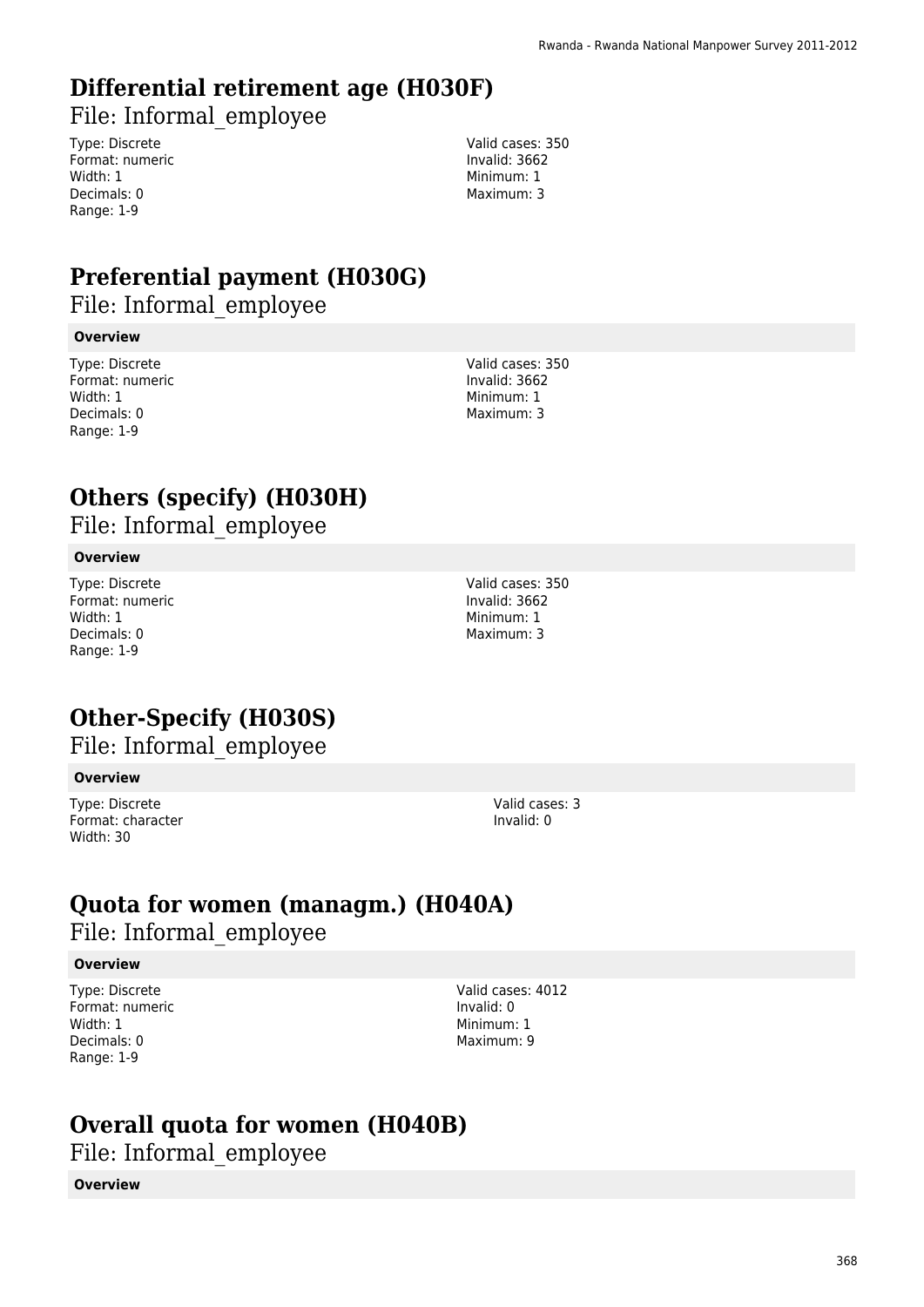## **Differential retirement age (H030F)**

File: Informal\_employee

Type: Discrete Format: numeric Width: 1 Decimals: 0 Range: 1-9

# **Preferential payment (H030G)**

File: Informal\_employee

### **Overview**

Type: Discrete Format: numeric Width: 1 Decimals: 0 Range: 1-9

# **Others (specify) (H030H)**

File: Informal\_employee

### **Overview**

Type: Discrete Format: numeric Width: 1 Decimals: 0 Range: 1-9

## **Other-Specify (H030S)**

File: Informal\_employee

### **Overview**

Type: Discrete Format: character Width: 30

# **Quota for women (managm.) (H040A)**

File: Informal\_employee

### **Overview**

Type: Discrete Format: numeric Width: 1 Decimals: 0 Range: 1-9

Valid cases: 4012 Invalid: 0 Minimum: 1 Maximum: 9

## **Overall quota for women (H040B)**

File: Informal\_employee

### **Overview**

Valid cases: 350 Invalid: 3662 Minimum: 1 Maximum: 3

Valid cases: 350 Invalid: 3662 Minimum: 1 Maximum: 3

Valid cases: 350 Invalid: 3662 Minimum: 1 Maximum: 3

> Valid cases: 3 Invalid: 0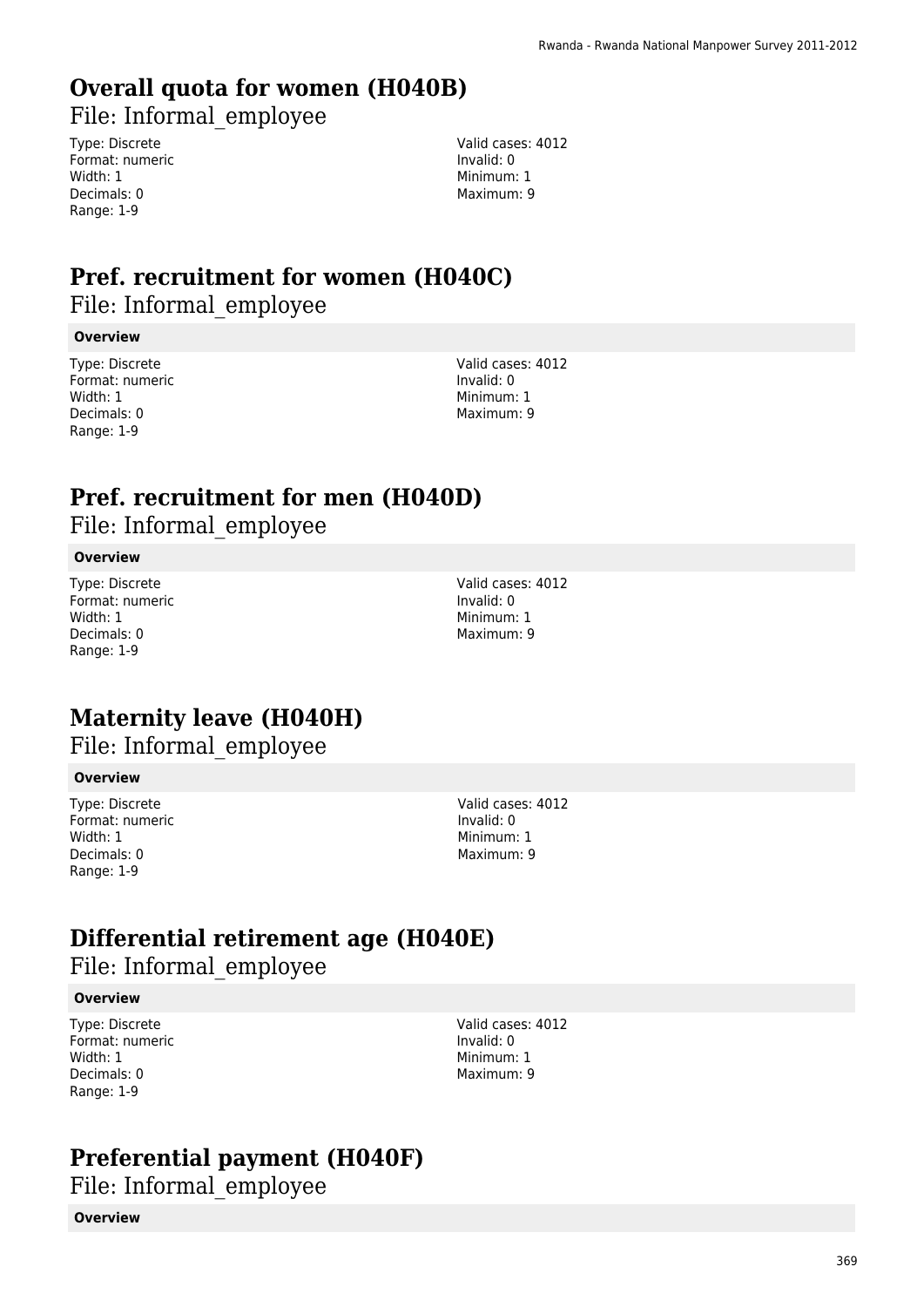# **Overall quota for women (H040B)**

File: Informal\_employee

Type: Discrete Format: numeric Width: 1 Decimals: 0 Range: 1-9

### **Pref. recruitment for women (H040C)**  File: Informal\_employee

#### **Overview**

Type: Discrete Format: numeric Width: 1 Decimals: 0 Range: 1-9

Valid cases: 4012 Invalid: 0 Minimum: 1 Maximum: 9

### **Pref. recruitment for men (H040D)**  File: Informal\_employee

#### **Overview**

Type: Discrete Format: numeric Width: 1 Decimals: 0 Range: 1-9

Valid cases: 4012 Invalid: 0 Minimum: 1 Maximum: 9

### **Maternity leave (H040H)**

File: Informal\_employee

### **Overview**

Type: Discrete Format: numeric Width: 1 Decimals: 0 Range: 1-9

Valid cases: 4012 Invalid: 0 Minimum: 1 Maximum: 9

### **Differential retirement age (H040E)**

File: Informal\_employee

### **Overview**

Type: Discrete Format: numeric Width: 1 Decimals: 0 Range: 1-9

Valid cases: 4012 Invalid: 0 Minimum: 1 Maximum: 9

## **Preferential payment (H040F)**

File: Informal\_employee

**Overview**

Valid cases: 4012 Invalid: 0 Minimum: 1 Maximum: 9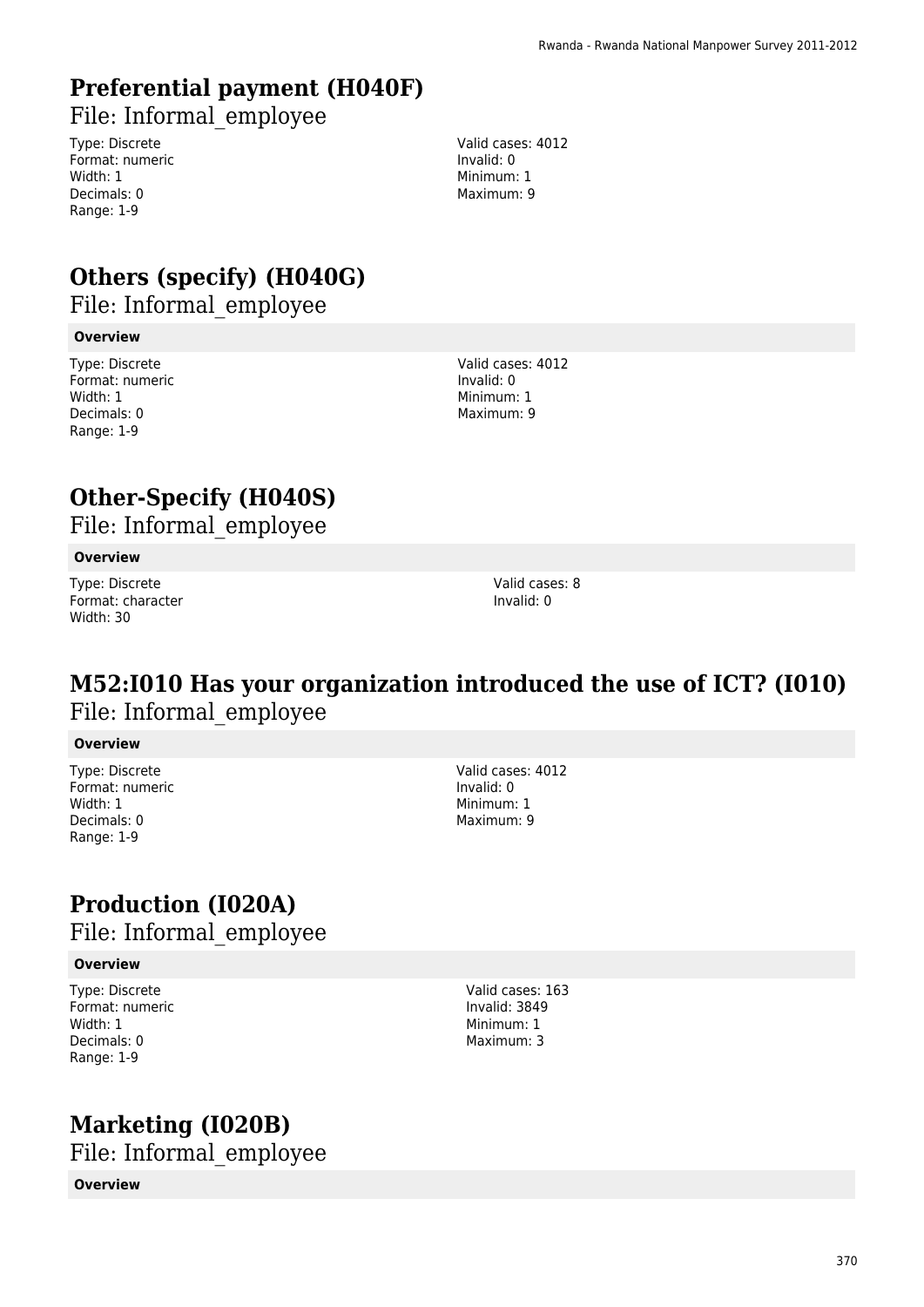## **Preferential payment (H040F)**

File: Informal\_employee

Type: Discrete Format: numeric Width: 1 Decimals: 0 Range: 1-9

Valid cases: 4012 Invalid: 0 Minimum: 1 Maximum: 9

## **Others (specify) (H040G)**

File: Informal\_employee

### **Overview**

Type: Discrete Format: numeric Width: 1 Decimals: 0 Range: 1-9

#### Valid cases: 4012 Invalid: 0 Minimum: 1 Maximum: 9

## **Other-Specify (H040S)**

File: Informal\_employee

### **Overview**

Type: Discrete Format: character Width: 30

Valid cases: 8 Invalid: 0

### **M52:I010 Has your organization introduced the use of ICT? (I010)**  File: Informal\_employee

### **Overview**

Type: Discrete Format: numeric Width: 1 Decimals: 0 Range: 1-9

Valid cases: 4012 Invalid: 0 Minimum: 1 Maximum: 9

# **Production (I020A)**

File: Informal\_employee

### **Overview**

Type: Discrete Format: numeric Width: 1 Decimals: 0 Range: 1-9

## **Marketing (I020B)**

File: Informal\_employee

### **Overview**

Valid cases: 163 Invalid: 3849 Minimum: 1 Maximum: 3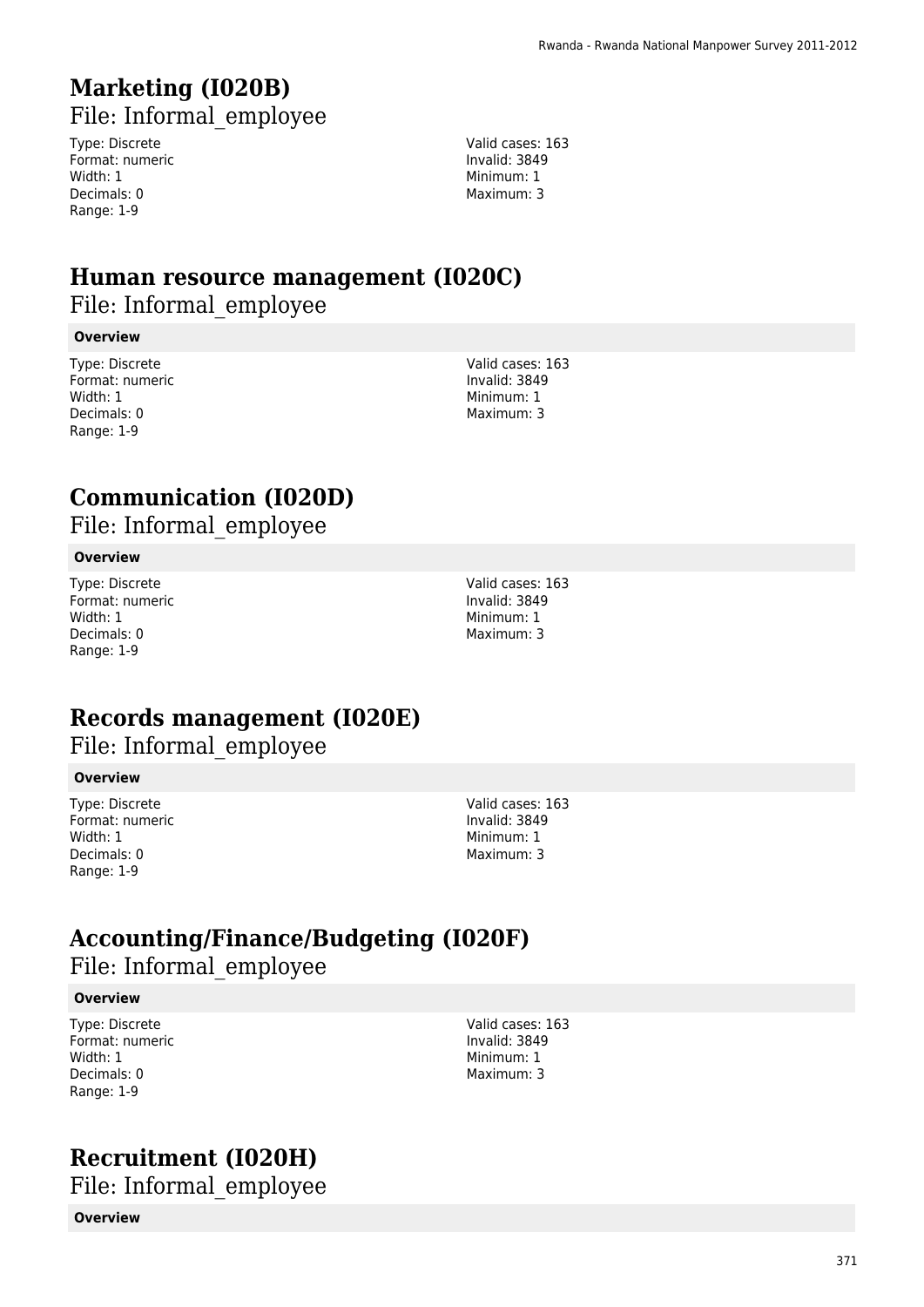# **Marketing (I020B)**

File: Informal\_employee

Type: Discrete Format: numeric Width: 1 Decimals: 0 Range: 1-9

# **Human resource management (I020C)**

File: Informal\_employee

### **Overview**

Type: Discrete Format: numeric Width: 1 Decimals: 0 Range: 1-9

Valid cases: 163 Invalid: 3849 Minimum: 1 Maximum: 3

Valid cases: 163 Invalid: 3849 Minimum: 1 Maximum: 3

## **Communication (I020D)**

File: Informal\_employee

### **Overview**

Type: Discrete Format: numeric Width: 1 Decimals: 0 Range: 1-9

Valid cases: 163 Invalid: 3849 Minimum: 1 Maximum: 3

## **Records management (I020E)**

File: Informal\_employee

### **Overview**

Type: Discrete Format: numeric Width: 1 Decimals: 0 Range: 1-9

Valid cases: 163 Invalid: 3849 Minimum: 1 Maximum: 3

## **Accounting/Finance/Budgeting (I020F)**

File: Informal\_employee

### **Overview**

Type: Discrete Format: numeric Width: 1 Decimals: 0 Range: 1-9

Valid cases: 163 Invalid: 3849 Minimum: 1 Maximum: 3

## **Recruitment (I020H)**

File: Informal\_employee

**Overview**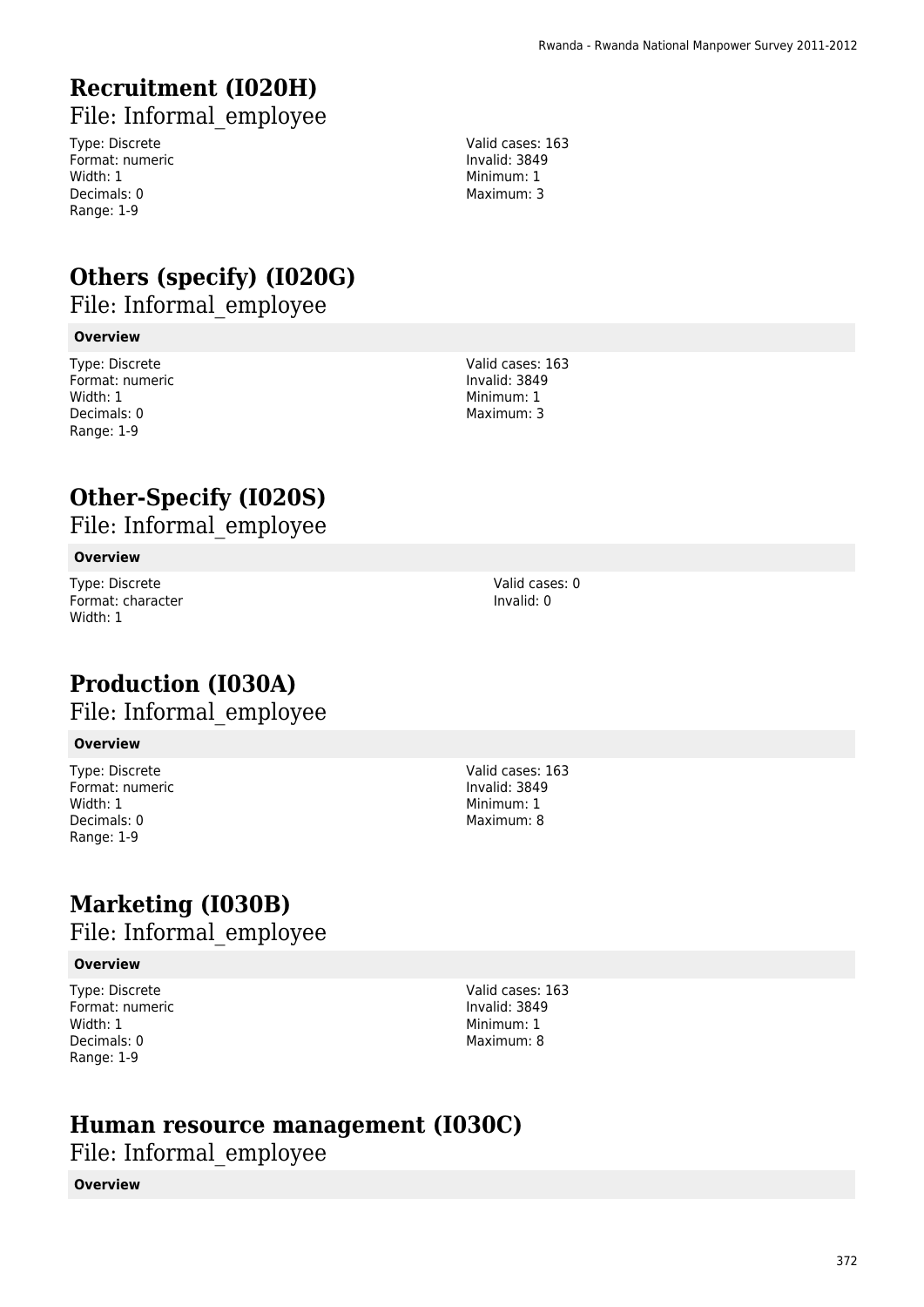## **Recruitment (I020H)**

File: Informal\_employee

Type: Discrete Format: numeric Width: 1 Decimals: 0 Range: 1-9

## **Others (specify) (I020G)**

File: Informal\_employee

### **Overview**

Type: Discrete Format: numeric Width: 1 Decimals: 0 Range: 1-9

## **Other-Specify (I020S)**

File: Informal\_employee

### **Overview**

Type: Discrete Format: character Width: 1

## **Production (I030A)**

File: Informal\_employee

### **Overview**

Type: Discrete Format: numeric Width: 1 Decimals: 0 Range: 1-9

## **Marketing (I030B)**

File: Informal\_employee

### **Overview**

Type: Discrete Format: numeric Width: 1 Decimals: 0 Range: 1-9

Valid cases: 163 Invalid: 3849 Minimum: 1 Maximum: 3

Valid cases: 163 Invalid: 3849 Minimum: 1 Maximum: 3

> Valid cases: 0 Invalid: 0

Valid cases: 163 Invalid: 3849 Minimum: 1 Maximum: 8

Valid cases: 163 Invalid: 3849 Minimum: 1 Maximum: 8

### **Human resource management (I030C)**

File: Informal\_employee

### **Overview**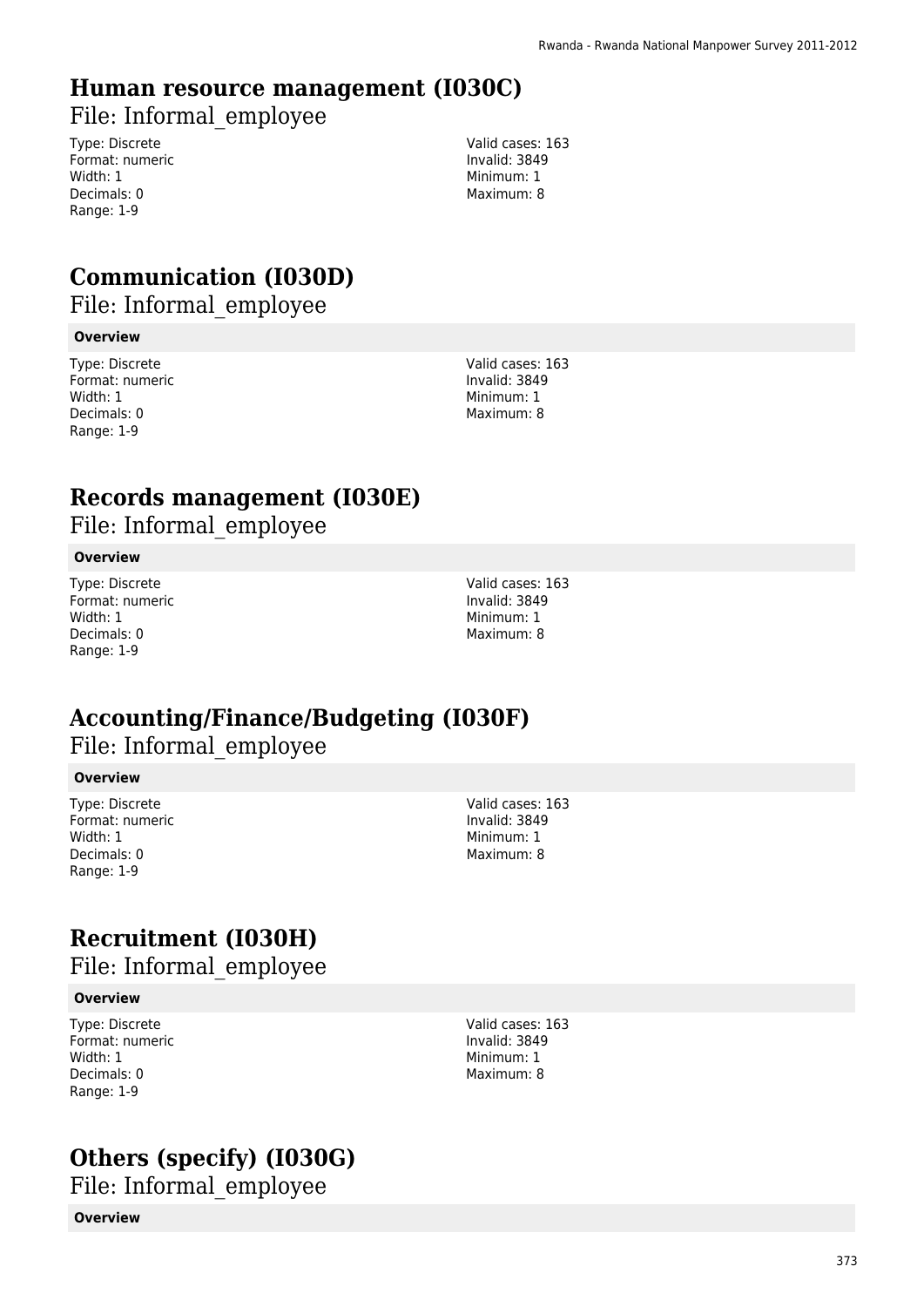### **Human resource management (I030C)**

File: Informal\_employee

Type: Discrete Format: numeric Width: 1 Decimals: 0 Range: 1-9

#### Valid cases: 163 Invalid: 3849 Minimum: 1 Maximum: 8

## **Communication (I030D)**

File: Informal\_employee

### **Overview**

Type: Discrete Format: numeric Width: 1 Decimals: 0 Range: 1-9

Valid cases: 163 Invalid: 3849 Minimum: 1 Maximum: 8

## **Records management (I030E)**

### File: Informal\_employee

### **Overview**

Type: Discrete Format: numeric Width: 1 Decimals: 0 Range: 1-9

Valid cases: 163 Invalid: 3849 Minimum: 1 Maximum: 8

### **Accounting/Finance/Budgeting (I030F)**

### File: Informal\_employee

### **Overview**

Type: Discrete Format: numeric Width: 1 Decimals: 0 Range: 1-9

Valid cases: 163 Invalid: 3849 Minimum: 1 Maximum: 8

## **Recruitment (I030H)**

File: Informal\_employee

### **Overview**

Type: Discrete Format: numeric Width: 1 Decimals: 0 Range: 1-9

Valid cases: 163 Invalid: 3849 Minimum: 1 Maximum: 8

## **Others (specify) (I030G)**

File: Informal\_employee

**Overview**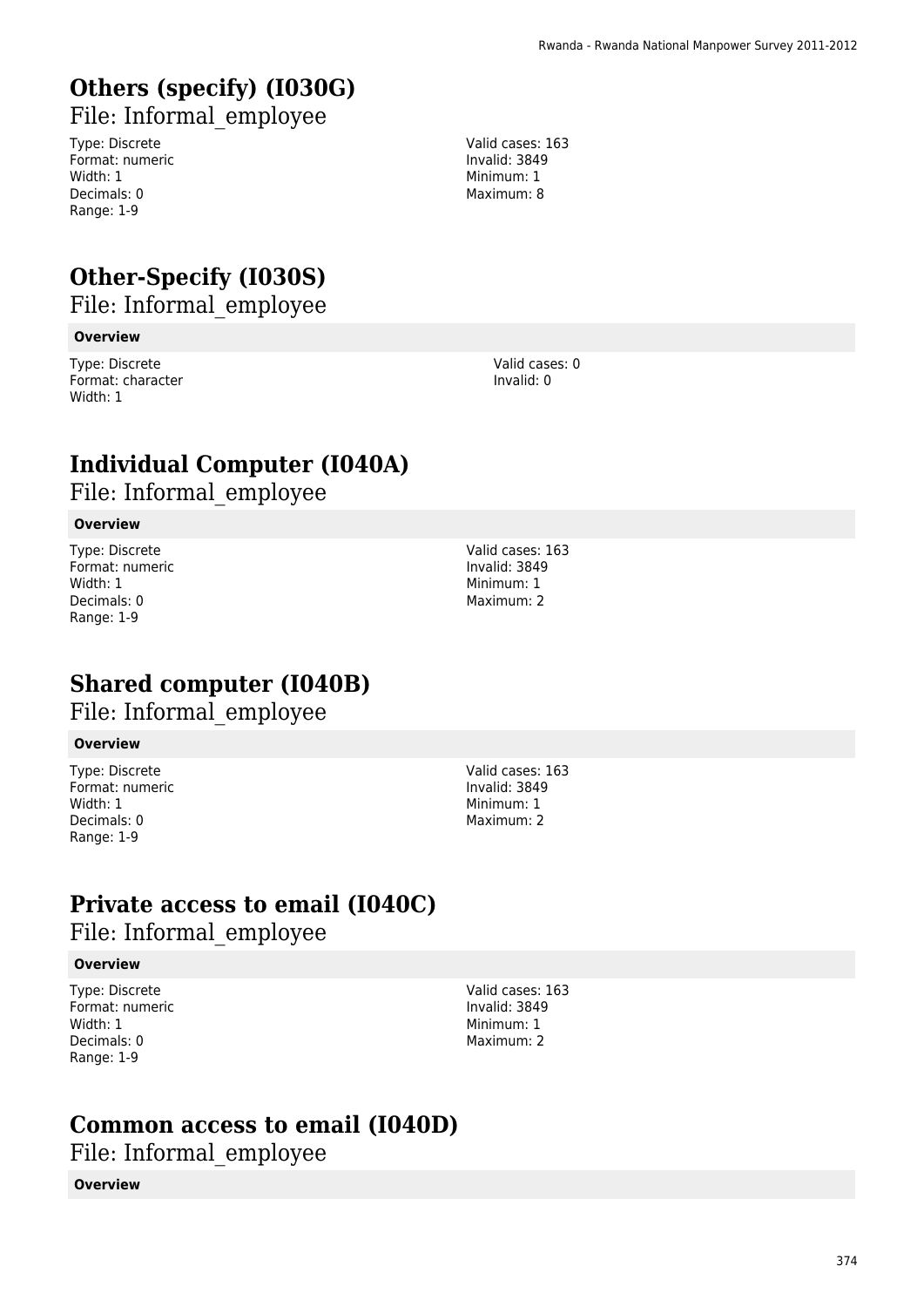# **Others (specify) (I030G)**

File: Informal\_employee

Type: Discrete Format: numeric Width: 1 Decimals: 0 Range: 1-9

## **Other-Specify (I030S)**

File: Informal\_employee

### **Overview**

Type: Discrete Format: character Width: 1

## **Individual Computer (I040A)**

File: Informal\_employee

### **Overview**

Type: Discrete Format: numeric Width: 1 Decimals: 0 Range: 1-9

## **Shared computer (I040B)**

File: Informal\_employee

### **Overview**

Type: Discrete Format: numeric Width: 1 Decimals: 0 Range: 1-9

### **Private access to email (I040C)**

File: Informal\_employee

### **Overview**

Type: Discrete Format: numeric Width: 1 Decimals: 0 Range: 1-9

### **Common access to email (I040D)**

File: Informal\_employee

### **Overview**

Valid cases: 163 Invalid: 3849 Minimum: 1 Maximum: 8

> Valid cases: 0 Invalid: 0

Valid cases: 163 Invalid: 3849 Minimum: 1 Maximum: 2

Valid cases: 163 Invalid: 3849 Minimum: 1 Maximum: 2

Valid cases: 163 Invalid: 3849 Minimum: 1 Maximum: 2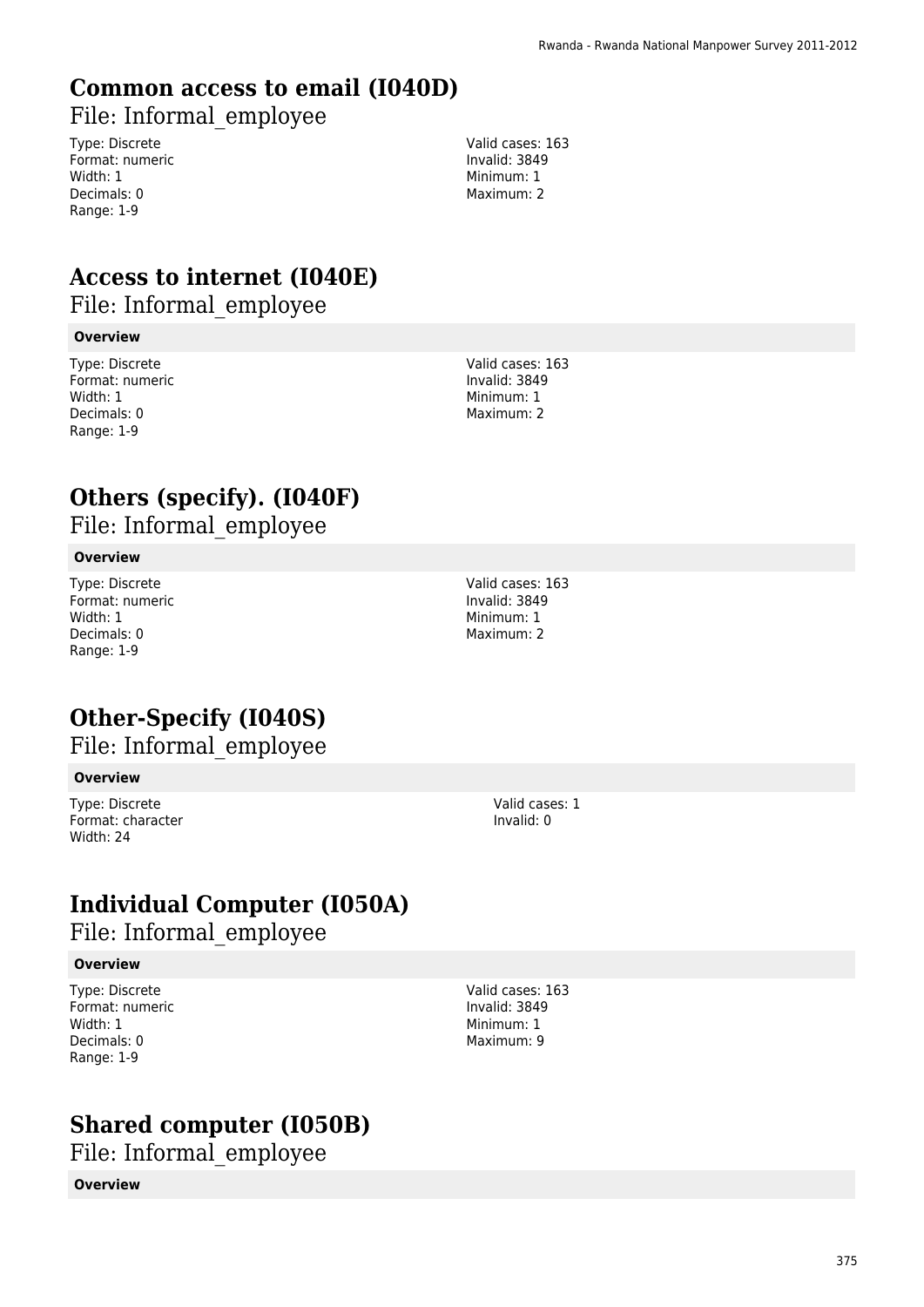## **Common access to email (I040D)**

File: Informal\_employee

Type: Discrete Format: numeric Width: 1 Decimals: 0 Range: 1-9

## **Access to internet (I040E)**

File: Informal\_employee

### **Overview**

Type: Discrete Format: numeric Width: 1 Decimals: 0 Range: 1-9

# **Others (specify). (I040F)**

File: Informal\_employee

### **Overview**

Type: Discrete Format: numeric Width: 1 Decimals: 0 Range: 1-9

## **Other-Specify (I040S)**

File: Informal\_employee

### **Overview**

Type: Discrete Format: character Width: 24

## **Individual Computer (I050A)**

File: Informal\_employee

### **Overview**

Type: Discrete Format: numeric Width: 1 Decimals: 0 Range: 1-9

## **Shared computer (I050B)**

File: Informal\_employee

### **Overview**

Valid cases: 163 Invalid: 3849 Minimum: 1 Maximum: 2

Valid cases: 163 Invalid: 3849 Minimum: 1 Maximum: 2

Valid cases: 163 Invalid: 3849 Minimum: 1 Maximum: 2

> Valid cases: 1 Invalid: 0

Valid cases: 163 Invalid: 3849 Minimum: 1 Maximum: 9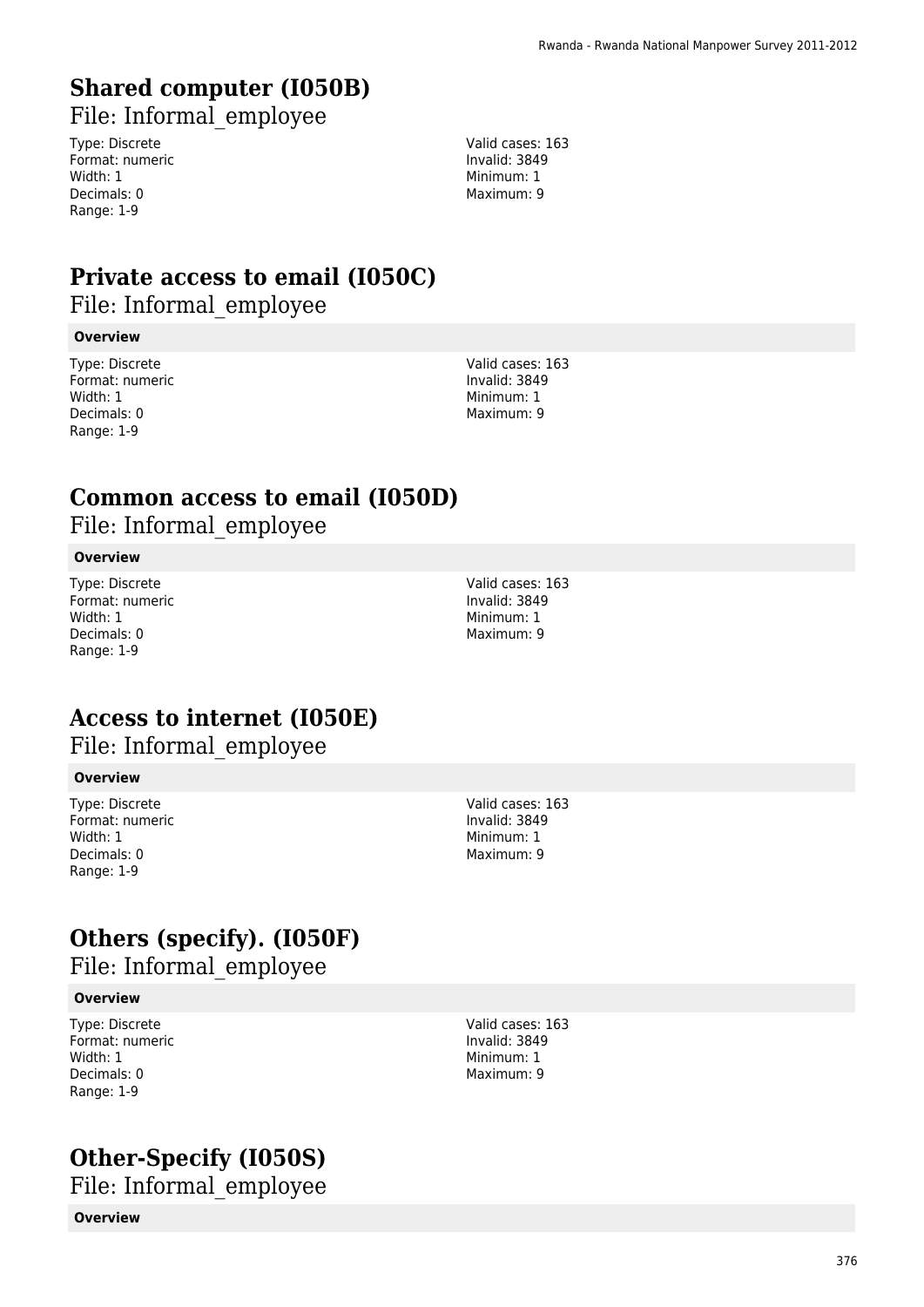## **Shared computer (I050B)**

File: Informal\_employee

Type: Discrete Format: numeric Width: 1 Decimals: 0 Range: 1-9

### **Private access to email (I050C)**  File: Informal\_employee

### **Overview**

Type: Discrete Format: numeric Width: 1 Decimals: 0 Range: 1-9

Valid cases: 163 Invalid: 3849 Minimum: 1 Maximum: 9

# **Common access to email (I050D)**

### File: Informal\_employee

### **Overview**

Type: Discrete Format: numeric Width: 1 Decimals: 0 Range: 1-9

Valid cases: 163 Invalid: 3849 Minimum: 1 Maximum: 9

### **Access to internet (I050E)**

### File: Informal\_employee

### **Overview**

Type: Discrete Format: numeric Width: 1 Decimals: 0 Range: 1-9

# **Others (specify). (I050F)**

File: Informal\_employee

### **Overview**

Type: Discrete Format: numeric Width: 1 Decimals: 0 Range: 1-9

Valid cases: 163 Invalid: 3849 Minimum: 1 Maximum: 9

## **Other-Specify (I050S)**

File: Informal\_employee

**Overview**

Valid cases: 163 Invalid: 3849 Minimum: 1 Maximum: 9

Invalid: 3849 Minimum: 1 Maximum: 9

Valid cases: 163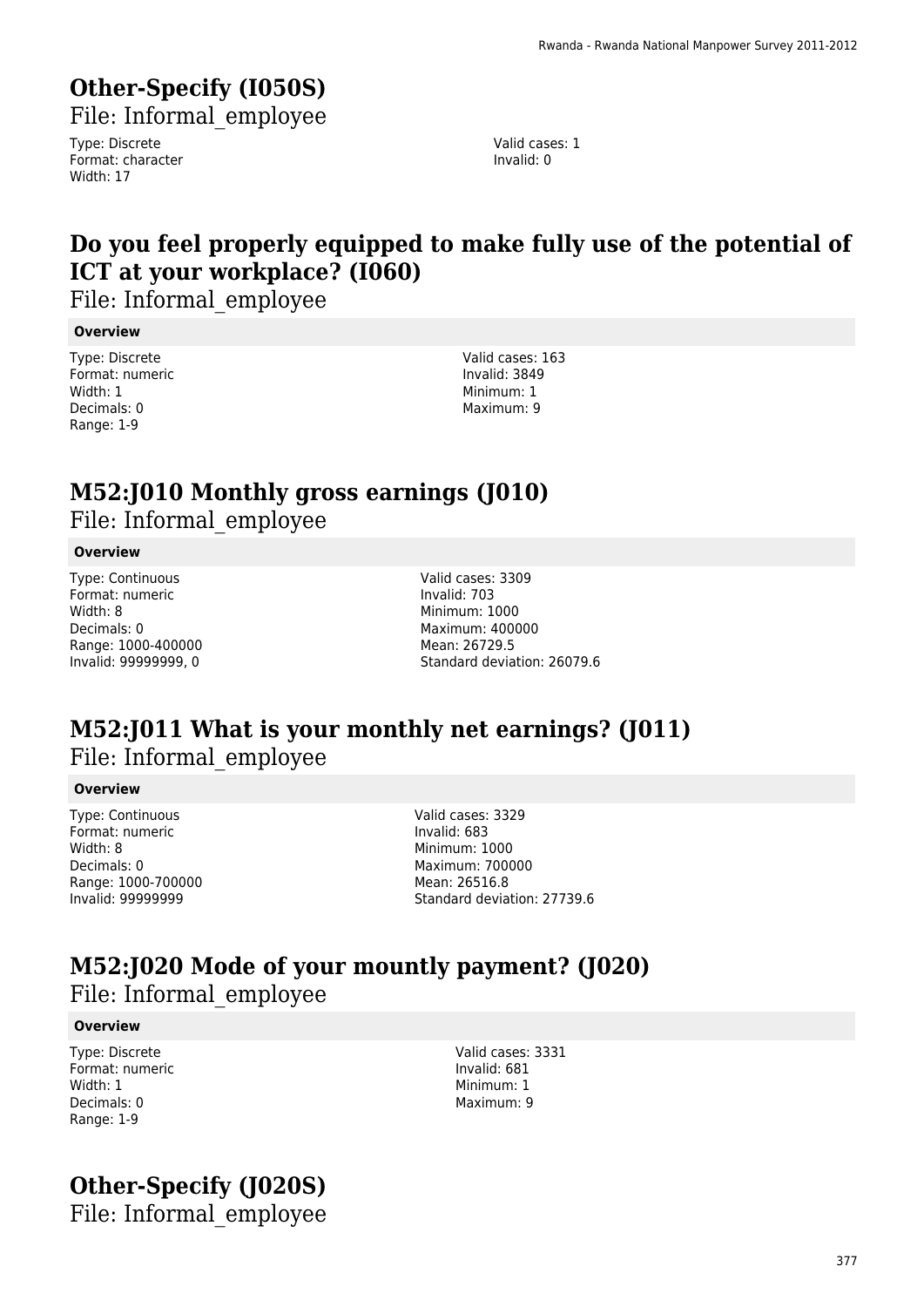## **Other-Specify (I050S)**

File: Informal\_employee

Type: Discrete Format: character Width: 17

Valid cases: 1 Invalid: 0

## **Do you feel properly equipped to make fully use of the potential of ICT at your workplace? (I060)**

File: Informal\_employee

### **Overview**

Type: Discrete Format: numeric Width: 1 Decimals: 0 Range: 1-9

Valid cases: 163 Invalid: 3849 Minimum: 1 Maximum: 9

### **M52:J010 Monthly gross earnings (J010)**  File: Informal\_employee

#### **Overview**

Type: Continuous Format: numeric Width: 8 Decimals: 0 Range: 1000-400000 Invalid: 99999999, 0

Valid cases: 3309 Invalid: 703 Minimum: 1000 Maximum: 400000 Mean: 26729.5 Standard deviation: 26079.6

### **M52:J011 What is your monthly net earnings? (J011)**  File: Informal\_employee

#### **Overview**

Type: Continuous Format: numeric Width: 8 Decimals: 0 Range: 1000-700000 Invalid: 99999999

Valid cases: 3329 Invalid: 683 Minimum: 1000 Maximum: 700000 Mean: 26516.8 Standard deviation: 27739.6

### **M52:J020 Mode of your mountly payment? (J020)**  File: Informal\_employee

#### **Overview**

Type: Discrete Format: numeric Width: 1 Decimals: 0 Range: 1-9

Valid cases: 3331 Invalid: 681 Minimum: 1 Maximum: 9

# **Other-Specify (J020S)**

File: Informal\_employee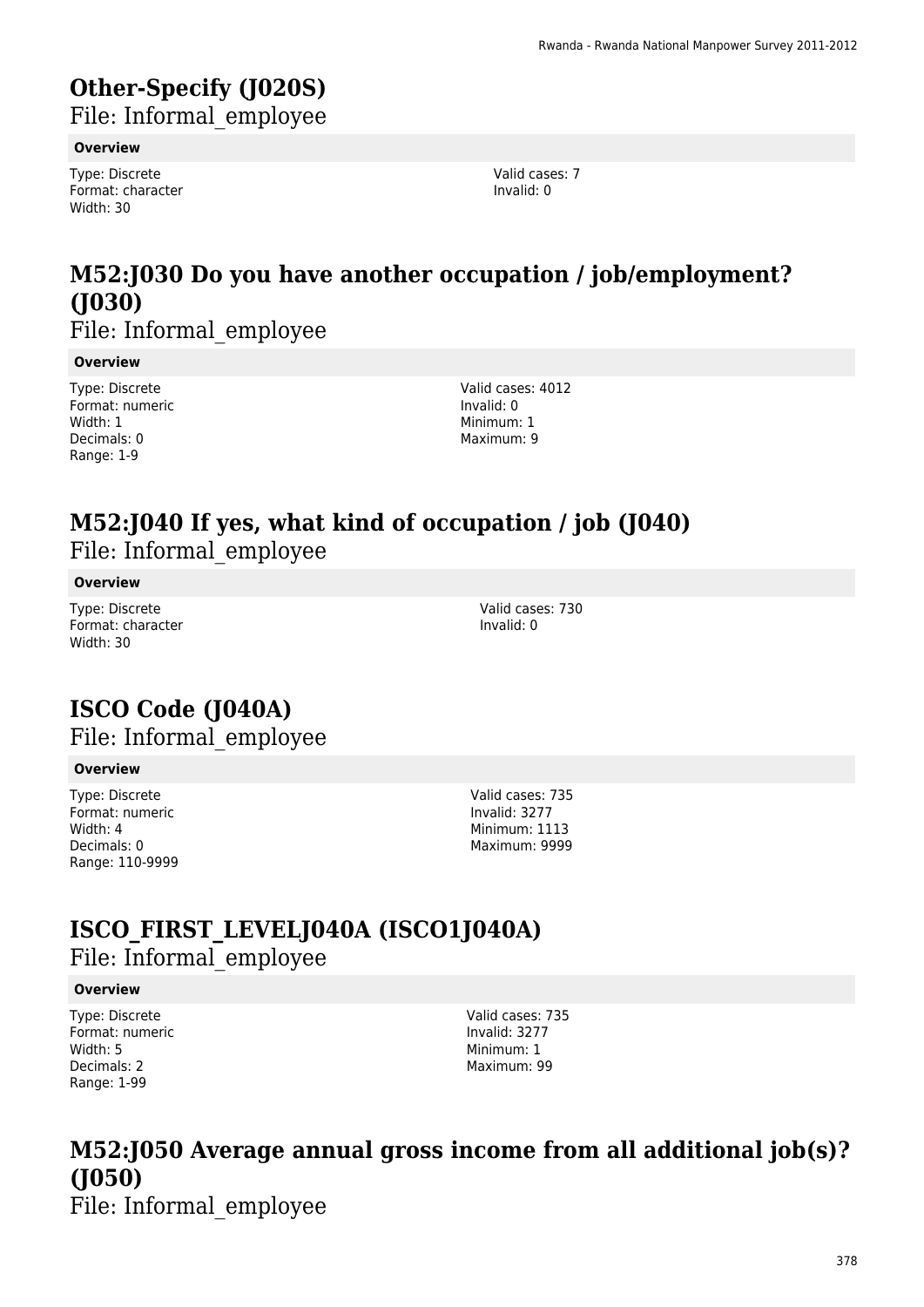## **Other-Specify (J020S)**

File: Informal\_employee

#### **Overview**

Type: Discrete Format: character Width: 30

Valid cases: 7 Invalid: 0

## **M52:J030 Do you have another occupation / job/employment? (J030)**

File: Informal\_employee

#### **Overview**

Type: Discrete Format: numeric Width: 1 Decimals: 0 Range: 1-9

Valid cases: 4012 Invalid: 0 Minimum: 1 Maximum: 9

### **M52:J040 If yes, what kind of occupation / job (J040)**  File: Informal\_employee

#### **Overview**

Type: Discrete Format: character Width: 30

Valid cases: 730 Invalid: 0

### **ISCO Code (J040A)**  File: Informal\_employee

### **Overview**

Type: Discrete Format: numeric Width: 4 Decimals: 0 Range: 110-9999

Valid cases: 735 Invalid: 3277 Minimum: 1113 Maximum: 9999

### **ISCO\_FIRST\_LEVELJ040A (ISCO1J040A)**  File: Informal\_employee

#### **Overview**

Type: Discrete Format: numeric Width: 5 Decimals: 2 Range: 1-99

Valid cases: 735 Invalid: 3277 Minimum: 1 Maximum: 99

## **M52:J050 Average annual gross income from all additional job(s)? (J050)**

File: Informal\_employee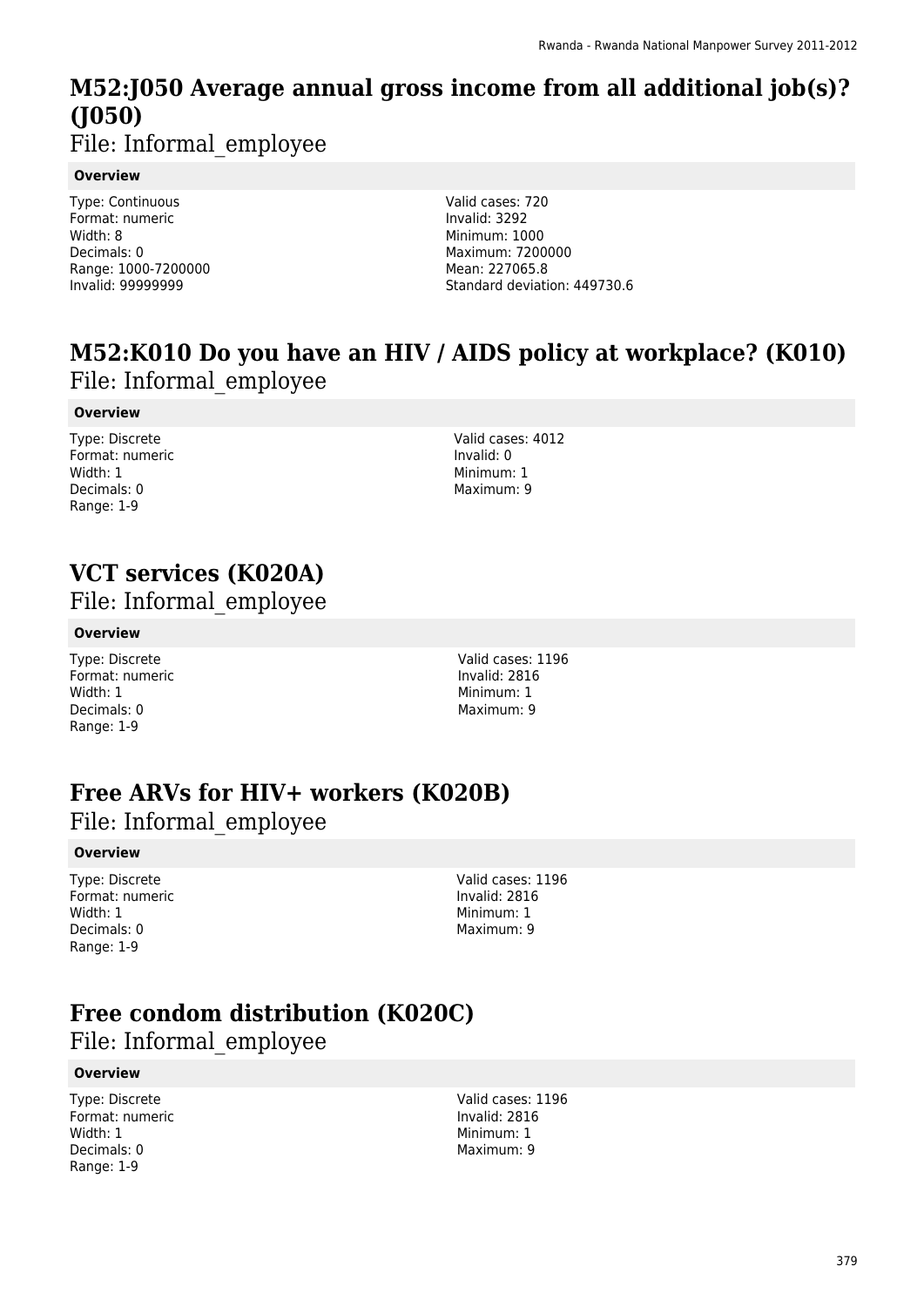## **M52:J050 Average annual gross income from all additional job(s)? (J050)**

File: Informal\_employee

### **Overview**

Type: Continuous Format: numeric Width: 8 Decimals: 0 Range: 1000-7200000 Invalid: 99999999

Valid cases: 720 Invalid: 3292 Minimum: 1000 Maximum: 7200000 Mean: 227065.8 Standard deviation: 449730.6

### **M52:K010 Do you have an HIV / AIDS policy at workplace? (K010)**  File: Informal\_employee

### **Overview**

Type: Discrete Format: numeric Width: 1 Decimals: 0 Range: 1-9

Valid cases: 4012 Invalid: 0 Minimum: 1 Maximum: 9

# **VCT services (K020A)**

File: Informal\_employee

### **Overview**

Type: Discrete Format: numeric Width: 1 Decimals: 0 Range: 1-9

Valid cases: 1196 Invalid: 2816 Minimum: 1 Maximum: 9

### **Free ARVs for HIV+ workers (K020B)**  File: Informal\_employee

### **Overview**

Type: Discrete Format: numeric Width: 1 Decimals: 0 Range: 1-9

Valid cases: 1196 Invalid: 2816 Minimum: 1 Maximum: 9

## **Free condom distribution (K020C)**

File: Informal\_employee

### **Overview**

Type: Discrete Format: numeric Width: 1 Decimals: 0 Range: 1-9

Valid cases: 1196 Invalid: 2816 Minimum: 1 Maximum: 9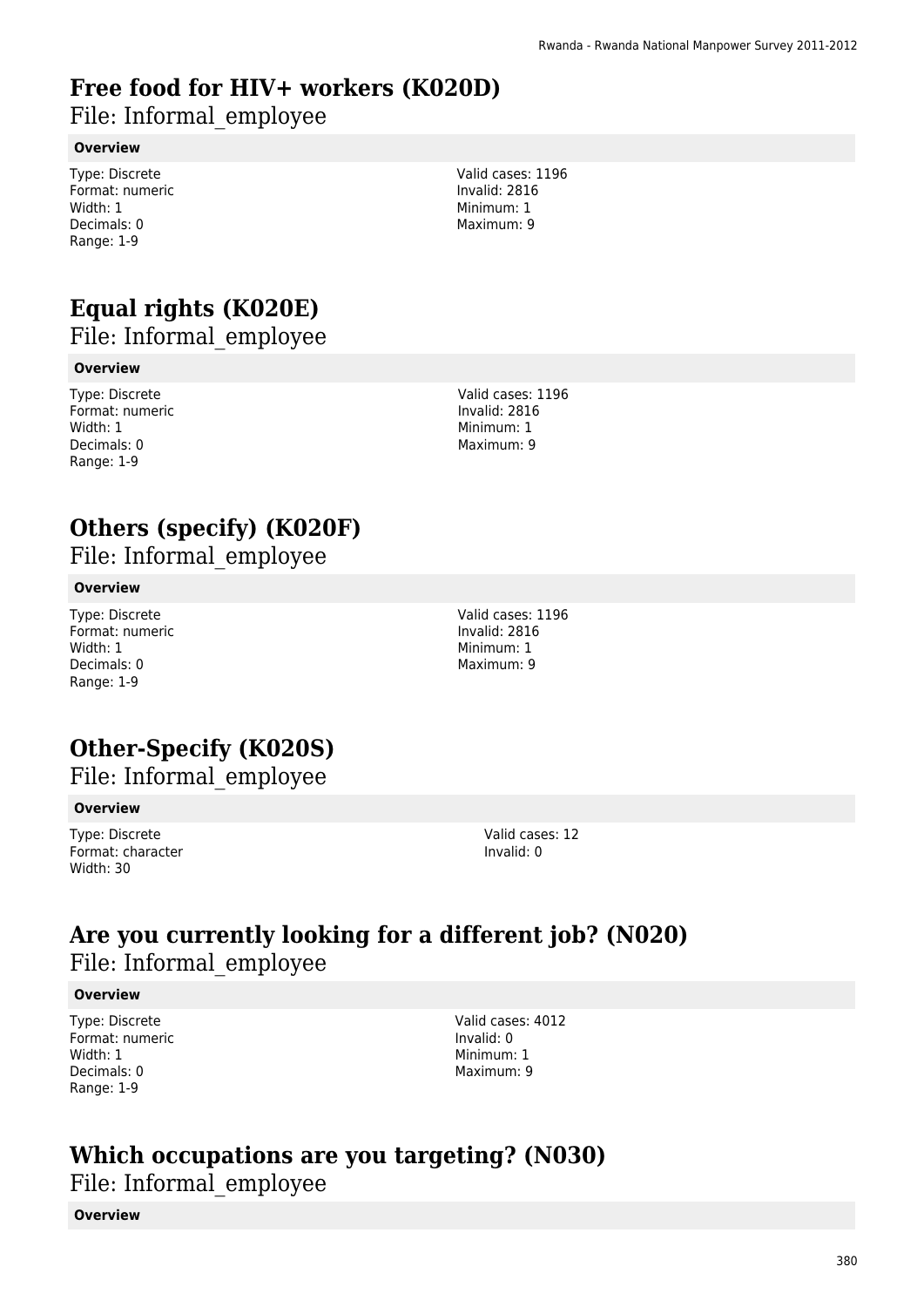### **Free food for HIV+ workers (K020D)**  File: Informal\_employee

### **Overview**

Type: Discrete Format: numeric Width: 1 Decimals: 0 Range: 1-9

Valid cases: 1196 Invalid: 2816 Minimum: 1 Maximum: 9

## **Equal rights (K020E)**

File: Informal\_employee

### **Overview**

Type: Discrete Format: numeric Width: 1 Decimals: 0 Range: 1-9

Valid cases: 1196 Invalid: 2816 Minimum: 1 Maximum: 9

## **Others (specify) (K020F)**

File: Informal\_employee

### **Overview**

Type: Discrete Format: numeric Width: 1 Decimals: 0 Range: 1-9

## **Other-Specify (K020S)**

File: Informal\_employee

### **Overview**

Type: Discrete Format: character Width: 30

Valid cases: 1196 Invalid: 2816 Minimum: 1 Maximum: 9

> Valid cases: 12 Invalid: 0

### **Are you currently looking for a different job? (N020)**  File: Informal\_employee

### **Overview**

Type: Discrete Format: numeric Width: 1 Decimals: 0 Range: 1-9

Valid cases: 4012 Invalid: 0 Minimum: 1 Maximum: 9

### **Which occupations are you targeting? (N030)**  File: Informal\_employee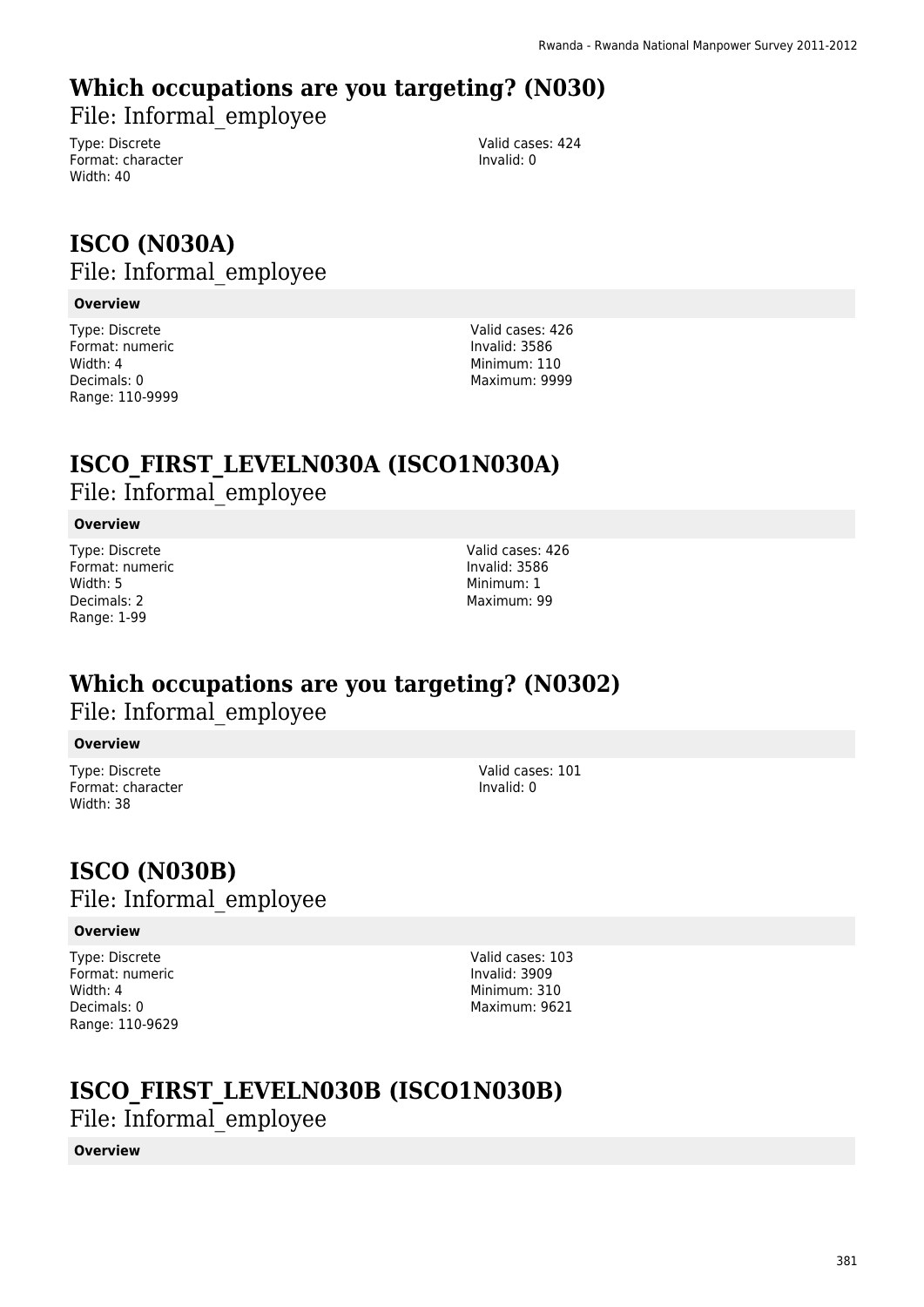## **Which occupations are you targeting? (N030)**

File: Informal\_employee

Type: Discrete Format: character Width: 40

Valid cases: 424 Invalid: 0

### **ISCO (N030A)**  File: Informal\_employee

### **Overview**

Type: Discrete Format: numeric Width: 4 Decimals: 0 Range: 110-9999

Valid cases: 426 Invalid: 3586 Minimum: 110 Maximum: 9999

Valid cases: 426 Invalid: 3586 Minimum: 1 Maximum: 99

## **ISCO\_FIRST\_LEVELN030A (ISCO1N030A)**  File: Informal\_employee

### **Overview**

Type: Discrete Format: numeric Width: 5 Decimals: 2 Range: 1-99

# **Which occupations are you targeting? (N0302)**  File: Informal\_employee

### **Overview**

Type: Discrete Format: character Width: 38

### Valid cases: 101 Invalid: 0

Valid cases: 103 Invalid: 3909 Minimum: 310

### **ISCO (N030B)**  File: Informal\_employee

### **Overview**

Type: Discrete Format: numeric Width: 4 Decimals: 0 Range: 110-9629

Maximum: 9621

## **ISCO\_FIRST\_LEVELN030B (ISCO1N030B)**

File: Informal\_employee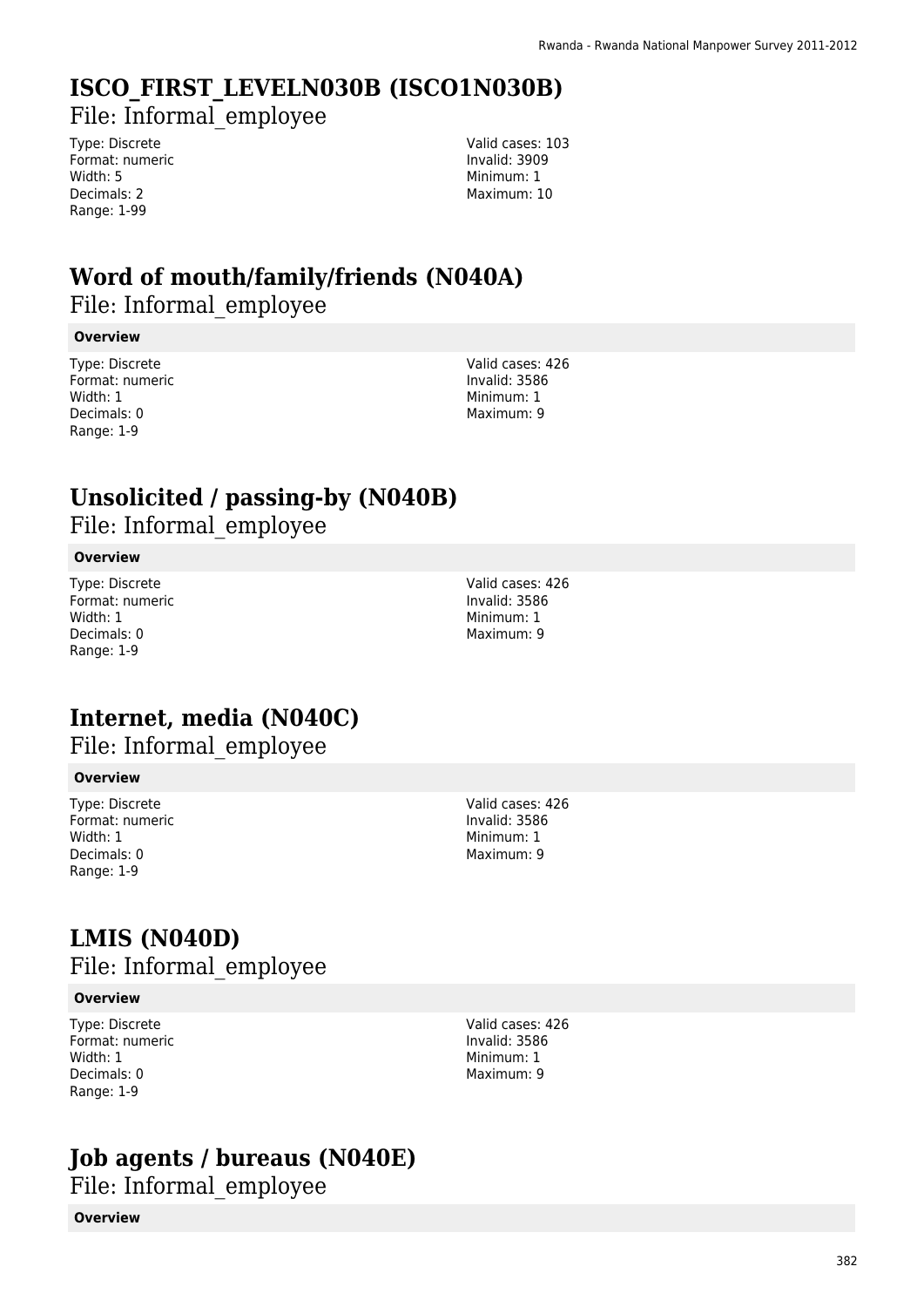# **ISCO\_FIRST\_LEVELN030B (ISCO1N030B)**

File: Informal\_employee

Type: Discrete Format: numeric Width: 5 Decimals: 2 Range: 1-99

# **Word of mouth/family/friends (N040A)**

File: Informal\_employee

### **Overview**

Type: Discrete Format: numeric Width: 1 Decimals: 0 Range: 1-9

Valid cases: 426 Invalid: 3586 Minimum: 1 Maximum: 9

# **Unsolicited / passing-by (N040B)**

File: Informal\_employee

### **Overview**

Type: Discrete Format: numeric Width: 1 Decimals: 0 Range: 1-9

Valid cases: 426 Invalid: 3586 Minimum: 1 Maximum: 9

## **Internet, media (N040C)**

File: Informal\_employee

### **Overview**

Type: Discrete Format: numeric Width: 1 Decimals: 0 Range: 1-9

Valid cases: 426 Invalid: 3586 Minimum: 1 Maximum: 9

### **LMIS (N040D)**  File: Informal\_employee

### **Overview**

Type: Discrete Format: numeric Width: 1 Decimals: 0 Range: 1-9

Valid cases: 426 Invalid: 3586 Minimum: 1 Maximum: 9

## **Job agents / bureaus (N040E)**

File: Informal\_employee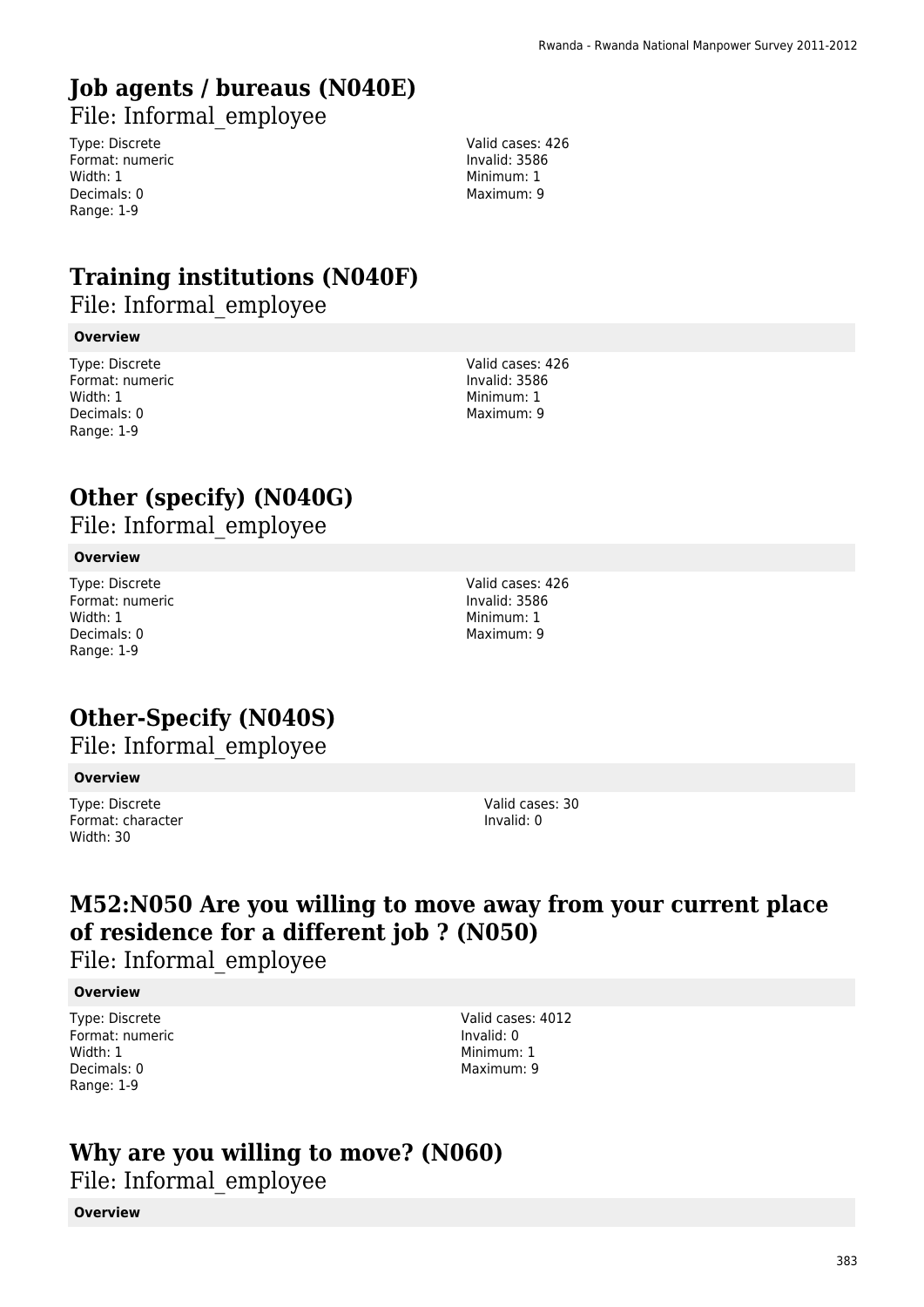## **Job agents / bureaus (N040E)**

File: Informal\_employee

Type: Discrete Format: numeric Width: 1 Decimals: 0 Range: 1-9

# **Training institutions (N040F)**

File: Informal\_employee

### **Overview**

Type: Discrete Format: numeric Width: 1 Decimals: 0 Range: 1-9

#### Valid cases: 426 Invalid: 3586 Minimum: 1 Maximum: 9

# **Other (specify) (N040G)**

File: Informal\_employee

### **Overview**

Type: Discrete Format: numeric Width: 1 Decimals: 0 Range: 1-9

Valid cases: 426 Invalid: 3586 Minimum: 1 Maximum: 9

## **Other-Specify (N040S)**

File: Informal\_employee

### **Overview**

Type: Discrete Format: character Width: 30

Valid cases: 30 Invalid: 0

### **M52:N050 Are you willing to move away from your current place of residence for a different job ? (N050)**

File: Informal\_employee

### **Overview**

Type: Discrete Format: numeric Width: 1 Decimals: 0 Range: 1-9

Valid cases: 4012 Invalid: 0 Minimum: 1 Maximum: 9

### **Why are you willing to move? (N060)**

File: Informal\_employee

**Overview**

Valid cases: 426 Invalid: 3586 Minimum: 1 Maximum: 9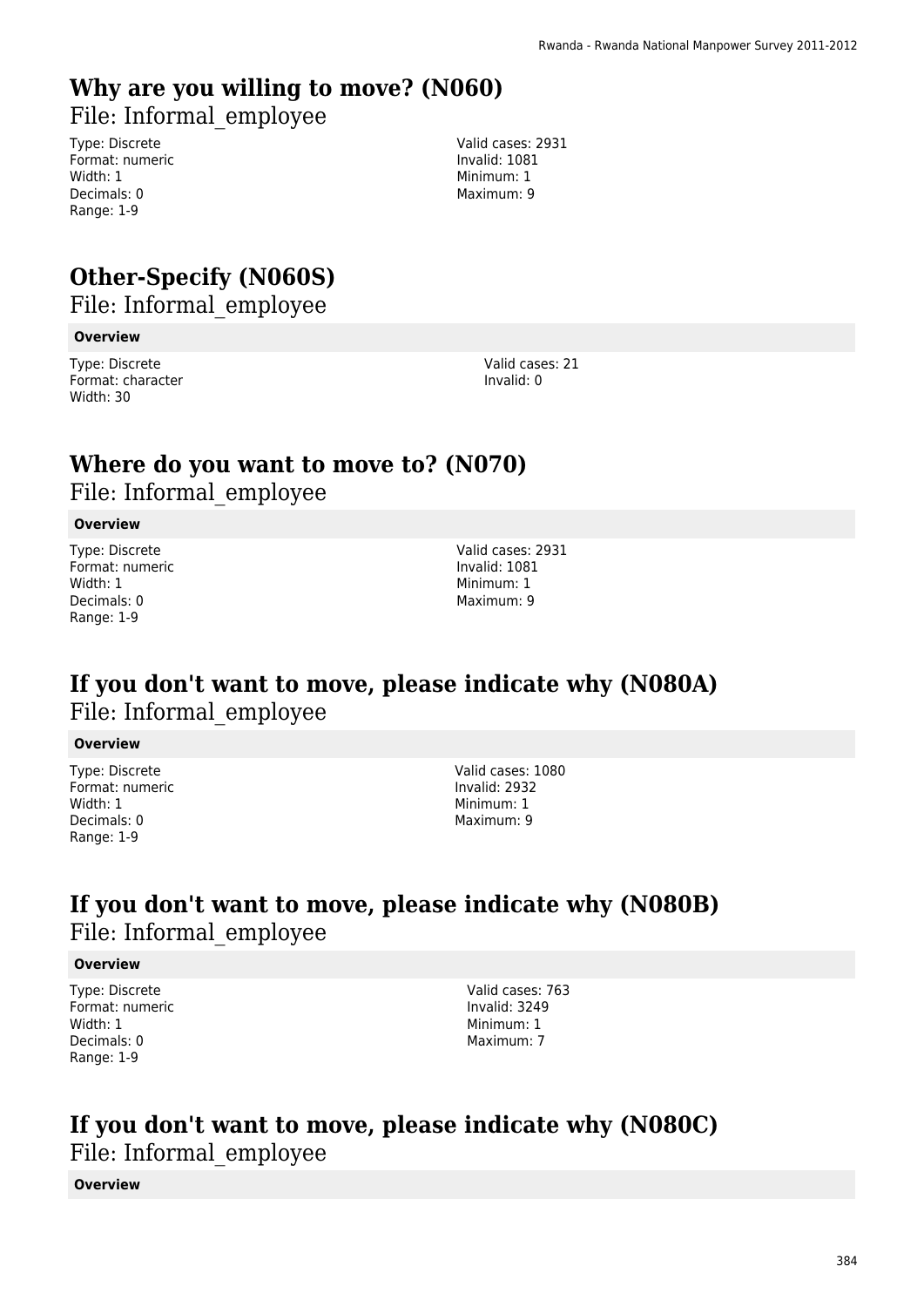## **Why are you willing to move? (N060)**

File: Informal\_employee

Type: Discrete Format: numeric Width: 1 Decimals: 0 Range: 1-9

Valid cases: 2931 Invalid: 1081 Minimum: 1 Maximum: 9

## **Other-Specify (N060S)**

File: Informal\_employee

### **Overview**

Type: Discrete Format: character Width: 30

Valid cases: 21 Invalid: 0

### **Where do you want to move to? (N070)**  File: Informal\_employee

### **Overview**

Type: Discrete Format: numeric Width: 1 Decimals: 0 Range: 1-9

Valid cases: 2931 Invalid: 1081 Minimum: 1 Maximum: 9

### **If you don't want to move, please indicate why (N080A)**  File: Informal\_employee

### **Overview**

Type: Discrete Format: numeric Width: 1 Decimals: 0 Range: 1-9

Valid cases: 1080 Invalid: 2932 Minimum: 1 Maximum: 9

### **If you don't want to move, please indicate why (N080B)**  File: Informal\_employee

### **Overview**

Type: Discrete Format: numeric Width: 1 Decimals: 0 Range: 1-9

Valid cases: 763 Invalid: 3249 Minimum: 1 Maximum: 7

### **If you don't want to move, please indicate why (N080C)**  File: Informal\_employee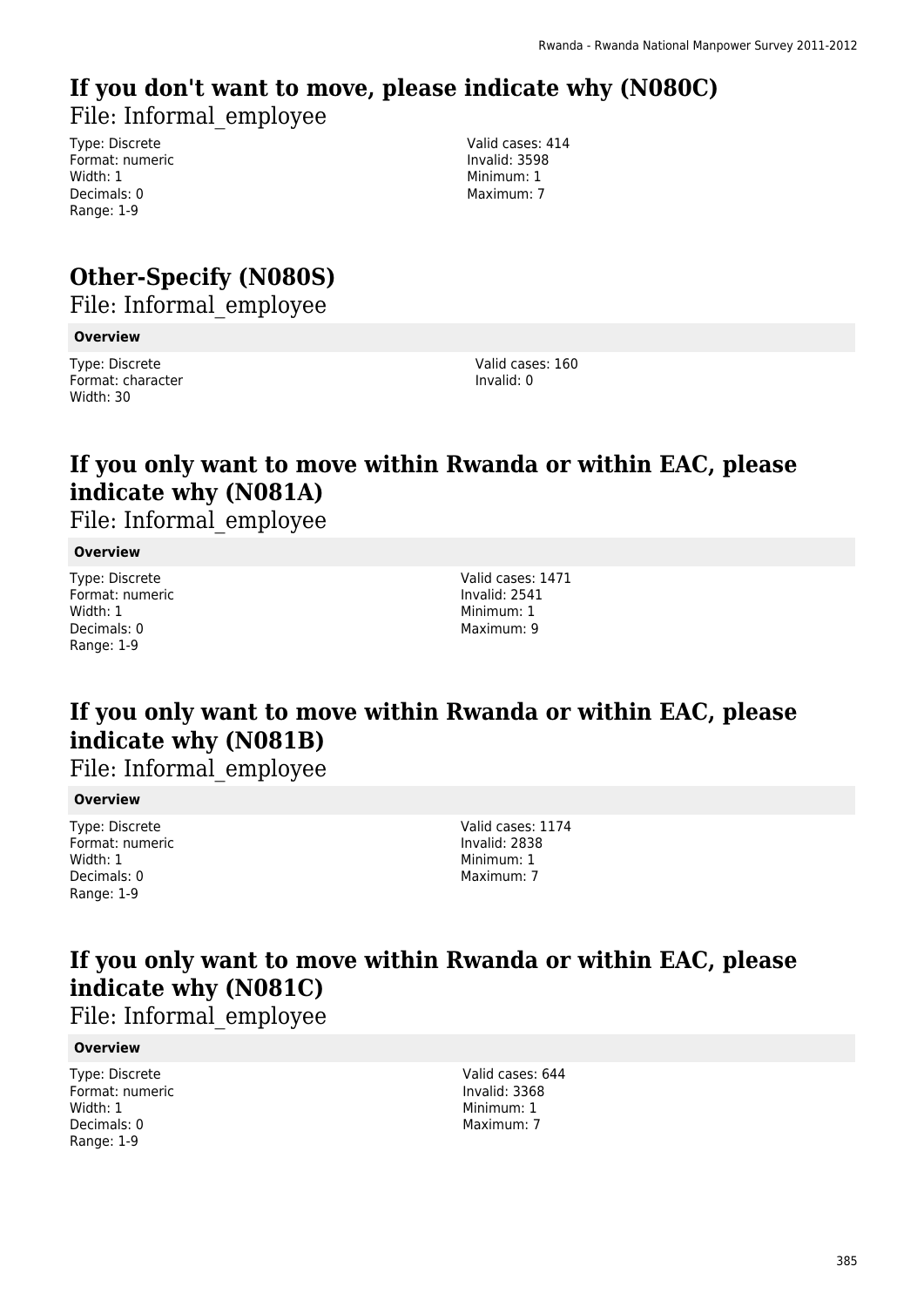# **If you don't want to move, please indicate why (N080C)**

File: Informal\_employee

Type: Discrete Format: numeric Width: 1 Decimals: 0 Range: 1-9

Valid cases: 414 Invalid: 3598 Minimum: 1 Maximum: 7

## **Other-Specify (N080S)**

File: Informal\_employee

### **Overview**

Type: Discrete Format: character Width: 30

Valid cases: 160 Invalid: 0

## **If you only want to move within Rwanda or within EAC, please indicate why (N081A)**

File: Informal\_employee

### **Overview**

Type: Discrete Format: numeric Width: 1 Decimals: 0 Range: 1-9

Valid cases: 1471 Invalid: 2541 Minimum: 1 Maximum: 9

## **If you only want to move within Rwanda or within EAC, please indicate why (N081B)**

File: Informal\_employee

### **Overview**

Type: Discrete Format: numeric Width: 1 Decimals: 0 Range: 1-9

Valid cases: 1174 Invalid: 2838 Minimum: 1 Maximum: 7

## **If you only want to move within Rwanda or within EAC, please indicate why (N081C)**

File: Informal\_employee

### **Overview**

Type: Discrete Format: numeric Width: 1 Decimals: 0 Range: 1-9

Valid cases: 644 Invalid: 3368 Minimum: 1 Maximum: 7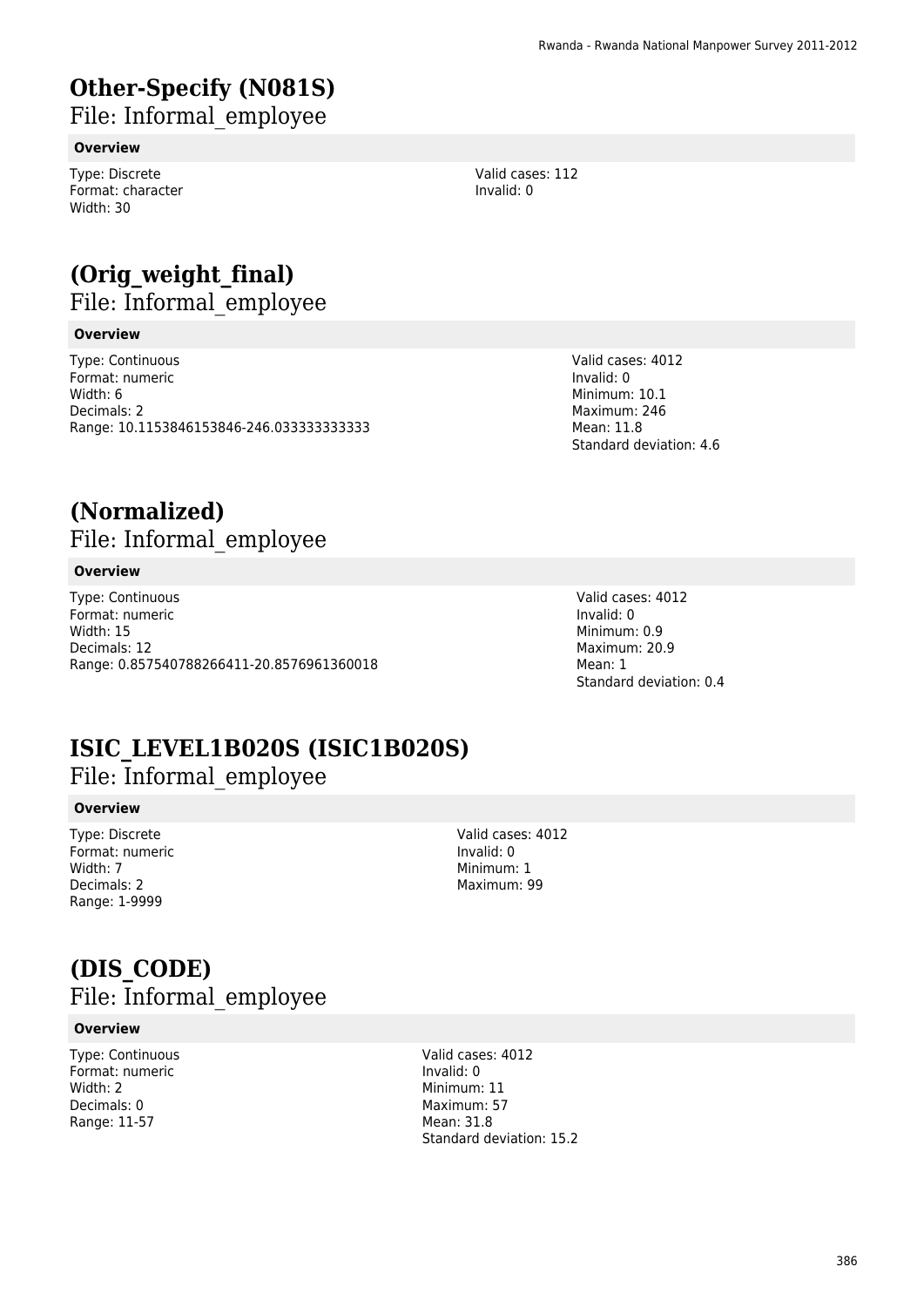## **Other-Specify (N081S)**

File: Informal\_employee

#### **Overview**

Type: Discrete Format: character Width: 30

### **(Orig\_weight\_final)**  File: Informal\_employee

### **Overview**

Type: Continuous Format: numeric Width: 6 Decimals: 2 Range: 10.1153846153846-246.033333333333 Valid cases: 112 Invalid: 0

> Valid cases: 4012 Invalid: 0 Minimum: 10.1 Maximum: 246 Mean: 11.8 Standard deviation: 4.6

# **(Normalized)**

### File: Informal\_employee

#### **Overview**

Type: Continuous Format: numeric Width: 15 Decimals: 12 Range: 0.857540788266411-20.8576961360018 Valid cases: 4012 Invalid: 0 Minimum: 0.9 Maximum: 20.9 Mean: 1 Standard deviation: 0.4

### **ISIC\_LEVEL1B020S (ISIC1B020S)**  File: Informal\_employee

#### **Overview**

Type: Discrete Format: numeric Width: 7 Decimals: 2 Range: 1-9999

Valid cases: 4012 Invalid: 0 Minimum: 1 Maximum: 99

### **(DIS\_CODE)**  File: Informal\_employee

#### **Overview**

Type: Continuous Format: numeric Width: 2 Decimals: 0 Range: 11-57

Valid cases: 4012 Invalid: 0 Minimum: 11 Maximum: 57 Mean: 31.8 Standard deviation: 15.2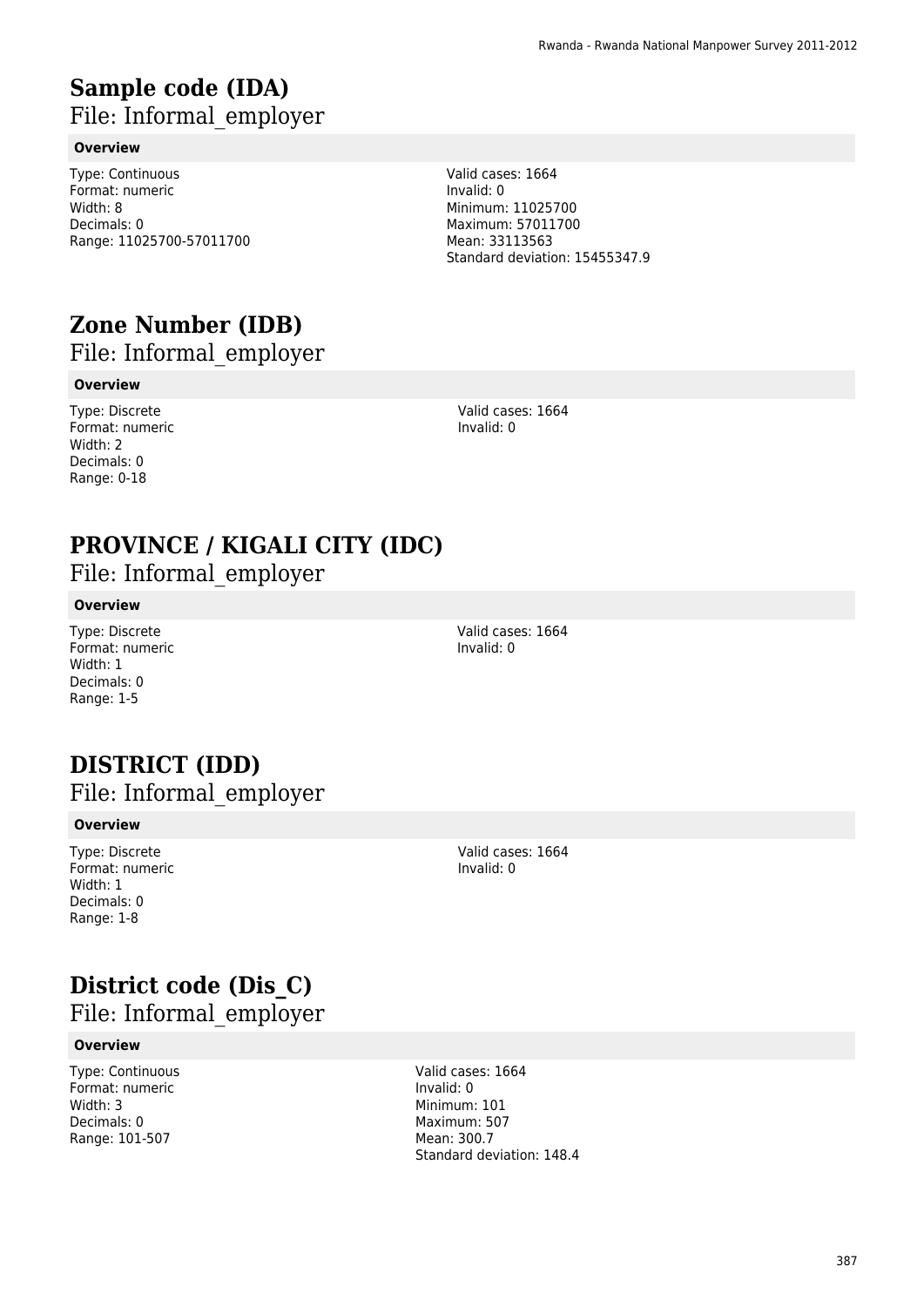### **Sample code (IDA)**  File: Informal\_employer

#### **Overview**

Type: Continuous Format: numeric Width: 8 Decimals: 0 Range: 11025700-57011700

Valid cases: 1664 Invalid: 0 Minimum: 11025700 Maximum: 57011700 Mean: 33113563 Standard deviation: 15455347.9

### **Zone Number (IDB)**  File: Informal\_employer

#### **Overview**

Type: Discrete Format: numeric Width: 2 Decimals: 0 Range: 0-18

Valid cases: 1664 Invalid: 0

### **PROVINCE / KIGALI CITY (IDC)**  File: Informal\_employer

#### **Overview**

Type: Discrete Format: numeric Width: 1 Decimals: 0 Range: 1-5

Valid cases: 1664 Invalid: 0

### **DISTRICT (IDD)**  File: Informal\_employer

#### **Overview**

Type: Discrete Format: numeric Width: 1 Decimals: 0 Range: 1-8

Valid cases: 1664 Invalid: 0

### **District code (Dis\_C)**  File: Informal\_employer

#### **Overview**

Type: Continuous Format: numeric Width: 3 Decimals: 0 Range: 101-507

Valid cases: 1664 Invalid: 0 Minimum: 101 Maximum: 507 Mean: 300.7 Standard deviation: 148.4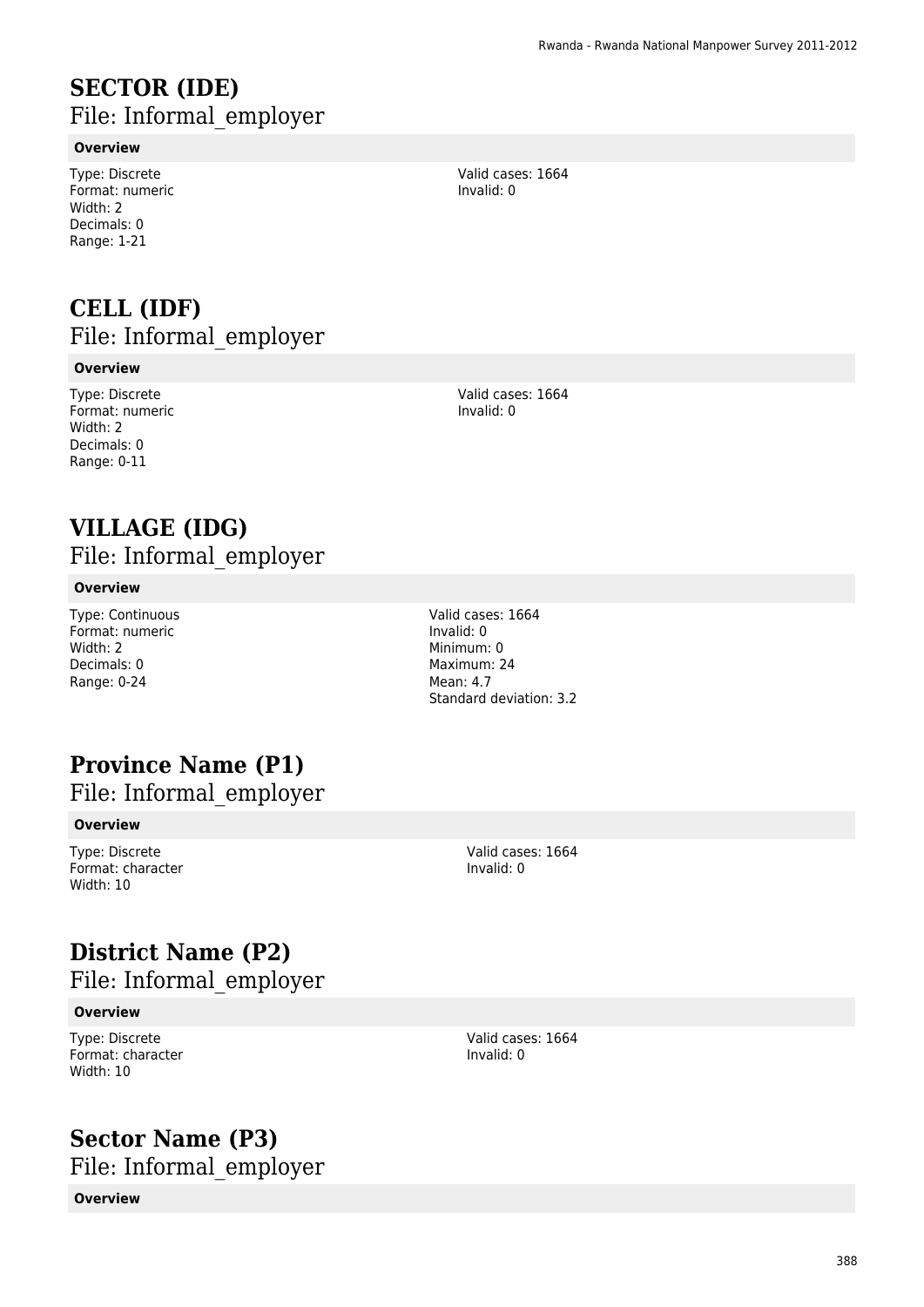### **SECTOR (IDE)**  File: Informal\_employer

#### **Overview**

Type: Discrete Format: numeric Width: 2 Decimals: 0 Range: 1-21

### **CELL (IDF)**

File: Informal\_employer

#### **Overview**

Type: Discrete Format: numeric Width: 2 Decimals: 0 Range: 0-11

Valid cases: 1664 Invalid: 0

Valid cases: 1664

Invalid: 0

### **VILLAGE (IDG)**  File: Informal\_employer

### **Overview**

Type: Continuous Format: numeric Width: 2 Decimals: 0 Range: 0-24

Valid cases: 1664 Invalid: 0 Minimum: 0 Maximum: 24 Mean: 4.7 Standard deviation: 3.2

## **Province Name (P1)**

File: Informal\_employer

### **Overview**

Type: Discrete Format: character Width: 10

Valid cases: 1664 Invalid: 0

## **District Name (P2)**

File: Informal\_employer

### **Overview**

Type: Discrete Format: character Width: 10

Valid cases: 1664 Invalid: 0

## **Sector Name (P3)**

File: Informal\_employer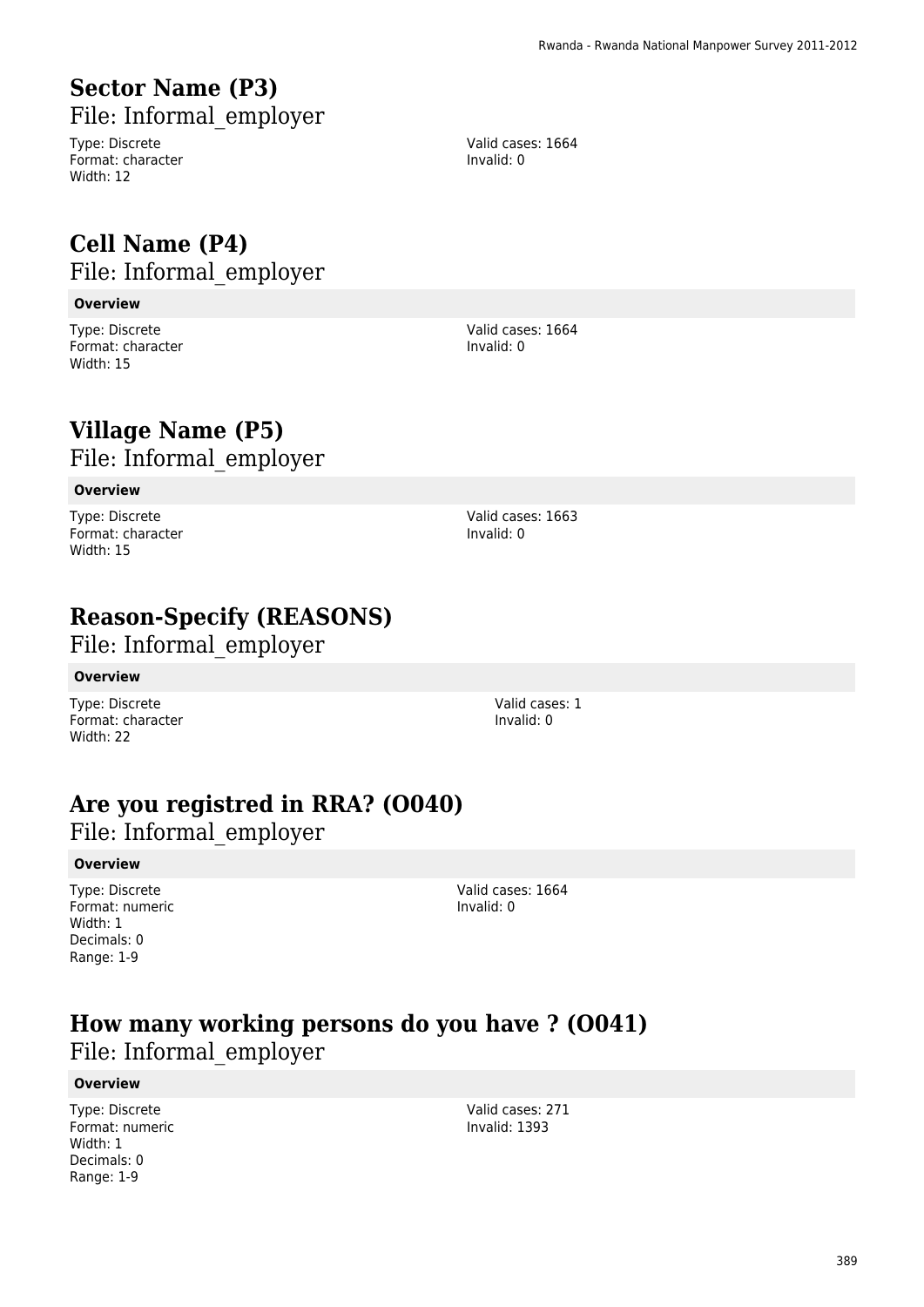# **Sector Name (P3)**

File: Informal\_employer

Type: Discrete Format: character Width: 12

### **Cell Name (P4)**  File: Informal\_employer

### **Overview**

Type: Discrete Format: character Width: 15

## **Village Name (P5)**

File: Informal\_employer

### **Overview**

Type: Discrete Format: character Width: 15

## **Reason-Specify (REASONS)**

File: Informal\_employer

### **Overview**

Type: Discrete Format: character Width: 22

# **Are you registred in RRA? (O040)**

File: Informal\_employer

### **Overview**

Type: Discrete Format: numeric Width: 1 Decimals: 0 Range: 1-9

Valid cases: 1664 Invalid: 0

### **How many working persons do you have ? (O041)**  File: Informal\_employer

### **Overview**

Type: Discrete Format: numeric Width: 1 Decimals: 0 Range: 1-9

Valid cases: 271 Invalid: 1393

Valid cases: 1664 Invalid: 0

Valid cases: 1664 Invalid: 0

Valid cases: 1663 Invalid: 0

> Valid cases: 1 Invalid: 0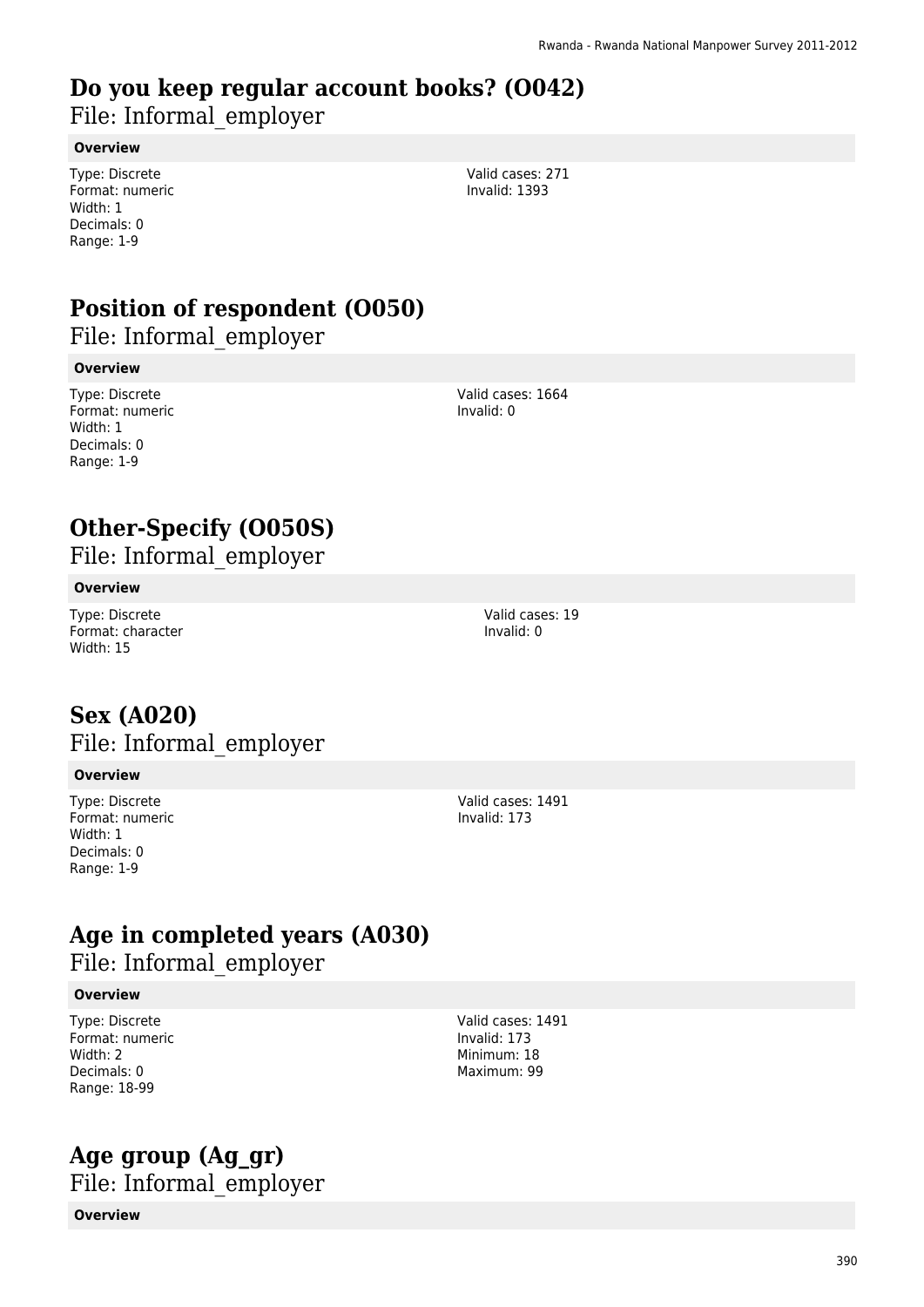# **Do you keep regular account books? (O042)**

File: Informal\_employer

### **Overview**

Type: Discrete Format: numeric Width: 1 Decimals: 0 Range: 1-9

Valid cases: 271 Invalid: 1393

## **Position of respondent (O050)**

File: Informal\_employer

### **Overview**

Type: Discrete Format: numeric Width: 1 Decimals: 0 Range: 1-9

Valid cases: 1664 Invalid: 0

## **Other-Specify (O050S)**

File: Informal\_employer

### **Overview**

Type: Discrete Format: character Width: 15

### **Sex (A020)**  File: Informal\_employer

### **Overview**

Type: Discrete Format: numeric Width: 1 Decimals: 0 Range: 1-9

Valid cases: 1491

Invalid: 173

# **Age in completed years (A030)**

File: Informal\_employer

### **Overview**

Type: Discrete Format: numeric Width: 2 Decimals: 0 Range: 18-99

Valid cases: 1491 Invalid: 173 Minimum: 18 Maximum: 99

## **Age group (Ag\_gr)**

File: Informal\_employer

**Overview**

Valid cases: 19 Invalid: 0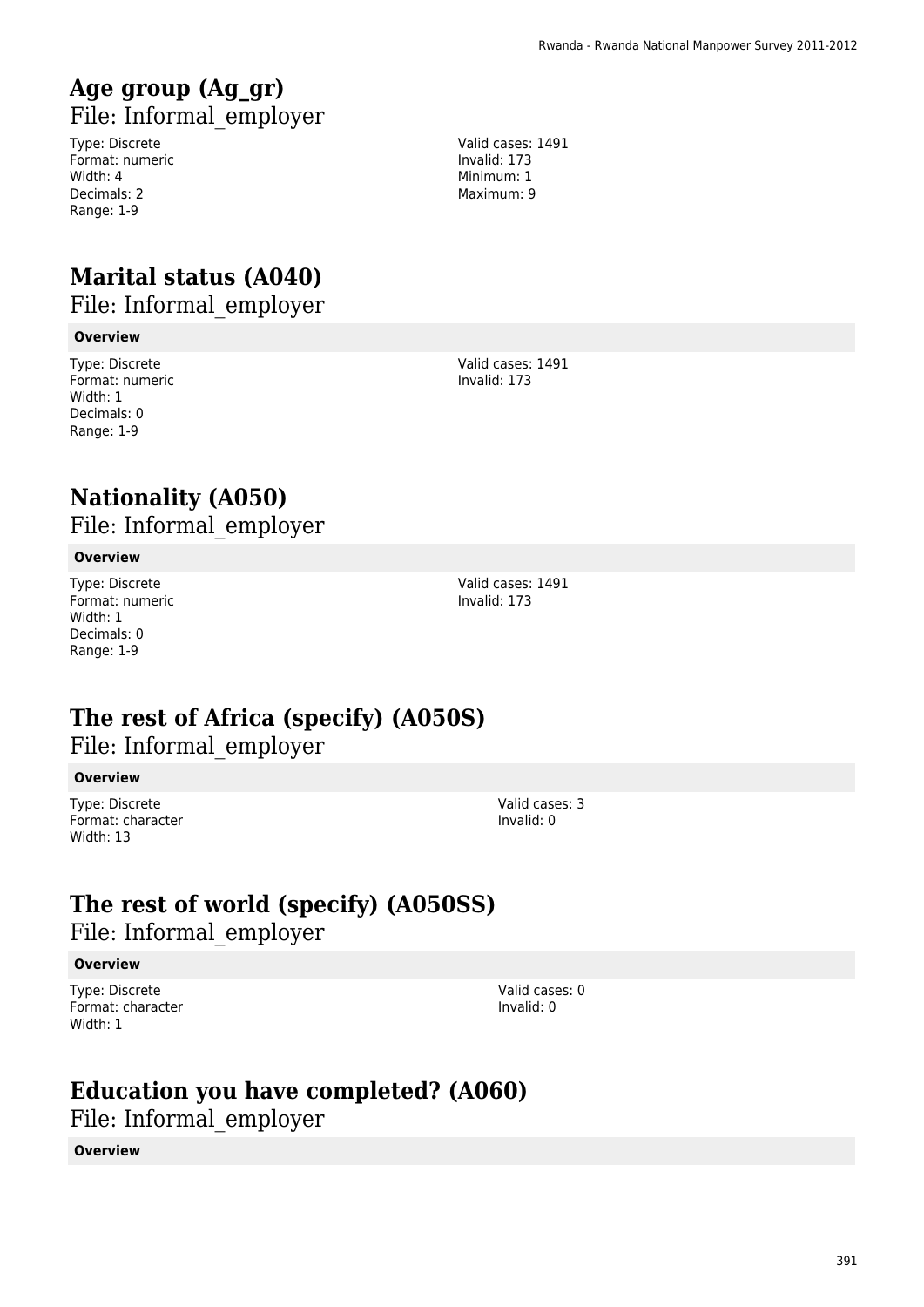### **Age group (Ag\_gr)**  File: Informal\_employer

Type: Discrete Format: numeric Width: 4 Decimals: 2 Range: 1-9

Valid cases: 1491 Invalid: 173 Minimum: 1 Maximum: 9

## **Marital status (A040)**

File: Informal\_employer

### **Overview**

Type: Discrete Format: numeric Width: 1 Decimals: 0 Range: 1-9

Valid cases: 1491 Invalid: 173

### **Nationality (A050)**  File: Informal\_employer

### **Overview**

Type: Discrete Format: numeric Width: 1 Decimals: 0 Range: 1-9

Valid cases: 1491 Invalid: 173

### **The rest of Africa (specify) (A050S)**

File: Informal\_employer

### **Overview**

Type: Discrete Format: character Width: 13

## **The rest of world (specify) (A050SS)**

File: Informal\_employer

### **Overview**

Type: Discrete Format: character Width: 1

Valid cases: 0 Invalid: 0

Valid cases: 3 Invalid: 0

### **Education you have completed? (A060)**

File: Informal\_employer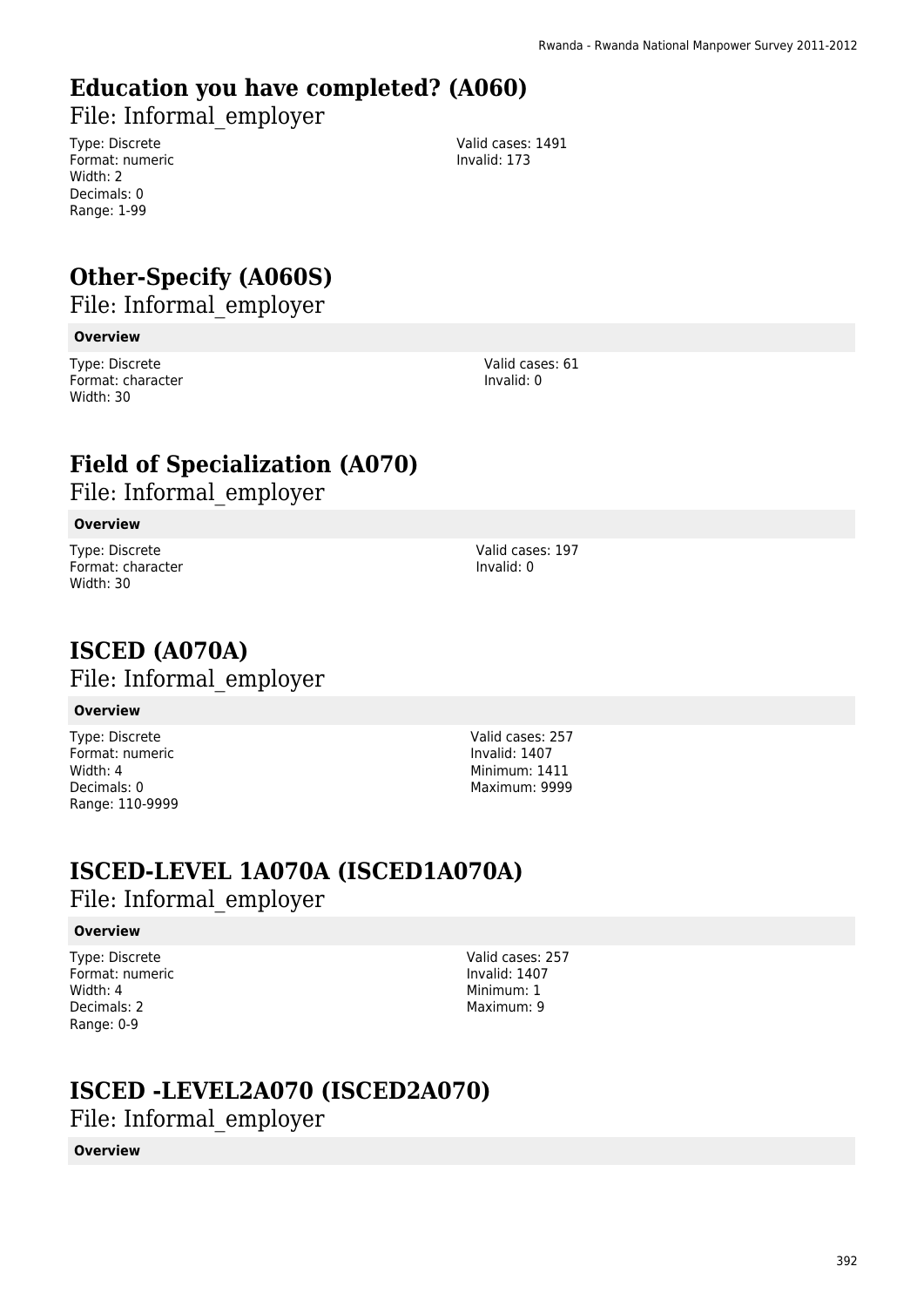## **Education you have completed? (A060)**

File: Informal\_employer

Type: Discrete Format: numeric Width: 2 Decimals: 0 Range: 1-99

Valid cases: 1491 Invalid: 173

# **Other-Specify (A060S)**

File: Informal\_employer

### **Overview**

Type: Discrete Format: character Width: 30

## **Field of Specialization (A070)**

File: Informal\_employer

### **Overview**

Type: Discrete Format: character Width: 30

### **ISCED (A070A)**  File: Informal\_employer

### **Overview**

Type: Discrete Format: numeric Width: 4 Decimals: 0 Range: 110-9999

**ISCED-LEVEL 1A070A (ISCED1A070A)**  File: Informal\_employer

### **Overview**

Type: Discrete Format: numeric Width: 4 Decimals: 2 Range: 0-9

**ISCED -LEVEL2A070 (ISCED2A070)** 

File: Informal\_employer

### **Overview**

Valid cases: 61 Invalid: 0

Valid cases: 197 Invalid: 0

Valid cases: 257 Invalid: 1407 Minimum: 1411 Maximum: 9999

Valid cases: 257 Invalid: 1407 Minimum: 1

Maximum: 9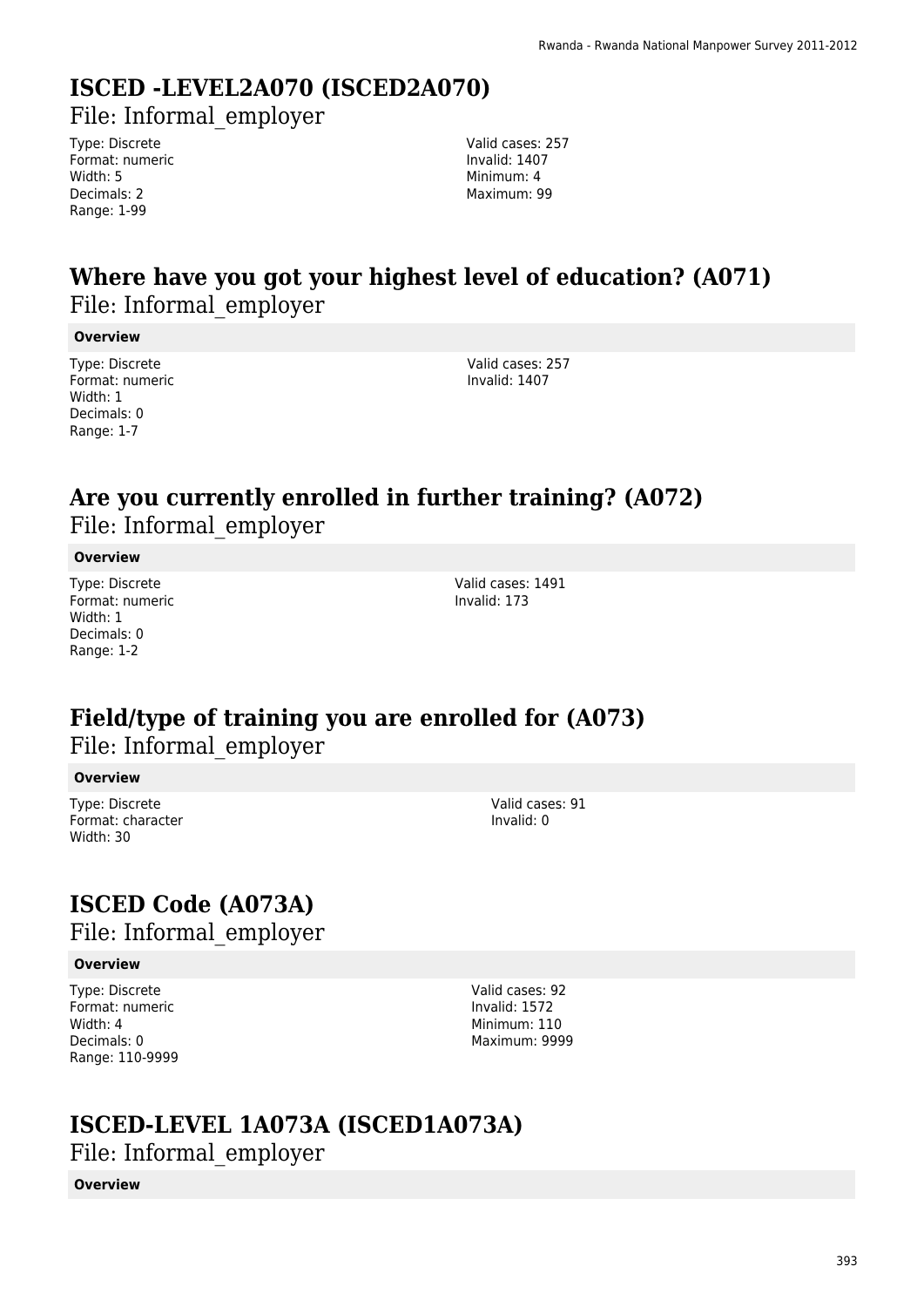## **ISCED -LEVEL2A070 (ISCED2A070)**

File: Informal\_employer

Type: Discrete Format: numeric Width: 5 Decimals: 2 Range: 1-99

Valid cases: 257 Invalid: 1407 Minimum: 4 Maximum: 99

### **Where have you got your highest level of education? (A071)**  File: Informal\_employer

#### **Overview**

Type: Discrete Format: numeric Width: 1 Decimals: 0 Range: 1-7

Valid cases: 257 Invalid: 1407

### **Are you currently enrolled in further training? (A072)**  File: Informal\_employer

### **Overview**

Type: Discrete Format: numeric Width: 1 Decimals: 0 Range: 1-2

Valid cases: 1491 Invalid: 173

### **Field/type of training you are enrolled for (A073)**  File: Informal\_employer

#### **Overview**

Type: Discrete Format: character Width: 30

Valid cases: 91 Invalid: 0

## **ISCED Code (A073A)**

File: Informal\_employer

### **Overview**

Type: Discrete Format: numeric Width: 4 Decimals: 0 Range: 110-9999 Valid cases: 92 Invalid: 1572 Minimum: 110 Maximum: 9999

### **ISCED-LEVEL 1A073A (ISCED1A073A)**

File: Informal\_employer

### **Overview**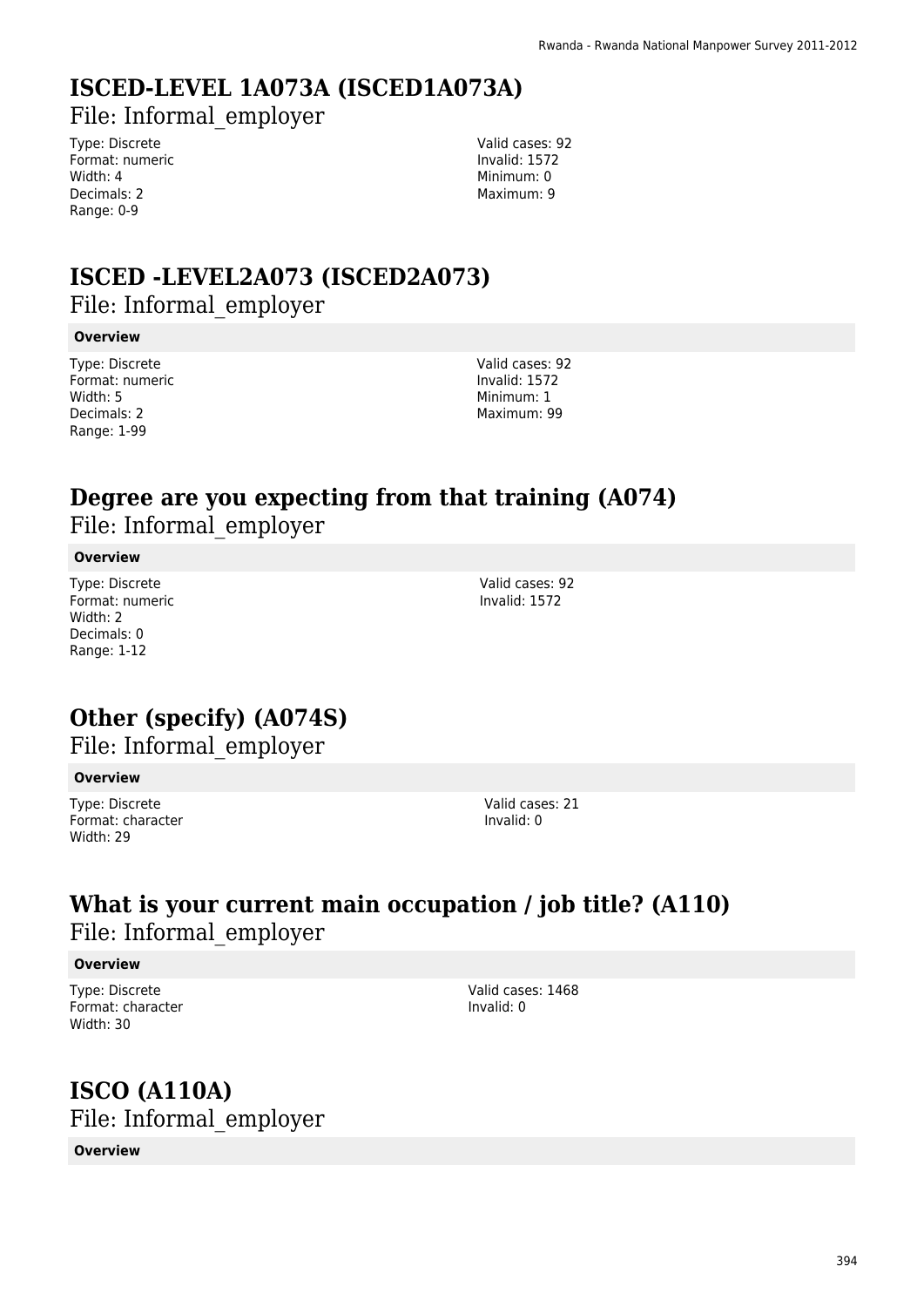### **ISCED-LEVEL 1A073A (ISCED1A073A)**

File: Informal\_employer

Type: Discrete Format: numeric Width: 4 Decimals: 2 Range: 0-9

Valid cases: 92 Invalid: 1572 Minimum: 0 Maximum: 9

### **ISCED -LEVEL2A073 (ISCED2A073)**  File: Informal\_employer

#### **Overview**

Type: Discrete Format: numeric Width: 5 Decimals: 2 Range: 1-99

Valid cases: 92 Invalid: 1572 Minimum: 1 Maximum: 99

### **Degree are you expecting from that training (A074)**  File: Informal\_employer

### **Overview**

Type: Discrete Format: numeric Width: 2 Decimals: 0 Range: 1-12

Valid cases: 92 Invalid: 1572

### **Other (specify) (A074S)**

File: Informal\_employer

### **Overview**

Type: Discrete Format: character Width: 29

Valid cases: 21 Invalid: 0

### **What is your current main occupation / job title? (A110)**  File: Informal\_employer

### **Overview**

Type: Discrete Format: character Width: 30

Valid cases: 1468 Invalid: 0

### **ISCO (A110A)**  File: Informal\_employer

### **Overview**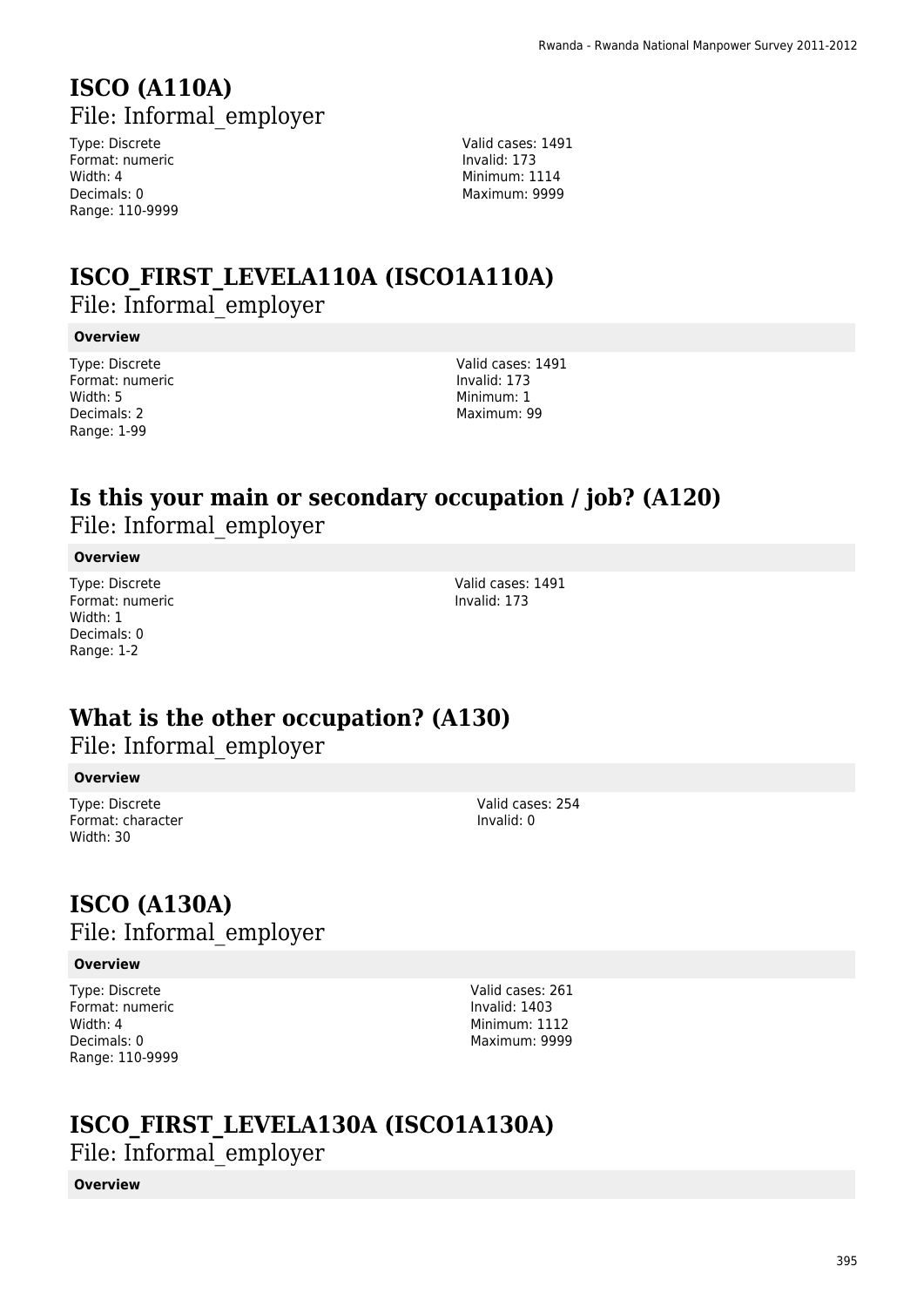### **ISCO (A110A)**  File: Informal\_employer

Type: Discrete Format: numeric Width: 4 Decimals: 0 Range: 110-9999 Valid cases: 1491 Invalid: 173 Minimum: 1114 Maximum: 9999

## **ISCO\_FIRST\_LEVELA110A (ISCO1A110A)**  File: Informal\_employer

#### **Overview**

Type: Discrete Format: numeric Width: 5 Decimals: 2 Range: 1-99

Valid cases: 1491 Invalid: 173 Minimum: 1 Maximum: 99

### **Is this your main or secondary occupation / job? (A120)**  File: Informal\_employer

#### **Overview**

Type: Discrete Format: numeric Width: 1 Decimals: 0 Range: 1-2

Valid cases: 1491 Invalid: 173

### **What is the other occupation? (A130)**

File: Informal\_employer

#### **Overview**

Type: Discrete Format: character Width: 30

Valid cases: 254 Invalid: 0

### **ISCO (A130A)**  File: Informal\_employer

#### **Overview**

Type: Discrete Format: numeric Width: 4 Decimals: 0 Range: 110-9999 Valid cases: 261 Invalid: 1403 Minimum: 1112 Maximum: 9999

## **ISCO\_FIRST\_LEVELA130A (ISCO1A130A)**

File: Informal\_employer

### **Overview**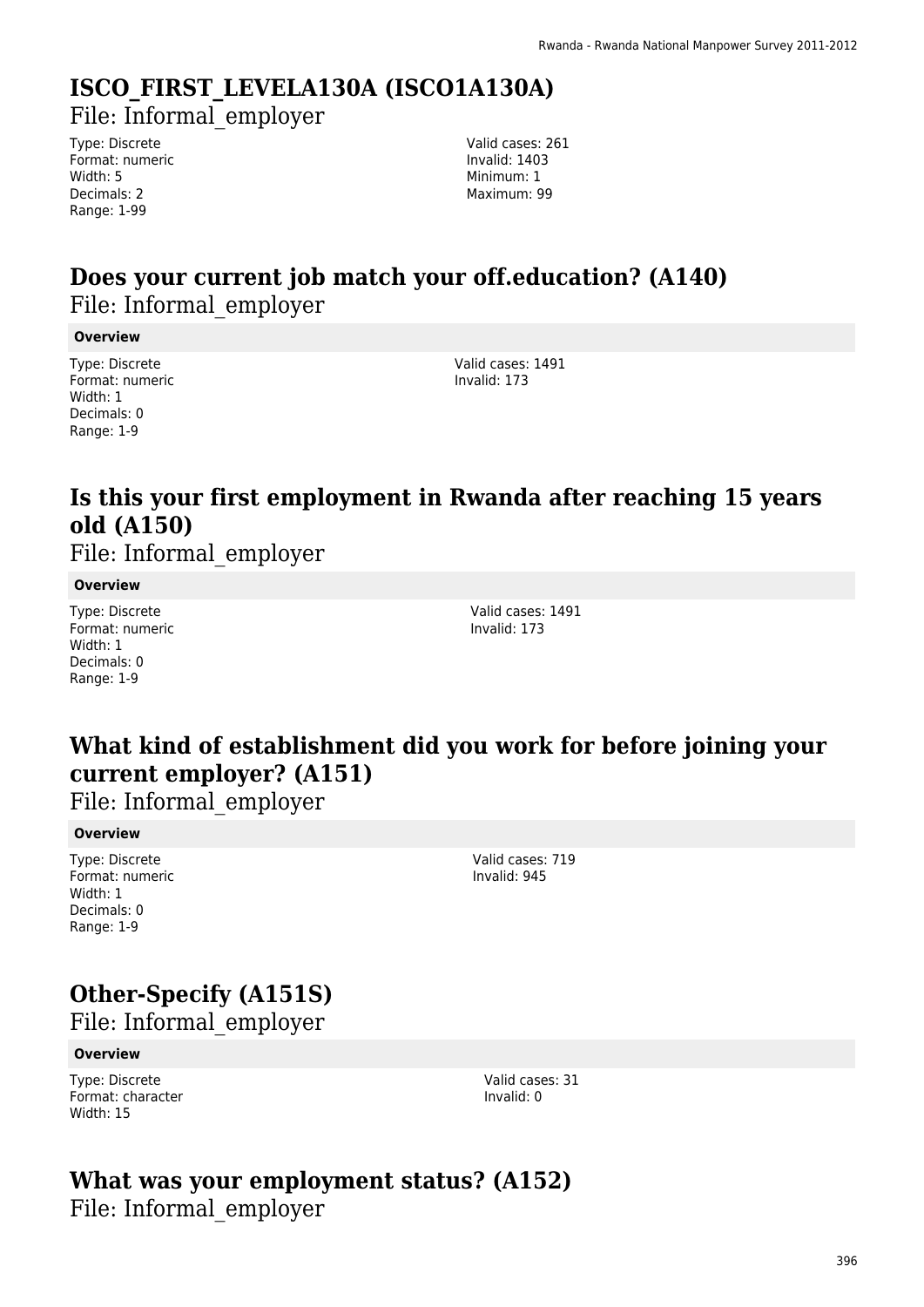## **ISCO\_FIRST\_LEVELA130A (ISCO1A130A)**

File: Informal\_employer

Type: Discrete Format: numeric Width: 5 Decimals: 2 Range: 1-99

Valid cases: 261 Invalid: 1403 Minimum: 1 Maximum: 99

## **Does your current job match your off.education? (A140)**  File: Informal\_employer

### **Overview**

Type: Discrete Format: numeric Width: 1 Decimals: 0 Range: 1-9

Valid cases: 1491 Invalid: 173

### **Is this your first employment in Rwanda after reaching 15 years old (A150)**

File: Informal\_employer

### **Overview**

Type: Discrete Format: numeric Width: 1 Decimals: 0 Range: 1-9

Valid cases: 1491 Invalid: 173

### **What kind of establishment did you work for before joining your current employer? (A151)**

File: Informal\_employer

### **Overview**

Type: Discrete Format: numeric Width: 1 Decimals: 0 Range: 1-9

Valid cases: 719 Invalid: 945

### **Other-Specify (A151S)**  File: Informal\_employer

### **Overview**

Type: Discrete Format: character Width: 15

#### Valid cases: 31 Invalid: 0

### **What was your employment status? (A152)**  File: Informal\_employer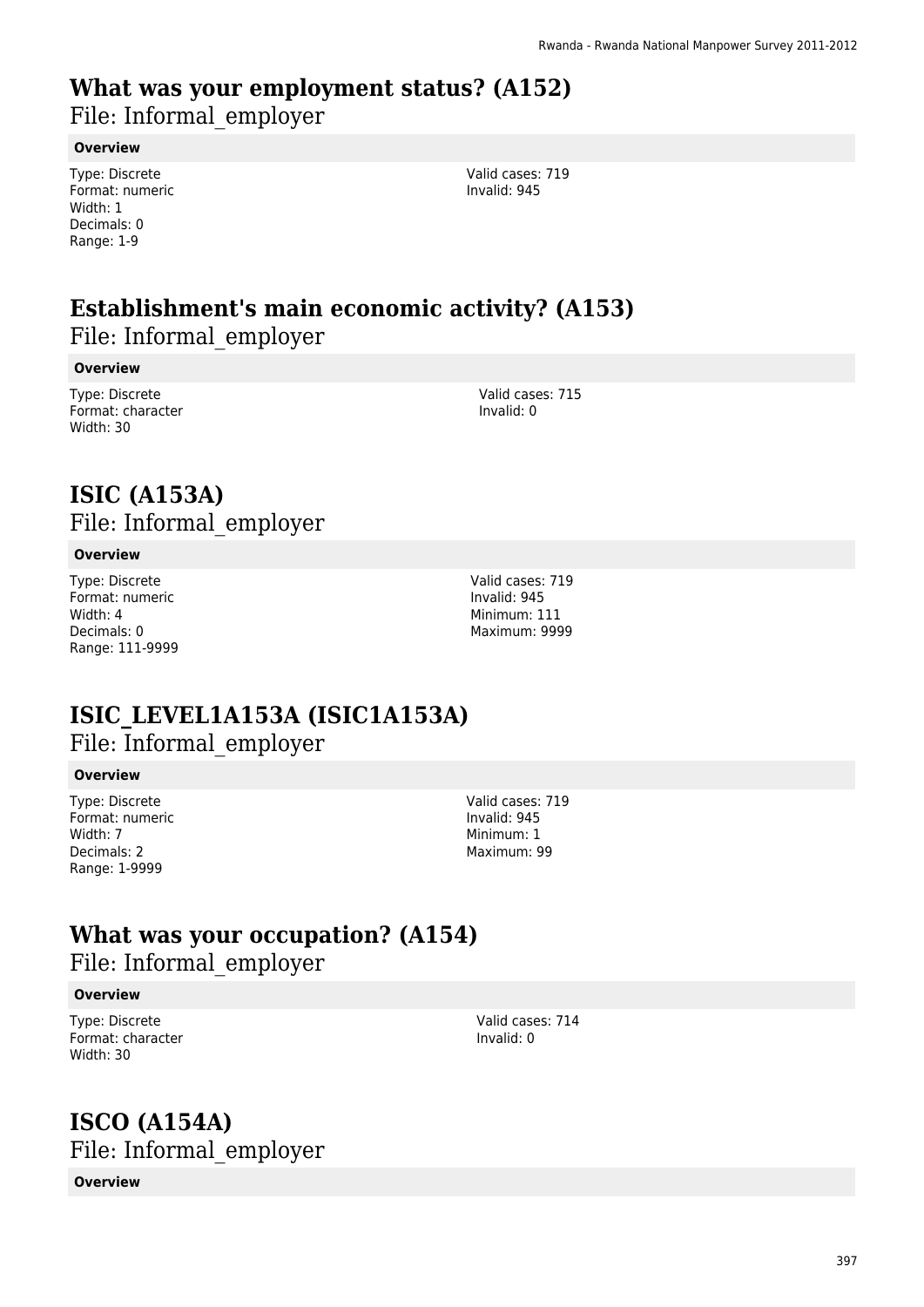## **What was your employment status? (A152)**

File: Informal\_employer

### **Overview**

Type: Discrete Format: numeric Width: 1 Decimals: 0 Range: 1-9

## **Establishment's main economic activity? (A153)**

File: Informal\_employer

#### **Overview**

Type: Discrete Format: character Width: 30

Valid cases: 715 Invalid: 0

### **ISIC (A153A)**  File: Informal\_employer

#### **Overview**

Type: Discrete Format: numeric Width: 4 Decimals: 0 Range: 111-9999 Valid cases: 719 Invalid: 945 Minimum: 111 Maximum: 9999

# **ISIC\_LEVEL1A153A (ISIC1A153A)**

### File: Informal\_employer

### **Overview**

Type: Discrete Format: numeric Width: 7 Decimals: 2 Range: 1-9999

Valid cases: 719 Invalid: 945 Minimum: 1 Maximum: 99

Valid cases: 714 Invalid: 0

## **What was your occupation? (A154)**

File: Informal\_employer

### **Overview**

Type: Discrete Format: character Width: 30

## **ISCO (A154A)**

File: Informal\_employer

**Overview**

Valid cases: 719 Invalid: 945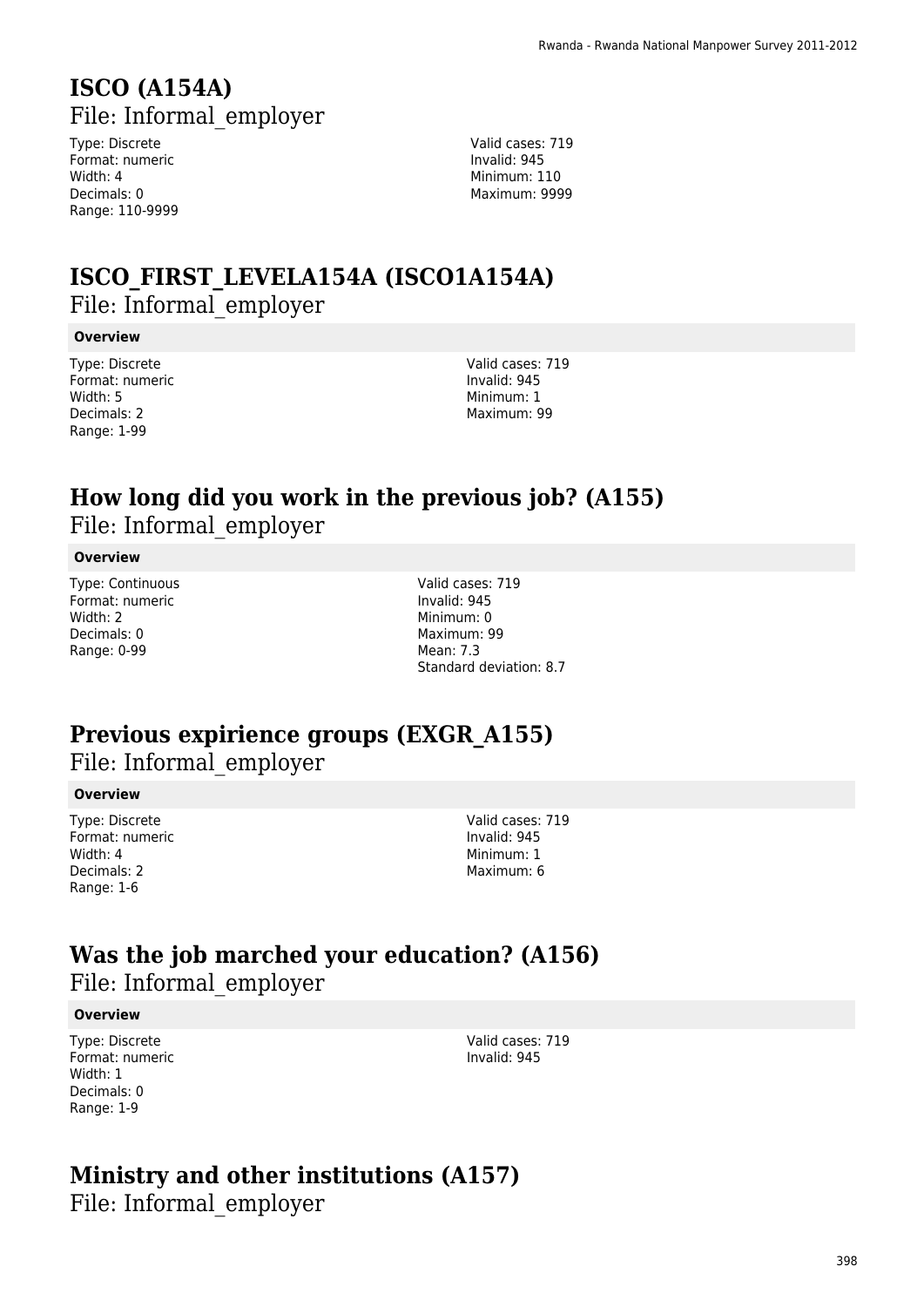### **ISCO (A154A)**  File: Informal\_employer

Type: Discrete Format: numeric Width: 4 Decimals: 0 Range: 110-9999 Valid cases: 719 Invalid: 945 Minimum: 110 Maximum: 9999

## **ISCO\_FIRST\_LEVELA154A (ISCO1A154A)**  File: Informal\_employer

#### **Overview**

Type: Discrete Format: numeric Width: 5 Decimals: 2 Range: 1-99

Valid cases: 719 Invalid: 945 Minimum: 1 Maximum: 99

## **How long did you work in the previous job? (A155)**  File: Informal\_employer

#### **Overview**

Type: Continuous Format: numeric Width: 2 Decimals: 0 Range: 0-99

Valid cases: 719 Invalid: 945 Minimum: 0 Maximum: 99 Mean: 7.3 Standard deviation: 8.7

### **Previous expirience groups (EXGR\_A155)**  File: Informal\_employer

#### **Overview**

Type: Discrete Format: numeric Width: 4 Decimals: 2 Range: 1-6

Valid cases: 719 Invalid: 945 Minimum: 1 Maximum: 6

### **Was the job marched your education? (A156)**  File: Informal\_employer

#### **Overview**

Type: Discrete Format: numeric Width: 1 Decimals: 0 Range: 1-9

Valid cases: 719 Invalid: 945

### **Ministry and other institutions (A157)**

File: Informal\_employer

398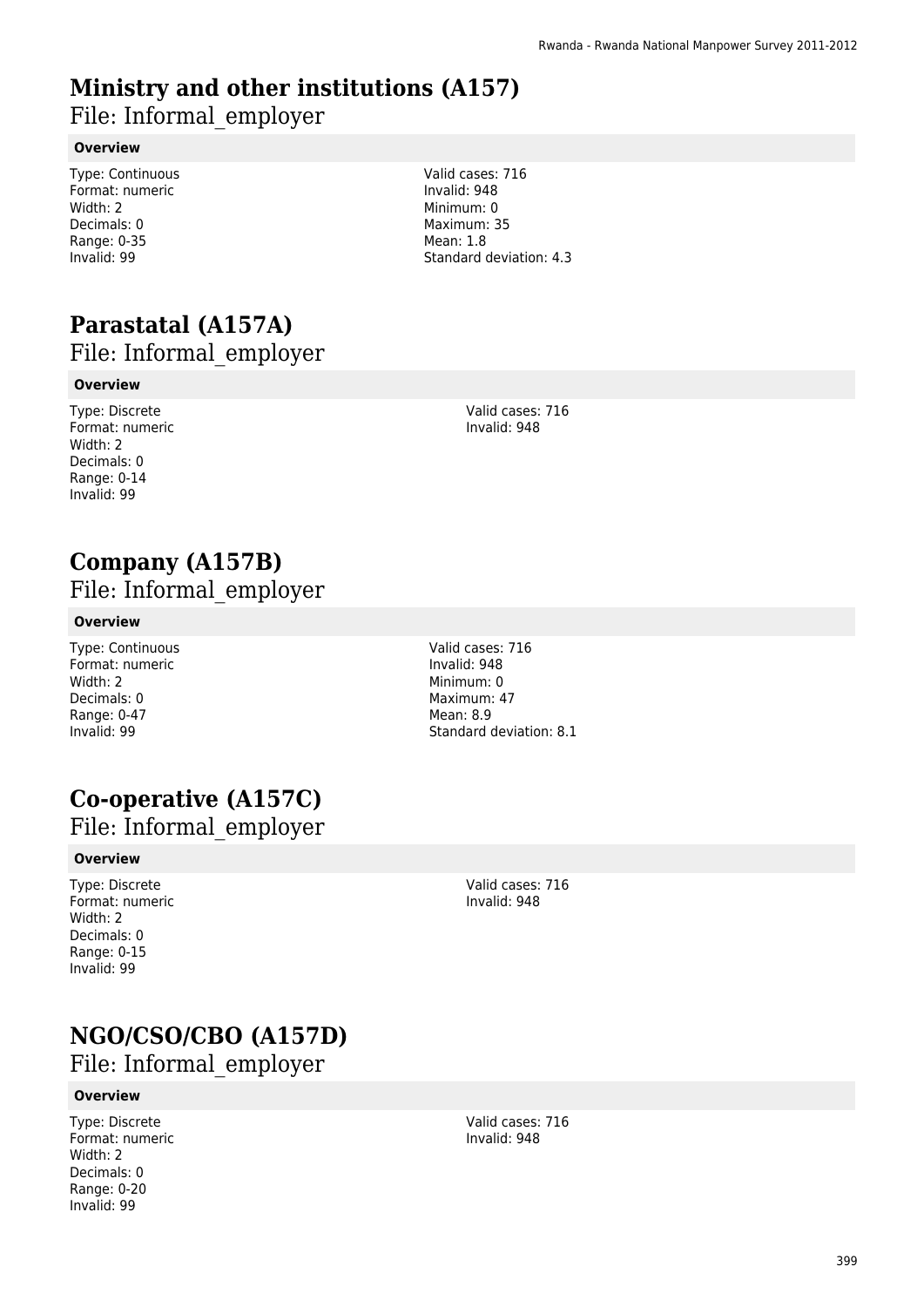# **Ministry and other institutions (A157)**

File: Informal\_employer

### **Overview**

Type: Continuous Format: numeric Width: 2 Decimals: 0 Range: 0-35 Invalid: 99

Valid cases: 716 Invalid: 948 Minimum: 0 Maximum: 35 Mean: 1.8 Standard deviation: 4.3

### **Parastatal (A157A)**  File: Informal\_employer

#### **Overview**

Type: Discrete Format: numeric Width: 2 Decimals: 0 Range: 0-14 Invalid: 99

Valid cases: 716 Invalid: 948

### **Company (A157B)**  File: Informal\_employer

#### **Overview**

Type: Continuous Format: numeric Width: 2 Decimals: 0 Range: 0-47 Invalid: 99

Valid cases: 716 Invalid: 948 Minimum: 0 Maximum: 47 Mean: 8.9 Standard deviation: 8.1

## **Co-operative (A157C)**

File: Informal\_employer

### **Overview**

Type: Discrete Format: numeric Width: 2 Decimals: 0 Range: 0-15 Invalid: 99

Valid cases: 716 Invalid: 948

### **NGO/CSO/CBO (A157D)**  File: Informal\_employer

### **Overview**

Type: Discrete Format: numeric Width: 2 Decimals: 0 Range: 0-20 Invalid: 99

Valid cases: 716 Invalid: 948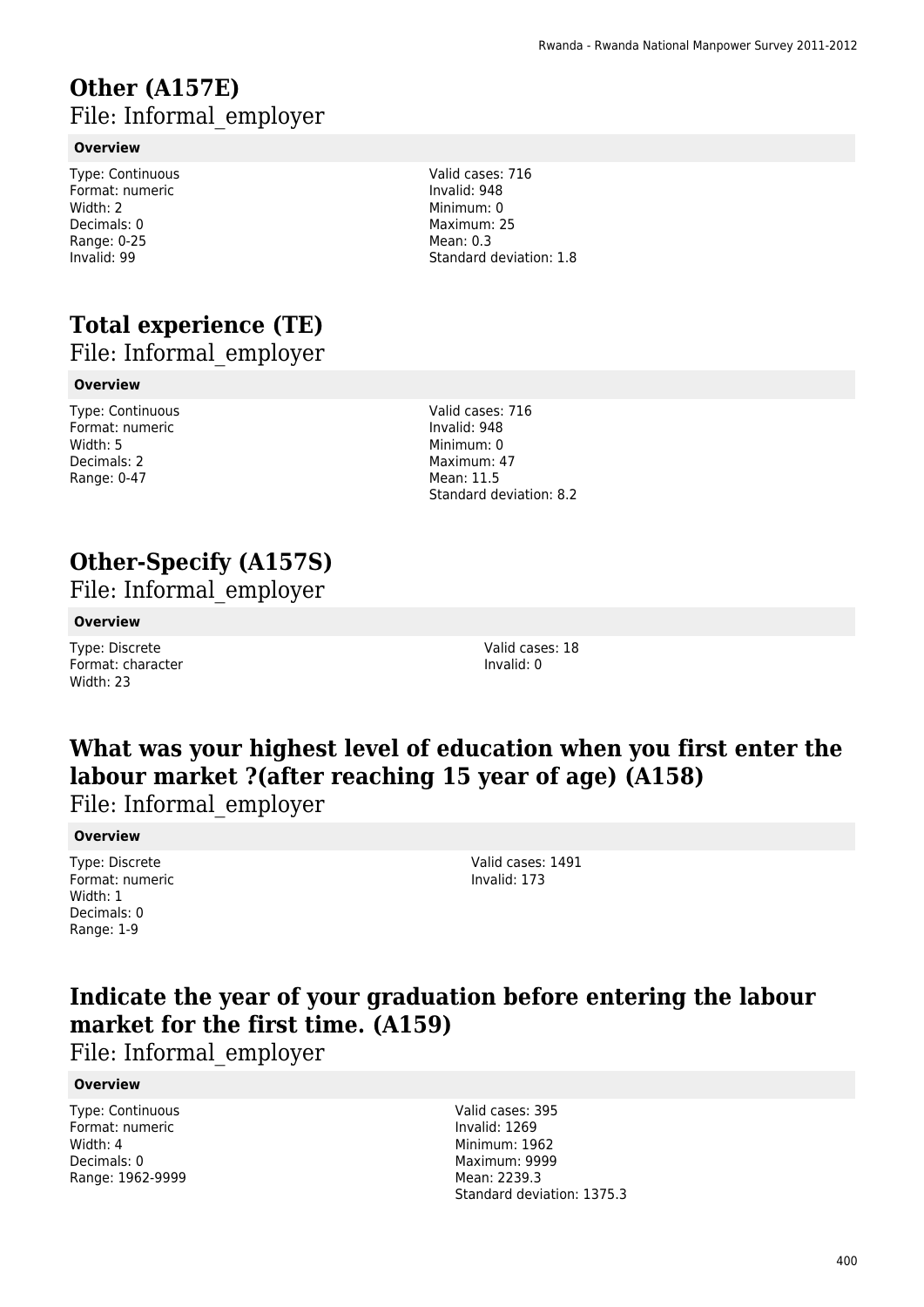## **Other (A157E)**  File: Informal\_employer

#### **Overview**

Type: Continuous Format: numeric Width: 2 Decimals: 0 Range: 0-25 Invalid: 99

Valid cases: 716 Invalid: 948 Minimum: 0 Maximum: 25 Mean: 0.3 Standard deviation: 1.8

### **Total experience (TE)**  File: Informal\_employer

#### **Overview**

Type: Continuous Format: numeric Width: 5 Decimals: 2 Range: 0-47

Valid cases: 716 Invalid: 948 Minimum: 0 Maximum: 47 Mean: 11.5 Standard deviation: 8.2

## **Other-Specify (A157S)**

File: Informal\_employer

**Overview**

Type: Discrete Format: character Width: 23

Valid cases: 18 Invalid: 0

## **What was your highest level of education when you first enter the labour market ?(after reaching 15 year of age) (A158)**

File: Informal\_employer

#### **Overview**

Type: Discrete Format: numeric Width: 1 Decimals: 0 Range: 1-9

Valid cases: 1491 Invalid: 173

## **Indicate the year of your graduation before entering the labour market for the first time. (A159)**

File: Informal\_employer

#### **Overview**

Type: Continuous Format: numeric Width: 4 Decimals: 0 Range: 1962-9999 Valid cases: 395 Invalid: 1269 Minimum: 1962 Maximum: 9999 Mean: 2239.3 Standard deviation: 1375.3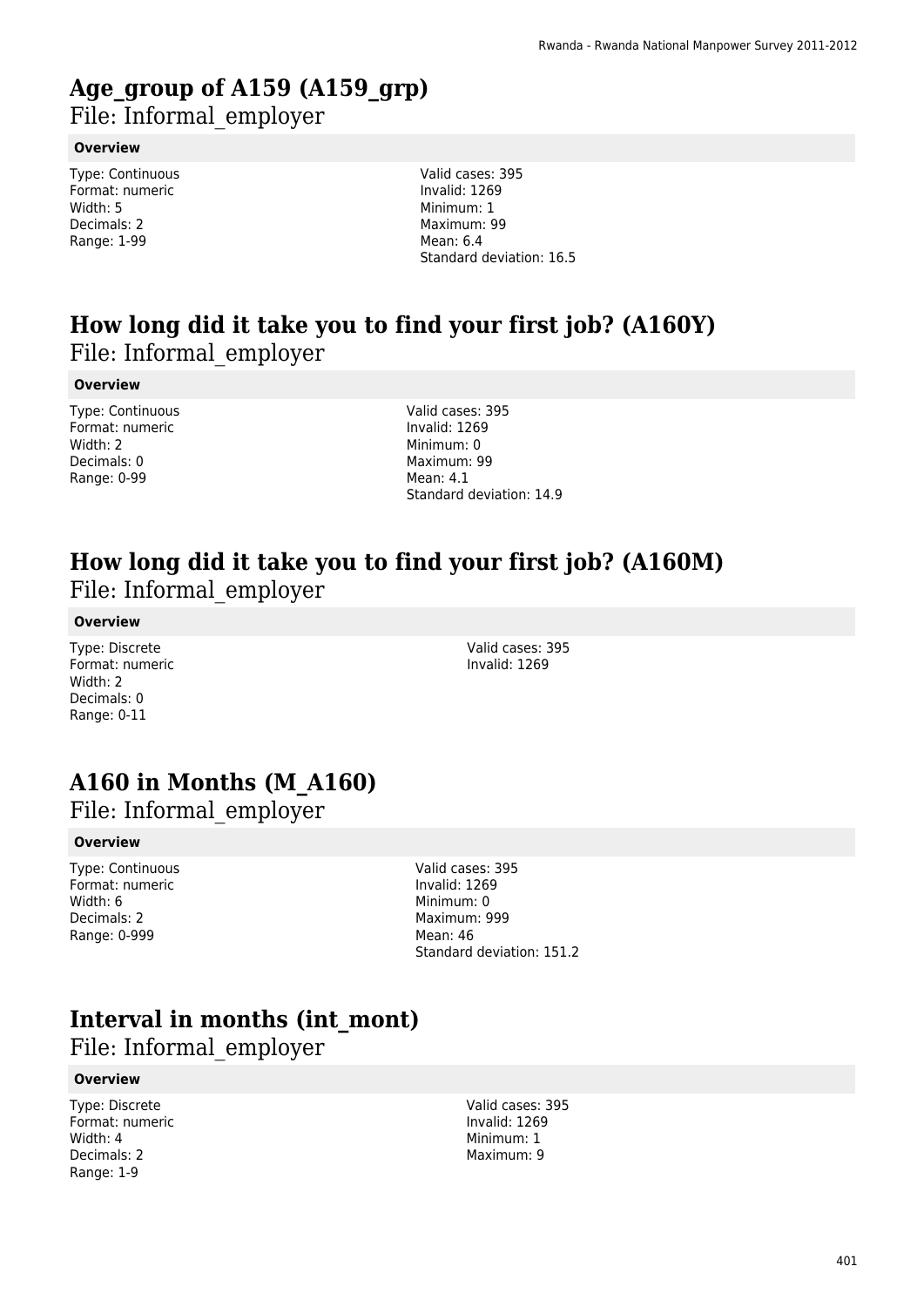## **Age\_group of A159 (A159\_grp)**

File: Informal\_employer

#### **Overview**

Type: Continuous Format: numeric Width: 5 Decimals: 2 Range: 1-99

Valid cases: 395 Invalid: 1269 Minimum: 1 Maximum: 99 Mean: 6.4 Standard deviation: 16.5

## **How long did it take you to find your first job? (A160Y)**  File: Informal\_employer

#### **Overview**

Type: Continuous Format: numeric Width: 2 Decimals: 0 Range: 0-99

Valid cases: 395 Invalid: 1269 Minimum: 0 Maximum: 99 Mean: 4.1 Standard deviation: 14.9

### **How long did it take you to find your first job? (A160M)**  File: Informal\_employer

**Overview**

Type: Discrete Format: numeric Width: 2 Decimals: 0 Range: 0-11

Valid cases: 395 Invalid: 1269

## **A160 in Months (M\_A160)**

File: Informal\_employer

### **Overview**

Type: Continuous Format: numeric Width: 6 Decimals: 2 Range: 0-999

Valid cases: 395 Invalid: 1269 Minimum: 0 Maximum: 999 Mean: 46 Standard deviation: 151.2

### **Interval in months (int\_mont)**

File: Informal\_employer

### **Overview**

Type: Discrete Format: numeric Width: 4 Decimals: 2 Range: 1-9

Valid cases: 395 Invalid: 1269 Minimum: 1 Maximum: 9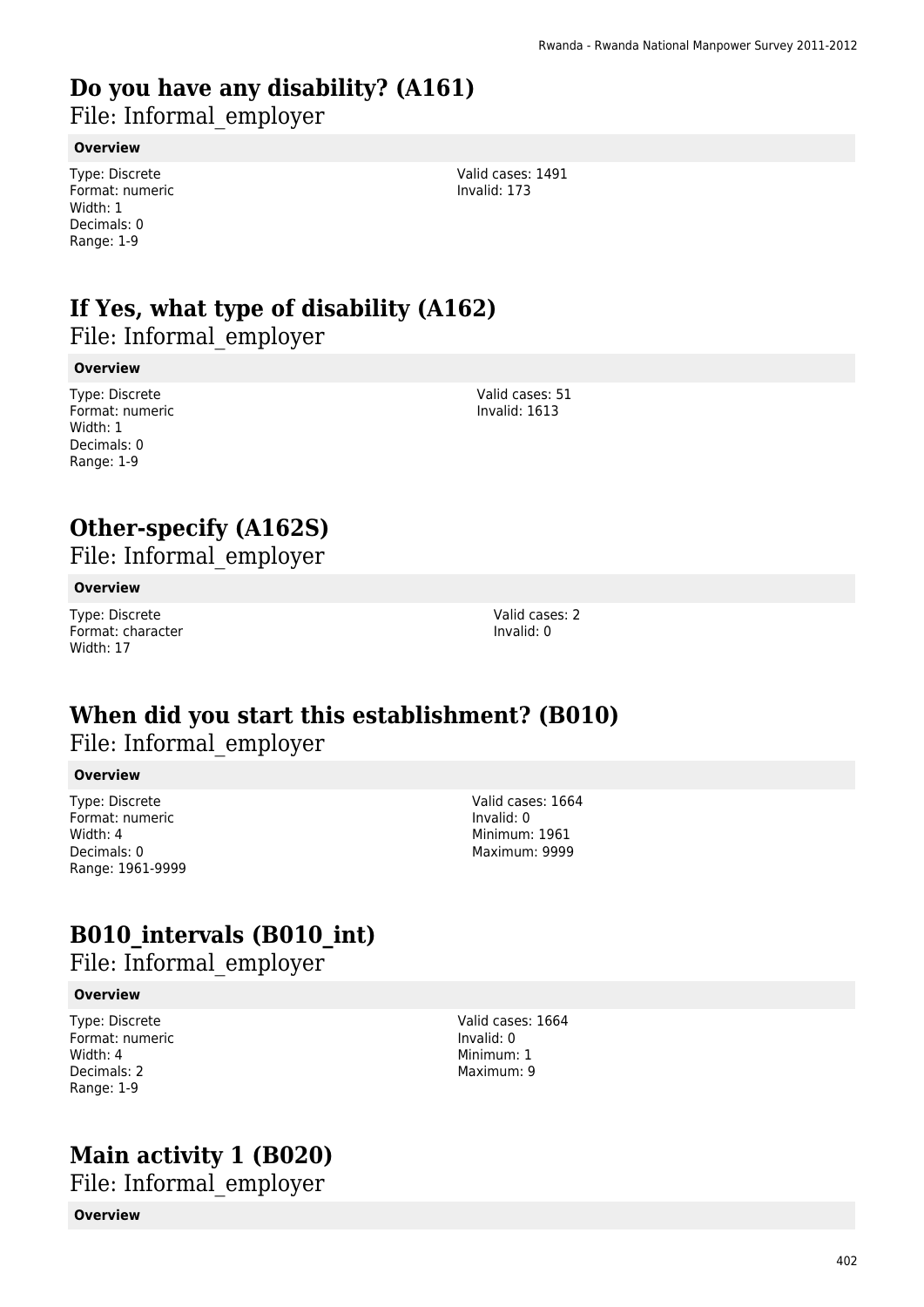# **Do you have any disability? (A161)**

File: Informal\_employer

### **Overview**

Type: Discrete Format: numeric Width: 1 Decimals: 0 Range: 1-9

## **If Yes, what type of disability (A162)**

File: Informal\_employer

### **Overview**

Type: Discrete Format: numeric Width: 1 Decimals: 0 Range: 1-9

Valid cases: 51 Invalid: 1613

## **Other-specify (A162S)**

File: Informal\_employer

### **Overview**

Type: Discrete Format: character Width: 17

# **When did you start this establishment? (B010)**

File: Informal\_employer

### **Overview**

Type: Discrete Format: numeric Width: 4 Decimals: 0 Range: 1961-9999

Valid cases: 1664 Invalid: 0 Minimum: 1961 Maximum: 9999

Valid cases: 2 Invalid: 0

## **B010\_intervals (B010\_int)**

File: Informal\_employer

### **Overview**

Type: Discrete Format: numeric Width: 4 Decimals: 2 Range: 1-9

Valid cases: 1664 Invalid: 0 Minimum: 1 Maximum: 9

## **Main activity 1 (B020)**

File: Informal\_employer

**Overview**

Valid cases: 1491 Invalid: 173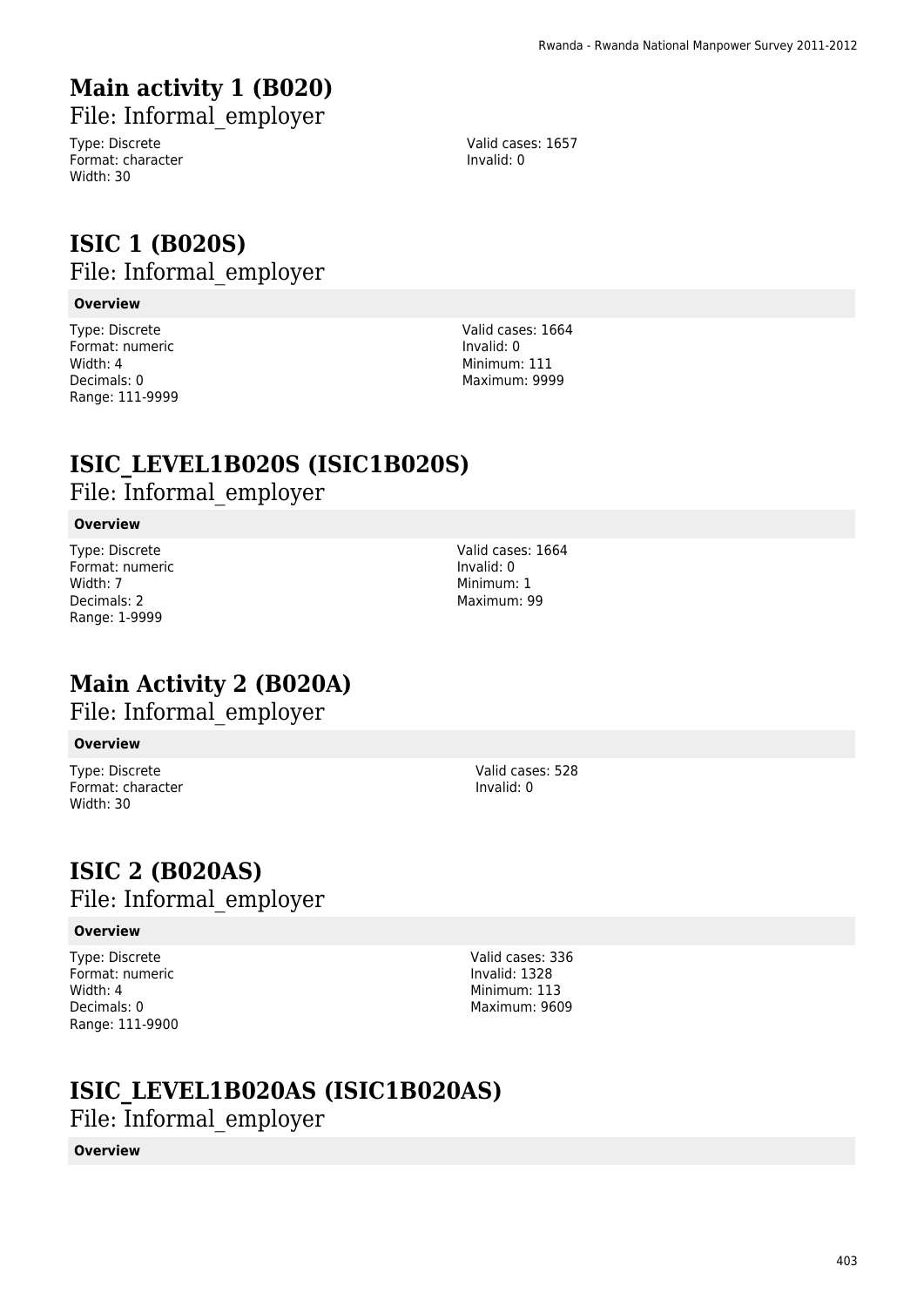## **Main activity 1 (B020)**

File: Informal\_employer

Type: Discrete Format: character Width: 30

Valid cases: 1657 Invalid: 0

### **ISIC 1 (B020S)**  File: Informal\_employer

### **Overview**

Type: Discrete Format: numeric Width: 4 Decimals: 0 Range: 111-9999

Valid cases: 1664 Invalid: 0 Minimum: 111 Maximum: 9999

### **ISIC\_LEVEL1B020S (ISIC1B020S)**  File: Informal\_employer

### **Overview**

Type: Discrete Format: numeric Width: 7 Decimals: 2 Range: 1-9999

## **Main Activity 2 (B020A)**

File: Informal\_employer

### **Overview**

Type: Discrete Format: character Width: 30

### **ISIC 2 (B020AS)**  File: Informal\_employer

### **Overview**

Type: Discrete Format: numeric Width: 4 Decimals: 0 Range: 111-9900

## **ISIC\_LEVEL1B020AS (ISIC1B020AS)**

File: Informal\_employer

### **Overview**

Valid cases: 528 Invalid: 0

Valid cases: 336 Invalid: 1328 Minimum: 113 Maximum: 9609

Valid cases: 1664 Invalid: 0 Minimum: 1 Maximum: 99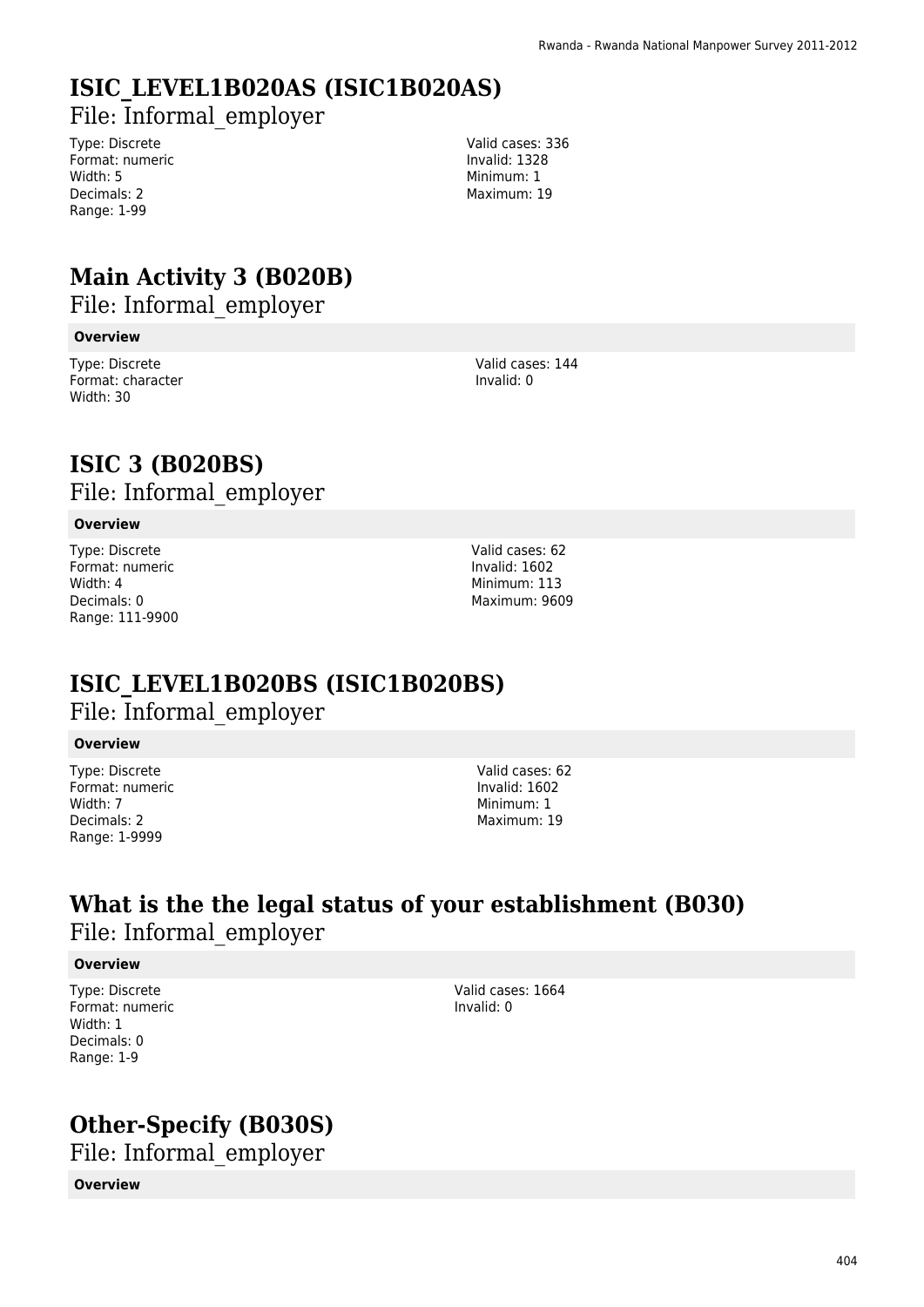## **ISIC\_LEVEL1B020AS (ISIC1B020AS)**

File: Informal\_employer

Type: Discrete Format: numeric Width: 5 Decimals: 2 Range: 1-99

Valid cases: 336 Invalid: 1328 Minimum: 1 Maximum: 19

## **Main Activity 3 (B020B)**

File: Informal\_employer

### **Overview**

Type: Discrete Format: character Width: 30

Valid cases: 144 Invalid: 0

## **ISIC 3 (B020BS)**  File: Informal\_employer

### **Overview**

Type: Discrete Format: numeric Width: 4 Decimals: 0 Range: 111-9900

Valid cases: 62 Invalid: 1602 Minimum: 113 Maximum: 9609

### **ISIC\_LEVEL1B020BS (ISIC1B020BS)**  File: Informal\_employer

### **Overview**

Type: Discrete Format: numeric Width: 7 Decimals: 2 Range: 1-9999

Valid cases: 62 Invalid: 1602 Minimum: 1 Maximum: 19

## **What is the the legal status of your establishment (B030)**  File: Informal\_employer

### **Overview**

Type: Discrete Format: numeric Width: 1 Decimals: 0 Range: 1-9

Valid cases: 1664 Invalid: 0

## **Other-Specify (B030S)**

File: Informal\_employer

### **Overview**

404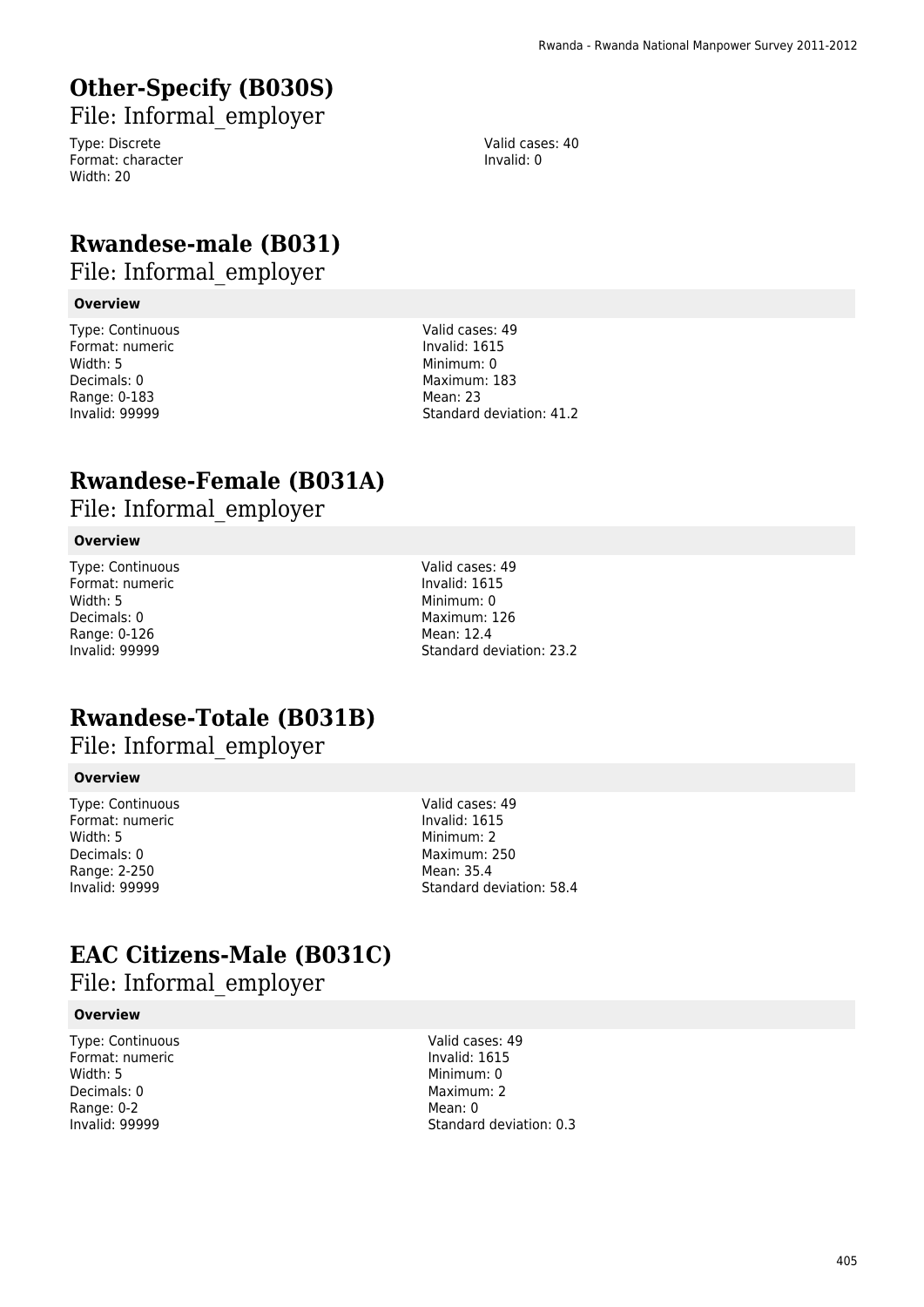## **Other-Specify (B030S)**

File: Informal\_employer

Type: Discrete Format: character Width: 20

Valid cases: 40 Invalid: 0

## **Rwandese-male (B031)**

File: Informal\_employer

### **Overview**

Type: Continuous Format: numeric Width: 5 Decimals: 0 Range: 0-183 Invalid: 99999

Valid cases: 49 Invalid: 1615 Minimum: 0 Maximum: 183 Mean: 23 Standard deviation: 41.2

## **Rwandese-Female (B031A)**

File: Informal\_employer

### **Overview**

Type: Continuous Format: numeric Width: 5 Decimals: 0 Range: 0-126 Invalid: 99999

Valid cases: 49 Invalid: 1615 Minimum: 0 Maximum: 126 Mean: 12.4 Standard deviation: 23.2

## **Rwandese-Totale (B031B)**

File: Informal\_employer

### **Overview**

Type: Continuous Format: numeric Width: 5 Decimals: 0 Range: 2-250 Invalid: 99999

Valid cases: 49 Invalid: 1615 Minimum: 2 Maximum: 250 Mean: 35.4 Standard deviation: 58.4

## **EAC Citizens-Male (B031C)**

File: Informal\_employer

### **Overview**

Type: Continuous Format: numeric Width: 5 Decimals: 0 Range: 0-2 Invalid: 99999

Valid cases: 49 Invalid: 1615 Minimum: 0 Maximum: 2 Mean: 0 Standard deviation: 0.3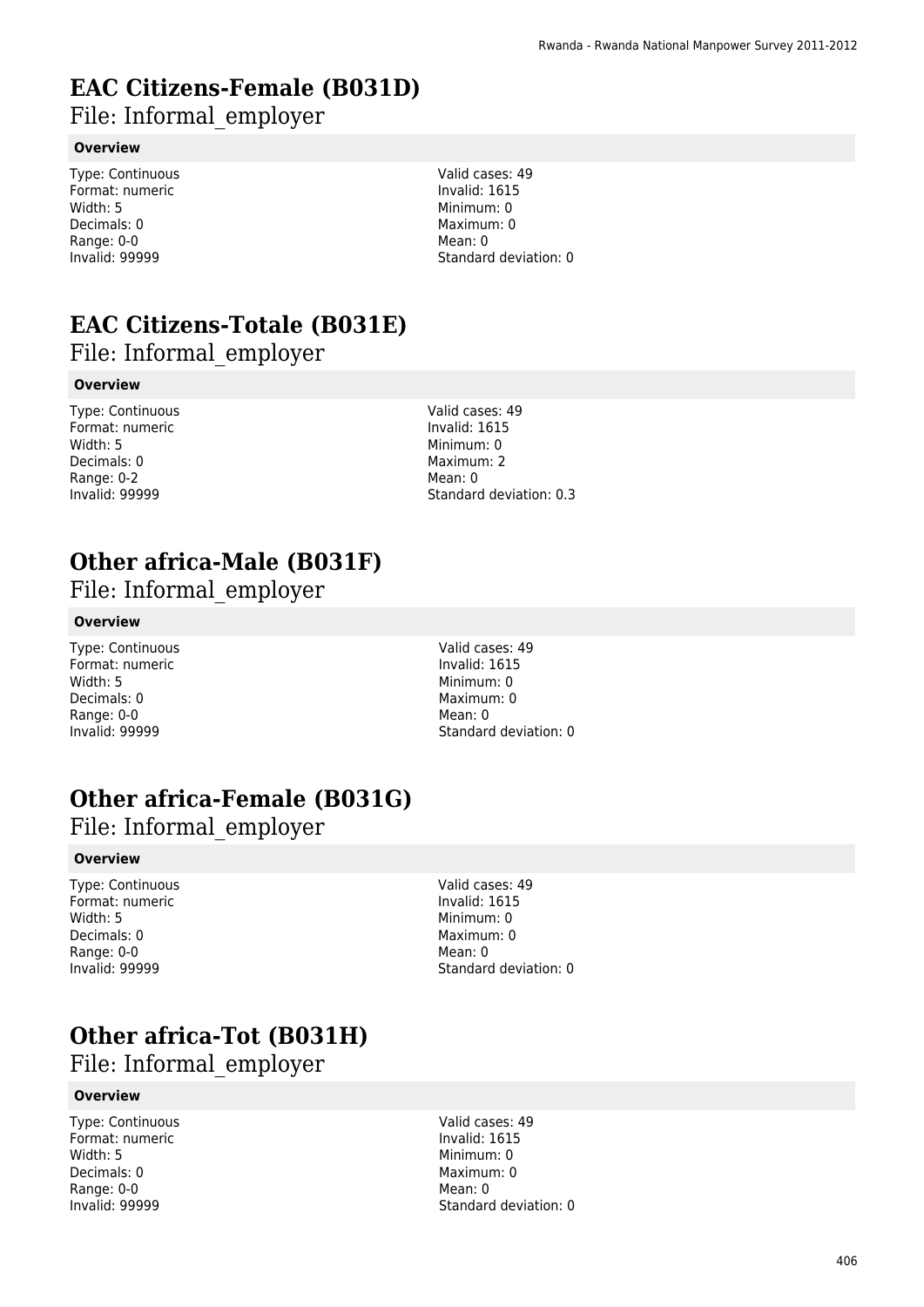## **EAC Citizens-Female (B031D)**

File: Informal\_employer

### **Overview**

Type: Continuous Format: numeric Width: 5 Decimals: 0 Range: 0-0 Invalid: 99999

Valid cases: 49 Invalid: 1615 Minimum: 0 Maximum: 0 Mean: 0 Standard deviation: 0

### **EAC Citizens-Totale (B031E)**  File: Informal\_employer

### **Overview**

Type: Continuous Format: numeric Width: 5 Decimals: 0 Range: 0-2 Invalid: 99999

Valid cases: 49 Invalid: 1615 Minimum: 0 Maximum: 2 Mean: 0 Standard deviation: 0.3

## **Other africa-Male (B031F)**

### File: Informal\_employer

#### **Overview**

Type: Continuous Format: numeric Width: 5 Decimals: 0 Range: 0-0 Invalid: 99999

Valid cases: 49 Invalid: 1615 Minimum: 0 Maximum: 0 Mean: 0 Standard deviation: 0

## **Other africa-Female (B031G)**

File: Informal\_employer

### **Overview**

Type: Continuous Format: numeric Width: 5 Decimals: 0 Range: 0-0 Invalid: 99999

Valid cases: 49 Invalid: 1615 Minimum: 0 Maximum: 0 Mean: 0 Standard deviation: 0

### **Other africa-Tot (B031H)**  File: Informal\_employer

### **Overview**

Type: Continuous Format: numeric Width: 5 Decimals: 0 Range: 0-0 Invalid: 99999

Valid cases: 49 Invalid: 1615 Minimum: 0 Maximum: 0 Mean: 0 Standard deviation: 0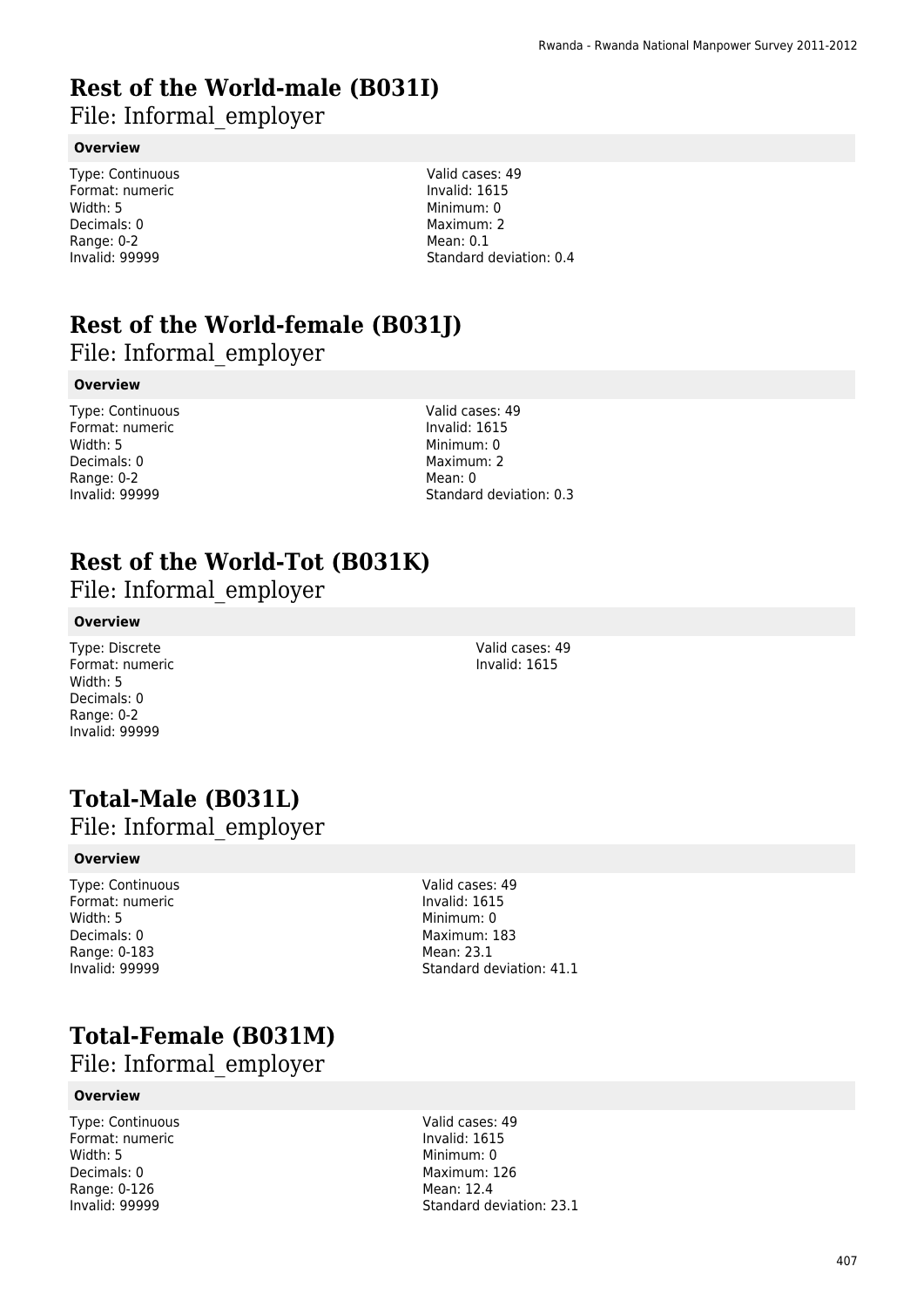## **Rest of the World-male (B031I)**

File: Informal\_employer

### **Overview**

Type: Continuous Format: numeric Width: 5 Decimals: 0 Range: 0-2 Invalid: 99999

Valid cases: 49 Invalid: 1615 Minimum: 0 Maximum: 2 Mean: 0.1 Standard deviation: 0.4

# **Rest of the World-female (B031J)**

## File: Informal\_employer

### **Overview**

Type: Continuous Format: numeric Width: 5 Decimals: 0 Range: 0-2 Invalid: 99999

Valid cases: 49 Invalid: 1615 Minimum: 0 Maximum: 2 Mean: 0 Standard deviation: 0.3

## **Rest of the World-Tot (B031K)**

### File: Informal\_employer

### **Overview**

Type: Discrete Format: numeric Width: 5 Decimals: 0 Range: 0-2 Invalid: 99999

Valid cases: 49 Invalid: 1615

## **Total-Male (B031L)**

File: Informal\_employer

### **Overview**

Type: Continuous Format: numeric Width: 5 Decimals: 0 Range: 0-183 Invalid: 99999

Valid cases: 49 Invalid: 1615 Minimum: 0 Maximum: 183 Mean: 23.1 Standard deviation: 41.1

## **Total-Female (B031M)**  File: Informal\_employer

**Overview**

### Type: Continuous Format: numeric

Width: 5 Decimals: 0 Range: 0-126 Invalid: 99999 Valid cases: 49 Invalid: 1615 Minimum: 0 Maximum: 126 Mean: 12.4 Standard deviation: 23.1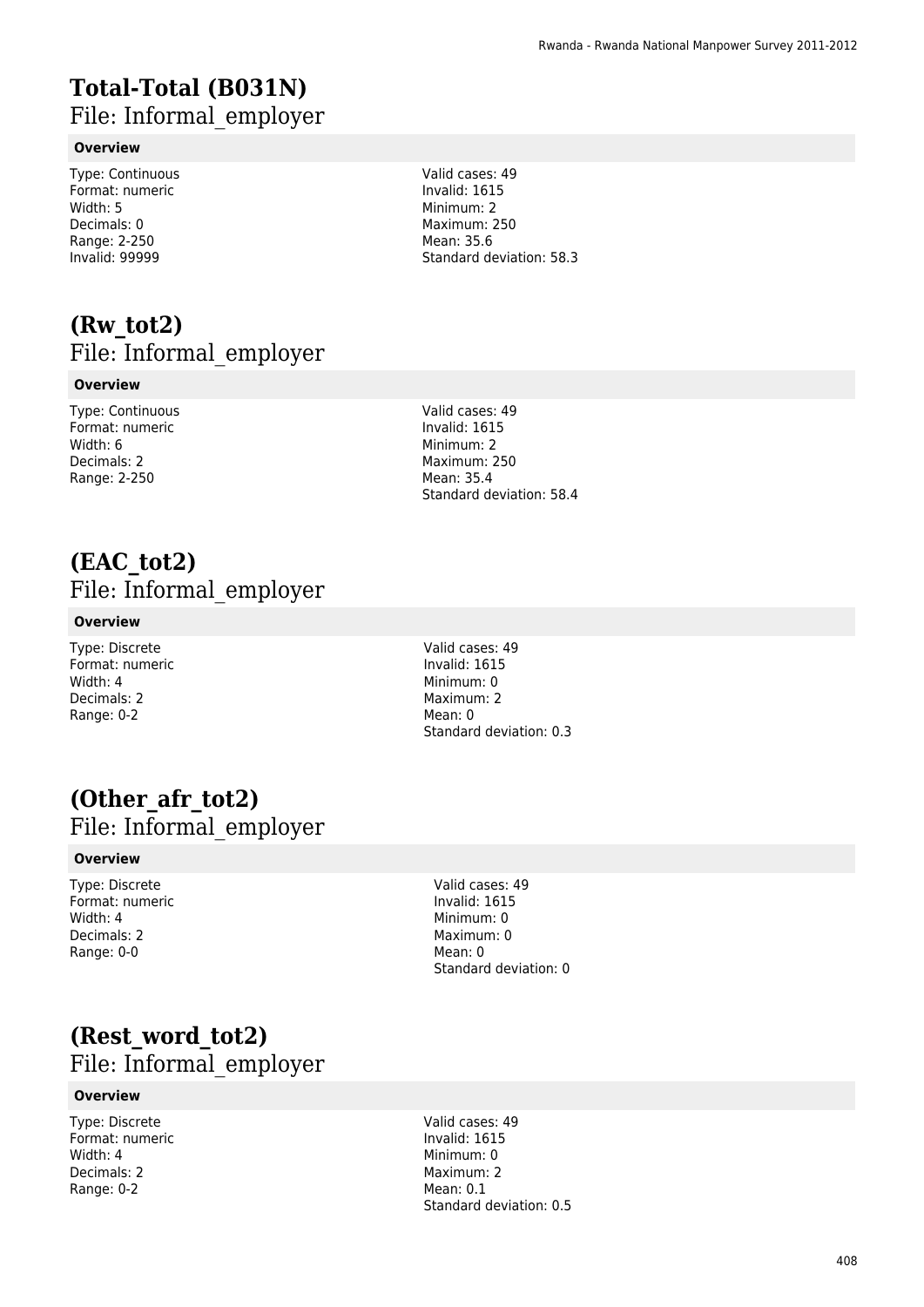### **Total-Total (B031N)**  File: Informal\_employer

#### **Overview**

Type: Continuous Format: numeric Width: 5 Decimals: 0 Range: 2-250 Invalid: 99999

Valid cases: 49 Invalid: 1615 Minimum: 2 Maximum: 250 Mean: 35.6 Standard deviation: 58.3

### **(Rw\_tot2)**  File: Informal\_employer

### **Overview**

Type: Continuous Format: numeric Width: 6 Decimals: 2 Range: 2-250

Valid cases: 49 Invalid: 1615 Minimum: 2 Maximum: 250 Mean: 35.4 Standard deviation: 58.4

### **(EAC\_tot2)**  File: Informal\_employer

#### **Overview**

Type: Discrete Format: numeric Width: 4 Decimals: 2 Range: 0-2

Valid cases: 49 Invalid: 1615 Minimum: 0 Maximum: 2 Mean: 0 Standard deviation: 0.3

### **(Other\_afr\_tot2)**  File: Informal\_employer

#### **Overview**

Type: Discrete Format: numeric Width: 4 Decimals: 2 Range: 0-0

Valid cases: 49 Invalid: 1615 Minimum: 0 Maximum: 0 Mean: 0 Standard deviation: 0

### **(Rest\_word\_tot2)**  File: Informal\_employer

#### **Overview**

Type: Discrete Format: numeric Width: 4 Decimals: 2 Range: 0-2

Valid cases: 49 Invalid: 1615 Minimum: 0 Maximum: 2 Mean: 0.1 Standard deviation: 0.5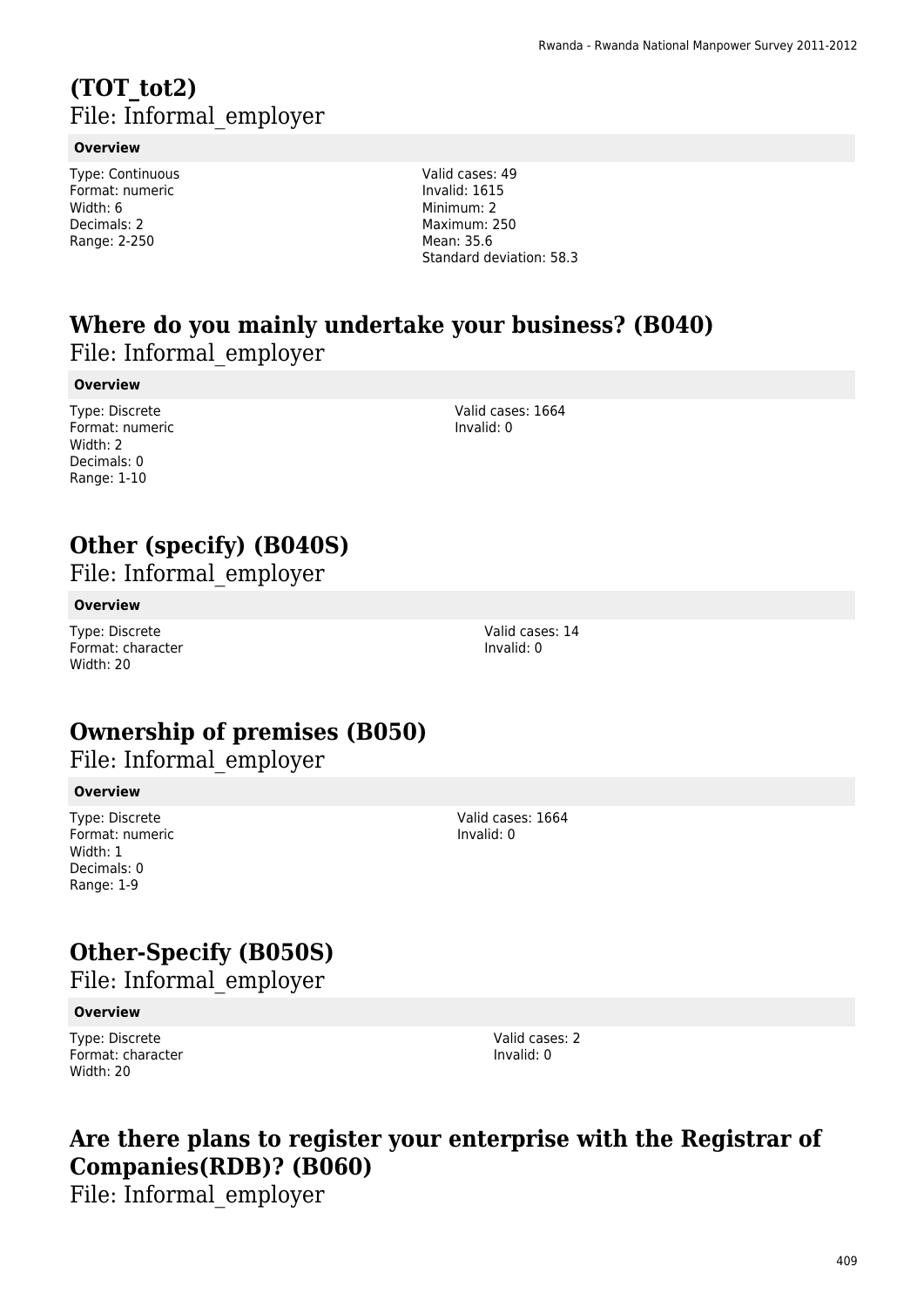## **(TOT\_tot2)**  File: Informal\_employer

#### **Overview**

Type: Continuous Format: numeric Width: 6 Decimals: 2 Range: 2-250

Valid cases: 49 Invalid: 1615 Minimum: 2 Maximum: 250 Mean: 35.6 Standard deviation: 58.3

## **Where do you mainly undertake your business? (B040)**  File: Informal\_employer

#### **Overview**

Type: Discrete Format: numeric Width: 2 Decimals: 0 Range: 1-10

Valid cases: 1664 Invalid: 0

## **Other (specify) (B040S)**

File: Informal\_employer

#### **Overview**

Type: Discrete Format: character Width: 20

Valid cases: 14 Invalid: 0

## **Ownership of premises (B050)**

File: Informal\_employer

### **Overview**

Type: Discrete Format: numeric Width: 1 Decimals: 0 Range: 1-9

Valid cases: 1664 Invalid: 0

## **Other-Specify (B050S)**

File: Informal\_employer

### **Overview**

Type: Discrete Format: character Width: 20

Valid cases: 2 Invalid: 0

## **Are there plans to register your enterprise with the Registrar of Companies(RDB)? (B060)**

File: Informal\_employer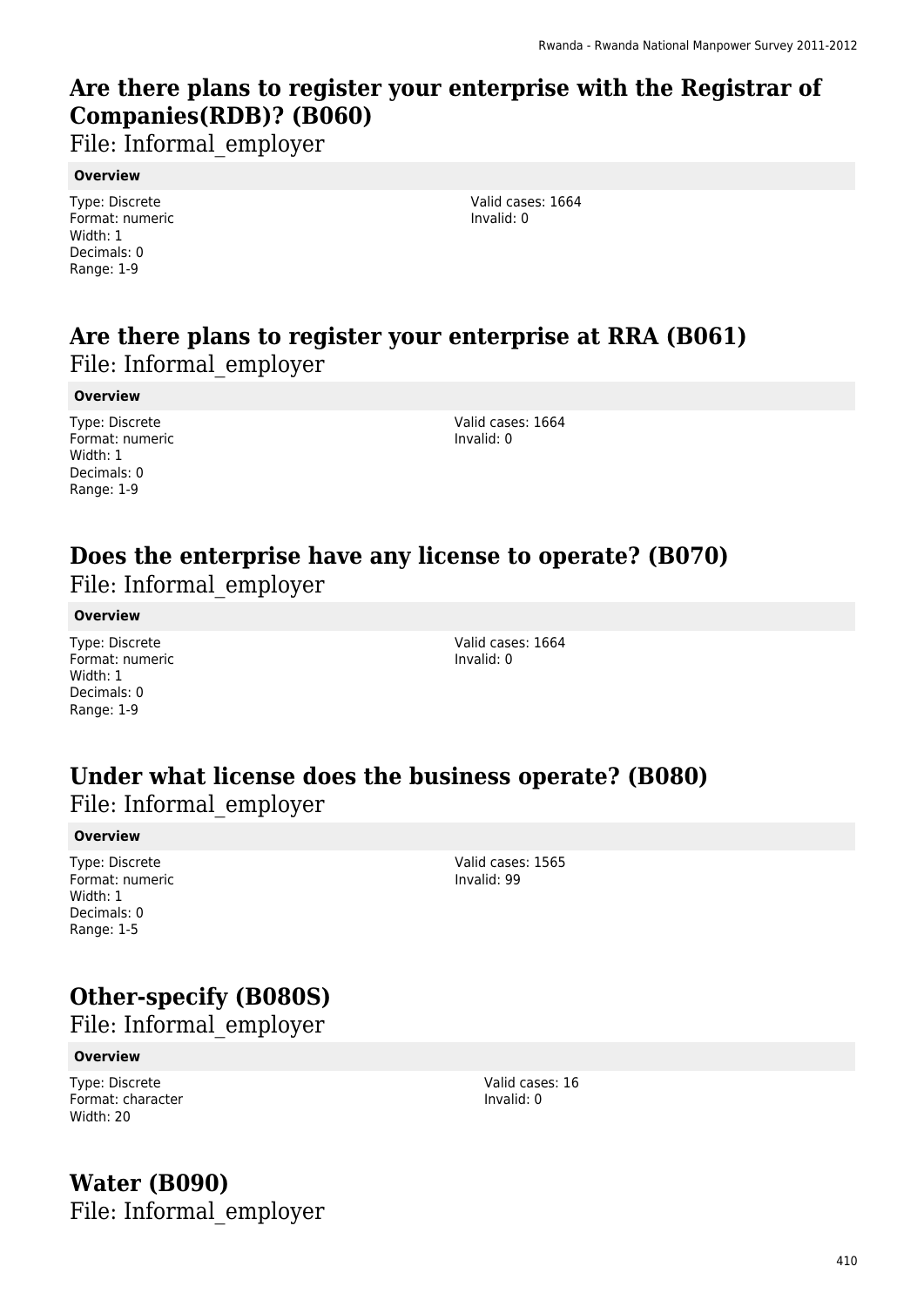## **Are there plans to register your enterprise with the Registrar of Companies(RDB)? (B060)**

File: Informal\_employer

### **Overview**

Type: Discrete Format: numeric Width: 1 Decimals: 0 Range: 1-9

Valid cases: 1664 Invalid: 0

## **Are there plans to register your enterprise at RRA (B061)**  File: Informal\_employer

### **Overview**

Type: Discrete Format: numeric Width: 1 Decimals: 0 Range: 1-9

Valid cases: 1664 Invalid: 0

### **Does the enterprise have any license to operate? (B070)**  File: Informal\_employer

### **Overview**

Type: Discrete Format: numeric Width: 1 Decimals: 0 Range: 1-9

Valid cases: 1664 Invalid: 0

### **Under what license does the business operate? (B080)**  File: Informal\_employer

### **Overview**

Type: Discrete Format: numeric Width: 1 Decimals: 0 Range: 1-5

Valid cases: 1565 Invalid: 99

## **Other-specify (B080S)**

File: Informal\_employer

### **Overview**

Type: Discrete Format: character Width: 20

# **Water (B090)**

File: Informal\_employer

Valid cases: 16 Invalid: 0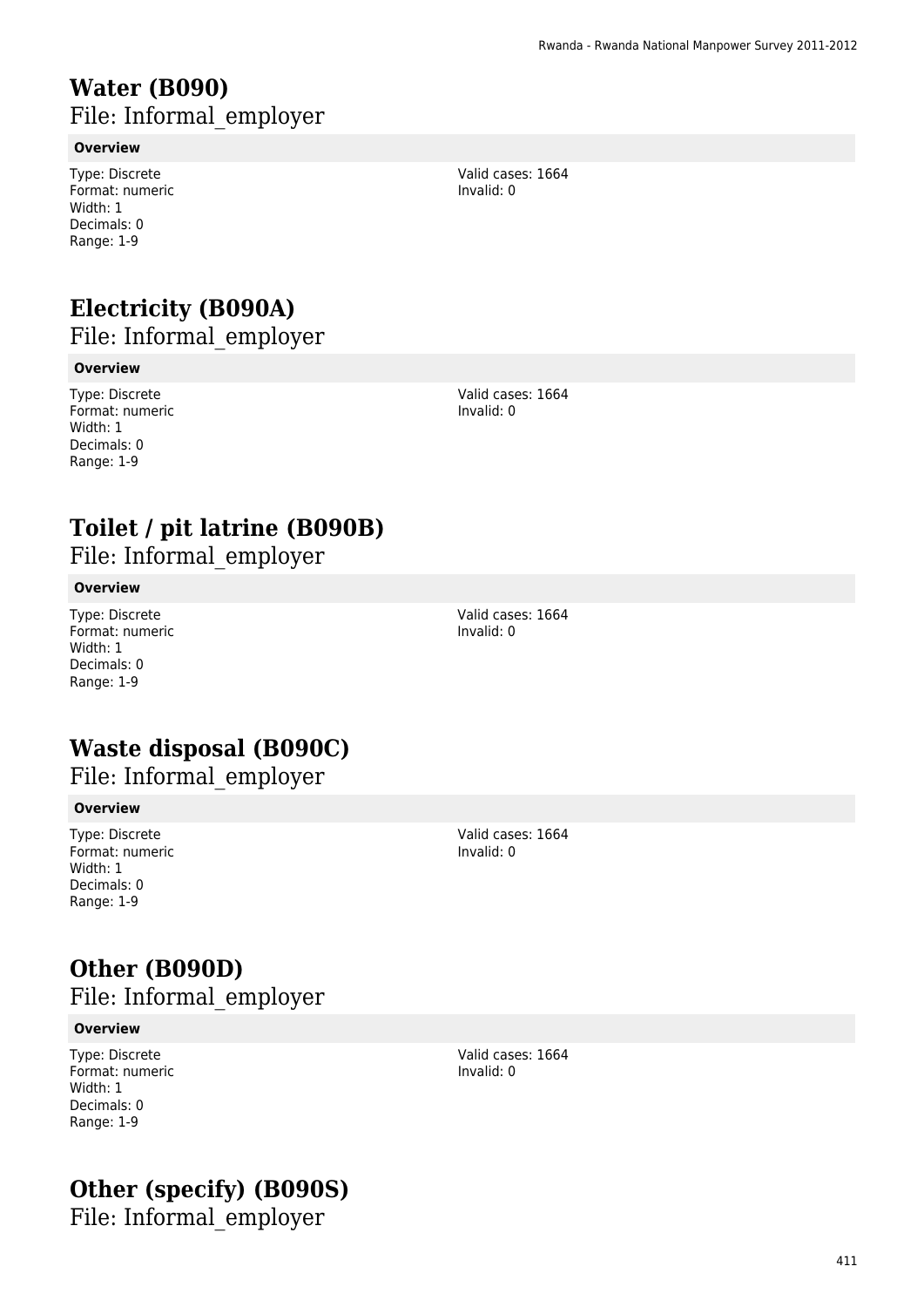### **Water (B090)**  File: Informal\_employer

#### **Overview**

Type: Discrete Format: numeric Width: 1 Decimals: 0 Range: 1-9

## **Electricity (B090A)**

File: Informal\_employer

#### **Overview**

Type: Discrete Format: numeric Width: 1 Decimals: 0 Range: 1-9

Valid cases: 1664 Invalid: 0

Valid cases: 1664 Invalid: 0

## **Toilet / pit latrine (B090B)**

File: Informal\_employer

### **Overview**

Type: Discrete Format: numeric Width: 1 Decimals: 0 Range: 1-9

## **Waste disposal (B090C)**

File: Informal\_employer

### **Overview**

Type: Discrete Format: numeric Width: 1 Decimals: 0 Range: 1-9

#### Valid cases: 1664 Invalid: 0

**Other (B090D)**  File: Informal\_employer

### **Overview**

Type: Discrete Format: numeric Width: 1 Decimals: 0 Range: 1-9

## **Other (specify) (B090S)**

File: Informal\_employer

Valid cases: 1664

Invalid: 0

Valid cases: 1664 Invalid: 0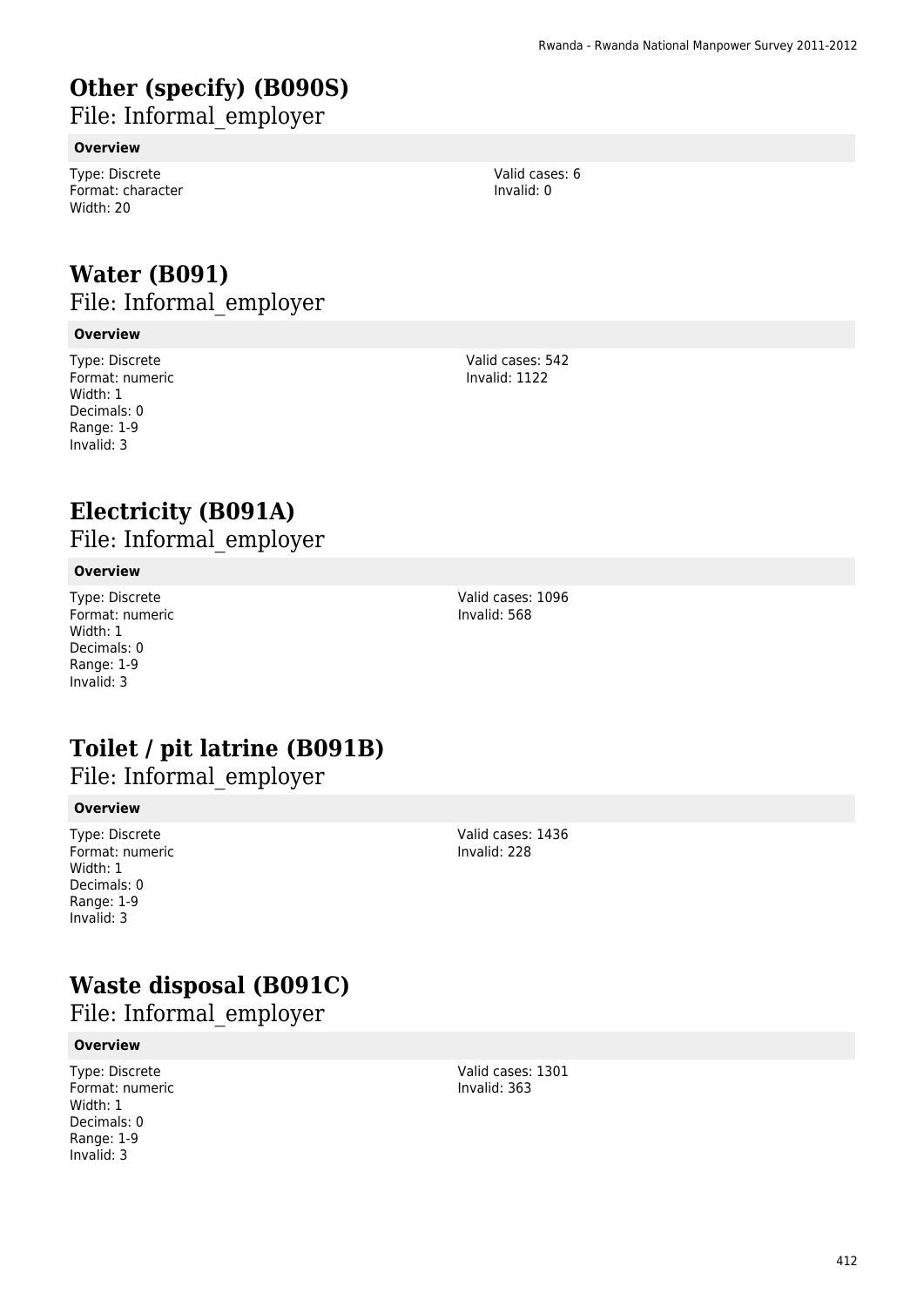## **Other (specify) (B090S)**

File: Informal\_employer

### **Overview**

Type: Discrete Format: character Width: 20

### **Water (B091)**  File: Informal\_employer

### **Overview**

Type: Discrete Format: numeric Width: 1 Decimals: 0 Range: 1-9 Invalid: 3

## Valid cases: 542

**Electricity (B091A)** 

File: Informal\_employer

### **Overview**

Type: Discrete Format: numeric Width: 1 Decimals: 0 Range: 1-9 Invalid: 3

## **Toilet / pit latrine (B091B)**  File: Informal\_employer

#### **Overview**

Type: Discrete Format: numeric Width: 1 Decimals: 0 Range: 1-9 Invalid: 3

## **Waste disposal (B091C)**

File: Informal\_employer

### **Overview**

Type: Discrete Format: numeric Width: 1 Decimals: 0 Range: 1-9 Invalid: 3

Valid cases: 1301

Invalid: 363

Valid cases: 6 Invalid: 0

Invalid: 1122

Valid cases: 1096 Invalid: 568

Valid cases: 1436 Invalid: 228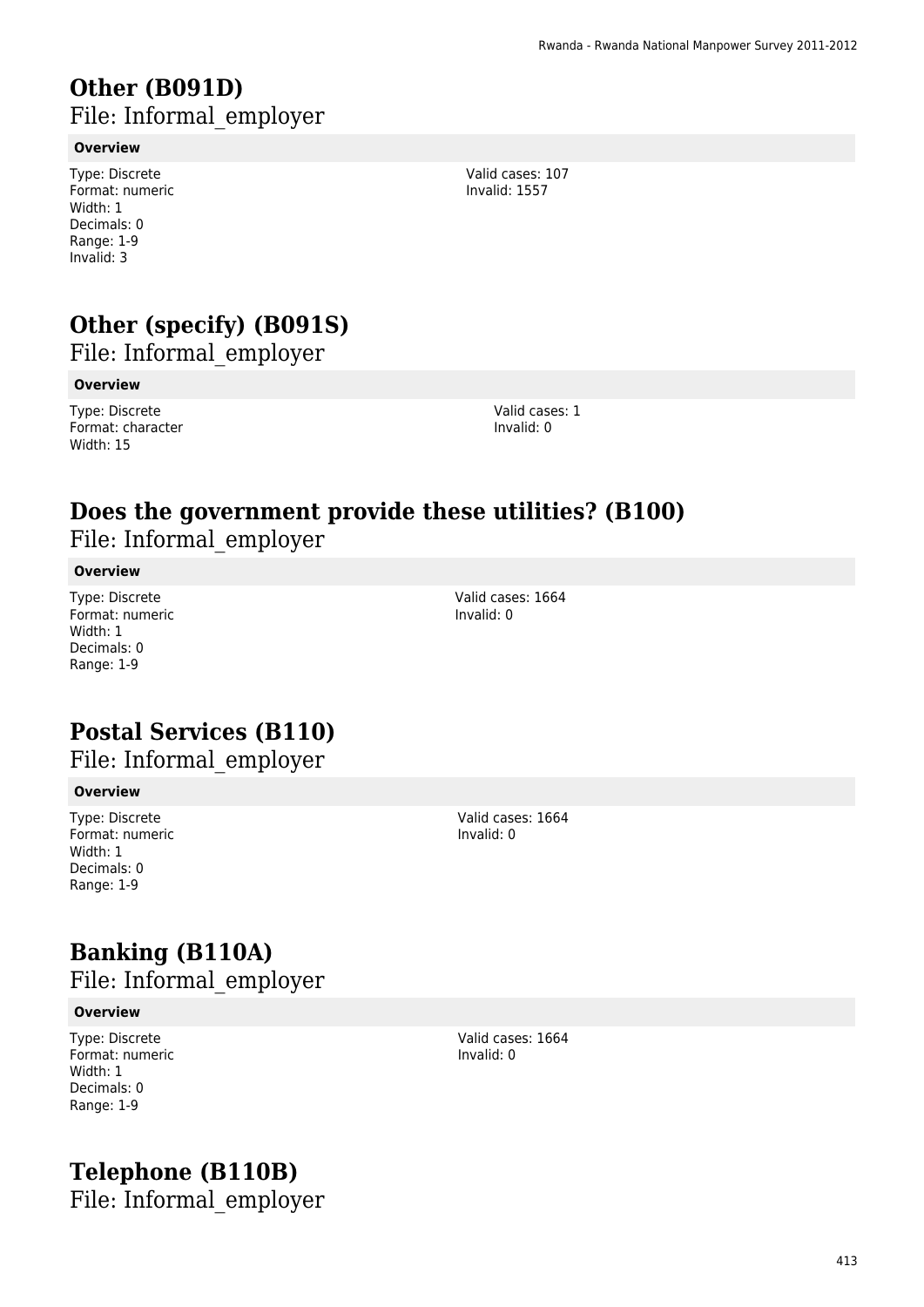## **Other (B091D)**  File: Informal\_employer

### **Overview**

Type: Discrete Format: numeric Width: 1 Decimals: 0 Range: 1-9 Invalid: 3

Valid cases: 107 Invalid: 1557

# **Other (specify) (B091S)**

File: Informal\_employer

### **Overview**

Type: Discrete Format: character Width: 15

Valid cases: 1 Invalid: 0

## **Does the government provide these utilities? (B100)**

File: Informal\_employer

### **Overview**

Type: Discrete Format: numeric Width: 1 Decimals: 0 Range: 1-9

Valid cases: 1664 Invalid: 0

## **Postal Services (B110)**

File: Informal\_employer

### **Overview**

Type: Discrete Format: numeric Width: 1 Decimals: 0 Range: 1-9

Valid cases: 1664 Invalid: 0

## **Banking (B110A)**

File: Informal\_employer

### **Overview**

Type: Discrete Format: numeric Width: 1 Decimals: 0 Range: 1-9

## **Telephone (B110B)**

File: Informal\_employer

Valid cases: 1664 Invalid: 0

413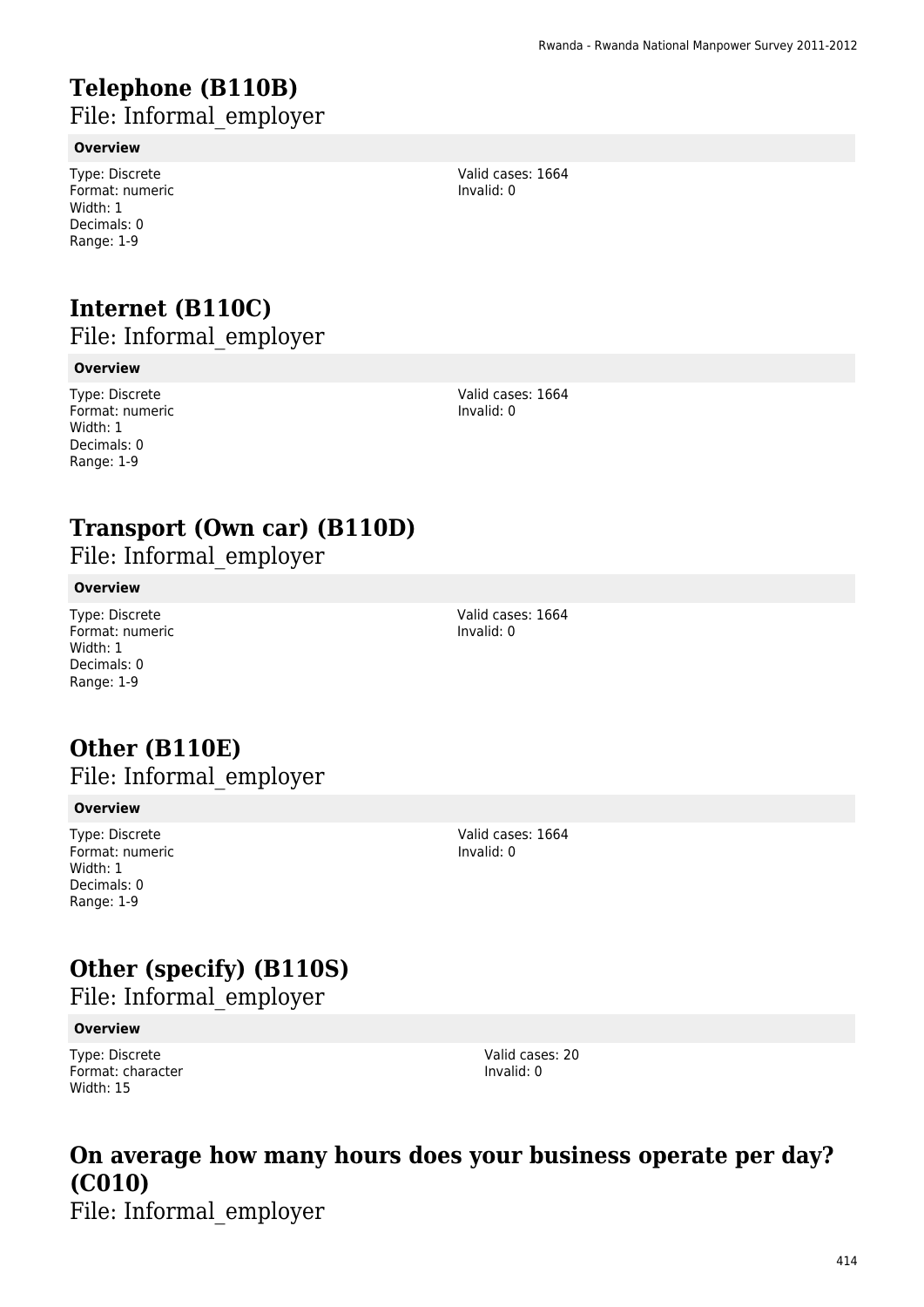# **Telephone (B110B)**

File: Informal\_employer

### **Overview**

Type: Discrete Format: numeric Width: 1 Decimals: 0 Range: 1-9

## **Internet (B110C)**

File: Informal\_employer

### **Overview**

Type: Discrete Format: numeric Width: 1 Decimals: 0 Range: 1-9

Valid cases: 1664 Invalid: 0

Valid cases: 1664

Invalid: 0

## **Transport (Own car) (B110D)**

File: Informal\_employer

### **Overview**

Type: Discrete Format: numeric Width: 1 Decimals: 0 Range: 1-9

Valid cases: 1664 Invalid: 0

### **Other (B110E)**  File: Informal\_employer

### **Overview**

Type: Discrete Format: numeric Width: 1 Decimals: 0 Range: 1-9

Valid cases: 1664 Invalid: 0

## **Other (specify) (B110S)**

File: Informal\_employer

### **Overview**

Type: Discrete Format: character Width: 15

Valid cases: 20 Invalid: 0

## **On average how many hours does your business operate per day? (C010)**

File: Informal\_employer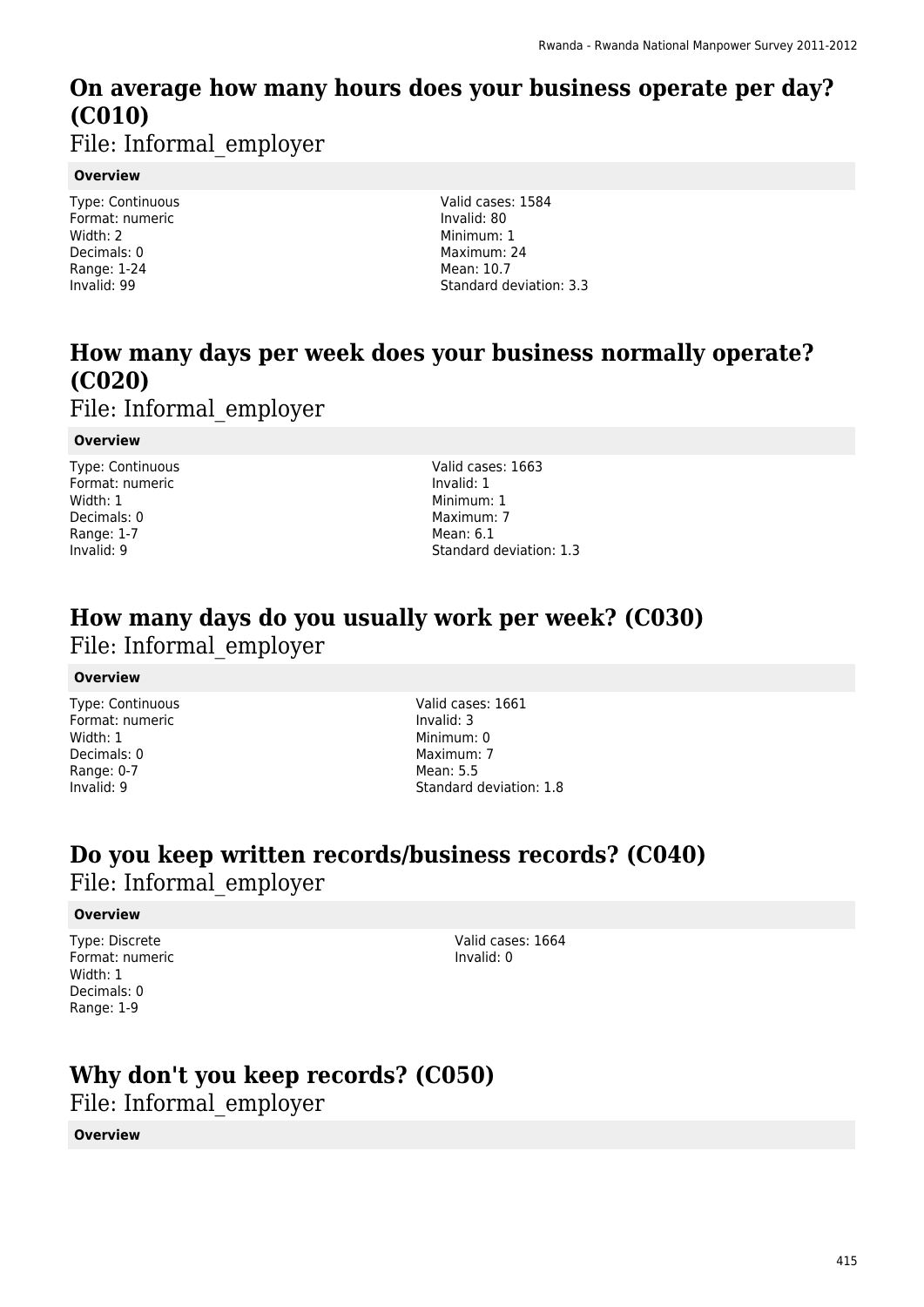## **On average how many hours does your business operate per day? (C010)**

File: Informal\_employer

### **Overview**

Type: Continuous Format: numeric Width: 2 Decimals: 0 Range: 1-24 Invalid: 99

Valid cases: 1584 Invalid: 80 Minimum: 1 Maximum: 24 Mean: 10.7 Standard deviation: 3.3

## **How many days per week does your business normally operate? (C020)**

File: Informal\_employer

### **Overview**

Type: Continuous Format: numeric Width: 1 Decimals: 0 Range: 1-7 Invalid: 9

Valid cases: 1663 Invalid: 1 Minimum: 1 Maximum: 7 Mean: 6.1 Standard deviation: 1.3

### **How many days do you usually work per week? (C030)**  File: Informal\_employer

### **Overview**

Type: Continuous Format: numeric Width: 1 Decimals: 0 Range: 0-7 Invalid: 9

Valid cases: 1661 Invalid: 3 Minimum: 0 Maximum: 7 Mean: 5.5 Standard deviation: 1.8

### **Do you keep written records/business records? (C040)**  File: Informal\_employer

### **Overview**

Type: Discrete Format: numeric Width: 1 Decimals: 0 Range: 1-9

Valid cases: 1664 Invalid: 0

### **Why don't you keep records? (C050)**  File: Informal\_employer

### **Overview**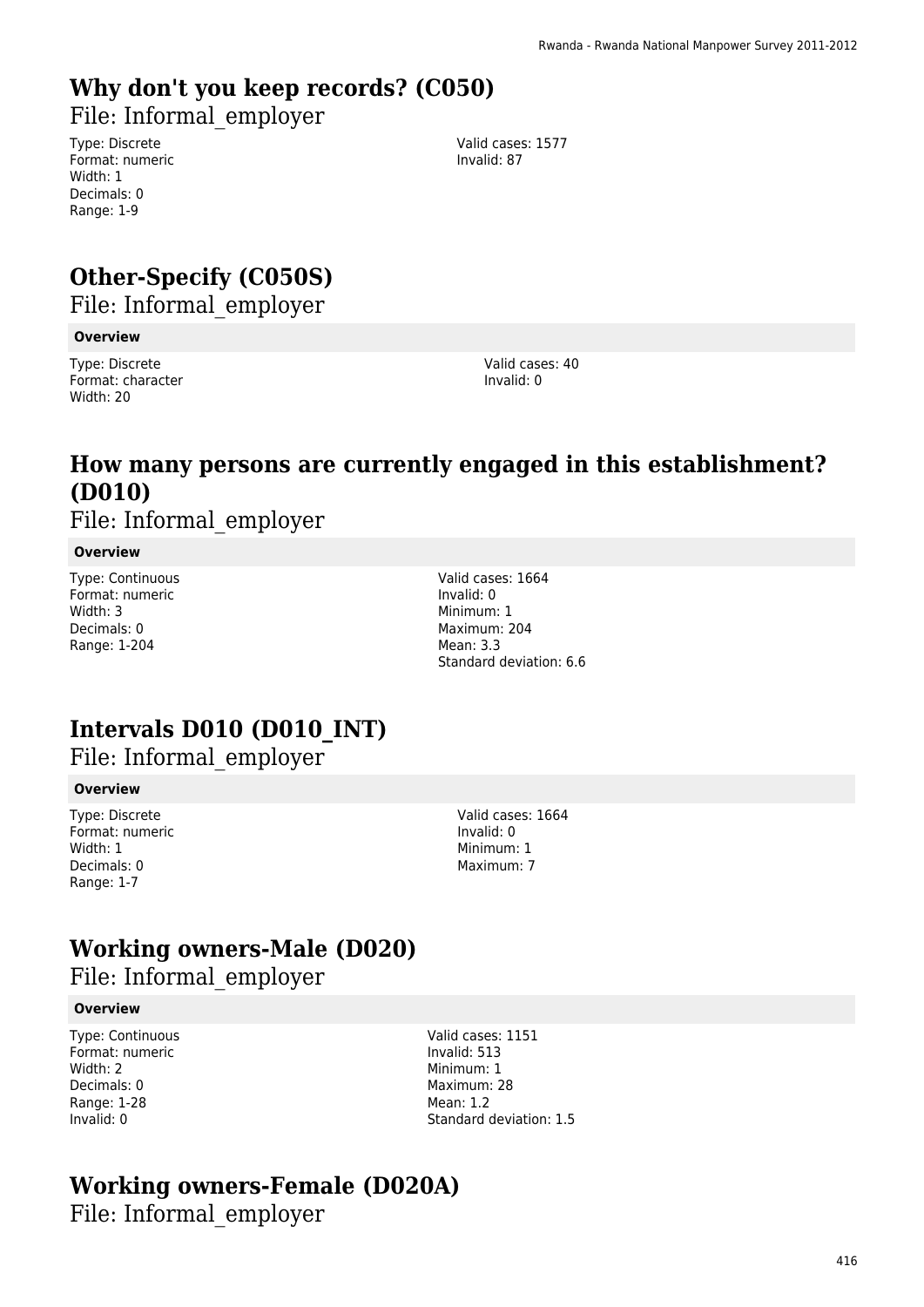## **Why don't you keep records? (C050)**

File: Informal\_employer

Type: Discrete Format: numeric Width: 1 Decimals: 0 Range: 1-9

Valid cases: 1577 Invalid: 87

## **Other-Specify (C050S)**

File: Informal\_employer

#### **Overview**

Type: Discrete Format: character Width: 20

Valid cases: 40 Invalid: 0

## **How many persons are currently engaged in this establishment? (D010)**

File: Informal\_employer

### **Overview**

Type: Continuous Format: numeric Width: 3 Decimals: 0 Range: 1-204

Valid cases: 1664 Invalid: 0 Minimum: 1 Maximum: 204 Mean: 3.3 Standard deviation: 6.6

## **Intervals D010 (D010\_INT)**

### File: Informal\_employer

### **Overview**

Type: Discrete Format: numeric Width: 1 Decimals: 0 Range: 1-7

Valid cases: 1664 Invalid: 0 Minimum: 1 Maximum: 7

## **Working owners-Male (D020)**

File: Informal\_employer

### **Overview**

Type: Continuous Format: numeric Width: 2 Decimals: 0 Range: 1-28 Invalid: 0

Valid cases: 1151 Invalid: 513 Minimum: 1 Maximum: 28 Mean: 1.2 Standard deviation: 1.5

## **Working owners-Female (D020A)**

File: Informal\_employer

416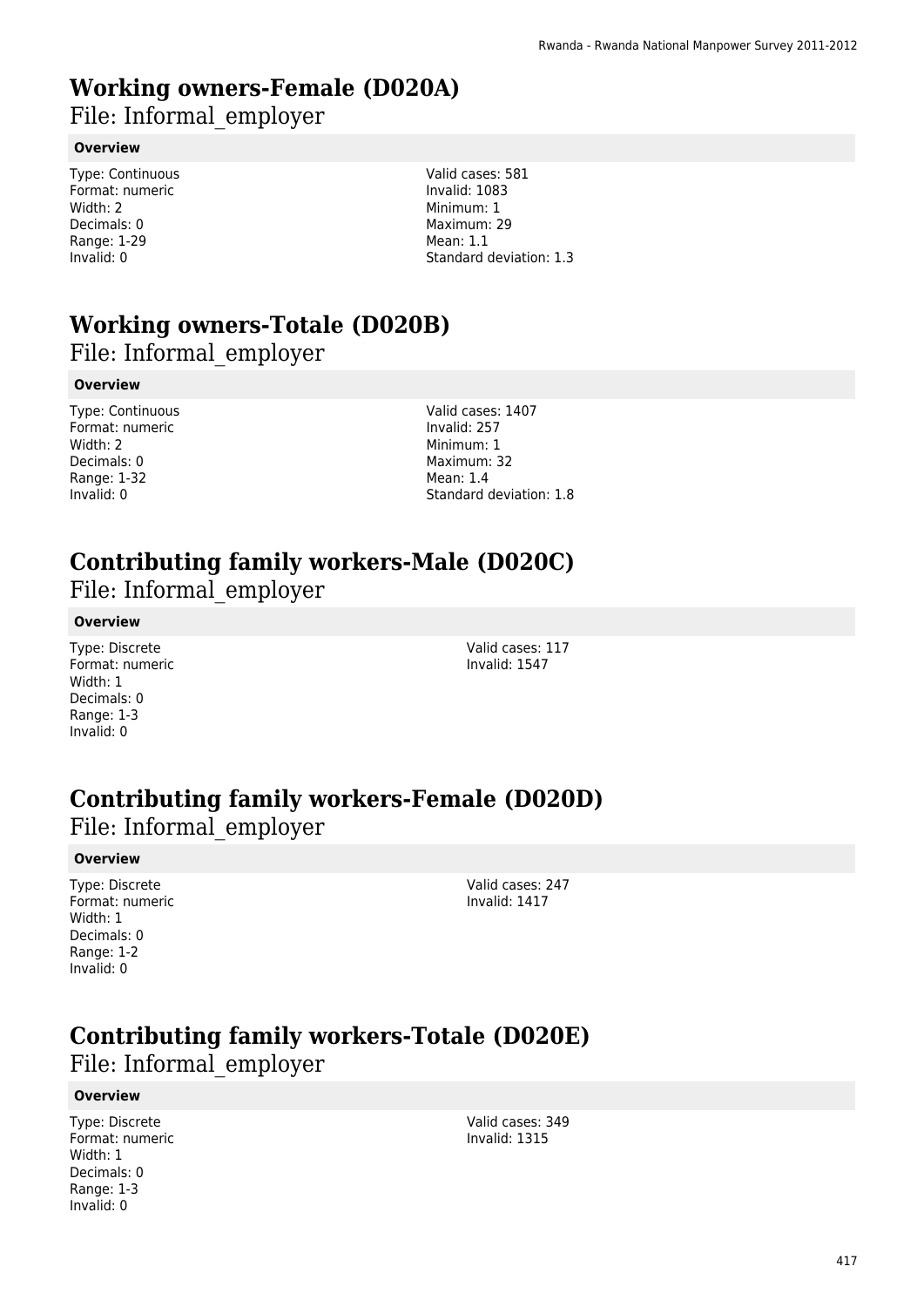# **Working owners-Female (D020A)**

File: Informal\_employer

### **Overview**

Type: Continuous Format: numeric Width: 2 Decimals: 0 Range: 1-29 Invalid: 0

Valid cases: 581 Invalid: 1083 Minimum: 1 Maximum: 29 Mean: 1.1 Standard deviation: 1.3

### **Working owners-Totale (D020B)**  File: Informal\_employer

#### **Overview**

Type: Continuous Format: numeric Width: 2 Decimals: 0 Range: 1-32 Invalid: 0

Valid cases: 1407 Invalid: 257 Minimum: 1 Maximum: 32 Mean: 1.4 Standard deviation: 1.8

## **Contributing family workers-Male (D020C)**

File: Informal\_employer

**Overview**

Type: Discrete Format: numeric Width: 1 Decimals: 0 Range: 1-3 Invalid: 0

Valid cases: 117 Invalid: 1547

### **Contributing family workers-Female (D020D)**  File: Informal\_employer

### **Overview**

Type: Discrete Format: numeric Width: 1 Decimals: 0 Range: 1-2 Invalid: 0

Valid cases: 247 Invalid: 1417

### **Contributing family workers-Totale (D020E)**  File: Informal\_employer

### **Overview**

Type: Discrete Format: numeric Width: 1 Decimals: 0 Range: 1-3 Invalid: 0

Valid cases: 349 Invalid: 1315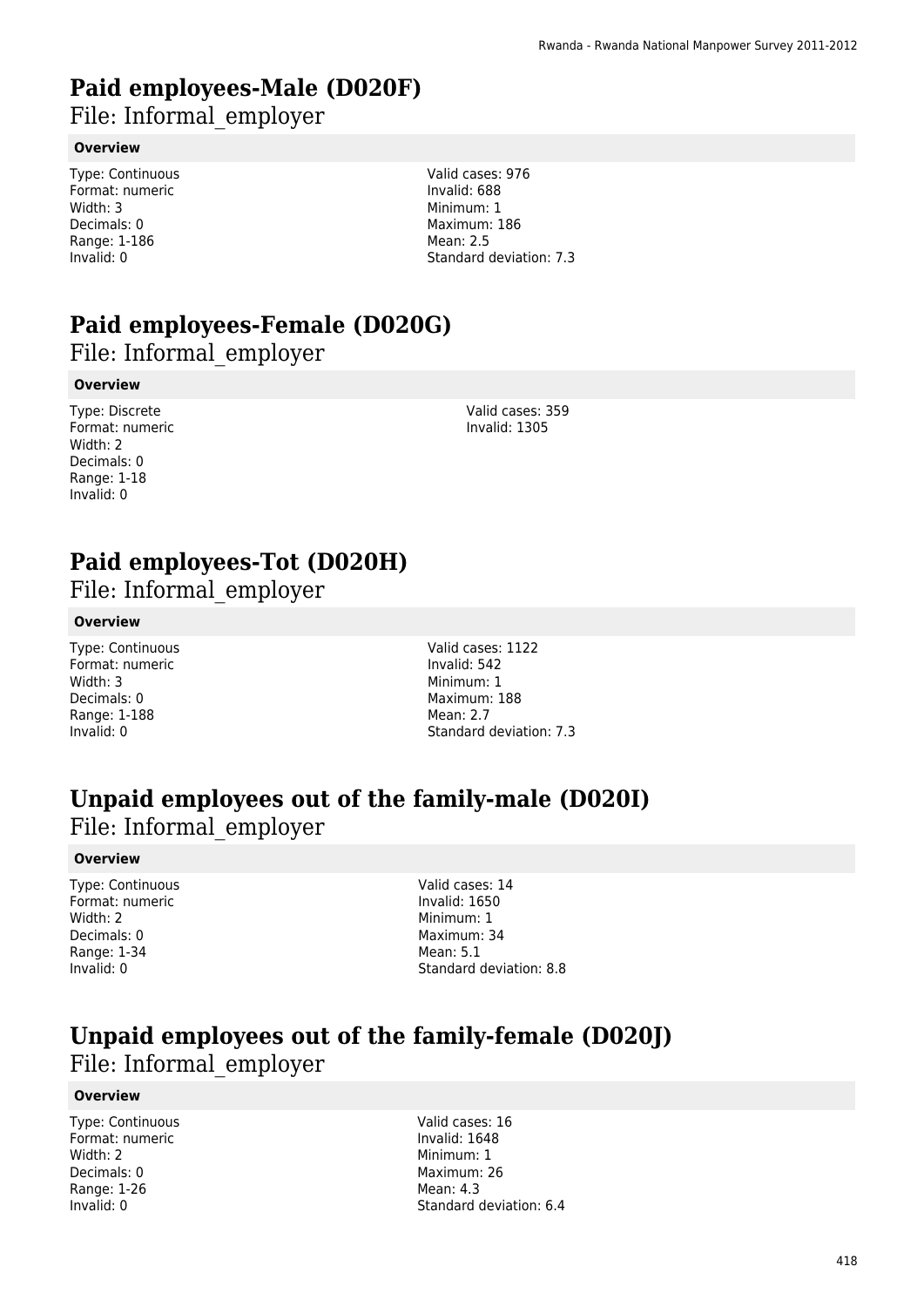## **Paid employees-Male (D020F)**

File: Informal\_employer

### **Overview**

Type: Continuous Format: numeric Width: 3 Decimals: 0 Range: 1-186 Invalid: 0

Valid cases: 976 Invalid: 688 Minimum: 1 Maximum: 186 Mean: 2.5 Standard deviation: 7.3

### **Paid employees-Female (D020G)**  File: Informal\_employer

#### **Overview**

Type: Discrete Format: numeric Width: 2 Decimals: 0 Range: 1-18 Invalid: 0

Valid cases: 359 Invalid: 1305

## **Paid employees-Tot (D020H)**

### File: Informal\_employer

### **Overview**

Type: Continuous Format: numeric Width: 3 Decimals: 0 Range: 1-188 Invalid: 0

Valid cases: 1122 Invalid: 542 Minimum: 1 Maximum: 188 Mean: 2.7 Standard deviation: 7.3

### **Unpaid employees out of the family-male (D020I)**  File: Informal\_employer

### **Overview**

Type: Continuous Format: numeric Width: 2 Decimals: 0 Range: 1-34 Invalid: 0

Valid cases: 14 Invalid: 1650 Minimum: 1 Maximum: 34 Mean: 5.1 Standard deviation: 8.8

## **Unpaid employees out of the family-female (D020J)**  File: Informal\_employer

### **Overview**

Type: Continuous Format: numeric Width: 2 Decimals: 0 Range: 1-26 Invalid: 0

Valid cases: 16 Invalid: 1648 Minimum: 1 Maximum: 26 Mean: 4.3 Standard deviation: 6.4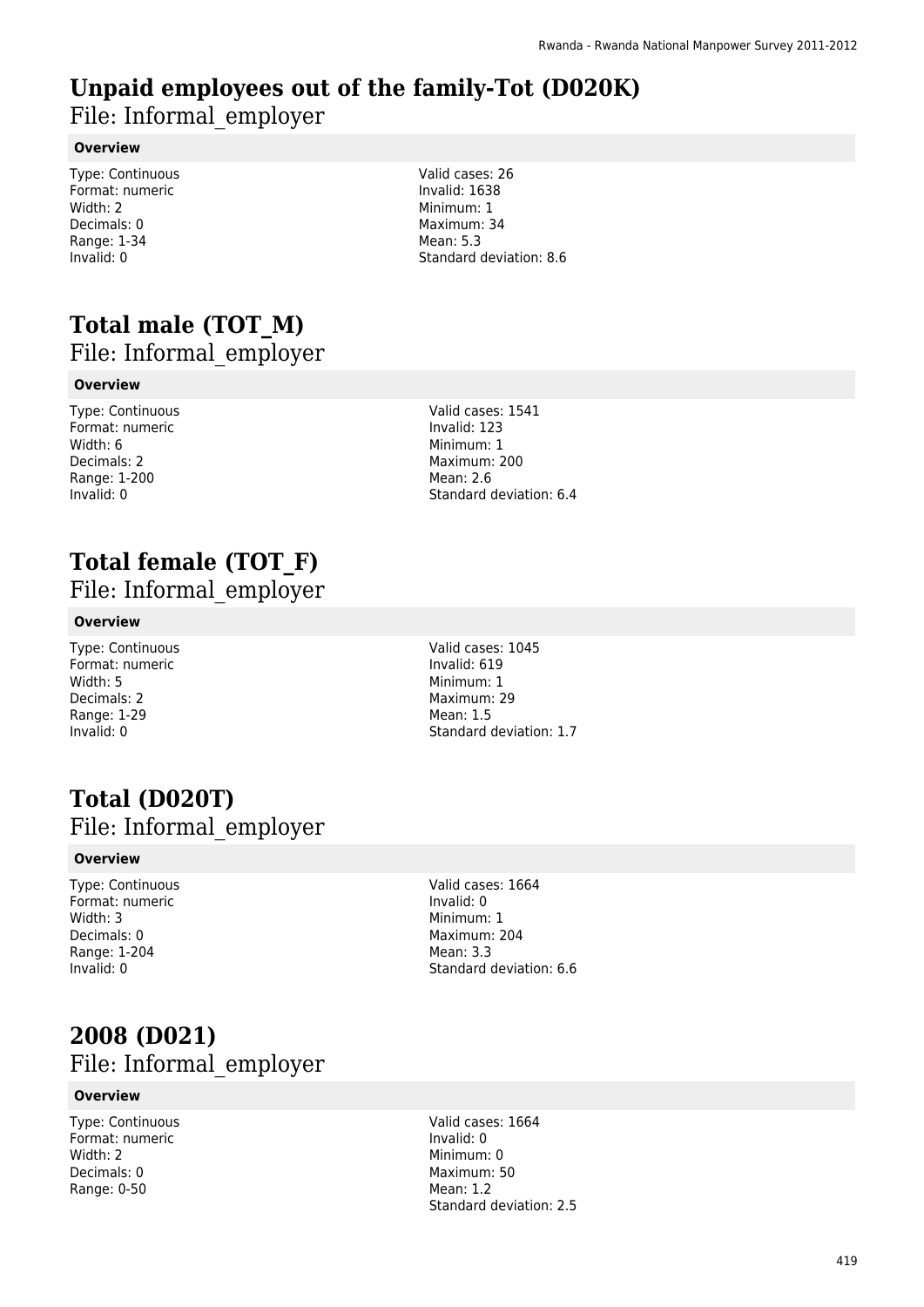### **Unpaid employees out of the family-Tot (D020K)**  File: Informal\_employer

#### **Overview**

Type: Continuous Format: numeric Width: 2 Decimals: 0 Range: 1-34 Invalid: 0

Valid cases: 26 Invalid: 1638 Minimum: 1 Maximum: 34 Mean: 5.3 Standard deviation: 8.6

### **Total male (TOT\_M)**  File: Informal\_employer

#### **Overview**

Type: Continuous Format: numeric Width: 6 Decimals: 2 Range: 1-200 Invalid: 0

Valid cases: 1541 Invalid: 123 Minimum: 1 Maximum: 200 Mean: 2.6 Standard deviation: 6.4

# **Total female (TOT\_F)**

File: Informal\_employer

#### **Overview**

Type: Continuous Format: numeric Width: 5 Decimals: 2 Range: 1-29 Invalid: 0

Valid cases: 1045 Invalid: 619 Minimum: 1 Maximum: 29 Mean: 1.5 Standard deviation: 1.7

## **Total (D020T)**

### File: Informal\_employer

### **Overview**

Type: Continuous Format: numeric Width: 3 Decimals: 0 Range: 1-204 Invalid: 0

Valid cases: 1664 Invalid: 0 Minimum: 1 Maximum: 204 Mean: 3.3 Standard deviation: 6.6

### **2008 (D021)**  File: Informal\_employer

### **Overview**

Type: Continuous Format: numeric Width: 2 Decimals: 0 Range: 0-50

Valid cases: 1664 Invalid: 0 Minimum: 0 Maximum: 50 Mean: 1.2 Standard deviation: 2.5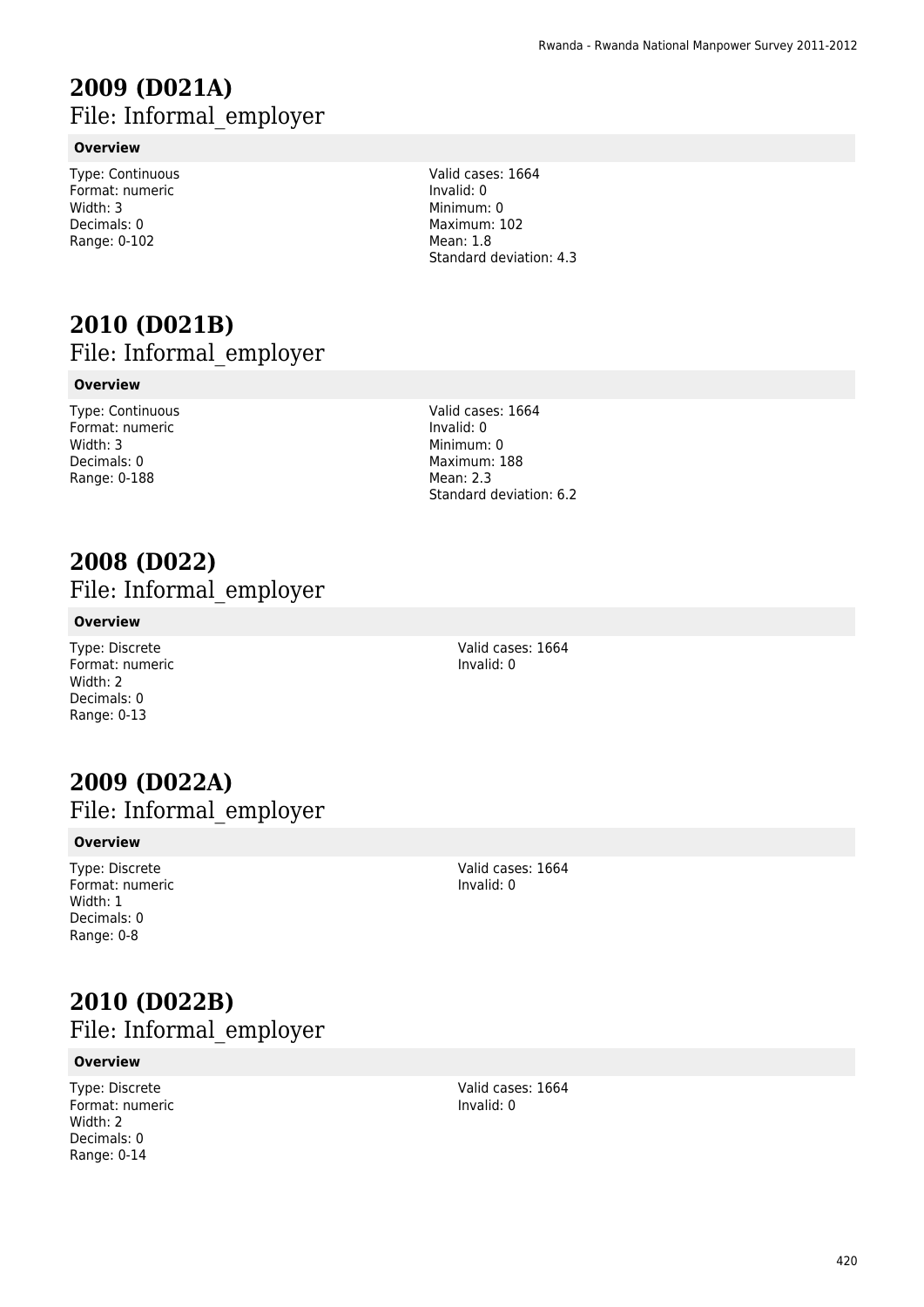## **2009 (D021A)**  File: Informal\_employer

#### **Overview**

Type: Continuous Format: numeric Width: 3 Decimals: 0 Range: 0-102

Valid cases: 1664 Invalid: 0 Minimum: 0 Maximum: 102 Mean: 1.8 Standard deviation: 4.3

### **2010 (D021B)**  File: Informal\_employer

#### **Overview**

Type: Continuous Format: numeric Width: 3 Decimals: 0 Range: 0-188

Valid cases: 1664 Invalid: 0 Minimum: 0 Maximum: 188 Mean: 2.3 Standard deviation: 6.2

### **2008 (D022)**  File: Informal\_employer

#### **Overview**

Type: Discrete Format: numeric Width: 2 Decimals: 0 Range: 0-13

Valid cases: 1664 Invalid: 0

## **2009 (D022A)**

## File: Informal\_employer

### **Overview**

Type: Discrete Format: numeric Width: 1 Decimals: 0 Range: 0-8

Valid cases: 1664 Invalid: 0

### **2010 (D022B)**  File: Informal\_employer

#### **Overview**

Type: Discrete Format: numeric Width: 2 Decimals: 0 Range: 0-14

Valid cases: 1664 Invalid: 0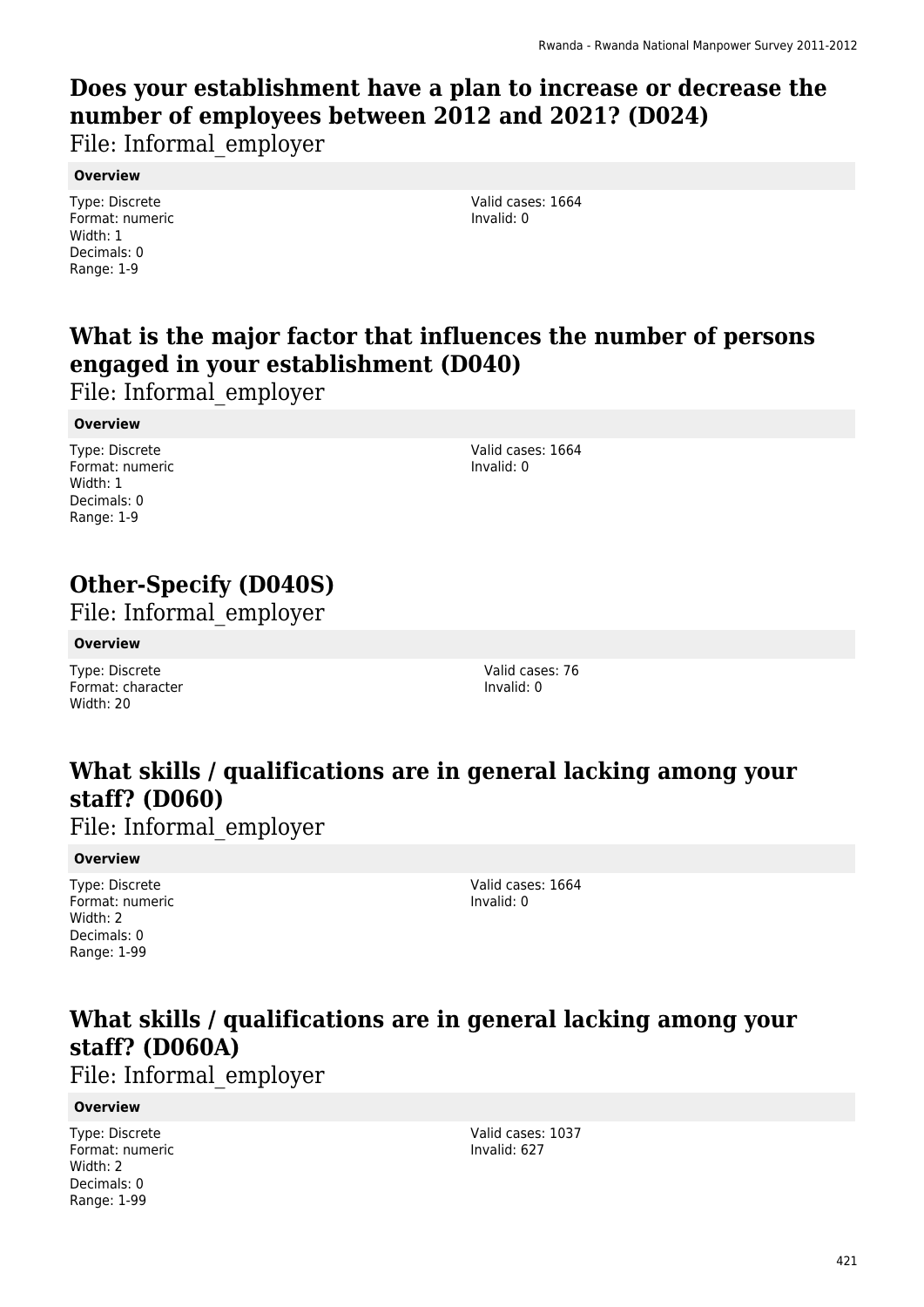## **Does your establishment have a plan to increase or decrease the number of employees between 2012 and 2021? (D024)**

File: Informal\_employer

### **Overview**

Type: Discrete Format: numeric Width: 1 Decimals: 0 Range: 1-9

Valid cases: 1664 Invalid: 0

## **What is the major factor that influences the number of persons engaged in your establishment (D040)**

File: Informal\_employer

### **Overview**

Type: Discrete Format: numeric Width: 1 Decimals: 0 Range: 1-9

Valid cases: 1664 Invalid: 0

## **Other-Specify (D040S)**

File: Informal\_employer

### **Overview**

Type: Discrete Format: character Width: 20

Valid cases: 76 Invalid: 0

## **What skills / qualifications are in general lacking among your staff? (D060)**

File: Informal\_employer

### **Overview**

Type: Discrete Format: numeric Width: 2 Decimals: 0 Range: 1-99

Valid cases: 1664 Invalid: 0

## **What skills / qualifications are in general lacking among your staff? (D060A)**

File: Informal\_employer

### **Overview**

Type: Discrete Format: numeric Width: 2 Decimals: 0 Range: 1-99

Valid cases: 1037 Invalid: 627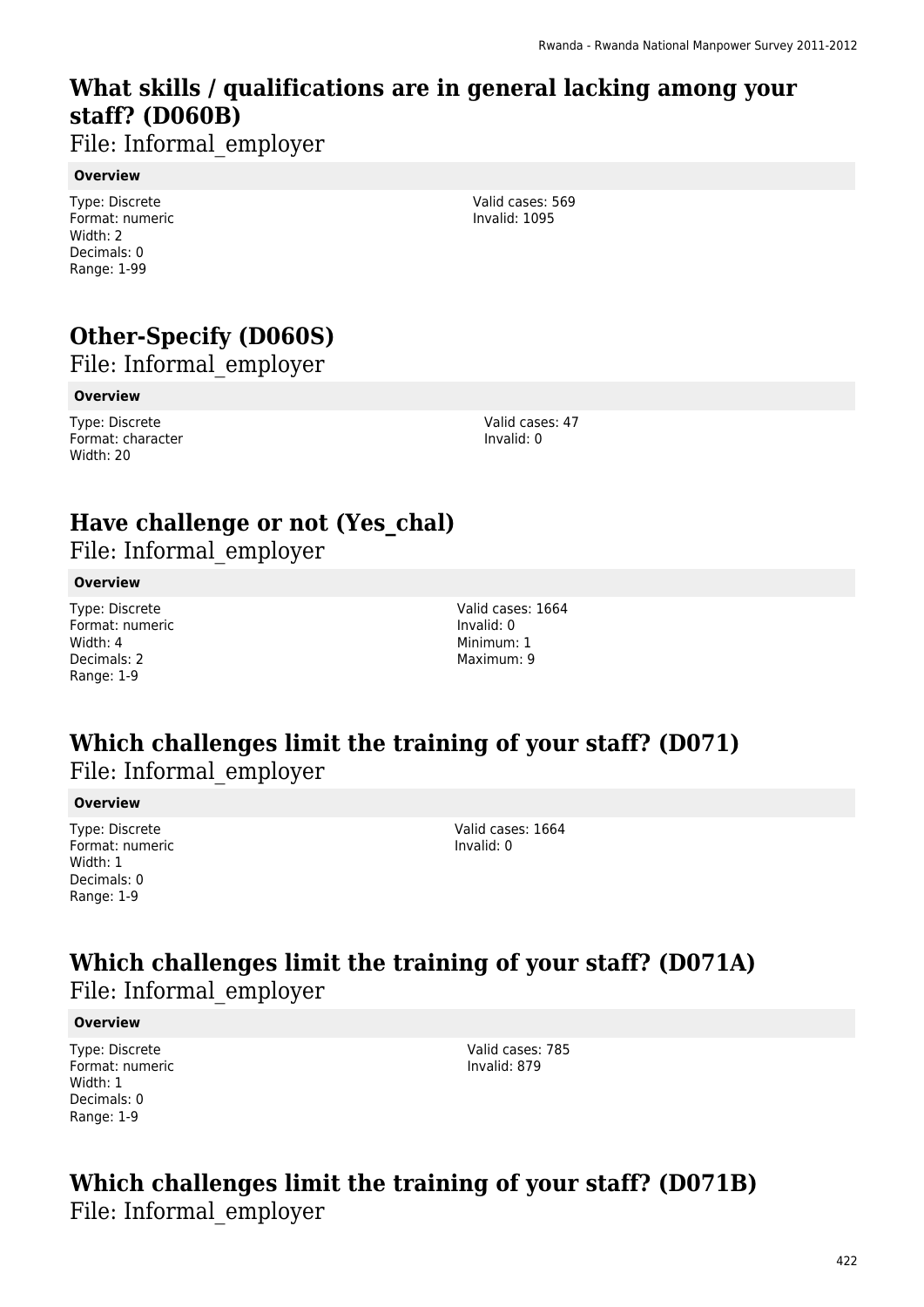## **What skills / qualifications are in general lacking among your staff? (D060B)**

File: Informal\_employer

### **Overview**

Type: Discrete Format: numeric Width: 2 Decimals: 0 Range: 1-99

## **Other-Specify (D060S)**

File: Informal\_employer

### **Overview**

Type: Discrete Format: character Width: 20

Valid cases: 569 Invalid: 1095

> Valid cases: 47 Invalid: 0

# **Have challenge or not (Yes\_chal)**

File: Informal\_employer

### **Overview**

Type: Discrete Format: numeric Width: 4 Decimals: 2 Range: 1-9

Valid cases: 1664 Invalid: 0 Minimum: 1 Maximum: 9

### **Which challenges limit the training of your staff? (D071)**  File: Informal\_employer

**Overview**

Type: Discrete Format: numeric Width: 1 Decimals: 0 Range: 1-9

Valid cases: 1664 Invalid: 0

## **Which challenges limit the training of your staff? (D071A)**  File: Informal\_employer

### **Overview**

Type: Discrete Format: numeric Width: 1 Decimals: 0 Range: 1-9

Valid cases: 785 Invalid: 879

## **Which challenges limit the training of your staff? (D071B)**  File: Informal\_employer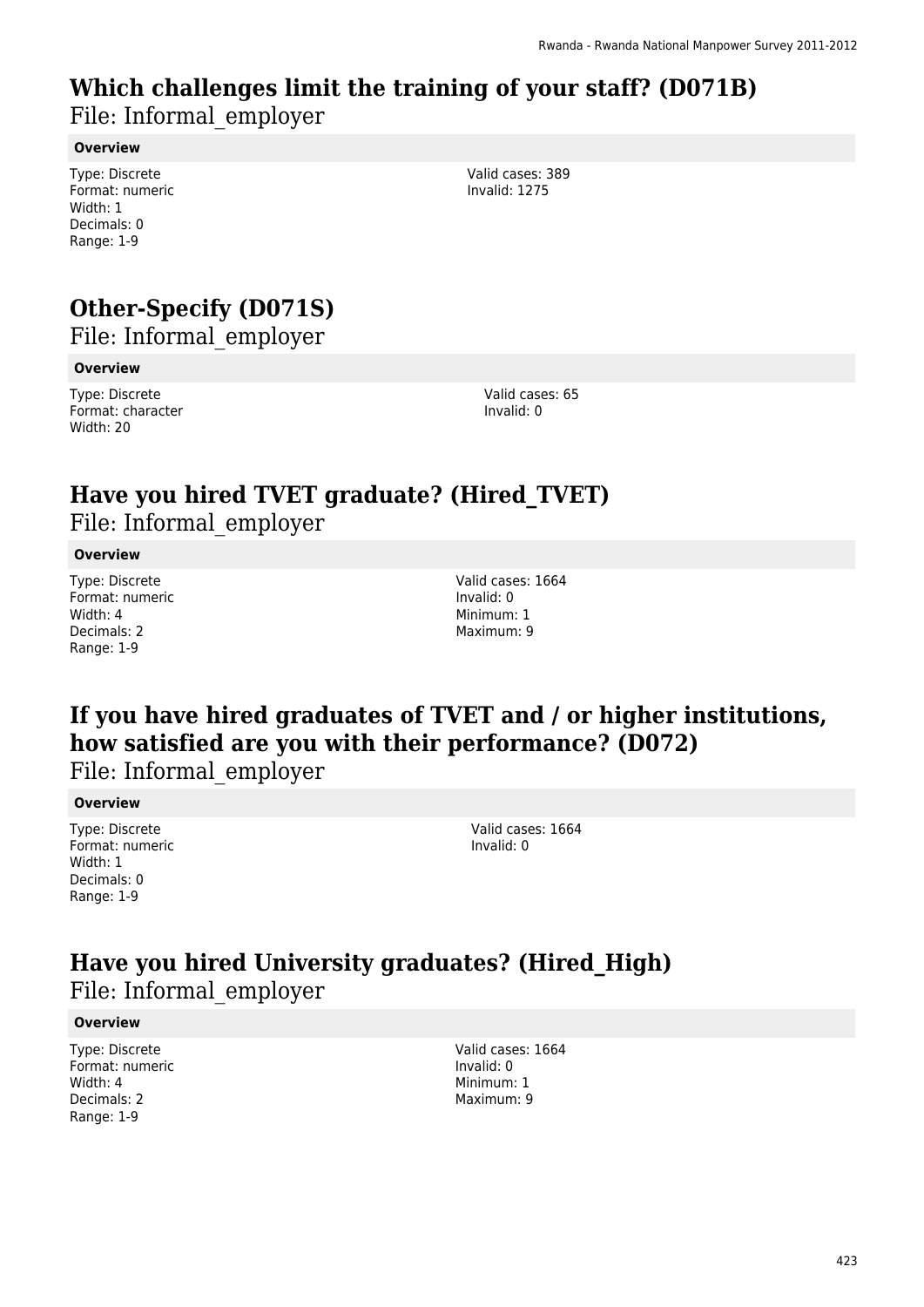## **Which challenges limit the training of your staff? (D071B)**

File: Informal\_employer

### **Overview**

Type: Discrete Format: numeric Width: 1 Decimals: 0 Range: 1-9

Valid cases: 389 Invalid: 1275

## **Other-Specify (D071S)**

File: Informal\_employer

**Overview**

Type: Discrete Format: character Width: 20

Valid cases: 65 Invalid: 0

## **Have you hired TVET graduate? (Hired\_TVET)**  File: Informal\_employer

#### **Overview**

Type: Discrete Format: numeric Width: 4 Decimals: 2 Range: 1-9

Valid cases: 1664 Invalid: 0 Minimum: 1 Maximum: 9

## **If you have hired graduates of TVET and / or higher institutions, how satisfied are you with their performance? (D072)**

File: Informal\_employer

**Overview**

Type: Discrete Format: numeric Width: 1 Decimals: 0 Range: 1-9

Valid cases: 1664 Invalid: 0

## **Have you hired University graduates? (Hired\_High)**  File: Informal\_employer

### **Overview**

Type: Discrete Format: numeric Width: 4 Decimals: 2 Range: 1-9

Valid cases: 1664 Invalid: 0 Minimum: 1 Maximum: 9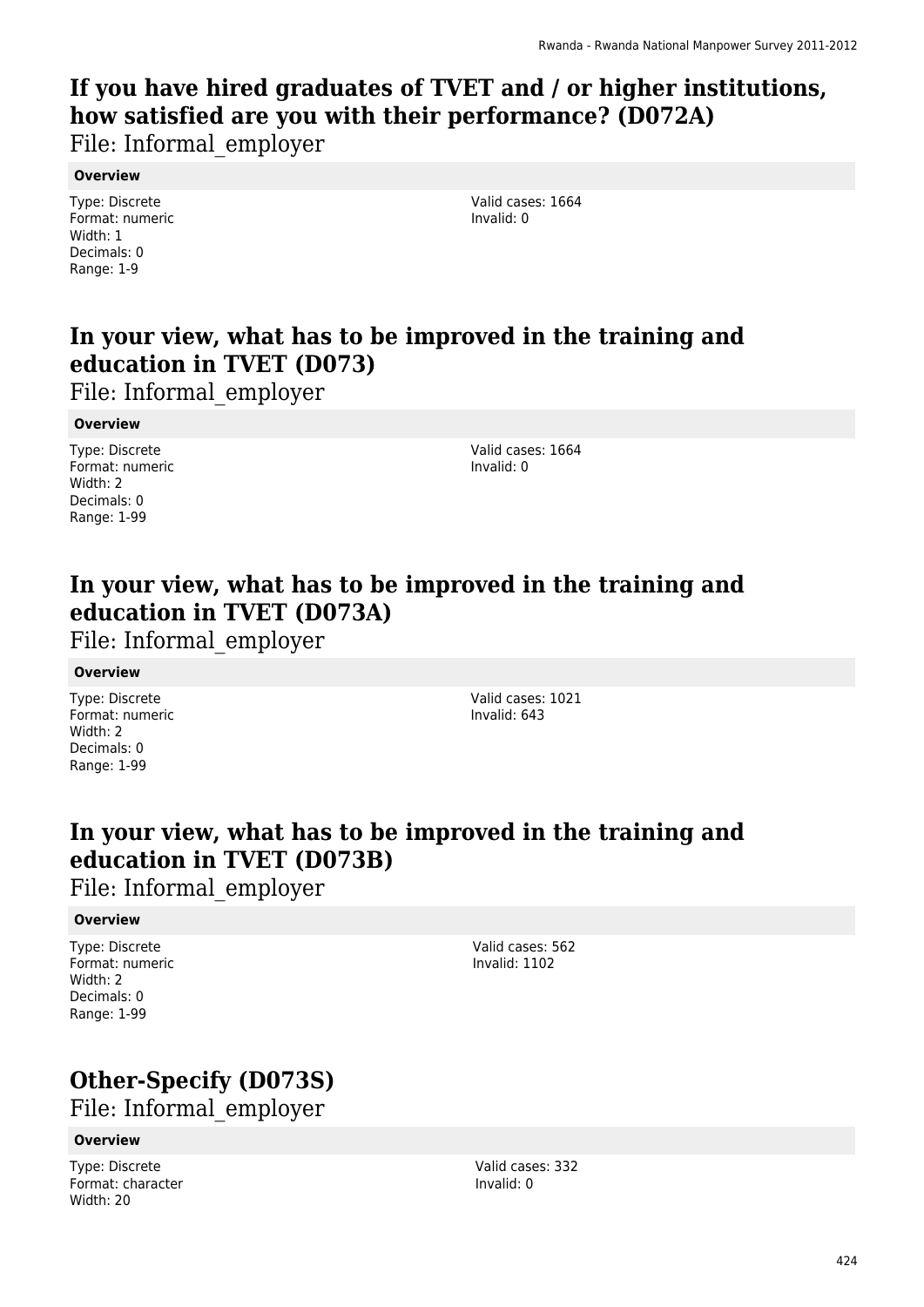## **If you have hired graduates of TVET and / or higher institutions, how satisfied are you with their performance? (D072A)**

File: Informal\_employer

### **Overview**

Type: Discrete Format: numeric Width: 1 Decimals: 0 Range: 1-9

Valid cases: 1664 Invalid: 0

## **In your view, what has to be improved in the training and education in TVET (D073)**

File: Informal\_employer

### **Overview**

Type: Discrete Format: numeric Width: 2 Decimals: 0 Range: 1-99

Valid cases: 1664 Invalid: 0

## **In your view, what has to be improved in the training and education in TVET (D073A)**

File: Informal\_employer

### **Overview**

Type: Discrete Format: numeric Width: 2 Decimals: 0 Range: 1-99

Valid cases: 1021 Invalid: 643

## **In your view, what has to be improved in the training and education in TVET (D073B)**

File: Informal\_employer

### **Overview**

Type: Discrete Format: numeric Width: 2 Decimals: 0 Range: 1-99

Valid cases: 562 Invalid: 1102

## **Other-Specify (D073S)**

File: Informal\_employer

### **Overview**

Type: Discrete Format: character Width: 20

Valid cases: 332 Invalid: 0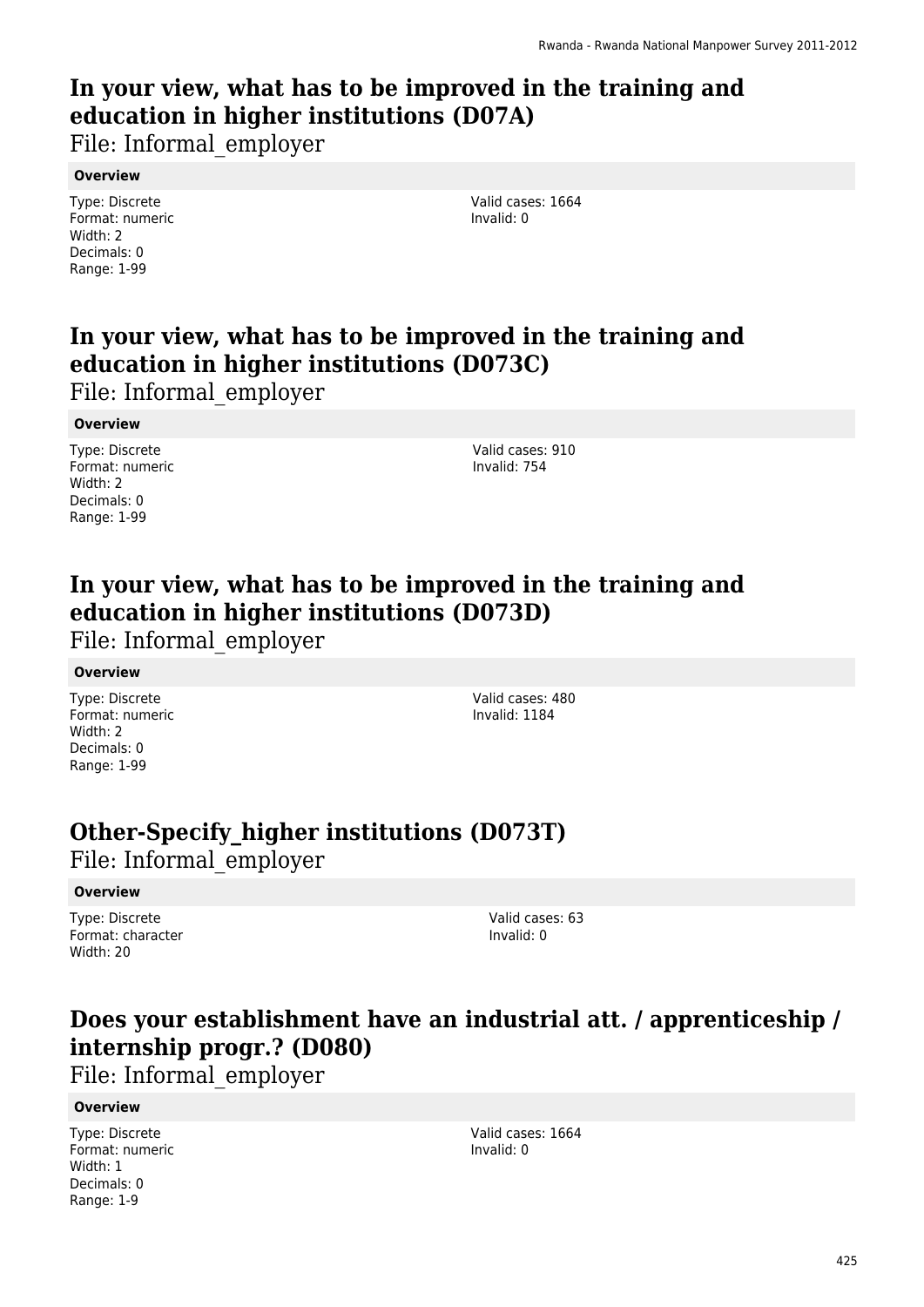## **In your view, what has to be improved in the training and education in higher institutions (D07A)**

File: Informal\_employer

### **Overview**

Type: Discrete Format: numeric Width: 2 Decimals: 0 Range: 1-99

Valid cases: 1664 Invalid: 0

## **In your view, what has to be improved in the training and education in higher institutions (D073C)**

File: Informal\_employer

### **Overview**

Type: Discrete Format: numeric Width: 2 Decimals: 0 Range: 1-99

Valid cases: 910 Invalid: 754

## **In your view, what has to be improved in the training and education in higher institutions (D073D)**

File: Informal\_employer

### **Overview**

Type: Discrete Format: numeric Width: 2 Decimals: 0 Range: 1-99

Valid cases: 480 Invalid: 1184

## **Other-Specify\_higher institutions (D073T)**

File: Informal\_employer

### **Overview**

Type: Discrete Format: character Width: 20

Valid cases: 63 Invalid: 0

### **Does your establishment have an industrial att. / apprenticeship / internship progr.? (D080)**

File: Informal\_employer

### **Overview**

Type: Discrete Format: numeric Width: 1 Decimals: 0 Range: 1-9

Valid cases: 1664 Invalid: 0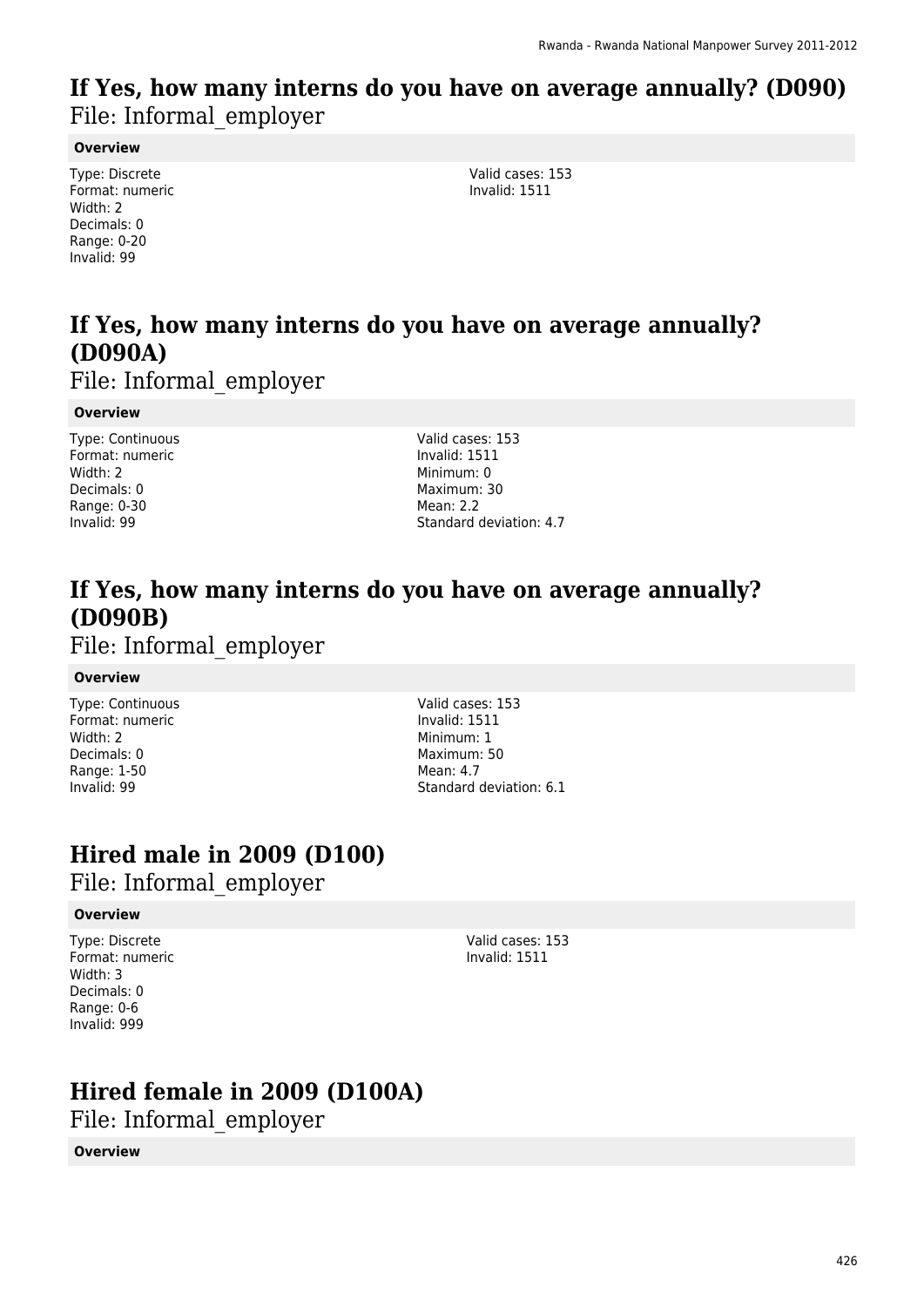### **If Yes, how many interns do you have on average annually? (D090)**  File: Informal\_employer

### **Overview**

Type: Discrete Format: numeric Width: 2 Decimals: 0 Range: 0-20 Invalid: 99

Valid cases: 153 Invalid: 1511

## **If Yes, how many interns do you have on average annually? (D090A)**

File: Informal\_employer

### **Overview**

Type: Continuous Format: numeric Width: 2 Decimals: 0 Range: 0-30 Invalid: 99

Valid cases: 153 Invalid: 1511 Minimum: 0 Maximum: 30 Mean: 2.2 Standard deviation: 4.7

## **If Yes, how many interns do you have on average annually? (D090B)**

File: Informal\_employer

### **Overview**

Type: Continuous Format: numeric Width: 2 Decimals: 0 Range: 1-50 Invalid: 99

Valid cases: 153 Invalid: 1511 Minimum: 1 Maximum: 50 Mean: 4.7 Standard deviation: 6.1

## **Hired male in 2009 (D100)**

File: Informal\_employer

### **Overview**

Type: Discrete Format: numeric Width: 3 Decimals: 0 Range: 0-6 Invalid: 999

Valid cases: 153 Invalid: 1511

## **Hired female in 2009 (D100A)**

File: Informal\_employer

### **Overview**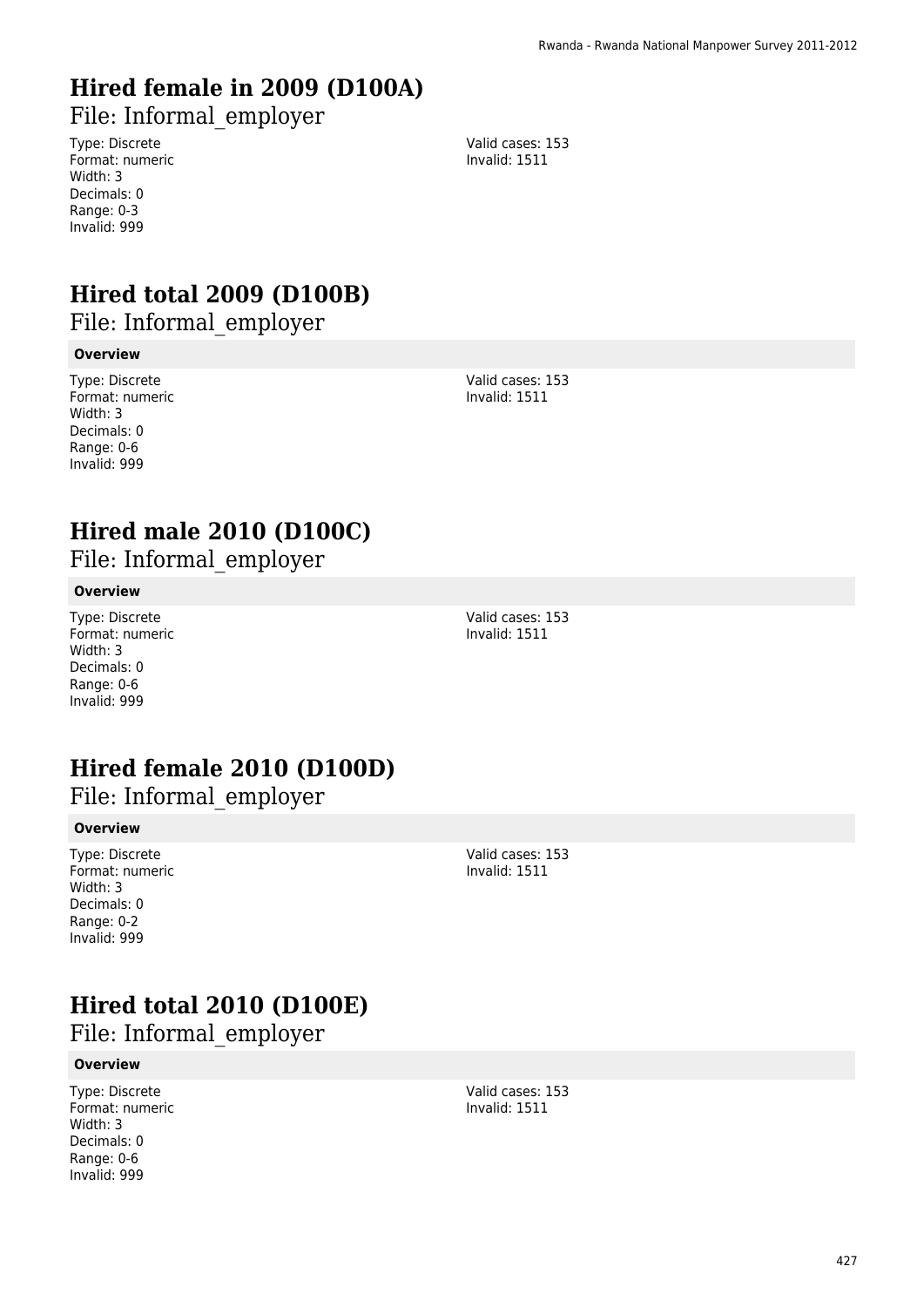## **Hired female in 2009 (D100A)**

File: Informal\_employer

Type: Discrete Format: numeric Width: 3 Decimals: 0 Range: 0-3 Invalid: 999

## **Hired total 2009 (D100B)**

File: Informal\_employer

### **Overview**

Type: Discrete Format: numeric Width: 3 Decimals: 0 Range: 0-6 Invalid: 999

Valid cases: 153 Invalid: 1511

# **Hired male 2010 (D100C)**

File: Informal\_employer

### **Overview**

Type: Discrete Format: numeric Width: 3 Decimals: 0 Range: 0-6 Invalid: 999

## **Hired female 2010 (D100D)**

File: Informal\_employer

### **Overview**

Type: Discrete Format: numeric Width: 3 Decimals: 0 Range: 0-2 Invalid: 999

## **Hired total 2010 (D100E)**

File: Informal\_employer

### **Overview**

Type: Discrete Format: numeric Width: 3 Decimals: 0 Range: 0-6 Invalid: 999

Valid cases: 153 Invalid: 1511

Valid cases: 153 Invalid: 1511

Valid cases: 153 Invalid: 1511

Valid cases: 153 Invalid: 1511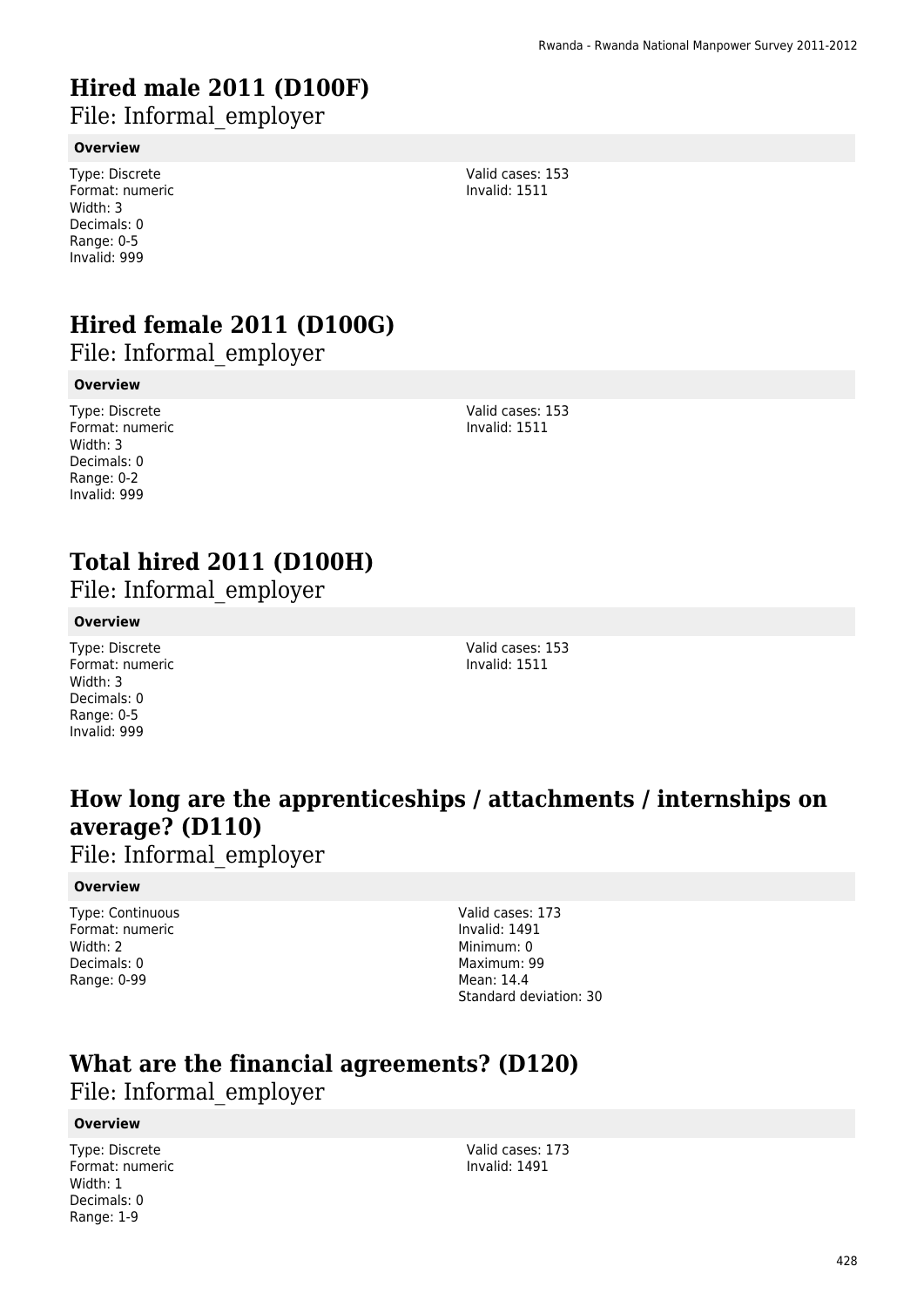## **Hired male 2011 (D100F)**

File: Informal\_employer

#### **Overview**

Type: Discrete Format: numeric Width: 3 Decimals: 0 Range: 0-5 Invalid: 999

## **Hired female 2011 (D100G)**

File: Informal\_employer

#### **Overview**

Type: Discrete Format: numeric Width: 3 Decimals: 0 Range: 0-2 Invalid: 999

#### Valid cases: 153 Invalid: 1511

Valid cases: 153 Invalid: 1511

## **Total hired 2011 (D100H)**

### File: Informal\_employer

#### **Overview**

Type: Discrete Format: numeric Width: 3 Decimals: 0 Range: 0-5 Invalid: 999

Valid cases: 153 Invalid: 1511

## **How long are the apprenticeships / attachments / internships on average? (D110)**

File: Informal\_employer

### **Overview**

Type: Continuous Format: numeric Width: 2 Decimals: 0 Range: 0-99

Valid cases: 173 Invalid: 1491 Minimum: 0 Maximum: 99 Mean: 14.4 Standard deviation: 30

## **What are the financial agreements? (D120)**  File: Informal\_employer

#### **Overview**

Type: Discrete Format: numeric Width: 1 Decimals: 0 Range: 1-9

Valid cases: 173 Invalid: 1491

428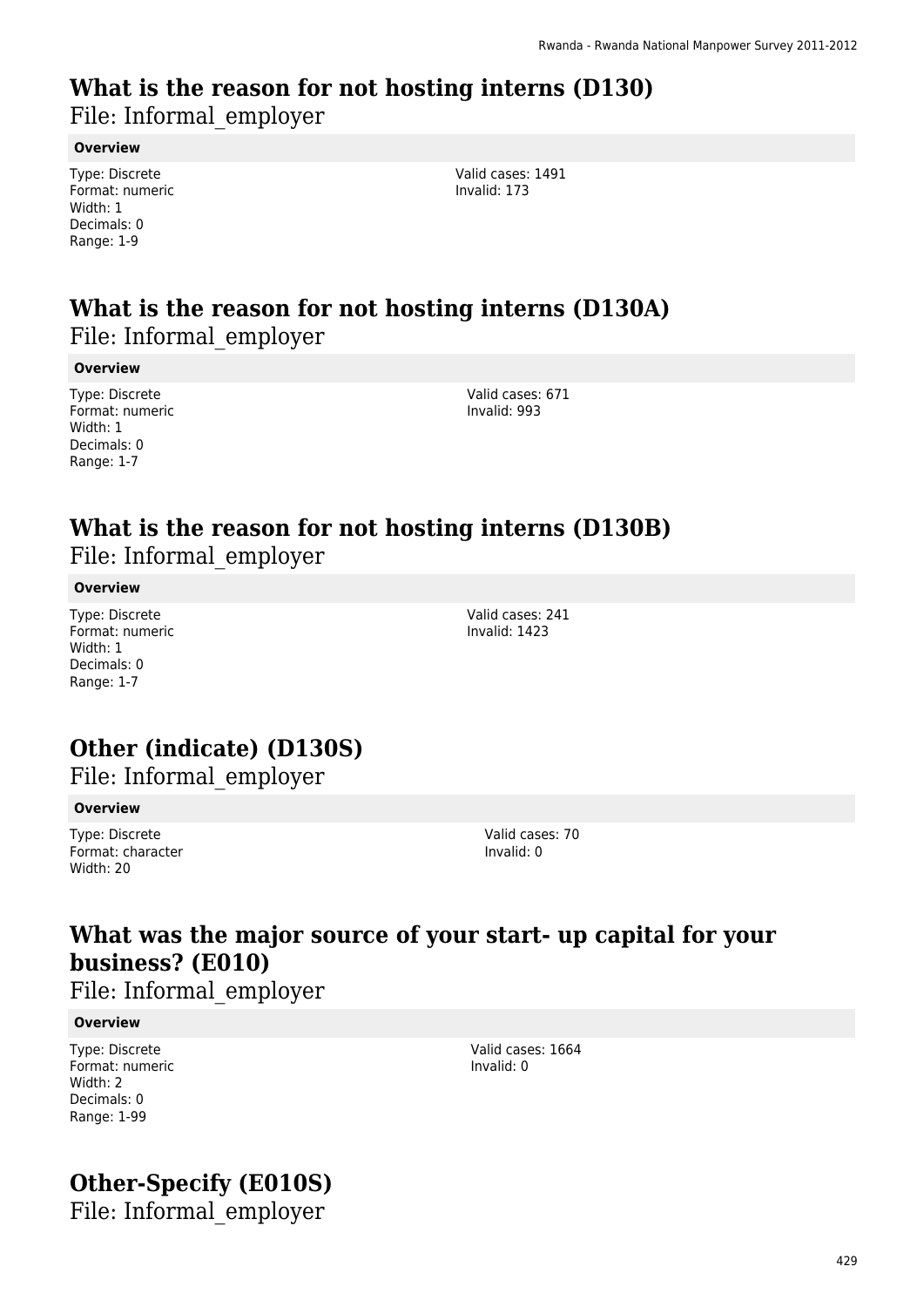## **What is the reason for not hosting interns (D130)**

File: Informal\_employer

### **Overview**

Type: Discrete Format: numeric Width: 1 Decimals: 0 Range: 1-9

Valid cases: 1491 Invalid: 173

# **What is the reason for not hosting interns (D130A)**

File: Informal\_employer

### **Overview**

Type: Discrete Format: numeric Width: 1 Decimals: 0 Range: 1-7

Valid cases: 671 Invalid: 993

### **What is the reason for not hosting interns (D130B)**  File: Informal\_employer

### **Overview**

Type: Discrete Format: numeric Width: 1 Decimals: 0 Range: 1-7

Valid cases: 241 Invalid: 1423

## **Other (indicate) (D130S)**

File: Informal\_employer

### **Overview**

Type: Discrete Format: character Width: 20

Valid cases: 70 Invalid: 0

Valid cases: 1664

Invalid: 0

## **What was the major source of your start- up capital for your business? (E010)**

File: Informal\_employer

### **Overview**

Type: Discrete Format: numeric Width: 2 Decimals: 0 Range: 1-99

# **Other-Specify (E010S)**

File: Informal\_employer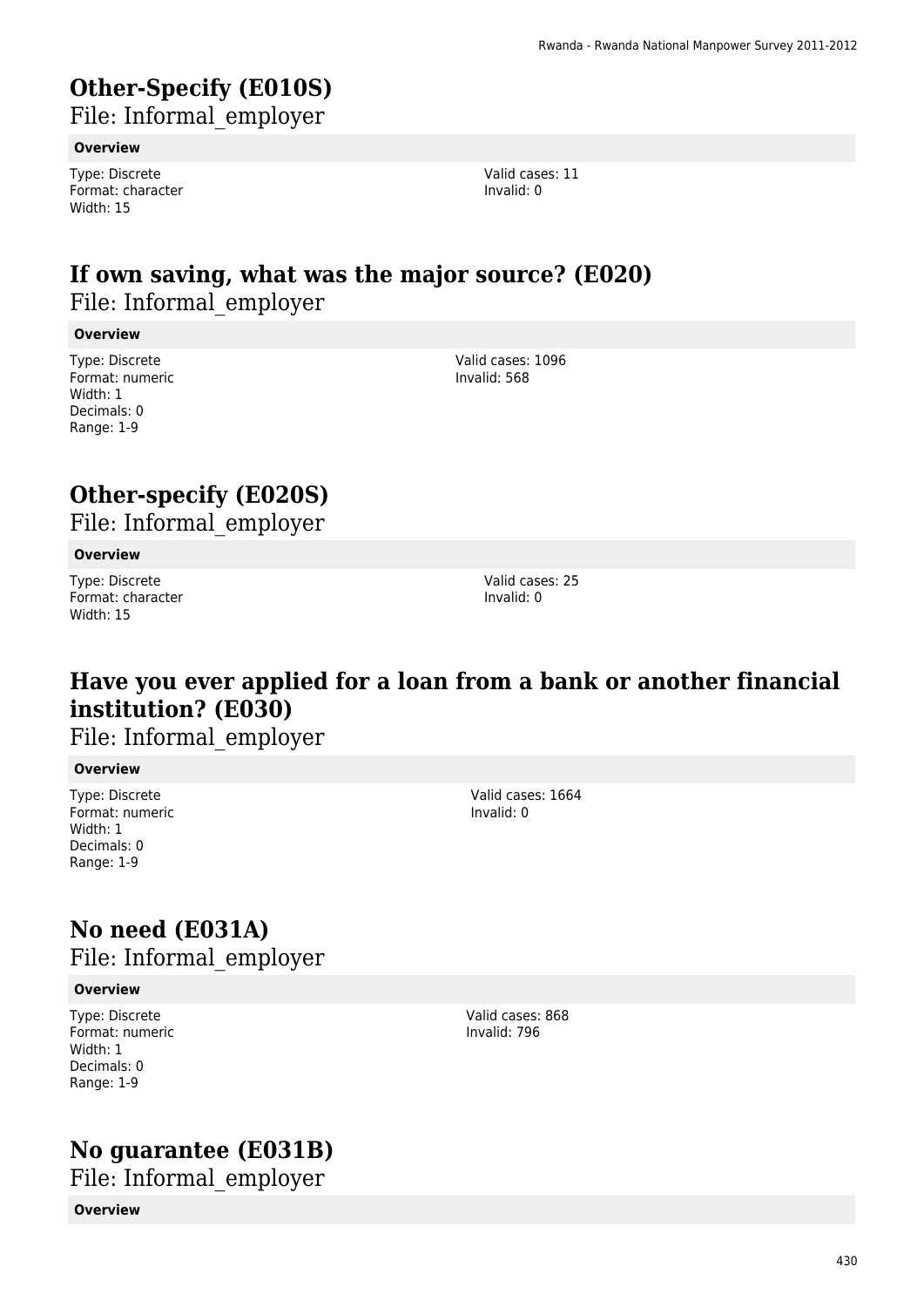## **Other-Specify (E010S)**

File: Informal\_employer

#### **Overview**

Type: Discrete Format: character Width: 15

### **If own saving, what was the major source? (E020)**  File: Informal\_employer

#### **Overview**

Type: Discrete Format: numeric Width: 1 Decimals: 0 Range: 1-9

Valid cases: 1096 Invalid: 568

## **Other-specify (E020S)**

File: Informal\_employer

### **Overview**

Type: Discrete Format: character Width: 15

Valid cases: 25 Invalid: 0

## **Have you ever applied for a loan from a bank or another financial institution? (E030)**

File: Informal\_employer

### **Overview**

Type: Discrete Format: numeric Width: 1 Decimals: 0 Range: 1-9

Valid cases: 1664 Invalid: 0

### **No need (E031A)**  File: Informal\_employer

#### **Overview**

Type: Discrete Format: numeric Width: 1 Decimals: 0 Range: 1-9

Valid cases: 868 Invalid: 796

## **No guarantee (E031B)**

File: Informal\_employer

**Overview**

430

Valid cases: 11 Invalid: 0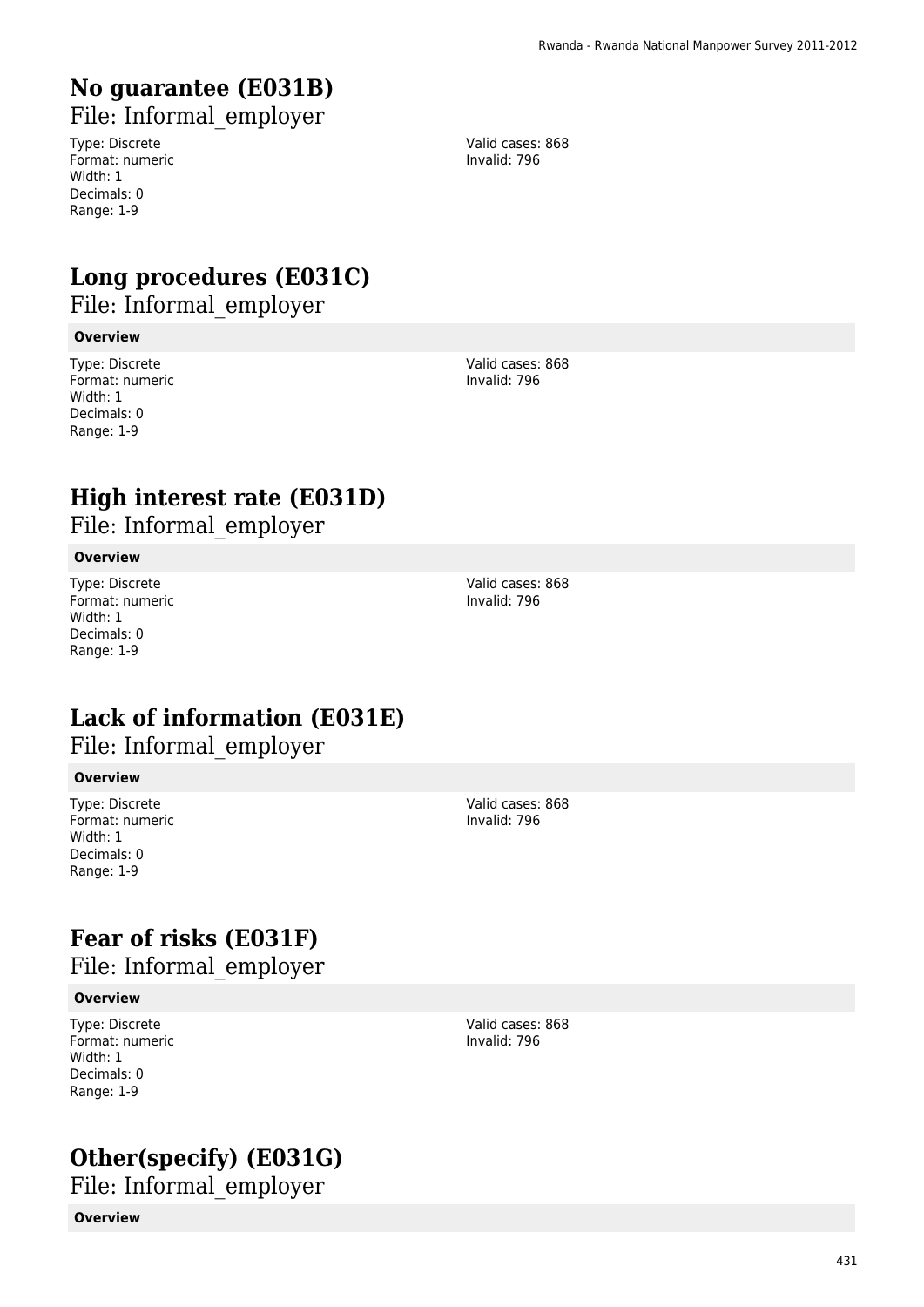# **No guarantee (E031B)**

File: Informal\_employer

Type: Discrete Format: numeric Width: 1 Decimals: 0 Range: 1-9

# **Long procedures (E031C)**

File: Informal\_employer

### **Overview**

Type: Discrete Format: numeric Width: 1 Decimals: 0 Range: 1-9

#### Valid cases: 868 Invalid: 796

**High interest rate (E031D)** 

File: Informal\_employer

### **Overview**

Type: Discrete Format: numeric Width: 1 Decimals: 0 Range: 1-9

## **Lack of information (E031E)**

File: Informal\_employer

### **Overview**

Type: Discrete Format: numeric Width: 1 Decimals: 0 Range: 1-9

Valid cases: 868 Invalid: 796

# **Fear of risks (E031F)**

File: Informal\_employer

### **Overview**

Type: Discrete Format: numeric Width: 1 Decimals: 0 Range: 1-9

Valid cases: 868 Invalid: 796

## **Other(specify) (E031G)**

File: Informal\_employer

**Overview**

Valid cases: 868 Invalid: 796

Valid cases: 868 Invalid: 796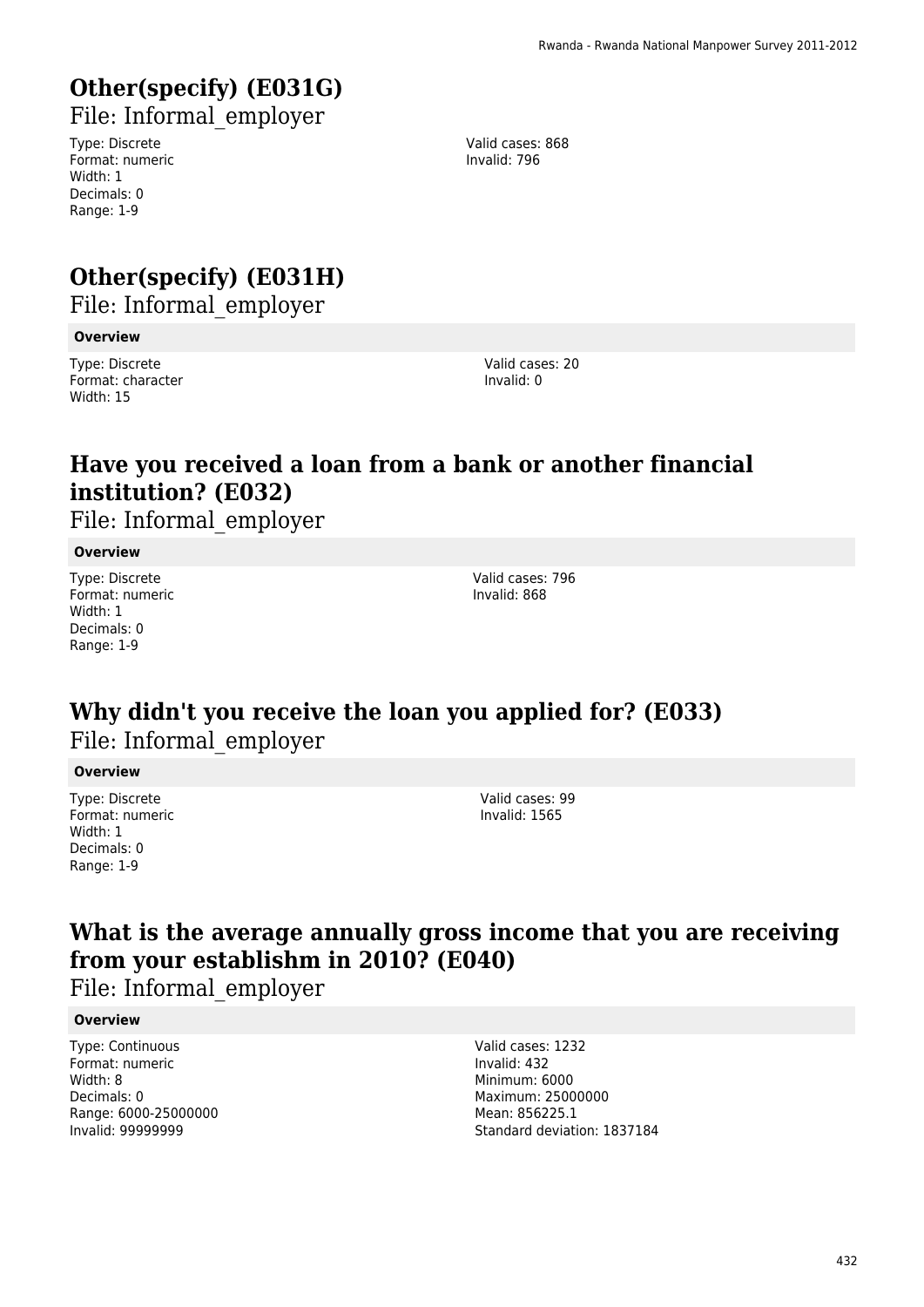## **Other(specify) (E031G)**

File: Informal\_employer

Type: Discrete Format: numeric Width: 1 Decimals: 0 Range: 1-9

Valid cases: 868 Invalid: 796

## **Other(specify) (E031H)**

File: Informal\_employer

#### **Overview**

Type: Discrete Format: character Width: 15

Valid cases: 20 Invalid: 0

## **Have you received a loan from a bank or another financial institution? (E032)**

File: Informal\_employer

#### **Overview**

Type: Discrete Format: numeric Width: 1 Decimals: 0 Range: 1-9

Valid cases: 796 Invalid: 868

### **Why didn't you receive the loan you applied for? (E033)**  File: Informal\_employer

#### **Overview**

Type: Discrete Format: numeric Width: 1 Decimals: 0 Range: 1-9

Valid cases: 99 Invalid: 1565

## **What is the average annually gross income that you are receiving from your establishm in 2010? (E040)**

File: Informal\_employer

### **Overview**

Type: Continuous Format: numeric Width: 8 Decimals: 0 Range: 6000-25000000 Invalid: 99999999

Valid cases: 1232 Invalid: 432 Minimum: 6000 Maximum: 25000000 Mean: 856225.1 Standard deviation: 1837184

432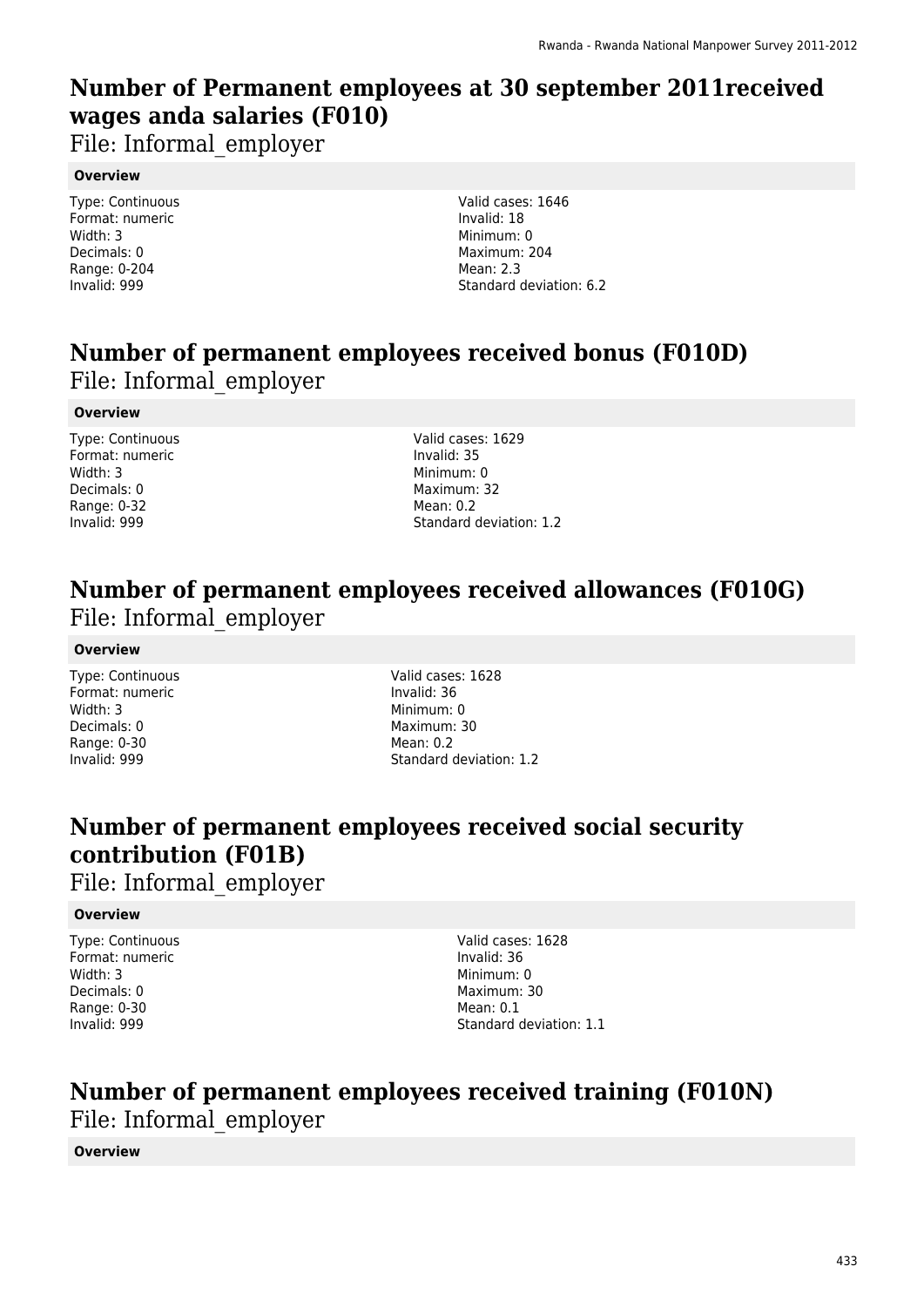### **Number of Permanent employees at 30 september 2011received wages anda salaries (F010)**

File: Informal\_employer

#### **Overview**

Type: Continuous Format: numeric Width: 3 Decimals: 0 Range: 0-204 Invalid: 999

Valid cases: 1646 Invalid: 18 Minimum: 0 Maximum: 204 Mean: 2.3 Standard deviation: 6.2

### **Number of permanent employees received bonus (F010D)**  File: Informal\_employer

#### **Overview**

Type: Continuous Format: numeric Width: 3 Decimals: 0 Range: 0-32 Invalid: 999

Valid cases: 1629 Invalid: 35 Minimum: 0 Maximum: 32 Mean: 0.2 Standard deviation: 1.2

### **Number of permanent employees received allowances (F010G)**  File: Informal\_employer

#### **Overview**

Type: Continuous Format: numeric Width: 3 Decimals: 0 Range: 0-30 Invalid: 999

Valid cases: 1628 Invalid: 36 Minimum: 0 Maximum: 30  $M$ ean: 0.2 Standard deviation: 1.2

# **Number of permanent employees received social security contribution (F01B)**

File: Informal\_employer

### **Overview**

Type: Continuous Format: numeric Width: 3 Decimals: 0 Range: 0-30 Invalid: 999

Valid cases: 1628 Invalid: 36 Minimum: 0 Maximum: 30 Mean: 0.1 Standard deviation: 1.1

### **Number of permanent employees received training (F010N)**

File: Informal\_employer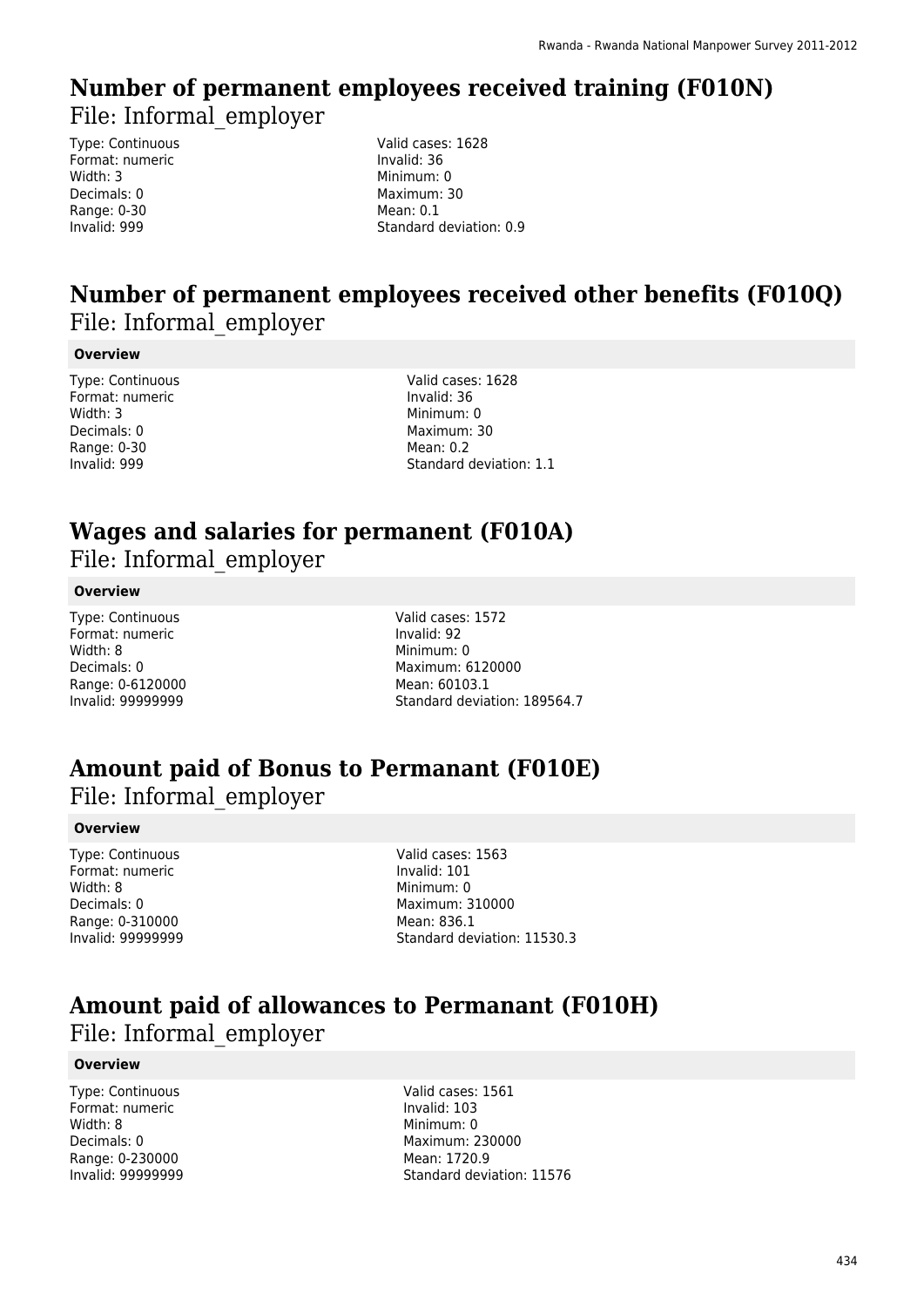### **Number of permanent employees received training (F010N)**  File: Informal\_employer

Type: Continuous Format: numeric Width: 3 Decimals: 0 Range: 0-30 Invalid: 999

Valid cases: 1628 Invalid: 36 Minimum: 0 Maximum: 30 Mean: 0.1 Standard deviation: 0.9

### **Number of permanent employees received other benefits (F010Q)**  File: Informal\_employer

#### **Overview**

Type: Continuous Format: numeric Width: 3 Decimals: 0 Range: 0-30 Invalid: 999

Valid cases: 1628 Invalid: 36 Minimum: 0 Maximum: 30 Mean: 0.2 Standard deviation: 1.1

### **Wages and salaries for permanent (F010A)**  File: Informal\_employer

#### **Overview**

Type: Continuous Format: numeric Width: 8 Decimals: 0 Range: 0-6120000 Invalid: 99999999

Valid cases: 1572 Invalid: 92 Minimum: 0 Maximum: 6120000 Mean: 60103.1 Standard deviation: 189564.7

# **Amount paid of Bonus to Permanant (F010E)**  File: Informal\_employer

#### **Overview**

Type: Continuous Format: numeric Width: 8 Decimals: 0 Range: 0-310000 Invalid: 99999999

Valid cases: 1563 Invalid: 101 Minimum: 0 Maximum: 310000 Mean: 836.1 Standard deviation: 11530.3

### **Amount paid of allowances to Permanant (F010H)**  File: Informal\_employer

#### **Overview**

Type: Continuous Format: numeric Width: 8 Decimals: 0 Range: 0-230000 Invalid: 99999999

Valid cases: 1561 Invalid: 103 Minimum: 0 Maximum: 230000 Mean: 1720.9 Standard deviation: 11576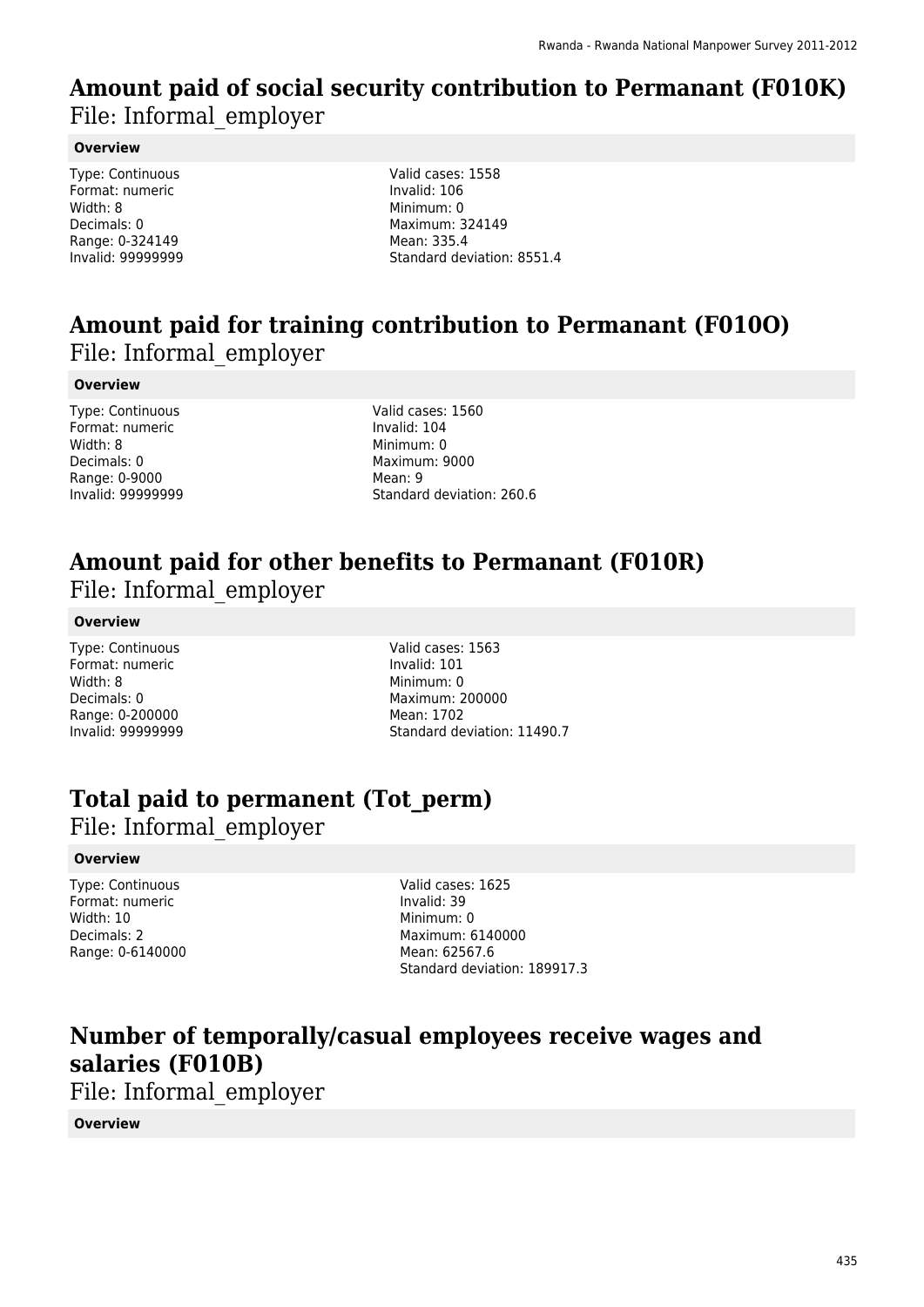### **Amount paid of social security contribution to Permanant (F010K)**  File: Informal\_employer

#### **Overview**

Type: Continuous Format: numeric Width: 8 Decimals: 0 Range: 0-324149 Invalid: 99999999

Valid cases: 1558 Invalid: 106 Minimum: 0 Maximum: 324149 Mean: 335.4 Standard deviation: 8551.4

### **Amount paid for training contribution to Permanant (F010O)**  File: Informal\_employer

#### **Overview**

Type: Continuous Format: numeric Width: 8 Decimals: 0 Range: 0-9000 Invalid: 99999999

Valid cases: 1560 Invalid: 104 Minimum: 0 Maximum: 9000 Mean: 9 Standard deviation: 260.6

# **Amount paid for other benefits to Permanant (F010R)**

### File: Informal\_employer

#### **Overview**

Type: Continuous Format: numeric Width: 8 Decimals: 0 Range: 0-200000 Invalid: 99999999

Valid cases: 1563 Invalid: 101 Minimum: 0 Maximum: 200000 Mean: 1702 Standard deviation: 11490.7

# **Total paid to permanent (Tot\_perm)**

File: Informal\_employer

### **Overview**

Type: Continuous Format: numeric Width: 10 Decimals: 2 Range: 0-6140000 Valid cases: 1625 Invalid: 39 Minimum: 0 Maximum: 6140000 Mean: 62567.6 Standard deviation: 189917.3

# **Number of temporally/casual employees receive wages and salaries (F010B)**

File: Informal\_employer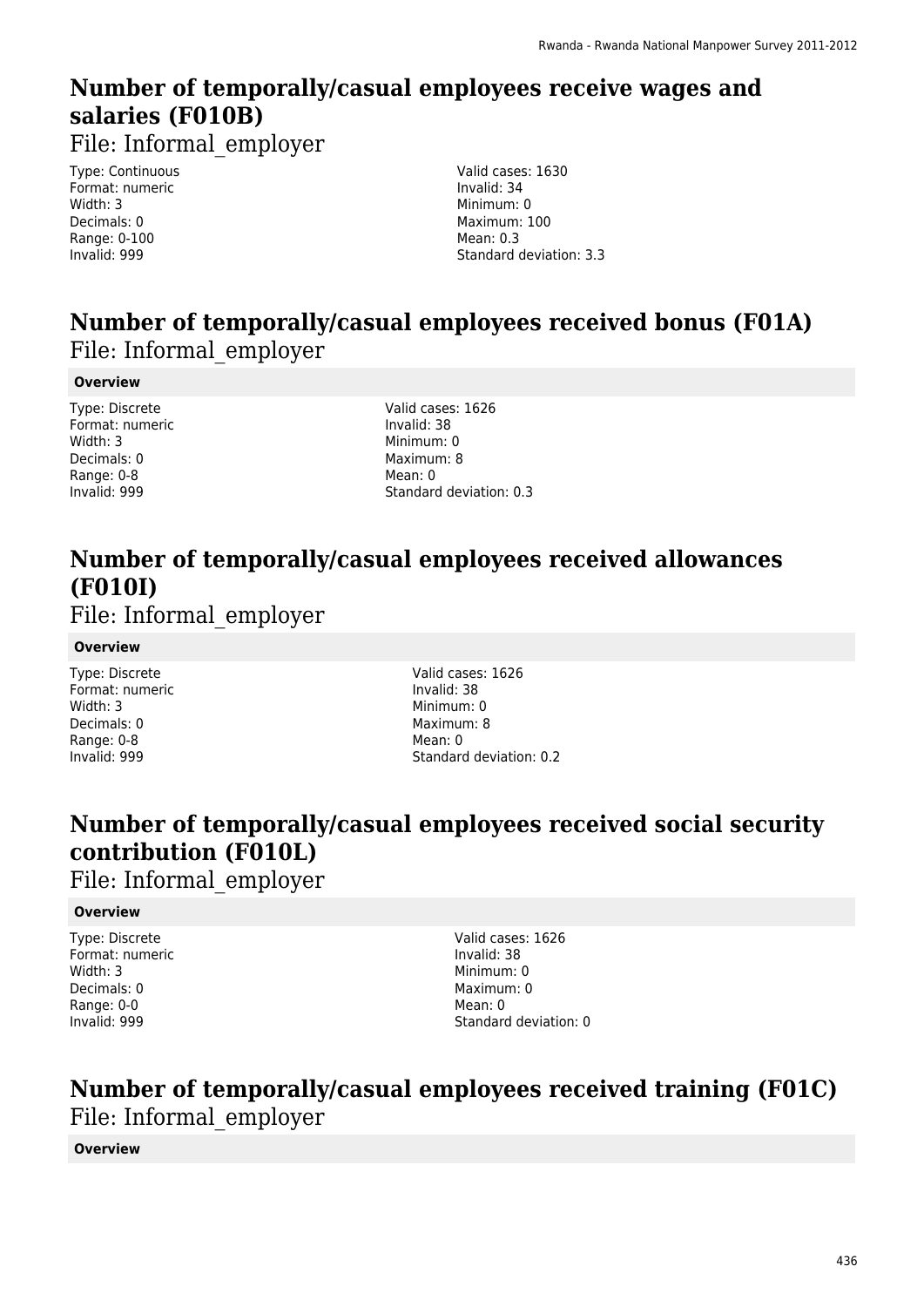# **Number of temporally/casual employees receive wages and salaries (F010B)**

File: Informal\_employer

Type: Continuous Format: numeric Width: 3 Decimals: 0 Range: 0-100 Invalid: 999

Valid cases: 1630 Invalid: 34 Minimum: 0 Maximum: 100  $Mean: 0.3$ Standard deviation: 3.3

### **Number of temporally/casual employees received bonus (F01A)**  File: Informal\_employer

#### **Overview**

Type: Discrete Format: numeric Width: 3 Decimals: 0 Range: 0-8 Invalid: 999

Valid cases: 1626 Invalid: 38 Minimum: 0 Maximum: 8 Mean: 0 Standard deviation: 0.3

# **Number of temporally/casual employees received allowances (F010I)**

File: Informal\_employer

#### **Overview**

Type: Discrete Format: numeric Width: 3 Decimals: 0 Range: 0-8 Invalid: 999

Valid cases: 1626 Invalid: 38 Minimum: 0 Maximum: 8 Mean: 0 Standard deviation: 0.2

# **Number of temporally/casual employees received social security contribution (F010L)**

File: Informal\_employer

### **Overview**

Type: Discrete Format: numeric Width: 3 Decimals: 0 Range: 0-0 Invalid: 999

Valid cases: 1626 Invalid: 38 Minimum: 0 Maximum: 0 Mean: 0 Standard deviation: 0

# **Number of temporally/casual employees received training (F01C)**

File: Informal\_employer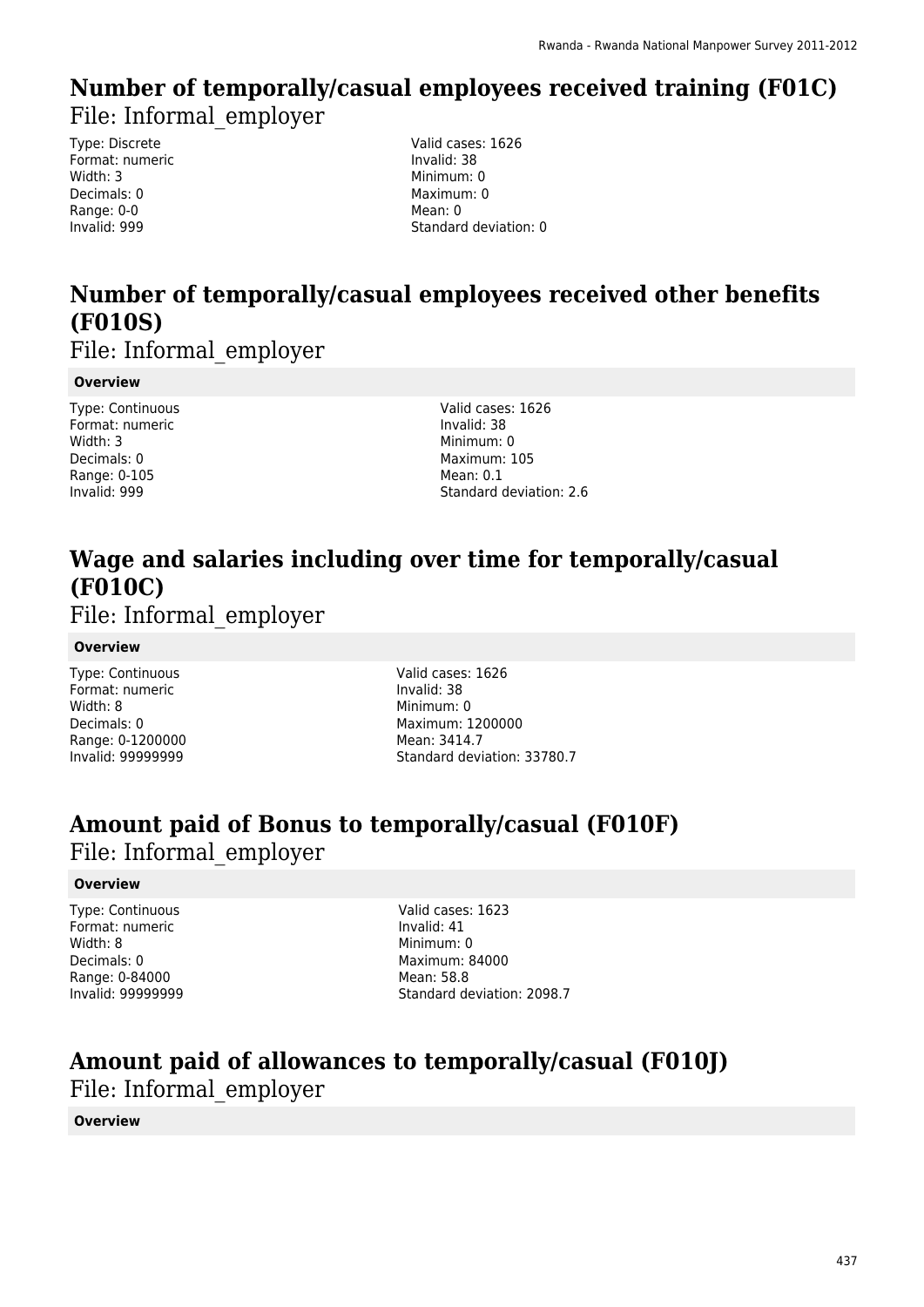# **Number of temporally/casual employees received training (F01C)**

File: Informal\_employer

Type: Discrete Format: numeric Width: 3 Decimals: 0 Range: 0-0 Invalid: 999

Valid cases: 1626 Invalid: 38 Minimum: 0 Maximum: 0 Mean: 0 Standard deviation: 0

# **Number of temporally/casual employees received other benefits (F010S)**

File: Informal\_employer

### **Overview**

Type: Continuous Format: numeric Width: 3 Decimals: 0 Range: 0-105 Invalid: 999

Valid cases: 1626 Invalid: 38 Minimum: 0 Maximum: 105 Mean: 0.1 Standard deviation: 2.6

# **Wage and salaries including over time for temporally/casual (F010C)**

File: Informal\_employer

### **Overview**

Type: Continuous Format: numeric Width: 8 Decimals: 0 Range: 0-1200000 Invalid: 99999999

Valid cases: 1626 Invalid: 38 Minimum: 0 Maximum: 1200000 Mean: 3414.7 Standard deviation: 33780.7

### **Amount paid of Bonus to temporally/casual (F010F)**  File: Informal\_employer

### **Overview**

Type: Continuous Format: numeric Width: 8 Decimals: 0 Range: 0-84000 Invalid: 99999999 Valid cases: 1623 Invalid: 41 Minimum: 0 Maximum: 84000 Mean: 58.8 Standard deviation: 2098.7

### **Amount paid of allowances to temporally/casual (F010J)**  File: Informal\_employer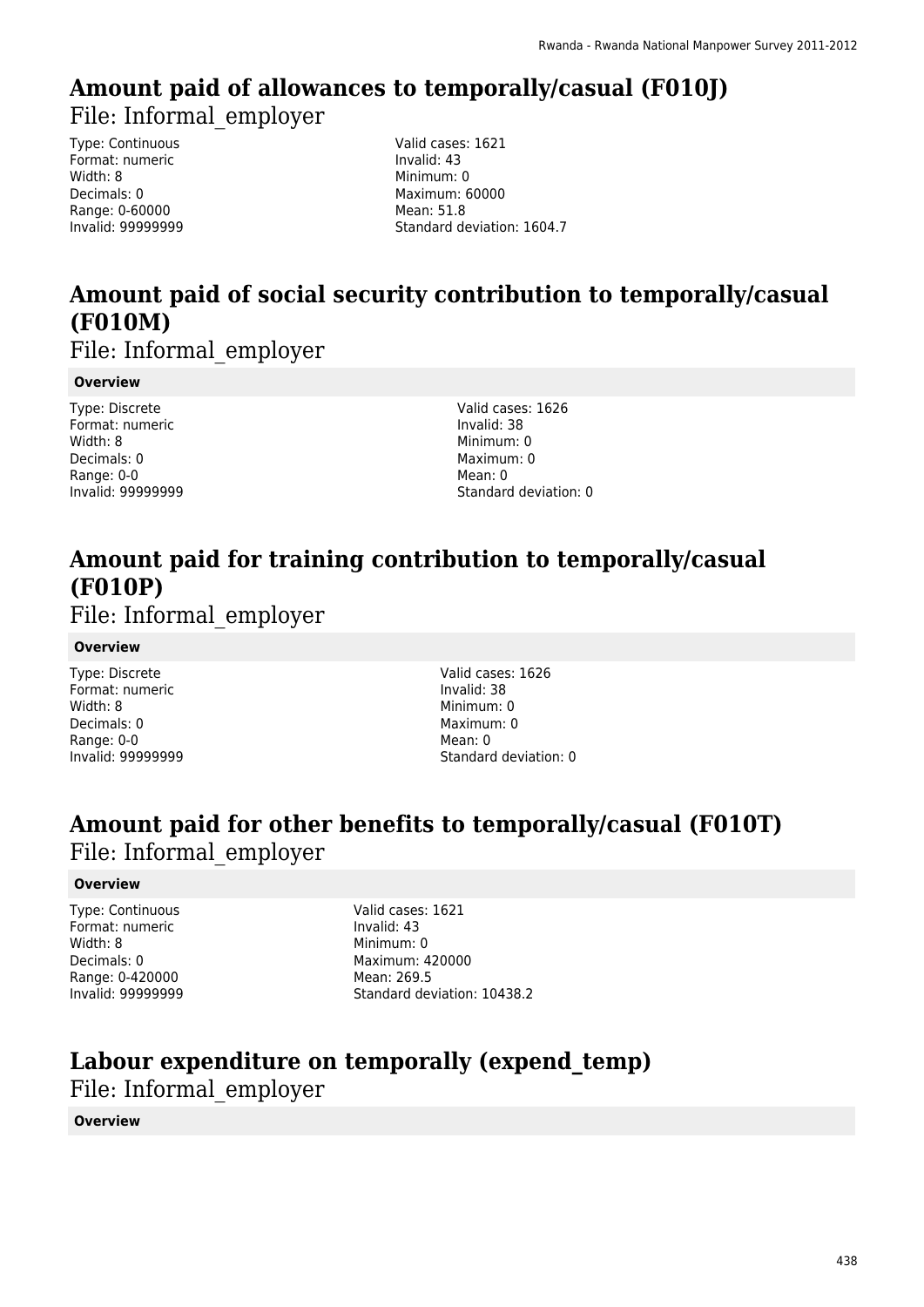# **Amount paid of allowances to temporally/casual (F010J)**

File: Informal\_employer

Type: Continuous Format: numeric Width: 8 Decimals: 0 Range: 0-60000 Invalid: 99999999 Valid cases: 1621 Invalid: 43 Minimum: 0 Maximum: 60000 Mean: 51.8 Standard deviation: 1604.7

# **Amount paid of social security contribution to temporally/casual (F010M)**

File: Informal\_employer

#### **Overview**

Type: Discrete Format: numeric Width: 8 Decimals: 0 Range: 0-0 Invalid: 99999999 Valid cases: 1626 Invalid: 38 Minimum: 0 Maximum: 0 Mean: 0 Standard deviation: 0

# **Amount paid for training contribution to temporally/casual (F010P)**

File: Informal\_employer

#### **Overview**

Type: Discrete Format: numeric Width: 8 Decimals: 0 Range: 0-0 Invalid: 99999999 Valid cases: 1626 Invalid: 38 Minimum: 0 Maximum: 0 Mean: 0 Standard deviation: 0

### **Amount paid for other benefits to temporally/casual (F010T)**  File: Informal\_employer

### **Overview**

Type: Continuous Format: numeric Width: 8 Decimals: 0 Range: 0-420000 Invalid: 99999999

Valid cases: 1621 Invalid: 43 Minimum: 0 Maximum: 420000 Mean: 269.5 Standard deviation: 10438.2

### **Labour expenditure on temporally (expend\_temp)**  File: Informal\_employer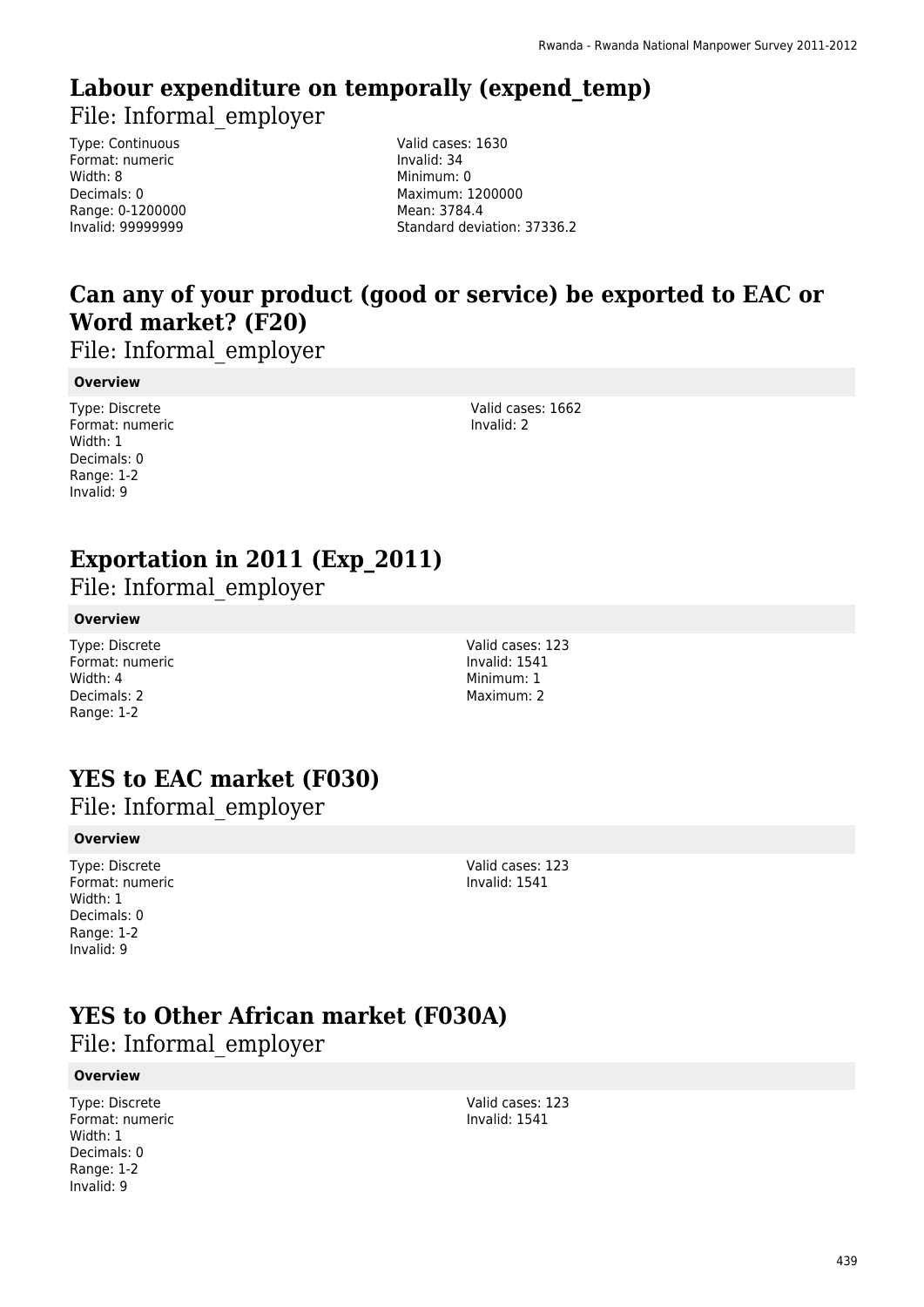# **Labour expenditure on temporally (expend\_temp)**

File: Informal\_employer

Type: Continuous Format: numeric Width: 8 Decimals: 0 Range: 0-1200000 Invalid: 99999999

Valid cases: 1630 Invalid: 34 Minimum: 0 Maximum: 1200000 Mean: 3784.4 Standard deviation: 37336.2

# **Can any of your product (good or service) be exported to EAC or Word market? (F20)**

File: Informal\_employer

#### **Overview**

Type: Discrete Format: numeric Width: 1 Decimals: 0 Range: 1-2 Invalid: 9

Valid cases: 1662 Invalid: 2

# **Exportation in 2011 (Exp\_2011)**

File: Informal\_employer

#### **Overview**

Type: Discrete Format: numeric Width: 4 Decimals: 2 Range: 1-2

#### Valid cases: 123 Invalid: 1541 Minimum: 1 Maximum: 2

# **YES to EAC market (F030)**

### File: Informal\_employer

#### **Overview**

Type: Discrete Format: numeric Width: 1 Decimals: 0 Range: 1-2 Invalid: 9

Valid cases: 123 Invalid: 1541

# **YES to Other African market (F030A)**

File: Informal\_employer

### **Overview**

Type: Discrete Format: numeric Width: 1 Decimals: 0 Range: 1-2 Invalid: 9

Valid cases: 123 Invalid: 1541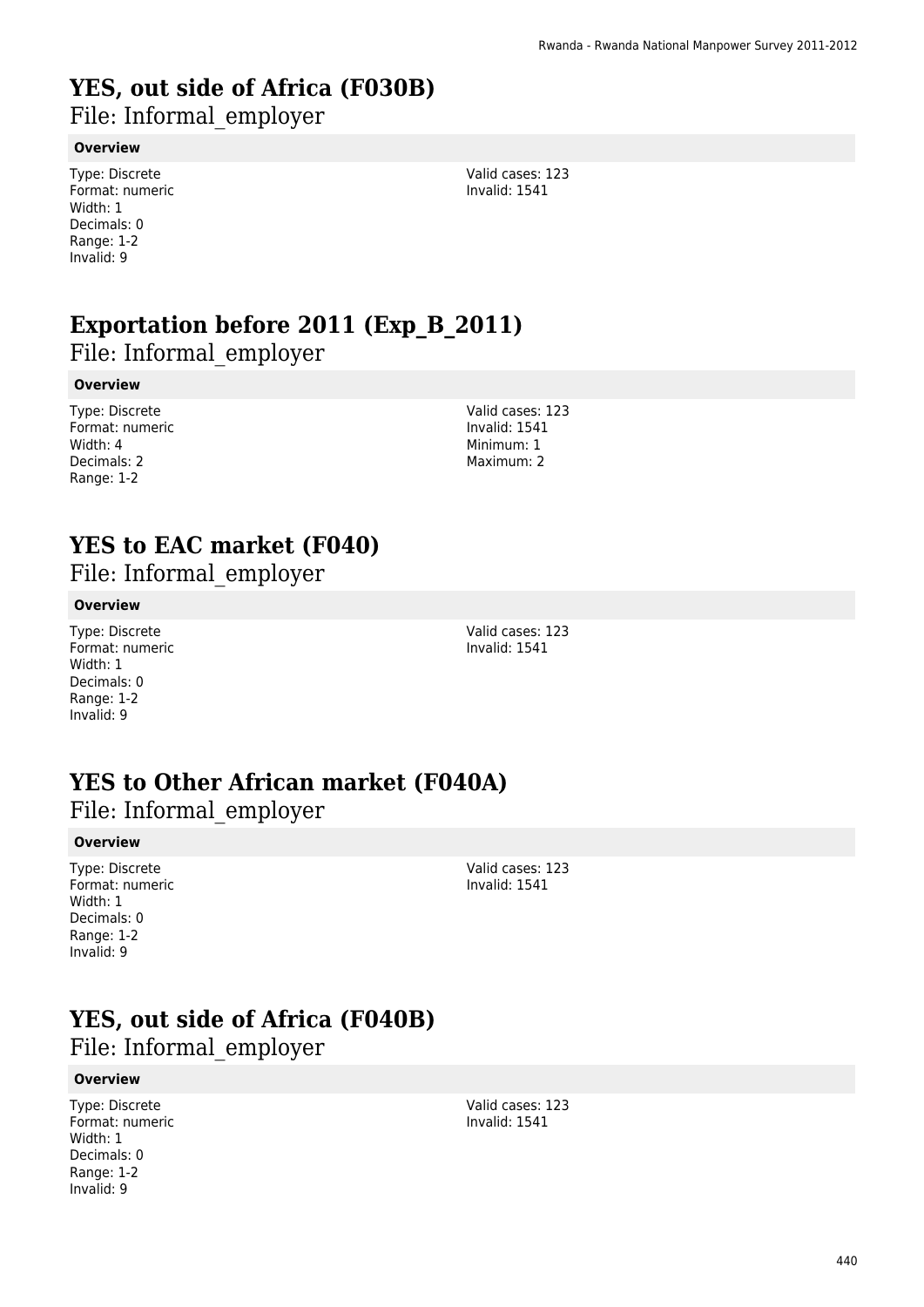### **YES, out side of Africa (F030B)**  File: Informal\_employer

#### **Overview**

Type: Discrete Format: numeric Width: 1 Decimals: 0 Range: 1-2 Invalid: 9

**Exportation before 2011 (Exp\_B\_2011)** 

File: Informal\_employer

#### **Overview**

Type: Discrete Format: numeric Width: 4 Decimals: 2 Range: 1-2

Valid cases: 123 Invalid: 1541 Minimum: 1 Maximum: 2

Valid cases: 123 Invalid: 1541

### **YES to EAC market (F040)**  File: Informal\_employer

#### **Overview**

Type: Discrete Format: numeric Width: 1 Decimals: 0 Range: 1-2 Invalid: 9

Valid cases: 123 Invalid: 1541

### **YES to Other African market (F040A)**

File: Informal\_employer

#### **Overview**

Type: Discrete Format: numeric Width: 1 Decimals: 0 Range: 1-2 Invalid: 9

Valid cases: 123 Invalid: 1541

# **YES, out side of Africa (F040B)**

File: Informal\_employer

#### **Overview**

Type: Discrete Format: numeric Width: 1 Decimals: 0 Range: 1-2 Invalid: 9

Valid cases: 123 Invalid: 1541

440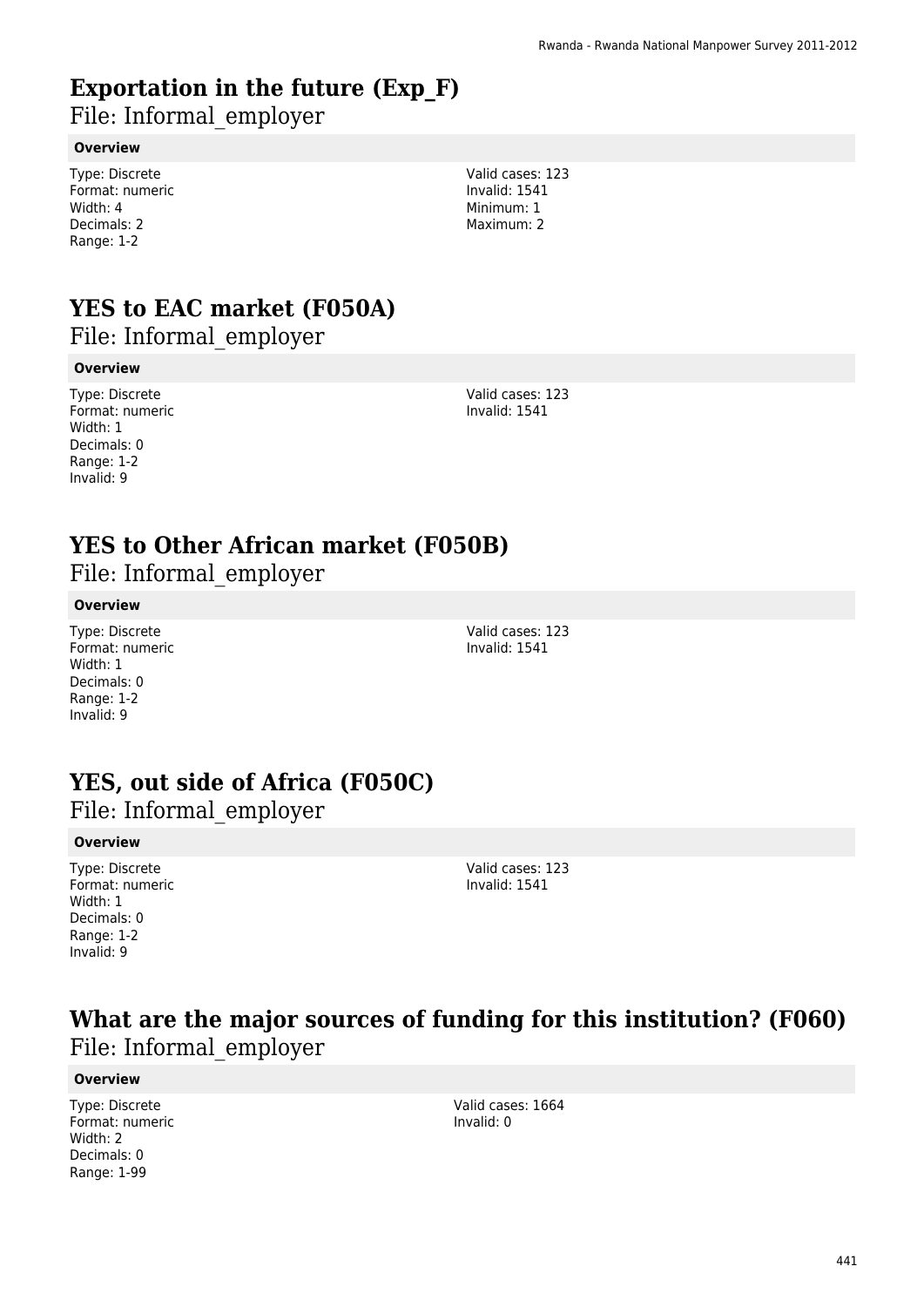# **Exportation in the future (Exp\_F)**

File: Informal\_employer

### **Overview**

Type: Discrete Format: numeric Width: 4 Decimals: 2 Range: 1-2

# **YES to EAC market (F050A)**

File: Informal\_employer

### **Overview**

Type: Discrete Format: numeric Width: 1 Decimals: 0 Range: 1-2 Invalid: 9

Valid cases: 123 Invalid: 1541

# **YES to Other African market (F050B)**

File: Informal\_employer

#### **Overview**

Type: Discrete Format: numeric Width: 1 Decimals: 0 Range: 1-2 Invalid: 9

Valid cases: 123 Invalid: 1541

# **YES, out side of Africa (F050C)**

File: Informal\_employer

#### **Overview**

Type: Discrete Format: numeric Width: 1 Decimals: 0 Range: 1-2 Invalid: 9

Valid cases: 123 Invalid: 1541

### **What are the major sources of funding for this institution? (F060)**  File: Informal\_employer

#### **Overview**

Type: Discrete Format: numeric Width: 2 Decimals: 0 Range: 1-99

Valid cases: 1664 Invalid: 0

Valid cases: 123 Invalid: 1541 Minimum: 1 Maximum: 2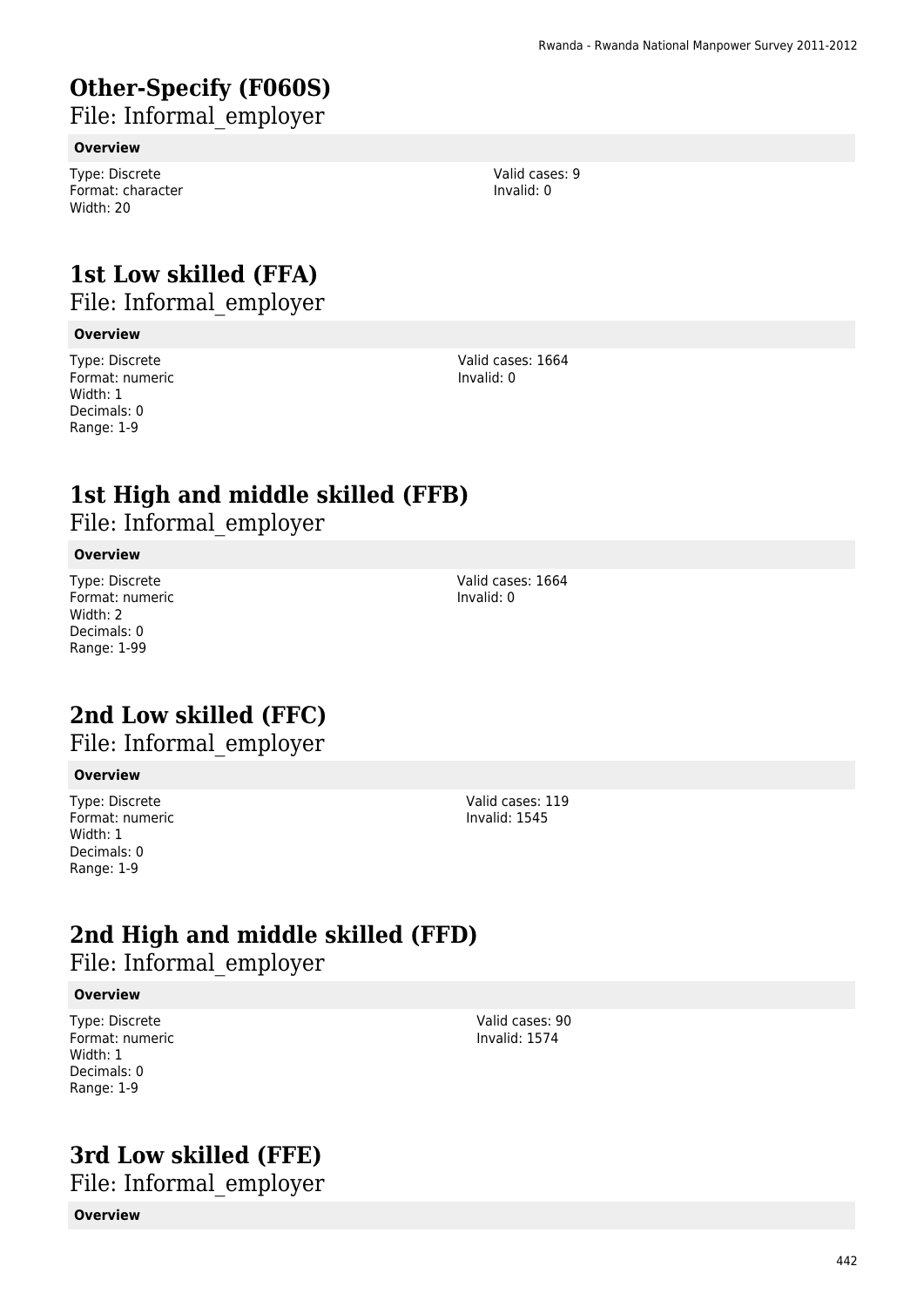# **Other-Specify (F060S)**

File: Informal\_employer

#### **Overview**

Type: Discrete Format: character Width: 20

# **1st Low skilled (FFA)**

File: Informal\_employer

#### **Overview**

Type: Discrete Format: numeric Width: 1 Decimals: 0 Range: 1-9

Valid cases: 1664 Invalid: 0

# **1st High and middle skilled (FFB)**

File: Informal\_employer

#### **Overview**

Type: Discrete Format: numeric Width: 2 Decimals: 0 Range: 1-99

Valid cases: 1664 Invalid: 0

# **2nd Low skilled (FFC)**

File: Informal\_employer

### **Overview**

Type: Discrete Format: numeric Width: 1 Decimals: 0 Range: 1-9

Valid cases: 119 Invalid: 1545

# **2nd High and middle skilled (FFD)**

File: Informal\_employer

#### **Overview**

Type: Discrete Format: numeric Width: 1 Decimals: 0 Range: 1-9

# **3rd Low skilled (FFE)**

File: Informal\_employer

**Overview**

Valid cases: 90 Invalid: 1574

Valid cases: 9 Invalid: 0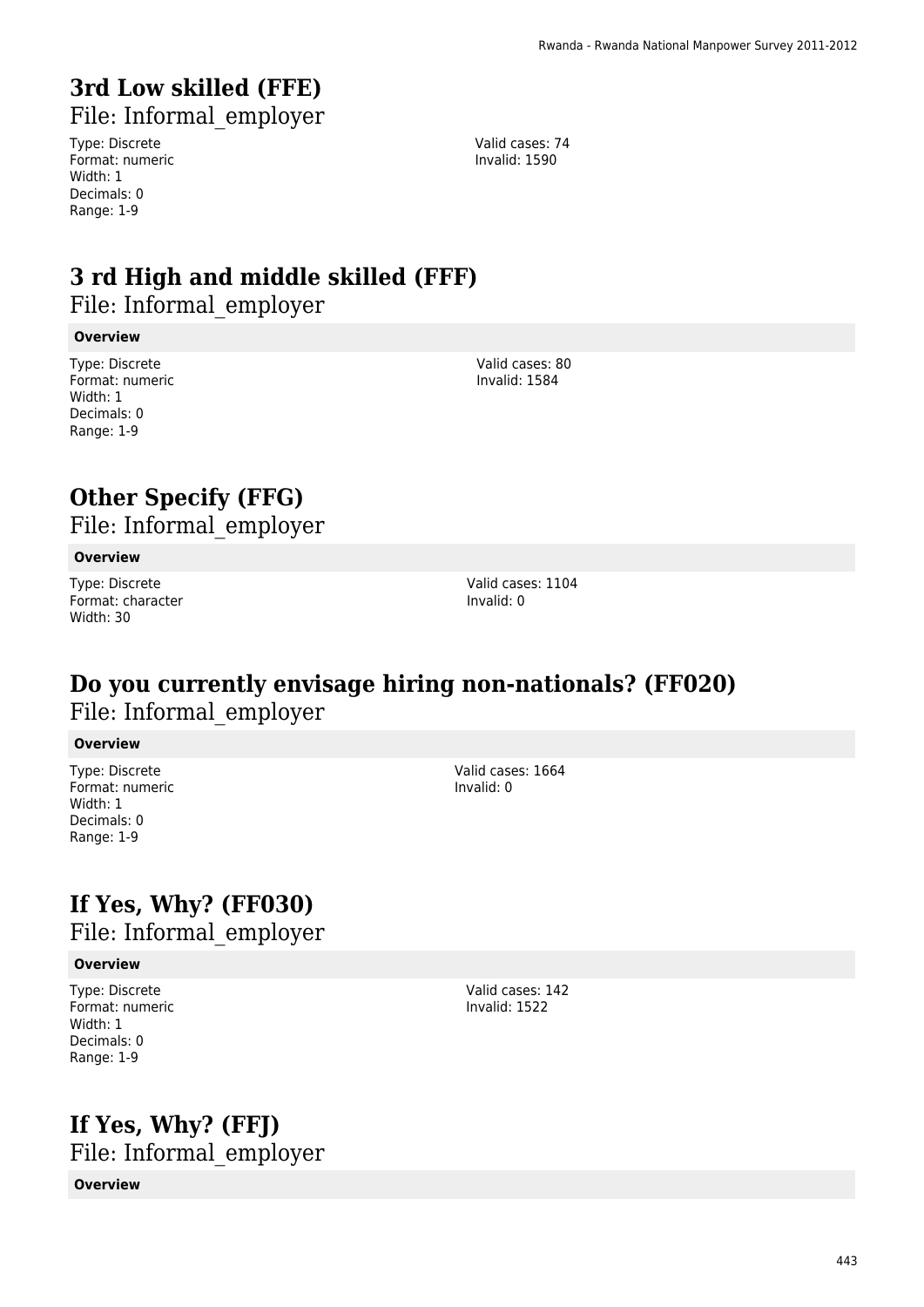# **3rd Low skilled (FFE)**

File: Informal\_employer

Type: Discrete Format: numeric Width: 1 Decimals: 0 Range: 1-9

# **3 rd High and middle skilled (FFF)**

File: Informal\_employer

### **Overview**

Type: Discrete Format: numeric Width: 1 Decimals: 0 Range: 1-9

Valid cases: 80 Invalid: 1584

### **Other Specify (FFG)**  File: Informal\_employer

### **Overview**

Type: Discrete Format: character Width: 30

Valid cases: 1104 Invalid: 0

### **Do you currently envisage hiring non-nationals? (FF020)**  File: Informal\_employer

### **Overview**

Type: Discrete Format: numeric Width: 1 Decimals: 0 Range: 1-9

Valid cases: 1664 Invalid: 0

### **If Yes, Why? (FF030)**  File: Informal\_employer

### **Overview**

Type: Discrete Format: numeric Width: 1 Decimals: 0 Range: 1-9

### **If Yes, Why? (FFJ)**  File: Informal\_employer

### **Overview**

Valid cases: 142 Invalid: 1522

Valid cases: 74 Invalid: 1590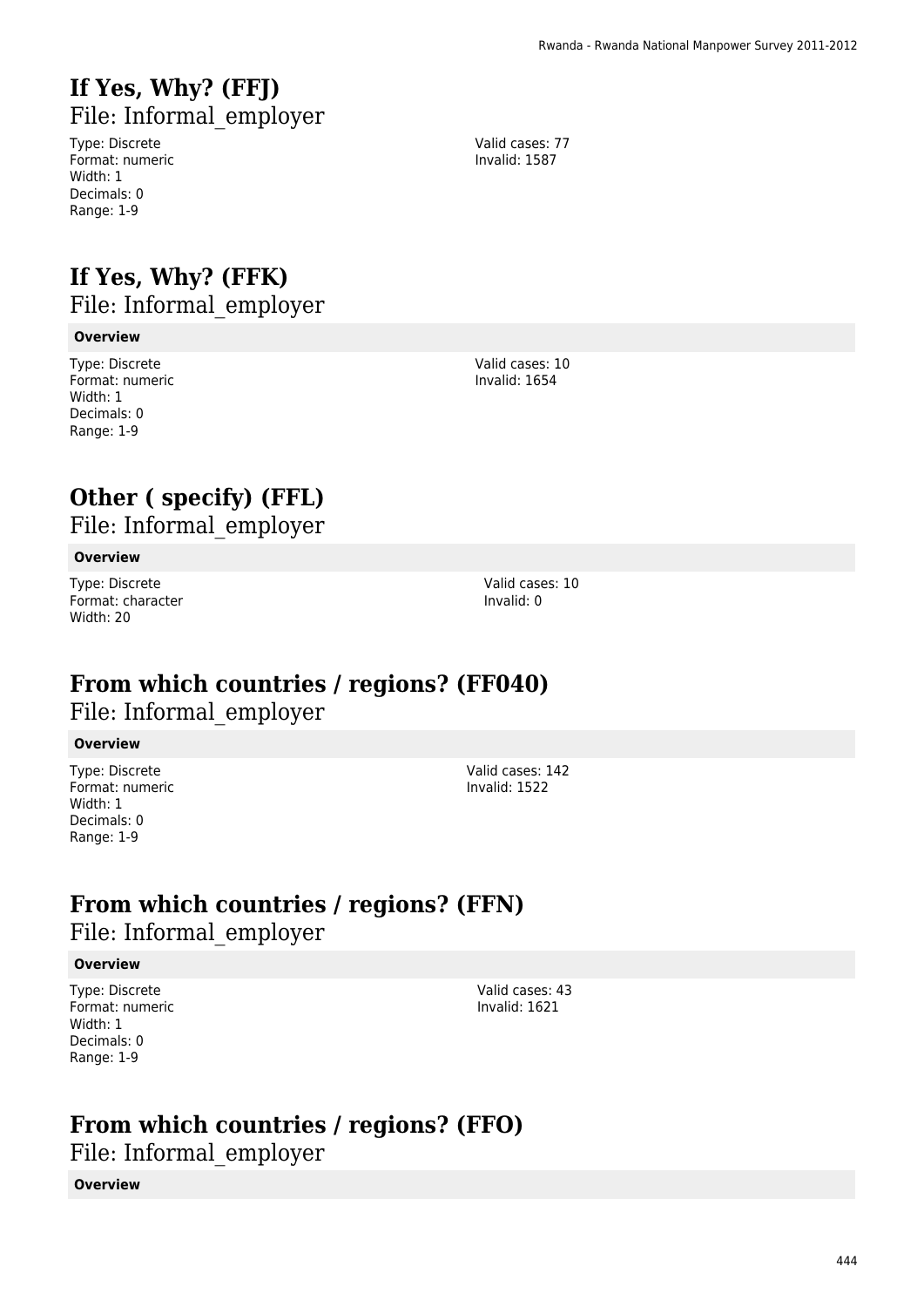### **If Yes, Why? (FFJ)**  File: Informal\_employer

Type: Discrete Format: numeric Width: 1 Decimals: 0 Range: 1-9

### **If Yes, Why? (FFK)**  File: Informal\_employer

#### **Overview**

Type: Discrete Format: numeric Width: 1 Decimals: 0 Range: 1-9

#### Valid cases: 77 Invalid: 1587

Valid cases: 10 Invalid: 1654

Valid cases: 10 Invalid: 0

# **Other ( specify) (FFL)**

File: Informal\_employer

### **Overview**

Type: Discrete Format: character Width: 20

# **From which countries / regions? (FF040)**

File: Informal\_employer

### **Overview**

Type: Discrete Format: numeric Width: 1 Decimals: 0 Range: 1-9

Valid cases: 142 Invalid: 1522

### **From which countries / regions? (FFN)**  File: Informal\_employer

### **Overview**

Type: Discrete Format: numeric Width: 1 Decimals: 0 Range: 1-9

Valid cases: 43 Invalid: 1621

# **From which countries / regions? (FFO)**

File: Informal\_employer

### **Overview**

444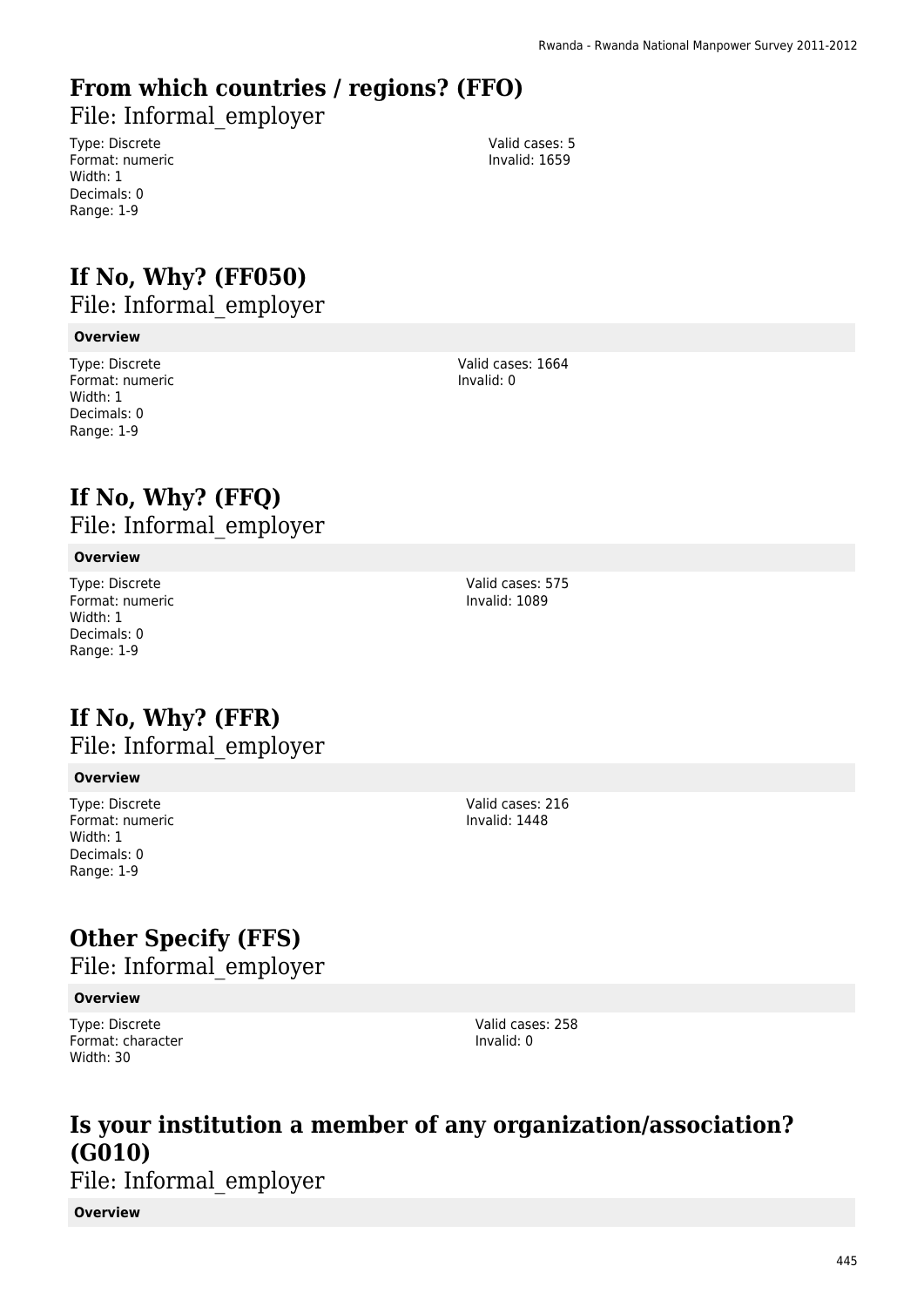# **From which countries / regions? (FFO)**

File: Informal\_employer

Type: Discrete Format: numeric Width: 1 Decimals: 0 Range: 1-9

Valid cases: 5 Invalid: 1659

### **If No, Why? (FF050)**  File: Informal\_employer

**Overview**

Type: Discrete Format: numeric Width: 1 Decimals: 0 Range: 1-9

Valid cases: 1664

### **If No, Why? (FFQ)**  File: Informal\_employer

### **Overview**

Type: Discrete Format: numeric Width: 1 Decimals: 0 Range: 1-9

### **If No, Why? (FFR)**  File: Informal\_employer

### **Overview**

Type: Discrete Format: numeric Width: 1 Decimals: 0 Range: 1-9

Valid cases: 216 Invalid: 1448

# **Other Specify (FFS)**

File: Informal\_employer

### **Overview**

Type: Discrete Format: character Width: 30

Valid cases: 258 Invalid: 0

### **Is your institution a member of any organization/association? (G010)**

File: Informal\_employer

#### **Overview**

Valid cases: 575 Invalid: 1089

Invalid: 0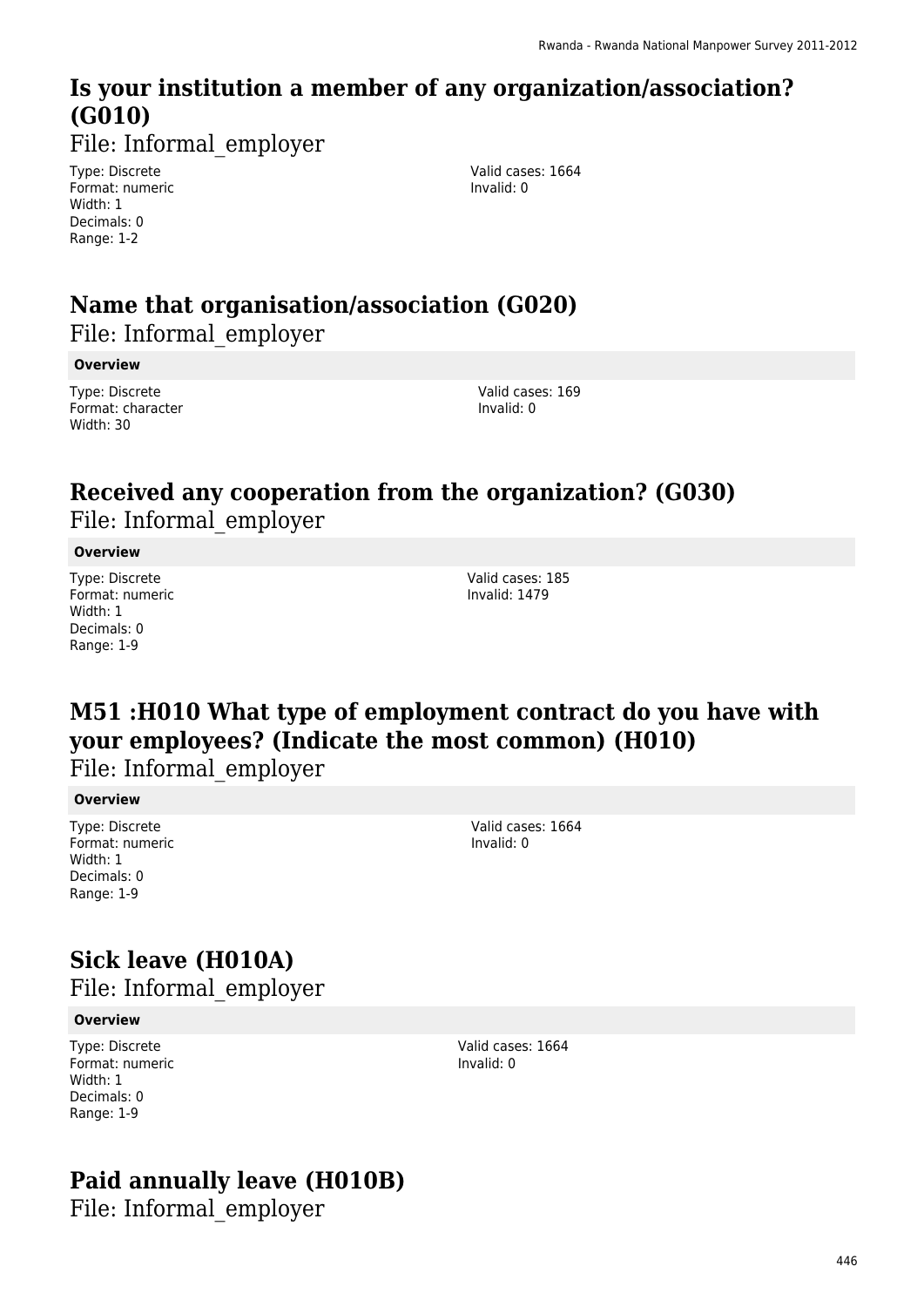### **Is your institution a member of any organization/association? (G010)**

File: Informal\_employer

Type: Discrete Format: numeric Width: 1 Decimals: 0 Range: 1-2

Valid cases: 1664 Invalid: 0

# **Name that organisation/association (G020)**

File: Informal\_employer

#### **Overview**

Type: Discrete Format: character Width: 30

Valid cases: 169 Invalid: 0

### **Received any cooperation from the organization? (G030)**  File: Informal\_employer

#### **Overview**

Type: Discrete Format: numeric Width: 1 Decimals: 0 Range: 1-9

Valid cases: 185 Invalid: 1479

# **M51 :H010 What type of employment contract do you have with your employees? (Indicate the most common) (H010)**

File: Informal\_employer

#### **Overview**

Type: Discrete Format: numeric Width: 1 Decimals: 0 Range: 1-9

Valid cases: 1664 Invalid: 0

# **Sick leave (H010A)**

File: Informal\_employer

### **Overview**

Type: Discrete Format: numeric Width: 1 Decimals: 0 Range: 1-9

# **Paid annually leave (H010B)**

File: Informal\_employer

Valid cases: 1664 Invalid: 0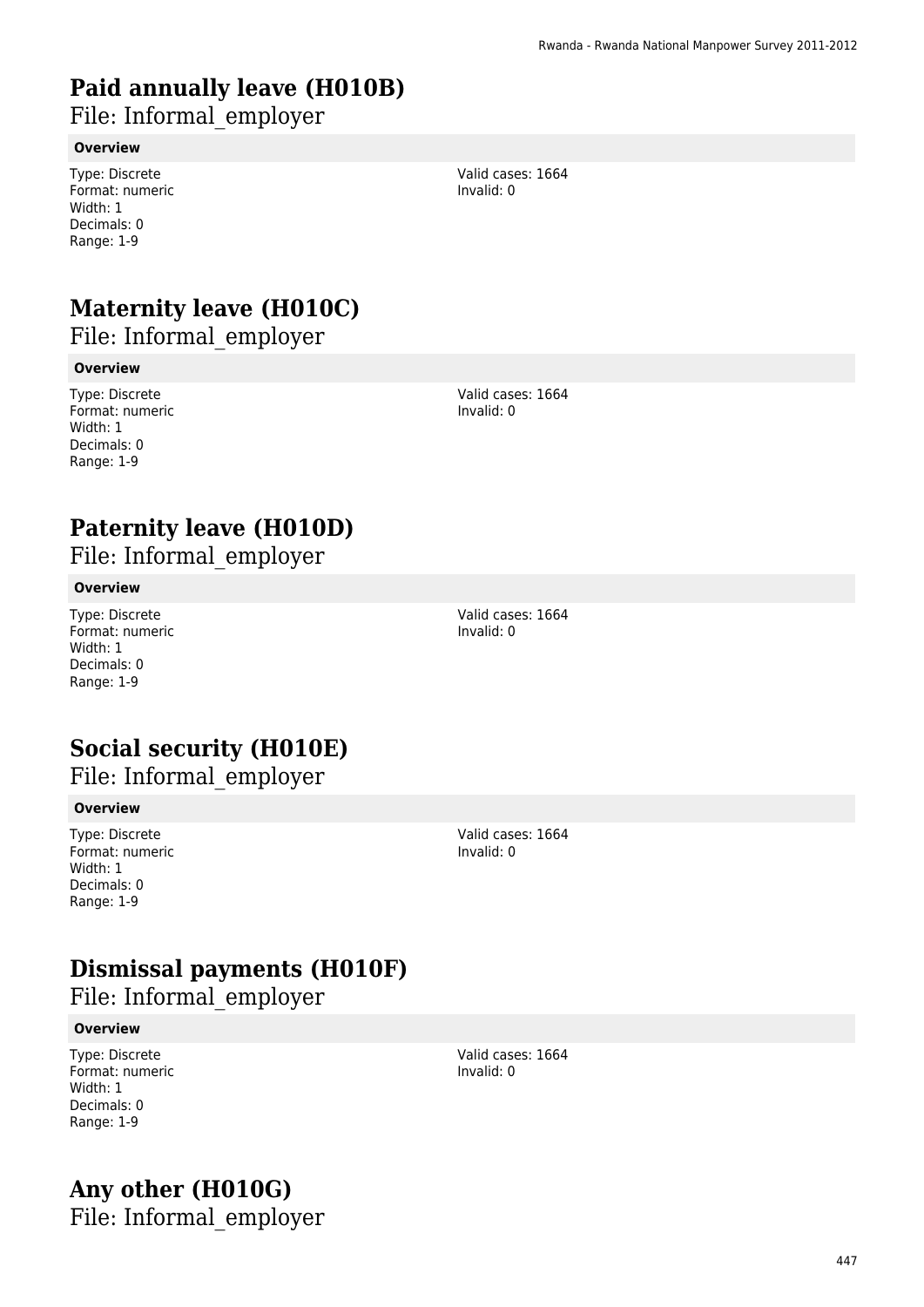# **Paid annually leave (H010B)**

File: Informal\_employer

#### **Overview**

Type: Discrete Format: numeric Width: 1 Decimals: 0 Range: 1-9

# **Maternity leave (H010C)**

File: Informal\_employer

#### **Overview**

Type: Discrete Format: numeric Width: 1 Decimals: 0 Range: 1-9

Valid cases: 1664 Invalid: 0

### **Paternity leave (H010D)**

File: Informal\_employer

### **Overview**

Type: Discrete Format: numeric Width: 1 Decimals: 0 Range: 1-9

### **Social security (H010E)**  File: Informal\_employer

#### **Overview**

Type: Discrete Format: numeric Width: 1 Decimals: 0 Range: 1-9

# **Dismissal payments (H010F)**

File: Informal\_employer

#### **Overview**

Type: Discrete Format: numeric Width: 1 Decimals: 0 Range: 1-9

### **Any other (H010G)**  File: Informal\_employer

Valid cases: 1664 Invalid: 0

Valid cases: 1664 Invalid: 0

Valid cases: 1664

Invalid: 0

Valid cases: 1664 Invalid: 0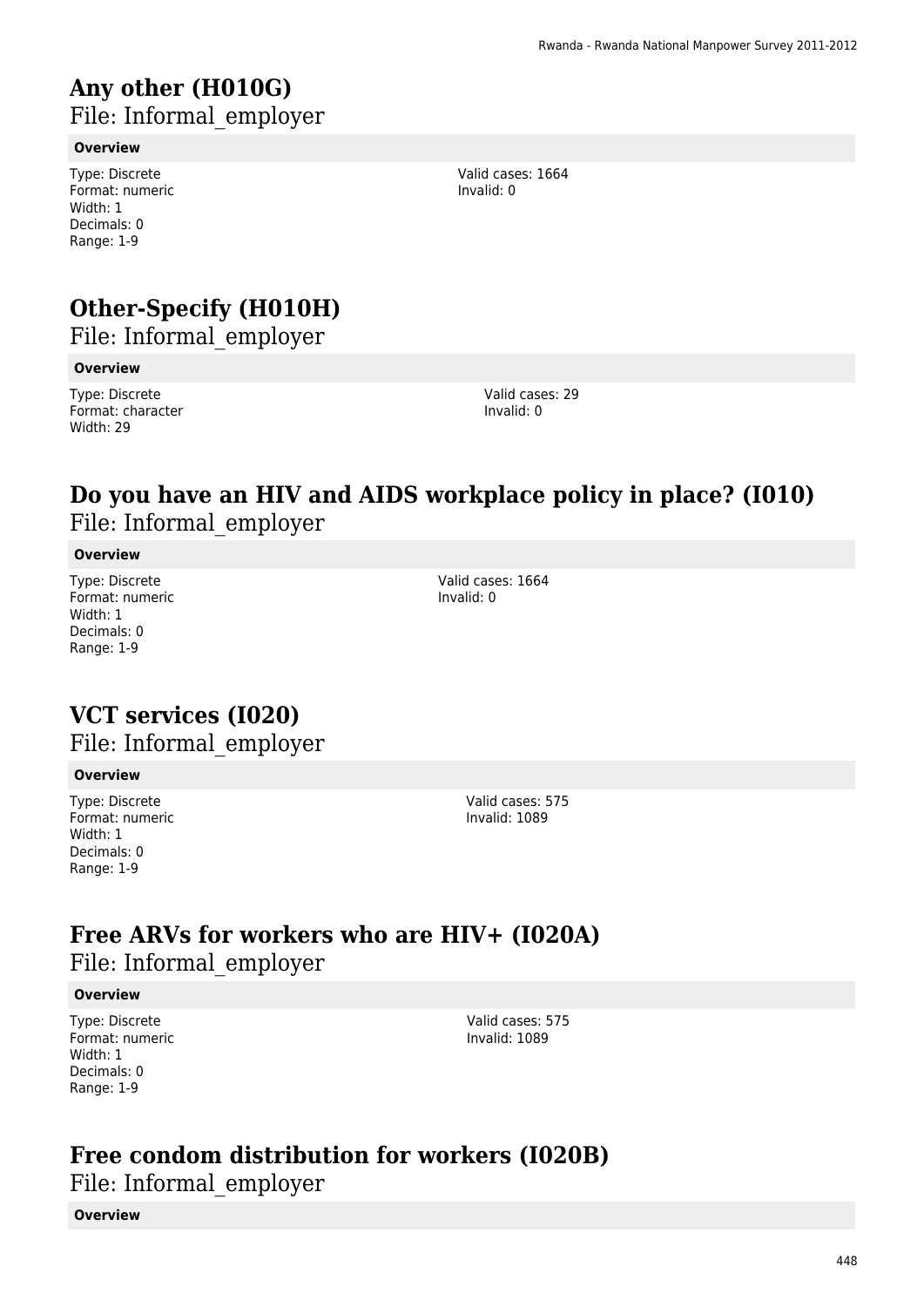### **Any other (H010G)**  File: Informal\_employer

### **Overview**

Type: Discrete Format: numeric Width: 1 Decimals: 0 Range: 1-9

Valid cases: 1664 Invalid: 0

# **Other-Specify (H010H)**

File: Informal\_employer

#### **Overview**

Type: Discrete Format: character Width: 29

Valid cases: 29 Invalid: 0

### **Do you have an HIV and AIDS workplace policy in place? (I010)**  File: Informal\_employer

#### **Overview**

Type: Discrete Format: numeric Width: 1 Decimals: 0 Range: 1-9

Valid cases: 1664 Invalid: 0

### **VCT services (I020)**  File: Informal\_employer

#### **Overview**

Type: Discrete Format: numeric Width: 1 Decimals: 0 Range: 1-9

Valid cases: 575 Invalid: 1089

### **Free ARVs for workers who are HIV+ (I020A)**  File: Informal\_employer

#### **Overview**

Type: Discrete Format: numeric Width: 1 Decimals: 0 Range: 1-9

Valid cases: 575 Invalid: 1089

### **Free condom distribution for workers (I020B)**

File: Informal\_employer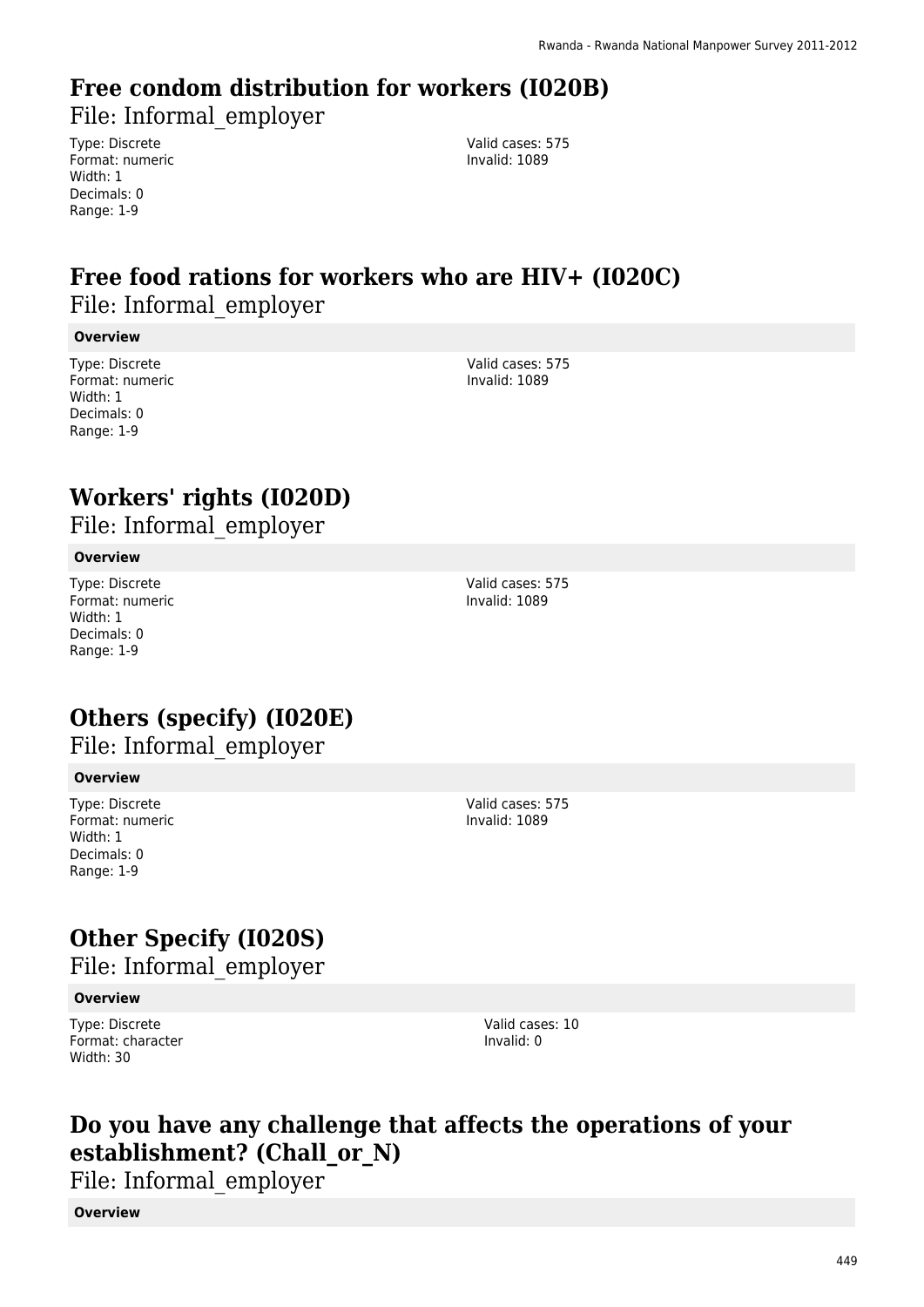# **Free condom distribution for workers (I020B)**

File: Informal\_employer

Type: Discrete Format: numeric Width: 1 Decimals: 0 Range: 1-9

Valid cases: 575 Invalid: 1089

### **Free food rations for workers who are HIV+ (I020C)**  File: Informal\_employer

#### **Overview**

Type: Discrete Format: numeric Width: 1 Decimals: 0 Range: 1-9

**Workers' rights (I020D)**  File: Informal\_employer

### **Overview**

Type: Discrete Format: numeric Width: 1 Decimals: 0 Range: 1-9

# **Others (specify) (I020E)**

File: Informal\_employer

### **Overview**

Type: Discrete Format: numeric Width: 1 Decimals: 0 Range: 1-9

Valid cases: 575 Invalid: 1089

# **Other Specify (I020S)**

File: Informal\_employer

### **Overview**

Type: Discrete Format: character Width: 30

Valid cases: 10 Invalid: 0

### **Do you have any challenge that affects the operations of your establishment? (Chall\_or\_N)**

File: Informal\_employer

**Overview**

Valid cases: 575 Invalid: 1089

Valid cases: 575 Invalid: 1089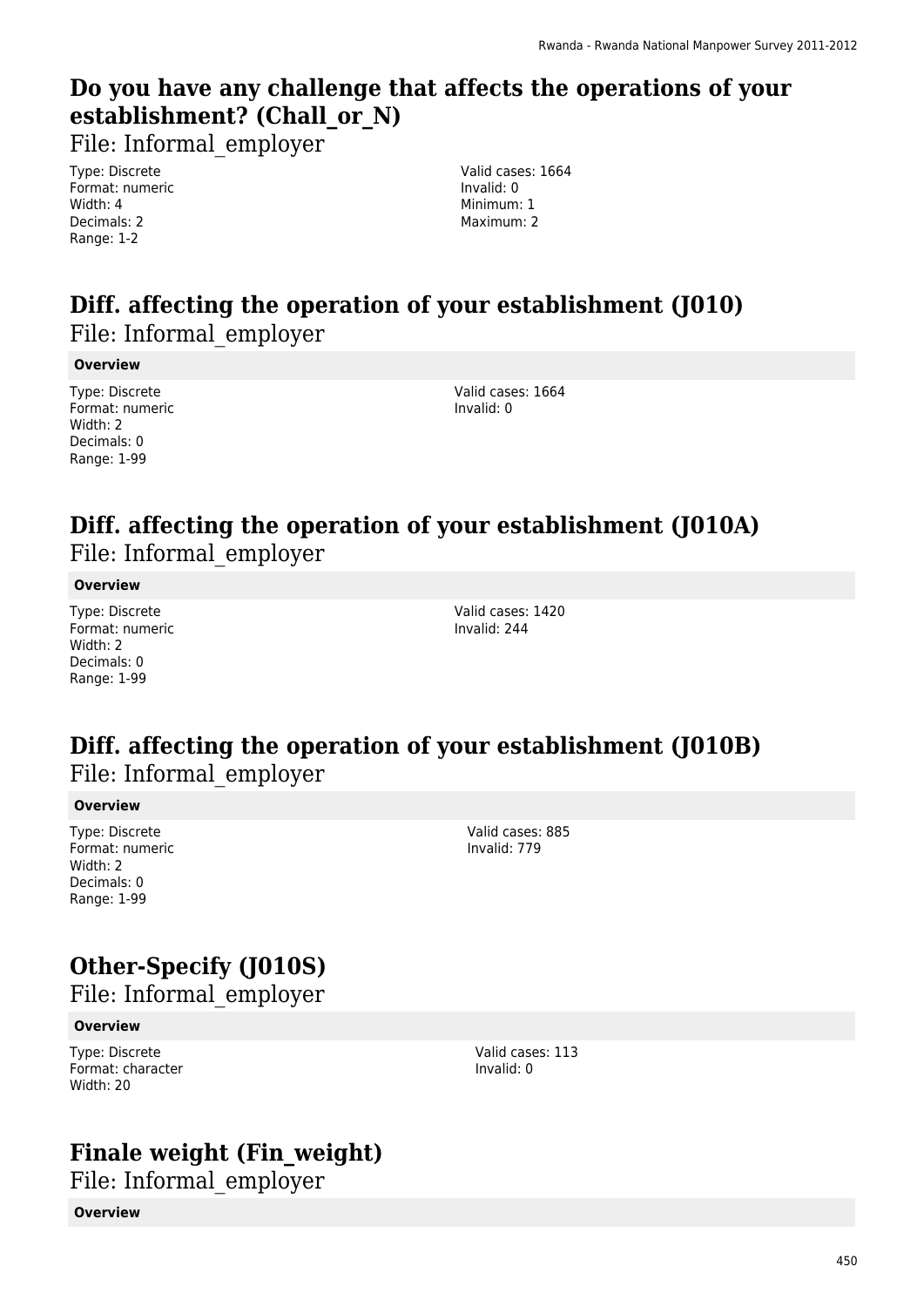### **Do you have any challenge that affects the operations of your establishment? (Chall\_or\_N)**

File: Informal\_employer

Type: Discrete Format: numeric Width: 4 Decimals: 2 Range: 1-2

Valid cases: 1664 Invalid: 0 Minimum: 1 Maximum: 2

### **Diff. affecting the operation of your establishment (J010)**  File: Informal\_employer

**Overview**

Type: Discrete Format: numeric Width: 2 Decimals: 0 Range: 1-99

Valid cases: 1664 Invalid: 0

### **Diff. affecting the operation of your establishment (J010A)**  File: Informal\_employer

**Overview**

Type: Discrete Format: numeric Width: 2 Decimals: 0 Range: 1-99

Valid cases: 1420 Invalid: 244

### **Diff. affecting the operation of your establishment (J010B)**  File: Informal\_employer

**Overview**

Type: Discrete Format: numeric Width: 2 Decimals: 0 Range: 1-99

Valid cases: 885 Invalid: 779

# **Other-Specify (J010S)**

File: Informal\_employer

### **Overview**

Type: Discrete Format: character Width: 20

# **Finale weight (Fin\_weight)**

File: Informal\_employer

**Overview**

Valid cases: 113 Invalid: 0

450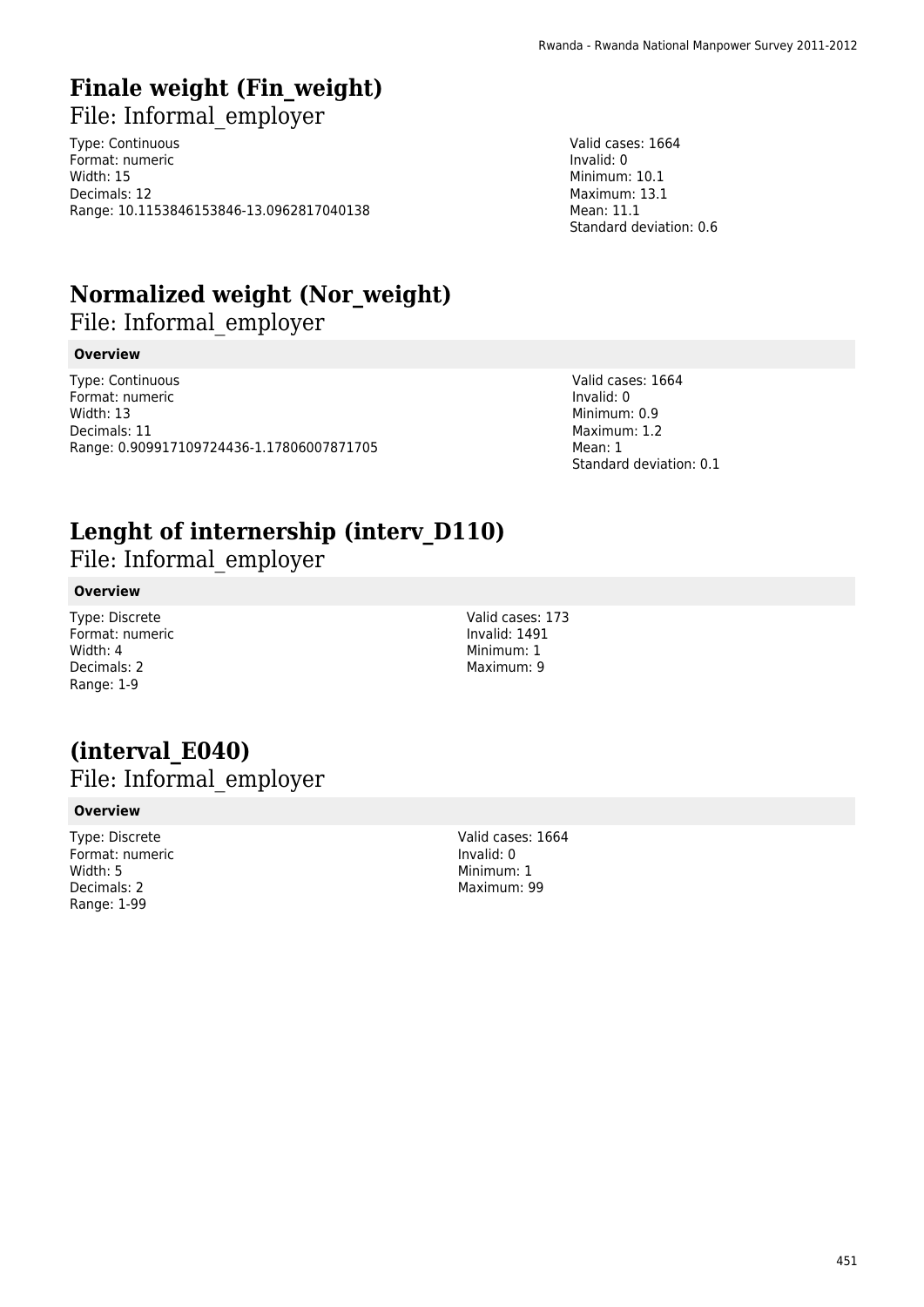### **Finale weight (Fin\_weight)**  File: Informal\_employer

Type: Continuous Format: numeric Width: 15 Decimals: 12 Range: 10.1153846153846-13.0962817040138

Valid cases: 1664 Invalid: 0 Minimum: 10.1 Maximum: 13.1 Mean: 11.1 Standard deviation: 0.6

# **Normalized weight (Nor\_weight)**

File: Informal\_employer

#### **Overview**

Type: Continuous Format: numeric Width: 13 Decimals: 11 Range: 0.909917109724436-1.17806007871705 Valid cases: 1664 Invalid: 0 Minimum: 0.9 Maximum: 1.2 Mean: 1 Standard deviation: 0.1

# **Lenght of internership (interv\_D110)**

File: Informal\_employer

#### **Overview**

Type: Discrete Format: numeric Width: 4 Decimals: 2 Range: 1-9

Invalid: 1491 Minimum: 1 Maximum: 9

Valid cases: 173

### **(interval\_E040)**  File: Informal\_employer

#### **Overview**

Type: Discrete Format: numeric Width: 5 Decimals: 2 Range: 1-99

Valid cases: 1664 Invalid: 0 Minimum: 1 Maximum: 99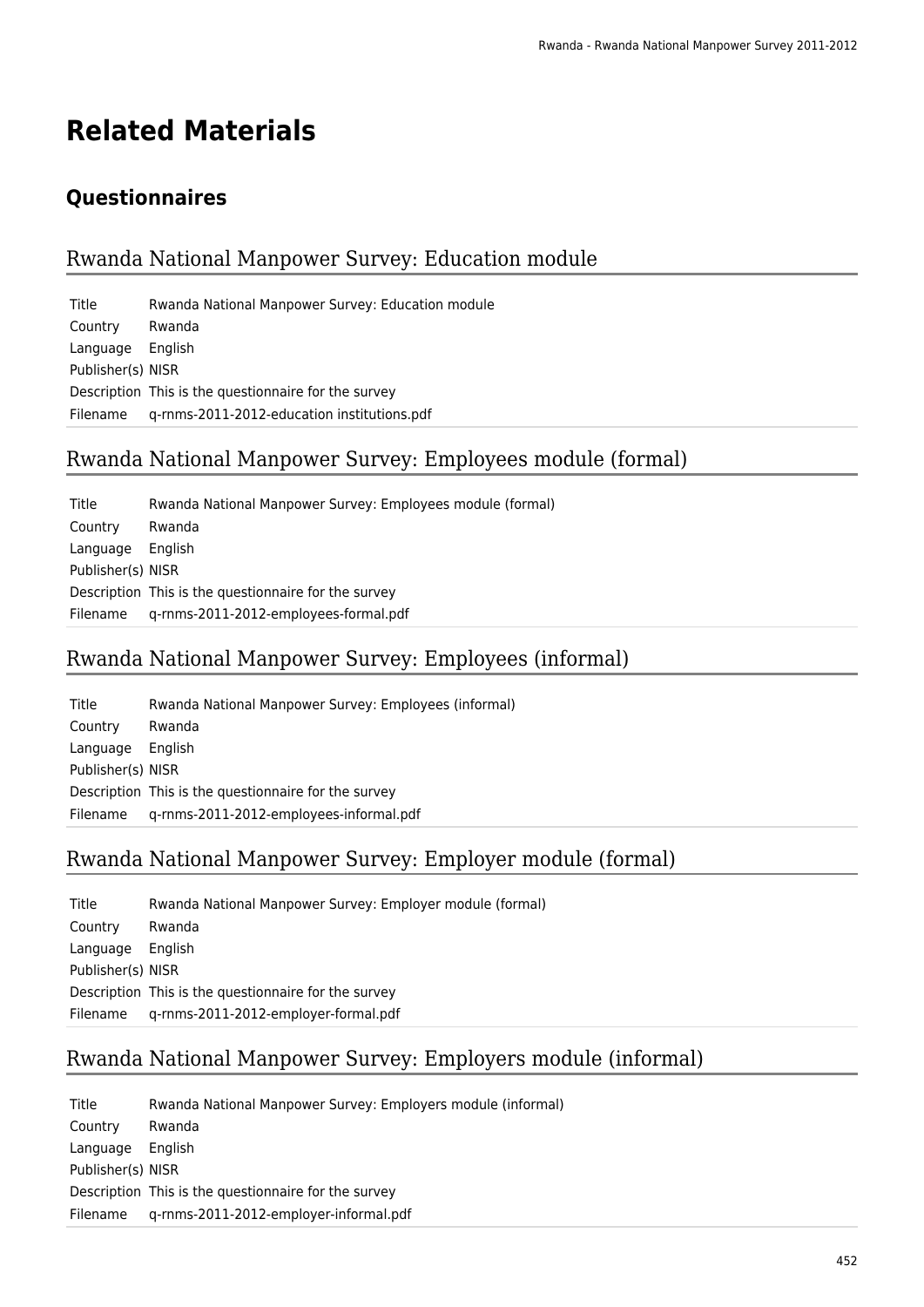# **Related Materials**

### **Questionnaires**

### Rwanda National Manpower Survey: Education module

| Title             | Rwanda National Manpower Survey: Education module    |
|-------------------|------------------------------------------------------|
| Country           | Rwanda                                               |
| Language          | English                                              |
| Publisher(s) NISR |                                                      |
|                   | Description This is the questionnaire for the survey |
| Filename          | q-rnms-2011-2012-education institutions.pdf          |

### Rwanda National Manpower Survey: Employees module (formal)

| Title             | Rwanda National Manpower Survey: Employees module (formal) |
|-------------------|------------------------------------------------------------|
| Country           | Rwanda                                                     |
| Language          | <b>English</b>                                             |
| Publisher(s) NISR |                                                            |
|                   | Description This is the questionnaire for the survey       |
| Filename          | q-rnms-2011-2012-employees-formal.pdf                      |

### Rwanda National Manpower Survey: Employees (informal)

| Title             | Rwanda National Manpower Survey: Employees (informal) |
|-------------------|-------------------------------------------------------|
| Country           | Rwanda                                                |
| Language          | <b>English</b>                                        |
| Publisher(s) NISR |                                                       |
|                   | Description This is the questionnaire for the survey  |
| Filename          | g-rnms-2011-2012-employees-informal.pdf               |

### Rwanda National Manpower Survey: Employer module (formal)

| Title             | Rwanda National Manpower Survey: Employer module (formal) |
|-------------------|-----------------------------------------------------------|
| Country           | Rwanda                                                    |
| Language          | English                                                   |
| Publisher(s) NISR |                                                           |
|                   | Description This is the questionnaire for the survey      |
| Filename          | g-rnms-2011-2012-employer-formal.pdf                      |
|                   |                                                           |

### Rwanda National Manpower Survey: Employers module (informal)

| Title             | Rwanda National Manpower Survey: Employers module (informal) |
|-------------------|--------------------------------------------------------------|
| Country           | Rwanda                                                       |
| Language          | English                                                      |
| Publisher(s) NISR |                                                              |
|                   | Description This is the questionnaire for the survey         |
| Filename          | q-rnms-2011-2012-employer-informal.pdf                       |